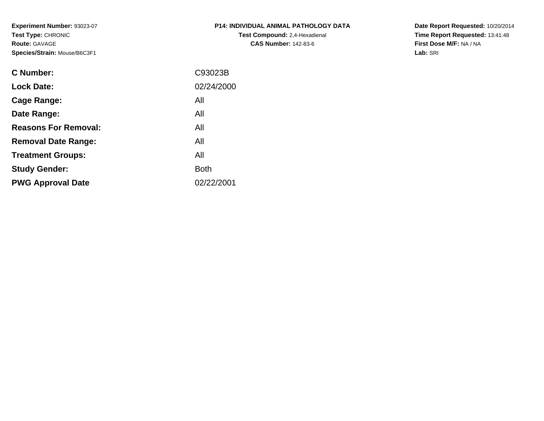**Experiment Number:** 93023-07**Test Type:** CHRONIC**Route:** GAVAGE**Species/Strain:** Mouse/B6C3F1

| <b>P14: INDIVIDUAL ANIMAL PATHOLOGY DATA</b> |
|----------------------------------------------|
| <b>Test Compound:</b> 2,4-Hexadienal         |
| <b>CAS Number: 142-83-6</b>                  |

**Date Report Requested:** 10/20/2014 **Time Report Requested:** 13:41:48**First Dose M/F:** NA / NA**Lab:** SRI

| C Number:                   | C93023B     |
|-----------------------------|-------------|
| <b>Lock Date:</b>           | 02/24/2000  |
| Cage Range:                 | All         |
| Date Range:                 | All         |
| <b>Reasons For Removal:</b> | All         |
| <b>Removal Date Range:</b>  | All         |
| <b>Treatment Groups:</b>    | All         |
| <b>Study Gender:</b>        | <b>Both</b> |
| <b>PWG Approval Date</b>    | 02/22/2001  |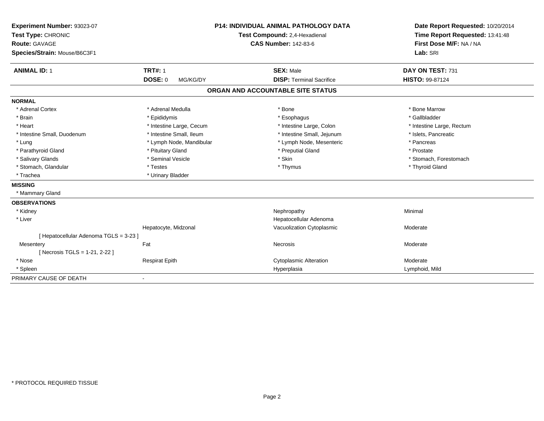| Experiment Number: 93023-07            | <b>P14: INDIVIDUAL ANIMAL PATHOLOGY DATA</b><br>Test Compound: 2,4-Hexadienal |                                   | Date Report Requested: 10/20/2014 |  |
|----------------------------------------|-------------------------------------------------------------------------------|-----------------------------------|-----------------------------------|--|
| Test Type: CHRONIC                     |                                                                               |                                   | Time Report Requested: 13:41:48   |  |
| <b>Route: GAVAGE</b>                   |                                                                               | <b>CAS Number: 142-83-6</b>       | First Dose M/F: NA / NA           |  |
| Species/Strain: Mouse/B6C3F1           |                                                                               |                                   | Lab: SRI                          |  |
| <b>ANIMAL ID: 1</b>                    | <b>TRT#: 1</b>                                                                | <b>SEX: Male</b>                  | DAY ON TEST: 731                  |  |
|                                        | DOSE: 0<br>MG/KG/DY                                                           | <b>DISP: Terminal Sacrifice</b>   | <b>HISTO: 99-87124</b>            |  |
|                                        |                                                                               | ORGAN AND ACCOUNTABLE SITE STATUS |                                   |  |
| <b>NORMAL</b>                          |                                                                               |                                   |                                   |  |
| * Adrenal Cortex                       | * Adrenal Medulla                                                             | * Bone                            | * Bone Marrow                     |  |
| * Brain                                | * Epididymis                                                                  | * Esophagus                       | * Gallbladder                     |  |
| * Heart                                | * Intestine Large, Cecum                                                      | * Intestine Large, Colon          | * Intestine Large, Rectum         |  |
| * Intestine Small, Duodenum            | * Intestine Small, Ileum                                                      | * Intestine Small, Jejunum        | * Islets, Pancreatic              |  |
| * Lung                                 | * Lymph Node, Mandibular                                                      | * Lymph Node, Mesenteric          | * Pancreas                        |  |
| * Parathyroid Gland                    | * Pituitary Gland                                                             | * Preputial Gland                 | * Prostate                        |  |
| * Salivary Glands                      | * Seminal Vesicle                                                             | * Skin                            | * Stomach, Forestomach            |  |
| * Stomach, Glandular                   | * Testes                                                                      | * Thymus                          | * Thyroid Gland                   |  |
| * Trachea                              | * Urinary Bladder                                                             |                                   |                                   |  |
| <b>MISSING</b>                         |                                                                               |                                   |                                   |  |
| * Mammary Gland                        |                                                                               |                                   |                                   |  |
| <b>OBSERVATIONS</b>                    |                                                                               |                                   |                                   |  |
| * Kidney                               |                                                                               | Nephropathy                       | Minimal                           |  |
| * Liver                                |                                                                               | Hepatocellular Adenoma            |                                   |  |
|                                        | Hepatocyte, Midzonal                                                          | Vacuolization Cytoplasmic         | Moderate                          |  |
| [ Hepatocellular Adenoma TGLS = 3-23 ] |                                                                               |                                   |                                   |  |
| Mesentery                              | Fat                                                                           | Necrosis                          | Moderate                          |  |
| [Necrosis TGLS = 1-21, 2-22]           |                                                                               |                                   |                                   |  |
| * Nose                                 | <b>Respirat Epith</b>                                                         | <b>Cytoplasmic Alteration</b>     | Moderate                          |  |
| * Spleen                               |                                                                               | Hyperplasia                       | Lymphoid, Mild                    |  |
| PRIMARY CAUSE OF DEATH                 |                                                                               |                                   |                                   |  |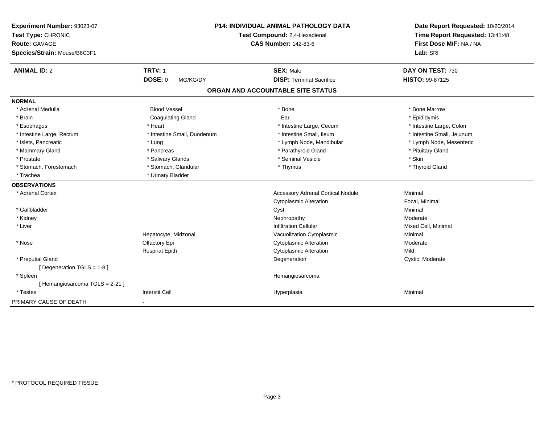| Experiment Number: 93023-07<br>Test Type: CHRONIC<br><b>Route: GAVAGE</b><br>Species/Strain: Mouse/B6C3F1 |                             | P14: INDIVIDUAL ANIMAL PATHOLOGY DATA<br>Test Compound: 2,4-Hexadienal<br><b>CAS Number: 142-83-6</b> | Date Report Requested: 10/20/2014<br>Time Report Requested: 13:41:48<br>First Dose M/F: NA / NA<br>Lab: SRI |
|-----------------------------------------------------------------------------------------------------------|-----------------------------|-------------------------------------------------------------------------------------------------------|-------------------------------------------------------------------------------------------------------------|
| <b>ANIMAL ID: 2</b>                                                                                       | <b>TRT#: 1</b>              | <b>SEX: Male</b>                                                                                      | DAY ON TEST: 730                                                                                            |
|                                                                                                           | <b>DOSE: 0</b><br>MG/KG/DY  | <b>DISP: Terminal Sacrifice</b>                                                                       | <b>HISTO: 99-87125</b>                                                                                      |
|                                                                                                           |                             | ORGAN AND ACCOUNTABLE SITE STATUS                                                                     |                                                                                                             |
| <b>NORMAL</b>                                                                                             |                             |                                                                                                       |                                                                                                             |
| * Adrenal Medulla                                                                                         | <b>Blood Vessel</b>         | * Bone                                                                                                | * Bone Marrow                                                                                               |
| * Brain                                                                                                   | <b>Coagulating Gland</b>    | Ear                                                                                                   | * Epididymis                                                                                                |
| * Esophagus                                                                                               | * Heart                     | * Intestine Large, Cecum                                                                              | * Intestine Large, Colon                                                                                    |
| * Intestine Large, Rectum                                                                                 | * Intestine Small, Duodenum | * Intestine Small, Ileum                                                                              | * Intestine Small, Jejunum                                                                                  |
| * Islets, Pancreatic                                                                                      | * Lung                      | * Lymph Node, Mandibular                                                                              | * Lymph Node, Mesenteric                                                                                    |
| * Mammary Gland                                                                                           | * Pancreas                  | * Parathyroid Gland                                                                                   | * Pituitary Gland                                                                                           |
| * Prostate                                                                                                | * Salivary Glands           | * Seminal Vesicle                                                                                     | * Skin                                                                                                      |
| * Stomach, Forestomach                                                                                    | * Stomach, Glandular        | * Thymus                                                                                              | * Thyroid Gland                                                                                             |
| * Trachea                                                                                                 | * Urinary Bladder           |                                                                                                       |                                                                                                             |
| <b>OBSERVATIONS</b>                                                                                       |                             |                                                                                                       |                                                                                                             |
| * Adrenal Cortex                                                                                          |                             | <b>Accessory Adrenal Cortical Nodule</b>                                                              | Minimal                                                                                                     |
|                                                                                                           |                             | <b>Cytoplasmic Alteration</b>                                                                         | Focal, Minimal                                                                                              |
| * Gallbladder                                                                                             |                             | Cyst                                                                                                  | Minimal                                                                                                     |
| * Kidney                                                                                                  |                             | Nephropathy                                                                                           | Moderate                                                                                                    |
| * Liver                                                                                                   |                             | <b>Infiltration Cellular</b>                                                                          | Mixed Cell, Minimal                                                                                         |
|                                                                                                           | Hepatocyte, Midzonal        | Vacuolization Cytoplasmic                                                                             | Minimal                                                                                                     |
| * Nose                                                                                                    | Olfactory Epi               | <b>Cytoplasmic Alteration</b>                                                                         | Moderate                                                                                                    |
|                                                                                                           | <b>Respirat Epith</b>       | <b>Cytoplasmic Alteration</b>                                                                         | Mild                                                                                                        |
| * Preputial Gland                                                                                         |                             | Degeneration                                                                                          | Cystic, Moderate                                                                                            |
| [ Degeneration TGLS = 1-8 ]                                                                               |                             |                                                                                                       |                                                                                                             |
| * Spleen                                                                                                  |                             | Hemangiosarcoma                                                                                       |                                                                                                             |
| [Hemangiosarcoma TGLS = 2-21]                                                                             |                             |                                                                                                       |                                                                                                             |
| * Testes                                                                                                  | <b>Interstit Cell</b>       | Hyperplasia                                                                                           | Minimal                                                                                                     |
| PRIMARY CAUSE OF DEATH                                                                                    |                             |                                                                                                       |                                                                                                             |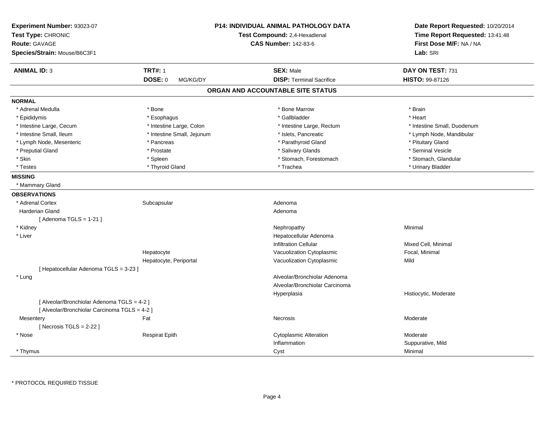| Experiment Number: 93023-07<br>Test Type: CHRONIC<br><b>Route: GAVAGE</b><br>Species/Strain: Mouse/B6C3F1 |                            | <b>P14: INDIVIDUAL ANIMAL PATHOLOGY DATA</b><br>Test Compound: 2,4-Hexadienal<br><b>CAS Number: 142-83-6</b> | Date Report Requested: 10/20/2014<br>Time Report Requested: 13:41:48<br>First Dose M/F: NA / NA<br>Lab: SRI |
|-----------------------------------------------------------------------------------------------------------|----------------------------|--------------------------------------------------------------------------------------------------------------|-------------------------------------------------------------------------------------------------------------|
| <b>ANIMAL ID: 3</b>                                                                                       | <b>TRT#: 1</b>             | <b>SEX: Male</b>                                                                                             | DAY ON TEST: 731                                                                                            |
|                                                                                                           | DOSE: 0<br>MG/KG/DY        | <b>DISP: Terminal Sacrifice</b>                                                                              | <b>HISTO: 99-87126</b>                                                                                      |
|                                                                                                           |                            | ORGAN AND ACCOUNTABLE SITE STATUS                                                                            |                                                                                                             |
| <b>NORMAL</b>                                                                                             |                            |                                                                                                              |                                                                                                             |
| * Adrenal Medulla                                                                                         | * Bone                     | * Bone Marrow                                                                                                | * Brain                                                                                                     |
| * Epididymis                                                                                              | * Esophagus                | * Gallbladder                                                                                                | * Heart                                                                                                     |
| * Intestine Large, Cecum                                                                                  | * Intestine Large, Colon   | * Intestine Large, Rectum                                                                                    | * Intestine Small, Duodenum                                                                                 |
| * Intestine Small, Ileum                                                                                  | * Intestine Small, Jejunum | * Islets, Pancreatic                                                                                         | * Lymph Node, Mandibular                                                                                    |
| * Lymph Node, Mesenteric                                                                                  | * Pancreas                 | * Parathyroid Gland                                                                                          | * Pituitary Gland                                                                                           |
| * Preputial Gland                                                                                         | * Prostate                 | * Salivary Glands                                                                                            | * Seminal Vesicle                                                                                           |
| * Skin                                                                                                    | * Spleen                   | * Stomach, Forestomach                                                                                       | * Stomach, Glandular                                                                                        |
| * Testes                                                                                                  | * Thyroid Gland            | * Trachea                                                                                                    | * Urinary Bladder                                                                                           |
| <b>MISSING</b>                                                                                            |                            |                                                                                                              |                                                                                                             |
| * Mammary Gland                                                                                           |                            |                                                                                                              |                                                                                                             |
| <b>OBSERVATIONS</b>                                                                                       |                            |                                                                                                              |                                                                                                             |
| * Adrenal Cortex                                                                                          | Subcapsular                | Adenoma                                                                                                      |                                                                                                             |
| <b>Harderian Gland</b>                                                                                    |                            | Adenoma                                                                                                      |                                                                                                             |
| [Adenoma TGLS = $1-21$ ]                                                                                  |                            |                                                                                                              |                                                                                                             |
| * Kidney                                                                                                  |                            | Nephropathy                                                                                                  | Minimal                                                                                                     |
| * Liver                                                                                                   |                            | Hepatocellular Adenoma                                                                                       |                                                                                                             |
|                                                                                                           |                            | <b>Infiltration Cellular</b>                                                                                 | Mixed Cell, Minimal                                                                                         |
|                                                                                                           | Hepatocyte                 | Vacuolization Cytoplasmic                                                                                    | Focal, Minimal                                                                                              |
|                                                                                                           | Hepatocyte, Periportal     | Vacuolization Cytoplasmic                                                                                    | Mild                                                                                                        |
| [ Hepatocellular Adenoma TGLS = 3-23 ]                                                                    |                            |                                                                                                              |                                                                                                             |
| * Lung                                                                                                    |                            | Alveolar/Bronchiolar Adenoma                                                                                 |                                                                                                             |
|                                                                                                           |                            | Alveolar/Bronchiolar Carcinoma                                                                               |                                                                                                             |
|                                                                                                           |                            | Hyperplasia                                                                                                  | Histiocytic, Moderate                                                                                       |
| [ Alveolar/Bronchiolar Adenoma TGLS = 4-2 ]                                                               |                            |                                                                                                              |                                                                                                             |
| [ Alveolar/Bronchiolar Carcinoma TGLS = 4-2 ]                                                             |                            |                                                                                                              |                                                                                                             |
| Mesentery                                                                                                 | Fat                        | Necrosis                                                                                                     | Moderate                                                                                                    |
| [Necrosis $TGLS = 2-22$ ]                                                                                 |                            |                                                                                                              |                                                                                                             |
| * Nose                                                                                                    | <b>Respirat Epith</b>      | <b>Cytoplasmic Alteration</b>                                                                                | Moderate                                                                                                    |
|                                                                                                           |                            | Inflammation                                                                                                 | Suppurative, Mild                                                                                           |
| * Thymus                                                                                                  |                            | Cyst                                                                                                         | Minimal                                                                                                     |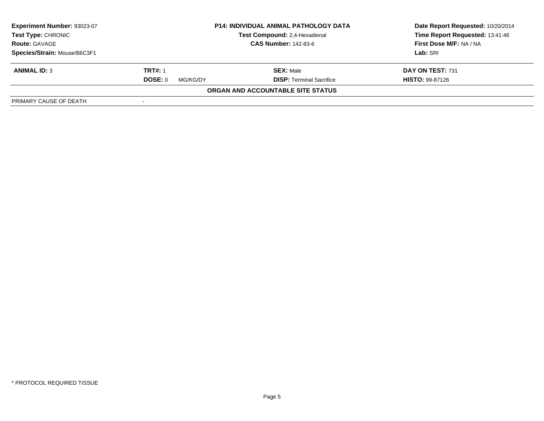| <b>Experiment Number: 93023-07</b><br>Test Type: CHRONIC<br><b>Route: GAVAGE</b><br>Species/Strain: Mouse/B6C3F1 | <b>P14: INDIVIDUAL ANIMAL PATHOLOGY DATA</b><br>Test Compound: 2,4-Hexadienal<br><b>CAS Number: 142-83-6</b> |                                          | Date Report Requested: 10/20/2014<br>Time Report Requested: 13:41:48<br>First Dose M/F: NA / NA<br>Lab: SRI |
|------------------------------------------------------------------------------------------------------------------|--------------------------------------------------------------------------------------------------------------|------------------------------------------|-------------------------------------------------------------------------------------------------------------|
|                                                                                                                  |                                                                                                              |                                          |                                                                                                             |
| <b>ANIMAL ID: 3</b>                                                                                              | <b>TRT#: 1</b>                                                                                               | <b>SEX: Male</b>                         | DAY ON TEST: 731                                                                                            |
|                                                                                                                  | DOSE: 0<br>MG/KG/DY                                                                                          | <b>DISP: Terminal Sacrifice</b>          | <b>HISTO: 99-87126</b>                                                                                      |
|                                                                                                                  |                                                                                                              | <b>ORGAN AND ACCOUNTABLE SITE STATUS</b> |                                                                                                             |
| PRIMARY CAUSE OF DEATH                                                                                           | $\overline{\phantom{a}}$                                                                                     |                                          |                                                                                                             |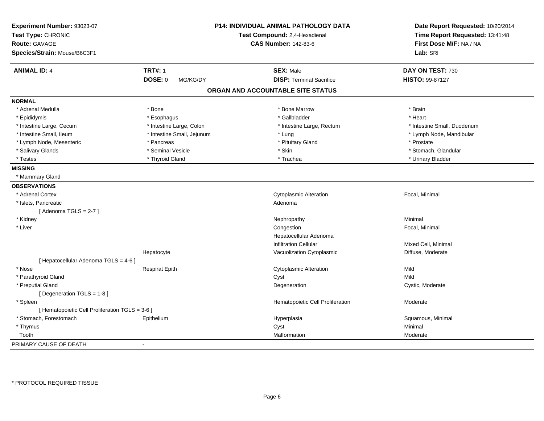| Experiment Number: 93023-07<br>Test Type: CHRONIC<br><b>Route: GAVAGE</b><br>Species/Strain: Mouse/B6C3F1 |                            | P14: INDIVIDUAL ANIMAL PATHOLOGY DATA<br>Test Compound: 2,4-Hexadienal<br><b>CAS Number: 142-83-6</b> | Date Report Requested: 10/20/2014<br>Time Report Requested: 13:41:48<br>First Dose M/F: NA / NA<br>Lab: SRI |
|-----------------------------------------------------------------------------------------------------------|----------------------------|-------------------------------------------------------------------------------------------------------|-------------------------------------------------------------------------------------------------------------|
| <b>ANIMAL ID: 4</b>                                                                                       | <b>TRT#: 1</b>             | <b>SEX: Male</b>                                                                                      | DAY ON TEST: 730                                                                                            |
|                                                                                                           | DOSE: 0<br>MG/KG/DY        | <b>DISP: Terminal Sacrifice</b>                                                                       | HISTO: 99-87127                                                                                             |
|                                                                                                           |                            | ORGAN AND ACCOUNTABLE SITE STATUS                                                                     |                                                                                                             |
| <b>NORMAL</b>                                                                                             |                            |                                                                                                       |                                                                                                             |
| * Adrenal Medulla                                                                                         | * Bone                     | * Bone Marrow                                                                                         | * Brain                                                                                                     |
| * Epididymis                                                                                              | * Esophagus                | * Gallbladder                                                                                         | * Heart                                                                                                     |
| * Intestine Large, Cecum                                                                                  | * Intestine Large, Colon   | * Intestine Large, Rectum                                                                             | * Intestine Small, Duodenum                                                                                 |
| * Intestine Small, Ileum                                                                                  | * Intestine Small, Jejunum | * Lung                                                                                                | * Lymph Node, Mandibular                                                                                    |
| * Lymph Node, Mesenteric                                                                                  | * Pancreas                 | * Pituitary Gland                                                                                     | * Prostate                                                                                                  |
| * Salivary Glands                                                                                         | * Seminal Vesicle          | * Skin                                                                                                | * Stomach, Glandular                                                                                        |
| * Testes                                                                                                  | * Thyroid Gland            | * Trachea                                                                                             | * Urinary Bladder                                                                                           |
| <b>MISSING</b>                                                                                            |                            |                                                                                                       |                                                                                                             |
| * Mammary Gland                                                                                           |                            |                                                                                                       |                                                                                                             |
| <b>OBSERVATIONS</b>                                                                                       |                            |                                                                                                       |                                                                                                             |
| * Adrenal Cortex                                                                                          |                            | <b>Cytoplasmic Alteration</b>                                                                         | Focal, Minimal                                                                                              |
| * Islets, Pancreatic                                                                                      |                            | Adenoma                                                                                               |                                                                                                             |
| [Adenoma TGLS = $2-7$ ]                                                                                   |                            |                                                                                                       |                                                                                                             |
| * Kidney                                                                                                  |                            | Nephropathy                                                                                           | Minimal                                                                                                     |
| * Liver                                                                                                   |                            | Congestion                                                                                            | Focal, Minimal                                                                                              |
|                                                                                                           |                            | Hepatocellular Adenoma                                                                                |                                                                                                             |
|                                                                                                           |                            | Infiltration Cellular                                                                                 | Mixed Cell, Minimal                                                                                         |
|                                                                                                           | Hepatocyte                 | Vacuolization Cytoplasmic                                                                             | Diffuse, Moderate                                                                                           |
| [ Hepatocellular Adenoma TGLS = 4-6 ]                                                                     |                            |                                                                                                       |                                                                                                             |
| * Nose                                                                                                    | <b>Respirat Epith</b>      | <b>Cytoplasmic Alteration</b>                                                                         | Mild                                                                                                        |
| * Parathyroid Gland                                                                                       |                            | Cyst                                                                                                  | Mild                                                                                                        |
| * Preputial Gland                                                                                         |                            | Degeneration                                                                                          | Cystic, Moderate                                                                                            |
| [ Degeneration TGLS = 1-8 ]                                                                               |                            |                                                                                                       |                                                                                                             |
| * Spleen                                                                                                  |                            | Hematopoietic Cell Proliferation                                                                      | Moderate                                                                                                    |
| [ Hematopoietic Cell Proliferation TGLS = 3-6 ]                                                           |                            |                                                                                                       |                                                                                                             |
| * Stomach, Forestomach                                                                                    | Epithelium                 | Hyperplasia                                                                                           | Squamous, Minimal                                                                                           |
| * Thymus                                                                                                  |                            | Cyst                                                                                                  | Minimal                                                                                                     |
| Tooth                                                                                                     |                            | Malformation                                                                                          | Moderate                                                                                                    |
| PRIMARY CAUSE OF DEATH                                                                                    |                            |                                                                                                       |                                                                                                             |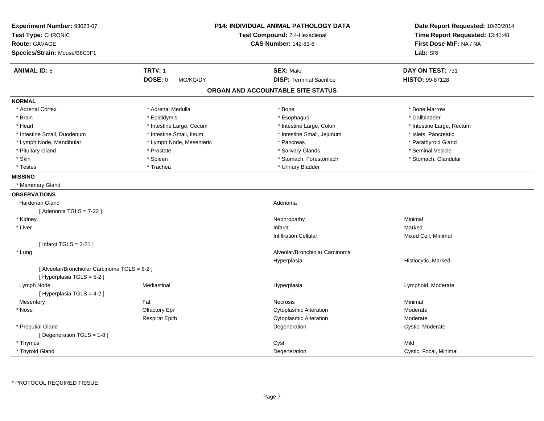| <b>Experiment Number: 93023-07</b><br>Test Type: CHRONIC<br>Test Compound: 2,4-Hexadienal |                            | P14: INDIVIDUAL ANIMAL PATHOLOGY DATA | Date Report Requested: 10/20/2014 |
|-------------------------------------------------------------------------------------------|----------------------------|---------------------------------------|-----------------------------------|
|                                                                                           |                            |                                       | Time Report Requested: 13:41:48   |
| <b>Route: GAVAGE</b>                                                                      |                            | <b>CAS Number: 142-83-6</b>           | First Dose M/F: NA / NA           |
| Species/Strain: Mouse/B6C3F1                                                              |                            |                                       | Lab: SRI                          |
| <b>ANIMAL ID: 5</b>                                                                       | <b>TRT#: 1</b>             | <b>SEX: Male</b>                      | DAY ON TEST: 731                  |
|                                                                                           | <b>DOSE: 0</b><br>MG/KG/DY | <b>DISP: Terminal Sacrifice</b>       | HISTO: 99-87128                   |
|                                                                                           |                            | ORGAN AND ACCOUNTABLE SITE STATUS     |                                   |
| <b>NORMAL</b>                                                                             |                            |                                       |                                   |
| * Adrenal Cortex                                                                          | * Adrenal Medulla          | * Bone                                | * Bone Marrow                     |
| * Brain                                                                                   | * Epididymis               | * Esophagus                           | * Gallbladder                     |
| * Heart                                                                                   | * Intestine Large, Cecum   | * Intestine Large, Colon              | * Intestine Large, Rectum         |
| * Intestine Small, Duodenum                                                               | * Intestine Small, Ileum   | * Intestine Small, Jejunum            | * Islets, Pancreatic              |
| * Lymph Node, Mandibular                                                                  | * Lymph Node, Mesenteric   | * Pancreas                            | * Parathyroid Gland               |
| * Pituitary Gland                                                                         | * Prostate                 | * Salivary Glands                     | * Seminal Vesicle                 |
| * Skin                                                                                    | * Spleen                   | * Stomach, Forestomach                | * Stomach, Glandular              |
| * Testes                                                                                  | * Trachea                  | * Urinary Bladder                     |                                   |
| <b>MISSING</b>                                                                            |                            |                                       |                                   |
| * Mammary Gland                                                                           |                            |                                       |                                   |
| <b>OBSERVATIONS</b>                                                                       |                            |                                       |                                   |
| <b>Harderian Gland</b>                                                                    |                            | Adenoma                               |                                   |
| [Adenoma TGLS = $7-22$ ]                                                                  |                            |                                       |                                   |
| * Kidney                                                                                  |                            | Nephropathy                           | Minimal                           |
| * Liver                                                                                   |                            | Infarct                               | Marked                            |
|                                                                                           |                            | <b>Infiltration Cellular</b>          | Mixed Cell, Minimal               |
| [ Infarct TGLS = $3-21$ ]                                                                 |                            |                                       |                                   |
| * Lung                                                                                    |                            | Alveolar/Bronchiolar Carcinoma        |                                   |
|                                                                                           |                            | Hyperplasia                           | Histiocytic, Marked               |
| [ Alveolar/Bronchiolar Carcinoma TGLS = 6-2 ]                                             |                            |                                       |                                   |
| [ Hyperplasia TGLS = 5-2 ]                                                                |                            |                                       |                                   |
| Lymph Node                                                                                | Mediastinal                | Hyperplasia                           | Lymphoid, Moderate                |
| [Hyperplasia TGLS = 4-2]                                                                  |                            |                                       |                                   |
| Mesentery                                                                                 | Fat                        | Necrosis                              | Minimal                           |
| * Nose                                                                                    | Olfactory Epi              | <b>Cytoplasmic Alteration</b>         | Moderate                          |
|                                                                                           | <b>Respirat Epith</b>      | Cytoplasmic Alteration                | Moderate                          |
| * Preputial Gland                                                                         |                            | Degeneration                          | Cystic, Moderate                  |
| [Degeneration TGLS = 1-8]                                                                 |                            |                                       |                                   |
| * Thymus                                                                                  |                            | Cyst                                  | Mild                              |
| * Thyroid Gland                                                                           |                            | Degeneration                          | Cystic, Focal, Minimal            |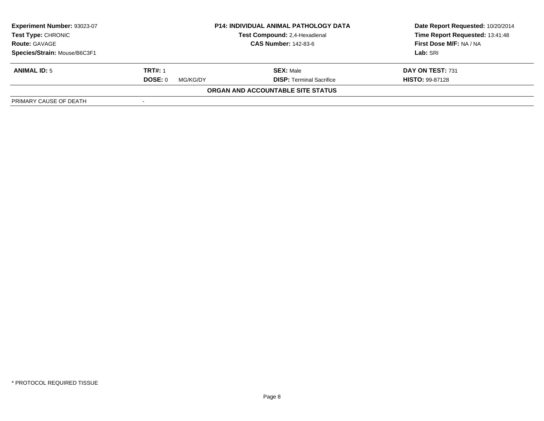| <b>Experiment Number: 93023-07</b><br>Test Type: CHRONIC<br><b>Route: GAVAGE</b><br>Species/Strain: Mouse/B6C3F1 | <b>P14: INDIVIDUAL ANIMAL PATHOLOGY DATA</b><br>Test Compound: 2,4-Hexadienal<br><b>CAS Number: 142-83-6</b> |                                          | Date Report Requested: 10/20/2014<br>Time Report Requested: 13:41:48<br>First Dose M/F: NA / NA<br>Lab: SRI |
|------------------------------------------------------------------------------------------------------------------|--------------------------------------------------------------------------------------------------------------|------------------------------------------|-------------------------------------------------------------------------------------------------------------|
|                                                                                                                  |                                                                                                              |                                          |                                                                                                             |
| <b>ANIMAL ID: 5</b>                                                                                              | <b>TRT#: 1</b>                                                                                               | <b>SEX: Male</b>                         | DAY ON TEST: 731                                                                                            |
|                                                                                                                  | DOSE: 0<br>MG/KG/DY                                                                                          | <b>DISP: Terminal Sacrifice</b>          | <b>HISTO: 99-87128</b>                                                                                      |
|                                                                                                                  |                                                                                                              | <b>ORGAN AND ACCOUNTABLE SITE STATUS</b> |                                                                                                             |
| PRIMARY CAUSE OF DEATH                                                                                           | $\overline{\phantom{a}}$                                                                                     |                                          |                                                                                                             |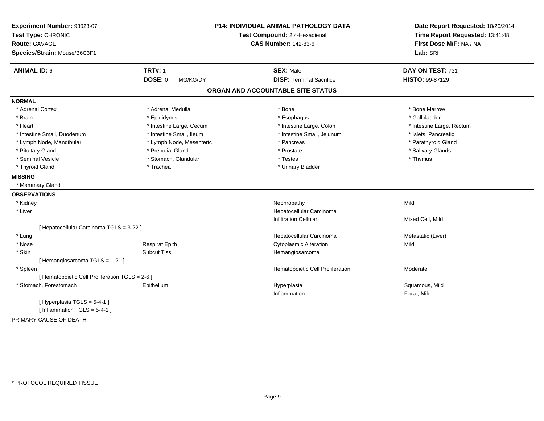| Experiment Number: 93023-07<br>Test Type: CHRONIC<br>Route: GAVAGE<br>Species/Strain: Mouse/B6C3F1 | P14: INDIVIDUAL ANIMAL PATHOLOGY DATA<br>Test Compound: 2,4-Hexadienal<br><b>CAS Number: 142-83-6</b> |                                   | Date Report Requested: 10/20/2014<br>Time Report Requested: 13:41:48<br>First Dose M/F: NA / NA<br>Lab: SRI |  |
|----------------------------------------------------------------------------------------------------|-------------------------------------------------------------------------------------------------------|-----------------------------------|-------------------------------------------------------------------------------------------------------------|--|
| <b>ANIMAL ID: 6</b>                                                                                | <b>TRT#: 1</b>                                                                                        | <b>SEX: Male</b>                  | DAY ON TEST: 731                                                                                            |  |
|                                                                                                    | <b>DOSE: 0</b><br>MG/KG/DY                                                                            | <b>DISP: Terminal Sacrifice</b>   | HISTO: 99-87129                                                                                             |  |
|                                                                                                    |                                                                                                       | ORGAN AND ACCOUNTABLE SITE STATUS |                                                                                                             |  |
| <b>NORMAL</b>                                                                                      |                                                                                                       |                                   |                                                                                                             |  |
| * Adrenal Cortex                                                                                   | * Adrenal Medulla                                                                                     | * Bone                            | * Bone Marrow                                                                                               |  |
| * Brain                                                                                            | * Epididymis                                                                                          | * Esophagus                       | * Gallbladder                                                                                               |  |
| * Heart                                                                                            | * Intestine Large, Cecum                                                                              | * Intestine Large, Colon          | * Intestine Large, Rectum                                                                                   |  |
| * Intestine Small, Duodenum                                                                        | * Intestine Small, Ileum                                                                              | * Intestine Small, Jejunum        | * Islets, Pancreatic                                                                                        |  |
| * Lymph Node, Mandibular                                                                           | * Lymph Node, Mesenteric                                                                              | * Pancreas                        | * Parathyroid Gland                                                                                         |  |
| * Pituitary Gland                                                                                  | * Preputial Gland                                                                                     | * Prostate                        | * Salivary Glands                                                                                           |  |
| * Seminal Vesicle                                                                                  | * Stomach, Glandular                                                                                  | * Testes                          | * Thymus                                                                                                    |  |
| * Thyroid Gland                                                                                    | * Trachea                                                                                             | * Urinary Bladder                 |                                                                                                             |  |
| <b>MISSING</b>                                                                                     |                                                                                                       |                                   |                                                                                                             |  |
| * Mammary Gland                                                                                    |                                                                                                       |                                   |                                                                                                             |  |
| <b>OBSERVATIONS</b>                                                                                |                                                                                                       |                                   |                                                                                                             |  |
| * Kidney                                                                                           |                                                                                                       | Nephropathy                       | Mild                                                                                                        |  |
| * Liver                                                                                            |                                                                                                       | Hepatocellular Carcinoma          |                                                                                                             |  |
|                                                                                                    |                                                                                                       | <b>Infiltration Cellular</b>      | Mixed Cell, Mild                                                                                            |  |
| [ Hepatocellular Carcinoma TGLS = 3-22 ]                                                           |                                                                                                       |                                   |                                                                                                             |  |
| * Lung                                                                                             |                                                                                                       | Hepatocellular Carcinoma          | Metastatic (Liver)                                                                                          |  |
| * Nose                                                                                             | <b>Respirat Epith</b>                                                                                 | <b>Cytoplasmic Alteration</b>     | Mild                                                                                                        |  |
| * Skin                                                                                             | <b>Subcut Tiss</b>                                                                                    | Hemangiosarcoma                   |                                                                                                             |  |
| [Hemangiosarcoma TGLS = 1-21]                                                                      |                                                                                                       |                                   |                                                                                                             |  |
| * Spleen                                                                                           |                                                                                                       | Hematopoietic Cell Proliferation  | Moderate                                                                                                    |  |
| [ Hematopoietic Cell Proliferation TGLS = 2-6 ]                                                    |                                                                                                       |                                   |                                                                                                             |  |
| * Stomach, Forestomach                                                                             | Epithelium                                                                                            | Hyperplasia                       | Squamous, Mild                                                                                              |  |
|                                                                                                    |                                                                                                       | Inflammation                      | Focal, Mild                                                                                                 |  |
| [ Hyperplasia TGLS = 5-4-1 ]                                                                       |                                                                                                       |                                   |                                                                                                             |  |
| [Inflammation TGLS = $5-4-1$ ]                                                                     |                                                                                                       |                                   |                                                                                                             |  |
| PRIMARY CAUSE OF DEATH                                                                             | $\blacksquare$                                                                                        |                                   |                                                                                                             |  |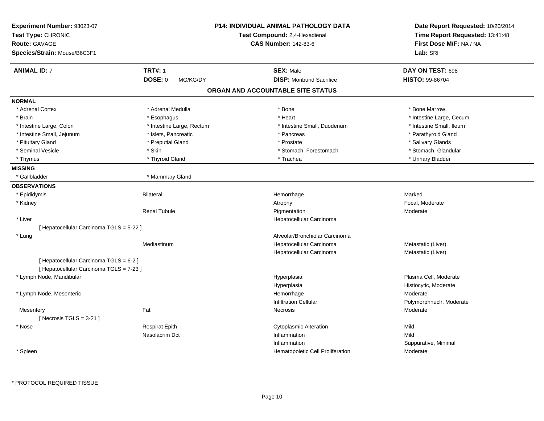| Experiment Number: 93023-07<br>Test Type: CHRONIC<br><b>Route: GAVAGE</b><br>Species/Strain: Mouse/B6C3F1 |                            | <b>P14: INDIVIDUAL ANIMAL PATHOLOGY DATA</b><br>Test Compound: 2,4-Hexadienal<br><b>CAS Number: 142-83-6</b> | Date Report Requested: 10/20/2014<br>Time Report Requested: 13:41:48<br>First Dose M/F: NA / NA<br>Lab: SRI |
|-----------------------------------------------------------------------------------------------------------|----------------------------|--------------------------------------------------------------------------------------------------------------|-------------------------------------------------------------------------------------------------------------|
| <b>ANIMAL ID: 7</b>                                                                                       | <b>TRT#: 1</b>             | <b>SEX: Male</b>                                                                                             | DAY ON TEST: 698                                                                                            |
|                                                                                                           | <b>DOSE: 0</b><br>MG/KG/DY | <b>DISP:</b> Moribund Sacrifice                                                                              | <b>HISTO: 99-86704</b>                                                                                      |
|                                                                                                           |                            | ORGAN AND ACCOUNTABLE SITE STATUS                                                                            |                                                                                                             |
| <b>NORMAL</b>                                                                                             |                            |                                                                                                              |                                                                                                             |
| * Adrenal Cortex                                                                                          | * Adrenal Medulla          | * Bone                                                                                                       | * Bone Marrow                                                                                               |
| * Brain                                                                                                   | * Esophagus                | * Heart                                                                                                      | * Intestine Large, Cecum                                                                                    |
| * Intestine Large, Colon                                                                                  | * Intestine Large, Rectum  | * Intestine Small, Duodenum                                                                                  | * Intestine Small, Ileum                                                                                    |
| * Intestine Small, Jejunum                                                                                | * Islets, Pancreatic       | * Pancreas                                                                                                   | * Parathyroid Gland                                                                                         |
| * Pituitary Gland                                                                                         | * Preputial Gland          | * Prostate                                                                                                   | * Salivary Glands                                                                                           |
| * Seminal Vesicle                                                                                         | * Skin                     | * Stomach, Forestomach                                                                                       | * Stomach, Glandular                                                                                        |
| * Thymus                                                                                                  | * Thyroid Gland            | * Trachea                                                                                                    | * Urinary Bladder                                                                                           |
| <b>MISSING</b>                                                                                            |                            |                                                                                                              |                                                                                                             |
| * Gallbladder                                                                                             | * Mammary Gland            |                                                                                                              |                                                                                                             |
| <b>OBSERVATIONS</b>                                                                                       |                            |                                                                                                              |                                                                                                             |
| * Epididymis                                                                                              | <b>Bilateral</b>           | Hemorrhage                                                                                                   | Marked                                                                                                      |
| * Kidney                                                                                                  |                            | Atrophy                                                                                                      | Focal, Moderate                                                                                             |
|                                                                                                           | <b>Renal Tubule</b>        | Pigmentation                                                                                                 | Moderate                                                                                                    |
| * Liver                                                                                                   |                            | Hepatocellular Carcinoma                                                                                     |                                                                                                             |
| [ Hepatocellular Carcinoma TGLS = 5-22 ]                                                                  |                            |                                                                                                              |                                                                                                             |
| * Lung                                                                                                    |                            | Alveolar/Bronchiolar Carcinoma                                                                               |                                                                                                             |
|                                                                                                           | Mediastinum                | Hepatocellular Carcinoma                                                                                     | Metastatic (Liver)                                                                                          |
|                                                                                                           |                            | Hepatocellular Carcinoma                                                                                     | Metastatic (Liver)                                                                                          |
| [ Hepatocellular Carcinoma TGLS = 6-2 ]<br>[ Hepatocellular Carcinoma TGLS = 7-23 ]                       |                            |                                                                                                              |                                                                                                             |
| * Lymph Node, Mandibular                                                                                  |                            | Hyperplasia                                                                                                  | Plasma Cell, Moderate                                                                                       |
|                                                                                                           |                            | Hyperplasia                                                                                                  | Histiocytic, Moderate                                                                                       |
| * Lymph Node, Mesenteric                                                                                  |                            | Hemorrhage                                                                                                   | Moderate                                                                                                    |
|                                                                                                           |                            | <b>Infiltration Cellular</b>                                                                                 | Polymorphnuclr, Moderate                                                                                    |
| Mesentery                                                                                                 | Fat                        | Necrosis                                                                                                     | Moderate                                                                                                    |
| [Necrosis $TGLS = 3-21$ ]                                                                                 |                            |                                                                                                              |                                                                                                             |
| * Nose                                                                                                    | <b>Respirat Epith</b>      | <b>Cytoplasmic Alteration</b>                                                                                | Mild                                                                                                        |
|                                                                                                           | Nasolacrim Dct             | Inflammation                                                                                                 | Mild                                                                                                        |
|                                                                                                           |                            | Inflammation                                                                                                 | Suppurative, Minimal                                                                                        |
| * Spleen                                                                                                  |                            | Hematopoietic Cell Proliferation                                                                             | Moderate                                                                                                    |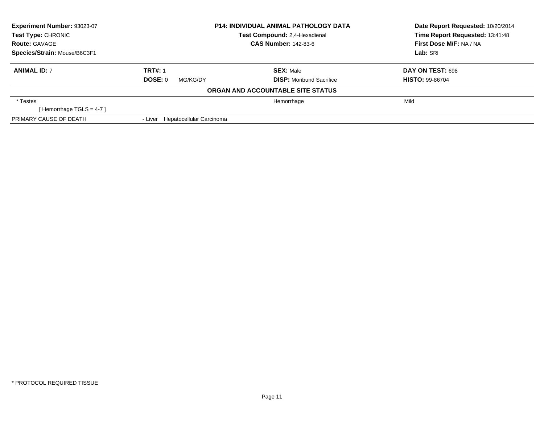| Experiment Number: 93023-07  | <b>P14: INDIVIDUAL ANIMAL PATHOLOGY DATA</b> |                                   | Date Report Requested: 10/20/2014 |
|------------------------------|----------------------------------------------|-----------------------------------|-----------------------------------|
| <b>Test Type: CHRONIC</b>    |                                              | Test Compound: 2,4-Hexadienal     | Time Report Requested: 13:41:48   |
| <b>Route: GAVAGE</b>         |                                              | <b>CAS Number: 142-83-6</b>       | First Dose M/F: NA / NA           |
| Species/Strain: Mouse/B6C3F1 |                                              |                                   | Lab: SRI                          |
| <b>ANIMAL ID: 7</b>          | <b>TRT#: 1</b>                               | <b>SEX: Male</b>                  | DAY ON TEST: 698                  |
|                              | DOSE: 0<br>MG/KG/DY                          | <b>DISP:</b> Moribund Sacrifice   | <b>HISTO: 99-86704</b>            |
|                              |                                              | ORGAN AND ACCOUNTABLE SITE STATUS |                                   |
| * Testes                     |                                              | Hemorrhage                        | Mild                              |
| [Hemorrhage TGLS = $4-7$ ]   |                                              |                                   |                                   |
| PRIMARY CAUSE OF DEATH       | - Liver Hepatocellular Carcinoma             |                                   |                                   |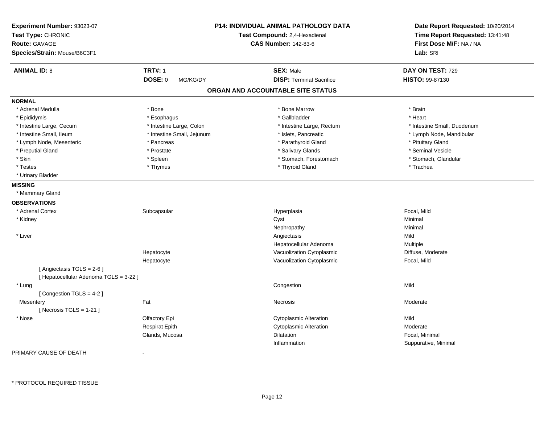| Experiment Number: 93023-07<br>Test Type: CHRONIC<br><b>Route: GAVAGE</b><br>Species/Strain: Mouse/B6C3F1 |                            | P14: INDIVIDUAL ANIMAL PATHOLOGY DATA<br>Test Compound: 2,4-Hexadienal<br><b>CAS Number: 142-83-6</b> | Date Report Requested: 10/20/2014<br>Time Report Requested: 13:41:48<br>First Dose M/F: NA / NA<br>Lab: SRI |
|-----------------------------------------------------------------------------------------------------------|----------------------------|-------------------------------------------------------------------------------------------------------|-------------------------------------------------------------------------------------------------------------|
| <b>ANIMAL ID: 8</b>                                                                                       | <b>TRT#: 1</b>             | <b>SEX: Male</b>                                                                                      | DAY ON TEST: 729                                                                                            |
|                                                                                                           | <b>DOSE: 0</b><br>MG/KG/DY | <b>DISP: Terminal Sacrifice</b>                                                                       | HISTO: 99-87130                                                                                             |
|                                                                                                           |                            | ORGAN AND ACCOUNTABLE SITE STATUS                                                                     |                                                                                                             |
| <b>NORMAL</b>                                                                                             |                            |                                                                                                       |                                                                                                             |
| * Adrenal Medulla                                                                                         | * Bone                     | * Bone Marrow                                                                                         | * Brain                                                                                                     |
| * Epididymis                                                                                              | * Esophagus                | * Gallbladder                                                                                         | * Heart                                                                                                     |
| * Intestine Large, Cecum                                                                                  | * Intestine Large, Colon   | * Intestine Large, Rectum                                                                             | * Intestine Small, Duodenum                                                                                 |
| * Intestine Small, Ileum                                                                                  | * Intestine Small, Jejunum | * Islets, Pancreatic                                                                                  | * Lymph Node, Mandibular                                                                                    |
| * Lymph Node, Mesenteric                                                                                  | * Pancreas                 | * Parathyroid Gland                                                                                   | * Pituitary Gland                                                                                           |
| * Preputial Gland                                                                                         | * Prostate                 | * Salivary Glands                                                                                     | * Seminal Vesicle                                                                                           |
| * Skin                                                                                                    | * Spleen                   | * Stomach, Forestomach                                                                                | * Stomach, Glandular                                                                                        |
| * Testes                                                                                                  | * Thymus                   | * Thyroid Gland                                                                                       | * Trachea                                                                                                   |
| * Urinary Bladder                                                                                         |                            |                                                                                                       |                                                                                                             |
| <b>MISSING</b>                                                                                            |                            |                                                                                                       |                                                                                                             |
| * Mammary Gland                                                                                           |                            |                                                                                                       |                                                                                                             |
| <b>OBSERVATIONS</b>                                                                                       |                            |                                                                                                       |                                                                                                             |
| * Adrenal Cortex                                                                                          | Subcapsular                | Hyperplasia                                                                                           | Focal, Mild                                                                                                 |
| * Kidney                                                                                                  |                            | Cyst                                                                                                  | Minimal                                                                                                     |
|                                                                                                           |                            | Nephropathy                                                                                           | Minimal                                                                                                     |
| * Liver                                                                                                   |                            | Angiectasis                                                                                           | Mild                                                                                                        |
|                                                                                                           |                            | Hepatocellular Adenoma                                                                                | <b>Multiple</b>                                                                                             |
|                                                                                                           | Hepatocyte                 | Vacuolization Cytoplasmic                                                                             | Diffuse, Moderate                                                                                           |
|                                                                                                           | Hepatocyte                 | Vacuolization Cytoplasmic                                                                             | Focal, Mild                                                                                                 |
| [Angiectasis TGLS = 2-6]<br>[ Hepatocellular Adenoma TGLS = 3-22 ]                                        |                            |                                                                                                       |                                                                                                             |
| * Lung                                                                                                    |                            | Congestion                                                                                            | Mild                                                                                                        |
| [Congestion TGLS = 4-2]                                                                                   |                            |                                                                                                       |                                                                                                             |
| Mesentery                                                                                                 | Fat                        | Necrosis                                                                                              | Moderate                                                                                                    |
| [Necrosis TGLS = $1-21$ ]                                                                                 |                            |                                                                                                       |                                                                                                             |
| * Nose                                                                                                    | Olfactory Epi              | Cytoplasmic Alteration                                                                                | Mild                                                                                                        |
|                                                                                                           | <b>Respirat Epith</b>      | <b>Cytoplasmic Alteration</b>                                                                         | Moderate                                                                                                    |
|                                                                                                           | Glands, Mucosa             | Dilatation                                                                                            | Focal, Minimal                                                                                              |
|                                                                                                           |                            | Inflammation                                                                                          | Suppurative, Minimal                                                                                        |

PRIMARY CAUSE OF DEATH-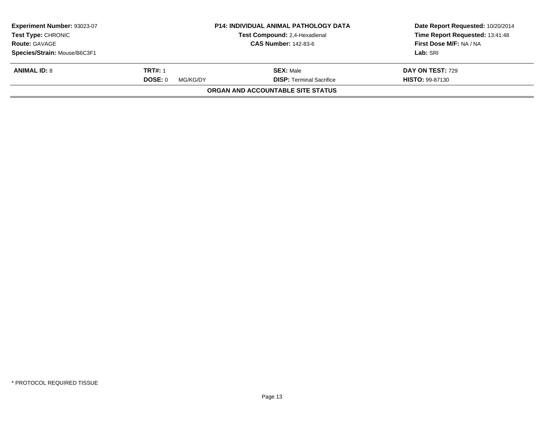| Experiment Number: 93023-07<br>Test Type: CHRONIC   |                     | <b>P14: INDIVIDUAL ANIMAL PATHOLOGY DATA</b><br><b>Test Compound: 2,4-Hexadienal</b> | Date Report Requested: 10/20/2014<br>Time Report Requested: 13:41:48 |
|-----------------------------------------------------|---------------------|--------------------------------------------------------------------------------------|----------------------------------------------------------------------|
| <b>CAS Number: 142-83-6</b><br><b>Route: GAVAGE</b> |                     | First Dose M/F: NA / NA                                                              |                                                                      |
| Species/Strain: Mouse/B6C3F1                        |                     |                                                                                      | Lab: SRI                                                             |
| <b>ANIMAL ID: 8</b>                                 | <b>TRT#: 1</b>      | <b>SEX: Male</b>                                                                     | <b>DAY ON TEST: 729</b>                                              |
|                                                     | DOSE: 0<br>MG/KG/DY | <b>DISP: Terminal Sacrifice</b>                                                      | <b>HISTO: 99-87130</b>                                               |
|                                                     |                     | ORGAN AND ACCOUNTABLE SITE STATUS                                                    |                                                                      |
|                                                     |                     |                                                                                      |                                                                      |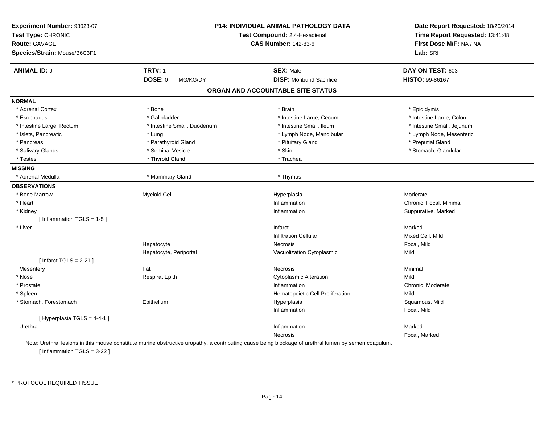| Experiment Number: 93023-07<br>Test Type: CHRONIC<br><b>Route: GAVAGE</b> |                             | P14: INDIVIDUAL ANIMAL PATHOLOGY DATA<br>Test Compound: 2,4-Hexadienal<br><b>CAS Number: 142-83-6</b> | Date Report Requested: 10/20/2014<br>Time Report Requested: 13:41:48<br>First Dose M/F: NA / NA |
|---------------------------------------------------------------------------|-----------------------------|-------------------------------------------------------------------------------------------------------|-------------------------------------------------------------------------------------------------|
| Species/Strain: Mouse/B6C3F1                                              |                             |                                                                                                       | Lab: SRI                                                                                        |
| <b>ANIMAL ID: 9</b>                                                       | <b>TRT#: 1</b>              | <b>SEX: Male</b>                                                                                      | DAY ON TEST: 603                                                                                |
|                                                                           | <b>DOSE: 0</b><br>MG/KG/DY  | <b>DISP:</b> Moribund Sacrifice                                                                       | HISTO: 99-86167                                                                                 |
|                                                                           |                             | ORGAN AND ACCOUNTABLE SITE STATUS                                                                     |                                                                                                 |
| <b>NORMAL</b>                                                             |                             |                                                                                                       |                                                                                                 |
| * Adrenal Cortex                                                          | * Bone                      | * Brain                                                                                               | * Epididymis                                                                                    |
| * Esophagus                                                               | * Gallbladder               | * Intestine Large, Cecum                                                                              | * Intestine Large, Colon                                                                        |
| * Intestine Large, Rectum                                                 | * Intestine Small, Duodenum | * Intestine Small, Ileum                                                                              | * Intestine Small, Jejunum                                                                      |
| * Islets, Pancreatic                                                      | * Lung                      | * Lymph Node, Mandibular                                                                              | * Lymph Node, Mesenteric                                                                        |
| * Pancreas                                                                | * Parathyroid Gland         | * Pituitary Gland                                                                                     | * Preputial Gland                                                                               |
| * Salivary Glands                                                         | * Seminal Vesicle           | * Skin                                                                                                | * Stomach, Glandular                                                                            |
| * Testes                                                                  | * Thyroid Gland             | * Trachea                                                                                             |                                                                                                 |
| <b>MISSING</b>                                                            |                             |                                                                                                       |                                                                                                 |
| * Adrenal Medulla                                                         | * Mammary Gland             | * Thymus                                                                                              |                                                                                                 |
| <b>OBSERVATIONS</b>                                                       |                             |                                                                                                       |                                                                                                 |
| * Bone Marrow                                                             | Myeloid Cell                | Hyperplasia                                                                                           | Moderate                                                                                        |
| * Heart                                                                   |                             | Inflammation                                                                                          | Chronic, Focal, Minimal                                                                         |
| * Kidney                                                                  |                             | Inflammation                                                                                          | Suppurative, Marked                                                                             |
| [Inflammation TGLS = $1-5$ ]                                              |                             |                                                                                                       |                                                                                                 |
| * Liver                                                                   |                             | Infarct                                                                                               | Marked                                                                                          |
|                                                                           |                             | <b>Infiltration Cellular</b>                                                                          | Mixed Cell, Mild                                                                                |
|                                                                           | Hepatocyte                  | Necrosis                                                                                              | Focal, Mild                                                                                     |
|                                                                           | Hepatocyte, Periportal      | Vacuolization Cytoplasmic                                                                             | Mild                                                                                            |
| [Infarct TGLS = $2-21$ ]                                                  |                             |                                                                                                       |                                                                                                 |
| Mesentery                                                                 | Fat                         | Necrosis                                                                                              | Minimal                                                                                         |
| * Nose                                                                    | <b>Respirat Epith</b>       | <b>Cytoplasmic Alteration</b>                                                                         | Mild                                                                                            |
| * Prostate                                                                |                             | Inflammation                                                                                          | Chronic, Moderate                                                                               |
| * Spleen                                                                  |                             | Hematopoietic Cell Proliferation                                                                      | Mild                                                                                            |
| * Stomach, Forestomach                                                    | Epithelium                  | Hyperplasia                                                                                           | Squamous, Mild                                                                                  |
|                                                                           |                             | Inflammation                                                                                          | Focal, Mild                                                                                     |
| [Hyperplasia TGLS = 4-4-1]                                                |                             |                                                                                                       |                                                                                                 |
| Urethra                                                                   |                             | Inflammation                                                                                          | Marked                                                                                          |
|                                                                           |                             | <b>Necrosis</b>                                                                                       | Focal, Marked                                                                                   |

[ Inflammation TGLS = 3-22 ]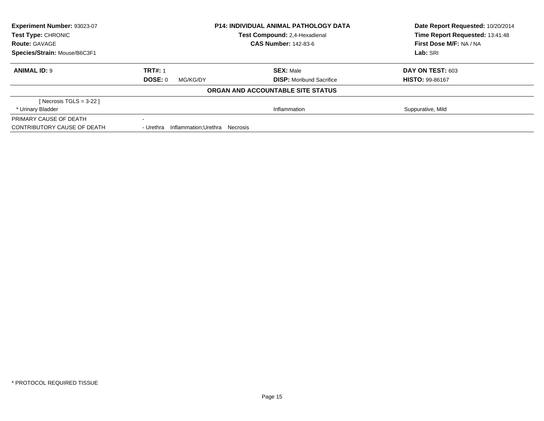| Experiment Number: 93023-07  |                                            | <b>P14: INDIVIDUAL ANIMAL PATHOLOGY DATA</b> | Date Report Requested: 10/20/2014<br>Time Report Requested: 13:41:48 |
|------------------------------|--------------------------------------------|----------------------------------------------|----------------------------------------------------------------------|
| <b>Test Type: CHRONIC</b>    |                                            | Test Compound: 2,4-Hexadienal                |                                                                      |
| <b>Route: GAVAGE</b>         |                                            | <b>CAS Number: 142-83-6</b>                  | First Dose M/F: NA / NA                                              |
| Species/Strain: Mouse/B6C3F1 |                                            |                                              | Lab: SRI                                                             |
| <b>ANIMAL ID: 9</b>          | <b>TRT#: 1</b>                             | <b>SEX: Male</b>                             | DAY ON TEST: 603                                                     |
|                              | DOSE: 0<br>MG/KG/DY                        | <b>DISP:</b> Moribund Sacrifice              | <b>HISTO: 99-86167</b>                                               |
|                              |                                            | ORGAN AND ACCOUNTABLE SITE STATUS            |                                                                      |
| [ Necrosis TGLS = $3-22$ ]   |                                            |                                              |                                                                      |
| * Urinary Bladder            |                                            | Inflammation                                 | Suppurative, Mild                                                    |
| PRIMARY CAUSE OF DEATH       | $\sim$                                     |                                              |                                                                      |
| CONTRIBUTORY CAUSE OF DEATH  | Inflammation:Urethra Necrosis<br>- Urethra |                                              |                                                                      |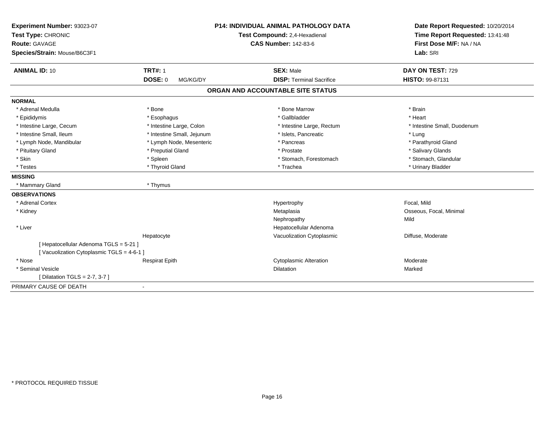| Experiment Number: 93023-07              |                               | <b>P14: INDIVIDUAL ANIMAL PATHOLOGY DATA</b> | Date Report Requested: 10/20/2014 |
|------------------------------------------|-------------------------------|----------------------------------------------|-----------------------------------|
| Test Type: CHRONIC                       | Test Compound: 2,4-Hexadienal |                                              | Time Report Requested: 13:41:48   |
| <b>Route: GAVAGE</b>                     |                               | <b>CAS Number: 142-83-6</b>                  | First Dose M/F: NA / NA           |
| Species/Strain: Mouse/B6C3F1             |                               |                                              | Lab: SRI                          |
| <b>ANIMAL ID: 10</b>                     | <b>TRT#: 1</b>                | <b>SEX: Male</b>                             | DAY ON TEST: 729                  |
|                                          | <b>DOSE: 0</b><br>MG/KG/DY    | <b>DISP: Terminal Sacrifice</b>              | <b>HISTO: 99-87131</b>            |
|                                          |                               | ORGAN AND ACCOUNTABLE SITE STATUS            |                                   |
| <b>NORMAL</b>                            |                               |                                              |                                   |
| * Adrenal Medulla                        | * Bone                        | * Bone Marrow                                | * Brain                           |
| * Epididymis                             | * Esophagus                   | * Gallbladder                                | * Heart                           |
| * Intestine Large, Cecum                 | * Intestine Large, Colon      | * Intestine Large, Rectum                    | * Intestine Small, Duodenum       |
| * Intestine Small. Ileum                 | * Intestine Small, Jejunum    | * Islets, Pancreatic                         | * Lung                            |
| * Lymph Node, Mandibular                 | * Lymph Node, Mesenteric      | * Pancreas                                   | * Parathyroid Gland               |
| * Pituitary Gland                        | * Preputial Gland             | * Prostate                                   | * Salivary Glands                 |
| * Skin                                   | * Spleen                      | * Stomach, Forestomach                       | * Stomach, Glandular              |
| * Testes                                 | * Thyroid Gland               | * Trachea                                    | * Urinary Bladder                 |
| <b>MISSING</b>                           |                               |                                              |                                   |
| * Mammary Gland                          | * Thymus                      |                                              |                                   |
| <b>OBSERVATIONS</b>                      |                               |                                              |                                   |
| * Adrenal Cortex                         |                               | Hypertrophy                                  | Focal. Mild                       |
| * Kidney                                 |                               | Metaplasia                                   | Osseous, Focal, Minimal           |
|                                          |                               | Nephropathy                                  | Mild                              |
| * Liver                                  |                               | Hepatocellular Adenoma                       |                                   |
|                                          | Hepatocyte                    | Vacuolization Cytoplasmic                    | Diffuse, Moderate                 |
| [ Hepatocellular Adenoma TGLS = 5-21 ]   |                               |                                              |                                   |
| [Vacuolization Cytoplasmic TGLS = 4-6-1] |                               |                                              |                                   |
| * Nose                                   | <b>Respirat Epith</b>         | <b>Cytoplasmic Alteration</b>                | Moderate                          |
| * Seminal Vesicle                        |                               | <b>Dilatation</b>                            | Marked                            |
| [ Dilatation TGLS = 2-7, 3-7 ]           |                               |                                              |                                   |
| PRIMARY CAUSE OF DEATH                   | $\blacksquare$                |                                              |                                   |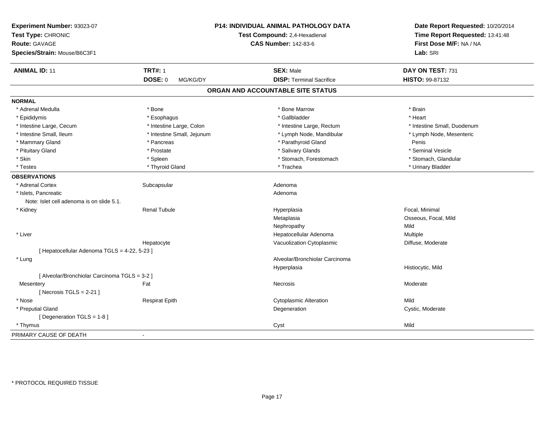| Experiment Number: 93023-07<br>Test Type: CHRONIC<br><b>Route: GAVAGE</b> |                            | P14: INDIVIDUAL ANIMAL PATHOLOGY DATA<br>Test Compound: 2,4-Hexadienal<br><b>CAS Number: 142-83-6</b> | Date Report Requested: 10/20/2014<br>Time Report Requested: 13:41:48<br>First Dose M/F: NA / NA |
|---------------------------------------------------------------------------|----------------------------|-------------------------------------------------------------------------------------------------------|-------------------------------------------------------------------------------------------------|
| Species/Strain: Mouse/B6C3F1                                              |                            |                                                                                                       | Lab: SRI                                                                                        |
| <b>ANIMAL ID: 11</b>                                                      | <b>TRT#: 1</b>             | <b>SEX: Male</b>                                                                                      | DAY ON TEST: 731                                                                                |
|                                                                           | DOSE: 0<br>MG/KG/DY        | <b>DISP: Terminal Sacrifice</b>                                                                       | HISTO: 99-87132                                                                                 |
|                                                                           |                            | ORGAN AND ACCOUNTABLE SITE STATUS                                                                     |                                                                                                 |
| <b>NORMAL</b>                                                             |                            |                                                                                                       |                                                                                                 |
| * Adrenal Medulla                                                         | * Bone                     | * Bone Marrow                                                                                         | * Brain                                                                                         |
| * Epididymis                                                              | * Esophagus                | * Gallbladder                                                                                         | * Heart                                                                                         |
| * Intestine Large, Cecum                                                  | * Intestine Large, Colon   | * Intestine Large, Rectum                                                                             | * Intestine Small, Duodenum                                                                     |
| * Intestine Small, Ileum                                                  | * Intestine Small, Jejunum | * Lymph Node, Mandibular                                                                              | * Lymph Node, Mesenteric                                                                        |
| * Mammary Gland                                                           | * Pancreas                 | * Parathyroid Gland                                                                                   | Penis                                                                                           |
| * Pituitary Gland                                                         | * Prostate                 | * Salivary Glands                                                                                     | * Seminal Vesicle                                                                               |
| * Skin                                                                    | * Spleen                   | * Stomach, Forestomach                                                                                | * Stomach, Glandular                                                                            |
| * Testes                                                                  | * Thyroid Gland            | * Trachea                                                                                             | * Urinary Bladder                                                                               |
| <b>OBSERVATIONS</b>                                                       |                            |                                                                                                       |                                                                                                 |
| * Adrenal Cortex                                                          | Subcapsular                | Adenoma                                                                                               |                                                                                                 |
| * Islets, Pancreatic                                                      |                            | Adenoma                                                                                               |                                                                                                 |
| Note: Islet cell adenoma is on slide 5.1.                                 |                            |                                                                                                       |                                                                                                 |
| * Kidney                                                                  | <b>Renal Tubule</b>        | Hyperplasia                                                                                           | Focal, Minimal                                                                                  |
|                                                                           |                            | Metaplasia                                                                                            | Osseous, Focal, Mild                                                                            |
|                                                                           |                            | Nephropathy                                                                                           | Mild                                                                                            |
| * Liver                                                                   |                            | Hepatocellular Adenoma                                                                                | Multiple                                                                                        |
|                                                                           | Hepatocyte                 | Vacuolization Cytoplasmic                                                                             | Diffuse, Moderate                                                                               |
| [ Hepatocellular Adenoma TGLS = 4-22, 5-23 ]                              |                            |                                                                                                       |                                                                                                 |
| * Lung                                                                    |                            | Alveolar/Bronchiolar Carcinoma                                                                        |                                                                                                 |
|                                                                           |                            | Hyperplasia                                                                                           | Histiocytic, Mild                                                                               |
| [ Alveolar/Bronchiolar Carcinoma TGLS = 3-2 ]                             |                            |                                                                                                       |                                                                                                 |
| Mesentery                                                                 | Fat                        | Necrosis                                                                                              | Moderate                                                                                        |
| [Necrosis $TGLS = 2-21$ ]                                                 |                            |                                                                                                       |                                                                                                 |
| * Nose                                                                    | <b>Respirat Epith</b>      | <b>Cytoplasmic Alteration</b>                                                                         | Mild                                                                                            |
| * Preputial Gland                                                         |                            | Degeneration                                                                                          | Cystic, Moderate                                                                                |
| [ Degeneration TGLS = 1-8 ]                                               |                            |                                                                                                       |                                                                                                 |
| * Thymus                                                                  |                            | Cyst                                                                                                  | Mild                                                                                            |
| PRIMARY CAUSE OF DEATH                                                    | $\blacksquare$             |                                                                                                       |                                                                                                 |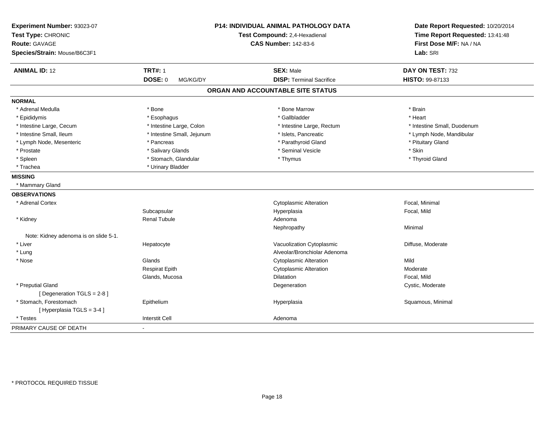| Experiment Number: 93023-07<br>Test Type: CHRONIC<br><b>Route: GAVAGE</b><br>Species/Strain: Mouse/B6C3F1 |                            | P14: INDIVIDUAL ANIMAL PATHOLOGY DATA<br>Test Compound: 2,4-Hexadienal<br><b>CAS Number: 142-83-6</b> | Date Report Requested: 10/20/2014<br>Time Report Requested: 13:41:48<br>First Dose M/F: NA / NA<br>Lab: SRI |
|-----------------------------------------------------------------------------------------------------------|----------------------------|-------------------------------------------------------------------------------------------------------|-------------------------------------------------------------------------------------------------------------|
| <b>ANIMAL ID: 12</b>                                                                                      | <b>TRT#: 1</b>             | <b>SEX: Male</b>                                                                                      | DAY ON TEST: 732                                                                                            |
|                                                                                                           | <b>DOSE: 0</b><br>MG/KG/DY | <b>DISP: Terminal Sacrifice</b>                                                                       | <b>HISTO: 99-87133</b>                                                                                      |
|                                                                                                           |                            | ORGAN AND ACCOUNTABLE SITE STATUS                                                                     |                                                                                                             |
| <b>NORMAL</b>                                                                                             |                            |                                                                                                       |                                                                                                             |
| * Adrenal Medulla                                                                                         | * Bone                     | * Bone Marrow                                                                                         | * Brain                                                                                                     |
| * Epididymis                                                                                              | * Esophagus                | * Gallbladder                                                                                         | * Heart                                                                                                     |
| * Intestine Large, Cecum                                                                                  | * Intestine Large, Colon   | * Intestine Large, Rectum                                                                             | * Intestine Small, Duodenum                                                                                 |
| * Intestine Small, Ileum                                                                                  | * Intestine Small, Jejunum | * Islets, Pancreatic                                                                                  | * Lymph Node, Mandibular                                                                                    |
| * Lymph Node, Mesenteric                                                                                  | * Pancreas                 | * Parathyroid Gland                                                                                   | * Pituitary Gland                                                                                           |
| * Prostate                                                                                                | * Salivary Glands          | * Seminal Vesicle                                                                                     | * Skin                                                                                                      |
| * Spleen                                                                                                  | * Stomach, Glandular       | * Thymus                                                                                              | * Thyroid Gland                                                                                             |
| * Trachea                                                                                                 | * Urinary Bladder          |                                                                                                       |                                                                                                             |
| <b>MISSING</b>                                                                                            |                            |                                                                                                       |                                                                                                             |
| * Mammary Gland                                                                                           |                            |                                                                                                       |                                                                                                             |
| <b>OBSERVATIONS</b>                                                                                       |                            |                                                                                                       |                                                                                                             |
| * Adrenal Cortex                                                                                          |                            | <b>Cytoplasmic Alteration</b>                                                                         | Focal, Minimal                                                                                              |
|                                                                                                           | Subcapsular                | Hyperplasia                                                                                           | Focal, Mild                                                                                                 |
| * Kidney                                                                                                  | <b>Renal Tubule</b>        | Adenoma                                                                                               |                                                                                                             |
|                                                                                                           |                            | Nephropathy                                                                                           | Minimal                                                                                                     |
| Note: Kidney adenoma is on slide 5-1.                                                                     |                            |                                                                                                       |                                                                                                             |
| * Liver                                                                                                   | Hepatocyte                 | Vacuolization Cytoplasmic                                                                             | Diffuse, Moderate                                                                                           |
| * Lung                                                                                                    |                            | Alveolar/Bronchiolar Adenoma                                                                          |                                                                                                             |
| * Nose                                                                                                    | Glands                     | <b>Cytoplasmic Alteration</b>                                                                         | Mild                                                                                                        |
|                                                                                                           | <b>Respirat Epith</b>      | <b>Cytoplasmic Alteration</b>                                                                         | Moderate                                                                                                    |
|                                                                                                           | Glands, Mucosa             | Dilatation                                                                                            | Focal, Mild                                                                                                 |
| * Preputial Gland                                                                                         |                            | Degeneration                                                                                          | Cystic, Moderate                                                                                            |
| [ Degeneration TGLS = 2-8 ]                                                                               |                            |                                                                                                       |                                                                                                             |
| * Stomach, Forestomach                                                                                    | Epithelium                 | Hyperplasia                                                                                           | Squamous, Minimal                                                                                           |
| [Hyperplasia TGLS = 3-4]                                                                                  |                            |                                                                                                       |                                                                                                             |
| * Testes                                                                                                  | <b>Interstit Cell</b>      | Adenoma                                                                                               |                                                                                                             |
| PRIMARY CAUSE OF DEATH                                                                                    |                            |                                                                                                       |                                                                                                             |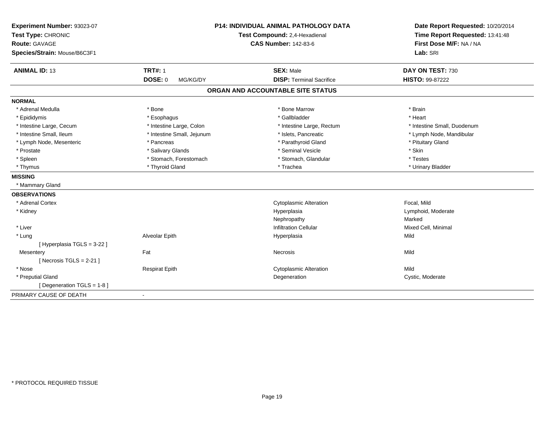| Experiment Number: 93023-07<br>Test Type: CHRONIC<br><b>Route: GAVAGE</b><br>Species/Strain: Mouse/B6C3F1 |                            | <b>P14: INDIVIDUAL ANIMAL PATHOLOGY DATA</b><br>Test Compound: 2,4-Hexadienal<br><b>CAS Number: 142-83-6</b> | Date Report Requested: 10/20/2014<br>Time Report Requested: 13:41:48<br>First Dose M/F: NA / NA<br>Lab: SRI |
|-----------------------------------------------------------------------------------------------------------|----------------------------|--------------------------------------------------------------------------------------------------------------|-------------------------------------------------------------------------------------------------------------|
| <b>ANIMAL ID: 13</b>                                                                                      | <b>TRT#: 1</b>             | <b>SEX: Male</b>                                                                                             | DAY ON TEST: 730                                                                                            |
|                                                                                                           | <b>DOSE: 0</b><br>MG/KG/DY | <b>DISP: Terminal Sacrifice</b>                                                                              | HISTO: 99-87222                                                                                             |
|                                                                                                           |                            | ORGAN AND ACCOUNTABLE SITE STATUS                                                                            |                                                                                                             |
| <b>NORMAL</b>                                                                                             |                            |                                                                                                              |                                                                                                             |
| * Adrenal Medulla                                                                                         | * Bone                     | * Bone Marrow                                                                                                | * Brain                                                                                                     |
| * Epididymis                                                                                              | * Esophagus                | * Gallbladder                                                                                                | * Heart                                                                                                     |
| * Intestine Large, Cecum                                                                                  | * Intestine Large, Colon   | * Intestine Large, Rectum                                                                                    | * Intestine Small, Duodenum                                                                                 |
| * Intestine Small, Ileum                                                                                  | * Intestine Small, Jejunum | * Islets, Pancreatic                                                                                         | * Lymph Node, Mandibular                                                                                    |
| * Lymph Node, Mesenteric                                                                                  | * Pancreas                 | * Parathyroid Gland                                                                                          | * Pituitary Gland                                                                                           |
| * Prostate                                                                                                | * Salivary Glands          | * Seminal Vesicle                                                                                            | * Skin                                                                                                      |
| * Spleen                                                                                                  | * Stomach, Forestomach     | * Stomach, Glandular                                                                                         | * Testes                                                                                                    |
| * Thymus                                                                                                  | * Thyroid Gland            | * Trachea                                                                                                    | * Urinary Bladder                                                                                           |
| <b>MISSING</b>                                                                                            |                            |                                                                                                              |                                                                                                             |
| * Mammary Gland                                                                                           |                            |                                                                                                              |                                                                                                             |
| <b>OBSERVATIONS</b>                                                                                       |                            |                                                                                                              |                                                                                                             |
| * Adrenal Cortex                                                                                          |                            | <b>Cytoplasmic Alteration</b>                                                                                | Focal, Mild                                                                                                 |
| * Kidney                                                                                                  |                            | Hyperplasia                                                                                                  | Lymphoid, Moderate                                                                                          |
|                                                                                                           |                            | Nephropathy                                                                                                  | Marked                                                                                                      |
| * Liver                                                                                                   |                            | <b>Infiltration Cellular</b>                                                                                 | Mixed Cell, Minimal                                                                                         |
| * Lung                                                                                                    | Alveolar Epith             | Hyperplasia                                                                                                  | Mild                                                                                                        |
| [ Hyperplasia TGLS = 3-22 ]                                                                               |                            |                                                                                                              |                                                                                                             |
| Mesentery                                                                                                 | Fat                        | Necrosis                                                                                                     | Mild                                                                                                        |
| [ Necrosis TGLS = $2-21$ ]                                                                                |                            |                                                                                                              |                                                                                                             |
| * Nose                                                                                                    | <b>Respirat Epith</b>      | <b>Cytoplasmic Alteration</b>                                                                                | Mild                                                                                                        |
| * Preputial Gland                                                                                         |                            | Degeneration                                                                                                 | Cystic, Moderate                                                                                            |
| [ Degeneration TGLS = 1-8 ]                                                                               |                            |                                                                                                              |                                                                                                             |
| PRIMARY CAUSE OF DEATH                                                                                    | $\blacksquare$             |                                                                                                              |                                                                                                             |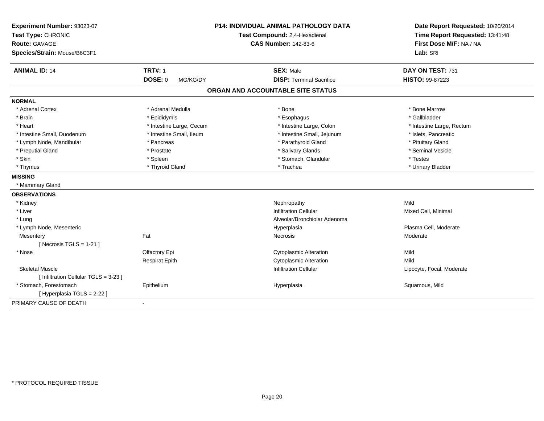| Experiment Number: 93023-07<br>Test Type: CHRONIC<br><b>Route: GAVAGE</b><br>Species/Strain: Mouse/B6C3F1 |                            | <b>P14: INDIVIDUAL ANIMAL PATHOLOGY DATA</b><br>Test Compound: 2,4-Hexadienal<br><b>CAS Number: 142-83-6</b> | Date Report Requested: 10/20/2014<br>Time Report Requested: 13:41:48<br>First Dose M/F: NA / NA<br>Lab: SRI |
|-----------------------------------------------------------------------------------------------------------|----------------------------|--------------------------------------------------------------------------------------------------------------|-------------------------------------------------------------------------------------------------------------|
| <b>ANIMAL ID: 14</b>                                                                                      | <b>TRT#: 1</b>             | <b>SEX: Male</b>                                                                                             | DAY ON TEST: 731                                                                                            |
|                                                                                                           | <b>DOSE: 0</b><br>MG/KG/DY | <b>DISP: Terminal Sacrifice</b>                                                                              | HISTO: 99-87223                                                                                             |
|                                                                                                           |                            | ORGAN AND ACCOUNTABLE SITE STATUS                                                                            |                                                                                                             |
| <b>NORMAL</b>                                                                                             |                            |                                                                                                              |                                                                                                             |
| * Adrenal Cortex                                                                                          | * Adrenal Medulla          | * Bone                                                                                                       | * Bone Marrow                                                                                               |
| * Brain                                                                                                   | * Epididymis               | * Esophagus                                                                                                  | * Gallbladder                                                                                               |
| * Heart                                                                                                   | * Intestine Large, Cecum   | * Intestine Large, Colon                                                                                     | * Intestine Large, Rectum                                                                                   |
| * Intestine Small, Duodenum                                                                               | * Intestine Small, Ileum   | * Intestine Small, Jejunum                                                                                   | * Islets, Pancreatic                                                                                        |
| * Lymph Node, Mandibular                                                                                  | * Pancreas                 | * Parathyroid Gland                                                                                          | * Pituitary Gland                                                                                           |
| * Preputial Gland                                                                                         | * Prostate                 | * Salivary Glands                                                                                            | * Seminal Vesicle                                                                                           |
| * Skin                                                                                                    | * Spleen                   | * Stomach, Glandular                                                                                         | * Testes                                                                                                    |
| * Thymus                                                                                                  | * Thyroid Gland            | * Trachea                                                                                                    | * Urinary Bladder                                                                                           |
| <b>MISSING</b>                                                                                            |                            |                                                                                                              |                                                                                                             |
| * Mammary Gland                                                                                           |                            |                                                                                                              |                                                                                                             |
| <b>OBSERVATIONS</b>                                                                                       |                            |                                                                                                              |                                                                                                             |
| * Kidney                                                                                                  |                            | Nephropathy                                                                                                  | Mild                                                                                                        |
| * Liver                                                                                                   |                            | <b>Infiltration Cellular</b>                                                                                 | Mixed Cell, Minimal                                                                                         |
| * Lung                                                                                                    |                            | Alveolar/Bronchiolar Adenoma                                                                                 |                                                                                                             |
| * Lymph Node, Mesenteric                                                                                  |                            | Hyperplasia                                                                                                  | Plasma Cell, Moderate                                                                                       |
| Mesentery                                                                                                 | Fat                        | Necrosis                                                                                                     | Moderate                                                                                                    |
| [Necrosis TGLS = 1-21]                                                                                    |                            |                                                                                                              |                                                                                                             |
| * Nose                                                                                                    | Olfactory Epi              | <b>Cytoplasmic Alteration</b>                                                                                | Mild                                                                                                        |
|                                                                                                           | <b>Respirat Epith</b>      | <b>Cytoplasmic Alteration</b>                                                                                | Mild                                                                                                        |
| <b>Skeletal Muscle</b>                                                                                    |                            | <b>Infiltration Cellular</b>                                                                                 | Lipocyte, Focal, Moderate                                                                                   |
| [ Infiltration Cellular TGLS = 3-23 ]                                                                     |                            |                                                                                                              |                                                                                                             |
| * Stomach, Forestomach                                                                                    | Epithelium                 | Hyperplasia                                                                                                  | Squamous, Mild                                                                                              |
| [ Hyperplasia TGLS = 2-22 ]                                                                               |                            |                                                                                                              |                                                                                                             |
| PRIMARY CAUSE OF DEATH                                                                                    | ä,                         |                                                                                                              |                                                                                                             |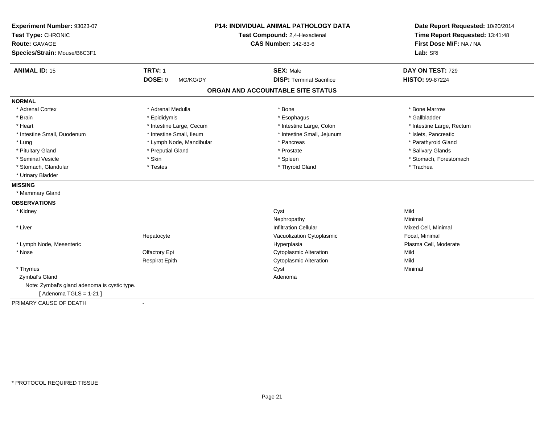| Experiment Number: 93023-07<br>Test Type: CHRONIC<br>Route: GAVAGE<br>Species/Strain: Mouse/B6C3F1 |                          | <b>P14: INDIVIDUAL ANIMAL PATHOLOGY DATA</b><br>Test Compound: 2,4-Hexadienal<br><b>CAS Number: 142-83-6</b> | Date Report Requested: 10/20/2014<br>Time Report Requested: 13:41:48<br>First Dose M/F: NA / NA<br>Lab: SRI |
|----------------------------------------------------------------------------------------------------|--------------------------|--------------------------------------------------------------------------------------------------------------|-------------------------------------------------------------------------------------------------------------|
| <b>ANIMAL ID: 15</b>                                                                               | <b>TRT#: 1</b>           | <b>SEX: Male</b>                                                                                             | DAY ON TEST: 729                                                                                            |
|                                                                                                    | DOSE: 0<br>MG/KG/DY      | <b>DISP: Terminal Sacrifice</b>                                                                              | HISTO: 99-87224                                                                                             |
|                                                                                                    |                          | ORGAN AND ACCOUNTABLE SITE STATUS                                                                            |                                                                                                             |
| <b>NORMAL</b>                                                                                      |                          |                                                                                                              |                                                                                                             |
| * Adrenal Cortex                                                                                   | * Adrenal Medulla        | * Bone                                                                                                       | * Bone Marrow                                                                                               |
| * Brain                                                                                            | * Epididymis             | * Esophagus                                                                                                  | * Gallbladder                                                                                               |
| * Heart                                                                                            | * Intestine Large, Cecum | * Intestine Large, Colon                                                                                     | * Intestine Large, Rectum                                                                                   |
| * Intestine Small, Duodenum                                                                        | * Intestine Small, Ileum | * Intestine Small, Jejunum                                                                                   | * Islets, Pancreatic                                                                                        |
| * Lung                                                                                             | * Lymph Node, Mandibular | * Pancreas                                                                                                   | * Parathyroid Gland                                                                                         |
| * Pituitary Gland                                                                                  | * Preputial Gland        | * Prostate                                                                                                   | * Salivary Glands                                                                                           |
| * Seminal Vesicle                                                                                  | * Skin                   | * Spleen                                                                                                     | * Stomach, Forestomach                                                                                      |
| * Stomach, Glandular                                                                               | * Testes                 | * Thyroid Gland                                                                                              | * Trachea                                                                                                   |
| * Urinary Bladder                                                                                  |                          |                                                                                                              |                                                                                                             |
| <b>MISSING</b>                                                                                     |                          |                                                                                                              |                                                                                                             |
| * Mammary Gland                                                                                    |                          |                                                                                                              |                                                                                                             |
| <b>OBSERVATIONS</b>                                                                                |                          |                                                                                                              |                                                                                                             |
| * Kidney                                                                                           |                          | Cyst                                                                                                         | Mild                                                                                                        |
|                                                                                                    |                          | Nephropathy                                                                                                  | Minimal                                                                                                     |
| * Liver                                                                                            |                          | <b>Infiltration Cellular</b>                                                                                 | Mixed Cell, Minimal                                                                                         |
|                                                                                                    | Hepatocyte               | Vacuolization Cytoplasmic                                                                                    | Focal, Minimal                                                                                              |
| * Lymph Node, Mesenteric                                                                           |                          | Hyperplasia                                                                                                  | Plasma Cell, Moderate                                                                                       |
| * Nose                                                                                             | Olfactory Epi            | <b>Cytoplasmic Alteration</b>                                                                                | Mild                                                                                                        |
|                                                                                                    | <b>Respirat Epith</b>    | <b>Cytoplasmic Alteration</b>                                                                                | Mild                                                                                                        |
| * Thymus                                                                                           |                          | Cyst                                                                                                         | Minimal                                                                                                     |
| Zymbal's Gland                                                                                     |                          | Adenoma                                                                                                      |                                                                                                             |
| Note: Zymbal's gland adenoma is cystic type.                                                       |                          |                                                                                                              |                                                                                                             |
| [Adenoma TGLS = $1-21$ ]                                                                           |                          |                                                                                                              |                                                                                                             |
| PRIMARY CAUSE OF DEATH                                                                             |                          |                                                                                                              |                                                                                                             |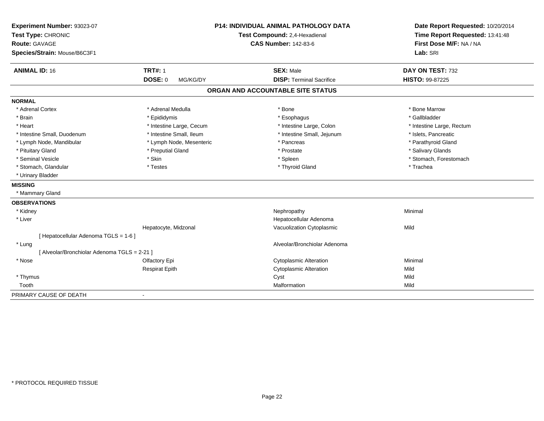| Experiment Number: 93023-07<br>Test Type: CHRONIC<br><b>Route: GAVAGE</b> |                            | <b>P14: INDIVIDUAL ANIMAL PATHOLOGY DATA</b><br>Test Compound: 2,4-Hexadienal<br><b>CAS Number: 142-83-6</b> | Date Report Requested: 10/20/2014<br>Time Report Requested: 13:41:48<br>First Dose M/F: NA / NA |
|---------------------------------------------------------------------------|----------------------------|--------------------------------------------------------------------------------------------------------------|-------------------------------------------------------------------------------------------------|
| Species/Strain: Mouse/B6C3F1                                              |                            |                                                                                                              | Lab: SRI                                                                                        |
| <b>ANIMAL ID: 16</b>                                                      | <b>TRT#: 1</b>             | <b>SEX: Male</b>                                                                                             | DAY ON TEST: 732                                                                                |
|                                                                           | <b>DOSE: 0</b><br>MG/KG/DY | <b>DISP: Terminal Sacrifice</b>                                                                              | HISTO: 99-87225                                                                                 |
|                                                                           |                            | ORGAN AND ACCOUNTABLE SITE STATUS                                                                            |                                                                                                 |
| <b>NORMAL</b>                                                             |                            |                                                                                                              |                                                                                                 |
| * Adrenal Cortex                                                          | * Adrenal Medulla          | * Bone                                                                                                       | * Bone Marrow                                                                                   |
| * Brain                                                                   | * Epididymis               | * Esophagus                                                                                                  | * Gallbladder                                                                                   |
| * Heart                                                                   | * Intestine Large, Cecum   | * Intestine Large, Colon                                                                                     | * Intestine Large, Rectum                                                                       |
| * Intestine Small, Duodenum                                               | * Intestine Small, Ileum   | * Intestine Small, Jejunum                                                                                   | * Islets, Pancreatic                                                                            |
| * Lymph Node, Mandibular                                                  | * Lymph Node, Mesenteric   | * Pancreas                                                                                                   | * Parathyroid Gland                                                                             |
| * Pituitary Gland                                                         | * Preputial Gland          | * Prostate                                                                                                   | * Salivary Glands                                                                               |
| * Seminal Vesicle                                                         | * Skin                     | * Spleen                                                                                                     | * Stomach, Forestomach                                                                          |
| * Stomach, Glandular                                                      | * Testes                   | * Thyroid Gland                                                                                              | * Trachea                                                                                       |
| * Urinary Bladder                                                         |                            |                                                                                                              |                                                                                                 |
| <b>MISSING</b>                                                            |                            |                                                                                                              |                                                                                                 |
| * Mammary Gland                                                           |                            |                                                                                                              |                                                                                                 |
| <b>OBSERVATIONS</b>                                                       |                            |                                                                                                              |                                                                                                 |
| * Kidney                                                                  |                            | Nephropathy                                                                                                  | Minimal                                                                                         |
| * Liver                                                                   |                            | Hepatocellular Adenoma                                                                                       |                                                                                                 |
|                                                                           | Hepatocyte, Midzonal       | Vacuolization Cytoplasmic                                                                                    | Mild                                                                                            |
| [ Hepatocellular Adenoma TGLS = 1-6 ]                                     |                            |                                                                                                              |                                                                                                 |
| * Lung                                                                    |                            | Alveolar/Bronchiolar Adenoma                                                                                 |                                                                                                 |
| [ Alveolar/Bronchiolar Adenoma TGLS = 2-21 ]                              |                            |                                                                                                              |                                                                                                 |
| * Nose                                                                    | Olfactory Epi              | <b>Cytoplasmic Alteration</b>                                                                                | Minimal                                                                                         |
|                                                                           | <b>Respirat Epith</b>      | <b>Cytoplasmic Alteration</b>                                                                                | Mild                                                                                            |
| * Thymus                                                                  |                            | Cyst                                                                                                         | Mild                                                                                            |
| Tooth                                                                     |                            | Malformation                                                                                                 | Mild                                                                                            |
| PRIMARY CAUSE OF DEATH                                                    |                            |                                                                                                              |                                                                                                 |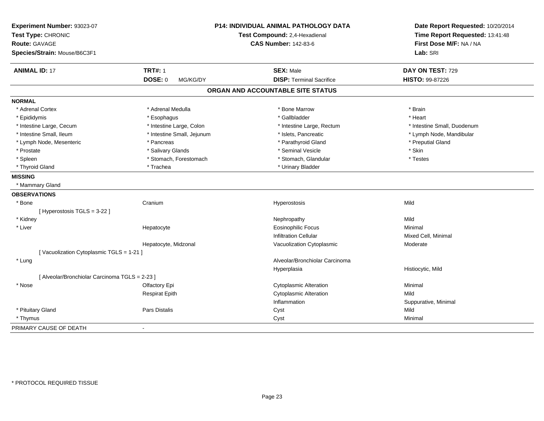| Experiment Number: 93023-07<br>Test Type: CHRONIC<br><b>Route: GAVAGE</b><br>Species/Strain: Mouse/B6C3F1 |                            | P14: INDIVIDUAL ANIMAL PATHOLOGY DATA<br>Test Compound: 2,4-Hexadienal<br><b>CAS Number: 142-83-6</b> | Date Report Requested: 10/20/2014<br>Time Report Requested: 13:41:48<br>First Dose M/F: NA / NA<br>Lab: SRI |
|-----------------------------------------------------------------------------------------------------------|----------------------------|-------------------------------------------------------------------------------------------------------|-------------------------------------------------------------------------------------------------------------|
| <b>ANIMAL ID: 17</b>                                                                                      | <b>TRT#: 1</b>             | <b>SEX: Male</b>                                                                                      | DAY ON TEST: 729                                                                                            |
|                                                                                                           | <b>DOSE: 0</b><br>MG/KG/DY | <b>DISP: Terminal Sacrifice</b>                                                                       | HISTO: 99-87226                                                                                             |
|                                                                                                           |                            | ORGAN AND ACCOUNTABLE SITE STATUS                                                                     |                                                                                                             |
| <b>NORMAL</b>                                                                                             |                            |                                                                                                       |                                                                                                             |
| * Adrenal Cortex                                                                                          | * Adrenal Medulla          | * Bone Marrow                                                                                         | * Brain                                                                                                     |
| * Epididymis                                                                                              | * Esophagus                | * Gallbladder                                                                                         | * Heart                                                                                                     |
| * Intestine Large, Cecum                                                                                  | * Intestine Large, Colon   | * Intestine Large, Rectum                                                                             | * Intestine Small, Duodenum                                                                                 |
| * Intestine Small, Ileum                                                                                  | * Intestine Small, Jejunum | * Islets, Pancreatic                                                                                  | * Lymph Node, Mandibular                                                                                    |
| * Lymph Node, Mesenteric                                                                                  | * Pancreas                 | * Parathyroid Gland                                                                                   | * Preputial Gland                                                                                           |
| * Prostate                                                                                                | * Salivary Glands          | * Seminal Vesicle                                                                                     | * Skin                                                                                                      |
| * Spleen                                                                                                  | * Stomach, Forestomach     | * Stomach, Glandular                                                                                  | * Testes                                                                                                    |
| * Thyroid Gland                                                                                           | * Trachea                  | * Urinary Bladder                                                                                     |                                                                                                             |
| <b>MISSING</b>                                                                                            |                            |                                                                                                       |                                                                                                             |
| * Mammary Gland                                                                                           |                            |                                                                                                       |                                                                                                             |
| <b>OBSERVATIONS</b>                                                                                       |                            |                                                                                                       |                                                                                                             |
| * Bone                                                                                                    | Cranium                    | Hyperostosis                                                                                          | Mild                                                                                                        |
| [Hyperostosis TGLS = 3-22]                                                                                |                            |                                                                                                       |                                                                                                             |
| * Kidney                                                                                                  |                            | Nephropathy                                                                                           | Mild                                                                                                        |
| * Liver                                                                                                   | Hepatocyte                 | <b>Eosinophilic Focus</b>                                                                             | Minimal                                                                                                     |
|                                                                                                           |                            | <b>Infiltration Cellular</b>                                                                          | Mixed Cell, Minimal                                                                                         |
|                                                                                                           | Hepatocyte, Midzonal       | Vacuolization Cytoplasmic                                                                             | Moderate                                                                                                    |
| [Vacuolization Cytoplasmic TGLS = 1-21]                                                                   |                            |                                                                                                       |                                                                                                             |
| * Lung                                                                                                    |                            | Alveolar/Bronchiolar Carcinoma                                                                        |                                                                                                             |
|                                                                                                           |                            | Hyperplasia                                                                                           | Histiocytic, Mild                                                                                           |
| [ Alveolar/Bronchiolar Carcinoma TGLS = 2-23 ]                                                            |                            |                                                                                                       |                                                                                                             |
| * Nose                                                                                                    | Olfactory Epi              | <b>Cytoplasmic Alteration</b>                                                                         | Minimal                                                                                                     |
|                                                                                                           | <b>Respirat Epith</b>      | <b>Cytoplasmic Alteration</b>                                                                         | Mild                                                                                                        |
|                                                                                                           |                            | Inflammation                                                                                          | Suppurative, Minimal                                                                                        |
| * Pituitary Gland                                                                                         | Pars Distalis              | Cyst                                                                                                  | Mild                                                                                                        |
| * Thymus                                                                                                  |                            | Cyst                                                                                                  | Minimal                                                                                                     |
| PRIMARY CAUSE OF DEATH                                                                                    | $\overline{a}$             |                                                                                                       |                                                                                                             |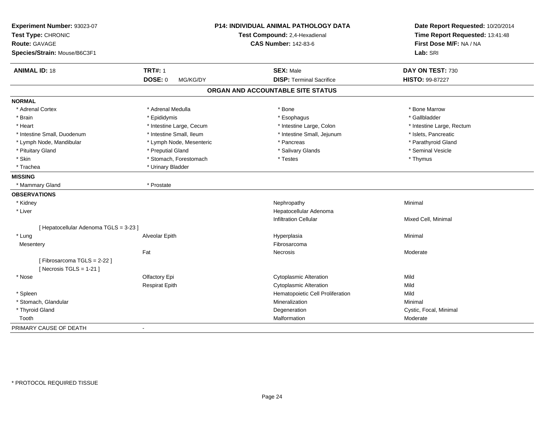| Experiment Number: 93023-07<br>Test Type: CHRONIC<br><b>Route: GAVAGE</b><br>Species/Strain: Mouse/B6C3F1 |                            | <b>P14: INDIVIDUAL ANIMAL PATHOLOGY DATA</b><br>Test Compound: 2,4-Hexadienal<br><b>CAS Number: 142-83-6</b> | Date Report Requested: 10/20/2014<br>Time Report Requested: 13:41:48<br>First Dose M/F: NA / NA<br>Lab: SRI |
|-----------------------------------------------------------------------------------------------------------|----------------------------|--------------------------------------------------------------------------------------------------------------|-------------------------------------------------------------------------------------------------------------|
| <b>ANIMAL ID: 18</b>                                                                                      | <b>TRT#: 1</b>             | <b>SEX: Male</b>                                                                                             | DAY ON TEST: 730                                                                                            |
|                                                                                                           | <b>DOSE: 0</b><br>MG/KG/DY | <b>DISP:</b> Terminal Sacrifice                                                                              | <b>HISTO: 99-87227</b>                                                                                      |
|                                                                                                           |                            | ORGAN AND ACCOUNTABLE SITE STATUS                                                                            |                                                                                                             |
| <b>NORMAL</b>                                                                                             |                            |                                                                                                              |                                                                                                             |
| * Adrenal Cortex                                                                                          | * Adrenal Medulla          | * Bone                                                                                                       | * Bone Marrow                                                                                               |
| * Brain                                                                                                   | * Epididymis               | * Esophagus                                                                                                  | * Gallbladder                                                                                               |
| * Heart                                                                                                   | * Intestine Large, Cecum   | * Intestine Large, Colon                                                                                     | * Intestine Large, Rectum                                                                                   |
| * Intestine Small, Duodenum                                                                               | * Intestine Small, Ileum   | * Intestine Small, Jejunum                                                                                   | * Islets, Pancreatic                                                                                        |
| * Lymph Node, Mandibular                                                                                  | * Lymph Node, Mesenteric   | * Pancreas                                                                                                   | * Parathyroid Gland                                                                                         |
| * Pituitary Gland                                                                                         | * Preputial Gland          | * Salivary Glands                                                                                            | * Seminal Vesicle                                                                                           |
| * Skin                                                                                                    | * Stomach, Forestomach     | * Testes                                                                                                     | * Thymus                                                                                                    |
| * Trachea                                                                                                 | * Urinary Bladder          |                                                                                                              |                                                                                                             |
| <b>MISSING</b>                                                                                            |                            |                                                                                                              |                                                                                                             |
| * Mammary Gland                                                                                           | * Prostate                 |                                                                                                              |                                                                                                             |
| <b>OBSERVATIONS</b>                                                                                       |                            |                                                                                                              |                                                                                                             |
| * Kidney                                                                                                  |                            | Nephropathy                                                                                                  | Minimal                                                                                                     |
| * Liver                                                                                                   |                            | Hepatocellular Adenoma                                                                                       |                                                                                                             |
|                                                                                                           |                            | <b>Infiltration Cellular</b>                                                                                 | Mixed Cell, Minimal                                                                                         |
| [ Hepatocellular Adenoma TGLS = 3-23 ]                                                                    |                            |                                                                                                              |                                                                                                             |
| * Lung                                                                                                    | Alveolar Epith             | Hyperplasia                                                                                                  | Minimal                                                                                                     |
| Mesentery                                                                                                 |                            | Fibrosarcoma                                                                                                 |                                                                                                             |
|                                                                                                           | Fat                        | <b>Necrosis</b>                                                                                              | Moderate                                                                                                    |
| [Fibrosarcoma TGLS = 2-22]                                                                                |                            |                                                                                                              |                                                                                                             |
| [ Necrosis TGLS = $1-21$ ]                                                                                |                            |                                                                                                              |                                                                                                             |
| * Nose                                                                                                    | Olfactory Epi              | <b>Cytoplasmic Alteration</b>                                                                                | Mild                                                                                                        |
|                                                                                                           | <b>Respirat Epith</b>      | <b>Cytoplasmic Alteration</b>                                                                                | Mild                                                                                                        |
| * Spleen                                                                                                  |                            | Hematopoietic Cell Proliferation                                                                             | Mild                                                                                                        |
| * Stomach, Glandular                                                                                      |                            | Mineralization                                                                                               | Minimal                                                                                                     |
| * Thyroid Gland                                                                                           |                            | Degeneration                                                                                                 | Cystic, Focal, Minimal                                                                                      |
| Tooth                                                                                                     |                            | Malformation                                                                                                 | Moderate                                                                                                    |
| PRIMARY CAUSE OF DEATH                                                                                    | $\blacksquare$             |                                                                                                              |                                                                                                             |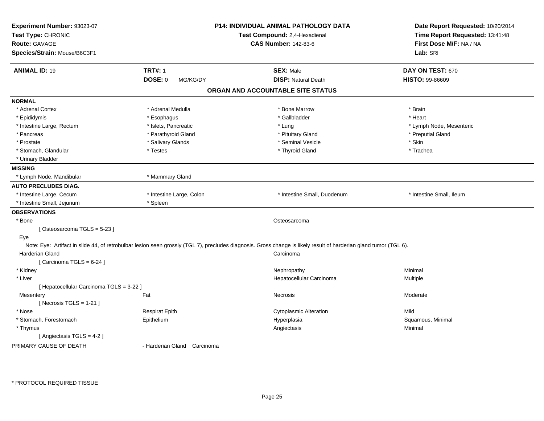| Experiment Number: 93023-07<br>Test Type: CHRONIC<br><b>Route: GAVAGE</b><br>Species/Strain: Mouse/B6C3F1 |                             | P14: INDIVIDUAL ANIMAL PATHOLOGY DATA<br>Test Compound: 2,4-Hexadienal<br><b>CAS Number: 142-83-6</b>                                                                          | Date Report Requested: 10/20/2014<br>Time Report Requested: 13:41:48<br>First Dose M/F: NA / NA<br>Lab: SRI |
|-----------------------------------------------------------------------------------------------------------|-----------------------------|--------------------------------------------------------------------------------------------------------------------------------------------------------------------------------|-------------------------------------------------------------------------------------------------------------|
| <b>ANIMAL ID: 19</b>                                                                                      | <b>TRT#: 1</b>              | <b>SEX: Male</b>                                                                                                                                                               | DAY ON TEST: 670                                                                                            |
|                                                                                                           | <b>DOSE: 0</b><br>MG/KG/DY  | <b>DISP: Natural Death</b>                                                                                                                                                     | HISTO: 99-86609                                                                                             |
|                                                                                                           |                             | ORGAN AND ACCOUNTABLE SITE STATUS                                                                                                                                              |                                                                                                             |
| <b>NORMAL</b>                                                                                             |                             |                                                                                                                                                                                |                                                                                                             |
| * Adrenal Cortex                                                                                          | * Adrenal Medulla           | * Bone Marrow                                                                                                                                                                  | * Brain                                                                                                     |
| * Epididymis                                                                                              | * Esophagus                 | * Gallbladder                                                                                                                                                                  | * Heart                                                                                                     |
| * Intestine Large, Rectum                                                                                 | * Islets, Pancreatic        | * Lung                                                                                                                                                                         | * Lymph Node, Mesenteric                                                                                    |
| * Pancreas                                                                                                | * Parathyroid Gland         | * Pituitary Gland                                                                                                                                                              | * Preputial Gland                                                                                           |
| * Prostate                                                                                                | * Salivary Glands           | * Seminal Vesicle                                                                                                                                                              | * Skin                                                                                                      |
| * Stomach, Glandular                                                                                      | * Testes                    | * Thyroid Gland                                                                                                                                                                | * Trachea                                                                                                   |
| * Urinary Bladder                                                                                         |                             |                                                                                                                                                                                |                                                                                                             |
| <b>MISSING</b>                                                                                            |                             |                                                                                                                                                                                |                                                                                                             |
| * Lymph Node, Mandibular                                                                                  | * Mammary Gland             |                                                                                                                                                                                |                                                                                                             |
| <b>AUTO PRECLUDES DIAG.</b>                                                                               |                             |                                                                                                                                                                                |                                                                                                             |
| * Intestine Large, Cecum                                                                                  | * Intestine Large, Colon    | * Intestine Small, Duodenum                                                                                                                                                    | * Intestine Small, Ileum                                                                                    |
| * Intestine Small, Jejunum                                                                                | * Spleen                    |                                                                                                                                                                                |                                                                                                             |
| <b>OBSERVATIONS</b>                                                                                       |                             |                                                                                                                                                                                |                                                                                                             |
| * Bone                                                                                                    |                             | Osteosarcoma                                                                                                                                                                   |                                                                                                             |
| [Osteosarcoma TGLS = 5-23]                                                                                |                             |                                                                                                                                                                                |                                                                                                             |
| Eye<br>Harderian Gland                                                                                    |                             | Note: Eye: Artifact in slide 44, of retrobulbar lesion seen grossly (TGL 7), precludes diagnosis. Gross change is likely result of harderian gland tumor (TGL 6).<br>Carcinoma |                                                                                                             |
| [ Carcinoma TGLS = $6-24$ ]                                                                               |                             |                                                                                                                                                                                |                                                                                                             |
| * Kidney                                                                                                  |                             | Nephropathy                                                                                                                                                                    | Minimal                                                                                                     |
| * Liver                                                                                                   |                             | Hepatocellular Carcinoma                                                                                                                                                       | Multiple                                                                                                    |
| [ Hepatocellular Carcinoma TGLS = 3-22 ]                                                                  |                             |                                                                                                                                                                                |                                                                                                             |
| Mesentery                                                                                                 | Fat                         | Necrosis                                                                                                                                                                       | Moderate                                                                                                    |
| [ Necrosis TGLS = $1-21$ ]                                                                                |                             |                                                                                                                                                                                |                                                                                                             |
| * Nose                                                                                                    | <b>Respirat Epith</b>       | <b>Cytoplasmic Alteration</b>                                                                                                                                                  | Mild                                                                                                        |
| * Stomach, Forestomach                                                                                    | Epithelium                  | Hyperplasia                                                                                                                                                                    | Squamous, Minimal                                                                                           |
| * Thymus                                                                                                  |                             | Angiectasis                                                                                                                                                                    | Minimal                                                                                                     |
| [ Angiectasis TGLS = 4-2 ]                                                                                |                             |                                                                                                                                                                                |                                                                                                             |
| PRIMARY CAUSE OF DEATH                                                                                    | - Harderian Gland Carcinoma |                                                                                                                                                                                |                                                                                                             |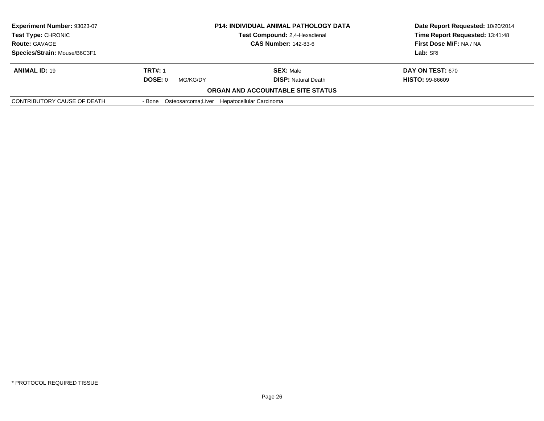| <b>Experiment Number: 93023-07</b><br><b>Test Type: CHRONIC</b> |                                                     | <b>P14: INDIVIDUAL ANIMAL PATHOLOGY DATA</b><br><b>Test Compound: 2.4-Hexadienal</b> | Date Report Requested: 10/20/2014<br>Time Report Requested: 13:41:48 |
|-----------------------------------------------------------------|-----------------------------------------------------|--------------------------------------------------------------------------------------|----------------------------------------------------------------------|
| <b>Route: GAVAGE</b>                                            |                                                     | <b>CAS Number: 142-83-6</b>                                                          | First Dose M/F: NA / NA                                              |
| Species/Strain: Mouse/B6C3F1                                    |                                                     |                                                                                      | Lab: SRI                                                             |
| <b>ANIMAL ID: 19</b>                                            | <b>TRT#: 1</b>                                      | <b>SEX: Male</b>                                                                     | <b>DAY ON TEST: 670</b>                                              |
|                                                                 | DOSE: 0<br>MG/KG/DY                                 | <b>DISP: Natural Death</b>                                                           | <b>HISTO: 99-86609</b>                                               |
|                                                                 |                                                     | <b>ORGAN AND ACCOUNTABLE SITE STATUS</b>                                             |                                                                      |
| CONTRIBUTORY CAUSE OF DEATH                                     | - Bone Osteosarcoma; Liver Hepatocellular Carcinoma |                                                                                      |                                                                      |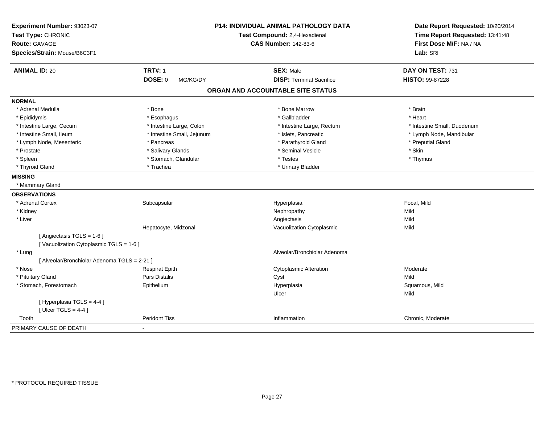| Experiment Number: 93023-07<br>Test Type: CHRONIC<br>Route: GAVAGE<br>Species/Strain: Mouse/B6C3F1 |                            | <b>P14: INDIVIDUAL ANIMAL PATHOLOGY DATA</b><br>Test Compound: 2,4-Hexadienal<br><b>CAS Number: 142-83-6</b> | Date Report Requested: 10/20/2014<br>Time Report Requested: 13:41:48<br>First Dose M/F: NA / NA<br>Lab: SRI |
|----------------------------------------------------------------------------------------------------|----------------------------|--------------------------------------------------------------------------------------------------------------|-------------------------------------------------------------------------------------------------------------|
| <b>ANIMAL ID: 20</b>                                                                               | <b>TRT#: 1</b>             | <b>SEX: Male</b>                                                                                             | DAY ON TEST: 731                                                                                            |
|                                                                                                    | <b>DOSE: 0</b><br>MG/KG/DY | <b>DISP: Terminal Sacrifice</b>                                                                              | HISTO: 99-87228                                                                                             |
|                                                                                                    |                            | ORGAN AND ACCOUNTABLE SITE STATUS                                                                            |                                                                                                             |
| <b>NORMAL</b>                                                                                      |                            |                                                                                                              |                                                                                                             |
| * Adrenal Medulla                                                                                  | * Bone                     | * Bone Marrow                                                                                                | * Brain                                                                                                     |
| * Epididymis                                                                                       | * Esophagus                | * Gallbladder                                                                                                | * Heart                                                                                                     |
| * Intestine Large, Cecum                                                                           | * Intestine Large, Colon   | * Intestine Large, Rectum                                                                                    | * Intestine Small, Duodenum                                                                                 |
| * Intestine Small, Ileum                                                                           | * Intestine Small, Jejunum | * Islets, Pancreatic                                                                                         | * Lymph Node, Mandibular                                                                                    |
| * Lymph Node, Mesenteric                                                                           | * Pancreas                 | * Parathyroid Gland                                                                                          | * Preputial Gland                                                                                           |
| * Prostate                                                                                         | * Salivary Glands          | * Seminal Vesicle                                                                                            | * Skin                                                                                                      |
| * Spleen                                                                                           | * Stomach, Glandular       | * Testes                                                                                                     | * Thymus                                                                                                    |
| * Thyroid Gland                                                                                    | * Trachea                  | * Urinary Bladder                                                                                            |                                                                                                             |
| <b>MISSING</b>                                                                                     |                            |                                                                                                              |                                                                                                             |
| * Mammary Gland                                                                                    |                            |                                                                                                              |                                                                                                             |
| <b>OBSERVATIONS</b>                                                                                |                            |                                                                                                              |                                                                                                             |
| * Adrenal Cortex                                                                                   | Subcapsular                | Hyperplasia                                                                                                  | Focal, Mild                                                                                                 |
| * Kidney                                                                                           |                            | Nephropathy                                                                                                  | Mild                                                                                                        |
| * Liver                                                                                            |                            | Angiectasis                                                                                                  | Mild                                                                                                        |
|                                                                                                    | Hepatocyte, Midzonal       | Vacuolization Cytoplasmic                                                                                    | Mild                                                                                                        |
| [Angiectasis TGLS = 1-6]<br>[Vacuolization Cytoplasmic TGLS = 1-6]                                 |                            |                                                                                                              |                                                                                                             |
| * Lung                                                                                             |                            | Alveolar/Bronchiolar Adenoma                                                                                 |                                                                                                             |
| [ Alveolar/Bronchiolar Adenoma TGLS = 2-21 ]                                                       |                            |                                                                                                              |                                                                                                             |
| * Nose                                                                                             | <b>Respirat Epith</b>      | <b>Cytoplasmic Alteration</b>                                                                                | Moderate                                                                                                    |
| * Pituitary Gland                                                                                  | Pars Distalis              | Cyst                                                                                                         | Mild                                                                                                        |
| * Stomach, Forestomach                                                                             | Epithelium                 | Hyperplasia<br>Ulcer                                                                                         | Squamous, Mild<br>Mild                                                                                      |
| [ Hyperplasia TGLS = 4-4 ]<br>[ Ulcer TGLS = $4-4$ ]                                               |                            |                                                                                                              |                                                                                                             |
| Tooth                                                                                              | <b>Peridont Tiss</b>       | Inflammation                                                                                                 | Chronic, Moderate                                                                                           |
| PRIMARY CAUSE OF DEATH                                                                             |                            |                                                                                                              |                                                                                                             |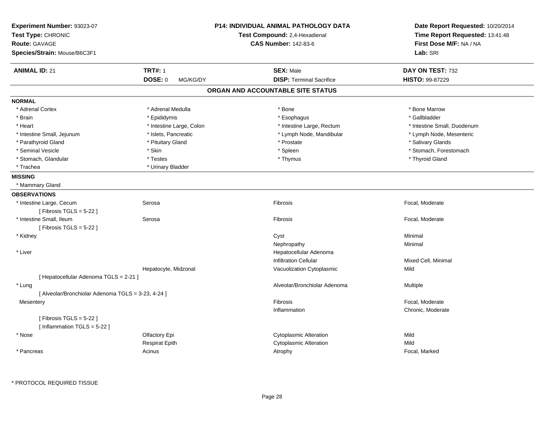| Experiment Number: 93023-07                        |                            | <b>P14: INDIVIDUAL ANIMAL PATHOLOGY DATA</b> | Date Report Requested: 10/20/2014 |
|----------------------------------------------------|----------------------------|----------------------------------------------|-----------------------------------|
| Test Type: CHRONIC                                 |                            | Test Compound: 2,4-Hexadienal                | Time Report Requested: 13:41:48   |
| <b>Route: GAVAGE</b>                               |                            | <b>CAS Number: 142-83-6</b>                  | First Dose M/F: NA / NA           |
| Species/Strain: Mouse/B6C3F1                       |                            |                                              | Lab: SRI                          |
| <b>ANIMAL ID: 21</b>                               | <b>TRT#: 1</b>             | <b>SEX: Male</b>                             | DAY ON TEST: 732                  |
|                                                    | <b>DOSE: 0</b><br>MG/KG/DY | <b>DISP: Terminal Sacrifice</b>              | <b>HISTO: 99-87229</b>            |
|                                                    |                            | ORGAN AND ACCOUNTABLE SITE STATUS            |                                   |
| <b>NORMAL</b>                                      |                            |                                              |                                   |
| * Adrenal Cortex                                   | * Adrenal Medulla          | * Bone                                       | * Bone Marrow                     |
| * Brain                                            | * Epididymis               | * Esophagus                                  | * Gallbladder                     |
| * Heart                                            | * Intestine Large, Colon   | * Intestine Large, Rectum                    | * Intestine Small, Duodenum       |
| * Intestine Small, Jejunum                         | * Islets, Pancreatic       | * Lymph Node, Mandibular                     | * Lymph Node, Mesenteric          |
| * Parathyroid Gland                                | * Pituitary Gland          | * Prostate                                   | * Salivary Glands                 |
| * Seminal Vesicle                                  | * Skin                     | * Spleen                                     | * Stomach, Forestomach            |
| * Stomach, Glandular                               | * Testes                   | * Thymus                                     | * Thyroid Gland                   |
| * Trachea                                          | * Urinary Bladder          |                                              |                                   |
| <b>MISSING</b>                                     |                            |                                              |                                   |
| * Mammary Gland                                    |                            |                                              |                                   |
| <b>OBSERVATIONS</b>                                |                            |                                              |                                   |
| * Intestine Large, Cecum                           | Serosa                     | Fibrosis                                     | Focal, Moderate                   |
| [ Fibrosis TGLS = $5-22$ ]                         |                            |                                              |                                   |
| * Intestine Small, Ileum                           | Serosa                     | Fibrosis                                     | Focal, Moderate                   |
| [ Fibrosis TGLS = $5-22$ ]                         |                            |                                              |                                   |
| * Kidney                                           |                            | Cyst                                         | Minimal                           |
|                                                    |                            | Nephropathy                                  | Minimal                           |
| * Liver                                            |                            | Hepatocellular Adenoma                       |                                   |
|                                                    |                            | <b>Infiltration Cellular</b>                 | Mixed Cell, Minimal               |
|                                                    | Hepatocyte, Midzonal       | Vacuolization Cytoplasmic                    | Mild                              |
| [ Hepatocellular Adenoma TGLS = 2-21 ]             |                            |                                              |                                   |
| * Lung                                             |                            | Alveolar/Bronchiolar Adenoma                 | Multiple                          |
| [ Alveolar/Bronchiolar Adenoma TGLS = 3-23, 4-24 ] |                            |                                              |                                   |
| Mesentery                                          |                            | Fibrosis                                     | Focal, Moderate                   |
|                                                    |                            | Inflammation                                 | Chronic, Moderate                 |
| [Fibrosis TGLS = $5-22$ ]                          |                            |                                              |                                   |
| [Inflammation TGLS = $5-22$ ]                      |                            |                                              |                                   |
| * Nose                                             | Olfactory Epi              | <b>Cytoplasmic Alteration</b>                | Mild                              |
|                                                    | <b>Respirat Epith</b>      | <b>Cytoplasmic Alteration</b>                | Mild                              |
|                                                    |                            |                                              |                                   |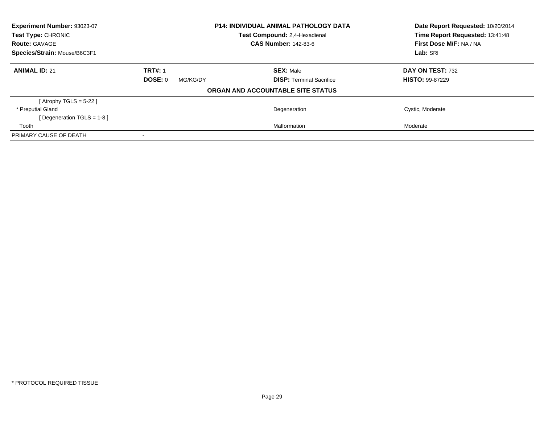| Experiment Number: 93023-07                |                            | <b>P14: INDIVIDUAL ANIMAL PATHOLOGY DATA</b><br>Test Compound: 2.4-Hexadienal | Date Report Requested: 10/20/2014<br>Time Report Requested: 13:41:48 |
|--------------------------------------------|----------------------------|-------------------------------------------------------------------------------|----------------------------------------------------------------------|
| Test Type: CHRONIC<br><b>Route: GAVAGE</b> |                            | <b>CAS Number: 142-83-6</b>                                                   | First Dose M/F: NA / NA                                              |
| Species/Strain: Mouse/B6C3F1               |                            |                                                                               | Lab: SRI                                                             |
| <b>ANIMAL ID: 21</b>                       | <b>TRT#: 1</b>             | <b>SEX: Male</b>                                                              | DAY ON TEST: 732                                                     |
|                                            | <b>DOSE: 0</b><br>MG/KG/DY | <b>DISP: Terminal Sacrifice</b>                                               | <b>HISTO: 99-87229</b>                                               |
|                                            |                            | ORGAN AND ACCOUNTABLE SITE STATUS                                             |                                                                      |
| [Atrophy TGLS = $5-22$ ]                   |                            |                                                                               |                                                                      |
| * Preputial Gland                          |                            | Degeneration                                                                  | Cystic, Moderate                                                     |
| [Degeneration TGLS = 1-8]                  |                            |                                                                               |                                                                      |
| Tooth                                      |                            | Malformation                                                                  | Moderate                                                             |
| PRIMARY CAUSE OF DEATH                     |                            |                                                                               |                                                                      |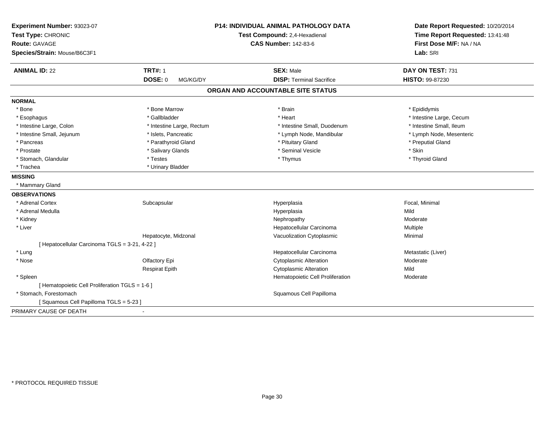| Experiment Number: 93023-07                     |                            | <b>P14: INDIVIDUAL ANIMAL PATHOLOGY DATA</b> | Date Report Requested: 10/20/2014 |
|-------------------------------------------------|----------------------------|----------------------------------------------|-----------------------------------|
| Test Type: CHRONIC                              |                            | Test Compound: 2,4-Hexadienal                | Time Report Requested: 13:41:48   |
| Route: GAVAGE                                   |                            | <b>CAS Number: 142-83-6</b>                  | First Dose M/F: NA / NA           |
| Species/Strain: Mouse/B6C3F1                    |                            |                                              | Lab: SRI                          |
| <b>ANIMAL ID: 22</b>                            | <b>TRT#: 1</b>             | <b>SEX: Male</b>                             | DAY ON TEST: 731                  |
|                                                 | <b>DOSE: 0</b><br>MG/KG/DY | <b>DISP: Terminal Sacrifice</b>              | <b>HISTO: 99-87230</b>            |
|                                                 |                            | ORGAN AND ACCOUNTABLE SITE STATUS            |                                   |
| <b>NORMAL</b>                                   |                            |                                              |                                   |
| * Bone                                          | * Bone Marrow              | * Brain                                      | * Epididymis                      |
| * Esophagus                                     | * Gallbladder              | * Heart                                      | * Intestine Large, Cecum          |
| * Intestine Large, Colon                        | * Intestine Large, Rectum  | * Intestine Small, Duodenum                  | * Intestine Small, Ileum          |
| * Intestine Small, Jejunum                      | * Islets, Pancreatic       | * Lymph Node, Mandibular                     | * Lymph Node, Mesenteric          |
| * Pancreas                                      | * Parathyroid Gland        | * Pituitary Gland                            | * Preputial Gland                 |
| * Prostate                                      | * Salivary Glands          | * Seminal Vesicle                            | * Skin                            |
| * Stomach, Glandular                            | * Testes                   | * Thymus                                     | * Thyroid Gland                   |
| * Trachea                                       | * Urinary Bladder          |                                              |                                   |
| <b>MISSING</b>                                  |                            |                                              |                                   |
| * Mammary Gland                                 |                            |                                              |                                   |
| <b>OBSERVATIONS</b>                             |                            |                                              |                                   |
| * Adrenal Cortex                                | Subcapsular                | Hyperplasia                                  | Focal, Minimal                    |
| * Adrenal Medulla                               |                            | Hyperplasia                                  | Mild                              |
| * Kidney                                        |                            | Nephropathy                                  | Moderate                          |
| * Liver                                         |                            | Hepatocellular Carcinoma                     | Multiple                          |
|                                                 | Hepatocyte, Midzonal       | Vacuolization Cytoplasmic                    | Minimal                           |
| [ Hepatocellular Carcinoma TGLS = 3-21, 4-22 ]  |                            |                                              |                                   |
| * Lung                                          |                            | Hepatocellular Carcinoma                     | Metastatic (Liver)                |
| * Nose                                          | Olfactory Epi              | <b>Cytoplasmic Alteration</b>                | Moderate                          |
|                                                 | <b>Respirat Epith</b>      | <b>Cytoplasmic Alteration</b>                | Mild                              |
| * Spleen                                        |                            | Hematopoietic Cell Proliferation             | Moderate                          |
| [ Hematopoietic Cell Proliferation TGLS = 1-6 ] |                            |                                              |                                   |
| * Stomach, Forestomach                          |                            | Squamous Cell Papilloma                      |                                   |
| [Squamous Cell Papilloma TGLS = 5-23]           |                            |                                              |                                   |
| PRIMARY CAUSE OF DEATH                          |                            |                                              |                                   |
|                                                 |                            |                                              |                                   |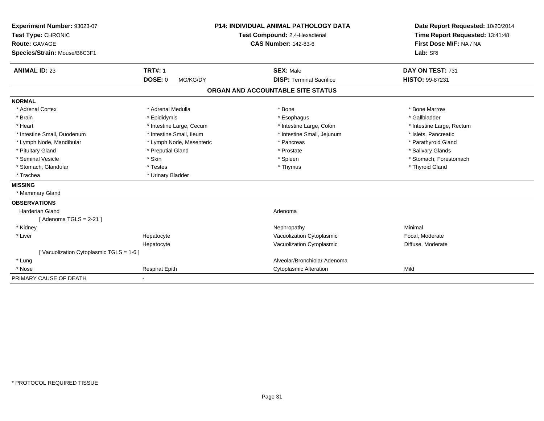| Experiment Number: 93023-07            |                            | <b>P14: INDIVIDUAL ANIMAL PATHOLOGY DATA</b> | Date Report Requested: 10/20/2014 |
|----------------------------------------|----------------------------|----------------------------------------------|-----------------------------------|
| Test Type: CHRONIC                     |                            | Test Compound: 2,4-Hexadienal                | Time Report Requested: 13:41:48   |
| <b>Route: GAVAGE</b>                   |                            | <b>CAS Number: 142-83-6</b>                  | First Dose M/F: NA / NA           |
| Species/Strain: Mouse/B6C3F1           |                            |                                              | Lab: SRI                          |
| <b>ANIMAL ID: 23</b>                   | <b>TRT#: 1</b>             | <b>SEX: Male</b>                             | DAY ON TEST: 731                  |
|                                        | <b>DOSE: 0</b><br>MG/KG/DY | <b>DISP: Terminal Sacrifice</b>              | <b>HISTO: 99-87231</b>            |
|                                        |                            | ORGAN AND ACCOUNTABLE SITE STATUS            |                                   |
| <b>NORMAL</b>                          |                            |                                              |                                   |
| * Adrenal Cortex                       | * Adrenal Medulla          | * Bone                                       | * Bone Marrow                     |
| * Brain                                | * Epididymis               | * Esophagus                                  | * Gallbladder                     |
| * Heart                                | * Intestine Large, Cecum   | * Intestine Large, Colon                     | * Intestine Large, Rectum         |
| * Intestine Small, Duodenum            | * Intestine Small, Ileum   | * Intestine Small, Jejunum                   | * Islets, Pancreatic              |
| * Lymph Node, Mandibular               | * Lymph Node, Mesenteric   | * Pancreas                                   | * Parathyroid Gland               |
| * Pituitary Gland                      | * Preputial Gland          | * Prostate                                   | * Salivary Glands                 |
| * Seminal Vesicle                      | * Skin                     | * Spleen                                     | * Stomach, Forestomach            |
| * Stomach, Glandular                   | * Testes                   | * Thymus                                     | * Thyroid Gland                   |
| * Trachea                              | * Urinary Bladder          |                                              |                                   |
| <b>MISSING</b>                         |                            |                                              |                                   |
| * Mammary Gland                        |                            |                                              |                                   |
| <b>OBSERVATIONS</b>                    |                            |                                              |                                   |
| <b>Harderian Gland</b>                 |                            | Adenoma                                      |                                   |
| [Adenoma TGLS = $2-21$ ]               |                            |                                              |                                   |
| * Kidney                               |                            | Nephropathy                                  | Minimal                           |
| * Liver                                | Hepatocyte                 | Vacuolization Cytoplasmic                    | Focal, Moderate                   |
|                                        | Hepatocyte                 | Vacuolization Cytoplasmic                    | Diffuse, Moderate                 |
| [Vacuolization Cytoplasmic TGLS = 1-6] |                            |                                              |                                   |
| * Lung                                 |                            | Alveolar/Bronchiolar Adenoma                 |                                   |
| * Nose                                 | <b>Respirat Epith</b>      | <b>Cytoplasmic Alteration</b>                | Mild                              |
| PRIMARY CAUSE OF DEATH                 |                            |                                              |                                   |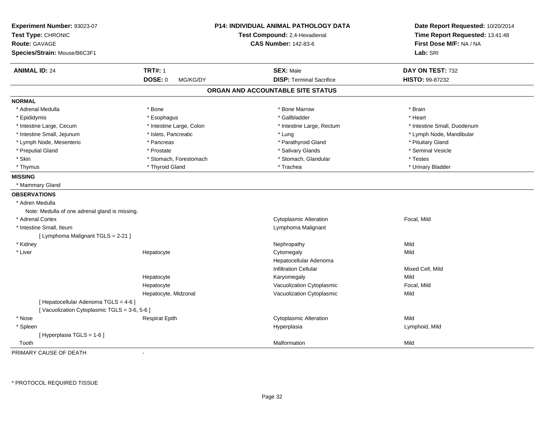| Experiment Number: 93023-07<br>Test Type: CHRONIC<br><b>Route: GAVAGE</b><br>Species/Strain: Mouse/B6C3F1 |                            | P14: INDIVIDUAL ANIMAL PATHOLOGY DATA<br>Test Compound: 2,4-Hexadienal<br><b>CAS Number: 142-83-6</b> | Date Report Requested: 10/20/2014<br>Time Report Requested: 13:41:48<br>First Dose M/F: NA / NA<br>Lab: SRI |
|-----------------------------------------------------------------------------------------------------------|----------------------------|-------------------------------------------------------------------------------------------------------|-------------------------------------------------------------------------------------------------------------|
| <b>ANIMAL ID: 24</b>                                                                                      | <b>TRT#: 1</b>             | <b>SEX: Male</b>                                                                                      | DAY ON TEST: 732                                                                                            |
|                                                                                                           | <b>DOSE: 0</b><br>MG/KG/DY | <b>DISP: Terminal Sacrifice</b>                                                                       | HISTO: 99-87232                                                                                             |
|                                                                                                           |                            | ORGAN AND ACCOUNTABLE SITE STATUS                                                                     |                                                                                                             |
| <b>NORMAL</b>                                                                                             |                            |                                                                                                       |                                                                                                             |
| * Adrenal Medulla                                                                                         | * Bone                     | * Bone Marrow                                                                                         | * Brain                                                                                                     |
| * Epididymis                                                                                              | * Esophagus                | * Gallbladder                                                                                         | * Heart                                                                                                     |
| * Intestine Large, Cecum                                                                                  | * Intestine Large, Colon   | * Intestine Large, Rectum                                                                             | * Intestine Small, Duodenum                                                                                 |
| * Intestine Small, Jejunum                                                                                | * Islets, Pancreatic       | * Lung                                                                                                | * Lymph Node, Mandibular                                                                                    |
| * Lymph Node, Mesenteric                                                                                  | * Pancreas                 | * Parathyroid Gland                                                                                   | * Pituitary Gland                                                                                           |
| * Preputial Gland                                                                                         | * Prostate                 | * Salivary Glands                                                                                     | * Seminal Vesicle                                                                                           |
| * Skin                                                                                                    | * Stomach, Forestomach     | * Stomach, Glandular                                                                                  | * Testes                                                                                                    |
| * Thymus                                                                                                  | * Thyroid Gland            | * Trachea                                                                                             | * Urinary Bladder                                                                                           |
| <b>MISSING</b>                                                                                            |                            |                                                                                                       |                                                                                                             |
| * Mammary Gland                                                                                           |                            |                                                                                                       |                                                                                                             |
| <b>OBSERVATIONS</b>                                                                                       |                            |                                                                                                       |                                                                                                             |
| * Adren Medulla                                                                                           |                            |                                                                                                       |                                                                                                             |
| Note: Medulla of one adrenal gland is missing.                                                            |                            |                                                                                                       |                                                                                                             |
| * Adrenal Cortex                                                                                          |                            | <b>Cytoplasmic Alteration</b>                                                                         | Focal, Mild                                                                                                 |
| * Intestine Small, Ileum                                                                                  |                            | Lymphoma Malignant                                                                                    |                                                                                                             |
| [ Lymphoma Malignant TGLS = 2-21 ]                                                                        |                            |                                                                                                       |                                                                                                             |
| * Kidney                                                                                                  |                            | Nephropathy                                                                                           | Mild                                                                                                        |
| * Liver                                                                                                   | Hepatocyte                 | Cytomegaly                                                                                            | Mild                                                                                                        |
|                                                                                                           |                            | Hepatocellular Adenoma                                                                                |                                                                                                             |
|                                                                                                           |                            | <b>Infiltration Cellular</b>                                                                          | Mixed Cell, Mild                                                                                            |
|                                                                                                           | Hepatocyte                 | Karyomegaly                                                                                           | Mild                                                                                                        |
|                                                                                                           | Hepatocyte                 | Vacuolization Cytoplasmic                                                                             | Focal, Mild                                                                                                 |
|                                                                                                           | Hepatocyte, Midzonal       | Vacuolization Cytoplasmic                                                                             | Mild                                                                                                        |
| [ Hepatocellular Adenoma TGLS = 4-6 ]                                                                     |                            |                                                                                                       |                                                                                                             |
| [Vacuolization Cytoplasmic TGLS = 3-6, 5-6]                                                               |                            |                                                                                                       |                                                                                                             |
| * Nose                                                                                                    | <b>Respirat Epith</b>      | <b>Cytoplasmic Alteration</b>                                                                         | Mild                                                                                                        |
| * Spleen                                                                                                  |                            | Hyperplasia                                                                                           | Lymphoid, Mild                                                                                              |
| [Hyperplasia TGLS = $1-6$ ]                                                                               |                            |                                                                                                       |                                                                                                             |
| Tooth                                                                                                     |                            | Malformation                                                                                          | Mild                                                                                                        |

PRIMARY CAUSE OF DEATH-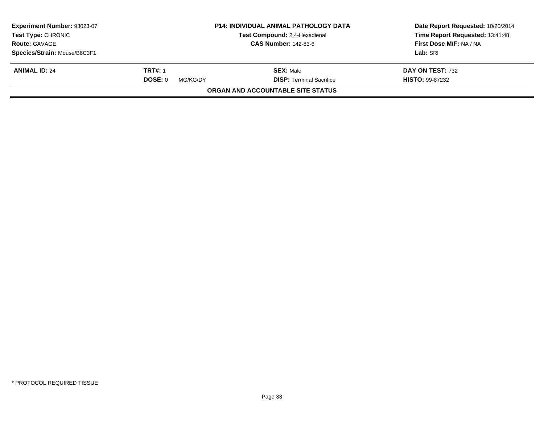| Experiment Number: 93023-07<br>Test Type: CHRONIC<br><b>Route: GAVAGE</b> |                                       | <b>P14: INDIVIDUAL ANIMAL PATHOLOGY DATA</b><br>Test Compound: 2,4-Hexadienal<br><b>CAS Number: 142-83-6</b> | Date Report Requested: 10/20/2014<br>Time Report Requested: 13:41:48<br>First Dose M/F: NA / NA |
|---------------------------------------------------------------------------|---------------------------------------|--------------------------------------------------------------------------------------------------------------|-------------------------------------------------------------------------------------------------|
| Species/Strain: Mouse/B6C3F1                                              |                                       |                                                                                                              | Lab: SRI                                                                                        |
| <b>ANIMAL ID: 24</b>                                                      | <b>TRT#: 1</b><br>DOSE: 0<br>MG/KG/DY | <b>SEX: Male</b><br><b>DISP: Terminal Sacrifice</b>                                                          | DAY ON TEST: 732<br><b>HISTO: 99-87232</b>                                                      |
|                                                                           |                                       | <b>ORGAN AND ACCOUNTABLE SITE STATUS</b>                                                                     |                                                                                                 |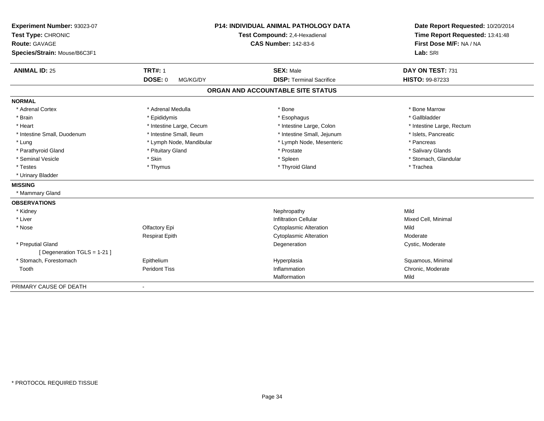| Experiment Number: 93023-07  |                               | <b>P14: INDIVIDUAL ANIMAL PATHOLOGY DATA</b> | Date Report Requested: 10/20/2014 |
|------------------------------|-------------------------------|----------------------------------------------|-----------------------------------|
| Test Type: CHRONIC           | Test Compound: 2,4-Hexadienal |                                              | Time Report Requested: 13:41:48   |
| <b>Route: GAVAGE</b>         |                               | <b>CAS Number: 142-83-6</b>                  | First Dose M/F: NA / NA           |
| Species/Strain: Mouse/B6C3F1 |                               |                                              | Lab: SRI                          |
| <b>ANIMAL ID: 25</b>         | <b>TRT#: 1</b>                | <b>SEX: Male</b>                             | DAY ON TEST: 731                  |
|                              | <b>DOSE: 0</b><br>MG/KG/DY    | <b>DISP: Terminal Sacrifice</b>              | HISTO: 99-87233                   |
|                              |                               | ORGAN AND ACCOUNTABLE SITE STATUS            |                                   |
| <b>NORMAL</b>                |                               |                                              |                                   |
| * Adrenal Cortex             | * Adrenal Medulla             | * Bone                                       | * Bone Marrow                     |
| * Brain                      | * Epididymis                  | * Esophagus                                  | * Gallbladder                     |
| * Heart                      | * Intestine Large, Cecum      | * Intestine Large, Colon                     | * Intestine Large, Rectum         |
| * Intestine Small, Duodenum  | * Intestine Small, Ileum      | * Intestine Small, Jejunum                   | * Islets, Pancreatic              |
| * Lung                       | * Lymph Node, Mandibular      | * Lymph Node, Mesenteric                     | * Pancreas                        |
| * Parathyroid Gland          | * Pituitary Gland             | * Prostate                                   | * Salivary Glands                 |
| * Seminal Vesicle            | * Skin                        | * Spleen                                     | * Stomach, Glandular              |
| * Testes                     | * Thymus                      | * Thyroid Gland                              | * Trachea                         |
| * Urinary Bladder            |                               |                                              |                                   |
| <b>MISSING</b>               |                               |                                              |                                   |
| * Mammary Gland              |                               |                                              |                                   |
| <b>OBSERVATIONS</b>          |                               |                                              |                                   |
| * Kidney                     |                               | Nephropathy                                  | Mild                              |
| * Liver                      |                               | <b>Infiltration Cellular</b>                 | Mixed Cell, Minimal               |
| * Nose                       | Olfactory Epi                 | <b>Cytoplasmic Alteration</b>                | Mild                              |
|                              | <b>Respirat Epith</b>         | <b>Cytoplasmic Alteration</b>                | Moderate                          |
| * Preputial Gland            |                               | Degeneration                                 | Cystic, Moderate                  |
| [ Degeneration TGLS = 1-21 ] |                               |                                              |                                   |
| * Stomach, Forestomach       | Epithelium                    | Hyperplasia                                  | Squamous, Minimal                 |
| Tooth                        | <b>Peridont Tiss</b>          | Inflammation                                 | Chronic, Moderate                 |
|                              |                               | Malformation                                 | Mild                              |
| PRIMARY CAUSE OF DEATH       |                               |                                              |                                   |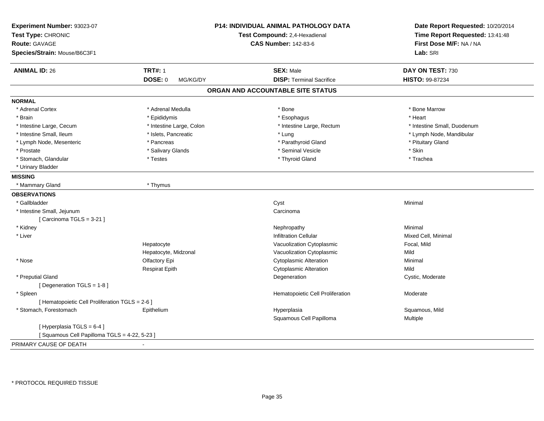| Experiment Number: 93023-07<br>Test Type: CHRONIC<br><b>Route: GAVAGE</b><br>Species/Strain: Mouse/B6C3F1 |                            | P14: INDIVIDUAL ANIMAL PATHOLOGY DATA<br>Test Compound: 2,4-Hexadienal<br><b>CAS Number: 142-83-6</b> | Date Report Requested: 10/20/2014<br>Time Report Requested: 13:41:48<br>First Dose M/F: NA / NA<br>Lab: SRI |
|-----------------------------------------------------------------------------------------------------------|----------------------------|-------------------------------------------------------------------------------------------------------|-------------------------------------------------------------------------------------------------------------|
| <b>ANIMAL ID: 26</b>                                                                                      | <b>TRT#: 1</b>             | <b>SEX: Male</b>                                                                                      | DAY ON TEST: 730                                                                                            |
|                                                                                                           | <b>DOSE: 0</b><br>MG/KG/DY | <b>DISP: Terminal Sacrifice</b>                                                                       | HISTO: 99-87234                                                                                             |
|                                                                                                           |                            | ORGAN AND ACCOUNTABLE SITE STATUS                                                                     |                                                                                                             |
| <b>NORMAL</b>                                                                                             |                            |                                                                                                       |                                                                                                             |
| * Adrenal Cortex                                                                                          | * Adrenal Medulla          | * Bone                                                                                                | * Bone Marrow                                                                                               |
| * Brain                                                                                                   | * Epididymis               | * Esophagus                                                                                           | * Heart                                                                                                     |
| * Intestine Large, Cecum                                                                                  | * Intestine Large, Colon   | * Intestine Large, Rectum                                                                             | * Intestine Small, Duodenum                                                                                 |
| * Intestine Small, Ileum                                                                                  | * Islets, Pancreatic       | * Lung                                                                                                | * Lymph Node, Mandibular                                                                                    |
| * Lymph Node, Mesenteric                                                                                  | * Pancreas                 | * Parathyroid Gland                                                                                   | * Pituitary Gland                                                                                           |
| * Prostate                                                                                                | * Salivary Glands          | * Seminal Vesicle                                                                                     | * Skin                                                                                                      |
| * Stomach, Glandular                                                                                      | * Testes                   | * Thyroid Gland                                                                                       | * Trachea                                                                                                   |
| * Urinary Bladder                                                                                         |                            |                                                                                                       |                                                                                                             |
| <b>MISSING</b>                                                                                            |                            |                                                                                                       |                                                                                                             |
| * Mammary Gland                                                                                           | * Thymus                   |                                                                                                       |                                                                                                             |
| <b>OBSERVATIONS</b>                                                                                       |                            |                                                                                                       |                                                                                                             |
| * Gallbladder                                                                                             |                            | Cyst                                                                                                  | Minimal                                                                                                     |
| * Intestine Small, Jejunum                                                                                |                            | Carcinoma                                                                                             |                                                                                                             |
| [Carcinoma TGLS = 3-21]                                                                                   |                            |                                                                                                       |                                                                                                             |
| * Kidney                                                                                                  |                            | Nephropathy                                                                                           | Minimal                                                                                                     |
| * Liver                                                                                                   |                            | <b>Infiltration Cellular</b>                                                                          | Mixed Cell, Minimal                                                                                         |
|                                                                                                           | Hepatocyte                 | Vacuolization Cytoplasmic                                                                             | Focal, Mild                                                                                                 |
|                                                                                                           | Hepatocyte, Midzonal       | Vacuolization Cytoplasmic                                                                             | Mild                                                                                                        |
| * Nose                                                                                                    | Olfactory Epi              | <b>Cytoplasmic Alteration</b>                                                                         | Minimal                                                                                                     |
|                                                                                                           | <b>Respirat Epith</b>      | <b>Cytoplasmic Alteration</b>                                                                         | Mild                                                                                                        |
| * Preputial Gland                                                                                         |                            | Degeneration                                                                                          | Cystic, Moderate                                                                                            |
| [ Degeneration TGLS = 1-8 ]                                                                               |                            |                                                                                                       |                                                                                                             |
| * Spleen                                                                                                  |                            | Hematopoietic Cell Proliferation                                                                      | Moderate                                                                                                    |
| [ Hematopoietic Cell Proliferation TGLS = 2-6 ]                                                           |                            |                                                                                                       |                                                                                                             |
| * Stomach, Forestomach                                                                                    | Epithelium                 | Hyperplasia                                                                                           | Squamous, Mild                                                                                              |
|                                                                                                           |                            | Squamous Cell Papilloma                                                                               | Multiple                                                                                                    |
| [ Hyperplasia TGLS = 6-4 ]                                                                                |                            |                                                                                                       |                                                                                                             |
| [Squamous Cell Papilloma TGLS = 4-22, 5-23]                                                               |                            |                                                                                                       |                                                                                                             |
| PRIMARY CAUSE OF DEATH                                                                                    |                            |                                                                                                       |                                                                                                             |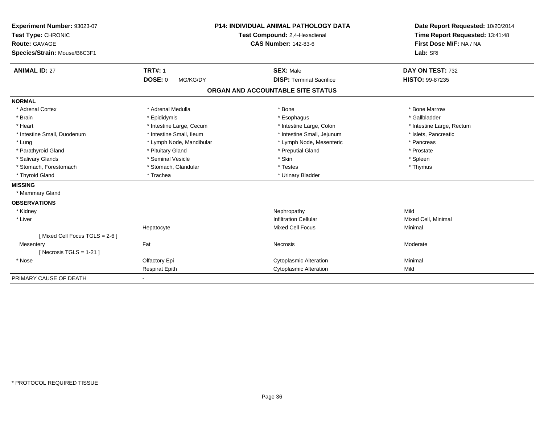| Experiment Number: 93023-07<br>Test Type: CHRONIC<br><b>Route: GAVAGE</b><br>Species/Strain: Mouse/B6C3F1 |                            | <b>P14: INDIVIDUAL ANIMAL PATHOLOGY DATA</b><br>Test Compound: 2,4-Hexadienal<br><b>CAS Number: 142-83-6</b> | Date Report Requested: 10/20/2014<br>Time Report Requested: 13:41:48<br>First Dose M/F: NA / NA<br>Lab: SRI |
|-----------------------------------------------------------------------------------------------------------|----------------------------|--------------------------------------------------------------------------------------------------------------|-------------------------------------------------------------------------------------------------------------|
| <b>ANIMAL ID: 27</b>                                                                                      | <b>TRT#: 1</b>             | <b>SEX: Male</b>                                                                                             | DAY ON TEST: 732                                                                                            |
|                                                                                                           | <b>DOSE: 0</b><br>MG/KG/DY | <b>DISP: Terminal Sacrifice</b>                                                                              | <b>HISTO: 99-87235</b>                                                                                      |
|                                                                                                           |                            | ORGAN AND ACCOUNTABLE SITE STATUS                                                                            |                                                                                                             |
| <b>NORMAL</b>                                                                                             |                            |                                                                                                              |                                                                                                             |
| * Adrenal Cortex                                                                                          | * Adrenal Medulla          | * Bone                                                                                                       | * Bone Marrow                                                                                               |
| * Brain                                                                                                   | * Epididymis               | * Esophagus                                                                                                  | * Gallbladder                                                                                               |
| * Heart                                                                                                   | * Intestine Large, Cecum   | * Intestine Large, Colon                                                                                     | * Intestine Large, Rectum                                                                                   |
| * Intestine Small, Duodenum                                                                               | * Intestine Small, Ileum   | * Intestine Small, Jejunum                                                                                   | * Islets, Pancreatic                                                                                        |
| * Lung                                                                                                    | * Lymph Node, Mandibular   | * Lymph Node, Mesenteric                                                                                     | * Pancreas                                                                                                  |
| * Parathyroid Gland                                                                                       | * Pituitary Gland          | * Preputial Gland                                                                                            | * Prostate                                                                                                  |
| * Salivary Glands                                                                                         | * Seminal Vesicle          | * Skin                                                                                                       | * Spleen                                                                                                    |
| * Stomach, Forestomach                                                                                    | * Stomach, Glandular       | * Testes                                                                                                     | * Thymus                                                                                                    |
| * Thyroid Gland                                                                                           | * Trachea                  | * Urinary Bladder                                                                                            |                                                                                                             |
| <b>MISSING</b>                                                                                            |                            |                                                                                                              |                                                                                                             |
| * Mammary Gland                                                                                           |                            |                                                                                                              |                                                                                                             |
| <b>OBSERVATIONS</b>                                                                                       |                            |                                                                                                              |                                                                                                             |
| * Kidney                                                                                                  |                            | Nephropathy                                                                                                  | Mild                                                                                                        |
| * Liver                                                                                                   |                            | <b>Infiltration Cellular</b>                                                                                 | Mixed Cell, Minimal                                                                                         |
|                                                                                                           | Hepatocyte                 | <b>Mixed Cell Focus</b>                                                                                      | Minimal                                                                                                     |
| [Mixed Cell Focus TGLS = $2-6$ ]                                                                          |                            |                                                                                                              |                                                                                                             |
| Mesentery                                                                                                 | Fat                        | Necrosis                                                                                                     | Moderate                                                                                                    |
| [Necrosis TGLS = $1-21$ ]                                                                                 |                            |                                                                                                              |                                                                                                             |
| * Nose                                                                                                    | Olfactory Epi              | <b>Cytoplasmic Alteration</b>                                                                                | Minimal                                                                                                     |
|                                                                                                           | <b>Respirat Epith</b>      | <b>Cytoplasmic Alteration</b>                                                                                | Mild                                                                                                        |
| PRIMARY CAUSE OF DEATH                                                                                    |                            |                                                                                                              |                                                                                                             |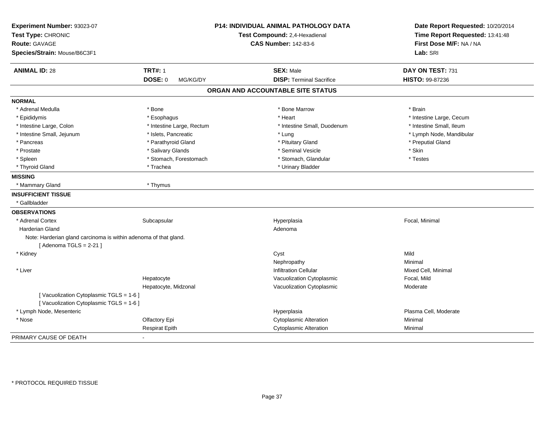| Experiment Number: 93023-07<br>Test Type: CHRONIC                |                           | P14: INDIVIDUAL ANIMAL PATHOLOGY DATA | Date Report Requested: 10/20/2014 |
|------------------------------------------------------------------|---------------------------|---------------------------------------|-----------------------------------|
|                                                                  |                           | Test Compound: 2,4-Hexadienal         | Time Report Requested: 13:41:48   |
| <b>Route: GAVAGE</b>                                             |                           | <b>CAS Number: 142-83-6</b>           | First Dose M/F: NA / NA           |
| Species/Strain: Mouse/B6C3F1                                     |                           |                                       | Lab: SRI                          |
| <b>ANIMAL ID: 28</b>                                             | <b>TRT#: 1</b>            | <b>SEX: Male</b>                      | DAY ON TEST: 731                  |
|                                                                  | DOSE: 0<br>MG/KG/DY       | <b>DISP: Terminal Sacrifice</b>       | HISTO: 99-87236                   |
|                                                                  |                           | ORGAN AND ACCOUNTABLE SITE STATUS     |                                   |
| <b>NORMAL</b>                                                    |                           |                                       |                                   |
| * Adrenal Medulla                                                | * Bone                    | * Bone Marrow                         | * Brain                           |
| * Epididymis                                                     | * Esophagus               | * Heart                               | * Intestine Large, Cecum          |
| * Intestine Large, Colon                                         | * Intestine Large, Rectum | * Intestine Small, Duodenum           | * Intestine Small, Ileum          |
| * Intestine Small, Jejunum                                       | * Islets, Pancreatic      | * Lung                                | * Lymph Node, Mandibular          |
| * Pancreas                                                       | * Parathyroid Gland       | * Pituitary Gland                     | * Preputial Gland                 |
| * Prostate                                                       | * Salivary Glands         | * Seminal Vesicle                     | * Skin                            |
| * Spleen                                                         | * Stomach, Forestomach    | * Stomach, Glandular                  | * Testes                          |
| * Thyroid Gland                                                  | * Trachea                 | * Urinary Bladder                     |                                   |
| <b>MISSING</b>                                                   |                           |                                       |                                   |
| * Mammary Gland                                                  | * Thymus                  |                                       |                                   |
| <b>INSUFFICIENT TISSUE</b>                                       |                           |                                       |                                   |
| * Gallbladder                                                    |                           |                                       |                                   |
| <b>OBSERVATIONS</b>                                              |                           |                                       |                                   |
| * Adrenal Cortex                                                 | Subcapsular               | Hyperplasia                           | Focal, Minimal                    |
| <b>Harderian Gland</b>                                           |                           | Adenoma                               |                                   |
| Note: Harderian gland carcinoma is within adenoma of that gland. |                           |                                       |                                   |
| [Adenoma TGLS = $2-21$ ]                                         |                           |                                       |                                   |
| * Kidney                                                         |                           | Cyst                                  | Mild                              |
|                                                                  |                           | Nephropathy                           | Minimal                           |
| * Liver                                                          |                           | <b>Infiltration Cellular</b>          | Mixed Cell, Minimal               |
|                                                                  | Hepatocyte                | Vacuolization Cytoplasmic             | Focal, Mild                       |
|                                                                  | Hepatocyte, Midzonal      | Vacuolization Cytoplasmic             | Moderate                          |
| [Vacuolization Cytoplasmic TGLS = 1-6]                           |                           |                                       |                                   |
| [Vacuolization Cytoplasmic TGLS = 1-6]                           |                           |                                       |                                   |
| * Lymph Node, Mesenteric                                         |                           | Hyperplasia                           | Plasma Cell, Moderate             |
| * Nose                                                           | Olfactory Epi             | <b>Cytoplasmic Alteration</b>         | Minimal                           |
|                                                                  | <b>Respirat Epith</b>     | <b>Cytoplasmic Alteration</b>         | Minimal                           |
| PRIMARY CAUSE OF DEATH                                           |                           |                                       |                                   |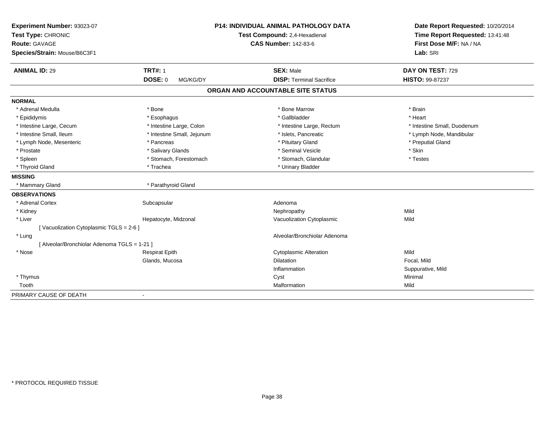| Experiment Number: 93023-07                  |                            | <b>P14: INDIVIDUAL ANIMAL PATHOLOGY DATA</b> | Date Report Requested: 10/20/2014                          |  |
|----------------------------------------------|----------------------------|----------------------------------------------|------------------------------------------------------------|--|
| Test Type: CHRONIC                           |                            | Test Compound: 2,4-Hexadienal                | Time Report Requested: 13:41:48<br>First Dose M/F: NA / NA |  |
| <b>Route: GAVAGE</b>                         |                            | <b>CAS Number: 142-83-6</b>                  |                                                            |  |
| Species/Strain: Mouse/B6C3F1                 |                            |                                              | Lab: SRI                                                   |  |
| <b>ANIMAL ID: 29</b>                         | <b>TRT#: 1</b>             | <b>SEX: Male</b>                             | DAY ON TEST: 729                                           |  |
|                                              | <b>DOSE: 0</b><br>MG/KG/DY | <b>DISP: Terminal Sacrifice</b>              | HISTO: 99-87237                                            |  |
|                                              |                            | ORGAN AND ACCOUNTABLE SITE STATUS            |                                                            |  |
| <b>NORMAL</b>                                |                            |                                              |                                                            |  |
| * Adrenal Medulla                            | * Bone                     | * Bone Marrow                                | * Brain                                                    |  |
| * Epididymis                                 | * Esophagus                | * Gallbladder                                | * Heart                                                    |  |
| * Intestine Large, Cecum                     | * Intestine Large, Colon   | * Intestine Large, Rectum                    | * Intestine Small, Duodenum                                |  |
| * Intestine Small, Ileum                     | * Intestine Small, Jejunum | * Islets, Pancreatic                         | * Lymph Node, Mandibular                                   |  |
| * Lymph Node, Mesenteric                     | * Pancreas                 | * Pituitary Gland                            | * Preputial Gland                                          |  |
| * Prostate                                   | * Salivary Glands          | * Seminal Vesicle                            | * Skin                                                     |  |
| * Spleen                                     | * Stomach, Forestomach     | * Stomach, Glandular                         | * Testes                                                   |  |
| * Thyroid Gland                              | * Trachea                  | * Urinary Bladder                            |                                                            |  |
| <b>MISSING</b>                               |                            |                                              |                                                            |  |
| * Mammary Gland                              | * Parathyroid Gland        |                                              |                                                            |  |
| <b>OBSERVATIONS</b>                          |                            |                                              |                                                            |  |
| * Adrenal Cortex                             | Subcapsular                | Adenoma                                      |                                                            |  |
| * Kidney                                     |                            | Nephropathy                                  | Mild                                                       |  |
| * Liver                                      | Hepatocyte, Midzonal       | Vacuolization Cytoplasmic                    | Mild                                                       |  |
| [Vacuolization Cytoplasmic TGLS = 2-6]       |                            |                                              |                                                            |  |
| * Lung                                       |                            | Alveolar/Bronchiolar Adenoma                 |                                                            |  |
| [ Alveolar/Bronchiolar Adenoma TGLS = 1-21 ] |                            |                                              |                                                            |  |
| * Nose                                       | <b>Respirat Epith</b>      | <b>Cytoplasmic Alteration</b>                | Mild                                                       |  |
|                                              | Glands, Mucosa             | <b>Dilatation</b>                            | Focal, Mild                                                |  |
|                                              |                            | Inflammation                                 | Suppurative, Mild                                          |  |
| * Thymus                                     |                            | Cyst                                         | Minimal                                                    |  |
| Tooth                                        |                            | Malformation                                 | Mild                                                       |  |
| PRIMARY CAUSE OF DEATH                       | $\overline{\phantom{a}}$   |                                              |                                                            |  |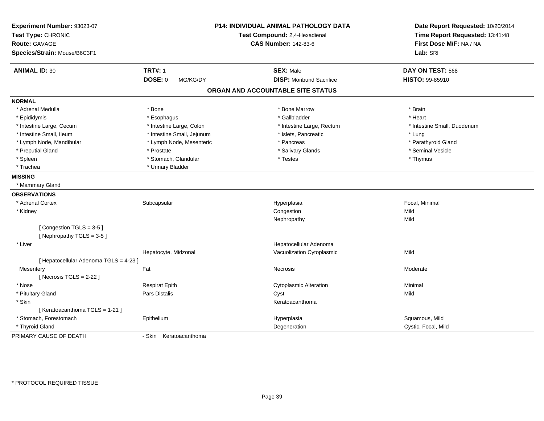| Experiment Number: 93023-07<br>Test Type: CHRONIC<br><b>Route: GAVAGE</b> |                            | P14: INDIVIDUAL ANIMAL PATHOLOGY DATA<br>Test Compound: 2,4-Hexadienal<br><b>CAS Number: 142-83-6</b> | Date Report Requested: 10/20/2014<br>Time Report Requested: 13:41:48<br>First Dose M/F: NA / NA |
|---------------------------------------------------------------------------|----------------------------|-------------------------------------------------------------------------------------------------------|-------------------------------------------------------------------------------------------------|
| Species/Strain: Mouse/B6C3F1                                              |                            |                                                                                                       | Lab: SRI                                                                                        |
| <b>ANIMAL ID: 30</b>                                                      | <b>TRT#: 1</b>             | <b>SEX: Male</b>                                                                                      | DAY ON TEST: 568                                                                                |
|                                                                           | <b>DOSE: 0</b><br>MG/KG/DY | <b>DISP:</b> Moribund Sacrifice                                                                       | HISTO: 99-85910                                                                                 |
|                                                                           |                            | ORGAN AND ACCOUNTABLE SITE STATUS                                                                     |                                                                                                 |
| <b>NORMAL</b>                                                             |                            |                                                                                                       |                                                                                                 |
| * Adrenal Medulla                                                         | * Bone                     | * Bone Marrow                                                                                         | * Brain                                                                                         |
| * Epididymis                                                              | * Esophagus                | * Gallbladder                                                                                         | * Heart                                                                                         |
| * Intestine Large, Cecum                                                  | * Intestine Large, Colon   | * Intestine Large, Rectum                                                                             | * Intestine Small, Duodenum                                                                     |
| * Intestine Small, Ileum                                                  | * Intestine Small, Jejunum | * Islets, Pancreatic                                                                                  | * Lung                                                                                          |
| * Lymph Node, Mandibular                                                  | * Lymph Node, Mesenteric   | * Pancreas                                                                                            | * Parathyroid Gland                                                                             |
| * Preputial Gland                                                         | * Prostate                 | * Salivary Glands                                                                                     | * Seminal Vesicle                                                                               |
| * Spleen                                                                  | * Stomach, Glandular       | * Testes                                                                                              | * Thymus                                                                                        |
| * Trachea                                                                 | * Urinary Bladder          |                                                                                                       |                                                                                                 |
| <b>MISSING</b>                                                            |                            |                                                                                                       |                                                                                                 |
| * Mammary Gland                                                           |                            |                                                                                                       |                                                                                                 |
| <b>OBSERVATIONS</b>                                                       |                            |                                                                                                       |                                                                                                 |
| * Adrenal Cortex                                                          | Subcapsular                | Hyperplasia                                                                                           | Focal, Minimal                                                                                  |
| * Kidney                                                                  |                            | Congestion                                                                                            | Mild                                                                                            |
|                                                                           |                            | Nephropathy                                                                                           | Mild                                                                                            |
| [Congestion TGLS = 3-5]<br>[Nephropathy TGLS = $3-5$ ]                    |                            |                                                                                                       |                                                                                                 |
| * Liver                                                                   |                            | Hepatocellular Adenoma                                                                                |                                                                                                 |
|                                                                           | Hepatocyte, Midzonal       | Vacuolization Cytoplasmic                                                                             | Mild                                                                                            |
| [ Hepatocellular Adenoma TGLS = 4-23 ]                                    |                            |                                                                                                       |                                                                                                 |
| Mesentery                                                                 | Fat                        | <b>Necrosis</b>                                                                                       | Moderate                                                                                        |
| [Necrosis TGLS = $2-22$ ]                                                 |                            |                                                                                                       |                                                                                                 |
| * Nose                                                                    | <b>Respirat Epith</b>      | <b>Cytoplasmic Alteration</b>                                                                         | Minimal                                                                                         |
| * Pituitary Gland                                                         | Pars Distalis              | Cyst                                                                                                  | Mild                                                                                            |
| * Skin                                                                    |                            | Keratoacanthoma                                                                                       |                                                                                                 |
| [Keratoacanthoma TGLS = 1-21]                                             |                            |                                                                                                       |                                                                                                 |
| * Stomach, Forestomach                                                    | Epithelium                 | Hyperplasia                                                                                           | Squamous, Mild                                                                                  |
| * Thyroid Gland                                                           |                            | Degeneration                                                                                          | Cystic, Focal, Mild                                                                             |
| PRIMARY CAUSE OF DEATH                                                    | - Skin<br>Keratoacanthoma  |                                                                                                       |                                                                                                 |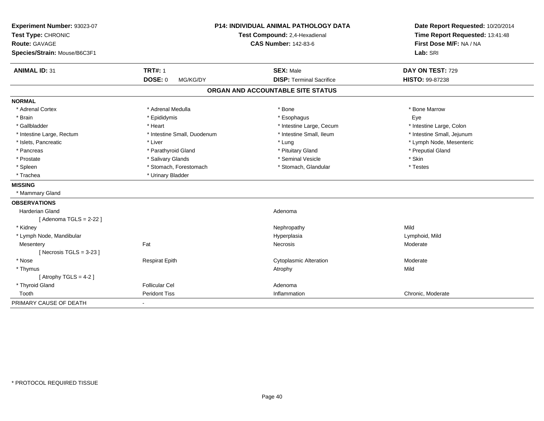| Experiment Number: 93023-07  |                             | <b>P14: INDIVIDUAL ANIMAL PATHOLOGY DATA</b> | Date Report Requested: 10/20/2014 |
|------------------------------|-----------------------------|----------------------------------------------|-----------------------------------|
| Test Type: CHRONIC           |                             | Test Compound: 2,4-Hexadienal                | Time Report Requested: 13:41:48   |
| <b>Route: GAVAGE</b>         |                             | <b>CAS Number: 142-83-6</b>                  | First Dose M/F: NA / NA           |
| Species/Strain: Mouse/B6C3F1 |                             |                                              | Lab: SRI                          |
| <b>ANIMAL ID: 31</b>         | <b>TRT#: 1</b>              | <b>SEX: Male</b>                             | DAY ON TEST: 729                  |
|                              | DOSE: 0<br>MG/KG/DY         | <b>DISP: Terminal Sacrifice</b>              | HISTO: 99-87238                   |
|                              |                             | ORGAN AND ACCOUNTABLE SITE STATUS            |                                   |
| <b>NORMAL</b>                |                             |                                              |                                   |
| * Adrenal Cortex             | * Adrenal Medulla           | * Bone                                       | * Bone Marrow                     |
| * Brain                      | * Epididymis                | * Esophagus                                  | Eye                               |
| * Gallbladder                | * Heart                     | * Intestine Large, Cecum                     | * Intestine Large, Colon          |
| * Intestine Large, Rectum    | * Intestine Small, Duodenum | * Intestine Small, Ileum                     | * Intestine Small, Jejunum        |
| * Islets, Pancreatic         | * Liver                     | * Lung                                       | * Lymph Node, Mesenteric          |
| * Pancreas                   | * Parathyroid Gland         | * Pituitary Gland                            | * Preputial Gland                 |
| * Prostate                   | * Salivary Glands           | * Seminal Vesicle                            | * Skin                            |
| * Spleen                     | * Stomach, Forestomach      | * Stomach, Glandular                         | * Testes                          |
| * Trachea                    | * Urinary Bladder           |                                              |                                   |
| <b>MISSING</b>               |                             |                                              |                                   |
| * Mammary Gland              |                             |                                              |                                   |
| <b>OBSERVATIONS</b>          |                             |                                              |                                   |
| <b>Harderian Gland</b>       |                             | Adenoma                                      |                                   |
| [Adenoma TGLS = $2-22$ ]     |                             |                                              |                                   |
| * Kidney                     |                             | Nephropathy                                  | Mild                              |
| * Lymph Node, Mandibular     |                             | Hyperplasia                                  | Lymphoid, Mild                    |
| Mesentery                    | Fat                         | Necrosis                                     | Moderate                          |
| [Necrosis TGLS = $3-23$ ]    |                             |                                              |                                   |
| * Nose                       | <b>Respirat Epith</b>       | <b>Cytoplasmic Alteration</b>                | Moderate                          |
| * Thymus                     |                             | Atrophy                                      | Mild                              |
| [Atrophy TGLS = $4-2$ ]      |                             |                                              |                                   |
| * Thyroid Gland              | <b>Follicular Cel</b>       | Adenoma                                      |                                   |
| Tooth                        | <b>Peridont Tiss</b>        | Inflammation                                 | Chronic, Moderate                 |
| PRIMARY CAUSE OF DEATH       | $\blacksquare$              |                                              |                                   |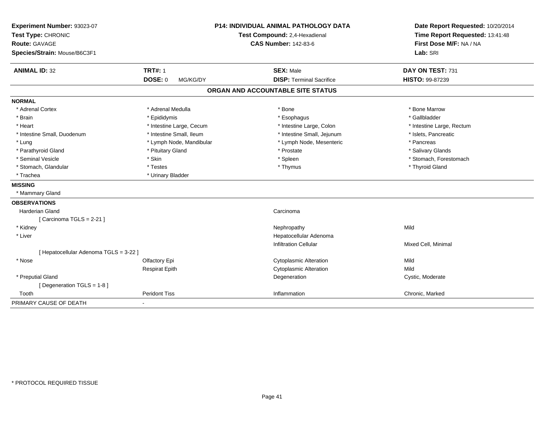| Experiment Number: 93023-07<br>Test Type: CHRONIC<br><b>Route: GAVAGE</b><br>Species/Strain: Mouse/B6C3F1 | <b>P14: INDIVIDUAL ANIMAL PATHOLOGY DATA</b><br>Test Compound: 2,4-Hexadienal<br><b>CAS Number: 142-83-6</b> |  | Date Report Requested: 10/20/2014<br>Time Report Requested: 13:41:48<br>First Dose M/F: NA / NA<br>Lab: SRI |                           |
|-----------------------------------------------------------------------------------------------------------|--------------------------------------------------------------------------------------------------------------|--|-------------------------------------------------------------------------------------------------------------|---------------------------|
| <b>ANIMAL ID: 32</b>                                                                                      | <b>TRT#: 1</b>                                                                                               |  | <b>SEX: Male</b>                                                                                            | DAY ON TEST: 731          |
|                                                                                                           | <b>DOSE: 0</b><br>MG/KG/DY                                                                                   |  | <b>DISP: Terminal Sacrifice</b>                                                                             | HISTO: 99-87239           |
|                                                                                                           |                                                                                                              |  | ORGAN AND ACCOUNTABLE SITE STATUS                                                                           |                           |
| <b>NORMAL</b>                                                                                             |                                                                                                              |  |                                                                                                             |                           |
| * Adrenal Cortex                                                                                          | * Adrenal Medulla                                                                                            |  | * Bone                                                                                                      | * Bone Marrow             |
| * Brain                                                                                                   | * Epididymis                                                                                                 |  | * Esophagus                                                                                                 | * Gallbladder             |
| * Heart                                                                                                   | * Intestine Large, Cecum                                                                                     |  | * Intestine Large, Colon                                                                                    | * Intestine Large, Rectum |
| * Intestine Small, Duodenum                                                                               | * Intestine Small, Ileum                                                                                     |  | * Intestine Small, Jejunum                                                                                  | * Islets, Pancreatic      |
| * Lung                                                                                                    | * Lymph Node, Mandibular                                                                                     |  | * Lymph Node, Mesenteric                                                                                    | * Pancreas                |
| * Parathyroid Gland                                                                                       | * Pituitary Gland                                                                                            |  | * Prostate                                                                                                  | * Salivary Glands         |
| * Seminal Vesicle                                                                                         | * Skin                                                                                                       |  | * Spleen                                                                                                    | * Stomach, Forestomach    |
| * Stomach, Glandular                                                                                      | * Testes                                                                                                     |  | * Thymus                                                                                                    | * Thyroid Gland           |
| * Trachea                                                                                                 | * Urinary Bladder                                                                                            |  |                                                                                                             |                           |
| <b>MISSING</b>                                                                                            |                                                                                                              |  |                                                                                                             |                           |
| * Mammary Gland                                                                                           |                                                                                                              |  |                                                                                                             |                           |
| <b>OBSERVATIONS</b>                                                                                       |                                                                                                              |  |                                                                                                             |                           |
| Harderian Gland                                                                                           |                                                                                                              |  | Carcinoma                                                                                                   |                           |
| [Carcinoma TGLS = 2-21]                                                                                   |                                                                                                              |  |                                                                                                             |                           |
| * Kidney                                                                                                  |                                                                                                              |  | Nephropathy                                                                                                 | Mild                      |
| * Liver                                                                                                   |                                                                                                              |  | Hepatocellular Adenoma                                                                                      |                           |
|                                                                                                           |                                                                                                              |  | <b>Infiltration Cellular</b>                                                                                | Mixed Cell, Minimal       |
| [ Hepatocellular Adenoma TGLS = 3-22 ]                                                                    |                                                                                                              |  |                                                                                                             |                           |
| * Nose                                                                                                    | Olfactory Epi                                                                                                |  | <b>Cytoplasmic Alteration</b>                                                                               | Mild                      |
|                                                                                                           | <b>Respirat Epith</b>                                                                                        |  | <b>Cytoplasmic Alteration</b>                                                                               | Mild                      |
| * Preputial Gland                                                                                         |                                                                                                              |  | Degeneration                                                                                                | Cystic, Moderate          |
| [Degeneration TGLS = 1-8]                                                                                 |                                                                                                              |  |                                                                                                             |                           |
| Tooth                                                                                                     | <b>Peridont Tiss</b>                                                                                         |  | Inflammation                                                                                                | Chronic, Marked           |
| PRIMARY CAUSE OF DEATH                                                                                    | $\blacksquare$                                                                                               |  |                                                                                                             |                           |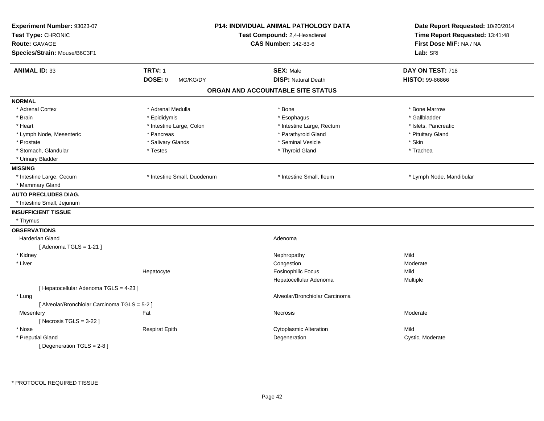| <b>TRT#: 1</b><br><b>SEX: Male</b><br>DAY ON TEST: 718<br><b>DOSE: 0</b><br><b>DISP: Natural Death</b><br>HISTO: 99-86866<br>MG/KG/DY<br>ORGAN AND ACCOUNTABLE SITE STATUS<br>* Adrenal Medulla<br>* Bone<br>* Bone Marrow<br>* Gallbladder<br>* Brain<br>* Epididymis<br>* Esophagus<br>* Intestine Large, Colon<br>* Intestine Large, Rectum<br>* Islets, Pancreatic<br>* Parathyroid Gland<br>* Pancreas<br>* Pituitary Gland<br>* Seminal Vesicle<br>* Skin<br>* Salivary Glands<br>* Testes<br>* Thyroid Gland<br>* Trachea<br>* Intestine Large, Cecum<br>* Intestine Small, Duodenum<br>* Intestine Small, Ileum<br>* Lymph Node, Mandibular<br>* Intestine Small, Jejunum<br>* Thymus<br><b>OBSERVATIONS</b><br><b>Harderian Gland</b><br>Adenoma<br>[Adenoma TGLS = $1-21$ ]<br>* Kidney<br>Mild<br>Nephropathy<br>* Liver<br>Congestion<br>Moderate<br><b>Eosinophilic Focus</b><br>Mild<br>Hepatocyte<br>Hepatocellular Adenoma<br>Multiple<br>[ Hepatocellular Adenoma TGLS = 4-23 ]<br>Alveolar/Bronchiolar Carcinoma<br>* Lung<br>[ Alveolar/Bronchiolar Carcinoma TGLS = 5-2 ]<br>Fat<br>Moderate<br>Mesentery<br>Necrosis<br>[Necrosis $TGLS = 3-22$ ]<br><b>Cytoplasmic Alteration</b><br>Mild<br><b>Respirat Epith</b><br>* Preputial Gland<br>Degeneration<br>Cystic, Moderate | Experiment Number: 93023-07<br>Test Type: CHRONIC<br>Route: GAVAGE<br>Species/Strain: Mouse/B6C3F1 | <b>P14: INDIVIDUAL ANIMAL PATHOLOGY DATA</b><br>Test Compound: 2,4-Hexadienal<br><b>CAS Number: 142-83-6</b> | Date Report Requested: 10/20/2014<br>Time Report Requested: 13:41:48<br>First Dose M/F: NA / NA<br>Lab: SRI |
|---------------------------------------------------------------------------------------------------------------------------------------------------------------------------------------------------------------------------------------------------------------------------------------------------------------------------------------------------------------------------------------------------------------------------------------------------------------------------------------------------------------------------------------------------------------------------------------------------------------------------------------------------------------------------------------------------------------------------------------------------------------------------------------------------------------------------------------------------------------------------------------------------------------------------------------------------------------------------------------------------------------------------------------------------------------------------------------------------------------------------------------------------------------------------------------------------------------------------------------------------------------------------------------------------|----------------------------------------------------------------------------------------------------|--------------------------------------------------------------------------------------------------------------|-------------------------------------------------------------------------------------------------------------|
|                                                                                                                                                                                                                                                                                                                                                                                                                                                                                                                                                                                                                                                                                                                                                                                                                                                                                                                                                                                                                                                                                                                                                                                                                                                                                                   | <b>ANIMAL ID: 33</b>                                                                               |                                                                                                              |                                                                                                             |
|                                                                                                                                                                                                                                                                                                                                                                                                                                                                                                                                                                                                                                                                                                                                                                                                                                                                                                                                                                                                                                                                                                                                                                                                                                                                                                   |                                                                                                    |                                                                                                              |                                                                                                             |
|                                                                                                                                                                                                                                                                                                                                                                                                                                                                                                                                                                                                                                                                                                                                                                                                                                                                                                                                                                                                                                                                                                                                                                                                                                                                                                   |                                                                                                    |                                                                                                              |                                                                                                             |
|                                                                                                                                                                                                                                                                                                                                                                                                                                                                                                                                                                                                                                                                                                                                                                                                                                                                                                                                                                                                                                                                                                                                                                                                                                                                                                   | <b>NORMAL</b>                                                                                      |                                                                                                              |                                                                                                             |
|                                                                                                                                                                                                                                                                                                                                                                                                                                                                                                                                                                                                                                                                                                                                                                                                                                                                                                                                                                                                                                                                                                                                                                                                                                                                                                   | * Adrenal Cortex                                                                                   |                                                                                                              |                                                                                                             |
|                                                                                                                                                                                                                                                                                                                                                                                                                                                                                                                                                                                                                                                                                                                                                                                                                                                                                                                                                                                                                                                                                                                                                                                                                                                                                                   |                                                                                                    |                                                                                                              |                                                                                                             |
|                                                                                                                                                                                                                                                                                                                                                                                                                                                                                                                                                                                                                                                                                                                                                                                                                                                                                                                                                                                                                                                                                                                                                                                                                                                                                                   | * Heart                                                                                            |                                                                                                              |                                                                                                             |
|                                                                                                                                                                                                                                                                                                                                                                                                                                                                                                                                                                                                                                                                                                                                                                                                                                                                                                                                                                                                                                                                                                                                                                                                                                                                                                   | * Lymph Node, Mesenteric                                                                           |                                                                                                              |                                                                                                             |
|                                                                                                                                                                                                                                                                                                                                                                                                                                                                                                                                                                                                                                                                                                                                                                                                                                                                                                                                                                                                                                                                                                                                                                                                                                                                                                   | * Prostate                                                                                         |                                                                                                              |                                                                                                             |
|                                                                                                                                                                                                                                                                                                                                                                                                                                                                                                                                                                                                                                                                                                                                                                                                                                                                                                                                                                                                                                                                                                                                                                                                                                                                                                   | * Stomach, Glandular                                                                               |                                                                                                              |                                                                                                             |
|                                                                                                                                                                                                                                                                                                                                                                                                                                                                                                                                                                                                                                                                                                                                                                                                                                                                                                                                                                                                                                                                                                                                                                                                                                                                                                   | * Urinary Bladder                                                                                  |                                                                                                              |                                                                                                             |
|                                                                                                                                                                                                                                                                                                                                                                                                                                                                                                                                                                                                                                                                                                                                                                                                                                                                                                                                                                                                                                                                                                                                                                                                                                                                                                   | <b>MISSING</b>                                                                                     |                                                                                                              |                                                                                                             |
|                                                                                                                                                                                                                                                                                                                                                                                                                                                                                                                                                                                                                                                                                                                                                                                                                                                                                                                                                                                                                                                                                                                                                                                                                                                                                                   |                                                                                                    |                                                                                                              |                                                                                                             |
|                                                                                                                                                                                                                                                                                                                                                                                                                                                                                                                                                                                                                                                                                                                                                                                                                                                                                                                                                                                                                                                                                                                                                                                                                                                                                                   | * Mammary Gland                                                                                    |                                                                                                              |                                                                                                             |
|                                                                                                                                                                                                                                                                                                                                                                                                                                                                                                                                                                                                                                                                                                                                                                                                                                                                                                                                                                                                                                                                                                                                                                                                                                                                                                   | <b>AUTO PRECLUDES DIAG.</b>                                                                        |                                                                                                              |                                                                                                             |
|                                                                                                                                                                                                                                                                                                                                                                                                                                                                                                                                                                                                                                                                                                                                                                                                                                                                                                                                                                                                                                                                                                                                                                                                                                                                                                   |                                                                                                    |                                                                                                              |                                                                                                             |
|                                                                                                                                                                                                                                                                                                                                                                                                                                                                                                                                                                                                                                                                                                                                                                                                                                                                                                                                                                                                                                                                                                                                                                                                                                                                                                   | <b>INSUFFICIENT TISSUE</b>                                                                         |                                                                                                              |                                                                                                             |
|                                                                                                                                                                                                                                                                                                                                                                                                                                                                                                                                                                                                                                                                                                                                                                                                                                                                                                                                                                                                                                                                                                                                                                                                                                                                                                   |                                                                                                    |                                                                                                              |                                                                                                             |
|                                                                                                                                                                                                                                                                                                                                                                                                                                                                                                                                                                                                                                                                                                                                                                                                                                                                                                                                                                                                                                                                                                                                                                                                                                                                                                   |                                                                                                    |                                                                                                              |                                                                                                             |
|                                                                                                                                                                                                                                                                                                                                                                                                                                                                                                                                                                                                                                                                                                                                                                                                                                                                                                                                                                                                                                                                                                                                                                                                                                                                                                   |                                                                                                    |                                                                                                              |                                                                                                             |
|                                                                                                                                                                                                                                                                                                                                                                                                                                                                                                                                                                                                                                                                                                                                                                                                                                                                                                                                                                                                                                                                                                                                                                                                                                                                                                   |                                                                                                    |                                                                                                              |                                                                                                             |
|                                                                                                                                                                                                                                                                                                                                                                                                                                                                                                                                                                                                                                                                                                                                                                                                                                                                                                                                                                                                                                                                                                                                                                                                                                                                                                   |                                                                                                    |                                                                                                              |                                                                                                             |
|                                                                                                                                                                                                                                                                                                                                                                                                                                                                                                                                                                                                                                                                                                                                                                                                                                                                                                                                                                                                                                                                                                                                                                                                                                                                                                   |                                                                                                    |                                                                                                              |                                                                                                             |
|                                                                                                                                                                                                                                                                                                                                                                                                                                                                                                                                                                                                                                                                                                                                                                                                                                                                                                                                                                                                                                                                                                                                                                                                                                                                                                   |                                                                                                    |                                                                                                              |                                                                                                             |
|                                                                                                                                                                                                                                                                                                                                                                                                                                                                                                                                                                                                                                                                                                                                                                                                                                                                                                                                                                                                                                                                                                                                                                                                                                                                                                   |                                                                                                    |                                                                                                              |                                                                                                             |
|                                                                                                                                                                                                                                                                                                                                                                                                                                                                                                                                                                                                                                                                                                                                                                                                                                                                                                                                                                                                                                                                                                                                                                                                                                                                                                   |                                                                                                    |                                                                                                              |                                                                                                             |
|                                                                                                                                                                                                                                                                                                                                                                                                                                                                                                                                                                                                                                                                                                                                                                                                                                                                                                                                                                                                                                                                                                                                                                                                                                                                                                   |                                                                                                    |                                                                                                              |                                                                                                             |
|                                                                                                                                                                                                                                                                                                                                                                                                                                                                                                                                                                                                                                                                                                                                                                                                                                                                                                                                                                                                                                                                                                                                                                                                                                                                                                   |                                                                                                    |                                                                                                              |                                                                                                             |
|                                                                                                                                                                                                                                                                                                                                                                                                                                                                                                                                                                                                                                                                                                                                                                                                                                                                                                                                                                                                                                                                                                                                                                                                                                                                                                   |                                                                                                    |                                                                                                              |                                                                                                             |
|                                                                                                                                                                                                                                                                                                                                                                                                                                                                                                                                                                                                                                                                                                                                                                                                                                                                                                                                                                                                                                                                                                                                                                                                                                                                                                   |                                                                                                    |                                                                                                              |                                                                                                             |
|                                                                                                                                                                                                                                                                                                                                                                                                                                                                                                                                                                                                                                                                                                                                                                                                                                                                                                                                                                                                                                                                                                                                                                                                                                                                                                   | * Nose                                                                                             |                                                                                                              |                                                                                                             |
|                                                                                                                                                                                                                                                                                                                                                                                                                                                                                                                                                                                                                                                                                                                                                                                                                                                                                                                                                                                                                                                                                                                                                                                                                                                                                                   |                                                                                                    |                                                                                                              |                                                                                                             |
|                                                                                                                                                                                                                                                                                                                                                                                                                                                                                                                                                                                                                                                                                                                                                                                                                                                                                                                                                                                                                                                                                                                                                                                                                                                                                                   | [ Degeneration TGLS = 2-8 ]                                                                        |                                                                                                              |                                                                                                             |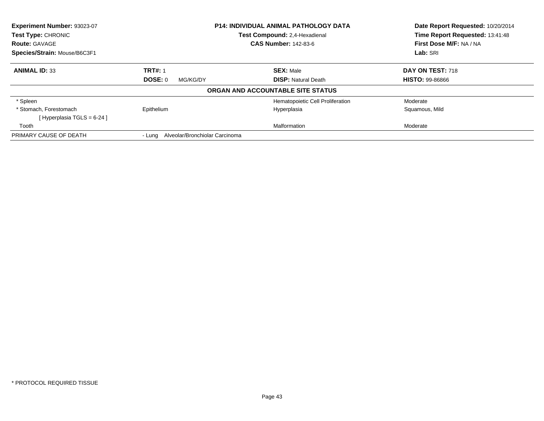| Experiment Number: 93023-07  |                                       | <b>P14: INDIVIDUAL ANIMAL PATHOLOGY DATA</b> | Date Report Requested: 10/20/2014 |  |
|------------------------------|---------------------------------------|----------------------------------------------|-----------------------------------|--|
| <b>Test Type: CHRONIC</b>    |                                       | Test Compound: 2,4-Hexadienal                | Time Report Requested: 13:41:48   |  |
| <b>Route: GAVAGE</b>         |                                       | <b>CAS Number: 142-83-6</b>                  | First Dose M/F: NA / NA           |  |
| Species/Strain: Mouse/B6C3F1 |                                       |                                              | Lab: SRI                          |  |
| <b>ANIMAL ID: 33</b>         | <b>TRT#: 1</b>                        | <b>SEX: Male</b>                             | DAY ON TEST: 718                  |  |
|                              | DOSE: 0<br>MG/KG/DY                   | <b>DISP:</b> Natural Death                   | <b>HISTO: 99-86866</b>            |  |
|                              |                                       | ORGAN AND ACCOUNTABLE SITE STATUS            |                                   |  |
| * Spleen                     |                                       | Hematopoietic Cell Proliferation             | Moderate                          |  |
| * Stomach. Forestomach       | Epithelium                            | Hyperplasia                                  | Squamous, Mild                    |  |
| [Hyperplasia TGLS = $6-24$ ] |                                       |                                              |                                   |  |
| Tooth                        |                                       | Malformation                                 | Moderate                          |  |
| PRIMARY CAUSE OF DEATH       | - Lung Alveolar/Bronchiolar Carcinoma |                                              |                                   |  |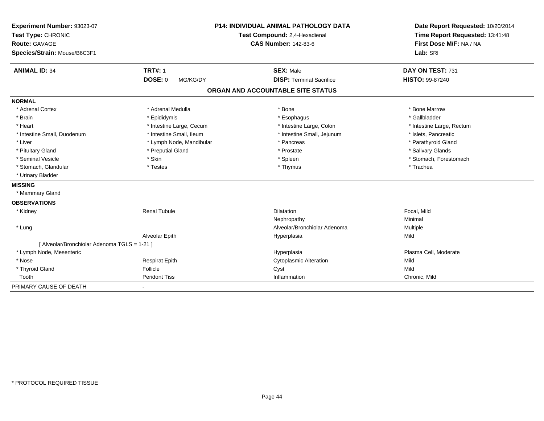| Experiment Number: 93023-07                  |                            | <b>P14: INDIVIDUAL ANIMAL PATHOLOGY DATA</b> | Date Report Requested: 10/20/2014   |  |
|----------------------------------------------|----------------------------|----------------------------------------------|-------------------------------------|--|
| Test Type: CHRONIC                           |                            | Test Compound: 2,4-Hexadienal                | Time Report Requested: 13:41:48     |  |
| <b>Route: GAVAGE</b>                         |                            | <b>CAS Number: 142-83-6</b>                  | First Dose M/F: NA / NA<br>Lab: SRI |  |
| Species/Strain: Mouse/B6C3F1                 |                            |                                              |                                     |  |
| <b>ANIMAL ID: 34</b>                         | <b>TRT#: 1</b>             | <b>SEX: Male</b>                             | DAY ON TEST: 731                    |  |
|                                              | <b>DOSE: 0</b><br>MG/KG/DY | <b>DISP: Terminal Sacrifice</b>              | HISTO: 99-87240                     |  |
|                                              |                            | ORGAN AND ACCOUNTABLE SITE STATUS            |                                     |  |
| <b>NORMAL</b>                                |                            |                                              |                                     |  |
| * Adrenal Cortex                             | * Adrenal Medulla          | * Bone                                       | * Bone Marrow                       |  |
| * Brain                                      | * Epididymis               | * Esophagus                                  | * Gallbladder                       |  |
| * Heart                                      | * Intestine Large, Cecum   | * Intestine Large, Colon                     | * Intestine Large, Rectum           |  |
| * Intestine Small, Duodenum                  | * Intestine Small, Ileum   | * Intestine Small, Jejunum                   | * Islets, Pancreatic                |  |
| * Liver                                      | * Lymph Node, Mandibular   | * Pancreas                                   | * Parathyroid Gland                 |  |
| * Pituitary Gland                            | * Preputial Gland          | * Prostate                                   | * Salivary Glands                   |  |
| * Seminal Vesicle                            | * Skin                     | * Spleen                                     | * Stomach, Forestomach              |  |
| * Stomach, Glandular                         | * Testes                   | * Thymus                                     | * Trachea                           |  |
| * Urinary Bladder                            |                            |                                              |                                     |  |
| <b>MISSING</b>                               |                            |                                              |                                     |  |
| * Mammary Gland                              |                            |                                              |                                     |  |
| <b>OBSERVATIONS</b>                          |                            |                                              |                                     |  |
| * Kidney                                     | <b>Renal Tubule</b>        | <b>Dilatation</b>                            | Focal, Mild                         |  |
|                                              |                            | Nephropathy                                  | Minimal                             |  |
| * Lung                                       |                            | Alveolar/Bronchiolar Adenoma                 | Multiple                            |  |
|                                              | Alveolar Epith             | Hyperplasia                                  | Mild                                |  |
| [ Alveolar/Bronchiolar Adenoma TGLS = 1-21 ] |                            |                                              |                                     |  |
| * Lymph Node, Mesenteric                     |                            | Hyperplasia                                  | Plasma Cell, Moderate               |  |
| * Nose                                       | <b>Respirat Epith</b>      | <b>Cytoplasmic Alteration</b>                | Mild                                |  |
| * Thyroid Gland                              | Follicle                   | Cyst                                         | Mild                                |  |
| Tooth                                        | <b>Peridont Tiss</b>       | Inflammation                                 | Chronic, Mild                       |  |
| PRIMARY CAUSE OF DEATH                       | $\blacksquare$             |                                              |                                     |  |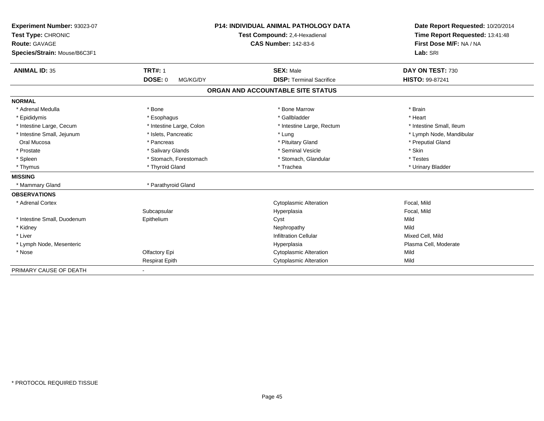| Experiment Number: 93023-07<br>Test Type: CHRONIC |                            | <b>P14: INDIVIDUAL ANIMAL PATHOLOGY DATA</b> | Date Report Requested: 10/20/2014 |
|---------------------------------------------------|----------------------------|----------------------------------------------|-----------------------------------|
|                                                   |                            | Test Compound: 2,4-Hexadienal                | Time Report Requested: 13:41:48   |
| <b>Route: GAVAGE</b>                              |                            | <b>CAS Number: 142-83-6</b>                  | First Dose M/F: NA / NA           |
| Species/Strain: Mouse/B6C3F1                      |                            |                                              | Lab: SRI                          |
|                                                   |                            |                                              |                                   |
| <b>ANIMAL ID: 35</b>                              | <b>TRT#: 1</b>             | <b>SEX: Male</b>                             | DAY ON TEST: 730                  |
|                                                   | <b>DOSE: 0</b><br>MG/KG/DY | <b>DISP: Terminal Sacrifice</b>              | <b>HISTO: 99-87241</b>            |
|                                                   |                            | ORGAN AND ACCOUNTABLE SITE STATUS            |                                   |
| <b>NORMAL</b>                                     |                            |                                              |                                   |
| * Adrenal Medulla                                 | * Bone                     | * Bone Marrow                                | * Brain                           |
| * Epididymis                                      | * Esophagus                | * Gallbladder                                | * Heart                           |
| * Intestine Large, Cecum                          | * Intestine Large, Colon   | * Intestine Large, Rectum                    | * Intestine Small. Ileum          |
| * Intestine Small, Jejunum                        | * Islets, Pancreatic       | * Lung                                       | * Lymph Node, Mandibular          |
| Oral Mucosa                                       | * Pancreas                 | * Pituitary Gland                            | * Preputial Gland                 |
| * Prostate                                        | * Salivary Glands          | * Seminal Vesicle                            | * Skin                            |
| * Spleen                                          | * Stomach, Forestomach     | * Stomach, Glandular                         | * Testes                          |
| * Thymus                                          | * Thyroid Gland            | * Trachea                                    | * Urinary Bladder                 |
| <b>MISSING</b>                                    |                            |                                              |                                   |
| * Mammary Gland                                   | * Parathyroid Gland        |                                              |                                   |
| <b>OBSERVATIONS</b>                               |                            |                                              |                                   |
| * Adrenal Cortex                                  |                            | <b>Cytoplasmic Alteration</b>                | Focal, Mild                       |
|                                                   | Subcapsular                | Hyperplasia                                  | Focal, Mild                       |
| * Intestine Small, Duodenum                       | Epithelium                 | Cyst                                         | Mild                              |
| * Kidney                                          |                            | Nephropathy                                  | Mild                              |
| * Liver                                           |                            | <b>Infiltration Cellular</b>                 | Mixed Cell, Mild                  |
| * Lymph Node, Mesenteric                          |                            | Hyperplasia                                  | Plasma Cell, Moderate             |
| * Nose                                            | Olfactory Epi              | <b>Cytoplasmic Alteration</b>                | Mild                              |
|                                                   | <b>Respirat Epith</b>      | <b>Cytoplasmic Alteration</b>                | Mild                              |
| PRIMARY CAUSE OF DEATH                            |                            |                                              |                                   |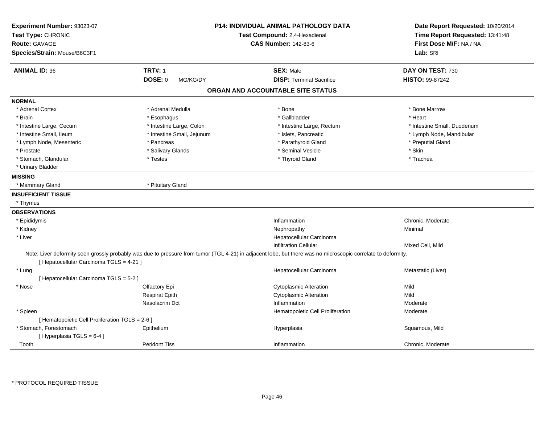| Experiment Number: 93023-07<br>Test Type: CHRONIC<br><b>Route: GAVAGE</b><br>Species/Strain: Mouse/B6C3F1 |                            | <b>P14: INDIVIDUAL ANIMAL PATHOLOGY DATA</b><br>Test Compound: 2,4-Hexadienal<br><b>CAS Number: 142-83-6</b>                                                 | Date Report Requested: 10/20/2014<br>Time Report Requested: 13:41:48<br>First Dose M/F: NA / NA<br>Lab: SRI |
|-----------------------------------------------------------------------------------------------------------|----------------------------|--------------------------------------------------------------------------------------------------------------------------------------------------------------|-------------------------------------------------------------------------------------------------------------|
| <b>ANIMAL ID: 36</b>                                                                                      | <b>TRT#: 1</b>             | <b>SEX: Male</b>                                                                                                                                             | DAY ON TEST: 730                                                                                            |
|                                                                                                           | <b>DOSE: 0</b><br>MG/KG/DY | <b>DISP: Terminal Sacrifice</b>                                                                                                                              | <b>HISTO: 99-87242</b>                                                                                      |
|                                                                                                           |                            | ORGAN AND ACCOUNTABLE SITE STATUS                                                                                                                            |                                                                                                             |
| <b>NORMAL</b>                                                                                             |                            |                                                                                                                                                              |                                                                                                             |
| * Adrenal Cortex                                                                                          | * Adrenal Medulla          | * Bone                                                                                                                                                       | * Bone Marrow                                                                                               |
| * Brain                                                                                                   | * Esophagus                | * Gallbladder                                                                                                                                                | * Heart                                                                                                     |
| * Intestine Large, Cecum                                                                                  | * Intestine Large, Colon   | * Intestine Large, Rectum                                                                                                                                    | * Intestine Small, Duodenum                                                                                 |
| * Intestine Small, Ileum                                                                                  | * Intestine Small, Jejunum | * Islets, Pancreatic                                                                                                                                         | * Lymph Node, Mandibular                                                                                    |
| * Lymph Node, Mesenteric                                                                                  | * Pancreas                 | * Parathyroid Gland                                                                                                                                          | * Preputial Gland                                                                                           |
| * Prostate                                                                                                | * Salivary Glands          | * Seminal Vesicle                                                                                                                                            | * Skin                                                                                                      |
| * Stomach, Glandular                                                                                      | $^\star$ Testes            | * Thyroid Gland                                                                                                                                              | * Trachea                                                                                                   |
| * Urinary Bladder                                                                                         |                            |                                                                                                                                                              |                                                                                                             |
| <b>MISSING</b>                                                                                            |                            |                                                                                                                                                              |                                                                                                             |
| * Mammary Gland                                                                                           | * Pituitary Gland          |                                                                                                                                                              |                                                                                                             |
|                                                                                                           |                            |                                                                                                                                                              |                                                                                                             |
| <b>INSUFFICIENT TISSUE</b>                                                                                |                            |                                                                                                                                                              |                                                                                                             |
| * Thymus                                                                                                  |                            |                                                                                                                                                              |                                                                                                             |
| <b>OBSERVATIONS</b>                                                                                       |                            |                                                                                                                                                              |                                                                                                             |
| * Epididymis                                                                                              |                            | Inflammation                                                                                                                                                 | Chronic, Moderate                                                                                           |
| * Kidney                                                                                                  |                            | Nephropathy                                                                                                                                                  | Minimal                                                                                                     |
| * Liver                                                                                                   |                            | Hepatocellular Carcinoma                                                                                                                                     |                                                                                                             |
|                                                                                                           |                            | <b>Infiltration Cellular</b>                                                                                                                                 | Mixed Cell, Mild                                                                                            |
| [ Hepatocellular Carcinoma TGLS = 4-21 ]                                                                  |                            | Note: Liver deformity seen grossly probably was due to pressure from tumor (TGL 4-21) in adjacent lobe, but there was no microscopic correlate to deformity. |                                                                                                             |
| * Lung                                                                                                    |                            | Hepatocellular Carcinoma                                                                                                                                     | Metastatic (Liver)                                                                                          |
| [ Hepatocellular Carcinoma TGLS = 5-2 ]                                                                   |                            |                                                                                                                                                              |                                                                                                             |
| * Nose                                                                                                    | Olfactory Epi              | <b>Cytoplasmic Alteration</b>                                                                                                                                | Mild                                                                                                        |
|                                                                                                           | <b>Respirat Epith</b>      | <b>Cytoplasmic Alteration</b>                                                                                                                                | Mild                                                                                                        |
|                                                                                                           | Nasolacrim Dct             | Inflammation                                                                                                                                                 | Moderate                                                                                                    |
| * Spleen                                                                                                  |                            | Hematopoietic Cell Proliferation                                                                                                                             | Moderate                                                                                                    |
| [ Hematopoietic Cell Proliferation TGLS = 2-6 ]                                                           |                            |                                                                                                                                                              |                                                                                                             |
| * Stomach, Forestomach                                                                                    | Epithelium                 | Hyperplasia                                                                                                                                                  | Squamous, Mild                                                                                              |
| [Hyperplasia TGLS = 6-4]                                                                                  |                            |                                                                                                                                                              |                                                                                                             |
| Tooth                                                                                                     | <b>Peridont Tiss</b>       | Inflammation                                                                                                                                                 | Chronic, Moderate                                                                                           |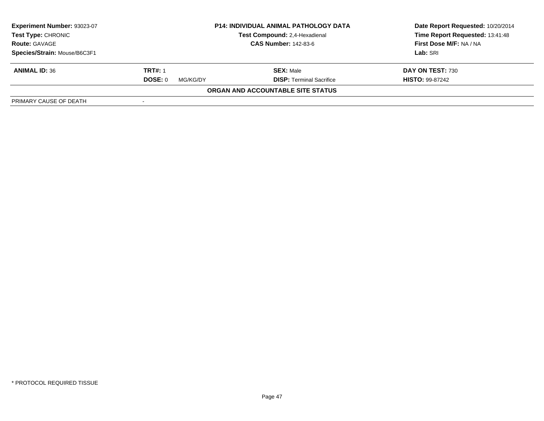| <b>Experiment Number: 93023-07</b><br><b>Test Type: CHRONIC</b><br><b>Route: GAVAGE</b> | <b>P14: INDIVIDUAL ANIMAL PATHOLOGY DATA</b><br>Test Compound: 2,4-Hexadienal<br><b>CAS Number: 142-83-6</b> |                                   | Date Report Requested: 10/20/2014<br>Time Report Requested: 13:41:48<br>First Dose M/F: NA / NA |
|-----------------------------------------------------------------------------------------|--------------------------------------------------------------------------------------------------------------|-----------------------------------|-------------------------------------------------------------------------------------------------|
| Species/Strain: Mouse/B6C3F1                                                            |                                                                                                              |                                   | Lab: SRI                                                                                        |
| <b>ANIMAL ID: 36</b>                                                                    | <b>TRT#: 1</b>                                                                                               | <b>SEX: Male</b>                  | DAY ON TEST: 730                                                                                |
|                                                                                         | DOSE: 0<br>MG/KG/DY                                                                                          | <b>DISP: Terminal Sacrifice</b>   | <b>HISTO: 99-87242</b>                                                                          |
|                                                                                         |                                                                                                              | ORGAN AND ACCOUNTABLE SITE STATUS |                                                                                                 |
| PRIMARY CAUSE OF DEATH                                                                  |                                                                                                              |                                   |                                                                                                 |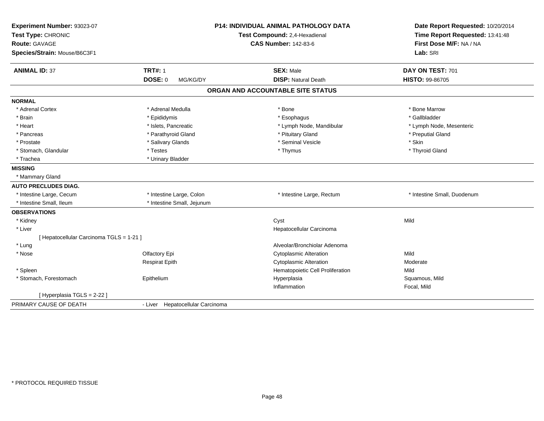| Experiment Number: 93023-07<br>Test Type: CHRONIC<br><b>Route: GAVAGE</b><br>Species/Strain: Mouse/B6C3F1 |                                  | P14: INDIVIDUAL ANIMAL PATHOLOGY DATA<br>Test Compound: 2,4-Hexadienal<br><b>CAS Number: 142-83-6</b> | Date Report Requested: 10/20/2014<br>Time Report Requested: 13:41:48<br>First Dose M/F: NA / NA<br>Lab: SRI |
|-----------------------------------------------------------------------------------------------------------|----------------------------------|-------------------------------------------------------------------------------------------------------|-------------------------------------------------------------------------------------------------------------|
| <b>ANIMAL ID: 37</b>                                                                                      | <b>TRT#: 1</b>                   | <b>SEX: Male</b>                                                                                      | DAY ON TEST: 701                                                                                            |
|                                                                                                           | DOSE: 0<br>MG/KG/DY              | <b>DISP: Natural Death</b>                                                                            | HISTO: 99-86705                                                                                             |
|                                                                                                           |                                  | ORGAN AND ACCOUNTABLE SITE STATUS                                                                     |                                                                                                             |
| <b>NORMAL</b>                                                                                             |                                  |                                                                                                       |                                                                                                             |
| * Adrenal Cortex                                                                                          | * Adrenal Medulla                | * Bone                                                                                                | * Bone Marrow                                                                                               |
| * Brain                                                                                                   | * Epididymis                     | * Esophagus                                                                                           | * Gallbladder                                                                                               |
| * Heart                                                                                                   | * Islets, Pancreatic             | * Lymph Node, Mandibular                                                                              | * Lymph Node, Mesenteric                                                                                    |
| * Pancreas                                                                                                | * Parathyroid Gland              | * Pituitary Gland                                                                                     | * Preputial Gland                                                                                           |
| * Prostate                                                                                                | * Salivary Glands                | * Seminal Vesicle                                                                                     | * Skin                                                                                                      |
| * Stomach, Glandular                                                                                      | * Testes                         | * Thymus                                                                                              | * Thyroid Gland                                                                                             |
| * Trachea                                                                                                 | * Urinary Bladder                |                                                                                                       |                                                                                                             |
| <b>MISSING</b>                                                                                            |                                  |                                                                                                       |                                                                                                             |
| * Mammary Gland                                                                                           |                                  |                                                                                                       |                                                                                                             |
| <b>AUTO PRECLUDES DIAG.</b>                                                                               |                                  |                                                                                                       |                                                                                                             |
| * Intestine Large, Cecum                                                                                  | * Intestine Large, Colon         | * Intestine Large, Rectum                                                                             | * Intestine Small, Duodenum                                                                                 |
| * Intestine Small, Ileum                                                                                  | * Intestine Small, Jejunum       |                                                                                                       |                                                                                                             |
| <b>OBSERVATIONS</b>                                                                                       |                                  |                                                                                                       |                                                                                                             |
| * Kidney                                                                                                  |                                  | Cyst                                                                                                  | Mild                                                                                                        |
| * Liver                                                                                                   |                                  | Hepatocellular Carcinoma                                                                              |                                                                                                             |
| [ Hepatocellular Carcinoma TGLS = 1-21 ]                                                                  |                                  |                                                                                                       |                                                                                                             |
| * Lung                                                                                                    |                                  | Alveolar/Bronchiolar Adenoma                                                                          |                                                                                                             |
| * Nose                                                                                                    | Olfactory Epi                    | <b>Cytoplasmic Alteration</b>                                                                         | Mild                                                                                                        |
|                                                                                                           | <b>Respirat Epith</b>            | <b>Cytoplasmic Alteration</b>                                                                         | Moderate                                                                                                    |
| * Spleen                                                                                                  |                                  | Hematopoietic Cell Proliferation                                                                      | Mild                                                                                                        |
| * Stomach, Forestomach                                                                                    | Epithelium                       | Hyperplasia                                                                                           | Squamous, Mild                                                                                              |
|                                                                                                           |                                  | Inflammation                                                                                          | Focal, Mild                                                                                                 |
| [ Hyperplasia TGLS = 2-22 ]                                                                               |                                  |                                                                                                       |                                                                                                             |
| PRIMARY CAUSE OF DEATH                                                                                    | - Liver Hepatocellular Carcinoma |                                                                                                       |                                                                                                             |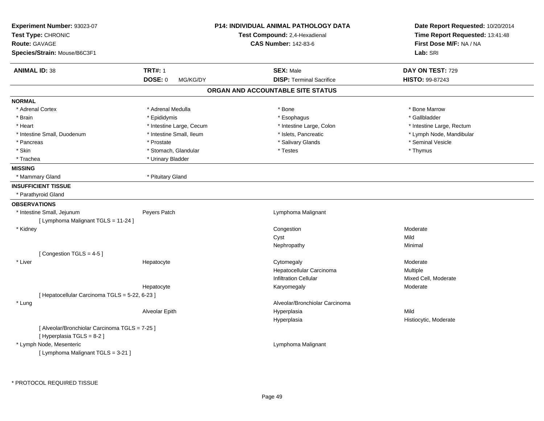| Experiment Number: 93023-07<br>Test Type: CHRONIC<br>Route: GAVAGE<br>Species/Strain: Mouse/B6C3F1 |                                              | <b>P14: INDIVIDUAL ANIMAL PATHOLOGY DATA</b><br>Test Compound: 2,4-Hexadienal<br><b>CAS Number: 142-83-6</b> | Date Report Requested: 10/20/2014<br>Time Report Requested: 13:41:48<br>First Dose M/F: NA / NA<br>Lab: SRI |
|----------------------------------------------------------------------------------------------------|----------------------------------------------|--------------------------------------------------------------------------------------------------------------|-------------------------------------------------------------------------------------------------------------|
| <b>ANIMAL ID: 38</b>                                                                               | <b>TRT#: 1</b><br><b>DOSE: 0</b><br>MG/KG/DY | <b>SEX: Male</b><br><b>DISP: Terminal Sacrifice</b>                                                          | DAY ON TEST: 729<br><b>HISTO: 99-87243</b>                                                                  |
|                                                                                                    |                                              | ORGAN AND ACCOUNTABLE SITE STATUS                                                                            |                                                                                                             |
| <b>NORMAL</b>                                                                                      |                                              |                                                                                                              |                                                                                                             |
| * Adrenal Cortex                                                                                   | * Adrenal Medulla                            | * Bone                                                                                                       | * Bone Marrow                                                                                               |
| * Brain                                                                                            | * Epididymis                                 | * Esophagus                                                                                                  | * Gallbladder                                                                                               |
| * Heart                                                                                            | * Intestine Large, Cecum                     | * Intestine Large, Colon                                                                                     | * Intestine Large, Rectum                                                                                   |
| * Intestine Small, Duodenum                                                                        | * Intestine Small, Ileum                     | * Islets, Pancreatic                                                                                         | * Lymph Node, Mandibular                                                                                    |
| * Pancreas                                                                                         | * Prostate                                   | * Salivary Glands                                                                                            | * Seminal Vesicle                                                                                           |
| * Skin                                                                                             | * Stomach, Glandular                         | * Testes                                                                                                     | * Thymus                                                                                                    |
| * Trachea                                                                                          | * Urinary Bladder                            |                                                                                                              |                                                                                                             |
| <b>MISSING</b>                                                                                     |                                              |                                                                                                              |                                                                                                             |
| * Mammary Gland                                                                                    | * Pituitary Gland                            |                                                                                                              |                                                                                                             |
| <b>INSUFFICIENT TISSUE</b>                                                                         |                                              |                                                                                                              |                                                                                                             |
| * Parathyroid Gland                                                                                |                                              |                                                                                                              |                                                                                                             |
| <b>OBSERVATIONS</b>                                                                                |                                              |                                                                                                              |                                                                                                             |
| * Intestine Small, Jejunum                                                                         | Peyers Patch                                 | Lymphoma Malignant                                                                                           |                                                                                                             |
| [ Lymphoma Malignant TGLS = 11-24 ]                                                                |                                              |                                                                                                              |                                                                                                             |
| * Kidney                                                                                           |                                              | Congestion                                                                                                   | Moderate                                                                                                    |
|                                                                                                    |                                              | Cyst                                                                                                         | Mild                                                                                                        |
|                                                                                                    |                                              | Nephropathy                                                                                                  | Minimal                                                                                                     |
| [Congestion TGLS = 4-5]                                                                            |                                              |                                                                                                              |                                                                                                             |
| * Liver                                                                                            | Hepatocyte                                   | Cytomegaly                                                                                                   | Moderate                                                                                                    |
|                                                                                                    |                                              | Hepatocellular Carcinoma                                                                                     | Multiple                                                                                                    |
|                                                                                                    |                                              | <b>Infiltration Cellular</b>                                                                                 | Mixed Cell, Moderate                                                                                        |
|                                                                                                    | Hepatocyte                                   | Karyomegaly                                                                                                  | Moderate                                                                                                    |
| [Hepatocellular Carcinoma TGLS = 5-22, 6-23]                                                       |                                              |                                                                                                              |                                                                                                             |
| * Lung                                                                                             |                                              | Alveolar/Bronchiolar Carcinoma                                                                               |                                                                                                             |
|                                                                                                    | Alveolar Epith                               | Hyperplasia                                                                                                  | Mild                                                                                                        |
|                                                                                                    |                                              | Hyperplasia                                                                                                  | Histiocytic, Moderate                                                                                       |
| [ Alveolar/Bronchiolar Carcinoma TGLS = 7-25 ]<br>[ Hyperplasia TGLS = 8-2 ]                       |                                              |                                                                                                              |                                                                                                             |
| * Lymph Node, Mesenteric                                                                           |                                              | Lymphoma Malignant                                                                                           |                                                                                                             |
| [ Lymphoma Malignant TGLS = 3-21 ]                                                                 |                                              |                                                                                                              |                                                                                                             |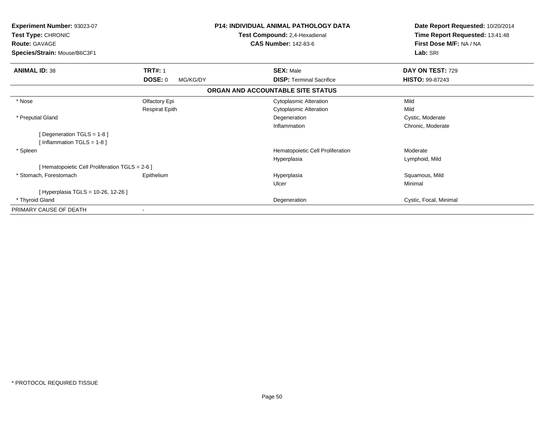| Experiment Number: 93023-07<br>Test Type: CHRONIC<br><b>Route: GAVAGE</b><br>Species/Strain: Mouse/B6C3F1 |                            | <b>P14: INDIVIDUAL ANIMAL PATHOLOGY DATA</b><br>Test Compound: 2,4-Hexadienal<br><b>CAS Number: 142-83-6</b> | Date Report Requested: 10/20/2014<br>Time Report Requested: 13:41:48<br>First Dose M/F: NA / NA<br>Lab: SRI |
|-----------------------------------------------------------------------------------------------------------|----------------------------|--------------------------------------------------------------------------------------------------------------|-------------------------------------------------------------------------------------------------------------|
| <b>ANIMAL ID: 38</b>                                                                                      | <b>TRT#: 1</b>             | <b>SEX: Male</b>                                                                                             | DAY ON TEST: 729                                                                                            |
|                                                                                                           | <b>DOSE: 0</b><br>MG/KG/DY | <b>DISP:</b> Terminal Sacrifice                                                                              | <b>HISTO: 99-87243</b>                                                                                      |
|                                                                                                           |                            | ORGAN AND ACCOUNTABLE SITE STATUS                                                                            |                                                                                                             |
| * Nose                                                                                                    | Olfactory Epi              | <b>Cytoplasmic Alteration</b>                                                                                | Mild                                                                                                        |
|                                                                                                           | <b>Respirat Epith</b>      | <b>Cytoplasmic Alteration</b>                                                                                | Mild                                                                                                        |
| * Preputial Gland                                                                                         |                            | Degeneration                                                                                                 | Cystic, Moderate                                                                                            |
|                                                                                                           |                            | Inflammation                                                                                                 | Chronic, Moderate                                                                                           |
| [Degeneration TGLS = 1-8]                                                                                 |                            |                                                                                                              |                                                                                                             |
| [Inflammation TGLS = $1-8$ ]                                                                              |                            |                                                                                                              |                                                                                                             |
| * Spleen                                                                                                  |                            | Hematopoietic Cell Proliferation                                                                             | Moderate                                                                                                    |
|                                                                                                           |                            | Hyperplasia                                                                                                  | Lymphoid, Mild                                                                                              |
| [ Hematopoietic Cell Proliferation TGLS = 2-6 ]                                                           |                            |                                                                                                              |                                                                                                             |
| * Stomach, Forestomach                                                                                    | Epithelium                 | Hyperplasia                                                                                                  | Squamous, Mild                                                                                              |
|                                                                                                           |                            | Ulcer                                                                                                        | Minimal                                                                                                     |
| [Hyperplasia TGLS = 10-26, 12-26]                                                                         |                            |                                                                                                              |                                                                                                             |
| * Thyroid Gland                                                                                           |                            | Degeneration                                                                                                 | Cystic, Focal, Minimal                                                                                      |
| PRIMARY CAUSE OF DEATH                                                                                    |                            |                                                                                                              |                                                                                                             |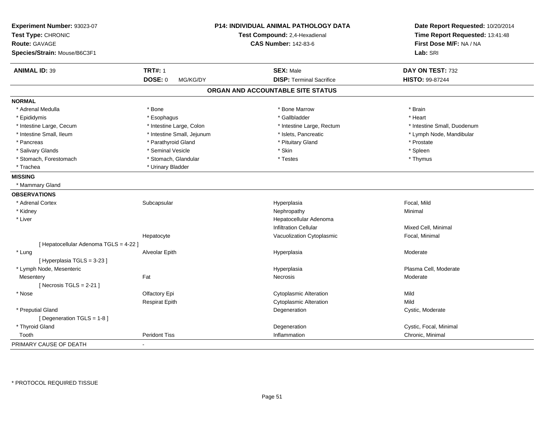| Experiment Number: 93023-07<br>Test Type: CHRONIC |                            | P14: INDIVIDUAL ANIMAL PATHOLOGY DATA<br>Test Compound: 2,4-Hexadienal | Date Report Requested: 10/20/2014<br>Time Report Requested: 13:41:48 |
|---------------------------------------------------|----------------------------|------------------------------------------------------------------------|----------------------------------------------------------------------|
| Route: GAVAGE                                     |                            | <b>CAS Number: 142-83-6</b>                                            | First Dose M/F: NA / NA                                              |
| Species/Strain: Mouse/B6C3F1                      |                            |                                                                        | Lab: SRI                                                             |
| <b>ANIMAL ID: 39</b>                              | <b>TRT#: 1</b>             | <b>SEX: Male</b>                                                       | DAY ON TEST: 732                                                     |
|                                                   | <b>DOSE: 0</b><br>MG/KG/DY | <b>DISP: Terminal Sacrifice</b>                                        | HISTO: 99-87244                                                      |
|                                                   |                            | ORGAN AND ACCOUNTABLE SITE STATUS                                      |                                                                      |
| <b>NORMAL</b>                                     |                            |                                                                        |                                                                      |
| * Adrenal Medulla                                 | * Bone                     | * Bone Marrow                                                          | * Brain                                                              |
| * Epididymis                                      | * Esophagus                | * Gallbladder                                                          | * Heart                                                              |
| * Intestine Large, Cecum                          | * Intestine Large, Colon   | * Intestine Large, Rectum                                              | * Intestine Small, Duodenum                                          |
| * Intestine Small, Ileum                          | * Intestine Small, Jejunum | * Islets, Pancreatic                                                   | * Lymph Node, Mandibular                                             |
| * Pancreas                                        | * Parathyroid Gland        | * Pituitary Gland                                                      | * Prostate                                                           |
| * Salivary Glands                                 | * Seminal Vesicle          | * Skin                                                                 | $*$ Spleen                                                           |
| * Stomach, Forestomach                            | * Stomach, Glandular       | * Testes                                                               | * Thymus                                                             |
| * Trachea                                         | * Urinary Bladder          |                                                                        |                                                                      |
| <b>MISSING</b>                                    |                            |                                                                        |                                                                      |
| * Mammary Gland                                   |                            |                                                                        |                                                                      |
| <b>OBSERVATIONS</b>                               |                            |                                                                        |                                                                      |
| * Adrenal Cortex                                  | Subcapsular                | Hyperplasia                                                            | Focal, Mild                                                          |
| * Kidney                                          |                            | Nephropathy                                                            | Minimal                                                              |
| * Liver                                           |                            | Hepatocellular Adenoma                                                 |                                                                      |
|                                                   |                            | <b>Infiltration Cellular</b>                                           | Mixed Cell, Minimal                                                  |
|                                                   | Hepatocyte                 | Vacuolization Cytoplasmic                                              | Focal, Minimal                                                       |
| [ Hepatocellular Adenoma TGLS = 4-22 ]            |                            |                                                                        |                                                                      |
| * Lung                                            | Alveolar Epith             | Hyperplasia                                                            | Moderate                                                             |
| [Hyperplasia TGLS = 3-23]                         |                            |                                                                        |                                                                      |
| * Lymph Node, Mesenteric                          |                            | Hyperplasia                                                            | Plasma Cell, Moderate                                                |
| Mesentery                                         | Fat                        | Necrosis                                                               | Moderate                                                             |
| [Necrosis TGLS = $2-21$ ]                         |                            |                                                                        |                                                                      |
| * Nose                                            | Olfactory Epi              | <b>Cytoplasmic Alteration</b>                                          | Mild                                                                 |
|                                                   | <b>Respirat Epith</b>      | Cytoplasmic Alteration                                                 | Mild                                                                 |
| * Preputial Gland                                 |                            | Degeneration                                                           | Cystic, Moderate                                                     |
| [ Degeneration TGLS = 1-8 ]                       |                            |                                                                        |                                                                      |
| * Thyroid Gland                                   |                            | Degeneration                                                           | Cystic, Focal, Minimal                                               |
| Tooth                                             | <b>Peridont Tiss</b>       | Inflammation                                                           | Chronic, Minimal                                                     |
| PRIMARY CAUSE OF DEATH                            |                            |                                                                        |                                                                      |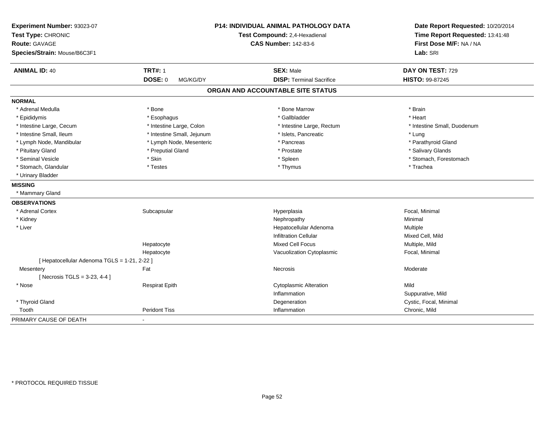| Experiment Number: 93023-07<br>Test Type: CHRONIC |                            | P14: INDIVIDUAL ANIMAL PATHOLOGY DATA<br>Test Compound: 2,4-Hexadienal | Date Report Requested: 10/20/2014<br>Time Report Requested: 13:41:48 |
|---------------------------------------------------|----------------------------|------------------------------------------------------------------------|----------------------------------------------------------------------|
| <b>Route: GAVAGE</b>                              |                            | <b>CAS Number: 142-83-6</b>                                            | First Dose M/F: NA / NA                                              |
| Species/Strain: Mouse/B6C3F1                      |                            |                                                                        | Lab: SRI                                                             |
|                                                   |                            |                                                                        |                                                                      |
| <b>ANIMAL ID: 40</b>                              | <b>TRT#: 1</b>             | <b>SEX: Male</b>                                                       | DAY ON TEST: 729                                                     |
|                                                   | <b>DOSE: 0</b><br>MG/KG/DY | <b>DISP: Terminal Sacrifice</b>                                        | <b>HISTO: 99-87245</b>                                               |
|                                                   |                            | ORGAN AND ACCOUNTABLE SITE STATUS                                      |                                                                      |
| <b>NORMAL</b>                                     |                            |                                                                        |                                                                      |
| * Adrenal Medulla                                 | * Bone                     | * Bone Marrow                                                          | * Brain                                                              |
| * Epididymis                                      | * Esophagus                | * Gallbladder                                                          | * Heart                                                              |
| * Intestine Large, Cecum                          | * Intestine Large, Colon   | * Intestine Large, Rectum                                              | * Intestine Small, Duodenum                                          |
| * Intestine Small, Ileum                          | * Intestine Small, Jejunum | * Islets, Pancreatic                                                   | * Lung                                                               |
| * Lymph Node, Mandibular                          | * Lymph Node, Mesenteric   | * Pancreas                                                             | * Parathyroid Gland                                                  |
| * Pituitary Gland                                 | * Preputial Gland          | * Prostate                                                             | * Salivary Glands                                                    |
| * Seminal Vesicle                                 | * Skin                     | * Spleen                                                               | * Stomach, Forestomach                                               |
| * Stomach, Glandular                              | * Testes                   | * Thymus                                                               | * Trachea                                                            |
| * Urinary Bladder                                 |                            |                                                                        |                                                                      |
| <b>MISSING</b>                                    |                            |                                                                        |                                                                      |
| * Mammary Gland                                   |                            |                                                                        |                                                                      |
| <b>OBSERVATIONS</b>                               |                            |                                                                        |                                                                      |
| * Adrenal Cortex                                  | Subcapsular                | Hyperplasia                                                            | Focal, Minimal                                                       |
| * Kidney                                          |                            | Nephropathy                                                            | Minimal                                                              |
| * Liver                                           |                            | Hepatocellular Adenoma                                                 | Multiple                                                             |
|                                                   |                            | <b>Infiltration Cellular</b>                                           | Mixed Cell, Mild                                                     |
|                                                   | Hepatocyte                 | <b>Mixed Cell Focus</b>                                                | Multiple, Mild                                                       |
|                                                   | Hepatocyte                 | Vacuolization Cytoplasmic                                              | Focal, Minimal                                                       |
| [ Hepatocellular Adenoma TGLS = 1-21, 2-22 ]      |                            |                                                                        |                                                                      |
| Mesentery                                         | Fat                        | Necrosis                                                               | Moderate                                                             |
| [ Necrosis TGLS = $3-23, 4-4$ ]                   |                            |                                                                        |                                                                      |
| * Nose                                            | <b>Respirat Epith</b>      | <b>Cytoplasmic Alteration</b>                                          | Mild                                                                 |
|                                                   |                            | Inflammation                                                           | Suppurative, Mild                                                    |
| * Thyroid Gland                                   |                            | Degeneration                                                           | Cystic, Focal, Minimal                                               |
| Tooth                                             | <b>Peridont Tiss</b>       | Inflammation                                                           | Chronic, Mild                                                        |
| PRIMARY CAUSE OF DEATH                            |                            |                                                                        |                                                                      |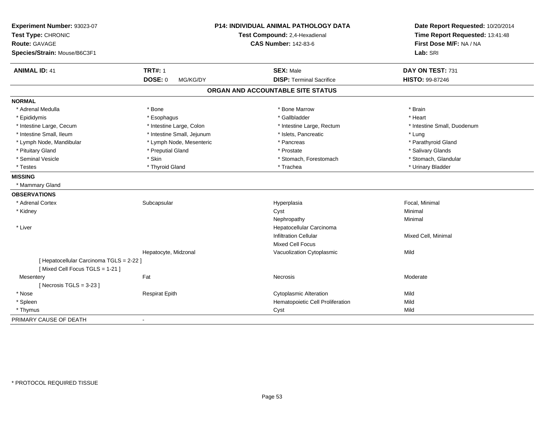| Experiment Number: 93023-07<br>Test Type: CHRONIC<br><b>Route: GAVAGE</b><br>Species/Strain: Mouse/B6C3F1 |                            | P14: INDIVIDUAL ANIMAL PATHOLOGY DATA<br>Test Compound: 2,4-Hexadienal<br><b>CAS Number: 142-83-6</b> | Date Report Requested: 10/20/2014<br>Time Report Requested: 13:41:48<br>First Dose M/F: NA / NA<br>Lab: SRI |
|-----------------------------------------------------------------------------------------------------------|----------------------------|-------------------------------------------------------------------------------------------------------|-------------------------------------------------------------------------------------------------------------|
| <b>ANIMAL ID: 41</b>                                                                                      | <b>TRT#: 1</b>             | <b>SEX: Male</b>                                                                                      | DAY ON TEST: 731                                                                                            |
|                                                                                                           | <b>DOSE: 0</b><br>MG/KG/DY | <b>DISP: Terminal Sacrifice</b>                                                                       | HISTO: 99-87246                                                                                             |
|                                                                                                           |                            | ORGAN AND ACCOUNTABLE SITE STATUS                                                                     |                                                                                                             |
| <b>NORMAL</b>                                                                                             |                            |                                                                                                       |                                                                                                             |
| * Adrenal Medulla                                                                                         | * Bone                     | * Bone Marrow                                                                                         | * Brain                                                                                                     |
| * Epididymis                                                                                              | * Esophagus                | * Gallbladder                                                                                         | * Heart                                                                                                     |
| * Intestine Large, Cecum                                                                                  | * Intestine Large, Colon   | * Intestine Large, Rectum                                                                             | * Intestine Small, Duodenum                                                                                 |
| * Intestine Small, Ileum                                                                                  | * Intestine Small, Jejunum | * Islets, Pancreatic                                                                                  | * Lung                                                                                                      |
| * Lymph Node, Mandibular                                                                                  | * Lymph Node, Mesenteric   | * Pancreas                                                                                            | * Parathyroid Gland                                                                                         |
| * Pituitary Gland                                                                                         | * Preputial Gland          | * Prostate                                                                                            | * Salivary Glands                                                                                           |
| * Seminal Vesicle                                                                                         | * Skin                     | * Stomach, Forestomach                                                                                | * Stomach, Glandular                                                                                        |
| * Testes                                                                                                  | * Thyroid Gland            | * Trachea                                                                                             | * Urinary Bladder                                                                                           |
| <b>MISSING</b>                                                                                            |                            |                                                                                                       |                                                                                                             |
| * Mammary Gland                                                                                           |                            |                                                                                                       |                                                                                                             |
| <b>OBSERVATIONS</b>                                                                                       |                            |                                                                                                       |                                                                                                             |
| * Adrenal Cortex                                                                                          | Subcapsular                | Hyperplasia                                                                                           | Focal, Minimal                                                                                              |
| * Kidney                                                                                                  |                            | Cyst                                                                                                  | Minimal                                                                                                     |
|                                                                                                           |                            | Nephropathy                                                                                           | Minimal                                                                                                     |
| * Liver                                                                                                   |                            | Hepatocellular Carcinoma                                                                              |                                                                                                             |
|                                                                                                           |                            | <b>Infiltration Cellular</b>                                                                          | Mixed Cell, Minimal                                                                                         |
|                                                                                                           |                            | <b>Mixed Cell Focus</b>                                                                               |                                                                                                             |
|                                                                                                           | Hepatocyte, Midzonal       | Vacuolization Cytoplasmic                                                                             | Mild                                                                                                        |
| [ Hepatocellular Carcinoma TGLS = 2-22 ]<br>[Mixed Cell Focus TGLS = 1-21]                                |                            |                                                                                                       |                                                                                                             |
| Mesentery                                                                                                 | Fat                        | Necrosis                                                                                              | Moderate                                                                                                    |
| [Necrosis $TGLS = 3-23$ ]                                                                                 |                            |                                                                                                       |                                                                                                             |
| * Nose                                                                                                    | <b>Respirat Epith</b>      | <b>Cytoplasmic Alteration</b>                                                                         | Mild                                                                                                        |
| * Spleen                                                                                                  |                            | Hematopoietic Cell Proliferation                                                                      | Mild                                                                                                        |
| * Thymus                                                                                                  |                            | Cyst                                                                                                  | Mild                                                                                                        |
| PRIMARY CAUSE OF DEATH                                                                                    | $\overline{a}$             |                                                                                                       |                                                                                                             |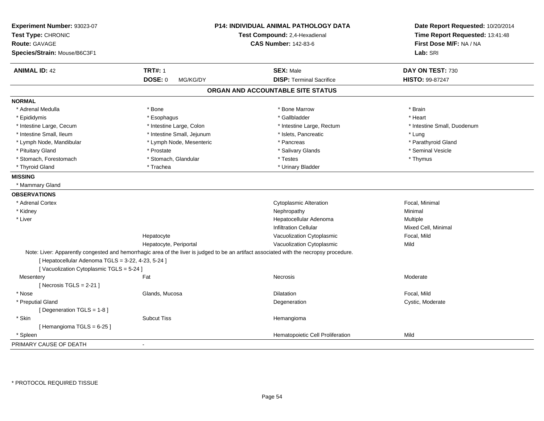| Experiment Number: 93023-07<br>Test Type: CHRONIC  |                            | P14: INDIVIDUAL ANIMAL PATHOLOGY DATA<br>Test Compound: 2,4-Hexadienal                                                                  | Date Report Requested: 10/20/2014<br>Time Report Requested: 13:41:48 |
|----------------------------------------------------|----------------------------|-----------------------------------------------------------------------------------------------------------------------------------------|----------------------------------------------------------------------|
| Route: GAVAGE                                      |                            | <b>CAS Number: 142-83-6</b>                                                                                                             | First Dose M/F: NA / NA                                              |
| Species/Strain: Mouse/B6C3F1                       |                            |                                                                                                                                         | Lab: SRI                                                             |
| <b>ANIMAL ID: 42</b>                               | <b>TRT#: 1</b>             | <b>SEX: Male</b>                                                                                                                        | DAY ON TEST: 730                                                     |
|                                                    | <b>DOSE: 0</b><br>MG/KG/DY | <b>DISP: Terminal Sacrifice</b>                                                                                                         | HISTO: 99-87247                                                      |
|                                                    |                            | ORGAN AND ACCOUNTABLE SITE STATUS                                                                                                       |                                                                      |
| <b>NORMAL</b>                                      |                            |                                                                                                                                         |                                                                      |
| * Adrenal Medulla                                  | * Bone                     | * Bone Marrow                                                                                                                           | * Brain                                                              |
| * Epididymis                                       | * Esophagus                | * Gallbladder                                                                                                                           | * Heart                                                              |
| * Intestine Large, Cecum                           | * Intestine Large, Colon   | * Intestine Large, Rectum                                                                                                               | * Intestine Small, Duodenum                                          |
| * Intestine Small, Ileum                           | * Intestine Small, Jejunum | * Islets, Pancreatic                                                                                                                    | * Lung                                                               |
| * Lymph Node, Mandibular                           | * Lymph Node, Mesenteric   | * Pancreas                                                                                                                              | * Parathyroid Gland                                                  |
| * Pituitary Gland                                  | * Prostate                 | * Salivary Glands                                                                                                                       | * Seminal Vesicle                                                    |
| * Stomach, Forestomach                             | * Stomach, Glandular       | * Testes                                                                                                                                | * Thymus                                                             |
| * Thyroid Gland                                    | * Trachea                  | * Urinary Bladder                                                                                                                       |                                                                      |
| <b>MISSING</b>                                     |                            |                                                                                                                                         |                                                                      |
| * Mammary Gland                                    |                            |                                                                                                                                         |                                                                      |
| <b>OBSERVATIONS</b>                                |                            |                                                                                                                                         |                                                                      |
| * Adrenal Cortex                                   |                            | <b>Cytoplasmic Alteration</b>                                                                                                           | Focal, Minimal                                                       |
| * Kidney                                           |                            | Nephropathy                                                                                                                             | Minimal                                                              |
| * Liver                                            |                            | Hepatocellular Adenoma                                                                                                                  | Multiple                                                             |
|                                                    |                            | <b>Infiltration Cellular</b>                                                                                                            | Mixed Cell, Minimal                                                  |
|                                                    | Hepatocyte                 | Vacuolization Cytoplasmic                                                                                                               | Focal, Mild                                                          |
|                                                    | Hepatocyte, Periportal     | Vacuolization Cytoplasmic                                                                                                               | Mild                                                                 |
|                                                    |                            | Note: Liver: Apparently congested and hemorrhagic area of the liver is judged to be an artifact associated with the necropsy procedure. |                                                                      |
| [ Hepatocellular Adenoma TGLS = 3-22, 4-23, 5-24 ] |                            |                                                                                                                                         |                                                                      |
| [Vacuolization Cytoplasmic TGLS = 5-24 ]           |                            |                                                                                                                                         |                                                                      |
| Mesentery                                          | Fat                        | Necrosis                                                                                                                                | Moderate                                                             |
| [Necrosis TGLS = $2-21$ ]                          |                            |                                                                                                                                         |                                                                      |
| * Nose                                             | Glands, Mucosa             | <b>Dilatation</b>                                                                                                                       | Focal, Mild                                                          |
| * Preputial Gland                                  |                            | Degeneration                                                                                                                            | Cystic, Moderate                                                     |
| [ Degeneration TGLS = 1-8 ]                        |                            |                                                                                                                                         |                                                                      |
| * Skin                                             | <b>Subcut Tiss</b>         | Hemangioma                                                                                                                              |                                                                      |
| [Hemangioma TGLS = 6-25]                           |                            |                                                                                                                                         |                                                                      |
| * Spleen                                           |                            | Hematopoietic Cell Proliferation                                                                                                        | Mild                                                                 |
| PRIMARY CAUSE OF DEATH                             | $\sim$                     |                                                                                                                                         |                                                                      |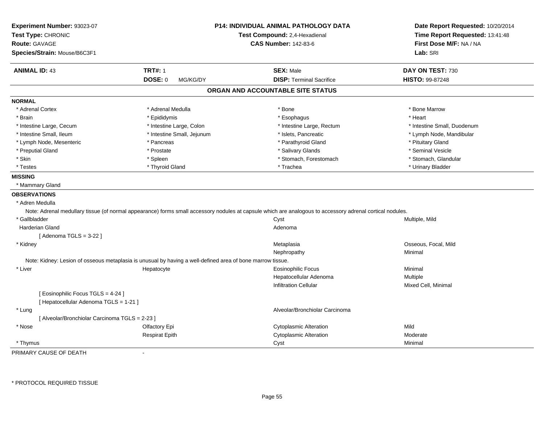| Experiment Number: 93023-07<br>Test Type: CHRONIC |                                                                                                            | <b>P14: INDIVIDUAL ANIMAL PATHOLOGY DATA</b><br>Test Compound: 2,4-Hexadienal                                                                             | Date Report Requested: 10/20/2014<br>Time Report Requested: 13:41:48 |
|---------------------------------------------------|------------------------------------------------------------------------------------------------------------|-----------------------------------------------------------------------------------------------------------------------------------------------------------|----------------------------------------------------------------------|
| <b>Route: GAVAGE</b>                              |                                                                                                            | <b>CAS Number: 142-83-6</b>                                                                                                                               | First Dose M/F: NA / NA                                              |
| Species/Strain: Mouse/B6C3F1                      |                                                                                                            |                                                                                                                                                           | Lab: SRI                                                             |
| <b>ANIMAL ID: 43</b>                              | <b>TRT#: 1</b>                                                                                             | <b>SEX: Male</b>                                                                                                                                          | DAY ON TEST: 730                                                     |
|                                                   | <b>DOSE: 0</b><br>MG/KG/DY                                                                                 | <b>DISP: Terminal Sacrifice</b>                                                                                                                           | HISTO: 99-87248                                                      |
|                                                   |                                                                                                            | ORGAN AND ACCOUNTABLE SITE STATUS                                                                                                                         |                                                                      |
| <b>NORMAL</b>                                     |                                                                                                            |                                                                                                                                                           |                                                                      |
| * Adrenal Cortex                                  | * Adrenal Medulla                                                                                          | * Bone                                                                                                                                                    | * Bone Marrow                                                        |
| * Brain                                           | * Epididymis                                                                                               | * Esophagus                                                                                                                                               | * Heart                                                              |
| * Intestine Large, Cecum                          | * Intestine Large, Colon                                                                                   | * Intestine Large, Rectum                                                                                                                                 | * Intestine Small, Duodenum                                          |
| * Intestine Small, Ileum                          | * Intestine Small, Jejunum                                                                                 | * Islets, Pancreatic                                                                                                                                      | * Lymph Node, Mandibular                                             |
| * Lymph Node, Mesenteric                          | * Pancreas                                                                                                 | * Parathyroid Gland                                                                                                                                       | * Pituitary Gland                                                    |
| * Preputial Gland                                 | * Prostate                                                                                                 | * Salivary Glands                                                                                                                                         | * Seminal Vesicle                                                    |
| * Skin                                            | * Spleen                                                                                                   | * Stomach, Forestomach                                                                                                                                    | * Stomach, Glandular                                                 |
| * Testes                                          | * Thyroid Gland                                                                                            | * Trachea                                                                                                                                                 | * Urinary Bladder                                                    |
| <b>MISSING</b>                                    |                                                                                                            |                                                                                                                                                           |                                                                      |
| * Mammary Gland                                   |                                                                                                            |                                                                                                                                                           |                                                                      |
| <b>OBSERVATIONS</b>                               |                                                                                                            |                                                                                                                                                           |                                                                      |
| * Adren Medulla                                   |                                                                                                            |                                                                                                                                                           |                                                                      |
|                                                   |                                                                                                            | Note: Adrenal medullary tissue (of normal appearance) forms small accessory nodules at capsule which are analogous to accessory adrenal cortical nodules. |                                                                      |
| * Gallbladder                                     |                                                                                                            | Cyst                                                                                                                                                      | Multiple, Mild                                                       |
| <b>Harderian Gland</b>                            |                                                                                                            | Adenoma                                                                                                                                                   |                                                                      |
| [Adenoma TGLS = $3-22$ ]                          |                                                                                                            |                                                                                                                                                           |                                                                      |
| * Kidney                                          |                                                                                                            | Metaplasia                                                                                                                                                | Osseous, Focal, Mild                                                 |
|                                                   |                                                                                                            | Nephropathy                                                                                                                                               | Minimal                                                              |
|                                                   | Note: Kidney: Lesion of osseous metaplasia is unusual by having a well-defined area of bone marrow tissue. |                                                                                                                                                           |                                                                      |
| * Liver                                           | Hepatocyte                                                                                                 | Eosinophilic Focus                                                                                                                                        | Minimal                                                              |
|                                                   |                                                                                                            | Hepatocellular Adenoma                                                                                                                                    | Multiple                                                             |
|                                                   |                                                                                                            | <b>Infiltration Cellular</b>                                                                                                                              | Mixed Cell, Minimal                                                  |
| [Eosinophilic Focus TGLS = 4-24]                  |                                                                                                            |                                                                                                                                                           |                                                                      |
| [ Hepatocellular Adenoma TGLS = 1-21 ]            |                                                                                                            |                                                                                                                                                           |                                                                      |
| * Lung                                            |                                                                                                            | Alveolar/Bronchiolar Carcinoma                                                                                                                            |                                                                      |
| [ Alveolar/Bronchiolar Carcinoma TGLS = 2-23 ]    |                                                                                                            |                                                                                                                                                           |                                                                      |
| * Nose                                            | Olfactory Epi                                                                                              | <b>Cytoplasmic Alteration</b>                                                                                                                             | Mild                                                                 |
|                                                   | <b>Respirat Epith</b>                                                                                      | <b>Cytoplasmic Alteration</b>                                                                                                                             | Moderate                                                             |
| * Thymus                                          |                                                                                                            | Cyst                                                                                                                                                      | Minimal                                                              |

PRIMARY CAUSE OF DEATH-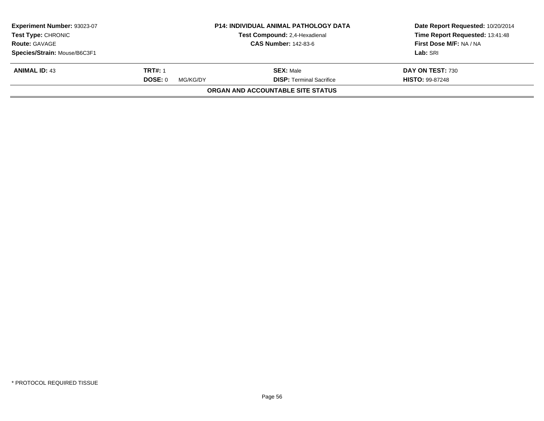| Experiment Number: 93023-07<br><b>Test Type: CHRONIC</b> |                                                     | <b>P14: INDIVIDUAL ANIMAL PATHOLOGY DATA</b><br>Test Compound: 2,4-Hexadienal | Date Report Requested: 10/20/2014<br>Time Report Requested: 13:41:48 |
|----------------------------------------------------------|-----------------------------------------------------|-------------------------------------------------------------------------------|----------------------------------------------------------------------|
|                                                          | <b>CAS Number: 142-83-6</b><br><b>Route: GAVAGE</b> |                                                                               | First Dose M/F: NA / NA                                              |
| Species/Strain: Mouse/B6C3F1                             |                                                     |                                                                               | Lab: SRI                                                             |
| <b>ANIMAL ID: 43</b>                                     | <b>TRT#: 1</b>                                      | <b>SEX: Male</b>                                                              | DAY ON TEST: 730                                                     |
|                                                          | DOSE: 0<br>MG/KG/DY                                 | <b>DISP: Terminal Sacrifice</b>                                               | <b>HISTO: 99-87248</b>                                               |
|                                                          |                                                     | ORGAN AND ACCOUNTABLE SITE STATUS                                             |                                                                      |
|                                                          |                                                     |                                                                               |                                                                      |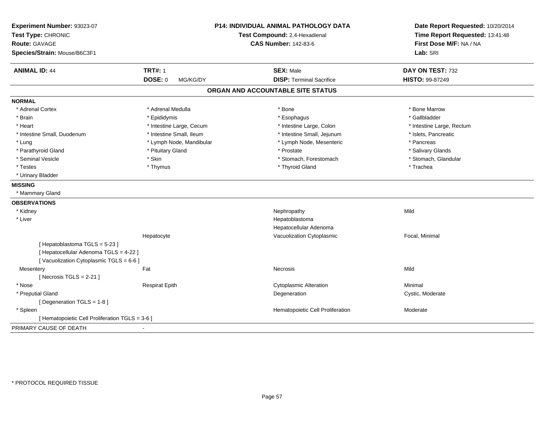| Experiment Number: 93023-07<br>Test Type: CHRONIC<br><b>Route: GAVAGE</b><br>Species/Strain: Mouse/B6C3F1 |                            | <b>P14: INDIVIDUAL ANIMAL PATHOLOGY DATA</b><br>Test Compound: 2,4-Hexadienal<br><b>CAS Number: 142-83-6</b> | Date Report Requested: 10/20/2014<br>Time Report Requested: 13:41:48<br>First Dose M/F: NA / NA<br>Lab: SRI |
|-----------------------------------------------------------------------------------------------------------|----------------------------|--------------------------------------------------------------------------------------------------------------|-------------------------------------------------------------------------------------------------------------|
| <b>ANIMAL ID: 44</b>                                                                                      | <b>TRT#: 1</b>             | <b>SEX: Male</b>                                                                                             | DAY ON TEST: 732                                                                                            |
|                                                                                                           | <b>DOSE: 0</b><br>MG/KG/DY | <b>DISP: Terminal Sacrifice</b>                                                                              | <b>HISTO: 99-87249</b>                                                                                      |
|                                                                                                           |                            | ORGAN AND ACCOUNTABLE SITE STATUS                                                                            |                                                                                                             |
| <b>NORMAL</b>                                                                                             |                            |                                                                                                              |                                                                                                             |
| * Adrenal Cortex                                                                                          | * Adrenal Medulla          | * Bone                                                                                                       | * Bone Marrow                                                                                               |
| * Brain                                                                                                   | * Epididymis               | * Esophagus                                                                                                  | * Gallbladder                                                                                               |
| * Heart                                                                                                   | * Intestine Large, Cecum   | * Intestine Large, Colon                                                                                     | * Intestine Large, Rectum                                                                                   |
| * Intestine Small, Duodenum                                                                               | * Intestine Small, Ileum   | * Intestine Small, Jejunum                                                                                   | * Islets, Pancreatic                                                                                        |
| * Lung                                                                                                    | * Lymph Node, Mandibular   | * Lymph Node, Mesenteric                                                                                     | * Pancreas                                                                                                  |
| * Parathyroid Gland                                                                                       | * Pituitary Gland          | * Prostate                                                                                                   | * Salivary Glands                                                                                           |
| * Seminal Vesicle                                                                                         | * Skin                     | * Stomach, Forestomach                                                                                       | * Stomach, Glandular                                                                                        |
| * Testes                                                                                                  | * Thymus                   | * Thyroid Gland                                                                                              | * Trachea                                                                                                   |
| * Urinary Bladder                                                                                         |                            |                                                                                                              |                                                                                                             |
| <b>MISSING</b>                                                                                            |                            |                                                                                                              |                                                                                                             |
| * Mammary Gland                                                                                           |                            |                                                                                                              |                                                                                                             |
| <b>OBSERVATIONS</b>                                                                                       |                            |                                                                                                              |                                                                                                             |
| * Kidney                                                                                                  |                            | Nephropathy                                                                                                  | Mild                                                                                                        |
| * Liver                                                                                                   |                            | Hepatoblastoma                                                                                               |                                                                                                             |
|                                                                                                           |                            | Hepatocellular Adenoma                                                                                       |                                                                                                             |
|                                                                                                           | Hepatocyte                 | Vacuolization Cytoplasmic                                                                                    | Focal, Minimal                                                                                              |
| [Hepatoblastoma TGLS = 5-23]                                                                              |                            |                                                                                                              |                                                                                                             |
| [ Hepatocellular Adenoma TGLS = 4-22 ]                                                                    |                            |                                                                                                              |                                                                                                             |
| [Vacuolization Cytoplasmic TGLS = 6-6]                                                                    |                            |                                                                                                              |                                                                                                             |
| Mesentery                                                                                                 | Fat                        | Necrosis                                                                                                     | Mild                                                                                                        |
| [Necrosis $TGLS = 2-21$ ]                                                                                 |                            |                                                                                                              |                                                                                                             |
| * Nose                                                                                                    | <b>Respirat Epith</b>      | <b>Cytoplasmic Alteration</b>                                                                                | Minimal                                                                                                     |
| * Preputial Gland                                                                                         |                            | Degeneration                                                                                                 | Cystic, Moderate                                                                                            |
| [Degeneration TGLS = 1-8]                                                                                 |                            |                                                                                                              |                                                                                                             |
| * Spleen                                                                                                  |                            | Hematopoietic Cell Proliferation                                                                             | Moderate                                                                                                    |
| [ Hematopoietic Cell Proliferation TGLS = 3-6 ]                                                           |                            |                                                                                                              |                                                                                                             |
| PRIMARY CAUSE OF DEATH                                                                                    |                            |                                                                                                              |                                                                                                             |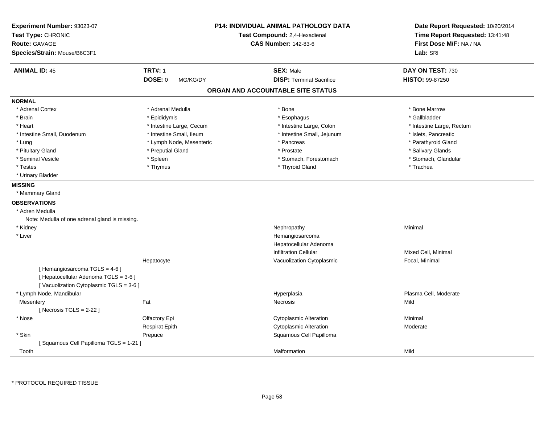| Experiment Number: 93023-07<br>Test Type: CHRONIC<br><b>Route: GAVAGE</b> |                            | <b>P14: INDIVIDUAL ANIMAL PATHOLOGY DATA</b><br>Test Compound: 2,4-Hexadienal<br><b>CAS Number: 142-83-6</b> | Date Report Requested: 10/20/2014<br>Time Report Requested: 13:41:48<br>First Dose M/F: NA / NA |
|---------------------------------------------------------------------------|----------------------------|--------------------------------------------------------------------------------------------------------------|-------------------------------------------------------------------------------------------------|
| Species/Strain: Mouse/B6C3F1                                              |                            |                                                                                                              | Lab: SRI                                                                                        |
| <b>ANIMAL ID: 45</b>                                                      | <b>TRT#: 1</b>             | <b>SEX: Male</b>                                                                                             | DAY ON TEST: 730                                                                                |
|                                                                           | <b>DOSE: 0</b><br>MG/KG/DY | <b>DISP: Terminal Sacrifice</b>                                                                              | HISTO: 99-87250                                                                                 |
|                                                                           |                            | ORGAN AND ACCOUNTABLE SITE STATUS                                                                            |                                                                                                 |
| <b>NORMAL</b>                                                             |                            |                                                                                                              |                                                                                                 |
| * Adrenal Cortex                                                          | * Adrenal Medulla          | * Bone                                                                                                       | * Bone Marrow                                                                                   |
| * Brain                                                                   | * Epididymis               | * Esophagus                                                                                                  | * Gallbladder                                                                                   |
| * Heart                                                                   | * Intestine Large, Cecum   | * Intestine Large, Colon                                                                                     | * Intestine Large, Rectum                                                                       |
| * Intestine Small, Duodenum                                               | * Intestine Small, Ileum   | * Intestine Small, Jejunum                                                                                   | * Islets, Pancreatic                                                                            |
| * Lung                                                                    | * Lymph Node, Mesenteric   | * Pancreas                                                                                                   | * Parathyroid Gland                                                                             |
| * Pituitary Gland                                                         | * Preputial Gland          | * Prostate                                                                                                   | * Salivary Glands                                                                               |
| * Seminal Vesicle                                                         | * Spleen                   | * Stomach, Forestomach                                                                                       | * Stomach, Glandular                                                                            |
| * Testes                                                                  | * Thymus                   | * Thyroid Gland                                                                                              | * Trachea                                                                                       |
| * Urinary Bladder                                                         |                            |                                                                                                              |                                                                                                 |
| <b>MISSING</b>                                                            |                            |                                                                                                              |                                                                                                 |
| * Mammary Gland                                                           |                            |                                                                                                              |                                                                                                 |
| <b>OBSERVATIONS</b>                                                       |                            |                                                                                                              |                                                                                                 |
| * Adren Medulla                                                           |                            |                                                                                                              |                                                                                                 |
| Note: Medulla of one adrenal gland is missing.                            |                            |                                                                                                              |                                                                                                 |
| * Kidney                                                                  |                            | Nephropathy                                                                                                  | Minimal                                                                                         |
| * Liver                                                                   |                            | Hemangiosarcoma                                                                                              |                                                                                                 |
|                                                                           |                            | Hepatocellular Adenoma                                                                                       |                                                                                                 |
|                                                                           |                            | <b>Infiltration Cellular</b>                                                                                 | Mixed Cell, Minimal                                                                             |
|                                                                           | Hepatocyte                 | Vacuolization Cytoplasmic                                                                                    | Focal, Minimal                                                                                  |
| [Hemangiosarcoma TGLS = 4-6]                                              |                            |                                                                                                              |                                                                                                 |
| [ Hepatocellular Adenoma TGLS = 3-6 ]                                     |                            |                                                                                                              |                                                                                                 |
| [Vacuolization Cytoplasmic TGLS = 3-6]                                    |                            |                                                                                                              |                                                                                                 |
| * Lymph Node, Mandibular                                                  |                            | Hyperplasia                                                                                                  | Plasma Cell, Moderate                                                                           |
| Mesentery                                                                 | Fat                        | Necrosis                                                                                                     | Mild                                                                                            |
| [Necrosis $TGLS = 2-22$ ]                                                 |                            |                                                                                                              |                                                                                                 |
| * Nose                                                                    | Olfactory Epi              | <b>Cytoplasmic Alteration</b>                                                                                | Minimal                                                                                         |
|                                                                           | <b>Respirat Epith</b>      | <b>Cytoplasmic Alteration</b>                                                                                | Moderate                                                                                        |
| * Skin                                                                    | Prepuce                    | Squamous Cell Papilloma                                                                                      |                                                                                                 |
| [Squamous Cell Papilloma TGLS = 1-21]                                     |                            |                                                                                                              |                                                                                                 |
| Tooth                                                                     |                            | Malformation                                                                                                 | Mild                                                                                            |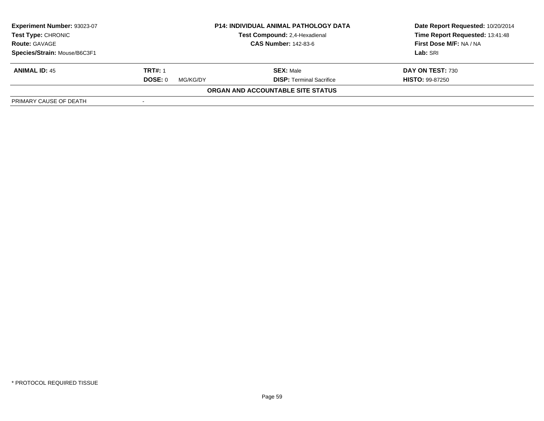| <b>Experiment Number: 93023-07</b><br><b>Test Type: CHRONIC</b><br><b>Route: GAVAGE</b> | <b>P14: INDIVIDUAL ANIMAL PATHOLOGY DATA</b><br>Test Compound: 2,4-Hexadienal<br><b>CAS Number: 142-83-6</b> |                                   | Date Report Requested: 10/20/2014<br>Time Report Requested: 13:41:48<br>First Dose M/F: NA / NA |
|-----------------------------------------------------------------------------------------|--------------------------------------------------------------------------------------------------------------|-----------------------------------|-------------------------------------------------------------------------------------------------|
| Species/Strain: Mouse/B6C3F1                                                            |                                                                                                              |                                   | Lab: SRI                                                                                        |
| <b>ANIMAL ID: 45</b>                                                                    | <b>TRT#: 1</b>                                                                                               | <b>SEX: Male</b>                  | DAY ON TEST: 730                                                                                |
|                                                                                         | DOSE: 0<br>MG/KG/DY                                                                                          | <b>DISP:</b> Terminal Sacrifice   | <b>HISTO: 99-87250</b>                                                                          |
|                                                                                         |                                                                                                              | ORGAN AND ACCOUNTABLE SITE STATUS |                                                                                                 |
| PRIMARY CAUSE OF DEATH                                                                  |                                                                                                              |                                   |                                                                                                 |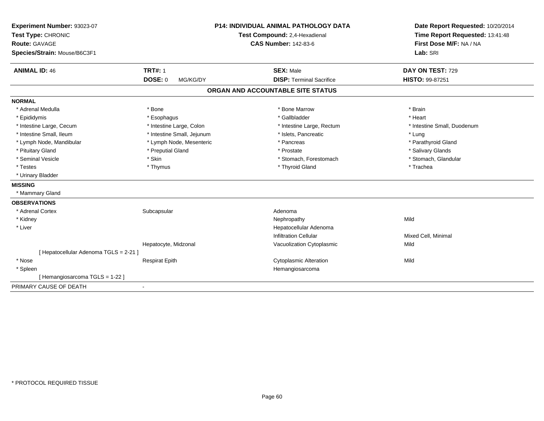| Experiment Number: 93023-07<br>Test Type: CHRONIC    |                            | <b>P14: INDIVIDUAL ANIMAL PATHOLOGY DATA</b><br>Test Compound: 2,4-Hexadienal | Date Report Requested: 10/20/2014<br>Time Report Requested: 13:41:48 |
|------------------------------------------------------|----------------------------|-------------------------------------------------------------------------------|----------------------------------------------------------------------|
| <b>Route: GAVAGE</b><br>Species/Strain: Mouse/B6C3F1 |                            | <b>CAS Number: 142-83-6</b>                                                   | First Dose M/F: NA / NA<br>Lab: SRI                                  |
| <b>ANIMAL ID: 46</b>                                 | <b>TRT#: 1</b>             | <b>SEX: Male</b>                                                              | DAY ON TEST: 729                                                     |
|                                                      | <b>DOSE: 0</b><br>MG/KG/DY | <b>DISP: Terminal Sacrifice</b>                                               | HISTO: 99-87251                                                      |
|                                                      |                            | ORGAN AND ACCOUNTABLE SITE STATUS                                             |                                                                      |
| <b>NORMAL</b>                                        |                            |                                                                               |                                                                      |
| * Adrenal Medulla                                    | * Bone                     | * Bone Marrow                                                                 | * Brain                                                              |
| * Epididymis                                         | * Esophagus                | * Gallbladder                                                                 | * Heart                                                              |
| * Intestine Large, Cecum                             | * Intestine Large, Colon   | * Intestine Large, Rectum                                                     | * Intestine Small, Duodenum                                          |
| * Intestine Small, Ileum                             | * Intestine Small, Jejunum | * Islets, Pancreatic                                                          | * Lung                                                               |
| * Lymph Node, Mandibular                             | * Lymph Node, Mesenteric   | * Pancreas                                                                    | * Parathyroid Gland                                                  |
| * Pituitary Gland                                    | * Preputial Gland          | * Prostate                                                                    | * Salivary Glands                                                    |
| * Seminal Vesicle                                    | * Skin                     | * Stomach, Forestomach                                                        | * Stomach, Glandular                                                 |
| * Testes                                             | * Thymus                   | * Thyroid Gland                                                               | * Trachea                                                            |
| * Urinary Bladder                                    |                            |                                                                               |                                                                      |
| <b>MISSING</b>                                       |                            |                                                                               |                                                                      |
| * Mammary Gland                                      |                            |                                                                               |                                                                      |
| <b>OBSERVATIONS</b>                                  |                            |                                                                               |                                                                      |
| * Adrenal Cortex                                     | Subcapsular                | Adenoma                                                                       |                                                                      |
| * Kidney                                             |                            | Nephropathy                                                                   | Mild                                                                 |
| * Liver                                              |                            | Hepatocellular Adenoma                                                        |                                                                      |
|                                                      |                            | <b>Infiltration Cellular</b>                                                  | Mixed Cell, Minimal                                                  |
|                                                      | Hepatocyte, Midzonal       | Vacuolization Cytoplasmic                                                     | Mild                                                                 |
| [ Hepatocellular Adenoma TGLS = 2-21 ]               |                            |                                                                               |                                                                      |
| * Nose                                               | <b>Respirat Epith</b>      | <b>Cytoplasmic Alteration</b>                                                 | Mild                                                                 |
| * Spleen                                             |                            | Hemangiosarcoma                                                               |                                                                      |
| [Hemangiosarcoma TGLS = 1-22]                        |                            |                                                                               |                                                                      |
| PRIMARY CAUSE OF DEATH                               | $\blacksquare$             |                                                                               |                                                                      |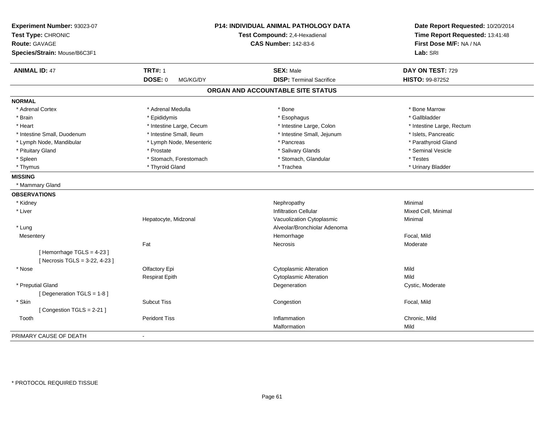| Experiment Number: 93023-07<br>Test Type: CHRONIC<br><b>Route: GAVAGE</b><br>Species/Strain: Mouse/B6C3F1 |                          | P14: INDIVIDUAL ANIMAL PATHOLOGY DATA<br>Test Compound: 2,4-Hexadienal<br><b>CAS Number: 142-83-6</b> | Date Report Requested: 10/20/2014<br>Time Report Requested: 13:41:48<br>First Dose M/F: NA / NA<br>Lab: SRI |
|-----------------------------------------------------------------------------------------------------------|--------------------------|-------------------------------------------------------------------------------------------------------|-------------------------------------------------------------------------------------------------------------|
| <b>ANIMAL ID: 47</b>                                                                                      | <b>TRT#: 1</b>           | <b>SEX: Male</b>                                                                                      | DAY ON TEST: 729                                                                                            |
|                                                                                                           | DOSE: 0<br>MG/KG/DY      | <b>DISP: Terminal Sacrifice</b>                                                                       | HISTO: 99-87252                                                                                             |
|                                                                                                           |                          | ORGAN AND ACCOUNTABLE SITE STATUS                                                                     |                                                                                                             |
| <b>NORMAL</b>                                                                                             |                          |                                                                                                       |                                                                                                             |
| * Adrenal Cortex                                                                                          | * Adrenal Medulla        | * Bone                                                                                                | * Bone Marrow                                                                                               |
| * Brain                                                                                                   | * Epididymis             | * Esophagus                                                                                           | * Gallbladder                                                                                               |
| * Heart                                                                                                   | * Intestine Large, Cecum | * Intestine Large, Colon                                                                              | * Intestine Large, Rectum                                                                                   |
| * Intestine Small, Duodenum                                                                               | * Intestine Small, Ileum | * Intestine Small, Jejunum                                                                            | * Islets, Pancreatic                                                                                        |
| * Lymph Node, Mandibular                                                                                  | * Lymph Node, Mesenteric | * Pancreas                                                                                            | * Parathyroid Gland                                                                                         |
| * Pituitary Gland                                                                                         | * Prostate               | * Salivary Glands                                                                                     | * Seminal Vesicle                                                                                           |
| * Spleen                                                                                                  | * Stomach, Forestomach   | * Stomach, Glandular                                                                                  | * Testes                                                                                                    |
| * Thymus                                                                                                  | * Thyroid Gland          | * Trachea                                                                                             | * Urinary Bladder                                                                                           |
| <b>MISSING</b>                                                                                            |                          |                                                                                                       |                                                                                                             |
| * Mammary Gland                                                                                           |                          |                                                                                                       |                                                                                                             |
| <b>OBSERVATIONS</b>                                                                                       |                          |                                                                                                       |                                                                                                             |
| * Kidney                                                                                                  |                          | Nephropathy                                                                                           | Minimal                                                                                                     |
| * Liver                                                                                                   |                          | <b>Infiltration Cellular</b>                                                                          | Mixed Cell, Minimal                                                                                         |
|                                                                                                           | Hepatocyte, Midzonal     | Vacuolization Cytoplasmic                                                                             | Minimal                                                                                                     |
| * Lung                                                                                                    |                          | Alveolar/Bronchiolar Adenoma                                                                          |                                                                                                             |
| Mesentery                                                                                                 |                          | Hemorrhage                                                                                            | Focal, Mild                                                                                                 |
|                                                                                                           | Fat                      | Necrosis                                                                                              | Moderate                                                                                                    |
| [Hemorrhage TGLS = 4-23]<br>[ Necrosis TGLS = 3-22, 4-23 ]                                                |                          |                                                                                                       |                                                                                                             |
| * Nose                                                                                                    | Olfactory Epi            | <b>Cytoplasmic Alteration</b>                                                                         | Mild                                                                                                        |
|                                                                                                           | <b>Respirat Epith</b>    | <b>Cytoplasmic Alteration</b>                                                                         | Mild                                                                                                        |
| * Preputial Gland                                                                                         |                          | Degeneration                                                                                          | Cystic, Moderate                                                                                            |
| [ Degeneration TGLS = 1-8 ]                                                                               |                          |                                                                                                       |                                                                                                             |
| * Skin                                                                                                    | <b>Subcut Tiss</b>       | Congestion                                                                                            | Focal, Mild                                                                                                 |
| [Congestion TGLS = 2-21]                                                                                  |                          |                                                                                                       |                                                                                                             |
| Tooth                                                                                                     | <b>Peridont Tiss</b>     | Inflammation                                                                                          | Chronic, Mild                                                                                               |
|                                                                                                           |                          | Malformation                                                                                          | Mild                                                                                                        |
| PRIMARY CAUSE OF DEATH                                                                                    | $\sim$                   |                                                                                                       |                                                                                                             |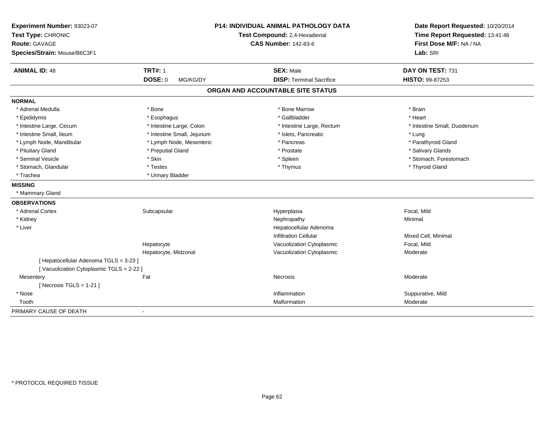| Experiment Number: 93023-07<br>Test Type: CHRONIC |                            | <b>P14: INDIVIDUAL ANIMAL PATHOLOGY DATA</b><br>Test Compound: 2,4-Hexadienal | Date Report Requested: 10/20/2014<br>Time Report Requested: 13:41:48 |
|---------------------------------------------------|----------------------------|-------------------------------------------------------------------------------|----------------------------------------------------------------------|
| <b>Route: GAVAGE</b>                              |                            | <b>CAS Number: 142-83-6</b>                                                   | First Dose M/F: NA / NA                                              |
| Species/Strain: Mouse/B6C3F1                      |                            |                                                                               | Lab: SRI                                                             |
| <b>ANIMAL ID: 48</b>                              | <b>TRT#: 1</b>             | <b>SEX: Male</b>                                                              | DAY ON TEST: 731                                                     |
|                                                   | <b>DOSE: 0</b><br>MG/KG/DY | <b>DISP: Terminal Sacrifice</b>                                               | <b>HISTO: 99-87253</b>                                               |
|                                                   |                            | ORGAN AND ACCOUNTABLE SITE STATUS                                             |                                                                      |
| <b>NORMAL</b>                                     |                            |                                                                               |                                                                      |
| * Adrenal Medulla                                 | * Bone                     | * Bone Marrow                                                                 | * Brain                                                              |
| * Epididymis                                      | * Esophagus                | * Gallbladder                                                                 | * Heart                                                              |
| * Intestine Large, Cecum                          | * Intestine Large, Colon   | * Intestine Large, Rectum                                                     | * Intestine Small, Duodenum                                          |
| * Intestine Small, Ileum                          | * Intestine Small, Jejunum | * Islets, Pancreatic                                                          | * Lung                                                               |
| * Lymph Node, Mandibular                          | * Lymph Node, Mesenteric   | * Pancreas                                                                    | * Parathyroid Gland                                                  |
| * Pituitary Gland                                 | * Preputial Gland          | * Prostate                                                                    | * Salivary Glands                                                    |
| * Seminal Vesicle                                 | * Skin                     | * Spleen                                                                      | * Stomach, Forestomach                                               |
| * Stomach, Glandular                              | * Testes                   | * Thymus                                                                      | * Thyroid Gland                                                      |
| * Trachea                                         | * Urinary Bladder          |                                                                               |                                                                      |
| <b>MISSING</b>                                    |                            |                                                                               |                                                                      |
| * Mammary Gland                                   |                            |                                                                               |                                                                      |
| <b>OBSERVATIONS</b>                               |                            |                                                                               |                                                                      |
| * Adrenal Cortex                                  | Subcapsular                | Hyperplasia                                                                   | Focal, Mild                                                          |
| * Kidney                                          |                            | Nephropathy                                                                   | Minimal                                                              |
| * Liver                                           |                            | Hepatocellular Adenoma                                                        |                                                                      |
|                                                   |                            | <b>Infiltration Cellular</b>                                                  | Mixed Cell, Minimal                                                  |
|                                                   | Hepatocyte                 | Vacuolization Cytoplasmic                                                     | Focal, Mild                                                          |
|                                                   | Hepatocyte, Midzonal       | Vacuolization Cytoplasmic                                                     | Moderate                                                             |
| [ Hepatocellular Adenoma TGLS = 3-23 ]            |                            |                                                                               |                                                                      |
| [Vacuolization Cytoplasmic TGLS = 2-22 ]          |                            |                                                                               |                                                                      |
| Mesentery                                         | Fat                        | Necrosis                                                                      | Moderate                                                             |
| [ Necrosis $TGLS = 1-21$ ]                        |                            |                                                                               |                                                                      |
| * Nose                                            |                            | Inflammation                                                                  | Suppurative, Mild                                                    |
| Tooth                                             |                            | Malformation                                                                  | Moderate                                                             |
| PRIMARY CAUSE OF DEATH                            | ÷,                         |                                                                               |                                                                      |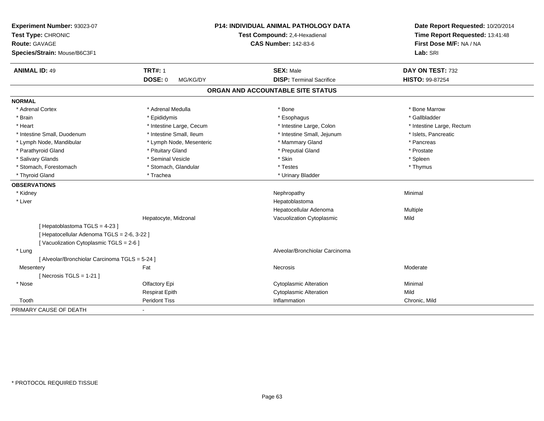| Experiment Number: 93023-07<br>Test Type: CHRONIC |                            | <b>P14: INDIVIDUAL ANIMAL PATHOLOGY DATA</b><br>Test Compound: 2,4-Hexadienal | Date Report Requested: 10/20/2014<br>Time Report Requested: 13:41:48<br>First Dose M/F: NA / NA |
|---------------------------------------------------|----------------------------|-------------------------------------------------------------------------------|-------------------------------------------------------------------------------------------------|
| Route: GAVAGE<br>Species/Strain: Mouse/B6C3F1     |                            | <b>CAS Number: 142-83-6</b>                                                   | Lab: SRI                                                                                        |
| <b>ANIMAL ID: 49</b>                              | <b>TRT#: 1</b>             | <b>SEX: Male</b>                                                              | DAY ON TEST: 732                                                                                |
|                                                   | <b>DOSE: 0</b><br>MG/KG/DY | <b>DISP: Terminal Sacrifice</b>                                               | <b>HISTO: 99-87254</b>                                                                          |
|                                                   |                            | ORGAN AND ACCOUNTABLE SITE STATUS                                             |                                                                                                 |
| <b>NORMAL</b>                                     |                            |                                                                               |                                                                                                 |
| * Adrenal Cortex                                  | * Adrenal Medulla          | * Bone                                                                        | * Bone Marrow                                                                                   |
| * Brain                                           | * Epididymis               | * Esophagus                                                                   | * Gallbladder                                                                                   |
| * Heart                                           | * Intestine Large, Cecum   | * Intestine Large, Colon                                                      | * Intestine Large, Rectum                                                                       |
| * Intestine Small, Duodenum                       | * Intestine Small, Ileum   | * Intestine Small, Jejunum                                                    | * Islets, Pancreatic                                                                            |
| * Lymph Node, Mandibular                          | * Lymph Node, Mesenteric   | * Mammary Gland                                                               | * Pancreas                                                                                      |
| * Parathyroid Gland                               | * Pituitary Gland          | * Preputial Gland                                                             | * Prostate                                                                                      |
| * Salivary Glands                                 | * Seminal Vesicle          | * Skin                                                                        | * Spleen                                                                                        |
| * Stomach, Forestomach                            | * Stomach, Glandular       | * Testes                                                                      | * Thymus                                                                                        |
| * Thyroid Gland                                   | * Trachea                  | * Urinary Bladder                                                             |                                                                                                 |
| <b>OBSERVATIONS</b>                               |                            |                                                                               |                                                                                                 |
| * Kidney                                          |                            | Nephropathy                                                                   | Minimal                                                                                         |
| * Liver                                           |                            | Hepatoblastoma                                                                |                                                                                                 |
|                                                   |                            | Hepatocellular Adenoma                                                        | Multiple                                                                                        |
|                                                   | Hepatocyte, Midzonal       | Vacuolization Cytoplasmic                                                     | Mild                                                                                            |
| [Hepatoblastoma TGLS = 4-23]                      |                            |                                                                               |                                                                                                 |
| [ Hepatocellular Adenoma TGLS = 2-6, 3-22 ]       |                            |                                                                               |                                                                                                 |
| [Vacuolization Cytoplasmic TGLS = 2-6]            |                            |                                                                               |                                                                                                 |
| * Lung                                            |                            | Alveolar/Bronchiolar Carcinoma                                                |                                                                                                 |
| [ Alveolar/Bronchiolar Carcinoma TGLS = 5-24 ]    |                            |                                                                               |                                                                                                 |
| Mesentery                                         | Fat                        | Necrosis                                                                      | Moderate                                                                                        |
| [Necrosis TGLS = $1-21$ ]                         |                            |                                                                               |                                                                                                 |
| * Nose                                            | Olfactory Epi              | <b>Cytoplasmic Alteration</b>                                                 | Minimal                                                                                         |
|                                                   | <b>Respirat Epith</b>      | <b>Cytoplasmic Alteration</b>                                                 | Mild                                                                                            |
| Tooth                                             | <b>Peridont Tiss</b>       | Inflammation                                                                  | Chronic, Mild                                                                                   |
| PRIMARY CAUSE OF DEATH                            |                            |                                                                               |                                                                                                 |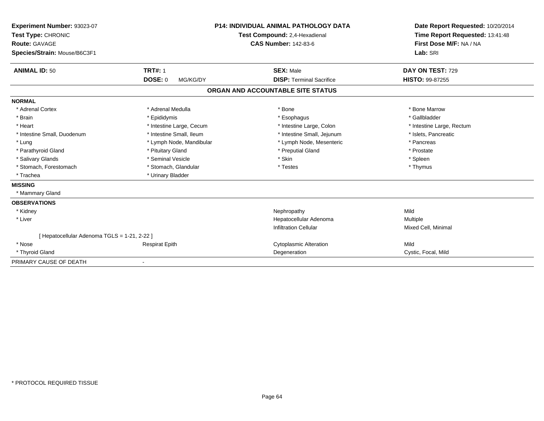| Experiment Number: 93023-07<br>Test Type: CHRONIC    |                            | <b>P14: INDIVIDUAL ANIMAL PATHOLOGY DATA</b><br>Test Compound: 2,4-Hexadienal | Date Report Requested: 10/20/2014<br>Time Report Requested: 13:41:48 |
|------------------------------------------------------|----------------------------|-------------------------------------------------------------------------------|----------------------------------------------------------------------|
| <b>Route: GAVAGE</b><br>Species/Strain: Mouse/B6C3F1 |                            | <b>CAS Number: 142-83-6</b>                                                   | First Dose M/F: NA / NA<br>Lab: SRI                                  |
|                                                      |                            |                                                                               |                                                                      |
| <b>ANIMAL ID: 50</b>                                 | <b>TRT#: 1</b>             | <b>SEX: Male</b>                                                              | DAY ON TEST: 729                                                     |
|                                                      | <b>DOSE: 0</b><br>MG/KG/DY | <b>DISP: Terminal Sacrifice</b>                                               | <b>HISTO: 99-87255</b>                                               |
|                                                      |                            | ORGAN AND ACCOUNTABLE SITE STATUS                                             |                                                                      |
| <b>NORMAL</b>                                        |                            |                                                                               |                                                                      |
| * Adrenal Cortex                                     | * Adrenal Medulla          | * Bone                                                                        | * Bone Marrow                                                        |
| * Brain                                              | * Epididymis               | * Esophagus                                                                   | * Gallbladder                                                        |
| * Heart                                              | * Intestine Large, Cecum   | * Intestine Large, Colon                                                      | * Intestine Large, Rectum                                            |
| * Intestine Small, Duodenum                          | * Intestine Small, Ileum   | * Intestine Small, Jejunum                                                    | * Islets, Pancreatic                                                 |
| * Lung                                               | * Lymph Node, Mandibular   | * Lymph Node, Mesenteric                                                      | * Pancreas                                                           |
| * Parathyroid Gland                                  | * Pituitary Gland          | * Preputial Gland                                                             | * Prostate                                                           |
| * Salivary Glands                                    | * Seminal Vesicle          | * Skin                                                                        | * Spleen                                                             |
| * Stomach, Forestomach                               | * Stomach, Glandular       | * Testes                                                                      | * Thymus                                                             |
| * Trachea                                            | * Urinary Bladder          |                                                                               |                                                                      |
| <b>MISSING</b>                                       |                            |                                                                               |                                                                      |
| * Mammary Gland                                      |                            |                                                                               |                                                                      |
| <b>OBSERVATIONS</b>                                  |                            |                                                                               |                                                                      |
| * Kidney                                             |                            | Nephropathy                                                                   | Mild                                                                 |
| * Liver                                              |                            | Hepatocellular Adenoma                                                        | Multiple                                                             |
|                                                      |                            | <b>Infiltration Cellular</b>                                                  | Mixed Cell, Minimal                                                  |
| [Hepatocellular Adenoma TGLS = 1-21, 2-22]           |                            |                                                                               |                                                                      |
| * Nose                                               | <b>Respirat Epith</b>      | <b>Cytoplasmic Alteration</b>                                                 | Mild                                                                 |
| * Thyroid Gland                                      |                            | Degeneration                                                                  | Cystic, Focal, Mild                                                  |
| PRIMARY CAUSE OF DEATH                               |                            |                                                                               |                                                                      |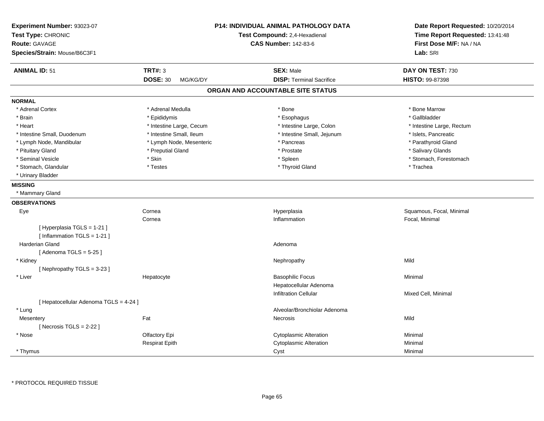| Experiment Number: 93023-07<br>Test Type: CHRONIC<br><b>Route: GAVAGE</b><br>Species/Strain: Mouse/B6C3F1 |                             | P14: INDIVIDUAL ANIMAL PATHOLOGY DATA<br>Test Compound: 2,4-Hexadienal<br><b>CAS Number: 142-83-6</b> | Date Report Requested: 10/20/2014<br>Time Report Requested: 13:41:48<br>First Dose M/F: NA / NA<br>Lab: SRI |
|-----------------------------------------------------------------------------------------------------------|-----------------------------|-------------------------------------------------------------------------------------------------------|-------------------------------------------------------------------------------------------------------------|
| <b>ANIMAL ID: 51</b>                                                                                      | <b>TRT#: 3</b>              | <b>SEX: Male</b>                                                                                      | DAY ON TEST: 730                                                                                            |
|                                                                                                           | <b>DOSE: 30</b><br>MG/KG/DY | <b>DISP: Terminal Sacrifice</b>                                                                       | HISTO: 99-87398                                                                                             |
|                                                                                                           |                             | ORGAN AND ACCOUNTABLE SITE STATUS                                                                     |                                                                                                             |
| <b>NORMAL</b>                                                                                             |                             |                                                                                                       |                                                                                                             |
| * Adrenal Cortex                                                                                          | * Adrenal Medulla           | * Bone                                                                                                | * Bone Marrow                                                                                               |
| * Brain                                                                                                   | * Epididymis                | * Esophagus                                                                                           | * Gallbladder                                                                                               |
| * Heart                                                                                                   | * Intestine Large, Cecum    | * Intestine Large, Colon                                                                              | * Intestine Large, Rectum                                                                                   |
| * Intestine Small, Duodenum                                                                               | * Intestine Small, Ileum    | * Intestine Small, Jejunum                                                                            | * Islets, Pancreatic                                                                                        |
| * Lymph Node, Mandibular                                                                                  | * Lymph Node, Mesenteric    | * Pancreas                                                                                            | * Parathyroid Gland                                                                                         |
| * Pituitary Gland                                                                                         | * Preputial Gland           | * Prostate                                                                                            | * Salivary Glands                                                                                           |
| * Seminal Vesicle                                                                                         | * Skin                      | * Spleen                                                                                              | * Stomach, Forestomach                                                                                      |
| * Stomach, Glandular                                                                                      | * Testes                    | * Thyroid Gland                                                                                       | * Trachea                                                                                                   |
| * Urinary Bladder                                                                                         |                             |                                                                                                       |                                                                                                             |
| <b>MISSING</b>                                                                                            |                             |                                                                                                       |                                                                                                             |
| * Mammary Gland                                                                                           |                             |                                                                                                       |                                                                                                             |
| <b>OBSERVATIONS</b>                                                                                       |                             |                                                                                                       |                                                                                                             |
| Eye                                                                                                       | Cornea                      | Hyperplasia                                                                                           | Squamous, Focal, Minimal                                                                                    |
|                                                                                                           | Cornea                      | Inflammation                                                                                          | Focal, Minimal                                                                                              |
| [ Hyperplasia TGLS = 1-21 ]<br>[Inflammation TGLS = 1-21]                                                 |                             |                                                                                                       |                                                                                                             |
| <b>Harderian Gland</b>                                                                                    |                             | Adenoma                                                                                               |                                                                                                             |
| [Adenoma TGLS = $5-25$ ]                                                                                  |                             |                                                                                                       |                                                                                                             |
| * Kidney                                                                                                  |                             | Nephropathy                                                                                           | Mild                                                                                                        |
| [Nephropathy TGLS = 3-23]                                                                                 |                             |                                                                                                       |                                                                                                             |
| * Liver                                                                                                   | Hepatocyte                  | <b>Basophilic Focus</b>                                                                               | Minimal                                                                                                     |
|                                                                                                           |                             | Hepatocellular Adenoma                                                                                |                                                                                                             |
|                                                                                                           |                             | <b>Infiltration Cellular</b>                                                                          | Mixed Cell, Minimal                                                                                         |
| [ Hepatocellular Adenoma TGLS = 4-24 ]                                                                    |                             |                                                                                                       |                                                                                                             |
| * Lung                                                                                                    |                             | Alveolar/Bronchiolar Adenoma                                                                          |                                                                                                             |
| Mesentery                                                                                                 | Fat                         | Necrosis                                                                                              | Mild                                                                                                        |
| [Necrosis $TGLS = 2-22$ ]                                                                                 |                             |                                                                                                       |                                                                                                             |
| * Nose                                                                                                    | Olfactory Epi               | Cytoplasmic Alteration                                                                                | Minimal                                                                                                     |
|                                                                                                           | <b>Respirat Epith</b>       | <b>Cytoplasmic Alteration</b>                                                                         | Minimal                                                                                                     |
| * Thymus                                                                                                  |                             | Cyst                                                                                                  | Minimal                                                                                                     |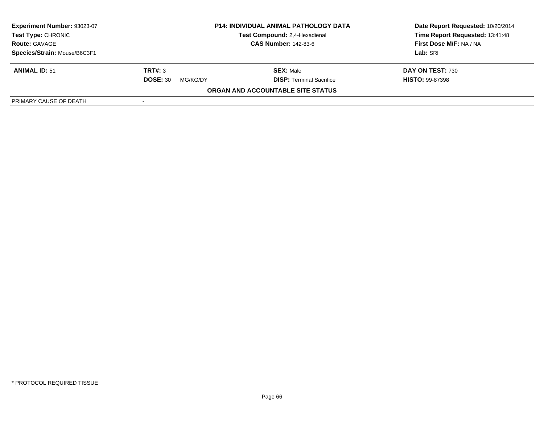| Experiment Number: 93023-07  | <b>P14: INDIVIDUAL ANIMAL PATHOLOGY DATA</b> |                                      | Date Report Requested: 10/20/2014 |
|------------------------------|----------------------------------------------|--------------------------------------|-----------------------------------|
| <b>Test Type: CHRONIC</b>    |                                              | <b>Test Compound: 2.4-Hexadienal</b> | Time Report Requested: 13:41:48   |
| <b>Route: GAVAGE</b>         |                                              | <b>CAS Number: 142-83-6</b>          | First Dose M/F: NA / NA           |
| Species/Strain: Mouse/B6C3F1 |                                              |                                      | Lab: SRI                          |
| <b>ANIMAL ID: 51</b>         | TRT#: 3                                      | <b>SEX: Male</b>                     | DAY ON TEST: 730                  |
|                              | <b>DOSE: 30</b><br>MG/KG/DY                  | <b>DISP: Terminal Sacrifice</b>      | <b>HISTO: 99-87398</b>            |
|                              |                                              | ORGAN AND ACCOUNTABLE SITE STATUS    |                                   |
| PRIMARY CAUSE OF DEATH       | $\sim$                                       |                                      |                                   |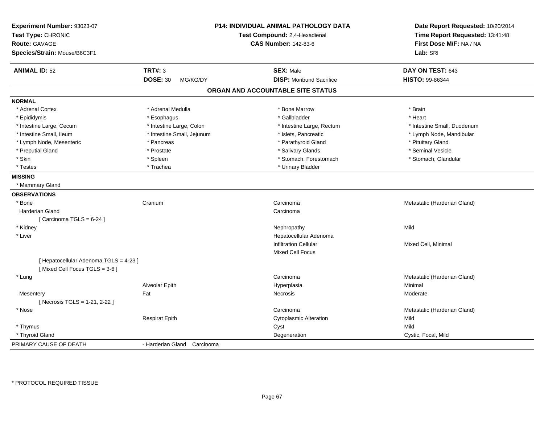| Experiment Number: 93023-07<br>Test Type: CHRONIC<br><b>Route: GAVAGE</b> |                             | <b>P14: INDIVIDUAL ANIMAL PATHOLOGY DATA</b><br>Test Compound: 2,4-Hexadienal<br><b>CAS Number: 142-83-6</b> | Date Report Requested: 10/20/2014<br>Time Report Requested: 13:41:48<br>First Dose M/F: NA / NA |
|---------------------------------------------------------------------------|-----------------------------|--------------------------------------------------------------------------------------------------------------|-------------------------------------------------------------------------------------------------|
| Species/Strain: Mouse/B6C3F1                                              |                             |                                                                                                              | Lab: SRI                                                                                        |
| <b>ANIMAL ID: 52</b>                                                      | <b>TRT#: 3</b>              | <b>SEX: Male</b>                                                                                             | DAY ON TEST: 643                                                                                |
|                                                                           | <b>DOSE: 30</b><br>MG/KG/DY | <b>DISP: Moribund Sacrifice</b>                                                                              | HISTO: 99-86344                                                                                 |
|                                                                           |                             | ORGAN AND ACCOUNTABLE SITE STATUS                                                                            |                                                                                                 |
| <b>NORMAL</b>                                                             |                             |                                                                                                              |                                                                                                 |
| * Adrenal Cortex                                                          | * Adrenal Medulla           | * Bone Marrow                                                                                                | * Brain                                                                                         |
| * Epididymis                                                              | * Esophagus                 | * Gallbladder                                                                                                | * Heart                                                                                         |
| * Intestine Large, Cecum                                                  | * Intestine Large, Colon    | * Intestine Large, Rectum                                                                                    | * Intestine Small, Duodenum                                                                     |
| * Intestine Small, Ileum                                                  | * Intestine Small, Jejunum  | * Islets, Pancreatic                                                                                         | * Lymph Node, Mandibular                                                                        |
| * Lymph Node, Mesenteric                                                  | * Pancreas                  | * Parathyroid Gland                                                                                          | * Pituitary Gland                                                                               |
| * Preputial Gland                                                         | * Prostate                  | * Salivary Glands                                                                                            | * Seminal Vesicle                                                                               |
| * Skin                                                                    | * Spleen                    | * Stomach, Forestomach                                                                                       | * Stomach, Glandular                                                                            |
| * Testes                                                                  | * Trachea                   | * Urinary Bladder                                                                                            |                                                                                                 |
| <b>MISSING</b>                                                            |                             |                                                                                                              |                                                                                                 |
| * Mammary Gland                                                           |                             |                                                                                                              |                                                                                                 |
| <b>OBSERVATIONS</b>                                                       |                             |                                                                                                              |                                                                                                 |
| * Bone                                                                    | Cranium                     | Carcinoma                                                                                                    | Metastatic (Harderian Gland)                                                                    |
| Harderian Gland                                                           |                             | Carcinoma                                                                                                    |                                                                                                 |
| [ Carcinoma TGLS = $6-24$ ]                                               |                             |                                                                                                              |                                                                                                 |
| * Kidney                                                                  |                             | Nephropathy                                                                                                  | Mild                                                                                            |
| * Liver                                                                   |                             | Hepatocellular Adenoma                                                                                       |                                                                                                 |
|                                                                           |                             | <b>Infiltration Cellular</b>                                                                                 | Mixed Cell, Minimal                                                                             |
|                                                                           |                             | Mixed Cell Focus                                                                                             |                                                                                                 |
| [ Hepatocellular Adenoma TGLS = 4-23 ]                                    |                             |                                                                                                              |                                                                                                 |
| [Mixed Cell Focus TGLS = 3-6]                                             |                             |                                                                                                              |                                                                                                 |
| * Lung                                                                    |                             | Carcinoma                                                                                                    | Metastatic (Harderian Gland)                                                                    |
|                                                                           | Alveolar Epith              | Hyperplasia                                                                                                  | Minimal                                                                                         |
| Mesentery                                                                 | Fat                         | Necrosis                                                                                                     | Moderate                                                                                        |
| [Necrosis TGLS = 1-21, 2-22]                                              |                             |                                                                                                              |                                                                                                 |
| * Nose                                                                    |                             | Carcinoma                                                                                                    | Metastatic (Harderian Gland)                                                                    |
|                                                                           | <b>Respirat Epith</b>       | <b>Cytoplasmic Alteration</b>                                                                                | Mild                                                                                            |
| * Thymus                                                                  |                             | Cyst                                                                                                         | Mild                                                                                            |
| * Thyroid Gland                                                           |                             | Degeneration                                                                                                 | Cystic, Focal, Mild                                                                             |
| PRIMARY CAUSE OF DEATH                                                    | - Harderian Gland Carcinoma |                                                                                                              |                                                                                                 |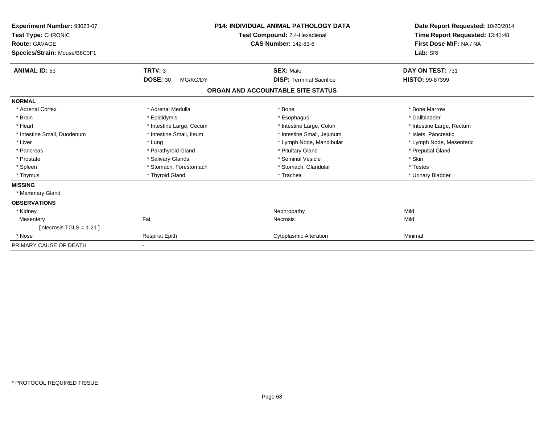| Experiment Number: 93023-07<br>Test Type: CHRONIC<br><b>Route: GAVAGE</b><br>Species/Strain: Mouse/B6C3F1 |                             | <b>P14: INDIVIDUAL ANIMAL PATHOLOGY DATA</b><br>Test Compound: 2,4-Hexadienal<br><b>CAS Number: 142-83-6</b> | Date Report Requested: 10/20/2014<br>Time Report Requested: 13:41:48<br>First Dose M/F: NA / NA<br>Lab: SRI |
|-----------------------------------------------------------------------------------------------------------|-----------------------------|--------------------------------------------------------------------------------------------------------------|-------------------------------------------------------------------------------------------------------------|
| <b>ANIMAL ID: 53</b>                                                                                      | <b>TRT#: 3</b>              | <b>SEX: Male</b>                                                                                             | DAY ON TEST: 731                                                                                            |
|                                                                                                           | <b>DOSE: 30</b><br>MG/KG/DY | <b>DISP: Terminal Sacrifice</b>                                                                              | HISTO: 99-87399                                                                                             |
|                                                                                                           |                             | ORGAN AND ACCOUNTABLE SITE STATUS                                                                            |                                                                                                             |
| <b>NORMAL</b>                                                                                             |                             |                                                                                                              |                                                                                                             |
| * Adrenal Cortex                                                                                          | * Adrenal Medulla           | * Bone                                                                                                       | * Bone Marrow                                                                                               |
| * Brain                                                                                                   | * Epididymis                | * Esophagus                                                                                                  | * Gallbladder                                                                                               |
| * Heart                                                                                                   | * Intestine Large, Cecum    | * Intestine Large, Colon                                                                                     | * Intestine Large, Rectum                                                                                   |
| * Intestine Small, Duodenum                                                                               | * Intestine Small, Ileum    | * Intestine Small, Jejunum                                                                                   | * Islets, Pancreatic                                                                                        |
| * Liver                                                                                                   | * Lung                      | * Lymph Node, Mandibular                                                                                     | * Lymph Node, Mesenteric                                                                                    |
| * Pancreas                                                                                                | * Parathyroid Gland         | * Pituitary Gland                                                                                            | * Preputial Gland                                                                                           |
| * Prostate                                                                                                | * Salivary Glands           | * Seminal Vesicle                                                                                            | * Skin                                                                                                      |
| * Spleen                                                                                                  | * Stomach, Forestomach      | * Stomach, Glandular                                                                                         | * Testes                                                                                                    |
| * Thymus                                                                                                  | * Thyroid Gland             | * Trachea                                                                                                    | * Urinary Bladder                                                                                           |
| <b>MISSING</b>                                                                                            |                             |                                                                                                              |                                                                                                             |
| * Mammary Gland                                                                                           |                             |                                                                                                              |                                                                                                             |
| <b>OBSERVATIONS</b>                                                                                       |                             |                                                                                                              |                                                                                                             |
| * Kidney                                                                                                  |                             | Nephropathy                                                                                                  | Mild                                                                                                        |
| Mesentery                                                                                                 | Fat                         | Necrosis                                                                                                     | Mild                                                                                                        |
| [Necrosis TGLS = $1-21$ ]                                                                                 |                             |                                                                                                              |                                                                                                             |
| * Nose                                                                                                    | <b>Respirat Epith</b>       | <b>Cytoplasmic Alteration</b>                                                                                | Minimal                                                                                                     |
| PRIMARY CAUSE OF DEATH                                                                                    |                             |                                                                                                              |                                                                                                             |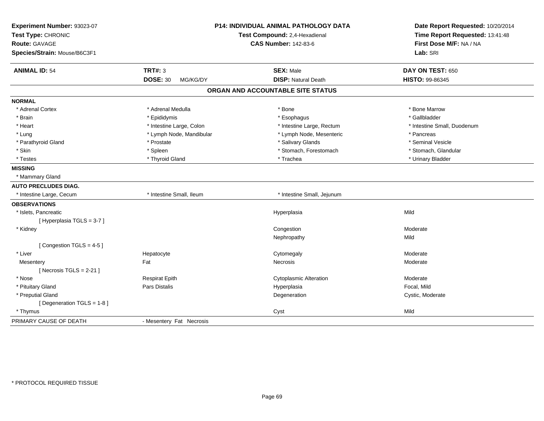| Experiment Number: 93023-07<br>Test Type: CHRONIC<br><b>Route: GAVAGE</b><br>Species/Strain: Mouse/B6C3F1 |                             | <b>P14: INDIVIDUAL ANIMAL PATHOLOGY DATA</b><br>Test Compound: 2,4-Hexadienal<br><b>CAS Number: 142-83-6</b> | Date Report Requested: 10/20/2014<br>Time Report Requested: 13:41:48<br>First Dose M/F: NA / NA<br>Lab: SRI |
|-----------------------------------------------------------------------------------------------------------|-----------------------------|--------------------------------------------------------------------------------------------------------------|-------------------------------------------------------------------------------------------------------------|
| <b>ANIMAL ID: 54</b>                                                                                      | <b>TRT#: 3</b>              | <b>SEX: Male</b>                                                                                             | DAY ON TEST: 650                                                                                            |
|                                                                                                           | <b>DOSE: 30</b><br>MG/KG/DY | <b>DISP: Natural Death</b>                                                                                   | HISTO: 99-86345                                                                                             |
|                                                                                                           |                             | ORGAN AND ACCOUNTABLE SITE STATUS                                                                            |                                                                                                             |
| <b>NORMAL</b>                                                                                             |                             |                                                                                                              |                                                                                                             |
| * Adrenal Cortex                                                                                          | * Adrenal Medulla           | * Bone                                                                                                       | * Bone Marrow                                                                                               |
| * Brain                                                                                                   | * Epididymis                | * Esophagus                                                                                                  | * Gallbladder                                                                                               |
| * Heart                                                                                                   | * Intestine Large, Colon    | * Intestine Large, Rectum                                                                                    | * Intestine Small, Duodenum                                                                                 |
| * Lung                                                                                                    | * Lymph Node, Mandibular    | * Lymph Node, Mesenteric                                                                                     | * Pancreas                                                                                                  |
| * Parathyroid Gland                                                                                       | * Prostate                  | * Salivary Glands                                                                                            | * Seminal Vesicle                                                                                           |
| * Skin                                                                                                    | * Spleen                    | * Stomach, Forestomach                                                                                       | * Stomach, Glandular                                                                                        |
| * Testes                                                                                                  | * Thyroid Gland             | * Trachea                                                                                                    | * Urinary Bladder                                                                                           |
| <b>MISSING</b>                                                                                            |                             |                                                                                                              |                                                                                                             |
| * Mammary Gland                                                                                           |                             |                                                                                                              |                                                                                                             |
| <b>AUTO PRECLUDES DIAG.</b>                                                                               |                             |                                                                                                              |                                                                                                             |
| * Intestine Large, Cecum                                                                                  | * Intestine Small, Ileum    | * Intestine Small, Jejunum                                                                                   |                                                                                                             |
| <b>OBSERVATIONS</b>                                                                                       |                             |                                                                                                              |                                                                                                             |
| * Islets, Pancreatic                                                                                      |                             | Hyperplasia                                                                                                  | Mild                                                                                                        |
| [Hyperplasia TGLS = 3-7]                                                                                  |                             |                                                                                                              |                                                                                                             |
| * Kidney                                                                                                  |                             | Congestion                                                                                                   | Moderate                                                                                                    |
|                                                                                                           |                             | Nephropathy                                                                                                  | Mild                                                                                                        |
| [Congestion TGLS = 4-5]                                                                                   |                             |                                                                                                              |                                                                                                             |
| * Liver                                                                                                   | Hepatocyte                  | Cytomegaly                                                                                                   | Moderate                                                                                                    |
| Mesentery                                                                                                 | Fat                         | Necrosis                                                                                                     | Moderate                                                                                                    |
| [Necrosis $TGLS = 2-21$ ]                                                                                 |                             |                                                                                                              |                                                                                                             |
| * Nose                                                                                                    | <b>Respirat Epith</b>       | <b>Cytoplasmic Alteration</b>                                                                                | Moderate                                                                                                    |
| * Pituitary Gland                                                                                         | Pars Distalis               | Hyperplasia                                                                                                  | Focal, Mild                                                                                                 |
| * Preputial Gland                                                                                         |                             | Degeneration                                                                                                 | Cystic, Moderate                                                                                            |
| [ Degeneration TGLS = 1-8 ]                                                                               |                             |                                                                                                              |                                                                                                             |
| * Thymus                                                                                                  |                             | Cyst                                                                                                         | Mild                                                                                                        |
| PRIMARY CAUSE OF DEATH                                                                                    | - Mesentery Fat Necrosis    |                                                                                                              |                                                                                                             |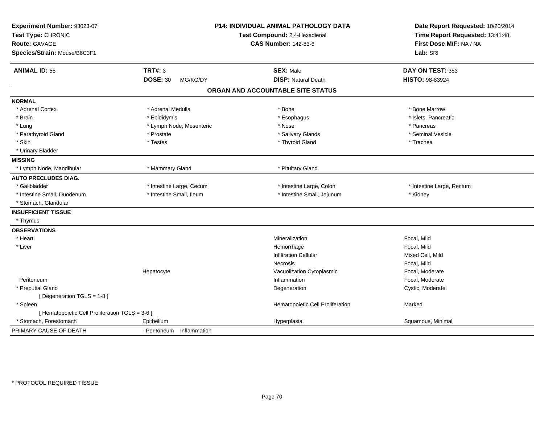| Experiment Number: 93023-07<br>Test Type: CHRONIC<br><b>Route: GAVAGE</b><br>Species/Strain: Mouse/B6C3F1 |                             | P14: INDIVIDUAL ANIMAL PATHOLOGY DATA<br>Test Compound: 2,4-Hexadienal<br><b>CAS Number: 142-83-6</b> | Date Report Requested: 10/20/2014<br>Time Report Requested: 13:41:48<br>First Dose M/F: NA / NA<br>Lab: SRI |
|-----------------------------------------------------------------------------------------------------------|-----------------------------|-------------------------------------------------------------------------------------------------------|-------------------------------------------------------------------------------------------------------------|
| <b>ANIMAL ID: 55</b>                                                                                      | <b>TRT#: 3</b>              | <b>SEX: Male</b>                                                                                      | DAY ON TEST: 353                                                                                            |
|                                                                                                           | <b>DOSE: 30</b><br>MG/KG/DY | <b>DISP: Natural Death</b>                                                                            | HISTO: 98-83924                                                                                             |
|                                                                                                           |                             | ORGAN AND ACCOUNTABLE SITE STATUS                                                                     |                                                                                                             |
| <b>NORMAL</b>                                                                                             |                             |                                                                                                       |                                                                                                             |
| * Adrenal Cortex                                                                                          | * Adrenal Medulla           | * Bone                                                                                                | * Bone Marrow                                                                                               |
| * Brain                                                                                                   | * Epididymis                | * Esophagus                                                                                           | * Islets, Pancreatic                                                                                        |
| * Lung                                                                                                    | * Lymph Node, Mesenteric    | * Nose                                                                                                | * Pancreas                                                                                                  |
| * Parathyroid Gland                                                                                       | * Prostate                  | * Salivary Glands                                                                                     | * Seminal Vesicle                                                                                           |
| * Skin                                                                                                    | * Testes                    | * Thyroid Gland                                                                                       | * Trachea                                                                                                   |
| * Urinary Bladder                                                                                         |                             |                                                                                                       |                                                                                                             |
| <b>MISSING</b>                                                                                            |                             |                                                                                                       |                                                                                                             |
| * Lymph Node, Mandibular                                                                                  | * Mammary Gland             | * Pituitary Gland                                                                                     |                                                                                                             |
| <b>AUTO PRECLUDES DIAG.</b>                                                                               |                             |                                                                                                       |                                                                                                             |
| * Gallbladder                                                                                             | * Intestine Large, Cecum    | * Intestine Large, Colon                                                                              | * Intestine Large, Rectum                                                                                   |
| * Intestine Small, Duodenum                                                                               | * Intestine Small, Ileum    | * Intestine Small, Jejunum                                                                            | * Kidney                                                                                                    |
| * Stomach, Glandular                                                                                      |                             |                                                                                                       |                                                                                                             |
| <b>INSUFFICIENT TISSUE</b>                                                                                |                             |                                                                                                       |                                                                                                             |
| * Thymus                                                                                                  |                             |                                                                                                       |                                                                                                             |
| <b>OBSERVATIONS</b>                                                                                       |                             |                                                                                                       |                                                                                                             |
| * Heart                                                                                                   |                             | Mineralization                                                                                        | Focal. Mild                                                                                                 |
| * Liver                                                                                                   |                             | Hemorrhage                                                                                            | Focal, Mild                                                                                                 |
|                                                                                                           |                             | <b>Infiltration Cellular</b>                                                                          | Mixed Cell, Mild                                                                                            |
|                                                                                                           |                             | <b>Necrosis</b>                                                                                       | Focal, Mild                                                                                                 |
|                                                                                                           | Hepatocyte                  | Vacuolization Cytoplasmic                                                                             | Focal, Moderate                                                                                             |
| Peritoneum                                                                                                |                             | Inflammation                                                                                          | Focal, Moderate                                                                                             |
| * Preputial Gland                                                                                         |                             | Degeneration                                                                                          | Cystic, Moderate                                                                                            |
| [ Degeneration TGLS = 1-8 ]                                                                               |                             |                                                                                                       |                                                                                                             |
| * Spleen                                                                                                  |                             | Hematopoietic Cell Proliferation                                                                      | Marked                                                                                                      |
| [ Hematopoietic Cell Proliferation TGLS = 3-6 ]                                                           |                             |                                                                                                       |                                                                                                             |
| * Stomach, Forestomach                                                                                    | Epithelium                  | Hyperplasia                                                                                           | Squamous, Minimal                                                                                           |
| PRIMARY CAUSE OF DEATH                                                                                    | - Peritoneum Inflammation   |                                                                                                       |                                                                                                             |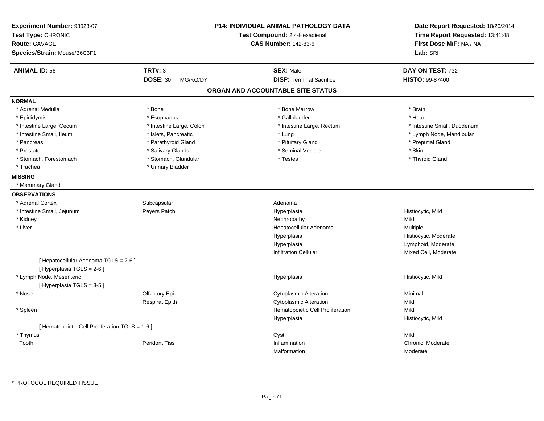| Experiment Number: 93023-07<br>Test Type: CHRONIC<br><b>Route: GAVAGE</b><br>Species/Strain: Mouse/B6C3F1 |                             | <b>P14: INDIVIDUAL ANIMAL PATHOLOGY DATA</b><br>Test Compound: 2,4-Hexadienal<br><b>CAS Number: 142-83-6</b> | Date Report Requested: 10/20/2014<br>Time Report Requested: 13:41:48<br>First Dose M/F: NA / NA<br>Lab: SRI |
|-----------------------------------------------------------------------------------------------------------|-----------------------------|--------------------------------------------------------------------------------------------------------------|-------------------------------------------------------------------------------------------------------------|
| <b>ANIMAL ID: 56</b>                                                                                      | <b>TRT#: 3</b>              | <b>SEX: Male</b>                                                                                             | DAY ON TEST: 732                                                                                            |
|                                                                                                           | <b>DOSE: 30</b><br>MG/KG/DY | <b>DISP: Terminal Sacrifice</b>                                                                              | HISTO: 99-87400                                                                                             |
|                                                                                                           |                             | ORGAN AND ACCOUNTABLE SITE STATUS                                                                            |                                                                                                             |
| <b>NORMAL</b>                                                                                             |                             |                                                                                                              |                                                                                                             |
| * Adrenal Medulla                                                                                         | * Bone                      | * Bone Marrow                                                                                                | * Brain                                                                                                     |
| * Epididymis                                                                                              | * Esophagus                 | * Gallbladder                                                                                                | * Heart                                                                                                     |
| * Intestine Large, Cecum                                                                                  | * Intestine Large, Colon    | * Intestine Large, Rectum                                                                                    | * Intestine Small, Duodenum                                                                                 |
| * Intestine Small, Ileum                                                                                  | * Islets, Pancreatic        | * Lung                                                                                                       | * Lymph Node, Mandibular                                                                                    |
| * Pancreas                                                                                                | * Parathyroid Gland         | * Pituitary Gland                                                                                            | * Preputial Gland                                                                                           |
| * Prostate                                                                                                | * Salivary Glands           | * Seminal Vesicle                                                                                            | * Skin                                                                                                      |
| * Stomach, Forestomach                                                                                    | * Stomach, Glandular        | * Testes                                                                                                     | * Thyroid Gland                                                                                             |
| * Trachea                                                                                                 | * Urinary Bladder           |                                                                                                              |                                                                                                             |
| <b>MISSING</b>                                                                                            |                             |                                                                                                              |                                                                                                             |
| * Mammary Gland                                                                                           |                             |                                                                                                              |                                                                                                             |
| <b>OBSERVATIONS</b>                                                                                       |                             |                                                                                                              |                                                                                                             |
| * Adrenal Cortex                                                                                          | Subcapsular                 | Adenoma                                                                                                      |                                                                                                             |
| * Intestine Small, Jejunum                                                                                | Peyers Patch                | Hyperplasia                                                                                                  | Histiocytic, Mild                                                                                           |
| * Kidney                                                                                                  |                             | Nephropathy                                                                                                  | Mild                                                                                                        |
| * Liver                                                                                                   |                             | Hepatocellular Adenoma                                                                                       | Multiple                                                                                                    |
|                                                                                                           |                             | Hyperplasia                                                                                                  | Histiocytic, Moderate                                                                                       |
|                                                                                                           |                             | Hyperplasia                                                                                                  | Lymphoid, Moderate                                                                                          |
|                                                                                                           |                             | <b>Infiltration Cellular</b>                                                                                 | Mixed Cell, Moderate                                                                                        |
| [ Hepatocellular Adenoma TGLS = 2-6 ]<br>[ Hyperplasia TGLS = 2-6 ]                                       |                             |                                                                                                              |                                                                                                             |
| * Lymph Node, Mesenteric                                                                                  |                             | Hyperplasia                                                                                                  | Histiocytic, Mild                                                                                           |
| [Hyperplasia TGLS = 3-5]                                                                                  |                             |                                                                                                              |                                                                                                             |
| * Nose                                                                                                    | Olfactory Epi               | <b>Cytoplasmic Alteration</b>                                                                                | Minimal                                                                                                     |
|                                                                                                           | <b>Respirat Epith</b>       | <b>Cytoplasmic Alteration</b>                                                                                | Mild                                                                                                        |
| * Spleen                                                                                                  |                             | Hematopoietic Cell Proliferation                                                                             | Mild                                                                                                        |
|                                                                                                           |                             | Hyperplasia                                                                                                  | Histiocytic, Mild                                                                                           |
| [ Hematopoietic Cell Proliferation TGLS = 1-6 ]                                                           |                             |                                                                                                              |                                                                                                             |
| * Thymus                                                                                                  |                             | Cyst                                                                                                         | Mild                                                                                                        |
| Tooth                                                                                                     | <b>Peridont Tiss</b>        | Inflammation                                                                                                 | Chronic, Moderate                                                                                           |
|                                                                                                           |                             | Malformation                                                                                                 | Moderate                                                                                                    |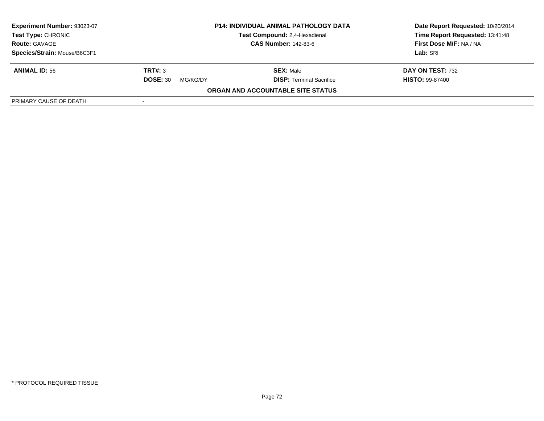| <b>Experiment Number: 93023-07</b><br><b>Test Type: CHRONIC</b><br><b>Route: GAVAGE</b> | <b>P14: INDIVIDUAL ANIMAL PATHOLOGY DATA</b><br>Test Compound: 2,4-Hexadienal<br><b>CAS Number: 142-83-6</b> |                                   | Date Report Requested: 10/20/2014<br>Time Report Requested: 13:41:48<br>First Dose M/F: NA / NA |
|-----------------------------------------------------------------------------------------|--------------------------------------------------------------------------------------------------------------|-----------------------------------|-------------------------------------------------------------------------------------------------|
| Species/Strain: Mouse/B6C3F1                                                            |                                                                                                              |                                   | Lab: SRI                                                                                        |
| <b>ANIMAL ID: 56</b>                                                                    | TRT#: 3                                                                                                      | <b>SEX: Male</b>                  | DAY ON TEST: 732                                                                                |
|                                                                                         | <b>DOSE: 30</b><br>MG/KG/DY                                                                                  | <b>DISP:</b> Terminal Sacrifice   | <b>HISTO: 99-87400</b>                                                                          |
|                                                                                         |                                                                                                              | ORGAN AND ACCOUNTABLE SITE STATUS |                                                                                                 |
| PRIMARY CAUSE OF DEATH                                                                  |                                                                                                              |                                   |                                                                                                 |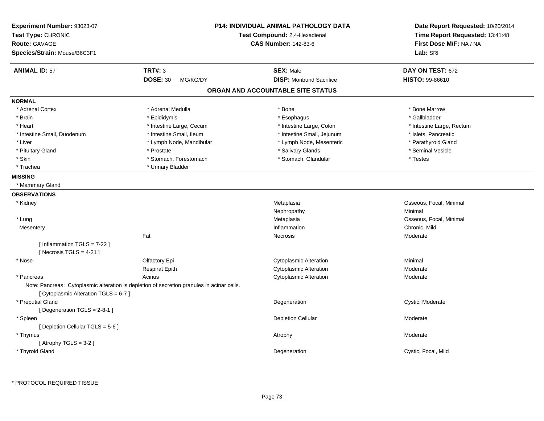| Experiment Number: 93023-07<br>Test Type: CHRONIC<br><b>Route: GAVAGE</b><br>Species/Strain: Mouse/B6C3F1                           |                             | P14: INDIVIDUAL ANIMAL PATHOLOGY DATA<br>Test Compound: 2,4-Hexadienal<br><b>CAS Number: 142-83-6</b> | Date Report Requested: 10/20/2014<br>Time Report Requested: 13:41:48<br>First Dose M/F: NA / NA<br>Lab: SRI |
|-------------------------------------------------------------------------------------------------------------------------------------|-----------------------------|-------------------------------------------------------------------------------------------------------|-------------------------------------------------------------------------------------------------------------|
| <b>ANIMAL ID: 57</b>                                                                                                                | <b>TRT#: 3</b>              | <b>SEX: Male</b>                                                                                      | DAY ON TEST: 672                                                                                            |
|                                                                                                                                     | <b>DOSE: 30</b><br>MG/KG/DY | <b>DISP:</b> Moribund Sacrifice                                                                       | <b>HISTO: 99-86610</b>                                                                                      |
|                                                                                                                                     |                             | ORGAN AND ACCOUNTABLE SITE STATUS                                                                     |                                                                                                             |
| <b>NORMAL</b>                                                                                                                       |                             |                                                                                                       |                                                                                                             |
| * Adrenal Cortex                                                                                                                    | * Adrenal Medulla           | * Bone                                                                                                | * Bone Marrow                                                                                               |
| * Brain                                                                                                                             | * Epididymis                | * Esophagus                                                                                           | * Gallbladder                                                                                               |
| * Heart                                                                                                                             | * Intestine Large, Cecum    | * Intestine Large, Colon                                                                              | * Intestine Large, Rectum                                                                                   |
| * Intestine Small, Duodenum                                                                                                         | * Intestine Small, Ileum    | * Intestine Small, Jejunum                                                                            | * Islets, Pancreatic                                                                                        |
| * Liver                                                                                                                             | * Lymph Node, Mandibular    | * Lymph Node, Mesenteric                                                                              | * Parathyroid Gland                                                                                         |
| * Pituitary Gland                                                                                                                   | * Prostate                  | * Salivary Glands                                                                                     | * Seminal Vesicle                                                                                           |
| * Skin                                                                                                                              | * Stomach, Forestomach      | * Stomach, Glandular                                                                                  | * Testes                                                                                                    |
| * Trachea                                                                                                                           | * Urinary Bladder           |                                                                                                       |                                                                                                             |
| <b>MISSING</b>                                                                                                                      |                             |                                                                                                       |                                                                                                             |
| * Mammary Gland                                                                                                                     |                             |                                                                                                       |                                                                                                             |
| <b>OBSERVATIONS</b>                                                                                                                 |                             |                                                                                                       |                                                                                                             |
| * Kidney                                                                                                                            |                             | Metaplasia                                                                                            | Osseous, Focal, Minimal                                                                                     |
|                                                                                                                                     |                             | Nephropathy                                                                                           | Minimal                                                                                                     |
| * Lung                                                                                                                              |                             | Metaplasia                                                                                            | Osseous, Focal, Minimal                                                                                     |
| Mesentery                                                                                                                           |                             | Inflammation                                                                                          | Chronic, Mild                                                                                               |
|                                                                                                                                     | Fat                         | Necrosis                                                                                              | Moderate                                                                                                    |
| [ Inflammation TGLS = 7-22 ]<br>[Necrosis TGLS = $4-21$ ]                                                                           |                             |                                                                                                       |                                                                                                             |
| * Nose                                                                                                                              | Olfactory Epi               | <b>Cytoplasmic Alteration</b>                                                                         | Minimal                                                                                                     |
|                                                                                                                                     | <b>Respirat Epith</b>       | <b>Cytoplasmic Alteration</b>                                                                         | Moderate                                                                                                    |
| * Pancreas                                                                                                                          | Acinus                      | <b>Cytoplasmic Alteration</b>                                                                         | Moderate                                                                                                    |
| Note: Pancreas: Cytoplasmic alteration is depletion of secretion granules in acinar cells.<br>[ Cytoplasmic Alteration TGLS = 6-7 ] |                             |                                                                                                       |                                                                                                             |
| * Preputial Gland<br>[Degeneration TGLS = 2-8-1]                                                                                    |                             | Degeneration                                                                                          | Cystic, Moderate                                                                                            |
| * Spleen                                                                                                                            |                             | <b>Depletion Cellular</b>                                                                             | Moderate                                                                                                    |
| [ Depletion Cellular TGLS = 5-6 ]<br>* Thymus                                                                                       |                             | Atrophy                                                                                               | Moderate                                                                                                    |
| [Atrophy TGLS = $3-2$ ]<br>* Thyroid Gland                                                                                          |                             | Degeneration                                                                                          | Cystic, Focal, Mild                                                                                         |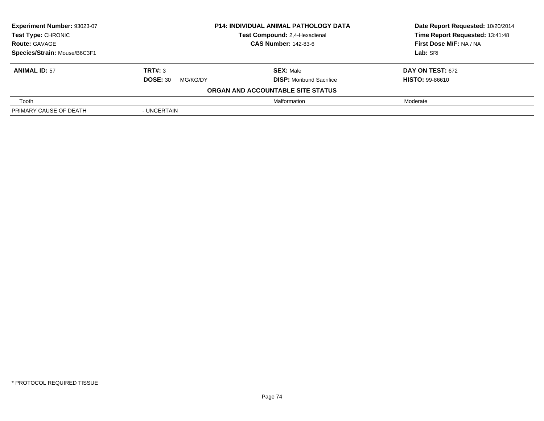| Experiment Number: 93023-07  | <b>P14: INDIVIDUAL ANIMAL PATHOLOGY DATA</b><br>Test Compound: 2,4-Hexadienal<br><b>CAS Number: 142-83-6</b> |                                   | Date Report Requested: 10/20/2014 |
|------------------------------|--------------------------------------------------------------------------------------------------------------|-----------------------------------|-----------------------------------|
| Test Type: CHRONIC           |                                                                                                              |                                   | Time Report Requested: 13:41:48   |
| <b>Route: GAVAGE</b>         |                                                                                                              |                                   | First Dose M/F: NA / NA           |
| Species/Strain: Mouse/B6C3F1 |                                                                                                              |                                   | Lab: SRI                          |
| <b>ANIMAL ID: 57</b>         | TRT#: 3                                                                                                      | <b>SEX: Male</b>                  | <b>DAY ON TEST: 672</b>           |
|                              | <b>DOSE: 30</b><br>MG/KG/DY                                                                                  | <b>DISP:</b> Moribund Sacrifice   | <b>HISTO: 99-86610</b>            |
|                              |                                                                                                              | ORGAN AND ACCOUNTABLE SITE STATUS |                                   |
| Tooth                        |                                                                                                              | Malformation                      | Moderate                          |
| PRIMARY CAUSE OF DEATH       | - UNCERTAIN                                                                                                  |                                   |                                   |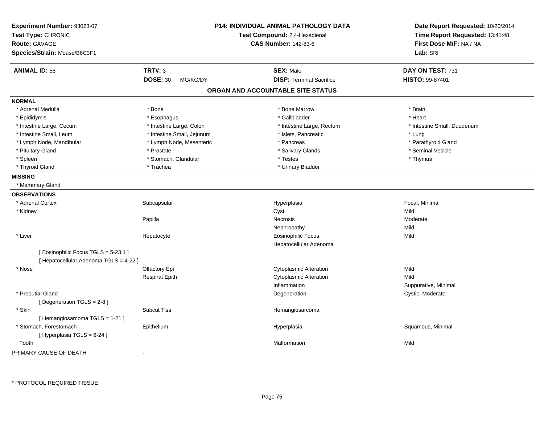| Experiment Number: 93023-07<br>Test Type: CHRONIC<br><b>Route: GAVAGE</b><br>Species/Strain: Mouse/B6C3F1 |                             | <b>P14: INDIVIDUAL ANIMAL PATHOLOGY DATA</b><br>Test Compound: 2,4-Hexadienal<br><b>CAS Number: 142-83-6</b> | Date Report Requested: 10/20/2014<br>Time Report Requested: 13:41:48<br>First Dose M/F: NA / NA<br>Lab: SRI |
|-----------------------------------------------------------------------------------------------------------|-----------------------------|--------------------------------------------------------------------------------------------------------------|-------------------------------------------------------------------------------------------------------------|
| <b>ANIMAL ID: 58</b>                                                                                      | <b>TRT#: 3</b>              | <b>SEX: Male</b>                                                                                             | DAY ON TEST: 731                                                                                            |
|                                                                                                           | <b>DOSE: 30</b><br>MG/KG/DY | <b>DISP: Terminal Sacrifice</b>                                                                              | <b>HISTO: 99-87401</b>                                                                                      |
|                                                                                                           |                             | ORGAN AND ACCOUNTABLE SITE STATUS                                                                            |                                                                                                             |
| <b>NORMAL</b>                                                                                             |                             |                                                                                                              |                                                                                                             |
| * Adrenal Medulla                                                                                         | * Bone                      | * Bone Marrow                                                                                                | * Brain                                                                                                     |
| * Epididymis                                                                                              | * Esophagus                 | * Gallbladder                                                                                                | * Heart                                                                                                     |
| * Intestine Large, Cecum                                                                                  | * Intestine Large, Colon    | * Intestine Large, Rectum                                                                                    | * Intestine Small, Duodenum                                                                                 |
| * Intestine Small, Ileum                                                                                  | * Intestine Small, Jejunum  | * Islets, Pancreatic                                                                                         | * Lung                                                                                                      |
| * Lymph Node, Mandibular                                                                                  | * Lymph Node, Mesenteric    | * Pancreas                                                                                                   | * Parathyroid Gland                                                                                         |
| * Pituitary Gland                                                                                         | * Prostate                  | * Salivary Glands                                                                                            | * Seminal Vesicle                                                                                           |
| * Spleen                                                                                                  | * Stomach, Glandular        | * Testes                                                                                                     | * Thymus                                                                                                    |
| * Thyroid Gland                                                                                           | * Trachea                   | * Urinary Bladder                                                                                            |                                                                                                             |
| <b>MISSING</b>                                                                                            |                             |                                                                                                              |                                                                                                             |
| * Mammary Gland                                                                                           |                             |                                                                                                              |                                                                                                             |
| <b>OBSERVATIONS</b>                                                                                       |                             |                                                                                                              |                                                                                                             |
| * Adrenal Cortex                                                                                          | Subcapsular                 | Hyperplasia                                                                                                  | Focal, Minimal                                                                                              |
| * Kidney                                                                                                  |                             | Cyst                                                                                                         | Mild                                                                                                        |
|                                                                                                           | Papilla                     | Necrosis                                                                                                     | Moderate                                                                                                    |
|                                                                                                           |                             | Nephropathy                                                                                                  | Mild                                                                                                        |
| * Liver                                                                                                   | Hepatocyte                  | <b>Eosinophilic Focus</b>                                                                                    | Mild                                                                                                        |
|                                                                                                           |                             | Hepatocellular Adenoma                                                                                       |                                                                                                             |
| [Eosinophilic Focus TGLS = 5-23.1]                                                                        |                             |                                                                                                              |                                                                                                             |
| [ Hepatocellular Adenoma TGLS = 4-22 ]                                                                    |                             |                                                                                                              |                                                                                                             |
| * Nose                                                                                                    | Olfactory Epi               | <b>Cytoplasmic Alteration</b>                                                                                | Mild                                                                                                        |
|                                                                                                           | <b>Respirat Epith</b>       | <b>Cytoplasmic Alteration</b>                                                                                | Mild                                                                                                        |
|                                                                                                           |                             | Inflammation                                                                                                 | Suppurative, Minimal                                                                                        |
| * Preputial Gland                                                                                         |                             | Degeneration                                                                                                 | Cystic, Moderate                                                                                            |
| [Degeneration TGLS = 2-8]                                                                                 |                             |                                                                                                              |                                                                                                             |
| * Skin                                                                                                    | <b>Subcut Tiss</b>          | Hemangiosarcoma                                                                                              |                                                                                                             |
| [Hemangiosarcoma TGLS = 1-21]                                                                             |                             |                                                                                                              |                                                                                                             |
| * Stomach, Forestomach                                                                                    | Epithelium                  | Hyperplasia                                                                                                  | Squamous, Minimal                                                                                           |
| [ Hyperplasia TGLS = 6-24 ]                                                                               |                             |                                                                                                              |                                                                                                             |
| Tooth                                                                                                     |                             | Malformation                                                                                                 | Mild                                                                                                        |
| PRIMARY CAUSE OF DEATH                                                                                    | $\blacksquare$              |                                                                                                              |                                                                                                             |

\* PROTOCOL REQUIRED TISSUE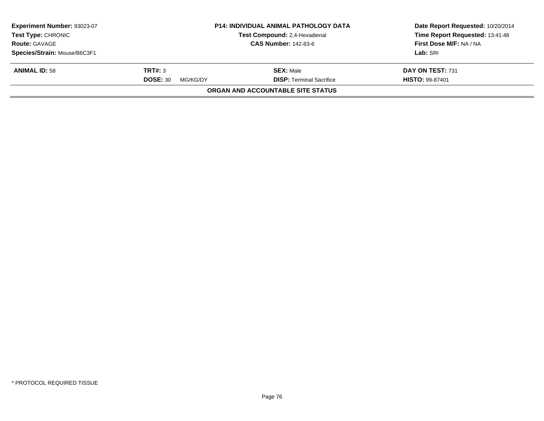| Experiment Number: 93023-07<br><b>Test Type: CHRONIC</b><br><b>Route: GAVAGE</b> | <b>P14: INDIVIDUAL ANIMAL PATHOLOGY DATA</b><br>Test Compound: 2,4-Hexadienal<br><b>CAS Number: 142-83-6</b> |                                          | Date Report Requested: 10/20/2014<br>Time Report Requested: 13:41:48<br>First Dose M/F: NA / NA |  |
|----------------------------------------------------------------------------------|--------------------------------------------------------------------------------------------------------------|------------------------------------------|-------------------------------------------------------------------------------------------------|--|
|                                                                                  |                                                                                                              |                                          |                                                                                                 |  |
| Species/Strain: Mouse/B6C3F1                                                     |                                                                                                              |                                          | Lab: SRI                                                                                        |  |
| <b>ANIMAL ID: 58</b>                                                             | TRT#: 3                                                                                                      | <b>SEX: Male</b>                         | DAY ON TEST: 731                                                                                |  |
|                                                                                  | <b>DOSE: 30</b><br>MG/KG/DY                                                                                  | <b>DISP: Terminal Sacrifice</b>          | <b>HISTO: 99-87401</b>                                                                          |  |
|                                                                                  |                                                                                                              | <b>ORGAN AND ACCOUNTABLE SITE STATUS</b> |                                                                                                 |  |
|                                                                                  |                                                                                                              |                                          |                                                                                                 |  |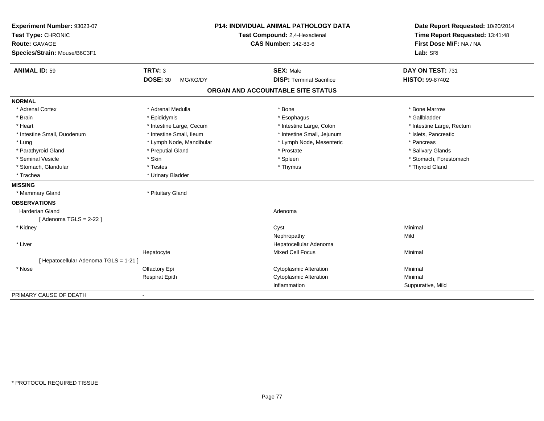| Experiment Number: 93023-07<br>Test Type: CHRONIC<br>Route: GAVAGE<br>Species/Strain: Mouse/B6C3F1 | <b>P14: INDIVIDUAL ANIMAL PATHOLOGY DATA</b><br>Test Compound: 2,4-Hexadienal |                                   | Date Report Requested: 10/20/2014<br>Time Report Requested: 13:41:48<br>First Dose M/F: NA / NA<br>Lab: SRI |
|----------------------------------------------------------------------------------------------------|-------------------------------------------------------------------------------|-----------------------------------|-------------------------------------------------------------------------------------------------------------|
| <b>ANIMAL ID: 59</b>                                                                               | <b>TRT#: 3</b>                                                                | <b>SEX: Male</b>                  | DAY ON TEST: 731                                                                                            |
|                                                                                                    | <b>DOSE: 30</b><br>MG/KG/DY                                                   | <b>DISP: Terminal Sacrifice</b>   | HISTO: 99-87402                                                                                             |
|                                                                                                    |                                                                               | ORGAN AND ACCOUNTABLE SITE STATUS |                                                                                                             |
| <b>NORMAL</b>                                                                                      |                                                                               |                                   |                                                                                                             |
| * Adrenal Cortex                                                                                   | * Adrenal Medulla                                                             | * Bone                            | * Bone Marrow                                                                                               |
| * Brain                                                                                            | * Epididymis                                                                  | * Esophagus                       | * Gallbladder                                                                                               |
| * Heart                                                                                            | * Intestine Large, Cecum                                                      | * Intestine Large, Colon          | * Intestine Large, Rectum                                                                                   |
| * Intestine Small, Duodenum                                                                        | * Intestine Small, Ileum                                                      | * Intestine Small, Jejunum        | * Islets, Pancreatic                                                                                        |
| * Lung                                                                                             | * Lymph Node, Mandibular                                                      | * Lymph Node, Mesenteric          | * Pancreas                                                                                                  |
| * Parathyroid Gland                                                                                | * Preputial Gland                                                             | * Prostate                        | * Salivary Glands                                                                                           |
| * Seminal Vesicle                                                                                  | * Skin                                                                        | * Spleen                          | * Stomach, Forestomach                                                                                      |
| * Stomach, Glandular                                                                               | * Testes                                                                      | * Thymus                          | * Thyroid Gland                                                                                             |
| * Trachea                                                                                          | * Urinary Bladder                                                             |                                   |                                                                                                             |
| <b>MISSING</b>                                                                                     |                                                                               |                                   |                                                                                                             |
| * Mammary Gland                                                                                    | * Pituitary Gland                                                             |                                   |                                                                                                             |
| <b>OBSERVATIONS</b>                                                                                |                                                                               |                                   |                                                                                                             |
| <b>Harderian Gland</b>                                                                             |                                                                               | Adenoma                           |                                                                                                             |
| [Adenoma TGLS = $2-22$ ]                                                                           |                                                                               |                                   |                                                                                                             |
| * Kidney                                                                                           |                                                                               | Cyst                              | Minimal                                                                                                     |
|                                                                                                    |                                                                               | Nephropathy                       | Mild                                                                                                        |
| * Liver                                                                                            |                                                                               | Hepatocellular Adenoma            |                                                                                                             |
|                                                                                                    | Hepatocyte                                                                    | Mixed Cell Focus                  | Minimal                                                                                                     |
| [ Hepatocellular Adenoma TGLS = 1-21 ]                                                             |                                                                               |                                   |                                                                                                             |
| * Nose                                                                                             | Olfactory Epi                                                                 | <b>Cytoplasmic Alteration</b>     | Minimal                                                                                                     |
|                                                                                                    | <b>Respirat Epith</b>                                                         | <b>Cytoplasmic Alteration</b>     | Minimal                                                                                                     |
|                                                                                                    |                                                                               | Inflammation                      | Suppurative, Mild                                                                                           |
| PRIMARY CAUSE OF DEATH                                                                             |                                                                               |                                   |                                                                                                             |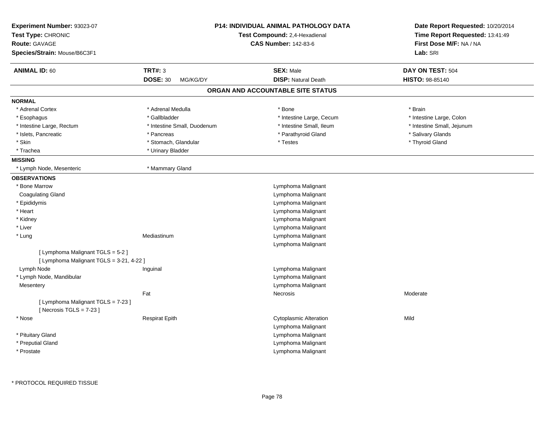| <b>ANIMAL ID: 60</b><br><b>TRT#: 3</b><br><b>SEX: Male</b><br>DAY ON TEST: 504<br><b>DOSE: 30</b><br><b>DISP: Natural Death</b><br>MG/KG/DY<br><b>HISTO: 98-85140</b><br>ORGAN AND ACCOUNTABLE SITE STATUS<br><b>NORMAL</b><br>* Adrenal Cortex<br>* Adrenal Medulla<br>* Bone<br>* Brain<br>* Gallbladder<br>* Intestine Large, Cecum<br>* Intestine Large, Colon<br>* Esophagus<br>* Intestine Small, Ileum<br>* Intestine Small, Jejunum<br>* Intestine Large, Rectum<br>* Intestine Small, Duodenum<br>* Parathyroid Gland<br>* Salivary Glands<br>* Islets, Pancreatic<br>* Pancreas<br>* Skin<br>* Stomach, Glandular<br>* Thyroid Gland<br>* Testes<br>* Trachea<br>* Urinary Bladder<br><b>MISSING</b><br>* Lymph Node, Mesenteric<br>* Mammary Gland<br><b>OBSERVATIONS</b><br>* Bone Marrow<br>Lymphoma Malignant<br><b>Coagulating Gland</b><br>Lymphoma Malignant<br>* Epididymis<br>Lymphoma Malignant<br>* Heart<br>Lymphoma Malignant<br>* Kidney<br>Lymphoma Malignant<br>* Liver<br>Lymphoma Malignant<br>* Lung<br>Mediastinum<br>Lymphoma Malignant<br>Lymphoma Malignant<br>[ Lymphoma Malignant TGLS = 5-2 ]<br>[ Lymphoma Malignant TGLS = 3-21, 4-22 ]<br>Lymph Node<br>Lymphoma Malignant<br>Inguinal<br>* Lymph Node, Mandibular<br>Lymphoma Malignant<br>Lymphoma Malignant<br>Mesentery<br>Fat<br>Moderate<br>Necrosis<br>[ Lymphoma Malignant TGLS = 7-23 ]<br>[Necrosis $TGLS = 7-23$ ]<br>Cytoplasmic Alteration<br>Mild<br>* Nose<br><b>Respirat Epith</b><br>Lymphoma Malignant<br>* Pituitary Gland<br>Lymphoma Malignant<br>* Preputial Gland<br>Lymphoma Malignant<br>Lymphoma Malignant<br>* Prostate | Experiment Number: 93023-07<br>Test Type: CHRONIC<br><b>Route: GAVAGE</b><br>Species/Strain: Mouse/B6C3F1 | <b>P14: INDIVIDUAL ANIMAL PATHOLOGY DATA</b><br>Test Compound: 2,4-Hexadienal<br><b>CAS Number: 142-83-6</b> | Date Report Requested: 10/20/2014<br>Time Report Requested: 13:41:49<br>First Dose M/F: NA / NA<br>Lab: SRI |
|-------------------------------------------------------------------------------------------------------------------------------------------------------------------------------------------------------------------------------------------------------------------------------------------------------------------------------------------------------------------------------------------------------------------------------------------------------------------------------------------------------------------------------------------------------------------------------------------------------------------------------------------------------------------------------------------------------------------------------------------------------------------------------------------------------------------------------------------------------------------------------------------------------------------------------------------------------------------------------------------------------------------------------------------------------------------------------------------------------------------------------------------------------------------------------------------------------------------------------------------------------------------------------------------------------------------------------------------------------------------------------------------------------------------------------------------------------------------------------------------------------------------------------------------------------------------------------------------------------------------------------------------|-----------------------------------------------------------------------------------------------------------|--------------------------------------------------------------------------------------------------------------|-------------------------------------------------------------------------------------------------------------|
|                                                                                                                                                                                                                                                                                                                                                                                                                                                                                                                                                                                                                                                                                                                                                                                                                                                                                                                                                                                                                                                                                                                                                                                                                                                                                                                                                                                                                                                                                                                                                                                                                                           |                                                                                                           |                                                                                                              |                                                                                                             |
|                                                                                                                                                                                                                                                                                                                                                                                                                                                                                                                                                                                                                                                                                                                                                                                                                                                                                                                                                                                                                                                                                                                                                                                                                                                                                                                                                                                                                                                                                                                                                                                                                                           |                                                                                                           |                                                                                                              |                                                                                                             |
|                                                                                                                                                                                                                                                                                                                                                                                                                                                                                                                                                                                                                                                                                                                                                                                                                                                                                                                                                                                                                                                                                                                                                                                                                                                                                                                                                                                                                                                                                                                                                                                                                                           |                                                                                                           |                                                                                                              |                                                                                                             |
|                                                                                                                                                                                                                                                                                                                                                                                                                                                                                                                                                                                                                                                                                                                                                                                                                                                                                                                                                                                                                                                                                                                                                                                                                                                                                                                                                                                                                                                                                                                                                                                                                                           |                                                                                                           |                                                                                                              |                                                                                                             |
|                                                                                                                                                                                                                                                                                                                                                                                                                                                                                                                                                                                                                                                                                                                                                                                                                                                                                                                                                                                                                                                                                                                                                                                                                                                                                                                                                                                                                                                                                                                                                                                                                                           |                                                                                                           |                                                                                                              |                                                                                                             |
|                                                                                                                                                                                                                                                                                                                                                                                                                                                                                                                                                                                                                                                                                                                                                                                                                                                                                                                                                                                                                                                                                                                                                                                                                                                                                                                                                                                                                                                                                                                                                                                                                                           |                                                                                                           |                                                                                                              |                                                                                                             |
|                                                                                                                                                                                                                                                                                                                                                                                                                                                                                                                                                                                                                                                                                                                                                                                                                                                                                                                                                                                                                                                                                                                                                                                                                                                                                                                                                                                                                                                                                                                                                                                                                                           |                                                                                                           |                                                                                                              |                                                                                                             |
|                                                                                                                                                                                                                                                                                                                                                                                                                                                                                                                                                                                                                                                                                                                                                                                                                                                                                                                                                                                                                                                                                                                                                                                                                                                                                                                                                                                                                                                                                                                                                                                                                                           |                                                                                                           |                                                                                                              |                                                                                                             |
|                                                                                                                                                                                                                                                                                                                                                                                                                                                                                                                                                                                                                                                                                                                                                                                                                                                                                                                                                                                                                                                                                                                                                                                                                                                                                                                                                                                                                                                                                                                                                                                                                                           |                                                                                                           |                                                                                                              |                                                                                                             |
|                                                                                                                                                                                                                                                                                                                                                                                                                                                                                                                                                                                                                                                                                                                                                                                                                                                                                                                                                                                                                                                                                                                                                                                                                                                                                                                                                                                                                                                                                                                                                                                                                                           |                                                                                                           |                                                                                                              |                                                                                                             |
|                                                                                                                                                                                                                                                                                                                                                                                                                                                                                                                                                                                                                                                                                                                                                                                                                                                                                                                                                                                                                                                                                                                                                                                                                                                                                                                                                                                                                                                                                                                                                                                                                                           |                                                                                                           |                                                                                                              |                                                                                                             |
|                                                                                                                                                                                                                                                                                                                                                                                                                                                                                                                                                                                                                                                                                                                                                                                                                                                                                                                                                                                                                                                                                                                                                                                                                                                                                                                                                                                                                                                                                                                                                                                                                                           |                                                                                                           |                                                                                                              |                                                                                                             |
|                                                                                                                                                                                                                                                                                                                                                                                                                                                                                                                                                                                                                                                                                                                                                                                                                                                                                                                                                                                                                                                                                                                                                                                                                                                                                                                                                                                                                                                                                                                                                                                                                                           |                                                                                                           |                                                                                                              |                                                                                                             |
|                                                                                                                                                                                                                                                                                                                                                                                                                                                                                                                                                                                                                                                                                                                                                                                                                                                                                                                                                                                                                                                                                                                                                                                                                                                                                                                                                                                                                                                                                                                                                                                                                                           |                                                                                                           |                                                                                                              |                                                                                                             |
|                                                                                                                                                                                                                                                                                                                                                                                                                                                                                                                                                                                                                                                                                                                                                                                                                                                                                                                                                                                                                                                                                                                                                                                                                                                                                                                                                                                                                                                                                                                                                                                                                                           |                                                                                                           |                                                                                                              |                                                                                                             |
|                                                                                                                                                                                                                                                                                                                                                                                                                                                                                                                                                                                                                                                                                                                                                                                                                                                                                                                                                                                                                                                                                                                                                                                                                                                                                                                                                                                                                                                                                                                                                                                                                                           |                                                                                                           |                                                                                                              |                                                                                                             |
|                                                                                                                                                                                                                                                                                                                                                                                                                                                                                                                                                                                                                                                                                                                                                                                                                                                                                                                                                                                                                                                                                                                                                                                                                                                                                                                                                                                                                                                                                                                                                                                                                                           |                                                                                                           |                                                                                                              |                                                                                                             |
|                                                                                                                                                                                                                                                                                                                                                                                                                                                                                                                                                                                                                                                                                                                                                                                                                                                                                                                                                                                                                                                                                                                                                                                                                                                                                                                                                                                                                                                                                                                                                                                                                                           |                                                                                                           |                                                                                                              |                                                                                                             |
|                                                                                                                                                                                                                                                                                                                                                                                                                                                                                                                                                                                                                                                                                                                                                                                                                                                                                                                                                                                                                                                                                                                                                                                                                                                                                                                                                                                                                                                                                                                                                                                                                                           |                                                                                                           |                                                                                                              |                                                                                                             |
|                                                                                                                                                                                                                                                                                                                                                                                                                                                                                                                                                                                                                                                                                                                                                                                                                                                                                                                                                                                                                                                                                                                                                                                                                                                                                                                                                                                                                                                                                                                                                                                                                                           |                                                                                                           |                                                                                                              |                                                                                                             |
|                                                                                                                                                                                                                                                                                                                                                                                                                                                                                                                                                                                                                                                                                                                                                                                                                                                                                                                                                                                                                                                                                                                                                                                                                                                                                                                                                                                                                                                                                                                                                                                                                                           |                                                                                                           |                                                                                                              |                                                                                                             |
|                                                                                                                                                                                                                                                                                                                                                                                                                                                                                                                                                                                                                                                                                                                                                                                                                                                                                                                                                                                                                                                                                                                                                                                                                                                                                                                                                                                                                                                                                                                                                                                                                                           |                                                                                                           |                                                                                                              |                                                                                                             |
|                                                                                                                                                                                                                                                                                                                                                                                                                                                                                                                                                                                                                                                                                                                                                                                                                                                                                                                                                                                                                                                                                                                                                                                                                                                                                                                                                                                                                                                                                                                                                                                                                                           |                                                                                                           |                                                                                                              |                                                                                                             |
|                                                                                                                                                                                                                                                                                                                                                                                                                                                                                                                                                                                                                                                                                                                                                                                                                                                                                                                                                                                                                                                                                                                                                                                                                                                                                                                                                                                                                                                                                                                                                                                                                                           |                                                                                                           |                                                                                                              |                                                                                                             |
|                                                                                                                                                                                                                                                                                                                                                                                                                                                                                                                                                                                                                                                                                                                                                                                                                                                                                                                                                                                                                                                                                                                                                                                                                                                                                                                                                                                                                                                                                                                                                                                                                                           |                                                                                                           |                                                                                                              |                                                                                                             |
|                                                                                                                                                                                                                                                                                                                                                                                                                                                                                                                                                                                                                                                                                                                                                                                                                                                                                                                                                                                                                                                                                                                                                                                                                                                                                                                                                                                                                                                                                                                                                                                                                                           |                                                                                                           |                                                                                                              |                                                                                                             |
|                                                                                                                                                                                                                                                                                                                                                                                                                                                                                                                                                                                                                                                                                                                                                                                                                                                                                                                                                                                                                                                                                                                                                                                                                                                                                                                                                                                                                                                                                                                                                                                                                                           |                                                                                                           |                                                                                                              |                                                                                                             |
|                                                                                                                                                                                                                                                                                                                                                                                                                                                                                                                                                                                                                                                                                                                                                                                                                                                                                                                                                                                                                                                                                                                                                                                                                                                                                                                                                                                                                                                                                                                                                                                                                                           |                                                                                                           |                                                                                                              |                                                                                                             |
|                                                                                                                                                                                                                                                                                                                                                                                                                                                                                                                                                                                                                                                                                                                                                                                                                                                                                                                                                                                                                                                                                                                                                                                                                                                                                                                                                                                                                                                                                                                                                                                                                                           |                                                                                                           |                                                                                                              |                                                                                                             |
|                                                                                                                                                                                                                                                                                                                                                                                                                                                                                                                                                                                                                                                                                                                                                                                                                                                                                                                                                                                                                                                                                                                                                                                                                                                                                                                                                                                                                                                                                                                                                                                                                                           |                                                                                                           |                                                                                                              |                                                                                                             |
|                                                                                                                                                                                                                                                                                                                                                                                                                                                                                                                                                                                                                                                                                                                                                                                                                                                                                                                                                                                                                                                                                                                                                                                                                                                                                                                                                                                                                                                                                                                                                                                                                                           |                                                                                                           |                                                                                                              |                                                                                                             |
|                                                                                                                                                                                                                                                                                                                                                                                                                                                                                                                                                                                                                                                                                                                                                                                                                                                                                                                                                                                                                                                                                                                                                                                                                                                                                                                                                                                                                                                                                                                                                                                                                                           |                                                                                                           |                                                                                                              |                                                                                                             |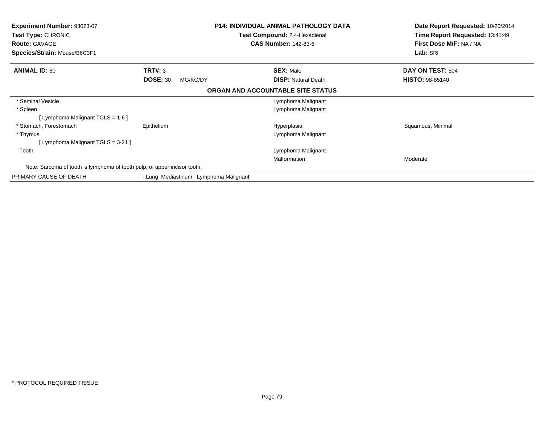| <b>Experiment Number: 93023-07</b><br><b>Test Type: CHRONIC</b><br><b>Route: GAVAGE</b><br>Species/Strain: Mouse/B6C3F1 |                                       | <b>P14: INDIVIDUAL ANIMAL PATHOLOGY DATA</b><br><b>Test Compound: 2,4-Hexadienal</b><br><b>CAS Number: 142-83-6</b> |                            | Date Report Requested: 10/20/2014<br>Time Report Requested: 13:41:49<br>First Dose M/F: NA / NA<br>Lab: SRI |
|-------------------------------------------------------------------------------------------------------------------------|---------------------------------------|---------------------------------------------------------------------------------------------------------------------|----------------------------|-------------------------------------------------------------------------------------------------------------|
| <b>ANIMAL ID: 60</b>                                                                                                    | TRT#: 3                               | <b>SEX: Male</b>                                                                                                    |                            | DAY ON TEST: 504                                                                                            |
|                                                                                                                         | <b>DOSE: 30</b><br>MG/KG/DY           |                                                                                                                     | <b>DISP: Natural Death</b> | <b>HISTO: 98-85140</b>                                                                                      |
|                                                                                                                         |                                       | ORGAN AND ACCOUNTABLE SITE STATUS                                                                                   |                            |                                                                                                             |
| * Seminal Vesicle                                                                                                       |                                       |                                                                                                                     | Lymphoma Malignant         |                                                                                                             |
| * Spleen                                                                                                                |                                       |                                                                                                                     | Lymphoma Malignant         |                                                                                                             |
| [ Lymphoma Malignant TGLS = $1-6$ ]                                                                                     |                                       |                                                                                                                     |                            |                                                                                                             |
| * Stomach, Forestomach                                                                                                  | Epithelium                            | Hyperplasia                                                                                                         |                            | Squamous, Minimal                                                                                           |
| * Thymus                                                                                                                |                                       |                                                                                                                     | Lymphoma Malignant         |                                                                                                             |
| [ Lymphoma Malignant TGLS = 3-21 ]                                                                                      |                                       |                                                                                                                     |                            |                                                                                                             |
| Tooth                                                                                                                   |                                       |                                                                                                                     | Lymphoma Malignant         |                                                                                                             |
|                                                                                                                         |                                       | Malformation                                                                                                        |                            | Moderate                                                                                                    |
| Note: Sarcoma of tooth is lymphoma of tooth pulp, of upper incisor tooth.                                               |                                       |                                                                                                                     |                            |                                                                                                             |
| PRIMARY CAUSE OF DEATH                                                                                                  | - Lung Mediastinum Lymphoma Malignant |                                                                                                                     |                            |                                                                                                             |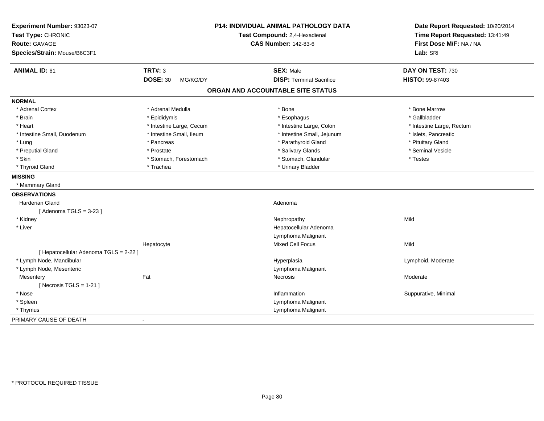| Experiment Number: 93023-07<br>Test Type: CHRONIC<br><b>Route: GAVAGE</b><br>Species/Strain: Mouse/B6C3F1 | P14: INDIVIDUAL ANIMAL PATHOLOGY DATA<br>Test Compound: 2,4-Hexadienal<br><b>CAS Number: 142-83-6</b> |                                                     | Date Report Requested: 10/20/2014<br>Time Report Requested: 13:41:49<br>First Dose M/F: NA / NA<br>Lab: SRI |
|-----------------------------------------------------------------------------------------------------------|-------------------------------------------------------------------------------------------------------|-----------------------------------------------------|-------------------------------------------------------------------------------------------------------------|
| <b>ANIMAL ID: 61</b>                                                                                      | <b>TRT#: 3</b><br><b>DOSE: 30</b><br>MG/KG/DY                                                         | <b>SEX: Male</b><br><b>DISP: Terminal Sacrifice</b> | DAY ON TEST: 730<br><b>HISTO: 99-87403</b>                                                                  |
|                                                                                                           |                                                                                                       | ORGAN AND ACCOUNTABLE SITE STATUS                   |                                                                                                             |
|                                                                                                           |                                                                                                       |                                                     |                                                                                                             |
| <b>NORMAL</b>                                                                                             |                                                                                                       |                                                     |                                                                                                             |
| * Adrenal Cortex                                                                                          | * Adrenal Medulla                                                                                     | * Bone                                              | * Bone Marrow                                                                                               |
| * Brain                                                                                                   | * Epididymis                                                                                          | * Esophagus                                         | * Gallbladder                                                                                               |
| * Heart                                                                                                   | * Intestine Large, Cecum                                                                              | * Intestine Large, Colon                            | * Intestine Large, Rectum                                                                                   |
| * Intestine Small, Duodenum                                                                               | * Intestine Small, Ileum                                                                              | * Intestine Small, Jejunum                          | * Islets, Pancreatic                                                                                        |
| * Lung                                                                                                    | * Pancreas                                                                                            | * Parathyroid Gland                                 | * Pituitary Gland                                                                                           |
| * Preputial Gland                                                                                         | * Prostate                                                                                            | * Salivary Glands                                   | * Seminal Vesicle                                                                                           |
| * Skin                                                                                                    | * Stomach, Forestomach                                                                                | * Stomach, Glandular                                | * Testes                                                                                                    |
| * Thyroid Gland                                                                                           | * Trachea                                                                                             | * Urinary Bladder                                   |                                                                                                             |
| <b>MISSING</b><br>* Mammary Gland                                                                         |                                                                                                       |                                                     |                                                                                                             |
|                                                                                                           |                                                                                                       |                                                     |                                                                                                             |
| <b>OBSERVATIONS</b>                                                                                       |                                                                                                       |                                                     |                                                                                                             |
| <b>Harderian Gland</b>                                                                                    |                                                                                                       | Adenoma                                             |                                                                                                             |
| [Adenoma TGLS = $3-23$ ]                                                                                  |                                                                                                       |                                                     | Mild                                                                                                        |
| * Kidney                                                                                                  |                                                                                                       | Nephropathy                                         |                                                                                                             |
| * Liver                                                                                                   |                                                                                                       | Hepatocellular Adenoma                              |                                                                                                             |
|                                                                                                           |                                                                                                       | Lymphoma Malignant                                  |                                                                                                             |
|                                                                                                           | Hepatocyte                                                                                            | <b>Mixed Cell Focus</b>                             | Mild                                                                                                        |
| [ Hepatocellular Adenoma TGLS = 2-22 ]                                                                    |                                                                                                       |                                                     |                                                                                                             |
| * Lymph Node, Mandibular                                                                                  |                                                                                                       | Hyperplasia                                         | Lymphoid, Moderate                                                                                          |
| * Lymph Node, Mesenteric                                                                                  | Fat                                                                                                   | Lymphoma Malignant                                  |                                                                                                             |
| Mesentery<br>[Necrosis TGLS = $1-21$ ]                                                                    |                                                                                                       | <b>Necrosis</b>                                     | Moderate                                                                                                    |
|                                                                                                           |                                                                                                       |                                                     |                                                                                                             |
| * Nose                                                                                                    |                                                                                                       | Inflammation                                        | Suppurative, Minimal                                                                                        |
| * Spleen                                                                                                  |                                                                                                       | Lymphoma Malignant                                  |                                                                                                             |
| * Thymus                                                                                                  |                                                                                                       | Lymphoma Malignant                                  |                                                                                                             |
| PRIMARY CAUSE OF DEATH                                                                                    | $\overline{\phantom{a}}$                                                                              |                                                     |                                                                                                             |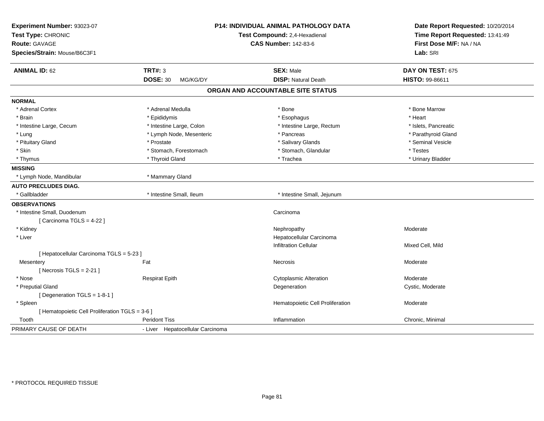| Experiment Number: 93023-07<br>Test Type: CHRONIC<br>Route: GAVAGE<br>Species/Strain: Mouse/B6C3F1 |                                  | P14: INDIVIDUAL ANIMAL PATHOLOGY DATA<br>Test Compound: 2,4-Hexadienal<br><b>CAS Number: 142-83-6</b> | Date Report Requested: 10/20/2014<br>Time Report Requested: 13:41:49<br>First Dose M/F: NA / NA<br>Lab: SRI |
|----------------------------------------------------------------------------------------------------|----------------------------------|-------------------------------------------------------------------------------------------------------|-------------------------------------------------------------------------------------------------------------|
| <b>ANIMAL ID: 62</b>                                                                               | <b>TRT#: 3</b>                   | <b>SEX: Male</b>                                                                                      | DAY ON TEST: 675                                                                                            |
|                                                                                                    | <b>DOSE: 30</b><br>MG/KG/DY      | <b>DISP: Natural Death</b>                                                                            | HISTO: 99-86611                                                                                             |
|                                                                                                    |                                  | ORGAN AND ACCOUNTABLE SITE STATUS                                                                     |                                                                                                             |
| <b>NORMAL</b>                                                                                      |                                  |                                                                                                       |                                                                                                             |
| * Adrenal Cortex                                                                                   | * Adrenal Medulla                | * Bone                                                                                                | * Bone Marrow                                                                                               |
| * Brain                                                                                            | * Epididymis                     | * Esophagus                                                                                           | * Heart                                                                                                     |
| * Intestine Large, Cecum                                                                           | * Intestine Large, Colon         | * Intestine Large, Rectum                                                                             | * Islets, Pancreatic                                                                                        |
| * Lung                                                                                             | * Lymph Node, Mesenteric         | * Pancreas                                                                                            | * Parathyroid Gland                                                                                         |
| * Pituitary Gland                                                                                  | * Prostate                       | * Salivary Glands                                                                                     | * Seminal Vesicle                                                                                           |
| * Skin                                                                                             | * Stomach, Forestomach           | * Stomach, Glandular                                                                                  | * Testes                                                                                                    |
| * Thymus                                                                                           | * Thyroid Gland                  | * Trachea                                                                                             | * Urinary Bladder                                                                                           |
| <b>MISSING</b>                                                                                     |                                  |                                                                                                       |                                                                                                             |
| * Lymph Node, Mandibular                                                                           | * Mammary Gland                  |                                                                                                       |                                                                                                             |
| <b>AUTO PRECLUDES DIAG.</b>                                                                        |                                  |                                                                                                       |                                                                                                             |
| * Gallbladder                                                                                      | * Intestine Small, Ileum         | * Intestine Small, Jejunum                                                                            |                                                                                                             |
| <b>OBSERVATIONS</b>                                                                                |                                  |                                                                                                       |                                                                                                             |
| * Intestine Small, Duodenum                                                                        |                                  | Carcinoma                                                                                             |                                                                                                             |
| [Carcinoma TGLS = 4-22]                                                                            |                                  |                                                                                                       |                                                                                                             |
| * Kidney                                                                                           |                                  | Nephropathy                                                                                           | Moderate                                                                                                    |
| * Liver                                                                                            |                                  | Hepatocellular Carcinoma                                                                              |                                                                                                             |
|                                                                                                    |                                  | <b>Infiltration Cellular</b>                                                                          | Mixed Cell, Mild                                                                                            |
| [ Hepatocellular Carcinoma TGLS = 5-23 ]                                                           |                                  |                                                                                                       |                                                                                                             |
| Mesentery                                                                                          | Fat                              | Necrosis                                                                                              | Moderate                                                                                                    |
| [Necrosis $TGLS = 2-21$ ]                                                                          |                                  |                                                                                                       |                                                                                                             |
| * Nose                                                                                             | <b>Respirat Epith</b>            | <b>Cytoplasmic Alteration</b>                                                                         | Moderate                                                                                                    |
| * Preputial Gland                                                                                  |                                  | Degeneration                                                                                          | Cystic, Moderate                                                                                            |
| [ Degeneration TGLS = 1-8-1 ]                                                                      |                                  |                                                                                                       |                                                                                                             |
| * Spleen                                                                                           |                                  | Hematopoietic Cell Proliferation                                                                      | Moderate                                                                                                    |
| [ Hematopoietic Cell Proliferation TGLS = 3-6 ]                                                    |                                  |                                                                                                       |                                                                                                             |
| Tooth                                                                                              | <b>Peridont Tiss</b>             | Inflammation                                                                                          | Chronic, Minimal                                                                                            |
| PRIMARY CAUSE OF DEATH                                                                             | - Liver Hepatocellular Carcinoma |                                                                                                       |                                                                                                             |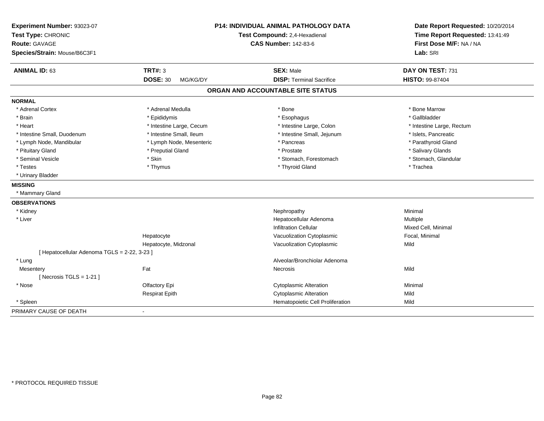| Experiment Number: 93023-07<br>Test Type: CHRONIC<br>Route: GAVAGE<br>Species/Strain: Mouse/B6C3F1 |                             | <b>P14: INDIVIDUAL ANIMAL PATHOLOGY DATA</b><br>Test Compound: 2,4-Hexadienal<br><b>CAS Number: 142-83-6</b> | Date Report Requested: 10/20/2014<br>Time Report Requested: 13:41:49<br>First Dose M/F: NA / NA<br>Lab: SRI |  |
|----------------------------------------------------------------------------------------------------|-----------------------------|--------------------------------------------------------------------------------------------------------------|-------------------------------------------------------------------------------------------------------------|--|
| <b>ANIMAL ID: 63</b>                                                                               | <b>TRT#: 3</b>              | <b>SEX: Male</b>                                                                                             | DAY ON TEST: 731                                                                                            |  |
|                                                                                                    | <b>DOSE: 30</b><br>MG/KG/DY | <b>DISP: Terminal Sacrifice</b>                                                                              | <b>HISTO: 99-87404</b>                                                                                      |  |
|                                                                                                    |                             | ORGAN AND ACCOUNTABLE SITE STATUS                                                                            |                                                                                                             |  |
| <b>NORMAL</b>                                                                                      |                             |                                                                                                              |                                                                                                             |  |
| * Adrenal Cortex                                                                                   | * Adrenal Medulla           | * Bone                                                                                                       | * Bone Marrow                                                                                               |  |
| * Brain                                                                                            | * Epididymis                | * Esophagus                                                                                                  | * Gallbladder                                                                                               |  |
| * Heart                                                                                            | * Intestine Large, Cecum    | * Intestine Large, Colon                                                                                     | * Intestine Large, Rectum                                                                                   |  |
| * Intestine Small, Duodenum                                                                        | * Intestine Small, Ileum    | * Intestine Small, Jejunum                                                                                   | * Islets, Pancreatic                                                                                        |  |
| * Lymph Node, Mandibular                                                                           | * Lymph Node, Mesenteric    | * Pancreas                                                                                                   | * Parathyroid Gland                                                                                         |  |
| * Pituitary Gland                                                                                  | * Preputial Gland           | * Prostate                                                                                                   | * Salivary Glands                                                                                           |  |
| * Seminal Vesicle                                                                                  | * Skin                      | * Stomach, Forestomach                                                                                       | * Stomach, Glandular                                                                                        |  |
| * Testes                                                                                           | * Thymus                    | * Thyroid Gland                                                                                              | * Trachea                                                                                                   |  |
| * Urinary Bladder                                                                                  |                             |                                                                                                              |                                                                                                             |  |
| <b>MISSING</b>                                                                                     |                             |                                                                                                              |                                                                                                             |  |
| * Mammary Gland                                                                                    |                             |                                                                                                              |                                                                                                             |  |
| <b>OBSERVATIONS</b>                                                                                |                             |                                                                                                              |                                                                                                             |  |
| * Kidney                                                                                           |                             | Nephropathy                                                                                                  | Minimal                                                                                                     |  |
| * Liver                                                                                            |                             | Hepatocellular Adenoma                                                                                       | Multiple                                                                                                    |  |
|                                                                                                    |                             | <b>Infiltration Cellular</b>                                                                                 | Mixed Cell, Minimal                                                                                         |  |
|                                                                                                    | Hepatocyte                  | Vacuolization Cytoplasmic                                                                                    | Focal, Minimal                                                                                              |  |
|                                                                                                    | Hepatocyte, Midzonal        | Vacuolization Cytoplasmic                                                                                    | Mild                                                                                                        |  |
| [ Hepatocellular Adenoma TGLS = 2-22, 3-23 ]                                                       |                             |                                                                                                              |                                                                                                             |  |
| * Lung                                                                                             |                             | Alveolar/Bronchiolar Adenoma                                                                                 |                                                                                                             |  |
| Mesentery                                                                                          | Fat                         | <b>Necrosis</b>                                                                                              | Mild                                                                                                        |  |
| [ Necrosis TGLS = $1-21$ ]                                                                         |                             |                                                                                                              |                                                                                                             |  |
| * Nose                                                                                             | Olfactory Epi               | <b>Cytoplasmic Alteration</b>                                                                                | Minimal                                                                                                     |  |
|                                                                                                    | <b>Respirat Epith</b>       | <b>Cytoplasmic Alteration</b>                                                                                | Mild                                                                                                        |  |
| * Spleen                                                                                           |                             | Hematopoietic Cell Proliferation                                                                             | Mild                                                                                                        |  |
| PRIMARY CAUSE OF DEATH                                                                             |                             |                                                                                                              |                                                                                                             |  |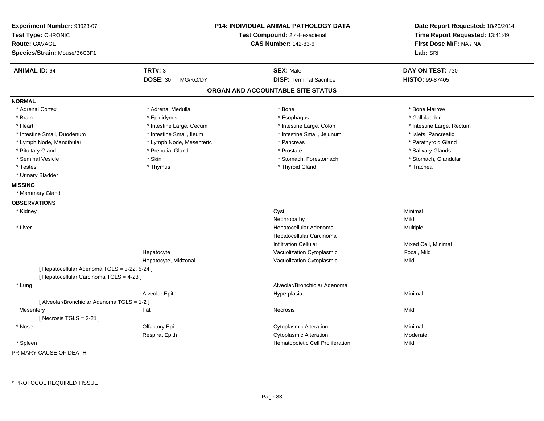| Experiment Number: 93023-07<br>Test Type: CHRONIC<br><b>Route: GAVAGE</b> |                             | P14: INDIVIDUAL ANIMAL PATHOLOGY DATA<br>Test Compound: 2,4-Hexadienal<br><b>CAS Number: 142-83-6</b> | Date Report Requested: 10/20/2014<br>Time Report Requested: 13:41:49<br>First Dose M/F: NA / NA |
|---------------------------------------------------------------------------|-----------------------------|-------------------------------------------------------------------------------------------------------|-------------------------------------------------------------------------------------------------|
| Species/Strain: Mouse/B6C3F1                                              |                             |                                                                                                       | Lab: SRI                                                                                        |
| <b>ANIMAL ID: 64</b>                                                      | <b>TRT#: 3</b>              | <b>SEX: Male</b>                                                                                      | DAY ON TEST: 730                                                                                |
|                                                                           | <b>DOSE: 30</b><br>MG/KG/DY | <b>DISP: Terminal Sacrifice</b>                                                                       | HISTO: 99-87405                                                                                 |
|                                                                           |                             | ORGAN AND ACCOUNTABLE SITE STATUS                                                                     |                                                                                                 |
| <b>NORMAL</b>                                                             |                             |                                                                                                       |                                                                                                 |
| * Adrenal Cortex                                                          | * Adrenal Medulla           | * Bone                                                                                                | * Bone Marrow                                                                                   |
| * Brain                                                                   | * Epididymis                | * Esophagus                                                                                           | * Gallbladder                                                                                   |
| * Heart                                                                   | * Intestine Large, Cecum    | * Intestine Large, Colon                                                                              | * Intestine Large, Rectum                                                                       |
| * Intestine Small, Duodenum                                               | * Intestine Small, Ileum    | * Intestine Small, Jejunum                                                                            | * Islets, Pancreatic                                                                            |
| * Lymph Node, Mandibular                                                  | * Lymph Node, Mesenteric    | * Pancreas                                                                                            | * Parathyroid Gland                                                                             |
| * Pituitary Gland                                                         | * Preputial Gland           | * Prostate                                                                                            | * Salivary Glands                                                                               |
| * Seminal Vesicle                                                         | * Skin                      | * Stomach, Forestomach                                                                                | * Stomach, Glandular                                                                            |
| * Testes                                                                  | * Thymus                    | * Thyroid Gland                                                                                       | * Trachea                                                                                       |
| * Urinary Bladder                                                         |                             |                                                                                                       |                                                                                                 |
| <b>MISSING</b>                                                            |                             |                                                                                                       |                                                                                                 |
| * Mammary Gland                                                           |                             |                                                                                                       |                                                                                                 |
| <b>OBSERVATIONS</b>                                                       |                             |                                                                                                       |                                                                                                 |
| * Kidney                                                                  |                             | Cyst                                                                                                  | Minimal                                                                                         |
|                                                                           |                             | Nephropathy                                                                                           | Mild                                                                                            |
| * Liver                                                                   |                             | Hepatocellular Adenoma                                                                                | Multiple                                                                                        |
|                                                                           |                             | Hepatocellular Carcinoma                                                                              |                                                                                                 |
|                                                                           |                             | <b>Infiltration Cellular</b>                                                                          | Mixed Cell, Minimal                                                                             |
|                                                                           | Hepatocyte                  | Vacuolization Cytoplasmic                                                                             | Focal, Mild                                                                                     |
|                                                                           | Hepatocyte, Midzonal        | Vacuolization Cytoplasmic                                                                             | Mild                                                                                            |
| [ Hepatocellular Adenoma TGLS = 3-22, 5-24 ]                              |                             |                                                                                                       |                                                                                                 |
| [ Hepatocellular Carcinoma TGLS = 4-23 ]                                  |                             |                                                                                                       |                                                                                                 |
| * Lung                                                                    |                             | Alveolar/Bronchiolar Adenoma                                                                          |                                                                                                 |
|                                                                           | Alveolar Epith              | Hyperplasia                                                                                           | Minimal                                                                                         |
| [ Alveolar/Bronchiolar Adenoma TGLS = 1-2 ]                               |                             |                                                                                                       |                                                                                                 |
| Mesentery                                                                 | Fat                         | <b>Necrosis</b>                                                                                       | Mild                                                                                            |
| [Necrosis $TGLS = 2-21$ ]                                                 |                             |                                                                                                       |                                                                                                 |
| * Nose                                                                    | Olfactory Epi               | <b>Cytoplasmic Alteration</b>                                                                         | Minimal                                                                                         |
|                                                                           | <b>Respirat Epith</b>       | Cytoplasmic Alteration                                                                                | Moderate                                                                                        |
| Spleen                                                                    |                             | Hematopoietic Cell Proliferation                                                                      | Mild                                                                                            |

PRIMARY CAUSE OF DEATH-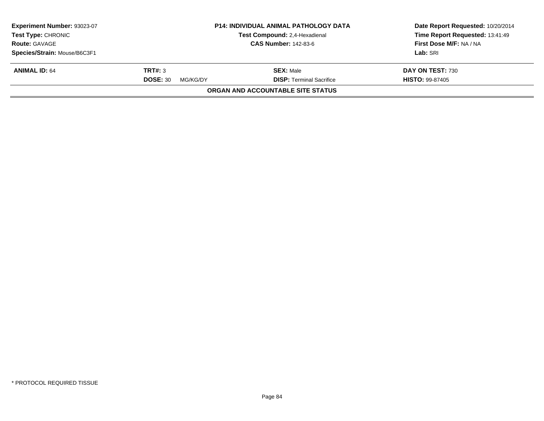| Experiment Number: 93023-07<br><b>Test Type: CHRONIC</b> | <b>P14: INDIVIDUAL ANIMAL PATHOLOGY DATA</b><br><b>Test Compound: 2,4-Hexadienal</b> |                                          | Date Report Requested: 10/20/2014<br>Time Report Requested: 13:41:49 |  |
|----------------------------------------------------------|--------------------------------------------------------------------------------------|------------------------------------------|----------------------------------------------------------------------|--|
| <b>Route: GAVAGE</b>                                     |                                                                                      | <b>CAS Number: 142-83-6</b>              | First Dose M/F: NA / NA                                              |  |
| Species/Strain: Mouse/B6C3F1                             |                                                                                      |                                          | Lab: SRI                                                             |  |
| <b>ANIMAL ID: 64</b>                                     | TRT#: 3                                                                              | <b>SEX: Male</b>                         | DAY ON TEST: 730                                                     |  |
|                                                          | <b>DOSE: 30</b><br>MG/KG/DY                                                          | <b>DISP: Terminal Sacrifice</b>          | <b>HISTO: 99-87405</b>                                               |  |
|                                                          |                                                                                      | <b>ORGAN AND ACCOUNTABLE SITE STATUS</b> |                                                                      |  |
|                                                          |                                                                                      |                                          |                                                                      |  |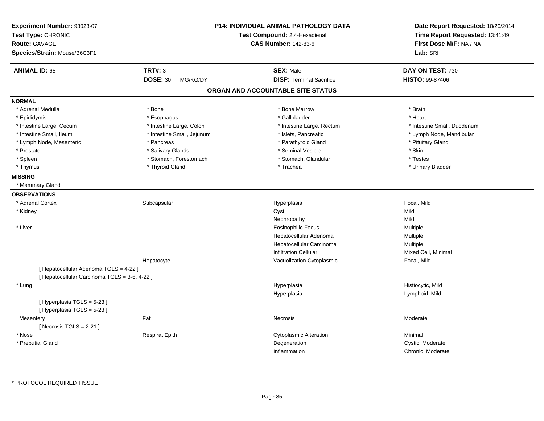| Experiment Number: 93023-07<br>Test Type: CHRONIC<br><b>Route: GAVAGE</b> |                             | <b>P14: INDIVIDUAL ANIMAL PATHOLOGY DATA</b><br>Test Compound: 2,4-Hexadienal<br><b>CAS Number: 142-83-6</b> | Date Report Requested: 10/20/2014<br>Time Report Requested: 13:41:49<br>First Dose M/F: NA / NA |  |
|---------------------------------------------------------------------------|-----------------------------|--------------------------------------------------------------------------------------------------------------|-------------------------------------------------------------------------------------------------|--|
| Species/Strain: Mouse/B6C3F1                                              |                             |                                                                                                              | Lab: SRI                                                                                        |  |
| <b>ANIMAL ID: 65</b>                                                      | <b>TRT#: 3</b>              | <b>SEX: Male</b>                                                                                             | DAY ON TEST: 730                                                                                |  |
|                                                                           | <b>DOSE: 30</b><br>MG/KG/DY | <b>DISP: Terminal Sacrifice</b>                                                                              | HISTO: 99-87406                                                                                 |  |
|                                                                           |                             | ORGAN AND ACCOUNTABLE SITE STATUS                                                                            |                                                                                                 |  |
| <b>NORMAL</b>                                                             |                             |                                                                                                              |                                                                                                 |  |
| * Adrenal Medulla                                                         | * Bone                      | * Bone Marrow                                                                                                | * Brain                                                                                         |  |
| * Epididymis                                                              | * Esophagus                 | * Gallbladder                                                                                                | * Heart                                                                                         |  |
| * Intestine Large, Cecum                                                  | * Intestine Large, Colon    | * Intestine Large, Rectum                                                                                    | * Intestine Small, Duodenum                                                                     |  |
| * Intestine Small, Ileum                                                  | * Intestine Small, Jejunum  | * Islets, Pancreatic                                                                                         | * Lymph Node, Mandibular                                                                        |  |
| * Lymph Node, Mesenteric                                                  | * Pancreas                  | * Parathyroid Gland                                                                                          | * Pituitary Gland                                                                               |  |
| * Prostate                                                                | * Salivary Glands           | * Seminal Vesicle                                                                                            | * Skin                                                                                          |  |
| * Spleen                                                                  | * Stomach, Forestomach      | * Stomach, Glandular                                                                                         | * Testes                                                                                        |  |
| * Thymus                                                                  | * Thyroid Gland             | * Trachea                                                                                                    | * Urinary Bladder                                                                               |  |
| <b>MISSING</b>                                                            |                             |                                                                                                              |                                                                                                 |  |
| * Mammary Gland                                                           |                             |                                                                                                              |                                                                                                 |  |
| <b>OBSERVATIONS</b>                                                       |                             |                                                                                                              |                                                                                                 |  |
| * Adrenal Cortex                                                          | Subcapsular                 | Hyperplasia                                                                                                  | Focal, Mild                                                                                     |  |
| * Kidney                                                                  |                             | Cyst                                                                                                         | Mild                                                                                            |  |
|                                                                           |                             | Nephropathy                                                                                                  | Mild                                                                                            |  |
| * Liver                                                                   |                             | <b>Eosinophilic Focus</b>                                                                                    | Multiple                                                                                        |  |
|                                                                           |                             | Hepatocellular Adenoma                                                                                       | Multiple                                                                                        |  |
|                                                                           |                             | Hepatocellular Carcinoma                                                                                     | Multiple                                                                                        |  |
|                                                                           |                             | <b>Infiltration Cellular</b>                                                                                 | Mixed Cell, Minimal                                                                             |  |
|                                                                           | Hepatocyte                  | Vacuolization Cytoplasmic                                                                                    | Focal, Mild                                                                                     |  |
| [ Hepatocellular Adenoma TGLS = 4-22 ]                                    |                             |                                                                                                              |                                                                                                 |  |
| [ Hepatocellular Carcinoma TGLS = 3-6, 4-22 ]                             |                             |                                                                                                              |                                                                                                 |  |
| * Lung                                                                    |                             | Hyperplasia                                                                                                  | Histiocytic, Mild                                                                               |  |
|                                                                           |                             | Hyperplasia                                                                                                  | Lymphoid, Mild                                                                                  |  |
| [Hyperplasia TGLS = 5-23]<br>[Hyperplasia TGLS = 5-23]                    |                             |                                                                                                              |                                                                                                 |  |
| Mesentery                                                                 | Fat                         | Necrosis                                                                                                     | Moderate                                                                                        |  |
| [Necrosis $TGLS = 2-21$ ]                                                 |                             |                                                                                                              |                                                                                                 |  |
| * Nose                                                                    | <b>Respirat Epith</b>       | <b>Cytoplasmic Alteration</b>                                                                                | Minimal                                                                                         |  |
| * Preputial Gland                                                         |                             | Degeneration                                                                                                 | Cystic, Moderate                                                                                |  |
|                                                                           |                             | Inflammation                                                                                                 | Chronic, Moderate                                                                               |  |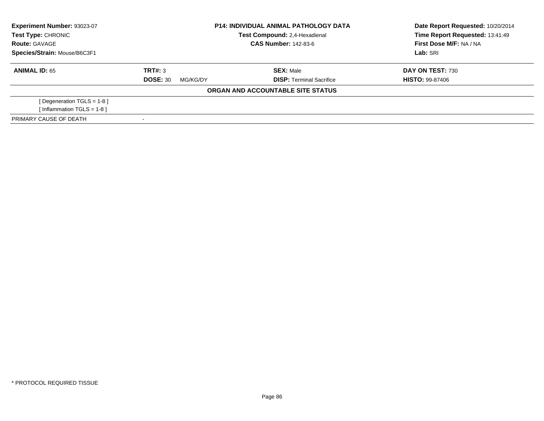| Experiment Number: 93023-07<br><b>P14: INDIVIDUAL ANIMAL PATHOLOGY DATA</b> |                               | Date Report Requested: 10/20/2014 |                                 |  |
|-----------------------------------------------------------------------------|-------------------------------|-----------------------------------|---------------------------------|--|
| Test Type: CHRONIC                                                          | Test Compound: 2,4-Hexadienal |                                   | Time Report Requested: 13:41:49 |  |
| <b>Route: GAVAGE</b>                                                        |                               | <b>CAS Number: 142-83-6</b>       | First Dose M/F: NA / NA         |  |
| Species/Strain: Mouse/B6C3F1                                                |                               |                                   | Lab: SRI                        |  |
| <b>ANIMAL ID: 65</b>                                                        | TRT#: 3                       | <b>SEX: Male</b>                  | DAY ON TEST: 730                |  |
|                                                                             | <b>DOSE: 30</b><br>MG/KG/DY   | <b>DISP:</b> Terminal Sacrifice   | <b>HISTO: 99-87406</b>          |  |
|                                                                             |                               | ORGAN AND ACCOUNTABLE SITE STATUS |                                 |  |
| [Degeneration TGLS = $1-8$ ]                                                |                               |                                   |                                 |  |
| [Inflammation TGLS = 1-8]                                                   |                               |                                   |                                 |  |
| PRIMARY CAUSE OF DEATH                                                      |                               |                                   |                                 |  |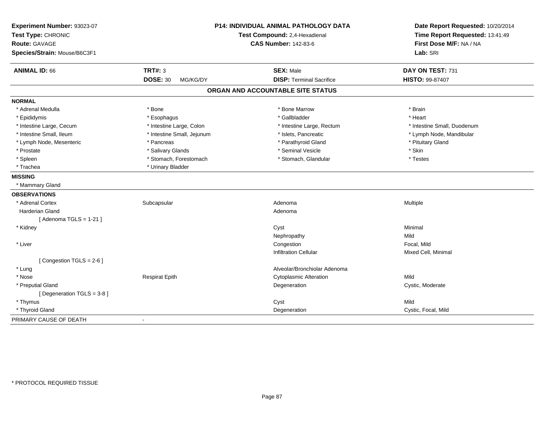| Experiment Number: 93023-07<br>Test Type: CHRONIC<br><b>Route: GAVAGE</b><br>Species/Strain: Mouse/B6C3F1 | P14: INDIVIDUAL ANIMAL PATHOLOGY DATA<br>Test Compound: 2,4-Hexadienal<br><b>CAS Number: 142-83-6</b> |                                   | Date Report Requested: 10/20/2014<br>Time Report Requested: 13:41:49<br>First Dose M/F: NA / NA<br>Lab: SRI |
|-----------------------------------------------------------------------------------------------------------|-------------------------------------------------------------------------------------------------------|-----------------------------------|-------------------------------------------------------------------------------------------------------------|
| <b>ANIMAL ID: 66</b>                                                                                      | <b>TRT#: 3</b>                                                                                        | <b>SEX: Male</b>                  | DAY ON TEST: 731                                                                                            |
|                                                                                                           | <b>DOSE: 30</b><br>MG/KG/DY                                                                           | <b>DISP: Terminal Sacrifice</b>   | <b>HISTO: 99-87407</b>                                                                                      |
|                                                                                                           |                                                                                                       | ORGAN AND ACCOUNTABLE SITE STATUS |                                                                                                             |
| <b>NORMAL</b>                                                                                             |                                                                                                       |                                   |                                                                                                             |
| * Adrenal Medulla                                                                                         | * Bone                                                                                                | * Bone Marrow                     | * Brain                                                                                                     |
| * Epididymis                                                                                              | * Esophagus                                                                                           | * Gallbladder                     | * Heart                                                                                                     |
| * Intestine Large, Cecum                                                                                  | * Intestine Large, Colon                                                                              | * Intestine Large, Rectum         | * Intestine Small, Duodenum                                                                                 |
| * Intestine Small, Ileum                                                                                  | * Intestine Small, Jejunum                                                                            | * Islets, Pancreatic              | * Lymph Node, Mandibular                                                                                    |
| * Lymph Node, Mesenteric                                                                                  | * Pancreas                                                                                            | * Parathyroid Gland               | * Pituitary Gland                                                                                           |
| * Prostate                                                                                                | * Salivary Glands                                                                                     | * Seminal Vesicle                 | * Skin                                                                                                      |
| * Spleen                                                                                                  | * Stomach, Forestomach                                                                                | * Stomach, Glandular              | * Testes                                                                                                    |
| * Trachea                                                                                                 | * Urinary Bladder                                                                                     |                                   |                                                                                                             |
| <b>MISSING</b>                                                                                            |                                                                                                       |                                   |                                                                                                             |
| * Mammary Gland                                                                                           |                                                                                                       |                                   |                                                                                                             |
| <b>OBSERVATIONS</b>                                                                                       |                                                                                                       |                                   |                                                                                                             |
| * Adrenal Cortex                                                                                          | Subcapsular                                                                                           | Adenoma                           | Multiple                                                                                                    |
| <b>Harderian Gland</b>                                                                                    |                                                                                                       | Adenoma                           |                                                                                                             |
| [Adenoma TGLS = $1-21$ ]                                                                                  |                                                                                                       |                                   |                                                                                                             |
| * Kidney                                                                                                  |                                                                                                       | Cyst                              | Minimal                                                                                                     |
|                                                                                                           |                                                                                                       | Nephropathy                       | Mild                                                                                                        |
| * Liver                                                                                                   |                                                                                                       | Congestion                        | Focal, Mild                                                                                                 |
|                                                                                                           |                                                                                                       | Infiltration Cellular             | Mixed Cell, Minimal                                                                                         |
| [Congestion TGLS = 2-6]                                                                                   |                                                                                                       |                                   |                                                                                                             |
| * Lung                                                                                                    |                                                                                                       | Alveolar/Bronchiolar Adenoma      |                                                                                                             |
| * Nose                                                                                                    | <b>Respirat Epith</b>                                                                                 | <b>Cytoplasmic Alteration</b>     | Mild                                                                                                        |
| * Preputial Gland                                                                                         |                                                                                                       | Degeneration                      | Cystic, Moderate                                                                                            |
| [Degeneration TGLS = 3-8]                                                                                 |                                                                                                       |                                   |                                                                                                             |
| * Thymus                                                                                                  |                                                                                                       | Cyst                              | Mild                                                                                                        |
| * Thyroid Gland                                                                                           |                                                                                                       | Degeneration                      | Cystic, Focal, Mild                                                                                         |
| PRIMARY CAUSE OF DEATH                                                                                    | $\overline{\phantom{a}}$                                                                              |                                   |                                                                                                             |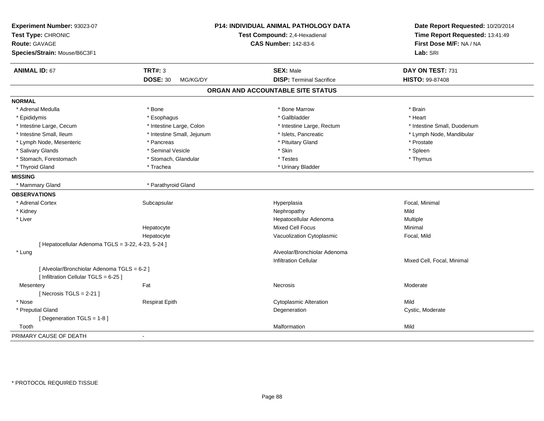| Experiment Number: 93023-07<br>Test Type: CHRONIC<br><b>Route: GAVAGE</b><br>Species/Strain: Mouse/B6C3F1 |                             | P14: INDIVIDUAL ANIMAL PATHOLOGY DATA<br>Test Compound: 2,4-Hexadienal<br><b>CAS Number: 142-83-6</b> | Date Report Requested: 10/20/2014<br>Time Report Requested: 13:41:49<br>First Dose M/F: NA / NA<br>Lab: SRI |
|-----------------------------------------------------------------------------------------------------------|-----------------------------|-------------------------------------------------------------------------------------------------------|-------------------------------------------------------------------------------------------------------------|
| <b>ANIMAL ID: 67</b>                                                                                      | <b>TRT#: 3</b>              | <b>SEX: Male</b>                                                                                      | DAY ON TEST: 731                                                                                            |
|                                                                                                           | <b>DOSE: 30</b><br>MG/KG/DY | <b>DISP: Terminal Sacrifice</b>                                                                       | HISTO: 99-87408                                                                                             |
|                                                                                                           |                             | ORGAN AND ACCOUNTABLE SITE STATUS                                                                     |                                                                                                             |
| <b>NORMAL</b>                                                                                             |                             |                                                                                                       |                                                                                                             |
| * Adrenal Medulla                                                                                         | * Bone                      | * Bone Marrow                                                                                         | * Brain                                                                                                     |
| * Epididymis                                                                                              | * Esophagus                 | * Gallbladder                                                                                         | * Heart                                                                                                     |
| * Intestine Large, Cecum                                                                                  | * Intestine Large, Colon    | * Intestine Large, Rectum                                                                             | * Intestine Small, Duodenum                                                                                 |
| * Intestine Small, Ileum                                                                                  | * Intestine Small, Jejunum  | * Islets, Pancreatic                                                                                  | * Lymph Node, Mandibular                                                                                    |
| * Lymph Node, Mesenteric                                                                                  | * Pancreas                  | * Pituitary Gland                                                                                     | * Prostate                                                                                                  |
| * Salivary Glands                                                                                         | * Seminal Vesicle           | * Skin                                                                                                | * Spleen                                                                                                    |
| * Stomach, Forestomach                                                                                    | * Stomach, Glandular        | * Testes                                                                                              | * Thymus                                                                                                    |
| * Thyroid Gland                                                                                           | * Trachea                   | * Urinary Bladder                                                                                     |                                                                                                             |
| <b>MISSING</b>                                                                                            |                             |                                                                                                       |                                                                                                             |
| * Mammary Gland                                                                                           | * Parathyroid Gland         |                                                                                                       |                                                                                                             |
| <b>OBSERVATIONS</b>                                                                                       |                             |                                                                                                       |                                                                                                             |
| * Adrenal Cortex                                                                                          | Subcapsular                 | Hyperplasia                                                                                           | Focal, Minimal                                                                                              |
| * Kidney                                                                                                  |                             | Nephropathy                                                                                           | Mild                                                                                                        |
| * Liver                                                                                                   |                             | Hepatocellular Adenoma                                                                                | Multiple                                                                                                    |
|                                                                                                           | Hepatocyte                  | Mixed Cell Focus                                                                                      | Minimal                                                                                                     |
|                                                                                                           | Hepatocyte                  | Vacuolization Cytoplasmic                                                                             | Focal, Mild                                                                                                 |
| [ Hepatocellular Adenoma TGLS = 3-22, 4-23, 5-24 ]                                                        |                             |                                                                                                       |                                                                                                             |
| * Lung                                                                                                    |                             | Alveolar/Bronchiolar Adenoma                                                                          |                                                                                                             |
|                                                                                                           |                             | <b>Infiltration Cellular</b>                                                                          | Mixed Cell, Focal, Minimal                                                                                  |
| [ Alveolar/Bronchiolar Adenoma TGLS = 6-2 ]<br>[ Infiltration Cellular TGLS = 6-25 ]                      |                             |                                                                                                       |                                                                                                             |
| Mesentery                                                                                                 | Fat                         | Necrosis                                                                                              | Moderate                                                                                                    |
| [Necrosis TGLS = $2-21$ ]                                                                                 |                             |                                                                                                       |                                                                                                             |
| * Nose                                                                                                    | <b>Respirat Epith</b>       | <b>Cytoplasmic Alteration</b>                                                                         | Mild                                                                                                        |
| * Preputial Gland                                                                                         |                             | Degeneration                                                                                          | Cystic, Moderate                                                                                            |
| [Degeneration TGLS = 1-8]                                                                                 |                             |                                                                                                       |                                                                                                             |
| Tooth                                                                                                     |                             | Malformation                                                                                          | Mild                                                                                                        |
| PRIMARY CAUSE OF DEATH                                                                                    |                             |                                                                                                       |                                                                                                             |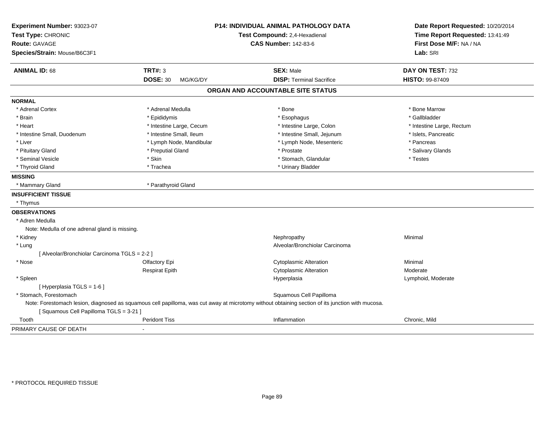| Experiment Number: 93023-07                    |                               | P14: INDIVIDUAL ANIMAL PATHOLOGY DATA                                                                                                            | Date Report Requested: 10/20/2014 |
|------------------------------------------------|-------------------------------|--------------------------------------------------------------------------------------------------------------------------------------------------|-----------------------------------|
| Test Type: CHRONIC                             | Test Compound: 2,4-Hexadienal |                                                                                                                                                  | Time Report Requested: 13:41:49   |
| <b>Route: GAVAGE</b>                           |                               | <b>CAS Number: 142-83-6</b>                                                                                                                      | First Dose M/F: NA / NA           |
| Species/Strain: Mouse/B6C3F1                   |                               |                                                                                                                                                  | Lab: SRI                          |
| <b>ANIMAL ID: 68</b>                           | <b>TRT#: 3</b>                | <b>SEX: Male</b>                                                                                                                                 | DAY ON TEST: 732                  |
|                                                | <b>DOSE: 30</b><br>MG/KG/DY   | <b>DISP: Terminal Sacrifice</b>                                                                                                                  | <b>HISTO: 99-87409</b>            |
|                                                |                               | ORGAN AND ACCOUNTABLE SITE STATUS                                                                                                                |                                   |
| <b>NORMAL</b>                                  |                               |                                                                                                                                                  |                                   |
| * Adrenal Cortex                               | * Adrenal Medulla             | * Bone                                                                                                                                           | * Bone Marrow                     |
| * Brain                                        | * Epididymis                  | * Esophagus                                                                                                                                      | * Gallbladder                     |
| * Heart                                        | * Intestine Large, Cecum      | * Intestine Large, Colon                                                                                                                         | * Intestine Large, Rectum         |
| * Intestine Small, Duodenum                    | * Intestine Small, Ileum      | * Intestine Small, Jejunum                                                                                                                       | * Islets, Pancreatic              |
| * Liver                                        | * Lymph Node, Mandibular      | * Lymph Node, Mesenteric                                                                                                                         | * Pancreas                        |
| * Pituitary Gland                              | * Preputial Gland             | * Prostate                                                                                                                                       | * Salivary Glands                 |
| * Seminal Vesicle                              | * Skin                        | * Stomach, Glandular                                                                                                                             | * Testes                          |
| * Thyroid Gland                                | * Trachea                     | * Urinary Bladder                                                                                                                                |                                   |
| <b>MISSING</b>                                 |                               |                                                                                                                                                  |                                   |
| * Mammary Gland                                | * Parathyroid Gland           |                                                                                                                                                  |                                   |
| <b>INSUFFICIENT TISSUE</b>                     |                               |                                                                                                                                                  |                                   |
| * Thymus                                       |                               |                                                                                                                                                  |                                   |
| <b>OBSERVATIONS</b>                            |                               |                                                                                                                                                  |                                   |
| * Adren Medulla                                |                               |                                                                                                                                                  |                                   |
| Note: Medulla of one adrenal gland is missing. |                               |                                                                                                                                                  |                                   |
| * Kidney                                       |                               | Nephropathy                                                                                                                                      | Minimal                           |
| * Lung                                         |                               | Alveolar/Bronchiolar Carcinoma                                                                                                                   |                                   |
| [ Alveolar/Bronchiolar Carcinoma TGLS = 2-2 ]  |                               |                                                                                                                                                  |                                   |
| * Nose                                         | Olfactory Epi                 | <b>Cytoplasmic Alteration</b>                                                                                                                    | Minimal                           |
|                                                | <b>Respirat Epith</b>         | <b>Cytoplasmic Alteration</b>                                                                                                                    | Moderate                          |
| * Spleen                                       |                               | Hyperplasia                                                                                                                                      | Lymphoid, Moderate                |
| [ Hyperplasia TGLS = 1-6 ]                     |                               |                                                                                                                                                  |                                   |
| * Stomach, Forestomach                         |                               | Squamous Cell Papilloma                                                                                                                          |                                   |
| [Squamous Cell Papilloma TGLS = 3-21]          |                               | Note: Forestomach lesion, diagnosed as squamous cell papilloma, was cut away at microtomy without obtaining section of its junction with mucosa. |                                   |
| Tooth                                          | <b>Peridont Tiss</b>          | Inflammation                                                                                                                                     | Chronic, Mild                     |
| PRIMARY CAUSE OF DEATH                         | $\blacksquare$                |                                                                                                                                                  |                                   |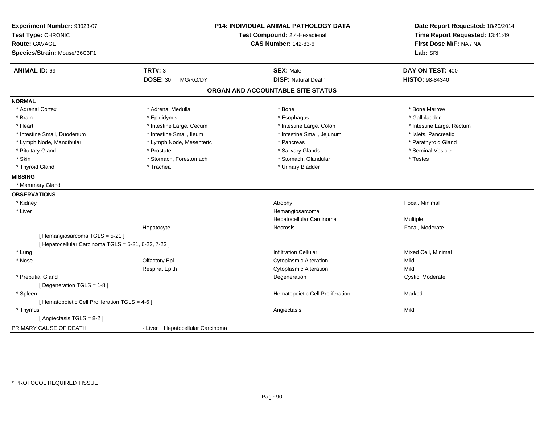| Experiment Number: 93023-07<br>Test Type: CHRONIC<br><b>Route: GAVAGE</b><br>Species/Strain: Mouse/B6C3F1 |                                  | <b>P14: INDIVIDUAL ANIMAL PATHOLOGY DATA</b><br>Test Compound: 2,4-Hexadienal<br><b>CAS Number: 142-83-6</b> | Date Report Requested: 10/20/2014<br>Time Report Requested: 13:41:49<br>First Dose M/F: NA / NA<br>Lab: SRI |
|-----------------------------------------------------------------------------------------------------------|----------------------------------|--------------------------------------------------------------------------------------------------------------|-------------------------------------------------------------------------------------------------------------|
| <b>ANIMAL ID: 69</b>                                                                                      | <b>TRT#: 3</b>                   | <b>SEX: Male</b>                                                                                             | DAY ON TEST: 400                                                                                            |
|                                                                                                           | <b>DOSE: 30</b><br>MG/KG/DY      | <b>DISP: Natural Death</b>                                                                                   | HISTO: 98-84340                                                                                             |
|                                                                                                           |                                  | ORGAN AND ACCOUNTABLE SITE STATUS                                                                            |                                                                                                             |
| <b>NORMAL</b>                                                                                             |                                  |                                                                                                              |                                                                                                             |
| * Adrenal Cortex                                                                                          | * Adrenal Medulla                | * Bone                                                                                                       | * Bone Marrow                                                                                               |
| * Brain                                                                                                   | * Epididymis                     | * Esophagus                                                                                                  | * Gallbladder                                                                                               |
| * Heart                                                                                                   | * Intestine Large, Cecum         | * Intestine Large, Colon                                                                                     | * Intestine Large, Rectum                                                                                   |
| * Intestine Small, Duodenum                                                                               | * Intestine Small, Ileum         | * Intestine Small, Jejunum                                                                                   | * Islets, Pancreatic                                                                                        |
| * Lymph Node, Mandibular                                                                                  | * Lymph Node, Mesenteric         | * Pancreas                                                                                                   | * Parathyroid Gland                                                                                         |
| * Pituitary Gland                                                                                         | * Prostate                       | * Salivary Glands                                                                                            | * Seminal Vesicle                                                                                           |
| * Skin                                                                                                    | * Stomach, Forestomach           | * Stomach, Glandular                                                                                         | * Testes                                                                                                    |
| * Thyroid Gland                                                                                           | * Trachea                        | * Urinary Bladder                                                                                            |                                                                                                             |
| <b>MISSING</b>                                                                                            |                                  |                                                                                                              |                                                                                                             |
| * Mammary Gland                                                                                           |                                  |                                                                                                              |                                                                                                             |
| <b>OBSERVATIONS</b>                                                                                       |                                  |                                                                                                              |                                                                                                             |
| * Kidney                                                                                                  |                                  | Atrophy                                                                                                      | Focal, Minimal                                                                                              |
| * Liver                                                                                                   |                                  | Hemangiosarcoma                                                                                              |                                                                                                             |
|                                                                                                           |                                  | Hepatocellular Carcinoma                                                                                     | Multiple                                                                                                    |
|                                                                                                           | Hepatocyte                       | Necrosis                                                                                                     | Focal, Moderate                                                                                             |
| [Hemangiosarcoma TGLS = 5-21]                                                                             |                                  |                                                                                                              |                                                                                                             |
| [ Hepatocellular Carcinoma TGLS = 5-21, 6-22, 7-23 ]                                                      |                                  |                                                                                                              |                                                                                                             |
| * Lung                                                                                                    |                                  | <b>Infiltration Cellular</b>                                                                                 | Mixed Cell, Minimal                                                                                         |
| * Nose                                                                                                    | Olfactory Epi                    | <b>Cytoplasmic Alteration</b>                                                                                | Mild                                                                                                        |
|                                                                                                           | <b>Respirat Epith</b>            | <b>Cytoplasmic Alteration</b>                                                                                | Mild                                                                                                        |
| * Preputial Gland                                                                                         |                                  | Degeneration                                                                                                 | Cystic, Moderate                                                                                            |
| [Degeneration TGLS = 1-8]                                                                                 |                                  |                                                                                                              |                                                                                                             |
| * Spleen                                                                                                  |                                  | Hematopoietic Cell Proliferation                                                                             | Marked                                                                                                      |
| [ Hematopoietic Cell Proliferation TGLS = 4-6 ]                                                           |                                  |                                                                                                              |                                                                                                             |
| * Thymus                                                                                                  |                                  | Angiectasis                                                                                                  | Mild                                                                                                        |
| [Angiectasis TGLS = 8-2]                                                                                  |                                  |                                                                                                              |                                                                                                             |
| PRIMARY CAUSE OF DEATH                                                                                    | - Liver Hepatocellular Carcinoma |                                                                                                              |                                                                                                             |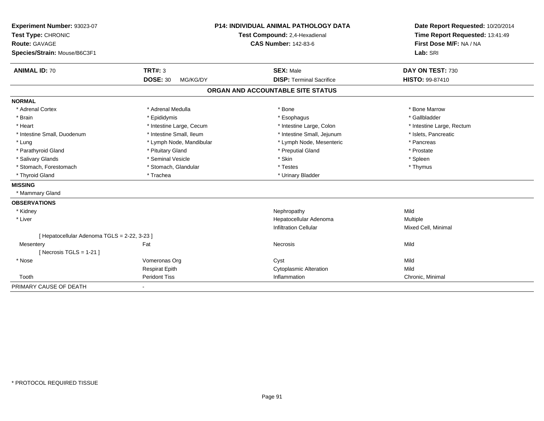| Experiment Number: 93023-07                  |                               | <b>P14: INDIVIDUAL ANIMAL PATHOLOGY DATA</b> | Date Report Requested: 10/20/2014 |  |
|----------------------------------------------|-------------------------------|----------------------------------------------|-----------------------------------|--|
| Test Type: CHRONIC                           | Test Compound: 2,4-Hexadienal |                                              | Time Report Requested: 13:41:49   |  |
| <b>Route: GAVAGE</b>                         |                               | <b>CAS Number: 142-83-6</b>                  | First Dose M/F: NA / NA           |  |
| Species/Strain: Mouse/B6C3F1                 |                               |                                              | Lab: SRI                          |  |
| <b>ANIMAL ID: 70</b>                         | TRT#: 3                       | <b>SEX: Male</b>                             | DAY ON TEST: 730                  |  |
|                                              | <b>DOSE: 30</b><br>MG/KG/DY   | <b>DISP: Terminal Sacrifice</b>              | <b>HISTO: 99-87410</b>            |  |
|                                              |                               | ORGAN AND ACCOUNTABLE SITE STATUS            |                                   |  |
| <b>NORMAL</b>                                |                               |                                              |                                   |  |
| * Adrenal Cortex                             | * Adrenal Medulla             | * Bone                                       | * Bone Marrow                     |  |
| * Brain                                      | * Epididymis                  | * Esophagus                                  | * Gallbladder                     |  |
| * Heart                                      | * Intestine Large, Cecum      | * Intestine Large, Colon                     | * Intestine Large, Rectum         |  |
| * Intestine Small, Duodenum                  | * Intestine Small. Ileum      | * Intestine Small, Jejunum                   | * Islets, Pancreatic              |  |
| * Lung                                       | * Lymph Node, Mandibular      | * Lymph Node, Mesenteric                     | * Pancreas                        |  |
| * Parathyroid Gland                          | * Pituitary Gland             | * Preputial Gland                            | * Prostate                        |  |
| * Salivary Glands                            | * Seminal Vesicle             | * Skin                                       | * Spleen                          |  |
| * Stomach, Forestomach                       | * Stomach, Glandular          | * Testes                                     | * Thymus                          |  |
| * Thyroid Gland                              | * Trachea                     | * Urinary Bladder                            |                                   |  |
| <b>MISSING</b>                               |                               |                                              |                                   |  |
| * Mammary Gland                              |                               |                                              |                                   |  |
| <b>OBSERVATIONS</b>                          |                               |                                              |                                   |  |
| * Kidney                                     |                               | Nephropathy                                  | Mild                              |  |
| * Liver                                      |                               | Hepatocellular Adenoma                       | Multiple                          |  |
|                                              |                               | <b>Infiltration Cellular</b>                 | Mixed Cell, Minimal               |  |
| [ Hepatocellular Adenoma TGLS = 2-22, 3-23 ] |                               |                                              |                                   |  |
| Mesentery                                    | Fat                           | Necrosis                                     | Mild                              |  |
| [Necrosis TGLS = $1-21$ ]                    |                               |                                              |                                   |  |
| * Nose                                       | Vomeronas Org                 | Cyst                                         | Mild                              |  |
|                                              | <b>Respirat Epith</b>         | <b>Cytoplasmic Alteration</b>                | Mild                              |  |
| Tooth                                        | <b>Peridont Tiss</b>          | Inflammation                                 | Chronic, Minimal                  |  |
| PRIMARY CAUSE OF DEATH                       |                               |                                              |                                   |  |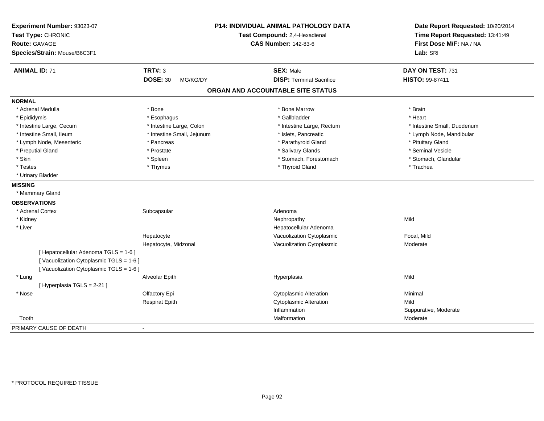| Experiment Number: 93023-07<br>Test Type: CHRONIC<br><b>Route: GAVAGE</b><br>Species/Strain: Mouse/B6C3F1 |                                        | <b>P14: INDIVIDUAL ANIMAL PATHOLOGY DATA</b><br>Test Compound: 2,4-Hexadienal<br><b>CAS Number: 142-83-6</b> | Date Report Requested: 10/20/2014<br>Time Report Requested: 13:41:49<br>First Dose M/F: NA / NA<br>Lab: SRI |
|-----------------------------------------------------------------------------------------------------------|----------------------------------------|--------------------------------------------------------------------------------------------------------------|-------------------------------------------------------------------------------------------------------------|
| <b>ANIMAL ID: 71</b>                                                                                      | <b>TRT#: 3</b>                         | <b>SEX: Male</b>                                                                                             | DAY ON TEST: 731                                                                                            |
|                                                                                                           | <b>DOSE: 30</b><br>MG/KG/DY            | <b>DISP: Terminal Sacrifice</b>                                                                              | HISTO: 99-87411                                                                                             |
|                                                                                                           |                                        | ORGAN AND ACCOUNTABLE SITE STATUS                                                                            |                                                                                                             |
| <b>NORMAL</b>                                                                                             |                                        |                                                                                                              |                                                                                                             |
| * Adrenal Medulla                                                                                         | * Bone                                 | * Bone Marrow                                                                                                | * Brain                                                                                                     |
| * Epididymis                                                                                              | * Esophagus                            | * Gallbladder                                                                                                | * Heart                                                                                                     |
| * Intestine Large, Cecum                                                                                  | * Intestine Large, Colon               | * Intestine Large, Rectum                                                                                    | * Intestine Small, Duodenum                                                                                 |
| * Intestine Small, Ileum                                                                                  | * Intestine Small, Jejunum             | * Islets, Pancreatic                                                                                         | * Lymph Node, Mandibular                                                                                    |
| * Lymph Node, Mesenteric                                                                                  | * Pancreas                             | * Parathyroid Gland                                                                                          | * Pituitary Gland                                                                                           |
| * Preputial Gland                                                                                         | * Prostate                             | * Salivary Glands                                                                                            | * Seminal Vesicle                                                                                           |
| * Skin                                                                                                    | * Spleen                               | * Stomach, Forestomach                                                                                       | * Stomach, Glandular                                                                                        |
| * Testes                                                                                                  | * Thymus                               | * Thyroid Gland                                                                                              | * Trachea                                                                                                   |
| * Urinary Bladder                                                                                         |                                        |                                                                                                              |                                                                                                             |
| <b>MISSING</b>                                                                                            |                                        |                                                                                                              |                                                                                                             |
| * Mammary Gland                                                                                           |                                        |                                                                                                              |                                                                                                             |
| <b>OBSERVATIONS</b>                                                                                       |                                        |                                                                                                              |                                                                                                             |
| * Adrenal Cortex                                                                                          | Subcapsular                            | Adenoma                                                                                                      |                                                                                                             |
| * Kidney                                                                                                  |                                        | Nephropathy                                                                                                  | Mild                                                                                                        |
| * Liver                                                                                                   |                                        | Hepatocellular Adenoma                                                                                       |                                                                                                             |
|                                                                                                           | Hepatocyte                             | Vacuolization Cytoplasmic                                                                                    | Focal, Mild                                                                                                 |
|                                                                                                           | Hepatocyte, Midzonal                   | Vacuolization Cytoplasmic                                                                                    | Moderate                                                                                                    |
|                                                                                                           | [ Hepatocellular Adenoma TGLS = 1-6 ]  |                                                                                                              |                                                                                                             |
|                                                                                                           | [Vacuolization Cytoplasmic TGLS = 1-6] |                                                                                                              |                                                                                                             |
|                                                                                                           | [Vacuolization Cytoplasmic TGLS = 1-6] |                                                                                                              |                                                                                                             |
| * Lung                                                                                                    | Alveolar Epith                         | Hyperplasia                                                                                                  | Mild                                                                                                        |
| [ Hyperplasia TGLS = 2-21 ]                                                                               |                                        |                                                                                                              |                                                                                                             |
| * Nose                                                                                                    | Olfactory Epi                          | <b>Cytoplasmic Alteration</b>                                                                                | Minimal                                                                                                     |
|                                                                                                           | <b>Respirat Epith</b>                  | <b>Cytoplasmic Alteration</b>                                                                                | Mild                                                                                                        |
|                                                                                                           |                                        | Inflammation                                                                                                 | Suppurative, Moderate                                                                                       |
| Tooth                                                                                                     |                                        | Malformation                                                                                                 | Moderate                                                                                                    |
| PRIMARY CAUSE OF DEATH                                                                                    |                                        |                                                                                                              |                                                                                                             |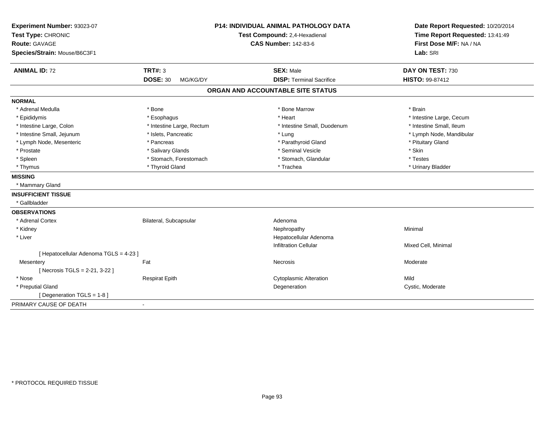| Experiment Number: 93023-07            |                               | <b>P14: INDIVIDUAL ANIMAL PATHOLOGY DATA</b> | Date Report Requested: 10/20/2014 |
|----------------------------------------|-------------------------------|----------------------------------------------|-----------------------------------|
| Test Type: CHRONIC                     | Test Compound: 2,4-Hexadienal |                                              | Time Report Requested: 13:41:49   |
| <b>Route: GAVAGE</b>                   |                               | <b>CAS Number: 142-83-6</b>                  | First Dose M/F: NA / NA           |
| Species/Strain: Mouse/B6C3F1           |                               |                                              | Lab: SRI                          |
| <b>ANIMAL ID: 72</b>                   | <b>TRT#: 3</b>                | <b>SEX: Male</b>                             | DAY ON TEST: 730                  |
|                                        | <b>DOSE: 30</b><br>MG/KG/DY   | <b>DISP: Terminal Sacrifice</b>              | HISTO: 99-87412                   |
|                                        |                               | ORGAN AND ACCOUNTABLE SITE STATUS            |                                   |
| <b>NORMAL</b>                          |                               |                                              |                                   |
| * Adrenal Medulla                      | * Bone                        | * Bone Marrow                                | * Brain                           |
| * Epididymis                           | * Esophagus                   | * Heart                                      | * Intestine Large, Cecum          |
| * Intestine Large, Colon               | * Intestine Large, Rectum     | * Intestine Small, Duodenum                  | * Intestine Small, Ileum          |
| * Intestine Small, Jejunum             | * Islets, Pancreatic          | * Lung                                       | * Lymph Node, Mandibular          |
| * Lymph Node, Mesenteric               | * Pancreas                    | * Parathyroid Gland                          | * Pituitary Gland                 |
| * Prostate                             | * Salivary Glands             | * Seminal Vesicle                            | * Skin                            |
| * Spleen                               | * Stomach, Forestomach        | * Stomach, Glandular                         | * Testes                          |
| * Thymus                               | * Thyroid Gland               | * Trachea                                    | * Urinary Bladder                 |
| <b>MISSING</b>                         |                               |                                              |                                   |
| * Mammary Gland                        |                               |                                              |                                   |
| <b>INSUFFICIENT TISSUE</b>             |                               |                                              |                                   |
| * Gallbladder                          |                               |                                              |                                   |
| <b>OBSERVATIONS</b>                    |                               |                                              |                                   |
| * Adrenal Cortex                       | Bilateral, Subcapsular        | Adenoma                                      |                                   |
| * Kidney                               |                               | Nephropathy                                  | Minimal                           |
| * Liver                                |                               | Hepatocellular Adenoma                       |                                   |
|                                        |                               | <b>Infiltration Cellular</b>                 | Mixed Cell, Minimal               |
| [ Hepatocellular Adenoma TGLS = 4-23 ] |                               |                                              |                                   |
| Mesentery                              | Fat                           | Necrosis                                     | Moderate                          |
| [ Necrosis TGLS = 2-21, 3-22 ]         |                               |                                              |                                   |
| * Nose                                 | <b>Respirat Epith</b>         | <b>Cytoplasmic Alteration</b>                | Mild                              |
| * Preputial Gland                      |                               | Degeneration                                 | Cystic, Moderate                  |
| [ Degeneration TGLS = 1-8 ]            |                               |                                              |                                   |
| PRIMARY CAUSE OF DEATH                 |                               |                                              |                                   |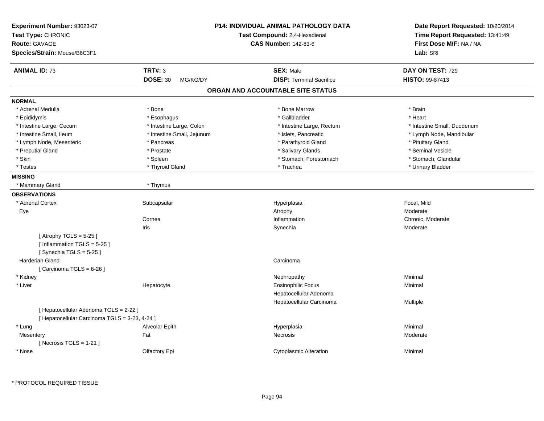| Experiment Number: 93023-07<br>Test Type: CHRONIC<br><b>Route: GAVAGE</b><br>Species/Strain: Mouse/B6C3F1 |                             | <b>P14: INDIVIDUAL ANIMAL PATHOLOGY DATA</b><br>Test Compound: 2,4-Hexadienal<br><b>CAS Number: 142-83-6</b> | Date Report Requested: 10/20/2014<br>Time Report Requested: 13:41:49<br>First Dose M/F: NA / NA<br>Lab: SRI |
|-----------------------------------------------------------------------------------------------------------|-----------------------------|--------------------------------------------------------------------------------------------------------------|-------------------------------------------------------------------------------------------------------------|
| <b>ANIMAL ID: 73</b>                                                                                      | <b>TRT#: 3</b>              | <b>SEX: Male</b>                                                                                             | DAY ON TEST: 729                                                                                            |
|                                                                                                           | <b>DOSE: 30</b><br>MG/KG/DY | <b>DISP: Terminal Sacrifice</b>                                                                              | <b>HISTO: 99-87413</b>                                                                                      |
|                                                                                                           |                             | ORGAN AND ACCOUNTABLE SITE STATUS                                                                            |                                                                                                             |
| <b>NORMAL</b>                                                                                             |                             |                                                                                                              |                                                                                                             |
| * Adrenal Medulla                                                                                         | * Bone                      | * Bone Marrow                                                                                                | * Brain                                                                                                     |
| * Epididymis                                                                                              | * Esophagus                 | * Gallbladder                                                                                                | * Heart                                                                                                     |
| * Intestine Large, Cecum                                                                                  | * Intestine Large, Colon    | * Intestine Large, Rectum                                                                                    | * Intestine Small, Duodenum                                                                                 |
| * Intestine Small, Ileum                                                                                  | * Intestine Small, Jejunum  | * Islets, Pancreatic                                                                                         | * Lymph Node, Mandibular                                                                                    |
| * Lymph Node, Mesenteric                                                                                  | * Pancreas                  | * Parathyroid Gland                                                                                          | * Pituitary Gland                                                                                           |
| * Preputial Gland                                                                                         | * Prostate                  | * Salivary Glands                                                                                            | * Seminal Vesicle                                                                                           |
| * Skin                                                                                                    | * Spleen                    | * Stomach, Forestomach                                                                                       | * Stomach, Glandular                                                                                        |
| * Testes                                                                                                  | * Thyroid Gland             | * Trachea                                                                                                    | * Urinary Bladder                                                                                           |
| <b>MISSING</b>                                                                                            |                             |                                                                                                              |                                                                                                             |
| * Mammary Gland                                                                                           | * Thymus                    |                                                                                                              |                                                                                                             |
| <b>OBSERVATIONS</b>                                                                                       |                             |                                                                                                              |                                                                                                             |
| * Adrenal Cortex                                                                                          | Subcapsular                 | Hyperplasia                                                                                                  | Focal, Mild                                                                                                 |
| Eye                                                                                                       |                             | Atrophy                                                                                                      | Moderate                                                                                                    |
|                                                                                                           | Cornea                      | Inflammation                                                                                                 | Chronic, Moderate                                                                                           |
|                                                                                                           | Iris                        | Synechia                                                                                                     | Moderate                                                                                                    |
| [Atrophy TGLS = $5-25$ ]<br>[Inflammation TGLS = $5-25$ ]<br>[Synechia TGLS = $5-25$ ]                    |                             |                                                                                                              |                                                                                                             |
| Harderian Gland                                                                                           |                             | Carcinoma                                                                                                    |                                                                                                             |
| [Carcinoma TGLS = $6-26$ ]                                                                                |                             |                                                                                                              |                                                                                                             |
| * Kidney                                                                                                  |                             | Nephropathy                                                                                                  | Minimal                                                                                                     |
| * Liver                                                                                                   | Hepatocyte                  | <b>Eosinophilic Focus</b>                                                                                    | Minimal                                                                                                     |
|                                                                                                           |                             | Hepatocellular Adenoma                                                                                       |                                                                                                             |
|                                                                                                           |                             | Hepatocellular Carcinoma                                                                                     | Multiple                                                                                                    |
| [ Hepatocellular Adenoma TGLS = 2-22 ]<br>[ Hepatocellular Carcinoma TGLS = 3-23, 4-24 ]                  |                             |                                                                                                              |                                                                                                             |
| * Lung                                                                                                    | Alveolar Epith              | Hyperplasia                                                                                                  | Minimal                                                                                                     |
| Mesentery<br>[Necrosis TGLS = $1-21$ ]                                                                    | Fat                         | Necrosis                                                                                                     | Moderate                                                                                                    |
| * Nose                                                                                                    | Olfactory Epi               | <b>Cytoplasmic Alteration</b>                                                                                | Minimal                                                                                                     |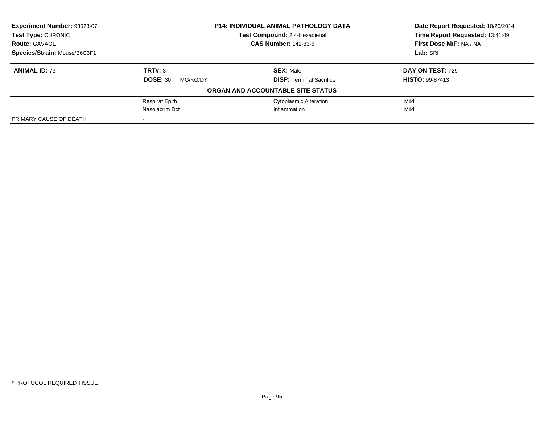| Experiment Number: 93023-07  |                             | <b>P14: INDIVIDUAL ANIMAL PATHOLOGY DATA</b> |                                 |
|------------------------------|-----------------------------|----------------------------------------------|---------------------------------|
| <b>Test Type: CHRONIC</b>    |                             | Test Compound: 2,4-Hexadienal                | Time Report Requested: 13:41:49 |
| <b>Route: GAVAGE</b>         |                             | <b>CAS Number: 142-83-6</b>                  | First Dose M/F: NA / NA         |
| Species/Strain: Mouse/B6C3F1 |                             |                                              | Lab: SRI                        |
| <b>ANIMAL ID: 73</b>         | TRT#: 3                     | <b>SEX: Male</b>                             | DAY ON TEST: 729                |
|                              | <b>DOSE: 30</b><br>MG/KG/DY | <b>DISP: Terminal Sacrifice</b>              | <b>HISTO: 99-87413</b>          |
|                              |                             | ORGAN AND ACCOUNTABLE SITE STATUS            |                                 |
|                              | <b>Respirat Epith</b>       | <b>Cytoplasmic Alteration</b>                | Mild                            |
|                              | Nasolacrim Dct              | Inflammation                                 | Mild                            |
| PRIMARY CAUSE OF DEATH       |                             |                                              |                                 |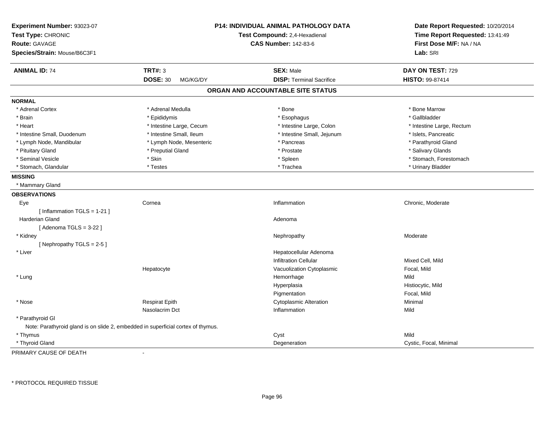| <b>Route: GAVAGE</b><br>Species/Strain: Mouse/B6C3F1                             |                                   | First Dose M/F: NA / NA<br>Lab: SRI |
|----------------------------------------------------------------------------------|-----------------------------------|-------------------------------------|
| <b>TRT#: 3</b><br><b>ANIMAL ID: 74</b>                                           | <b>SEX: Male</b>                  | DAY ON TEST: 729                    |
| <b>DOSE: 30</b><br>MG/KG/DY                                                      | <b>DISP: Terminal Sacrifice</b>   | HISTO: 99-87414                     |
|                                                                                  | ORGAN AND ACCOUNTABLE SITE STATUS |                                     |
| <b>NORMAL</b>                                                                    |                                   |                                     |
| * Adrenal Cortex<br>* Adrenal Medulla                                            | * Bone                            | * Bone Marrow                       |
| * Epididymis<br>* Brain                                                          | * Esophagus                       | * Gallbladder                       |
| * Heart<br>* Intestine Large, Cecum                                              | * Intestine Large, Colon          | * Intestine Large, Rectum           |
| * Intestine Small, Duodenum<br>* Intestine Small, Ileum                          | * Intestine Small, Jejunum        | * Islets, Pancreatic                |
| * Lymph Node, Mandibular<br>* Lymph Node, Mesenteric                             | * Pancreas                        | * Parathyroid Gland                 |
| * Pituitary Gland<br>* Preputial Gland                                           | * Prostate                        | * Salivary Glands                   |
| * Seminal Vesicle<br>* Skin                                                      | * Spleen                          | * Stomach, Forestomach              |
| * Stomach, Glandular<br>* Testes                                                 | * Trachea                         | * Urinary Bladder                   |
| <b>MISSING</b>                                                                   |                                   |                                     |
| * Mammary Gland                                                                  |                                   |                                     |
| <b>OBSERVATIONS</b>                                                              |                                   |                                     |
| Cornea<br>Eye                                                                    | Inflammation                      | Chronic, Moderate                   |
| [Inflammation TGLS = $1-21$ ]                                                    |                                   |                                     |
| <b>Harderian Gland</b>                                                           | Adenoma                           |                                     |
| [Adenoma $TGLS = 3-22$ ]                                                         |                                   |                                     |
| * Kidney                                                                         | Nephropathy                       | Moderate                            |
| [Nephropathy TGLS = 2-5]                                                         |                                   |                                     |
| * Liver                                                                          | Hepatocellular Adenoma            |                                     |
|                                                                                  | <b>Infiltration Cellular</b>      | Mixed Cell, Mild                    |
| Hepatocyte                                                                       | Vacuolization Cytoplasmic         | Focal, Mild                         |
| * Lung                                                                           | Hemorrhage                        | Mild                                |
|                                                                                  | Hyperplasia                       | Histiocytic, Mild                   |
|                                                                                  | Pigmentation                      | Focal, Mild                         |
| <b>Respirat Epith</b><br>* Nose                                                  | <b>Cytoplasmic Alteration</b>     | Minimal                             |
| Nasolacrim Dct                                                                   | Inflammation                      | Mild                                |
| * Parathyroid GI                                                                 |                                   |                                     |
| Note: Parathyroid gland is on slide 2, embedded in superficial cortex of thymus. |                                   |                                     |
| * Thymus                                                                         | Cyst                              | Mild                                |
| * Thyroid Gland                                                                  | Degeneration                      | Cystic, Focal, Minimal              |

PRIMARY CAUSE OF DEATH-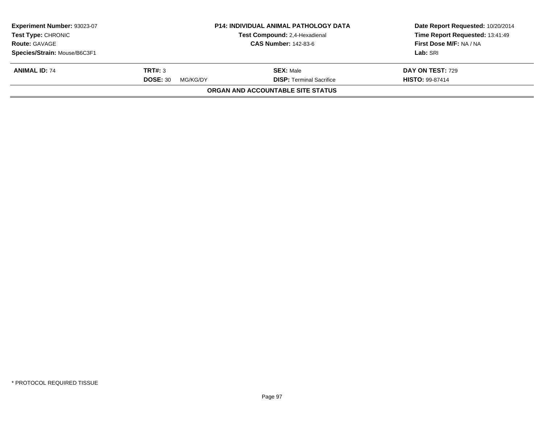| Experiment Number: 93023-07<br><b>Test Type: CHRONIC</b><br><b>Route: GAVAGE</b> |                             | <b>P14: INDIVIDUAL ANIMAL PATHOLOGY DATA</b><br>Test Compound: 2,4-Hexadienal<br><b>CAS Number: 142-83-6</b> | Date Report Requested: 10/20/2014<br>Time Report Requested: 13:41:49<br>First Dose M/F: NA / NA |  |
|----------------------------------------------------------------------------------|-----------------------------|--------------------------------------------------------------------------------------------------------------|-------------------------------------------------------------------------------------------------|--|
|                                                                                  |                             |                                                                                                              |                                                                                                 |  |
| Species/Strain: Mouse/B6C3F1                                                     |                             |                                                                                                              | Lab: SRI                                                                                        |  |
| <b>ANIMAL ID: 74</b>                                                             | TRT#: 3                     | <b>SEX: Male</b>                                                                                             | <b>DAY ON TEST: 729</b>                                                                         |  |
|                                                                                  | <b>DOSE: 30</b><br>MG/KG/DY | <b>DISP: Terminal Sacrifice</b>                                                                              | <b>HISTO: 99-87414</b>                                                                          |  |
|                                                                                  |                             | <b>ORGAN AND ACCOUNTABLE SITE STATUS</b>                                                                     |                                                                                                 |  |
|                                                                                  |                             |                                                                                                              |                                                                                                 |  |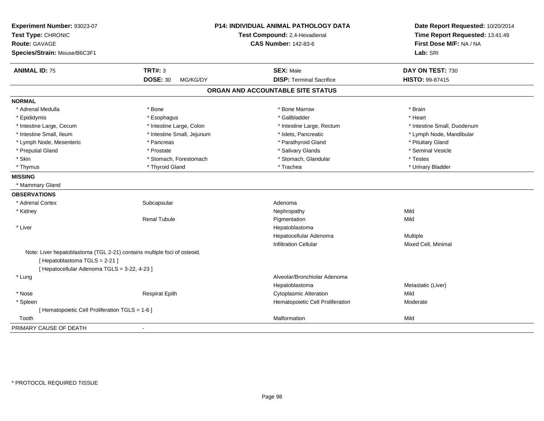| Experiment Number: 93023-07<br>Test Type: CHRONIC                        |                             | P14: INDIVIDUAL ANIMAL PATHOLOGY DATA<br>Test Compound: 2,4-Hexadienal | Date Report Requested: 10/20/2014<br>Time Report Requested: 13:41:49<br>First Dose M/F: NA / NA |  |
|--------------------------------------------------------------------------|-----------------------------|------------------------------------------------------------------------|-------------------------------------------------------------------------------------------------|--|
| <b>Route: GAVAGE</b>                                                     |                             | <b>CAS Number: 142-83-6</b>                                            |                                                                                                 |  |
| Species/Strain: Mouse/B6C3F1                                             |                             |                                                                        | Lab: SRI                                                                                        |  |
| <b>ANIMAL ID: 75</b>                                                     | <b>TRT#: 3</b>              | <b>SEX: Male</b>                                                       | DAY ON TEST: 730                                                                                |  |
|                                                                          | <b>DOSE: 30</b><br>MG/KG/DY | <b>DISP: Terminal Sacrifice</b>                                        | <b>HISTO: 99-87415</b>                                                                          |  |
|                                                                          |                             | ORGAN AND ACCOUNTABLE SITE STATUS                                      |                                                                                                 |  |
| <b>NORMAL</b>                                                            |                             |                                                                        |                                                                                                 |  |
| * Adrenal Medulla                                                        | * Bone                      | * Bone Marrow                                                          | * Brain                                                                                         |  |
| * Epididymis                                                             | * Esophagus                 | * Gallbladder                                                          | * Heart                                                                                         |  |
| * Intestine Large, Cecum                                                 | * Intestine Large, Colon    | * Intestine Large, Rectum                                              | * Intestine Small, Duodenum                                                                     |  |
| * Intestine Small, Ileum                                                 | * Intestine Small, Jejunum  | * Islets, Pancreatic                                                   | * Lymph Node, Mandibular                                                                        |  |
| * Lymph Node, Mesenteric                                                 | * Pancreas                  | * Parathyroid Gland                                                    | * Pituitary Gland                                                                               |  |
| * Preputial Gland                                                        | * Prostate                  | * Salivary Glands                                                      | * Seminal Vesicle                                                                               |  |
| * Skin                                                                   | * Stomach, Forestomach      | * Stomach, Glandular                                                   | * Testes                                                                                        |  |
| * Thymus                                                                 | * Thyroid Gland             | * Trachea                                                              | * Urinary Bladder                                                                               |  |
| <b>MISSING</b>                                                           |                             |                                                                        |                                                                                                 |  |
| * Mammary Gland                                                          |                             |                                                                        |                                                                                                 |  |
| <b>OBSERVATIONS</b>                                                      |                             |                                                                        |                                                                                                 |  |
| * Adrenal Cortex                                                         | Subcapsular                 | Adenoma                                                                |                                                                                                 |  |
| * Kidney                                                                 |                             | Nephropathy                                                            | Mild                                                                                            |  |
|                                                                          | <b>Renal Tubule</b>         | Pigmentation                                                           | Mild                                                                                            |  |
| * Liver                                                                  |                             | Hepatoblastoma                                                         |                                                                                                 |  |
|                                                                          |                             | Hepatocellular Adenoma                                                 | Multiple                                                                                        |  |
|                                                                          |                             | <b>Infiltration Cellular</b>                                           | Mixed Cell, Minimal                                                                             |  |
| Note: Liver hepatoblastoma (TGL 2-21) contains multiple foci of osteoid. |                             |                                                                        |                                                                                                 |  |
| [Hepatoblastoma TGLS = 2-21]                                             |                             |                                                                        |                                                                                                 |  |
| [ Hepatocellular Adenoma TGLS = 3-22, 4-23 ]                             |                             |                                                                        |                                                                                                 |  |
| * Lung                                                                   |                             | Alveolar/Bronchiolar Adenoma                                           |                                                                                                 |  |
|                                                                          |                             | Hepatoblastoma                                                         | Metastatic (Liver)                                                                              |  |
| * Nose                                                                   | <b>Respirat Epith</b>       | <b>Cytoplasmic Alteration</b>                                          | Mild                                                                                            |  |
| * Spleen                                                                 |                             | Hematopoietic Cell Proliferation                                       | Moderate                                                                                        |  |
| [ Hematopoietic Cell Proliferation TGLS = 1-6 ]                          |                             |                                                                        |                                                                                                 |  |
| Tooth                                                                    |                             | Malformation                                                           | Mild                                                                                            |  |
| PRIMARY CAUSE OF DEATH                                                   | ٠                           |                                                                        |                                                                                                 |  |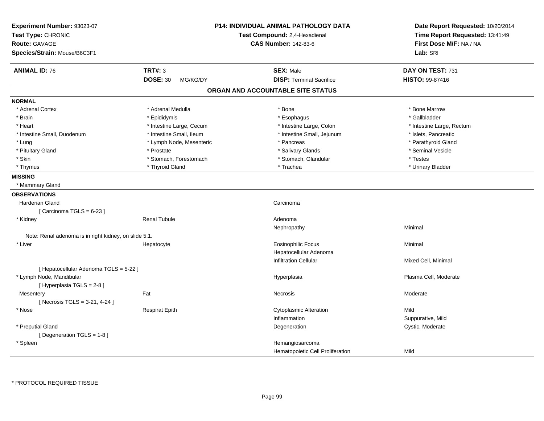| Experiment Number: 93023-07<br>Test Type: CHRONIC<br><b>Route: GAVAGE</b><br>Species/Strain: Mouse/B6C3F1 |                             | <b>P14: INDIVIDUAL ANIMAL PATHOLOGY DATA</b><br>Test Compound: 2,4-Hexadienal<br><b>CAS Number: 142-83-6</b> | Date Report Requested: 10/20/2014<br>Time Report Requested: 13:41:49<br>First Dose M/F: NA / NA<br>Lab: SRI |
|-----------------------------------------------------------------------------------------------------------|-----------------------------|--------------------------------------------------------------------------------------------------------------|-------------------------------------------------------------------------------------------------------------|
| <b>ANIMAL ID: 76</b>                                                                                      | <b>TRT#: 3</b>              | <b>SEX: Male</b>                                                                                             | DAY ON TEST: 731                                                                                            |
|                                                                                                           | <b>DOSE: 30</b><br>MG/KG/DY | <b>DISP: Terminal Sacrifice</b>                                                                              | <b>HISTO: 99-87416</b>                                                                                      |
|                                                                                                           |                             | ORGAN AND ACCOUNTABLE SITE STATUS                                                                            |                                                                                                             |
| <b>NORMAL</b>                                                                                             |                             |                                                                                                              |                                                                                                             |
| * Adrenal Cortex                                                                                          | * Adrenal Medulla           | * Bone                                                                                                       | * Bone Marrow                                                                                               |
| * Brain                                                                                                   | * Epididymis                | * Esophagus                                                                                                  | * Gallbladder                                                                                               |
| * Heart                                                                                                   | * Intestine Large, Cecum    | * Intestine Large, Colon                                                                                     | * Intestine Large, Rectum                                                                                   |
| * Intestine Small, Duodenum                                                                               | * Intestine Small, Ileum    | * Intestine Small, Jejunum                                                                                   | * Islets, Pancreatic                                                                                        |
| * Lung                                                                                                    | * Lymph Node, Mesenteric    | * Pancreas                                                                                                   | * Parathyroid Gland                                                                                         |
| * Pituitary Gland                                                                                         | * Prostate                  | * Salivary Glands                                                                                            | * Seminal Vesicle                                                                                           |
| * Skin                                                                                                    | * Stomach, Forestomach      | * Stomach, Glandular                                                                                         | * Testes                                                                                                    |
| * Thymus                                                                                                  | * Thyroid Gland             | * Trachea                                                                                                    | * Urinary Bladder                                                                                           |
| <b>MISSING</b>                                                                                            |                             |                                                                                                              |                                                                                                             |
| * Mammary Gland                                                                                           |                             |                                                                                                              |                                                                                                             |
| <b>OBSERVATIONS</b>                                                                                       |                             |                                                                                                              |                                                                                                             |
| <b>Harderian Gland</b>                                                                                    |                             | Carcinoma                                                                                                    |                                                                                                             |
| [Carcinoma TGLS = $6-23$ ]                                                                                |                             |                                                                                                              |                                                                                                             |
| * Kidney                                                                                                  | <b>Renal Tubule</b>         | Adenoma                                                                                                      |                                                                                                             |
|                                                                                                           |                             | Nephropathy                                                                                                  | Minimal                                                                                                     |
| Note: Renal adenoma is in right kidney, on slide 5.1.                                                     |                             |                                                                                                              |                                                                                                             |
| * Liver                                                                                                   | Hepatocyte                  | <b>Eosinophilic Focus</b>                                                                                    | Minimal                                                                                                     |
|                                                                                                           |                             | Hepatocellular Adenoma                                                                                       |                                                                                                             |
|                                                                                                           |                             | <b>Infiltration Cellular</b>                                                                                 | Mixed Cell, Minimal                                                                                         |
| [ Hepatocellular Adenoma TGLS = 5-22 ]                                                                    |                             |                                                                                                              |                                                                                                             |
| * Lymph Node, Mandibular<br>[Hyperplasia TGLS = 2-8]                                                      |                             | Hyperplasia                                                                                                  | Plasma Cell, Moderate                                                                                       |
| Mesentery                                                                                                 | Fat                         | Necrosis                                                                                                     | Moderate                                                                                                    |
| [Necrosis TGLS = $3-21, 4-24$ ]                                                                           |                             |                                                                                                              |                                                                                                             |
| * Nose                                                                                                    | <b>Respirat Epith</b>       | <b>Cytoplasmic Alteration</b>                                                                                | Mild                                                                                                        |
|                                                                                                           |                             | Inflammation                                                                                                 | Suppurative, Mild                                                                                           |
| * Preputial Gland                                                                                         |                             | Degeneration                                                                                                 | Cystic, Moderate                                                                                            |
| [ Degeneration TGLS = $1-8$ ]                                                                             |                             |                                                                                                              |                                                                                                             |
| * Spleen                                                                                                  |                             | Hemangiosarcoma                                                                                              |                                                                                                             |
|                                                                                                           |                             | Hematopoietic Cell Proliferation                                                                             | Mild                                                                                                        |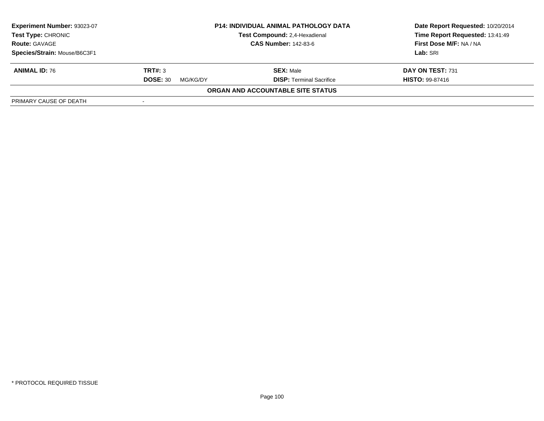| <b>Experiment Number: 93023-07</b><br>Test Type: CHRONIC<br><b>Route: GAVAGE</b> | <b>P14: INDIVIDUAL ANIMAL PATHOLOGY DATA</b><br>Test Compound: 2,4-Hexadienal<br><b>CAS Number: 142-83-6</b> |                                   | Date Report Requested: 10/20/2014<br>Time Report Requested: 13:41:49<br>First Dose M/F: NA / NA |
|----------------------------------------------------------------------------------|--------------------------------------------------------------------------------------------------------------|-----------------------------------|-------------------------------------------------------------------------------------------------|
| Species/Strain: Mouse/B6C3F1                                                     |                                                                                                              |                                   | Lab: SRI                                                                                        |
| <b>ANIMAL ID: 76</b>                                                             | TRT#: 3                                                                                                      | <b>SEX: Male</b>                  | DAY ON TEST: 731                                                                                |
|                                                                                  | <b>DOSE: 30</b><br>MG/KG/DY                                                                                  | <b>DISP:</b> Terminal Sacrifice   | <b>HISTO: 99-87416</b>                                                                          |
|                                                                                  |                                                                                                              | ORGAN AND ACCOUNTABLE SITE STATUS |                                                                                                 |
| PRIMARY CAUSE OF DEATH                                                           |                                                                                                              |                                   |                                                                                                 |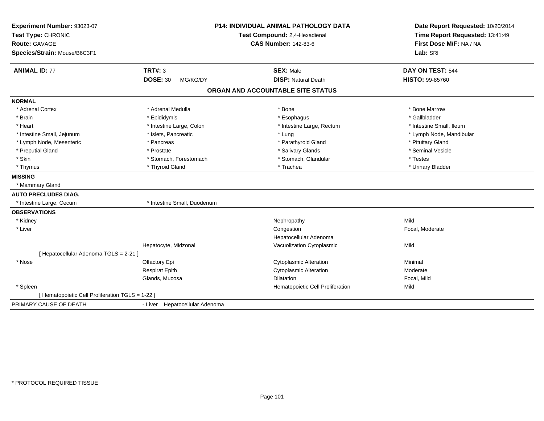| Experiment Number: 93023-07<br>Test Type: CHRONIC | <b>P14: INDIVIDUAL ANIMAL PATHOLOGY DATA</b><br>Test Compound: 2,4-Hexadienal |                                   | Date Report Requested: 10/20/2014<br>Time Report Requested: 13:41:49 |
|---------------------------------------------------|-------------------------------------------------------------------------------|-----------------------------------|----------------------------------------------------------------------|
| Route: GAVAGE<br>Species/Strain: Mouse/B6C3F1     |                                                                               | <b>CAS Number: 142-83-6</b>       | First Dose M/F: NA / NA<br>Lab: SRI                                  |
| <b>ANIMAL ID: 77</b>                              | <b>TRT#: 3</b>                                                                | <b>SEX: Male</b>                  | DAY ON TEST: 544                                                     |
|                                                   | <b>DOSE: 30</b><br>MG/KG/DY                                                   | <b>DISP: Natural Death</b>        | HISTO: 99-85760                                                      |
|                                                   |                                                                               | ORGAN AND ACCOUNTABLE SITE STATUS |                                                                      |
| <b>NORMAL</b>                                     |                                                                               |                                   |                                                                      |
| * Adrenal Cortex                                  | * Adrenal Medulla                                                             | * Bone                            | * Bone Marrow                                                        |
| * Brain                                           | * Epididymis                                                                  | * Esophagus                       | * Gallbladder                                                        |
| * Heart                                           | * Intestine Large, Colon                                                      | * Intestine Large, Rectum         | * Intestine Small, Ileum                                             |
| * Intestine Small, Jejunum                        | * Islets, Pancreatic                                                          | * Lung                            | * Lymph Node, Mandibular                                             |
| * Lymph Node, Mesenteric                          | * Pancreas                                                                    | * Parathyroid Gland               | * Pituitary Gland                                                    |
| * Preputial Gland                                 | * Prostate                                                                    | * Salivary Glands                 | * Seminal Vesicle                                                    |
| * Skin                                            | * Stomach, Forestomach                                                        | * Stomach, Glandular              | * Testes                                                             |
| * Thymus                                          | * Thyroid Gland                                                               | * Trachea                         | * Urinary Bladder                                                    |
| <b>MISSING</b>                                    |                                                                               |                                   |                                                                      |
| * Mammary Gland                                   |                                                                               |                                   |                                                                      |
| <b>AUTO PRECLUDES DIAG.</b>                       |                                                                               |                                   |                                                                      |
| * Intestine Large, Cecum                          | * Intestine Small, Duodenum                                                   |                                   |                                                                      |
| <b>OBSERVATIONS</b>                               |                                                                               |                                   |                                                                      |
| * Kidney                                          |                                                                               | Nephropathy                       | Mild                                                                 |
| * Liver                                           |                                                                               | Congestion                        | Focal, Moderate                                                      |
|                                                   |                                                                               | Hepatocellular Adenoma            |                                                                      |
|                                                   | Hepatocyte, Midzonal                                                          | Vacuolization Cytoplasmic         | Mild                                                                 |
| [ Hepatocellular Adenoma TGLS = 2-21 ]            |                                                                               |                                   |                                                                      |
| * Nose                                            | Olfactory Epi                                                                 | <b>Cytoplasmic Alteration</b>     | Minimal                                                              |
|                                                   | Respirat Epith                                                                | <b>Cytoplasmic Alteration</b>     | Moderate                                                             |
|                                                   | Glands, Mucosa                                                                | Dilatation                        | Focal, Mild                                                          |
| * Spleen                                          |                                                                               | Hematopoietic Cell Proliferation  | Mild                                                                 |
| [ Hematopoietic Cell Proliferation TGLS = 1-22 ]  |                                                                               |                                   |                                                                      |
| PRIMARY CAUSE OF DEATH                            | - Liver Hepatocellular Adenoma                                                |                                   |                                                                      |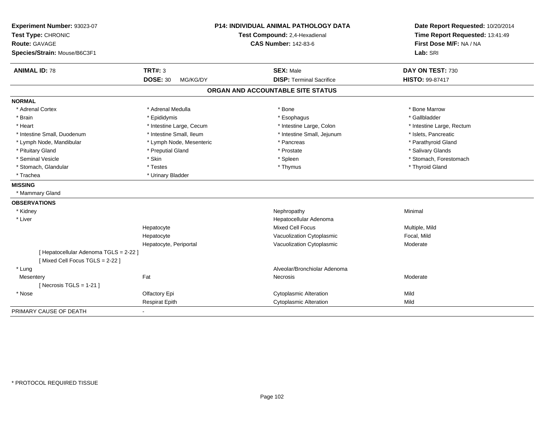| Experiment Number: 93023-07<br>Test Type: CHRONIC<br><b>Route: GAVAGE</b><br>Species/Strain: Mouse/B6C3F1 | <b>P14: INDIVIDUAL ANIMAL PATHOLOGY DATA</b><br>Test Compound: 2,4-Hexadienal<br><b>CAS Number: 142-83-6</b> |                                                     | Date Report Requested: 10/20/2014<br>Time Report Requested: 13:41:49<br>First Dose M/F: NA / NA<br>Lab: SRI |  |
|-----------------------------------------------------------------------------------------------------------|--------------------------------------------------------------------------------------------------------------|-----------------------------------------------------|-------------------------------------------------------------------------------------------------------------|--|
|                                                                                                           |                                                                                                              |                                                     |                                                                                                             |  |
| <b>ANIMAL ID: 78</b>                                                                                      | <b>TRT#: 3</b><br><b>DOSE: 30</b><br>MG/KG/DY                                                                | <b>SEX: Male</b><br><b>DISP: Terminal Sacrifice</b> | DAY ON TEST: 730<br><b>HISTO: 99-87417</b>                                                                  |  |
|                                                                                                           |                                                                                                              | ORGAN AND ACCOUNTABLE SITE STATUS                   |                                                                                                             |  |
|                                                                                                           |                                                                                                              |                                                     |                                                                                                             |  |
| <b>NORMAL</b>                                                                                             |                                                                                                              |                                                     |                                                                                                             |  |
| * Adrenal Cortex                                                                                          | * Adrenal Medulla                                                                                            | * Bone                                              | * Bone Marrow                                                                                               |  |
| * Brain                                                                                                   | * Epididymis                                                                                                 | * Esophagus                                         | * Gallbladder                                                                                               |  |
| * Heart                                                                                                   | * Intestine Large, Cecum                                                                                     | * Intestine Large, Colon                            | * Intestine Large, Rectum                                                                                   |  |
| * Intestine Small, Duodenum                                                                               | * Intestine Small, Ileum                                                                                     | * Intestine Small, Jejunum                          | * Islets, Pancreatic                                                                                        |  |
| * Lymph Node, Mandibular                                                                                  | * Lymph Node, Mesenteric                                                                                     | * Pancreas                                          | * Parathyroid Gland                                                                                         |  |
| * Pituitary Gland                                                                                         | * Preputial Gland                                                                                            | * Prostate                                          | * Salivary Glands                                                                                           |  |
| * Seminal Vesicle                                                                                         | * Skin                                                                                                       | * Spleen                                            | * Stomach, Forestomach                                                                                      |  |
| * Stomach, Glandular                                                                                      | * Testes                                                                                                     | * Thymus                                            | * Thyroid Gland                                                                                             |  |
| * Trachea                                                                                                 | * Urinary Bladder                                                                                            |                                                     |                                                                                                             |  |
| <b>MISSING</b>                                                                                            |                                                                                                              |                                                     |                                                                                                             |  |
| * Mammary Gland                                                                                           |                                                                                                              |                                                     |                                                                                                             |  |
| <b>OBSERVATIONS</b>                                                                                       |                                                                                                              |                                                     |                                                                                                             |  |
| * Kidney                                                                                                  |                                                                                                              | Nephropathy                                         | Minimal                                                                                                     |  |
| * Liver                                                                                                   |                                                                                                              | Hepatocellular Adenoma                              |                                                                                                             |  |
|                                                                                                           | Hepatocyte                                                                                                   | <b>Mixed Cell Focus</b>                             | Multiple, Mild                                                                                              |  |
|                                                                                                           | Hepatocyte                                                                                                   | Vacuolization Cytoplasmic                           | Focal, Mild                                                                                                 |  |
|                                                                                                           | Hepatocyte, Periportal                                                                                       | Vacuolization Cytoplasmic                           | Moderate                                                                                                    |  |
| [ Hepatocellular Adenoma TGLS = 2-22 ]                                                                    |                                                                                                              |                                                     |                                                                                                             |  |
| [Mixed Cell Focus TGLS = 2-22]                                                                            |                                                                                                              |                                                     |                                                                                                             |  |
| * Lung                                                                                                    |                                                                                                              | Alveolar/Bronchiolar Adenoma                        |                                                                                                             |  |
| Mesentery                                                                                                 | Fat                                                                                                          | Necrosis                                            | Moderate                                                                                                    |  |
| [Necrosis TGLS = $1-21$ ]                                                                                 |                                                                                                              |                                                     |                                                                                                             |  |
| * Nose                                                                                                    | Olfactory Epi                                                                                                | <b>Cytoplasmic Alteration</b>                       | Mild                                                                                                        |  |
|                                                                                                           | <b>Respirat Epith</b>                                                                                        | <b>Cytoplasmic Alteration</b>                       | Mild                                                                                                        |  |
| PRIMARY CAUSE OF DEATH                                                                                    |                                                                                                              |                                                     |                                                                                                             |  |
|                                                                                                           |                                                                                                              |                                                     |                                                                                                             |  |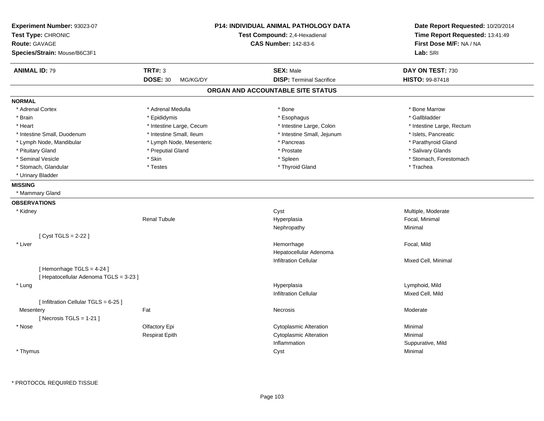| Experiment Number: 93023-07<br>Test Type: CHRONIC<br><b>Route: GAVAGE</b><br>Species/Strain: Mouse/B6C3F1 | <b>P14: INDIVIDUAL ANIMAL PATHOLOGY DATA</b><br>Test Compound: 2,4-Hexadienal<br><b>CAS Number: 142-83-6</b> |                                   | Date Report Requested: 10/20/2014<br>Time Report Requested: 13:41:49<br>First Dose M/F: NA / NA<br>Lab: SRI |
|-----------------------------------------------------------------------------------------------------------|--------------------------------------------------------------------------------------------------------------|-----------------------------------|-------------------------------------------------------------------------------------------------------------|
| <b>ANIMAL ID: 79</b>                                                                                      | <b>TRT#: 3</b>                                                                                               | <b>SEX: Male</b>                  | DAY ON TEST: 730                                                                                            |
|                                                                                                           | <b>DOSE: 30</b><br>MG/KG/DY                                                                                  | <b>DISP: Terminal Sacrifice</b>   | <b>HISTO: 99-87418</b>                                                                                      |
|                                                                                                           |                                                                                                              | ORGAN AND ACCOUNTABLE SITE STATUS |                                                                                                             |
| <b>NORMAL</b>                                                                                             |                                                                                                              |                                   |                                                                                                             |
| * Adrenal Cortex                                                                                          | * Adrenal Medulla                                                                                            | * Bone                            | * Bone Marrow                                                                                               |
| * Brain                                                                                                   | * Epididymis                                                                                                 | * Esophagus                       | * Gallbladder                                                                                               |
| * Heart                                                                                                   | * Intestine Large, Cecum                                                                                     | * Intestine Large, Colon          | * Intestine Large, Rectum                                                                                   |
| * Intestine Small, Duodenum                                                                               | * Intestine Small, Ileum                                                                                     | * Intestine Small, Jejunum        | * Islets, Pancreatic                                                                                        |
| * Lymph Node, Mandibular                                                                                  | * Lymph Node, Mesenteric                                                                                     | * Pancreas                        | * Parathyroid Gland                                                                                         |
| * Pituitary Gland                                                                                         | * Preputial Gland                                                                                            | * Prostate                        | * Salivary Glands                                                                                           |
| * Seminal Vesicle                                                                                         | * Skin                                                                                                       | * Spleen                          | * Stomach, Forestomach                                                                                      |
| * Stomach, Glandular                                                                                      | * Testes                                                                                                     | * Thyroid Gland                   | * Trachea                                                                                                   |
| * Urinary Bladder                                                                                         |                                                                                                              |                                   |                                                                                                             |
| <b>MISSING</b>                                                                                            |                                                                                                              |                                   |                                                                                                             |
| * Mammary Gland                                                                                           |                                                                                                              |                                   |                                                                                                             |
| <b>OBSERVATIONS</b>                                                                                       |                                                                                                              |                                   |                                                                                                             |
| * Kidney                                                                                                  |                                                                                                              | Cyst                              | Multiple, Moderate                                                                                          |
|                                                                                                           | <b>Renal Tubule</b>                                                                                          | Hyperplasia                       | Focal, Minimal                                                                                              |
|                                                                                                           |                                                                                                              | Nephropathy                       | Minimal                                                                                                     |
| [ Cyst TGLS = 2-22 ]                                                                                      |                                                                                                              |                                   |                                                                                                             |
| * Liver                                                                                                   |                                                                                                              | Hemorrhage                        | Focal, Mild                                                                                                 |
|                                                                                                           |                                                                                                              | Hepatocellular Adenoma            |                                                                                                             |
|                                                                                                           |                                                                                                              | <b>Infiltration Cellular</b>      | Mixed Cell, Minimal                                                                                         |
| [Hemorrhage TGLS = 4-24]                                                                                  |                                                                                                              |                                   |                                                                                                             |
| [ Hepatocellular Adenoma TGLS = 3-23 ]                                                                    |                                                                                                              |                                   |                                                                                                             |
| * Lung                                                                                                    |                                                                                                              | Hyperplasia                       | Lymphoid, Mild                                                                                              |
|                                                                                                           |                                                                                                              | <b>Infiltration Cellular</b>      | Mixed Cell, Mild                                                                                            |
| [ Infiltration Cellular TGLS = 6-25 ]                                                                     |                                                                                                              |                                   |                                                                                                             |
| Mesentery                                                                                                 | Fat                                                                                                          | Necrosis                          | Moderate                                                                                                    |
| [Necrosis TGLS = $1-21$ ]                                                                                 |                                                                                                              |                                   |                                                                                                             |
| * Nose                                                                                                    | Olfactory Epi                                                                                                | <b>Cytoplasmic Alteration</b>     | Minimal                                                                                                     |
|                                                                                                           | <b>Respirat Epith</b>                                                                                        | <b>Cytoplasmic Alteration</b>     | Minimal                                                                                                     |
|                                                                                                           |                                                                                                              | Inflammation                      | Suppurative, Mild                                                                                           |
| * Thymus                                                                                                  |                                                                                                              | Cyst                              | Minimal                                                                                                     |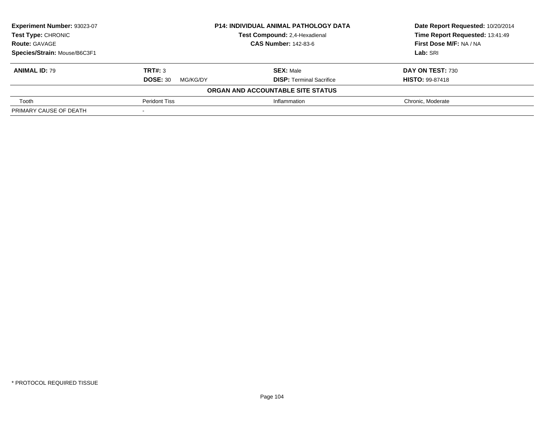| Experiment Number: 93023-07  | <b>P14: INDIVIDUAL ANIMAL PATHOLOGY DATA</b><br>Test Compound: 2,4-Hexadienal |                                   | Date Report Requested: 10/20/2014 |
|------------------------------|-------------------------------------------------------------------------------|-----------------------------------|-----------------------------------|
| Test Type: CHRONIC           |                                                                               |                                   | Time Report Requested: 13:41:49   |
| <b>Route: GAVAGE</b>         | <b>CAS Number: 142-83-6</b>                                                   |                                   | First Dose M/F: NA / NA           |
| Species/Strain: Mouse/B6C3F1 |                                                                               |                                   | Lab: SRI                          |
| <b>ANIMAL ID: 79</b>         | TRT#: 3                                                                       | <b>SEX: Male</b>                  | DAY ON TEST: 730                  |
|                              | <b>DOSE: 30</b><br>MG/KG/DY                                                   | <b>DISP: Terminal Sacrifice</b>   | <b>HISTO: 99-87418</b>            |
|                              |                                                                               | ORGAN AND ACCOUNTABLE SITE STATUS |                                   |
| Tooth                        | <b>Peridont Tiss</b>                                                          | Inflammation                      | Chronic, Moderate                 |
| PRIMARY CAUSE OF DEATH       |                                                                               |                                   |                                   |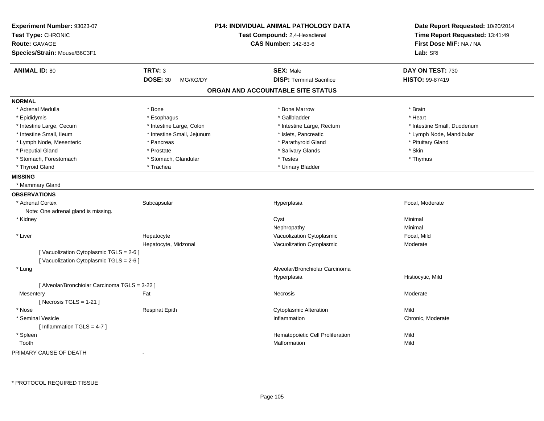| Experiment Number: 93023-07<br>Test Type: CHRONIC<br>Route: GAVAGE |                             | P14: INDIVIDUAL ANIMAL PATHOLOGY DATA<br>Test Compound: 2,4-Hexadienal<br><b>CAS Number: 142-83-6</b> | Date Report Requested: 10/20/2014<br>Time Report Requested: 13:41:49<br>First Dose M/F: NA / NA |
|--------------------------------------------------------------------|-----------------------------|-------------------------------------------------------------------------------------------------------|-------------------------------------------------------------------------------------------------|
| Species/Strain: Mouse/B6C3F1                                       |                             |                                                                                                       | Lab: SRI                                                                                        |
| <b>ANIMAL ID: 80</b>                                               | <b>TRT#: 3</b>              | <b>SEX: Male</b>                                                                                      | DAY ON TEST: 730                                                                                |
|                                                                    | <b>DOSE: 30</b><br>MG/KG/DY | <b>DISP: Terminal Sacrifice</b>                                                                       | HISTO: 99-87419                                                                                 |
|                                                                    |                             | ORGAN AND ACCOUNTABLE SITE STATUS                                                                     |                                                                                                 |
| <b>NORMAL</b>                                                      |                             |                                                                                                       |                                                                                                 |
| * Adrenal Medulla                                                  | * Bone                      | * Bone Marrow                                                                                         | * Brain                                                                                         |
| * Epididymis                                                       | * Esophagus                 | * Gallbladder                                                                                         | * Heart                                                                                         |
| * Intestine Large, Cecum                                           | * Intestine Large, Colon    | * Intestine Large, Rectum                                                                             | * Intestine Small, Duodenum                                                                     |
| * Intestine Small, Ileum                                           | * Intestine Small, Jejunum  | * Islets, Pancreatic                                                                                  | * Lymph Node, Mandibular                                                                        |
| * Lymph Node, Mesenteric                                           | * Pancreas                  | * Parathyroid Gland                                                                                   | * Pituitary Gland                                                                               |
| * Preputial Gland                                                  | * Prostate                  | * Salivary Glands                                                                                     | * Skin                                                                                          |
| * Stomach, Forestomach                                             | * Stomach, Glandular        | * Testes                                                                                              | * Thymus                                                                                        |
| * Thyroid Gland                                                    | * Trachea                   | * Urinary Bladder                                                                                     |                                                                                                 |
| <b>MISSING</b>                                                     |                             |                                                                                                       |                                                                                                 |
| * Mammary Gland                                                    |                             |                                                                                                       |                                                                                                 |
| <b>OBSERVATIONS</b>                                                |                             |                                                                                                       |                                                                                                 |
| * Adrenal Cortex                                                   | Subcapsular                 | Hyperplasia                                                                                           | Focal, Moderate                                                                                 |
| Note: One adrenal gland is missing.                                |                             |                                                                                                       |                                                                                                 |
| * Kidney                                                           |                             | Cyst                                                                                                  | Minimal                                                                                         |
|                                                                    |                             | Nephropathy                                                                                           | Minimal                                                                                         |
| * Liver                                                            | Hepatocyte                  | Vacuolization Cytoplasmic                                                                             | Focal, Mild                                                                                     |
|                                                                    | Hepatocyte, Midzonal        | Vacuolization Cytoplasmic                                                                             | Moderate                                                                                        |
| [Vacuolization Cytoplasmic TGLS = 2-6]                             |                             |                                                                                                       |                                                                                                 |
| [Vacuolization Cytoplasmic TGLS = 2-6]                             |                             |                                                                                                       |                                                                                                 |
| * Lung                                                             |                             | Alveolar/Bronchiolar Carcinoma                                                                        |                                                                                                 |
|                                                                    |                             | Hyperplasia                                                                                           | Histiocytic, Mild                                                                               |
| [ Alveolar/Bronchiolar Carcinoma TGLS = 3-22 ]                     |                             |                                                                                                       |                                                                                                 |
| Mesentery                                                          | Fat                         | Necrosis                                                                                              | Moderate                                                                                        |
| [ Necrosis $TGLS = 1-21$ ]                                         |                             |                                                                                                       |                                                                                                 |
| * Nose                                                             | <b>Respirat Epith</b>       | <b>Cytoplasmic Alteration</b>                                                                         | Mild                                                                                            |
| * Seminal Vesicle                                                  |                             | Inflammation                                                                                          | Chronic, Moderate                                                                               |
| [Inflammation TGLS = $4-7$ ]                                       |                             |                                                                                                       |                                                                                                 |
| * Spleen                                                           |                             | Hematopoietic Cell Proliferation                                                                      | Mild                                                                                            |
| Tooth                                                              |                             | Malformation                                                                                          | Mild                                                                                            |

PRIMARY CAUSE OF DEATH-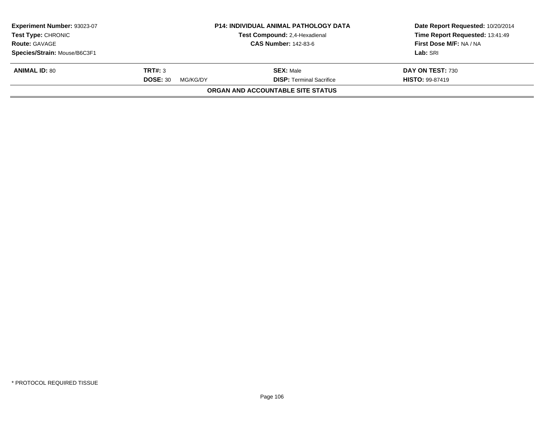| Experiment Number: 93023-07<br><b>Test Type: CHRONIC</b><br><b>Route: GAVAGE</b> |                             | <b>P14: INDIVIDUAL ANIMAL PATHOLOGY DATA</b><br>Test Compound: 2,4-Hexadienal<br><b>CAS Number: 142-83-6</b> | Date Report Requested: 10/20/2014<br>Time Report Requested: 13:41:49<br>First Dose M/F: NA / NA |  |
|----------------------------------------------------------------------------------|-----------------------------|--------------------------------------------------------------------------------------------------------------|-------------------------------------------------------------------------------------------------|--|
|                                                                                  |                             |                                                                                                              |                                                                                                 |  |
| Species/Strain: Mouse/B6C3F1                                                     |                             |                                                                                                              | Lab: SRI                                                                                        |  |
| <b>ANIMAL ID: 80</b>                                                             | TRT#: 3                     | <b>SEX: Male</b>                                                                                             | DAY ON TEST: 730                                                                                |  |
|                                                                                  | <b>DOSE: 30</b><br>MG/KG/DY | <b>DISP: Terminal Sacrifice</b>                                                                              | <b>HISTO: 99-87419</b>                                                                          |  |
|                                                                                  |                             | <b>ORGAN AND ACCOUNTABLE SITE STATUS</b>                                                                     |                                                                                                 |  |
|                                                                                  |                             |                                                                                                              |                                                                                                 |  |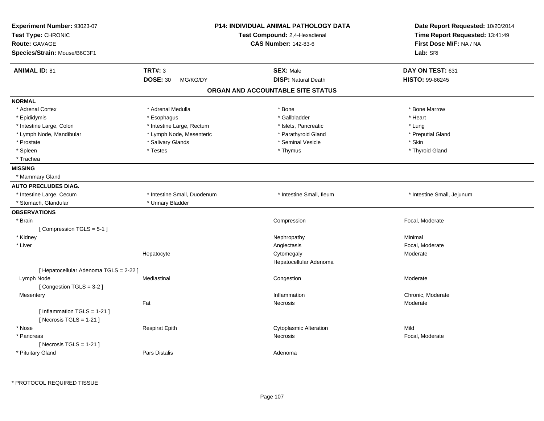| Experiment Number: 93023-07<br>Test Type: CHRONIC<br><b>Route: GAVAGE</b><br>Species/Strain: Mouse/B6C3F1 |                                               | P14: INDIVIDUAL ANIMAL PATHOLOGY DATA<br>Test Compound: 2,4-Hexadienal<br><b>CAS Number: 142-83-6</b> | Date Report Requested: 10/20/2014<br>Time Report Requested: 13:41:49<br>First Dose M/F: NA / NA<br>Lab: SRI |
|-----------------------------------------------------------------------------------------------------------|-----------------------------------------------|-------------------------------------------------------------------------------------------------------|-------------------------------------------------------------------------------------------------------------|
| <b>ANIMAL ID: 81</b>                                                                                      | <b>TRT#: 3</b><br><b>DOSE: 30</b><br>MG/KG/DY | <b>SEX: Male</b><br><b>DISP: Natural Death</b>                                                        | DAY ON TEST: 631<br>HISTO: 99-86245                                                                         |
|                                                                                                           |                                               | ORGAN AND ACCOUNTABLE SITE STATUS                                                                     |                                                                                                             |
| <b>NORMAL</b>                                                                                             |                                               |                                                                                                       |                                                                                                             |
| * Adrenal Cortex                                                                                          | * Adrenal Medulla                             | * Bone                                                                                                | * Bone Marrow                                                                                               |
| * Epididymis                                                                                              | * Esophagus                                   | * Gallbladder                                                                                         | * Heart                                                                                                     |
| * Intestine Large, Colon                                                                                  | * Intestine Large, Rectum                     | * Islets, Pancreatic                                                                                  | * Lung                                                                                                      |
| * Lymph Node, Mandibular                                                                                  | * Lymph Node, Mesenteric                      | * Parathyroid Gland                                                                                   | * Preputial Gland                                                                                           |
| * Prostate                                                                                                | * Salivary Glands                             | * Seminal Vesicle                                                                                     | * Skin                                                                                                      |
| * Spleen                                                                                                  | * Testes                                      | * Thymus                                                                                              | * Thyroid Gland                                                                                             |
| * Trachea                                                                                                 |                                               |                                                                                                       |                                                                                                             |
| <b>MISSING</b>                                                                                            |                                               |                                                                                                       |                                                                                                             |
| * Mammary Gland                                                                                           |                                               |                                                                                                       |                                                                                                             |
| <b>AUTO PRECLUDES DIAG.</b>                                                                               |                                               |                                                                                                       |                                                                                                             |
| * Intestine Large, Cecum                                                                                  | * Intestine Small, Duodenum                   | * Intestine Small, Ileum                                                                              | * Intestine Small, Jejunum                                                                                  |
| * Stomach, Glandular                                                                                      | * Urinary Bladder                             |                                                                                                       |                                                                                                             |
| <b>OBSERVATIONS</b>                                                                                       |                                               |                                                                                                       |                                                                                                             |
| * Brain                                                                                                   |                                               | Compression                                                                                           | Focal, Moderate                                                                                             |
| [Compression TGLS = 5-1]                                                                                  |                                               |                                                                                                       |                                                                                                             |
| * Kidney                                                                                                  |                                               | Nephropathy                                                                                           | Minimal                                                                                                     |
| * Liver                                                                                                   |                                               | Angiectasis                                                                                           | Focal, Moderate                                                                                             |
|                                                                                                           | Hepatocyte                                    | Cytomegaly                                                                                            | Moderate                                                                                                    |
|                                                                                                           |                                               | Hepatocellular Adenoma                                                                                |                                                                                                             |
| [ Hepatocellular Adenoma TGLS = 2-22 ]                                                                    |                                               |                                                                                                       |                                                                                                             |
| Lymph Node                                                                                                | Mediastinal                                   | Congestion                                                                                            | Moderate                                                                                                    |
| [Congestion TGLS = 3-2]                                                                                   |                                               |                                                                                                       |                                                                                                             |
| Mesentery                                                                                                 |                                               | Inflammation                                                                                          | Chronic, Moderate                                                                                           |
|                                                                                                           | Fat                                           | Necrosis                                                                                              | Moderate                                                                                                    |
| [Inflammation TGLS = 1-21]<br>[Necrosis $TGLS = 1-21$ ]                                                   |                                               |                                                                                                       |                                                                                                             |
| * Nose                                                                                                    | <b>Respirat Epith</b>                         | <b>Cytoplasmic Alteration</b>                                                                         | Mild                                                                                                        |
| * Pancreas                                                                                                |                                               | Necrosis                                                                                              | Focal, Moderate                                                                                             |
| [Necrosis TGLS = $1-21$ ]                                                                                 |                                               |                                                                                                       |                                                                                                             |
| * Pituitary Gland                                                                                         | Pars Distalis                                 | Adenoma                                                                                               |                                                                                                             |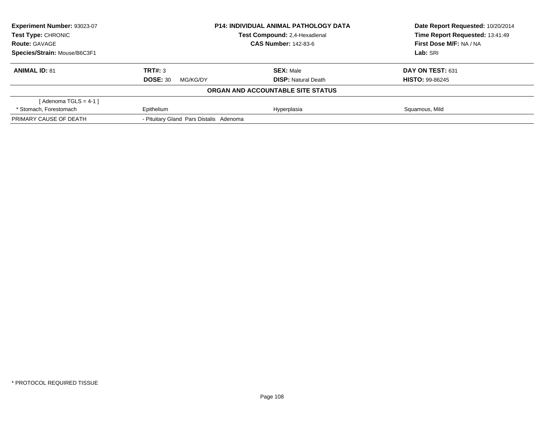| <b>Experiment Number: 93023-07</b>                  | <b>P14: INDIVIDUAL ANIMAL PATHOLOGY DATA</b> |                                   | Date Report Requested: 10/20/2014 |
|-----------------------------------------------------|----------------------------------------------|-----------------------------------|-----------------------------------|
| Test Type: CHRONIC<br>Test Compound: 2,4-Hexadienal |                                              | Time Report Requested: 13:41:49   |                                   |
| <b>Route: GAVAGE</b>                                |                                              | <b>CAS Number: 142-83-6</b>       | <b>First Dose M/F: NA / NA</b>    |
| Species/Strain: Mouse/B6C3F1                        |                                              |                                   | Lab: SRI                          |
| <b>ANIMAL ID: 81</b>                                | TRT#: 3                                      | <b>SEX: Male</b>                  | DAY ON TEST: 631                  |
|                                                     | <b>DOSE: 30</b><br>MG/KG/DY                  | <b>DISP:</b> Natural Death        | <b>HISTO: 99-86245</b>            |
|                                                     |                                              | ORGAN AND ACCOUNTABLE SITE STATUS |                                   |
| [Adenoma TGLS = $4-1$ ]                             |                                              |                                   |                                   |
| * Stomach, Forestomach                              | Epithelium                                   | Hyperplasia                       | Squamous, Mild                    |
| PRIMARY CAUSE OF DEATH                              | - Pituitary Gland Pars Distalis Adenoma      |                                   |                                   |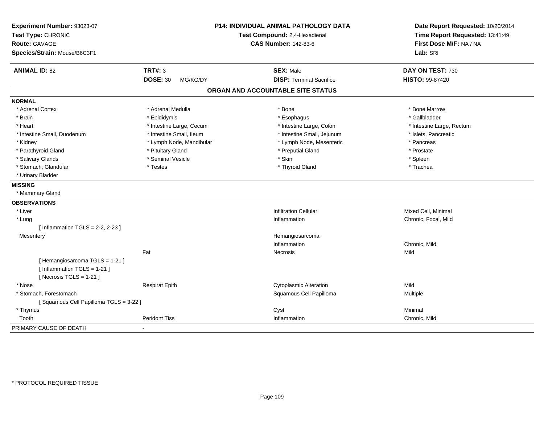| <b>ANIMAL ID: 82</b><br><b>NORMAL</b><br>* Adrenal Cortex<br>* Brain<br>* Heart<br>* Intestine Small, Duodenum |                             | <b>P14: INDIVIDUAL ANIMAL PATHOLOGY DATA</b><br>Test Compound: 2,4-Hexadienal<br><b>CAS Number: 142-83-6</b> | Date Report Requested: 10/20/2014<br>Time Report Requested: 13:41:49<br>First Dose M/F: NA / NA<br>Lab: SRI |
|----------------------------------------------------------------------------------------------------------------|-----------------------------|--------------------------------------------------------------------------------------------------------------|-------------------------------------------------------------------------------------------------------------|
|                                                                                                                | <b>TRT#: 3</b>              | <b>SEX: Male</b>                                                                                             | DAY ON TEST: 730                                                                                            |
|                                                                                                                | <b>DOSE: 30</b><br>MG/KG/DY | <b>DISP: Terminal Sacrifice</b>                                                                              | HISTO: 99-87420                                                                                             |
|                                                                                                                |                             | ORGAN AND ACCOUNTABLE SITE STATUS                                                                            |                                                                                                             |
|                                                                                                                |                             |                                                                                                              |                                                                                                             |
|                                                                                                                | * Adrenal Medulla           | * Bone                                                                                                       | * Bone Marrow                                                                                               |
|                                                                                                                | * Epididymis                | * Esophagus                                                                                                  | * Gallbladder                                                                                               |
|                                                                                                                | * Intestine Large, Cecum    | * Intestine Large, Colon                                                                                     | * Intestine Large, Rectum                                                                                   |
|                                                                                                                | * Intestine Small, Ileum    | * Intestine Small, Jejunum                                                                                   | * Islets, Pancreatic                                                                                        |
| * Kidney                                                                                                       | * Lymph Node, Mandibular    | * Lymph Node, Mesenteric                                                                                     | * Pancreas                                                                                                  |
| * Parathyroid Gland                                                                                            | * Pituitary Gland           | * Preputial Gland                                                                                            | * Prostate                                                                                                  |
| * Salivary Glands                                                                                              | * Seminal Vesicle           | * Skin                                                                                                       | * Spleen                                                                                                    |
| * Stomach, Glandular                                                                                           | * Testes                    | * Thyroid Gland                                                                                              | * Trachea                                                                                                   |
| * Urinary Bladder                                                                                              |                             |                                                                                                              |                                                                                                             |
| <b>MISSING</b>                                                                                                 |                             |                                                                                                              |                                                                                                             |
| * Mammary Gland                                                                                                |                             |                                                                                                              |                                                                                                             |
| <b>OBSERVATIONS</b>                                                                                            |                             |                                                                                                              |                                                                                                             |
| * Liver                                                                                                        |                             | <b>Infiltration Cellular</b>                                                                                 | Mixed Cell, Minimal                                                                                         |
| * Lung                                                                                                         |                             | Inflammation                                                                                                 | Chronic, Focal, Mild                                                                                        |
| [Inflammation TGLS = $2-2$ , $2-23$ ]                                                                          |                             |                                                                                                              |                                                                                                             |
| Mesentery                                                                                                      |                             | Hemangiosarcoma                                                                                              |                                                                                                             |
|                                                                                                                |                             | Inflammation                                                                                                 | Chronic, Mild                                                                                               |
|                                                                                                                | Fat                         | Necrosis                                                                                                     | Mild                                                                                                        |
| [Hemangiosarcoma TGLS = 1-21]<br>[Inflammation TGLS = $1-21$ ]<br>[Necrosis $TGLS = 1-21$ ]                    |                             |                                                                                                              |                                                                                                             |
| * Nose                                                                                                         | <b>Respirat Epith</b>       | <b>Cytoplasmic Alteration</b>                                                                                | Mild                                                                                                        |
| * Stomach, Forestomach                                                                                         |                             | Squamous Cell Papilloma                                                                                      | Multiple                                                                                                    |
| [Squamous Cell Papilloma TGLS = 3-22]                                                                          |                             |                                                                                                              |                                                                                                             |
| * Thymus                                                                                                       |                             | Cyst                                                                                                         | Minimal                                                                                                     |
| Tooth                                                                                                          | <b>Peridont Tiss</b>        | Inflammation                                                                                                 | Chronic, Mild                                                                                               |
| PRIMARY CAUSE OF DEATH                                                                                         |                             |                                                                                                              |                                                                                                             |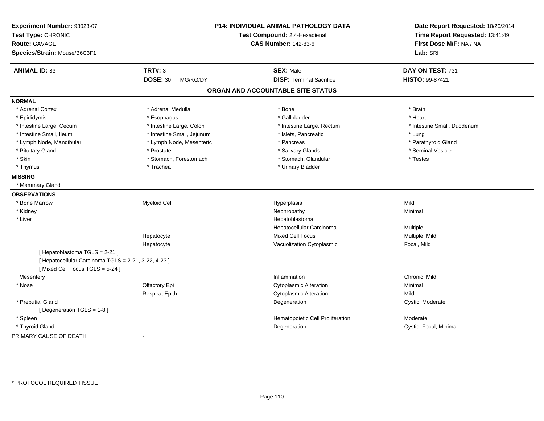| Experiment Number: 93023-07<br>Test Type: CHRONIC<br><b>Route: GAVAGE</b><br>Species/Strain: Mouse/B6C3F1 |                                               | P14: INDIVIDUAL ANIMAL PATHOLOGY DATA<br>Test Compound: 2,4-Hexadienal<br><b>CAS Number: 142-83-6</b> | Date Report Requested: 10/20/2014<br>Time Report Requested: 13:41:49<br>First Dose M/F: NA / NA<br>Lab: SRI |
|-----------------------------------------------------------------------------------------------------------|-----------------------------------------------|-------------------------------------------------------------------------------------------------------|-------------------------------------------------------------------------------------------------------------|
|                                                                                                           |                                               |                                                                                                       |                                                                                                             |
| <b>ANIMAL ID: 83</b>                                                                                      | <b>TRT#: 3</b><br><b>DOSE: 30</b><br>MG/KG/DY | <b>SEX: Male</b><br><b>DISP: Terminal Sacrifice</b>                                                   | DAY ON TEST: 731<br>HISTO: 99-87421                                                                         |
|                                                                                                           |                                               | ORGAN AND ACCOUNTABLE SITE STATUS                                                                     |                                                                                                             |
| <b>NORMAL</b>                                                                                             |                                               |                                                                                                       |                                                                                                             |
| * Adrenal Cortex                                                                                          | * Adrenal Medulla                             | * Bone                                                                                                | * Brain                                                                                                     |
| * Epididymis                                                                                              | * Esophagus                                   | * Gallbladder                                                                                         | * Heart                                                                                                     |
| * Intestine Large, Cecum                                                                                  | * Intestine Large, Colon                      | * Intestine Large, Rectum                                                                             | * Intestine Small, Duodenum                                                                                 |
| * Intestine Small, Ileum                                                                                  | * Intestine Small, Jejunum                    | * Islets, Pancreatic                                                                                  | * Lung                                                                                                      |
| * Lymph Node, Mandibular                                                                                  | * Lymph Node, Mesenteric                      | * Pancreas                                                                                            | * Parathyroid Gland                                                                                         |
| * Pituitary Gland                                                                                         | * Prostate                                    | * Salivary Glands                                                                                     | * Seminal Vesicle                                                                                           |
| * Skin                                                                                                    | * Stomach, Forestomach                        | * Stomach, Glandular                                                                                  | * Testes                                                                                                    |
| * Thymus                                                                                                  | * Trachea                                     | * Urinary Bladder                                                                                     |                                                                                                             |
| <b>MISSING</b>                                                                                            |                                               |                                                                                                       |                                                                                                             |
| * Mammary Gland                                                                                           |                                               |                                                                                                       |                                                                                                             |
| <b>OBSERVATIONS</b>                                                                                       |                                               |                                                                                                       |                                                                                                             |
| * Bone Marrow                                                                                             | <b>Myeloid Cell</b>                           | Hyperplasia                                                                                           | Mild                                                                                                        |
| * Kidney                                                                                                  |                                               | Nephropathy                                                                                           | Minimal                                                                                                     |
| * Liver                                                                                                   |                                               | Hepatoblastoma                                                                                        |                                                                                                             |
|                                                                                                           |                                               | Hepatocellular Carcinoma                                                                              | Multiple                                                                                                    |
|                                                                                                           | Hepatocyte                                    | <b>Mixed Cell Focus</b>                                                                               | Multiple, Mild                                                                                              |
|                                                                                                           | Hepatocyte                                    | Vacuolization Cytoplasmic                                                                             | Focal, Mild                                                                                                 |
| [ Hepatoblastoma TGLS = 2-21 ]                                                                            |                                               |                                                                                                       |                                                                                                             |
| [ Hepatocellular Carcinoma TGLS = 2-21, 3-22, 4-23 ]                                                      |                                               |                                                                                                       |                                                                                                             |
| [Mixed Cell Focus TGLS = 5-24]                                                                            |                                               |                                                                                                       |                                                                                                             |
| Mesentery                                                                                                 |                                               | Inflammation                                                                                          | Chronic, Mild                                                                                               |
| * Nose                                                                                                    | Olfactory Epi                                 | <b>Cytoplasmic Alteration</b>                                                                         | Minimal                                                                                                     |
|                                                                                                           | <b>Respirat Epith</b>                         | <b>Cytoplasmic Alteration</b>                                                                         | Mild                                                                                                        |
| * Preputial Gland                                                                                         |                                               | Degeneration                                                                                          | Cystic, Moderate                                                                                            |
| [ Degeneration TGLS = 1-8 ]                                                                               |                                               |                                                                                                       |                                                                                                             |
| * Spleen                                                                                                  |                                               | Hematopoietic Cell Proliferation                                                                      | Moderate                                                                                                    |
| * Thyroid Gland                                                                                           |                                               | Degeneration                                                                                          | Cystic, Focal, Minimal                                                                                      |
| PRIMARY CAUSE OF DEATH                                                                                    | $\overline{\phantom{a}}$                      |                                                                                                       |                                                                                                             |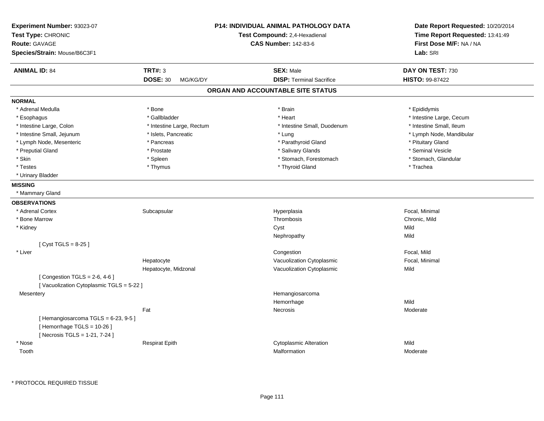| Experiment Number: 93023-07<br>Test Type: CHRONIC<br><b>Route: GAVAGE</b>                             |                             | <b>P14: INDIVIDUAL ANIMAL PATHOLOGY DATA</b><br>Test Compound: 2,4-Hexadienal<br><b>CAS Number: 142-83-6</b> | Date Report Requested: 10/20/2014<br>Time Report Requested: 13:41:49<br>First Dose M/F: NA / NA |
|-------------------------------------------------------------------------------------------------------|-----------------------------|--------------------------------------------------------------------------------------------------------------|-------------------------------------------------------------------------------------------------|
| Species/Strain: Mouse/B6C3F1                                                                          |                             |                                                                                                              | Lab: SRI                                                                                        |
| <b>ANIMAL ID: 84</b>                                                                                  | <b>TRT#: 3</b>              | <b>SEX: Male</b>                                                                                             | DAY ON TEST: 730                                                                                |
|                                                                                                       | <b>DOSE: 30</b><br>MG/KG/DY | <b>DISP: Terminal Sacrifice</b>                                                                              | HISTO: 99-87422                                                                                 |
|                                                                                                       |                             | ORGAN AND ACCOUNTABLE SITE STATUS                                                                            |                                                                                                 |
| <b>NORMAL</b>                                                                                         |                             |                                                                                                              |                                                                                                 |
| * Adrenal Medulla                                                                                     | * Bone                      | * Brain                                                                                                      | * Epididymis                                                                                    |
| * Esophagus                                                                                           | * Gallbladder               | * Heart                                                                                                      | * Intestine Large, Cecum                                                                        |
| * Intestine Large, Colon                                                                              | * Intestine Large, Rectum   | * Intestine Small, Duodenum                                                                                  | * Intestine Small, Ileum                                                                        |
| * Intestine Small, Jejunum                                                                            | * Islets, Pancreatic        | * Lung                                                                                                       | * Lymph Node, Mandibular                                                                        |
| * Lymph Node, Mesenteric                                                                              | * Pancreas                  | * Parathyroid Gland                                                                                          | * Pituitary Gland                                                                               |
| * Preputial Gland                                                                                     | * Prostate                  | * Salivary Glands                                                                                            | * Seminal Vesicle                                                                               |
| * Skin                                                                                                | * Spleen                    | * Stomach, Forestomach                                                                                       | * Stomach, Glandular                                                                            |
| * Testes                                                                                              | * Thymus                    | * Thyroid Gland                                                                                              | * Trachea                                                                                       |
| * Urinary Bladder                                                                                     |                             |                                                                                                              |                                                                                                 |
| <b>MISSING</b>                                                                                        |                             |                                                                                                              |                                                                                                 |
| * Mammary Gland                                                                                       |                             |                                                                                                              |                                                                                                 |
| <b>OBSERVATIONS</b>                                                                                   |                             |                                                                                                              |                                                                                                 |
| * Adrenal Cortex                                                                                      | Subcapsular                 | Hyperplasia                                                                                                  | Focal, Minimal                                                                                  |
| * Bone Marrow                                                                                         |                             | Thrombosis                                                                                                   | Chronic, Mild                                                                                   |
| * Kidney                                                                                              |                             | Cyst                                                                                                         | Mild                                                                                            |
|                                                                                                       |                             | Nephropathy                                                                                                  | Mild                                                                                            |
| [ $Cyst TGLS = 8-25$ ]                                                                                |                             |                                                                                                              |                                                                                                 |
| * Liver                                                                                               |                             | Congestion                                                                                                   | Focal, Mild                                                                                     |
|                                                                                                       | Hepatocyte                  | Vacuolization Cytoplasmic                                                                                    | Focal, Minimal                                                                                  |
|                                                                                                       | Hepatocyte, Midzonal        | Vacuolization Cytoplasmic                                                                                    | Mild                                                                                            |
| [Congestion TGLS = $2-6$ , $4-6$ ]                                                                    |                             |                                                                                                              |                                                                                                 |
| [Vacuolization Cytoplasmic TGLS = 5-22 ]                                                              |                             |                                                                                                              |                                                                                                 |
| Mesentery                                                                                             |                             | Hemangiosarcoma                                                                                              |                                                                                                 |
|                                                                                                       |                             | Hemorrhage                                                                                                   | Mild                                                                                            |
|                                                                                                       | Fat                         | <b>Necrosis</b>                                                                                              | Moderate                                                                                        |
| [Hemangiosarcoma TGLS = $6-23$ , $9-5$ ]<br>[Hemorrhage TGLS = 10-26]<br>[Necrosis TGLS = 1-21, 7-24] |                             |                                                                                                              |                                                                                                 |
| * Nose                                                                                                | <b>Respirat Epith</b>       | <b>Cytoplasmic Alteration</b>                                                                                | Mild                                                                                            |
| Tooth                                                                                                 |                             | Malformation                                                                                                 | Moderate                                                                                        |
|                                                                                                       |                             |                                                                                                              |                                                                                                 |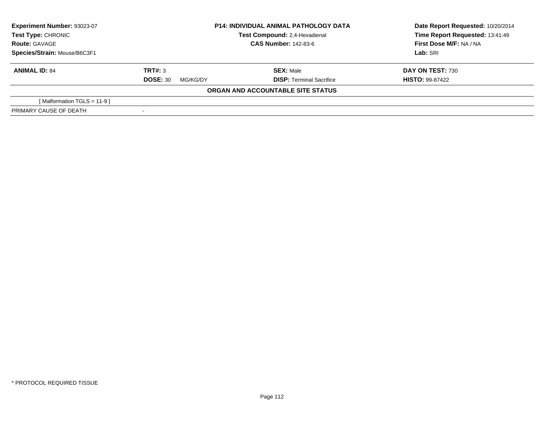| Experiment Number: 93023-07<br><b>P14: INDIVIDUAL ANIMAL PATHOLOGY DATA</b><br>Test Compound: 2,4-Hexadienal<br>Test Type: CHRONIC |                             |                                   | Date Report Requested: 10/20/2014 |
|------------------------------------------------------------------------------------------------------------------------------------|-----------------------------|-----------------------------------|-----------------------------------|
|                                                                                                                                    |                             | Time Report Requested: 13:41:49   |                                   |
| <b>Route: GAVAGE</b>                                                                                                               | <b>CAS Number: 142-83-6</b> |                                   | First Dose M/F: NA / NA           |
| Species/Strain: Mouse/B6C3F1                                                                                                       |                             |                                   | Lab: SRI                          |
| <b>ANIMAL ID: 84</b>                                                                                                               | TRT#: 3                     | <b>SEX: Male</b>                  | DAY ON TEST: 730                  |
|                                                                                                                                    | <b>DOSE: 30</b><br>MG/KG/DY | <b>DISP: Terminal Sacrifice</b>   | <b>HISTO: 99-87422</b>            |
|                                                                                                                                    |                             | ORGAN AND ACCOUNTABLE SITE STATUS |                                   |
| [Malformation TGLS = $11-9$ ]                                                                                                      |                             |                                   |                                   |
| PRIMARY CAUSE OF DEATH                                                                                                             |                             |                                   |                                   |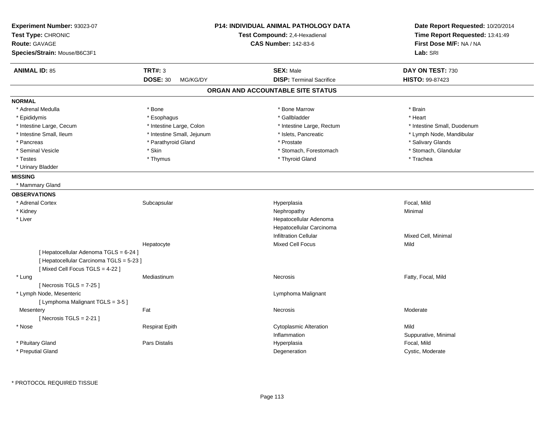| Experiment Number: 93023-07<br>Test Type: CHRONIC<br><b>Route: GAVAGE</b><br>Species/Strain: Mouse/B6C3F1 |                             | <b>P14: INDIVIDUAL ANIMAL PATHOLOGY DATA</b><br>Test Compound: 2,4-Hexadienal<br><b>CAS Number: 142-83-6</b> | Date Report Requested: 10/20/2014<br>Time Report Requested: 13:41:49<br>First Dose M/F: NA / NA<br>Lab: SRI |
|-----------------------------------------------------------------------------------------------------------|-----------------------------|--------------------------------------------------------------------------------------------------------------|-------------------------------------------------------------------------------------------------------------|
| <b>ANIMAL ID: 85</b>                                                                                      | <b>TRT#: 3</b>              | <b>SEX: Male</b>                                                                                             | DAY ON TEST: 730                                                                                            |
|                                                                                                           | <b>DOSE: 30</b><br>MG/KG/DY | <b>DISP: Terminal Sacrifice</b>                                                                              | <b>HISTO: 99-87423</b>                                                                                      |
|                                                                                                           |                             | ORGAN AND ACCOUNTABLE SITE STATUS                                                                            |                                                                                                             |
| <b>NORMAL</b>                                                                                             |                             |                                                                                                              |                                                                                                             |
| * Adrenal Medulla                                                                                         | * Bone                      | * Bone Marrow                                                                                                | * Brain                                                                                                     |
| * Epididymis                                                                                              | * Esophagus                 | * Gallbladder                                                                                                | * Heart                                                                                                     |
| * Intestine Large, Cecum                                                                                  | * Intestine Large, Colon    | * Intestine Large, Rectum                                                                                    | * Intestine Small, Duodenum                                                                                 |
| * Intestine Small, Ileum                                                                                  | * Intestine Small, Jejunum  | * Islets, Pancreatic                                                                                         | * Lymph Node, Mandibular                                                                                    |
| * Pancreas                                                                                                | * Parathyroid Gland         | * Prostate                                                                                                   | * Salivary Glands                                                                                           |
| * Seminal Vesicle                                                                                         | * Skin                      | * Stomach, Forestomach                                                                                       | * Stomach, Glandular                                                                                        |
| $^\star$ Testes                                                                                           | * Thymus                    | * Thyroid Gland                                                                                              | * Trachea                                                                                                   |
| * Urinary Bladder                                                                                         |                             |                                                                                                              |                                                                                                             |
| <b>MISSING</b>                                                                                            |                             |                                                                                                              |                                                                                                             |
| * Mammary Gland                                                                                           |                             |                                                                                                              |                                                                                                             |
| <b>OBSERVATIONS</b>                                                                                       |                             |                                                                                                              |                                                                                                             |
| * Adrenal Cortex                                                                                          | Subcapsular                 | Hyperplasia                                                                                                  | Focal, Mild                                                                                                 |
| * Kidney                                                                                                  |                             | Nephropathy                                                                                                  | Minimal                                                                                                     |
| * Liver                                                                                                   |                             | Hepatocellular Adenoma                                                                                       |                                                                                                             |
|                                                                                                           |                             | Hepatocellular Carcinoma                                                                                     |                                                                                                             |
|                                                                                                           |                             | <b>Infiltration Cellular</b>                                                                                 | Mixed Cell, Minimal                                                                                         |
|                                                                                                           | Hepatocyte                  | <b>Mixed Cell Focus</b>                                                                                      | Mild                                                                                                        |
| [ Hepatocellular Adenoma TGLS = 6-24 ]                                                                    |                             |                                                                                                              |                                                                                                             |
| [ Hepatocellular Carcinoma TGLS = 5-23 ]                                                                  |                             |                                                                                                              |                                                                                                             |
| [Mixed Cell Focus TGLS = 4-22]                                                                            |                             |                                                                                                              |                                                                                                             |
| * Lung                                                                                                    | Mediastinum                 | Necrosis                                                                                                     | Fatty, Focal, Mild                                                                                          |
| [Necrosis TGLS = $7-25$ ]                                                                                 |                             |                                                                                                              |                                                                                                             |
| * Lymph Node, Mesenteric                                                                                  |                             | Lymphoma Malignant                                                                                           |                                                                                                             |
| [ Lymphoma Malignant TGLS = 3-5 ]                                                                         |                             |                                                                                                              |                                                                                                             |
| Mesentery                                                                                                 | Fat                         | Necrosis                                                                                                     | Moderate                                                                                                    |
| [Necrosis $TGLS = 2-21$ ]                                                                                 |                             |                                                                                                              |                                                                                                             |
| * Nose                                                                                                    | <b>Respirat Epith</b>       | <b>Cytoplasmic Alteration</b>                                                                                | Mild                                                                                                        |
|                                                                                                           |                             | Inflammation                                                                                                 | Suppurative, Minimal                                                                                        |
| * Pituitary Gland                                                                                         | <b>Pars Distalis</b>        | Hyperplasia                                                                                                  | Focal, Mild                                                                                                 |
| * Preputial Gland                                                                                         |                             | Degeneration                                                                                                 | Cystic, Moderate                                                                                            |
|                                                                                                           |                             |                                                                                                              |                                                                                                             |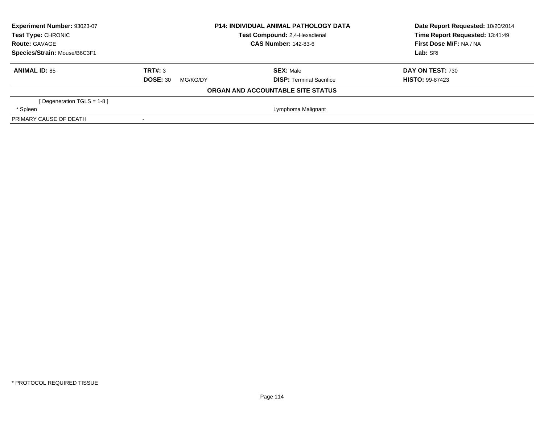| Experiment Number: 93023-07<br>Test Type: CHRONIC | <b>P14: INDIVIDUAL ANIMAL PATHOLOGY DATA</b><br>Test Compound: 2,4-Hexadienal |                                   | Date Report Requested: 10/20/2014<br>Time Report Requested: 13:41:49 |
|---------------------------------------------------|-------------------------------------------------------------------------------|-----------------------------------|----------------------------------------------------------------------|
| <b>Route: GAVAGE</b>                              |                                                                               | <b>CAS Number: 142-83-6</b>       | First Dose M/F: NA / NA                                              |
| Species/Strain: Mouse/B6C3F1                      |                                                                               |                                   | Lab: SRI                                                             |
| <b>ANIMAL ID: 85</b>                              | TRT#: 3                                                                       | <b>SEX: Male</b>                  | DAY ON TEST: 730                                                     |
|                                                   | <b>DOSE: 30</b><br>MG/KG/DY                                                   | <b>DISP:</b> Terminal Sacrifice   | <b>HISTO: 99-87423</b>                                               |
|                                                   |                                                                               | ORGAN AND ACCOUNTABLE SITE STATUS |                                                                      |
| [Degeneration TGLS = $1-8$ ]                      |                                                                               |                                   |                                                                      |
| * Spleen                                          |                                                                               | Lymphoma Malignant                |                                                                      |
| PRIMARY CAUSE OF DEATH                            |                                                                               |                                   |                                                                      |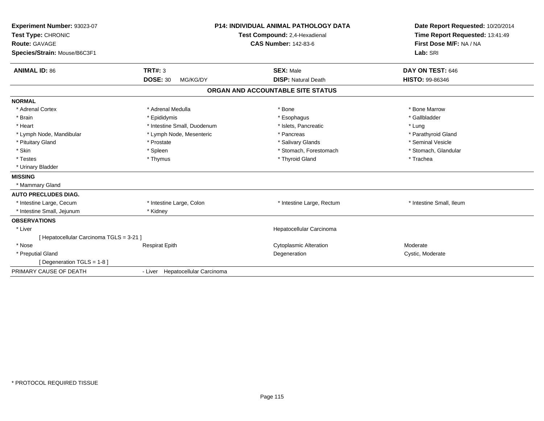| Experiment Number: 93023-07<br>Test Type: CHRONIC<br><b>Route: GAVAGE</b><br>Species/Strain: Mouse/B6C3F1<br><b>ANIMAL ID: 86</b> | <b>TRT#: 3</b><br><b>DOSE: 30</b><br>MG/KG/DY | <b>P14: INDIVIDUAL ANIMAL PATHOLOGY DATA</b><br>Test Compound: 2,4-Hexadienal<br><b>CAS Number: 142-83-6</b><br><b>SEX: Male</b><br><b>DISP: Natural Death</b> | Date Report Requested: 10/20/2014<br>Time Report Requested: 13:41:49<br>First Dose M/F: NA / NA<br>Lab: SRI<br>DAY ON TEST: 646<br><b>HISTO: 99-86346</b> |
|-----------------------------------------------------------------------------------------------------------------------------------|-----------------------------------------------|----------------------------------------------------------------------------------------------------------------------------------------------------------------|-----------------------------------------------------------------------------------------------------------------------------------------------------------|
|                                                                                                                                   |                                               | ORGAN AND ACCOUNTABLE SITE STATUS                                                                                                                              |                                                                                                                                                           |
| <b>NORMAL</b>                                                                                                                     |                                               |                                                                                                                                                                |                                                                                                                                                           |
| * Adrenal Cortex                                                                                                                  | * Adrenal Medulla                             | * Bone                                                                                                                                                         | * Bone Marrow                                                                                                                                             |
| * Brain                                                                                                                           | * Epididymis                                  | * Esophagus                                                                                                                                                    | * Gallbladder                                                                                                                                             |
| * Heart                                                                                                                           | * Intestine Small, Duodenum                   | * Islets, Pancreatic                                                                                                                                           | * Lung                                                                                                                                                    |
| * Lymph Node, Mandibular                                                                                                          | * Lymph Node, Mesenteric                      | * Pancreas                                                                                                                                                     | * Parathyroid Gland                                                                                                                                       |
| * Pituitary Gland                                                                                                                 | * Prostate                                    | * Salivary Glands                                                                                                                                              | * Seminal Vesicle                                                                                                                                         |
| * Skin                                                                                                                            | * Spleen                                      | * Stomach, Forestomach                                                                                                                                         | * Stomach, Glandular                                                                                                                                      |
| * Testes                                                                                                                          | * Thymus                                      | * Thyroid Gland                                                                                                                                                | * Trachea                                                                                                                                                 |
| * Urinary Bladder                                                                                                                 |                                               |                                                                                                                                                                |                                                                                                                                                           |
| <b>MISSING</b>                                                                                                                    |                                               |                                                                                                                                                                |                                                                                                                                                           |
| * Mammary Gland                                                                                                                   |                                               |                                                                                                                                                                |                                                                                                                                                           |
| <b>AUTO PRECLUDES DIAG.</b>                                                                                                       |                                               |                                                                                                                                                                |                                                                                                                                                           |
| * Intestine Large, Cecum                                                                                                          | * Intestine Large, Colon                      | * Intestine Large, Rectum                                                                                                                                      | * Intestine Small, Ileum                                                                                                                                  |
| * Intestine Small, Jejunum                                                                                                        | * Kidney                                      |                                                                                                                                                                |                                                                                                                                                           |
| <b>OBSERVATIONS</b>                                                                                                               |                                               |                                                                                                                                                                |                                                                                                                                                           |
| * Liver                                                                                                                           |                                               | Hepatocellular Carcinoma                                                                                                                                       |                                                                                                                                                           |
| [ Hepatocellular Carcinoma TGLS = 3-21 ]                                                                                          |                                               |                                                                                                                                                                |                                                                                                                                                           |
| * Nose                                                                                                                            | <b>Respirat Epith</b>                         | <b>Cytoplasmic Alteration</b>                                                                                                                                  | Moderate                                                                                                                                                  |
| * Preputial Gland                                                                                                                 |                                               | Degeneration                                                                                                                                                   | Cystic, Moderate                                                                                                                                          |
| [ Degeneration TGLS = $1-8$ ]                                                                                                     |                                               |                                                                                                                                                                |                                                                                                                                                           |
| PRIMARY CAUSE OF DEATH                                                                                                            | - Liver Hepatocellular Carcinoma              |                                                                                                                                                                |                                                                                                                                                           |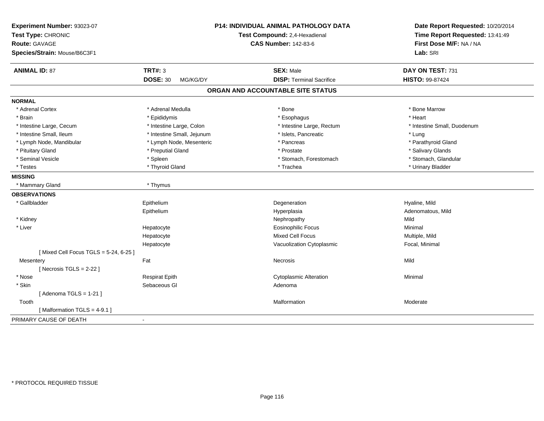| Experiment Number: 93023-07<br>Test Type: CHRONIC |                             | P14: INDIVIDUAL ANIMAL PATHOLOGY DATA<br>Test Compound: 2,4-Hexadienal | Date Report Requested: 10/20/2014<br>Time Report Requested: 13:41:49 |
|---------------------------------------------------|-----------------------------|------------------------------------------------------------------------|----------------------------------------------------------------------|
| <b>Route: GAVAGE</b>                              |                             | <b>CAS Number: 142-83-6</b>                                            | First Dose M/F: NA / NA                                              |
| Species/Strain: Mouse/B6C3F1                      |                             |                                                                        | Lab: SRI                                                             |
| <b>ANIMAL ID: 87</b>                              | <b>TRT#: 3</b>              | <b>SEX: Male</b>                                                       | DAY ON TEST: 731                                                     |
|                                                   | <b>DOSE: 30</b><br>MG/KG/DY | <b>DISP: Terminal Sacrifice</b>                                        | <b>HISTO: 99-87424</b>                                               |
|                                                   |                             | ORGAN AND ACCOUNTABLE SITE STATUS                                      |                                                                      |
| <b>NORMAL</b>                                     |                             |                                                                        |                                                                      |
| * Adrenal Cortex                                  | * Adrenal Medulla           | * Bone                                                                 | * Bone Marrow                                                        |
| * Brain                                           | * Epididymis                | * Esophagus                                                            | * Heart                                                              |
| * Intestine Large, Cecum                          | * Intestine Large, Colon    | * Intestine Large, Rectum                                              | * Intestine Small, Duodenum                                          |
| * Intestine Small, Ileum                          | * Intestine Small, Jejunum  | * Islets, Pancreatic                                                   | * Lung                                                               |
| * Lymph Node, Mandibular                          | * Lymph Node, Mesenteric    | * Pancreas                                                             | * Parathyroid Gland                                                  |
| * Pituitary Gland                                 | * Preputial Gland           | * Prostate                                                             | * Salivary Glands                                                    |
| * Seminal Vesicle                                 | * Spleen                    | * Stomach, Forestomach                                                 | * Stomach, Glandular                                                 |
| * Testes                                          | * Thyroid Gland             | * Trachea                                                              | * Urinary Bladder                                                    |
| <b>MISSING</b>                                    |                             |                                                                        |                                                                      |
| * Mammary Gland                                   | * Thymus                    |                                                                        |                                                                      |
| <b>OBSERVATIONS</b>                               |                             |                                                                        |                                                                      |
| * Gallbladder                                     | Epithelium                  | Degeneration                                                           | Hyaline, Mild                                                        |
|                                                   | Epithelium                  | Hyperplasia                                                            | Adenomatous, Mild                                                    |
| * Kidney                                          |                             | Nephropathy                                                            | Mild                                                                 |
| * Liver                                           | Hepatocyte                  | <b>Eosinophilic Focus</b>                                              | Minimal                                                              |
|                                                   | Hepatocyte                  | <b>Mixed Cell Focus</b>                                                | Multiple, Mild                                                       |
|                                                   | Hepatocyte                  | Vacuolization Cytoplasmic                                              | Focal, Minimal                                                       |
| [Mixed Cell Focus TGLS = 5-24, 6-25]              |                             |                                                                        |                                                                      |
| Mesentery                                         | Fat                         | <b>Necrosis</b>                                                        | Mild                                                                 |
| [Necrosis $TGLS = 2-22$ ]                         |                             |                                                                        |                                                                      |
| * Nose                                            | <b>Respirat Epith</b>       | <b>Cytoplasmic Alteration</b>                                          | Minimal                                                              |
| * Skin                                            | Sebaceous GI                | Adenoma                                                                |                                                                      |
| [Adenoma TGLS = $1-21$ ]                          |                             |                                                                        |                                                                      |
| Tooth                                             |                             | Malformation                                                           | Moderate                                                             |
| [Malformation TGLS = 4-9.1]                       |                             |                                                                        |                                                                      |
| PRIMARY CAUSE OF DEATH                            | $\blacksquare$              |                                                                        |                                                                      |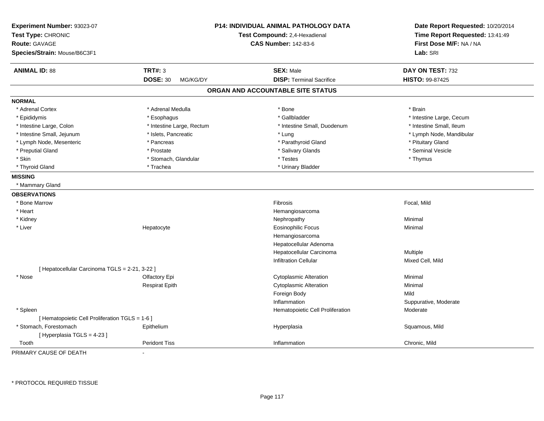| Experiment Number: 93023-07                     |                             | <b>P14: INDIVIDUAL ANIMAL PATHOLOGY DATA</b> | Date Report Requested: 10/20/2014 |
|-------------------------------------------------|-----------------------------|----------------------------------------------|-----------------------------------|
| Test Type: CHRONIC                              |                             | Test Compound: 2,4-Hexadienal                | Time Report Requested: 13:41:49   |
| <b>Route: GAVAGE</b>                            |                             | <b>CAS Number: 142-83-6</b>                  | First Dose M/F: NA / NA           |
| Species/Strain: Mouse/B6C3F1                    |                             |                                              | Lab: SRI                          |
| <b>ANIMAL ID: 88</b>                            | <b>TRT#: 3</b>              | <b>SEX: Male</b>                             | DAY ON TEST: 732                  |
|                                                 | <b>DOSE: 30</b><br>MG/KG/DY | <b>DISP: Terminal Sacrifice</b>              | <b>HISTO: 99-87425</b>            |
|                                                 |                             | ORGAN AND ACCOUNTABLE SITE STATUS            |                                   |
| <b>NORMAL</b>                                   |                             |                                              |                                   |
| * Adrenal Cortex                                | * Adrenal Medulla           | * Bone                                       | * Brain                           |
| * Epididymis                                    | * Esophagus                 | * Gallbladder                                | * Intestine Large, Cecum          |
| * Intestine Large, Colon                        | * Intestine Large, Rectum   | * Intestine Small, Duodenum                  | * Intestine Small, Ileum          |
| * Intestine Small, Jejunum                      | * Islets, Pancreatic        | * Lung                                       | * Lymph Node, Mandibular          |
| * Lymph Node, Mesenteric                        | * Pancreas                  | * Parathyroid Gland                          | * Pituitary Gland                 |
| * Preputial Gland                               | * Prostate                  | * Salivary Glands                            | * Seminal Vesicle                 |
| * Skin                                          | * Stomach, Glandular        | * Testes                                     | * Thymus                          |
| * Thyroid Gland                                 | * Trachea                   | * Urinary Bladder                            |                                   |
| <b>MISSING</b>                                  |                             |                                              |                                   |
| * Mammary Gland                                 |                             |                                              |                                   |
| <b>OBSERVATIONS</b>                             |                             |                                              |                                   |
| * Bone Marrow                                   |                             | Fibrosis                                     | Focal, Mild                       |
| * Heart                                         |                             | Hemangiosarcoma                              |                                   |
| * Kidney                                        |                             | Nephropathy                                  | Minimal                           |
| * Liver                                         | Hepatocyte                  | <b>Eosinophilic Focus</b>                    | Minimal                           |
|                                                 |                             | Hemangiosarcoma                              |                                   |
|                                                 |                             | Hepatocellular Adenoma                       |                                   |
|                                                 |                             | Hepatocellular Carcinoma                     | Multiple                          |
|                                                 |                             | <b>Infiltration Cellular</b>                 | Mixed Cell, Mild                  |
| [ Hepatocellular Carcinoma TGLS = 2-21, 3-22 ]  |                             |                                              |                                   |
| * Nose                                          | Olfactory Epi               | <b>Cytoplasmic Alteration</b>                | Minimal                           |
|                                                 | <b>Respirat Epith</b>       | <b>Cytoplasmic Alteration</b>                | Minimal                           |
|                                                 |                             | Foreign Body                                 | Mild                              |
|                                                 |                             | Inflammation                                 | Suppurative, Moderate             |
| * Spleen                                        |                             | Hematopoietic Cell Proliferation             | Moderate                          |
| [ Hematopoietic Cell Proliferation TGLS = 1-6 ] |                             |                                              |                                   |
| * Stomach, Forestomach                          | Epithelium                  | Hyperplasia                                  | Squamous, Mild                    |
| [ Hyperplasia TGLS = 4-23 ]                     |                             |                                              |                                   |
| Tooth                                           | <b>Peridont Tiss</b>        | Inflammation                                 | Chronic, Mild                     |
| PRIMARY CAUSE OF DEATH                          | $\sim$                      |                                              |                                   |

-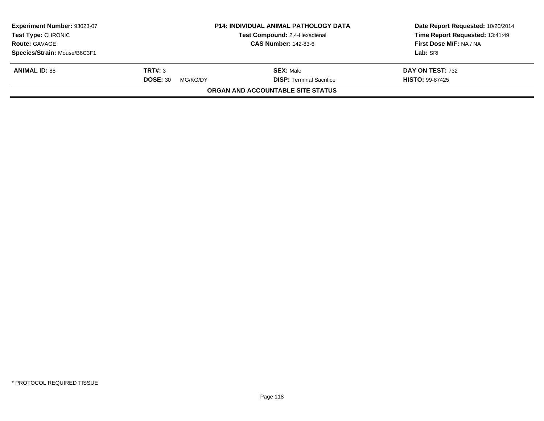| Experiment Number: 93023-07<br><b>Test Type: CHRONIC</b><br><b>Route: GAVAGE</b> | <b>P14: INDIVIDUAL ANIMAL PATHOLOGY DATA</b><br>Test Compound: 2,4-Hexadienal<br><b>CAS Number: 142-83-6</b> |                                          | Date Report Requested: 10/20/2014<br>Time Report Requested: 13:41:49<br>First Dose M/F: NA / NA |
|----------------------------------------------------------------------------------|--------------------------------------------------------------------------------------------------------------|------------------------------------------|-------------------------------------------------------------------------------------------------|
|                                                                                  |                                                                                                              |                                          |                                                                                                 |
| Species/Strain: Mouse/B6C3F1                                                     |                                                                                                              |                                          | Lab: SRI                                                                                        |
| <b>ANIMAL ID: 88</b>                                                             | TRT#: 3                                                                                                      | <b>SEX: Male</b>                         | DAY ON TEST: 732                                                                                |
|                                                                                  | <b>DOSE: 30</b><br>MG/KG/DY                                                                                  | <b>DISP: Terminal Sacrifice</b>          | <b>HISTO: 99-87425</b>                                                                          |
|                                                                                  |                                                                                                              | <b>ORGAN AND ACCOUNTABLE SITE STATUS</b> |                                                                                                 |
|                                                                                  |                                                                                                              |                                          |                                                                                                 |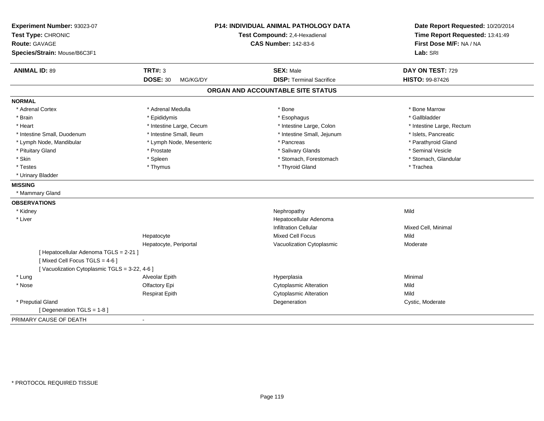| Experiment Number: 93023-07<br>Test Type: CHRONIC<br><b>Route: GAVAGE</b><br>Species/Strain: Mouse/B6C3F1 |                             | <b>P14: INDIVIDUAL ANIMAL PATHOLOGY DATA</b><br>Test Compound: 2,4-Hexadienal<br><b>CAS Number: 142-83-6</b> | Date Report Requested: 10/20/2014<br>Time Report Requested: 13:41:49<br>First Dose M/F: NA / NA<br>Lab: SRI |
|-----------------------------------------------------------------------------------------------------------|-----------------------------|--------------------------------------------------------------------------------------------------------------|-------------------------------------------------------------------------------------------------------------|
| <b>ANIMAL ID: 89</b>                                                                                      | <b>TRT#: 3</b>              | <b>SEX: Male</b>                                                                                             | DAY ON TEST: 729                                                                                            |
|                                                                                                           | <b>DOSE: 30</b><br>MG/KG/DY | <b>DISP: Terminal Sacrifice</b>                                                                              | HISTO: 99-87426                                                                                             |
|                                                                                                           |                             | ORGAN AND ACCOUNTABLE SITE STATUS                                                                            |                                                                                                             |
| <b>NORMAL</b>                                                                                             |                             |                                                                                                              |                                                                                                             |
| * Adrenal Cortex                                                                                          | * Adrenal Medulla           | * Bone                                                                                                       | * Bone Marrow                                                                                               |
| * Brain                                                                                                   | * Epididymis                | * Esophagus                                                                                                  | * Gallbladder                                                                                               |
| * Heart                                                                                                   | * Intestine Large, Cecum    | * Intestine Large, Colon                                                                                     | * Intestine Large, Rectum                                                                                   |
| * Intestine Small, Duodenum                                                                               | * Intestine Small, Ileum    | * Intestine Small, Jejunum                                                                                   | * Islets, Pancreatic                                                                                        |
| * Lymph Node, Mandibular                                                                                  | * Lymph Node, Mesenteric    | * Pancreas                                                                                                   | * Parathyroid Gland                                                                                         |
| * Pituitary Gland                                                                                         | * Prostate                  | * Salivary Glands                                                                                            | * Seminal Vesicle                                                                                           |
| * Skin                                                                                                    | * Spleen                    | * Stomach, Forestomach                                                                                       | * Stomach, Glandular                                                                                        |
| * Testes                                                                                                  | * Thymus                    | * Thyroid Gland                                                                                              | * Trachea                                                                                                   |
| * Urinary Bladder                                                                                         |                             |                                                                                                              |                                                                                                             |
| <b>MISSING</b>                                                                                            |                             |                                                                                                              |                                                                                                             |
| * Mammary Gland                                                                                           |                             |                                                                                                              |                                                                                                             |
| <b>OBSERVATIONS</b>                                                                                       |                             |                                                                                                              |                                                                                                             |
| * Kidney                                                                                                  |                             | Nephropathy                                                                                                  | Mild                                                                                                        |
| * Liver                                                                                                   |                             | Hepatocellular Adenoma                                                                                       |                                                                                                             |
|                                                                                                           |                             | <b>Infiltration Cellular</b>                                                                                 | Mixed Cell, Minimal                                                                                         |
|                                                                                                           | Hepatocyte                  | <b>Mixed Cell Focus</b>                                                                                      | Mild                                                                                                        |
|                                                                                                           | Hepatocyte, Periportal      | Vacuolization Cytoplasmic                                                                                    | Moderate                                                                                                    |
| [ Hepatocellular Adenoma TGLS = 2-21 ]                                                                    |                             |                                                                                                              |                                                                                                             |
| [Mixed Cell Focus TGLS = 4-6]                                                                             |                             |                                                                                                              |                                                                                                             |
| [Vacuolization Cytoplasmic TGLS = 3-22, 4-6]                                                              |                             |                                                                                                              |                                                                                                             |
| * Lung                                                                                                    | Alveolar Epith              | Hyperplasia                                                                                                  | Minimal                                                                                                     |
| * Nose                                                                                                    | Olfactory Epi               | <b>Cytoplasmic Alteration</b>                                                                                | Mild                                                                                                        |
|                                                                                                           | <b>Respirat Epith</b>       | <b>Cytoplasmic Alteration</b>                                                                                | Mild                                                                                                        |
| * Preputial Gland                                                                                         |                             | Degeneration                                                                                                 | Cystic, Moderate                                                                                            |
| [ Degeneration TGLS = 1-8 ]                                                                               |                             |                                                                                                              |                                                                                                             |
| PRIMARY CAUSE OF DEATH                                                                                    | $\blacksquare$              |                                                                                                              |                                                                                                             |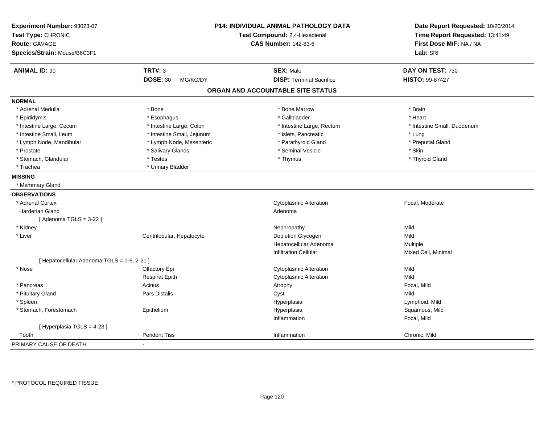| Experiment Number: 93023-07                 |                             | P14: INDIVIDUAL ANIMAL PATHOLOGY DATA | Date Report Requested: 10/20/2014 |
|---------------------------------------------|-----------------------------|---------------------------------------|-----------------------------------|
| Test Type: CHRONIC                          |                             | Test Compound: 2,4-Hexadienal         | Time Report Requested: 13:41:49   |
| Route: GAVAGE                               |                             | <b>CAS Number: 142-83-6</b>           | First Dose M/F: NA / NA           |
| Species/Strain: Mouse/B6C3F1                |                             |                                       | Lab: SRI                          |
| <b>ANIMAL ID: 90</b>                        | <b>TRT#: 3</b>              | <b>SEX: Male</b>                      | DAY ON TEST: 730                  |
|                                             | <b>DOSE: 30</b><br>MG/KG/DY | <b>DISP: Terminal Sacrifice</b>       | HISTO: 99-87427                   |
|                                             |                             | ORGAN AND ACCOUNTABLE SITE STATUS     |                                   |
| <b>NORMAL</b>                               |                             |                                       |                                   |
| * Adrenal Medulla                           | $*$ Bone                    | * Bone Marrow                         | * Brain                           |
| * Epididymis                                | * Esophagus                 | * Gallbladder                         | * Heart                           |
| * Intestine Large, Cecum                    | * Intestine Large, Colon    | * Intestine Large, Rectum             | * Intestine Small, Duodenum       |
| * Intestine Small, Ileum                    | * Intestine Small, Jejunum  | * Islets, Pancreatic                  | * Lung                            |
| * Lymph Node, Mandibular                    | * Lymph Node, Mesenteric    | * Parathyroid Gland                   | * Preputial Gland                 |
| * Prostate                                  | * Salivary Glands           | * Seminal Vesicle                     | * Skin                            |
| * Stomach, Glandular                        | * Testes                    | * Thymus                              | * Thyroid Gland                   |
| * Trachea                                   | * Urinary Bladder           |                                       |                                   |
| <b>MISSING</b>                              |                             |                                       |                                   |
| * Mammary Gland                             |                             |                                       |                                   |
| <b>OBSERVATIONS</b>                         |                             |                                       |                                   |
| * Adrenal Cortex                            |                             | <b>Cytoplasmic Alteration</b>         | Focal, Moderate                   |
| Harderian Gland                             |                             | Adenoma                               |                                   |
| [Adenoma TGLS = $3-22$ ]                    |                             |                                       |                                   |
| * Kidney                                    |                             | Nephropathy                           | Mild                              |
| * Liver                                     | Centrilobular, Hepatocyte   | Depletion Glycogen                    | Mild                              |
|                                             |                             | Hepatocellular Adenoma                | Multiple                          |
|                                             |                             | <b>Infiltration Cellular</b>          | Mixed Cell, Minimal               |
| [ Hepatocellular Adenoma TGLS = 1-6, 2-21 ] |                             |                                       |                                   |
| * Nose                                      | Olfactory Epi               | Cytoplasmic Alteration                | Mild                              |
|                                             | <b>Respirat Epith</b>       | <b>Cytoplasmic Alteration</b>         | Mild                              |
| * Pancreas                                  | Acinus                      | Atrophy                               | Focal, Mild                       |
| * Pituitary Gland                           | Pars Distalis               | Cyst                                  | Mild                              |
| * Spleen                                    |                             | Hyperplasia                           | Lymphoid, Mild                    |
| * Stomach, Forestomach                      | Epithelium                  | Hyperplasia                           | Squamous, Mild                    |
|                                             |                             | Inflammation                          | Focal, Mild                       |
| [ Hyperplasia TGLS = 4-23 ]                 |                             |                                       |                                   |
| Tooth                                       | <b>Peridont Tiss</b>        | Inflammation                          | Chronic, Mild                     |
| PRIMARY CAUSE OF DEATH                      | $\blacksquare$              |                                       |                                   |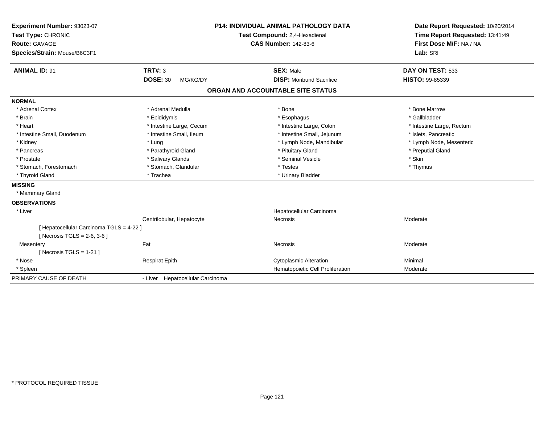| Experiment Number: 93023-07<br>Test Type: CHRONIC<br><b>Route: GAVAGE</b><br>Species/Strain: Mouse/B6C3F1<br><b>ANIMAL ID: 91</b> | TRT#: 3                          | <b>P14: INDIVIDUAL ANIMAL PATHOLOGY DATA</b><br>Test Compound: 2,4-Hexadienal<br><b>CAS Number: 142-83-6</b><br><b>SEX: Male</b> | Date Report Requested: 10/20/2014<br>Time Report Requested: 13:41:49<br>First Dose M/F: NA / NA<br>Lab: SRI<br>DAY ON TEST: 533 |
|-----------------------------------------------------------------------------------------------------------------------------------|----------------------------------|----------------------------------------------------------------------------------------------------------------------------------|---------------------------------------------------------------------------------------------------------------------------------|
|                                                                                                                                   | <b>DOSE: 30</b><br>MG/KG/DY      | <b>DISP:</b> Moribund Sacrifice                                                                                                  | <b>HISTO: 99-85339</b>                                                                                                          |
|                                                                                                                                   |                                  | ORGAN AND ACCOUNTABLE SITE STATUS                                                                                                |                                                                                                                                 |
| <b>NORMAL</b>                                                                                                                     |                                  |                                                                                                                                  |                                                                                                                                 |
| * Adrenal Cortex                                                                                                                  | * Adrenal Medulla                | * Bone                                                                                                                           | * Bone Marrow                                                                                                                   |
| * Brain                                                                                                                           | * Epididymis                     | * Esophagus                                                                                                                      | * Gallbladder                                                                                                                   |
| * Heart                                                                                                                           | * Intestine Large, Cecum         | * Intestine Large, Colon                                                                                                         | * Intestine Large, Rectum                                                                                                       |
| * Intestine Small, Duodenum                                                                                                       | * Intestine Small, Ileum         | * Intestine Small, Jejunum                                                                                                       | * Islets. Pancreatic                                                                                                            |
| * Kidney                                                                                                                          | * Lung                           | * Lymph Node, Mandibular                                                                                                         | * Lymph Node, Mesenteric                                                                                                        |
| * Pancreas                                                                                                                        | * Parathyroid Gland              | * Pituitary Gland                                                                                                                | * Preputial Gland                                                                                                               |
| * Prostate                                                                                                                        | * Salivary Glands                | * Seminal Vesicle                                                                                                                | * Skin                                                                                                                          |
| * Stomach, Forestomach                                                                                                            | * Stomach, Glandular             | * Testes                                                                                                                         | * Thymus                                                                                                                        |
| * Thyroid Gland                                                                                                                   | * Trachea                        | * Urinary Bladder                                                                                                                |                                                                                                                                 |
| <b>MISSING</b>                                                                                                                    |                                  |                                                                                                                                  |                                                                                                                                 |
| * Mammary Gland                                                                                                                   |                                  |                                                                                                                                  |                                                                                                                                 |
| <b>OBSERVATIONS</b>                                                                                                               |                                  |                                                                                                                                  |                                                                                                                                 |
| * Liver                                                                                                                           |                                  | Hepatocellular Carcinoma                                                                                                         |                                                                                                                                 |
|                                                                                                                                   | Centrilobular, Hepatocyte        | Necrosis                                                                                                                         | Moderate                                                                                                                        |
| [ Hepatocellular Carcinoma TGLS = 4-22 ]                                                                                          |                                  |                                                                                                                                  |                                                                                                                                 |
| [ Necrosis TGLS = $2-6$ , $3-6$ ]                                                                                                 |                                  |                                                                                                                                  |                                                                                                                                 |
| Mesentery                                                                                                                         | Fat                              | Necrosis                                                                                                                         | Moderate                                                                                                                        |
| [Necrosis TGLS = $1-21$ ]                                                                                                         |                                  |                                                                                                                                  |                                                                                                                                 |
| * Nose                                                                                                                            | <b>Respirat Epith</b>            | <b>Cytoplasmic Alteration</b>                                                                                                    | Minimal                                                                                                                         |
| * Spleen                                                                                                                          |                                  | Hematopoietic Cell Proliferation                                                                                                 | Moderate                                                                                                                        |
| PRIMARY CAUSE OF DEATH                                                                                                            | - Liver Hepatocellular Carcinoma |                                                                                                                                  |                                                                                                                                 |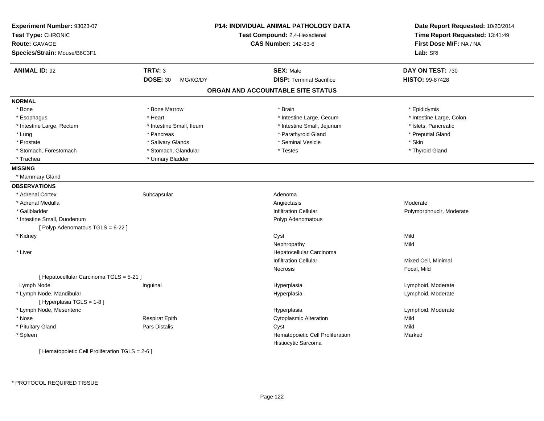| Experiment Number: 93023-07<br>Test Type: CHRONIC<br><b>Route: GAVAGE</b><br>Species/Strain: Mouse/B6C3F1 |                                               | <b>P14: INDIVIDUAL ANIMAL PATHOLOGY DATA</b><br>Test Compound: 2,4-Hexadienal<br><b>CAS Number: 142-83-6</b> | Date Report Requested: 10/20/2014<br>Time Report Requested: 13:41:49<br>First Dose M/F: NA / NA<br>Lab: SRI |
|-----------------------------------------------------------------------------------------------------------|-----------------------------------------------|--------------------------------------------------------------------------------------------------------------|-------------------------------------------------------------------------------------------------------------|
|                                                                                                           |                                               |                                                                                                              |                                                                                                             |
| <b>ANIMAL ID: 92</b>                                                                                      | <b>TRT#: 3</b><br><b>DOSE: 30</b><br>MG/KG/DY | <b>SEX: Male</b><br><b>DISP: Terminal Sacrifice</b>                                                          | DAY ON TEST: 730<br>HISTO: 99-87428                                                                         |
|                                                                                                           |                                               | ORGAN AND ACCOUNTABLE SITE STATUS                                                                            |                                                                                                             |
| <b>NORMAL</b>                                                                                             |                                               |                                                                                                              |                                                                                                             |
| * Bone                                                                                                    | * Bone Marrow                                 | * Brain                                                                                                      | * Epididymis                                                                                                |
| * Esophagus                                                                                               | * Heart                                       | * Intestine Large, Cecum                                                                                     | * Intestine Large, Colon                                                                                    |
| * Intestine Large, Rectum                                                                                 | * Intestine Small, Ileum                      | * Intestine Small, Jejunum                                                                                   | * Islets, Pancreatic                                                                                        |
| * Lung                                                                                                    | * Pancreas                                    | * Parathyroid Gland                                                                                          | * Preputial Gland                                                                                           |
| * Prostate                                                                                                | * Salivary Glands                             | * Seminal Vesicle                                                                                            | * Skin                                                                                                      |
| * Stomach, Forestomach                                                                                    | * Stomach, Glandular                          | * Testes                                                                                                     | * Thyroid Gland                                                                                             |
| * Trachea                                                                                                 | * Urinary Bladder                             |                                                                                                              |                                                                                                             |
| <b>MISSING</b>                                                                                            |                                               |                                                                                                              |                                                                                                             |
| * Mammary Gland                                                                                           |                                               |                                                                                                              |                                                                                                             |
| <b>OBSERVATIONS</b>                                                                                       |                                               |                                                                                                              |                                                                                                             |
| * Adrenal Cortex                                                                                          | Subcapsular                                   | Adenoma                                                                                                      |                                                                                                             |
| * Adrenal Medulla                                                                                         |                                               | Angiectasis                                                                                                  | Moderate                                                                                                    |
| * Gallbladder                                                                                             |                                               | Infiltration Cellular                                                                                        | Polymorphnuclr, Moderate                                                                                    |
| * Intestine Small, Duodenum                                                                               |                                               | Polyp Adenomatous                                                                                            |                                                                                                             |
| [Polyp Adenomatous TGLS = 6-22]                                                                           |                                               |                                                                                                              |                                                                                                             |
| * Kidney                                                                                                  |                                               | Cyst                                                                                                         | Mild                                                                                                        |
|                                                                                                           |                                               | Nephropathy                                                                                                  | Mild                                                                                                        |
| * Liver                                                                                                   |                                               | Hepatocellular Carcinoma                                                                                     |                                                                                                             |
|                                                                                                           |                                               | <b>Infiltration Cellular</b>                                                                                 | Mixed Cell, Minimal                                                                                         |
|                                                                                                           |                                               | Necrosis                                                                                                     | Focal, Mild                                                                                                 |
| [ Hepatocellular Carcinoma TGLS = 5-21 ]                                                                  |                                               |                                                                                                              |                                                                                                             |
| Lymph Node                                                                                                | Inguinal                                      | Hyperplasia                                                                                                  | Lymphoid, Moderate                                                                                          |
| * Lymph Node, Mandibular                                                                                  |                                               | Hyperplasia                                                                                                  | Lymphoid, Moderate                                                                                          |
| [Hyperplasia TGLS = 1-8]                                                                                  |                                               |                                                                                                              |                                                                                                             |
| * Lymph Node, Mesenteric                                                                                  |                                               | Hyperplasia                                                                                                  | Lymphoid, Moderate                                                                                          |
| * Nose                                                                                                    | <b>Respirat Epith</b>                         | <b>Cytoplasmic Alteration</b>                                                                                | Mild                                                                                                        |
| * Pituitary Gland                                                                                         | Pars Distalis                                 | Cyst                                                                                                         | Mild                                                                                                        |
| * Spleen                                                                                                  |                                               | Hematopoietic Cell Proliferation<br>Histiocytic Sarcoma                                                      | Marked                                                                                                      |
| [ Hematopoietic Cell Proliferation TGLS = 2-6 ]                                                           |                                               |                                                                                                              |                                                                                                             |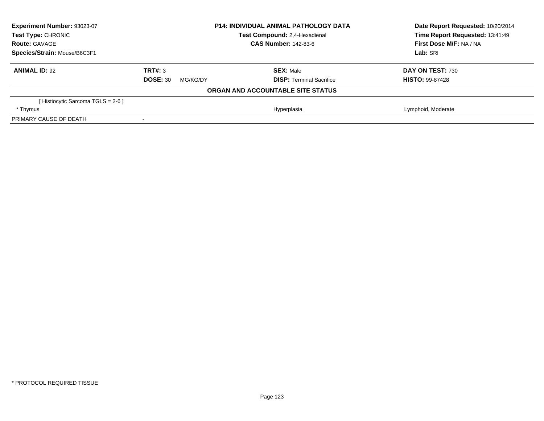| Experiment Number: 93023-07       |                             | <b>P14: INDIVIDUAL ANIMAL PATHOLOGY DATA</b> | Date Report Requested: 10/20/2014 |
|-----------------------------------|-----------------------------|----------------------------------------------|-----------------------------------|
| <b>Test Type: CHRONIC</b>         |                             | Test Compound: 2,4-Hexadienal                | Time Report Requested: 13:41:49   |
| <b>Route: GAVAGE</b>              |                             | <b>CAS Number: 142-83-6</b>                  | First Dose M/F: NA / NA           |
| Species/Strain: Mouse/B6C3F1      |                             |                                              | Lab: SRI                          |
| <b>ANIMAL ID: 92</b>              | TRT#: 3                     | <b>SEX: Male</b>                             | DAY ON TEST: 730                  |
|                                   | <b>DOSE: 30</b><br>MG/KG/DY | <b>DISP:</b> Terminal Sacrifice              | <b>HISTO: 99-87428</b>            |
|                                   |                             | ORGAN AND ACCOUNTABLE SITE STATUS            |                                   |
| [Histiocytic Sarcoma TGLS = 2-6 ] |                             |                                              |                                   |
| * Thymus                          |                             | Hyperplasia                                  | Lymphoid, Moderate                |
| PRIMARY CAUSE OF DEATH            | $\,$                        |                                              |                                   |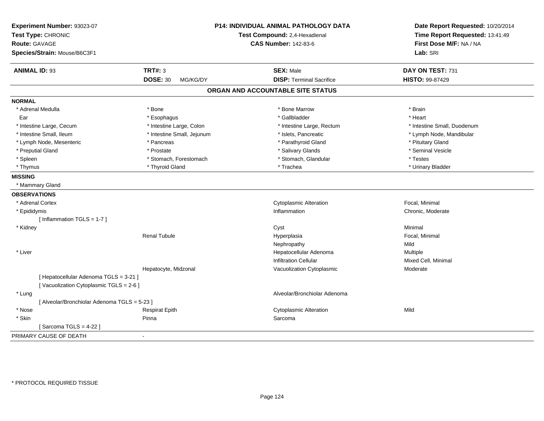| Experiment Number: 93023-07<br>Test Type: CHRONIC<br>Route: GAVAGE<br>Species/Strain: Mouse/B6C3F1 |                             | P14: INDIVIDUAL ANIMAL PATHOLOGY DATA<br>Test Compound: 2,4-Hexadienal<br><b>CAS Number: 142-83-6</b> | Date Report Requested: 10/20/2014<br>Time Report Requested: 13:41:49<br>First Dose M/F: NA / NA<br>Lab: SRI |
|----------------------------------------------------------------------------------------------------|-----------------------------|-------------------------------------------------------------------------------------------------------|-------------------------------------------------------------------------------------------------------------|
|                                                                                                    | <b>TRT#: 3</b>              |                                                                                                       |                                                                                                             |
| <b>ANIMAL ID: 93</b>                                                                               | <b>DOSE: 30</b><br>MG/KG/DY | <b>SEX: Male</b><br><b>DISP: Terminal Sacrifice</b>                                                   | DAY ON TEST: 731<br>HISTO: 99-87429                                                                         |
|                                                                                                    |                             |                                                                                                       |                                                                                                             |
|                                                                                                    |                             | ORGAN AND ACCOUNTABLE SITE STATUS                                                                     |                                                                                                             |
| <b>NORMAL</b>                                                                                      |                             |                                                                                                       |                                                                                                             |
| * Adrenal Medulla                                                                                  | * Bone                      | * Bone Marrow                                                                                         | * Brain                                                                                                     |
| Ear                                                                                                | * Esophagus                 | * Gallbladder                                                                                         | * Heart                                                                                                     |
| * Intestine Large, Cecum                                                                           | * Intestine Large, Colon    | * Intestine Large, Rectum                                                                             | * Intestine Small, Duodenum                                                                                 |
| * Intestine Small, Ileum                                                                           | * Intestine Small, Jejunum  | * Islets, Pancreatic                                                                                  | * Lymph Node, Mandibular                                                                                    |
| * Lymph Node, Mesenteric                                                                           | * Pancreas                  | * Parathyroid Gland                                                                                   | * Pituitary Gland                                                                                           |
| * Preputial Gland                                                                                  | * Prostate                  | * Salivary Glands                                                                                     | * Seminal Vesicle                                                                                           |
| * Spleen                                                                                           | * Stomach, Forestomach      | * Stomach, Glandular                                                                                  | * Testes                                                                                                    |
| * Thymus                                                                                           | * Thyroid Gland             | * Trachea                                                                                             | * Urinary Bladder                                                                                           |
| <b>MISSING</b>                                                                                     |                             |                                                                                                       |                                                                                                             |
| * Mammary Gland                                                                                    |                             |                                                                                                       |                                                                                                             |
| <b>OBSERVATIONS</b>                                                                                |                             |                                                                                                       |                                                                                                             |
| * Adrenal Cortex                                                                                   |                             | <b>Cytoplasmic Alteration</b>                                                                         | Focal, Minimal                                                                                              |
| * Epididymis                                                                                       |                             | Inflammation                                                                                          | Chronic, Moderate                                                                                           |
| [ Inflammation TGLS = 1-7 ]                                                                        |                             |                                                                                                       |                                                                                                             |
| * Kidney                                                                                           |                             | Cyst                                                                                                  | Minimal                                                                                                     |
|                                                                                                    | <b>Renal Tubule</b>         | Hyperplasia                                                                                           | Focal, Minimal                                                                                              |
|                                                                                                    |                             | Nephropathy                                                                                           | Mild                                                                                                        |
| * Liver                                                                                            |                             | Hepatocellular Adenoma                                                                                | Multiple                                                                                                    |
|                                                                                                    |                             | <b>Infiltration Cellular</b>                                                                          | Mixed Cell, Minimal                                                                                         |
|                                                                                                    | Hepatocyte, Midzonal        | Vacuolization Cytoplasmic                                                                             | Moderate                                                                                                    |
| [ Hepatocellular Adenoma TGLS = 3-21 ]                                                             |                             |                                                                                                       |                                                                                                             |
| [Vacuolization Cytoplasmic TGLS = 2-6]                                                             |                             |                                                                                                       |                                                                                                             |
| * Lung                                                                                             |                             | Alveolar/Bronchiolar Adenoma                                                                          |                                                                                                             |
| [ Alveolar/Bronchiolar Adenoma TGLS = 5-23 ]                                                       |                             |                                                                                                       |                                                                                                             |
| * Nose                                                                                             | <b>Respirat Epith</b>       | <b>Cytoplasmic Alteration</b>                                                                         | Mild                                                                                                        |
| * Skin                                                                                             | Pinna                       | Sarcoma                                                                                               |                                                                                                             |
| [Sarcoma TGLS = $4-22$ ]                                                                           |                             |                                                                                                       |                                                                                                             |
| PRIMARY CAUSE OF DEATH                                                                             | $\blacksquare$              |                                                                                                       |                                                                                                             |
|                                                                                                    |                             |                                                                                                       |                                                                                                             |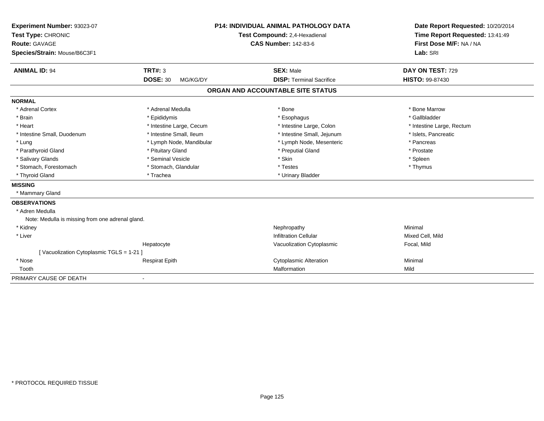| Experiment Number: 93023-07                      |                              | <b>P14: INDIVIDUAL ANIMAL PATHOLOGY DATA</b> | Date Report Requested: 10/20/2014 |
|--------------------------------------------------|------------------------------|----------------------------------------------|-----------------------------------|
| Test Type: CHRONIC                               |                              | Test Compound: 2,4-Hexadienal                | Time Report Requested: 13:41:49   |
| <b>Route: GAVAGE</b>                             |                              | <b>CAS Number: 142-83-6</b>                  | First Dose M/F: NA / NA           |
| Species/Strain: Mouse/B6C3F1                     |                              |                                              | Lab: SRI                          |
|                                                  |                              |                                              |                                   |
| <b>ANIMAL ID: 94</b>                             | <b>TRT#: 3</b>               | <b>SEX: Male</b>                             | DAY ON TEST: 729                  |
|                                                  | <b>DOSE: 30</b><br>MG/KG/DY  | <b>DISP: Terminal Sacrifice</b>              | <b>HISTO: 99-87430</b>            |
|                                                  |                              | ORGAN AND ACCOUNTABLE SITE STATUS            |                                   |
| <b>NORMAL</b>                                    |                              |                                              |                                   |
| * Adrenal Cortex                                 | * Adrenal Medulla            | * Bone                                       | * Bone Marrow                     |
| * Brain                                          | * Epididymis                 | * Esophagus                                  | * Gallbladder                     |
| * Heart                                          | * Intestine Large, Cecum     | * Intestine Large, Colon                     | * Intestine Large, Rectum         |
| * Intestine Small, Duodenum                      | * Intestine Small, Ileum     | * Intestine Small, Jejunum                   | * Islets, Pancreatic              |
| * Lung                                           | * Lymph Node, Mandibular     | * Lymph Node, Mesenteric                     | * Pancreas                        |
| * Parathyroid Gland                              | * Pituitary Gland            | * Preputial Gland                            | * Prostate                        |
| * Salivary Glands                                | * Seminal Vesicle            | * Skin                                       | * Spleen                          |
| * Stomach, Forestomach                           | * Stomach, Glandular         | * Testes                                     | * Thymus                          |
| * Thyroid Gland                                  | * Trachea                    | * Urinary Bladder                            |                                   |
| <b>MISSING</b>                                   |                              |                                              |                                   |
| * Mammary Gland                                  |                              |                                              |                                   |
| <b>OBSERVATIONS</b>                              |                              |                                              |                                   |
| * Adren Medulla                                  |                              |                                              |                                   |
| Note: Medulla is missing from one adrenal gland. |                              |                                              |                                   |
| * Kidney                                         |                              | Nephropathy                                  | Minimal                           |
| * Liver                                          |                              | <b>Infiltration Cellular</b>                 | Mixed Cell, Mild                  |
|                                                  | Hepatocyte                   | Vacuolization Cytoplasmic                    | Focal, Mild                       |
| [Vacuolization Cytoplasmic TGLS = 1-21]          |                              |                                              |                                   |
| * Nose                                           | <b>Respirat Epith</b>        | <b>Cytoplasmic Alteration</b>                | Minimal                           |
| Tooth                                            |                              | Malformation                                 | Mild                              |
| PRIMARY CAUSE OF DEATH                           | $\qquad \qquad \blacksquare$ |                                              |                                   |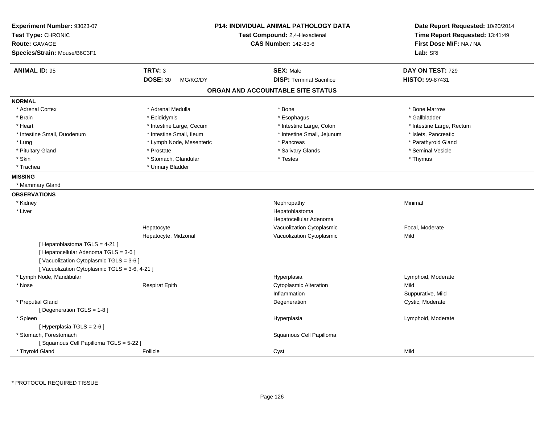| Experiment Number: 93023-07<br>Test Type: CHRONIC<br><b>Route: GAVAGE</b><br>Species/Strain: Mouse/B6C3F1                                                         |                             | <b>P14: INDIVIDUAL ANIMAL PATHOLOGY DATA</b><br>Test Compound: 2,4-Hexadienal<br><b>CAS Number: 142-83-6</b> | Date Report Requested: 10/20/2014<br>Time Report Requested: 13:41:49<br>First Dose M/F: NA / NA<br>Lab: SRI |
|-------------------------------------------------------------------------------------------------------------------------------------------------------------------|-----------------------------|--------------------------------------------------------------------------------------------------------------|-------------------------------------------------------------------------------------------------------------|
| <b>ANIMAL ID: 95</b>                                                                                                                                              | <b>TRT#: 3</b>              | <b>SEX: Male</b>                                                                                             | DAY ON TEST: 729                                                                                            |
|                                                                                                                                                                   | <b>DOSE: 30</b><br>MG/KG/DY | <b>DISP: Terminal Sacrifice</b>                                                                              | <b>HISTO: 99-87431</b>                                                                                      |
|                                                                                                                                                                   |                             | ORGAN AND ACCOUNTABLE SITE STATUS                                                                            |                                                                                                             |
| <b>NORMAL</b>                                                                                                                                                     |                             |                                                                                                              |                                                                                                             |
| * Adrenal Cortex                                                                                                                                                  | * Adrenal Medulla           | * Bone                                                                                                       | * Bone Marrow                                                                                               |
| * Brain                                                                                                                                                           | * Epididymis                | * Esophagus                                                                                                  | * Gallbladder                                                                                               |
| * Heart                                                                                                                                                           | * Intestine Large, Cecum    | * Intestine Large, Colon                                                                                     | * Intestine Large, Rectum                                                                                   |
| * Intestine Small, Duodenum                                                                                                                                       | * Intestine Small. Ileum    | * Intestine Small, Jejunum                                                                                   | * Islets, Pancreatic                                                                                        |
| * Lung                                                                                                                                                            | * Lymph Node, Mesenteric    | * Pancreas                                                                                                   | * Parathyroid Gland                                                                                         |
| * Pituitary Gland                                                                                                                                                 | * Prostate                  | * Salivary Glands                                                                                            | * Seminal Vesicle                                                                                           |
| * Skin                                                                                                                                                            | * Stomach, Glandular        | * Testes                                                                                                     | * Thymus                                                                                                    |
| * Trachea                                                                                                                                                         | * Urinary Bladder           |                                                                                                              |                                                                                                             |
| <b>MISSING</b>                                                                                                                                                    |                             |                                                                                                              |                                                                                                             |
| * Mammary Gland                                                                                                                                                   |                             |                                                                                                              |                                                                                                             |
| <b>OBSERVATIONS</b>                                                                                                                                               |                             |                                                                                                              |                                                                                                             |
| * Kidney                                                                                                                                                          |                             | Nephropathy                                                                                                  | Minimal                                                                                                     |
| * Liver                                                                                                                                                           |                             | Hepatoblastoma                                                                                               |                                                                                                             |
|                                                                                                                                                                   |                             | Hepatocellular Adenoma                                                                                       |                                                                                                             |
|                                                                                                                                                                   | Hepatocyte                  | Vacuolization Cytoplasmic                                                                                    | Focal, Moderate                                                                                             |
|                                                                                                                                                                   | Hepatocyte, Midzonal        | Vacuolization Cytoplasmic                                                                                    | Mild                                                                                                        |
| [ Hepatoblastoma TGLS = 4-21 ]<br>[ Hepatocellular Adenoma TGLS = 3-6 ]<br>[Vacuolization Cytoplasmic TGLS = 3-6]<br>[Vacuolization Cytoplasmic TGLS = 3-6, 4-21] |                             |                                                                                                              |                                                                                                             |
| * Lymph Node, Mandibular                                                                                                                                          |                             | Hyperplasia                                                                                                  | Lymphoid, Moderate                                                                                          |
| * Nose                                                                                                                                                            | <b>Respirat Epith</b>       | <b>Cytoplasmic Alteration</b>                                                                                | Mild                                                                                                        |
|                                                                                                                                                                   |                             | Inflammation                                                                                                 | Suppurative, Mild                                                                                           |
| * Preputial Gland                                                                                                                                                 |                             | Degeneration                                                                                                 | Cystic, Moderate                                                                                            |
| [Degeneration TGLS = 1-8]                                                                                                                                         |                             |                                                                                                              |                                                                                                             |
| * Spleen                                                                                                                                                          |                             | Hyperplasia                                                                                                  | Lymphoid, Moderate                                                                                          |
| [ Hyperplasia TGLS = 2-6 ]                                                                                                                                        |                             |                                                                                                              |                                                                                                             |
| * Stomach, Forestomach                                                                                                                                            |                             | Squamous Cell Papilloma                                                                                      |                                                                                                             |
| [Squamous Cell Papilloma TGLS = 5-22]                                                                                                                             |                             |                                                                                                              |                                                                                                             |
| * Thyroid Gland                                                                                                                                                   | Follicle                    | Cyst                                                                                                         | Mild                                                                                                        |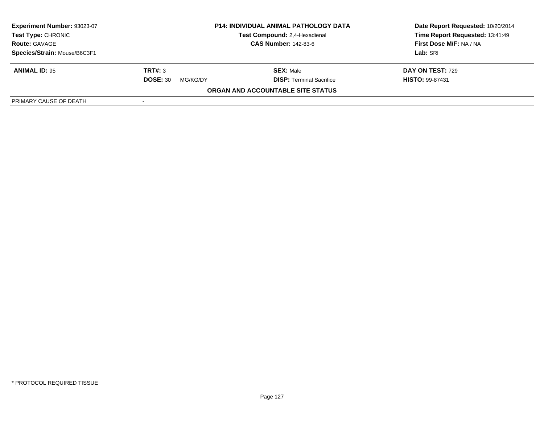| Experiment Number: 93023-07  | <b>P14: INDIVIDUAL ANIMAL PATHOLOGY DATA</b> |                                      | Date Report Requested: 10/20/2014 |  |
|------------------------------|----------------------------------------------|--------------------------------------|-----------------------------------|--|
| <b>Test Type: CHRONIC</b>    |                                              | <b>Test Compound: 2.4-Hexadienal</b> | Time Report Requested: 13:41:49   |  |
| <b>Route: GAVAGE</b>         |                                              | <b>CAS Number: 142-83-6</b>          | First Dose M/F: NA / NA           |  |
| Species/Strain: Mouse/B6C3F1 |                                              |                                      | Lab: SRI                          |  |
| <b>ANIMAL ID: 95</b>         | TRT#: 3                                      | <b>SEX: Male</b>                     | <b>DAY ON TEST: 729</b>           |  |
|                              | <b>DOSE: 30</b><br>MG/KG/DY                  | <b>DISP: Terminal Sacrifice</b>      | <b>HISTO: 99-87431</b>            |  |
|                              |                                              | ORGAN AND ACCOUNTABLE SITE STATUS    |                                   |  |
| PRIMARY CAUSE OF DEATH       | $\overline{\phantom{a}}$                     |                                      |                                   |  |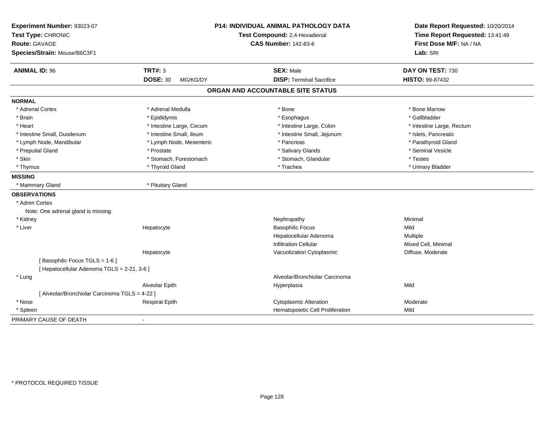| Experiment Number: 93023-07<br>Test Type: CHRONIC<br><b>Route: GAVAGE</b><br>Species/Strain: Mouse/B6C3F1 |                             | P14: INDIVIDUAL ANIMAL PATHOLOGY DATA<br>Test Compound: 2,4-Hexadienal<br><b>CAS Number: 142-83-6</b> | Date Report Requested: 10/20/2014<br>Time Report Requested: 13:41:49<br>First Dose M/F: NA / NA<br>Lab: SRI |
|-----------------------------------------------------------------------------------------------------------|-----------------------------|-------------------------------------------------------------------------------------------------------|-------------------------------------------------------------------------------------------------------------|
| <b>ANIMAL ID: 96</b>                                                                                      | TRT#: 3                     | <b>SEX: Male</b>                                                                                      | DAY ON TEST: 730                                                                                            |
|                                                                                                           | <b>DOSE: 30</b><br>MG/KG/DY | <b>DISP: Terminal Sacrifice</b>                                                                       | HISTO: 99-87432                                                                                             |
|                                                                                                           |                             | ORGAN AND ACCOUNTABLE SITE STATUS                                                                     |                                                                                                             |
| <b>NORMAL</b>                                                                                             |                             |                                                                                                       |                                                                                                             |
| * Adrenal Cortex                                                                                          | * Adrenal Medulla           | * Bone                                                                                                | * Bone Marrow                                                                                               |
| * Brain                                                                                                   | * Epididymis                | * Esophagus                                                                                           | * Gallbladder                                                                                               |
| * Heart                                                                                                   | * Intestine Large, Cecum    | * Intestine Large, Colon                                                                              | * Intestine Large, Rectum                                                                                   |
| * Intestine Small, Duodenum                                                                               | * Intestine Small, Ileum    | * Intestine Small, Jejunum                                                                            | * Islets, Pancreatic                                                                                        |
| * Lymph Node, Mandibular                                                                                  | * Lymph Node, Mesenteric    | * Pancreas                                                                                            | * Parathyroid Gland                                                                                         |
| * Preputial Gland                                                                                         | * Prostate                  | * Salivary Glands                                                                                     | * Seminal Vesicle                                                                                           |
| * Skin                                                                                                    | * Stomach, Forestomach      | * Stomach, Glandular                                                                                  | * Testes                                                                                                    |
| * Thymus                                                                                                  | * Thyroid Gland             | * Trachea                                                                                             | * Urinary Bladder                                                                                           |
| <b>MISSING</b>                                                                                            |                             |                                                                                                       |                                                                                                             |
| * Mammary Gland                                                                                           | * Pituitary Gland           |                                                                                                       |                                                                                                             |
| <b>OBSERVATIONS</b>                                                                                       |                             |                                                                                                       |                                                                                                             |
| * Adren Cortex                                                                                            |                             |                                                                                                       |                                                                                                             |
| Note: One adrenal gland is missing.                                                                       |                             |                                                                                                       |                                                                                                             |
| * Kidney                                                                                                  |                             | Nephropathy                                                                                           | Minimal                                                                                                     |
| * Liver                                                                                                   | Hepatocyte                  | <b>Basophilic Focus</b>                                                                               | Mild                                                                                                        |
|                                                                                                           |                             | Hepatocellular Adenoma                                                                                | Multiple                                                                                                    |
|                                                                                                           |                             | <b>Infiltration Cellular</b>                                                                          | Mixed Cell, Minimal                                                                                         |
|                                                                                                           | Hepatocyte                  | Vacuolization Cytoplasmic                                                                             | Diffuse, Moderate                                                                                           |
| [Basophilic Focus TGLS = 1-6]                                                                             |                             |                                                                                                       |                                                                                                             |
| [ Hepatocellular Adenoma TGLS = 2-21, 3-6 ]                                                               |                             |                                                                                                       |                                                                                                             |
| * Lung                                                                                                    |                             | Alveolar/Bronchiolar Carcinoma                                                                        |                                                                                                             |
|                                                                                                           | Alveolar Epith              | Hyperplasia                                                                                           | Mild                                                                                                        |
| [ Alveolar/Bronchiolar Carcinoma TGLS = 4-22 ]                                                            |                             |                                                                                                       |                                                                                                             |
| * Nose                                                                                                    | <b>Respirat Epith</b>       | <b>Cytoplasmic Alteration</b>                                                                         | Moderate                                                                                                    |
| * Spleen                                                                                                  |                             | Hematopoietic Cell Proliferation                                                                      | Mild                                                                                                        |
| PRIMARY CAUSE OF DEATH                                                                                    |                             |                                                                                                       |                                                                                                             |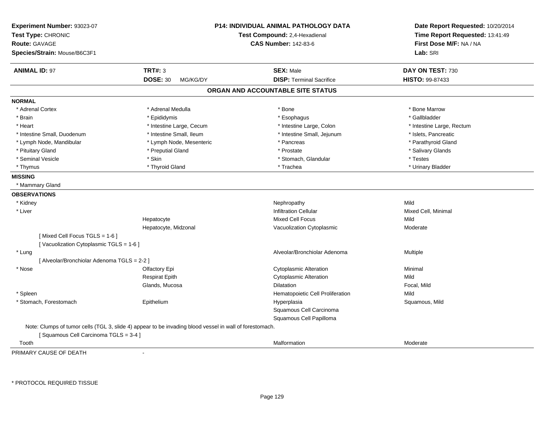| Experiment Number: 93023-07<br>Test Type: CHRONIC<br><b>Route: GAVAGE</b><br>Species/Strain: Mouse/B6C3F1 |                                                                                                         | <b>P14: INDIVIDUAL ANIMAL PATHOLOGY DATA</b><br>Test Compound: 2,4-Hexadienal<br><b>CAS Number: 142-83-6</b> | Date Report Requested: 10/20/2014<br>Time Report Requested: 13:41:49<br>First Dose M/F: NA / NA<br>Lab: SRI |
|-----------------------------------------------------------------------------------------------------------|---------------------------------------------------------------------------------------------------------|--------------------------------------------------------------------------------------------------------------|-------------------------------------------------------------------------------------------------------------|
| <b>ANIMAL ID: 97</b>                                                                                      | <b>TRT#: 3</b>                                                                                          | <b>SEX: Male</b>                                                                                             | DAY ON TEST: 730                                                                                            |
|                                                                                                           | <b>DOSE: 30</b><br>MG/KG/DY                                                                             | <b>DISP: Terminal Sacrifice</b>                                                                              | <b>HISTO: 99-87433</b>                                                                                      |
|                                                                                                           |                                                                                                         | ORGAN AND ACCOUNTABLE SITE STATUS                                                                            |                                                                                                             |
| <b>NORMAL</b>                                                                                             |                                                                                                         |                                                                                                              |                                                                                                             |
| * Adrenal Cortex                                                                                          | * Adrenal Medulla                                                                                       | * Bone                                                                                                       | * Bone Marrow                                                                                               |
| * Brain                                                                                                   | * Epididymis                                                                                            | * Esophagus                                                                                                  | * Gallbladder                                                                                               |
| * Heart                                                                                                   | * Intestine Large, Cecum                                                                                | * Intestine Large, Colon                                                                                     | * Intestine Large, Rectum                                                                                   |
| * Intestine Small, Duodenum                                                                               | * Intestine Small, Ileum                                                                                | * Intestine Small, Jejunum                                                                                   | * Islets, Pancreatic                                                                                        |
| * Lymph Node, Mandibular                                                                                  | * Lymph Node, Mesenteric                                                                                | * Pancreas                                                                                                   | * Parathyroid Gland                                                                                         |
| * Pituitary Gland                                                                                         | * Preputial Gland                                                                                       | * Prostate                                                                                                   | * Salivary Glands                                                                                           |
| * Seminal Vesicle                                                                                         | * Skin                                                                                                  | * Stomach, Glandular                                                                                         | * Testes                                                                                                    |
| * Thymus                                                                                                  | * Thyroid Gland                                                                                         | * Trachea                                                                                                    | * Urinary Bladder                                                                                           |
| <b>MISSING</b>                                                                                            |                                                                                                         |                                                                                                              |                                                                                                             |
| * Mammary Gland                                                                                           |                                                                                                         |                                                                                                              |                                                                                                             |
| <b>OBSERVATIONS</b>                                                                                       |                                                                                                         |                                                                                                              |                                                                                                             |
| * Kidney                                                                                                  |                                                                                                         | Nephropathy                                                                                                  | Mild                                                                                                        |
| * Liver                                                                                                   |                                                                                                         | <b>Infiltration Cellular</b>                                                                                 | Mixed Cell, Minimal                                                                                         |
|                                                                                                           | Hepatocyte                                                                                              | <b>Mixed Cell Focus</b>                                                                                      | Mild                                                                                                        |
|                                                                                                           | Hepatocyte, Midzonal                                                                                    | Vacuolization Cytoplasmic                                                                                    | Moderate                                                                                                    |
| [Mixed Cell Focus TGLS = 1-6]                                                                             |                                                                                                         |                                                                                                              |                                                                                                             |
| [Vacuolization Cytoplasmic TGLS = 1-6]                                                                    |                                                                                                         |                                                                                                              |                                                                                                             |
| * Lung                                                                                                    |                                                                                                         | Alveolar/Bronchiolar Adenoma                                                                                 | Multiple                                                                                                    |
| [ Alveolar/Bronchiolar Adenoma TGLS = 2-2 ]                                                               |                                                                                                         |                                                                                                              |                                                                                                             |
| * Nose                                                                                                    | Olfactory Epi                                                                                           | <b>Cytoplasmic Alteration</b>                                                                                | Minimal                                                                                                     |
|                                                                                                           | <b>Respirat Epith</b>                                                                                   | <b>Cytoplasmic Alteration</b>                                                                                | Mild                                                                                                        |
|                                                                                                           | Glands, Mucosa                                                                                          | <b>Dilatation</b>                                                                                            | Focal, Mild                                                                                                 |
| * Spleen                                                                                                  |                                                                                                         | Hematopoietic Cell Proliferation                                                                             | Mild                                                                                                        |
| * Stomach, Forestomach                                                                                    | Epithelium                                                                                              | Hyperplasia                                                                                                  | Squamous, Mild                                                                                              |
|                                                                                                           |                                                                                                         | Squamous Cell Carcinoma                                                                                      |                                                                                                             |
|                                                                                                           |                                                                                                         | Squamous Cell Papilloma                                                                                      |                                                                                                             |
|                                                                                                           | Note: Clumps of tumor cells (TGL 3, slide 4) appear to be invading blood vessel in wall of forestomach. |                                                                                                              |                                                                                                             |
| [Squamous Cell Carcinoma TGLS = 3-4]                                                                      |                                                                                                         |                                                                                                              |                                                                                                             |
| Tooth<br>DOIMADV CALICE OF DEATH                                                                          |                                                                                                         | Malformation                                                                                                 | Moderate                                                                                                    |

PRIMARY CAUSE OF DEATH-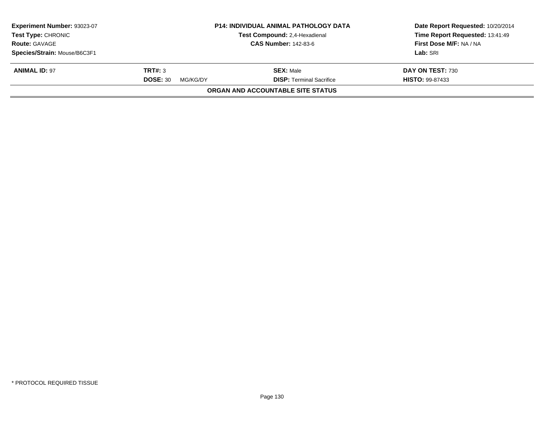| Experiment Number: 93023-07<br><b>Test Type: CHRONIC</b> |                             | <b>P14: INDIVIDUAL ANIMAL PATHOLOGY DATA</b><br>Test Compound: 2,4-Hexadienal<br><b>CAS Number: 142-83-6</b> | Date Report Requested: 10/20/2014<br>Time Report Requested: 13:41:49 |
|----------------------------------------------------------|-----------------------------|--------------------------------------------------------------------------------------------------------------|----------------------------------------------------------------------|
| <b>Route: GAVAGE</b>                                     |                             |                                                                                                              | First Dose M/F: NA / NA                                              |
| Species/Strain: Mouse/B6C3F1                             |                             |                                                                                                              | Lab: SRI                                                             |
| <b>ANIMAL ID: 97</b>                                     | TRT#: 3                     | <b>SEX: Male</b>                                                                                             | DAY ON TEST: 730                                                     |
|                                                          | <b>DOSE: 30</b><br>MG/KG/DY | <b>DISP: Terminal Sacrifice</b>                                                                              | <b>HISTO: 99-87433</b>                                               |
|                                                          |                             | <b>ORGAN AND ACCOUNTABLE SITE STATUS</b>                                                                     |                                                                      |
|                                                          |                             |                                                                                                              |                                                                      |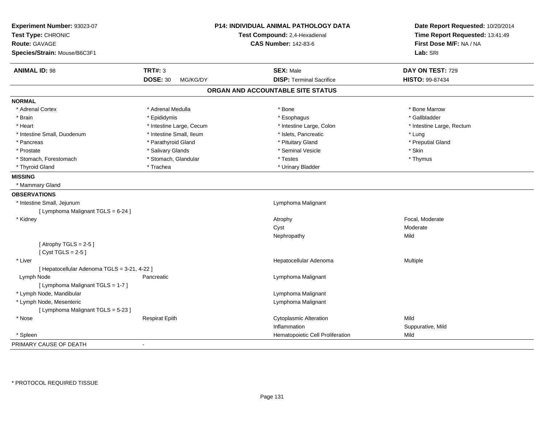| Experiment Number: 93023-07<br>Test Type: CHRONIC |                             | <b>P14: INDIVIDUAL ANIMAL PATHOLOGY DATA</b><br>Test Compound: 2,4-Hexadienal | Date Report Requested: 10/20/2014<br>Time Report Requested: 13:41:49 |  |
|---------------------------------------------------|-----------------------------|-------------------------------------------------------------------------------|----------------------------------------------------------------------|--|
| <b>Route: GAVAGE</b>                              |                             | <b>CAS Number: 142-83-6</b>                                                   | First Dose M/F: NA / NA                                              |  |
| Species/Strain: Mouse/B6C3F1                      |                             |                                                                               | Lab: SRI                                                             |  |
| <b>ANIMAL ID: 98</b>                              | <b>TRT#: 3</b>              | <b>SEX: Male</b>                                                              | DAY ON TEST: 729                                                     |  |
|                                                   | <b>DOSE: 30</b><br>MG/KG/DY | <b>DISP: Terminal Sacrifice</b>                                               | HISTO: 99-87434                                                      |  |
|                                                   |                             | ORGAN AND ACCOUNTABLE SITE STATUS                                             |                                                                      |  |
| <b>NORMAL</b>                                     |                             |                                                                               |                                                                      |  |
| * Adrenal Cortex                                  | * Adrenal Medulla           | * Bone                                                                        | * Bone Marrow                                                        |  |
| * Brain                                           | * Epididymis                | * Esophagus                                                                   | * Gallbladder                                                        |  |
| * Heart                                           | * Intestine Large, Cecum    | * Intestine Large, Colon                                                      | * Intestine Large, Rectum                                            |  |
| * Intestine Small, Duodenum                       | * Intestine Small, Ileum    | * Islets, Pancreatic                                                          | * Lung                                                               |  |
| * Pancreas                                        | * Parathyroid Gland         | * Pituitary Gland                                                             | * Preputial Gland                                                    |  |
| * Prostate                                        | * Salivary Glands           | * Seminal Vesicle                                                             | * Skin                                                               |  |
| * Stomach, Forestomach                            | * Stomach, Glandular        | * Testes                                                                      | * Thymus                                                             |  |
| * Thyroid Gland                                   | * Trachea                   | * Urinary Bladder                                                             |                                                                      |  |
| <b>MISSING</b>                                    |                             |                                                                               |                                                                      |  |
| * Mammary Gland                                   |                             |                                                                               |                                                                      |  |
| <b>OBSERVATIONS</b>                               |                             |                                                                               |                                                                      |  |
| * Intestine Small, Jejunum                        |                             | Lymphoma Malignant                                                            |                                                                      |  |
| [ Lymphoma Malignant TGLS = 6-24 ]                |                             |                                                                               |                                                                      |  |
| * Kidney                                          |                             | Atrophy                                                                       | Focal, Moderate                                                      |  |
|                                                   |                             | Cyst                                                                          | Moderate                                                             |  |
|                                                   |                             | Nephropathy                                                                   | Mild                                                                 |  |
| [Atrophy TGLS = $2-5$ ]<br>[Cyst TGLS = $2-5$ ]   |                             |                                                                               |                                                                      |  |
| * Liver                                           |                             | Hepatocellular Adenoma                                                        | Multiple                                                             |  |
| [ Hepatocellular Adenoma TGLS = 3-21, 4-22 ]      |                             |                                                                               |                                                                      |  |
| Lymph Node                                        | Pancreatic                  | Lymphoma Malignant                                                            |                                                                      |  |
| [ Lymphoma Malignant TGLS = 1-7 ]                 |                             |                                                                               |                                                                      |  |
| * Lymph Node, Mandibular                          |                             | Lymphoma Malignant                                                            |                                                                      |  |
| * Lymph Node, Mesenteric                          |                             | Lymphoma Malignant                                                            |                                                                      |  |
| [ Lymphoma Malignant TGLS = 5-23 ]                |                             |                                                                               |                                                                      |  |
| * Nose                                            | <b>Respirat Epith</b>       | <b>Cytoplasmic Alteration</b>                                                 | Mild                                                                 |  |
|                                                   |                             | Inflammation                                                                  | Suppurative, Mild                                                    |  |
| * Spleen                                          |                             | Hematopoietic Cell Proliferation                                              | Mild                                                                 |  |
| PRIMARY CAUSE OF DEATH                            |                             |                                                                               |                                                                      |  |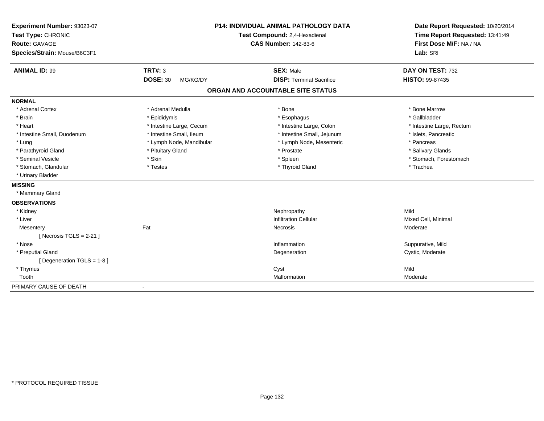| Experiment Number: 93023-07<br>Test Type: CHRONIC<br><b>Route: GAVAGE</b><br>Species/Strain: Mouse/B6C3F1 |                             | <b>P14: INDIVIDUAL ANIMAL PATHOLOGY DATA</b><br>Test Compound: 2,4-Hexadienal<br><b>CAS Number: 142-83-6</b> | Date Report Requested: 10/20/2014<br>Time Report Requested: 13:41:49<br>First Dose M/F: NA / NA<br>Lab: SRI |
|-----------------------------------------------------------------------------------------------------------|-----------------------------|--------------------------------------------------------------------------------------------------------------|-------------------------------------------------------------------------------------------------------------|
| <b>ANIMAL ID: 99</b>                                                                                      | TRT#: 3                     | <b>SEX: Male</b>                                                                                             | DAY ON TEST: 732                                                                                            |
|                                                                                                           | <b>DOSE: 30</b><br>MG/KG/DY | <b>DISP: Terminal Sacrifice</b>                                                                              | HISTO: 99-87435                                                                                             |
|                                                                                                           |                             | ORGAN AND ACCOUNTABLE SITE STATUS                                                                            |                                                                                                             |
| <b>NORMAL</b>                                                                                             |                             |                                                                                                              |                                                                                                             |
| * Adrenal Cortex                                                                                          | * Adrenal Medulla           | * Bone                                                                                                       | * Bone Marrow                                                                                               |
| * Brain                                                                                                   | * Epididymis                | * Esophagus                                                                                                  | * Gallbladder                                                                                               |
| * Heart                                                                                                   | * Intestine Large, Cecum    | * Intestine Large, Colon                                                                                     | * Intestine Large, Rectum                                                                                   |
| * Intestine Small, Duodenum                                                                               | * Intestine Small, Ileum    | * Intestine Small, Jejunum                                                                                   | * Islets, Pancreatic                                                                                        |
| * Lung                                                                                                    | * Lymph Node, Mandibular    | * Lymph Node, Mesenteric                                                                                     | * Pancreas                                                                                                  |
| * Parathyroid Gland                                                                                       | * Pituitary Gland           | * Prostate                                                                                                   | * Salivary Glands                                                                                           |
| * Seminal Vesicle                                                                                         | * Skin                      | * Spleen                                                                                                     | * Stomach, Forestomach                                                                                      |
| * Stomach, Glandular                                                                                      | * Testes                    | * Thyroid Gland                                                                                              | * Trachea                                                                                                   |
| * Urinary Bladder                                                                                         |                             |                                                                                                              |                                                                                                             |
| <b>MISSING</b>                                                                                            |                             |                                                                                                              |                                                                                                             |
| * Mammary Gland                                                                                           |                             |                                                                                                              |                                                                                                             |
| <b>OBSERVATIONS</b>                                                                                       |                             |                                                                                                              |                                                                                                             |
| * Kidney                                                                                                  |                             | Nephropathy                                                                                                  | Mild                                                                                                        |
| * Liver                                                                                                   |                             | <b>Infiltration Cellular</b>                                                                                 | Mixed Cell, Minimal                                                                                         |
| Mesentery                                                                                                 | Fat                         | Necrosis                                                                                                     | Moderate                                                                                                    |
| [Necrosis TGLS = $2-21$ ]                                                                                 |                             |                                                                                                              |                                                                                                             |
| * Nose                                                                                                    |                             | Inflammation                                                                                                 | Suppurative, Mild                                                                                           |
| * Preputial Gland                                                                                         |                             | Degeneration                                                                                                 | Cystic, Moderate                                                                                            |
| [Degeneration TGLS = 1-8]                                                                                 |                             |                                                                                                              |                                                                                                             |
| * Thymus                                                                                                  |                             | Cyst                                                                                                         | Mild                                                                                                        |
| Tooth                                                                                                     |                             | Malformation                                                                                                 | Moderate                                                                                                    |
| PRIMARY CAUSE OF DEATH                                                                                    | $\blacksquare$              |                                                                                                              |                                                                                                             |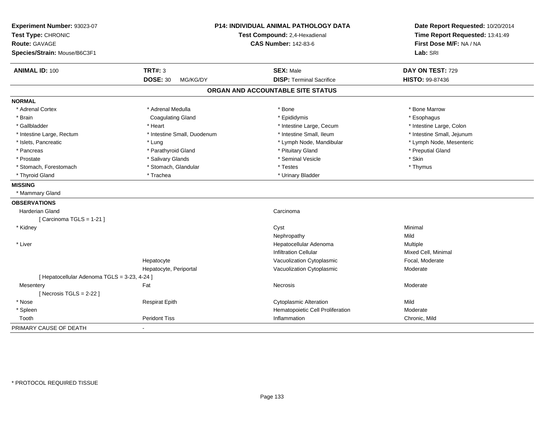| Experiment Number: 93023-07<br>Test Type: CHRONIC<br><b>Route: GAVAGE</b><br>Species/Strain: Mouse/B6C3F1 | <b>P14: INDIVIDUAL ANIMAL PATHOLOGY DATA</b><br>Test Compound: 2,4-Hexadienal<br><b>CAS Number: 142-83-6</b> |                                   | Date Report Requested: 10/20/2014<br>Time Report Requested: 13:41:49<br>First Dose M/F: NA / NA<br>Lab: SRI |
|-----------------------------------------------------------------------------------------------------------|--------------------------------------------------------------------------------------------------------------|-----------------------------------|-------------------------------------------------------------------------------------------------------------|
| <b>ANIMAL ID: 100</b>                                                                                     | <b>TRT#: 3</b>                                                                                               | <b>SEX: Male</b>                  | DAY ON TEST: 729                                                                                            |
|                                                                                                           | <b>DOSE: 30</b><br>MG/KG/DY                                                                                  | <b>DISP: Terminal Sacrifice</b>   | <b>HISTO: 99-87436</b>                                                                                      |
|                                                                                                           |                                                                                                              | ORGAN AND ACCOUNTABLE SITE STATUS |                                                                                                             |
| <b>NORMAL</b>                                                                                             |                                                                                                              |                                   |                                                                                                             |
| * Adrenal Cortex                                                                                          | * Adrenal Medulla                                                                                            | * Bone                            | * Bone Marrow                                                                                               |
| * Brain                                                                                                   | <b>Coagulating Gland</b>                                                                                     | * Epididymis                      | * Esophagus                                                                                                 |
| * Gallbladder                                                                                             | * Heart                                                                                                      | * Intestine Large, Cecum          | * Intestine Large, Colon                                                                                    |
| * Intestine Large, Rectum                                                                                 | * Intestine Small, Duodenum                                                                                  | * Intestine Small, Ileum          | * Intestine Small, Jejunum                                                                                  |
| * Islets, Pancreatic                                                                                      | * Lung                                                                                                       | * Lymph Node, Mandibular          | * Lymph Node, Mesenteric                                                                                    |
| * Pancreas                                                                                                | * Parathyroid Gland                                                                                          | * Pituitary Gland                 | * Preputial Gland                                                                                           |
| * Prostate                                                                                                | * Salivary Glands                                                                                            | * Seminal Vesicle                 | * Skin                                                                                                      |
| * Stomach, Forestomach                                                                                    | * Stomach, Glandular                                                                                         | * Testes                          | * Thymus                                                                                                    |
| * Thyroid Gland                                                                                           | * Trachea                                                                                                    | * Urinary Bladder                 |                                                                                                             |
| <b>MISSING</b>                                                                                            |                                                                                                              |                                   |                                                                                                             |
| * Mammary Gland                                                                                           |                                                                                                              |                                   |                                                                                                             |
| <b>OBSERVATIONS</b>                                                                                       |                                                                                                              |                                   |                                                                                                             |
| <b>Harderian Gland</b>                                                                                    |                                                                                                              | Carcinoma                         |                                                                                                             |
| [ Carcinoma TGLS = 1-21 ]                                                                                 |                                                                                                              |                                   |                                                                                                             |
| * Kidney                                                                                                  |                                                                                                              | Cyst                              | Minimal                                                                                                     |
|                                                                                                           |                                                                                                              | Nephropathy                       | Mild                                                                                                        |
| * Liver                                                                                                   |                                                                                                              | Hepatocellular Adenoma            | Multiple                                                                                                    |
|                                                                                                           |                                                                                                              | <b>Infiltration Cellular</b>      | Mixed Cell, Minimal                                                                                         |
|                                                                                                           | Hepatocyte                                                                                                   | Vacuolization Cytoplasmic         | Focal, Moderate                                                                                             |
|                                                                                                           | Hepatocyte, Periportal                                                                                       | Vacuolization Cytoplasmic         | Moderate                                                                                                    |
| [ Hepatocellular Adenoma TGLS = 3-23, 4-24 ]                                                              |                                                                                                              |                                   |                                                                                                             |
| Mesentery                                                                                                 | Fat                                                                                                          | Necrosis                          | Moderate                                                                                                    |
| [ Necrosis $TGLS = 2-22$ ]                                                                                |                                                                                                              |                                   |                                                                                                             |
| * Nose                                                                                                    | <b>Respirat Epith</b>                                                                                        | <b>Cytoplasmic Alteration</b>     | Mild                                                                                                        |
| * Spleen                                                                                                  |                                                                                                              | Hematopoietic Cell Proliferation  | Moderate                                                                                                    |
| Tooth                                                                                                     | <b>Peridont Tiss</b>                                                                                         | Inflammation                      | Chronic, Mild                                                                                               |
| PRIMARY CAUSE OF DEATH                                                                                    |                                                                                                              |                                   |                                                                                                             |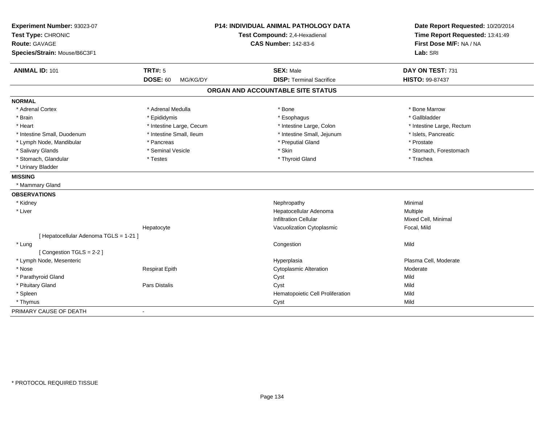| Experiment Number: 93023-07<br>Test Type: CHRONIC<br><b>Route: GAVAGE</b> |                             | P14: INDIVIDUAL ANIMAL PATHOLOGY DATA<br>Test Compound: 2,4-Hexadienal | Date Report Requested: 10/20/2014<br>Time Report Requested: 13:41:49<br>First Dose M/F: NA / NA |  |
|---------------------------------------------------------------------------|-----------------------------|------------------------------------------------------------------------|-------------------------------------------------------------------------------------------------|--|
|                                                                           |                             | <b>CAS Number: 142-83-6</b>                                            |                                                                                                 |  |
| Species/Strain: Mouse/B6C3F1                                              |                             |                                                                        | Lab: SRI                                                                                        |  |
| <b>ANIMAL ID: 101</b>                                                     | <b>TRT#: 5</b>              | <b>SEX: Male</b>                                                       | DAY ON TEST: 731                                                                                |  |
|                                                                           | <b>DOSE: 60</b><br>MG/KG/DY | <b>DISP: Terminal Sacrifice</b>                                        | <b>HISTO: 99-87437</b>                                                                          |  |
|                                                                           |                             | ORGAN AND ACCOUNTABLE SITE STATUS                                      |                                                                                                 |  |
| <b>NORMAL</b>                                                             |                             |                                                                        |                                                                                                 |  |
| * Adrenal Cortex                                                          | * Adrenal Medulla           | * Bone                                                                 | * Bone Marrow                                                                                   |  |
| * Brain                                                                   | * Epididymis                | * Esophagus                                                            | * Gallbladder                                                                                   |  |
| * Heart                                                                   | * Intestine Large, Cecum    | * Intestine Large, Colon                                               | * Intestine Large, Rectum                                                                       |  |
| * Intestine Small, Duodenum                                               | * Intestine Small, Ileum    | * Intestine Small, Jejunum                                             | * Islets, Pancreatic                                                                            |  |
| * Lymph Node, Mandibular                                                  | * Pancreas                  | * Preputial Gland                                                      | * Prostate                                                                                      |  |
| * Salivary Glands                                                         | * Seminal Vesicle           | * Skin                                                                 | * Stomach, Forestomach                                                                          |  |
| * Stomach, Glandular                                                      | * Testes                    | * Thyroid Gland                                                        | * Trachea                                                                                       |  |
| * Urinary Bladder                                                         |                             |                                                                        |                                                                                                 |  |
| <b>MISSING</b>                                                            |                             |                                                                        |                                                                                                 |  |
| * Mammary Gland                                                           |                             |                                                                        |                                                                                                 |  |
| <b>OBSERVATIONS</b>                                                       |                             |                                                                        |                                                                                                 |  |
| * Kidney                                                                  |                             | Nephropathy                                                            | Minimal                                                                                         |  |
| * Liver                                                                   |                             | Hepatocellular Adenoma                                                 | Multiple                                                                                        |  |
|                                                                           |                             | <b>Infiltration Cellular</b>                                           | Mixed Cell, Minimal                                                                             |  |
|                                                                           | Hepatocyte                  | Vacuolization Cytoplasmic                                              | Focal, Mild                                                                                     |  |
| [ Hepatocellular Adenoma TGLS = 1-21 ]                                    |                             |                                                                        |                                                                                                 |  |
| * Lung                                                                    |                             | Congestion                                                             | Mild                                                                                            |  |
| [Congestion TGLS = 2-2]                                                   |                             |                                                                        |                                                                                                 |  |
| * Lymph Node, Mesenteric                                                  |                             | Hyperplasia                                                            | Plasma Cell, Moderate                                                                           |  |
| * Nose                                                                    | <b>Respirat Epith</b>       | <b>Cytoplasmic Alteration</b>                                          | Moderate                                                                                        |  |
| * Parathyroid Gland                                                       |                             | Cyst                                                                   | Mild                                                                                            |  |
| * Pituitary Gland                                                         | <b>Pars Distalis</b>        | Cyst                                                                   | Mild                                                                                            |  |
| * Spleen                                                                  |                             | Hematopoietic Cell Proliferation                                       | Mild                                                                                            |  |
| * Thymus                                                                  |                             | Cyst                                                                   | Mild                                                                                            |  |
| PRIMARY CAUSE OF DEATH                                                    |                             |                                                                        |                                                                                                 |  |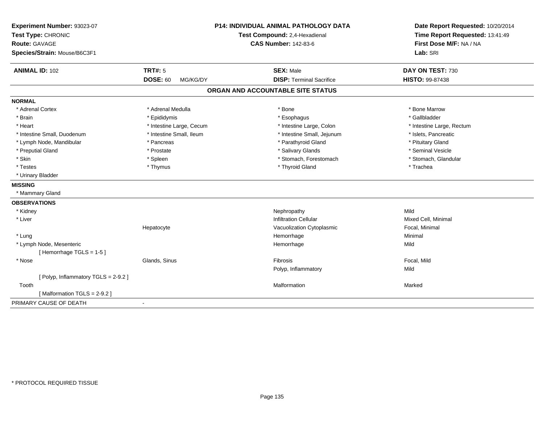| Experiment Number: 93023-07<br>Test Type: CHRONIC<br><b>Route: GAVAGE</b><br>Species/Strain: Mouse/B6C3F1 | <b>P14: INDIVIDUAL ANIMAL PATHOLOGY DATA</b><br>Test Compound: 2,4-Hexadienal<br><b>CAS Number: 142-83-6</b> |                                   | Date Report Requested: 10/20/2014<br>Time Report Requested: 13:41:49<br>First Dose M/F: NA / NA<br>Lab: SRI |
|-----------------------------------------------------------------------------------------------------------|--------------------------------------------------------------------------------------------------------------|-----------------------------------|-------------------------------------------------------------------------------------------------------------|
| <b>ANIMAL ID: 102</b>                                                                                     | <b>TRT#: 5</b>                                                                                               | <b>SEX: Male</b>                  | DAY ON TEST: 730                                                                                            |
|                                                                                                           | <b>DOSE: 60</b><br>MG/KG/DY                                                                                  | <b>DISP: Terminal Sacrifice</b>   | HISTO: 99-87438                                                                                             |
|                                                                                                           |                                                                                                              | ORGAN AND ACCOUNTABLE SITE STATUS |                                                                                                             |
| <b>NORMAL</b>                                                                                             |                                                                                                              |                                   |                                                                                                             |
| * Adrenal Cortex                                                                                          | * Adrenal Medulla                                                                                            | * Bone                            | * Bone Marrow                                                                                               |
| * Brain                                                                                                   | * Epididymis                                                                                                 | * Esophagus                       | * Gallbladder                                                                                               |
| * Heart                                                                                                   | * Intestine Large, Cecum                                                                                     | * Intestine Large, Colon          | * Intestine Large, Rectum                                                                                   |
| * Intestine Small, Duodenum                                                                               | * Intestine Small, Ileum                                                                                     | * Intestine Small, Jejunum        | * Islets, Pancreatic                                                                                        |
| * Lymph Node, Mandibular                                                                                  | * Pancreas                                                                                                   | * Parathyroid Gland               | * Pituitary Gland                                                                                           |
| * Preputial Gland                                                                                         | * Prostate                                                                                                   | * Salivary Glands                 | * Seminal Vesicle                                                                                           |
| * Skin                                                                                                    | * Spleen                                                                                                     | * Stomach, Forestomach            | * Stomach, Glandular                                                                                        |
| * Testes                                                                                                  | * Thymus                                                                                                     | * Thyroid Gland                   | * Trachea                                                                                                   |
| * Urinary Bladder                                                                                         |                                                                                                              |                                   |                                                                                                             |
| <b>MISSING</b>                                                                                            |                                                                                                              |                                   |                                                                                                             |
| * Mammary Gland                                                                                           |                                                                                                              |                                   |                                                                                                             |
| <b>OBSERVATIONS</b>                                                                                       |                                                                                                              |                                   |                                                                                                             |
| * Kidney                                                                                                  |                                                                                                              | Nephropathy                       | Mild                                                                                                        |
| * Liver                                                                                                   |                                                                                                              | <b>Infiltration Cellular</b>      | Mixed Cell, Minimal                                                                                         |
|                                                                                                           | Hepatocyte                                                                                                   | Vacuolization Cytoplasmic         | Focal, Minimal                                                                                              |
| * Lung                                                                                                    |                                                                                                              | Hemorrhage                        | Minimal                                                                                                     |
| * Lymph Node, Mesenteric                                                                                  |                                                                                                              | Hemorrhage                        | Mild                                                                                                        |
| [Hemorrhage TGLS = 1-5]                                                                                   |                                                                                                              |                                   |                                                                                                             |
| * Nose                                                                                                    | Glands, Sinus                                                                                                | Fibrosis                          | Focal, Mild                                                                                                 |
|                                                                                                           |                                                                                                              | Polyp, Inflammatory               | Mild                                                                                                        |
| [Polyp, Inflammatory TGLS = 2-9.2]                                                                        |                                                                                                              |                                   |                                                                                                             |
| Tooth                                                                                                     |                                                                                                              | Malformation                      | Marked                                                                                                      |
| [Malformation TGLS = 2-9.2]                                                                               |                                                                                                              |                                   |                                                                                                             |
| PRIMARY CAUSE OF DEATH                                                                                    | $\blacksquare$                                                                                               |                                   |                                                                                                             |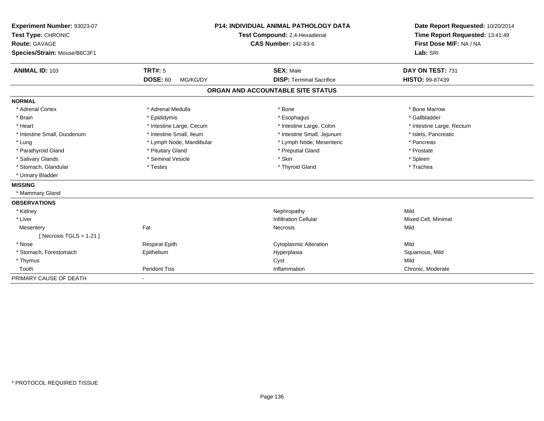| Experiment Number: 93023-07<br>Test Type: CHRONIC<br><b>Route: GAVAGE</b><br>Species/Strain: Mouse/B6C3F1 |                             | <b>P14: INDIVIDUAL ANIMAL PATHOLOGY DATA</b><br>Test Compound: 2,4-Hexadienal<br><b>CAS Number: 142-83-6</b> | Date Report Requested: 10/20/2014<br>Time Report Requested: 13:41:49<br>First Dose M/F: NA / NA<br>Lab: SRI |
|-----------------------------------------------------------------------------------------------------------|-----------------------------|--------------------------------------------------------------------------------------------------------------|-------------------------------------------------------------------------------------------------------------|
| <b>ANIMAL ID: 103</b>                                                                                     | <b>TRT#: 5</b>              | <b>SEX: Male</b>                                                                                             | DAY ON TEST: 731                                                                                            |
|                                                                                                           | <b>DOSE: 60</b><br>MG/KG/DY | <b>DISP: Terminal Sacrifice</b>                                                                              | HISTO: 99-87439                                                                                             |
|                                                                                                           |                             | ORGAN AND ACCOUNTABLE SITE STATUS                                                                            |                                                                                                             |
| <b>NORMAL</b>                                                                                             |                             |                                                                                                              |                                                                                                             |
| * Adrenal Cortex                                                                                          | * Adrenal Medulla           | * Bone                                                                                                       | * Bone Marrow                                                                                               |
| * Brain                                                                                                   | * Epididymis                | * Esophagus                                                                                                  | * Gallbladder                                                                                               |
| * Heart                                                                                                   | * Intestine Large, Cecum    | * Intestine Large, Colon                                                                                     | * Intestine Large, Rectum                                                                                   |
| * Intestine Small, Duodenum                                                                               | * Intestine Small, Ileum    | * Intestine Small, Jejunum                                                                                   | * Islets, Pancreatic                                                                                        |
| * Lung                                                                                                    | * Lymph Node, Mandibular    | * Lymph Node, Mesenteric                                                                                     | * Pancreas                                                                                                  |
| * Parathyroid Gland                                                                                       | * Pituitary Gland           | * Preputial Gland                                                                                            | * Prostate                                                                                                  |
| * Salivary Glands                                                                                         | * Seminal Vesicle           | * Skin                                                                                                       | * Spleen                                                                                                    |
| * Stomach, Glandular                                                                                      | * Testes                    | * Thyroid Gland                                                                                              | * Trachea                                                                                                   |
| * Urinary Bladder                                                                                         |                             |                                                                                                              |                                                                                                             |
| <b>MISSING</b>                                                                                            |                             |                                                                                                              |                                                                                                             |
| * Mammary Gland                                                                                           |                             |                                                                                                              |                                                                                                             |
| <b>OBSERVATIONS</b>                                                                                       |                             |                                                                                                              |                                                                                                             |
| * Kidney                                                                                                  |                             | Nephropathy                                                                                                  | Mild                                                                                                        |
| * Liver                                                                                                   |                             | <b>Infiltration Cellular</b>                                                                                 | Mixed Cell, Minimal                                                                                         |
| Mesentery                                                                                                 | Fat                         | Necrosis                                                                                                     | Mild                                                                                                        |
| [ Necrosis TGLS = $1-21$ ]                                                                                |                             |                                                                                                              |                                                                                                             |
| * Nose                                                                                                    | <b>Respirat Epith</b>       | <b>Cytoplasmic Alteration</b>                                                                                | Mild                                                                                                        |
| * Stomach, Forestomach                                                                                    | Epithelium                  | Hyperplasia                                                                                                  | Squamous, Mild                                                                                              |
| * Thymus                                                                                                  |                             | Cyst                                                                                                         | Mild                                                                                                        |
| Tooth                                                                                                     | <b>Peridont Tiss</b>        | Inflammation                                                                                                 | Chronic, Moderate                                                                                           |
| PRIMARY CAUSE OF DEATH                                                                                    | $\overline{\phantom{a}}$    |                                                                                                              |                                                                                                             |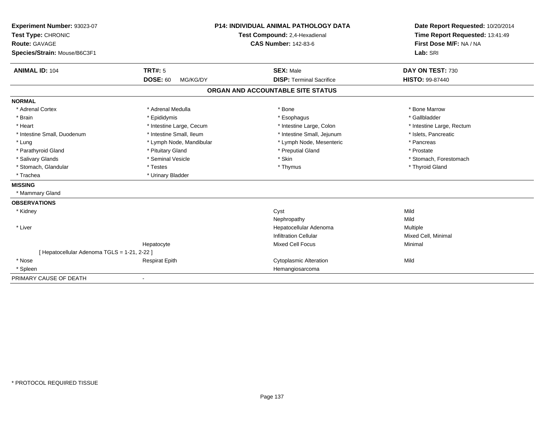| Experiment Number: 93023-07                |                                                              | <b>P14: INDIVIDUAL ANIMAL PATHOLOGY DATA</b> | Date Report Requested: 10/20/2014 |
|--------------------------------------------|--------------------------------------------------------------|----------------------------------------------|-----------------------------------|
| Test Type: CHRONIC                         | Test Compound: 2,4-Hexadienal<br><b>CAS Number: 142-83-6</b> |                                              | Time Report Requested: 13:41:49   |
| <b>Route: GAVAGE</b>                       |                                                              |                                              | First Dose M/F: NA / NA           |
| Species/Strain: Mouse/B6C3F1               |                                                              |                                              | Lab: SRI                          |
| <b>ANIMAL ID: 104</b>                      | <b>TRT#: 5</b>                                               | <b>SEX: Male</b>                             | DAY ON TEST: 730                  |
|                                            | <b>DOSE: 60</b><br>MG/KG/DY                                  | <b>DISP: Terminal Sacrifice</b>              | <b>HISTO: 99-87440</b>            |
|                                            |                                                              | ORGAN AND ACCOUNTABLE SITE STATUS            |                                   |
| <b>NORMAL</b>                              |                                                              |                                              |                                   |
| * Adrenal Cortex                           | * Adrenal Medulla                                            | * Bone                                       | * Bone Marrow                     |
| * Brain                                    | * Epididymis                                                 | * Esophagus                                  | * Gallbladder                     |
| * Heart                                    | * Intestine Large, Cecum                                     | * Intestine Large, Colon                     | * Intestine Large, Rectum         |
| * Intestine Small, Duodenum                | * Intestine Small, Ileum                                     | * Intestine Small, Jejunum                   | * Islets, Pancreatic              |
| * Lung                                     | * Lymph Node, Mandibular                                     | * Lymph Node, Mesenteric                     | * Pancreas                        |
| * Parathyroid Gland                        | * Pituitary Gland                                            | * Preputial Gland                            | * Prostate                        |
| * Salivary Glands                          | * Seminal Vesicle                                            | * Skin                                       | * Stomach, Forestomach            |
| * Stomach, Glandular                       | * Testes                                                     | * Thymus                                     | * Thyroid Gland                   |
| * Trachea                                  | * Urinary Bladder                                            |                                              |                                   |
| <b>MISSING</b>                             |                                                              |                                              |                                   |
| * Mammary Gland                            |                                                              |                                              |                                   |
| <b>OBSERVATIONS</b>                        |                                                              |                                              |                                   |
| * Kidney                                   |                                                              | Cyst                                         | Mild                              |
|                                            |                                                              | Nephropathy                                  | Mild                              |
| * Liver                                    |                                                              | Hepatocellular Adenoma                       | Multiple                          |
|                                            |                                                              | <b>Infiltration Cellular</b>                 | Mixed Cell, Minimal               |
|                                            | Hepatocyte                                                   | <b>Mixed Cell Focus</b>                      | Minimal                           |
| [Hepatocellular Adenoma TGLS = 1-21, 2-22] |                                                              |                                              |                                   |
| * Nose                                     | <b>Respirat Epith</b>                                        | <b>Cytoplasmic Alteration</b>                | Mild                              |
| * Spleen                                   |                                                              | Hemangiosarcoma                              |                                   |
| PRIMARY CAUSE OF DEATH                     | $\overline{\phantom{a}}$                                     |                                              |                                   |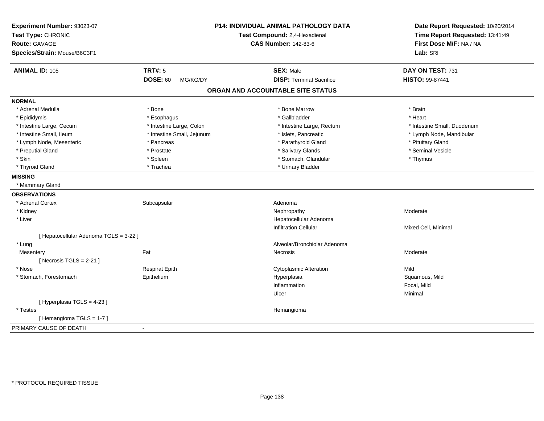| Experiment Number: 93023-07<br>Test Type: CHRONIC<br><b>Route: GAVAGE</b> |                             | P14: INDIVIDUAL ANIMAL PATHOLOGY DATA<br>Test Compound: 2,4-Hexadienal<br><b>CAS Number: 142-83-6</b> | Date Report Requested: 10/20/2014<br>Time Report Requested: 13:41:49<br>First Dose M/F: NA / NA |
|---------------------------------------------------------------------------|-----------------------------|-------------------------------------------------------------------------------------------------------|-------------------------------------------------------------------------------------------------|
| Species/Strain: Mouse/B6C3F1                                              |                             |                                                                                                       | Lab: SRI                                                                                        |
| <b>ANIMAL ID: 105</b>                                                     | <b>TRT#: 5</b>              | <b>SEX: Male</b>                                                                                      | DAY ON TEST: 731                                                                                |
|                                                                           | <b>DOSE: 60</b><br>MG/KG/DY | <b>DISP: Terminal Sacrifice</b>                                                                       | HISTO: 99-87441                                                                                 |
|                                                                           |                             | ORGAN AND ACCOUNTABLE SITE STATUS                                                                     |                                                                                                 |
| <b>NORMAL</b>                                                             |                             |                                                                                                       |                                                                                                 |
| * Adrenal Medulla                                                         | * Bone                      | * Bone Marrow                                                                                         | * Brain                                                                                         |
| * Epididymis                                                              | * Esophagus                 | * Gallbladder                                                                                         | * Heart                                                                                         |
| * Intestine Large, Cecum                                                  | * Intestine Large, Colon    | * Intestine Large, Rectum                                                                             | * Intestine Small, Duodenum                                                                     |
| * Intestine Small, Ileum                                                  | * Intestine Small, Jejunum  | * Islets, Pancreatic                                                                                  | * Lymph Node, Mandibular                                                                        |
| * Lymph Node, Mesenteric                                                  | * Pancreas                  | * Parathyroid Gland                                                                                   | * Pituitary Gland                                                                               |
| * Preputial Gland                                                         | * Prostate                  | * Salivary Glands                                                                                     | * Seminal Vesicle                                                                               |
| * Skin                                                                    | * Spleen                    | * Stomach, Glandular                                                                                  | * Thymus                                                                                        |
| * Thyroid Gland                                                           | * Trachea                   | * Urinary Bladder                                                                                     |                                                                                                 |
| <b>MISSING</b>                                                            |                             |                                                                                                       |                                                                                                 |
| * Mammary Gland                                                           |                             |                                                                                                       |                                                                                                 |
| <b>OBSERVATIONS</b>                                                       |                             |                                                                                                       |                                                                                                 |
| * Adrenal Cortex                                                          | Subcapsular                 | Adenoma                                                                                               |                                                                                                 |
| * Kidney                                                                  |                             | Nephropathy                                                                                           | Moderate                                                                                        |
| * Liver                                                                   |                             | Hepatocellular Adenoma                                                                                |                                                                                                 |
|                                                                           |                             | <b>Infiltration Cellular</b>                                                                          | Mixed Cell, Minimal                                                                             |
| [ Hepatocellular Adenoma TGLS = 3-22 ]                                    |                             |                                                                                                       |                                                                                                 |
| * Lung                                                                    |                             | Alveolar/Bronchiolar Adenoma                                                                          |                                                                                                 |
| Mesentery                                                                 | Fat                         | Necrosis                                                                                              | Moderate                                                                                        |
| [Necrosis $TGLS = 2-21$ ]                                                 |                             |                                                                                                       |                                                                                                 |
| * Nose                                                                    | Respirat Epith              | <b>Cytoplasmic Alteration</b>                                                                         | Mild                                                                                            |
| * Stomach, Forestomach                                                    | Epithelium                  | Hyperplasia                                                                                           | Squamous, Mild                                                                                  |
|                                                                           |                             | Inflammation                                                                                          | Focal, Mild                                                                                     |
|                                                                           |                             | Ulcer                                                                                                 | Minimal                                                                                         |
| [ Hyperplasia TGLS = 4-23 ]                                               |                             |                                                                                                       |                                                                                                 |
| * Testes                                                                  |                             | Hemangioma                                                                                            |                                                                                                 |
| [Hemangioma TGLS = 1-7]                                                   |                             |                                                                                                       |                                                                                                 |
| PRIMARY CAUSE OF DEATH                                                    | $\blacksquare$              |                                                                                                       |                                                                                                 |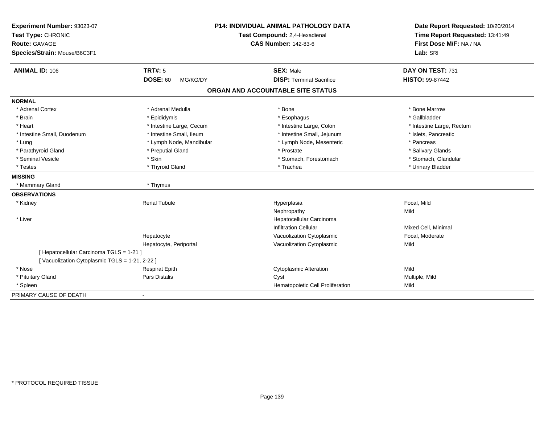| Experiment Number: 93023-07<br>Test Type: CHRONIC<br><b>Route: GAVAGE</b><br>Species/Strain: Mouse/B6C3F1 |                             | <b>P14: INDIVIDUAL ANIMAL PATHOLOGY DATA</b><br>Test Compound: 2,4-Hexadienal<br><b>CAS Number: 142-83-6</b> | Date Report Requested: 10/20/2014<br>Time Report Requested: 13:41:49<br>First Dose M/F: NA / NA<br>Lab: SRI |
|-----------------------------------------------------------------------------------------------------------|-----------------------------|--------------------------------------------------------------------------------------------------------------|-------------------------------------------------------------------------------------------------------------|
| <b>ANIMAL ID: 106</b>                                                                                     | <b>TRT#: 5</b>              | <b>SEX: Male</b>                                                                                             | DAY ON TEST: 731                                                                                            |
|                                                                                                           | <b>DOSE: 60</b><br>MG/KG/DY | <b>DISP: Terminal Sacrifice</b>                                                                              | HISTO: 99-87442                                                                                             |
|                                                                                                           |                             | ORGAN AND ACCOUNTABLE SITE STATUS                                                                            |                                                                                                             |
| <b>NORMAL</b>                                                                                             |                             |                                                                                                              |                                                                                                             |
| * Adrenal Cortex                                                                                          | * Adrenal Medulla           | * Bone                                                                                                       | * Bone Marrow                                                                                               |
| * Brain                                                                                                   | * Epididymis                | * Esophagus                                                                                                  | * Gallbladder                                                                                               |
| * Heart                                                                                                   | * Intestine Large, Cecum    | * Intestine Large, Colon                                                                                     | * Intestine Large, Rectum                                                                                   |
| * Intestine Small, Duodenum                                                                               | * Intestine Small, Ileum    | * Intestine Small, Jejunum                                                                                   | * Islets, Pancreatic                                                                                        |
| * Lung                                                                                                    | * Lymph Node, Mandibular    | * Lymph Node, Mesenteric                                                                                     | * Pancreas                                                                                                  |
| * Parathyroid Gland                                                                                       | * Preputial Gland           | * Prostate                                                                                                   | * Salivary Glands                                                                                           |
| * Seminal Vesicle                                                                                         | * Skin                      | * Stomach, Forestomach                                                                                       | * Stomach, Glandular                                                                                        |
| * Testes                                                                                                  | * Thyroid Gland             | * Trachea                                                                                                    | * Urinary Bladder                                                                                           |
| <b>MISSING</b>                                                                                            |                             |                                                                                                              |                                                                                                             |
| * Mammary Gland                                                                                           | * Thymus                    |                                                                                                              |                                                                                                             |
| <b>OBSERVATIONS</b>                                                                                       |                             |                                                                                                              |                                                                                                             |
| * Kidney                                                                                                  | <b>Renal Tubule</b>         | Hyperplasia                                                                                                  | Focal, Mild                                                                                                 |
|                                                                                                           |                             | Nephropathy                                                                                                  | Mild                                                                                                        |
| * Liver                                                                                                   |                             | Hepatocellular Carcinoma                                                                                     |                                                                                                             |
|                                                                                                           |                             | <b>Infiltration Cellular</b>                                                                                 | Mixed Cell, Minimal                                                                                         |
|                                                                                                           | Hepatocyte                  | Vacuolization Cytoplasmic                                                                                    | Focal, Moderate                                                                                             |
|                                                                                                           | Hepatocyte, Periportal      | Vacuolization Cytoplasmic                                                                                    | Mild                                                                                                        |
| [ Hepatocellular Carcinoma TGLS = 1-21 ]                                                                  |                             |                                                                                                              |                                                                                                             |
| [Vacuolization Cytoplasmic TGLS = 1-21, 2-22]                                                             |                             |                                                                                                              |                                                                                                             |
| * Nose                                                                                                    | <b>Respirat Epith</b>       | <b>Cytoplasmic Alteration</b>                                                                                | Mild                                                                                                        |
| * Pituitary Gland                                                                                         | Pars Distalis               | Cyst                                                                                                         | Multiple, Mild                                                                                              |
| * Spleen                                                                                                  |                             | Hematopoietic Cell Proliferation                                                                             | Mild                                                                                                        |
| PRIMARY CAUSE OF DEATH                                                                                    |                             |                                                                                                              |                                                                                                             |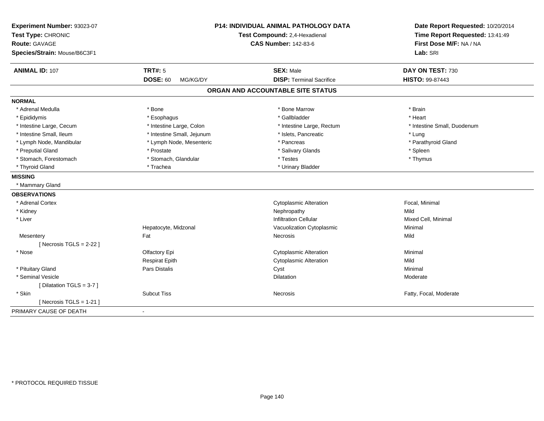| Experiment Number: 93023-07<br>Test Type: CHRONIC |                             | <b>P14: INDIVIDUAL ANIMAL PATHOLOGY DATA</b><br>Test Compound: 2,4-Hexadienal | Date Report Requested: 10/20/2014<br>Time Report Requested: 13:41:49 |  |
|---------------------------------------------------|-----------------------------|-------------------------------------------------------------------------------|----------------------------------------------------------------------|--|
| Route: GAVAGE                                     |                             | <b>CAS Number: 142-83-6</b>                                                   | First Dose M/F: NA / NA                                              |  |
| Species/Strain: Mouse/B6C3F1                      |                             |                                                                               | Lab: SRI                                                             |  |
| <b>ANIMAL ID: 107</b>                             | <b>TRT#: 5</b>              | <b>SEX: Male</b>                                                              | DAY ON TEST: 730                                                     |  |
|                                                   | <b>DOSE: 60</b><br>MG/KG/DY | <b>DISP: Terminal Sacrifice</b>                                               | HISTO: 99-87443                                                      |  |
|                                                   |                             | ORGAN AND ACCOUNTABLE SITE STATUS                                             |                                                                      |  |
| <b>NORMAL</b>                                     |                             |                                                                               |                                                                      |  |
| * Adrenal Medulla                                 | * Bone                      | * Bone Marrow                                                                 | * Brain                                                              |  |
| * Epididymis                                      | * Esophagus                 | * Gallbladder                                                                 | * Heart                                                              |  |
| * Intestine Large, Cecum                          | * Intestine Large, Colon    | * Intestine Large, Rectum                                                     | * Intestine Small, Duodenum                                          |  |
| * Intestine Small, Ileum                          | * Intestine Small, Jejunum  | * Islets, Pancreatic                                                          | * Lung                                                               |  |
| * Lymph Node, Mandibular                          | * Lymph Node, Mesenteric    | * Pancreas                                                                    | * Parathyroid Gland                                                  |  |
| * Preputial Gland                                 | * Prostate                  | * Salivary Glands                                                             | * Spleen                                                             |  |
| * Stomach, Forestomach                            | * Stomach, Glandular        | * Testes                                                                      | * Thymus                                                             |  |
| * Thyroid Gland                                   | * Trachea                   | * Urinary Bladder                                                             |                                                                      |  |
| <b>MISSING</b>                                    |                             |                                                                               |                                                                      |  |
| * Mammary Gland                                   |                             |                                                                               |                                                                      |  |
| <b>OBSERVATIONS</b>                               |                             |                                                                               |                                                                      |  |
| * Adrenal Cortex                                  |                             | <b>Cytoplasmic Alteration</b>                                                 | Focal, Minimal                                                       |  |
| * Kidney                                          |                             | Nephropathy                                                                   | Mild                                                                 |  |
| * Liver                                           |                             | <b>Infiltration Cellular</b>                                                  | Mixed Cell, Minimal                                                  |  |
|                                                   | Hepatocyte, Midzonal        | Vacuolization Cytoplasmic                                                     | Minimal                                                              |  |
| Mesentery                                         | Fat                         | Necrosis                                                                      | Mild                                                                 |  |
| [Necrosis TGLS = $2-22$ ]                         |                             |                                                                               |                                                                      |  |
| * Nose                                            | Olfactory Epi               | <b>Cytoplasmic Alteration</b>                                                 | Minimal                                                              |  |
|                                                   | <b>Respirat Epith</b>       | <b>Cytoplasmic Alteration</b>                                                 | Mild                                                                 |  |
| * Pituitary Gland                                 | Pars Distalis               | Cyst                                                                          | Minimal                                                              |  |
| * Seminal Vesicle                                 |                             | <b>Dilatation</b>                                                             | Moderate                                                             |  |
| [Dilatation TGLS = 3-7]                           |                             |                                                                               |                                                                      |  |
| * Skin                                            | <b>Subcut Tiss</b>          | Necrosis                                                                      | Fatty, Focal, Moderate                                               |  |
| [ Necrosis $TGLS = 1-21$ ]                        |                             |                                                                               |                                                                      |  |
| PRIMARY CAUSE OF DEATH                            | $\blacksquare$              |                                                                               |                                                                      |  |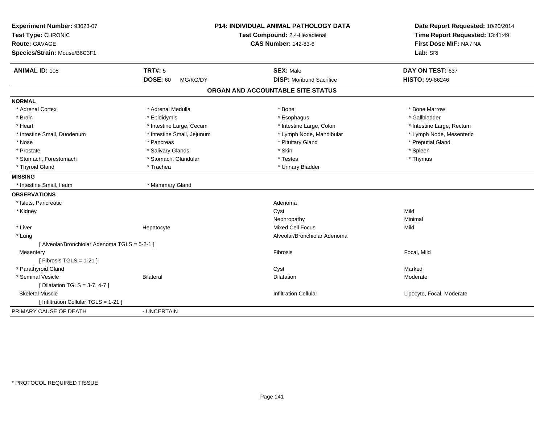| Experiment Number: 93023-07<br>Test Type: CHRONIC<br>Route: GAVAGE<br>Species/Strain: Mouse/B6C3F1 |                             | <b>P14: INDIVIDUAL ANIMAL PATHOLOGY DATA</b><br>Test Compound: 2,4-Hexadienal<br><b>CAS Number: 142-83-6</b> | Date Report Requested: 10/20/2014<br>Time Report Requested: 13:41:49<br>First Dose M/F: NA / NA<br>Lab: SRI |
|----------------------------------------------------------------------------------------------------|-----------------------------|--------------------------------------------------------------------------------------------------------------|-------------------------------------------------------------------------------------------------------------|
| <b>ANIMAL ID: 108</b>                                                                              | <b>TRT#: 5</b>              | <b>SEX: Male</b>                                                                                             | DAY ON TEST: 637                                                                                            |
|                                                                                                    | <b>DOSE: 60</b><br>MG/KG/DY | <b>DISP:</b> Moribund Sacrifice                                                                              | HISTO: 99-86246                                                                                             |
|                                                                                                    |                             | ORGAN AND ACCOUNTABLE SITE STATUS                                                                            |                                                                                                             |
| <b>NORMAL</b>                                                                                      |                             |                                                                                                              |                                                                                                             |
| * Adrenal Cortex                                                                                   | * Adrenal Medulla           | * Bone                                                                                                       | * Bone Marrow                                                                                               |
| * Brain                                                                                            | * Epididymis                | * Esophagus                                                                                                  | * Gallbladder                                                                                               |
| * Heart                                                                                            | * Intestine Large, Cecum    | * Intestine Large, Colon                                                                                     | * Intestine Large, Rectum                                                                                   |
| * Intestine Small, Duodenum                                                                        | * Intestine Small, Jejunum  | * Lymph Node, Mandibular                                                                                     | * Lymph Node, Mesenteric                                                                                    |
| * Nose                                                                                             | * Pancreas                  | * Pituitary Gland                                                                                            | * Preputial Gland                                                                                           |
| * Prostate                                                                                         | * Salivary Glands           | * Skin                                                                                                       | * Spleen                                                                                                    |
| * Stomach, Forestomach                                                                             | * Stomach, Glandular        | * Testes                                                                                                     | * Thymus                                                                                                    |
| * Thyroid Gland                                                                                    | * Trachea                   | * Urinary Bladder                                                                                            |                                                                                                             |
| <b>MISSING</b>                                                                                     |                             |                                                                                                              |                                                                                                             |
| * Intestine Small, Ileum                                                                           | * Mammary Gland             |                                                                                                              |                                                                                                             |
| <b>OBSERVATIONS</b>                                                                                |                             |                                                                                                              |                                                                                                             |
| * Islets, Pancreatic                                                                               |                             | Adenoma                                                                                                      |                                                                                                             |
| * Kidney                                                                                           |                             | Cyst                                                                                                         | Mild                                                                                                        |
|                                                                                                    |                             | Nephropathy                                                                                                  | Minimal                                                                                                     |
| * Liver                                                                                            | Hepatocyte                  | <b>Mixed Cell Focus</b>                                                                                      | Mild                                                                                                        |
| * Lung                                                                                             |                             | Alveolar/Bronchiolar Adenoma                                                                                 |                                                                                                             |
| [ Alveolar/Bronchiolar Adenoma TGLS = 5-2-1 ]                                                      |                             |                                                                                                              |                                                                                                             |
| Mesentery                                                                                          |                             | Fibrosis                                                                                                     | Focal, Mild                                                                                                 |
| [Fibrosis TGLS = $1-21$ ]                                                                          |                             |                                                                                                              |                                                                                                             |
| * Parathyroid Gland                                                                                |                             | Cyst                                                                                                         | Marked                                                                                                      |
| * Seminal Vesicle                                                                                  | <b>Bilateral</b>            | Dilatation                                                                                                   | Moderate                                                                                                    |
| [ Dilatation TGLS = 3-7, 4-7 ]                                                                     |                             |                                                                                                              |                                                                                                             |
| <b>Skeletal Muscle</b>                                                                             |                             | <b>Infiltration Cellular</b>                                                                                 | Lipocyte, Focal, Moderate                                                                                   |
| [ Infiltration Cellular TGLS = 1-21 ]                                                              |                             |                                                                                                              |                                                                                                             |
| PRIMARY CAUSE OF DEATH                                                                             | - UNCERTAIN                 |                                                                                                              |                                                                                                             |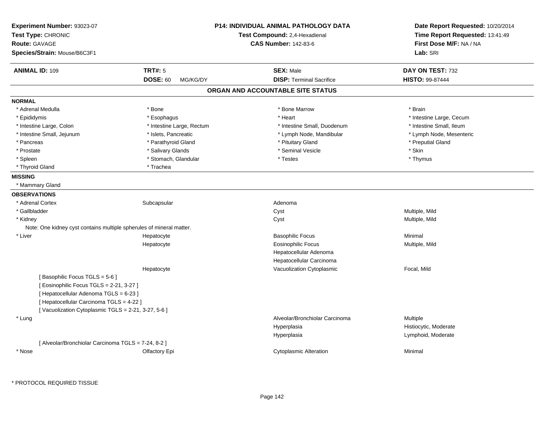| Experiment Number: 93023-07<br>Test Type: CHRONIC<br>Route: GAVAGE<br>Species/Strain: Mouse/B6C3F1 |                             | <b>P14: INDIVIDUAL ANIMAL PATHOLOGY DATA</b><br>Test Compound: 2,4-Hexadienal<br><b>CAS Number: 142-83-6</b> | Date Report Requested: 10/20/2014<br>Time Report Requested: 13:41:49<br>First Dose M/F: NA / NA<br>Lab: SRI |
|----------------------------------------------------------------------------------------------------|-----------------------------|--------------------------------------------------------------------------------------------------------------|-------------------------------------------------------------------------------------------------------------|
| <b>ANIMAL ID: 109</b>                                                                              | <b>TRT#: 5</b>              | <b>SEX: Male</b>                                                                                             | DAY ON TEST: 732                                                                                            |
|                                                                                                    | <b>DOSE: 60</b><br>MG/KG/DY | <b>DISP: Terminal Sacrifice</b>                                                                              | <b>HISTO: 99-87444</b>                                                                                      |
|                                                                                                    |                             | ORGAN AND ACCOUNTABLE SITE STATUS                                                                            |                                                                                                             |
| <b>NORMAL</b>                                                                                      |                             |                                                                                                              |                                                                                                             |
| * Adrenal Medulla                                                                                  | * Bone                      | * Bone Marrow                                                                                                | * Brain                                                                                                     |
| * Epididymis                                                                                       | * Esophagus                 | * Heart                                                                                                      | * Intestine Large, Cecum                                                                                    |
| * Intestine Large, Colon                                                                           | * Intestine Large, Rectum   | * Intestine Small, Duodenum                                                                                  | * Intestine Small, Ileum                                                                                    |
| * Intestine Small, Jejunum                                                                         | * Islets, Pancreatic        | * Lymph Node, Mandibular                                                                                     | * Lymph Node, Mesenteric                                                                                    |
| * Pancreas                                                                                         | * Parathyroid Gland         | * Pituitary Gland                                                                                            | * Preputial Gland                                                                                           |
| * Prostate                                                                                         | * Salivary Glands           | * Seminal Vesicle                                                                                            | $*$ Skin                                                                                                    |
| * Spleen                                                                                           | * Stomach, Glandular        | * Testes                                                                                                     | * Thymus                                                                                                    |
| * Thyroid Gland                                                                                    | * Trachea                   |                                                                                                              |                                                                                                             |
| <b>MISSING</b>                                                                                     |                             |                                                                                                              |                                                                                                             |
| * Mammary Gland                                                                                    |                             |                                                                                                              |                                                                                                             |
| <b>OBSERVATIONS</b>                                                                                |                             |                                                                                                              |                                                                                                             |
| * Adrenal Cortex                                                                                   | Subcapsular                 | Adenoma                                                                                                      |                                                                                                             |
| * Gallbladder                                                                                      |                             | Cyst                                                                                                         | Multiple, Mild                                                                                              |
| * Kidney                                                                                           |                             | Cyst                                                                                                         | Multiple, Mild                                                                                              |
| Note: One kidney cyst contains multiple spherules of mineral matter.                               |                             |                                                                                                              |                                                                                                             |
| * Liver                                                                                            | Hepatocyte                  | <b>Basophilic Focus</b>                                                                                      | Minimal                                                                                                     |
|                                                                                                    | Hepatocyte                  | <b>Eosinophilic Focus</b>                                                                                    | Multiple, Mild                                                                                              |
|                                                                                                    |                             | Hepatocellular Adenoma                                                                                       |                                                                                                             |
|                                                                                                    |                             | Hepatocellular Carcinoma                                                                                     |                                                                                                             |
|                                                                                                    | Hepatocyte                  | Vacuolization Cytoplasmic                                                                                    | Focal, Mild                                                                                                 |
| [Basophilic Focus TGLS = 5-6]                                                                      |                             |                                                                                                              |                                                                                                             |
| [Eosinophilic Focus TGLS = 2-21, 3-27]                                                             |                             |                                                                                                              |                                                                                                             |
| [ Hepatocellular Adenoma TGLS = 6-23 ]                                                             |                             |                                                                                                              |                                                                                                             |
| [ Hepatocellular Carcinoma TGLS = 4-22 ]                                                           |                             |                                                                                                              |                                                                                                             |
| [Vacuolization Cytoplasmic TGLS = 2-21, 3-27, 5-6]                                                 |                             |                                                                                                              |                                                                                                             |
| * Lung                                                                                             |                             | Alveolar/Bronchiolar Carcinoma                                                                               | Multiple                                                                                                    |
|                                                                                                    |                             | Hyperplasia                                                                                                  | Histiocytic, Moderate                                                                                       |
|                                                                                                    |                             | Hyperplasia                                                                                                  | Lymphoid, Moderate                                                                                          |
| [ Alveolar/Bronchiolar Carcinoma TGLS = 7-24, 8-2 ]                                                |                             |                                                                                                              |                                                                                                             |
| * Nose                                                                                             | Olfactory Epi               | <b>Cytoplasmic Alteration</b>                                                                                | Minimal                                                                                                     |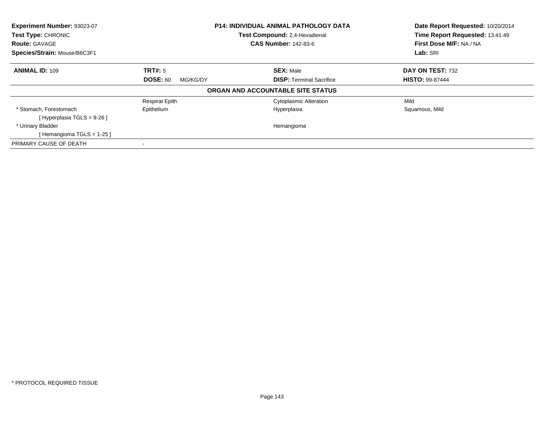| Experiment Number: 93023-07<br>Test Type: CHRONIC<br><b>Route: GAVAGE</b> | <b>P14: INDIVIDUAL ANIMAL PATHOLOGY DATA</b><br>Test Compound: 2,4-Hexadienal<br><b>CAS Number: 142-83-6</b> |                                   | Date Report Requested: 10/20/2014<br>Time Report Requested: 13:41:49<br>First Dose M/F: NA / NA |  |
|---------------------------------------------------------------------------|--------------------------------------------------------------------------------------------------------------|-----------------------------------|-------------------------------------------------------------------------------------------------|--|
| Species/Strain: Mouse/B6C3F1                                              |                                                                                                              |                                   | Lab: SRI                                                                                        |  |
| <b>ANIMAL ID: 109</b>                                                     | TRT#: 5                                                                                                      | <b>SEX: Male</b>                  | DAY ON TEST: 732                                                                                |  |
|                                                                           | <b>DOSE: 60</b><br>MG/KG/DY                                                                                  | <b>DISP:</b> Terminal Sacrifice   | <b>HISTO: 99-87444</b>                                                                          |  |
|                                                                           |                                                                                                              | ORGAN AND ACCOUNTABLE SITE STATUS |                                                                                                 |  |
|                                                                           | <b>Respirat Epith</b>                                                                                        | <b>Cytoplasmic Alteration</b>     | Mild                                                                                            |  |
| * Stomach, Forestomach<br>[Hyperplasia TGLS = $9-26$ ]                    | Epithelium                                                                                                   | Hyperplasia                       | Squamous, Mild                                                                                  |  |
| * Urinary Bladder                                                         |                                                                                                              | Hemangioma                        |                                                                                                 |  |
| [Hemangioma TGLS = 1-25]                                                  |                                                                                                              |                                   |                                                                                                 |  |
| PRIMARY CAUSE OF DEATH                                                    |                                                                                                              |                                   |                                                                                                 |  |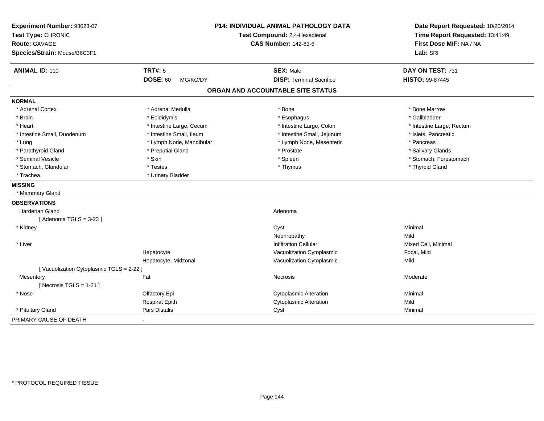| Experiment Number: 93023-07<br>Test Type: CHRONIC<br><b>Route: GAVAGE</b><br>Species/Strain: Mouse/B6C3F1 |                             | P14: INDIVIDUAL ANIMAL PATHOLOGY DATA<br>Test Compound: 2,4-Hexadienal<br><b>CAS Number: 142-83-6</b> | Date Report Requested: 10/20/2014<br>Time Report Requested: 13:41:49<br>First Dose M/F: NA / NA<br>Lab: SRI |  |
|-----------------------------------------------------------------------------------------------------------|-----------------------------|-------------------------------------------------------------------------------------------------------|-------------------------------------------------------------------------------------------------------------|--|
| <b>ANIMAL ID: 110</b>                                                                                     | <b>TRT#: 5</b>              | <b>SEX: Male</b>                                                                                      | DAY ON TEST: 731                                                                                            |  |
|                                                                                                           | <b>DOSE: 60</b><br>MG/KG/DY | <b>DISP: Terminal Sacrifice</b>                                                                       | HISTO: 99-87445                                                                                             |  |
|                                                                                                           |                             | ORGAN AND ACCOUNTABLE SITE STATUS                                                                     |                                                                                                             |  |
| <b>NORMAL</b>                                                                                             |                             |                                                                                                       |                                                                                                             |  |
| * Adrenal Cortex                                                                                          | * Adrenal Medulla           | * Bone                                                                                                | * Bone Marrow                                                                                               |  |
| * Brain                                                                                                   | * Epididymis                | * Esophagus                                                                                           | * Gallbladder                                                                                               |  |
| * Heart                                                                                                   | * Intestine Large, Cecum    | * Intestine Large, Colon                                                                              | * Intestine Large, Rectum                                                                                   |  |
| * Intestine Small, Duodenum                                                                               | * Intestine Small, Ileum    | * Intestine Small, Jejunum                                                                            | * Islets, Pancreatic                                                                                        |  |
| * Lung                                                                                                    | * Lymph Node, Mandibular    | * Lymph Node, Mesenteric                                                                              | * Pancreas                                                                                                  |  |
| * Parathyroid Gland                                                                                       | * Preputial Gland           | * Prostate                                                                                            | * Salivary Glands                                                                                           |  |
| * Seminal Vesicle                                                                                         | * Skin                      | * Spleen                                                                                              | * Stomach, Forestomach                                                                                      |  |
| * Stomach, Glandular                                                                                      | * Testes                    | * Thymus                                                                                              | * Thyroid Gland                                                                                             |  |
| * Trachea                                                                                                 | * Urinary Bladder           |                                                                                                       |                                                                                                             |  |
| <b>MISSING</b>                                                                                            |                             |                                                                                                       |                                                                                                             |  |
| * Mammary Gland                                                                                           |                             |                                                                                                       |                                                                                                             |  |
| <b>OBSERVATIONS</b>                                                                                       |                             |                                                                                                       |                                                                                                             |  |
| <b>Harderian Gland</b>                                                                                    |                             | Adenoma                                                                                               |                                                                                                             |  |
| [Adenoma TGLS = $3-23$ ]                                                                                  |                             |                                                                                                       |                                                                                                             |  |
| * Kidney                                                                                                  |                             | Cyst                                                                                                  | Minimal                                                                                                     |  |
|                                                                                                           |                             | Nephropathy                                                                                           | Mild                                                                                                        |  |
| * Liver                                                                                                   |                             | <b>Infiltration Cellular</b>                                                                          | Mixed Cell, Minimal                                                                                         |  |
|                                                                                                           | Hepatocyte                  | Vacuolization Cytoplasmic                                                                             | Focal, Mild                                                                                                 |  |
|                                                                                                           | Hepatocyte, Midzonal        | Vacuolization Cytoplasmic                                                                             | Mild                                                                                                        |  |
| [Vacuolization Cytoplasmic TGLS = 2-22 ]                                                                  |                             |                                                                                                       |                                                                                                             |  |
| Mesentery                                                                                                 | Fat                         | Necrosis                                                                                              | Moderate                                                                                                    |  |
| [Necrosis $TGLS = 1-21$ ]                                                                                 |                             |                                                                                                       |                                                                                                             |  |
| * Nose                                                                                                    | Olfactory Epi               | <b>Cytoplasmic Alteration</b>                                                                         | Minimal                                                                                                     |  |
|                                                                                                           | <b>Respirat Epith</b>       | <b>Cytoplasmic Alteration</b>                                                                         | Mild                                                                                                        |  |
| * Pituitary Gland                                                                                         | Pars Distalis               | Cyst                                                                                                  | Minimal                                                                                                     |  |
| PRIMARY CAUSE OF DEATH                                                                                    |                             |                                                                                                       |                                                                                                             |  |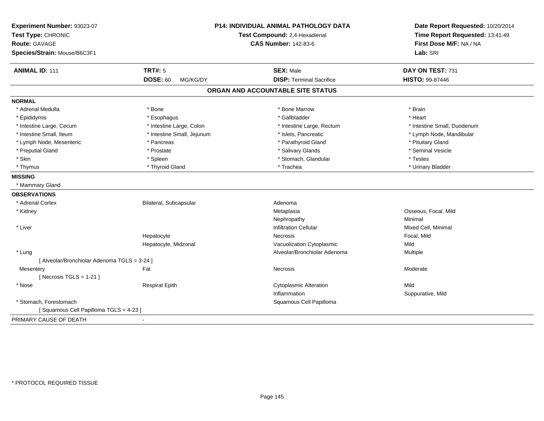| Experiment Number: 93023-07<br>Test Type: CHRONIC<br><b>Route: GAVAGE</b> |                             | <b>P14: INDIVIDUAL ANIMAL PATHOLOGY DATA</b><br>Test Compound: 2,4-Hexadienal<br><b>CAS Number: 142-83-6</b> | Date Report Requested: 10/20/2014<br>Time Report Requested: 13:41:49<br>First Dose M/F: NA / NA |
|---------------------------------------------------------------------------|-----------------------------|--------------------------------------------------------------------------------------------------------------|-------------------------------------------------------------------------------------------------|
| Species/Strain: Mouse/B6C3F1                                              |                             |                                                                                                              | Lab: SRI                                                                                        |
| <b>ANIMAL ID: 111</b>                                                     | <b>TRT#: 5</b>              | <b>SEX: Male</b>                                                                                             | DAY ON TEST: 731                                                                                |
|                                                                           | <b>DOSE: 60</b><br>MG/KG/DY | <b>DISP: Terminal Sacrifice</b>                                                                              | HISTO: 99-87446                                                                                 |
|                                                                           |                             | ORGAN AND ACCOUNTABLE SITE STATUS                                                                            |                                                                                                 |
| <b>NORMAL</b>                                                             |                             |                                                                                                              |                                                                                                 |
| * Adrenal Medulla                                                         | * Bone                      | * Bone Marrow                                                                                                | * Brain                                                                                         |
| * Epididymis                                                              | * Esophagus                 | * Gallbladder                                                                                                | * Heart                                                                                         |
| * Intestine Large, Cecum                                                  | * Intestine Large, Colon    | * Intestine Large, Rectum                                                                                    | * Intestine Small, Duodenum                                                                     |
| * Intestine Small, Ileum                                                  | * Intestine Small, Jejunum  | * Islets, Pancreatic                                                                                         | * Lymph Node, Mandibular                                                                        |
| * Lymph Node, Mesenteric                                                  | * Pancreas                  | * Parathyroid Gland                                                                                          | * Pituitary Gland                                                                               |
| * Preputial Gland                                                         | * Prostate                  | * Salivary Glands                                                                                            | * Seminal Vesicle                                                                               |
| * Skin                                                                    | * Spleen                    | * Stomach, Glandular                                                                                         | * Testes                                                                                        |
| * Thymus                                                                  | * Thyroid Gland             | * Trachea                                                                                                    | * Urinary Bladder                                                                               |
| <b>MISSING</b>                                                            |                             |                                                                                                              |                                                                                                 |
| * Mammary Gland                                                           |                             |                                                                                                              |                                                                                                 |
| <b>OBSERVATIONS</b>                                                       |                             |                                                                                                              |                                                                                                 |
| * Adrenal Cortex                                                          | Bilateral, Subcapsular      | Adenoma                                                                                                      |                                                                                                 |
| * Kidney                                                                  |                             | Metaplasia                                                                                                   | Osseous, Focal, Mild                                                                            |
|                                                                           |                             | Nephropathy                                                                                                  | Minimal                                                                                         |
| * Liver                                                                   |                             | <b>Infiltration Cellular</b>                                                                                 | Mixed Cell, Minimal                                                                             |
|                                                                           | Hepatocyte                  | <b>Necrosis</b>                                                                                              | Focal, Mild                                                                                     |
|                                                                           | Hepatocyte, Midzonal        | Vacuolization Cytoplasmic                                                                                    | Mild                                                                                            |
| * Lung                                                                    |                             | Alveolar/Bronchiolar Adenoma                                                                                 | Multiple                                                                                        |
| [ Alveolar/Bronchiolar Adenoma TGLS = 3-24 ]                              |                             |                                                                                                              |                                                                                                 |
| Mesentery                                                                 | Fat                         | <b>Necrosis</b>                                                                                              | Moderate                                                                                        |
| [Necrosis TGLS = $1-21$ ]                                                 |                             |                                                                                                              |                                                                                                 |
| * Nose                                                                    | <b>Respirat Epith</b>       | <b>Cytoplasmic Alteration</b>                                                                                | Mild                                                                                            |
|                                                                           |                             | Inflammation                                                                                                 | Suppurative, Mild                                                                               |
| * Stomach, Forestomach                                                    |                             | Squamous Cell Papilloma                                                                                      |                                                                                                 |
| [Squamous Cell Papilloma TGLS = 4-23]                                     |                             |                                                                                                              |                                                                                                 |
| PRIMARY CAUSE OF DEATH                                                    |                             |                                                                                                              |                                                                                                 |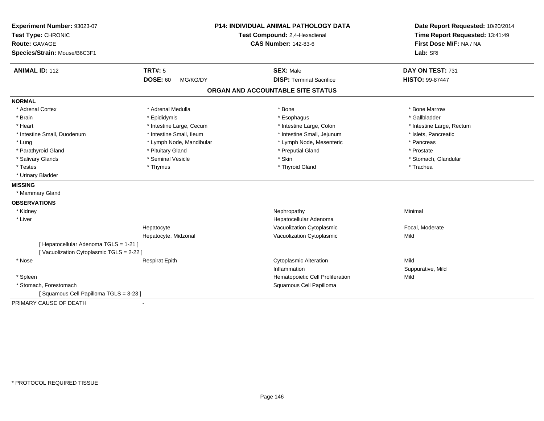| Experiment Number: 93023-07<br>Test Type: CHRONIC<br><b>Route: GAVAGE</b><br>Species/Strain: Mouse/B6C3F1 |                                               | P14: INDIVIDUAL ANIMAL PATHOLOGY DATA<br>Test Compound: 2,4-Hexadienal<br><b>CAS Number: 142-83-6</b> | Date Report Requested: 10/20/2014<br>Time Report Requested: 13:41:49<br>First Dose M/F: NA / NA<br>Lab: SRI |
|-----------------------------------------------------------------------------------------------------------|-----------------------------------------------|-------------------------------------------------------------------------------------------------------|-------------------------------------------------------------------------------------------------------------|
| <b>ANIMAL ID: 112</b>                                                                                     | <b>TRT#: 5</b><br><b>DOSE: 60</b><br>MG/KG/DY | <b>SEX: Male</b><br><b>DISP: Terminal Sacrifice</b>                                                   | DAY ON TEST: 731<br>HISTO: 99-87447                                                                         |
|                                                                                                           |                                               |                                                                                                       |                                                                                                             |
|                                                                                                           |                                               | ORGAN AND ACCOUNTABLE SITE STATUS                                                                     |                                                                                                             |
| <b>NORMAL</b>                                                                                             |                                               |                                                                                                       |                                                                                                             |
| * Adrenal Cortex                                                                                          | * Adrenal Medulla                             | * Bone                                                                                                | * Bone Marrow                                                                                               |
| * Brain                                                                                                   | * Epididymis                                  | * Esophagus                                                                                           | * Gallbladder                                                                                               |
| * Heart                                                                                                   | * Intestine Large, Cecum                      | * Intestine Large, Colon                                                                              | * Intestine Large, Rectum                                                                                   |
| * Intestine Small, Duodenum                                                                               | * Intestine Small, Ileum                      | * Intestine Small, Jejunum                                                                            | * Islets, Pancreatic                                                                                        |
| * Lung                                                                                                    | * Lymph Node, Mandibular                      | * Lymph Node, Mesenteric                                                                              | * Pancreas                                                                                                  |
| * Parathyroid Gland                                                                                       | * Pituitary Gland                             | * Preputial Gland                                                                                     | * Prostate                                                                                                  |
| * Salivary Glands                                                                                         | * Seminal Vesicle                             | * Skin                                                                                                | * Stomach, Glandular                                                                                        |
| * Testes                                                                                                  | * Thymus                                      | * Thyroid Gland                                                                                       | * Trachea                                                                                                   |
| * Urinary Bladder                                                                                         |                                               |                                                                                                       |                                                                                                             |
| <b>MISSING</b>                                                                                            |                                               |                                                                                                       |                                                                                                             |
| * Mammary Gland                                                                                           |                                               |                                                                                                       |                                                                                                             |
| <b>OBSERVATIONS</b>                                                                                       |                                               |                                                                                                       |                                                                                                             |
| * Kidney                                                                                                  |                                               | Nephropathy                                                                                           | Minimal                                                                                                     |
| * Liver                                                                                                   |                                               | Hepatocellular Adenoma                                                                                |                                                                                                             |
|                                                                                                           | Hepatocyte                                    | Vacuolization Cytoplasmic                                                                             | Focal, Moderate                                                                                             |
|                                                                                                           | Hepatocyte, Midzonal                          | Vacuolization Cytoplasmic                                                                             | Mild                                                                                                        |
| [ Hepatocellular Adenoma TGLS = 1-21 ]                                                                    |                                               |                                                                                                       |                                                                                                             |
| [Vacuolization Cytoplasmic TGLS = 2-22 ]                                                                  |                                               |                                                                                                       |                                                                                                             |
| * Nose                                                                                                    | <b>Respirat Epith</b>                         | <b>Cytoplasmic Alteration</b>                                                                         | Mild                                                                                                        |
|                                                                                                           |                                               | Inflammation                                                                                          | Suppurative, Mild                                                                                           |
| * Spleen                                                                                                  |                                               | Hematopoietic Cell Proliferation                                                                      | Mild                                                                                                        |
| * Stomach, Forestomach                                                                                    |                                               | Squamous Cell Papilloma                                                                               |                                                                                                             |
| [Squamous Cell Papilloma TGLS = 3-23]                                                                     |                                               |                                                                                                       |                                                                                                             |
| PRIMARY CAUSE OF DEATH                                                                                    |                                               |                                                                                                       |                                                                                                             |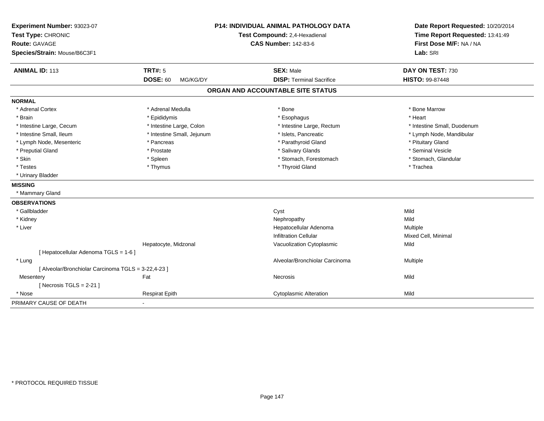| Experiment Number: 93023-07<br>Test Type: CHRONIC<br><b>Route: GAVAGE</b><br>Species/Strain: Mouse/B6C3F1 | <b>P14: INDIVIDUAL ANIMAL PATHOLOGY DATA</b><br>Test Compound: 2,4-Hexadienal<br><b>CAS Number: 142-83-6</b> |                                   | Date Report Requested: 10/20/2014<br>Time Report Requested: 13:41:49<br>First Dose M/F: NA / NA<br>Lab: SRI |
|-----------------------------------------------------------------------------------------------------------|--------------------------------------------------------------------------------------------------------------|-----------------------------------|-------------------------------------------------------------------------------------------------------------|
| <b>ANIMAL ID: 113</b>                                                                                     | <b>TRT#: 5</b>                                                                                               | <b>SEX: Male</b>                  | DAY ON TEST: 730                                                                                            |
|                                                                                                           | <b>DOSE: 60</b><br>MG/KG/DY                                                                                  | <b>DISP: Terminal Sacrifice</b>   | HISTO: 99-87448                                                                                             |
|                                                                                                           |                                                                                                              | ORGAN AND ACCOUNTABLE SITE STATUS |                                                                                                             |
| <b>NORMAL</b>                                                                                             |                                                                                                              |                                   |                                                                                                             |
| * Adrenal Cortex                                                                                          | * Adrenal Medulla                                                                                            | * Bone                            | * Bone Marrow                                                                                               |
| * Brain                                                                                                   | * Epididymis                                                                                                 | * Esophagus                       | * Heart                                                                                                     |
| * Intestine Large, Cecum                                                                                  | * Intestine Large, Colon                                                                                     | * Intestine Large, Rectum         | * Intestine Small, Duodenum                                                                                 |
| * Intestine Small, Ileum                                                                                  | * Intestine Small, Jejunum                                                                                   | * Islets, Pancreatic              | * Lymph Node, Mandibular                                                                                    |
| * Lymph Node, Mesenteric                                                                                  | * Pancreas                                                                                                   | * Parathyroid Gland               | * Pituitary Gland                                                                                           |
| * Preputial Gland                                                                                         | * Prostate                                                                                                   | * Salivary Glands                 | * Seminal Vesicle                                                                                           |
| * Skin                                                                                                    | * Spleen                                                                                                     | * Stomach, Forestomach            | * Stomach, Glandular                                                                                        |
| * Testes                                                                                                  | * Thymus                                                                                                     | * Thyroid Gland                   | * Trachea                                                                                                   |
| * Urinary Bladder                                                                                         |                                                                                                              |                                   |                                                                                                             |
| <b>MISSING</b>                                                                                            |                                                                                                              |                                   |                                                                                                             |
| * Mammary Gland                                                                                           |                                                                                                              |                                   |                                                                                                             |
| <b>OBSERVATIONS</b>                                                                                       |                                                                                                              |                                   |                                                                                                             |
| * Gallbladder                                                                                             |                                                                                                              | Cyst                              | Mild                                                                                                        |
| * Kidney                                                                                                  |                                                                                                              | Nephropathy                       | Mild                                                                                                        |
| * Liver                                                                                                   |                                                                                                              | Hepatocellular Adenoma            | Multiple                                                                                                    |
|                                                                                                           |                                                                                                              | <b>Infiltration Cellular</b>      | Mixed Cell, Minimal                                                                                         |
|                                                                                                           | Hepatocyte, Midzonal                                                                                         | Vacuolization Cytoplasmic         | Mild                                                                                                        |
| [ Hepatocellular Adenoma TGLS = 1-6 ]                                                                     |                                                                                                              |                                   |                                                                                                             |
| * Lung                                                                                                    |                                                                                                              | Alveolar/Bronchiolar Carcinoma    | Multiple                                                                                                    |
| [ Alveolar/Bronchiolar Carcinoma TGLS = 3-22,4-23 ]                                                       |                                                                                                              |                                   |                                                                                                             |
| Mesentery                                                                                                 | Fat                                                                                                          | Necrosis                          | Mild                                                                                                        |
| [Necrosis $TGLS = 2-21$ ]                                                                                 |                                                                                                              |                                   |                                                                                                             |
| * Nose                                                                                                    | <b>Respirat Epith</b>                                                                                        | <b>Cytoplasmic Alteration</b>     | Mild                                                                                                        |
| PRIMARY CAUSE OF DEATH                                                                                    | $\blacksquare$                                                                                               |                                   |                                                                                                             |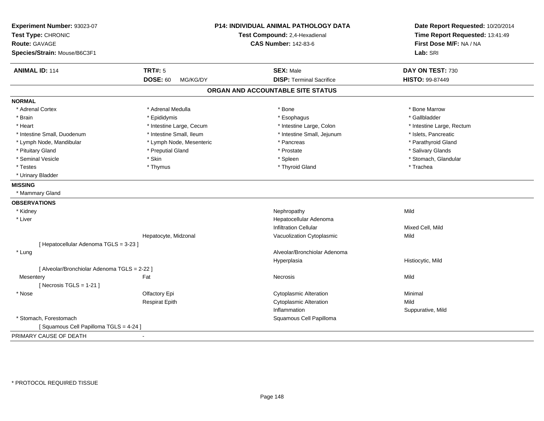| Experiment Number: 93023-07<br>Test Type: CHRONIC<br><b>Route: GAVAGE</b><br>Species/Strain: Mouse/B6C3F1 |                             | <b>P14: INDIVIDUAL ANIMAL PATHOLOGY DATA</b><br>Test Compound: 2,4-Hexadienal<br><b>CAS Number: 142-83-6</b> | Date Report Requested: 10/20/2014<br>Time Report Requested: 13:41:49<br>First Dose M/F: NA / NA<br>Lab: SRI |
|-----------------------------------------------------------------------------------------------------------|-----------------------------|--------------------------------------------------------------------------------------------------------------|-------------------------------------------------------------------------------------------------------------|
| <b>ANIMAL ID: 114</b>                                                                                     | <b>TRT#: 5</b>              | <b>SEX: Male</b>                                                                                             | DAY ON TEST: 730                                                                                            |
|                                                                                                           | <b>DOSE: 60</b><br>MG/KG/DY | <b>DISP: Terminal Sacrifice</b>                                                                              | HISTO: 99-87449                                                                                             |
|                                                                                                           |                             | ORGAN AND ACCOUNTABLE SITE STATUS                                                                            |                                                                                                             |
| <b>NORMAL</b>                                                                                             |                             |                                                                                                              |                                                                                                             |
| * Adrenal Cortex                                                                                          | * Adrenal Medulla           | * Bone                                                                                                       | * Bone Marrow                                                                                               |
| * Brain                                                                                                   | * Epididymis                | * Esophagus                                                                                                  | * Gallbladder                                                                                               |
| * Heart                                                                                                   | * Intestine Large, Cecum    | * Intestine Large, Colon                                                                                     | * Intestine Large, Rectum                                                                                   |
| * Intestine Small, Duodenum                                                                               | * Intestine Small, Ileum    | * Intestine Small, Jejunum                                                                                   | * Islets, Pancreatic                                                                                        |
| * Lymph Node, Mandibular                                                                                  | * Lymph Node, Mesenteric    | * Pancreas                                                                                                   | * Parathyroid Gland                                                                                         |
| * Pituitary Gland                                                                                         | * Preputial Gland           | * Prostate                                                                                                   | * Salivary Glands                                                                                           |
| * Seminal Vesicle                                                                                         | * Skin                      | * Spleen                                                                                                     | * Stomach, Glandular                                                                                        |
| * Testes                                                                                                  | * Thymus                    | * Thyroid Gland                                                                                              | * Trachea                                                                                                   |
| * Urinary Bladder                                                                                         |                             |                                                                                                              |                                                                                                             |
| <b>MISSING</b>                                                                                            |                             |                                                                                                              |                                                                                                             |
| * Mammary Gland                                                                                           |                             |                                                                                                              |                                                                                                             |
| <b>OBSERVATIONS</b>                                                                                       |                             |                                                                                                              |                                                                                                             |
| * Kidney                                                                                                  |                             | Nephropathy                                                                                                  | Mild                                                                                                        |
| * Liver                                                                                                   |                             | Hepatocellular Adenoma                                                                                       |                                                                                                             |
|                                                                                                           |                             | <b>Infiltration Cellular</b>                                                                                 | Mixed Cell, Mild                                                                                            |
|                                                                                                           | Hepatocyte, Midzonal        | Vacuolization Cytoplasmic                                                                                    | Mild                                                                                                        |
| [ Hepatocellular Adenoma TGLS = 3-23 ]                                                                    |                             |                                                                                                              |                                                                                                             |
| * Lung                                                                                                    |                             | Alveolar/Bronchiolar Adenoma                                                                                 |                                                                                                             |
|                                                                                                           |                             | Hyperplasia                                                                                                  | Histiocytic, Mild                                                                                           |
| [ Alveolar/Bronchiolar Adenoma TGLS = 2-22 ]                                                              |                             |                                                                                                              |                                                                                                             |
| Mesentery                                                                                                 | Fat                         | Necrosis                                                                                                     | Mild                                                                                                        |
| [Necrosis $TGLS = 1-21$ ]                                                                                 |                             |                                                                                                              |                                                                                                             |
| * Nose                                                                                                    | Olfactory Epi               | <b>Cytoplasmic Alteration</b>                                                                                | Minimal                                                                                                     |
|                                                                                                           | <b>Respirat Epith</b>       | <b>Cytoplasmic Alteration</b>                                                                                | Mild                                                                                                        |
|                                                                                                           |                             | Inflammation                                                                                                 | Suppurative, Mild                                                                                           |
| * Stomach, Forestomach                                                                                    |                             | Squamous Cell Papilloma                                                                                      |                                                                                                             |
| [Squamous Cell Papilloma TGLS = 4-24]                                                                     |                             |                                                                                                              |                                                                                                             |
| PRIMARY CAUSE OF DEATH                                                                                    |                             |                                                                                                              |                                                                                                             |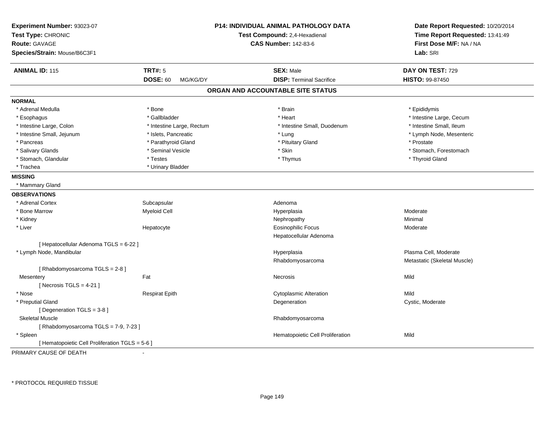| Experiment Number: 93023-07<br>Test Type: CHRONIC<br><b>Route: GAVAGE</b><br>Species/Strain: Mouse/B6C3F1 |                             | P14: INDIVIDUAL ANIMAL PATHOLOGY DATA<br>Test Compound: 2,4-Hexadienal<br><b>CAS Number: 142-83-6</b> | Date Report Requested: 10/20/2014<br>Time Report Requested: 13:41:49<br>First Dose M/F: NA / NA<br>Lab: SRI |
|-----------------------------------------------------------------------------------------------------------|-----------------------------|-------------------------------------------------------------------------------------------------------|-------------------------------------------------------------------------------------------------------------|
| <b>ANIMAL ID: 115</b>                                                                                     | <b>TRT#: 5</b>              | <b>SEX: Male</b>                                                                                      | DAY ON TEST: 729                                                                                            |
|                                                                                                           | <b>DOSE: 60</b><br>MG/KG/DY | <b>DISP: Terminal Sacrifice</b>                                                                       | <b>HISTO: 99-87450</b>                                                                                      |
|                                                                                                           |                             | ORGAN AND ACCOUNTABLE SITE STATUS                                                                     |                                                                                                             |
| <b>NORMAL</b>                                                                                             |                             |                                                                                                       |                                                                                                             |
| * Adrenal Medulla                                                                                         | * Bone                      | * Brain                                                                                               | * Epididymis                                                                                                |
| * Esophagus                                                                                               | * Gallbladder               | * Heart                                                                                               | * Intestine Large, Cecum                                                                                    |
| * Intestine Large, Colon                                                                                  | * Intestine Large, Rectum   | * Intestine Small, Duodenum                                                                           | * Intestine Small, Ileum                                                                                    |
| * Intestine Small, Jejunum                                                                                | * Islets, Pancreatic        | * Lung                                                                                                | * Lymph Node, Mesenteric                                                                                    |
| * Pancreas                                                                                                | * Parathyroid Gland         | * Pituitary Gland                                                                                     | * Prostate                                                                                                  |
| * Salivary Glands                                                                                         | * Seminal Vesicle           | * Skin                                                                                                | * Stomach, Forestomach                                                                                      |
| * Stomach, Glandular                                                                                      | * Testes                    | * Thymus                                                                                              | * Thyroid Gland                                                                                             |
| * Trachea                                                                                                 | * Urinary Bladder           |                                                                                                       |                                                                                                             |
| <b>MISSING</b>                                                                                            |                             |                                                                                                       |                                                                                                             |
| * Mammary Gland                                                                                           |                             |                                                                                                       |                                                                                                             |
| <b>OBSERVATIONS</b>                                                                                       |                             |                                                                                                       |                                                                                                             |
| * Adrenal Cortex                                                                                          | Subcapsular                 | Adenoma                                                                                               |                                                                                                             |
| * Bone Marrow                                                                                             | <b>Myeloid Cell</b>         | Hyperplasia                                                                                           | Moderate                                                                                                    |
| * Kidney                                                                                                  |                             | Nephropathy                                                                                           | Minimal                                                                                                     |
| * Liver                                                                                                   | Hepatocyte                  | <b>Eosinophilic Focus</b>                                                                             | Moderate                                                                                                    |
|                                                                                                           |                             | Hepatocellular Adenoma                                                                                |                                                                                                             |
| [ Hepatocellular Adenoma TGLS = 6-22 ]                                                                    |                             |                                                                                                       |                                                                                                             |
| * Lymph Node, Mandibular                                                                                  |                             | Hyperplasia                                                                                           | Plasma Cell, Moderate                                                                                       |
|                                                                                                           |                             | Rhabdomyosarcoma                                                                                      | Metastatic (Skeletal Muscle)                                                                                |
| [Rhabdomyosarcoma TGLS = 2-8]                                                                             |                             |                                                                                                       |                                                                                                             |
| Mesentery                                                                                                 | Fat                         | Necrosis                                                                                              | Mild                                                                                                        |
| [Necrosis TGLS = $4-21$ ]                                                                                 |                             |                                                                                                       |                                                                                                             |
| * Nose                                                                                                    | <b>Respirat Epith</b>       | <b>Cytoplasmic Alteration</b>                                                                         | Mild                                                                                                        |
| * Preputial Gland                                                                                         |                             | Degeneration                                                                                          | Cystic, Moderate                                                                                            |
| [ Degeneration TGLS = 3-8 ]                                                                               |                             |                                                                                                       |                                                                                                             |
| <b>Skeletal Muscle</b>                                                                                    |                             | Rhabdomyosarcoma                                                                                      |                                                                                                             |
| [Rhabdomyosarcoma TGLS = 7-9, 7-23]                                                                       |                             |                                                                                                       |                                                                                                             |
| * Spleen                                                                                                  |                             | Hematopoietic Cell Proliferation                                                                      | Mild                                                                                                        |
| [ Hematopoietic Cell Proliferation TGLS = 5-6 ]                                                           |                             |                                                                                                       |                                                                                                             |
| DOIMADV CAUSE OF DEATH                                                                                    |                             |                                                                                                       |                                                                                                             |

PRIMARY CAUSE OF DEATH-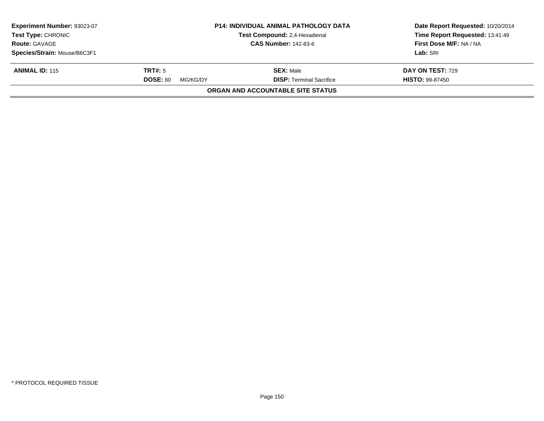| Experiment Number: 93023-07<br><b>Test Type: CHRONIC</b> |                             | <b>P14: INDIVIDUAL ANIMAL PATHOLOGY DATA</b><br>Test Compound: 2,4-Hexadienal | Date Report Requested: 10/20/2014<br>Time Report Requested: 13:41:49 |  |
|----------------------------------------------------------|-----------------------------|-------------------------------------------------------------------------------|----------------------------------------------------------------------|--|
| <b>Route: GAVAGE</b>                                     |                             | <b>CAS Number: 142-83-6</b>                                                   | First Dose M/F: NA / NA                                              |  |
| Species/Strain: Mouse/B6C3F1                             |                             |                                                                               | Lab: SRI                                                             |  |
| <b>ANIMAL ID: 115</b>                                    | TRT#: 5                     | <b>SEX: Male</b>                                                              | DAY ON TEST: 729                                                     |  |
|                                                          | <b>DOSE: 60</b><br>MG/KG/DY | <b>DISP: Terminal Sacrifice</b>                                               | <b>HISTO: 99-87450</b>                                               |  |
|                                                          |                             | ORGAN AND ACCOUNTABLE SITE STATUS                                             |                                                                      |  |
|                                                          |                             |                                                                               |                                                                      |  |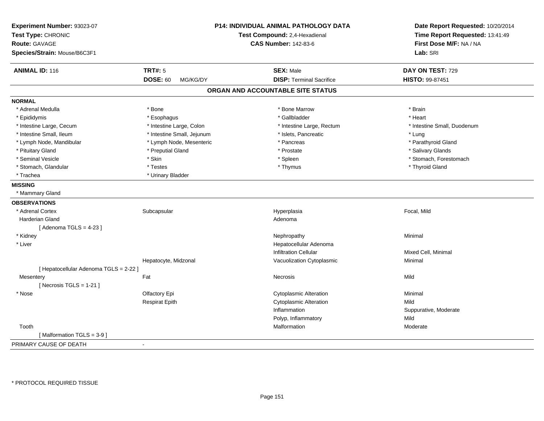| Experiment Number: 93023-07<br>Test Type: CHRONIC<br>Route: GAVAGE | P14: INDIVIDUAL ANIMAL PATHOLOGY DATA<br>Test Compound: 2,4-Hexadienal<br><b>CAS Number: 142-83-6</b> |                                   | Date Report Requested: 10/20/2014<br>Time Report Requested: 13:41:49<br>First Dose M/F: NA / NA |  |
|--------------------------------------------------------------------|-------------------------------------------------------------------------------------------------------|-----------------------------------|-------------------------------------------------------------------------------------------------|--|
| Species/Strain: Mouse/B6C3F1                                       |                                                                                                       | Lab: SRI                          |                                                                                                 |  |
| <b>ANIMAL ID: 116</b>                                              | <b>TRT#: 5</b>                                                                                        | <b>SEX: Male</b>                  | DAY ON TEST: 729                                                                                |  |
|                                                                    | <b>DOSE: 60</b><br>MG/KG/DY                                                                           | <b>DISP: Terminal Sacrifice</b>   | HISTO: 99-87451                                                                                 |  |
|                                                                    |                                                                                                       | ORGAN AND ACCOUNTABLE SITE STATUS |                                                                                                 |  |
| <b>NORMAL</b>                                                      |                                                                                                       |                                   |                                                                                                 |  |
| * Adrenal Medulla                                                  | * Bone                                                                                                | * Bone Marrow                     | * Brain                                                                                         |  |
| * Epididymis                                                       | * Esophagus                                                                                           | * Gallbladder                     | * Heart                                                                                         |  |
| * Intestine Large, Cecum                                           | * Intestine Large, Colon                                                                              | * Intestine Large, Rectum         | * Intestine Small, Duodenum                                                                     |  |
| * Intestine Small, Ileum                                           | * Intestine Small, Jejunum                                                                            | * Islets, Pancreatic              | * Lung                                                                                          |  |
| * Lymph Node, Mandibular                                           | * Lymph Node, Mesenteric                                                                              | * Pancreas                        | * Parathyroid Gland                                                                             |  |
| * Pituitary Gland                                                  | * Preputial Gland                                                                                     | * Prostate                        | * Salivary Glands                                                                               |  |
| * Seminal Vesicle                                                  | * Skin                                                                                                | * Spleen                          | * Stomach, Forestomach                                                                          |  |
| * Stomach, Glandular                                               | * Testes                                                                                              | * Thymus                          | * Thyroid Gland                                                                                 |  |
| * Trachea                                                          | * Urinary Bladder                                                                                     |                                   |                                                                                                 |  |
| <b>MISSING</b>                                                     |                                                                                                       |                                   |                                                                                                 |  |
| * Mammary Gland                                                    |                                                                                                       |                                   |                                                                                                 |  |
| <b>OBSERVATIONS</b>                                                |                                                                                                       |                                   |                                                                                                 |  |
| * Adrenal Cortex                                                   | Subcapsular                                                                                           | Hyperplasia                       | Focal, Mild                                                                                     |  |
| <b>Harderian Gland</b>                                             |                                                                                                       | Adenoma                           |                                                                                                 |  |
| [Adenoma TGLS = $4-23$ ]                                           |                                                                                                       |                                   |                                                                                                 |  |
| * Kidney                                                           |                                                                                                       | Nephropathy                       | Minimal                                                                                         |  |
| * Liver                                                            |                                                                                                       | Hepatocellular Adenoma            |                                                                                                 |  |
|                                                                    |                                                                                                       | <b>Infiltration Cellular</b>      | Mixed Cell, Minimal                                                                             |  |
|                                                                    | Hepatocyte, Midzonal                                                                                  | Vacuolization Cytoplasmic         | Minimal                                                                                         |  |
| [ Hepatocellular Adenoma TGLS = 2-22 ]                             |                                                                                                       |                                   |                                                                                                 |  |
| Mesentery                                                          | Fat                                                                                                   | Necrosis                          | Mild                                                                                            |  |
| [Necrosis $TGLS = 1-21$ ]                                          |                                                                                                       |                                   |                                                                                                 |  |
| * Nose                                                             | Olfactory Epi                                                                                         | <b>Cytoplasmic Alteration</b>     | Minimal                                                                                         |  |
|                                                                    | <b>Respirat Epith</b>                                                                                 | Cytoplasmic Alteration            | Mild                                                                                            |  |
|                                                                    |                                                                                                       | Inflammation                      | Suppurative, Moderate                                                                           |  |
|                                                                    |                                                                                                       | Polyp, Inflammatory               | Mild                                                                                            |  |
| Tooth                                                              |                                                                                                       | Malformation                      | Moderate                                                                                        |  |
| [Malformation TGLS = $3-9$ ]                                       |                                                                                                       |                                   |                                                                                                 |  |
| PRIMARY CAUSE OF DEATH                                             | $\blacksquare$                                                                                        |                                   |                                                                                                 |  |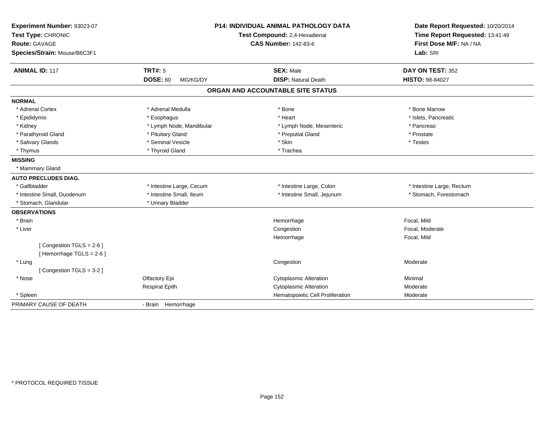| Experiment Number: 93023-07<br>Test Type: CHRONIC<br>Route: GAVAGE<br>Species/Strain: Mouse/B6C3F1 | <b>P14: INDIVIDUAL ANIMAL PATHOLOGY DATA</b><br>Test Compound: 2,4-Hexadienal<br><b>CAS Number: 142-83-6</b> |                                                | Date Report Requested: 10/20/2014<br>Time Report Requested: 13:41:49<br>First Dose M/F: NA / NA<br>Lab: SRI |
|----------------------------------------------------------------------------------------------------|--------------------------------------------------------------------------------------------------------------|------------------------------------------------|-------------------------------------------------------------------------------------------------------------|
| <b>ANIMAL ID: 117</b>                                                                              | <b>TRT#: 5</b><br><b>DOSE: 60</b><br>MG/KG/DY                                                                | <b>SEX: Male</b><br><b>DISP: Natural Death</b> | DAY ON TEST: 352<br>HISTO: 98-84027                                                                         |
|                                                                                                    |                                                                                                              | ORGAN AND ACCOUNTABLE SITE STATUS              |                                                                                                             |
| <b>NORMAL</b>                                                                                      |                                                                                                              |                                                |                                                                                                             |
| * Adrenal Cortex                                                                                   | * Adrenal Medulla                                                                                            | * Bone                                         | * Bone Marrow                                                                                               |
| * Epididymis                                                                                       | * Esophagus                                                                                                  | * Heart                                        | * Islets, Pancreatic                                                                                        |
| * Kidney                                                                                           | * Lymph Node, Mandibular                                                                                     | * Lymph Node, Mesenteric                       | * Pancreas                                                                                                  |
| * Parathyroid Gland                                                                                | * Pituitary Gland                                                                                            | * Preputial Gland                              | * Prostate                                                                                                  |
| * Salivary Glands                                                                                  | * Seminal Vesicle                                                                                            | * Skin                                         | * Testes                                                                                                    |
| * Thymus                                                                                           | * Thyroid Gland                                                                                              | * Trachea                                      |                                                                                                             |
| <b>MISSING</b>                                                                                     |                                                                                                              |                                                |                                                                                                             |
| * Mammary Gland                                                                                    |                                                                                                              |                                                |                                                                                                             |
| <b>AUTO PRECLUDES DIAG.</b>                                                                        |                                                                                                              |                                                |                                                                                                             |
| * Gallbladder                                                                                      | * Intestine Large, Cecum                                                                                     | * Intestine Large, Colon                       | * Intestine Large, Rectum                                                                                   |
| * Intestine Small, Duodenum                                                                        | * Intestine Small, Ileum                                                                                     | * Intestine Small, Jejunum                     | * Stomach, Forestomach                                                                                      |
| * Stomach, Glandular                                                                               | * Urinary Bladder                                                                                            |                                                |                                                                                                             |
| <b>OBSERVATIONS</b>                                                                                |                                                                                                              |                                                |                                                                                                             |
| * Brain                                                                                            |                                                                                                              | Hemorrhage                                     | Focal, Mild                                                                                                 |
| * Liver                                                                                            |                                                                                                              | Congestion                                     | Focal, Moderate                                                                                             |
|                                                                                                    |                                                                                                              | Hemorrhage                                     | Focal, Mild                                                                                                 |
| [Congestion TGLS = 2-6]<br>[Hemorrhage TGLS = $2-6$ ]                                              |                                                                                                              |                                                |                                                                                                             |
| * Lung                                                                                             |                                                                                                              | Congestion                                     | Moderate                                                                                                    |
| [Congestion TGLS = 3-2]                                                                            |                                                                                                              |                                                |                                                                                                             |
| * Nose                                                                                             | Olfactory Epi                                                                                                | <b>Cytoplasmic Alteration</b>                  | Minimal                                                                                                     |
|                                                                                                    | <b>Respirat Epith</b>                                                                                        | <b>Cytoplasmic Alteration</b>                  | Moderate                                                                                                    |
| * Spleen                                                                                           |                                                                                                              | Hematopoietic Cell Proliferation               | Moderate                                                                                                    |
| PRIMARY CAUSE OF DEATH                                                                             | - Brain Hemorrhage                                                                                           |                                                |                                                                                                             |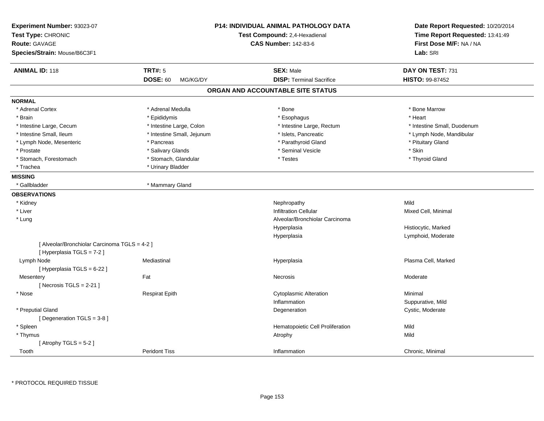| Experiment Number: 93023-07<br>Test Type: CHRONIC<br><b>Route: GAVAGE</b><br>Species/Strain: Mouse/B6C3F1 |                             | <b>P14: INDIVIDUAL ANIMAL PATHOLOGY DATA</b><br>Test Compound: 2,4-Hexadienal<br><b>CAS Number: 142-83-6</b> | Date Report Requested: 10/20/2014<br>Time Report Requested: 13:41:49<br>First Dose M/F: NA / NA<br>Lab: SRI |
|-----------------------------------------------------------------------------------------------------------|-----------------------------|--------------------------------------------------------------------------------------------------------------|-------------------------------------------------------------------------------------------------------------|
| <b>ANIMAL ID: 118</b>                                                                                     | <b>TRT#: 5</b>              | <b>SEX: Male</b>                                                                                             | DAY ON TEST: 731                                                                                            |
|                                                                                                           | <b>DOSE: 60</b><br>MG/KG/DY | <b>DISP: Terminal Sacrifice</b>                                                                              | HISTO: 99-87452                                                                                             |
|                                                                                                           |                             | ORGAN AND ACCOUNTABLE SITE STATUS                                                                            |                                                                                                             |
| <b>NORMAL</b>                                                                                             |                             |                                                                                                              |                                                                                                             |
| * Adrenal Cortex                                                                                          | * Adrenal Medulla           | * Bone                                                                                                       | * Bone Marrow                                                                                               |
| * Brain                                                                                                   | * Epididymis                | * Esophagus                                                                                                  | * Heart                                                                                                     |
| * Intestine Large, Cecum                                                                                  | * Intestine Large, Colon    | * Intestine Large, Rectum                                                                                    | * Intestine Small, Duodenum                                                                                 |
| * Intestine Small, Ileum                                                                                  | * Intestine Small, Jejunum  | * Islets, Pancreatic                                                                                         | * Lymph Node, Mandibular                                                                                    |
| * Lymph Node, Mesenteric                                                                                  | * Pancreas                  | * Parathyroid Gland                                                                                          | * Pituitary Gland                                                                                           |
| * Prostate                                                                                                | * Salivary Glands           | * Seminal Vesicle                                                                                            | * Skin                                                                                                      |
| * Stomach, Forestomach                                                                                    | * Stomach, Glandular        | * Testes                                                                                                     | * Thyroid Gland                                                                                             |
| * Trachea                                                                                                 | * Urinary Bladder           |                                                                                                              |                                                                                                             |
| <b>MISSING</b>                                                                                            |                             |                                                                                                              |                                                                                                             |
| * Gallbladder                                                                                             | * Mammary Gland             |                                                                                                              |                                                                                                             |
| <b>OBSERVATIONS</b>                                                                                       |                             |                                                                                                              |                                                                                                             |
| * Kidney                                                                                                  |                             | Nephropathy                                                                                                  | Mild                                                                                                        |
| * Liver                                                                                                   |                             | <b>Infiltration Cellular</b>                                                                                 | Mixed Cell, Minimal                                                                                         |
| * Lung                                                                                                    |                             | Alveolar/Bronchiolar Carcinoma                                                                               |                                                                                                             |
|                                                                                                           |                             | Hyperplasia                                                                                                  | Histiocytic, Marked                                                                                         |
|                                                                                                           |                             | Hyperplasia                                                                                                  | Lymphoid, Moderate                                                                                          |
| [ Alveolar/Bronchiolar Carcinoma TGLS = 4-2 ]<br>[ Hyperplasia TGLS = 7-2 ]                               |                             |                                                                                                              |                                                                                                             |
| Lymph Node                                                                                                | Mediastinal                 | Hyperplasia                                                                                                  | Plasma Cell, Marked                                                                                         |
| [ Hyperplasia TGLS = 6-22 ]                                                                               |                             |                                                                                                              |                                                                                                             |
| Mesentery                                                                                                 | Fat                         | Necrosis                                                                                                     | Moderate                                                                                                    |
| [Necrosis TGLS = $2-21$ ]                                                                                 |                             |                                                                                                              |                                                                                                             |
| * Nose                                                                                                    | <b>Respirat Epith</b>       | <b>Cytoplasmic Alteration</b>                                                                                | Minimal                                                                                                     |
|                                                                                                           |                             | Inflammation                                                                                                 | Suppurative, Mild                                                                                           |
| * Preputial Gland                                                                                         |                             | Degeneration                                                                                                 | Cystic, Moderate                                                                                            |
| [ Degeneration TGLS = 3-8 ]                                                                               |                             |                                                                                                              |                                                                                                             |
| * Spleen                                                                                                  |                             | Hematopoietic Cell Proliferation                                                                             | Mild                                                                                                        |
| * Thymus                                                                                                  |                             | Atrophy                                                                                                      | Mild                                                                                                        |
| [Atrophy TGLS = $5-2$ ]                                                                                   |                             |                                                                                                              |                                                                                                             |
| Tooth                                                                                                     | <b>Peridont Tiss</b>        | Inflammation                                                                                                 | Chronic, Minimal                                                                                            |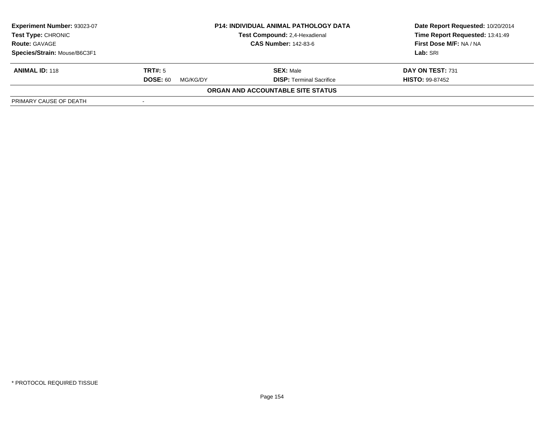| <b>Experiment Number: 93023-07</b><br><b>Test Type: CHRONIC</b><br><b>Route: GAVAGE</b> | <b>P14: INDIVIDUAL ANIMAL PATHOLOGY DATA</b><br>Test Compound: 2,4-Hexadienal<br><b>CAS Number: 142-83-6</b> |                                   | Date Report Requested: 10/20/2014<br>Time Report Requested: 13:41:49<br>First Dose M/F: NA / NA |
|-----------------------------------------------------------------------------------------|--------------------------------------------------------------------------------------------------------------|-----------------------------------|-------------------------------------------------------------------------------------------------|
| Species/Strain: Mouse/B6C3F1                                                            |                                                                                                              |                                   | Lab: SRI                                                                                        |
| <b>ANIMAL ID: 118</b>                                                                   | TRT#: 5                                                                                                      | <b>SEX: Male</b>                  | DAY ON TEST: 731                                                                                |
|                                                                                         | <b>DOSE: 60</b><br>MG/KG/DY                                                                                  | <b>DISP:</b> Terminal Sacrifice   | <b>HISTO: 99-87452</b>                                                                          |
|                                                                                         |                                                                                                              | ORGAN AND ACCOUNTABLE SITE STATUS |                                                                                                 |
| PRIMARY CAUSE OF DEATH                                                                  |                                                                                                              |                                   |                                                                                                 |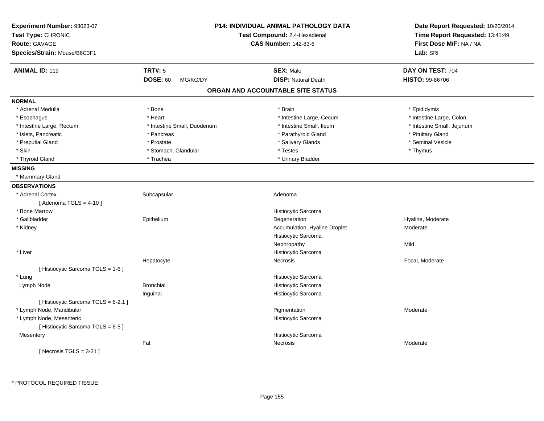| Experiment Number: 93023-07<br>Test Type: CHRONIC<br><b>Route: GAVAGE</b><br>Species/Strain: Mouse/B6C3F1 |                             | <b>P14: INDIVIDUAL ANIMAL PATHOLOGY DATA</b><br>Test Compound: 2,4-Hexadienal<br><b>CAS Number: 142-83-6</b> | Date Report Requested: 10/20/2014<br>Time Report Requested: 13:41:49<br>First Dose M/F: NA / NA<br>Lab: SRI |
|-----------------------------------------------------------------------------------------------------------|-----------------------------|--------------------------------------------------------------------------------------------------------------|-------------------------------------------------------------------------------------------------------------|
| <b>ANIMAL ID: 119</b>                                                                                     | <b>TRT#: 5</b>              | <b>SEX: Male</b>                                                                                             | DAY ON TEST: 704                                                                                            |
|                                                                                                           | <b>DOSE: 60</b><br>MG/KG/DY | <b>DISP: Natural Death</b>                                                                                   | <b>HISTO: 99-86706</b>                                                                                      |
|                                                                                                           |                             | ORGAN AND ACCOUNTABLE SITE STATUS                                                                            |                                                                                                             |
| <b>NORMAL</b>                                                                                             |                             |                                                                                                              |                                                                                                             |
| * Adrenal Medulla                                                                                         | * Bone                      | * Brain                                                                                                      | * Epididymis                                                                                                |
| * Esophagus                                                                                               | * Heart                     | * Intestine Large, Cecum                                                                                     | * Intestine Large, Colon                                                                                    |
| * Intestine Large, Rectum                                                                                 | * Intestine Small, Duodenum | * Intestine Small, Ileum                                                                                     | * Intestine Small, Jejunum                                                                                  |
| * Islets, Pancreatic                                                                                      | * Pancreas                  | * Parathyroid Gland                                                                                          | * Pituitary Gland                                                                                           |
| * Preputial Gland                                                                                         | * Prostate                  | * Salivary Glands                                                                                            | * Seminal Vesicle                                                                                           |
| * Skin                                                                                                    | * Stomach, Glandular        | * Testes                                                                                                     | * Thymus                                                                                                    |
| * Thyroid Gland                                                                                           | * Trachea                   | * Urinary Bladder                                                                                            |                                                                                                             |
| <b>MISSING</b>                                                                                            |                             |                                                                                                              |                                                                                                             |
| * Mammary Gland                                                                                           |                             |                                                                                                              |                                                                                                             |
| <b>OBSERVATIONS</b>                                                                                       |                             |                                                                                                              |                                                                                                             |
| * Adrenal Cortex                                                                                          | Subcapsular                 | Adenoma                                                                                                      |                                                                                                             |
| [Adenoma TGLS = $4-10$ ]                                                                                  |                             |                                                                                                              |                                                                                                             |
| * Bone Marrow                                                                                             |                             | Histiocytic Sarcoma                                                                                          |                                                                                                             |
| * Gallbladder                                                                                             | Epithelium                  | Degeneration                                                                                                 | Hyaline, Moderate                                                                                           |
| * Kidney                                                                                                  |                             | Accumulation, Hyaline Droplet                                                                                | Moderate                                                                                                    |
|                                                                                                           |                             | Histiocytic Sarcoma                                                                                          |                                                                                                             |
|                                                                                                           |                             | Nephropathy                                                                                                  | Mild                                                                                                        |
| * Liver                                                                                                   |                             | Histiocytic Sarcoma                                                                                          |                                                                                                             |
|                                                                                                           | Hepatocyte                  | Necrosis                                                                                                     | Focal, Moderate                                                                                             |
| [ Histiocytic Sarcoma TGLS = 1-6 ]                                                                        |                             |                                                                                                              |                                                                                                             |
| * Lung                                                                                                    |                             | Histiocytic Sarcoma                                                                                          |                                                                                                             |
| Lymph Node                                                                                                | <b>Bronchial</b>            | Histiocytic Sarcoma                                                                                          |                                                                                                             |
|                                                                                                           | Inguinal                    | Histiocytic Sarcoma                                                                                          |                                                                                                             |
| [Histiocytic Sarcoma TGLS = 8-2.1]                                                                        |                             |                                                                                                              |                                                                                                             |
| * Lymph Node, Mandibular                                                                                  |                             | Pigmentation                                                                                                 | Moderate                                                                                                    |
| * Lymph Node, Mesenteric                                                                                  |                             | Histiocytic Sarcoma                                                                                          |                                                                                                             |
| [Histiocytic Sarcoma TGLS = 6-5]                                                                          |                             |                                                                                                              |                                                                                                             |
| Mesentery                                                                                                 |                             | Histiocytic Sarcoma                                                                                          |                                                                                                             |
|                                                                                                           | Fat                         | Necrosis                                                                                                     | Moderate                                                                                                    |
| [ Necrosis TGLS = $3-21$ ]                                                                                |                             |                                                                                                              |                                                                                                             |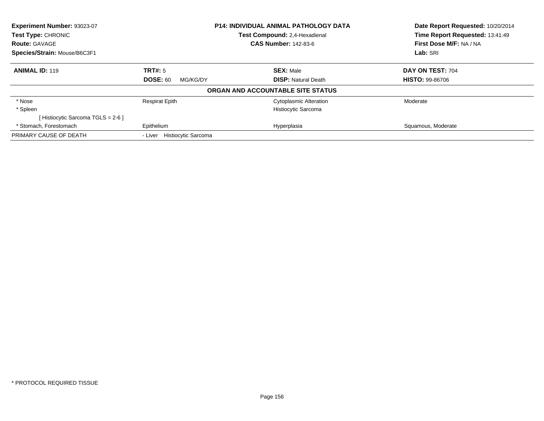| Experiment Number: 93023-07<br>Test Type: CHRONIC |                                       | P14: INDIVIDUAL ANIMAL PATHOLOGY DATA | Date Report Requested: 10/20/2014<br>Time Report Requested: 13:41:49 |
|---------------------------------------------------|---------------------------------------|---------------------------------------|----------------------------------------------------------------------|
|                                                   |                                       | Test Compound: 2.4-Hexadienal         |                                                                      |
| <b>Route: GAVAGE</b>                              |                                       | <b>CAS Number: 142-83-6</b>           | First Dose M/F: NA / NA                                              |
| Species/Strain: Mouse/B6C3F1                      |                                       |                                       | Lab: SRI                                                             |
| <b>ANIMAL ID: 119</b>                             | TRT#: 5                               | <b>SEX: Male</b>                      | DAY ON TEST: 704                                                     |
|                                                   | <b>DOSE: 60</b><br>MG/KG/DY           | <b>DISP:</b> Natural Death            | <b>HISTO: 99-86706</b>                                               |
|                                                   |                                       | ORGAN AND ACCOUNTABLE SITE STATUS     |                                                                      |
| * Nose                                            | <b>Respirat Epith</b>                 | <b>Cytoplasmic Alteration</b>         | Moderate                                                             |
| * Spleen                                          |                                       | Histiocytic Sarcoma                   |                                                                      |
| [Histiocytic Sarcoma TGLS = 2-6 ]                 |                                       |                                       |                                                                      |
| * Stomach, Forestomach                            | Epithelium                            | Hyperplasia                           | Squamous, Moderate                                                   |
| PRIMARY CAUSE OF DEATH                            | <b>Histiocytic Sarcoma</b><br>- Liver |                                       |                                                                      |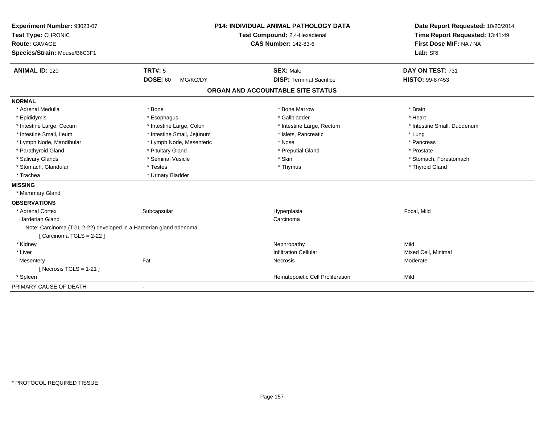| Experiment Number: 93023-07                                       |                             | <b>P14: INDIVIDUAL ANIMAL PATHOLOGY DATA</b> | Date Report Requested: 10/20/2014<br>Time Report Requested: 13:41:49 |
|-------------------------------------------------------------------|-----------------------------|----------------------------------------------|----------------------------------------------------------------------|
| Test Type: CHRONIC                                                |                             | Test Compound: 2,4-Hexadienal                |                                                                      |
| Route: GAVAGE                                                     |                             | <b>CAS Number: 142-83-6</b>                  | First Dose M/F: NA / NA                                              |
| Species/Strain: Mouse/B6C3F1                                      |                             |                                              | Lab: SRI                                                             |
| <b>ANIMAL ID: 120</b>                                             | <b>TRT#: 5</b>              | <b>SEX: Male</b>                             | DAY ON TEST: 731                                                     |
|                                                                   | <b>DOSE: 60</b><br>MG/KG/DY | <b>DISP: Terminal Sacrifice</b>              | HISTO: 99-87453                                                      |
|                                                                   |                             | ORGAN AND ACCOUNTABLE SITE STATUS            |                                                                      |
| <b>NORMAL</b>                                                     |                             |                                              |                                                                      |
| * Adrenal Medulla                                                 | * Bone                      | * Bone Marrow                                | * Brain                                                              |
| * Epididymis                                                      | * Esophagus                 | * Gallbladder                                | * Heart                                                              |
| * Intestine Large, Cecum                                          | * Intestine Large, Colon    | * Intestine Large, Rectum                    | * Intestine Small, Duodenum                                          |
| * Intestine Small. Ileum                                          | * Intestine Small, Jejunum  | * Islets, Pancreatic                         | * Lung                                                               |
| * Lymph Node, Mandibular                                          | * Lymph Node, Mesenteric    | * Nose                                       | * Pancreas                                                           |
| * Parathyroid Gland                                               | * Pituitary Gland           | * Preputial Gland                            | * Prostate                                                           |
| * Salivary Glands                                                 | * Seminal Vesicle           | * Skin                                       | * Stomach, Forestomach                                               |
| * Stomach, Glandular                                              | * Testes                    | * Thymus                                     | * Thyroid Gland                                                      |
| * Trachea                                                         | * Urinary Bladder           |                                              |                                                                      |
| <b>MISSING</b>                                                    |                             |                                              |                                                                      |
| * Mammary Gland                                                   |                             |                                              |                                                                      |
| <b>OBSERVATIONS</b>                                               |                             |                                              |                                                                      |
| * Adrenal Cortex                                                  | Subcapsular                 | Hyperplasia                                  | Focal, Mild                                                          |
| <b>Harderian Gland</b>                                            |                             | Carcinoma                                    |                                                                      |
| Note: Carcinoma (TGL 2-22) developed in a Harderian gland adenoma |                             |                                              |                                                                      |
| [ Carcinoma TGLS = $2-22$ ]                                       |                             |                                              |                                                                      |
| * Kidney                                                          |                             | Nephropathy                                  | Mild                                                                 |
| * Liver                                                           |                             | <b>Infiltration Cellular</b>                 | Mixed Cell, Minimal                                                  |
| Mesentery                                                         | Fat                         | Necrosis                                     | Moderate                                                             |
| [ Necrosis $TGLS = 1-21$ ]                                        |                             |                                              |                                                                      |
| * Spleen                                                          |                             | Hematopoietic Cell Proliferation             | Mild                                                                 |
| PRIMARY CAUSE OF DEATH                                            | $\blacksquare$              |                                              |                                                                      |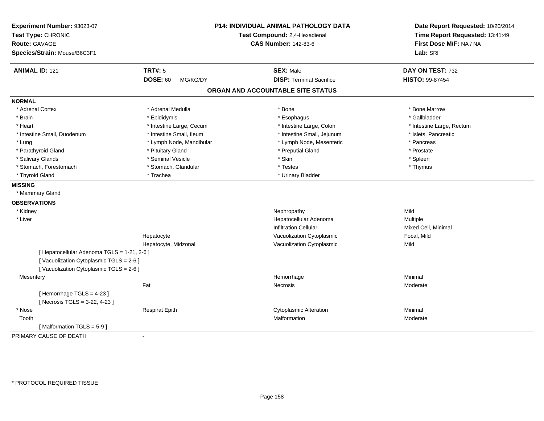| Experiment Number: 93023-07<br>Test Type: CHRONIC<br><b>Route: GAVAGE</b><br>Species/Strain: Mouse/B6C3F1 |                          | P14: INDIVIDUAL ANIMAL PATHOLOGY DATA<br>Test Compound: 2,4-Hexadienal<br><b>CAS Number: 142-83-6</b> | Date Report Requested: 10/20/2014<br>Time Report Requested: 13:41:49<br>First Dose M/F: NA / NA<br>Lab: SRI |
|-----------------------------------------------------------------------------------------------------------|--------------------------|-------------------------------------------------------------------------------------------------------|-------------------------------------------------------------------------------------------------------------|
| <b>TRT#: 5</b><br><b>ANIMAL ID: 121</b>                                                                   |                          | <b>SEX: Male</b>                                                                                      | DAY ON TEST: 732                                                                                            |
| <b>DOSE: 60</b>                                                                                           | MG/KG/DY                 | <b>DISP: Terminal Sacrifice</b>                                                                       | HISTO: 99-87454                                                                                             |
|                                                                                                           |                          | ORGAN AND ACCOUNTABLE SITE STATUS                                                                     |                                                                                                             |
| <b>NORMAL</b>                                                                                             |                          |                                                                                                       |                                                                                                             |
| * Adrenal Cortex                                                                                          | * Adrenal Medulla        | * Bone                                                                                                | * Bone Marrow                                                                                               |
| * Brain<br>* Epididymis                                                                                   |                          | * Esophagus                                                                                           | * Gallbladder                                                                                               |
| * Heart                                                                                                   | * Intestine Large, Cecum | * Intestine Large, Colon                                                                              | * Intestine Large, Rectum                                                                                   |
| * Intestine Small, Duodenum                                                                               | * Intestine Small, Ileum | * Intestine Small, Jejunum                                                                            | * Islets, Pancreatic                                                                                        |
| * Lung                                                                                                    | * Lymph Node, Mandibular | * Lymph Node, Mesenteric                                                                              | * Pancreas                                                                                                  |
| * Parathyroid Gland                                                                                       | * Pituitary Gland        | * Preputial Gland                                                                                     | * Prostate                                                                                                  |
| * Salivary Glands                                                                                         | * Seminal Vesicle        | * Skin                                                                                                | * Spleen                                                                                                    |
| * Stomach, Forestomach                                                                                    | * Stomach, Glandular     | * Testes                                                                                              | * Thymus                                                                                                    |
| * Thyroid Gland<br>* Trachea                                                                              |                          | * Urinary Bladder                                                                                     |                                                                                                             |
| <b>MISSING</b>                                                                                            |                          |                                                                                                       |                                                                                                             |
| * Mammary Gland                                                                                           |                          |                                                                                                       |                                                                                                             |
| <b>OBSERVATIONS</b>                                                                                       |                          |                                                                                                       |                                                                                                             |
| * Kidney                                                                                                  |                          | Nephropathy                                                                                           | Mild                                                                                                        |
| * Liver                                                                                                   |                          | Hepatocellular Adenoma                                                                                | Multiple                                                                                                    |
|                                                                                                           |                          | <b>Infiltration Cellular</b>                                                                          | Mixed Cell, Minimal                                                                                         |
| Hepatocyte                                                                                                |                          | Vacuolization Cytoplasmic                                                                             | Focal, Mild                                                                                                 |
|                                                                                                           | Hepatocyte, Midzonal     | Vacuolization Cytoplasmic                                                                             | Mild                                                                                                        |
| [ Hepatocellular Adenoma TGLS = 1-21, 2-6 ]                                                               |                          |                                                                                                       |                                                                                                             |
| [Vacuolization Cytoplasmic TGLS = 2-6]                                                                    |                          |                                                                                                       |                                                                                                             |
| [Vacuolization Cytoplasmic TGLS = 2-6]                                                                    |                          |                                                                                                       |                                                                                                             |
| Mesentery                                                                                                 |                          | Hemorrhage                                                                                            | Minimal                                                                                                     |
| Fat                                                                                                       |                          | <b>Necrosis</b>                                                                                       | Moderate                                                                                                    |
| [Hemorrhage TGLS = 4-23]<br>[ Necrosis TGLS = 3-22, 4-23 ]                                                |                          |                                                                                                       |                                                                                                             |
| * Nose<br><b>Respirat Epith</b>                                                                           |                          | <b>Cytoplasmic Alteration</b>                                                                         | Minimal                                                                                                     |
| Tooth                                                                                                     |                          | Malformation                                                                                          | Moderate                                                                                                    |
| [Malformation TGLS = 5-9]                                                                                 |                          |                                                                                                       |                                                                                                             |
| PRIMARY CAUSE OF DEATH<br>$\sim$                                                                          |                          |                                                                                                       |                                                                                                             |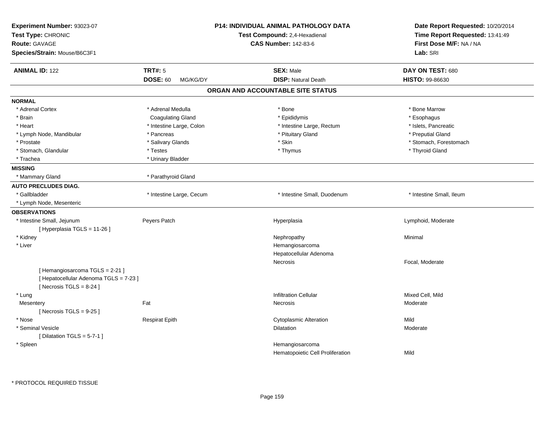| <b>ANIMAL ID: 122</b><br><b>TRT#: 5</b><br><b>SEX: Male</b><br>DAY ON TEST: 680<br><b>DOSE: 60</b><br><b>DISP: Natural Death</b><br><b>HISTO: 99-86630</b><br>MG/KG/DY<br>ORGAN AND ACCOUNTABLE SITE STATUS<br><b>NORMAL</b><br>* Adrenal Medulla<br>* Bone Marrow<br>* Adrenal Cortex<br>* Bone<br>* Brain<br><b>Coagulating Gland</b><br>* Epididymis<br>* Esophagus<br>* Heart<br>* Intestine Large, Colon<br>* Intestine Large, Rectum<br>* Islets, Pancreatic<br>* Pituitary Gland<br>* Preputial Gland<br>* Lymph Node, Mandibular<br>* Pancreas<br>* Salivary Glands<br>* Skin<br>* Stomach, Forestomach<br>* Prostate<br>* Stomach, Glandular<br>* Testes<br>* Thymus<br>* Thyroid Gland<br>* Urinary Bladder<br>* Trachea<br><b>MISSING</b><br>* Parathyroid Gland<br>* Mammary Gland<br><b>AUTO PRECLUDES DIAG.</b><br>* Gallbladder<br>* Intestine Large, Cecum<br>* Intestine Small, Duodenum<br>* Intestine Small, Ileum<br>* Lymph Node, Mesenteric<br><b>OBSERVATIONS</b><br>* Intestine Small, Jejunum<br>Peyers Patch<br>Hyperplasia<br>Lymphoid, Moderate<br>[ Hyperplasia TGLS = 11-26 ]<br>* Kidney<br>Nephropathy<br>Minimal<br>* Liver<br>Hemangiosarcoma<br>Hepatocellular Adenoma<br>Necrosis<br>Focal, Moderate<br>[Hemangiosarcoma TGLS = 2-21]<br>[ Hepatocellular Adenoma TGLS = 7-23 ]<br>[Necrosis $TGLS = 8-24$ ]<br><b>Infiltration Cellular</b><br>Mixed Cell, Mild<br>* Lung<br>Fat<br>Mesentery<br>Moderate<br><b>Necrosis</b><br>[Necrosis TGLS = $9-25$ ]<br>Mild<br>* Nose<br><b>Respirat Epith</b><br><b>Cytoplasmic Alteration</b><br>* Seminal Vesicle<br>Dilatation<br>Moderate<br>[ Dilatation TGLS = $5-7-1$ ]<br>* Spleen<br>Hemangiosarcoma | Experiment Number: 93023-07<br>Test Type: CHRONIC<br><b>Route: GAVAGE</b><br>Species/Strain: Mouse/B6C3F1 | P14: INDIVIDUAL ANIMAL PATHOLOGY DATA<br>Test Compound: 2,4-Hexadienal<br><b>CAS Number: 142-83-6</b> | Date Report Requested: 10/20/2014<br>Time Report Requested: 13:41:49<br>First Dose M/F: NA / NA<br>Lab: SRI |
|-------------------------------------------------------------------------------------------------------------------------------------------------------------------------------------------------------------------------------------------------------------------------------------------------------------------------------------------------------------------------------------------------------------------------------------------------------------------------------------------------------------------------------------------------------------------------------------------------------------------------------------------------------------------------------------------------------------------------------------------------------------------------------------------------------------------------------------------------------------------------------------------------------------------------------------------------------------------------------------------------------------------------------------------------------------------------------------------------------------------------------------------------------------------------------------------------------------------------------------------------------------------------------------------------------------------------------------------------------------------------------------------------------------------------------------------------------------------------------------------------------------------------------------------------------------------------------------------------------------------------------------------------------------------------------------------|-----------------------------------------------------------------------------------------------------------|-------------------------------------------------------------------------------------------------------|-------------------------------------------------------------------------------------------------------------|
|                                                                                                                                                                                                                                                                                                                                                                                                                                                                                                                                                                                                                                                                                                                                                                                                                                                                                                                                                                                                                                                                                                                                                                                                                                                                                                                                                                                                                                                                                                                                                                                                                                                                                           |                                                                                                           |                                                                                                       |                                                                                                             |
|                                                                                                                                                                                                                                                                                                                                                                                                                                                                                                                                                                                                                                                                                                                                                                                                                                                                                                                                                                                                                                                                                                                                                                                                                                                                                                                                                                                                                                                                                                                                                                                                                                                                                           |                                                                                                           |                                                                                                       |                                                                                                             |
|                                                                                                                                                                                                                                                                                                                                                                                                                                                                                                                                                                                                                                                                                                                                                                                                                                                                                                                                                                                                                                                                                                                                                                                                                                                                                                                                                                                                                                                                                                                                                                                                                                                                                           |                                                                                                           |                                                                                                       |                                                                                                             |
|                                                                                                                                                                                                                                                                                                                                                                                                                                                                                                                                                                                                                                                                                                                                                                                                                                                                                                                                                                                                                                                                                                                                                                                                                                                                                                                                                                                                                                                                                                                                                                                                                                                                                           |                                                                                                           |                                                                                                       |                                                                                                             |
|                                                                                                                                                                                                                                                                                                                                                                                                                                                                                                                                                                                                                                                                                                                                                                                                                                                                                                                                                                                                                                                                                                                                                                                                                                                                                                                                                                                                                                                                                                                                                                                                                                                                                           |                                                                                                           |                                                                                                       |                                                                                                             |
|                                                                                                                                                                                                                                                                                                                                                                                                                                                                                                                                                                                                                                                                                                                                                                                                                                                                                                                                                                                                                                                                                                                                                                                                                                                                                                                                                                                                                                                                                                                                                                                                                                                                                           |                                                                                                           |                                                                                                       |                                                                                                             |
|                                                                                                                                                                                                                                                                                                                                                                                                                                                                                                                                                                                                                                                                                                                                                                                                                                                                                                                                                                                                                                                                                                                                                                                                                                                                                                                                                                                                                                                                                                                                                                                                                                                                                           |                                                                                                           |                                                                                                       |                                                                                                             |
|                                                                                                                                                                                                                                                                                                                                                                                                                                                                                                                                                                                                                                                                                                                                                                                                                                                                                                                                                                                                                                                                                                                                                                                                                                                                                                                                                                                                                                                                                                                                                                                                                                                                                           |                                                                                                           |                                                                                                       |                                                                                                             |
|                                                                                                                                                                                                                                                                                                                                                                                                                                                                                                                                                                                                                                                                                                                                                                                                                                                                                                                                                                                                                                                                                                                                                                                                                                                                                                                                                                                                                                                                                                                                                                                                                                                                                           |                                                                                                           |                                                                                                       |                                                                                                             |
|                                                                                                                                                                                                                                                                                                                                                                                                                                                                                                                                                                                                                                                                                                                                                                                                                                                                                                                                                                                                                                                                                                                                                                                                                                                                                                                                                                                                                                                                                                                                                                                                                                                                                           |                                                                                                           |                                                                                                       |                                                                                                             |
|                                                                                                                                                                                                                                                                                                                                                                                                                                                                                                                                                                                                                                                                                                                                                                                                                                                                                                                                                                                                                                                                                                                                                                                                                                                                                                                                                                                                                                                                                                                                                                                                                                                                                           |                                                                                                           |                                                                                                       |                                                                                                             |
|                                                                                                                                                                                                                                                                                                                                                                                                                                                                                                                                                                                                                                                                                                                                                                                                                                                                                                                                                                                                                                                                                                                                                                                                                                                                                                                                                                                                                                                                                                                                                                                                                                                                                           |                                                                                                           |                                                                                                       |                                                                                                             |
|                                                                                                                                                                                                                                                                                                                                                                                                                                                                                                                                                                                                                                                                                                                                                                                                                                                                                                                                                                                                                                                                                                                                                                                                                                                                                                                                                                                                                                                                                                                                                                                                                                                                                           |                                                                                                           |                                                                                                       |                                                                                                             |
|                                                                                                                                                                                                                                                                                                                                                                                                                                                                                                                                                                                                                                                                                                                                                                                                                                                                                                                                                                                                                                                                                                                                                                                                                                                                                                                                                                                                                                                                                                                                                                                                                                                                                           |                                                                                                           |                                                                                                       |                                                                                                             |
|                                                                                                                                                                                                                                                                                                                                                                                                                                                                                                                                                                                                                                                                                                                                                                                                                                                                                                                                                                                                                                                                                                                                                                                                                                                                                                                                                                                                                                                                                                                                                                                                                                                                                           |                                                                                                           |                                                                                                       |                                                                                                             |
|                                                                                                                                                                                                                                                                                                                                                                                                                                                                                                                                                                                                                                                                                                                                                                                                                                                                                                                                                                                                                                                                                                                                                                                                                                                                                                                                                                                                                                                                                                                                                                                                                                                                                           |                                                                                                           |                                                                                                       |                                                                                                             |
|                                                                                                                                                                                                                                                                                                                                                                                                                                                                                                                                                                                                                                                                                                                                                                                                                                                                                                                                                                                                                                                                                                                                                                                                                                                                                                                                                                                                                                                                                                                                                                                                                                                                                           |                                                                                                           |                                                                                                       |                                                                                                             |
|                                                                                                                                                                                                                                                                                                                                                                                                                                                                                                                                                                                                                                                                                                                                                                                                                                                                                                                                                                                                                                                                                                                                                                                                                                                                                                                                                                                                                                                                                                                                                                                                                                                                                           |                                                                                                           |                                                                                                       |                                                                                                             |
|                                                                                                                                                                                                                                                                                                                                                                                                                                                                                                                                                                                                                                                                                                                                                                                                                                                                                                                                                                                                                                                                                                                                                                                                                                                                                                                                                                                                                                                                                                                                                                                                                                                                                           |                                                                                                           |                                                                                                       |                                                                                                             |
|                                                                                                                                                                                                                                                                                                                                                                                                                                                                                                                                                                                                                                                                                                                                                                                                                                                                                                                                                                                                                                                                                                                                                                                                                                                                                                                                                                                                                                                                                                                                                                                                                                                                                           |                                                                                                           |                                                                                                       |                                                                                                             |
|                                                                                                                                                                                                                                                                                                                                                                                                                                                                                                                                                                                                                                                                                                                                                                                                                                                                                                                                                                                                                                                                                                                                                                                                                                                                                                                                                                                                                                                                                                                                                                                                                                                                                           |                                                                                                           |                                                                                                       |                                                                                                             |
|                                                                                                                                                                                                                                                                                                                                                                                                                                                                                                                                                                                                                                                                                                                                                                                                                                                                                                                                                                                                                                                                                                                                                                                                                                                                                                                                                                                                                                                                                                                                                                                                                                                                                           |                                                                                                           |                                                                                                       |                                                                                                             |
|                                                                                                                                                                                                                                                                                                                                                                                                                                                                                                                                                                                                                                                                                                                                                                                                                                                                                                                                                                                                                                                                                                                                                                                                                                                                                                                                                                                                                                                                                                                                                                                                                                                                                           |                                                                                                           |                                                                                                       |                                                                                                             |
|                                                                                                                                                                                                                                                                                                                                                                                                                                                                                                                                                                                                                                                                                                                                                                                                                                                                                                                                                                                                                                                                                                                                                                                                                                                                                                                                                                                                                                                                                                                                                                                                                                                                                           |                                                                                                           |                                                                                                       |                                                                                                             |
|                                                                                                                                                                                                                                                                                                                                                                                                                                                                                                                                                                                                                                                                                                                                                                                                                                                                                                                                                                                                                                                                                                                                                                                                                                                                                                                                                                                                                                                                                                                                                                                                                                                                                           |                                                                                                           |                                                                                                       |                                                                                                             |
|                                                                                                                                                                                                                                                                                                                                                                                                                                                                                                                                                                                                                                                                                                                                                                                                                                                                                                                                                                                                                                                                                                                                                                                                                                                                                                                                                                                                                                                                                                                                                                                                                                                                                           |                                                                                                           |                                                                                                       |                                                                                                             |
|                                                                                                                                                                                                                                                                                                                                                                                                                                                                                                                                                                                                                                                                                                                                                                                                                                                                                                                                                                                                                                                                                                                                                                                                                                                                                                                                                                                                                                                                                                                                                                                                                                                                                           |                                                                                                           |                                                                                                       |                                                                                                             |
|                                                                                                                                                                                                                                                                                                                                                                                                                                                                                                                                                                                                                                                                                                                                                                                                                                                                                                                                                                                                                                                                                                                                                                                                                                                                                                                                                                                                                                                                                                                                                                                                                                                                                           |                                                                                                           |                                                                                                       |                                                                                                             |
|                                                                                                                                                                                                                                                                                                                                                                                                                                                                                                                                                                                                                                                                                                                                                                                                                                                                                                                                                                                                                                                                                                                                                                                                                                                                                                                                                                                                                                                                                                                                                                                                                                                                                           |                                                                                                           |                                                                                                       |                                                                                                             |
|                                                                                                                                                                                                                                                                                                                                                                                                                                                                                                                                                                                                                                                                                                                                                                                                                                                                                                                                                                                                                                                                                                                                                                                                                                                                                                                                                                                                                                                                                                                                                                                                                                                                                           |                                                                                                           |                                                                                                       |                                                                                                             |
|                                                                                                                                                                                                                                                                                                                                                                                                                                                                                                                                                                                                                                                                                                                                                                                                                                                                                                                                                                                                                                                                                                                                                                                                                                                                                                                                                                                                                                                                                                                                                                                                                                                                                           |                                                                                                           |                                                                                                       |                                                                                                             |
|                                                                                                                                                                                                                                                                                                                                                                                                                                                                                                                                                                                                                                                                                                                                                                                                                                                                                                                                                                                                                                                                                                                                                                                                                                                                                                                                                                                                                                                                                                                                                                                                                                                                                           |                                                                                                           |                                                                                                       |                                                                                                             |
|                                                                                                                                                                                                                                                                                                                                                                                                                                                                                                                                                                                                                                                                                                                                                                                                                                                                                                                                                                                                                                                                                                                                                                                                                                                                                                                                                                                                                                                                                                                                                                                                                                                                                           |                                                                                                           | Hematopoietic Cell Proliferation                                                                      | Mild                                                                                                        |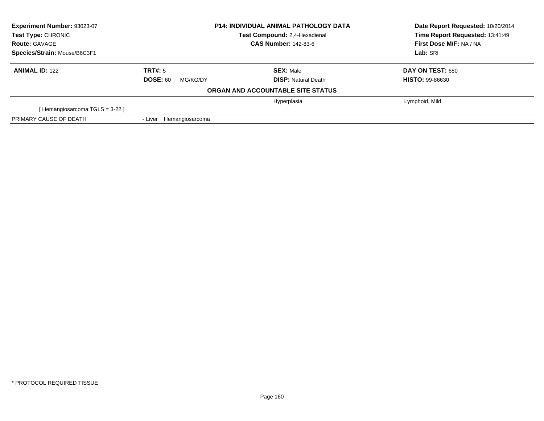| Experiment Number: 93023-07<br><b>Test Type: CHRONIC</b> | <b>P14: INDIVIDUAL ANIMAL PATHOLOGY DATA</b><br>Test Compound: 2,4-Hexadienal |                                   | Date Report Requested: 10/20/2014<br>Time Report Requested: 13:41:49 |
|----------------------------------------------------------|-------------------------------------------------------------------------------|-----------------------------------|----------------------------------------------------------------------|
| <b>Route: GAVAGE</b>                                     |                                                                               | <b>CAS Number: 142-83-6</b>       | First Dose M/F: NA / NA                                              |
| Species/Strain: Mouse/B6C3F1                             |                                                                               |                                   | Lab: SRI                                                             |
| <b>ANIMAL ID: 122</b>                                    | TRT#: 5                                                                       | <b>SEX: Male</b>                  | DAY ON TEST: 680                                                     |
|                                                          | <b>DOSE: 60</b><br>MG/KG/DY                                                   | <b>DISP:</b> Natural Death        | <b>HISTO: 99-86630</b>                                               |
|                                                          |                                                                               | ORGAN AND ACCOUNTABLE SITE STATUS |                                                                      |
|                                                          |                                                                               | Hyperplasia                       | Lymphoid, Mild                                                       |
| [Hemangiosarcoma TGLS = 3-22 ]                           |                                                                               |                                   |                                                                      |
| PRIMARY CAUSE OF DEATH                                   | - Liver<br>Hemangiosarcoma                                                    |                                   |                                                                      |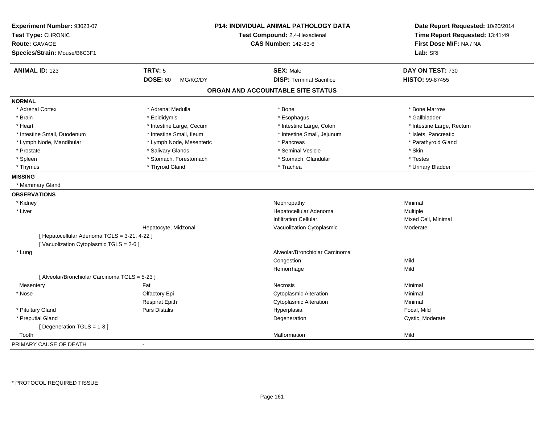| Experiment Number: 93023-07<br>Test Type: CHRONIC<br><b>Route: GAVAGE</b><br>Species/Strain: Mouse/B6C3F1 |                             | P14: INDIVIDUAL ANIMAL PATHOLOGY DATA<br>Test Compound: 2,4-Hexadienal<br><b>CAS Number: 142-83-6</b> | Date Report Requested: 10/20/2014<br>Time Report Requested: 13:41:49<br>First Dose M/F: NA / NA<br>Lab: SRI |
|-----------------------------------------------------------------------------------------------------------|-----------------------------|-------------------------------------------------------------------------------------------------------|-------------------------------------------------------------------------------------------------------------|
| <b>ANIMAL ID: 123</b>                                                                                     | <b>TRT#: 5</b>              | <b>SEX: Male</b>                                                                                      | DAY ON TEST: 730                                                                                            |
|                                                                                                           | <b>DOSE: 60</b><br>MG/KG/DY | <b>DISP: Terminal Sacrifice</b>                                                                       | <b>HISTO: 99-87455</b>                                                                                      |
|                                                                                                           |                             | ORGAN AND ACCOUNTABLE SITE STATUS                                                                     |                                                                                                             |
| <b>NORMAL</b>                                                                                             |                             |                                                                                                       |                                                                                                             |
| * Adrenal Cortex                                                                                          | * Adrenal Medulla           | * Bone                                                                                                | * Bone Marrow                                                                                               |
| * Brain                                                                                                   | * Epididymis                | * Esophagus                                                                                           | * Gallbladder                                                                                               |
| * Heart                                                                                                   | * Intestine Large, Cecum    | * Intestine Large, Colon                                                                              | * Intestine Large, Rectum                                                                                   |
| * Intestine Small, Duodenum                                                                               | * Intestine Small, Ileum    | * Intestine Small, Jejunum                                                                            | * Islets, Pancreatic                                                                                        |
| * Lymph Node, Mandibular                                                                                  | * Lymph Node, Mesenteric    | * Pancreas                                                                                            | * Parathyroid Gland                                                                                         |
| * Prostate                                                                                                | * Salivary Glands           | * Seminal Vesicle                                                                                     | * Skin                                                                                                      |
| * Spleen                                                                                                  | * Stomach, Forestomach      | * Stomach, Glandular                                                                                  | * Testes                                                                                                    |
| * Thymus                                                                                                  | * Thyroid Gland             | * Trachea                                                                                             | * Urinary Bladder                                                                                           |
| <b>MISSING</b>                                                                                            |                             |                                                                                                       |                                                                                                             |
| * Mammary Gland                                                                                           |                             |                                                                                                       |                                                                                                             |
| <b>OBSERVATIONS</b>                                                                                       |                             |                                                                                                       |                                                                                                             |
| * Kidney                                                                                                  |                             | Nephropathy                                                                                           | Minimal                                                                                                     |
| * Liver                                                                                                   |                             | Hepatocellular Adenoma                                                                                | Multiple                                                                                                    |
|                                                                                                           |                             | <b>Infiltration Cellular</b>                                                                          | Mixed Cell, Minimal                                                                                         |
|                                                                                                           | Hepatocyte, Midzonal        | Vacuolization Cytoplasmic                                                                             | Moderate                                                                                                    |
| [ Hepatocellular Adenoma TGLS = 3-21, 4-22 ]                                                              |                             |                                                                                                       |                                                                                                             |
| [ Vacuolization Cytoplasmic TGLS = 2-6 ]                                                                  |                             |                                                                                                       |                                                                                                             |
| * Lung                                                                                                    |                             | Alveolar/Bronchiolar Carcinoma                                                                        |                                                                                                             |
|                                                                                                           |                             | Congestion                                                                                            | Mild                                                                                                        |
|                                                                                                           |                             | Hemorrhage                                                                                            | Mild                                                                                                        |
| [ Alveolar/Bronchiolar Carcinoma TGLS = 5-23 ]                                                            |                             |                                                                                                       |                                                                                                             |
| Mesentery                                                                                                 | Fat                         | <b>Necrosis</b>                                                                                       | Minimal                                                                                                     |
| * Nose                                                                                                    | Olfactory Epi               | <b>Cytoplasmic Alteration</b>                                                                         | Minimal                                                                                                     |
|                                                                                                           | <b>Respirat Epith</b>       | <b>Cytoplasmic Alteration</b>                                                                         | Minimal                                                                                                     |
| * Pituitary Gland                                                                                         | Pars Distalis               | Hyperplasia                                                                                           | Focal, Mild                                                                                                 |
| * Preputial Gland                                                                                         |                             | Degeneration                                                                                          | Cystic, Moderate                                                                                            |
| [Degeneration TGLS = 1-8]                                                                                 |                             |                                                                                                       |                                                                                                             |
| Tooth                                                                                                     |                             | Malformation                                                                                          | Mild                                                                                                        |
| PRIMARY CAUSE OF DEATH                                                                                    | $\mathbf{r}$                |                                                                                                       |                                                                                                             |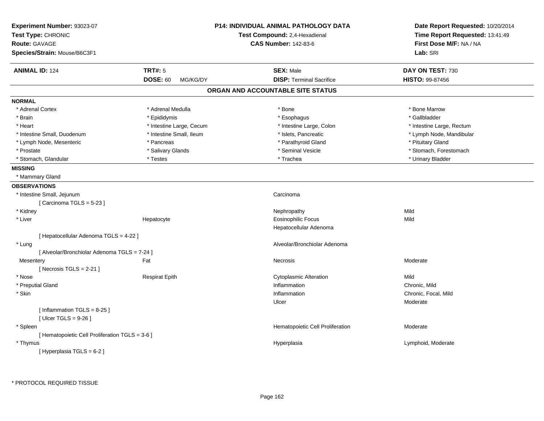| Experiment Number: 93023-07<br>Test Type: CHRONIC<br><b>Route: GAVAGE</b><br>Species/Strain: Mouse/B6C3F1 |                             | <b>P14: INDIVIDUAL ANIMAL PATHOLOGY DATA</b><br>Test Compound: 2,4-Hexadienal<br><b>CAS Number: 142-83-6</b> | Date Report Requested: 10/20/2014<br>Time Report Requested: 13:41:49<br>First Dose M/F: NA / NA<br>Lab: SRI |
|-----------------------------------------------------------------------------------------------------------|-----------------------------|--------------------------------------------------------------------------------------------------------------|-------------------------------------------------------------------------------------------------------------|
| <b>ANIMAL ID: 124</b>                                                                                     | <b>TRT#: 5</b>              | <b>SEX: Male</b>                                                                                             | DAY ON TEST: 730                                                                                            |
|                                                                                                           | <b>DOSE: 60</b><br>MG/KG/DY | <b>DISP: Terminal Sacrifice</b>                                                                              | HISTO: 99-87456                                                                                             |
|                                                                                                           |                             | ORGAN AND ACCOUNTABLE SITE STATUS                                                                            |                                                                                                             |
| <b>NORMAL</b>                                                                                             |                             |                                                                                                              |                                                                                                             |
| * Adrenal Cortex                                                                                          | * Adrenal Medulla           | * Bone                                                                                                       | * Bone Marrow                                                                                               |
| * Brain                                                                                                   | * Epididymis                | * Esophagus                                                                                                  | * Gallbladder                                                                                               |
| * Heart                                                                                                   | * Intestine Large, Cecum    | * Intestine Large, Colon                                                                                     | * Intestine Large, Rectum                                                                                   |
| * Intestine Small, Duodenum                                                                               | * Intestine Small, Ileum    | * Islets, Pancreatic                                                                                         | * Lymph Node, Mandibular                                                                                    |
| * Lymph Node, Mesenteric                                                                                  | * Pancreas                  | * Parathyroid Gland                                                                                          | * Pituitary Gland                                                                                           |
| * Prostate                                                                                                | * Salivary Glands           | * Seminal Vesicle                                                                                            | * Stomach, Forestomach                                                                                      |
| * Stomach, Glandular                                                                                      | * Testes                    | * Trachea                                                                                                    | * Urinary Bladder                                                                                           |
| <b>MISSING</b>                                                                                            |                             |                                                                                                              |                                                                                                             |
| * Mammary Gland                                                                                           |                             |                                                                                                              |                                                                                                             |
| <b>OBSERVATIONS</b>                                                                                       |                             |                                                                                                              |                                                                                                             |
| * Intestine Small, Jejunum                                                                                |                             | Carcinoma                                                                                                    |                                                                                                             |
| [Carcinoma TGLS = 5-23]                                                                                   |                             |                                                                                                              |                                                                                                             |
| * Kidney                                                                                                  |                             | Nephropathy                                                                                                  | Mild                                                                                                        |
| * Liver                                                                                                   | Hepatocyte                  | <b>Eosinophilic Focus</b>                                                                                    | Mild                                                                                                        |
|                                                                                                           |                             | Hepatocellular Adenoma                                                                                       |                                                                                                             |
| [ Hepatocellular Adenoma TGLS = 4-22 ]                                                                    |                             |                                                                                                              |                                                                                                             |
| * Lung                                                                                                    |                             | Alveolar/Bronchiolar Adenoma                                                                                 |                                                                                                             |
| [ Alveolar/Bronchiolar Adenoma TGLS = 7-24 ]                                                              |                             |                                                                                                              |                                                                                                             |
| Mesentery                                                                                                 | Fat                         | Necrosis                                                                                                     | Moderate                                                                                                    |
| [ Necrosis TGLS = $2-21$ ]                                                                                |                             |                                                                                                              |                                                                                                             |
| * Nose                                                                                                    | <b>Respirat Epith</b>       | <b>Cytoplasmic Alteration</b>                                                                                | Mild                                                                                                        |
| * Preputial Gland                                                                                         |                             | Inflammation                                                                                                 | Chronic, Mild                                                                                               |
| * Skin                                                                                                    |                             | Inflammation                                                                                                 | Chronic, Focal, Mild                                                                                        |
|                                                                                                           |                             | Ulcer                                                                                                        | Moderate                                                                                                    |
| [Inflammation TGLS = $8-25$ ]                                                                             |                             |                                                                                                              |                                                                                                             |
| [ $Ulec$ TGLS = 9-26 ]                                                                                    |                             |                                                                                                              |                                                                                                             |
| * Spleen                                                                                                  |                             | Hematopoietic Cell Proliferation                                                                             | Moderate                                                                                                    |
| [ Hematopoietic Cell Proliferation TGLS = 3-6 ]                                                           |                             |                                                                                                              |                                                                                                             |
| * Thymus                                                                                                  |                             |                                                                                                              | Lymphoid, Moderate                                                                                          |
| [ Hyperplasia TGLS = 6-2 ]                                                                                |                             | Hyperplasia                                                                                                  |                                                                                                             |
|                                                                                                           |                             |                                                                                                              |                                                                                                             |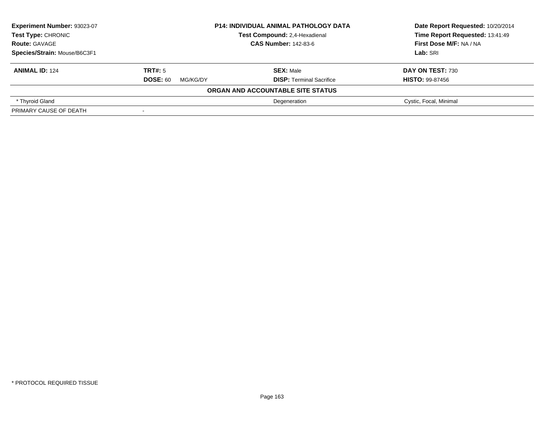| Experiment Number: 93023-07  | <b>P14: INDIVIDUAL ANIMAL PATHOLOGY DATA</b> |                                   | Date Report Requested: 10/20/2014 |
|------------------------------|----------------------------------------------|-----------------------------------|-----------------------------------|
| Test Type: CHRONIC           |                                              | Test Compound: 2,4-Hexadienal     | Time Report Requested: 13:41:49   |
| <b>Route: GAVAGE</b>         | <b>CAS Number: 142-83-6</b>                  |                                   | First Dose M/F: NA / NA           |
| Species/Strain: Mouse/B6C3F1 |                                              |                                   | Lab: SRI                          |
| <b>ANIMAL ID: 124</b>        | TRT#: 5                                      | <b>SEX: Male</b>                  | DAY ON TEST: 730                  |
|                              | <b>DOSE: 60</b><br>MG/KG/DY                  | <b>DISP: Terminal Sacrifice</b>   | <b>HISTO: 99-87456</b>            |
|                              |                                              | ORGAN AND ACCOUNTABLE SITE STATUS |                                   |
| * Thyroid Gland              |                                              | Degeneration                      | Cystic, Focal, Minimal            |
| PRIMARY CAUSE OF DEATH       |                                              |                                   |                                   |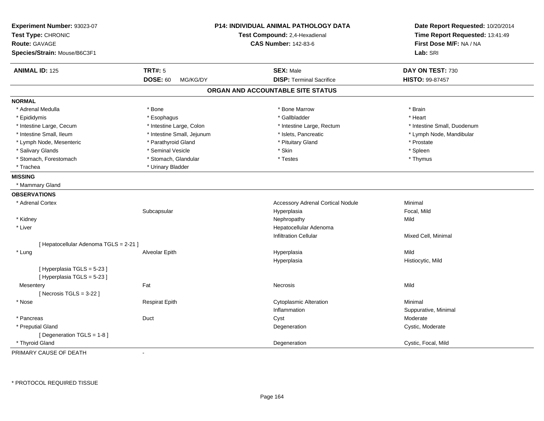| Experiment Number: 93023-07<br>Test Type: CHRONIC<br><b>Route: GAVAGE</b><br>Species/Strain: Mouse/B6C3F1 |                             | P14: INDIVIDUAL ANIMAL PATHOLOGY DATA<br>Test Compound: 2,4-Hexadienal<br><b>CAS Number: 142-83-6</b> | Date Report Requested: 10/20/2014<br>Time Report Requested: 13:41:49<br>First Dose M/F: NA / NA<br>Lab: SRI |
|-----------------------------------------------------------------------------------------------------------|-----------------------------|-------------------------------------------------------------------------------------------------------|-------------------------------------------------------------------------------------------------------------|
|                                                                                                           |                             |                                                                                                       |                                                                                                             |
| <b>ANIMAL ID: 125</b>                                                                                     | <b>TRT#: 5</b>              | <b>SEX: Male</b>                                                                                      | DAY ON TEST: 730                                                                                            |
|                                                                                                           | <b>DOSE: 60</b><br>MG/KG/DY | <b>DISP: Terminal Sacrifice</b>                                                                       | HISTO: 99-87457                                                                                             |
|                                                                                                           |                             | ORGAN AND ACCOUNTABLE SITE STATUS                                                                     |                                                                                                             |
| <b>NORMAL</b>                                                                                             |                             |                                                                                                       |                                                                                                             |
| * Adrenal Medulla                                                                                         | * Bone                      | * Bone Marrow                                                                                         | * Brain                                                                                                     |
| * Epididymis                                                                                              | * Esophagus                 | * Gallbladder                                                                                         | * Heart                                                                                                     |
| * Intestine Large, Cecum                                                                                  | * Intestine Large, Colon    | * Intestine Large, Rectum                                                                             | * Intestine Small, Duodenum                                                                                 |
| * Intestine Small, Ileum                                                                                  | * Intestine Small, Jejunum  | * Islets, Pancreatic                                                                                  | * Lymph Node, Mandibular                                                                                    |
| * Lymph Node, Mesenteric                                                                                  | * Parathyroid Gland         | * Pituitary Gland                                                                                     | * Prostate                                                                                                  |
| * Salivary Glands                                                                                         | * Seminal Vesicle           | * Skin                                                                                                | * Spleen                                                                                                    |
| * Stomach, Forestomach                                                                                    | * Stomach, Glandular        | * Testes                                                                                              | * Thymus                                                                                                    |
| * Trachea                                                                                                 | * Urinary Bladder           |                                                                                                       |                                                                                                             |
| <b>MISSING</b>                                                                                            |                             |                                                                                                       |                                                                                                             |
| * Mammary Gland                                                                                           |                             |                                                                                                       |                                                                                                             |
| <b>OBSERVATIONS</b>                                                                                       |                             |                                                                                                       |                                                                                                             |
| * Adrenal Cortex                                                                                          |                             | <b>Accessory Adrenal Cortical Nodule</b>                                                              | Minimal                                                                                                     |
|                                                                                                           | Subcapsular                 | Hyperplasia                                                                                           | Focal, Mild                                                                                                 |
| * Kidney                                                                                                  |                             | Nephropathy                                                                                           | Mild                                                                                                        |
| * Liver                                                                                                   |                             | Hepatocellular Adenoma                                                                                |                                                                                                             |
|                                                                                                           |                             | <b>Infiltration Cellular</b>                                                                          | Mixed Cell, Minimal                                                                                         |
| [ Hepatocellular Adenoma TGLS = 2-21 ]                                                                    |                             |                                                                                                       |                                                                                                             |
| * Lung                                                                                                    | Alveolar Epith              | Hyperplasia                                                                                           | Mild                                                                                                        |
|                                                                                                           |                             | Hyperplasia                                                                                           | Histiocytic, Mild                                                                                           |
| [ Hyperplasia TGLS = 5-23 ]                                                                               |                             |                                                                                                       |                                                                                                             |
| [Hyperplasia TGLS = 5-23]                                                                                 |                             |                                                                                                       |                                                                                                             |
| Mesentery                                                                                                 | Fat                         | Necrosis                                                                                              | Mild                                                                                                        |
| [Necrosis TGLS = 3-22]                                                                                    |                             |                                                                                                       |                                                                                                             |
| * Nose                                                                                                    | <b>Respirat Epith</b>       | <b>Cytoplasmic Alteration</b>                                                                         | Minimal                                                                                                     |
|                                                                                                           |                             | Inflammation                                                                                          | Suppurative, Minimal                                                                                        |
| * Pancreas                                                                                                | Duct                        | Cyst                                                                                                  | Moderate                                                                                                    |
| * Preputial Gland                                                                                         |                             | Degeneration                                                                                          | Cystic, Moderate                                                                                            |
| [ Degeneration TGLS = 1-8 ]                                                                               |                             |                                                                                                       |                                                                                                             |
| * Thyroid Gland                                                                                           |                             | Degeneration                                                                                          | Cystic, Focal, Mild                                                                                         |

PRIMARY CAUSE OF DEATH-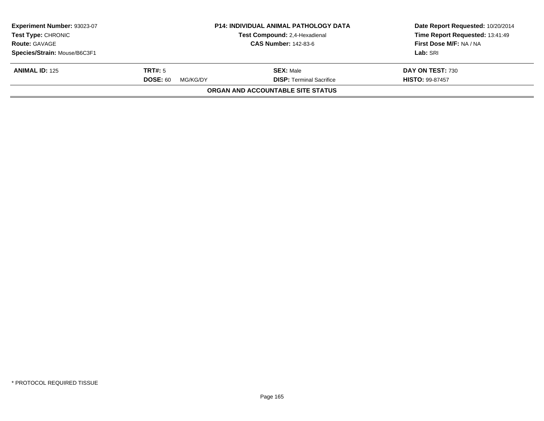| Experiment Number: 93023-07<br><b>Test Type: CHRONIC</b> |                             | <b>P14: INDIVIDUAL ANIMAL PATHOLOGY DATA</b><br>Test Compound: 2,4-Hexadienal | Date Report Requested: 10/20/2014<br>Time Report Requested: 13:41:49 |
|----------------------------------------------------------|-----------------------------|-------------------------------------------------------------------------------|----------------------------------------------------------------------|
| <b>Route: GAVAGE</b>                                     |                             | <b>CAS Number: 142-83-6</b>                                                   | First Dose M/F: NA / NA                                              |
| Species/Strain: Mouse/B6C3F1                             |                             |                                                                               | Lab: SRI                                                             |
| <b>ANIMAL ID: 125</b>                                    | TRT#: 5                     | <b>SEX: Male</b>                                                              | DAY ON TEST: 730                                                     |
|                                                          | <b>DOSE: 60</b><br>MG/KG/DY | <b>DISP: Terminal Sacrifice</b>                                               | <b>HISTO: 99-87457</b>                                               |
|                                                          |                             | <b>ORGAN AND ACCOUNTABLE SITE STATUS</b>                                      |                                                                      |
|                                                          |                             |                                                                               |                                                                      |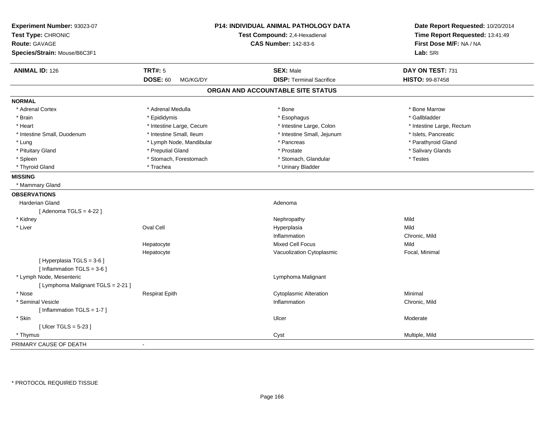| Experiment Number: 93023-07<br>Test Type: CHRONIC<br><b>Route: GAVAGE</b><br>Species/Strain: Mouse/B6C3F1 |                             | <b>P14: INDIVIDUAL ANIMAL PATHOLOGY DATA</b><br>Test Compound: 2,4-Hexadienal<br><b>CAS Number: 142-83-6</b> | Date Report Requested: 10/20/2014<br>Time Report Requested: 13:41:49<br>First Dose M/F: NA / NA<br>Lab: SRI |
|-----------------------------------------------------------------------------------------------------------|-----------------------------|--------------------------------------------------------------------------------------------------------------|-------------------------------------------------------------------------------------------------------------|
| <b>ANIMAL ID: 126</b>                                                                                     | <b>TRT#: 5</b>              | <b>SEX: Male</b>                                                                                             | DAY ON TEST: 731                                                                                            |
|                                                                                                           | <b>DOSE: 60</b><br>MG/KG/DY | <b>DISP: Terminal Sacrifice</b>                                                                              | HISTO: 99-87458                                                                                             |
|                                                                                                           |                             | ORGAN AND ACCOUNTABLE SITE STATUS                                                                            |                                                                                                             |
| <b>NORMAL</b>                                                                                             |                             |                                                                                                              |                                                                                                             |
| * Adrenal Cortex                                                                                          | * Adrenal Medulla           | * Bone                                                                                                       | * Bone Marrow                                                                                               |
| * Brain                                                                                                   | * Epididymis                | * Esophagus                                                                                                  | * Gallbladder                                                                                               |
| * Heart                                                                                                   | * Intestine Large, Cecum    | * Intestine Large, Colon                                                                                     | * Intestine Large, Rectum                                                                                   |
| * Intestine Small, Duodenum                                                                               | * Intestine Small, Ileum    | * Intestine Small, Jejunum                                                                                   | * Islets, Pancreatic                                                                                        |
| * Lung                                                                                                    | * Lymph Node, Mandibular    | * Pancreas                                                                                                   | * Parathyroid Gland                                                                                         |
| * Pituitary Gland                                                                                         | * Preputial Gland           | * Prostate                                                                                                   | * Salivary Glands                                                                                           |
| * Spleen                                                                                                  | * Stomach, Forestomach      | * Stomach, Glandular                                                                                         | * Testes                                                                                                    |
| * Thyroid Gland                                                                                           | * Trachea                   | * Urinary Bladder                                                                                            |                                                                                                             |
| <b>MISSING</b>                                                                                            |                             |                                                                                                              |                                                                                                             |
| * Mammary Gland                                                                                           |                             |                                                                                                              |                                                                                                             |
| <b>OBSERVATIONS</b>                                                                                       |                             |                                                                                                              |                                                                                                             |
| <b>Harderian Gland</b>                                                                                    |                             | Adenoma                                                                                                      |                                                                                                             |
| [Adenoma TGLS = $4-22$ ]                                                                                  |                             |                                                                                                              |                                                                                                             |
| * Kidney                                                                                                  |                             | Nephropathy                                                                                                  | Mild                                                                                                        |
| * Liver                                                                                                   | Oval Cell                   | Hyperplasia                                                                                                  | Mild                                                                                                        |
|                                                                                                           |                             | Inflammation                                                                                                 | Chronic, Mild                                                                                               |
|                                                                                                           | Hepatocyte                  | <b>Mixed Cell Focus</b>                                                                                      | Mild                                                                                                        |
|                                                                                                           | Hepatocyte                  | Vacuolization Cytoplasmic                                                                                    | Focal, Minimal                                                                                              |
| [Hyperplasia TGLS = 3-6]                                                                                  |                             |                                                                                                              |                                                                                                             |
| [Inflammation TGLS = $3-6$ ]                                                                              |                             |                                                                                                              |                                                                                                             |
| * Lymph Node, Mesenteric                                                                                  |                             | Lymphoma Malignant                                                                                           |                                                                                                             |
| [ Lymphoma Malignant TGLS = 2-21 ]                                                                        |                             |                                                                                                              |                                                                                                             |
| * Nose                                                                                                    | <b>Respirat Epith</b>       | <b>Cytoplasmic Alteration</b>                                                                                | Minimal                                                                                                     |
| * Seminal Vesicle                                                                                         |                             | Inflammation                                                                                                 | Chronic, Mild                                                                                               |
| [Inflammation TGLS = 1-7]                                                                                 |                             |                                                                                                              |                                                                                                             |
| * Skin                                                                                                    |                             | Ulcer                                                                                                        | Moderate                                                                                                    |
| [Ulcer TGLS = $5-23$ ]                                                                                    |                             |                                                                                                              |                                                                                                             |
| * Thymus                                                                                                  |                             | Cyst                                                                                                         | Multiple, Mild                                                                                              |
| PRIMARY CAUSE OF DEATH                                                                                    | $\blacksquare$              |                                                                                                              |                                                                                                             |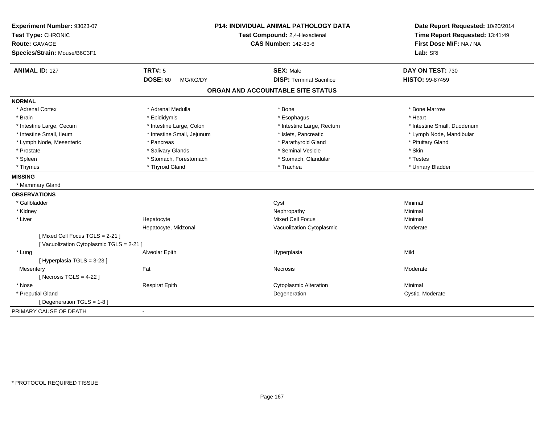| Experiment Number: 93023-07<br>Test Type: CHRONIC<br>Route: GAVAGE<br>Species/Strain: Mouse/B6C3F1 |                             | <b>P14: INDIVIDUAL ANIMAL PATHOLOGY DATA</b><br>Test Compound: 2,4-Hexadienal<br><b>CAS Number: 142-83-6</b> | Date Report Requested: 10/20/2014<br>Time Report Requested: 13:41:49<br>First Dose M/F: NA / NA<br>Lab: SRI |
|----------------------------------------------------------------------------------------------------|-----------------------------|--------------------------------------------------------------------------------------------------------------|-------------------------------------------------------------------------------------------------------------|
| <b>ANIMAL ID: 127</b>                                                                              | <b>TRT#: 5</b>              | <b>SEX: Male</b>                                                                                             | DAY ON TEST: 730                                                                                            |
|                                                                                                    | <b>DOSE: 60</b><br>MG/KG/DY | <b>DISP: Terminal Sacrifice</b>                                                                              | HISTO: 99-87459                                                                                             |
|                                                                                                    |                             | ORGAN AND ACCOUNTABLE SITE STATUS                                                                            |                                                                                                             |
| <b>NORMAL</b>                                                                                      |                             |                                                                                                              |                                                                                                             |
| * Adrenal Cortex                                                                                   | * Adrenal Medulla           | * Bone                                                                                                       | * Bone Marrow                                                                                               |
| * Brain                                                                                            | * Epididymis                | * Esophagus                                                                                                  | * Heart                                                                                                     |
| * Intestine Large, Cecum                                                                           | * Intestine Large, Colon    | * Intestine Large, Rectum                                                                                    | * Intestine Small, Duodenum                                                                                 |
| * Intestine Small, Ileum                                                                           | * Intestine Small, Jejunum  | * Islets, Pancreatic                                                                                         | * Lymph Node, Mandibular                                                                                    |
| * Lymph Node, Mesenteric                                                                           | * Pancreas                  | * Parathyroid Gland                                                                                          | * Pituitary Gland                                                                                           |
| * Prostate                                                                                         | * Salivary Glands           | * Seminal Vesicle                                                                                            | * Skin                                                                                                      |
| * Spleen                                                                                           | * Stomach, Forestomach      | * Stomach, Glandular                                                                                         | * Testes                                                                                                    |
| * Thymus                                                                                           | * Thyroid Gland             | * Trachea                                                                                                    | * Urinary Bladder                                                                                           |
| <b>MISSING</b>                                                                                     |                             |                                                                                                              |                                                                                                             |
| * Mammary Gland                                                                                    |                             |                                                                                                              |                                                                                                             |
| <b>OBSERVATIONS</b>                                                                                |                             |                                                                                                              |                                                                                                             |
| * Gallbladder                                                                                      |                             | Cyst                                                                                                         | Minimal                                                                                                     |
| * Kidney                                                                                           |                             | Nephropathy                                                                                                  | Minimal                                                                                                     |
| * Liver                                                                                            | Hepatocyte                  | Mixed Cell Focus                                                                                             | Minimal                                                                                                     |
|                                                                                                    | Hepatocyte, Midzonal        | Vacuolization Cytoplasmic                                                                                    | Moderate                                                                                                    |
| [Mixed Cell Focus TGLS = 2-21]                                                                     |                             |                                                                                                              |                                                                                                             |
| [Vacuolization Cytoplasmic TGLS = 2-21]                                                            |                             |                                                                                                              |                                                                                                             |
| * Lung                                                                                             | Alveolar Epith              | Hyperplasia                                                                                                  | Mild                                                                                                        |
| [Hyperplasia TGLS = 3-23]                                                                          |                             |                                                                                                              |                                                                                                             |
| Mesentery                                                                                          | Fat                         | Necrosis                                                                                                     | Moderate                                                                                                    |
| [Necrosis TGLS = $4-22$ ]                                                                          |                             |                                                                                                              |                                                                                                             |
| * Nose                                                                                             | <b>Respirat Epith</b>       | <b>Cytoplasmic Alteration</b>                                                                                | Minimal                                                                                                     |
| * Preputial Gland                                                                                  |                             | Degeneration                                                                                                 | Cystic, Moderate                                                                                            |
| [ Degeneration TGLS = $1-8$ ]                                                                      |                             |                                                                                                              |                                                                                                             |
| PRIMARY CAUSE OF DEATH                                                                             | $\blacksquare$              |                                                                                                              |                                                                                                             |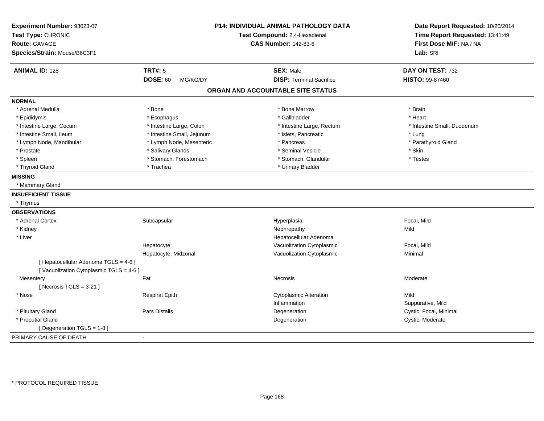| Experiment Number: 93023-07                                                     |                             | P14: INDIVIDUAL ANIMAL PATHOLOGY DATA | Date Report Requested: 10/20/2014                          |
|---------------------------------------------------------------------------------|-----------------------------|---------------------------------------|------------------------------------------------------------|
| Test Type: CHRONIC                                                              |                             | Test Compound: 2,4-Hexadienal         | Time Report Requested: 13:41:49<br>First Dose M/F: NA / NA |
| <b>Route: GAVAGE</b>                                                            |                             | <b>CAS Number: 142-83-6</b>           |                                                            |
| Species/Strain: Mouse/B6C3F1                                                    |                             |                                       | Lab: SRI                                                   |
| <b>ANIMAL ID: 128</b>                                                           | <b>TRT#: 5</b>              | <b>SEX: Male</b>                      | DAY ON TEST: 732                                           |
|                                                                                 | <b>DOSE: 60</b><br>MG/KG/DY | <b>DISP: Terminal Sacrifice</b>       | HISTO: 99-87460                                            |
|                                                                                 |                             | ORGAN AND ACCOUNTABLE SITE STATUS     |                                                            |
| <b>NORMAL</b>                                                                   |                             |                                       |                                                            |
| * Adrenal Medulla                                                               | * Bone                      | * Bone Marrow                         | * Brain                                                    |
| * Epididymis                                                                    | * Esophagus                 | * Gallbladder                         | * Heart                                                    |
| * Intestine Large, Cecum                                                        | * Intestine Large, Colon    | * Intestine Large, Rectum             | * Intestine Small, Duodenum                                |
| * Intestine Small, Ileum                                                        | * Intestine Small, Jejunum  | * Islets, Pancreatic                  | * Lung                                                     |
| * Lymph Node, Mandibular                                                        | * Lymph Node, Mesenteric    | * Pancreas                            | * Parathyroid Gland                                        |
| * Prostate                                                                      | * Salivary Glands           | * Seminal Vesicle                     | * Skin                                                     |
| * Spleen                                                                        | * Stomach, Forestomach      | * Stomach, Glandular                  | * Testes                                                   |
| * Thyroid Gland                                                                 | * Trachea                   | * Urinary Bladder                     |                                                            |
| <b>MISSING</b>                                                                  |                             |                                       |                                                            |
| * Mammary Gland                                                                 |                             |                                       |                                                            |
| <b>INSUFFICIENT TISSUE</b>                                                      |                             |                                       |                                                            |
| * Thymus                                                                        |                             |                                       |                                                            |
| <b>OBSERVATIONS</b>                                                             |                             |                                       |                                                            |
| * Adrenal Cortex                                                                | Subcapsular                 | Hyperplasia                           | Focal, Mild                                                |
| * Kidney                                                                        |                             | Nephropathy                           | Mild                                                       |
| * Liver                                                                         |                             | Hepatocellular Adenoma                |                                                            |
|                                                                                 | Hepatocyte                  | Vacuolization Cytoplasmic             | Focal, Mild                                                |
|                                                                                 | Hepatocyte, Midzonal        | Vacuolization Cytoplasmic             | Minimal                                                    |
| [ Hepatocellular Adenoma TGLS = 4-6 ]<br>[Vacuolization Cytoplasmic TGLS = 4-6] |                             |                                       |                                                            |
| Mesentery                                                                       | Fat                         | Necrosis                              | Moderate                                                   |
| [Necrosis $TGLS = 3-21$ ]                                                       |                             |                                       |                                                            |
| * Nose                                                                          | <b>Respirat Epith</b>       | <b>Cytoplasmic Alteration</b>         | Mild                                                       |
|                                                                                 |                             | Inflammation                          | Suppurative, Mild                                          |
| * Pituitary Gland                                                               | Pars Distalis               | Degeneration                          | Cystic, Focal, Minimal                                     |
| * Preputial Gland                                                               |                             | Degeneration                          | Cystic, Moderate                                           |
| [ Degeneration TGLS = 1-8 ]                                                     |                             |                                       |                                                            |
| PRIMARY CAUSE OF DEATH                                                          | $\blacksquare$              |                                       |                                                            |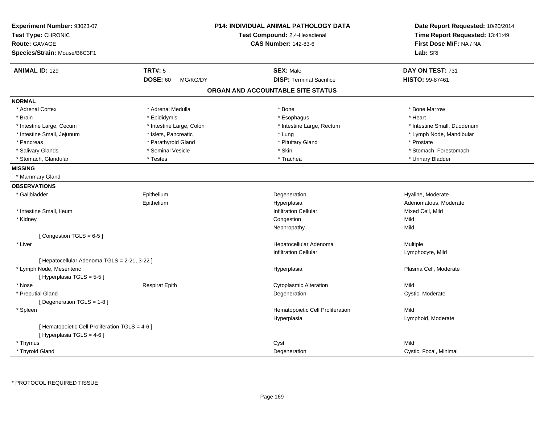| Experiment Number: 93023-07<br>Test Type: CHRONIC |                             | <b>P14: INDIVIDUAL ANIMAL PATHOLOGY DATA</b><br>Test Compound: 2,4-Hexadienal | Date Report Requested: 10/20/2014<br>Time Report Requested: 13:41:49 |
|---------------------------------------------------|-----------------------------|-------------------------------------------------------------------------------|----------------------------------------------------------------------|
| <b>Route: GAVAGE</b>                              |                             | <b>CAS Number: 142-83-6</b>                                                   | First Dose M/F: NA / NA                                              |
| Species/Strain: Mouse/B6C3F1                      |                             |                                                                               | Lab: SRI                                                             |
| <b>ANIMAL ID: 129</b>                             | <b>TRT#: 5</b>              | <b>SEX: Male</b>                                                              | DAY ON TEST: 731                                                     |
|                                                   | <b>DOSE: 60</b><br>MG/KG/DY | <b>DISP: Terminal Sacrifice</b>                                               | HISTO: 99-87461                                                      |
|                                                   |                             | ORGAN AND ACCOUNTABLE SITE STATUS                                             |                                                                      |
| <b>NORMAL</b>                                     |                             |                                                                               |                                                                      |
| * Adrenal Cortex                                  | * Adrenal Medulla           | * Bone                                                                        | * Bone Marrow                                                        |
| * Brain                                           | * Epididymis                | * Esophagus                                                                   | * Heart                                                              |
| * Intestine Large, Cecum                          | * Intestine Large, Colon    | * Intestine Large, Rectum                                                     | * Intestine Small, Duodenum                                          |
| * Intestine Small, Jejunum                        | * Islets, Pancreatic        | * Lung                                                                        | * Lymph Node, Mandibular                                             |
| * Pancreas                                        | * Parathyroid Gland         | * Pituitary Gland                                                             | * Prostate                                                           |
| * Salivary Glands                                 | * Seminal Vesicle           | * Skin                                                                        | * Stomach, Forestomach                                               |
| * Stomach, Glandular                              | * Testes                    | * Trachea                                                                     | * Urinary Bladder                                                    |
| <b>MISSING</b>                                    |                             |                                                                               |                                                                      |
| * Mammary Gland                                   |                             |                                                                               |                                                                      |
| <b>OBSERVATIONS</b>                               |                             |                                                                               |                                                                      |
| * Gallbladder                                     | Epithelium                  | Degeneration                                                                  | Hyaline, Moderate                                                    |
|                                                   | Epithelium                  | Hyperplasia                                                                   | Adenomatous, Moderate                                                |
| * Intestine Small, Ileum                          |                             | <b>Infiltration Cellular</b>                                                  | Mixed Cell, Mild                                                     |
| * Kidney                                          |                             | Congestion                                                                    | Mild                                                                 |
|                                                   |                             | Nephropathy                                                                   | Mild                                                                 |
| [Congestion TGLS = 6-5]                           |                             |                                                                               |                                                                      |
| * Liver                                           |                             | Hepatocellular Adenoma                                                        | Multiple                                                             |
|                                                   |                             | <b>Infiltration Cellular</b>                                                  | Lymphocyte, Mild                                                     |
| [ Hepatocellular Adenoma TGLS = 2-21, 3-22 ]      |                             |                                                                               |                                                                      |
| * Lymph Node, Mesenteric                          |                             | Hyperplasia                                                                   | Plasma Cell, Moderate                                                |
| [Hyperplasia TGLS = 5-5]                          |                             |                                                                               |                                                                      |
| * Nose                                            | <b>Respirat Epith</b>       | <b>Cytoplasmic Alteration</b>                                                 | Mild                                                                 |
| * Preputial Gland                                 |                             | Degeneration                                                                  | Cystic, Moderate                                                     |
| [ Degeneration TGLS = 1-8 ]                       |                             |                                                                               |                                                                      |
| * Spleen                                          |                             | Hematopoietic Cell Proliferation                                              | Mild                                                                 |
|                                                   |                             | Hyperplasia                                                                   | Lymphoid, Moderate                                                   |
| [ Hematopoietic Cell Proliferation TGLS = 4-6 ]   |                             |                                                                               |                                                                      |
| [ Hyperplasia TGLS = 4-6 ]                        |                             |                                                                               |                                                                      |
| * Thymus                                          |                             | Cyst                                                                          | Mild                                                                 |
| * Thyroid Gland                                   |                             | Degeneration                                                                  | Cystic, Focal, Minimal                                               |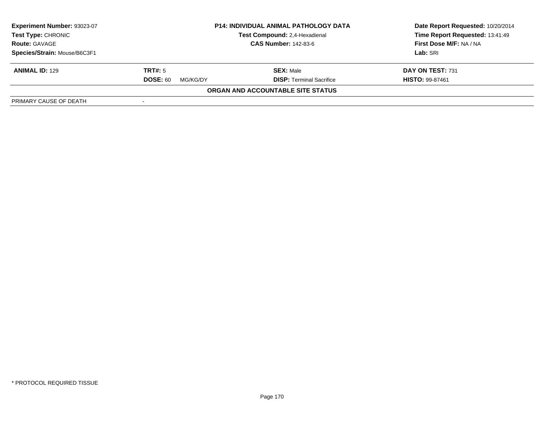| <b>Experiment Number: 93023-07</b><br><b>Test Type: CHRONIC</b><br><b>Route: GAVAGE</b> | <b>P14: INDIVIDUAL ANIMAL PATHOLOGY DATA</b><br>Test Compound: 2,4-Hexadienal<br><b>CAS Number: 142-83-6</b> |                                   | Date Report Requested: 10/20/2014<br>Time Report Requested: 13:41:49<br>First Dose M/F: NA / NA<br>Lab: SRI |
|-----------------------------------------------------------------------------------------|--------------------------------------------------------------------------------------------------------------|-----------------------------------|-------------------------------------------------------------------------------------------------------------|
| Species/Strain: Mouse/B6C3F1                                                            |                                                                                                              |                                   |                                                                                                             |
| <b>ANIMAL ID: 129</b>                                                                   | TRT#: 5                                                                                                      | <b>SEX: Male</b>                  | DAY ON TEST: 731                                                                                            |
|                                                                                         | <b>DOSE: 60</b><br>MG/KG/DY                                                                                  | <b>DISP: Terminal Sacrifice</b>   | <b>HISTO: 99-87461</b>                                                                                      |
|                                                                                         |                                                                                                              | ORGAN AND ACCOUNTABLE SITE STATUS |                                                                                                             |
| PRIMARY CAUSE OF DEATH                                                                  |                                                                                                              |                                   |                                                                                                             |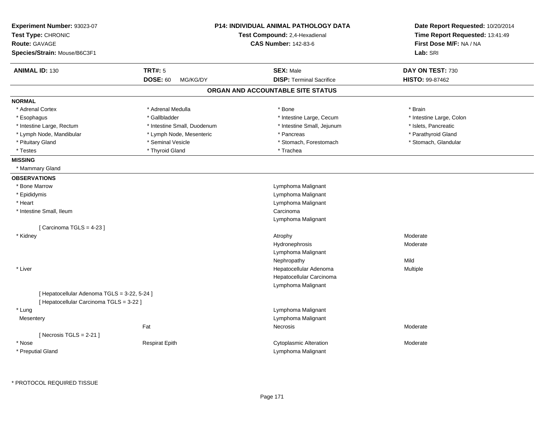| Experiment Number: 93023-07                  |                             | <b>P14: INDIVIDUAL ANIMAL PATHOLOGY DATA</b> | Date Report Requested: 10/20/2014                          |
|----------------------------------------------|-----------------------------|----------------------------------------------|------------------------------------------------------------|
| Test Type: CHRONIC                           |                             | Test Compound: 2,4-Hexadienal                | Time Report Requested: 13:41:49<br>First Dose M/F: NA / NA |
| <b>Route: GAVAGE</b>                         |                             | <b>CAS Number: 142-83-6</b>                  |                                                            |
| Species/Strain: Mouse/B6C3F1                 |                             |                                              | Lab: SRI                                                   |
| <b>ANIMAL ID: 130</b>                        | <b>TRT#: 5</b>              | <b>SEX: Male</b>                             | DAY ON TEST: 730                                           |
|                                              | <b>DOSE: 60</b><br>MG/KG/DY | <b>DISP: Terminal Sacrifice</b>              | <b>HISTO: 99-87462</b>                                     |
|                                              |                             | ORGAN AND ACCOUNTABLE SITE STATUS            |                                                            |
| <b>NORMAL</b>                                |                             |                                              |                                                            |
| * Adrenal Cortex                             | * Adrenal Medulla           | * Bone                                       | * Brain                                                    |
| * Esophagus                                  | * Gallbladder               | * Intestine Large, Cecum                     | * Intestine Large, Colon                                   |
| * Intestine Large, Rectum                    | * Intestine Small, Duodenum | * Intestine Small, Jejunum                   | * Islets, Pancreatic                                       |
| * Lymph Node, Mandibular                     | * Lymph Node, Mesenteric    | * Pancreas                                   | * Parathyroid Gland                                        |
| * Pituitary Gland                            | * Seminal Vesicle           | * Stomach, Forestomach                       | * Stomach, Glandular                                       |
| * Testes                                     | * Thyroid Gland             | * Trachea                                    |                                                            |
| <b>MISSING</b>                               |                             |                                              |                                                            |
| * Mammary Gland                              |                             |                                              |                                                            |
| <b>OBSERVATIONS</b>                          |                             |                                              |                                                            |
| * Bone Marrow                                |                             | Lymphoma Malignant                           |                                                            |
| * Epididymis                                 |                             | Lymphoma Malignant                           |                                                            |
| * Heart                                      |                             | Lymphoma Malignant                           |                                                            |
| * Intestine Small, Ileum                     |                             | Carcinoma                                    |                                                            |
|                                              |                             | Lymphoma Malignant                           |                                                            |
| [Carcinoma TGLS = 4-23]                      |                             |                                              |                                                            |
| * Kidney                                     |                             | Atrophy                                      | Moderate                                                   |
|                                              |                             | Hydronephrosis                               | Moderate                                                   |
|                                              |                             | Lymphoma Malignant                           |                                                            |
|                                              |                             | Nephropathy                                  | Mild                                                       |
| * Liver                                      |                             | Hepatocellular Adenoma                       | Multiple                                                   |
|                                              |                             | Hepatocellular Carcinoma                     |                                                            |
|                                              |                             | Lymphoma Malignant                           |                                                            |
| [ Hepatocellular Adenoma TGLS = 3-22, 5-24 ] |                             |                                              |                                                            |
| [ Hepatocellular Carcinoma TGLS = 3-22 ]     |                             |                                              |                                                            |
| * Lung                                       |                             | Lymphoma Malignant                           |                                                            |
| Mesentery                                    |                             | Lymphoma Malignant                           |                                                            |
|                                              | Fat                         | <b>Necrosis</b>                              | Moderate                                                   |
| [ Necrosis TGLS = $2-21$ ]                   |                             |                                              |                                                            |
| * Nose                                       | <b>Respirat Epith</b>       | <b>Cytoplasmic Alteration</b>                | Moderate                                                   |
| * Preputial Gland                            |                             | Lymphoma Malignant                           |                                                            |
|                                              |                             |                                              |                                                            |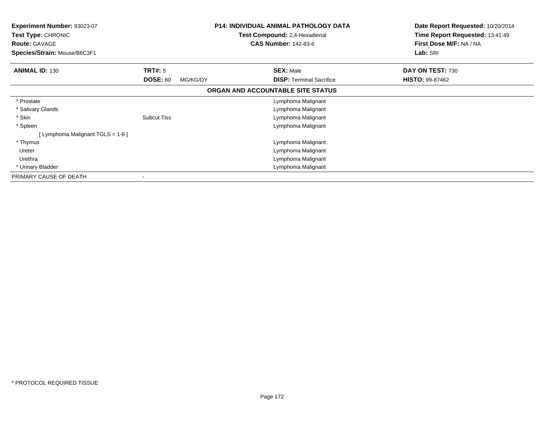| Experiment Number: 93023-07<br><b>Test Type: CHRONIC</b><br><b>Route: GAVAGE</b><br>Species/Strain: Mouse/B6C3F1 |                             | <b>P14: INDIVIDUAL ANIMAL PATHOLOGY DATA</b><br><b>Test Compound: 2,4-Hexadienal</b><br><b>CAS Number: 142-83-6</b> | Date Report Requested: 10/20/2014<br>Time Report Requested: 13:41:49<br>First Dose M/F: NA / NA<br>Lab: SRI |
|------------------------------------------------------------------------------------------------------------------|-----------------------------|---------------------------------------------------------------------------------------------------------------------|-------------------------------------------------------------------------------------------------------------|
| <b>ANIMAL ID: 130</b>                                                                                            | <b>TRT#: 5</b>              | <b>SEX: Male</b>                                                                                                    | DAY ON TEST: 730                                                                                            |
|                                                                                                                  | <b>DOSE: 60</b><br>MG/KG/DY | <b>DISP:</b> Terminal Sacrifice                                                                                     | <b>HISTO: 99-87462</b>                                                                                      |
|                                                                                                                  |                             | ORGAN AND ACCOUNTABLE SITE STATUS                                                                                   |                                                                                                             |
| * Prostate                                                                                                       |                             | Lymphoma Malignant                                                                                                  |                                                                                                             |
| * Salivary Glands                                                                                                |                             | Lymphoma Malignant                                                                                                  |                                                                                                             |
| * Skin                                                                                                           | <b>Subcut Tiss</b>          | Lymphoma Malignant                                                                                                  |                                                                                                             |
| * Spleen                                                                                                         |                             | Lymphoma Malignant                                                                                                  |                                                                                                             |
| [ Lymphoma Malignant TGLS = 1-6 ]                                                                                |                             |                                                                                                                     |                                                                                                             |
| * Thymus                                                                                                         |                             | Lymphoma Malignant                                                                                                  |                                                                                                             |
| Ureter                                                                                                           |                             | Lymphoma Malignant                                                                                                  |                                                                                                             |
| Urethra                                                                                                          |                             | Lymphoma Malignant                                                                                                  |                                                                                                             |
| * Urinary Bladder                                                                                                |                             | Lymphoma Malignant                                                                                                  |                                                                                                             |
| PRIMARY CAUSE OF DEATH                                                                                           |                             |                                                                                                                     |                                                                                                             |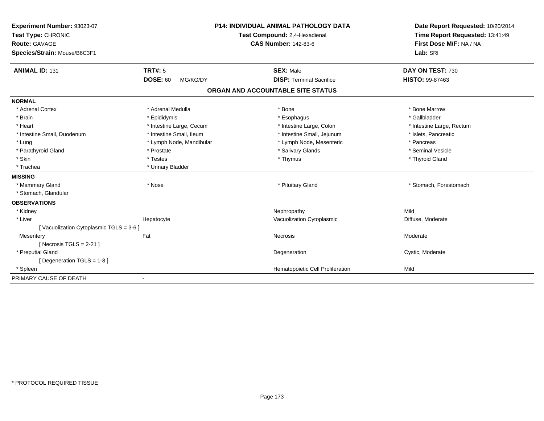| Experiment Number: 93023-07            |                             | <b>P14: INDIVIDUAL ANIMAL PATHOLOGY DATA</b> |                                  | Date Report Requested: 10/20/2014 |  |
|----------------------------------------|-----------------------------|----------------------------------------------|----------------------------------|-----------------------------------|--|
| Test Type: CHRONIC                     |                             | Test Compound: 2,4-Hexadienal                |                                  | Time Report Requested: 13:41:49   |  |
| <b>Route: GAVAGE</b>                   |                             | <b>CAS Number: 142-83-6</b>                  |                                  | First Dose M/F: NA / NA           |  |
| Species/Strain: Mouse/B6C3F1           |                             |                                              |                                  | Lab: SRI                          |  |
| <b>ANIMAL ID: 131</b>                  | <b>TRT#: 5</b>              |                                              | <b>SEX: Male</b>                 | DAY ON TEST: 730                  |  |
|                                        | <b>DOSE: 60</b><br>MG/KG/DY |                                              | <b>DISP: Terminal Sacrifice</b>  | <b>HISTO: 99-87463</b>            |  |
|                                        |                             | ORGAN AND ACCOUNTABLE SITE STATUS            |                                  |                                   |  |
| <b>NORMAL</b>                          |                             |                                              |                                  |                                   |  |
| * Adrenal Cortex                       | * Adrenal Medulla           |                                              | * Bone                           | * Bone Marrow                     |  |
| * Brain                                | * Epididymis                |                                              | * Esophagus                      | * Gallbladder                     |  |
| * Heart                                | * Intestine Large, Cecum    |                                              | * Intestine Large, Colon         | * Intestine Large, Rectum         |  |
| * Intestine Small, Duodenum            | * Intestine Small, Ileum    |                                              | * Intestine Small, Jejunum       | * Islets, Pancreatic              |  |
| * Lung                                 | * Lymph Node, Mandibular    |                                              | * Lymph Node, Mesenteric         | * Pancreas                        |  |
| * Parathyroid Gland                    | * Prostate                  |                                              | * Salivary Glands                | * Seminal Vesicle                 |  |
| * Skin                                 | * Testes                    |                                              | * Thymus                         | * Thyroid Gland                   |  |
| * Trachea                              | * Urinary Bladder           |                                              |                                  |                                   |  |
| <b>MISSING</b>                         |                             |                                              |                                  |                                   |  |
| * Mammary Gland                        | * Nose                      |                                              | * Pituitary Gland                | * Stomach, Forestomach            |  |
| * Stomach, Glandular                   |                             |                                              |                                  |                                   |  |
| <b>OBSERVATIONS</b>                    |                             |                                              |                                  |                                   |  |
| * Kidney                               |                             |                                              | Nephropathy                      | Mild                              |  |
| * Liver                                | Hepatocyte                  |                                              | Vacuolization Cytoplasmic        | Diffuse, Moderate                 |  |
| [Vacuolization Cytoplasmic TGLS = 3-6] |                             |                                              |                                  |                                   |  |
| Mesentery                              | Fat                         | Necrosis                                     |                                  | Moderate                          |  |
| [ Necrosis TGLS = $2-21$ ]             |                             |                                              |                                  |                                   |  |
| * Preputial Gland                      |                             |                                              | Degeneration                     | Cystic, Moderate                  |  |
| [Degeneration TGLS = 1-8]              |                             |                                              |                                  |                                   |  |
| * Spleen                               |                             |                                              | Hematopoietic Cell Proliferation | Mild                              |  |
| PRIMARY CAUSE OF DEATH                 |                             |                                              |                                  |                                   |  |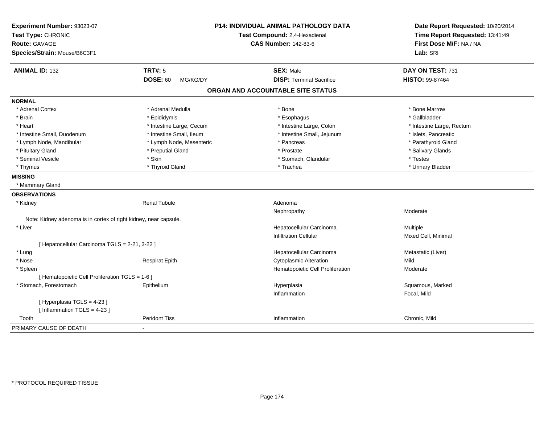| Experiment Number: 93023-07<br>Test Type: CHRONIC<br>Route: GAVAGE |                             | <b>P14: INDIVIDUAL ANIMAL PATHOLOGY DATA</b><br>Test Compound: 2,4-Hexadienal<br><b>CAS Number: 142-83-6</b> | Date Report Requested: 10/20/2014<br>Time Report Requested: 13:41:49<br>First Dose M/F: NA / NA |
|--------------------------------------------------------------------|-----------------------------|--------------------------------------------------------------------------------------------------------------|-------------------------------------------------------------------------------------------------|
| Species/Strain: Mouse/B6C3F1                                       |                             |                                                                                                              | Lab: SRI                                                                                        |
| <b>ANIMAL ID: 132</b>                                              | <b>TRT#: 5</b>              | <b>SEX: Male</b>                                                                                             | DAY ON TEST: 731                                                                                |
|                                                                    | <b>DOSE: 60</b><br>MG/KG/DY | <b>DISP: Terminal Sacrifice</b>                                                                              | HISTO: 99-87464                                                                                 |
|                                                                    |                             | ORGAN AND ACCOUNTABLE SITE STATUS                                                                            |                                                                                                 |
| <b>NORMAL</b>                                                      |                             |                                                                                                              |                                                                                                 |
| * Adrenal Cortex                                                   | * Adrenal Medulla           | * Bone                                                                                                       | * Bone Marrow                                                                                   |
| * Brain                                                            | * Epididymis                | * Esophagus                                                                                                  | * Gallbladder                                                                                   |
| * Heart                                                            | * Intestine Large, Cecum    | * Intestine Large, Colon                                                                                     | * Intestine Large, Rectum                                                                       |
| * Intestine Small, Duodenum                                        | * Intestine Small, Ileum    | * Intestine Small, Jejunum                                                                                   | * Islets, Pancreatic                                                                            |
| * Lymph Node, Mandibular                                           | * Lymph Node, Mesenteric    | * Pancreas                                                                                                   | * Parathyroid Gland                                                                             |
| * Pituitary Gland                                                  | * Preputial Gland           | * Prostate                                                                                                   | * Salivary Glands                                                                               |
| * Seminal Vesicle                                                  | * Skin                      | * Stomach, Glandular                                                                                         | * Testes                                                                                        |
| * Thymus                                                           | * Thyroid Gland             | * Trachea                                                                                                    | * Urinary Bladder                                                                               |
| <b>MISSING</b>                                                     |                             |                                                                                                              |                                                                                                 |
| * Mammary Gland                                                    |                             |                                                                                                              |                                                                                                 |
| <b>OBSERVATIONS</b>                                                |                             |                                                                                                              |                                                                                                 |
| * Kidney                                                           | <b>Renal Tubule</b>         | Adenoma                                                                                                      |                                                                                                 |
|                                                                    |                             | Nephropathy                                                                                                  | Moderate                                                                                        |
| Note: Kidney adenoma is in cortex of right kidney, near capsule.   |                             |                                                                                                              |                                                                                                 |
| * Liver                                                            |                             | Hepatocellular Carcinoma                                                                                     | Multiple                                                                                        |
|                                                                    |                             | <b>Infiltration Cellular</b>                                                                                 | Mixed Cell, Minimal                                                                             |
| [ Hepatocellular Carcinoma TGLS = 2-21, 3-22 ]                     |                             |                                                                                                              |                                                                                                 |
| * Lung                                                             |                             | Hepatocellular Carcinoma                                                                                     | Metastatic (Liver)                                                                              |
| * Nose                                                             | <b>Respirat Epith</b>       | <b>Cytoplasmic Alteration</b>                                                                                | Mild                                                                                            |
| * Spleen                                                           |                             | Hematopoietic Cell Proliferation                                                                             | Moderate                                                                                        |
| [ Hematopoietic Cell Proliferation TGLS = 1-6 ]                    |                             |                                                                                                              |                                                                                                 |
| * Stomach, Forestomach                                             | Epithelium                  | Hyperplasia                                                                                                  | Squamous, Marked                                                                                |
|                                                                    |                             | Inflammation                                                                                                 | Focal, Mild                                                                                     |
| [ Hyperplasia TGLS = 4-23 ]                                        |                             |                                                                                                              |                                                                                                 |
| [Inflammation TGLS = $4-23$ ]                                      |                             |                                                                                                              |                                                                                                 |
| Tooth                                                              | <b>Peridont Tiss</b>        | Inflammation                                                                                                 | Chronic, Mild                                                                                   |
| PRIMARY CAUSE OF DEATH                                             |                             |                                                                                                              |                                                                                                 |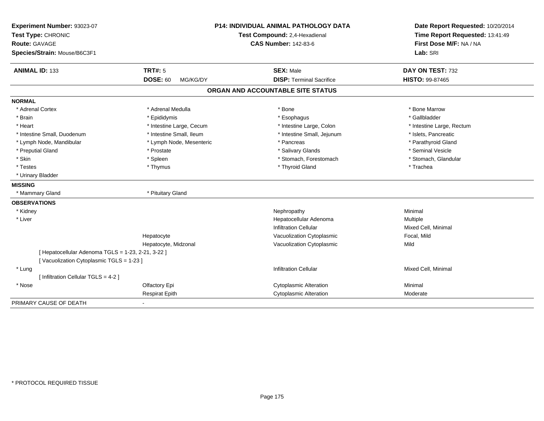| Experiment Number: 93023-07<br>Test Type: CHRONIC<br><b>Route: GAVAGE</b><br>Species/Strain: Mouse/B6C3F1 |                                   | <b>P14: INDIVIDUAL ANIMAL PATHOLOGY DATA</b><br>Test Compound: 2,4-Hexadienal<br><b>CAS Number: 142-83-6</b> | Date Report Requested: 10/20/2014<br>Time Report Requested: 13:41:49<br>First Dose M/F: NA / NA<br>Lab: SRI |
|-----------------------------------------------------------------------------------------------------------|-----------------------------------|--------------------------------------------------------------------------------------------------------------|-------------------------------------------------------------------------------------------------------------|
| <b>ANIMAL ID: 133</b>                                                                                     | <b>TRT#: 5</b><br><b>DOSE: 60</b> | <b>SEX: Male</b><br><b>DISP: Terminal Sacrifice</b>                                                          | DAY ON TEST: 732                                                                                            |
|                                                                                                           | MG/KG/DY                          |                                                                                                              | HISTO: 99-87465                                                                                             |
|                                                                                                           |                                   | ORGAN AND ACCOUNTABLE SITE STATUS                                                                            |                                                                                                             |
| <b>NORMAL</b>                                                                                             |                                   |                                                                                                              |                                                                                                             |
| * Adrenal Cortex                                                                                          | * Adrenal Medulla                 | * Bone                                                                                                       | * Bone Marrow                                                                                               |
| * Brain                                                                                                   | * Epididymis                      | * Esophagus                                                                                                  | * Gallbladder                                                                                               |
| * Heart                                                                                                   | * Intestine Large, Cecum          | * Intestine Large, Colon                                                                                     | * Intestine Large, Rectum                                                                                   |
| * Intestine Small, Duodenum                                                                               | * Intestine Small, Ileum          | * Intestine Small, Jejunum                                                                                   | * Islets, Pancreatic                                                                                        |
| * Lymph Node, Mandibular                                                                                  | * Lymph Node, Mesenteric          | * Pancreas                                                                                                   | * Parathyroid Gland                                                                                         |
| * Preputial Gland                                                                                         | * Prostate                        | * Salivary Glands                                                                                            | * Seminal Vesicle                                                                                           |
| * Skin                                                                                                    | * Spleen                          | * Stomach, Forestomach                                                                                       | * Stomach, Glandular                                                                                        |
| * Testes                                                                                                  | * Thymus                          | * Thyroid Gland                                                                                              | * Trachea                                                                                                   |
| * Urinary Bladder                                                                                         |                                   |                                                                                                              |                                                                                                             |
| <b>MISSING</b>                                                                                            |                                   |                                                                                                              |                                                                                                             |
| * Mammary Gland                                                                                           | * Pituitary Gland                 |                                                                                                              |                                                                                                             |
| <b>OBSERVATIONS</b>                                                                                       |                                   |                                                                                                              |                                                                                                             |
| * Kidney                                                                                                  |                                   | Nephropathy                                                                                                  | Minimal                                                                                                     |
| * Liver                                                                                                   |                                   | Hepatocellular Adenoma                                                                                       | Multiple                                                                                                    |
|                                                                                                           |                                   | <b>Infiltration Cellular</b>                                                                                 | Mixed Cell, Minimal                                                                                         |
|                                                                                                           | Hepatocyte                        | Vacuolization Cytoplasmic                                                                                    | Focal, Mild                                                                                                 |
|                                                                                                           | Hepatocyte, Midzonal              | Vacuolization Cytoplasmic                                                                                    | Mild                                                                                                        |
| [ Hepatocellular Adenoma TGLS = 1-23, 2-21, 3-22 ]                                                        |                                   |                                                                                                              |                                                                                                             |
| [Vacuolization Cytoplasmic TGLS = 1-23]                                                                   |                                   |                                                                                                              |                                                                                                             |
| * Lung                                                                                                    |                                   | <b>Infiltration Cellular</b>                                                                                 | Mixed Cell, Minimal                                                                                         |
| [ Infiltration Cellular TGLS = 4-2 ]                                                                      |                                   |                                                                                                              |                                                                                                             |
| * Nose                                                                                                    | Olfactory Epi                     | <b>Cytoplasmic Alteration</b>                                                                                | Minimal                                                                                                     |
|                                                                                                           | <b>Respirat Epith</b>             | <b>Cytoplasmic Alteration</b>                                                                                | Moderate                                                                                                    |
| PRIMARY CAUSE OF DEATH                                                                                    |                                   |                                                                                                              |                                                                                                             |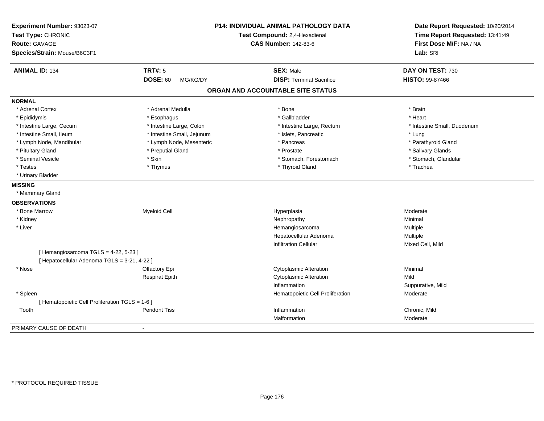| Experiment Number: 93023-07<br>Test Type: CHRONIC |                             | <b>P14: INDIVIDUAL ANIMAL PATHOLOGY DATA</b><br>Test Compound: 2,4-Hexadienal | Date Report Requested: 10/20/2014<br>Time Report Requested: 13:41:49<br>First Dose M/F: NA / NA |
|---------------------------------------------------|-----------------------------|-------------------------------------------------------------------------------|-------------------------------------------------------------------------------------------------|
| <b>Route: GAVAGE</b>                              |                             | <b>CAS Number: 142-83-6</b>                                                   |                                                                                                 |
| Species/Strain: Mouse/B6C3F1                      |                             |                                                                               | Lab: SRI                                                                                        |
| <b>ANIMAL ID: 134</b>                             | <b>TRT#: 5</b>              | <b>SEX: Male</b>                                                              | DAY ON TEST: 730                                                                                |
|                                                   | <b>DOSE: 60</b><br>MG/KG/DY | <b>DISP: Terminal Sacrifice</b>                                               | HISTO: 99-87466                                                                                 |
|                                                   |                             | ORGAN AND ACCOUNTABLE SITE STATUS                                             |                                                                                                 |
| <b>NORMAL</b>                                     |                             |                                                                               |                                                                                                 |
| * Adrenal Cortex                                  | * Adrenal Medulla           | * Bone                                                                        | * Brain                                                                                         |
| * Epididymis                                      | * Esophagus                 | * Gallbladder                                                                 | * Heart                                                                                         |
| * Intestine Large, Cecum                          | * Intestine Large, Colon    | * Intestine Large, Rectum                                                     | * Intestine Small, Duodenum                                                                     |
| * Intestine Small, Ileum                          | * Intestine Small, Jejunum  | * Islets, Pancreatic                                                          | * Lung                                                                                          |
| * Lymph Node, Mandibular                          | * Lymph Node, Mesenteric    | * Pancreas                                                                    | * Parathyroid Gland                                                                             |
| * Pituitary Gland                                 | * Preputial Gland           | * Prostate                                                                    | * Salivary Glands                                                                               |
| * Seminal Vesicle                                 | * Skin                      | * Stomach, Forestomach                                                        | * Stomach, Glandular                                                                            |
| * Testes                                          | * Thymus                    | * Thyroid Gland                                                               | * Trachea                                                                                       |
| * Urinary Bladder                                 |                             |                                                                               |                                                                                                 |
| <b>MISSING</b>                                    |                             |                                                                               |                                                                                                 |
| * Mammary Gland                                   |                             |                                                                               |                                                                                                 |
| <b>OBSERVATIONS</b>                               |                             |                                                                               |                                                                                                 |
| * Bone Marrow                                     | <b>Myeloid Cell</b>         | Hyperplasia                                                                   | Moderate                                                                                        |
| * Kidney                                          |                             | Nephropathy                                                                   | Minimal                                                                                         |
| * Liver                                           |                             | Hemangiosarcoma                                                               | Multiple                                                                                        |
|                                                   |                             | Hepatocellular Adenoma                                                        | Multiple                                                                                        |
|                                                   |                             | <b>Infiltration Cellular</b>                                                  | Mixed Cell, Mild                                                                                |
| [Hemangiosarcoma TGLS = 4-22, 5-23]               |                             |                                                                               |                                                                                                 |
| [ Hepatocellular Adenoma TGLS = 3-21, 4-22 ]      |                             |                                                                               |                                                                                                 |
| * Nose                                            | Olfactory Epi               | <b>Cytoplasmic Alteration</b>                                                 | Minimal                                                                                         |
|                                                   | <b>Respirat Epith</b>       | <b>Cytoplasmic Alteration</b>                                                 | Mild                                                                                            |
|                                                   |                             | Inflammation                                                                  | Suppurative, Mild                                                                               |
| * Spleen                                          |                             | Hematopoietic Cell Proliferation                                              | Moderate                                                                                        |
| [ Hematopoietic Cell Proliferation TGLS = 1-6 ]   |                             |                                                                               |                                                                                                 |
| Tooth                                             | <b>Peridont Tiss</b>        | Inflammation                                                                  | Chronic, Mild                                                                                   |
|                                                   |                             | Malformation                                                                  | Moderate                                                                                        |
| PRIMARY CAUSE OF DEATH                            |                             |                                                                               |                                                                                                 |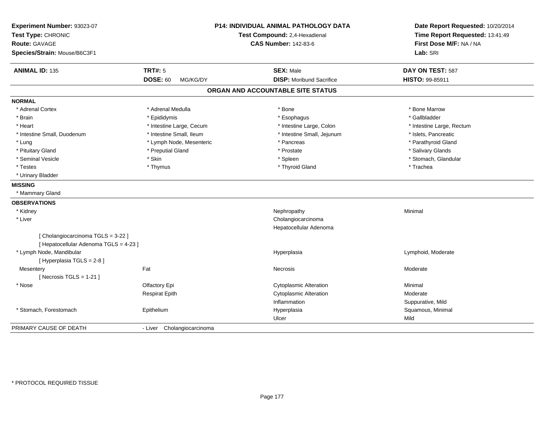| Experiment Number: 93023-07<br>Test Type: CHRONIC<br><b>Route: GAVAGE</b><br>Species/Strain: Mouse/B6C3F1 |                             | <b>P14: INDIVIDUAL ANIMAL PATHOLOGY DATA</b><br>Test Compound: 2,4-Hexadienal<br><b>CAS Number: 142-83-6</b> | Date Report Requested: 10/20/2014<br>Time Report Requested: 13:41:49<br>First Dose M/F: NA / NA<br>Lab: SRI |
|-----------------------------------------------------------------------------------------------------------|-----------------------------|--------------------------------------------------------------------------------------------------------------|-------------------------------------------------------------------------------------------------------------|
| <b>ANIMAL ID: 135</b>                                                                                     | <b>TRT#: 5</b>              | <b>SEX: Male</b>                                                                                             | DAY ON TEST: 587                                                                                            |
|                                                                                                           | <b>DOSE: 60</b><br>MG/KG/DY | <b>DISP:</b> Moribund Sacrifice                                                                              | HISTO: 99-85911                                                                                             |
|                                                                                                           |                             | ORGAN AND ACCOUNTABLE SITE STATUS                                                                            |                                                                                                             |
| <b>NORMAL</b>                                                                                             |                             |                                                                                                              |                                                                                                             |
| * Adrenal Cortex                                                                                          | * Adrenal Medulla           | * Bone                                                                                                       | * Bone Marrow                                                                                               |
| * Brain                                                                                                   | * Epididymis                | * Esophagus                                                                                                  | * Gallbladder                                                                                               |
| * Heart                                                                                                   | * Intestine Large, Cecum    | * Intestine Large, Colon                                                                                     | * Intestine Large, Rectum                                                                                   |
| * Intestine Small, Duodenum                                                                               | * Intestine Small, Ileum    | * Intestine Small, Jejunum                                                                                   | * Islets, Pancreatic                                                                                        |
| * Lung                                                                                                    | * Lymph Node, Mesenteric    | * Pancreas                                                                                                   | * Parathyroid Gland                                                                                         |
| * Pituitary Gland                                                                                         | * Preputial Gland           | * Prostate                                                                                                   | * Salivary Glands                                                                                           |
| * Seminal Vesicle                                                                                         | * Skin                      | * Spleen                                                                                                     | * Stomach, Glandular                                                                                        |
| * Testes                                                                                                  | * Thymus                    | * Thyroid Gland                                                                                              | * Trachea                                                                                                   |
| * Urinary Bladder                                                                                         |                             |                                                                                                              |                                                                                                             |
| <b>MISSING</b>                                                                                            |                             |                                                                                                              |                                                                                                             |
| * Mammary Gland                                                                                           |                             |                                                                                                              |                                                                                                             |
| <b>OBSERVATIONS</b>                                                                                       |                             |                                                                                                              |                                                                                                             |
| * Kidney                                                                                                  |                             | Nephropathy                                                                                                  | Minimal                                                                                                     |
| * Liver                                                                                                   |                             | Cholangiocarcinoma                                                                                           |                                                                                                             |
|                                                                                                           |                             | Hepatocellular Adenoma                                                                                       |                                                                                                             |
| [Cholangiocarcinoma TGLS = 3-22 ]<br>[ Hepatocellular Adenoma TGLS = 4-23 ]                               |                             |                                                                                                              |                                                                                                             |
| * Lymph Node, Mandibular                                                                                  |                             | Hyperplasia                                                                                                  | Lymphoid, Moderate                                                                                          |
| [ Hyperplasia TGLS = 2-8 ]                                                                                |                             |                                                                                                              |                                                                                                             |
| Mesentery                                                                                                 | Fat                         | Necrosis                                                                                                     | Moderate                                                                                                    |
| [Necrosis $TGLS = 1-21$ ]                                                                                 |                             |                                                                                                              |                                                                                                             |
| * Nose                                                                                                    | Olfactory Epi               | <b>Cytoplasmic Alteration</b>                                                                                | Minimal                                                                                                     |
|                                                                                                           | <b>Respirat Epith</b>       | <b>Cytoplasmic Alteration</b>                                                                                | Moderate                                                                                                    |
|                                                                                                           |                             | Inflammation                                                                                                 | Suppurative, Mild                                                                                           |
| * Stomach, Forestomach                                                                                    | Epithelium                  | Hyperplasia                                                                                                  | Squamous, Minimal                                                                                           |
|                                                                                                           |                             | Ulcer                                                                                                        | Mild                                                                                                        |
| PRIMARY CAUSE OF DEATH                                                                                    | - Liver Cholangiocarcinoma  |                                                                                                              |                                                                                                             |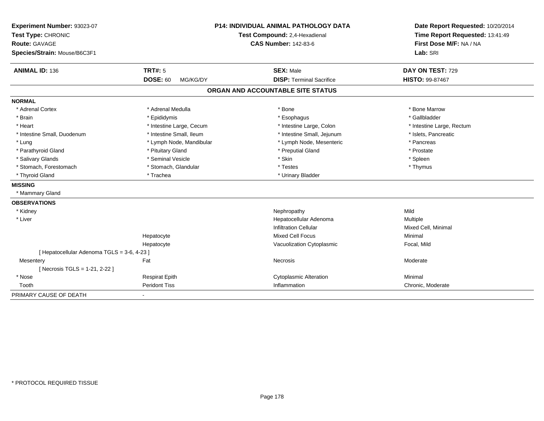| Experiment Number: 93023-07<br>Test Type: CHRONIC |                             | <b>P14: INDIVIDUAL ANIMAL PATHOLOGY DATA</b><br>Test Compound: 2,4-Hexadienal | Date Report Requested: 10/20/2014<br>Time Report Requested: 13:41:49 |
|---------------------------------------------------|-----------------------------|-------------------------------------------------------------------------------|----------------------------------------------------------------------|
| Route: GAVAGE                                     |                             | <b>CAS Number: 142-83-6</b>                                                   | First Dose M/F: NA / NA                                              |
| Species/Strain: Mouse/B6C3F1                      |                             |                                                                               | Lab: SRI                                                             |
| <b>ANIMAL ID: 136</b>                             | <b>TRT#: 5</b>              | <b>SEX: Male</b>                                                              | DAY ON TEST: 729                                                     |
|                                                   | <b>DOSE: 60</b><br>MG/KG/DY | <b>DISP: Terminal Sacrifice</b>                                               | <b>HISTO: 99-87467</b>                                               |
|                                                   |                             | ORGAN AND ACCOUNTABLE SITE STATUS                                             |                                                                      |
| <b>NORMAL</b>                                     |                             |                                                                               |                                                                      |
| * Adrenal Cortex                                  | * Adrenal Medulla           | * Bone                                                                        | * Bone Marrow                                                        |
| * Brain                                           | * Epididymis                | * Esophagus                                                                   | * Gallbladder                                                        |
| * Heart                                           | * Intestine Large, Cecum    | * Intestine Large, Colon                                                      | * Intestine Large, Rectum                                            |
| * Intestine Small, Duodenum                       | * Intestine Small, Ileum    | * Intestine Small, Jejunum                                                    | * Islets, Pancreatic                                                 |
| * Lung                                            | * Lymph Node, Mandibular    | * Lymph Node, Mesenteric                                                      | * Pancreas                                                           |
| * Parathyroid Gland                               | * Pituitary Gland           | * Preputial Gland                                                             | * Prostate                                                           |
| * Salivary Glands                                 | * Seminal Vesicle           | * Skin                                                                        | * Spleen                                                             |
| * Stomach, Forestomach                            | * Stomach, Glandular        | * Testes                                                                      | * Thymus                                                             |
| * Thyroid Gland                                   | * Trachea                   | * Urinary Bladder                                                             |                                                                      |
| <b>MISSING</b>                                    |                             |                                                                               |                                                                      |
| * Mammary Gland                                   |                             |                                                                               |                                                                      |
| <b>OBSERVATIONS</b>                               |                             |                                                                               |                                                                      |
| * Kidney                                          |                             | Nephropathy                                                                   | Mild                                                                 |
| * Liver                                           |                             | Hepatocellular Adenoma                                                        | Multiple                                                             |
|                                                   |                             | <b>Infiltration Cellular</b>                                                  | Mixed Cell, Minimal                                                  |
|                                                   | Hepatocyte                  | Mixed Cell Focus                                                              | Minimal                                                              |
|                                                   | Hepatocyte                  | Vacuolization Cytoplasmic                                                     | Focal, Mild                                                          |
| [ Hepatocellular Adenoma TGLS = 3-6, 4-23 ]       |                             |                                                                               |                                                                      |
| Mesentery                                         | Fat                         | Necrosis                                                                      | Moderate                                                             |
| [Necrosis TGLS = 1-21, 2-22]                      |                             |                                                                               |                                                                      |
| * Nose                                            | <b>Respirat Epith</b>       | <b>Cytoplasmic Alteration</b>                                                 | Minimal                                                              |
| Tooth                                             | <b>Peridont Tiss</b>        | Inflammation                                                                  | Chronic, Moderate                                                    |
| PRIMARY CAUSE OF DEATH                            |                             |                                                                               |                                                                      |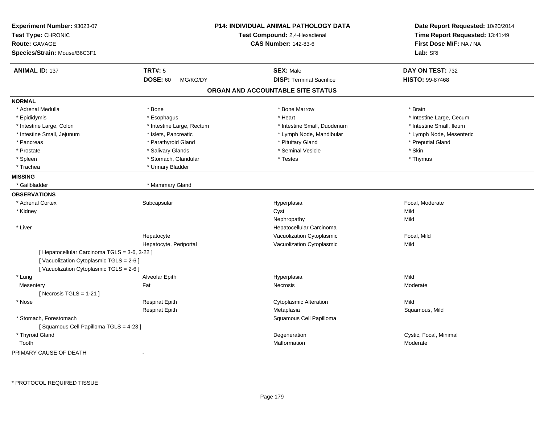| Experiment Number: 93023-07<br>Test Type: CHRONIC<br><b>Route: GAVAGE</b><br>Species/Strain: Mouse/B6C3F1                         |                             | P14: INDIVIDUAL ANIMAL PATHOLOGY DATA<br>Test Compound: 2,4-Hexadienal<br><b>CAS Number: 142-83-6</b> | Date Report Requested: 10/20/2014<br>Time Report Requested: 13:41:49<br>First Dose M/F: NA / NA<br>Lab: SRI |
|-----------------------------------------------------------------------------------------------------------------------------------|-----------------------------|-------------------------------------------------------------------------------------------------------|-------------------------------------------------------------------------------------------------------------|
| <b>ANIMAL ID: 137</b>                                                                                                             | <b>TRT#: 5</b>              | <b>SEX: Male</b>                                                                                      | DAY ON TEST: 732                                                                                            |
|                                                                                                                                   | <b>DOSE: 60</b><br>MG/KG/DY | <b>DISP: Terminal Sacrifice</b>                                                                       | HISTO: 99-87468                                                                                             |
|                                                                                                                                   |                             | ORGAN AND ACCOUNTABLE SITE STATUS                                                                     |                                                                                                             |
| <b>NORMAL</b>                                                                                                                     |                             |                                                                                                       |                                                                                                             |
| * Adrenal Medulla                                                                                                                 | * Bone                      | * Bone Marrow                                                                                         | * Brain                                                                                                     |
| * Epididymis                                                                                                                      | * Esophagus                 | * Heart                                                                                               | * Intestine Large, Cecum                                                                                    |
| * Intestine Large, Colon                                                                                                          | * Intestine Large, Rectum   | * Intestine Small, Duodenum                                                                           | * Intestine Small, Ileum                                                                                    |
| * Intestine Small, Jejunum                                                                                                        | * Islets, Pancreatic        | * Lymph Node, Mandibular                                                                              | * Lymph Node, Mesenteric                                                                                    |
| * Pancreas                                                                                                                        | * Parathyroid Gland         | * Pituitary Gland                                                                                     | * Preputial Gland                                                                                           |
| * Prostate                                                                                                                        | * Salivary Glands           | * Seminal Vesicle                                                                                     | * Skin                                                                                                      |
| * Spleen                                                                                                                          | * Stomach, Glandular        | $^\star$ Testes                                                                                       | * Thymus                                                                                                    |
| * Trachea                                                                                                                         | * Urinary Bladder           |                                                                                                       |                                                                                                             |
| <b>MISSING</b>                                                                                                                    |                             |                                                                                                       |                                                                                                             |
| * Gallbladder                                                                                                                     | * Mammary Gland             |                                                                                                       |                                                                                                             |
| <b>OBSERVATIONS</b>                                                                                                               |                             |                                                                                                       |                                                                                                             |
| * Adrenal Cortex                                                                                                                  | Subcapsular                 | Hyperplasia                                                                                           | Focal, Moderate                                                                                             |
| * Kidney                                                                                                                          |                             | Cyst                                                                                                  | Mild                                                                                                        |
|                                                                                                                                   |                             | Nephropathy                                                                                           | Mild                                                                                                        |
| * Liver                                                                                                                           |                             | Hepatocellular Carcinoma                                                                              |                                                                                                             |
|                                                                                                                                   | Hepatocyte                  | Vacuolization Cytoplasmic                                                                             | Focal, Mild                                                                                                 |
|                                                                                                                                   | Hepatocyte, Periportal      | Vacuolization Cytoplasmic                                                                             | Mild                                                                                                        |
| [ Hepatocellular Carcinoma TGLS = 3-6, 3-22 ]<br>[Vacuolization Cytoplasmic TGLS = 2-6]<br>[Vacuolization Cytoplasmic TGLS = 2-6] |                             |                                                                                                       |                                                                                                             |
| * Lung                                                                                                                            | Alveolar Epith              | Hyperplasia                                                                                           | Mild                                                                                                        |
| Mesentery                                                                                                                         | Fat                         | Necrosis                                                                                              | Moderate                                                                                                    |
| [Necrosis TGLS = $1-21$ ]                                                                                                         |                             |                                                                                                       |                                                                                                             |
| * Nose                                                                                                                            | <b>Respirat Epith</b>       | <b>Cytoplasmic Alteration</b>                                                                         | Mild                                                                                                        |
|                                                                                                                                   | <b>Respirat Epith</b>       | Metaplasia                                                                                            | Squamous, Mild                                                                                              |
| * Stomach, Forestomach                                                                                                            |                             | Squamous Cell Papilloma                                                                               |                                                                                                             |
| [Squamous Cell Papilloma TGLS = 4-23]                                                                                             |                             |                                                                                                       |                                                                                                             |
| * Thyroid Gland                                                                                                                   |                             | Degeneration                                                                                          | Cystic, Focal, Minimal                                                                                      |
| Tooth                                                                                                                             |                             | Malformation                                                                                          | Moderate                                                                                                    |

PRIMARY CAUSE OF DEATH-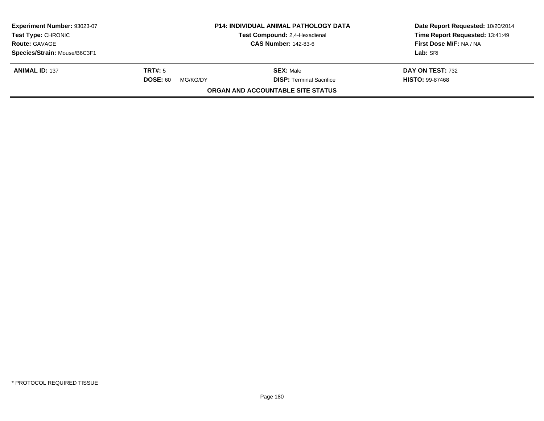| <b>P14: INDIVIDUAL ANIMAL PATHOLOGY DATA</b><br>Experiment Number: 93023-07<br><b>Test Type: CHRONIC</b><br>Test Compound: 2,4-Hexadienal |                             |                                   | Date Report Requested: 10/20/2014<br>Time Report Requested: 13:41:49 |  |
|-------------------------------------------------------------------------------------------------------------------------------------------|-----------------------------|-----------------------------------|----------------------------------------------------------------------|--|
| <b>Route: GAVAGE</b>                                                                                                                      |                             | <b>CAS Number: 142-83-6</b>       | First Dose M/F: NA / NA                                              |  |
| Species/Strain: Mouse/B6C3F1                                                                                                              |                             |                                   | Lab: SRI                                                             |  |
| <b>ANIMAL ID: 137</b>                                                                                                                     | TRT#: 5                     | <b>SEX: Male</b>                  | DAY ON TEST: 732                                                     |  |
|                                                                                                                                           | <b>DOSE: 60</b><br>MG/KG/DY | <b>DISP: Terminal Sacrifice</b>   | <b>HISTO: 99-87468</b>                                               |  |
|                                                                                                                                           |                             | ORGAN AND ACCOUNTABLE SITE STATUS |                                                                      |  |
|                                                                                                                                           |                             |                                   |                                                                      |  |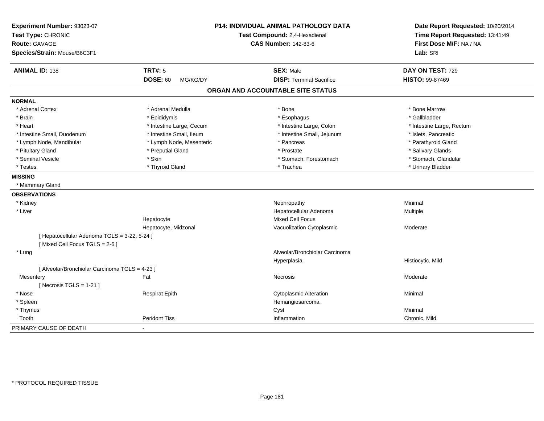| Experiment Number: 93023-07<br>Test Type: CHRONIC<br><b>Route: GAVAGE</b><br>Species/Strain: Mouse/B6C3F1 |                             | P14: INDIVIDUAL ANIMAL PATHOLOGY DATA<br>Test Compound: 2,4-Hexadienal<br><b>CAS Number: 142-83-6</b> | Date Report Requested: 10/20/2014<br>Time Report Requested: 13:41:49<br>First Dose M/F: NA / NA<br>Lab: SRI |
|-----------------------------------------------------------------------------------------------------------|-----------------------------|-------------------------------------------------------------------------------------------------------|-------------------------------------------------------------------------------------------------------------|
| <b>ANIMAL ID: 138</b>                                                                                     | <b>TRT#: 5</b>              | <b>SEX: Male</b>                                                                                      | DAY ON TEST: 729                                                                                            |
|                                                                                                           | <b>DOSE: 60</b><br>MG/KG/DY | <b>DISP: Terminal Sacrifice</b>                                                                       | <b>HISTO: 99-87469</b>                                                                                      |
|                                                                                                           |                             | ORGAN AND ACCOUNTABLE SITE STATUS                                                                     |                                                                                                             |
| <b>NORMAL</b>                                                                                             |                             |                                                                                                       |                                                                                                             |
| * Adrenal Cortex                                                                                          | * Adrenal Medulla           | * Bone                                                                                                | * Bone Marrow                                                                                               |
| * Brain                                                                                                   | * Epididymis                | * Esophagus                                                                                           | * Gallbladder                                                                                               |
| * Heart                                                                                                   | * Intestine Large, Cecum    | * Intestine Large, Colon                                                                              | * Intestine Large, Rectum                                                                                   |
| * Intestine Small, Duodenum                                                                               | * Intestine Small, Ileum    | * Intestine Small, Jejunum                                                                            | * Islets, Pancreatic                                                                                        |
| * Lymph Node, Mandibular                                                                                  | * Lymph Node, Mesenteric    | * Pancreas                                                                                            | * Parathyroid Gland                                                                                         |
| * Pituitary Gland                                                                                         | * Preputial Gland           | * Prostate                                                                                            | * Salivary Glands                                                                                           |
| * Seminal Vesicle                                                                                         | * Skin                      | * Stomach, Forestomach                                                                                | * Stomach, Glandular                                                                                        |
| * Testes                                                                                                  | * Thyroid Gland             | * Trachea                                                                                             | * Urinary Bladder                                                                                           |
| <b>MISSING</b>                                                                                            |                             |                                                                                                       |                                                                                                             |
| * Mammary Gland                                                                                           |                             |                                                                                                       |                                                                                                             |
| <b>OBSERVATIONS</b>                                                                                       |                             |                                                                                                       |                                                                                                             |
| * Kidney                                                                                                  |                             | Nephropathy                                                                                           | Minimal                                                                                                     |
| * Liver                                                                                                   |                             | Hepatocellular Adenoma                                                                                | Multiple                                                                                                    |
|                                                                                                           | Hepatocyte                  | <b>Mixed Cell Focus</b>                                                                               |                                                                                                             |
|                                                                                                           | Hepatocyte, Midzonal        | Vacuolization Cytoplasmic                                                                             | Moderate                                                                                                    |
| [ Hepatocellular Adenoma TGLS = 3-22, 5-24 ]<br>[Mixed Cell Focus TGLS = 2-6]                             |                             |                                                                                                       |                                                                                                             |
| * Lung                                                                                                    |                             | Alveolar/Bronchiolar Carcinoma                                                                        |                                                                                                             |
|                                                                                                           |                             | Hyperplasia                                                                                           | Histiocytic, Mild                                                                                           |
| [ Alveolar/Bronchiolar Carcinoma TGLS = 4-23 ]                                                            |                             |                                                                                                       |                                                                                                             |
| Mesentery                                                                                                 | Fat                         | <b>Necrosis</b>                                                                                       | Moderate                                                                                                    |
| [ Necrosis TGLS = $1-21$ ]                                                                                |                             |                                                                                                       |                                                                                                             |
| * Nose                                                                                                    | <b>Respirat Epith</b>       | <b>Cytoplasmic Alteration</b>                                                                         | Minimal                                                                                                     |
| * Spleen                                                                                                  |                             | Hemangiosarcoma                                                                                       |                                                                                                             |
| * Thymus                                                                                                  |                             | Cyst                                                                                                  | Minimal                                                                                                     |
| Tooth                                                                                                     | <b>Peridont Tiss</b>        | Inflammation                                                                                          | Chronic, Mild                                                                                               |
| PRIMARY CAUSE OF DEATH                                                                                    | $\blacksquare$              |                                                                                                       |                                                                                                             |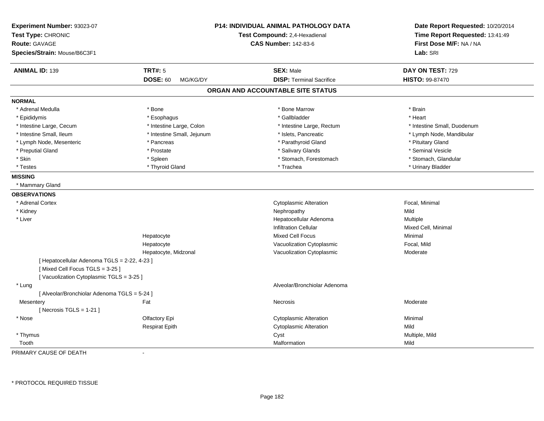| Experiment Number: 93023-07<br>Test Type: CHRONIC<br>Route: GAVAGE<br>Species/Strain: Mouse/B6C3F1 |                             | P14: INDIVIDUAL ANIMAL PATHOLOGY DATA<br>Test Compound: 2,4-Hexadienal<br><b>CAS Number: 142-83-6</b> | Date Report Requested: 10/20/2014<br>Time Report Requested: 13:41:49<br>First Dose M/F: NA / NA<br>Lab: SRI |
|----------------------------------------------------------------------------------------------------|-----------------------------|-------------------------------------------------------------------------------------------------------|-------------------------------------------------------------------------------------------------------------|
|                                                                                                    |                             |                                                                                                       |                                                                                                             |
| <b>ANIMAL ID: 139</b>                                                                              | <b>TRT#: 5</b>              | <b>SEX: Male</b>                                                                                      | DAY ON TEST: 729                                                                                            |
|                                                                                                    | <b>DOSE: 60</b><br>MG/KG/DY | <b>DISP: Terminal Sacrifice</b>                                                                       | HISTO: 99-87470                                                                                             |
|                                                                                                    |                             | ORGAN AND ACCOUNTABLE SITE STATUS                                                                     |                                                                                                             |
| <b>NORMAL</b>                                                                                      |                             |                                                                                                       |                                                                                                             |
| * Adrenal Medulla                                                                                  | * Bone                      | * Bone Marrow                                                                                         | * Brain                                                                                                     |
| * Epididymis                                                                                       | * Esophagus                 | * Gallbladder                                                                                         | * Heart                                                                                                     |
| * Intestine Large, Cecum                                                                           | * Intestine Large, Colon    | * Intestine Large, Rectum                                                                             | * Intestine Small, Duodenum                                                                                 |
| * Intestine Small, Ileum                                                                           | * Intestine Small, Jejunum  | * Islets, Pancreatic                                                                                  | * Lymph Node, Mandibular                                                                                    |
| * Lymph Node, Mesenteric                                                                           | * Pancreas                  | * Parathyroid Gland                                                                                   | * Pituitary Gland                                                                                           |
| * Preputial Gland                                                                                  | * Prostate                  | * Salivary Glands                                                                                     | * Seminal Vesicle                                                                                           |
| * Skin                                                                                             | * Spleen                    | * Stomach, Forestomach                                                                                | * Stomach, Glandular                                                                                        |
| * Testes                                                                                           | * Thyroid Gland             | * Trachea                                                                                             | * Urinary Bladder                                                                                           |
| <b>MISSING</b>                                                                                     |                             |                                                                                                       |                                                                                                             |
| * Mammary Gland                                                                                    |                             |                                                                                                       |                                                                                                             |
| <b>OBSERVATIONS</b>                                                                                |                             |                                                                                                       |                                                                                                             |
| * Adrenal Cortex                                                                                   |                             | <b>Cytoplasmic Alteration</b>                                                                         | Focal, Minimal                                                                                              |
| * Kidney                                                                                           |                             | Nephropathy                                                                                           | Mild                                                                                                        |
| * Liver                                                                                            |                             | Hepatocellular Adenoma                                                                                | Multiple                                                                                                    |
|                                                                                                    |                             | <b>Infiltration Cellular</b>                                                                          | Mixed Cell, Minimal                                                                                         |
|                                                                                                    | Hepatocyte                  | <b>Mixed Cell Focus</b>                                                                               | Minimal                                                                                                     |
|                                                                                                    | Hepatocyte                  | Vacuolization Cytoplasmic                                                                             | Focal, Mild                                                                                                 |
|                                                                                                    | Hepatocyte, Midzonal        | Vacuolization Cytoplasmic                                                                             | Moderate                                                                                                    |
| [ Hepatocellular Adenoma TGLS = 2-22, 4-23 ]                                                       |                             |                                                                                                       |                                                                                                             |
| [Mixed Cell Focus TGLS = 3-25]                                                                     |                             |                                                                                                       |                                                                                                             |
| [Vacuolization Cytoplasmic TGLS = 3-25]                                                            |                             |                                                                                                       |                                                                                                             |
| * Lung                                                                                             |                             | Alveolar/Bronchiolar Adenoma                                                                          |                                                                                                             |
| [ Alveolar/Bronchiolar Adenoma TGLS = 5-24 ]                                                       |                             |                                                                                                       |                                                                                                             |
| Mesentery                                                                                          | Fat                         | Necrosis                                                                                              | Moderate                                                                                                    |
| [ Necrosis TGLS = $1-21$ ]                                                                         |                             |                                                                                                       |                                                                                                             |
| * Nose                                                                                             | Olfactory Epi               | <b>Cytoplasmic Alteration</b>                                                                         | Minimal                                                                                                     |
|                                                                                                    | <b>Respirat Epith</b>       | <b>Cytoplasmic Alteration</b>                                                                         | Mild                                                                                                        |
| * Thymus                                                                                           |                             | Cyst                                                                                                  | Multiple, Mild                                                                                              |
| Tooth                                                                                              |                             | Malformation                                                                                          | Mild                                                                                                        |

PRIMARY CAUSE OF DEATH-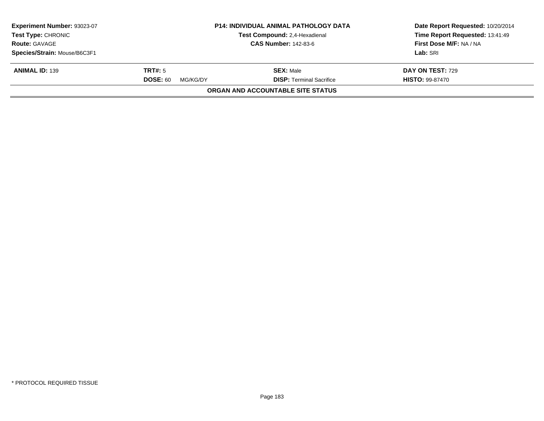| Experiment Number: 93023-07<br><b>Test Type: CHRONIC</b><br><b>Route: GAVAGE</b> |                             | <b>P14: INDIVIDUAL ANIMAL PATHOLOGY DATA</b><br>Test Compound: 2,4-Hexadienal<br><b>CAS Number: 142-83-6</b> | Date Report Requested: 10/20/2014<br>Time Report Requested: 13:41:49<br>First Dose M/F: NA / NA |
|----------------------------------------------------------------------------------|-----------------------------|--------------------------------------------------------------------------------------------------------------|-------------------------------------------------------------------------------------------------|
|                                                                                  |                             |                                                                                                              |                                                                                                 |
| Species/Strain: Mouse/B6C3F1                                                     |                             |                                                                                                              | Lab: SRI                                                                                        |
| <b>ANIMAL ID: 139</b>                                                            | TRT#: 5                     | <b>SEX: Male</b>                                                                                             | <b>DAY ON TEST: 729</b>                                                                         |
|                                                                                  | <b>DOSE: 60</b><br>MG/KG/DY | <b>DISP: Terminal Sacrifice</b>                                                                              | <b>HISTO: 99-87470</b>                                                                          |
|                                                                                  |                             | <b>ORGAN AND ACCOUNTABLE SITE STATUS</b>                                                                     |                                                                                                 |
|                                                                                  |                             |                                                                                                              |                                                                                                 |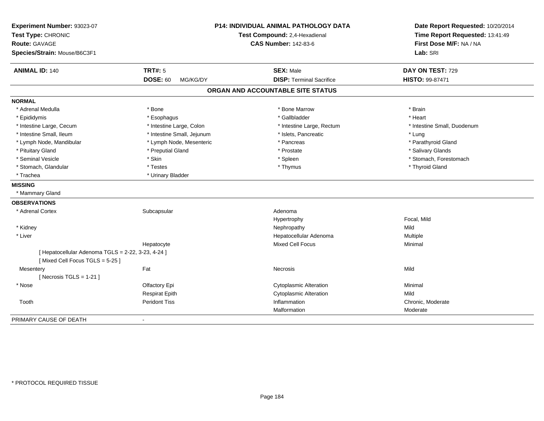| Experiment Number: 93023-07<br>Test Type: CHRONIC<br><b>Route: GAVAGE</b><br>Species/Strain: Mouse/B6C3F1 |                             | P14: INDIVIDUAL ANIMAL PATHOLOGY DATA<br>Test Compound: 2,4-Hexadienal<br><b>CAS Number: 142-83-6</b> | Date Report Requested: 10/20/2014<br>Time Report Requested: 13:41:49<br>First Dose M/F: NA / NA<br>Lab: SRI |
|-----------------------------------------------------------------------------------------------------------|-----------------------------|-------------------------------------------------------------------------------------------------------|-------------------------------------------------------------------------------------------------------------|
| <b>ANIMAL ID: 140</b>                                                                                     | <b>TRT#: 5</b>              | <b>SEX: Male</b>                                                                                      | DAY ON TEST: 729                                                                                            |
|                                                                                                           | <b>DOSE: 60</b><br>MG/KG/DY | <b>DISP: Terminal Sacrifice</b>                                                                       | HISTO: 99-87471                                                                                             |
|                                                                                                           |                             | ORGAN AND ACCOUNTABLE SITE STATUS                                                                     |                                                                                                             |
| <b>NORMAL</b>                                                                                             |                             |                                                                                                       |                                                                                                             |
| * Adrenal Medulla                                                                                         | * Bone                      | * Bone Marrow                                                                                         | * Brain                                                                                                     |
| * Epididymis                                                                                              | * Esophagus                 | * Gallbladder                                                                                         | * Heart                                                                                                     |
| * Intestine Large, Cecum                                                                                  | * Intestine Large, Colon    | * Intestine Large, Rectum                                                                             | * Intestine Small, Duodenum                                                                                 |
| * Intestine Small, Ileum                                                                                  | * Intestine Small, Jejunum  | * Islets, Pancreatic                                                                                  | * Lung                                                                                                      |
| * Lymph Node, Mandibular                                                                                  | * Lymph Node, Mesenteric    | * Pancreas                                                                                            | * Parathyroid Gland                                                                                         |
| * Pituitary Gland                                                                                         | * Preputial Gland           | * Prostate                                                                                            | * Salivary Glands                                                                                           |
| * Seminal Vesicle                                                                                         | * Skin                      | * Spleen                                                                                              | * Stomach, Forestomach                                                                                      |
| * Stomach, Glandular                                                                                      | * Testes                    | * Thymus                                                                                              | * Thyroid Gland                                                                                             |
| * Trachea                                                                                                 | * Urinary Bladder           |                                                                                                       |                                                                                                             |
| <b>MISSING</b>                                                                                            |                             |                                                                                                       |                                                                                                             |
| * Mammary Gland                                                                                           |                             |                                                                                                       |                                                                                                             |
| <b>OBSERVATIONS</b>                                                                                       |                             |                                                                                                       |                                                                                                             |
| * Adrenal Cortex                                                                                          | Subcapsular                 | Adenoma                                                                                               |                                                                                                             |
|                                                                                                           |                             | Hypertrophy                                                                                           | Focal, Mild                                                                                                 |
| * Kidney                                                                                                  |                             | Nephropathy                                                                                           | Mild                                                                                                        |
| * Liver                                                                                                   |                             | Hepatocellular Adenoma                                                                                | Multiple                                                                                                    |
|                                                                                                           | Hepatocyte                  | Mixed Cell Focus                                                                                      | Minimal                                                                                                     |
| [ Hepatocellular Adenoma TGLS = 2-22, 3-23, 4-24 ]                                                        |                             |                                                                                                       |                                                                                                             |
| [Mixed Cell Focus TGLS = 5-25]                                                                            |                             |                                                                                                       |                                                                                                             |
| Mesentery                                                                                                 | Fat                         | Necrosis                                                                                              | Mild                                                                                                        |
| [ Necrosis $TGLS = 1-21$ ]                                                                                |                             |                                                                                                       |                                                                                                             |
| * Nose                                                                                                    | Olfactory Epi               | <b>Cytoplasmic Alteration</b>                                                                         | Minimal                                                                                                     |
|                                                                                                           | <b>Respirat Epith</b>       | <b>Cytoplasmic Alteration</b>                                                                         | Mild                                                                                                        |
| Tooth                                                                                                     | <b>Peridont Tiss</b>        | Inflammation                                                                                          | Chronic, Moderate                                                                                           |
|                                                                                                           |                             | Malformation                                                                                          | Moderate                                                                                                    |
| PRIMARY CAUSE OF DEATH                                                                                    | $\blacksquare$              |                                                                                                       |                                                                                                             |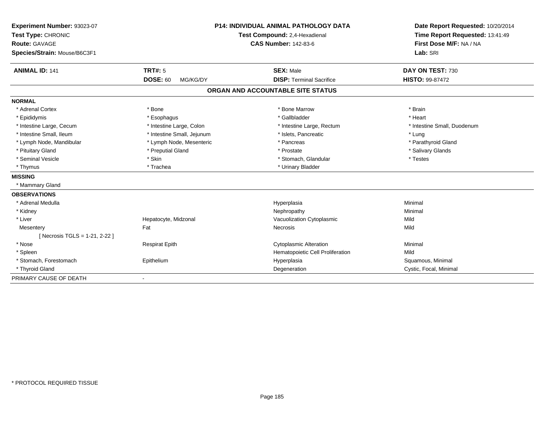| Experiment Number: 93023-07  |                             | <b>P14: INDIVIDUAL ANIMAL PATHOLOGY DATA</b> | Date Report Requested: 10/20/2014 |
|------------------------------|-----------------------------|----------------------------------------------|-----------------------------------|
| Test Type: CHRONIC           |                             | Test Compound: 2,4-Hexadienal                | Time Report Requested: 13:41:49   |
| <b>Route: GAVAGE</b>         |                             | <b>CAS Number: 142-83-6</b>                  | First Dose M/F: NA / NA           |
| Species/Strain: Mouse/B6C3F1 |                             |                                              | Lab: SRI                          |
| <b>ANIMAL ID: 141</b>        | TRT#: 5                     | <b>SEX: Male</b>                             | DAY ON TEST: 730                  |
|                              | <b>DOSE: 60</b><br>MG/KG/DY | <b>DISP: Terminal Sacrifice</b>              | <b>HISTO: 99-87472</b>            |
|                              |                             | ORGAN AND ACCOUNTABLE SITE STATUS            |                                   |
| <b>NORMAL</b>                |                             |                                              |                                   |
| * Adrenal Cortex             | * Bone                      | * Bone Marrow                                | * Brain                           |
| * Epididymis                 | * Esophagus                 | * Gallbladder                                | * Heart                           |
| * Intestine Large, Cecum     | * Intestine Large, Colon    | * Intestine Large, Rectum                    | * Intestine Small, Duodenum       |
| * Intestine Small, Ileum     | * Intestine Small, Jejunum  | * Islets, Pancreatic                         | * Lung                            |
| * Lymph Node, Mandibular     | * Lymph Node, Mesenteric    | * Pancreas                                   | * Parathyroid Gland               |
| * Pituitary Gland            | * Preputial Gland           | * Prostate                                   | * Salivary Glands                 |
| * Seminal Vesicle            | * Skin                      | * Stomach, Glandular                         | * Testes                          |
| * Thymus                     | * Trachea                   | * Urinary Bladder                            |                                   |
| <b>MISSING</b>               |                             |                                              |                                   |
| * Mammary Gland              |                             |                                              |                                   |
| <b>OBSERVATIONS</b>          |                             |                                              |                                   |
| * Adrenal Medulla            |                             | Hyperplasia                                  | Minimal                           |
| * Kidney                     |                             | Nephropathy                                  | Minimal                           |
| * Liver                      | Hepatocyte, Midzonal        | Vacuolization Cytoplasmic                    | Mild                              |
| Mesentery                    | Fat                         | Necrosis                                     | Mild                              |
| [Necrosis TGLS = 1-21, 2-22] |                             |                                              |                                   |
| * Nose                       | <b>Respirat Epith</b>       | <b>Cytoplasmic Alteration</b>                | Minimal                           |
| * Spleen                     |                             | Hematopoietic Cell Proliferation             | Mild                              |
| * Stomach, Forestomach       | Epithelium                  | Hyperplasia                                  | Squamous, Minimal                 |
| * Thyroid Gland              |                             | Degeneration                                 | Cystic, Focal, Minimal            |
| PRIMARY CAUSE OF DEATH       |                             |                                              |                                   |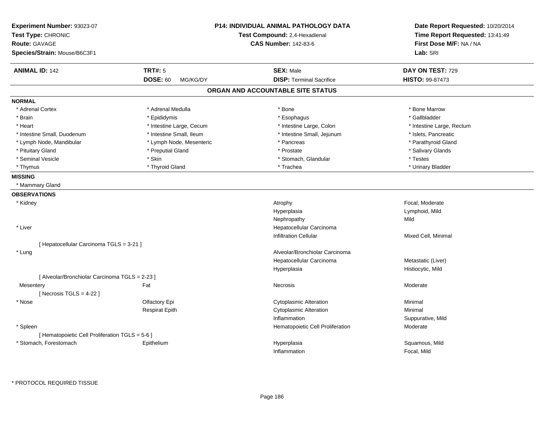| Experiment Number: 93023-07<br>Test Type: CHRONIC<br>Route: GAVAGE<br>Species/Strain: Mouse/B6C3F1 |                             | <b>P14: INDIVIDUAL ANIMAL PATHOLOGY DATA</b><br>Test Compound: 2,4-Hexadienal<br><b>CAS Number: 142-83-6</b> | Date Report Requested: 10/20/2014<br>Time Report Requested: 13:41:49<br>First Dose M/F: NA / NA<br>Lab: SRI |
|----------------------------------------------------------------------------------------------------|-----------------------------|--------------------------------------------------------------------------------------------------------------|-------------------------------------------------------------------------------------------------------------|
|                                                                                                    |                             |                                                                                                              |                                                                                                             |
| <b>ANIMAL ID: 142</b>                                                                              | <b>TRT#: 5</b>              | <b>SEX: Male</b>                                                                                             | DAY ON TEST: 729                                                                                            |
|                                                                                                    | <b>DOSE: 60</b><br>MG/KG/DY | <b>DISP: Terminal Sacrifice</b>                                                                              | HISTO: 99-87473                                                                                             |
|                                                                                                    |                             | ORGAN AND ACCOUNTABLE SITE STATUS                                                                            |                                                                                                             |
| <b>NORMAL</b>                                                                                      |                             |                                                                                                              |                                                                                                             |
| * Adrenal Cortex                                                                                   | * Adrenal Medulla           | * Bone                                                                                                       | * Bone Marrow                                                                                               |
| * Brain                                                                                            | * Epididymis                | * Esophagus                                                                                                  | * Gallbladder                                                                                               |
| * Heart                                                                                            | * Intestine Large, Cecum    | * Intestine Large, Colon                                                                                     | * Intestine Large, Rectum                                                                                   |
| * Intestine Small, Duodenum                                                                        | * Intestine Small, Ileum    | * Intestine Small, Jejunum                                                                                   | * Islets, Pancreatic                                                                                        |
| * Lymph Node, Mandibular                                                                           | * Lymph Node, Mesenteric    | * Pancreas                                                                                                   | * Parathyroid Gland                                                                                         |
| * Pituitary Gland                                                                                  | * Preputial Gland           | * Prostate                                                                                                   | * Salivary Glands                                                                                           |
| * Seminal Vesicle                                                                                  | * Skin                      | * Stomach, Glandular                                                                                         | * Testes                                                                                                    |
| * Thymus                                                                                           | * Thyroid Gland             | * Trachea                                                                                                    | * Urinary Bladder                                                                                           |
| <b>MISSING</b>                                                                                     |                             |                                                                                                              |                                                                                                             |
| * Mammary Gland                                                                                    |                             |                                                                                                              |                                                                                                             |
| <b>OBSERVATIONS</b>                                                                                |                             |                                                                                                              |                                                                                                             |
| * Kidney                                                                                           |                             | Atrophy                                                                                                      | Focal, Moderate                                                                                             |
|                                                                                                    |                             | Hyperplasia                                                                                                  | Lymphoid, Mild                                                                                              |
|                                                                                                    |                             | Nephropathy                                                                                                  | Mild                                                                                                        |
| * Liver                                                                                            |                             | Hepatocellular Carcinoma                                                                                     |                                                                                                             |
|                                                                                                    |                             | <b>Infiltration Cellular</b>                                                                                 | Mixed Cell, Minimal                                                                                         |
| [ Hepatocellular Carcinoma TGLS = 3-21 ]                                                           |                             |                                                                                                              |                                                                                                             |
| * Lung                                                                                             |                             | Alveolar/Bronchiolar Carcinoma                                                                               |                                                                                                             |
|                                                                                                    |                             | Hepatocellular Carcinoma                                                                                     | Metastatic (Liver)                                                                                          |
|                                                                                                    |                             | Hyperplasia                                                                                                  | Histiocytic, Mild                                                                                           |
| [ Alveolar/Bronchiolar Carcinoma TGLS = 2-23 ]                                                     |                             |                                                                                                              |                                                                                                             |
| Mesentery                                                                                          | Fat                         | Necrosis                                                                                                     | Moderate                                                                                                    |
| [Necrosis TGLS = $4-22$ ]                                                                          |                             |                                                                                                              |                                                                                                             |
| * Nose                                                                                             | Olfactory Epi               | <b>Cytoplasmic Alteration</b>                                                                                | Minimal                                                                                                     |
|                                                                                                    | <b>Respirat Epith</b>       | <b>Cytoplasmic Alteration</b>                                                                                | Minimal                                                                                                     |
|                                                                                                    |                             | Inflammation                                                                                                 | Suppurative, Mild                                                                                           |
| * Spleen                                                                                           |                             | Hematopoietic Cell Proliferation                                                                             | Moderate                                                                                                    |
| [ Hematopoietic Cell Proliferation TGLS = 5-6 ]                                                    |                             |                                                                                                              |                                                                                                             |
| * Stomach, Forestomach                                                                             | Epithelium                  | Hyperplasia                                                                                                  | Squamous, Mild                                                                                              |
|                                                                                                    |                             | Inflammation                                                                                                 | Focal, Mild                                                                                                 |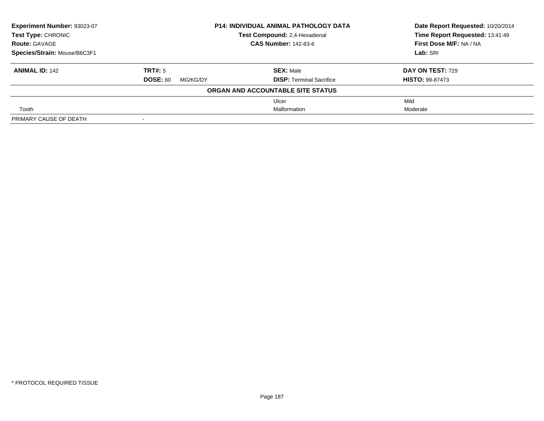| Experiment Number: 93023-07  |                             | <b>P14: INDIVIDUAL ANIMAL PATHOLOGY DATA</b> |                                 |
|------------------------------|-----------------------------|----------------------------------------------|---------------------------------|
| <b>Test Type: CHRONIC</b>    |                             | Test Compound: 2,4-Hexadienal                | Time Report Requested: 13:41:49 |
| <b>Route: GAVAGE</b>         |                             | <b>CAS Number: 142-83-6</b>                  | First Dose M/F: NA / NA         |
| Species/Strain: Mouse/B6C3F1 |                             |                                              | Lab: SRI                        |
| <b>ANIMAL ID: 142</b>        | TRT#: 5                     | <b>SEX: Male</b>                             | <b>DAY ON TEST: 729</b>         |
|                              | <b>DOSE: 60</b><br>MG/KG/DY | <b>DISP: Terminal Sacrifice</b>              | <b>HISTO: 99-87473</b>          |
|                              |                             | ORGAN AND ACCOUNTABLE SITE STATUS            |                                 |
|                              |                             | Ulcer                                        | Mild                            |
| Tooth                        |                             | Malformation                                 | Moderate                        |
| PRIMARY CAUSE OF DEATH       |                             |                                              |                                 |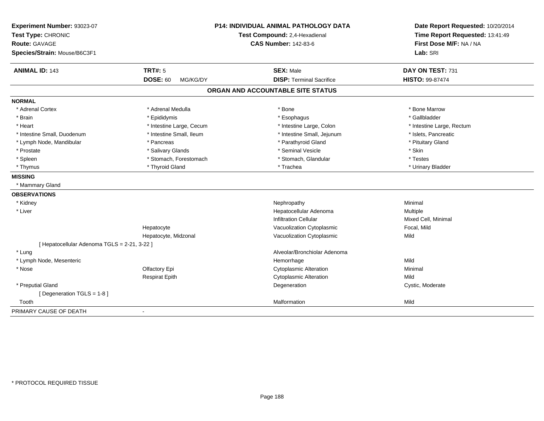| Experiment Number: 93023-07<br>Test Type: CHRONIC<br><b>Route: GAVAGE</b> |                             | P14: INDIVIDUAL ANIMAL PATHOLOGY DATA<br>Test Compound: 2,4-Hexadienal<br><b>CAS Number: 142-83-6</b> | Date Report Requested: 10/20/2014<br>Time Report Requested: 13:41:49<br>First Dose M/F: NA / NA |
|---------------------------------------------------------------------------|-----------------------------|-------------------------------------------------------------------------------------------------------|-------------------------------------------------------------------------------------------------|
| Species/Strain: Mouse/B6C3F1                                              |                             |                                                                                                       | Lab: SRI                                                                                        |
| <b>ANIMAL ID: 143</b>                                                     | <b>TRT#: 5</b>              | <b>SEX: Male</b>                                                                                      | DAY ON TEST: 731                                                                                |
|                                                                           | <b>DOSE: 60</b><br>MG/KG/DY | <b>DISP: Terminal Sacrifice</b>                                                                       | HISTO: 99-87474                                                                                 |
|                                                                           |                             | ORGAN AND ACCOUNTABLE SITE STATUS                                                                     |                                                                                                 |
| <b>NORMAL</b>                                                             |                             |                                                                                                       |                                                                                                 |
| * Adrenal Cortex                                                          | * Adrenal Medulla           | * Bone                                                                                                | * Bone Marrow                                                                                   |
| * Brain                                                                   | * Epididymis                | * Esophagus                                                                                           | * Gallbladder                                                                                   |
| * Heart                                                                   | * Intestine Large, Cecum    | * Intestine Large, Colon                                                                              | * Intestine Large, Rectum                                                                       |
| * Intestine Small, Duodenum                                               | * Intestine Small, Ileum    | * Intestine Small, Jejunum                                                                            | * Islets, Pancreatic                                                                            |
| * Lymph Node, Mandibular                                                  | * Pancreas                  | * Parathyroid Gland                                                                                   | * Pituitary Gland                                                                               |
| * Prostate                                                                | * Salivary Glands           | * Seminal Vesicle                                                                                     | * Skin                                                                                          |
| * Spleen                                                                  | * Stomach, Forestomach      | * Stomach, Glandular                                                                                  | * Testes                                                                                        |
| * Thymus                                                                  | * Thyroid Gland             | * Trachea                                                                                             | * Urinary Bladder                                                                               |
| <b>MISSING</b>                                                            |                             |                                                                                                       |                                                                                                 |
| * Mammary Gland                                                           |                             |                                                                                                       |                                                                                                 |
| <b>OBSERVATIONS</b>                                                       |                             |                                                                                                       |                                                                                                 |
| * Kidney                                                                  |                             | Nephropathy                                                                                           | Minimal                                                                                         |
| * Liver                                                                   |                             | Hepatocellular Adenoma                                                                                | Multiple                                                                                        |
|                                                                           |                             | <b>Infiltration Cellular</b>                                                                          | Mixed Cell, Minimal                                                                             |
|                                                                           | Hepatocyte                  | Vacuolization Cytoplasmic                                                                             | Focal, Mild                                                                                     |
|                                                                           | Hepatocyte, Midzonal        | Vacuolization Cytoplasmic                                                                             | Mild                                                                                            |
| [ Hepatocellular Adenoma TGLS = 2-21, 3-22 ]                              |                             |                                                                                                       |                                                                                                 |
| * Lung                                                                    |                             | Alveolar/Bronchiolar Adenoma                                                                          |                                                                                                 |
| * Lymph Node, Mesenteric                                                  |                             | Hemorrhage                                                                                            | Mild                                                                                            |
| * Nose                                                                    | Olfactory Epi               | <b>Cytoplasmic Alteration</b>                                                                         | Minimal                                                                                         |
|                                                                           | <b>Respirat Epith</b>       | <b>Cytoplasmic Alteration</b>                                                                         | Mild                                                                                            |
| * Preputial Gland                                                         |                             | Degeneration                                                                                          | Cystic, Moderate                                                                                |
| [Degeneration TGLS = 1-8]                                                 |                             |                                                                                                       |                                                                                                 |
| Tooth                                                                     |                             | Malformation                                                                                          | Mild                                                                                            |
| PRIMARY CAUSE OF DEATH                                                    | $\blacksquare$              |                                                                                                       |                                                                                                 |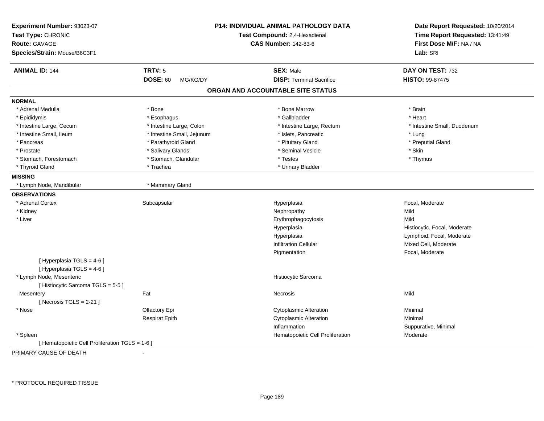| Experiment Number: 93023-07<br>Test Type: CHRONIC<br><b>Route: GAVAGE</b><br>Species/Strain: Mouse/B6C3F1 |                             | P14: INDIVIDUAL ANIMAL PATHOLOGY DATA<br>Test Compound: 2,4-Hexadienal<br><b>CAS Number: 142-83-6</b> | Date Report Requested: 10/20/2014<br>Time Report Requested: 13:41:49<br>First Dose M/F: NA / NA<br>Lab: SRI |
|-----------------------------------------------------------------------------------------------------------|-----------------------------|-------------------------------------------------------------------------------------------------------|-------------------------------------------------------------------------------------------------------------|
|                                                                                                           |                             |                                                                                                       |                                                                                                             |
| <b>ANIMAL ID: 144</b>                                                                                     | <b>TRT#: 5</b>              | <b>SEX: Male</b>                                                                                      | DAY ON TEST: 732                                                                                            |
|                                                                                                           | <b>DOSE: 60</b><br>MG/KG/DY | <b>DISP: Terminal Sacrifice</b>                                                                       | HISTO: 99-87475                                                                                             |
|                                                                                                           |                             | ORGAN AND ACCOUNTABLE SITE STATUS                                                                     |                                                                                                             |
| <b>NORMAL</b>                                                                                             |                             |                                                                                                       |                                                                                                             |
| * Adrenal Medulla                                                                                         | * Bone                      | * Bone Marrow                                                                                         | * Brain                                                                                                     |
| * Epididymis                                                                                              | * Esophagus                 | * Gallbladder                                                                                         | * Heart                                                                                                     |
| * Intestine Large, Cecum                                                                                  | * Intestine Large, Colon    | * Intestine Large, Rectum                                                                             | * Intestine Small, Duodenum                                                                                 |
| * Intestine Small, Ileum                                                                                  | * Intestine Small, Jejunum  | * Islets, Pancreatic                                                                                  | * Lung                                                                                                      |
| * Pancreas                                                                                                | * Parathyroid Gland         | * Pituitary Gland                                                                                     | * Preputial Gland                                                                                           |
| * Prostate                                                                                                | * Salivary Glands           | * Seminal Vesicle                                                                                     | * Skin                                                                                                      |
| * Stomach, Forestomach                                                                                    | * Stomach, Glandular        | * Testes                                                                                              | * Thymus                                                                                                    |
| * Thyroid Gland                                                                                           | * Trachea                   | * Urinary Bladder                                                                                     |                                                                                                             |
| <b>MISSING</b>                                                                                            |                             |                                                                                                       |                                                                                                             |
| * Lymph Node, Mandibular                                                                                  | * Mammary Gland             |                                                                                                       |                                                                                                             |
| <b>OBSERVATIONS</b>                                                                                       |                             |                                                                                                       |                                                                                                             |
| * Adrenal Cortex                                                                                          | Subcapsular                 | Hyperplasia                                                                                           | Focal, Moderate                                                                                             |
| * Kidney                                                                                                  |                             | Nephropathy                                                                                           | Mild                                                                                                        |
| * Liver                                                                                                   |                             | Erythrophagocytosis                                                                                   | Mild                                                                                                        |
|                                                                                                           |                             | Hyperplasia                                                                                           | Histiocytic, Focal, Moderate                                                                                |
|                                                                                                           |                             | Hyperplasia                                                                                           | Lymphoid, Focal, Moderate                                                                                   |
|                                                                                                           |                             | <b>Infiltration Cellular</b>                                                                          | Mixed Cell, Moderate                                                                                        |
|                                                                                                           |                             | Pigmentation                                                                                          | Focal, Moderate                                                                                             |
| [ Hyperplasia TGLS = 4-6 ]                                                                                |                             |                                                                                                       |                                                                                                             |
| [ Hyperplasia TGLS = 4-6 ]                                                                                |                             |                                                                                                       |                                                                                                             |
| * Lymph Node, Mesenteric                                                                                  |                             | Histiocytic Sarcoma                                                                                   |                                                                                                             |
| [Histiocytic Sarcoma TGLS = 5-5]                                                                          |                             |                                                                                                       |                                                                                                             |
| Mesentery                                                                                                 | Fat                         | Necrosis                                                                                              | Mild                                                                                                        |
| [Necrosis $TGLS = 2-21$ ]                                                                                 |                             |                                                                                                       |                                                                                                             |
| * Nose                                                                                                    | Olfactory Epi               | <b>Cytoplasmic Alteration</b>                                                                         | Minimal                                                                                                     |
|                                                                                                           | <b>Respirat Epith</b>       | <b>Cytoplasmic Alteration</b>                                                                         | Minimal                                                                                                     |
|                                                                                                           |                             | Inflammation                                                                                          | Suppurative, Minimal                                                                                        |
| * Spleen                                                                                                  |                             | Hematopoietic Cell Proliferation                                                                      | Moderate                                                                                                    |
| [ Hematopoietic Cell Proliferation TGLS = 1-6 ]                                                           |                             |                                                                                                       |                                                                                                             |

PRIMARY CAUSE OF DEATH-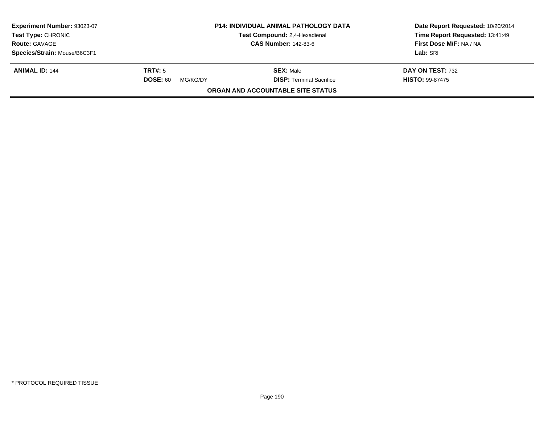| Experiment Number: 93023-07<br>Test Type: CHRONIC<br><b>Route: GAVAGE</b> |                             | <b>P14: INDIVIDUAL ANIMAL PATHOLOGY DATA</b><br><b>Test Compound: 2,4-Hexadienal</b> | Date Report Requested: 10/20/2014<br>Time Report Requested: 13:41:49 |
|---------------------------------------------------------------------------|-----------------------------|--------------------------------------------------------------------------------------|----------------------------------------------------------------------|
|                                                                           |                             | <b>CAS Number: 142-83-6</b>                                                          | First Dose M/F: NA / NA                                              |
| Species/Strain: Mouse/B6C3F1                                              |                             |                                                                                      | Lab: SRI                                                             |
| <b>ANIMAL ID: 144</b>                                                     | TRT#: 5                     | <b>SEX:</b> Male                                                                     | DAY ON TEST: 732                                                     |
|                                                                           | <b>DOSE: 60</b><br>MG/KG/DY | <b>DISP: Terminal Sacrifice</b>                                                      | <b>HISTO: 99-87475</b>                                               |
|                                                                           |                             | ORGAN AND ACCOUNTABLE SITE STATUS                                                    |                                                                      |
|                                                                           |                             |                                                                                      |                                                                      |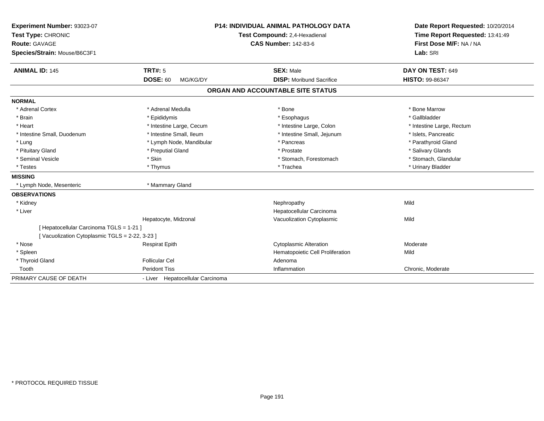| Experiment Number: 93023-07                   |                                  | <b>P14: INDIVIDUAL ANIMAL PATHOLOGY DATA</b> | Date Report Requested: 10/20/2014                          |
|-----------------------------------------------|----------------------------------|----------------------------------------------|------------------------------------------------------------|
| Test Type: CHRONIC                            |                                  | Test Compound: 2,4-Hexadienal                | Time Report Requested: 13:41:49<br>First Dose M/F: NA / NA |
| <b>Route: GAVAGE</b>                          |                                  | <b>CAS Number: 142-83-6</b>                  |                                                            |
| Species/Strain: Mouse/B6C3F1                  |                                  |                                              | Lab: SRI                                                   |
| <b>ANIMAL ID: 145</b>                         | <b>TRT#: 5</b>                   | <b>SEX: Male</b>                             | DAY ON TEST: 649                                           |
|                                               | <b>DOSE: 60</b><br>MG/KG/DY      | <b>DISP:</b> Moribund Sacrifice              | <b>HISTO: 99-86347</b>                                     |
|                                               |                                  | ORGAN AND ACCOUNTABLE SITE STATUS            |                                                            |
| <b>NORMAL</b>                                 |                                  |                                              |                                                            |
| * Adrenal Cortex                              | * Adrenal Medulla                | * Bone                                       | * Bone Marrow                                              |
| * Brain                                       | * Epididymis                     | * Esophagus                                  | * Gallbladder                                              |
| * Heart                                       | * Intestine Large, Cecum         | * Intestine Large, Colon                     | * Intestine Large, Rectum                                  |
| * Intestine Small, Duodenum                   | * Intestine Small, Ileum         | * Intestine Small, Jejunum                   | * Islets, Pancreatic                                       |
| * Lung                                        | * Lymph Node, Mandibular         | * Pancreas                                   | * Parathyroid Gland                                        |
| * Pituitary Gland                             | * Preputial Gland                | * Prostate                                   | * Salivary Glands                                          |
| * Seminal Vesicle                             | * Skin                           | * Stomach, Forestomach                       | * Stomach, Glandular                                       |
| * Testes                                      | * Thymus                         | * Trachea                                    | * Urinary Bladder                                          |
| <b>MISSING</b>                                |                                  |                                              |                                                            |
| * Lymph Node, Mesenteric                      | * Mammary Gland                  |                                              |                                                            |
| <b>OBSERVATIONS</b>                           |                                  |                                              |                                                            |
| * Kidney                                      |                                  | Nephropathy                                  | Mild                                                       |
| * Liver                                       |                                  | Hepatocellular Carcinoma                     |                                                            |
|                                               | Hepatocyte, Midzonal             | Vacuolization Cytoplasmic                    | Mild                                                       |
| [ Hepatocellular Carcinoma TGLS = 1-21 ]      |                                  |                                              |                                                            |
| [Vacuolization Cytoplasmic TGLS = 2-22, 3-23] |                                  |                                              |                                                            |
| * Nose                                        | <b>Respirat Epith</b>            | <b>Cytoplasmic Alteration</b>                | Moderate                                                   |
| * Spleen                                      |                                  | Hematopoietic Cell Proliferation             | Mild                                                       |
| * Thyroid Gland                               | <b>Follicular Cel</b>            | Adenoma                                      |                                                            |
| Tooth                                         | <b>Peridont Tiss</b>             | Inflammation                                 | Chronic, Moderate                                          |
| PRIMARY CAUSE OF DEATH                        | - Liver Hepatocellular Carcinoma |                                              |                                                            |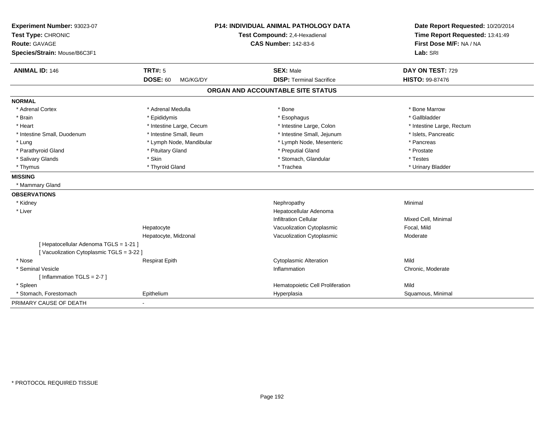| Experiment Number: 93023-07<br>Test Type: CHRONIC<br><b>Route: GAVAGE</b><br>Species/Strain: Mouse/B6C3F1 |                             | <b>P14: INDIVIDUAL ANIMAL PATHOLOGY DATA</b><br>Test Compound: 2,4-Hexadienal<br><b>CAS Number: 142-83-6</b> |                           |
|-----------------------------------------------------------------------------------------------------------|-----------------------------|--------------------------------------------------------------------------------------------------------------|---------------------------|
| <b>ANIMAL ID: 146</b>                                                                                     | <b>TRT#: 5</b>              | <b>SEX: Male</b>                                                                                             | DAY ON TEST: 729          |
|                                                                                                           | <b>DOSE: 60</b><br>MG/KG/DY | <b>DISP: Terminal Sacrifice</b>                                                                              | HISTO: 99-87476           |
|                                                                                                           |                             | ORGAN AND ACCOUNTABLE SITE STATUS                                                                            |                           |
| <b>NORMAL</b>                                                                                             |                             |                                                                                                              |                           |
| * Adrenal Cortex                                                                                          | * Adrenal Medulla           | * Bone                                                                                                       | * Bone Marrow             |
| * Brain                                                                                                   | * Epididymis                | * Esophagus                                                                                                  | * Gallbladder             |
| * Heart                                                                                                   | * Intestine Large, Cecum    | * Intestine Large, Colon                                                                                     | * Intestine Large, Rectum |
| * Intestine Small, Duodenum                                                                               | * Intestine Small, Ileum    | * Intestine Small, Jejunum                                                                                   | * Islets, Pancreatic      |
| * Lung                                                                                                    | * Lymph Node, Mandibular    | * Lymph Node, Mesenteric                                                                                     | * Pancreas                |
| * Parathyroid Gland                                                                                       | * Pituitary Gland           | * Preputial Gland                                                                                            | * Prostate                |
| * Salivary Glands                                                                                         | * Skin                      | * Stomach, Glandular                                                                                         | * Testes                  |
| * Thymus                                                                                                  | * Thyroid Gland             | * Trachea                                                                                                    | * Urinary Bladder         |
| <b>MISSING</b>                                                                                            |                             |                                                                                                              |                           |
| * Mammary Gland                                                                                           |                             |                                                                                                              |                           |
| <b>OBSERVATIONS</b>                                                                                       |                             |                                                                                                              |                           |
| * Kidney                                                                                                  |                             | Nephropathy                                                                                                  | Minimal                   |
| * Liver                                                                                                   |                             | Hepatocellular Adenoma                                                                                       |                           |
|                                                                                                           |                             | <b>Infiltration Cellular</b>                                                                                 | Mixed Cell, Minimal       |
|                                                                                                           | Hepatocyte                  | Vacuolization Cytoplasmic                                                                                    | Focal, Mild               |
|                                                                                                           | Hepatocyte, Midzonal        | Vacuolization Cytoplasmic                                                                                    | Moderate                  |
| [ Hepatocellular Adenoma TGLS = 1-21 ]                                                                    |                             |                                                                                                              |                           |
| [Vacuolization Cytoplasmic TGLS = 3-22 ]                                                                  |                             |                                                                                                              |                           |
| * Nose                                                                                                    | <b>Respirat Epith</b>       | <b>Cytoplasmic Alteration</b>                                                                                | Mild                      |
| * Seminal Vesicle                                                                                         |                             | Inflammation                                                                                                 | Chronic, Moderate         |
| [Inflammation TGLS = $2-7$ ]                                                                              |                             |                                                                                                              |                           |
| * Spleen                                                                                                  |                             | Hematopoietic Cell Proliferation                                                                             | Mild                      |
| * Stomach, Forestomach                                                                                    | Epithelium                  | Hyperplasia                                                                                                  | Squamous, Minimal         |
| PRIMARY CAUSE OF DEATH                                                                                    |                             |                                                                                                              |                           |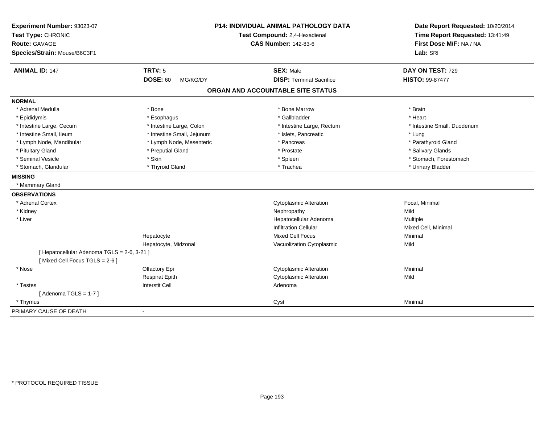| Experiment Number: 93023-07<br>Test Type: CHRONIC<br><b>Route: GAVAGE</b><br>Species/Strain: Mouse/B6C3F1 |                             | <b>P14: INDIVIDUAL ANIMAL PATHOLOGY DATA</b><br>Test Compound: 2,4-Hexadienal<br><b>CAS Number: 142-83-6</b> | Date Report Requested: 10/20/2014<br>Time Report Requested: 13:41:49<br>First Dose M/F: NA / NA<br>Lab: SRI |  |
|-----------------------------------------------------------------------------------------------------------|-----------------------------|--------------------------------------------------------------------------------------------------------------|-------------------------------------------------------------------------------------------------------------|--|
| <b>ANIMAL ID: 147</b>                                                                                     | <b>TRT#: 5</b>              | <b>SEX: Male</b>                                                                                             | DAY ON TEST: 729                                                                                            |  |
|                                                                                                           | <b>DOSE: 60</b><br>MG/KG/DY | <b>DISP: Terminal Sacrifice</b>                                                                              | HISTO: 99-87477                                                                                             |  |
|                                                                                                           |                             | ORGAN AND ACCOUNTABLE SITE STATUS                                                                            |                                                                                                             |  |
| <b>NORMAL</b>                                                                                             |                             |                                                                                                              |                                                                                                             |  |
| * Adrenal Medulla                                                                                         | * Bone                      | * Bone Marrow                                                                                                | * Brain                                                                                                     |  |
| * Epididymis                                                                                              | * Esophagus                 | * Gallbladder                                                                                                | * Heart                                                                                                     |  |
| * Intestine Large, Cecum                                                                                  | * Intestine Large, Colon    | * Intestine Large, Rectum                                                                                    | * Intestine Small, Duodenum                                                                                 |  |
| * Intestine Small, Ileum                                                                                  | * Intestine Small, Jejunum  | * Islets, Pancreatic                                                                                         | * Lung                                                                                                      |  |
| * Lymph Node, Mandibular                                                                                  | * Lymph Node, Mesenteric    | * Pancreas                                                                                                   | * Parathyroid Gland                                                                                         |  |
| * Pituitary Gland                                                                                         | * Preputial Gland           | * Prostate                                                                                                   | * Salivary Glands                                                                                           |  |
| * Seminal Vesicle                                                                                         | * Skin                      | * Spleen                                                                                                     | * Stomach, Forestomach                                                                                      |  |
| * Stomach, Glandular                                                                                      | * Thyroid Gland             | * Trachea                                                                                                    | * Urinary Bladder                                                                                           |  |
| <b>MISSING</b>                                                                                            |                             |                                                                                                              |                                                                                                             |  |
| * Mammary Gland                                                                                           |                             |                                                                                                              |                                                                                                             |  |
| <b>OBSERVATIONS</b>                                                                                       |                             |                                                                                                              |                                                                                                             |  |
| * Adrenal Cortex                                                                                          |                             | <b>Cytoplasmic Alteration</b>                                                                                | Focal, Minimal                                                                                              |  |
| * Kidney                                                                                                  |                             | Nephropathy                                                                                                  | Mild                                                                                                        |  |
| * Liver                                                                                                   |                             | Hepatocellular Adenoma                                                                                       | Multiple                                                                                                    |  |
|                                                                                                           |                             | <b>Infiltration Cellular</b>                                                                                 | Mixed Cell, Minimal                                                                                         |  |
|                                                                                                           | Hepatocyte                  | Mixed Cell Focus                                                                                             | Minimal                                                                                                     |  |
|                                                                                                           | Hepatocyte, Midzonal        | Vacuolization Cytoplasmic                                                                                    | Mild                                                                                                        |  |
| [ Hepatocellular Adenoma TGLS = 2-6, 3-21 ]                                                               |                             |                                                                                                              |                                                                                                             |  |
| [Mixed Cell Focus TGLS = 2-6]                                                                             |                             |                                                                                                              |                                                                                                             |  |
| * Nose                                                                                                    | Olfactory Epi               | <b>Cytoplasmic Alteration</b>                                                                                | Minimal                                                                                                     |  |
|                                                                                                           | <b>Respirat Epith</b>       | <b>Cytoplasmic Alteration</b>                                                                                | Mild                                                                                                        |  |
| * Testes                                                                                                  | <b>Interstit Cell</b>       | Adenoma                                                                                                      |                                                                                                             |  |
| [Adenoma TGLS = $1-7$ ]                                                                                   |                             |                                                                                                              |                                                                                                             |  |
| * Thymus                                                                                                  |                             | Cyst                                                                                                         | Minimal                                                                                                     |  |
| PRIMARY CAUSE OF DEATH                                                                                    | $\blacksquare$              |                                                                                                              |                                                                                                             |  |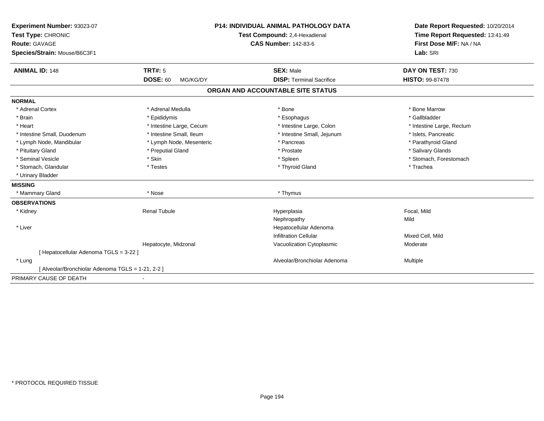| Experiment Number: 93023-07                       | <b>P14: INDIVIDUAL ANIMAL PATHOLOGY DATA</b><br>Test Compound: 2,4-Hexadienal<br><b>CAS Number: 142-83-6</b> |                                   | Date Report Requested: 10/20/2014 |
|---------------------------------------------------|--------------------------------------------------------------------------------------------------------------|-----------------------------------|-----------------------------------|
| Test Type: CHRONIC                                |                                                                                                              |                                   | Time Report Requested: 13:41:49   |
| <b>Route: GAVAGE</b>                              |                                                                                                              |                                   | First Dose M/F: NA / NA           |
| Species/Strain: Mouse/B6C3F1                      |                                                                                                              |                                   | Lab: SRI                          |
| <b>ANIMAL ID: 148</b>                             | <b>TRT#: 5</b>                                                                                               | <b>SEX: Male</b>                  | DAY ON TEST: 730                  |
|                                                   | <b>DOSE: 60</b><br>MG/KG/DY                                                                                  | <b>DISP: Terminal Sacrifice</b>   | <b>HISTO: 99-87478</b>            |
|                                                   |                                                                                                              | ORGAN AND ACCOUNTABLE SITE STATUS |                                   |
| <b>NORMAL</b>                                     |                                                                                                              |                                   |                                   |
| * Adrenal Cortex                                  | * Adrenal Medulla                                                                                            | * Bone                            | * Bone Marrow                     |
| * Brain                                           | * Epididymis                                                                                                 | * Esophagus                       | * Gallbladder                     |
| * Heart                                           | * Intestine Large, Cecum                                                                                     | * Intestine Large, Colon          | * Intestine Large, Rectum         |
| * Intestine Small, Duodenum                       | * Intestine Small, Ileum                                                                                     | * Intestine Small, Jejunum        | * Islets, Pancreatic              |
| * Lymph Node, Mandibular                          | * Lymph Node, Mesenteric                                                                                     | * Pancreas                        | * Parathyroid Gland               |
| * Pituitary Gland                                 | * Preputial Gland                                                                                            | * Prostate                        | * Salivary Glands                 |
| * Seminal Vesicle                                 | * Skin                                                                                                       | * Spleen                          | * Stomach, Forestomach            |
| * Stomach, Glandular                              | * Testes                                                                                                     | * Thyroid Gland                   | * Trachea                         |
| * Urinary Bladder                                 |                                                                                                              |                                   |                                   |
| <b>MISSING</b>                                    |                                                                                                              |                                   |                                   |
| * Mammary Gland                                   | * Nose                                                                                                       | * Thymus                          |                                   |
| <b>OBSERVATIONS</b>                               |                                                                                                              |                                   |                                   |
| * Kidney                                          | <b>Renal Tubule</b>                                                                                          | Hyperplasia                       | Focal, Mild                       |
|                                                   |                                                                                                              | Nephropathy                       | Mild                              |
| * Liver                                           |                                                                                                              | Hepatocellular Adenoma            |                                   |
|                                                   |                                                                                                              | <b>Infiltration Cellular</b>      | Mixed Cell, Mild                  |
|                                                   | Hepatocyte, Midzonal                                                                                         | Vacuolization Cytoplasmic         | Moderate                          |
| [ Hepatocellular Adenoma TGLS = 3-22 ]            |                                                                                                              |                                   |                                   |
| * Lung                                            |                                                                                                              | Alveolar/Bronchiolar Adenoma      | Multiple                          |
| [ Alveolar/Bronchiolar Adenoma TGLS = 1-21, 2-2 ] |                                                                                                              |                                   |                                   |
| PRIMARY CAUSE OF DEATH                            |                                                                                                              |                                   |                                   |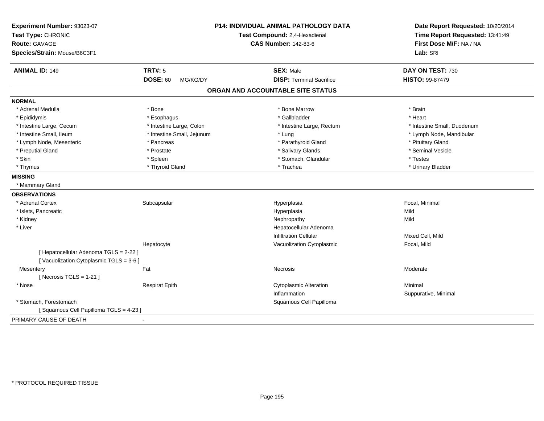| Experiment Number: 93023-07<br>Test Type: CHRONIC<br>Route: GAVAGE<br>Species/Strain: Mouse/B6C3F1 | P14: INDIVIDUAL ANIMAL PATHOLOGY DATA<br>Test Compound: 2,4-Hexadienal<br><b>CAS Number: 142-83-6</b> |                                   | Date Report Requested: 10/20/2014<br>Time Report Requested: 13:41:49<br>First Dose M/F: NA / NA<br>Lab: SRI |  |
|----------------------------------------------------------------------------------------------------|-------------------------------------------------------------------------------------------------------|-----------------------------------|-------------------------------------------------------------------------------------------------------------|--|
| <b>ANIMAL ID: 149</b>                                                                              | <b>TRT#: 5</b>                                                                                        | <b>SEX: Male</b>                  | DAY ON TEST: 730                                                                                            |  |
|                                                                                                    | <b>DOSE: 60</b><br>MG/KG/DY                                                                           | <b>DISP: Terminal Sacrifice</b>   | HISTO: 99-87479                                                                                             |  |
|                                                                                                    |                                                                                                       | ORGAN AND ACCOUNTABLE SITE STATUS |                                                                                                             |  |
| <b>NORMAL</b>                                                                                      |                                                                                                       |                                   |                                                                                                             |  |
| * Adrenal Medulla                                                                                  | * Bone                                                                                                | * Bone Marrow                     | * Brain                                                                                                     |  |
| * Epididymis                                                                                       | * Esophagus                                                                                           | * Gallbladder                     | * Heart                                                                                                     |  |
| * Intestine Large, Cecum                                                                           | * Intestine Large, Colon                                                                              | * Intestine Large, Rectum         | * Intestine Small, Duodenum                                                                                 |  |
| * Intestine Small, Ileum                                                                           | * Intestine Small, Jejunum                                                                            | * Lung                            | * Lymph Node, Mandibular                                                                                    |  |
| * Lymph Node, Mesenteric                                                                           | * Pancreas                                                                                            | * Parathyroid Gland               | * Pituitary Gland                                                                                           |  |
| * Preputial Gland                                                                                  | * Prostate                                                                                            | * Salivary Glands                 | * Seminal Vesicle                                                                                           |  |
| * Skin                                                                                             | * Spleen                                                                                              | * Stomach, Glandular              | * Testes                                                                                                    |  |
| * Thymus                                                                                           | * Thyroid Gland                                                                                       | * Trachea                         | * Urinary Bladder                                                                                           |  |
| <b>MISSING</b>                                                                                     |                                                                                                       |                                   |                                                                                                             |  |
| * Mammary Gland                                                                                    |                                                                                                       |                                   |                                                                                                             |  |
| <b>OBSERVATIONS</b>                                                                                |                                                                                                       |                                   |                                                                                                             |  |
| * Adrenal Cortex                                                                                   | Subcapsular                                                                                           | Hyperplasia                       | Focal, Minimal                                                                                              |  |
| * Islets, Pancreatic                                                                               |                                                                                                       | Hyperplasia                       | Mild                                                                                                        |  |
| * Kidney                                                                                           |                                                                                                       | Nephropathy                       | Mild                                                                                                        |  |
| * Liver                                                                                            |                                                                                                       | Hepatocellular Adenoma            |                                                                                                             |  |
|                                                                                                    |                                                                                                       | <b>Infiltration Cellular</b>      | Mixed Cell, Mild                                                                                            |  |
|                                                                                                    | Hepatocyte                                                                                            | Vacuolization Cytoplasmic         | Focal, Mild                                                                                                 |  |
| [ Hepatocellular Adenoma TGLS = 2-22 ]                                                             |                                                                                                       |                                   |                                                                                                             |  |
| [Vacuolization Cytoplasmic TGLS = 3-6]                                                             |                                                                                                       |                                   |                                                                                                             |  |
| Mesentery                                                                                          | Fat                                                                                                   | <b>Necrosis</b>                   | Moderate                                                                                                    |  |
| [Necrosis TGLS = $1-21$ ]                                                                          |                                                                                                       |                                   |                                                                                                             |  |
| * Nose                                                                                             | <b>Respirat Epith</b>                                                                                 | <b>Cytoplasmic Alteration</b>     | Minimal                                                                                                     |  |
|                                                                                                    |                                                                                                       | Inflammation                      | Suppurative, Minimal                                                                                        |  |
| * Stomach, Forestomach                                                                             |                                                                                                       | Squamous Cell Papilloma           |                                                                                                             |  |
| [Squamous Cell Papilloma TGLS = 4-23]                                                              |                                                                                                       |                                   |                                                                                                             |  |
| PRIMARY CAUSE OF DEATH                                                                             |                                                                                                       |                                   |                                                                                                             |  |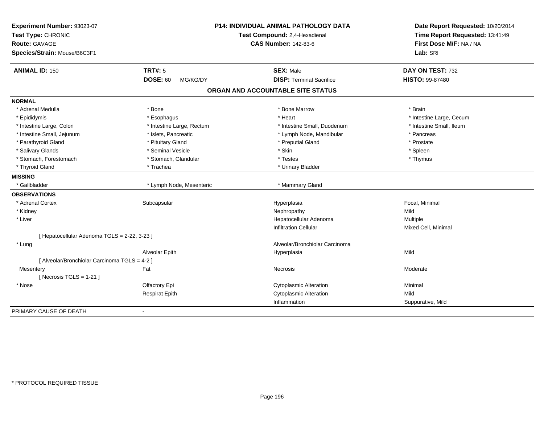| Experiment Number: 93023-07<br>Test Type: CHRONIC<br>Route: GAVAGE |                             | <b>P14: INDIVIDUAL ANIMAL PATHOLOGY DATA</b><br>Test Compound: 2,4-Hexadienal<br><b>CAS Number: 142-83-6</b> | Date Report Requested: 10/20/2014<br>Time Report Requested: 13:41:49<br>First Dose M/F: NA / NA |
|--------------------------------------------------------------------|-----------------------------|--------------------------------------------------------------------------------------------------------------|-------------------------------------------------------------------------------------------------|
| Species/Strain: Mouse/B6C3F1                                       |                             |                                                                                                              | Lab: SRI                                                                                        |
| <b>ANIMAL ID: 150</b>                                              | <b>TRT#: 5</b>              | <b>SEX: Male</b>                                                                                             | DAY ON TEST: 732                                                                                |
|                                                                    | <b>DOSE: 60</b><br>MG/KG/DY | <b>DISP: Terminal Sacrifice</b>                                                                              | <b>HISTO: 99-87480</b>                                                                          |
|                                                                    |                             | ORGAN AND ACCOUNTABLE SITE STATUS                                                                            |                                                                                                 |
| <b>NORMAL</b>                                                      |                             |                                                                                                              |                                                                                                 |
| * Adrenal Medulla                                                  | * Bone                      | * Bone Marrow                                                                                                | * Brain                                                                                         |
| * Epididymis                                                       | * Esophagus                 | * Heart                                                                                                      | * Intestine Large, Cecum                                                                        |
| * Intestine Large, Colon                                           | * Intestine Large, Rectum   | * Intestine Small, Duodenum                                                                                  | * Intestine Small, Ileum                                                                        |
| * Intestine Small, Jejunum                                         | * Islets, Pancreatic        | * Lymph Node, Mandibular                                                                                     | * Pancreas                                                                                      |
| * Parathyroid Gland                                                | * Pituitary Gland           | * Preputial Gland                                                                                            | * Prostate                                                                                      |
| * Salivary Glands                                                  | * Seminal Vesicle           | * Skin                                                                                                       | * Spleen                                                                                        |
| * Stomach, Forestomach                                             | * Stomach, Glandular        | * Testes                                                                                                     | * Thymus                                                                                        |
| * Thyroid Gland                                                    | * Trachea                   | * Urinary Bladder                                                                                            |                                                                                                 |
| <b>MISSING</b>                                                     |                             |                                                                                                              |                                                                                                 |
| * Gallbladder                                                      | * Lymph Node, Mesenteric    | * Mammary Gland                                                                                              |                                                                                                 |
| <b>OBSERVATIONS</b>                                                |                             |                                                                                                              |                                                                                                 |
| * Adrenal Cortex                                                   | Subcapsular                 | Hyperplasia                                                                                                  | Focal, Minimal                                                                                  |
| * Kidney                                                           |                             | Nephropathy                                                                                                  | Mild                                                                                            |
| * Liver                                                            |                             | Hepatocellular Adenoma                                                                                       | Multiple                                                                                        |
|                                                                    |                             | <b>Infiltration Cellular</b>                                                                                 | Mixed Cell, Minimal                                                                             |
| [ Hepatocellular Adenoma TGLS = 2-22, 3-23 ]                       |                             |                                                                                                              |                                                                                                 |
| * Lung                                                             |                             | Alveolar/Bronchiolar Carcinoma                                                                               |                                                                                                 |
|                                                                    | Alveolar Epith              | Hyperplasia                                                                                                  | Mild                                                                                            |
| [ Alveolar/Bronchiolar Carcinoma TGLS = 4-2 ]                      |                             |                                                                                                              |                                                                                                 |
| Mesentery                                                          | Fat                         | <b>Necrosis</b>                                                                                              | Moderate                                                                                        |
| [ Necrosis $TGLS = 1-21$ ]                                         |                             |                                                                                                              |                                                                                                 |
| * Nose                                                             | Olfactory Epi               | <b>Cytoplasmic Alteration</b>                                                                                | Minimal                                                                                         |
|                                                                    | <b>Respirat Epith</b>       | <b>Cytoplasmic Alteration</b>                                                                                | Mild                                                                                            |
|                                                                    |                             | Inflammation                                                                                                 | Suppurative, Mild                                                                               |
| PRIMARY CAUSE OF DEATH                                             |                             |                                                                                                              |                                                                                                 |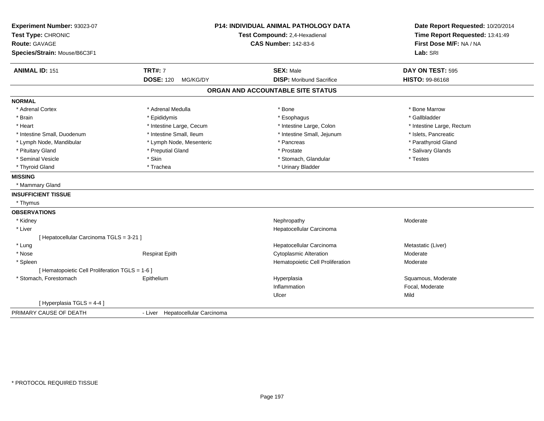| Experiment Number: 93023-07<br>Test Type: CHRONIC<br>Route: GAVAGE |                                  | <b>P14: INDIVIDUAL ANIMAL PATHOLOGY DATA</b><br>Test Compound: 2,4-Hexadienal<br><b>CAS Number: 142-83-6</b> | Date Report Requested: 10/20/2014<br>Time Report Requested: 13:41:49<br>First Dose M/F: NA / NA |
|--------------------------------------------------------------------|----------------------------------|--------------------------------------------------------------------------------------------------------------|-------------------------------------------------------------------------------------------------|
| Species/Strain: Mouse/B6C3F1                                       |                                  |                                                                                                              | Lab: SRI                                                                                        |
| <b>ANIMAL ID: 151</b>                                              | <b>TRT#: 7</b>                   | <b>SEX: Male</b>                                                                                             | DAY ON TEST: 595                                                                                |
|                                                                    | <b>DOSE: 120</b><br>MG/KG/DY     | <b>DISP: Moribund Sacrifice</b>                                                                              | HISTO: 99-86168                                                                                 |
|                                                                    |                                  | ORGAN AND ACCOUNTABLE SITE STATUS                                                                            |                                                                                                 |
| <b>NORMAL</b>                                                      |                                  |                                                                                                              |                                                                                                 |
| * Adrenal Cortex                                                   | * Adrenal Medulla                | * Bone                                                                                                       | * Bone Marrow                                                                                   |
| * Brain                                                            | * Epididymis                     | * Esophagus                                                                                                  | * Gallbladder                                                                                   |
| * Heart                                                            | * Intestine Large, Cecum         | * Intestine Large, Colon                                                                                     | * Intestine Large, Rectum                                                                       |
| * Intestine Small, Duodenum                                        | * Intestine Small, Ileum         | * Intestine Small, Jejunum                                                                                   | * Islets, Pancreatic                                                                            |
| * Lymph Node, Mandibular                                           | * Lymph Node, Mesenteric         | * Pancreas                                                                                                   | * Parathyroid Gland                                                                             |
| * Pituitary Gland                                                  | * Preputial Gland                | * Prostate                                                                                                   | * Salivary Glands                                                                               |
| * Seminal Vesicle                                                  | * Skin                           | * Stomach, Glandular                                                                                         | * Testes                                                                                        |
| * Thyroid Gland                                                    | * Trachea                        | * Urinary Bladder                                                                                            |                                                                                                 |
| <b>MISSING</b>                                                     |                                  |                                                                                                              |                                                                                                 |
| * Mammary Gland                                                    |                                  |                                                                                                              |                                                                                                 |
| <b>INSUFFICIENT TISSUE</b>                                         |                                  |                                                                                                              |                                                                                                 |
| * Thymus                                                           |                                  |                                                                                                              |                                                                                                 |
| <b>OBSERVATIONS</b>                                                |                                  |                                                                                                              |                                                                                                 |
| * Kidney                                                           |                                  | Nephropathy                                                                                                  | Moderate                                                                                        |
| * Liver                                                            |                                  | Hepatocellular Carcinoma                                                                                     |                                                                                                 |
| [ Hepatocellular Carcinoma TGLS = 3-21 ]                           |                                  |                                                                                                              |                                                                                                 |
| * Lung                                                             |                                  | Hepatocellular Carcinoma                                                                                     | Metastatic (Liver)                                                                              |
| * Nose                                                             | <b>Respirat Epith</b>            | <b>Cytoplasmic Alteration</b>                                                                                | Moderate                                                                                        |
| * Spleen                                                           |                                  | Hematopoietic Cell Proliferation                                                                             | Moderate                                                                                        |
| [ Hematopoietic Cell Proliferation TGLS = 1-6 ]                    |                                  |                                                                                                              |                                                                                                 |
| * Stomach, Forestomach                                             | Epithelium                       | Hyperplasia                                                                                                  | Squamous, Moderate                                                                              |
|                                                                    |                                  | Inflammation                                                                                                 | Focal, Moderate                                                                                 |
|                                                                    |                                  | Ulcer                                                                                                        | Mild                                                                                            |
| [ Hyperplasia TGLS = 4-4 ]                                         |                                  |                                                                                                              |                                                                                                 |
| PRIMARY CAUSE OF DEATH                                             | - Liver Hepatocellular Carcinoma |                                                                                                              |                                                                                                 |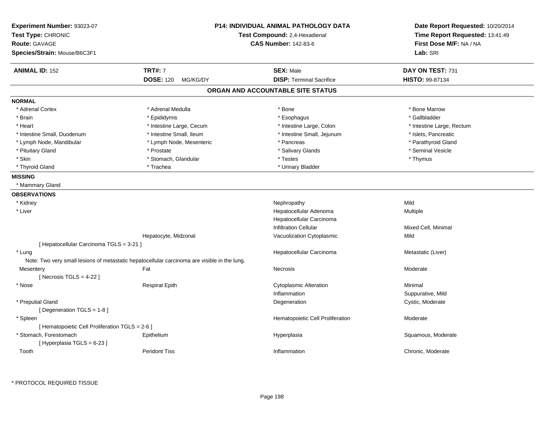| Experiment Number: 93023-07<br>Test Type: CHRONIC<br><b>Route: GAVAGE</b><br>Species/Strain: Mouse/B6C3F1 |                                                                                              | <b>P14: INDIVIDUAL ANIMAL PATHOLOGY DATA</b><br>Test Compound: 2,4-Hexadienal<br><b>CAS Number: 142-83-6</b> | Date Report Requested: 10/20/2014<br>Time Report Requested: 13:41:49<br>First Dose M/F: NA / NA<br>Lab: SRI |
|-----------------------------------------------------------------------------------------------------------|----------------------------------------------------------------------------------------------|--------------------------------------------------------------------------------------------------------------|-------------------------------------------------------------------------------------------------------------|
| <b>ANIMAL ID: 152</b>                                                                                     | <b>TRT#: 7</b>                                                                               | <b>SEX: Male</b>                                                                                             | DAY ON TEST: 731                                                                                            |
|                                                                                                           | <b>DOSE: 120</b><br>MG/KG/DY                                                                 | <b>DISP: Terminal Sacrifice</b>                                                                              | HISTO: 99-87134                                                                                             |
|                                                                                                           |                                                                                              | ORGAN AND ACCOUNTABLE SITE STATUS                                                                            |                                                                                                             |
| <b>NORMAL</b>                                                                                             |                                                                                              |                                                                                                              |                                                                                                             |
| * Adrenal Cortex                                                                                          | * Adrenal Medulla                                                                            | * Bone                                                                                                       | * Bone Marrow                                                                                               |
| * Brain                                                                                                   | * Epididymis                                                                                 | * Esophagus                                                                                                  | * Gallbladder                                                                                               |
| * Heart                                                                                                   | * Intestine Large, Cecum                                                                     | * Intestine Large, Colon                                                                                     | * Intestine Large, Rectum                                                                                   |
| * Intestine Small, Duodenum                                                                               | * Intestine Small, Ileum                                                                     | * Intestine Small, Jejunum                                                                                   | * Islets, Pancreatic                                                                                        |
| * Lymph Node, Mandibular                                                                                  | * Lymph Node, Mesenteric                                                                     | * Pancreas                                                                                                   | * Parathyroid Gland                                                                                         |
| * Pituitary Gland                                                                                         | * Prostate                                                                                   | * Salivary Glands                                                                                            | * Seminal Vesicle                                                                                           |
| * Skin                                                                                                    | * Stomach, Glandular                                                                         | * Testes                                                                                                     | * Thymus                                                                                                    |
| * Thyroid Gland                                                                                           | * Trachea                                                                                    | * Urinary Bladder                                                                                            |                                                                                                             |
| <b>MISSING</b>                                                                                            |                                                                                              |                                                                                                              |                                                                                                             |
| * Mammary Gland                                                                                           |                                                                                              |                                                                                                              |                                                                                                             |
| <b>OBSERVATIONS</b>                                                                                       |                                                                                              |                                                                                                              |                                                                                                             |
| * Kidney                                                                                                  |                                                                                              | Nephropathy                                                                                                  | Mild                                                                                                        |
| * Liver                                                                                                   |                                                                                              | Hepatocellular Adenoma                                                                                       | Multiple                                                                                                    |
|                                                                                                           |                                                                                              | Hepatocellular Carcinoma                                                                                     |                                                                                                             |
|                                                                                                           |                                                                                              | <b>Infiltration Cellular</b>                                                                                 | Mixed Cell, Minimal                                                                                         |
|                                                                                                           | Hepatocyte, Midzonal                                                                         | Vacuolization Cytoplasmic                                                                                    | Mild                                                                                                        |
| [ Hepatocellular Carcinoma TGLS = 3-21 ]                                                                  |                                                                                              |                                                                                                              |                                                                                                             |
| * Lung                                                                                                    |                                                                                              | Hepatocellular Carcinoma                                                                                     | Metastatic (Liver)                                                                                          |
|                                                                                                           | Note: Two very small lesions of metastatic hepatocellular carcinoma are visible in the lung. |                                                                                                              |                                                                                                             |
| Mesentery                                                                                                 | Fat                                                                                          | Necrosis                                                                                                     | Moderate                                                                                                    |
| [Necrosis TGLS = $4-22$ ]                                                                                 |                                                                                              |                                                                                                              |                                                                                                             |
| * Nose                                                                                                    | <b>Respirat Epith</b>                                                                        | <b>Cytoplasmic Alteration</b>                                                                                | Minimal                                                                                                     |
|                                                                                                           |                                                                                              | Inflammation                                                                                                 | Suppurative, Mild                                                                                           |
| * Preputial Gland                                                                                         |                                                                                              | Degeneration                                                                                                 | Cystic, Moderate                                                                                            |
| [ Degeneration $TGLS = 1-8$ ]                                                                             |                                                                                              |                                                                                                              |                                                                                                             |
| * Spleen                                                                                                  |                                                                                              | Hematopoietic Cell Proliferation                                                                             | Moderate                                                                                                    |
| [ Hematopoietic Cell Proliferation TGLS = 2-6 ]                                                           |                                                                                              |                                                                                                              |                                                                                                             |
| * Stomach, Forestomach                                                                                    | Epithelium                                                                                   | Hyperplasia                                                                                                  | Squamous, Moderate                                                                                          |
| [Hyperplasia TGLS = 6-23]                                                                                 |                                                                                              |                                                                                                              |                                                                                                             |
| Tooth                                                                                                     | <b>Peridont Tiss</b>                                                                         | Inflammation                                                                                                 | Chronic, Moderate                                                                                           |
|                                                                                                           |                                                                                              |                                                                                                              |                                                                                                             |

\* PROTOCOL REQUIRED TISSUE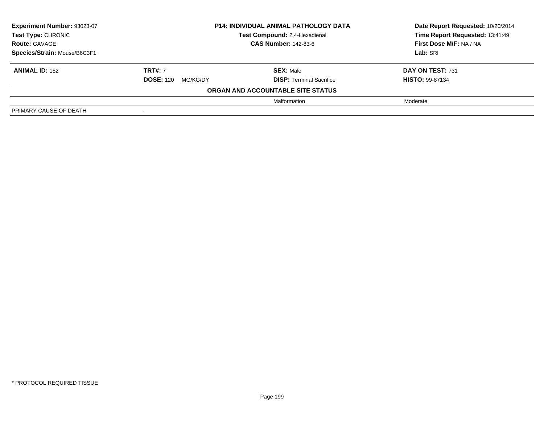| Experiment Number: 93023-07  | <b>P14: INDIVIDUAL ANIMAL PATHOLOGY DATA</b> |                                   | Date Report Requested: 10/20/2014 |
|------------------------------|----------------------------------------------|-----------------------------------|-----------------------------------|
| <b>Test Type: CHRONIC</b>    |                                              | Test Compound: 2,4-Hexadienal     | Time Report Requested: 13:41:49   |
| <b>Route: GAVAGE</b>         | <b>CAS Number: 142-83-6</b>                  |                                   | First Dose M/F: NA / NA           |
| Species/Strain: Mouse/B6C3F1 |                                              |                                   | Lab: SRI                          |
| <b>ANIMAL ID: 152</b>        | <b>TRT#: 7</b>                               | <b>SEX: Male</b>                  | DAY ON TEST: 731                  |
|                              | <b>DOSE: 120</b><br>MG/KG/DY                 | <b>DISP: Terminal Sacrifice</b>   | <b>HISTO: 99-87134</b>            |
|                              |                                              | ORGAN AND ACCOUNTABLE SITE STATUS |                                   |
|                              |                                              | Malformation                      | Moderate                          |
| PRIMARY CAUSE OF DEATH       |                                              |                                   |                                   |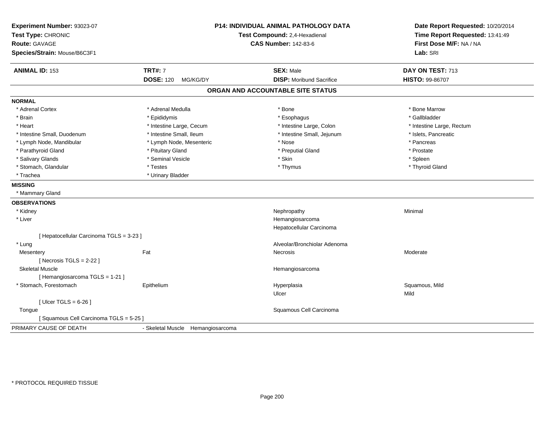| Experiment Number: 93023-07<br>Test Type: CHRONIC<br><b>Route: GAVAGE</b><br>Species/Strain: Mouse/B6C3F1 |                                   | P14: INDIVIDUAL ANIMAL PATHOLOGY DATA<br>Test Compound: 2,4-Hexadienal<br><b>CAS Number: 142-83-6</b> | Date Report Requested: 10/20/2014<br>Time Report Requested: 13:41:49<br>First Dose M/F: NA / NA<br>Lab: SRI |
|-----------------------------------------------------------------------------------------------------------|-----------------------------------|-------------------------------------------------------------------------------------------------------|-------------------------------------------------------------------------------------------------------------|
| <b>ANIMAL ID: 153</b>                                                                                     | <b>TRT#: 7</b>                    | <b>SEX: Male</b>                                                                                      | DAY ON TEST: 713                                                                                            |
|                                                                                                           | <b>DOSE: 120</b><br>MG/KG/DY      | <b>DISP:</b> Moribund Sacrifice                                                                       | HISTO: 99-86707                                                                                             |
|                                                                                                           |                                   | ORGAN AND ACCOUNTABLE SITE STATUS                                                                     |                                                                                                             |
| <b>NORMAL</b>                                                                                             |                                   |                                                                                                       |                                                                                                             |
| * Adrenal Cortex                                                                                          | * Adrenal Medulla                 | * Bone                                                                                                | * Bone Marrow                                                                                               |
| * Brain                                                                                                   | * Epididymis                      | * Esophagus                                                                                           | * Gallbladder                                                                                               |
| * Heart                                                                                                   | * Intestine Large, Cecum          | * Intestine Large, Colon                                                                              | * Intestine Large, Rectum                                                                                   |
| * Intestine Small, Duodenum                                                                               | * Intestine Small, Ileum          | * Intestine Small, Jejunum                                                                            | * Islets, Pancreatic                                                                                        |
| * Lymph Node, Mandibular                                                                                  | * Lymph Node, Mesenteric          | * Nose                                                                                                | * Pancreas                                                                                                  |
| * Parathyroid Gland                                                                                       | * Pituitary Gland                 | * Preputial Gland                                                                                     | * Prostate                                                                                                  |
| * Salivary Glands                                                                                         | * Seminal Vesicle                 | * Skin                                                                                                | * Spleen                                                                                                    |
| * Stomach, Glandular                                                                                      | * Testes                          | * Thymus                                                                                              | * Thyroid Gland                                                                                             |
| * Trachea                                                                                                 | * Urinary Bladder                 |                                                                                                       |                                                                                                             |
| <b>MISSING</b>                                                                                            |                                   |                                                                                                       |                                                                                                             |
| * Mammary Gland                                                                                           |                                   |                                                                                                       |                                                                                                             |
| <b>OBSERVATIONS</b>                                                                                       |                                   |                                                                                                       |                                                                                                             |
| * Kidney                                                                                                  |                                   | Nephropathy                                                                                           | Minimal                                                                                                     |
| * Liver                                                                                                   |                                   | Hemangiosarcoma                                                                                       |                                                                                                             |
|                                                                                                           |                                   | Hepatocellular Carcinoma                                                                              |                                                                                                             |
| [ Hepatocellular Carcinoma TGLS = 3-23 ]                                                                  |                                   |                                                                                                       |                                                                                                             |
| * Lung                                                                                                    |                                   | Alveolar/Bronchiolar Adenoma                                                                          |                                                                                                             |
| Mesentery                                                                                                 | Fat                               | <b>Necrosis</b>                                                                                       | Moderate                                                                                                    |
| [Necrosis $TGLS = 2-22$ ]                                                                                 |                                   |                                                                                                       |                                                                                                             |
| <b>Skeletal Muscle</b>                                                                                    |                                   | Hemangiosarcoma                                                                                       |                                                                                                             |
| [Hemangiosarcoma TGLS = 1-21]                                                                             |                                   |                                                                                                       |                                                                                                             |
| * Stomach, Forestomach                                                                                    | Epithelium                        | Hyperplasia                                                                                           | Squamous, Mild                                                                                              |
|                                                                                                           |                                   | Ulcer                                                                                                 | Mild                                                                                                        |
| [Ulcer TGLS = $6-26$ ]                                                                                    |                                   |                                                                                                       |                                                                                                             |
| Tongue                                                                                                    |                                   | Squamous Cell Carcinoma                                                                               |                                                                                                             |
| [Squamous Cell Carcinoma TGLS = 5-25]                                                                     |                                   |                                                                                                       |                                                                                                             |
| PRIMARY CAUSE OF DEATH                                                                                    | - Skeletal Muscle Hemangiosarcoma |                                                                                                       |                                                                                                             |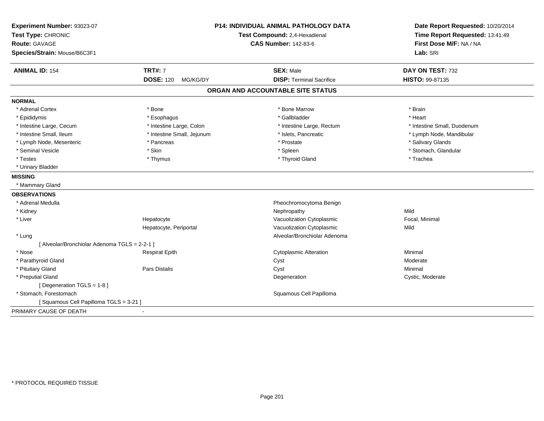| Experiment Number: 93023-07                   |                              | <b>P14: INDIVIDUAL ANIMAL PATHOLOGY DATA</b> | Date Report Requested: 10/20/2014 |
|-----------------------------------------------|------------------------------|----------------------------------------------|-----------------------------------|
| Test Type: CHRONIC                            |                              | Test Compound: 2,4-Hexadienal                | Time Report Requested: 13:41:49   |
| <b>Route: GAVAGE</b>                          |                              | <b>CAS Number: 142-83-6</b>                  | First Dose M/F: NA / NA           |
| Species/Strain: Mouse/B6C3F1                  |                              |                                              | Lab: SRI                          |
| <b>ANIMAL ID: 154</b>                         | <b>TRT#: 7</b>               | <b>SEX: Male</b>                             | DAY ON TEST: 732                  |
|                                               | <b>DOSE: 120</b><br>MG/KG/DY | <b>DISP: Terminal Sacrifice</b>              | HISTO: 99-87135                   |
|                                               |                              | ORGAN AND ACCOUNTABLE SITE STATUS            |                                   |
| <b>NORMAL</b>                                 |                              |                                              |                                   |
| * Adrenal Cortex                              | * Bone                       | * Bone Marrow                                | * Brain                           |
| * Epididymis                                  | * Esophagus                  | * Gallbladder                                | * Heart                           |
| * Intestine Large, Cecum                      | * Intestine Large, Colon     | * Intestine Large, Rectum                    | * Intestine Small, Duodenum       |
| * Intestine Small, Ileum                      | * Intestine Small, Jejunum   | * Islets, Pancreatic                         | * Lymph Node, Mandibular          |
| * Lymph Node, Mesenteric                      | * Pancreas                   | * Prostate                                   | * Salivary Glands                 |
| * Seminal Vesicle                             | * Skin                       | * Spleen                                     | * Stomach, Glandular              |
| * Testes                                      | * Thymus                     | * Thyroid Gland                              | * Trachea                         |
| * Urinary Bladder                             |                              |                                              |                                   |
| <b>MISSING</b>                                |                              |                                              |                                   |
| * Mammary Gland                               |                              |                                              |                                   |
| <b>OBSERVATIONS</b>                           |                              |                                              |                                   |
| * Adrenal Medulla                             |                              | Pheochromocytoma Benign                      |                                   |
| * Kidney                                      |                              | Nephropathy                                  | Mild                              |
| * Liver                                       | Hepatocyte                   | Vacuolization Cytoplasmic                    | Focal, Minimal                    |
|                                               | Hepatocyte, Periportal       | Vacuolization Cytoplasmic                    | Mild                              |
| * Lung                                        |                              | Alveolar/Bronchiolar Adenoma                 |                                   |
| [ Alveolar/Bronchiolar Adenoma TGLS = 2-2-1 ] |                              |                                              |                                   |
| * Nose                                        | <b>Respirat Epith</b>        | <b>Cytoplasmic Alteration</b>                | Minimal                           |
| * Parathyroid Gland                           |                              | Cyst                                         | Moderate                          |
| * Pituitary Gland                             | Pars Distalis                | Cyst                                         | Minimal                           |
| * Preputial Gland                             |                              | Degeneration                                 | Cystic, Moderate                  |
| [ Degeneration TGLS = 1-8 ]                   |                              |                                              |                                   |
| * Stomach, Forestomach                        |                              | Squamous Cell Papilloma                      |                                   |
| [Squamous Cell Papilloma TGLS = 3-21]         |                              |                                              |                                   |
| PRIMARY CAUSE OF DEATH                        | ä,                           |                                              |                                   |
|                                               |                              |                                              |                                   |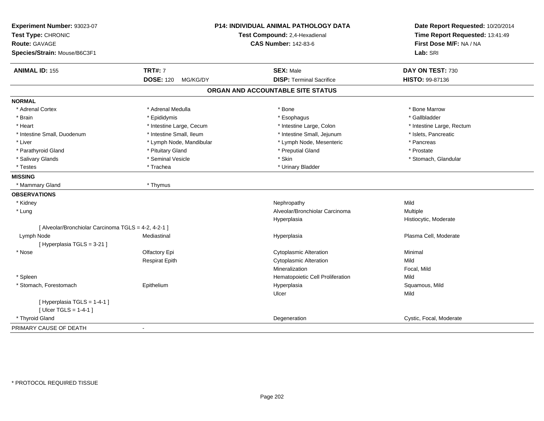| Experiment Number: 93023-07<br>Test Type: CHRONIC<br><b>Route: GAVAGE</b> |                              | P14: INDIVIDUAL ANIMAL PATHOLOGY DATA<br>Test Compound: 2,4-Hexadienal<br><b>CAS Number: 142-83-6</b> | Date Report Requested: 10/20/2014<br>Time Report Requested: 13:41:49<br>First Dose M/F: NA / NA |
|---------------------------------------------------------------------------|------------------------------|-------------------------------------------------------------------------------------------------------|-------------------------------------------------------------------------------------------------|
| Species/Strain: Mouse/B6C3F1                                              |                              |                                                                                                       | Lab: SRI                                                                                        |
| <b>ANIMAL ID: 155</b>                                                     | <b>TRT#: 7</b>               | <b>SEX: Male</b>                                                                                      | DAY ON TEST: 730                                                                                |
|                                                                           | <b>DOSE: 120</b><br>MG/KG/DY | <b>DISP: Terminal Sacrifice</b>                                                                       | HISTO: 99-87136                                                                                 |
|                                                                           |                              | ORGAN AND ACCOUNTABLE SITE STATUS                                                                     |                                                                                                 |
| <b>NORMAL</b>                                                             |                              |                                                                                                       |                                                                                                 |
| * Adrenal Cortex                                                          | * Adrenal Medulla            | * Bone                                                                                                | * Bone Marrow                                                                                   |
| * Brain                                                                   | * Epididymis                 | * Esophagus                                                                                           | * Gallbladder                                                                                   |
| * Heart                                                                   | * Intestine Large, Cecum     | * Intestine Large, Colon                                                                              | * Intestine Large, Rectum                                                                       |
| * Intestine Small, Duodenum                                               | * Intestine Small, Ileum     | * Intestine Small, Jejunum                                                                            | * Islets, Pancreatic                                                                            |
| * Liver                                                                   | * Lymph Node, Mandibular     | * Lymph Node, Mesenteric                                                                              | * Pancreas                                                                                      |
| * Parathyroid Gland                                                       | * Pituitary Gland            | * Preputial Gland                                                                                     | * Prostate                                                                                      |
| * Salivary Glands                                                         | * Seminal Vesicle            | * Skin                                                                                                | * Stomach, Glandular                                                                            |
| * Testes                                                                  | * Trachea                    | * Urinary Bladder                                                                                     |                                                                                                 |
| <b>MISSING</b>                                                            |                              |                                                                                                       |                                                                                                 |
| * Mammary Gland                                                           | * Thymus                     |                                                                                                       |                                                                                                 |
| <b>OBSERVATIONS</b>                                                       |                              |                                                                                                       |                                                                                                 |
| * Kidney                                                                  |                              | Nephropathy                                                                                           | Mild                                                                                            |
| * Lung                                                                    |                              | Alveolar/Bronchiolar Carcinoma                                                                        | Multiple                                                                                        |
|                                                                           |                              | Hyperplasia                                                                                           | Histiocytic, Moderate                                                                           |
| [ Alveolar/Bronchiolar Carcinoma TGLS = 4-2, 4-2-1 ]                      |                              |                                                                                                       |                                                                                                 |
| Lymph Node<br>[Hyperplasia TGLS = 3-21]                                   | Mediastinal                  | Hyperplasia                                                                                           | Plasma Cell, Moderate                                                                           |
| * Nose                                                                    | Olfactory Epi                | <b>Cytoplasmic Alteration</b>                                                                         | Minimal                                                                                         |
|                                                                           | <b>Respirat Epith</b>        | Cytoplasmic Alteration                                                                                | Mild                                                                                            |
|                                                                           |                              | Mineralization                                                                                        | Focal, Mild                                                                                     |
| * Spleen                                                                  |                              | Hematopoietic Cell Proliferation                                                                      | Mild                                                                                            |
| * Stomach, Forestomach                                                    | Epithelium                   | Hyperplasia                                                                                           | Squamous, Mild                                                                                  |
|                                                                           |                              | Ulcer                                                                                                 | Mild                                                                                            |
| [ Hyperplasia TGLS = 1-4-1 ]<br>[ $Ulecr TGLS = 1-4-1$ ]                  |                              |                                                                                                       |                                                                                                 |
| * Thyroid Gland                                                           |                              | Degeneration                                                                                          | Cystic, Focal, Moderate                                                                         |
| PRIMARY CAUSE OF DEATH                                                    |                              |                                                                                                       |                                                                                                 |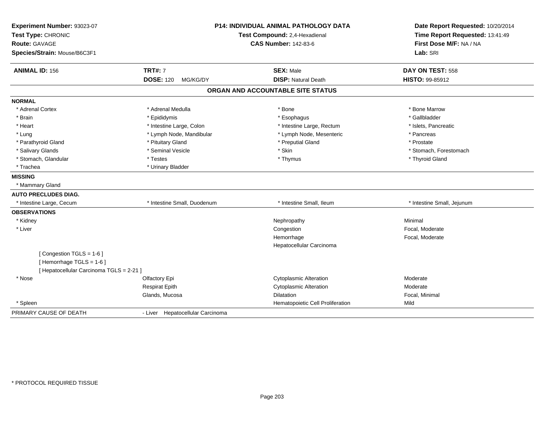| Experiment Number: 93023-07              |                                  | <b>P14: INDIVIDUAL ANIMAL PATHOLOGY DATA</b> | Date Report Requested: 10/20/2014 |
|------------------------------------------|----------------------------------|----------------------------------------------|-----------------------------------|
| Test Type: CHRONIC                       | Test Compound: 2,4-Hexadienal    |                                              | Time Report Requested: 13:41:49   |
| <b>Route: GAVAGE</b>                     |                                  | <b>CAS Number: 142-83-6</b>                  | First Dose M/F: NA / NA           |
| Species/Strain: Mouse/B6C3F1             |                                  |                                              | Lab: SRI                          |
| <b>ANIMAL ID: 156</b>                    | <b>TRT#: 7</b>                   | <b>SEX: Male</b>                             | DAY ON TEST: 558                  |
|                                          | <b>DOSE: 120</b><br>MG/KG/DY     | <b>DISP: Natural Death</b>                   | HISTO: 99-85912                   |
|                                          |                                  | ORGAN AND ACCOUNTABLE SITE STATUS            |                                   |
| <b>NORMAL</b>                            |                                  |                                              |                                   |
| * Adrenal Cortex                         | * Adrenal Medulla                | * Bone                                       | * Bone Marrow                     |
| * Brain                                  | * Epididymis                     | * Esophagus                                  | * Gallbladder                     |
| * Heart                                  | * Intestine Large, Colon         | * Intestine Large, Rectum                    | * Islets, Pancreatic              |
| * Lung                                   | * Lymph Node, Mandibular         | * Lymph Node, Mesenteric                     | * Pancreas                        |
| * Parathyroid Gland                      | * Pituitary Gland                | * Preputial Gland                            | * Prostate                        |
| * Salivary Glands                        | * Seminal Vesicle                | * Skin                                       | * Stomach, Forestomach            |
| * Stomach, Glandular                     | * Testes                         | * Thymus                                     | * Thyroid Gland                   |
| * Trachea                                | * Urinary Bladder                |                                              |                                   |
| <b>MISSING</b>                           |                                  |                                              |                                   |
| * Mammary Gland                          |                                  |                                              |                                   |
| <b>AUTO PRECLUDES DIAG.</b>              |                                  |                                              |                                   |
| * Intestine Large, Cecum                 | * Intestine Small, Duodenum      | * Intestine Small, Ileum                     | * Intestine Small, Jejunum        |
| <b>OBSERVATIONS</b>                      |                                  |                                              |                                   |
| * Kidney                                 |                                  | Nephropathy                                  | Minimal                           |
| * Liver                                  |                                  | Congestion                                   | Focal, Moderate                   |
|                                          |                                  | Hemorrhage                                   | Focal, Moderate                   |
|                                          |                                  | Hepatocellular Carcinoma                     |                                   |
| [Congestion TGLS = 1-6]                  |                                  |                                              |                                   |
| [Hemorrhage TGLS = 1-6]                  |                                  |                                              |                                   |
| [ Hepatocellular Carcinoma TGLS = 2-21 ] |                                  |                                              |                                   |
| * Nose                                   | Olfactory Epi                    | <b>Cytoplasmic Alteration</b>                | Moderate                          |
|                                          | <b>Respirat Epith</b>            | <b>Cytoplasmic Alteration</b>                | Moderate                          |
|                                          | Glands, Mucosa                   | <b>Dilatation</b>                            | Focal, Minimal                    |
| * Spleen                                 |                                  | Hematopoietic Cell Proliferation             | Mild                              |
| PRIMARY CAUSE OF DEATH                   | - Liver Hepatocellular Carcinoma |                                              |                                   |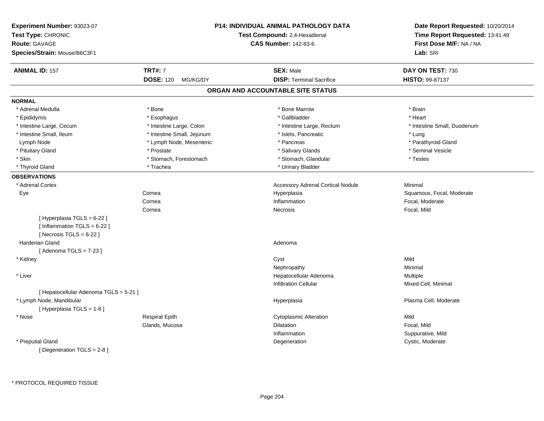| Experiment Number: 93023-07<br>Test Type: CHRONIC<br><b>Route: GAVAGE</b><br>Species/Strain: Mouse/B6C3F1 |                              | P14: INDIVIDUAL ANIMAL PATHOLOGY DATA<br>Test Compound: 2,4-Hexadienal<br><b>CAS Number: 142-83-6</b> | Date Report Requested: 10/20/2014<br>Time Report Requested: 13:41:49<br>First Dose M/F: NA / NA<br>Lab: SRI |
|-----------------------------------------------------------------------------------------------------------|------------------------------|-------------------------------------------------------------------------------------------------------|-------------------------------------------------------------------------------------------------------------|
| <b>ANIMAL ID: 157</b>                                                                                     | <b>TRT#: 7</b>               | <b>SEX: Male</b>                                                                                      | DAY ON TEST: 730                                                                                            |
|                                                                                                           | <b>DOSE: 120</b><br>MG/KG/DY | <b>DISP: Terminal Sacrifice</b>                                                                       | HISTO: 99-87137                                                                                             |
|                                                                                                           |                              | ORGAN AND ACCOUNTABLE SITE STATUS                                                                     |                                                                                                             |
| <b>NORMAL</b>                                                                                             |                              |                                                                                                       |                                                                                                             |
| * Adrenal Medulla                                                                                         | * Bone                       | * Bone Marrow                                                                                         | * Brain                                                                                                     |
| * Epididymis                                                                                              | * Esophagus                  | * Gallbladder                                                                                         | * Heart                                                                                                     |
| * Intestine Large, Cecum                                                                                  | * Intestine Large, Colon     | * Intestine Large, Rectum                                                                             | * Intestine Small, Duodenum                                                                                 |
| * Intestine Small, Ileum                                                                                  | * Intestine Small, Jejunum   | * Islets, Pancreatic                                                                                  | * Lung                                                                                                      |
| Lymph Node                                                                                                | * Lymph Node, Mesenteric     | * Pancreas                                                                                            | * Parathyroid Gland                                                                                         |
| * Pituitary Gland                                                                                         | * Prostate                   | * Salivary Glands                                                                                     | * Seminal Vesicle                                                                                           |
| * Skin                                                                                                    | * Stomach, Forestomach       | * Stomach, Glandular                                                                                  | * Testes                                                                                                    |
| * Thyroid Gland                                                                                           | * Trachea                    | * Urinary Bladder                                                                                     |                                                                                                             |
| <b>OBSERVATIONS</b>                                                                                       |                              |                                                                                                       |                                                                                                             |
| * Adrenal Cortex                                                                                          |                              | <b>Accessory Adrenal Cortical Nodule</b>                                                              | Minimal                                                                                                     |
| Eye                                                                                                       | Cornea                       | Hyperplasia                                                                                           | Squamous, Focal, Moderate                                                                                   |
|                                                                                                           | Cornea                       | Inflammation                                                                                          | Focal, Moderate                                                                                             |
|                                                                                                           | Cornea                       | <b>Necrosis</b>                                                                                       | Focal, Mild                                                                                                 |
| [ Hyperplasia TGLS = 6-22 ]<br>[Inflammation TGLS = $6-22$ ]<br>[Necrosis $TGLS = 6-22$ ]                 |                              |                                                                                                       |                                                                                                             |
| <b>Harderian Gland</b>                                                                                    |                              | Adenoma                                                                                               |                                                                                                             |
| [Adenoma TGLS = $7-23$ ]                                                                                  |                              |                                                                                                       |                                                                                                             |
| * Kidney                                                                                                  |                              | Cyst                                                                                                  | Mild                                                                                                        |
|                                                                                                           |                              | Nephropathy                                                                                           | Minimal                                                                                                     |
| * Liver                                                                                                   |                              | Hepatocellular Adenoma                                                                                | Multiple                                                                                                    |
|                                                                                                           |                              | <b>Infiltration Cellular</b>                                                                          | Mixed Cell, Minimal                                                                                         |
| [ Hepatocellular Adenoma TGLS = 5-21 ]                                                                    |                              |                                                                                                       |                                                                                                             |
| * Lymph Node, Mandibular<br>[ Hyperplasia TGLS = 1-8 ]                                                    |                              | Hyperplasia                                                                                           | Plasma Cell, Moderate                                                                                       |
| * Nose                                                                                                    | Respirat Epith               | <b>Cytoplasmic Alteration</b>                                                                         | Mild                                                                                                        |
|                                                                                                           | Glands, Mucosa               | Dilatation                                                                                            | Focal, Mild                                                                                                 |
|                                                                                                           |                              | Inflammation                                                                                          | Suppurative, Mild                                                                                           |
| * Preputial Gland<br>[Degeneration TGLS = 2-8]                                                            |                              | Degeneration                                                                                          | Cystic, Moderate                                                                                            |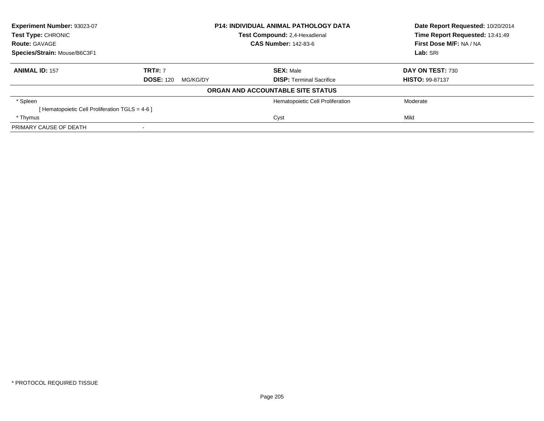| Experiment Number: 93023-07                    |                              | <b>P14: INDIVIDUAL ANIMAL PATHOLOGY DATA</b> | Date Report Requested: 10/20/2014<br>Time Report Requested: 13:41:49 |
|------------------------------------------------|------------------------------|----------------------------------------------|----------------------------------------------------------------------|
| Test Type: CHRONIC                             |                              | Test Compound: 2,4-Hexadienal                |                                                                      |
| <b>Route: GAVAGE</b>                           | <b>CAS Number: 142-83-6</b>  |                                              | First Dose M/F: NA / NA                                              |
| Species/Strain: Mouse/B6C3F1                   |                              |                                              | Lab: SRI                                                             |
| <b>ANIMAL ID: 157</b>                          | <b>TRT#: 7</b>               | <b>SEX: Male</b>                             | DAY ON TEST: 730                                                     |
|                                                | <b>DOSE: 120</b><br>MG/KG/DY | <b>DISP:</b> Terminal Sacrifice              | <b>HISTO: 99-87137</b>                                               |
|                                                |                              | ORGAN AND ACCOUNTABLE SITE STATUS            |                                                                      |
| * Spleen                                       |                              | Hematopoietic Cell Proliferation             | Moderate                                                             |
| [Hematopoietic Cell Proliferation TGLS = 4-6 ] |                              |                                              |                                                                      |
| * Thymus                                       |                              | Cyst                                         | Mild                                                                 |
| PRIMARY CAUSE OF DEATH                         |                              |                                              |                                                                      |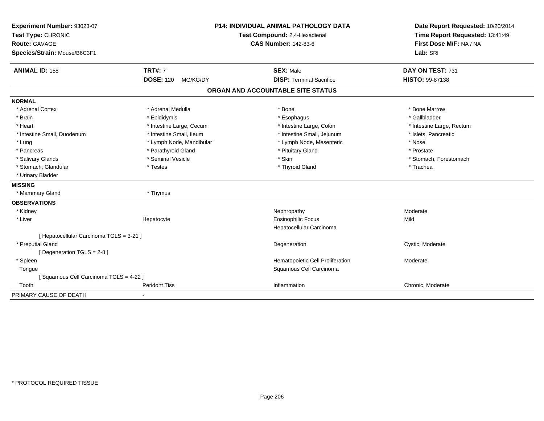| Experiment Number: 93023-07<br>Test Type: CHRONIC<br>Route: GAVAGE |                              | <b>P14: INDIVIDUAL ANIMAL PATHOLOGY DATA</b><br>Test Compound: 2,4-Hexadienal<br><b>CAS Number: 142-83-6</b> | Date Report Requested: 10/20/2014<br>Time Report Requested: 13:41:49<br>First Dose M/F: NA / NA |
|--------------------------------------------------------------------|------------------------------|--------------------------------------------------------------------------------------------------------------|-------------------------------------------------------------------------------------------------|
| Species/Strain: Mouse/B6C3F1                                       |                              |                                                                                                              | Lab: SRI                                                                                        |
| <b>ANIMAL ID: 158</b>                                              | <b>TRT#: 7</b>               | <b>SEX: Male</b>                                                                                             | DAY ON TEST: 731                                                                                |
|                                                                    | <b>DOSE: 120</b><br>MG/KG/DY | <b>DISP: Terminal Sacrifice</b>                                                                              | <b>HISTO: 99-87138</b>                                                                          |
|                                                                    |                              | ORGAN AND ACCOUNTABLE SITE STATUS                                                                            |                                                                                                 |
| <b>NORMAL</b>                                                      |                              |                                                                                                              |                                                                                                 |
| * Adrenal Cortex                                                   | * Adrenal Medulla            | * Bone                                                                                                       | * Bone Marrow                                                                                   |
| * Brain                                                            | * Epididymis                 | * Esophagus                                                                                                  | * Gallbladder                                                                                   |
| * Heart                                                            | * Intestine Large, Cecum     | * Intestine Large, Colon                                                                                     | * Intestine Large, Rectum                                                                       |
| * Intestine Small, Duodenum                                        | * Intestine Small, Ileum     | * Intestine Small, Jejunum                                                                                   | * Islets, Pancreatic                                                                            |
| * Lung                                                             | * Lymph Node, Mandibular     | * Lymph Node, Mesenteric                                                                                     | * Nose                                                                                          |
| * Pancreas                                                         | * Parathyroid Gland          | * Pituitary Gland                                                                                            | * Prostate                                                                                      |
| * Salivary Glands                                                  | * Seminal Vesicle            | * Skin                                                                                                       | * Stomach, Forestomach                                                                          |
| * Stomach, Glandular                                               | * Testes                     | * Thyroid Gland                                                                                              | * Trachea                                                                                       |
| * Urinary Bladder                                                  |                              |                                                                                                              |                                                                                                 |
| <b>MISSING</b>                                                     |                              |                                                                                                              |                                                                                                 |
| * Mammary Gland                                                    | * Thymus                     |                                                                                                              |                                                                                                 |
| <b>OBSERVATIONS</b>                                                |                              |                                                                                                              |                                                                                                 |
| * Kidney                                                           |                              | Nephropathy                                                                                                  | Moderate                                                                                        |
| * Liver                                                            | Hepatocyte                   | <b>Eosinophilic Focus</b>                                                                                    | Mild                                                                                            |
|                                                                    |                              | Hepatocellular Carcinoma                                                                                     |                                                                                                 |
| [ Hepatocellular Carcinoma TGLS = 3-21 ]                           |                              |                                                                                                              |                                                                                                 |
| * Preputial Gland                                                  |                              | Degeneration                                                                                                 | Cystic, Moderate                                                                                |
| [Degeneration TGLS = 2-8]                                          |                              |                                                                                                              |                                                                                                 |
| * Spleen                                                           |                              | Hematopoietic Cell Proliferation                                                                             | Moderate                                                                                        |
| Tongue                                                             |                              | Squamous Cell Carcinoma                                                                                      |                                                                                                 |
| [Squamous Cell Carcinoma TGLS = 4-22]                              |                              |                                                                                                              |                                                                                                 |
| Tooth                                                              | <b>Peridont Tiss</b>         | Inflammation                                                                                                 | Chronic, Moderate                                                                               |
| PRIMARY CAUSE OF DEATH                                             |                              |                                                                                                              |                                                                                                 |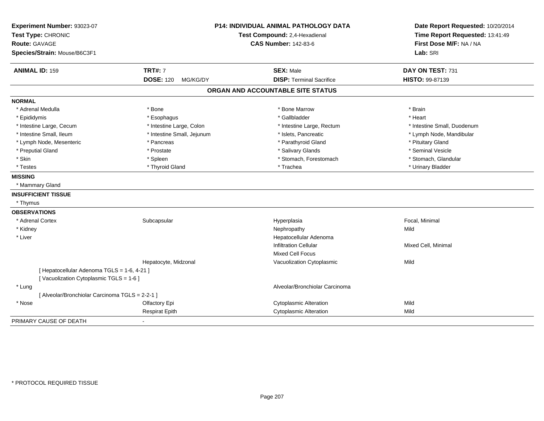| Experiment Number: 93023-07                     |                              | <b>P14: INDIVIDUAL ANIMAL PATHOLOGY DATA</b> | Date Report Requested: 10/20/2014                          |
|-------------------------------------------------|------------------------------|----------------------------------------------|------------------------------------------------------------|
| Test Type: CHRONIC                              |                              | Test Compound: 2,4-Hexadienal                | Time Report Requested: 13:41:49<br>First Dose M/F: NA / NA |
| <b>Route: GAVAGE</b>                            |                              | <b>CAS Number: 142-83-6</b>                  |                                                            |
| Species/Strain: Mouse/B6C3F1                    |                              |                                              | Lab: SRI                                                   |
| <b>ANIMAL ID: 159</b>                           | <b>TRT#: 7</b>               | <b>SEX: Male</b>                             | DAY ON TEST: 731                                           |
|                                                 | <b>DOSE: 120</b><br>MG/KG/DY | <b>DISP: Terminal Sacrifice</b>              | HISTO: 99-87139                                            |
|                                                 |                              | ORGAN AND ACCOUNTABLE SITE STATUS            |                                                            |
| <b>NORMAL</b>                                   |                              |                                              |                                                            |
| * Adrenal Medulla                               | * Bone                       | * Bone Marrow                                | * Brain                                                    |
| * Epididymis                                    | * Esophagus                  | * Gallbladder                                | * Heart                                                    |
| * Intestine Large, Cecum                        | * Intestine Large, Colon     | * Intestine Large, Rectum                    | * Intestine Small, Duodenum                                |
| * Intestine Small, Ileum                        | * Intestine Small, Jejunum   | * Islets, Pancreatic                         | * Lymph Node, Mandibular                                   |
| * Lymph Node, Mesenteric                        | * Pancreas                   | * Parathyroid Gland                          | * Pituitary Gland                                          |
| * Preputial Gland                               | * Prostate                   | * Salivary Glands                            | * Seminal Vesicle                                          |
| * Skin                                          | * Spleen                     | * Stomach, Forestomach                       | * Stomach, Glandular                                       |
| * Testes                                        | * Thyroid Gland              | * Trachea                                    | * Urinary Bladder                                          |
| <b>MISSING</b>                                  |                              |                                              |                                                            |
| * Mammary Gland                                 |                              |                                              |                                                            |
| <b>INSUFFICIENT TISSUE</b>                      |                              |                                              |                                                            |
| * Thymus                                        |                              |                                              |                                                            |
| <b>OBSERVATIONS</b>                             |                              |                                              |                                                            |
| * Adrenal Cortex                                | Subcapsular                  | Hyperplasia                                  | Focal, Minimal                                             |
| * Kidney                                        |                              | Nephropathy                                  | Mild                                                       |
| * Liver                                         |                              | Hepatocellular Adenoma                       |                                                            |
|                                                 |                              | <b>Infiltration Cellular</b>                 | Mixed Cell, Minimal                                        |
|                                                 |                              | <b>Mixed Cell Focus</b>                      |                                                            |
|                                                 | Hepatocyte, Midzonal         | Vacuolization Cytoplasmic                    | Mild                                                       |
| [ Hepatocellular Adenoma TGLS = 1-6, 4-21 ]     |                              |                                              |                                                            |
| [Vacuolization Cytoplasmic TGLS = 1-6]          |                              |                                              |                                                            |
| * Lung                                          |                              | Alveolar/Bronchiolar Carcinoma               |                                                            |
| [ Alveolar/Bronchiolar Carcinoma TGLS = 2-2-1 ] |                              |                                              |                                                            |
| * Nose                                          | Olfactory Epi                | <b>Cytoplasmic Alteration</b>                | Mild                                                       |
|                                                 | <b>Respirat Epith</b>        | <b>Cytoplasmic Alteration</b>                | Mild                                                       |
| PRIMARY CAUSE OF DEATH                          |                              |                                              |                                                            |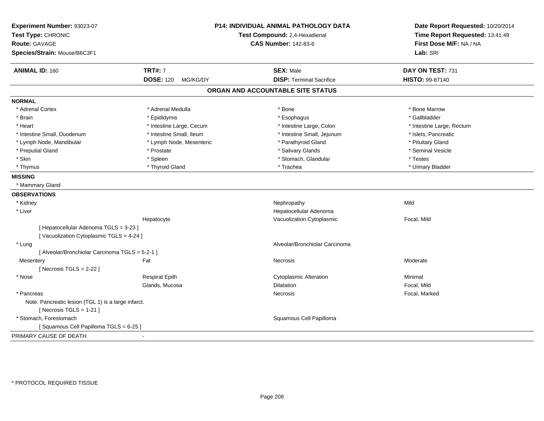| Experiment Number: 93023-07<br>Test Type: CHRONIC<br><b>Route: GAVAGE</b><br>Species/Strain: Mouse/B6C3F1 |                              | <b>P14: INDIVIDUAL ANIMAL PATHOLOGY DATA</b><br>Test Compound: 2,4-Hexadienal<br><b>CAS Number: 142-83-6</b> | Date Report Requested: 10/20/2014<br>Time Report Requested: 13:41:49<br>First Dose M/F: NA / NA<br>Lab: SRI |
|-----------------------------------------------------------------------------------------------------------|------------------------------|--------------------------------------------------------------------------------------------------------------|-------------------------------------------------------------------------------------------------------------|
| <b>ANIMAL ID: 160</b>                                                                                     | <b>TRT#: 7</b>               | <b>SEX: Male</b>                                                                                             | DAY ON TEST: 731                                                                                            |
|                                                                                                           | <b>DOSE: 120</b><br>MG/KG/DY | <b>DISP: Terminal Sacrifice</b>                                                                              | HISTO: 99-87140                                                                                             |
|                                                                                                           |                              | ORGAN AND ACCOUNTABLE SITE STATUS                                                                            |                                                                                                             |
| <b>NORMAL</b>                                                                                             |                              |                                                                                                              |                                                                                                             |
| * Adrenal Cortex                                                                                          | * Adrenal Medulla            | * Bone                                                                                                       | * Bone Marrow                                                                                               |
| * Brain                                                                                                   | * Epididymis                 | * Esophagus                                                                                                  | * Gallbladder                                                                                               |
| * Heart                                                                                                   | * Intestine Large, Cecum     | * Intestine Large, Colon                                                                                     | * Intestine Large, Rectum                                                                                   |
| * Intestine Small, Duodenum                                                                               | * Intestine Small, Ileum     | * Intestine Small, Jejunum                                                                                   | * Islets, Pancreatic                                                                                        |
| * Lymph Node, Mandibular                                                                                  | * Lymph Node, Mesenteric     | * Parathyroid Gland                                                                                          | * Pituitary Gland                                                                                           |
| * Preputial Gland                                                                                         | * Prostate                   | * Salivary Glands                                                                                            | * Seminal Vesicle                                                                                           |
| * Skin                                                                                                    | * Spleen                     | * Stomach, Glandular                                                                                         | * Testes                                                                                                    |
| * Thymus                                                                                                  | * Thyroid Gland              | * Trachea                                                                                                    | * Urinary Bladder                                                                                           |
| <b>MISSING</b>                                                                                            |                              |                                                                                                              |                                                                                                             |
| * Mammary Gland                                                                                           |                              |                                                                                                              |                                                                                                             |
| <b>OBSERVATIONS</b>                                                                                       |                              |                                                                                                              |                                                                                                             |
| * Kidney                                                                                                  |                              | Nephropathy                                                                                                  | Mild                                                                                                        |
| * Liver                                                                                                   |                              | Hepatocellular Adenoma                                                                                       |                                                                                                             |
|                                                                                                           | Hepatocyte                   | Vacuolization Cytoplasmic                                                                                    | Focal, Mild                                                                                                 |
| [ Hepatocellular Adenoma TGLS = 3-23 ]                                                                    |                              |                                                                                                              |                                                                                                             |
| [Vacuolization Cytoplasmic TGLS = 4-24]                                                                   |                              |                                                                                                              |                                                                                                             |
| * Lung                                                                                                    |                              | Alveolar/Bronchiolar Carcinoma                                                                               |                                                                                                             |
| [ Alveolar/Bronchiolar Carcinoma TGLS = 5-2-1 ]                                                           |                              |                                                                                                              |                                                                                                             |
| Mesentery                                                                                                 | Fat                          | Necrosis                                                                                                     | Moderate                                                                                                    |
| [ Necrosis $TGLS = 2-22$ ]                                                                                |                              |                                                                                                              |                                                                                                             |
| * Nose                                                                                                    | <b>Respirat Epith</b>        | <b>Cytoplasmic Alteration</b>                                                                                | Minimal                                                                                                     |
|                                                                                                           | Glands, Mucosa               | Dilatation                                                                                                   | Focal, Mild                                                                                                 |
| * Pancreas                                                                                                |                              | Necrosis                                                                                                     | Focal, Marked                                                                                               |
| Note: Pancreatic lesion (TGL 1) is a large infarct.                                                       |                              |                                                                                                              |                                                                                                             |
| [ Necrosis $TGLS = 1-21$ ]                                                                                |                              |                                                                                                              |                                                                                                             |
| * Stomach, Forestomach                                                                                    |                              | Squamous Cell Papilloma                                                                                      |                                                                                                             |
| [Squamous Cell Papilloma TGLS = 6-25]                                                                     |                              |                                                                                                              |                                                                                                             |
| PRIMARY CAUSE OF DEATH                                                                                    | $\blacksquare$               |                                                                                                              |                                                                                                             |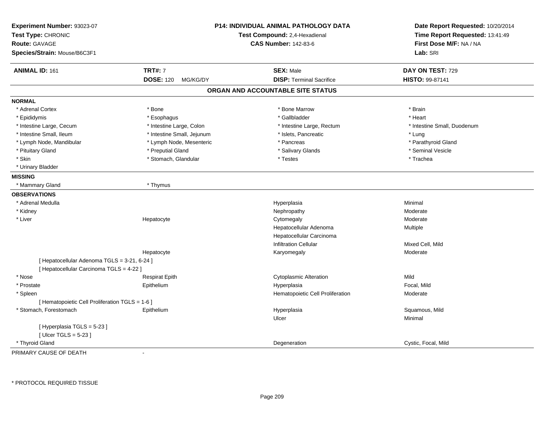| Experiment Number: 93023-07<br>Test Type: CHRONIC<br><b>Route: GAVAGE</b><br>Species/Strain: Mouse/B6C3F1 |                              | P14: INDIVIDUAL ANIMAL PATHOLOGY DATA<br>Test Compound: 2,4-Hexadienal<br><b>CAS Number: 142-83-6</b> | Date Report Requested: 10/20/2014<br>Time Report Requested: 13:41:49<br>First Dose M/F: NA / NA<br>Lab: SRI |
|-----------------------------------------------------------------------------------------------------------|------------------------------|-------------------------------------------------------------------------------------------------------|-------------------------------------------------------------------------------------------------------------|
| <b>ANIMAL ID: 161</b>                                                                                     | <b>TRT#: 7</b>               | <b>SEX: Male</b>                                                                                      | DAY ON TEST: 729                                                                                            |
|                                                                                                           | <b>DOSE: 120</b><br>MG/KG/DY | <b>DISP: Terminal Sacrifice</b>                                                                       | <b>HISTO: 99-87141</b>                                                                                      |
|                                                                                                           |                              | ORGAN AND ACCOUNTABLE SITE STATUS                                                                     |                                                                                                             |
| <b>NORMAL</b>                                                                                             |                              |                                                                                                       |                                                                                                             |
| * Adrenal Cortex                                                                                          | * Bone                       | * Bone Marrow                                                                                         | * Brain                                                                                                     |
| * Epididymis                                                                                              | * Esophagus                  | * Gallbladder                                                                                         | * Heart                                                                                                     |
| * Intestine Large, Cecum                                                                                  | * Intestine Large, Colon     | * Intestine Large, Rectum                                                                             | * Intestine Small, Duodenum                                                                                 |
| * Intestine Small, Ileum                                                                                  | * Intestine Small, Jejunum   | * Islets, Pancreatic                                                                                  | * Lung                                                                                                      |
| * Lymph Node, Mandibular                                                                                  | * Lymph Node, Mesenteric     | * Pancreas                                                                                            | * Parathyroid Gland                                                                                         |
| * Pituitary Gland                                                                                         | * Preputial Gland            | * Salivary Glands                                                                                     | * Seminal Vesicle                                                                                           |
| * Skin                                                                                                    | * Stomach, Glandular         | * Testes                                                                                              | * Trachea                                                                                                   |
| * Urinary Bladder                                                                                         |                              |                                                                                                       |                                                                                                             |
| <b>MISSING</b>                                                                                            |                              |                                                                                                       |                                                                                                             |
| * Mammary Gland                                                                                           | * Thymus                     |                                                                                                       |                                                                                                             |
| <b>OBSERVATIONS</b>                                                                                       |                              |                                                                                                       |                                                                                                             |
| * Adrenal Medulla                                                                                         |                              | Hyperplasia                                                                                           | Minimal                                                                                                     |
| * Kidney                                                                                                  |                              | Nephropathy                                                                                           | Moderate                                                                                                    |
| * Liver                                                                                                   | Hepatocyte                   | Cytomegaly                                                                                            | Moderate                                                                                                    |
|                                                                                                           |                              | Hepatocellular Adenoma                                                                                | Multiple                                                                                                    |
|                                                                                                           |                              | Hepatocellular Carcinoma                                                                              |                                                                                                             |
|                                                                                                           |                              | <b>Infiltration Cellular</b>                                                                          | Mixed Cell, Mild                                                                                            |
|                                                                                                           | Hepatocyte                   | Karyomegaly                                                                                           | Moderate                                                                                                    |
| [ Hepatocellular Adenoma TGLS = 3-21, 6-24 ]                                                              |                              |                                                                                                       |                                                                                                             |
| [ Hepatocellular Carcinoma TGLS = 4-22 ]                                                                  |                              |                                                                                                       |                                                                                                             |
| * Nose                                                                                                    | <b>Respirat Epith</b>        | <b>Cytoplasmic Alteration</b>                                                                         | Mild                                                                                                        |
| * Prostate                                                                                                | Epithelium                   | Hyperplasia                                                                                           | Focal, Mild                                                                                                 |
| * Spleen                                                                                                  |                              | Hematopoietic Cell Proliferation                                                                      | Moderate                                                                                                    |
| [ Hematopoietic Cell Proliferation TGLS = 1-6 ]                                                           |                              |                                                                                                       |                                                                                                             |
| * Stomach, Forestomach                                                                                    | Epithelium                   | Hyperplasia                                                                                           | Squamous, Mild                                                                                              |
|                                                                                                           |                              | Ulcer                                                                                                 | Minimal                                                                                                     |
| [Hyperplasia TGLS = 5-23]                                                                                 |                              |                                                                                                       |                                                                                                             |
| [ $Ulcer TGLS = 5-23$ ]                                                                                   |                              |                                                                                                       |                                                                                                             |
| * Thyroid Gland                                                                                           |                              | Degeneration                                                                                          | Cystic, Focal, Mild                                                                                         |

PRIMARY CAUSE OF DEATH-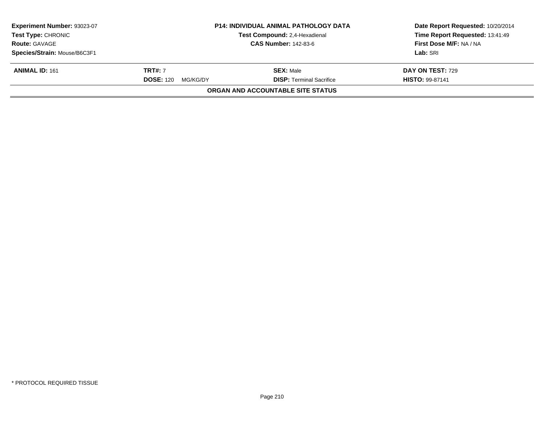| Experiment Number: 93023-07<br><b>Test Type: CHRONIC</b> | <b>P14: INDIVIDUAL ANIMAL PATHOLOGY DATA</b><br>Test Compound: 2,4-Hexadienal |                                   | Date Report Requested: 10/20/2014<br>Time Report Requested: 13:41:49 |  |
|----------------------------------------------------------|-------------------------------------------------------------------------------|-----------------------------------|----------------------------------------------------------------------|--|
| <b>Route: GAVAGE</b>                                     |                                                                               | <b>CAS Number: 142-83-6</b>       | First Dose M/F: NA / NA                                              |  |
| Species/Strain: Mouse/B6C3F1                             |                                                                               |                                   | Lab: SRI                                                             |  |
| <b>ANIMAL ID: 161</b>                                    | <b>TRT#: 7</b>                                                                | <b>SEX: Male</b>                  | DAY ON TEST: 729                                                     |  |
|                                                          | <b>DOSE: 120</b><br>MG/KG/DY                                                  | <b>DISP: Terminal Sacrifice</b>   | <b>HISTO: 99-87141</b>                                               |  |
|                                                          |                                                                               | ORGAN AND ACCOUNTABLE SITE STATUS |                                                                      |  |
|                                                          |                                                                               |                                   |                                                                      |  |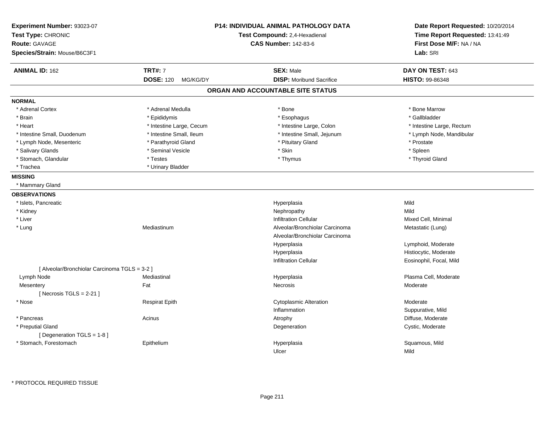| Experiment Number: 93023-07<br>Test Type: CHRONIC<br><b>Route: GAVAGE</b><br>Species/Strain: Mouse/B6C3F1 |                              | <b>P14: INDIVIDUAL ANIMAL PATHOLOGY DATA</b><br>Test Compound: 2,4-Hexadienal<br><b>CAS Number: 142-83-6</b> | Date Report Requested: 10/20/2014<br>Time Report Requested: 13:41:49<br>First Dose M/F: NA / NA<br>Lab: SRI |
|-----------------------------------------------------------------------------------------------------------|------------------------------|--------------------------------------------------------------------------------------------------------------|-------------------------------------------------------------------------------------------------------------|
|                                                                                                           |                              |                                                                                                              |                                                                                                             |
| <b>ANIMAL ID: 162</b>                                                                                     | <b>TRT#: 7</b>               | <b>SEX: Male</b>                                                                                             | DAY ON TEST: 643                                                                                            |
|                                                                                                           | <b>DOSE: 120</b><br>MG/KG/DY | <b>DISP:</b> Moribund Sacrifice                                                                              | HISTO: 99-86348                                                                                             |
|                                                                                                           |                              | ORGAN AND ACCOUNTABLE SITE STATUS                                                                            |                                                                                                             |
| <b>NORMAL</b>                                                                                             |                              |                                                                                                              |                                                                                                             |
| * Adrenal Cortex                                                                                          | * Adrenal Medulla            | * Bone                                                                                                       | * Bone Marrow                                                                                               |
| * Brain                                                                                                   | * Epididymis                 | * Esophagus                                                                                                  | * Gallbladder                                                                                               |
| * Heart                                                                                                   | * Intestine Large, Cecum     | * Intestine Large, Colon                                                                                     | * Intestine Large, Rectum                                                                                   |
| * Intestine Small, Duodenum                                                                               | * Intestine Small, Ileum     | * Intestine Small, Jejunum                                                                                   | * Lymph Node, Mandibular                                                                                    |
| * Lymph Node, Mesenteric                                                                                  | * Parathyroid Gland          | * Pituitary Gland                                                                                            | * Prostate                                                                                                  |
| * Salivary Glands                                                                                         | * Seminal Vesicle            | * Skin                                                                                                       | * Spleen                                                                                                    |
| * Stomach, Glandular                                                                                      | * Testes                     | * Thymus                                                                                                     | * Thyroid Gland                                                                                             |
| * Trachea                                                                                                 | * Urinary Bladder            |                                                                                                              |                                                                                                             |
| <b>MISSING</b>                                                                                            |                              |                                                                                                              |                                                                                                             |
| * Mammary Gland                                                                                           |                              |                                                                                                              |                                                                                                             |
| <b>OBSERVATIONS</b>                                                                                       |                              |                                                                                                              |                                                                                                             |
| * Islets, Pancreatic                                                                                      |                              | Hyperplasia                                                                                                  | Mild                                                                                                        |
| * Kidney                                                                                                  |                              | Nephropathy                                                                                                  | Mild                                                                                                        |
| * Liver                                                                                                   |                              | <b>Infiltration Cellular</b>                                                                                 | Mixed Cell, Minimal                                                                                         |
| * Lung                                                                                                    | Mediastinum                  | Alveolar/Bronchiolar Carcinoma                                                                               | Metastatic (Lung)                                                                                           |
|                                                                                                           |                              | Alveolar/Bronchiolar Carcinoma                                                                               |                                                                                                             |
|                                                                                                           |                              | Hyperplasia                                                                                                  | Lymphoid, Moderate                                                                                          |
|                                                                                                           |                              | Hyperplasia                                                                                                  | Histiocytic, Moderate                                                                                       |
|                                                                                                           |                              | <b>Infiltration Cellular</b>                                                                                 | Eosinophil, Focal, Mild                                                                                     |
| [ Alveolar/Bronchiolar Carcinoma TGLS = 3-2 ]                                                             |                              |                                                                                                              |                                                                                                             |
| Lymph Node                                                                                                | Mediastinal                  | Hyperplasia                                                                                                  | Plasma Cell, Moderate                                                                                       |
| Mesentery                                                                                                 | Fat                          | <b>Necrosis</b>                                                                                              | Moderate                                                                                                    |
| [Necrosis TGLS = $2-21$ ]                                                                                 |                              |                                                                                                              |                                                                                                             |
| * Nose                                                                                                    | <b>Respirat Epith</b>        | <b>Cytoplasmic Alteration</b>                                                                                | Moderate                                                                                                    |
|                                                                                                           |                              | Inflammation                                                                                                 | Suppurative, Mild                                                                                           |
| * Pancreas                                                                                                | Acinus                       | Atrophy                                                                                                      | Diffuse, Moderate                                                                                           |
| * Preputial Gland                                                                                         |                              | Degeneration                                                                                                 | Cystic, Moderate                                                                                            |
| [ Degeneration TGLS = 1-8 ]                                                                               |                              |                                                                                                              |                                                                                                             |
| * Stomach, Forestomach                                                                                    | Epithelium                   | Hyperplasia                                                                                                  | Squamous, Mild                                                                                              |
|                                                                                                           |                              | Ulcer                                                                                                        | Mild                                                                                                        |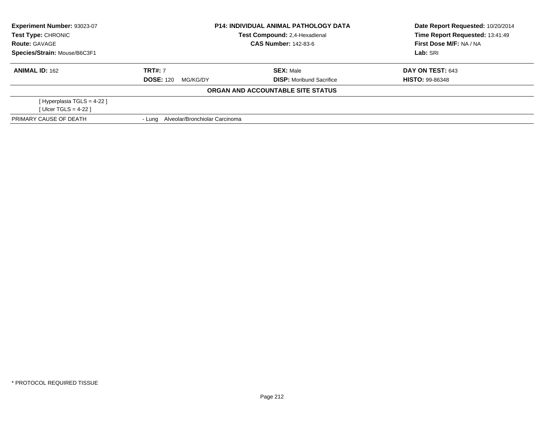| Experiment Number: 93023-07  | <b>P14: INDIVIDUAL ANIMAL PATHOLOGY DATA</b> |                                   | Date Report Requested: 10/20/2014 |  |
|------------------------------|----------------------------------------------|-----------------------------------|-----------------------------------|--|
| Test Type: CHRONIC           |                                              | Test Compound: 2,4-Hexadienal     | Time Report Requested: 13:41:49   |  |
| <b>Route: GAVAGE</b>         |                                              | <b>CAS Number: 142-83-6</b>       | First Dose M/F: NA / NA           |  |
| Species/Strain: Mouse/B6C3F1 |                                              |                                   | Lab: SRI                          |  |
| <b>ANIMAL ID: 162</b>        | <b>TRT#: 7</b>                               | <b>SEX: Male</b>                  | <b>DAY ON TEST: 643</b>           |  |
|                              | <b>DOSE: 120</b><br>MG/KG/DY                 | <b>DISP:</b> Moribund Sacrifice   | <b>HISTO: 99-86348</b>            |  |
|                              |                                              | ORGAN AND ACCOUNTABLE SITE STATUS |                                   |  |
| [Hyperplasia TGLS = $4-22$ ] |                                              |                                   |                                   |  |
| [Ulcer TGLS = $4-22$ ]       |                                              |                                   |                                   |  |
| PRIMARY CAUSE OF DEATH       | - Lung Alveolar/Bronchiolar Carcinoma        |                                   |                                   |  |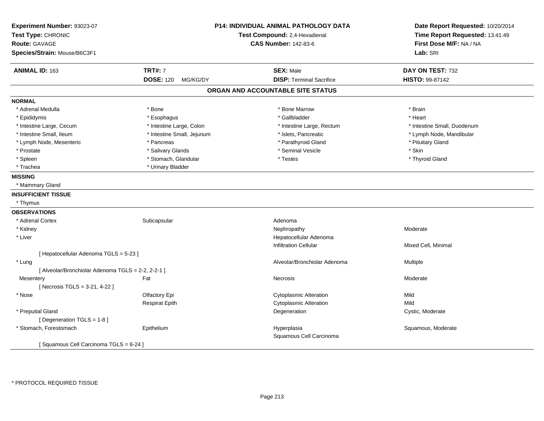| Experiment Number: 93023-07<br>Test Type: CHRONIC  |                              | P14: INDIVIDUAL ANIMAL PATHOLOGY DATA<br>Test Compound: 2,4-Hexadienal | Date Report Requested: 10/20/2014<br>Time Report Requested: 13:41:49 |  |
|----------------------------------------------------|------------------------------|------------------------------------------------------------------------|----------------------------------------------------------------------|--|
| <b>Route: GAVAGE</b>                               |                              | <b>CAS Number: 142-83-6</b>                                            | First Dose M/F: NA / NA                                              |  |
| Species/Strain: Mouse/B6C3F1                       |                              |                                                                        | Lab: SRI                                                             |  |
| <b>ANIMAL ID: 163</b>                              | <b>TRT#: 7</b>               | <b>SEX: Male</b>                                                       | DAY ON TEST: 732                                                     |  |
|                                                    | <b>DOSE: 120</b><br>MG/KG/DY | <b>DISP: Terminal Sacrifice</b>                                        | <b>HISTO: 99-87142</b>                                               |  |
|                                                    |                              | ORGAN AND ACCOUNTABLE SITE STATUS                                      |                                                                      |  |
| <b>NORMAL</b>                                      |                              |                                                                        |                                                                      |  |
| * Adrenal Medulla                                  | * Bone                       | * Bone Marrow                                                          | * Brain                                                              |  |
| * Epididymis                                       | * Esophagus                  | * Gallbladder                                                          | * Heart                                                              |  |
| * Intestine Large, Cecum                           | * Intestine Large, Colon     | * Intestine Large, Rectum                                              | * Intestine Small, Duodenum                                          |  |
| * Intestine Small, Ileum                           | * Intestine Small, Jejunum   | * Islets, Pancreatic                                                   | * Lymph Node, Mandibular                                             |  |
| * Lymph Node, Mesenteric                           | * Pancreas                   | * Parathyroid Gland                                                    | * Pituitary Gland                                                    |  |
| * Prostate                                         | * Salivary Glands            | * Seminal Vesicle                                                      | * Skin                                                               |  |
| * Spleen                                           | * Stomach, Glandular         | * Testes                                                               | * Thyroid Gland                                                      |  |
| * Trachea                                          | * Urinary Bladder            |                                                                        |                                                                      |  |
| <b>MISSING</b>                                     |                              |                                                                        |                                                                      |  |
| * Mammary Gland                                    |                              |                                                                        |                                                                      |  |
| <b>INSUFFICIENT TISSUE</b>                         |                              |                                                                        |                                                                      |  |
| * Thymus                                           |                              |                                                                        |                                                                      |  |
| <b>OBSERVATIONS</b>                                |                              |                                                                        |                                                                      |  |
| * Adrenal Cortex                                   | Subcapsular                  | Adenoma                                                                |                                                                      |  |
| * Kidney                                           |                              | Nephropathy                                                            | Moderate                                                             |  |
| * Liver                                            |                              | Hepatocellular Adenoma                                                 |                                                                      |  |
|                                                    |                              | <b>Infiltration Cellular</b>                                           | Mixed Cell, Minimal                                                  |  |
| [ Hepatocellular Adenoma TGLS = 5-23 ]             |                              |                                                                        |                                                                      |  |
| * Lung                                             |                              | Alveolar/Bronchiolar Adenoma                                           | Multiple                                                             |  |
| [ Alveolar/Bronchiolar Adenoma TGLS = 2-2, 2-2-1 ] |                              |                                                                        |                                                                      |  |
| Mesentery                                          | Fat                          | Necrosis                                                               | Moderate                                                             |  |
| [ Necrosis TGLS = 3-21, 4-22 ]                     |                              |                                                                        |                                                                      |  |
| * Nose                                             | Olfactory Epi                | <b>Cytoplasmic Alteration</b>                                          | Mild                                                                 |  |
|                                                    | <b>Respirat Epith</b>        | <b>Cytoplasmic Alteration</b>                                          | Mild                                                                 |  |
| * Preputial Gland                                  |                              | Degeneration                                                           | Cystic, Moderate                                                     |  |
| [ Degeneration TGLS = 1-8 ]                        |                              |                                                                        |                                                                      |  |
| * Stomach, Forestomach                             | Epithelium                   | Hyperplasia<br>Squamous Cell Carcinoma                                 | Squamous, Moderate                                                   |  |
| [Squamous Cell Carcinoma TGLS = 6-24]              |                              |                                                                        |                                                                      |  |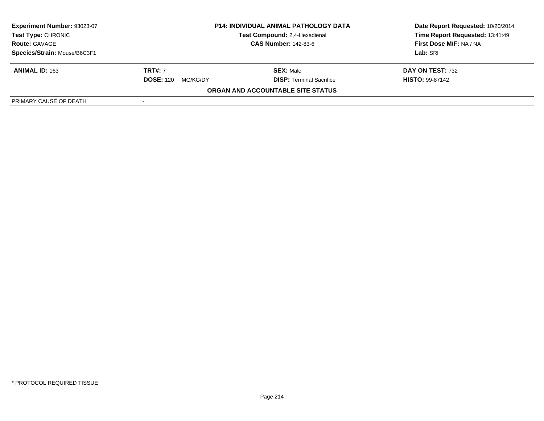| Experiment Number: 93023-07  |                              | <b>P14: INDIVIDUAL ANIMAL PATHOLOGY DATA</b> | Date Report Requested: 10/20/2014 |  |
|------------------------------|------------------------------|----------------------------------------------|-----------------------------------|--|
| <b>Test Type: CHRONIC</b>    |                              | <b>Test Compound: 2.4-Hexadienal</b>         | Time Report Requested: 13:41:49   |  |
| <b>Route: GAVAGE</b>         |                              | <b>CAS Number: 142-83-6</b>                  | First Dose M/F: NA / NA           |  |
| Species/Strain: Mouse/B6C3F1 |                              |                                              | Lab: SRI                          |  |
| <b>ANIMAL ID: 163</b>        | <b>TRT#: 7</b>               | <b>SEX: Male</b>                             | DAY ON TEST: 732                  |  |
|                              | <b>DOSE: 120</b><br>MG/KG/DY | <b>DISP: Terminal Sacrifice</b>              | <b>HISTO: 99-87142</b>            |  |
|                              |                              | ORGAN AND ACCOUNTABLE SITE STATUS            |                                   |  |
| PRIMARY CAUSE OF DEATH       |                              |                                              |                                   |  |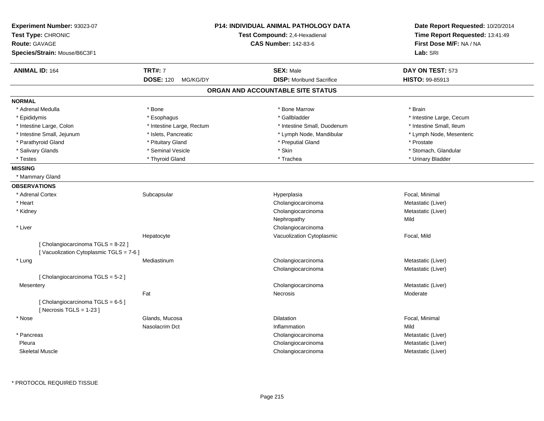| Experiment Number: 93023-07<br>Test Type: CHRONIC<br><b>Route: GAVAGE</b><br>Species/Strain: Mouse/B6C3F1 |                              | <b>P14: INDIVIDUAL ANIMAL PATHOLOGY DATA</b><br>Test Compound: 2,4-Hexadienal<br><b>CAS Number: 142-83-6</b> | Date Report Requested: 10/20/2014<br>Time Report Requested: 13:41:49<br>First Dose M/F: NA / NA<br>Lab: SRI |
|-----------------------------------------------------------------------------------------------------------|------------------------------|--------------------------------------------------------------------------------------------------------------|-------------------------------------------------------------------------------------------------------------|
| <b>ANIMAL ID: 164</b>                                                                                     | <b>TRT#: 7</b>               | <b>SEX: Male</b>                                                                                             | DAY ON TEST: 573                                                                                            |
|                                                                                                           | <b>DOSE: 120</b><br>MG/KG/DY | <b>DISP:</b> Moribund Sacrifice                                                                              | HISTO: 99-85913                                                                                             |
|                                                                                                           |                              | ORGAN AND ACCOUNTABLE SITE STATUS                                                                            |                                                                                                             |
| <b>NORMAL</b>                                                                                             |                              |                                                                                                              |                                                                                                             |
| * Adrenal Medulla                                                                                         | * Bone                       | * Bone Marrow                                                                                                | * Brain                                                                                                     |
| * Epididymis                                                                                              | * Esophagus                  | * Gallbladder                                                                                                | * Intestine Large, Cecum                                                                                    |
| * Intestine Large, Colon                                                                                  | * Intestine Large, Rectum    | * Intestine Small, Duodenum                                                                                  | * Intestine Small, Ileum                                                                                    |
| * Intestine Small, Jejunum                                                                                | * Islets, Pancreatic         | * Lymph Node, Mandibular                                                                                     | * Lymph Node, Mesenteric                                                                                    |
| * Parathyroid Gland                                                                                       | * Pituitary Gland            | * Preputial Gland                                                                                            | * Prostate                                                                                                  |
| * Salivary Glands                                                                                         | * Seminal Vesicle            | * Skin                                                                                                       | * Stomach, Glandular                                                                                        |
| * Testes                                                                                                  | * Thyroid Gland              | * Trachea                                                                                                    | * Urinary Bladder                                                                                           |
| <b>MISSING</b>                                                                                            |                              |                                                                                                              |                                                                                                             |
| * Mammary Gland                                                                                           |                              |                                                                                                              |                                                                                                             |
| <b>OBSERVATIONS</b>                                                                                       |                              |                                                                                                              |                                                                                                             |
| * Adrenal Cortex                                                                                          | Subcapsular                  | Hyperplasia                                                                                                  | Focal, Minimal                                                                                              |
| * Heart                                                                                                   |                              | Cholangiocarcinoma                                                                                           | Metastatic (Liver)                                                                                          |
| * Kidney                                                                                                  |                              | Cholangiocarcinoma                                                                                           | Metastatic (Liver)                                                                                          |
|                                                                                                           |                              | Nephropathy                                                                                                  | Mild                                                                                                        |
| * Liver                                                                                                   |                              | Cholangiocarcinoma                                                                                           |                                                                                                             |
|                                                                                                           | Hepatocyte                   | Vacuolization Cytoplasmic                                                                                    | Focal, Mild                                                                                                 |
| [ Cholangiocarcinoma TGLS = 8-22 ]<br>[Vacuolization Cytoplasmic TGLS = 7-6]                              |                              |                                                                                                              |                                                                                                             |
| * Lung                                                                                                    | Mediastinum                  | Cholangiocarcinoma                                                                                           | Metastatic (Liver)                                                                                          |
|                                                                                                           |                              | Cholangiocarcinoma                                                                                           | Metastatic (Liver)                                                                                          |
| [Cholangiocarcinoma TGLS = 5-2]                                                                           |                              |                                                                                                              |                                                                                                             |
| Mesentery                                                                                                 |                              | Cholangiocarcinoma                                                                                           | Metastatic (Liver)                                                                                          |
|                                                                                                           | Fat                          | Necrosis                                                                                                     | Moderate                                                                                                    |
| [Cholangiocarcinoma TGLS = 6-5]<br>[Necrosis $TGLS = 1-23$ ]                                              |                              |                                                                                                              |                                                                                                             |
| * Nose                                                                                                    | Glands, Mucosa               | Dilatation                                                                                                   | Focal, Minimal                                                                                              |
|                                                                                                           | Nasolacrim Dct               | Inflammation                                                                                                 | Mild                                                                                                        |
| * Pancreas                                                                                                |                              | Cholangiocarcinoma                                                                                           | Metastatic (Liver)                                                                                          |
| Pleura                                                                                                    |                              | Cholangiocarcinoma                                                                                           | Metastatic (Liver)                                                                                          |
| <b>Skeletal Muscle</b>                                                                                    |                              | Cholangiocarcinoma                                                                                           | Metastatic (Liver)                                                                                          |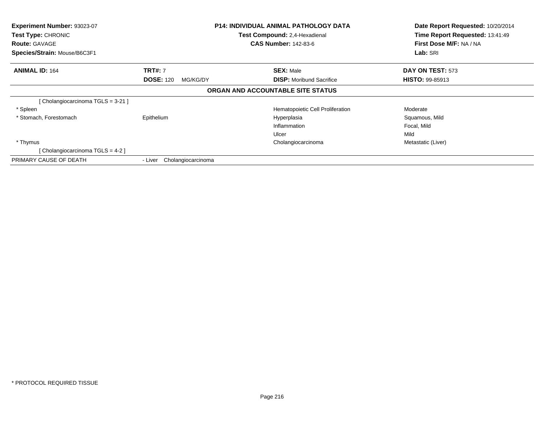| Experiment Number: 93023-07<br>Test Type: CHRONIC<br><b>Route: GAVAGE</b><br>Species/Strain: Mouse/B6C3F1 | <b>P14: INDIVIDUAL ANIMAL PATHOLOGY DATA</b><br>Test Compound: 2,4-Hexadienal<br><b>CAS Number: 142-83-6</b> |                                         | Date Report Requested: 10/20/2014<br>Time Report Requested: 13:41:49<br>First Dose M/F: NA / NA<br>Lab: SRI |  |
|-----------------------------------------------------------------------------------------------------------|--------------------------------------------------------------------------------------------------------------|-----------------------------------------|-------------------------------------------------------------------------------------------------------------|--|
| <b>ANIMAL ID: 164</b>                                                                                     | <b>TRT#: 7</b>                                                                                               | <b>SEX: Male</b>                        | DAY ON TEST: 573                                                                                            |  |
|                                                                                                           | <b>DOSE: 120</b><br>MG/KG/DY                                                                                 | <b>DISP:</b> Moribund Sacrifice         | <b>HISTO: 99-85913</b>                                                                                      |  |
|                                                                                                           |                                                                                                              | ORGAN AND ACCOUNTABLE SITE STATUS       |                                                                                                             |  |
| [Cholangiocarcinoma TGLS = 3-21]                                                                          |                                                                                                              |                                         |                                                                                                             |  |
| * Spleen                                                                                                  |                                                                                                              | <b>Hematopoietic Cell Proliferation</b> | Moderate                                                                                                    |  |
| * Stomach, Forestomach                                                                                    | Epithelium                                                                                                   | Hyperplasia                             | Squamous, Mild                                                                                              |  |
|                                                                                                           |                                                                                                              | Inflammation                            | Focal, Mild                                                                                                 |  |
|                                                                                                           |                                                                                                              | Ulcer                                   | Mild                                                                                                        |  |
| * Thymus                                                                                                  |                                                                                                              | Cholangiocarcinoma                      | Metastatic (Liver)                                                                                          |  |
| [Cholangiocarcinoma TGLS = 4-2]                                                                           |                                                                                                              |                                         |                                                                                                             |  |
| PRIMARY CAUSE OF DEATH                                                                                    | Cholangiocarcinoma<br>- Liver                                                                                |                                         |                                                                                                             |  |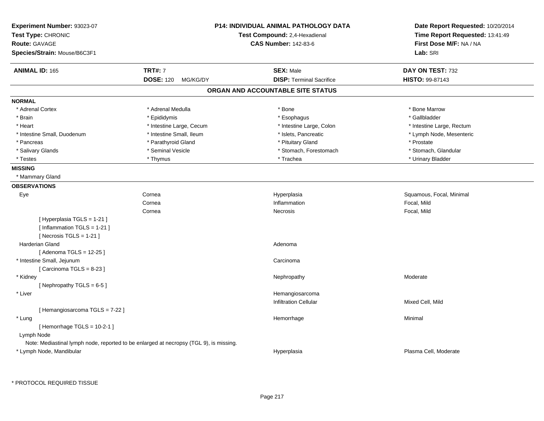| Experiment Number: 93023-07<br>Test Type: CHRONIC<br>Route: GAVAGE<br>Species/Strain: Mouse/B6C3F1 |                              | <b>P14: INDIVIDUAL ANIMAL PATHOLOGY DATA</b><br>Test Compound: 2,4-Hexadienal<br><b>CAS Number: 142-83-6</b> | Date Report Requested: 10/20/2014<br>Time Report Requested: 13:41:49<br>First Dose M/F: NA / NA<br>Lab: SRI |
|----------------------------------------------------------------------------------------------------|------------------------------|--------------------------------------------------------------------------------------------------------------|-------------------------------------------------------------------------------------------------------------|
| <b>ANIMAL ID: 165</b>                                                                              | <b>TRT#: 7</b>               | <b>SEX: Male</b>                                                                                             | DAY ON TEST: 732                                                                                            |
|                                                                                                    | <b>DOSE: 120</b><br>MG/KG/DY | <b>DISP: Terminal Sacrifice</b>                                                                              | HISTO: 99-87143                                                                                             |
|                                                                                                    |                              | ORGAN AND ACCOUNTABLE SITE STATUS                                                                            |                                                                                                             |
| <b>NORMAL</b>                                                                                      |                              |                                                                                                              |                                                                                                             |
| * Adrenal Cortex                                                                                   | * Adrenal Medulla            | * Bone                                                                                                       | * Bone Marrow                                                                                               |
| * Brain                                                                                            | * Epididymis                 | * Esophagus                                                                                                  | * Gallbladder                                                                                               |
| * Heart                                                                                            | * Intestine Large, Cecum     | * Intestine Large, Colon                                                                                     | * Intestine Large, Rectum                                                                                   |
| * Intestine Small, Duodenum                                                                        | * Intestine Small, Ileum     | * Islets, Pancreatic                                                                                         | * Lymph Node, Mesenteric                                                                                    |
| * Pancreas                                                                                         | * Parathyroid Gland          | * Pituitary Gland                                                                                            | * Prostate                                                                                                  |
| * Salivary Glands                                                                                  | * Seminal Vesicle            | * Stomach, Forestomach                                                                                       | * Stomach, Glandular                                                                                        |
| * Testes                                                                                           | * Thymus                     | * Trachea                                                                                                    | * Urinary Bladder                                                                                           |
| <b>MISSING</b>                                                                                     |                              |                                                                                                              |                                                                                                             |
| * Mammary Gland                                                                                    |                              |                                                                                                              |                                                                                                             |
| <b>OBSERVATIONS</b>                                                                                |                              |                                                                                                              |                                                                                                             |
| Eye                                                                                                | Cornea                       | Hyperplasia                                                                                                  | Squamous, Focal, Minimal                                                                                    |
|                                                                                                    | Cornea                       | Inflammation                                                                                                 | Focal, Mild                                                                                                 |
|                                                                                                    | Cornea                       | Necrosis                                                                                                     | Focal, Mild                                                                                                 |
| [ Hyperplasia TGLS = 1-21 ]                                                                        |                              |                                                                                                              |                                                                                                             |
| [Inflammation $TGLS = 1-21$ ]                                                                      |                              |                                                                                                              |                                                                                                             |
| [Necrosis TGLS = 1-21]                                                                             |                              |                                                                                                              |                                                                                                             |
| Harderian Gland                                                                                    |                              | Adenoma                                                                                                      |                                                                                                             |
| [Adenoma TGLS = 12-25]                                                                             |                              |                                                                                                              |                                                                                                             |
| * Intestine Small, Jejunum                                                                         |                              | Carcinoma                                                                                                    |                                                                                                             |
| [Carcinoma TGLS = $8-23$ ]                                                                         |                              |                                                                                                              |                                                                                                             |
| * Kidney                                                                                           |                              | Nephropathy                                                                                                  | Moderate                                                                                                    |
| [Nephropathy TGLS = 6-5]                                                                           |                              |                                                                                                              |                                                                                                             |
| * Liver                                                                                            |                              | Hemangiosarcoma                                                                                              |                                                                                                             |
|                                                                                                    |                              | <b>Infiltration Cellular</b>                                                                                 | Mixed Cell, Mild                                                                                            |
| [Hemangiosarcoma TGLS = 7-22]                                                                      |                              |                                                                                                              |                                                                                                             |
| * Lung                                                                                             |                              | Hemorrhage                                                                                                   | Minimal                                                                                                     |
| [Hemorrhage TGLS = $10-2-1$ ]                                                                      |                              |                                                                                                              |                                                                                                             |
| Lymph Node                                                                                         |                              |                                                                                                              |                                                                                                             |
| Note: Mediastinal lymph node, reported to be enlarged at necropsy (TGL 9), is missing.             |                              |                                                                                                              |                                                                                                             |
| * Lymph Node, Mandibular                                                                           |                              | Hyperplasia                                                                                                  | Plasma Cell, Moderate                                                                                       |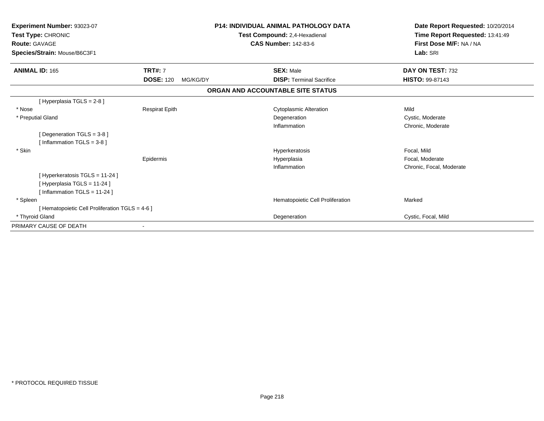| Experiment Number: 93023-07<br>Test Type: CHRONIC<br><b>Route: GAVAGE</b><br>Species/Strain: Mouse/B6C3F1 |                              | <b>P14: INDIVIDUAL ANIMAL PATHOLOGY DATA</b><br>Test Compound: 2,4-Hexadienal<br><b>CAS Number: 142-83-6</b> | Date Report Requested: 10/20/2014<br>Time Report Requested: 13:41:49<br>First Dose M/F: NA / NA<br>Lab: SRI |
|-----------------------------------------------------------------------------------------------------------|------------------------------|--------------------------------------------------------------------------------------------------------------|-------------------------------------------------------------------------------------------------------------|
| <b>ANIMAL ID: 165</b>                                                                                     | <b>TRT#: 7</b>               | <b>SEX: Male</b>                                                                                             | DAY ON TEST: 732                                                                                            |
|                                                                                                           | <b>DOSE: 120</b><br>MG/KG/DY | <b>DISP: Terminal Sacrifice</b>                                                                              | <b>HISTO: 99-87143</b>                                                                                      |
|                                                                                                           |                              | ORGAN AND ACCOUNTABLE SITE STATUS                                                                            |                                                                                                             |
| [Hyperplasia TGLS = 2-8]                                                                                  |                              |                                                                                                              |                                                                                                             |
| * Nose                                                                                                    | <b>Respirat Epith</b>        | <b>Cytoplasmic Alteration</b>                                                                                | Mild                                                                                                        |
| * Preputial Gland                                                                                         |                              | Degeneration                                                                                                 | Cystic, Moderate                                                                                            |
|                                                                                                           |                              | Inflammation                                                                                                 | Chronic, Moderate                                                                                           |
| [Degeneration TGLS = 3-8]                                                                                 |                              |                                                                                                              |                                                                                                             |
| [Inflammation TGLS = $3-8$ ]                                                                              |                              |                                                                                                              |                                                                                                             |
| * Skin                                                                                                    |                              | Hyperkeratosis                                                                                               | Focal, Mild                                                                                                 |
|                                                                                                           | Epidermis                    | Hyperplasia                                                                                                  | Focal, Moderate                                                                                             |
|                                                                                                           |                              | Inflammation                                                                                                 | Chronic, Focal, Moderate                                                                                    |
| [Hyperkeratosis TGLS = 11-24]                                                                             |                              |                                                                                                              |                                                                                                             |
| [Hyperplasia TGLS = 11-24]                                                                                |                              |                                                                                                              |                                                                                                             |
| [Inflammation TGLS = 11-24]                                                                               |                              |                                                                                                              |                                                                                                             |
| * Spleen                                                                                                  |                              | Hematopoietic Cell Proliferation                                                                             | Marked                                                                                                      |
| [ Hematopoietic Cell Proliferation TGLS = 4-6 ]                                                           |                              |                                                                                                              |                                                                                                             |
| * Thyroid Gland                                                                                           |                              | Degeneration                                                                                                 | Cystic, Focal, Mild                                                                                         |
| PRIMARY CAUSE OF DEATH                                                                                    |                              |                                                                                                              |                                                                                                             |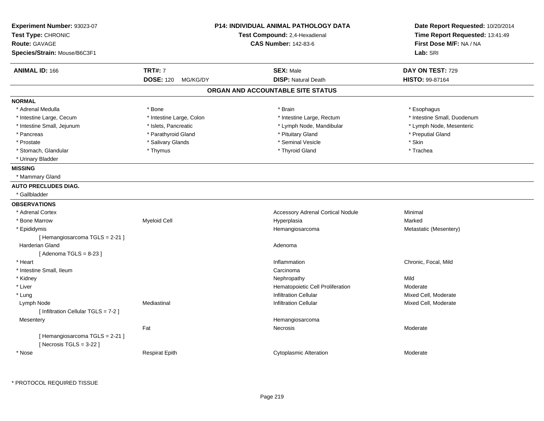| <b>TRT#: 7</b><br><b>ANIMAL ID: 166</b><br><b>SEX: Male</b><br>DAY ON TEST: 729<br><b>DISP: Natural Death</b><br><b>DOSE: 120</b><br><b>HISTO: 99-87164</b><br>MG/KG/DY<br>ORGAN AND ACCOUNTABLE SITE STATUS<br><b>NORMAL</b><br>* Adrenal Medulla<br>* Bone<br>* Brain<br>* Esophagus<br>* Intestine Large, Cecum<br>* Intestine Large, Colon<br>* Intestine Large, Rectum<br>* Intestine Small, Duodenum<br>* Intestine Small, Jejunum<br>* Islets, Pancreatic<br>* Lymph Node, Mandibular<br>* Lymph Node, Mesenteric<br>* Parathyroid Gland<br>* Pituitary Gland<br>* Preputial Gland<br>* Pancreas<br>* Prostate<br>* Salivary Glands<br>* Seminal Vesicle<br>* Skin<br>* Stomach, Glandular<br>* Thymus<br>* Thyroid Gland<br>* Trachea<br>* Urinary Bladder<br><b>MISSING</b><br>* Mammary Gland<br><b>AUTO PRECLUDES DIAG.</b><br>* Gallbladder<br><b>OBSERVATIONS</b><br>* Adrenal Cortex<br><b>Accessory Adrenal Cortical Nodule</b><br>Minimal<br>* Bone Marrow<br><b>Myeloid Cell</b><br>Hyperplasia<br>Marked<br>* Epididymis<br>Hemangiosarcoma<br>Metastatic (Mesentery)<br>[Hemangiosarcoma TGLS = 2-21]<br><b>Harderian Gland</b><br>Adenoma<br>[Adenoma TGLS = $8-23$ ]<br>Inflammation<br>Chronic, Focal, Mild<br>* Heart<br>* Intestine Small, Ileum<br>Carcinoma<br>* Kidney<br>Mild<br>Nephropathy<br>* Liver<br>Hematopoietic Cell Proliferation<br>Moderate<br><b>Infiltration Cellular</b><br>* Lung<br>Mixed Cell, Moderate<br>Lymph Node<br>Mediastinal<br><b>Infiltration Cellular</b><br>Mixed Cell, Moderate<br>[ Infiltration Cellular TGLS = 7-2 ]<br>Hemangiosarcoma<br>Mesentery<br>Fat<br>Moderate<br><b>Necrosis</b><br>[Hemangiosarcoma TGLS = 2-21]<br>[ Necrosis TGLS = $3-22$ ]<br>Moderate<br>* Nose<br><b>Respirat Epith</b><br><b>Cytoplasmic Alteration</b> | Experiment Number: 93023-07<br>Test Type: CHRONIC<br><b>Route: GAVAGE</b><br>Species/Strain: Mouse/B6C3F1 | <b>P14: INDIVIDUAL ANIMAL PATHOLOGY DATA</b><br>Test Compound: 2,4-Hexadienal<br><b>CAS Number: 142-83-6</b> | Date Report Requested: 10/20/2014<br>Time Report Requested: 13:41:49<br>First Dose M/F: NA / NA<br>Lab: SRI |
|---------------------------------------------------------------------------------------------------------------------------------------------------------------------------------------------------------------------------------------------------------------------------------------------------------------------------------------------------------------------------------------------------------------------------------------------------------------------------------------------------------------------------------------------------------------------------------------------------------------------------------------------------------------------------------------------------------------------------------------------------------------------------------------------------------------------------------------------------------------------------------------------------------------------------------------------------------------------------------------------------------------------------------------------------------------------------------------------------------------------------------------------------------------------------------------------------------------------------------------------------------------------------------------------------------------------------------------------------------------------------------------------------------------------------------------------------------------------------------------------------------------------------------------------------------------------------------------------------------------------------------------------------------------------------------------------------------------------------------------------------------------------------------------------------------|-----------------------------------------------------------------------------------------------------------|--------------------------------------------------------------------------------------------------------------|-------------------------------------------------------------------------------------------------------------|
|                                                                                                                                                                                                                                                                                                                                                                                                                                                                                                                                                                                                                                                                                                                                                                                                                                                                                                                                                                                                                                                                                                                                                                                                                                                                                                                                                                                                                                                                                                                                                                                                                                                                                                                                                                                                         |                                                                                                           |                                                                                                              |                                                                                                             |
|                                                                                                                                                                                                                                                                                                                                                                                                                                                                                                                                                                                                                                                                                                                                                                                                                                                                                                                                                                                                                                                                                                                                                                                                                                                                                                                                                                                                                                                                                                                                                                                                                                                                                                                                                                                                         |                                                                                                           |                                                                                                              |                                                                                                             |
|                                                                                                                                                                                                                                                                                                                                                                                                                                                                                                                                                                                                                                                                                                                                                                                                                                                                                                                                                                                                                                                                                                                                                                                                                                                                                                                                                                                                                                                                                                                                                                                                                                                                                                                                                                                                         |                                                                                                           |                                                                                                              |                                                                                                             |
|                                                                                                                                                                                                                                                                                                                                                                                                                                                                                                                                                                                                                                                                                                                                                                                                                                                                                                                                                                                                                                                                                                                                                                                                                                                                                                                                                                                                                                                                                                                                                                                                                                                                                                                                                                                                         |                                                                                                           |                                                                                                              |                                                                                                             |
|                                                                                                                                                                                                                                                                                                                                                                                                                                                                                                                                                                                                                                                                                                                                                                                                                                                                                                                                                                                                                                                                                                                                                                                                                                                                                                                                                                                                                                                                                                                                                                                                                                                                                                                                                                                                         |                                                                                                           |                                                                                                              |                                                                                                             |
|                                                                                                                                                                                                                                                                                                                                                                                                                                                                                                                                                                                                                                                                                                                                                                                                                                                                                                                                                                                                                                                                                                                                                                                                                                                                                                                                                                                                                                                                                                                                                                                                                                                                                                                                                                                                         |                                                                                                           |                                                                                                              |                                                                                                             |
|                                                                                                                                                                                                                                                                                                                                                                                                                                                                                                                                                                                                                                                                                                                                                                                                                                                                                                                                                                                                                                                                                                                                                                                                                                                                                                                                                                                                                                                                                                                                                                                                                                                                                                                                                                                                         |                                                                                                           |                                                                                                              |                                                                                                             |
|                                                                                                                                                                                                                                                                                                                                                                                                                                                                                                                                                                                                                                                                                                                                                                                                                                                                                                                                                                                                                                                                                                                                                                                                                                                                                                                                                                                                                                                                                                                                                                                                                                                                                                                                                                                                         |                                                                                                           |                                                                                                              |                                                                                                             |
|                                                                                                                                                                                                                                                                                                                                                                                                                                                                                                                                                                                                                                                                                                                                                                                                                                                                                                                                                                                                                                                                                                                                                                                                                                                                                                                                                                                                                                                                                                                                                                                                                                                                                                                                                                                                         |                                                                                                           |                                                                                                              |                                                                                                             |
|                                                                                                                                                                                                                                                                                                                                                                                                                                                                                                                                                                                                                                                                                                                                                                                                                                                                                                                                                                                                                                                                                                                                                                                                                                                                                                                                                                                                                                                                                                                                                                                                                                                                                                                                                                                                         |                                                                                                           |                                                                                                              |                                                                                                             |
|                                                                                                                                                                                                                                                                                                                                                                                                                                                                                                                                                                                                                                                                                                                                                                                                                                                                                                                                                                                                                                                                                                                                                                                                                                                                                                                                                                                                                                                                                                                                                                                                                                                                                                                                                                                                         |                                                                                                           |                                                                                                              |                                                                                                             |
|                                                                                                                                                                                                                                                                                                                                                                                                                                                                                                                                                                                                                                                                                                                                                                                                                                                                                                                                                                                                                                                                                                                                                                                                                                                                                                                                                                                                                                                                                                                                                                                                                                                                                                                                                                                                         |                                                                                                           |                                                                                                              |                                                                                                             |
|                                                                                                                                                                                                                                                                                                                                                                                                                                                                                                                                                                                                                                                                                                                                                                                                                                                                                                                                                                                                                                                                                                                                                                                                                                                                                                                                                                                                                                                                                                                                                                                                                                                                                                                                                                                                         |                                                                                                           |                                                                                                              |                                                                                                             |
|                                                                                                                                                                                                                                                                                                                                                                                                                                                                                                                                                                                                                                                                                                                                                                                                                                                                                                                                                                                                                                                                                                                                                                                                                                                                                                                                                                                                                                                                                                                                                                                                                                                                                                                                                                                                         |                                                                                                           |                                                                                                              |                                                                                                             |
|                                                                                                                                                                                                                                                                                                                                                                                                                                                                                                                                                                                                                                                                                                                                                                                                                                                                                                                                                                                                                                                                                                                                                                                                                                                                                                                                                                                                                                                                                                                                                                                                                                                                                                                                                                                                         |                                                                                                           |                                                                                                              |                                                                                                             |
|                                                                                                                                                                                                                                                                                                                                                                                                                                                                                                                                                                                                                                                                                                                                                                                                                                                                                                                                                                                                                                                                                                                                                                                                                                                                                                                                                                                                                                                                                                                                                                                                                                                                                                                                                                                                         |                                                                                                           |                                                                                                              |                                                                                                             |
|                                                                                                                                                                                                                                                                                                                                                                                                                                                                                                                                                                                                                                                                                                                                                                                                                                                                                                                                                                                                                                                                                                                                                                                                                                                                                                                                                                                                                                                                                                                                                                                                                                                                                                                                                                                                         |                                                                                                           |                                                                                                              |                                                                                                             |
|                                                                                                                                                                                                                                                                                                                                                                                                                                                                                                                                                                                                                                                                                                                                                                                                                                                                                                                                                                                                                                                                                                                                                                                                                                                                                                                                                                                                                                                                                                                                                                                                                                                                                                                                                                                                         |                                                                                                           |                                                                                                              |                                                                                                             |
|                                                                                                                                                                                                                                                                                                                                                                                                                                                                                                                                                                                                                                                                                                                                                                                                                                                                                                                                                                                                                                                                                                                                                                                                                                                                                                                                                                                                                                                                                                                                                                                                                                                                                                                                                                                                         |                                                                                                           |                                                                                                              |                                                                                                             |
|                                                                                                                                                                                                                                                                                                                                                                                                                                                                                                                                                                                                                                                                                                                                                                                                                                                                                                                                                                                                                                                                                                                                                                                                                                                                                                                                                                                                                                                                                                                                                                                                                                                                                                                                                                                                         |                                                                                                           |                                                                                                              |                                                                                                             |
|                                                                                                                                                                                                                                                                                                                                                                                                                                                                                                                                                                                                                                                                                                                                                                                                                                                                                                                                                                                                                                                                                                                                                                                                                                                                                                                                                                                                                                                                                                                                                                                                                                                                                                                                                                                                         |                                                                                                           |                                                                                                              |                                                                                                             |
|                                                                                                                                                                                                                                                                                                                                                                                                                                                                                                                                                                                                                                                                                                                                                                                                                                                                                                                                                                                                                                                                                                                                                                                                                                                                                                                                                                                                                                                                                                                                                                                                                                                                                                                                                                                                         |                                                                                                           |                                                                                                              |                                                                                                             |
|                                                                                                                                                                                                                                                                                                                                                                                                                                                                                                                                                                                                                                                                                                                                                                                                                                                                                                                                                                                                                                                                                                                                                                                                                                                                                                                                                                                                                                                                                                                                                                                                                                                                                                                                                                                                         |                                                                                                           |                                                                                                              |                                                                                                             |
|                                                                                                                                                                                                                                                                                                                                                                                                                                                                                                                                                                                                                                                                                                                                                                                                                                                                                                                                                                                                                                                                                                                                                                                                                                                                                                                                                                                                                                                                                                                                                                                                                                                                                                                                                                                                         |                                                                                                           |                                                                                                              |                                                                                                             |
|                                                                                                                                                                                                                                                                                                                                                                                                                                                                                                                                                                                                                                                                                                                                                                                                                                                                                                                                                                                                                                                                                                                                                                                                                                                                                                                                                                                                                                                                                                                                                                                                                                                                                                                                                                                                         |                                                                                                           |                                                                                                              |                                                                                                             |
|                                                                                                                                                                                                                                                                                                                                                                                                                                                                                                                                                                                                                                                                                                                                                                                                                                                                                                                                                                                                                                                                                                                                                                                                                                                                                                                                                                                                                                                                                                                                                                                                                                                                                                                                                                                                         |                                                                                                           |                                                                                                              |                                                                                                             |
|                                                                                                                                                                                                                                                                                                                                                                                                                                                                                                                                                                                                                                                                                                                                                                                                                                                                                                                                                                                                                                                                                                                                                                                                                                                                                                                                                                                                                                                                                                                                                                                                                                                                                                                                                                                                         |                                                                                                           |                                                                                                              |                                                                                                             |
|                                                                                                                                                                                                                                                                                                                                                                                                                                                                                                                                                                                                                                                                                                                                                                                                                                                                                                                                                                                                                                                                                                                                                                                                                                                                                                                                                                                                                                                                                                                                                                                                                                                                                                                                                                                                         |                                                                                                           |                                                                                                              |                                                                                                             |
|                                                                                                                                                                                                                                                                                                                                                                                                                                                                                                                                                                                                                                                                                                                                                                                                                                                                                                                                                                                                                                                                                                                                                                                                                                                                                                                                                                                                                                                                                                                                                                                                                                                                                                                                                                                                         |                                                                                                           |                                                                                                              |                                                                                                             |
|                                                                                                                                                                                                                                                                                                                                                                                                                                                                                                                                                                                                                                                                                                                                                                                                                                                                                                                                                                                                                                                                                                                                                                                                                                                                                                                                                                                                                                                                                                                                                                                                                                                                                                                                                                                                         |                                                                                                           |                                                                                                              |                                                                                                             |
|                                                                                                                                                                                                                                                                                                                                                                                                                                                                                                                                                                                                                                                                                                                                                                                                                                                                                                                                                                                                                                                                                                                                                                                                                                                                                                                                                                                                                                                                                                                                                                                                                                                                                                                                                                                                         |                                                                                                           |                                                                                                              |                                                                                                             |
|                                                                                                                                                                                                                                                                                                                                                                                                                                                                                                                                                                                                                                                                                                                                                                                                                                                                                                                                                                                                                                                                                                                                                                                                                                                                                                                                                                                                                                                                                                                                                                                                                                                                                                                                                                                                         |                                                                                                           |                                                                                                              |                                                                                                             |
|                                                                                                                                                                                                                                                                                                                                                                                                                                                                                                                                                                                                                                                                                                                                                                                                                                                                                                                                                                                                                                                                                                                                                                                                                                                                                                                                                                                                                                                                                                                                                                                                                                                                                                                                                                                                         |                                                                                                           |                                                                                                              |                                                                                                             |
|                                                                                                                                                                                                                                                                                                                                                                                                                                                                                                                                                                                                                                                                                                                                                                                                                                                                                                                                                                                                                                                                                                                                                                                                                                                                                                                                                                                                                                                                                                                                                                                                                                                                                                                                                                                                         |                                                                                                           |                                                                                                              |                                                                                                             |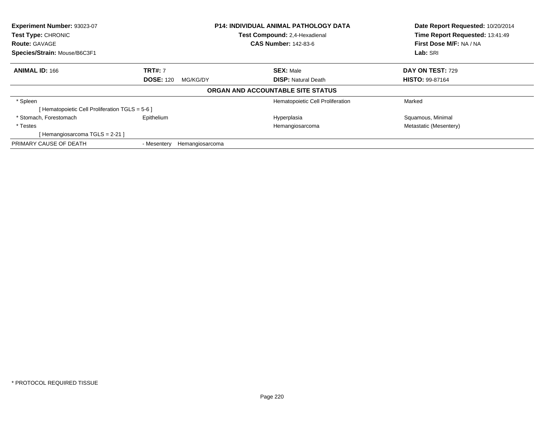| Experiment Number: 93023-07                     |                                | <b>P14: INDIVIDUAL ANIMAL PATHOLOGY DATA</b> | Date Report Requested: 10/20/2014 |
|-------------------------------------------------|--------------------------------|----------------------------------------------|-----------------------------------|
| Test Type: CHRONIC                              |                                | Test Compound: 2,4-Hexadienal                | Time Report Requested: 13:41:49   |
| <b>Route: GAVAGE</b>                            |                                | <b>CAS Number: 142-83-6</b>                  | First Dose M/F: NA / NA           |
| Species/Strain: Mouse/B6C3F1                    |                                |                                              | Lab: SRI                          |
| <b>ANIMAL ID: 166</b>                           | <b>TRT#: 7</b>                 | <b>SEX: Male</b>                             | DAY ON TEST: 729                  |
|                                                 | <b>DOSE: 120</b><br>MG/KG/DY   | <b>DISP:</b> Natural Death                   | <b>HISTO: 99-87164</b>            |
|                                                 |                                | ORGAN AND ACCOUNTABLE SITE STATUS            |                                   |
| * Spleen                                        |                                | Hematopoietic Cell Proliferation             | Marked                            |
| [ Hematopoietic Cell Proliferation TGLS = 5-6 ] |                                |                                              |                                   |
| * Stomach. Forestomach                          | Epithelium                     | Hyperplasia                                  | Squamous, Minimal                 |
| * Testes                                        |                                | Hemangiosarcoma                              | Metastatic (Mesentery)            |
| [Hemangiosarcoma TGLS = 2-21]                   |                                |                                              |                                   |
| PRIMARY CAUSE OF DEATH                          | Hemangiosarcoma<br>- Mesentery |                                              |                                   |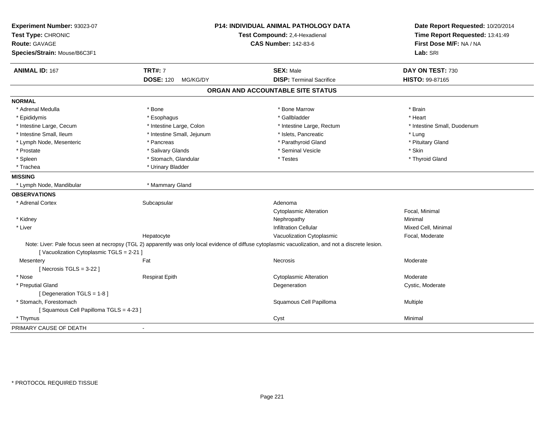| Experiment Number: 93023-07<br>Test Type: CHRONIC |                              | <b>P14: INDIVIDUAL ANIMAL PATHOLOGY DATA</b><br>Test Compound: 2,4-Hexadienal                                                                        | Date Report Requested: 10/20/2014<br>Time Report Requested: 13:41:49 |
|---------------------------------------------------|------------------------------|------------------------------------------------------------------------------------------------------------------------------------------------------|----------------------------------------------------------------------|
| <b>Route: GAVAGE</b>                              |                              | <b>CAS Number: 142-83-6</b>                                                                                                                          | First Dose M/F: NA / NA                                              |
| Species/Strain: Mouse/B6C3F1                      |                              |                                                                                                                                                      | Lab: SRI                                                             |
| <b>ANIMAL ID: 167</b>                             | <b>TRT#: 7</b>               | <b>SEX: Male</b>                                                                                                                                     | DAY ON TEST: 730                                                     |
|                                                   | <b>DOSE: 120</b><br>MG/KG/DY | <b>DISP: Terminal Sacrifice</b>                                                                                                                      | <b>HISTO: 99-87165</b>                                               |
|                                                   |                              | ORGAN AND ACCOUNTABLE SITE STATUS                                                                                                                    |                                                                      |
| <b>NORMAL</b>                                     |                              |                                                                                                                                                      |                                                                      |
| * Adrenal Medulla                                 | * Bone                       | * Bone Marrow                                                                                                                                        | * Brain                                                              |
| * Epididymis                                      | * Esophagus                  | * Gallbladder                                                                                                                                        | * Heart                                                              |
| * Intestine Large, Cecum                          | * Intestine Large, Colon     | * Intestine Large, Rectum                                                                                                                            | * Intestine Small, Duodenum                                          |
| * Intestine Small, Ileum                          | * Intestine Small, Jejunum   | * Islets, Pancreatic                                                                                                                                 | * Lung                                                               |
| * Lymph Node, Mesenteric                          | * Pancreas                   | * Parathyroid Gland                                                                                                                                  | * Pituitary Gland                                                    |
| * Prostate                                        | * Salivary Glands            | * Seminal Vesicle                                                                                                                                    | * Skin                                                               |
| * Spleen                                          | * Stomach, Glandular         | * Testes                                                                                                                                             | * Thyroid Gland                                                      |
| * Trachea                                         | * Urinary Bladder            |                                                                                                                                                      |                                                                      |
| <b>MISSING</b>                                    |                              |                                                                                                                                                      |                                                                      |
| * Lymph Node, Mandibular                          | * Mammary Gland              |                                                                                                                                                      |                                                                      |
| <b>OBSERVATIONS</b>                               |                              |                                                                                                                                                      |                                                                      |
| * Adrenal Cortex                                  | Subcapsular                  | Adenoma                                                                                                                                              |                                                                      |
|                                                   |                              | <b>Cytoplasmic Alteration</b>                                                                                                                        | Focal, Minimal                                                       |
| * Kidney                                          |                              | Nephropathy                                                                                                                                          | Minimal                                                              |
| * Liver                                           |                              | <b>Infiltration Cellular</b>                                                                                                                         | Mixed Cell, Minimal                                                  |
|                                                   | Hepatocyte                   | Vacuolization Cytoplasmic                                                                                                                            | Focal, Moderate                                                      |
| [Vacuolization Cytoplasmic TGLS = 2-21]           |                              | Note: Liver: Pale focus seen at necropsy (TGL 2) apparently was only local evidence of diffuse cytoplasmic vacuolization, and not a discrete lesion. |                                                                      |
| Mesentery                                         | Fat                          | Necrosis                                                                                                                                             | Moderate                                                             |
| [Necrosis $TGLS = 3-22$ ]                         |                              |                                                                                                                                                      |                                                                      |
| * Nose                                            | <b>Respirat Epith</b>        | <b>Cytoplasmic Alteration</b>                                                                                                                        | Moderate                                                             |
| * Preputial Gland                                 |                              | Degeneration                                                                                                                                         | Cystic, Moderate                                                     |
| [Degeneration TGLS = 1-8]                         |                              |                                                                                                                                                      |                                                                      |
| * Stomach, Forestomach                            |                              | Squamous Cell Papilloma                                                                                                                              | Multiple                                                             |
| [Squamous Cell Papilloma TGLS = 4-23]             |                              |                                                                                                                                                      |                                                                      |
| * Thymus                                          |                              | Cyst                                                                                                                                                 | Minimal                                                              |
| PRIMARY CAUSE OF DEATH                            | $\blacksquare$               |                                                                                                                                                      |                                                                      |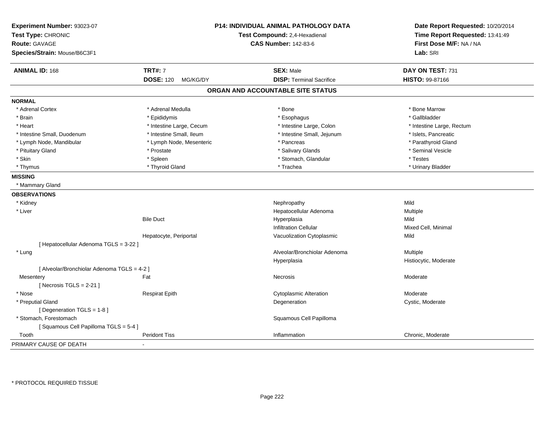| Experiment Number: 93023-07<br>Test Type: CHRONIC<br><b>Route: GAVAGE</b><br>Species/Strain: Mouse/B6C3F1 |                              | P14: INDIVIDUAL ANIMAL PATHOLOGY DATA<br>Test Compound: 2,4-Hexadienal<br><b>CAS Number: 142-83-6</b> | Date Report Requested: 10/20/2014<br>Time Report Requested: 13:41:49<br>First Dose M/F: NA / NA<br>Lab: SRI |
|-----------------------------------------------------------------------------------------------------------|------------------------------|-------------------------------------------------------------------------------------------------------|-------------------------------------------------------------------------------------------------------------|
| <b>ANIMAL ID: 168</b>                                                                                     | <b>TRT#: 7</b>               | <b>SEX: Male</b>                                                                                      | DAY ON TEST: 731                                                                                            |
|                                                                                                           | <b>DOSE: 120</b><br>MG/KG/DY | <b>DISP: Terminal Sacrifice</b>                                                                       | HISTO: 99-87166                                                                                             |
|                                                                                                           |                              | ORGAN AND ACCOUNTABLE SITE STATUS                                                                     |                                                                                                             |
| <b>NORMAL</b>                                                                                             |                              |                                                                                                       |                                                                                                             |
| * Adrenal Cortex                                                                                          | * Adrenal Medulla            | * Bone                                                                                                | * Bone Marrow                                                                                               |
| * Brain                                                                                                   | * Epididymis                 | * Esophagus                                                                                           | * Gallbladder                                                                                               |
| * Heart                                                                                                   | * Intestine Large, Cecum     | * Intestine Large, Colon                                                                              | * Intestine Large, Rectum                                                                                   |
| * Intestine Small, Duodenum                                                                               | * Intestine Small, Ileum     | * Intestine Small, Jejunum                                                                            | * Islets, Pancreatic                                                                                        |
| * Lymph Node, Mandibular                                                                                  | * Lymph Node, Mesenteric     | * Pancreas                                                                                            | * Parathyroid Gland                                                                                         |
| * Pituitary Gland                                                                                         | * Prostate                   | * Salivary Glands                                                                                     | * Seminal Vesicle                                                                                           |
| * Skin                                                                                                    | * Spleen                     | * Stomach, Glandular                                                                                  | * Testes                                                                                                    |
| * Thymus                                                                                                  | * Thyroid Gland              | * Trachea                                                                                             | * Urinary Bladder                                                                                           |
| <b>MISSING</b>                                                                                            |                              |                                                                                                       |                                                                                                             |
| * Mammary Gland                                                                                           |                              |                                                                                                       |                                                                                                             |
| <b>OBSERVATIONS</b>                                                                                       |                              |                                                                                                       |                                                                                                             |
| * Kidney                                                                                                  |                              | Nephropathy                                                                                           | Mild                                                                                                        |
| * Liver                                                                                                   |                              | Hepatocellular Adenoma                                                                                | Multiple                                                                                                    |
|                                                                                                           | <b>Bile Duct</b>             | Hyperplasia                                                                                           | Mild                                                                                                        |
|                                                                                                           |                              | Infiltration Cellular                                                                                 | Mixed Cell, Minimal                                                                                         |
|                                                                                                           | Hepatocyte, Periportal       | Vacuolization Cytoplasmic                                                                             | Mild                                                                                                        |
| [ Hepatocellular Adenoma TGLS = 3-22 ]                                                                    |                              |                                                                                                       |                                                                                                             |
| * Lung                                                                                                    |                              | Alveolar/Bronchiolar Adenoma                                                                          | Multiple                                                                                                    |
|                                                                                                           |                              | Hyperplasia                                                                                           | Histiocytic, Moderate                                                                                       |
| [ Alveolar/Bronchiolar Adenoma TGLS = 4-2 ]                                                               |                              |                                                                                                       |                                                                                                             |
| Mesentery                                                                                                 | Fat                          | Necrosis                                                                                              | Moderate                                                                                                    |
| [Necrosis TGLS = $2-21$ ]                                                                                 |                              |                                                                                                       |                                                                                                             |
| * Nose                                                                                                    | <b>Respirat Epith</b>        | <b>Cytoplasmic Alteration</b>                                                                         | Moderate                                                                                                    |
| * Preputial Gland                                                                                         |                              | Degeneration                                                                                          | Cystic, Moderate                                                                                            |
| [ Degeneration TGLS = 1-8 ]                                                                               |                              |                                                                                                       |                                                                                                             |
| * Stomach, Forestomach                                                                                    |                              | Squamous Cell Papilloma                                                                               |                                                                                                             |
| [Squamous Cell Papilloma TGLS = 5-4]                                                                      |                              |                                                                                                       |                                                                                                             |
| Tooth                                                                                                     | <b>Peridont Tiss</b>         | Inflammation                                                                                          | Chronic, Moderate                                                                                           |
| PRIMARY CAUSE OF DEATH                                                                                    |                              |                                                                                                       |                                                                                                             |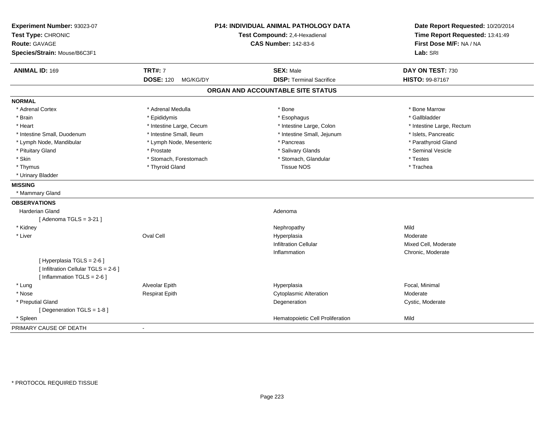| Experiment Number: 93023-07<br>Test Type: CHRONIC<br><b>Route: GAVAGE</b><br>Species/Strain: Mouse/B6C3F1 |                              | P14: INDIVIDUAL ANIMAL PATHOLOGY DATA<br>Test Compound: 2,4-Hexadienal<br><b>CAS Number: 142-83-6</b> | Date Report Requested: 10/20/2014<br>Time Report Requested: 13:41:49<br>First Dose M/F: NA / NA<br>Lab: SRI |
|-----------------------------------------------------------------------------------------------------------|------------------------------|-------------------------------------------------------------------------------------------------------|-------------------------------------------------------------------------------------------------------------|
| <b>ANIMAL ID: 169</b>                                                                                     | <b>TRT#: 7</b>               | <b>SEX: Male</b>                                                                                      | DAY ON TEST: 730                                                                                            |
|                                                                                                           | <b>DOSE: 120</b><br>MG/KG/DY | <b>DISP: Terminal Sacrifice</b>                                                                       | HISTO: 99-87167                                                                                             |
|                                                                                                           |                              | ORGAN AND ACCOUNTABLE SITE STATUS                                                                     |                                                                                                             |
| <b>NORMAL</b>                                                                                             |                              |                                                                                                       |                                                                                                             |
| * Adrenal Cortex                                                                                          | * Adrenal Medulla            | * Bone                                                                                                | * Bone Marrow                                                                                               |
| * Brain                                                                                                   | * Epididymis                 | * Esophagus                                                                                           | * Gallbladder                                                                                               |
| * Heart                                                                                                   | * Intestine Large, Cecum     | * Intestine Large, Colon                                                                              | * Intestine Large, Rectum                                                                                   |
| * Intestine Small, Duodenum                                                                               | * Intestine Small, Ileum     | * Intestine Small, Jejunum                                                                            | * Islets, Pancreatic                                                                                        |
| * Lymph Node, Mandibular                                                                                  | * Lymph Node, Mesenteric     | * Pancreas                                                                                            | * Parathyroid Gland                                                                                         |
| * Pituitary Gland                                                                                         | * Prostate                   | * Salivary Glands                                                                                     | * Seminal Vesicle                                                                                           |
| * Skin                                                                                                    | * Stomach, Forestomach       | * Stomach, Glandular                                                                                  | * Testes                                                                                                    |
| * Thymus                                                                                                  | * Thyroid Gland              | <b>Tissue NOS</b>                                                                                     | * Trachea                                                                                                   |
| * Urinary Bladder                                                                                         |                              |                                                                                                       |                                                                                                             |
| <b>MISSING</b>                                                                                            |                              |                                                                                                       |                                                                                                             |
| * Mammary Gland                                                                                           |                              |                                                                                                       |                                                                                                             |
| <b>OBSERVATIONS</b>                                                                                       |                              |                                                                                                       |                                                                                                             |
| <b>Harderian Gland</b>                                                                                    |                              | Adenoma                                                                                               |                                                                                                             |
| [Adenoma TGLS = $3-21$ ]                                                                                  |                              |                                                                                                       |                                                                                                             |
| * Kidney                                                                                                  |                              | Nephropathy                                                                                           | Mild                                                                                                        |
| * Liver                                                                                                   | Oval Cell                    | Hyperplasia                                                                                           | Moderate                                                                                                    |
|                                                                                                           |                              | <b>Infiltration Cellular</b>                                                                          | Mixed Cell, Moderate                                                                                        |
|                                                                                                           |                              | Inflammation                                                                                          | Chronic, Moderate                                                                                           |
| [ Hyperplasia TGLS = 2-6 ]                                                                                |                              |                                                                                                       |                                                                                                             |
| [ Infiltration Cellular TGLS = 2-6 ]                                                                      |                              |                                                                                                       |                                                                                                             |
| [ Inflammation $TGLS = 2-6$ ]                                                                             |                              |                                                                                                       |                                                                                                             |
| * Lung                                                                                                    | Alveolar Epith               | Hyperplasia                                                                                           | Focal, Minimal                                                                                              |
| * Nose                                                                                                    | <b>Respirat Epith</b>        | <b>Cytoplasmic Alteration</b>                                                                         | Moderate                                                                                                    |
| * Preputial Gland                                                                                         |                              | Degeneration                                                                                          | Cystic, Moderate                                                                                            |
| [ Degeneration TGLS = 1-8 ]                                                                               |                              |                                                                                                       |                                                                                                             |
| * Spleen                                                                                                  |                              | Hematopoietic Cell Proliferation                                                                      | Mild                                                                                                        |
| PRIMARY CAUSE OF DEATH                                                                                    |                              |                                                                                                       |                                                                                                             |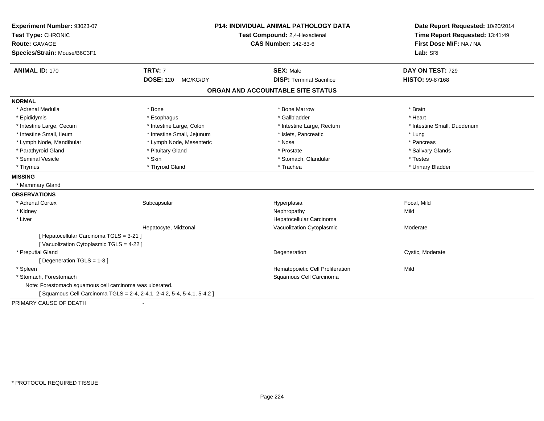| Experiment Number: 93023-07<br>Test Type: CHRONIC<br><b>Route: GAVAGE</b><br>Species/Strain: Mouse/B6C3F1 |                                                                       | <b>P14: INDIVIDUAL ANIMAL PATHOLOGY DATA</b><br>Test Compound: 2,4-Hexadienal<br><b>CAS Number: 142-83-6</b> | Date Report Requested: 10/20/2014<br>Time Report Requested: 13:41:49<br>First Dose M/F: NA / NA<br>Lab: SRI |
|-----------------------------------------------------------------------------------------------------------|-----------------------------------------------------------------------|--------------------------------------------------------------------------------------------------------------|-------------------------------------------------------------------------------------------------------------|
| <b>ANIMAL ID: 170</b>                                                                                     | <b>TRT#: 7</b>                                                        | <b>SEX: Male</b>                                                                                             | DAY ON TEST: 729                                                                                            |
|                                                                                                           | <b>DOSE: 120</b><br>MG/KG/DY                                          | <b>DISP: Terminal Sacrifice</b>                                                                              | HISTO: 99-87168                                                                                             |
|                                                                                                           |                                                                       | ORGAN AND ACCOUNTABLE SITE STATUS                                                                            |                                                                                                             |
| <b>NORMAL</b>                                                                                             |                                                                       |                                                                                                              |                                                                                                             |
| * Adrenal Medulla                                                                                         | * Bone                                                                | * Bone Marrow                                                                                                | * Brain                                                                                                     |
| * Epididymis                                                                                              | * Esophagus                                                           | * Gallbladder                                                                                                | * Heart                                                                                                     |
| * Intestine Large, Cecum                                                                                  | * Intestine Large, Colon                                              | * Intestine Large, Rectum                                                                                    | * Intestine Small, Duodenum                                                                                 |
| * Intestine Small, Ileum                                                                                  | * Intestine Small, Jejunum                                            | * Islets, Pancreatic                                                                                         | * Lung                                                                                                      |
| * Lymph Node, Mandibular                                                                                  | * Lymph Node, Mesenteric                                              | * Nose                                                                                                       | * Pancreas                                                                                                  |
| * Parathyroid Gland                                                                                       | * Pituitary Gland                                                     | * Prostate                                                                                                   | * Salivary Glands                                                                                           |
| * Seminal Vesicle                                                                                         | * Skin                                                                | * Stomach, Glandular                                                                                         | * Testes                                                                                                    |
| * Thymus                                                                                                  | * Thyroid Gland                                                       | * Trachea                                                                                                    | * Urinary Bladder                                                                                           |
| <b>MISSING</b>                                                                                            |                                                                       |                                                                                                              |                                                                                                             |
| * Mammary Gland                                                                                           |                                                                       |                                                                                                              |                                                                                                             |
| <b>OBSERVATIONS</b>                                                                                       |                                                                       |                                                                                                              |                                                                                                             |
| * Adrenal Cortex                                                                                          | Subcapsular                                                           | Hyperplasia                                                                                                  | Focal, Mild                                                                                                 |
| * Kidney                                                                                                  |                                                                       | Nephropathy                                                                                                  | Mild                                                                                                        |
| * Liver                                                                                                   |                                                                       | Hepatocellular Carcinoma                                                                                     |                                                                                                             |
|                                                                                                           | Hepatocyte, Midzonal                                                  | Vacuolization Cytoplasmic                                                                                    | Moderate                                                                                                    |
| [ Hepatocellular Carcinoma TGLS = 3-21 ]                                                                  |                                                                       |                                                                                                              |                                                                                                             |
| [Vacuolization Cytoplasmic TGLS = 4-22 ]                                                                  |                                                                       |                                                                                                              |                                                                                                             |
| * Preputial Gland                                                                                         |                                                                       | Degeneration                                                                                                 | Cystic, Moderate                                                                                            |
| [ Degeneration TGLS = 1-8 ]                                                                               |                                                                       |                                                                                                              |                                                                                                             |
| * Spleen                                                                                                  |                                                                       | Hematopoietic Cell Proliferation                                                                             | Mild                                                                                                        |
| * Stomach, Forestomach                                                                                    |                                                                       | Squamous Cell Carcinoma                                                                                      |                                                                                                             |
| Note: Forestomach squamous cell carcinoma was ulcerated.                                                  |                                                                       |                                                                                                              |                                                                                                             |
|                                                                                                           | [Squamous Cell Carcinoma TGLS = 2-4, 2-4.1, 2-4.2, 5-4, 5-4.1, 5-4.2] |                                                                                                              |                                                                                                             |
| PRIMARY CAUSE OF DEATH                                                                                    |                                                                       |                                                                                                              |                                                                                                             |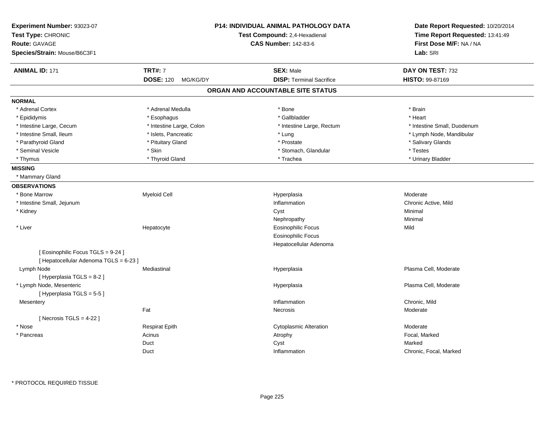| Experiment Number: 93023-07<br>Test Type: CHRONIC<br><b>Route: GAVAGE</b><br>Species/Strain: Mouse/B6C3F1 |                              | <b>P14: INDIVIDUAL ANIMAL PATHOLOGY DATA</b><br>Test Compound: 2,4-Hexadienal<br><b>CAS Number: 142-83-6</b> | Date Report Requested: 10/20/2014<br>Time Report Requested: 13:41:49<br>First Dose M/F: NA / NA<br>Lab: SRI |
|-----------------------------------------------------------------------------------------------------------|------------------------------|--------------------------------------------------------------------------------------------------------------|-------------------------------------------------------------------------------------------------------------|
| <b>ANIMAL ID: 171</b>                                                                                     | <b>TRT#: 7</b>               | <b>SEX: Male</b>                                                                                             | DAY ON TEST: 732                                                                                            |
|                                                                                                           | <b>DOSE: 120</b><br>MG/KG/DY | <b>DISP: Terminal Sacrifice</b>                                                                              | <b>HISTO: 99-87169</b>                                                                                      |
|                                                                                                           |                              | ORGAN AND ACCOUNTABLE SITE STATUS                                                                            |                                                                                                             |
| <b>NORMAL</b>                                                                                             |                              |                                                                                                              |                                                                                                             |
| * Adrenal Cortex                                                                                          | * Adrenal Medulla            | * Bone                                                                                                       | * Brain                                                                                                     |
| * Epididymis                                                                                              | * Esophagus                  | * Gallbladder                                                                                                | * Heart                                                                                                     |
| * Intestine Large, Cecum                                                                                  | * Intestine Large, Colon     | * Intestine Large, Rectum                                                                                    | * Intestine Small, Duodenum                                                                                 |
| * Intestine Small, Ileum                                                                                  | * Islets, Pancreatic         | * Lung                                                                                                       | * Lymph Node, Mandibular                                                                                    |
| * Parathyroid Gland                                                                                       | * Pituitary Gland            | * Prostate                                                                                                   | * Salivary Glands                                                                                           |
| * Seminal Vesicle                                                                                         | * Skin                       | * Stomach, Glandular                                                                                         | * Testes                                                                                                    |
| * Thymus                                                                                                  | * Thyroid Gland              | * Trachea                                                                                                    | * Urinary Bladder                                                                                           |
| <b>MISSING</b>                                                                                            |                              |                                                                                                              |                                                                                                             |
| * Mammary Gland                                                                                           |                              |                                                                                                              |                                                                                                             |
| <b>OBSERVATIONS</b>                                                                                       |                              |                                                                                                              |                                                                                                             |
| * Bone Marrow                                                                                             | <b>Myeloid Cell</b>          | Hyperplasia                                                                                                  | Moderate                                                                                                    |
| * Intestine Small, Jejunum                                                                                |                              | Inflammation                                                                                                 | Chronic Active, Mild                                                                                        |
| * Kidney                                                                                                  |                              | Cyst                                                                                                         | Minimal                                                                                                     |
|                                                                                                           |                              | Nephropathy                                                                                                  | Minimal                                                                                                     |
| * Liver                                                                                                   | Hepatocyte                   | <b>Eosinophilic Focus</b>                                                                                    | Mild                                                                                                        |
|                                                                                                           |                              | Eosinophilic Focus                                                                                           |                                                                                                             |
|                                                                                                           |                              | Hepatocellular Adenoma                                                                                       |                                                                                                             |
| [ Eosinophilic Focus TGLS = 9-24 ]<br>[ Hepatocellular Adenoma TGLS = 6-23 ]                              |                              |                                                                                                              |                                                                                                             |
| Lymph Node<br>[ Hyperplasia TGLS = 8-2 ]                                                                  | Mediastinal                  | Hyperplasia                                                                                                  | Plasma Cell, Moderate                                                                                       |
| * Lymph Node, Mesenteric<br>[Hyperplasia TGLS = 5-5]                                                      |                              | Hyperplasia                                                                                                  | Plasma Cell, Moderate                                                                                       |
| Mesentery                                                                                                 |                              | Inflammation                                                                                                 | Chronic, Mild                                                                                               |
|                                                                                                           | Fat                          | Necrosis                                                                                                     | Moderate                                                                                                    |
| [Necrosis TGLS = $4-22$ ]                                                                                 |                              |                                                                                                              |                                                                                                             |
| * Nose                                                                                                    | <b>Respirat Epith</b>        | <b>Cytoplasmic Alteration</b>                                                                                | Moderate                                                                                                    |
| * Pancreas                                                                                                | Acinus                       | Atrophy                                                                                                      | Focal, Marked                                                                                               |
|                                                                                                           | Duct                         | Cyst                                                                                                         | Marked                                                                                                      |
|                                                                                                           | Duct                         | Inflammation                                                                                                 | Chronic, Focal, Marked                                                                                      |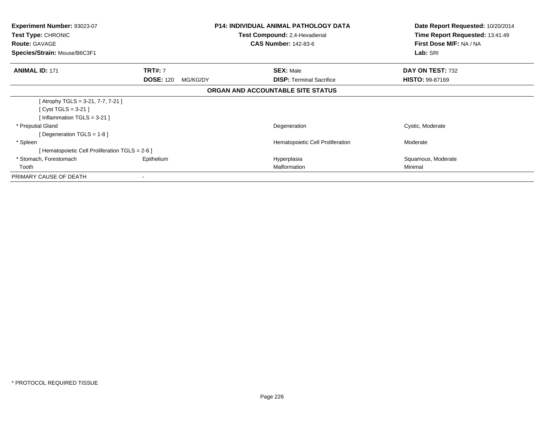| Experiment Number: 93023-07<br>Test Type: CHRONIC<br><b>Route: GAVAGE</b> |                              | <b>P14: INDIVIDUAL ANIMAL PATHOLOGY DATA</b><br>Test Compound: 2,4-Hexadienal<br><b>CAS Number: 142-83-6</b> | Date Report Requested: 10/20/2014<br>Time Report Requested: 13:41:49<br>First Dose M/F: NA / NA |
|---------------------------------------------------------------------------|------------------------------|--------------------------------------------------------------------------------------------------------------|-------------------------------------------------------------------------------------------------|
| Species/Strain: Mouse/B6C3F1                                              |                              |                                                                                                              | Lab: SRI                                                                                        |
| <b>ANIMAL ID: 171</b>                                                     | <b>TRT#: 7</b>               | <b>SEX: Male</b>                                                                                             | DAY ON TEST: 732                                                                                |
|                                                                           | <b>DOSE: 120</b><br>MG/KG/DY | <b>DISP:</b> Terminal Sacrifice                                                                              | <b>HISTO: 99-87169</b>                                                                          |
|                                                                           |                              | ORGAN AND ACCOUNTABLE SITE STATUS                                                                            |                                                                                                 |
| [Atrophy TGLS = 3-21, 7-7, 7-21]                                          |                              |                                                                                                              |                                                                                                 |
| [ Cyst TGLS = $3-21$ ]                                                    |                              |                                                                                                              |                                                                                                 |
| [Inflammation TGLS = $3-21$ ]                                             |                              |                                                                                                              |                                                                                                 |
| * Preputial Gland                                                         |                              | Degeneration                                                                                                 | Cystic, Moderate                                                                                |
| [ Degeneration TGLS = $1-8$ ]                                             |                              |                                                                                                              |                                                                                                 |
| * Spleen                                                                  |                              | Hematopoietic Cell Proliferation                                                                             | Moderate                                                                                        |
| [ Hematopoietic Cell Proliferation TGLS = 2-6 ]                           |                              |                                                                                                              |                                                                                                 |
| * Stomach, Forestomach                                                    | Epithelium                   | Hyperplasia                                                                                                  | Squamous, Moderate                                                                              |
| Tooth                                                                     |                              | Malformation                                                                                                 | Minimal                                                                                         |
| PRIMARY CAUSE OF DEATH                                                    | ۰                            |                                                                                                              |                                                                                                 |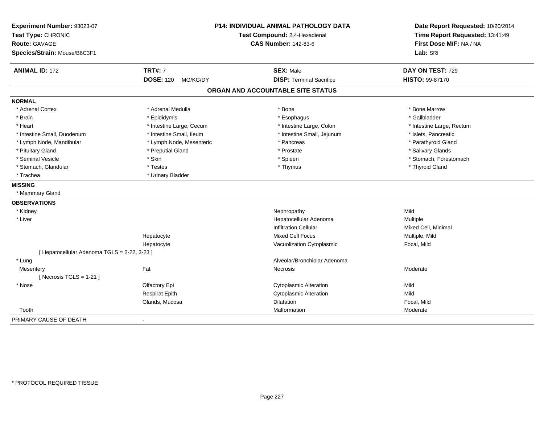| Experiment Number: 93023-07<br>Test Type: CHRONIC<br><b>Route: GAVAGE</b><br>Species/Strain: Mouse/B6C3F1 |                              | P14: INDIVIDUAL ANIMAL PATHOLOGY DATA<br>Test Compound: 2,4-Hexadienal<br><b>CAS Number: 142-83-6</b> | Date Report Requested: 10/20/2014<br>Time Report Requested: 13:41:49<br>First Dose M/F: NA / NA<br>Lab: SRI |
|-----------------------------------------------------------------------------------------------------------|------------------------------|-------------------------------------------------------------------------------------------------------|-------------------------------------------------------------------------------------------------------------|
| <b>ANIMAL ID: 172</b>                                                                                     | <b>TRT#: 7</b>               | <b>SEX: Male</b>                                                                                      | DAY ON TEST: 729                                                                                            |
|                                                                                                           | <b>DOSE: 120</b><br>MG/KG/DY | <b>DISP: Terminal Sacrifice</b>                                                                       | HISTO: 99-87170                                                                                             |
|                                                                                                           |                              | ORGAN AND ACCOUNTABLE SITE STATUS                                                                     |                                                                                                             |
| <b>NORMAL</b>                                                                                             |                              |                                                                                                       |                                                                                                             |
| * Adrenal Cortex                                                                                          | * Adrenal Medulla            | * Bone                                                                                                | * Bone Marrow                                                                                               |
| * Brain                                                                                                   | * Epididymis                 | * Esophagus                                                                                           | * Gallbladder                                                                                               |
| * Heart                                                                                                   | * Intestine Large, Cecum     | * Intestine Large, Colon                                                                              | * Intestine Large, Rectum                                                                                   |
| * Intestine Small, Duodenum                                                                               | * Intestine Small, Ileum     | * Intestine Small, Jejunum                                                                            | * Islets, Pancreatic                                                                                        |
| * Lymph Node, Mandibular                                                                                  | * Lymph Node, Mesenteric     | * Pancreas                                                                                            | * Parathyroid Gland                                                                                         |
| * Pituitary Gland                                                                                         | * Preputial Gland            | * Prostate                                                                                            | * Salivary Glands                                                                                           |
| * Seminal Vesicle                                                                                         | * Skin                       | * Spleen                                                                                              | * Stomach, Forestomach                                                                                      |
| * Stomach, Glandular                                                                                      | * Testes                     | * Thymus                                                                                              | * Thyroid Gland                                                                                             |
| * Trachea                                                                                                 | * Urinary Bladder            |                                                                                                       |                                                                                                             |
| <b>MISSING</b>                                                                                            |                              |                                                                                                       |                                                                                                             |
| * Mammary Gland                                                                                           |                              |                                                                                                       |                                                                                                             |
| <b>OBSERVATIONS</b>                                                                                       |                              |                                                                                                       |                                                                                                             |
| * Kidney                                                                                                  |                              | Nephropathy                                                                                           | Mild                                                                                                        |
| * Liver                                                                                                   |                              | Hepatocellular Adenoma                                                                                | Multiple                                                                                                    |
|                                                                                                           |                              | <b>Infiltration Cellular</b>                                                                          | Mixed Cell, Minimal                                                                                         |
|                                                                                                           | Hepatocyte                   | <b>Mixed Cell Focus</b>                                                                               | Multiple, Mild                                                                                              |
|                                                                                                           | Hepatocyte                   | Vacuolization Cytoplasmic                                                                             | Focal, Mild                                                                                                 |
| [ Hepatocellular Adenoma TGLS = 2-22, 3-23 ]                                                              |                              |                                                                                                       |                                                                                                             |
| * Lung                                                                                                    |                              | Alveolar/Bronchiolar Adenoma                                                                          |                                                                                                             |
| Mesentery                                                                                                 | Fat                          | Necrosis                                                                                              | Moderate                                                                                                    |
| [Necrosis TGLS = $1-21$ ]                                                                                 |                              |                                                                                                       |                                                                                                             |
| * Nose                                                                                                    | Olfactory Epi                | <b>Cytoplasmic Alteration</b>                                                                         | Mild                                                                                                        |
|                                                                                                           | <b>Respirat Epith</b>        | <b>Cytoplasmic Alteration</b>                                                                         | Mild                                                                                                        |
|                                                                                                           | Glands, Mucosa               | Dilatation                                                                                            | Focal, Mild                                                                                                 |
| Tooth                                                                                                     |                              | Malformation                                                                                          | Moderate                                                                                                    |
| PRIMARY CAUSE OF DEATH                                                                                    | $\blacksquare$               |                                                                                                       |                                                                                                             |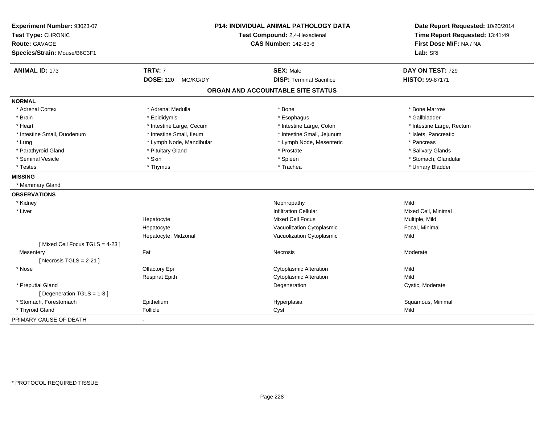| Experiment Number: 93023-07<br>Test Type: CHRONIC<br><b>Route: GAVAGE</b><br>Species/Strain: Mouse/B6C3F1 |                              | P14: INDIVIDUAL ANIMAL PATHOLOGY DATA<br>Test Compound: 2,4-Hexadienal<br><b>CAS Number: 142-83-6</b> | Date Report Requested: 10/20/2014<br>Time Report Requested: 13:41:49<br>First Dose M/F: NA / NA<br>Lab: SRI |
|-----------------------------------------------------------------------------------------------------------|------------------------------|-------------------------------------------------------------------------------------------------------|-------------------------------------------------------------------------------------------------------------|
| <b>ANIMAL ID: 173</b>                                                                                     | <b>TRT#: 7</b>               | <b>SEX: Male</b>                                                                                      | DAY ON TEST: 729                                                                                            |
|                                                                                                           | <b>DOSE: 120</b><br>MG/KG/DY | <b>DISP: Terminal Sacrifice</b>                                                                       | HISTO: 99-87171                                                                                             |
|                                                                                                           |                              | ORGAN AND ACCOUNTABLE SITE STATUS                                                                     |                                                                                                             |
| <b>NORMAL</b>                                                                                             |                              |                                                                                                       |                                                                                                             |
| * Adrenal Cortex                                                                                          | * Adrenal Medulla            | * Bone                                                                                                | * Bone Marrow                                                                                               |
| * Brain                                                                                                   | * Epididymis                 | * Esophagus                                                                                           | * Gallbladder                                                                                               |
| * Heart                                                                                                   | * Intestine Large, Cecum     | * Intestine Large, Colon                                                                              | * Intestine Large, Rectum                                                                                   |
| * Intestine Small, Duodenum                                                                               | * Intestine Small, Ileum     | * Intestine Small, Jejunum                                                                            | * Islets, Pancreatic                                                                                        |
| * Lung                                                                                                    | * Lymph Node, Mandibular     | * Lymph Node, Mesenteric                                                                              | * Pancreas                                                                                                  |
| * Parathyroid Gland                                                                                       | * Pituitary Gland            | * Prostate                                                                                            | * Salivary Glands                                                                                           |
| * Seminal Vesicle                                                                                         | * Skin                       | * Spleen                                                                                              | * Stomach, Glandular                                                                                        |
| * Testes                                                                                                  | * Thymus                     | * Trachea                                                                                             | * Urinary Bladder                                                                                           |
| <b>MISSING</b>                                                                                            |                              |                                                                                                       |                                                                                                             |
| * Mammary Gland                                                                                           |                              |                                                                                                       |                                                                                                             |
| <b>OBSERVATIONS</b>                                                                                       |                              |                                                                                                       |                                                                                                             |
| * Kidney                                                                                                  |                              | Nephropathy                                                                                           | Mild                                                                                                        |
| * Liver                                                                                                   |                              | <b>Infiltration Cellular</b>                                                                          | Mixed Cell, Minimal                                                                                         |
|                                                                                                           | Hepatocyte                   | <b>Mixed Cell Focus</b>                                                                               | Multiple, Mild                                                                                              |
|                                                                                                           | Hepatocyte                   | Vacuolization Cytoplasmic                                                                             | Focal, Minimal                                                                                              |
|                                                                                                           | Hepatocyte, Midzonal         | Vacuolization Cytoplasmic                                                                             | Mild                                                                                                        |
| [Mixed Cell Focus TGLS = 4-23]                                                                            |                              |                                                                                                       |                                                                                                             |
| Mesentery                                                                                                 | Fat                          | <b>Necrosis</b>                                                                                       | Moderate                                                                                                    |
| [Necrosis TGLS = $2-21$ ]                                                                                 |                              |                                                                                                       |                                                                                                             |
| * Nose                                                                                                    | Olfactory Epi                | <b>Cytoplasmic Alteration</b>                                                                         | Mild                                                                                                        |
|                                                                                                           | <b>Respirat Epith</b>        | <b>Cytoplasmic Alteration</b>                                                                         | Mild                                                                                                        |
| * Preputial Gland                                                                                         |                              | Degeneration                                                                                          | Cystic, Moderate                                                                                            |
| [Degeneration TGLS = 1-8]                                                                                 |                              |                                                                                                       |                                                                                                             |
| * Stomach, Forestomach                                                                                    | Epithelium                   | Hyperplasia                                                                                           | Squamous, Minimal                                                                                           |
| * Thyroid Gland                                                                                           | Follicle                     | Cyst                                                                                                  | Mild                                                                                                        |
| PRIMARY CAUSE OF DEATH                                                                                    |                              |                                                                                                       |                                                                                                             |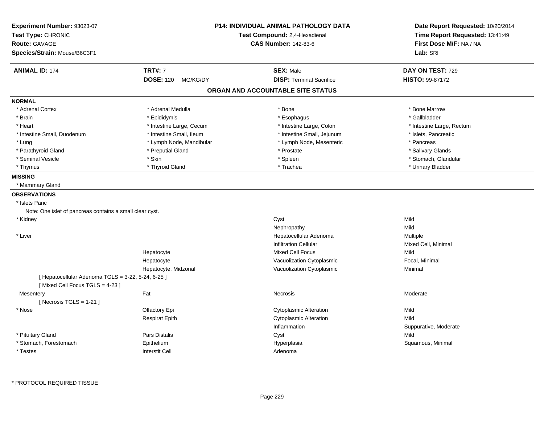| Experiment Number: 93023-07                              |                              | <b>P14: INDIVIDUAL ANIMAL PATHOLOGY DATA</b> | Date Report Requested: 10/20/2014 |
|----------------------------------------------------------|------------------------------|----------------------------------------------|-----------------------------------|
| Test Type: CHRONIC                                       |                              | Test Compound: 2,4-Hexadienal                | Time Report Requested: 13:41:49   |
| <b>Route: GAVAGE</b>                                     |                              | <b>CAS Number: 142-83-6</b>                  | First Dose M/F: NA / NA           |
| Species/Strain: Mouse/B6C3F1                             |                              |                                              | Lab: SRI                          |
| <b>ANIMAL ID: 174</b>                                    | <b>TRT#: 7</b>               | <b>SEX: Male</b>                             | DAY ON TEST: 729                  |
|                                                          | <b>DOSE: 120</b><br>MG/KG/DY | <b>DISP: Terminal Sacrifice</b>              | HISTO: 99-87172                   |
|                                                          |                              | ORGAN AND ACCOUNTABLE SITE STATUS            |                                   |
| <b>NORMAL</b>                                            |                              |                                              |                                   |
| * Adrenal Cortex                                         | * Adrenal Medulla            | * Bone                                       | * Bone Marrow                     |
| * Brain                                                  | * Epididymis                 | * Esophagus                                  | * Gallbladder                     |
| * Heart                                                  | * Intestine Large, Cecum     | * Intestine Large, Colon                     | * Intestine Large, Rectum         |
| * Intestine Small, Duodenum                              | * Intestine Small, Ileum     | * Intestine Small, Jejunum                   | * Islets, Pancreatic              |
| * Lung                                                   | * Lymph Node, Mandibular     | * Lymph Node, Mesenteric                     | * Pancreas                        |
| * Parathyroid Gland                                      | * Preputial Gland            | * Prostate                                   | * Salivary Glands                 |
| * Seminal Vesicle                                        | * Skin                       | * Spleen                                     | * Stomach, Glandular              |
| * Thymus                                                 | * Thyroid Gland              | * Trachea                                    | * Urinary Bladder                 |
| <b>MISSING</b>                                           |                              |                                              |                                   |
| * Mammary Gland                                          |                              |                                              |                                   |
| <b>OBSERVATIONS</b>                                      |                              |                                              |                                   |
| * Islets Panc                                            |                              |                                              |                                   |
| Note: One islet of pancreas contains a small clear cyst. |                              |                                              |                                   |
| * Kidney                                                 |                              | Cyst                                         | Mild                              |
|                                                          |                              | Nephropathy                                  | Mild                              |
| * Liver                                                  |                              | Hepatocellular Adenoma                       | Multiple                          |
|                                                          |                              | <b>Infiltration Cellular</b>                 | Mixed Cell, Minimal               |
|                                                          | Hepatocyte                   | <b>Mixed Cell Focus</b>                      | Mild                              |
|                                                          | Hepatocyte                   | Vacuolization Cytoplasmic                    | Focal, Minimal                    |
|                                                          | Hepatocyte, Midzonal         | Vacuolization Cytoplasmic                    | Minimal                           |
| [ Hepatocellular Adenoma TGLS = 3-22, 5-24, 6-25 ]       |                              |                                              |                                   |
| [Mixed Cell Focus TGLS = 4-23]                           |                              |                                              |                                   |
| Mesentery                                                | Fat                          | Necrosis                                     | Moderate                          |
| [Necrosis TGLS = $1-21$ ]                                |                              |                                              |                                   |
| * Nose                                                   | Olfactory Epi                | <b>Cytoplasmic Alteration</b>                | Mild                              |
|                                                          | <b>Respirat Epith</b>        | <b>Cytoplasmic Alteration</b>                | Mild                              |
|                                                          |                              | Inflammation                                 | Suppurative, Moderate             |
| * Pituitary Gland                                        | Pars Distalis                | Cyst                                         | Mild                              |
| * Stomach, Forestomach                                   | Epithelium                   | Hyperplasia                                  | Squamous, Minimal                 |
| * Testes                                                 | <b>Interstit Cell</b>        | Adenoma                                      |                                   |
|                                                          |                              |                                              |                                   |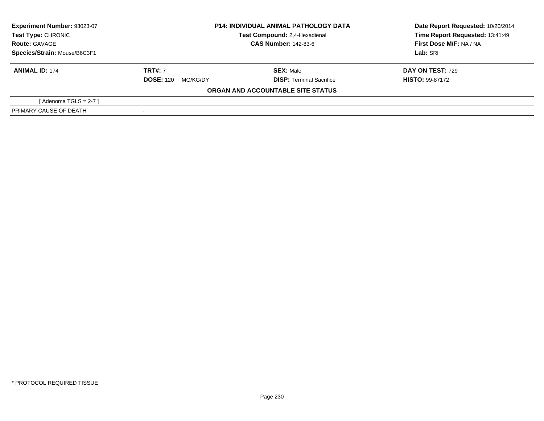| Experiment Number: 93023-07  | <b>P14: INDIVIDUAL ANIMAL PATHOLOGY DATA</b> |                                   | Date Report Requested: 10/20/2014 |
|------------------------------|----------------------------------------------|-----------------------------------|-----------------------------------|
| Test Type: CHRONIC           |                                              | Test Compound: 2,4-Hexadienal     | Time Report Requested: 13:41:49   |
| <b>Route: GAVAGE</b>         |                                              | <b>CAS Number: 142-83-6</b>       | First Dose M/F: NA / NA           |
| Species/Strain: Mouse/B6C3F1 |                                              |                                   | Lab: SRI                          |
| <b>ANIMAL ID: 174</b>        | <b>TRT#: 7</b>                               | <b>SEX: Male</b>                  | <b>DAY ON TEST: 729</b>           |
|                              | <b>DOSE: 120</b><br>MG/KG/DY                 | <b>DISP: Terminal Sacrifice</b>   | <b>HISTO: 99-87172</b>            |
|                              |                                              | ORGAN AND ACCOUNTABLE SITE STATUS |                                   |
| [Adenoma TGLS = $2-7$ ]      |                                              |                                   |                                   |
| PRIMARY CAUSE OF DEATH       |                                              |                                   |                                   |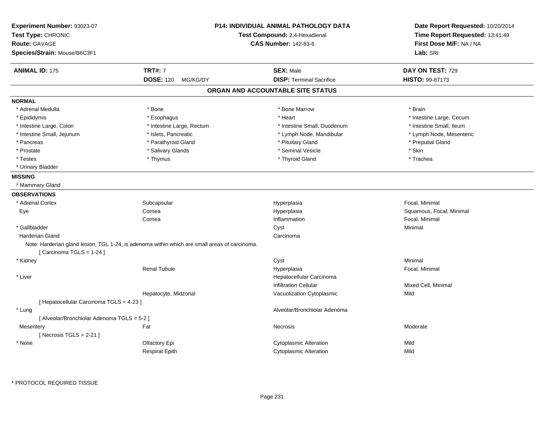| Experiment Number: 93023-07<br>Test Type: CHRONIC<br><b>Route: GAVAGE</b><br>Species/Strain: Mouse/B6C3F1 |                                                                                               | <b>P14: INDIVIDUAL ANIMAL PATHOLOGY DATA</b><br>Test Compound: 2,4-Hexadienal<br><b>CAS Number: 142-83-6</b> | Date Report Requested: 10/20/2014<br>Time Report Requested: 13:41:49<br>First Dose M/F: NA / NA<br>Lab: SRI |
|-----------------------------------------------------------------------------------------------------------|-----------------------------------------------------------------------------------------------|--------------------------------------------------------------------------------------------------------------|-------------------------------------------------------------------------------------------------------------|
| <b>ANIMAL ID: 175</b>                                                                                     | <b>TRT#: 7</b>                                                                                | <b>SEX: Male</b>                                                                                             | DAY ON TEST: 729                                                                                            |
|                                                                                                           | <b>DOSE: 120</b><br>MG/KG/DY                                                                  | <b>DISP: Terminal Sacrifice</b>                                                                              | HISTO: 99-87173                                                                                             |
|                                                                                                           |                                                                                               | ORGAN AND ACCOUNTABLE SITE STATUS                                                                            |                                                                                                             |
| <b>NORMAL</b>                                                                                             |                                                                                               |                                                                                                              |                                                                                                             |
| * Adrenal Medulla                                                                                         | * Bone                                                                                        | * Bone Marrow                                                                                                | * Brain                                                                                                     |
| * Epididymis                                                                                              | * Esophagus                                                                                   | * Heart                                                                                                      | * Intestine Large, Cecum                                                                                    |
| * Intestine Large, Colon                                                                                  | * Intestine Large, Rectum                                                                     | * Intestine Small, Duodenum                                                                                  | * Intestine Small, Ileum                                                                                    |
| * Intestine Small, Jejunum                                                                                | * Islets, Pancreatic                                                                          | * Lymph Node, Mandibular                                                                                     | * Lymph Node, Mesenteric                                                                                    |
| * Pancreas                                                                                                | * Parathyroid Gland                                                                           | * Pituitary Gland                                                                                            | * Preputial Gland                                                                                           |
| * Prostate                                                                                                | * Salivary Glands                                                                             | * Seminal Vesicle                                                                                            | * Skin                                                                                                      |
| * Testes                                                                                                  | * Thymus                                                                                      | * Thyroid Gland                                                                                              | * Trachea                                                                                                   |
| * Urinary Bladder                                                                                         |                                                                                               |                                                                                                              |                                                                                                             |
| <b>MISSING</b>                                                                                            |                                                                                               |                                                                                                              |                                                                                                             |
| * Mammary Gland                                                                                           |                                                                                               |                                                                                                              |                                                                                                             |
| <b>OBSERVATIONS</b>                                                                                       |                                                                                               |                                                                                                              |                                                                                                             |
| * Adrenal Cortex                                                                                          | Subcapsular                                                                                   | Hyperplasia                                                                                                  | Focal, Minimal                                                                                              |
| Eye                                                                                                       | Cornea                                                                                        | Hyperplasia                                                                                                  | Squamous, Focal, Minimal                                                                                    |
|                                                                                                           | Cornea                                                                                        | Inflammation                                                                                                 | Focal, Minimal                                                                                              |
| * Gallbladder                                                                                             |                                                                                               | Cyst                                                                                                         | Minimal                                                                                                     |
| Harderian Gland                                                                                           |                                                                                               | Carcinoma                                                                                                    |                                                                                                             |
| [Carcinoma TGLS = $1-24$ ]                                                                                | Note: Harderian gland lesion, TGL 1-24, is adenoma within which are small areas of carcinoma. |                                                                                                              |                                                                                                             |
| * Kidney                                                                                                  |                                                                                               | Cyst                                                                                                         | Minimal                                                                                                     |
|                                                                                                           | <b>Renal Tubule</b>                                                                           | Hyperplasia                                                                                                  | Focal, Minimal                                                                                              |
| * Liver                                                                                                   |                                                                                               | Hepatocellular Carcinoma                                                                                     |                                                                                                             |
|                                                                                                           |                                                                                               | <b>Infiltration Cellular</b>                                                                                 | Mixed Cell, Minimal                                                                                         |
|                                                                                                           | Hepatocyte, Midzonal                                                                          | Vacuolization Cytoplasmic                                                                                    | Mild                                                                                                        |
| [ Hepatocellular Carcinoma TGLS = 4-23 ]                                                                  |                                                                                               |                                                                                                              |                                                                                                             |
| * Lung                                                                                                    |                                                                                               | Alveolar/Bronchiolar Adenoma                                                                                 |                                                                                                             |
| [ Alveolar/Bronchiolar Adenoma TGLS = 5-2 ]                                                               |                                                                                               |                                                                                                              |                                                                                                             |
| Mesentery                                                                                                 | Fat                                                                                           | Necrosis                                                                                                     | Moderate                                                                                                    |
| [Necrosis $TGLS = 2-21$ ]                                                                                 |                                                                                               |                                                                                                              |                                                                                                             |
| * Nose                                                                                                    | Olfactory Epi                                                                                 | <b>Cytoplasmic Alteration</b>                                                                                | Mild                                                                                                        |
|                                                                                                           | <b>Respirat Epith</b>                                                                         | <b>Cytoplasmic Alteration</b>                                                                                | Mild                                                                                                        |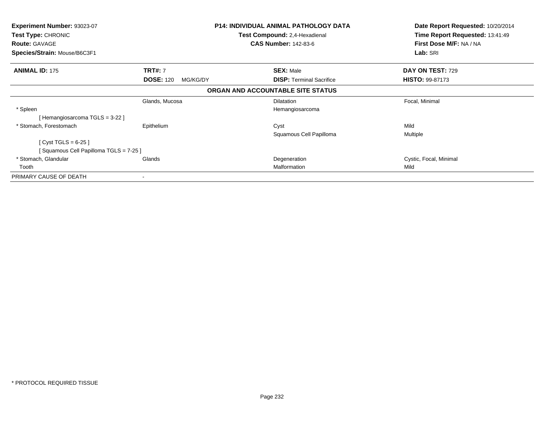| <b>Experiment Number: 93023-07</b><br>Test Type: CHRONIC<br><b>Route: GAVAGE</b><br>Species/Strain: Mouse/B6C3F1 | <b>P14: INDIVIDUAL ANIMAL PATHOLOGY DATA</b><br>Test Compound: 2,4-Hexadienal<br><b>CAS Number: 142-83-6</b> |                                   | Date Report Requested: 10/20/2014<br>Time Report Requested: 13:41:49<br>First Dose M/F: NA / NA<br>Lab: SRI |
|------------------------------------------------------------------------------------------------------------------|--------------------------------------------------------------------------------------------------------------|-----------------------------------|-------------------------------------------------------------------------------------------------------------|
| <b>ANIMAL ID: 175</b>                                                                                            | <b>TRT#: 7</b>                                                                                               | <b>SEX: Male</b>                  | DAY ON TEST: 729                                                                                            |
|                                                                                                                  | <b>DOSE: 120</b><br>MG/KG/DY                                                                                 | <b>DISP:</b> Terminal Sacrifice   | <b>HISTO: 99-87173</b>                                                                                      |
|                                                                                                                  |                                                                                                              | ORGAN AND ACCOUNTABLE SITE STATUS |                                                                                                             |
|                                                                                                                  | Glands, Mucosa                                                                                               | <b>Dilatation</b>                 | Focal, Minimal                                                                                              |
| * Spleen                                                                                                         |                                                                                                              | Hemangiosarcoma                   |                                                                                                             |
| Hemangiosarcoma TGLS = 3-22 ]                                                                                    |                                                                                                              |                                   |                                                                                                             |
| * Stomach, Forestomach                                                                                           | Epithelium                                                                                                   | Cyst                              | Mild                                                                                                        |
|                                                                                                                  |                                                                                                              | Squamous Cell Papilloma           | Multiple                                                                                                    |
| [ $Cyst TGLS = 6-25$ ]                                                                                           |                                                                                                              |                                   |                                                                                                             |
| Squamous Cell Papilloma TGLS = 7-25 ]                                                                            |                                                                                                              |                                   |                                                                                                             |
| * Stomach, Glandular                                                                                             | Glands                                                                                                       | Degeneration                      | Cystic, Focal, Minimal                                                                                      |
| Tooth                                                                                                            |                                                                                                              | Malformation                      | Mild                                                                                                        |
| PRIMARY CAUSE OF DEATH                                                                                           |                                                                                                              |                                   |                                                                                                             |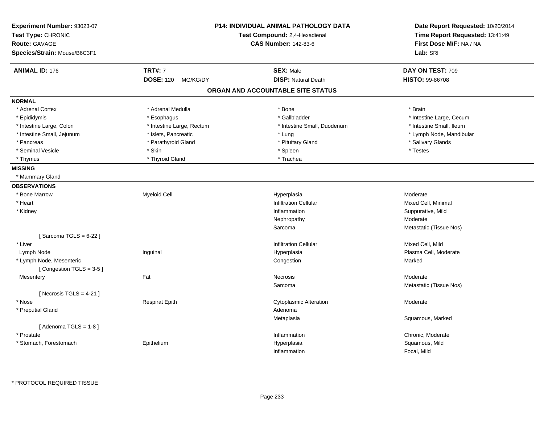| Experiment Number: 93023-07<br>Test Type: CHRONIC<br>Test Compound: 2,4-Hexadienal<br><b>Route: GAVAGE</b><br><b>CAS Number: 142-83-6</b><br>Species/Strain: Mouse/B6C3F1 |                              | <b>P14: INDIVIDUAL ANIMAL PATHOLOGY DATA</b> | Date Report Requested: 10/20/2014<br>Time Report Requested: 13:41:49<br>First Dose M/F: NA / NA<br>Lab: SRI |
|---------------------------------------------------------------------------------------------------------------------------------------------------------------------------|------------------------------|----------------------------------------------|-------------------------------------------------------------------------------------------------------------|
| <b>ANIMAL ID: 176</b>                                                                                                                                                     | <b>TRT#: 7</b>               | <b>SEX: Male</b>                             | DAY ON TEST: 709                                                                                            |
|                                                                                                                                                                           | <b>DOSE: 120</b><br>MG/KG/DY | <b>DISP: Natural Death</b>                   | HISTO: 99-86708                                                                                             |
|                                                                                                                                                                           |                              | ORGAN AND ACCOUNTABLE SITE STATUS            |                                                                                                             |
| <b>NORMAL</b>                                                                                                                                                             |                              |                                              |                                                                                                             |
| * Adrenal Cortex                                                                                                                                                          | * Adrenal Medulla            | * Bone                                       | * Brain                                                                                                     |
| * Epididymis                                                                                                                                                              | * Esophagus                  | * Gallbladder                                | * Intestine Large, Cecum                                                                                    |
| * Intestine Large, Colon                                                                                                                                                  | * Intestine Large, Rectum    | * Intestine Small, Duodenum                  | * Intestine Small, Ileum                                                                                    |
| * Intestine Small, Jejunum                                                                                                                                                | * Islets, Pancreatic         | * Lung                                       | * Lymph Node, Mandibular                                                                                    |
| * Pancreas                                                                                                                                                                | * Parathyroid Gland          | * Pituitary Gland                            | * Salivary Glands                                                                                           |
| * Seminal Vesicle                                                                                                                                                         | * Skin                       | * Spleen                                     | * Testes                                                                                                    |
| * Thymus                                                                                                                                                                  | * Thyroid Gland              | * Trachea                                    |                                                                                                             |
| <b>MISSING</b>                                                                                                                                                            |                              |                                              |                                                                                                             |
| * Mammary Gland                                                                                                                                                           |                              |                                              |                                                                                                             |
| <b>OBSERVATIONS</b>                                                                                                                                                       |                              |                                              |                                                                                                             |
| * Bone Marrow                                                                                                                                                             | <b>Myeloid Cell</b>          | Hyperplasia                                  | Moderate                                                                                                    |
| * Heart                                                                                                                                                                   |                              | <b>Infiltration Cellular</b>                 | Mixed Cell, Minimal                                                                                         |
| * Kidney                                                                                                                                                                  |                              | Inflammation                                 | Suppurative, Mild                                                                                           |
|                                                                                                                                                                           |                              | Nephropathy                                  | Moderate                                                                                                    |
|                                                                                                                                                                           |                              | Sarcoma                                      | Metastatic (Tissue Nos)                                                                                     |
| [Sarcoma TGLS = $6-22$ ]                                                                                                                                                  |                              |                                              |                                                                                                             |
| * Liver                                                                                                                                                                   |                              | <b>Infiltration Cellular</b>                 | Mixed Cell, Mild                                                                                            |
| Lymph Node                                                                                                                                                                | Inguinal                     | Hyperplasia                                  | Plasma Cell, Moderate                                                                                       |
| * Lymph Node, Mesenteric                                                                                                                                                  |                              | Congestion                                   | Marked                                                                                                      |
| [Congestion TGLS = 3-5]                                                                                                                                                   |                              |                                              |                                                                                                             |
| Mesentery                                                                                                                                                                 | Fat                          | <b>Necrosis</b>                              | Moderate                                                                                                    |
|                                                                                                                                                                           |                              | Sarcoma                                      | Metastatic (Tissue Nos)                                                                                     |
| [ Necrosis TGLS = $4-21$ ]                                                                                                                                                |                              |                                              |                                                                                                             |
| * Nose                                                                                                                                                                    | <b>Respirat Epith</b>        | <b>Cytoplasmic Alteration</b>                | Moderate                                                                                                    |
| * Preputial Gland                                                                                                                                                         |                              | Adenoma                                      |                                                                                                             |
|                                                                                                                                                                           |                              | Metaplasia                                   | Squamous, Marked                                                                                            |
| [Adenoma TGLS = $1-8$ ]                                                                                                                                                   |                              |                                              |                                                                                                             |
| * Prostate                                                                                                                                                                |                              | Inflammation                                 | Chronic, Moderate                                                                                           |
| * Stomach, Forestomach                                                                                                                                                    | Epithelium                   | Hyperplasia                                  | Squamous, Mild                                                                                              |
|                                                                                                                                                                           |                              | Inflammation                                 | Focal, Mild                                                                                                 |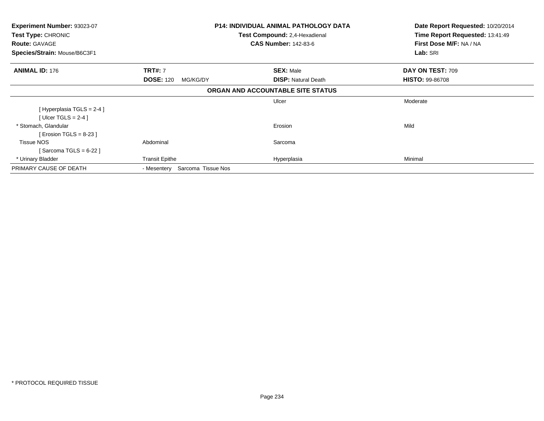| Experiment Number: 93023-07  |                                      | <b>P14: INDIVIDUAL ANIMAL PATHOLOGY DATA</b> | Date Report Requested: 10/20/2014 |
|------------------------------|--------------------------------------|----------------------------------------------|-----------------------------------|
| Test Type: CHRONIC           | <b>Test Compound: 2,4-Hexadienal</b> |                                              | Time Report Requested: 13:41:49   |
| <b>Route: GAVAGE</b>         |                                      | <b>CAS Number: 142-83-6</b>                  | First Dose M/F: NA / NA           |
| Species/Strain: Mouse/B6C3F1 |                                      |                                              | Lab: SRI                          |
| <b>ANIMAL ID: 176</b>        | <b>TRT#: 7</b>                       | <b>SEX: Male</b>                             | DAY ON TEST: 709                  |
|                              | <b>DOSE: 120</b><br>MG/KG/DY         | <b>DISP: Natural Death</b>                   | <b>HISTO: 99-86708</b>            |
|                              |                                      | ORGAN AND ACCOUNTABLE SITE STATUS            |                                   |
|                              |                                      | Ulcer                                        | Moderate                          |
| [Hyperplasia TGLS = $2-4$ ]  |                                      |                                              |                                   |
| [ Ulcer TGLS = $2-4$ ]       |                                      |                                              |                                   |
| * Stomach, Glandular         |                                      | Erosion                                      | Mild                              |
| [ Erosion TGLS = $8-23$ ]    |                                      |                                              |                                   |
| <b>Tissue NOS</b>            | Abdominal                            | Sarcoma                                      |                                   |
| Sarcoma TGLS = 6-22 ]        |                                      |                                              |                                   |
| * Urinary Bladder            | <b>Transit Epithe</b>                | Hyperplasia                                  | Minimal                           |
| PRIMARY CAUSE OF DEATH       | Sarcoma Tissue Nos<br>- Mesentery    |                                              |                                   |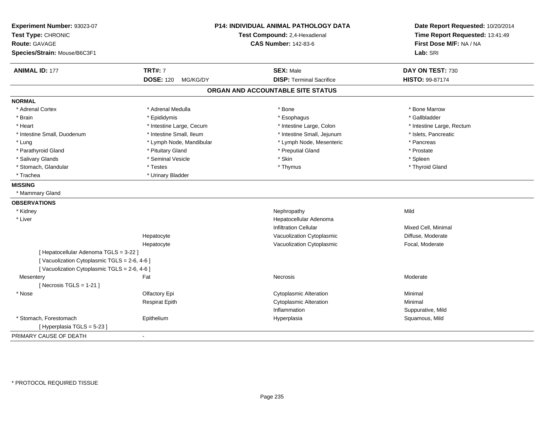| Experiment Number: 93023-07<br>Test Type: CHRONIC<br><b>Route: GAVAGE</b> |                              | <b>P14: INDIVIDUAL ANIMAL PATHOLOGY DATA</b><br>Test Compound: 2,4-Hexadienal<br><b>CAS Number: 142-83-6</b> | Date Report Requested: 10/20/2014<br>Time Report Requested: 13:41:49<br>First Dose M/F: NA / NA |
|---------------------------------------------------------------------------|------------------------------|--------------------------------------------------------------------------------------------------------------|-------------------------------------------------------------------------------------------------|
| Species/Strain: Mouse/B6C3F1                                              |                              |                                                                                                              | Lab: SRI                                                                                        |
| <b>ANIMAL ID: 177</b>                                                     | <b>TRT#: 7</b>               | <b>SEX: Male</b>                                                                                             | DAY ON TEST: 730                                                                                |
|                                                                           | <b>DOSE: 120</b><br>MG/KG/DY | <b>DISP: Terminal Sacrifice</b>                                                                              | HISTO: 99-87174                                                                                 |
|                                                                           |                              | ORGAN AND ACCOUNTABLE SITE STATUS                                                                            |                                                                                                 |
| <b>NORMAL</b>                                                             |                              |                                                                                                              |                                                                                                 |
| * Adrenal Cortex                                                          | * Adrenal Medulla            | * Bone                                                                                                       | * Bone Marrow                                                                                   |
| * Brain                                                                   | * Epididymis                 | * Esophagus                                                                                                  | * Gallbladder                                                                                   |
| * Heart                                                                   | * Intestine Large, Cecum     | * Intestine Large, Colon                                                                                     | * Intestine Large, Rectum                                                                       |
| * Intestine Small, Duodenum                                               | * Intestine Small, Ileum     | * Intestine Small, Jejunum                                                                                   | * Islets, Pancreatic                                                                            |
| * Lung                                                                    | * Lymph Node, Mandibular     | * Lymph Node, Mesenteric                                                                                     | * Pancreas                                                                                      |
| * Parathyroid Gland                                                       | * Pituitary Gland            | * Preputial Gland                                                                                            | * Prostate                                                                                      |
| * Salivary Glands                                                         | * Seminal Vesicle            | * Skin                                                                                                       | * Spleen                                                                                        |
| * Stomach, Glandular                                                      | * Testes                     | * Thymus                                                                                                     | * Thyroid Gland                                                                                 |
| * Trachea                                                                 | * Urinary Bladder            |                                                                                                              |                                                                                                 |
| <b>MISSING</b>                                                            |                              |                                                                                                              |                                                                                                 |
| * Mammary Gland                                                           |                              |                                                                                                              |                                                                                                 |
| <b>OBSERVATIONS</b>                                                       |                              |                                                                                                              |                                                                                                 |
| * Kidney                                                                  |                              | Nephropathy                                                                                                  | Mild                                                                                            |
| * Liver                                                                   |                              | Hepatocellular Adenoma                                                                                       |                                                                                                 |
|                                                                           |                              | <b>Infiltration Cellular</b>                                                                                 | Mixed Cell, Minimal                                                                             |
|                                                                           | Hepatocyte                   | Vacuolization Cytoplasmic                                                                                    | Diffuse, Moderate                                                                               |
|                                                                           | Hepatocyte                   | Vacuolization Cytoplasmic                                                                                    | Focal, Moderate                                                                                 |
| [ Hepatocellular Adenoma TGLS = 3-22 ]                                    |                              |                                                                                                              |                                                                                                 |
| [Vacuolization Cytoplasmic TGLS = 2-6, 4-6]                               |                              |                                                                                                              |                                                                                                 |
| [Vacuolization Cytoplasmic TGLS = 2-6, 4-6]                               |                              |                                                                                                              |                                                                                                 |
| Mesentery                                                                 | Fat                          | Necrosis                                                                                                     | Moderate                                                                                        |
| [Necrosis TGLS = $1-21$ ]                                                 |                              |                                                                                                              |                                                                                                 |
| * Nose                                                                    | Olfactory Epi                | <b>Cytoplasmic Alteration</b>                                                                                | Minimal                                                                                         |
|                                                                           | <b>Respirat Epith</b>        | <b>Cytoplasmic Alteration</b>                                                                                | Minimal                                                                                         |
|                                                                           |                              | Inflammation                                                                                                 | Suppurative, Mild                                                                               |
| * Stomach, Forestomach                                                    | Epithelium                   | Hyperplasia                                                                                                  | Squamous, Mild                                                                                  |
| [ Hyperplasia TGLS = 5-23 ]                                               |                              |                                                                                                              |                                                                                                 |
| PRIMARY CAUSE OF DEATH                                                    |                              |                                                                                                              |                                                                                                 |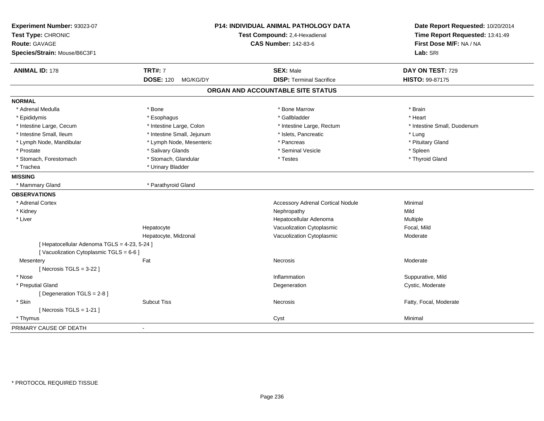| Experiment Number: 93023-07<br>Test Type: CHRONIC<br><b>Route: GAVAGE</b><br>Species/Strain: Mouse/B6C3F1 |                                                | <b>P14: INDIVIDUAL ANIMAL PATHOLOGY DATA</b><br>Test Compound: 2,4-Hexadienal<br><b>CAS Number: 142-83-6</b> | Date Report Requested: 10/20/2014<br>Time Report Requested: 13:41:49<br>First Dose M/F: NA / NA<br>Lab: SRI |
|-----------------------------------------------------------------------------------------------------------|------------------------------------------------|--------------------------------------------------------------------------------------------------------------|-------------------------------------------------------------------------------------------------------------|
|                                                                                                           |                                                |                                                                                                              |                                                                                                             |
| <b>ANIMAL ID: 178</b>                                                                                     | <b>TRT#: 7</b><br><b>DOSE: 120</b><br>MG/KG/DY | <b>SEX: Male</b><br><b>DISP: Terminal Sacrifice</b>                                                          | DAY ON TEST: 729<br>HISTO: 99-87175                                                                         |
|                                                                                                           |                                                |                                                                                                              |                                                                                                             |
|                                                                                                           |                                                | ORGAN AND ACCOUNTABLE SITE STATUS                                                                            |                                                                                                             |
| <b>NORMAL</b>                                                                                             |                                                |                                                                                                              |                                                                                                             |
| * Adrenal Medulla                                                                                         | * Bone                                         | * Bone Marrow                                                                                                | * Brain                                                                                                     |
| * Epididymis                                                                                              | * Esophagus                                    | * Gallbladder                                                                                                | * Heart                                                                                                     |
| * Intestine Large, Cecum                                                                                  | * Intestine Large, Colon                       | * Intestine Large, Rectum                                                                                    | * Intestine Small, Duodenum                                                                                 |
| * Intestine Small, Ileum                                                                                  | * Intestine Small, Jejunum                     | * Islets, Pancreatic                                                                                         | * Lung                                                                                                      |
| * Lymph Node, Mandibular                                                                                  | * Lymph Node, Mesenteric                       | * Pancreas                                                                                                   | * Pituitary Gland                                                                                           |
| * Prostate                                                                                                | * Salivary Glands                              | * Seminal Vesicle                                                                                            | * Spleen                                                                                                    |
| * Stomach, Forestomach                                                                                    | * Stomach, Glandular                           | * Testes                                                                                                     | * Thyroid Gland                                                                                             |
| * Trachea                                                                                                 | * Urinary Bladder                              |                                                                                                              |                                                                                                             |
| <b>MISSING</b>                                                                                            |                                                |                                                                                                              |                                                                                                             |
| * Mammary Gland                                                                                           | * Parathyroid Gland                            |                                                                                                              |                                                                                                             |
| <b>OBSERVATIONS</b>                                                                                       |                                                |                                                                                                              |                                                                                                             |
| * Adrenal Cortex                                                                                          |                                                | <b>Accessory Adrenal Cortical Nodule</b>                                                                     | Minimal                                                                                                     |
| * Kidney                                                                                                  |                                                | Nephropathy                                                                                                  | Mild                                                                                                        |
| * Liver                                                                                                   |                                                | Hepatocellular Adenoma                                                                                       | Multiple                                                                                                    |
|                                                                                                           | Hepatocyte                                     | Vacuolization Cytoplasmic                                                                                    | Focal, Mild                                                                                                 |
|                                                                                                           | Hepatocyte, Midzonal                           | Vacuolization Cytoplasmic                                                                                    | Moderate                                                                                                    |
| [ Hepatocellular Adenoma TGLS = 4-23, 5-24 ]                                                              |                                                |                                                                                                              |                                                                                                             |
| [Vacuolization Cytoplasmic TGLS = 6-6]                                                                    |                                                |                                                                                                              |                                                                                                             |
| Fat<br>Mesentery                                                                                          |                                                | <b>Necrosis</b>                                                                                              | Moderate                                                                                                    |
| [ Necrosis $TGLS = 3-22$ ]                                                                                |                                                |                                                                                                              |                                                                                                             |
| * Nose                                                                                                    |                                                | Inflammation                                                                                                 | Suppurative, Mild                                                                                           |
| * Preputial Gland                                                                                         |                                                | Degeneration                                                                                                 | Cystic, Moderate                                                                                            |
| [ Degeneration TGLS = 2-8 ]                                                                               |                                                |                                                                                                              |                                                                                                             |
| * Skin                                                                                                    | <b>Subcut Tiss</b>                             | Necrosis                                                                                                     | Fatty, Focal, Moderate                                                                                      |
| [Necrosis $TGLS = 1-21$ ]                                                                                 |                                                |                                                                                                              |                                                                                                             |
| * Thymus                                                                                                  |                                                | Cyst                                                                                                         | Minimal                                                                                                     |
| PRIMARY CAUSE OF DEATH                                                                                    |                                                |                                                                                                              |                                                                                                             |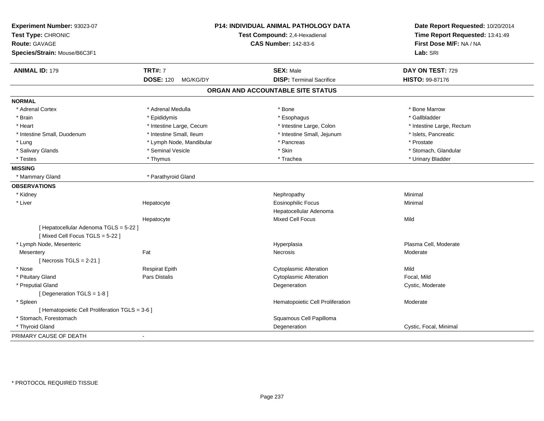| Experiment Number: 93023-07<br>Test Type: CHRONIC<br><b>Route: GAVAGE</b><br>Species/Strain: Mouse/B6C3F1 |                              | P14: INDIVIDUAL ANIMAL PATHOLOGY DATA<br>Test Compound: 2,4-Hexadienal<br><b>CAS Number: 142-83-6</b> | Date Report Requested: 10/20/2014<br>Time Report Requested: 13:41:49<br>First Dose M/F: NA / NA<br>Lab: SRI |
|-----------------------------------------------------------------------------------------------------------|------------------------------|-------------------------------------------------------------------------------------------------------|-------------------------------------------------------------------------------------------------------------|
| <b>ANIMAL ID: 179</b>                                                                                     | <b>TRT#: 7</b>               | <b>SEX: Male</b>                                                                                      | DAY ON TEST: 729                                                                                            |
|                                                                                                           | <b>DOSE: 120</b><br>MG/KG/DY | <b>DISP: Terminal Sacrifice</b>                                                                       | HISTO: 99-87176                                                                                             |
|                                                                                                           |                              | ORGAN AND ACCOUNTABLE SITE STATUS                                                                     |                                                                                                             |
| <b>NORMAL</b>                                                                                             |                              |                                                                                                       |                                                                                                             |
| * Adrenal Cortex                                                                                          | * Adrenal Medulla            | * Bone                                                                                                | * Bone Marrow                                                                                               |
| * Brain                                                                                                   | * Epididymis                 | * Esophagus                                                                                           | * Gallbladder                                                                                               |
| * Heart                                                                                                   | * Intestine Large, Cecum     | * Intestine Large, Colon                                                                              | * Intestine Large, Rectum                                                                                   |
| * Intestine Small, Duodenum                                                                               | * Intestine Small, Ileum     | * Intestine Small, Jejunum                                                                            | * Islets, Pancreatic                                                                                        |
| * Lung                                                                                                    | * Lymph Node, Mandibular     | * Pancreas                                                                                            | * Prostate                                                                                                  |
| * Salivary Glands                                                                                         | * Seminal Vesicle            | * Skin                                                                                                | * Stomach, Glandular                                                                                        |
| * Testes                                                                                                  | * Thymus                     | * Trachea                                                                                             | * Urinary Bladder                                                                                           |
| <b>MISSING</b>                                                                                            |                              |                                                                                                       |                                                                                                             |
| * Mammary Gland                                                                                           | * Parathyroid Gland          |                                                                                                       |                                                                                                             |
| <b>OBSERVATIONS</b>                                                                                       |                              |                                                                                                       |                                                                                                             |
| * Kidney                                                                                                  |                              | Nephropathy                                                                                           | Minimal                                                                                                     |
| * Liver                                                                                                   | Hepatocyte                   | <b>Eosinophilic Focus</b>                                                                             | Minimal                                                                                                     |
|                                                                                                           |                              | Hepatocellular Adenoma                                                                                |                                                                                                             |
|                                                                                                           | Hepatocyte                   | <b>Mixed Cell Focus</b>                                                                               | Mild                                                                                                        |
| [ Hepatocellular Adenoma TGLS = 5-22 ]                                                                    |                              |                                                                                                       |                                                                                                             |
| [Mixed Cell Focus TGLS = 5-22]                                                                            |                              |                                                                                                       |                                                                                                             |
| * Lymph Node, Mesenteric                                                                                  |                              | Hyperplasia                                                                                           | Plasma Cell, Moderate                                                                                       |
| Mesentery                                                                                                 | Fat                          | Necrosis                                                                                              | Moderate                                                                                                    |
| [Necrosis TGLS = $2-21$ ]                                                                                 |                              |                                                                                                       |                                                                                                             |
| * Nose                                                                                                    | <b>Respirat Epith</b>        | <b>Cytoplasmic Alteration</b>                                                                         | Mild                                                                                                        |
| * Pituitary Gland                                                                                         | Pars Distalis                | <b>Cytoplasmic Alteration</b>                                                                         | Focal, Mild                                                                                                 |
| * Preputial Gland                                                                                         |                              | Degeneration                                                                                          | Cystic, Moderate                                                                                            |
| [ Degeneration TGLS = 1-8 ]                                                                               |                              |                                                                                                       |                                                                                                             |
| * Spleen                                                                                                  |                              | Hematopoietic Cell Proliferation                                                                      | Moderate                                                                                                    |
| [ Hematopoietic Cell Proliferation TGLS = 3-6 ]                                                           |                              |                                                                                                       |                                                                                                             |
| * Stomach, Forestomach                                                                                    |                              | Squamous Cell Papilloma                                                                               |                                                                                                             |
| * Thyroid Gland                                                                                           |                              | Degeneration                                                                                          | Cystic, Focal, Minimal                                                                                      |
| PRIMARY CAUSE OF DEATH                                                                                    | $\blacksquare$               |                                                                                                       |                                                                                                             |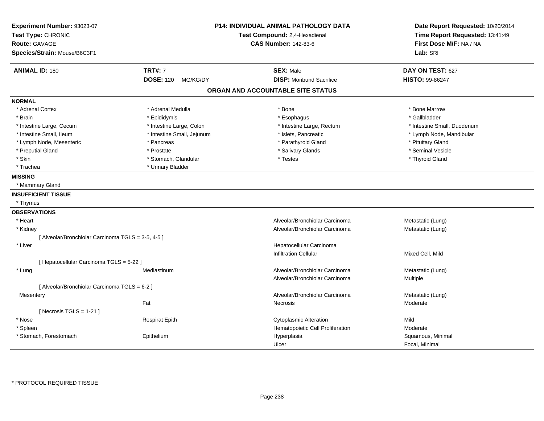| Experiment Number: 93023-07<br>Test Type: CHRONIC<br><b>Route: GAVAGE</b><br>Species/Strain: Mouse/B6C3F1 |                              | P14: INDIVIDUAL ANIMAL PATHOLOGY DATA<br>Test Compound: 2,4-Hexadienal<br><b>CAS Number: 142-83-6</b> | Date Report Requested: 10/20/2014<br>Time Report Requested: 13:41:49<br>First Dose M/F: NA / NA<br>Lab: SRI |
|-----------------------------------------------------------------------------------------------------------|------------------------------|-------------------------------------------------------------------------------------------------------|-------------------------------------------------------------------------------------------------------------|
| <b>ANIMAL ID: 180</b>                                                                                     | <b>TRT#: 7</b>               | <b>SEX: Male</b>                                                                                      | DAY ON TEST: 627                                                                                            |
|                                                                                                           | <b>DOSE: 120</b><br>MG/KG/DY | <b>DISP:</b> Moribund Sacrifice                                                                       | HISTO: 99-86247                                                                                             |
|                                                                                                           |                              | ORGAN AND ACCOUNTABLE SITE STATUS                                                                     |                                                                                                             |
| <b>NORMAL</b>                                                                                             |                              |                                                                                                       |                                                                                                             |
| * Adrenal Cortex                                                                                          | * Adrenal Medulla            | * Bone                                                                                                | * Bone Marrow                                                                                               |
| * Brain                                                                                                   | * Epididymis                 | * Esophagus                                                                                           | * Gallbladder                                                                                               |
| * Intestine Large, Cecum                                                                                  | * Intestine Large, Colon     | * Intestine Large, Rectum                                                                             | * Intestine Small, Duodenum                                                                                 |
| * Intestine Small, Ileum                                                                                  | * Intestine Small, Jejunum   | * Islets, Pancreatic                                                                                  | * Lymph Node, Mandibular                                                                                    |
| * Lymph Node, Mesenteric                                                                                  | * Pancreas                   | * Parathyroid Gland                                                                                   | * Pituitary Gland                                                                                           |
| * Preputial Gland                                                                                         | * Prostate                   | * Salivary Glands                                                                                     | * Seminal Vesicle                                                                                           |
| * Skin                                                                                                    | * Stomach, Glandular         | * Testes                                                                                              | * Thyroid Gland                                                                                             |
| * Trachea                                                                                                 | * Urinary Bladder            |                                                                                                       |                                                                                                             |
| <b>MISSING</b>                                                                                            |                              |                                                                                                       |                                                                                                             |
| * Mammary Gland                                                                                           |                              |                                                                                                       |                                                                                                             |
| <b>INSUFFICIENT TISSUE</b>                                                                                |                              |                                                                                                       |                                                                                                             |
| * Thymus                                                                                                  |                              |                                                                                                       |                                                                                                             |
| <b>OBSERVATIONS</b>                                                                                       |                              |                                                                                                       |                                                                                                             |
| * Heart                                                                                                   |                              | Alveolar/Bronchiolar Carcinoma                                                                        | Metastatic (Lung)                                                                                           |
| * Kidney                                                                                                  |                              | Alveolar/Bronchiolar Carcinoma                                                                        | Metastatic (Lung)                                                                                           |
| [ Alveolar/Bronchiolar Carcinoma TGLS = 3-5, 4-5 ]                                                        |                              |                                                                                                       |                                                                                                             |
| * Liver                                                                                                   |                              | Hepatocellular Carcinoma                                                                              |                                                                                                             |
|                                                                                                           |                              | <b>Infiltration Cellular</b>                                                                          | Mixed Cell, Mild                                                                                            |
| [ Hepatocellular Carcinoma TGLS = 5-22 ]                                                                  |                              |                                                                                                       |                                                                                                             |
| * Lung                                                                                                    | Mediastinum                  | Alveolar/Bronchiolar Carcinoma                                                                        | Metastatic (Lung)                                                                                           |
|                                                                                                           |                              | Alveolar/Bronchiolar Carcinoma                                                                        | Multiple                                                                                                    |
| [ Alveolar/Bronchiolar Carcinoma TGLS = 6-2 ]                                                             |                              |                                                                                                       |                                                                                                             |
| Mesentery                                                                                                 |                              | Alveolar/Bronchiolar Carcinoma                                                                        | Metastatic (Lung)                                                                                           |
|                                                                                                           | Fat                          | <b>Necrosis</b>                                                                                       | Moderate                                                                                                    |
| [ Necrosis TGLS = $1-21$ ]                                                                                |                              |                                                                                                       |                                                                                                             |
| * Nose                                                                                                    | <b>Respirat Epith</b>        | <b>Cytoplasmic Alteration</b>                                                                         | Mild                                                                                                        |
| * Spleen                                                                                                  |                              | Hematopoietic Cell Proliferation                                                                      | Moderate                                                                                                    |
| * Stomach, Forestomach                                                                                    | Epithelium                   | Hyperplasia                                                                                           | Squamous, Minimal                                                                                           |
|                                                                                                           |                              | Ulcer                                                                                                 | Focal, Minimal                                                                                              |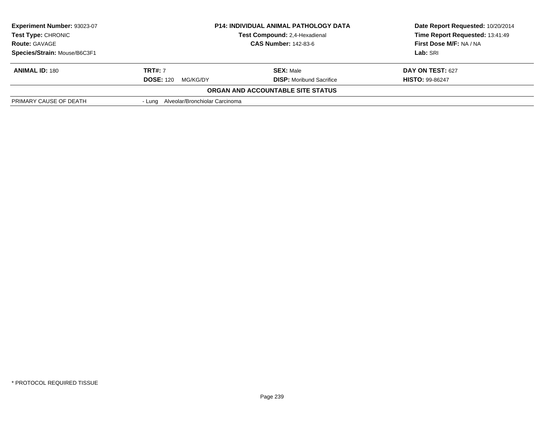| <b>Experiment Number: 93023-07</b><br><b>Test Type: CHRONIC</b><br><b>Route: GAVAGE</b> | <b>P14: INDIVIDUAL ANIMAL PATHOLOGY DATA</b><br><b>Test Compound: 2.4-Hexadienal</b><br><b>CAS Number: 142-83-6</b> |                                          | Date Report Requested: 10/20/2014<br>Time Report Requested: 13:41:49<br>First Dose M/F: NA / NA |
|-----------------------------------------------------------------------------------------|---------------------------------------------------------------------------------------------------------------------|------------------------------------------|-------------------------------------------------------------------------------------------------|
| Species/Strain: Mouse/B6C3F1                                                            |                                                                                                                     |                                          | Lab: SRI                                                                                        |
|                                                                                         |                                                                                                                     |                                          |                                                                                                 |
| <b>ANIMAL ID: 180</b>                                                                   | <b>TRT#:</b> 7                                                                                                      | <b>SEX: Male</b>                         | <b>DAY ON TEST: 627</b>                                                                         |
|                                                                                         | <b>DOSE: 120</b><br>MG/KG/DY                                                                                        | <b>DISP:</b> Moribund Sacrifice          | <b>HISTO: 99-86247</b>                                                                          |
|                                                                                         |                                                                                                                     | <b>ORGAN AND ACCOUNTABLE SITE STATUS</b> |                                                                                                 |
| PRIMARY CAUSE OF DEATH                                                                  | - Lung Alveolar/Bronchiolar Carcinoma                                                                               |                                          |                                                                                                 |
|                                                                                         |                                                                                                                     |                                          |                                                                                                 |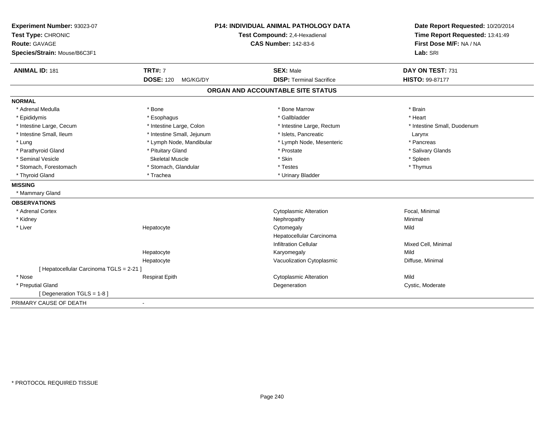| Experiment Number: 93023-07<br>Test Type: CHRONIC<br>Route: GAVAGE<br>Species/Strain: Mouse/B6C3F1 | <b>P14: INDIVIDUAL ANIMAL PATHOLOGY DATA</b><br>Test Compound: 2,4-Hexadienal<br><b>CAS Number: 142-83-6</b> |                                                     | Date Report Requested: 10/20/2014<br>Time Report Requested: 13:41:49<br>First Dose M/F: NA / NA<br>Lab: SRI |
|----------------------------------------------------------------------------------------------------|--------------------------------------------------------------------------------------------------------------|-----------------------------------------------------|-------------------------------------------------------------------------------------------------------------|
| <b>ANIMAL ID: 181</b>                                                                              | <b>TRT#: 7</b><br><b>DOSE: 120</b><br>MG/KG/DY                                                               | <b>SEX: Male</b><br><b>DISP: Terminal Sacrifice</b> | DAY ON TEST: 731<br>HISTO: 99-87177                                                                         |
|                                                                                                    |                                                                                                              | ORGAN AND ACCOUNTABLE SITE STATUS                   |                                                                                                             |
|                                                                                                    |                                                                                                              |                                                     |                                                                                                             |
| <b>NORMAL</b>                                                                                      |                                                                                                              |                                                     |                                                                                                             |
| * Adrenal Medulla                                                                                  | * Bone                                                                                                       | * Bone Marrow                                       | * Brain                                                                                                     |
| * Epididymis                                                                                       | * Esophagus                                                                                                  | * Gallbladder                                       | * Heart                                                                                                     |
| * Intestine Large, Cecum                                                                           | * Intestine Large, Colon                                                                                     | * Intestine Large, Rectum                           | * Intestine Small, Duodenum                                                                                 |
| * Intestine Small, Ileum                                                                           | * Intestine Small, Jejunum                                                                                   | * Islets. Pancreatic                                | Larynx                                                                                                      |
| * Lung                                                                                             | * Lymph Node, Mandibular                                                                                     | * Lymph Node, Mesenteric                            | * Pancreas                                                                                                  |
| * Parathyroid Gland                                                                                | * Pituitary Gland                                                                                            | * Prostate                                          | * Salivary Glands                                                                                           |
| * Seminal Vesicle                                                                                  | <b>Skeletal Muscle</b>                                                                                       | * Skin                                              | * Spleen                                                                                                    |
| * Stomach, Forestomach                                                                             | * Stomach, Glandular                                                                                         | * Testes                                            | * Thymus                                                                                                    |
| * Thyroid Gland                                                                                    | * Trachea                                                                                                    | * Urinary Bladder                                   |                                                                                                             |
| <b>MISSING</b>                                                                                     |                                                                                                              |                                                     |                                                                                                             |
| * Mammary Gland                                                                                    |                                                                                                              |                                                     |                                                                                                             |
| <b>OBSERVATIONS</b>                                                                                |                                                                                                              |                                                     |                                                                                                             |
| * Adrenal Cortex                                                                                   |                                                                                                              | <b>Cytoplasmic Alteration</b>                       | Focal, Minimal                                                                                              |
| * Kidney                                                                                           |                                                                                                              | Nephropathy                                         | Minimal                                                                                                     |
| * Liver                                                                                            | Hepatocyte                                                                                                   | Cytomegaly                                          | Mild                                                                                                        |
|                                                                                                    |                                                                                                              | Hepatocellular Carcinoma                            |                                                                                                             |
|                                                                                                    |                                                                                                              | <b>Infiltration Cellular</b>                        | Mixed Cell, Minimal                                                                                         |
|                                                                                                    | Hepatocyte                                                                                                   | Karyomegaly                                         | Mild                                                                                                        |
|                                                                                                    | Hepatocyte                                                                                                   | Vacuolization Cytoplasmic                           | Diffuse, Minimal                                                                                            |
| [ Hepatocellular Carcinoma TGLS = 2-21 ]                                                           |                                                                                                              |                                                     |                                                                                                             |
| * Nose                                                                                             | <b>Respirat Epith</b>                                                                                        | <b>Cytoplasmic Alteration</b>                       | Mild                                                                                                        |
| * Preputial Gland                                                                                  |                                                                                                              | Degeneration                                        | Cystic, Moderate                                                                                            |
| [ Degeneration TGLS = 1-8 ]                                                                        |                                                                                                              |                                                     |                                                                                                             |
| PRIMARY CAUSE OF DEATH                                                                             | $\blacksquare$                                                                                               |                                                     |                                                                                                             |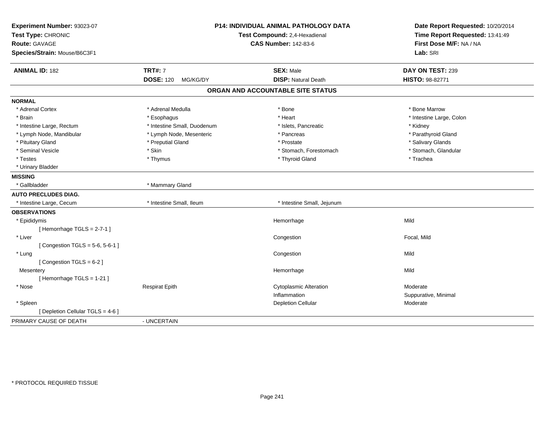| Experiment Number: 93023-07<br>Test Type: CHRONIC<br><b>Route: GAVAGE</b><br>Species/Strain: Mouse/B6C3F1 |                                                | P14: INDIVIDUAL ANIMAL PATHOLOGY DATA<br>Test Compound: 2,4-Hexadienal<br><b>CAS Number: 142-83-6</b> | Date Report Requested: 10/20/2014<br>Time Report Requested: 13:41:49<br>First Dose M/F: NA / NA<br>Lab: SRI |
|-----------------------------------------------------------------------------------------------------------|------------------------------------------------|-------------------------------------------------------------------------------------------------------|-------------------------------------------------------------------------------------------------------------|
| <b>ANIMAL ID: 182</b>                                                                                     | <b>TRT#: 7</b><br><b>DOSE: 120</b><br>MG/KG/DY | <b>SEX: Male</b><br><b>DISP: Natural Death</b>                                                        | DAY ON TEST: 239<br>HISTO: 98-82771                                                                         |
|                                                                                                           |                                                |                                                                                                       |                                                                                                             |
|                                                                                                           |                                                | ORGAN AND ACCOUNTABLE SITE STATUS                                                                     |                                                                                                             |
| <b>NORMAL</b>                                                                                             |                                                |                                                                                                       |                                                                                                             |
| * Adrenal Cortex                                                                                          | * Adrenal Medulla                              | * Bone                                                                                                | * Bone Marrow                                                                                               |
| * Brain                                                                                                   | * Esophagus                                    | * Heart                                                                                               | * Intestine Large, Colon                                                                                    |
| * Intestine Large, Rectum                                                                                 | * Intestine Small, Duodenum                    | * Islets, Pancreatic                                                                                  | * Kidney                                                                                                    |
| * Lymph Node, Mandibular                                                                                  | * Lymph Node, Mesenteric                       | * Pancreas                                                                                            | * Parathyroid Gland                                                                                         |
| * Pituitary Gland                                                                                         | * Preputial Gland                              | * Prostate                                                                                            | * Salivary Glands                                                                                           |
| * Seminal Vesicle                                                                                         | * Skin                                         | * Stomach, Forestomach                                                                                | * Stomach, Glandular                                                                                        |
| * Testes                                                                                                  | * Thymus                                       | * Thyroid Gland                                                                                       | * Trachea                                                                                                   |
| * Urinary Bladder                                                                                         |                                                |                                                                                                       |                                                                                                             |
| <b>MISSING</b>                                                                                            |                                                |                                                                                                       |                                                                                                             |
| * Gallbladder                                                                                             | * Mammary Gland                                |                                                                                                       |                                                                                                             |
| <b>AUTO PRECLUDES DIAG.</b>                                                                               |                                                |                                                                                                       |                                                                                                             |
| * Intestine Large, Cecum                                                                                  | * Intestine Small, Ileum                       | * Intestine Small, Jejunum                                                                            |                                                                                                             |
| <b>OBSERVATIONS</b>                                                                                       |                                                |                                                                                                       |                                                                                                             |
| * Epididymis                                                                                              |                                                | Hemorrhage                                                                                            | Mild                                                                                                        |
| [Hemorrhage $TGLS = 2-7-1$ ]                                                                              |                                                |                                                                                                       |                                                                                                             |
| * Liver                                                                                                   |                                                | Congestion                                                                                            | Focal, Mild                                                                                                 |
| [Congestion TGLS = $5-6, 5-6-1$ ]                                                                         |                                                |                                                                                                       |                                                                                                             |
| * Lung                                                                                                    |                                                | Congestion                                                                                            | Mild                                                                                                        |
| [Congestion TGLS = 6-2]                                                                                   |                                                |                                                                                                       |                                                                                                             |
| Mesentery                                                                                                 |                                                | Hemorrhage                                                                                            | Mild                                                                                                        |
| [Hemorrhage TGLS = $1-21$ ]                                                                               |                                                |                                                                                                       |                                                                                                             |
| * Nose                                                                                                    | <b>Respirat Epith</b>                          | <b>Cytoplasmic Alteration</b>                                                                         | Moderate                                                                                                    |
|                                                                                                           |                                                | Inflammation                                                                                          | Suppurative, Minimal                                                                                        |
| * Spleen                                                                                                  |                                                | <b>Depletion Cellular</b>                                                                             | Moderate                                                                                                    |
| [ Depletion Cellular TGLS = 4-6 ]                                                                         |                                                |                                                                                                       |                                                                                                             |
| PRIMARY CAUSE OF DEATH                                                                                    | - UNCERTAIN                                    |                                                                                                       |                                                                                                             |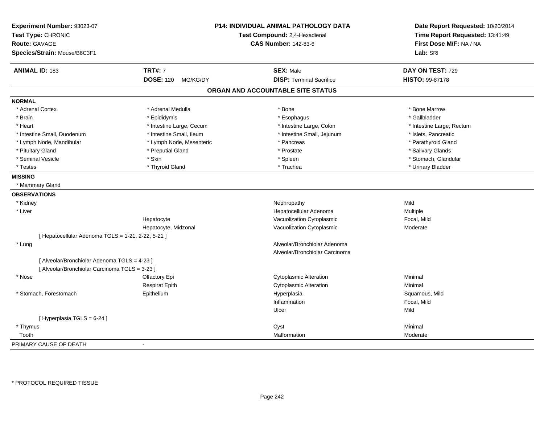| Experiment Number: 93023-07<br>Test Type: CHRONIC<br><b>Route: GAVAGE</b><br>Species/Strain: Mouse/B6C3F1 |                              | <b>P14: INDIVIDUAL ANIMAL PATHOLOGY DATA</b><br>Test Compound: 2,4-Hexadienal<br><b>CAS Number: 142-83-6</b> | Date Report Requested: 10/20/2014<br>Time Report Requested: 13:41:49<br>First Dose M/F: NA / NA<br>Lab: SRI |
|-----------------------------------------------------------------------------------------------------------|------------------------------|--------------------------------------------------------------------------------------------------------------|-------------------------------------------------------------------------------------------------------------|
| <b>ANIMAL ID: 183</b>                                                                                     | <b>TRT#: 7</b>               | <b>SEX: Male</b>                                                                                             | DAY ON TEST: 729                                                                                            |
|                                                                                                           | <b>DOSE: 120</b><br>MG/KG/DY | <b>DISP: Terminal Sacrifice</b>                                                                              | <b>HISTO: 99-87178</b>                                                                                      |
|                                                                                                           |                              | ORGAN AND ACCOUNTABLE SITE STATUS                                                                            |                                                                                                             |
| <b>NORMAL</b>                                                                                             |                              |                                                                                                              |                                                                                                             |
| * Adrenal Cortex                                                                                          | * Adrenal Medulla            | * Bone                                                                                                       | * Bone Marrow                                                                                               |
| * Brain                                                                                                   | * Epididymis                 | * Esophagus                                                                                                  | * Gallbladder                                                                                               |
| * Heart                                                                                                   | * Intestine Large, Cecum     | * Intestine Large, Colon                                                                                     | * Intestine Large, Rectum                                                                                   |
| * Intestine Small, Duodenum                                                                               | * Intestine Small, Ileum     | * Intestine Small, Jejunum                                                                                   | * Islets, Pancreatic                                                                                        |
| * Lymph Node, Mandibular                                                                                  | * Lymph Node, Mesenteric     | * Pancreas                                                                                                   | * Parathyroid Gland                                                                                         |
| * Pituitary Gland                                                                                         | * Preputial Gland            | * Prostate                                                                                                   | * Salivary Glands                                                                                           |
| * Seminal Vesicle                                                                                         | * Skin                       | * Spleen                                                                                                     | * Stomach, Glandular                                                                                        |
| * Testes                                                                                                  | * Thyroid Gland              | * Trachea                                                                                                    | * Urinary Bladder                                                                                           |
| <b>MISSING</b>                                                                                            |                              |                                                                                                              |                                                                                                             |
| * Mammary Gland                                                                                           |                              |                                                                                                              |                                                                                                             |
| <b>OBSERVATIONS</b>                                                                                       |                              |                                                                                                              |                                                                                                             |
| * Kidney                                                                                                  |                              | Nephropathy                                                                                                  | Mild                                                                                                        |
| * Liver                                                                                                   |                              | Hepatocellular Adenoma                                                                                       | Multiple                                                                                                    |
|                                                                                                           | Hepatocyte                   | Vacuolization Cytoplasmic                                                                                    | Focal, Mild                                                                                                 |
|                                                                                                           | Hepatocyte, Midzonal         | Vacuolization Cytoplasmic                                                                                    | Moderate                                                                                                    |
| [ Hepatocellular Adenoma TGLS = 1-21, 2-22, 5-21 ]                                                        |                              |                                                                                                              |                                                                                                             |
| * Lung                                                                                                    |                              | Alveolar/Bronchiolar Adenoma                                                                                 |                                                                                                             |
|                                                                                                           |                              | Alveolar/Bronchiolar Carcinoma                                                                               |                                                                                                             |
| [ Alveolar/Bronchiolar Adenoma TGLS = 4-23 ]                                                              |                              |                                                                                                              |                                                                                                             |
| [ Alveolar/Bronchiolar Carcinoma TGLS = 3-23 ]                                                            |                              |                                                                                                              |                                                                                                             |
| * Nose                                                                                                    | Olfactory Epi                | <b>Cytoplasmic Alteration</b>                                                                                | Minimal                                                                                                     |
|                                                                                                           | <b>Respirat Epith</b>        | <b>Cytoplasmic Alteration</b>                                                                                | Minimal                                                                                                     |
| * Stomach, Forestomach                                                                                    | Epithelium                   | Hyperplasia                                                                                                  | Squamous, Mild                                                                                              |
|                                                                                                           |                              | Inflammation                                                                                                 | Focal, Mild                                                                                                 |
|                                                                                                           |                              | Ulcer                                                                                                        | Mild                                                                                                        |
| [ Hyperplasia TGLS = 6-24 ]                                                                               |                              |                                                                                                              |                                                                                                             |
| * Thymus                                                                                                  |                              | Cyst                                                                                                         | Minimal                                                                                                     |
| Tooth                                                                                                     |                              | Malformation                                                                                                 | Moderate                                                                                                    |
| PRIMARY CAUSE OF DEATH                                                                                    |                              |                                                                                                              |                                                                                                             |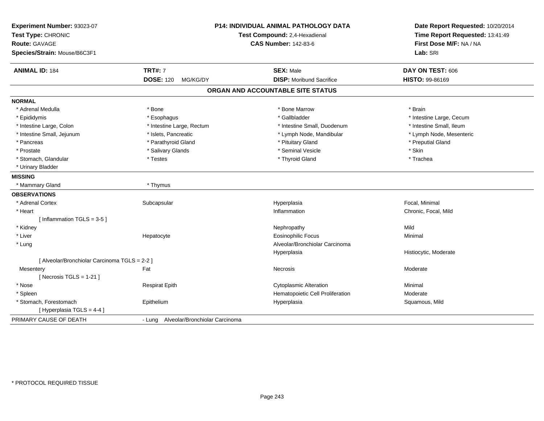| Experiment Number: 93023-07<br>Test Type: CHRONIC<br><b>Route: GAVAGE</b><br>Species/Strain: Mouse/B6C3F1 |                                       | P14: INDIVIDUAL ANIMAL PATHOLOGY DATA<br>Test Compound: 2,4-Hexadienal<br><b>CAS Number: 142-83-6</b> | Date Report Requested: 10/20/2014<br>Time Report Requested: 13:41:49<br>First Dose M/F: NA / NA<br>Lab: SRI |
|-----------------------------------------------------------------------------------------------------------|---------------------------------------|-------------------------------------------------------------------------------------------------------|-------------------------------------------------------------------------------------------------------------|
| <b>ANIMAL ID: 184</b>                                                                                     | <b>TRT#: 7</b>                        | <b>SEX: Male</b>                                                                                      | DAY ON TEST: 606                                                                                            |
|                                                                                                           | <b>DOSE: 120</b><br>MG/KG/DY          | <b>DISP:</b> Moribund Sacrifice                                                                       | HISTO: 99-86169                                                                                             |
|                                                                                                           |                                       | ORGAN AND ACCOUNTABLE SITE STATUS                                                                     |                                                                                                             |
| <b>NORMAL</b>                                                                                             |                                       |                                                                                                       |                                                                                                             |
| * Adrenal Medulla                                                                                         | * Bone                                | * Bone Marrow                                                                                         | * Brain                                                                                                     |
| * Epididymis                                                                                              | * Esophagus                           | * Gallbladder                                                                                         | * Intestine Large, Cecum                                                                                    |
| * Intestine Large, Colon                                                                                  | * Intestine Large, Rectum             | * Intestine Small, Duodenum                                                                           | * Intestine Small, Ileum                                                                                    |
| * Intestine Small, Jejunum                                                                                | * Islets, Pancreatic                  | * Lymph Node, Mandibular                                                                              | * Lymph Node, Mesenteric                                                                                    |
| * Pancreas                                                                                                | * Parathyroid Gland                   | * Pituitary Gland                                                                                     | * Preputial Gland                                                                                           |
| * Prostate                                                                                                | * Salivary Glands                     | * Seminal Vesicle                                                                                     | * Skin                                                                                                      |
| * Stomach, Glandular                                                                                      | * Testes                              | * Thyroid Gland                                                                                       | * Trachea                                                                                                   |
| * Urinary Bladder                                                                                         |                                       |                                                                                                       |                                                                                                             |
| <b>MISSING</b>                                                                                            |                                       |                                                                                                       |                                                                                                             |
| * Mammary Gland                                                                                           | * Thymus                              |                                                                                                       |                                                                                                             |
| <b>OBSERVATIONS</b>                                                                                       |                                       |                                                                                                       |                                                                                                             |
| * Adrenal Cortex                                                                                          | Subcapsular                           | Hyperplasia                                                                                           | Focal, Minimal                                                                                              |
| * Heart                                                                                                   |                                       | Inflammation                                                                                          | Chronic, Focal, Mild                                                                                        |
| [Inflammation TGLS = 3-5]                                                                                 |                                       |                                                                                                       |                                                                                                             |
| * Kidney                                                                                                  |                                       | Nephropathy                                                                                           | Mild                                                                                                        |
| * Liver                                                                                                   | Hepatocyte                            | <b>Eosinophilic Focus</b>                                                                             | Minimal                                                                                                     |
| * Lung                                                                                                    |                                       | Alveolar/Bronchiolar Carcinoma                                                                        |                                                                                                             |
|                                                                                                           |                                       | Hyperplasia                                                                                           | Histiocytic, Moderate                                                                                       |
| [ Alveolar/Bronchiolar Carcinoma TGLS = 2-2 ]                                                             |                                       |                                                                                                       |                                                                                                             |
| Mesentery                                                                                                 | Fat                                   | Necrosis                                                                                              | Moderate                                                                                                    |
| [ Necrosis $TGLS = 1-21$ ]                                                                                |                                       |                                                                                                       |                                                                                                             |
| * Nose                                                                                                    | <b>Respirat Epith</b>                 | <b>Cytoplasmic Alteration</b>                                                                         | Minimal                                                                                                     |
| * Spleen                                                                                                  |                                       | Hematopoietic Cell Proliferation                                                                      | Moderate                                                                                                    |
| * Stomach, Forestomach                                                                                    | Epithelium                            | Hyperplasia                                                                                           | Squamous, Mild                                                                                              |
| [ Hyperplasia TGLS = 4-4 ]                                                                                |                                       |                                                                                                       |                                                                                                             |
| PRIMARY CAUSE OF DEATH                                                                                    | - Lung Alveolar/Bronchiolar Carcinoma |                                                                                                       |                                                                                                             |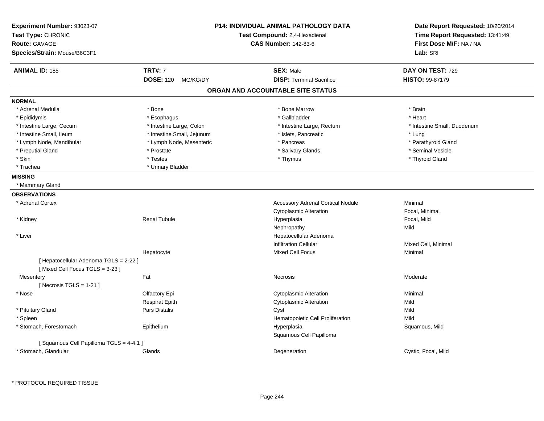| Experiment Number: 93023-07<br>Test Type: CHRONIC<br><b>Route: GAVAGE</b><br>Species/Strain: Mouse/B6C3F1 |                                                | <b>P14: INDIVIDUAL ANIMAL PATHOLOGY DATA</b><br>Test Compound: 2,4-Hexadienal<br><b>CAS Number: 142-83-6</b> | Date Report Requested: 10/20/2014<br>Time Report Requested: 13:41:49<br>First Dose M/F: NA / NA<br>Lab: SRI |
|-----------------------------------------------------------------------------------------------------------|------------------------------------------------|--------------------------------------------------------------------------------------------------------------|-------------------------------------------------------------------------------------------------------------|
|                                                                                                           |                                                |                                                                                                              |                                                                                                             |
| <b>ANIMAL ID: 185</b>                                                                                     | <b>TRT#: 7</b><br><b>DOSE: 120</b><br>MG/KG/DY | <b>SEX: Male</b><br><b>DISP: Terminal Sacrifice</b>                                                          | DAY ON TEST: 729<br><b>HISTO: 99-87179</b>                                                                  |
|                                                                                                           |                                                | ORGAN AND ACCOUNTABLE SITE STATUS                                                                            |                                                                                                             |
| <b>NORMAL</b>                                                                                             |                                                |                                                                                                              |                                                                                                             |
| * Adrenal Medulla                                                                                         | * Bone                                         | * Bone Marrow                                                                                                | * Brain                                                                                                     |
| * Epididymis                                                                                              | * Esophagus                                    | * Gallbladder                                                                                                | * Heart                                                                                                     |
| * Intestine Large, Cecum                                                                                  | * Intestine Large, Colon                       | * Intestine Large, Rectum                                                                                    | * Intestine Small, Duodenum                                                                                 |
| * Intestine Small, Ileum                                                                                  | * Intestine Small, Jejunum                     | * Islets, Pancreatic                                                                                         | * Lung                                                                                                      |
| * Lymph Node, Mandibular                                                                                  | * Lymph Node, Mesenteric                       | * Pancreas                                                                                                   | * Parathyroid Gland                                                                                         |
| * Preputial Gland                                                                                         | * Prostate                                     | * Salivary Glands                                                                                            | * Seminal Vesicle                                                                                           |
| * Skin                                                                                                    | * Testes                                       | * Thymus                                                                                                     | * Thyroid Gland                                                                                             |
| * Trachea                                                                                                 | * Urinary Bladder                              |                                                                                                              |                                                                                                             |
| <b>MISSING</b>                                                                                            |                                                |                                                                                                              |                                                                                                             |
| * Mammary Gland                                                                                           |                                                |                                                                                                              |                                                                                                             |
| <b>OBSERVATIONS</b>                                                                                       |                                                |                                                                                                              |                                                                                                             |
| * Adrenal Cortex                                                                                          |                                                | <b>Accessory Adrenal Cortical Nodule</b>                                                                     | Minimal                                                                                                     |
|                                                                                                           |                                                | <b>Cytoplasmic Alteration</b>                                                                                | Focal, Minimal                                                                                              |
| * Kidney                                                                                                  | <b>Renal Tubule</b>                            | Hyperplasia                                                                                                  | Focal, Mild                                                                                                 |
|                                                                                                           |                                                | Nephropathy                                                                                                  | Mild                                                                                                        |
| * Liver                                                                                                   |                                                | Hepatocellular Adenoma                                                                                       |                                                                                                             |
|                                                                                                           |                                                | <b>Infiltration Cellular</b>                                                                                 | Mixed Cell, Minimal                                                                                         |
|                                                                                                           | Hepatocyte                                     | Mixed Cell Focus                                                                                             | Minimal                                                                                                     |
| [ Hepatocellular Adenoma TGLS = 2-22 ]<br>[Mixed Cell Focus TGLS = 3-23]                                  |                                                |                                                                                                              |                                                                                                             |
| Mesentery                                                                                                 | Fat                                            | <b>Necrosis</b>                                                                                              | Moderate                                                                                                    |
| [Necrosis $TGLS = 1-21$ ]                                                                                 |                                                |                                                                                                              |                                                                                                             |
| * Nose                                                                                                    | Olfactory Epi                                  | <b>Cytoplasmic Alteration</b>                                                                                | Minimal                                                                                                     |
|                                                                                                           | <b>Respirat Epith</b>                          | <b>Cytoplasmic Alteration</b>                                                                                | Mild                                                                                                        |
| * Pituitary Gland                                                                                         | Pars Distalis                                  | Cyst                                                                                                         | Mild                                                                                                        |
| * Spleen                                                                                                  |                                                | Hematopoietic Cell Proliferation                                                                             | Mild                                                                                                        |
| * Stomach, Forestomach                                                                                    | Epithelium                                     | Hyperplasia<br>Squamous Cell Papilloma                                                                       | Squamous, Mild                                                                                              |
| [Squamous Cell Papilloma TGLS = 4-4.1]                                                                    |                                                |                                                                                                              |                                                                                                             |
| * Stomach, Glandular                                                                                      | Glands                                         | Degeneration                                                                                                 | Cystic, Focal, Mild                                                                                         |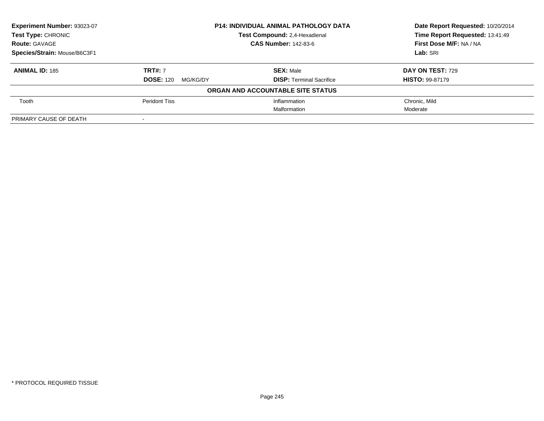| Experiment Number: 93023-07  | <b>P14: INDIVIDUAL ANIMAL PATHOLOGY DATA</b><br>Test Compound: 2,4-Hexadienal |                                   | Date Report Requested: 10/20/2014<br>Time Report Requested: 13:41:49 |
|------------------------------|-------------------------------------------------------------------------------|-----------------------------------|----------------------------------------------------------------------|
| <b>Test Type: CHRONIC</b>    |                                                                               |                                   |                                                                      |
| <b>Route: GAVAGE</b>         |                                                                               | <b>CAS Number: 142-83-6</b>       | First Dose M/F: NA / NA                                              |
| Species/Strain: Mouse/B6C3F1 |                                                                               |                                   | Lab: SRI                                                             |
| <b>ANIMAL ID: 185</b>        | <b>TRT#: 7</b>                                                                | <b>SEX: Male</b>                  | <b>DAY ON TEST: 729</b>                                              |
|                              | <b>DOSE: 120</b><br>MG/KG/DY                                                  | <b>DISP: Terminal Sacrifice</b>   | <b>HISTO: 99-87179</b>                                               |
|                              |                                                                               | ORGAN AND ACCOUNTABLE SITE STATUS |                                                                      |
| Tooth                        | <b>Peridont Tiss</b>                                                          | Inflammation                      | Chronic, Mild                                                        |
|                              |                                                                               | Malformation                      | Moderate                                                             |
| PRIMARY CAUSE OF DEATH       |                                                                               |                                   |                                                                      |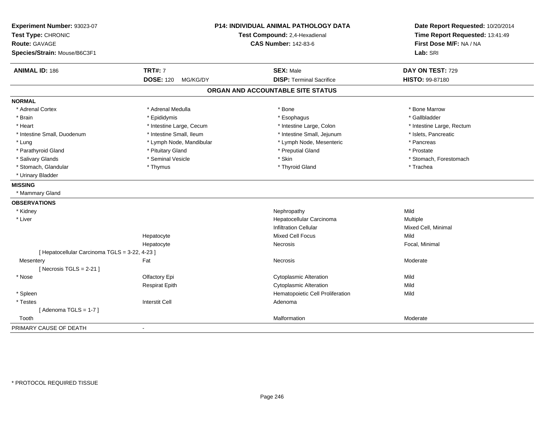| Experiment Number: 93023-07<br>Test Type: CHRONIC<br><b>Route: GAVAGE</b><br>Species/Strain: Mouse/B6C3F1 |                              | <b>P14: INDIVIDUAL ANIMAL PATHOLOGY DATA</b><br>Test Compound: 2,4-Hexadienal<br><b>CAS Number: 142-83-6</b> |                           |
|-----------------------------------------------------------------------------------------------------------|------------------------------|--------------------------------------------------------------------------------------------------------------|---------------------------|
| <b>ANIMAL ID: 186</b>                                                                                     | <b>TRT#: 7</b>               | <b>SEX: Male</b>                                                                                             | DAY ON TEST: 729          |
|                                                                                                           | <b>DOSE: 120</b><br>MG/KG/DY | <b>DISP: Terminal Sacrifice</b>                                                                              | HISTO: 99-87180           |
|                                                                                                           |                              | ORGAN AND ACCOUNTABLE SITE STATUS                                                                            |                           |
| <b>NORMAL</b>                                                                                             |                              |                                                                                                              |                           |
| * Adrenal Cortex                                                                                          | * Adrenal Medulla            | * Bone                                                                                                       | * Bone Marrow             |
| * Brain                                                                                                   | * Epididymis                 | * Esophagus                                                                                                  | * Gallbladder             |
| * Heart                                                                                                   | * Intestine Large, Cecum     | * Intestine Large, Colon                                                                                     | * Intestine Large, Rectum |
| * Intestine Small, Duodenum                                                                               | * Intestine Small, Ileum     | * Intestine Small, Jejunum                                                                                   | * Islets, Pancreatic      |
| * Lung                                                                                                    | * Lymph Node, Mandibular     | * Lymph Node, Mesenteric                                                                                     | * Pancreas                |
| * Parathyroid Gland                                                                                       | * Pituitary Gland            | * Preputial Gland                                                                                            | * Prostate                |
| * Salivary Glands                                                                                         | * Seminal Vesicle            | * Skin                                                                                                       | * Stomach, Forestomach    |
| * Stomach, Glandular                                                                                      | * Thymus                     | * Thyroid Gland                                                                                              | * Trachea                 |
| * Urinary Bladder                                                                                         |                              |                                                                                                              |                           |
| <b>MISSING</b>                                                                                            |                              |                                                                                                              |                           |
| * Mammary Gland                                                                                           |                              |                                                                                                              |                           |
| <b>OBSERVATIONS</b>                                                                                       |                              |                                                                                                              |                           |
| * Kidney                                                                                                  |                              | Nephropathy                                                                                                  | Mild                      |
| * Liver                                                                                                   |                              | Hepatocellular Carcinoma                                                                                     | Multiple                  |
|                                                                                                           |                              | <b>Infiltration Cellular</b>                                                                                 | Mixed Cell, Minimal       |
|                                                                                                           | Hepatocyte                   | <b>Mixed Cell Focus</b>                                                                                      | Mild                      |
|                                                                                                           | Hepatocyte                   | Necrosis                                                                                                     | Focal, Minimal            |
| [ Hepatocellular Carcinoma TGLS = 3-22, 4-23 ]                                                            |                              |                                                                                                              |                           |
| Mesentery                                                                                                 | Fat                          | Necrosis                                                                                                     | Moderate                  |
| [Necrosis $TGLS = 2-21$ ]                                                                                 |                              |                                                                                                              |                           |
| * Nose                                                                                                    | Olfactory Epi                | <b>Cytoplasmic Alteration</b>                                                                                | Mild                      |
|                                                                                                           | <b>Respirat Epith</b>        | Cytoplasmic Alteration                                                                                       | Mild                      |
| * Spleen                                                                                                  |                              | Hematopoietic Cell Proliferation                                                                             | Mild                      |
| * Testes                                                                                                  | <b>Interstit Cell</b>        | Adenoma                                                                                                      |                           |
| [Adenoma TGLS = $1-7$ ]                                                                                   |                              |                                                                                                              |                           |
| Tooth                                                                                                     |                              | Malformation                                                                                                 | Moderate                  |
| PRIMARY CAUSE OF DEATH                                                                                    |                              |                                                                                                              |                           |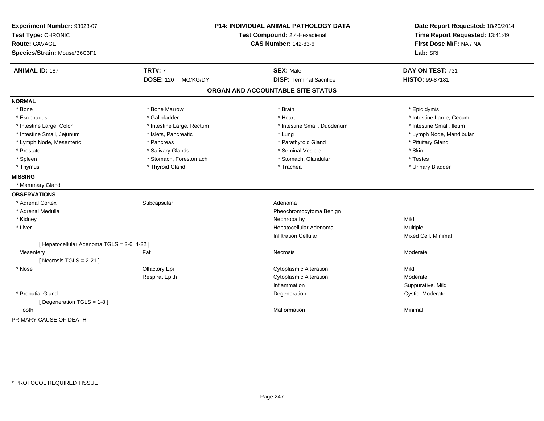| Experiment Number: 93023-07<br>Test Type: CHRONIC<br><b>Route: GAVAGE</b><br>Species/Strain: Mouse/B6C3F1 | <b>P14: INDIVIDUAL ANIMAL PATHOLOGY DATA</b><br>Test Compound: 2,4-Hexadienal<br><b>CAS Number: 142-83-6</b> |                                   | Date Report Requested: 10/20/2014<br>Time Report Requested: 13:41:49<br>First Dose M/F: NA / NA<br>Lab: SRI |
|-----------------------------------------------------------------------------------------------------------|--------------------------------------------------------------------------------------------------------------|-----------------------------------|-------------------------------------------------------------------------------------------------------------|
| <b>ANIMAL ID: 187</b>                                                                                     | <b>TRT#: 7</b>                                                                                               | <b>SEX: Male</b>                  | DAY ON TEST: 731                                                                                            |
|                                                                                                           | <b>DOSE: 120</b><br>MG/KG/DY                                                                                 | <b>DISP: Terminal Sacrifice</b>   | HISTO: 99-87181                                                                                             |
|                                                                                                           |                                                                                                              | ORGAN AND ACCOUNTABLE SITE STATUS |                                                                                                             |
| <b>NORMAL</b>                                                                                             |                                                                                                              |                                   |                                                                                                             |
| * Bone                                                                                                    | * Bone Marrow                                                                                                | * Brain                           | * Epididymis                                                                                                |
| * Esophagus                                                                                               | * Gallbladder                                                                                                | * Heart                           | * Intestine Large, Cecum                                                                                    |
| * Intestine Large, Colon                                                                                  | * Intestine Large, Rectum                                                                                    | * Intestine Small, Duodenum       | * Intestine Small, Ileum                                                                                    |
| * Intestine Small, Jejunum                                                                                | * Islets, Pancreatic                                                                                         | * Lung                            | * Lymph Node, Mandibular                                                                                    |
| * Lymph Node, Mesenteric                                                                                  | * Pancreas                                                                                                   | * Parathyroid Gland               | * Pituitary Gland                                                                                           |
| * Prostate                                                                                                | * Salivary Glands                                                                                            | * Seminal Vesicle                 | * Skin                                                                                                      |
| * Spleen                                                                                                  | * Stomach, Forestomach                                                                                       | * Stomach, Glandular              | * Testes                                                                                                    |
| * Thymus                                                                                                  | * Thyroid Gland                                                                                              | * Trachea                         | * Urinary Bladder                                                                                           |
| <b>MISSING</b>                                                                                            |                                                                                                              |                                   |                                                                                                             |
| * Mammary Gland                                                                                           |                                                                                                              |                                   |                                                                                                             |
| <b>OBSERVATIONS</b>                                                                                       |                                                                                                              |                                   |                                                                                                             |
| * Adrenal Cortex                                                                                          | Subcapsular                                                                                                  | Adenoma                           |                                                                                                             |
| * Adrenal Medulla                                                                                         |                                                                                                              | Pheochromocytoma Benign           |                                                                                                             |
| * Kidney                                                                                                  |                                                                                                              | Nephropathy                       | Mild                                                                                                        |
| * Liver                                                                                                   |                                                                                                              | Hepatocellular Adenoma            | Multiple                                                                                                    |
|                                                                                                           |                                                                                                              | <b>Infiltration Cellular</b>      | Mixed Cell, Minimal                                                                                         |
| [ Hepatocellular Adenoma TGLS = 3-6, 4-22 ]                                                               |                                                                                                              |                                   |                                                                                                             |
| Mesentery                                                                                                 | Fat                                                                                                          | <b>Necrosis</b>                   | Moderate                                                                                                    |
| [Necrosis TGLS = $2-21$ ]                                                                                 |                                                                                                              |                                   |                                                                                                             |
| * Nose                                                                                                    | Olfactory Epi                                                                                                | <b>Cytoplasmic Alteration</b>     | Mild                                                                                                        |
|                                                                                                           | <b>Respirat Epith</b>                                                                                        | <b>Cytoplasmic Alteration</b>     | Moderate                                                                                                    |
|                                                                                                           |                                                                                                              | Inflammation                      | Suppurative, Mild                                                                                           |
| * Preputial Gland                                                                                         |                                                                                                              | Degeneration                      | Cystic, Moderate                                                                                            |
| [Degeneration TGLS = 1-8]                                                                                 |                                                                                                              |                                   |                                                                                                             |
| Tooth                                                                                                     |                                                                                                              | Malformation                      | Minimal                                                                                                     |
| PRIMARY CAUSE OF DEATH                                                                                    |                                                                                                              |                                   |                                                                                                             |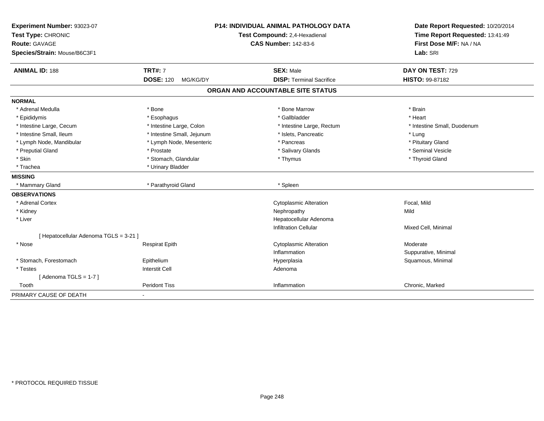| Experiment Number: 93023-07<br>Test Type: CHRONIC |                              | <b>P14: INDIVIDUAL ANIMAL PATHOLOGY DATA</b><br>Test Compound: 2,4-Hexadienal | Date Report Requested: 10/20/2014<br>Time Report Requested: 13:41:49 |
|---------------------------------------------------|------------------------------|-------------------------------------------------------------------------------|----------------------------------------------------------------------|
| Route: GAVAGE                                     |                              | <b>CAS Number: 142-83-6</b>                                                   | First Dose M/F: NA / NA                                              |
| Species/Strain: Mouse/B6C3F1                      |                              |                                                                               | Lab: SRI                                                             |
| <b>ANIMAL ID: 188</b>                             | <b>TRT#: 7</b>               | <b>SEX: Male</b>                                                              | DAY ON TEST: 729                                                     |
|                                                   | <b>DOSE: 120</b><br>MG/KG/DY | <b>DISP: Terminal Sacrifice</b>                                               | <b>HISTO: 99-87182</b>                                               |
|                                                   |                              | ORGAN AND ACCOUNTABLE SITE STATUS                                             |                                                                      |
| <b>NORMAL</b>                                     |                              |                                                                               |                                                                      |
| * Adrenal Medulla                                 | * Bone                       | * Bone Marrow                                                                 | * Brain                                                              |
| * Epididymis                                      | * Esophagus                  | * Gallbladder                                                                 | * Heart                                                              |
| * Intestine Large, Cecum                          | * Intestine Large, Colon     | * Intestine Large, Rectum                                                     | * Intestine Small, Duodenum                                          |
| * Intestine Small, Ileum                          | * Intestine Small, Jejunum   | * Islets, Pancreatic                                                          | * Lung                                                               |
| * Lymph Node, Mandibular                          | * Lymph Node, Mesenteric     | * Pancreas                                                                    | * Pituitary Gland                                                    |
| * Preputial Gland                                 | * Prostate                   | * Salivary Glands                                                             | * Seminal Vesicle                                                    |
| * Skin                                            | * Stomach, Glandular         | * Thymus                                                                      | * Thyroid Gland                                                      |
| * Trachea                                         | * Urinary Bladder            |                                                                               |                                                                      |
| <b>MISSING</b>                                    |                              |                                                                               |                                                                      |
| * Mammary Gland                                   | * Parathyroid Gland          | * Spleen                                                                      |                                                                      |
| <b>OBSERVATIONS</b>                               |                              |                                                                               |                                                                      |
| * Adrenal Cortex                                  |                              | <b>Cytoplasmic Alteration</b>                                                 | Focal, Mild                                                          |
| * Kidney                                          |                              | Nephropathy                                                                   | Mild                                                                 |
| * Liver                                           |                              | Hepatocellular Adenoma                                                        |                                                                      |
|                                                   |                              | <b>Infiltration Cellular</b>                                                  | Mixed Cell, Minimal                                                  |
| [ Hepatocellular Adenoma TGLS = 3-21 ]            |                              |                                                                               |                                                                      |
| * Nose                                            | <b>Respirat Epith</b>        | <b>Cytoplasmic Alteration</b>                                                 | Moderate                                                             |
|                                                   |                              | Inflammation                                                                  | Suppurative, Minimal                                                 |
| * Stomach, Forestomach                            | Epithelium                   | Hyperplasia                                                                   | Squamous, Minimal                                                    |
| * Testes                                          | <b>Interstit Cell</b>        | Adenoma                                                                       |                                                                      |
| [Adenoma TGLS = $1-7$ ]                           |                              |                                                                               |                                                                      |
| Tooth                                             | <b>Peridont Tiss</b>         | Inflammation                                                                  | Chronic, Marked                                                      |
| PRIMARY CAUSE OF DEATH                            |                              |                                                                               |                                                                      |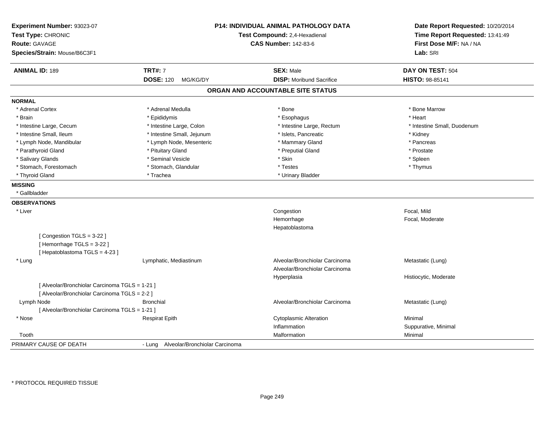| Experiment Number: 93023-07<br>Test Type: CHRONIC<br><b>Route: GAVAGE</b><br>Species/Strain: Mouse/B6C3F1 |                                       | <b>P14: INDIVIDUAL ANIMAL PATHOLOGY DATA</b><br>Test Compound: 2,4-Hexadienal<br><b>CAS Number: 142-83-6</b> | Date Report Requested: 10/20/2014<br>Time Report Requested: 13:41:49<br>First Dose M/F: NA / NA<br>Lab: SRI |
|-----------------------------------------------------------------------------------------------------------|---------------------------------------|--------------------------------------------------------------------------------------------------------------|-------------------------------------------------------------------------------------------------------------|
| <b>ANIMAL ID: 189</b>                                                                                     | <b>TRT#: 7</b>                        | <b>SEX: Male</b>                                                                                             | DAY ON TEST: 504                                                                                            |
|                                                                                                           | <b>DOSE: 120</b><br>MG/KG/DY          | <b>DISP:</b> Moribund Sacrifice                                                                              | HISTO: 98-85141                                                                                             |
|                                                                                                           |                                       | ORGAN AND ACCOUNTABLE SITE STATUS                                                                            |                                                                                                             |
| <b>NORMAL</b>                                                                                             |                                       |                                                                                                              |                                                                                                             |
| * Adrenal Cortex                                                                                          | * Adrenal Medulla                     | * Bone                                                                                                       | * Bone Marrow                                                                                               |
| * Brain                                                                                                   | * Epididymis                          | * Esophagus                                                                                                  | * Heart                                                                                                     |
| * Intestine Large, Cecum                                                                                  | * Intestine Large, Colon              | * Intestine Large, Rectum                                                                                    | * Intestine Small, Duodenum                                                                                 |
| * Intestine Small, Ileum                                                                                  | * Intestine Small, Jejunum            | * Islets, Pancreatic                                                                                         | * Kidney                                                                                                    |
| * Lymph Node, Mandibular                                                                                  | * Lymph Node, Mesenteric              | * Mammary Gland                                                                                              | * Pancreas                                                                                                  |
| * Parathyroid Gland                                                                                       | * Pituitary Gland                     | * Preputial Gland                                                                                            | * Prostate                                                                                                  |
| * Salivary Glands                                                                                         | * Seminal Vesicle                     | * Skin                                                                                                       | * Spleen                                                                                                    |
| * Stomach, Forestomach                                                                                    | * Stomach, Glandular                  | * Testes                                                                                                     | * Thymus                                                                                                    |
| * Thyroid Gland                                                                                           | * Trachea                             | * Urinary Bladder                                                                                            |                                                                                                             |
| <b>MISSING</b>                                                                                            |                                       |                                                                                                              |                                                                                                             |
| * Gallbladder                                                                                             |                                       |                                                                                                              |                                                                                                             |
| <b>OBSERVATIONS</b>                                                                                       |                                       |                                                                                                              |                                                                                                             |
| * Liver                                                                                                   |                                       | Congestion                                                                                                   | Focal, Mild                                                                                                 |
|                                                                                                           |                                       | Hemorrhage                                                                                                   | Focal, Moderate                                                                                             |
|                                                                                                           |                                       | Hepatoblastoma                                                                                               |                                                                                                             |
| [Congestion TGLS = 3-22]<br>[Hemorrhage TGLS = 3-22]<br>[Hepatoblastoma TGLS = 4-23]                      |                                       |                                                                                                              |                                                                                                             |
| * Lung                                                                                                    | Lymphatic, Mediastinum                | Alveolar/Bronchiolar Carcinoma                                                                               | Metastatic (Lung)                                                                                           |
|                                                                                                           |                                       | Alveolar/Bronchiolar Carcinoma                                                                               |                                                                                                             |
|                                                                                                           |                                       | Hyperplasia                                                                                                  | Histiocytic, Moderate                                                                                       |
| [ Alveolar/Bronchiolar Carcinoma TGLS = 1-21 ]<br>[ Alveolar/Bronchiolar Carcinoma TGLS = 2-2 ]           |                                       |                                                                                                              |                                                                                                             |
| Lymph Node                                                                                                | <b>Bronchial</b>                      | Alveolar/Bronchiolar Carcinoma                                                                               | Metastatic (Lung)                                                                                           |
| [ Alveolar/Bronchiolar Carcinoma TGLS = 1-21 ]                                                            |                                       |                                                                                                              |                                                                                                             |
| * Nose                                                                                                    | <b>Respirat Epith</b>                 | <b>Cytoplasmic Alteration</b>                                                                                | Minimal                                                                                                     |
|                                                                                                           |                                       | Inflammation                                                                                                 | Suppurative, Minimal                                                                                        |
| Tooth                                                                                                     |                                       | Malformation                                                                                                 | Minimal                                                                                                     |
| PRIMARY CAUSE OF DEATH                                                                                    | - Lung Alveolar/Bronchiolar Carcinoma |                                                                                                              |                                                                                                             |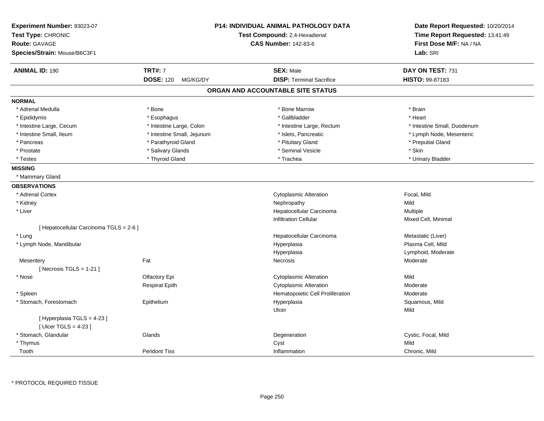| Experiment Number: 93023-07<br>Test Type: CHRONIC<br><b>Route: GAVAGE</b><br>Species/Strain: Mouse/B6C3F1 |                              | P14: INDIVIDUAL ANIMAL PATHOLOGY DATA<br>Test Compound: 2,4-Hexadienal<br><b>CAS Number: 142-83-6</b> | Date Report Requested: 10/20/2014<br>Time Report Requested: 13:41:49<br>First Dose M/F: NA / NA<br>Lab: SRI |
|-----------------------------------------------------------------------------------------------------------|------------------------------|-------------------------------------------------------------------------------------------------------|-------------------------------------------------------------------------------------------------------------|
| <b>ANIMAL ID: 190</b>                                                                                     | <b>TRT#: 7</b>               | <b>SEX: Male</b>                                                                                      | DAY ON TEST: 731                                                                                            |
|                                                                                                           | <b>DOSE: 120</b><br>MG/KG/DY | <b>DISP: Terminal Sacrifice</b>                                                                       | HISTO: 99-87183                                                                                             |
|                                                                                                           |                              | ORGAN AND ACCOUNTABLE SITE STATUS                                                                     |                                                                                                             |
| <b>NORMAL</b>                                                                                             |                              |                                                                                                       |                                                                                                             |
| * Adrenal Medulla                                                                                         | * Bone                       | * Bone Marrow                                                                                         | * Brain                                                                                                     |
| * Epididymis                                                                                              | * Esophagus                  | * Gallbladder                                                                                         | * Heart                                                                                                     |
| * Intestine Large, Cecum                                                                                  | * Intestine Large, Colon     | * Intestine Large, Rectum                                                                             | * Intestine Small, Duodenum                                                                                 |
| * Intestine Small, Ileum                                                                                  | * Intestine Small, Jejunum   | * Islets, Pancreatic                                                                                  | * Lymph Node, Mesenteric                                                                                    |
| * Pancreas                                                                                                | * Parathyroid Gland          | * Pituitary Gland                                                                                     | * Preputial Gland                                                                                           |
| * Prostate                                                                                                | * Salivary Glands            | * Seminal Vesicle                                                                                     | * Skin                                                                                                      |
| * Testes                                                                                                  | * Thyroid Gland              | * Trachea                                                                                             | * Urinary Bladder                                                                                           |
| <b>MISSING</b>                                                                                            |                              |                                                                                                       |                                                                                                             |
| * Mammary Gland                                                                                           |                              |                                                                                                       |                                                                                                             |
| <b>OBSERVATIONS</b>                                                                                       |                              |                                                                                                       |                                                                                                             |
| * Adrenal Cortex                                                                                          |                              | <b>Cytoplasmic Alteration</b>                                                                         | Focal, Mild                                                                                                 |
| * Kidney                                                                                                  |                              | Nephropathy                                                                                           | Mild                                                                                                        |
| * Liver                                                                                                   |                              | Hepatocellular Carcinoma                                                                              | Multiple                                                                                                    |
|                                                                                                           |                              | <b>Infiltration Cellular</b>                                                                          | Mixed Cell, Minimal                                                                                         |
| [ Hepatocellular Carcinoma TGLS = 2-6 ]                                                                   |                              |                                                                                                       |                                                                                                             |
| * Lung                                                                                                    |                              | Hepatocellular Carcinoma                                                                              | Metastatic (Liver)                                                                                          |
| * Lymph Node, Mandibular                                                                                  |                              | Hyperplasia                                                                                           | Plasma Cell, Mild                                                                                           |
|                                                                                                           |                              | Hyperplasia                                                                                           | Lymphoid, Moderate                                                                                          |
| Mesentery                                                                                                 | Fat                          | Necrosis                                                                                              | Moderate                                                                                                    |
| [ Necrosis TGLS = $1-21$ ]                                                                                |                              |                                                                                                       |                                                                                                             |
| * Nose                                                                                                    | Olfactory Epi                | <b>Cytoplasmic Alteration</b>                                                                         | Mild                                                                                                        |
|                                                                                                           | <b>Respirat Epith</b>        | <b>Cytoplasmic Alteration</b>                                                                         | Moderate                                                                                                    |
| * Spleen                                                                                                  |                              | Hematopoietic Cell Proliferation                                                                      | Moderate                                                                                                    |
| * Stomach, Forestomach                                                                                    | Epithelium                   | Hyperplasia                                                                                           | Squamous, Mild                                                                                              |
|                                                                                                           |                              | Ulcer                                                                                                 | Mild                                                                                                        |
| [ Hyperplasia TGLS = 4-23 ]<br>[ $Ulec$ TGLS = 4-23 ]                                                     |                              |                                                                                                       |                                                                                                             |
| * Stomach, Glandular                                                                                      | Glands                       | Degeneration                                                                                          | Cystic, Focal, Mild                                                                                         |
| * Thymus                                                                                                  |                              | Cyst                                                                                                  | Mild                                                                                                        |
| Tooth                                                                                                     | <b>Peridont Tiss</b>         | Inflammation                                                                                          | Chronic, Mild                                                                                               |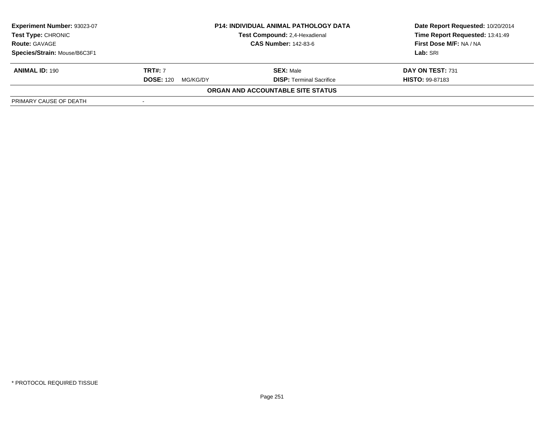| <b>Experiment Number: 93023-07</b><br><b>Test Type: CHRONIC</b><br><b>Route: GAVAGE</b> | <b>P14: INDIVIDUAL ANIMAL PATHOLOGY DATA</b><br>Test Compound: 2,4-Hexadienal<br><b>CAS Number: 142-83-6</b> |                                                     | Date Report Requested: 10/20/2014<br>Time Report Requested: 13:41:49<br>First Dose M/F: NA / NA<br>Lab: SRI |
|-----------------------------------------------------------------------------------------|--------------------------------------------------------------------------------------------------------------|-----------------------------------------------------|-------------------------------------------------------------------------------------------------------------|
| Species/Strain: Mouse/B6C3F1<br><b>ANIMAL ID: 190</b>                                   | <b>TRT#: 7</b><br><b>DOSE: 120</b><br>MG/KG/DY                                                               | <b>SEX: Male</b><br><b>DISP: Terminal Sacrifice</b> | DAY ON TEST: 731<br><b>HISTO: 99-87183</b>                                                                  |
| PRIMARY CAUSE OF DEATH                                                                  |                                                                                                              | ORGAN AND ACCOUNTABLE SITE STATUS                   |                                                                                                             |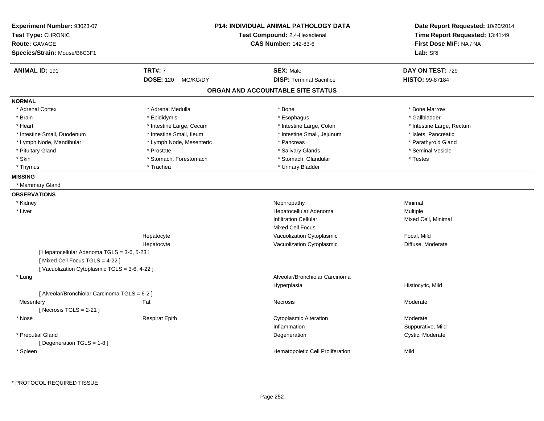| Experiment Number: 93023-07<br>Test Type: CHRONIC<br><b>Route: GAVAGE</b>     |                              | <b>P14: INDIVIDUAL ANIMAL PATHOLOGY DATA</b><br>Test Compound: 2,4-Hexadienal<br><b>CAS Number: 142-83-6</b> | Date Report Requested: 10/20/2014<br>Time Report Requested: 13:41:49<br>First Dose M/F: NA / NA |
|-------------------------------------------------------------------------------|------------------------------|--------------------------------------------------------------------------------------------------------------|-------------------------------------------------------------------------------------------------|
| Species/Strain: Mouse/B6C3F1                                                  |                              |                                                                                                              | Lab: SRI                                                                                        |
| <b>ANIMAL ID: 191</b>                                                         | <b>TRT#: 7</b>               | <b>SEX: Male</b>                                                                                             | DAY ON TEST: 729                                                                                |
|                                                                               | <b>DOSE: 120</b><br>MG/KG/DY | <b>DISP: Terminal Sacrifice</b>                                                                              | <b>HISTO: 99-87184</b>                                                                          |
|                                                                               |                              | ORGAN AND ACCOUNTABLE SITE STATUS                                                                            |                                                                                                 |
| <b>NORMAL</b>                                                                 |                              |                                                                                                              |                                                                                                 |
| * Adrenal Cortex                                                              | * Adrenal Medulla            | * Bone                                                                                                       | * Bone Marrow                                                                                   |
| * Brain                                                                       | * Epididymis                 | * Esophagus                                                                                                  | * Gallbladder                                                                                   |
| * Heart                                                                       | * Intestine Large, Cecum     | * Intestine Large, Colon                                                                                     | * Intestine Large, Rectum                                                                       |
| * Intestine Small, Duodenum                                                   | * Intestine Small, Ileum     | * Intestine Small, Jejunum                                                                                   | * Islets, Pancreatic                                                                            |
| * Lymph Node, Mandibular                                                      | * Lymph Node, Mesenteric     | * Pancreas                                                                                                   | * Parathyroid Gland                                                                             |
| * Pituitary Gland                                                             | * Prostate                   | * Salivary Glands                                                                                            | * Seminal Vesicle                                                                               |
| * Skin                                                                        | * Stomach, Forestomach       | * Stomach, Glandular                                                                                         | * Testes                                                                                        |
| * Thymus                                                                      | * Trachea                    | * Urinary Bladder                                                                                            |                                                                                                 |
| <b>MISSING</b>                                                                |                              |                                                                                                              |                                                                                                 |
| * Mammary Gland                                                               |                              |                                                                                                              |                                                                                                 |
| <b>OBSERVATIONS</b>                                                           |                              |                                                                                                              |                                                                                                 |
| * Kidney                                                                      |                              | Nephropathy                                                                                                  | Minimal                                                                                         |
| * Liver                                                                       |                              | Hepatocellular Adenoma                                                                                       | Multiple                                                                                        |
|                                                                               |                              | <b>Infiltration Cellular</b>                                                                                 | Mixed Cell, Minimal                                                                             |
|                                                                               |                              | <b>Mixed Cell Focus</b>                                                                                      |                                                                                                 |
|                                                                               | Hepatocyte                   | Vacuolization Cytoplasmic                                                                                    | Focal, Mild                                                                                     |
|                                                                               | Hepatocyte                   | Vacuolization Cytoplasmic                                                                                    | Diffuse, Moderate                                                                               |
| [ Hepatocellular Adenoma TGLS = 3-6, 5-23 ]<br>[Mixed Cell Focus TGLS = 4-22] |                              |                                                                                                              |                                                                                                 |
| [Vacuolization Cytoplasmic TGLS = 3-6, 4-22]                                  |                              |                                                                                                              |                                                                                                 |
| * Lung                                                                        |                              | Alveolar/Bronchiolar Carcinoma                                                                               |                                                                                                 |
|                                                                               |                              | Hyperplasia                                                                                                  | Histiocytic, Mild                                                                               |
| [ Alveolar/Bronchiolar Carcinoma TGLS = 6-2 ]                                 |                              |                                                                                                              |                                                                                                 |
| Mesentery                                                                     | Fat                          | <b>Necrosis</b>                                                                                              | Moderate                                                                                        |
| [Necrosis $TGLS = 2-21$ ]                                                     |                              |                                                                                                              |                                                                                                 |
| * Nose                                                                        | <b>Respirat Epith</b>        | <b>Cytoplasmic Alteration</b>                                                                                | Moderate                                                                                        |
|                                                                               |                              | Inflammation                                                                                                 | Suppurative, Mild                                                                               |
| * Preputial Gland                                                             |                              | Degeneration                                                                                                 | Cystic, Moderate                                                                                |
| [ Degeneration TGLS = $1-8$ ]                                                 |                              |                                                                                                              |                                                                                                 |
| * Spleen                                                                      |                              | Hematopoietic Cell Proliferation                                                                             | Mild                                                                                            |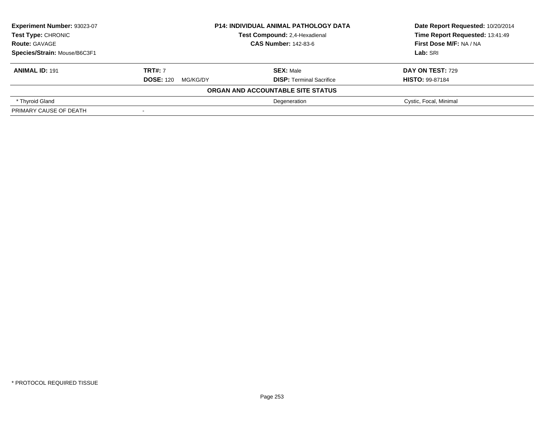| Experiment Number: 93023-07  | <b>P14: INDIVIDUAL ANIMAL PATHOLOGY DATA</b><br>Test Compound: 2,4-Hexadienal<br><b>CAS Number: 142-83-6</b> |                                   | Date Report Requested: 10/20/2014 |
|------------------------------|--------------------------------------------------------------------------------------------------------------|-----------------------------------|-----------------------------------|
| Test Type: CHRONIC           |                                                                                                              |                                   | Time Report Requested: 13:41:49   |
| <b>Route: GAVAGE</b>         |                                                                                                              |                                   | First Dose M/F: NA / NA           |
| Species/Strain: Mouse/B6C3F1 |                                                                                                              |                                   | Lab: SRI                          |
| <b>ANIMAL ID: 191</b>        | <b>TRT#: 7</b>                                                                                               | <b>SEX: Male</b>                  | <b>DAY ON TEST: 729</b>           |
|                              | <b>DOSE: 120</b><br>MG/KG/DY                                                                                 | <b>DISP: Terminal Sacrifice</b>   | <b>HISTO: 99-87184</b>            |
|                              |                                                                                                              | ORGAN AND ACCOUNTABLE SITE STATUS |                                   |
| * Thyroid Gland              |                                                                                                              | Degeneration                      | Cystic, Focal, Minimal            |
| PRIMARY CAUSE OF DEATH       |                                                                                                              |                                   |                                   |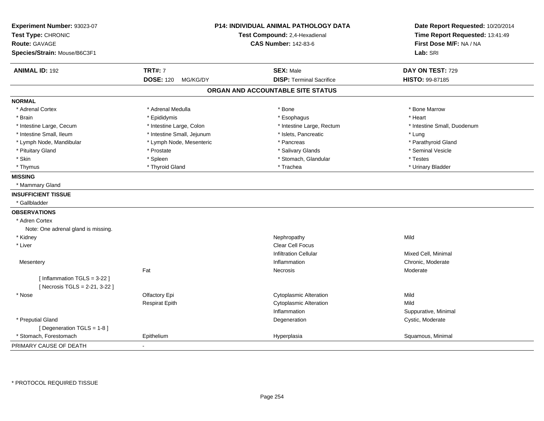| Experiment Number: 93023-07                                  |                              | <b>P14: INDIVIDUAL ANIMAL PATHOLOGY DATA</b> | Date Report Requested: 10/20/2014 |
|--------------------------------------------------------------|------------------------------|----------------------------------------------|-----------------------------------|
| Test Type: CHRONIC                                           |                              | Test Compound: 2,4-Hexadienal                | Time Report Requested: 13:41:49   |
| <b>Route: GAVAGE</b>                                         |                              | <b>CAS Number: 142-83-6</b>                  | First Dose M/F: NA / NA           |
| Species/Strain: Mouse/B6C3F1                                 |                              |                                              | Lab: SRI                          |
| <b>ANIMAL ID: 192</b>                                        | <b>TRT#: 7</b>               | <b>SEX: Male</b>                             | DAY ON TEST: 729                  |
|                                                              | <b>DOSE: 120</b><br>MG/KG/DY | <b>DISP: Terminal Sacrifice</b>              | HISTO: 99-87185                   |
|                                                              |                              | ORGAN AND ACCOUNTABLE SITE STATUS            |                                   |
| <b>NORMAL</b>                                                |                              |                                              |                                   |
| * Adrenal Cortex                                             | * Adrenal Medulla            | * Bone                                       | * Bone Marrow                     |
| * Brain                                                      | * Epididymis                 | * Esophagus                                  | * Heart                           |
| * Intestine Large, Cecum                                     | * Intestine Large, Colon     | * Intestine Large, Rectum                    | * Intestine Small, Duodenum       |
| * Intestine Small, Ileum                                     | * Intestine Small, Jejunum   | * Islets, Pancreatic                         | * Lung                            |
| * Lymph Node, Mandibular                                     | * Lymph Node, Mesenteric     | * Pancreas                                   | * Parathyroid Gland               |
| * Pituitary Gland                                            | * Prostate                   | * Salivary Glands                            | * Seminal Vesicle                 |
| * Skin                                                       | * Spleen                     | * Stomach, Glandular                         | * Testes                          |
| * Thymus                                                     | * Thyroid Gland              | * Trachea                                    | * Urinary Bladder                 |
| <b>MISSING</b>                                               |                              |                                              |                                   |
| * Mammary Gland                                              |                              |                                              |                                   |
| <b>INSUFFICIENT TISSUE</b>                                   |                              |                                              |                                   |
| * Gallbladder                                                |                              |                                              |                                   |
| <b>OBSERVATIONS</b>                                          |                              |                                              |                                   |
| * Adren Cortex                                               |                              |                                              |                                   |
| Note: One adrenal gland is missing.                          |                              |                                              |                                   |
| * Kidney                                                     |                              | Nephropathy                                  | Mild                              |
| * Liver                                                      |                              | Clear Cell Focus                             |                                   |
|                                                              |                              | <b>Infiltration Cellular</b>                 | Mixed Cell, Minimal               |
| Mesentery                                                    |                              | Inflammation                                 | Chronic, Moderate                 |
|                                                              | Fat                          | Necrosis                                     | Moderate                          |
| [Inflammation TGLS = 3-22]<br>[ Necrosis TGLS = 2-21, 3-22 ] |                              |                                              |                                   |
| * Nose                                                       | Olfactory Epi                | <b>Cytoplasmic Alteration</b>                | Mild                              |
|                                                              | <b>Respirat Epith</b>        | <b>Cytoplasmic Alteration</b>                | Mild                              |
|                                                              |                              | Inflammation                                 | Suppurative, Minimal              |
| * Preputial Gland                                            |                              | Degeneration                                 | Cystic, Moderate                  |
| [ Degeneration TGLS = 1-8 ]                                  |                              |                                              |                                   |
| * Stomach, Forestomach                                       | Epithelium                   | Hyperplasia                                  | Squamous, Minimal                 |
| PRIMARY CAUSE OF DEATH                                       |                              |                                              |                                   |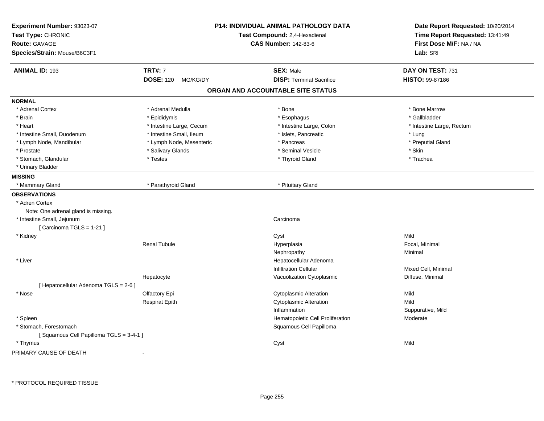| Experiment Number: 93023-07<br>Test Type: CHRONIC<br><b>Route: GAVAGE</b><br>Species/Strain: Mouse/B6C3F1 |                              | P14: INDIVIDUAL ANIMAL PATHOLOGY DATA<br>Test Compound: 2,4-Hexadienal<br><b>CAS Number: 142-83-6</b> | Date Report Requested: 10/20/2014<br>Time Report Requested: 13:41:49<br>First Dose M/F: NA / NA<br>Lab: SRI |
|-----------------------------------------------------------------------------------------------------------|------------------------------|-------------------------------------------------------------------------------------------------------|-------------------------------------------------------------------------------------------------------------|
| <b>ANIMAL ID: 193</b>                                                                                     | <b>TRT#: 7</b>               | <b>SEX: Male</b>                                                                                      | DAY ON TEST: 731                                                                                            |
|                                                                                                           | <b>DOSE: 120</b><br>MG/KG/DY | <b>DISP: Terminal Sacrifice</b>                                                                       | HISTO: 99-87186                                                                                             |
|                                                                                                           |                              | ORGAN AND ACCOUNTABLE SITE STATUS                                                                     |                                                                                                             |
| <b>NORMAL</b>                                                                                             |                              |                                                                                                       |                                                                                                             |
| * Adrenal Cortex                                                                                          | * Adrenal Medulla            | * Bone                                                                                                | * Bone Marrow                                                                                               |
| * Brain                                                                                                   | * Epididymis                 | * Esophagus                                                                                           | * Gallbladder                                                                                               |
| * Heart                                                                                                   | * Intestine Large, Cecum     | * Intestine Large, Colon                                                                              | * Intestine Large, Rectum                                                                                   |
| * Intestine Small, Duodenum                                                                               | * Intestine Small, Ileum     | * Islets, Pancreatic                                                                                  | * Lung                                                                                                      |
| * Lymph Node, Mandibular                                                                                  | * Lymph Node, Mesenteric     | * Pancreas                                                                                            | * Preputial Gland                                                                                           |
| * Prostate                                                                                                | * Salivary Glands            | * Seminal Vesicle                                                                                     | * Skin                                                                                                      |
| * Stomach, Glandular                                                                                      | * Testes                     | * Thyroid Gland                                                                                       | * Trachea                                                                                                   |
| * Urinary Bladder                                                                                         |                              |                                                                                                       |                                                                                                             |
| <b>MISSING</b>                                                                                            |                              |                                                                                                       |                                                                                                             |
| * Mammary Gland                                                                                           | * Parathyroid Gland          | * Pituitary Gland                                                                                     |                                                                                                             |
| <b>OBSERVATIONS</b>                                                                                       |                              |                                                                                                       |                                                                                                             |
| * Adren Cortex                                                                                            |                              |                                                                                                       |                                                                                                             |
| Note: One adrenal gland is missing.                                                                       |                              |                                                                                                       |                                                                                                             |
| * Intestine Small, Jejunum                                                                                |                              | Carcinoma                                                                                             |                                                                                                             |
| [ Carcinoma TGLS = 1-21 ]                                                                                 |                              |                                                                                                       |                                                                                                             |
| * Kidney                                                                                                  |                              | Cyst                                                                                                  | Mild                                                                                                        |
|                                                                                                           | <b>Renal Tubule</b>          | Hyperplasia                                                                                           | Focal, Minimal                                                                                              |
|                                                                                                           |                              | Nephropathy                                                                                           | Minimal                                                                                                     |
| * Liver                                                                                                   |                              | Hepatocellular Adenoma                                                                                |                                                                                                             |
|                                                                                                           |                              | <b>Infiltration Cellular</b>                                                                          | Mixed Cell, Minimal                                                                                         |
|                                                                                                           | Hepatocyte                   | Vacuolization Cytoplasmic                                                                             | Diffuse, Minimal                                                                                            |
| [ Hepatocellular Adenoma TGLS = 2-6 ]                                                                     |                              |                                                                                                       |                                                                                                             |
| * Nose                                                                                                    | Olfactory Epi                | Cytoplasmic Alteration                                                                                | Mild                                                                                                        |
|                                                                                                           | <b>Respirat Epith</b>        | <b>Cytoplasmic Alteration</b>                                                                         | Mild                                                                                                        |
|                                                                                                           |                              | Inflammation                                                                                          | Suppurative, Mild                                                                                           |
| * Spleen                                                                                                  |                              | Hematopoietic Cell Proliferation                                                                      | Moderate                                                                                                    |
| * Stomach, Forestomach                                                                                    |                              | Squamous Cell Papilloma                                                                               |                                                                                                             |
| [Squamous Cell Papilloma TGLS = 3-4-1]                                                                    |                              |                                                                                                       |                                                                                                             |
| * Thymus                                                                                                  |                              | Cyst                                                                                                  | Mild                                                                                                        |

PRIMARY CAUSE OF DEATH-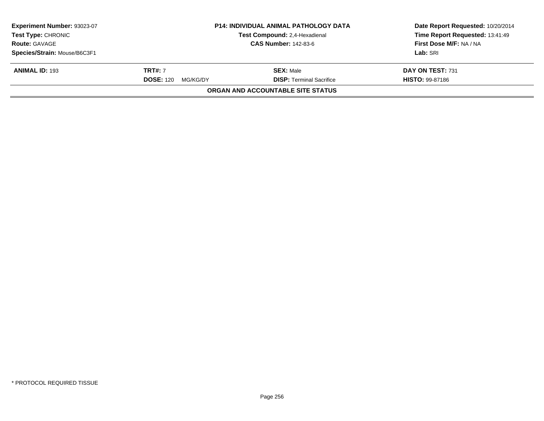| Experiment Number: 93023-07<br>Test Type: CHRONIC<br><b>Route: GAVAGE</b> | <b>P14: INDIVIDUAL ANIMAL PATHOLOGY DATA</b><br>Test Compound: 2,4-Hexadienal<br><b>CAS Number: 142-83-6</b> |                                          | Date Report Requested: 10/20/2014<br>Time Report Requested: 13:41:49<br>First Dose M/F: NA / NA |
|---------------------------------------------------------------------------|--------------------------------------------------------------------------------------------------------------|------------------------------------------|-------------------------------------------------------------------------------------------------|
|                                                                           |                                                                                                              |                                          |                                                                                                 |
| Species/Strain: Mouse/B6C3F1                                              |                                                                                                              |                                          | Lab: SRI                                                                                        |
| <b>ANIMAL ID: 193</b>                                                     | <b>TRT#:</b> 7                                                                                               | <b>SEX: Male</b>                         | DAY ON TEST: 731                                                                                |
|                                                                           | <b>DOSE: 120</b><br>MG/KG/DY                                                                                 | <b>DISP: Terminal Sacrifice</b>          | <b>HISTO: 99-87186</b>                                                                          |
|                                                                           |                                                                                                              | <b>ORGAN AND ACCOUNTABLE SITE STATUS</b> |                                                                                                 |
|                                                                           |                                                                                                              |                                          |                                                                                                 |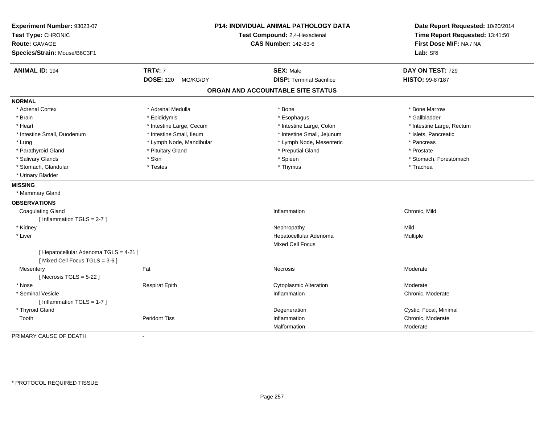| Experiment Number: 93023-07<br>Test Type: CHRONIC<br>Route: GAVAGE<br>Species/Strain: Mouse/B6C3F1 |                              | P14: INDIVIDUAL ANIMAL PATHOLOGY DATA<br>Test Compound: 2,4-Hexadienal<br><b>CAS Number: 142-83-6</b> | Date Report Requested: 10/20/2014<br>Time Report Requested: 13:41:50<br>First Dose M/F: NA / NA<br>Lab: SRI |
|----------------------------------------------------------------------------------------------------|------------------------------|-------------------------------------------------------------------------------------------------------|-------------------------------------------------------------------------------------------------------------|
| <b>ANIMAL ID: 194</b>                                                                              | <b>TRT#: 7</b>               | <b>SEX: Male</b>                                                                                      | DAY ON TEST: 729                                                                                            |
|                                                                                                    | <b>DOSE: 120</b><br>MG/KG/DY | <b>DISP: Terminal Sacrifice</b>                                                                       | HISTO: 99-87187                                                                                             |
|                                                                                                    |                              | ORGAN AND ACCOUNTABLE SITE STATUS                                                                     |                                                                                                             |
| <b>NORMAL</b>                                                                                      |                              |                                                                                                       |                                                                                                             |
| * Adrenal Cortex                                                                                   | * Adrenal Medulla            | * Bone                                                                                                | * Bone Marrow                                                                                               |
| * Brain                                                                                            | * Epididymis                 | * Esophagus                                                                                           | * Gallbladder                                                                                               |
| * Heart                                                                                            | * Intestine Large, Cecum     | * Intestine Large, Colon                                                                              | * Intestine Large, Rectum                                                                                   |
| * Intestine Small, Duodenum                                                                        | * Intestine Small, Ileum     | * Intestine Small, Jejunum                                                                            | * Islets, Pancreatic                                                                                        |
| * Lung                                                                                             | * Lymph Node, Mandibular     | * Lymph Node, Mesenteric                                                                              | * Pancreas                                                                                                  |
| * Parathyroid Gland                                                                                | * Pituitary Gland            | * Preputial Gland                                                                                     | * Prostate                                                                                                  |
| * Salivary Glands                                                                                  | * Skin                       | * Spleen                                                                                              | * Stomach, Forestomach                                                                                      |
| * Stomach, Glandular                                                                               | * Testes                     | * Thymus                                                                                              | * Trachea                                                                                                   |
| * Urinary Bladder                                                                                  |                              |                                                                                                       |                                                                                                             |
| <b>MISSING</b>                                                                                     |                              |                                                                                                       |                                                                                                             |
| * Mammary Gland                                                                                    |                              |                                                                                                       |                                                                                                             |
| <b>OBSERVATIONS</b>                                                                                |                              |                                                                                                       |                                                                                                             |
| <b>Coagulating Gland</b>                                                                           |                              | Inflammation                                                                                          | Chronic, Mild                                                                                               |
| [Inflammation TGLS = 2-7]                                                                          |                              |                                                                                                       |                                                                                                             |
| * Kidney                                                                                           |                              | Nephropathy                                                                                           | Mild                                                                                                        |
| * Liver                                                                                            |                              | Hepatocellular Adenoma<br><b>Mixed Cell Focus</b>                                                     | Multiple                                                                                                    |
| [ Hepatocellular Adenoma TGLS = 4-21 ]<br>[Mixed Cell Focus TGLS = 3-6]                            |                              |                                                                                                       |                                                                                                             |
| Mesentery<br>[Necrosis $TGLS = 5-22$ ]                                                             | Fat                          | <b>Necrosis</b>                                                                                       | Moderate                                                                                                    |
| * Nose                                                                                             | <b>Respirat Epith</b>        | <b>Cytoplasmic Alteration</b>                                                                         | Moderate                                                                                                    |
| * Seminal Vesicle                                                                                  |                              | Inflammation                                                                                          | Chronic, Moderate                                                                                           |
| [Inflammation TGLS = 1-7]                                                                          |                              |                                                                                                       |                                                                                                             |
| * Thyroid Gland                                                                                    |                              | Degeneration                                                                                          | Cystic, Focal, Minimal                                                                                      |
| Tooth                                                                                              | <b>Peridont Tiss</b>         | Inflammation                                                                                          | Chronic, Moderate                                                                                           |
|                                                                                                    |                              | Malformation                                                                                          | Moderate                                                                                                    |
| PRIMARY CAUSE OF DEATH                                                                             |                              |                                                                                                       |                                                                                                             |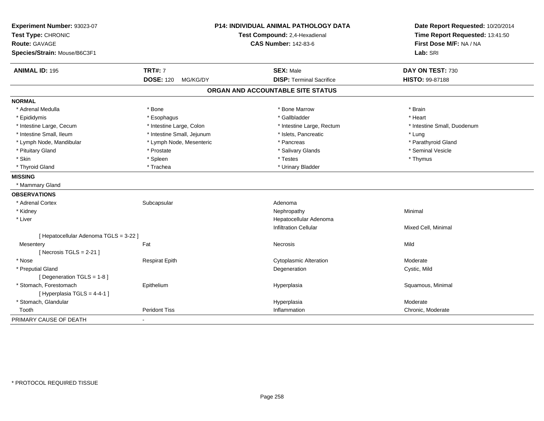| Experiment Number: 93023-07                          |                              | <b>P14: INDIVIDUAL ANIMAL PATHOLOGY DATA</b><br>Test Compound: 2,4-Hexadienal | Date Report Requested: 10/20/2014 |
|------------------------------------------------------|------------------------------|-------------------------------------------------------------------------------|-----------------------------------|
| Test Type: CHRONIC                                   |                              |                                                                               | Time Report Requested: 13:41:50   |
| <b>Route: GAVAGE</b><br>Species/Strain: Mouse/B6C3F1 |                              | <b>CAS Number: 142-83-6</b>                                                   | First Dose M/F: NA / NA           |
|                                                      |                              |                                                                               | Lab: SRI                          |
| <b>ANIMAL ID: 195</b>                                | <b>TRT#: 7</b>               | <b>SEX: Male</b>                                                              | DAY ON TEST: 730                  |
|                                                      | <b>DOSE: 120</b><br>MG/KG/DY | <b>DISP: Terminal Sacrifice</b>                                               | HISTO: 99-87188                   |
|                                                      |                              | ORGAN AND ACCOUNTABLE SITE STATUS                                             |                                   |
| <b>NORMAL</b>                                        |                              |                                                                               |                                   |
| * Adrenal Medulla                                    | * Bone                       | * Bone Marrow                                                                 | * Brain                           |
| * Epididymis                                         | * Esophagus                  | * Gallbladder                                                                 | * Heart                           |
| * Intestine Large, Cecum                             | * Intestine Large, Colon     | * Intestine Large, Rectum                                                     | * Intestine Small, Duodenum       |
| * Intestine Small, Ileum                             | * Intestine Small, Jejunum   | * Islets, Pancreatic                                                          | * Lung                            |
| * Lymph Node, Mandibular                             | * Lymph Node, Mesenteric     | * Pancreas                                                                    | * Parathyroid Gland               |
| * Pituitary Gland                                    | * Prostate                   | * Salivary Glands                                                             | * Seminal Vesicle                 |
| * Skin                                               | * Spleen                     | * Testes                                                                      | * Thymus                          |
| * Thyroid Gland                                      | * Trachea                    | * Urinary Bladder                                                             |                                   |
| <b>MISSING</b>                                       |                              |                                                                               |                                   |
| * Mammary Gland                                      |                              |                                                                               |                                   |
| <b>OBSERVATIONS</b>                                  |                              |                                                                               |                                   |
| * Adrenal Cortex                                     | Subcapsular                  | Adenoma                                                                       |                                   |
| * Kidney                                             |                              | Nephropathy                                                                   | Minimal                           |
| * Liver                                              |                              | Hepatocellular Adenoma                                                        |                                   |
|                                                      |                              | <b>Infiltration Cellular</b>                                                  | Mixed Cell, Minimal               |
| [ Hepatocellular Adenoma TGLS = 3-22 ]               |                              |                                                                               |                                   |
| Mesentery                                            | Fat                          | Necrosis                                                                      | Mild                              |
| [Necrosis TGLS = $2-21$ ]                            |                              |                                                                               |                                   |
| * Nose                                               | <b>Respirat Epith</b>        | <b>Cytoplasmic Alteration</b>                                                 | Moderate                          |
| * Preputial Gland                                    |                              | Degeneration                                                                  | Cystic, Mild                      |
| [ Degeneration TGLS = 1-8 ]                          |                              |                                                                               |                                   |
| * Stomach, Forestomach                               | Epithelium                   | Hyperplasia                                                                   | Squamous, Minimal                 |
| [ Hyperplasia TGLS = 4-4-1 ]                         |                              |                                                                               |                                   |
| * Stomach, Glandular                                 |                              | Hyperplasia                                                                   | Moderate                          |
| Tooth                                                | <b>Peridont Tiss</b>         | Inflammation                                                                  | Chronic, Moderate                 |
| PRIMARY CAUSE OF DEATH                               | ÷.                           |                                                                               |                                   |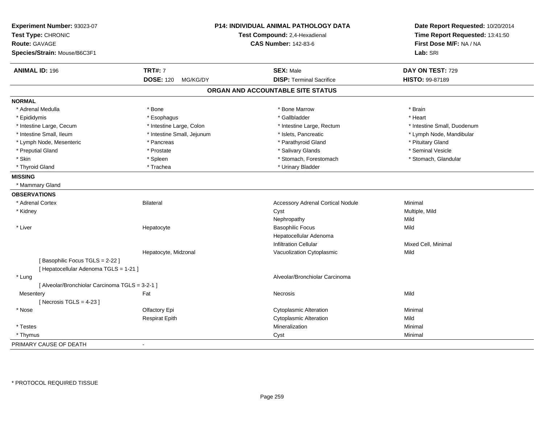| Experiment Number: 93023-07<br>Test Type: CHRONIC<br><b>Route: GAVAGE</b><br>Species/Strain: Mouse/B6C3F1 |                              | P14: INDIVIDUAL ANIMAL PATHOLOGY DATA<br>Test Compound: 2,4-Hexadienal<br><b>CAS Number: 142-83-6</b> | Date Report Requested: 10/20/2014<br>Time Report Requested: 13:41:50<br>First Dose M/F: NA / NA<br>Lab: SRI |
|-----------------------------------------------------------------------------------------------------------|------------------------------|-------------------------------------------------------------------------------------------------------|-------------------------------------------------------------------------------------------------------------|
| <b>ANIMAL ID: 196</b>                                                                                     | <b>TRT#: 7</b>               | <b>SEX: Male</b>                                                                                      | DAY ON TEST: 729                                                                                            |
|                                                                                                           | <b>DOSE: 120</b><br>MG/KG/DY | <b>DISP: Terminal Sacrifice</b>                                                                       | HISTO: 99-87189                                                                                             |
|                                                                                                           |                              | ORGAN AND ACCOUNTABLE SITE STATUS                                                                     |                                                                                                             |
| <b>NORMAL</b>                                                                                             |                              |                                                                                                       |                                                                                                             |
| * Adrenal Medulla                                                                                         | * Bone                       | * Bone Marrow                                                                                         | * Brain                                                                                                     |
| * Epididymis                                                                                              | * Esophagus                  | * Gallbladder                                                                                         | * Heart                                                                                                     |
| * Intestine Large, Cecum                                                                                  | * Intestine Large, Colon     | * Intestine Large, Rectum                                                                             | * Intestine Small, Duodenum                                                                                 |
| * Intestine Small, Ileum                                                                                  | * Intestine Small, Jejunum   | * Islets, Pancreatic                                                                                  | * Lymph Node, Mandibular                                                                                    |
| * Lymph Node, Mesenteric                                                                                  | * Pancreas                   | * Parathyroid Gland                                                                                   | * Pituitary Gland                                                                                           |
| * Preputial Gland                                                                                         | * Prostate                   | * Salivary Glands                                                                                     | * Seminal Vesicle                                                                                           |
| * Skin                                                                                                    | * Spleen                     | * Stomach, Forestomach                                                                                | * Stomach, Glandular                                                                                        |
| * Thyroid Gland                                                                                           | * Trachea                    | * Urinary Bladder                                                                                     |                                                                                                             |
| <b>MISSING</b>                                                                                            |                              |                                                                                                       |                                                                                                             |
| * Mammary Gland                                                                                           |                              |                                                                                                       |                                                                                                             |
| <b>OBSERVATIONS</b>                                                                                       |                              |                                                                                                       |                                                                                                             |
| * Adrenal Cortex                                                                                          | Bilateral                    | <b>Accessory Adrenal Cortical Nodule</b>                                                              | Minimal                                                                                                     |
| * Kidney                                                                                                  |                              | Cyst                                                                                                  | Multiple, Mild                                                                                              |
|                                                                                                           |                              | Nephropathy                                                                                           | Mild                                                                                                        |
| * Liver                                                                                                   | Hepatocyte                   | <b>Basophilic Focus</b>                                                                               | Mild                                                                                                        |
|                                                                                                           |                              | Hepatocellular Adenoma                                                                                |                                                                                                             |
|                                                                                                           |                              | <b>Infiltration Cellular</b>                                                                          | Mixed Cell, Minimal                                                                                         |
|                                                                                                           | Hepatocyte, Midzonal         | Vacuolization Cytoplasmic                                                                             | Mild                                                                                                        |
| [Basophilic Focus TGLS = 2-22]                                                                            |                              |                                                                                                       |                                                                                                             |
| [ Hepatocellular Adenoma TGLS = 1-21 ]                                                                    |                              |                                                                                                       |                                                                                                             |
| * Lung                                                                                                    |                              | Alveolar/Bronchiolar Carcinoma                                                                        |                                                                                                             |
| [ Alveolar/Bronchiolar Carcinoma TGLS = 3-2-1 ]                                                           |                              |                                                                                                       |                                                                                                             |
| Mesentery                                                                                                 | Fat                          | Necrosis                                                                                              | Mild                                                                                                        |
| [ Necrosis $TGLS = 4-23$ ]                                                                                |                              |                                                                                                       |                                                                                                             |
| * Nose                                                                                                    | Olfactory Epi                | <b>Cytoplasmic Alteration</b>                                                                         | Minimal                                                                                                     |
|                                                                                                           | <b>Respirat Epith</b>        | <b>Cytoplasmic Alteration</b>                                                                         | Mild                                                                                                        |
| * Testes                                                                                                  |                              | Mineralization                                                                                        | Minimal                                                                                                     |
| * Thymus                                                                                                  |                              | Cyst                                                                                                  | Minimal                                                                                                     |
| PRIMARY CAUSE OF DEATH                                                                                    | $\blacksquare$               |                                                                                                       |                                                                                                             |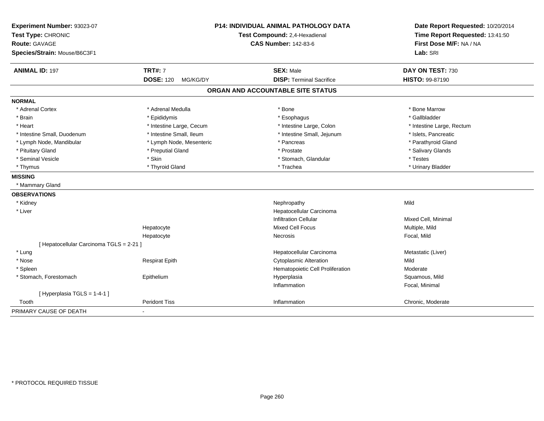| Experiment Number: 93023-07<br>Test Type: CHRONIC<br>Route: GAVAGE<br>Species/Strain: Mouse/B6C3F1 |                              | <b>P14: INDIVIDUAL ANIMAL PATHOLOGY DATA</b><br>Test Compound: 2,4-Hexadienal<br><b>CAS Number: 142-83-6</b> | Date Report Requested: 10/20/2014<br>Time Report Requested: 13:41:50<br>First Dose M/F: NA / NA<br>Lab: SRI |
|----------------------------------------------------------------------------------------------------|------------------------------|--------------------------------------------------------------------------------------------------------------|-------------------------------------------------------------------------------------------------------------|
| <b>ANIMAL ID: 197</b>                                                                              | <b>TRT#: 7</b>               | <b>SEX: Male</b>                                                                                             | DAY ON TEST: 730                                                                                            |
|                                                                                                    | <b>DOSE: 120</b><br>MG/KG/DY | <b>DISP: Terminal Sacrifice</b>                                                                              | HISTO: 99-87190                                                                                             |
|                                                                                                    |                              | ORGAN AND ACCOUNTABLE SITE STATUS                                                                            |                                                                                                             |
| <b>NORMAL</b>                                                                                      |                              |                                                                                                              |                                                                                                             |
| * Adrenal Cortex                                                                                   | * Adrenal Medulla            | * Bone                                                                                                       | * Bone Marrow                                                                                               |
| * Brain                                                                                            | * Epididymis                 | * Esophagus                                                                                                  | * Gallbladder                                                                                               |
| * Heart                                                                                            | * Intestine Large, Cecum     | * Intestine Large, Colon                                                                                     | * Intestine Large, Rectum                                                                                   |
| * Intestine Small, Duodenum                                                                        | * Intestine Small, Ileum     | * Intestine Small, Jejunum                                                                                   | * Islets, Pancreatic                                                                                        |
| * Lymph Node, Mandibular                                                                           | * Lymph Node, Mesenteric     | * Pancreas                                                                                                   | * Parathyroid Gland                                                                                         |
| * Pituitary Gland                                                                                  | * Preputial Gland            | * Prostate                                                                                                   | * Salivary Glands                                                                                           |
| * Seminal Vesicle                                                                                  | * Skin                       | * Stomach, Glandular                                                                                         | * Testes                                                                                                    |
| * Thymus                                                                                           | * Thyroid Gland              | * Trachea                                                                                                    | * Urinary Bladder                                                                                           |
| <b>MISSING</b>                                                                                     |                              |                                                                                                              |                                                                                                             |
| * Mammary Gland                                                                                    |                              |                                                                                                              |                                                                                                             |
| <b>OBSERVATIONS</b>                                                                                |                              |                                                                                                              |                                                                                                             |
| * Kidney                                                                                           |                              | Nephropathy                                                                                                  | Mild                                                                                                        |
| * Liver                                                                                            |                              | Hepatocellular Carcinoma                                                                                     |                                                                                                             |
|                                                                                                    |                              | <b>Infiltration Cellular</b>                                                                                 | Mixed Cell, Minimal                                                                                         |
|                                                                                                    | Hepatocyte                   | <b>Mixed Cell Focus</b>                                                                                      | Multiple, Mild                                                                                              |
|                                                                                                    | Hepatocyte                   | Necrosis                                                                                                     | Focal, Mild                                                                                                 |
| [ Hepatocellular Carcinoma TGLS = 2-21 ]                                                           |                              |                                                                                                              |                                                                                                             |
| * Lung                                                                                             |                              | Hepatocellular Carcinoma                                                                                     | Metastatic (Liver)                                                                                          |
| * Nose                                                                                             | <b>Respirat Epith</b>        | <b>Cytoplasmic Alteration</b>                                                                                | Mild                                                                                                        |
| * Spleen                                                                                           |                              | Hematopoietic Cell Proliferation                                                                             | Moderate                                                                                                    |
| * Stomach, Forestomach                                                                             | Epithelium                   | Hyperplasia                                                                                                  | Squamous, Mild                                                                                              |
|                                                                                                    |                              | Inflammation                                                                                                 | Focal, Minimal                                                                                              |
| [Hyperplasia TGLS = $1-4-1$ ]                                                                      |                              |                                                                                                              |                                                                                                             |
| Tooth                                                                                              | <b>Peridont Tiss</b>         | Inflammation                                                                                                 | Chronic, Moderate                                                                                           |
| PRIMARY CAUSE OF DEATH                                                                             | $\blacksquare$               |                                                                                                              |                                                                                                             |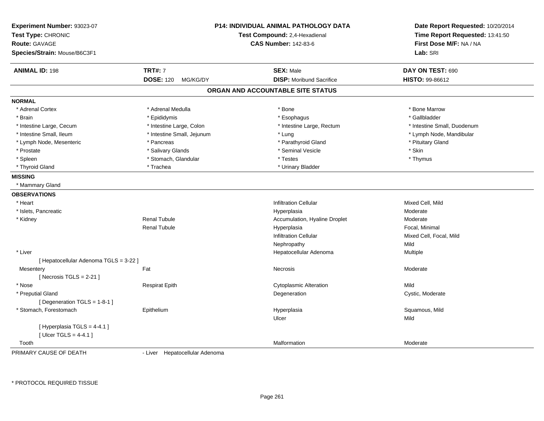| Experiment Number: 93023-07<br>Test Type: CHRONIC<br><b>Route: GAVAGE</b><br>Species/Strain: Mouse/B6C3F1 |                                | <b>P14: INDIVIDUAL ANIMAL PATHOLOGY DATA</b><br>Test Compound: 2,4-Hexadienal<br><b>CAS Number: 142-83-6</b> | Date Report Requested: 10/20/2014<br>Time Report Requested: 13:41:50<br>First Dose M/F: NA / NA<br>Lab: SRI |
|-----------------------------------------------------------------------------------------------------------|--------------------------------|--------------------------------------------------------------------------------------------------------------|-------------------------------------------------------------------------------------------------------------|
| <b>ANIMAL ID: 198</b>                                                                                     | <b>TRT#: 7</b>                 | <b>SEX: Male</b>                                                                                             | DAY ON TEST: 690                                                                                            |
|                                                                                                           | <b>DOSE: 120</b><br>MG/KG/DY   | <b>DISP:</b> Moribund Sacrifice                                                                              | <b>HISTO: 99-86612</b>                                                                                      |
|                                                                                                           |                                | ORGAN AND ACCOUNTABLE SITE STATUS                                                                            |                                                                                                             |
| <b>NORMAL</b>                                                                                             |                                |                                                                                                              |                                                                                                             |
| * Adrenal Cortex                                                                                          | * Adrenal Medulla              | * Bone                                                                                                       | * Bone Marrow                                                                                               |
| * Brain                                                                                                   | * Epididymis                   | * Esophagus                                                                                                  | * Gallbladder                                                                                               |
| * Intestine Large, Cecum                                                                                  | * Intestine Large, Colon       | * Intestine Large, Rectum                                                                                    | * Intestine Small, Duodenum                                                                                 |
| * Intestine Small, Ileum                                                                                  | * Intestine Small, Jejunum     | * Lung                                                                                                       | * Lymph Node, Mandibular                                                                                    |
| * Lymph Node, Mesenteric                                                                                  | * Pancreas                     | * Parathyroid Gland                                                                                          | * Pituitary Gland                                                                                           |
| * Prostate                                                                                                | * Salivary Glands              | * Seminal Vesicle                                                                                            | * Skin                                                                                                      |
| * Spleen                                                                                                  | * Stomach, Glandular           | * Testes                                                                                                     | * Thymus                                                                                                    |
| * Thyroid Gland                                                                                           | * Trachea                      | * Urinary Bladder                                                                                            |                                                                                                             |
| <b>MISSING</b>                                                                                            |                                |                                                                                                              |                                                                                                             |
| * Mammary Gland                                                                                           |                                |                                                                                                              |                                                                                                             |
| <b>OBSERVATIONS</b>                                                                                       |                                |                                                                                                              |                                                                                                             |
| * Heart                                                                                                   |                                | <b>Infiltration Cellular</b>                                                                                 | Mixed Cell, Mild                                                                                            |
| * Islets, Pancreatic                                                                                      |                                | Hyperplasia                                                                                                  | Moderate                                                                                                    |
| * Kidney                                                                                                  | <b>Renal Tubule</b>            | Accumulation, Hyaline Droplet                                                                                | Moderate                                                                                                    |
|                                                                                                           | Renal Tubule                   | Hyperplasia                                                                                                  | Focal, Minimal                                                                                              |
|                                                                                                           |                                | <b>Infiltration Cellular</b>                                                                                 | Mixed Cell, Focal, Mild                                                                                     |
|                                                                                                           |                                | Nephropathy                                                                                                  | Mild                                                                                                        |
| * Liver                                                                                                   |                                | Hepatocellular Adenoma                                                                                       | Multiple                                                                                                    |
| [ Hepatocellular Adenoma TGLS = 3-22 ]                                                                    |                                |                                                                                                              |                                                                                                             |
| Mesentery                                                                                                 | Fat                            | <b>Necrosis</b>                                                                                              | Moderate                                                                                                    |
| [Necrosis TGLS = $2-21$ ]                                                                                 |                                |                                                                                                              |                                                                                                             |
| * Nose                                                                                                    | <b>Respirat Epith</b>          | <b>Cytoplasmic Alteration</b>                                                                                | Mild                                                                                                        |
| * Preputial Gland                                                                                         |                                | Degeneration                                                                                                 | Cystic, Moderate                                                                                            |
| [ Degeneration TGLS = 1-8-1 ]                                                                             |                                |                                                                                                              |                                                                                                             |
| * Stomach, Forestomach                                                                                    | Epithelium                     | Hyperplasia                                                                                                  | Squamous, Mild                                                                                              |
|                                                                                                           |                                | Ulcer                                                                                                        | Mild                                                                                                        |
| [Hyperplasia TGLS = 4-4.1]                                                                                |                                |                                                                                                              |                                                                                                             |
| [ Ulcer TGLS = $4-4.1$ ]                                                                                  |                                |                                                                                                              |                                                                                                             |
| Tooth                                                                                                     |                                | Malformation                                                                                                 | Moderate                                                                                                    |
| PRIMARY CAUSE OF DEATH                                                                                    | - Liver Hepatocellular Adenoma |                                                                                                              |                                                                                                             |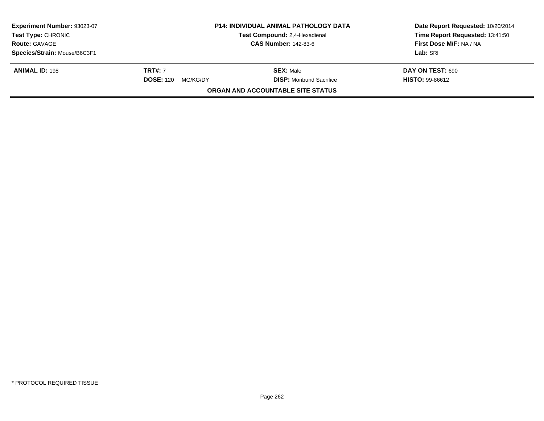| Experiment Number: 93023-07<br><b>Test Type: CHRONIC</b><br><b>Route: GAVAGE</b><br>Species/Strain: Mouse/B6C3F1 | <b>P14: INDIVIDUAL ANIMAL PATHOLOGY DATA</b><br>Test Compound: 2,4-Hexadienal<br><b>CAS Number: 142-83-6</b> |                                                     | Date Report Requested: 10/20/2014<br>Time Report Requested: 13:41:50<br>First Dose M/F: NA / NA<br>Lab: SRI |
|------------------------------------------------------------------------------------------------------------------|--------------------------------------------------------------------------------------------------------------|-----------------------------------------------------|-------------------------------------------------------------------------------------------------------------|
| <b>ANIMAL ID: 198</b>                                                                                            | <b>TRT#: 7</b><br><b>DOSE: 120</b><br>MG/KG/DY                                                               | <b>SEX: Male</b><br><b>DISP:</b> Moribund Sacrifice | DAY ON TEST: 690<br><b>HISTO: 99-86612</b>                                                                  |
|                                                                                                                  |                                                                                                              | ORGAN AND ACCOUNTABLE SITE STATUS                   |                                                                                                             |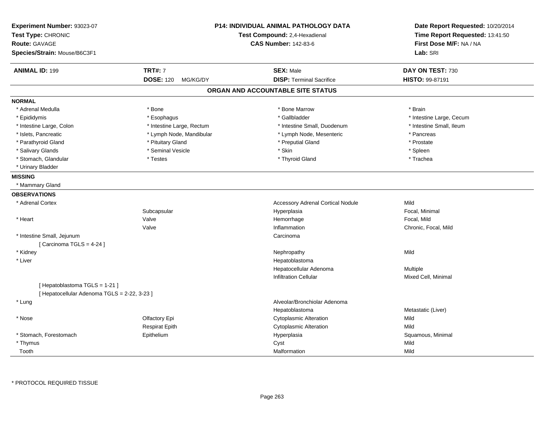| Experiment Number: 93023-07<br>Test Type: CHRONIC<br><b>Route: GAVAGE</b><br>Species/Strain: Mouse/B6C3F1 |                              | <b>P14: INDIVIDUAL ANIMAL PATHOLOGY DATA</b><br>Test Compound: 2,4-Hexadienal<br>CAS Number: 142-83-6 | Date Report Requested: 10/20/2014<br>Time Report Requested: 13:41:50<br>First Dose M/F: NA / NA<br>Lab: SRI |
|-----------------------------------------------------------------------------------------------------------|------------------------------|-------------------------------------------------------------------------------------------------------|-------------------------------------------------------------------------------------------------------------|
|                                                                                                           |                              |                                                                                                       |                                                                                                             |
| <b>ANIMAL ID: 199</b>                                                                                     | <b>TRT#: 7</b>               | <b>SEX: Male</b>                                                                                      | DAY ON TEST: 730                                                                                            |
|                                                                                                           | <b>DOSE: 120</b><br>MG/KG/DY | <b>DISP: Terminal Sacrifice</b>                                                                       | HISTO: 99-87191                                                                                             |
|                                                                                                           |                              | ORGAN AND ACCOUNTABLE SITE STATUS                                                                     |                                                                                                             |
| <b>NORMAL</b>                                                                                             |                              |                                                                                                       |                                                                                                             |
| * Adrenal Medulla                                                                                         | * Bone                       | * Bone Marrow                                                                                         | * Brain                                                                                                     |
| * Epididymis                                                                                              | * Esophagus                  | * Gallbladder                                                                                         | * Intestine Large, Cecum                                                                                    |
| * Intestine Large, Colon                                                                                  | * Intestine Large, Rectum    | * Intestine Small, Duodenum                                                                           | * Intestine Small, Ileum                                                                                    |
| * Islets, Pancreatic                                                                                      | * Lymph Node, Mandibular     | * Lymph Node, Mesenteric                                                                              | * Pancreas                                                                                                  |
| * Parathyroid Gland                                                                                       | * Pituitary Gland            | * Preputial Gland                                                                                     | * Prostate                                                                                                  |
| * Salivary Glands                                                                                         | * Seminal Vesicle            | * Skin                                                                                                | * Spleen                                                                                                    |
| * Stomach, Glandular                                                                                      | * Testes                     | * Thyroid Gland                                                                                       | * Trachea                                                                                                   |
| * Urinary Bladder                                                                                         |                              |                                                                                                       |                                                                                                             |
| <b>MISSING</b>                                                                                            |                              |                                                                                                       |                                                                                                             |
| * Mammary Gland                                                                                           |                              |                                                                                                       |                                                                                                             |
| <b>OBSERVATIONS</b>                                                                                       |                              |                                                                                                       |                                                                                                             |
| * Adrenal Cortex                                                                                          |                              | <b>Accessory Adrenal Cortical Nodule</b>                                                              | Mild                                                                                                        |
|                                                                                                           | Subcapsular                  | Hyperplasia                                                                                           | Focal. Minimal                                                                                              |
| * Heart                                                                                                   | Valve                        | Hemorrhage                                                                                            | Focal, Mild                                                                                                 |
|                                                                                                           | Valve                        | Inflammation                                                                                          | Chronic, Focal, Mild                                                                                        |
| * Intestine Small, Jejunum                                                                                |                              | Carcinoma                                                                                             |                                                                                                             |
| [Carcinoma TGLS = 4-24]                                                                                   |                              |                                                                                                       |                                                                                                             |
| * Kidney                                                                                                  |                              | Nephropathy                                                                                           | Mild                                                                                                        |
| * Liver                                                                                                   |                              | Hepatoblastoma                                                                                        |                                                                                                             |
|                                                                                                           |                              | Hepatocellular Adenoma                                                                                | Multiple                                                                                                    |
|                                                                                                           |                              | <b>Infiltration Cellular</b>                                                                          | Mixed Cell, Minimal                                                                                         |
| [Hepatoblastoma TGLS = 1-21]                                                                              |                              |                                                                                                       |                                                                                                             |
| [ Hepatocellular Adenoma TGLS = 2-22, 3-23 ]                                                              |                              |                                                                                                       |                                                                                                             |
| * Lung                                                                                                    |                              | Alveolar/Bronchiolar Adenoma                                                                          |                                                                                                             |
|                                                                                                           |                              | Hepatoblastoma                                                                                        | Metastatic (Liver)                                                                                          |
| * Nose                                                                                                    | Olfactory Epi                | <b>Cytoplasmic Alteration</b>                                                                         | Mild                                                                                                        |
|                                                                                                           | <b>Respirat Epith</b>        | <b>Cytoplasmic Alteration</b>                                                                         | Mild                                                                                                        |
| * Stomach, Forestomach                                                                                    | Epithelium                   | Hyperplasia                                                                                           | Squamous, Minimal                                                                                           |
| * Thymus                                                                                                  |                              | Cyst                                                                                                  | Mild                                                                                                        |
| Tooth                                                                                                     |                              | Malformation                                                                                          | Mild                                                                                                        |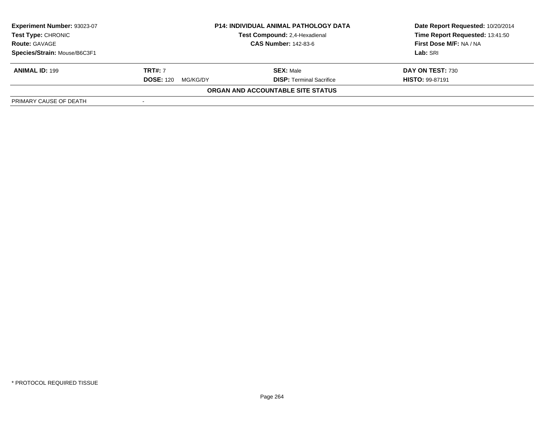| <b>Experiment Number: 93023-07</b><br><b>Test Type: CHRONIC</b><br><b>Route: GAVAGE</b> | <b>P14: INDIVIDUAL ANIMAL PATHOLOGY DATA</b><br>Test Compound: 2,4-Hexadienal<br><b>CAS Number: 142-83-6</b> |                                   | Date Report Requested: 10/20/2014<br>Time Report Requested: 13:41:50<br>First Dose M/F: NA / NA |
|-----------------------------------------------------------------------------------------|--------------------------------------------------------------------------------------------------------------|-----------------------------------|-------------------------------------------------------------------------------------------------|
| Species/Strain: Mouse/B6C3F1                                                            |                                                                                                              |                                   | Lab: SRI                                                                                        |
| <b>ANIMAL ID: 199</b>                                                                   | <b>TRT#: 7</b>                                                                                               | <b>SEX: Male</b>                  | DAY ON TEST: 730                                                                                |
|                                                                                         | <b>DOSE: 120</b><br>MG/KG/DY                                                                                 | <b>DISP:</b> Terminal Sacrifice   | <b>HISTO: 99-87191</b>                                                                          |
|                                                                                         |                                                                                                              | ORGAN AND ACCOUNTABLE SITE STATUS |                                                                                                 |
| PRIMARY CAUSE OF DEATH                                                                  |                                                                                                              |                                   |                                                                                                 |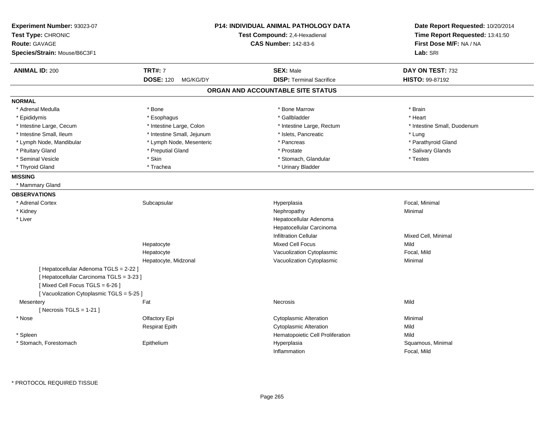| Experiment Number: 93023-07<br>Test Type: CHRONIC<br><b>Route: GAVAGE</b><br>Species/Strain: Mouse/B6C3F1 |                              | <b>P14: INDIVIDUAL ANIMAL PATHOLOGY DATA</b><br>Test Compound: 2,4-Hexadienal<br><b>CAS Number: 142-83-6</b> | Date Report Requested: 10/20/2014<br>Time Report Requested: 13:41:50<br>First Dose M/F: NA / NA<br>Lab: SRI |
|-----------------------------------------------------------------------------------------------------------|------------------------------|--------------------------------------------------------------------------------------------------------------|-------------------------------------------------------------------------------------------------------------|
| <b>ANIMAL ID: 200</b>                                                                                     | <b>TRT#: 7</b>               | <b>SEX: Male</b>                                                                                             | DAY ON TEST: 732                                                                                            |
|                                                                                                           | <b>DOSE: 120</b><br>MG/KG/DY | <b>DISP: Terminal Sacrifice</b>                                                                              | HISTO: 99-87192                                                                                             |
|                                                                                                           |                              | ORGAN AND ACCOUNTABLE SITE STATUS                                                                            |                                                                                                             |
| <b>NORMAL</b>                                                                                             |                              |                                                                                                              |                                                                                                             |
| * Adrenal Medulla                                                                                         | * Bone                       | * Bone Marrow                                                                                                | * Brain                                                                                                     |
| * Epididymis                                                                                              | * Esophagus                  | * Gallbladder                                                                                                | * Heart                                                                                                     |
| * Intestine Large, Cecum                                                                                  | * Intestine Large, Colon     | * Intestine Large, Rectum                                                                                    | * Intestine Small, Duodenum                                                                                 |
| * Intestine Small, Ileum                                                                                  | * Intestine Small, Jejunum   | * Islets, Pancreatic                                                                                         | * Lung                                                                                                      |
| * Lymph Node, Mandibular                                                                                  | * Lymph Node, Mesenteric     | * Pancreas                                                                                                   | * Parathyroid Gland                                                                                         |
| * Pituitary Gland                                                                                         | * Preputial Gland            | * Prostate                                                                                                   | * Salivary Glands                                                                                           |
| * Seminal Vesicle                                                                                         | * Skin                       | * Stomach, Glandular                                                                                         | * Testes                                                                                                    |
| * Thyroid Gland                                                                                           | * Trachea                    | * Urinary Bladder                                                                                            |                                                                                                             |
| <b>MISSING</b>                                                                                            |                              |                                                                                                              |                                                                                                             |
| * Mammary Gland                                                                                           |                              |                                                                                                              |                                                                                                             |
| <b>OBSERVATIONS</b>                                                                                       |                              |                                                                                                              |                                                                                                             |
| * Adrenal Cortex                                                                                          | Subcapsular                  | Hyperplasia                                                                                                  | Focal, Minimal                                                                                              |
| * Kidney                                                                                                  |                              | Nephropathy                                                                                                  | Minimal                                                                                                     |
| * Liver                                                                                                   |                              | Hepatocellular Adenoma                                                                                       |                                                                                                             |
|                                                                                                           |                              | Hepatocellular Carcinoma                                                                                     |                                                                                                             |
|                                                                                                           |                              | Infiltration Cellular                                                                                        | Mixed Cell, Minimal                                                                                         |
|                                                                                                           | Hepatocyte                   | <b>Mixed Cell Focus</b>                                                                                      | Mild                                                                                                        |
|                                                                                                           | Hepatocyte                   | Vacuolization Cytoplasmic                                                                                    | Focal, Mild                                                                                                 |
|                                                                                                           | Hepatocyte, Midzonal         | Vacuolization Cytoplasmic                                                                                    | Minimal                                                                                                     |
| [ Hepatocellular Adenoma TGLS = 2-22 ]                                                                    |                              |                                                                                                              |                                                                                                             |
| [ Hepatocellular Carcinoma TGLS = 3-23 ]                                                                  |                              |                                                                                                              |                                                                                                             |
| [Mixed Cell Focus TGLS = 6-26]                                                                            |                              |                                                                                                              |                                                                                                             |
| [Vacuolization Cytoplasmic TGLS = 5-25]                                                                   |                              |                                                                                                              |                                                                                                             |
| Mesentery                                                                                                 | Fat                          | Necrosis                                                                                                     | Mild                                                                                                        |
| [Necrosis TGLS = $1-21$ ]                                                                                 |                              |                                                                                                              |                                                                                                             |
| * Nose                                                                                                    | Olfactory Epi                | <b>Cytoplasmic Alteration</b>                                                                                | Minimal                                                                                                     |
|                                                                                                           | <b>Respirat Epith</b>        | <b>Cytoplasmic Alteration</b>                                                                                | Mild                                                                                                        |
| * Spleen                                                                                                  |                              | Hematopoietic Cell Proliferation                                                                             | Mild                                                                                                        |
| * Stomach, Forestomach                                                                                    | Epithelium                   | Hyperplasia                                                                                                  | Squamous, Minimal                                                                                           |
|                                                                                                           |                              | Inflammation                                                                                                 | Focal, Mild                                                                                                 |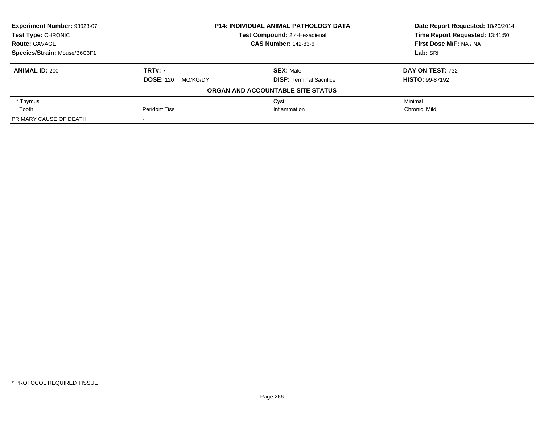| Experiment Number: 93023-07  | <b>P14: INDIVIDUAL ANIMAL PATHOLOGY DATA</b><br>Test Compound: 2,4-Hexadienal |                                   | Date Report Requested: 10/20/2014 |
|------------------------------|-------------------------------------------------------------------------------|-----------------------------------|-----------------------------------|
| Test Type: CHRONIC           |                                                                               |                                   | Time Report Requested: 13:41:50   |
| <b>Route: GAVAGE</b>         |                                                                               | <b>CAS Number: 142-83-6</b>       | First Dose M/F: NA / NA           |
| Species/Strain: Mouse/B6C3F1 |                                                                               |                                   | Lab: SRI                          |
| <b>ANIMAL ID: 200</b>        | <b>TRT#: 7</b>                                                                | <b>SEX: Male</b>                  | DAY ON TEST: 732                  |
|                              | <b>DOSE: 120</b><br>MG/KG/DY                                                  | <b>DISP: Terminal Sacrifice</b>   | <b>HISTO: 99-87192</b>            |
|                              |                                                                               | ORGAN AND ACCOUNTABLE SITE STATUS |                                   |
| * Thymus                     |                                                                               | Cyst                              | Minimal                           |
| Tooth                        | <b>Peridont Tiss</b>                                                          | Inflammation                      | Chronic, Mild                     |
| PRIMARY CAUSE OF DEATH       |                                                                               |                                   |                                   |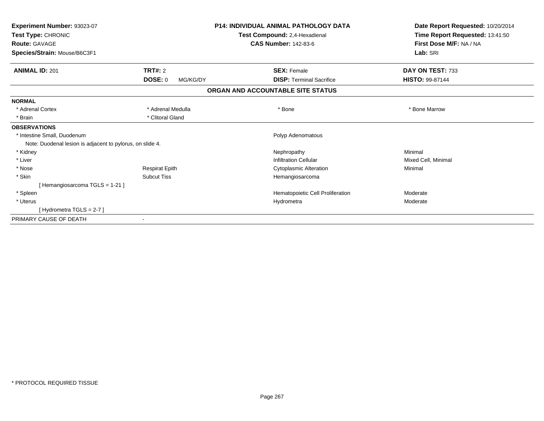| Experiment Number: 93023-07<br>Test Type: CHRONIC         | <b>P14: INDIVIDUAL ANIMAL PATHOLOGY DATA</b><br>Test Compound: 2,4-Hexadienal |                                   | Date Report Requested: 10/20/2014<br>Time Report Requested: 13:41:50 |
|-----------------------------------------------------------|-------------------------------------------------------------------------------|-----------------------------------|----------------------------------------------------------------------|
| <b>Route: GAVAGE</b>                                      |                                                                               | <b>CAS Number: 142-83-6</b>       | First Dose M/F: NA / NA                                              |
| Species/Strain: Mouse/B6C3F1                              |                                                                               |                                   | Lab: SRI                                                             |
| <b>TRT#: 2</b><br><b>ANIMAL ID: 201</b>                   |                                                                               | <b>SEX: Female</b>                | DAY ON TEST: 733                                                     |
| <b>DOSE: 0</b>                                            | MG/KG/DY                                                                      | <b>DISP:</b> Terminal Sacrifice   | <b>HISTO: 99-87144</b>                                               |
|                                                           |                                                                               | ORGAN AND ACCOUNTABLE SITE STATUS |                                                                      |
| <b>NORMAL</b>                                             |                                                                               |                                   |                                                                      |
| * Adrenal Cortex                                          | * Adrenal Medulla                                                             | * Bone                            | * Bone Marrow                                                        |
| * Brain                                                   | * Clitoral Gland                                                              |                                   |                                                                      |
| <b>OBSERVATIONS</b>                                       |                                                                               |                                   |                                                                      |
| * Intestine Small, Duodenum                               |                                                                               | Polyp Adenomatous                 |                                                                      |
| Note: Duodenal lesion is adjacent to pylorus, on slide 4. |                                                                               |                                   |                                                                      |
| * Kidney                                                  |                                                                               | Nephropathy                       | Minimal                                                              |
| * Liver                                                   |                                                                               | <b>Infiltration Cellular</b>      | Mixed Cell, Minimal                                                  |
| * Nose                                                    | <b>Respirat Epith</b>                                                         | <b>Cytoplasmic Alteration</b>     | Minimal                                                              |
| * Skin<br><b>Subcut Tiss</b>                              |                                                                               | Hemangiosarcoma                   |                                                                      |
| [Hemangiosarcoma TGLS = 1-21]                             |                                                                               |                                   |                                                                      |
| * Spleen                                                  |                                                                               | Hematopoietic Cell Proliferation  | Moderate                                                             |
| * Uterus                                                  |                                                                               | Hydrometra                        | Moderate                                                             |
| [Hydrometra TGLS = $2-7$ ]                                |                                                                               |                                   |                                                                      |
| PRIMARY CAUSE OF DEATH                                    |                                                                               |                                   |                                                                      |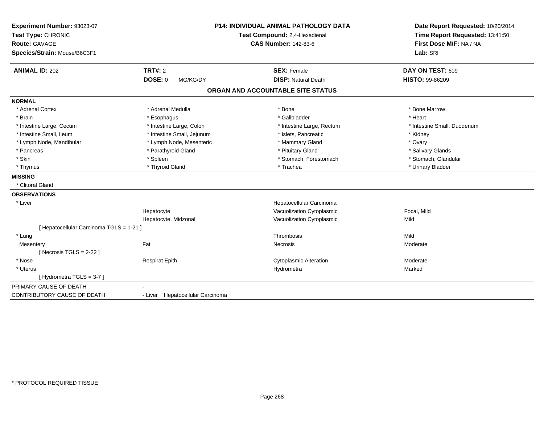| Experiment Number: 93023-07<br>Test Type: CHRONIC<br>Route: GAVAGE<br>Species/Strain: Mouse/B6C3F1 |                                  | <b>P14: INDIVIDUAL ANIMAL PATHOLOGY DATA</b><br>Test Compound: 2,4-Hexadienal<br><b>CAS Number: 142-83-6</b> | Date Report Requested: 10/20/2014<br>Time Report Requested: 13:41:50<br>First Dose M/F: NA / NA<br>Lab: SRI |
|----------------------------------------------------------------------------------------------------|----------------------------------|--------------------------------------------------------------------------------------------------------------|-------------------------------------------------------------------------------------------------------------|
| <b>ANIMAL ID: 202</b>                                                                              | <b>TRT#: 2</b>                   | <b>SEX: Female</b>                                                                                           | DAY ON TEST: 609                                                                                            |
|                                                                                                    | DOSE: 0<br>MG/KG/DY              | <b>DISP: Natural Death</b>                                                                                   | <b>HISTO: 99-86209</b>                                                                                      |
|                                                                                                    |                                  | ORGAN AND ACCOUNTABLE SITE STATUS                                                                            |                                                                                                             |
| <b>NORMAL</b>                                                                                      |                                  |                                                                                                              |                                                                                                             |
| * Adrenal Cortex                                                                                   | * Adrenal Medulla                | * Bone                                                                                                       | * Bone Marrow                                                                                               |
| * Brain                                                                                            | * Esophagus                      | * Gallbladder                                                                                                | * Heart                                                                                                     |
| * Intestine Large, Cecum                                                                           | * Intestine Large, Colon         | * Intestine Large, Rectum                                                                                    | * Intestine Small, Duodenum                                                                                 |
| * Intestine Small, Ileum                                                                           | * Intestine Small, Jejunum       | * Islets, Pancreatic                                                                                         | * Kidney                                                                                                    |
| * Lymph Node, Mandibular                                                                           | * Lymph Node, Mesenteric         | * Mammary Gland                                                                                              | * Ovary                                                                                                     |
| * Pancreas                                                                                         | * Parathyroid Gland              | * Pituitary Gland                                                                                            | * Salivary Glands                                                                                           |
| * Skin                                                                                             | * Spleen                         | * Stomach, Forestomach                                                                                       | * Stomach, Glandular                                                                                        |
| * Thymus                                                                                           | * Thyroid Gland                  | * Trachea                                                                                                    | * Urinary Bladder                                                                                           |
| <b>MISSING</b>                                                                                     |                                  |                                                                                                              |                                                                                                             |
| * Clitoral Gland                                                                                   |                                  |                                                                                                              |                                                                                                             |
| <b>OBSERVATIONS</b>                                                                                |                                  |                                                                                                              |                                                                                                             |
| * Liver                                                                                            |                                  | Hepatocellular Carcinoma                                                                                     |                                                                                                             |
|                                                                                                    | Hepatocyte                       | Vacuolization Cytoplasmic                                                                                    | Focal, Mild                                                                                                 |
|                                                                                                    | Hepatocyte, Midzonal             | Vacuolization Cytoplasmic                                                                                    | Mild                                                                                                        |
| [ Hepatocellular Carcinoma TGLS = 1-21 ]                                                           |                                  |                                                                                                              |                                                                                                             |
| * Lung                                                                                             |                                  | Thrombosis                                                                                                   | Mild                                                                                                        |
| Mesentery                                                                                          | Fat                              | <b>Necrosis</b>                                                                                              | Moderate                                                                                                    |
| [Necrosis TGLS = $2-22$ ]                                                                          |                                  |                                                                                                              |                                                                                                             |
| * Nose                                                                                             | <b>Respirat Epith</b>            | <b>Cytoplasmic Alteration</b>                                                                                | Moderate                                                                                                    |
| * Uterus                                                                                           |                                  | Hydrometra                                                                                                   | Marked                                                                                                      |
| [Hydrometra TGLS = 3-7]                                                                            |                                  |                                                                                                              |                                                                                                             |
| PRIMARY CAUSE OF DEATH                                                                             |                                  |                                                                                                              |                                                                                                             |
| CONTRIBUTORY CAUSE OF DEATH                                                                        | - Liver Hepatocellular Carcinoma |                                                                                                              |                                                                                                             |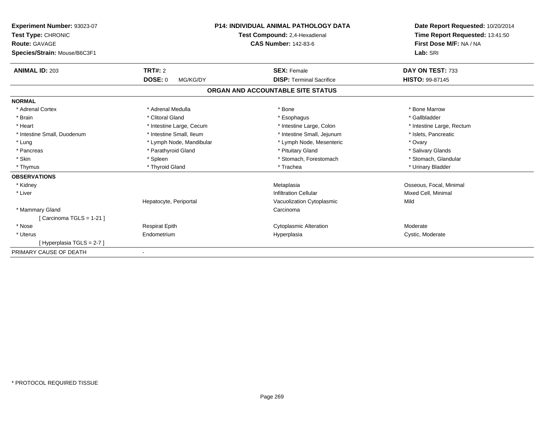| Experiment Number: 93023-07  |                             | <b>P14: INDIVIDUAL ANIMAL PATHOLOGY DATA</b> | Date Report Requested: 10/20/2014<br>Time Report Requested: 13:41:50 |
|------------------------------|-----------------------------|----------------------------------------------|----------------------------------------------------------------------|
| Test Type: CHRONIC           |                             | Test Compound: 2.4-Hexadienal                |                                                                      |
| <b>Route: GAVAGE</b>         | <b>CAS Number: 142-83-6</b> |                                              | First Dose M/F: NA / NA                                              |
| Species/Strain: Mouse/B6C3F1 |                             |                                              | Lab: SRI                                                             |
| <b>ANIMAL ID: 203</b>        | TRT#: 2                     | <b>SEX: Female</b>                           | DAY ON TEST: 733                                                     |
|                              | <b>DOSE: 0</b><br>MG/KG/DY  | <b>DISP: Terminal Sacrifice</b>              | <b>HISTO: 99-87145</b>                                               |
|                              |                             | ORGAN AND ACCOUNTABLE SITE STATUS            |                                                                      |
| <b>NORMAL</b>                |                             |                                              |                                                                      |
| * Adrenal Cortex             | * Adrenal Medulla           | * Bone                                       | * Bone Marrow                                                        |
| * Brain                      | * Clitoral Gland            | * Esophagus                                  | * Gallbladder                                                        |
| * Heart                      | * Intestine Large, Cecum    | * Intestine Large, Colon                     | * Intestine Large, Rectum                                            |
| * Intestine Small, Duodenum  | * Intestine Small, Ileum    | * Intestine Small, Jejunum                   | * Islets, Pancreatic                                                 |
| * Lung                       | * Lymph Node, Mandibular    | * Lymph Node, Mesenteric                     | * Ovary                                                              |
| * Pancreas                   | * Parathyroid Gland         | * Pituitary Gland                            | * Salivary Glands                                                    |
| * Skin                       | * Spleen                    | * Stomach, Forestomach                       | * Stomach, Glandular                                                 |
| * Thymus                     | * Thyroid Gland             | * Trachea                                    | * Urinary Bladder                                                    |
| <b>OBSERVATIONS</b>          |                             |                                              |                                                                      |
| * Kidney                     |                             | Metaplasia                                   | Osseous, Focal, Minimal                                              |
| * Liver                      |                             | Infiltration Cellular                        | Mixed Cell, Minimal                                                  |
|                              | Hepatocyte, Periportal      | Vacuolization Cytoplasmic                    | Mild                                                                 |
| * Mammary Gland              |                             | Carcinoma                                    |                                                                      |
| [Carcinoma TGLS = 1-21]      |                             |                                              |                                                                      |
| * Nose                       | <b>Respirat Epith</b>       | <b>Cytoplasmic Alteration</b>                | Moderate                                                             |
| * Uterus                     | Endometrium                 | Hyperplasia                                  | Cystic, Moderate                                                     |
| [Hyperplasia TGLS = $2-7$ ]  |                             |                                              |                                                                      |
| PRIMARY CAUSE OF DEATH       |                             |                                              |                                                                      |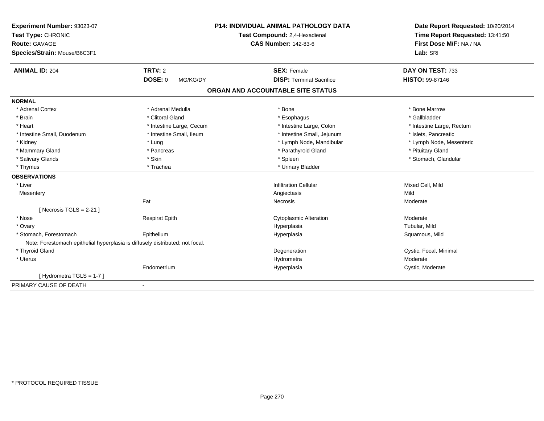| Experiment Number: 93023-07                                                   |                          | P14: INDIVIDUAL ANIMAL PATHOLOGY DATA | Date Report Requested: 10/20/2014<br>Time Report Requested: 13:41:50 |
|-------------------------------------------------------------------------------|--------------------------|---------------------------------------|----------------------------------------------------------------------|
| Test Type: CHRONIC                                                            |                          | Test Compound: 2,4-Hexadienal         |                                                                      |
| <b>Route: GAVAGE</b>                                                          |                          | <b>CAS Number: 142-83-6</b>           | First Dose M/F: NA / NA                                              |
| Species/Strain: Mouse/B6C3F1                                                  |                          |                                       | Lab: SRI                                                             |
| <b>ANIMAL ID: 204</b>                                                         | TRT#: 2                  | <b>SEX: Female</b>                    | DAY ON TEST: 733                                                     |
|                                                                               | DOSE: 0<br>MG/KG/DY      | <b>DISP: Terminal Sacrifice</b>       | <b>HISTO: 99-87146</b>                                               |
|                                                                               |                          | ORGAN AND ACCOUNTABLE SITE STATUS     |                                                                      |
| <b>NORMAL</b>                                                                 |                          |                                       |                                                                      |
| * Adrenal Cortex                                                              | * Adrenal Medulla        | * Bone                                | * Bone Marrow                                                        |
| * Brain                                                                       | * Clitoral Gland         | * Esophagus                           | * Gallbladder                                                        |
| * Heart                                                                       | * Intestine Large, Cecum | * Intestine Large, Colon              | * Intestine Large, Rectum                                            |
| * Intestine Small, Duodenum                                                   | * Intestine Small, Ileum | * Intestine Small, Jejunum            | * Islets, Pancreatic                                                 |
| * Kidney                                                                      | * Lung                   | * Lymph Node, Mandibular              | * Lymph Node, Mesenteric                                             |
| * Mammary Gland                                                               | * Pancreas               | * Parathyroid Gland                   | * Pituitary Gland                                                    |
| * Salivary Glands                                                             | * Skin                   | * Spleen                              | * Stomach, Glandular                                                 |
| * Thymus                                                                      | * Trachea                | * Urinary Bladder                     |                                                                      |
| <b>OBSERVATIONS</b>                                                           |                          |                                       |                                                                      |
| * Liver                                                                       |                          | <b>Infiltration Cellular</b>          | Mixed Cell, Mild                                                     |
| Mesentery                                                                     |                          | Angiectasis                           | Mild                                                                 |
|                                                                               | Fat                      | Necrosis                              | Moderate                                                             |
| [Necrosis TGLS = $2-21$ ]                                                     |                          |                                       |                                                                      |
| * Nose                                                                        | <b>Respirat Epith</b>    | <b>Cytoplasmic Alteration</b>         | Moderate                                                             |
| * Ovary                                                                       |                          | Hyperplasia                           | Tubular, Mild                                                        |
| * Stomach, Forestomach                                                        | Epithelium               | Hyperplasia                           | Squamous, Mild                                                       |
| Note: Forestomach epithelial hyperplasia is diffusely distributed; not focal. |                          |                                       |                                                                      |
| * Thyroid Gland                                                               |                          | Degeneration                          | Cystic, Focal, Minimal                                               |
| * Uterus                                                                      |                          | Hydrometra                            | Moderate                                                             |
|                                                                               | Endometrium              | Hyperplasia                           | Cystic, Moderate                                                     |
| [Hydrometra TGLS = 1-7]                                                       |                          |                                       |                                                                      |
| PRIMARY CAUSE OF DEATH                                                        | $\blacksquare$           |                                       |                                                                      |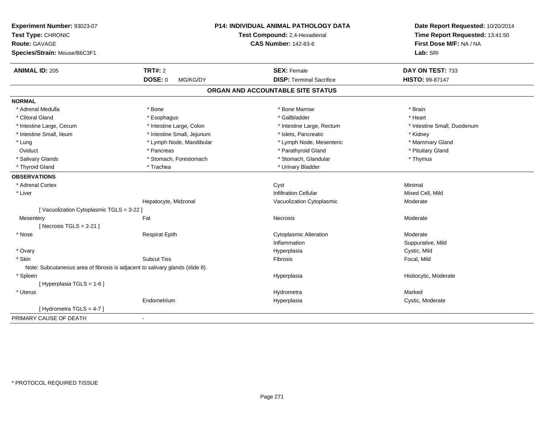| Experiment Number: 93023-07<br>Test Type: CHRONIC<br><b>Route: GAVAGE</b><br>Species/Strain: Mouse/B6C3F1 |                            | P14: INDIVIDUAL ANIMAL PATHOLOGY DATA<br>Test Compound: 2,4-Hexadienal<br><b>CAS Number: 142-83-6</b> | Date Report Requested: 10/20/2014<br>Time Report Requested: 13:41:50<br>First Dose M/F: NA / NA<br>Lab: SRI |
|-----------------------------------------------------------------------------------------------------------|----------------------------|-------------------------------------------------------------------------------------------------------|-------------------------------------------------------------------------------------------------------------|
| <b>ANIMAL ID: 205</b>                                                                                     | <b>TRT#: 2</b>             | <b>SEX: Female</b>                                                                                    | DAY ON TEST: 733                                                                                            |
|                                                                                                           | DOSE: 0<br>MG/KG/DY        | <b>DISP: Terminal Sacrifice</b>                                                                       | HISTO: 99-87147                                                                                             |
|                                                                                                           |                            | ORGAN AND ACCOUNTABLE SITE STATUS                                                                     |                                                                                                             |
| <b>NORMAL</b>                                                                                             |                            |                                                                                                       |                                                                                                             |
| * Adrenal Medulla                                                                                         | * Bone                     | * Bone Marrow                                                                                         | * Brain                                                                                                     |
| * Clitoral Gland                                                                                          | * Esophagus                | * Gallbladder                                                                                         | * Heart                                                                                                     |
| * Intestine Large, Cecum                                                                                  | * Intestine Large, Colon   | * Intestine Large, Rectum                                                                             | * Intestine Small, Duodenum                                                                                 |
| * Intestine Small, Ileum                                                                                  | * Intestine Small, Jejunum | * Islets, Pancreatic                                                                                  | * Kidney                                                                                                    |
| * Lung                                                                                                    | * Lymph Node, Mandibular   | * Lymph Node, Mesenteric                                                                              | * Mammary Gland                                                                                             |
| Oviduct                                                                                                   | * Pancreas                 | * Parathyroid Gland                                                                                   | * Pituitary Gland                                                                                           |
| * Salivary Glands                                                                                         | * Stomach, Forestomach     | * Stomach, Glandular                                                                                  | * Thymus                                                                                                    |
| * Thyroid Gland                                                                                           | * Trachea                  | * Urinary Bladder                                                                                     |                                                                                                             |
| <b>OBSERVATIONS</b>                                                                                       |                            |                                                                                                       |                                                                                                             |
| * Adrenal Cortex                                                                                          |                            | Cyst                                                                                                  | Minimal                                                                                                     |
| * Liver                                                                                                   |                            | <b>Infiltration Cellular</b>                                                                          | Mixed Cell, Mild                                                                                            |
|                                                                                                           | Hepatocyte, Midzonal       | Vacuolization Cytoplasmic                                                                             | Moderate                                                                                                    |
| [Vacuolization Cytoplasmic TGLS = 3-22 ]                                                                  |                            |                                                                                                       |                                                                                                             |
| Mesentery                                                                                                 | Fat                        | Necrosis                                                                                              | Moderate                                                                                                    |
| [Necrosis $TGLS = 2-21$ ]                                                                                 |                            |                                                                                                       |                                                                                                             |
| * Nose                                                                                                    | <b>Respirat Epith</b>      | <b>Cytoplasmic Alteration</b>                                                                         | Moderate                                                                                                    |
|                                                                                                           |                            | Inflammation                                                                                          | Suppurative, Mild                                                                                           |
| * Ovary                                                                                                   |                            | Hyperplasia                                                                                           | Cystic, Mild                                                                                                |
| * Skin                                                                                                    | <b>Subcut Tiss</b>         | Fibrosis                                                                                              | Focal, Mild                                                                                                 |
| Note: Subcutaneous area of fibrosis is adjacent to salivary glands (slide 8).                             |                            |                                                                                                       |                                                                                                             |
| * Spleen                                                                                                  |                            | Hyperplasia                                                                                           | Histiocytic, Moderate                                                                                       |
| [ Hyperplasia TGLS = 1-6 ]                                                                                |                            |                                                                                                       |                                                                                                             |
| * Uterus                                                                                                  |                            | Hydrometra                                                                                            | Marked                                                                                                      |
|                                                                                                           | Endometrium                | Hyperplasia                                                                                           | Cystic, Moderate                                                                                            |
| [Hydrometra TGLS = 4-7]                                                                                   |                            |                                                                                                       |                                                                                                             |
| PRIMARY CAUSE OF DEATH                                                                                    | $\overline{\phantom{a}}$   |                                                                                                       |                                                                                                             |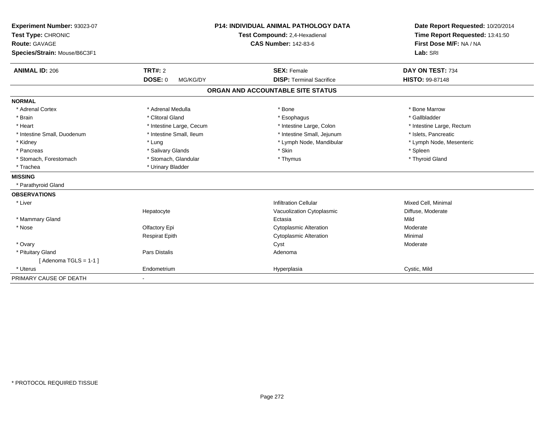| Experiment Number: 93023-07  |                            | <b>P14: INDIVIDUAL ANIMAL PATHOLOGY DATA</b> | Date Report Requested: 10/20/2014 |
|------------------------------|----------------------------|----------------------------------------------|-----------------------------------|
| Test Type: CHRONIC           |                            | Test Compound: 2,4-Hexadienal                | Time Report Requested: 13:41:50   |
| <b>Route: GAVAGE</b>         |                            | <b>CAS Number: 142-83-6</b>                  | First Dose M/F: NA / NA           |
| Species/Strain: Mouse/B6C3F1 |                            |                                              | Lab: SRI                          |
| <b>ANIMAL ID: 206</b>        | TRT#: 2                    | <b>SEX: Female</b>                           | DAY ON TEST: 734                  |
|                              | <b>DOSE: 0</b><br>MG/KG/DY | <b>DISP: Terminal Sacrifice</b>              | HISTO: 99-87148                   |
|                              |                            | ORGAN AND ACCOUNTABLE SITE STATUS            |                                   |
| <b>NORMAL</b>                |                            |                                              |                                   |
| * Adrenal Cortex             | * Adrenal Medulla          | * Bone                                       | * Bone Marrow                     |
| * Brain                      | * Clitoral Gland           | * Esophagus                                  | * Gallbladder                     |
| * Heart                      | * Intestine Large, Cecum   | * Intestine Large, Colon                     | * Intestine Large, Rectum         |
| * Intestine Small, Duodenum  | * Intestine Small, Ileum   | * Intestine Small, Jejunum                   | * Islets, Pancreatic              |
| * Kidney                     | * Lung                     | * Lymph Node, Mandibular                     | * Lymph Node, Mesenteric          |
| * Pancreas                   | * Salivary Glands          | * Skin                                       | * Spleen                          |
| * Stomach, Forestomach       | * Stomach, Glandular       | * Thymus                                     | * Thyroid Gland                   |
| * Trachea                    | * Urinary Bladder          |                                              |                                   |
| <b>MISSING</b>               |                            |                                              |                                   |
| * Parathyroid Gland          |                            |                                              |                                   |
| <b>OBSERVATIONS</b>          |                            |                                              |                                   |
| * Liver                      |                            | <b>Infiltration Cellular</b>                 | Mixed Cell, Minimal               |
|                              | Hepatocyte                 | Vacuolization Cytoplasmic                    | Diffuse, Moderate                 |
| * Mammary Gland              |                            | Ectasia                                      | Mild                              |
| * Nose                       | Olfactory Epi              | <b>Cytoplasmic Alteration</b>                | Moderate                          |
|                              | <b>Respirat Epith</b>      | <b>Cytoplasmic Alteration</b>                | Minimal                           |
| * Ovary                      |                            | Cyst                                         | Moderate                          |
| * Pituitary Gland            | Pars Distalis              | Adenoma                                      |                                   |
| [Adenoma TGLS = $1-1$ ]      |                            |                                              |                                   |
| * Uterus                     | Endometrium                | Hyperplasia                                  | Cystic, Mild                      |
| PRIMARY CAUSE OF DEATH       |                            |                                              |                                   |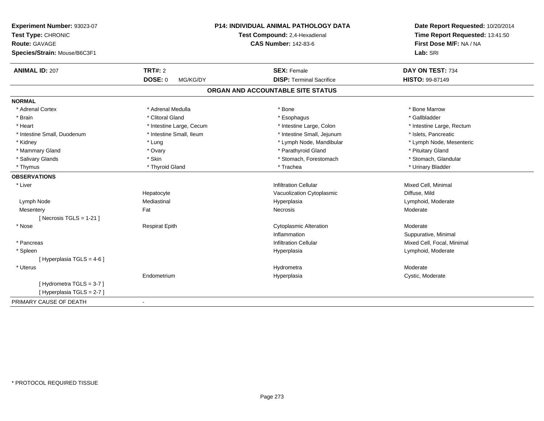| Experiment Number: 93023-07  |                               | P14: INDIVIDUAL ANIMAL PATHOLOGY DATA | Date Report Requested: 10/20/2014 |
|------------------------------|-------------------------------|---------------------------------------|-----------------------------------|
| Test Type: CHRONIC           | Test Compound: 2,4-Hexadienal |                                       | Time Report Requested: 13:41:50   |
| <b>Route: GAVAGE</b>         |                               | <b>CAS Number: 142-83-6</b>           | First Dose M/F: NA / NA           |
| Species/Strain: Mouse/B6C3F1 |                               |                                       | Lab: SRI                          |
| <b>ANIMAL ID: 207</b>        | TRT#: 2                       | <b>SEX: Female</b>                    | DAY ON TEST: 734                  |
|                              | DOSE: 0<br>MG/KG/DY           | <b>DISP: Terminal Sacrifice</b>       | HISTO: 99-87149                   |
|                              |                               | ORGAN AND ACCOUNTABLE SITE STATUS     |                                   |
| <b>NORMAL</b>                |                               |                                       |                                   |
| * Adrenal Cortex             | * Adrenal Medulla             | * Bone                                | * Bone Marrow                     |
| * Brain                      | * Clitoral Gland              | * Esophagus                           | * Gallbladder                     |
| * Heart                      | * Intestine Large, Cecum      | * Intestine Large, Colon              | * Intestine Large, Rectum         |
| * Intestine Small, Duodenum  | * Intestine Small, Ileum      | * Intestine Small, Jejunum            | * Islets, Pancreatic              |
| * Kidney                     | * Lung                        | * Lymph Node, Mandibular              | * Lymph Node, Mesenteric          |
| * Mammary Gland              | * Ovary                       | * Parathyroid Gland                   | * Pituitary Gland                 |
| * Salivary Glands            | * Skin                        | * Stomach, Forestomach                | * Stomach, Glandular              |
| * Thymus                     | * Thyroid Gland               | * Trachea                             | * Urinary Bladder                 |
| <b>OBSERVATIONS</b>          |                               |                                       |                                   |
| * Liver                      |                               | <b>Infiltration Cellular</b>          | Mixed Cell, Minimal               |
|                              | Hepatocyte                    | Vacuolization Cytoplasmic             | Diffuse, Mild                     |
| Lymph Node                   | Mediastinal                   | Hyperplasia                           | Lymphoid, Moderate                |
| Mesentery                    | Fat                           | Necrosis                              | Moderate                          |
| [ Necrosis $TGLS = 1-21$ ]   |                               |                                       |                                   |
| * Nose                       | <b>Respirat Epith</b>         | <b>Cytoplasmic Alteration</b>         | Moderate                          |
|                              |                               | Inflammation                          | Suppurative, Minimal              |
| * Pancreas                   |                               | <b>Infiltration Cellular</b>          | Mixed Cell, Focal, Minimal        |
| * Spleen                     |                               | Hyperplasia                           | Lymphoid, Moderate                |
| [ Hyperplasia TGLS = 4-6 ]   |                               |                                       |                                   |
| * Uterus                     |                               | Hydrometra                            | Moderate                          |
|                              | Endometrium                   | Hyperplasia                           | Cystic, Moderate                  |
| [Hydrometra TGLS = 3-7]      |                               |                                       |                                   |
| [Hyperplasia TGLS = 2-7]     |                               |                                       |                                   |
| PRIMARY CAUSE OF DEATH       | $\blacksquare$                |                                       |                                   |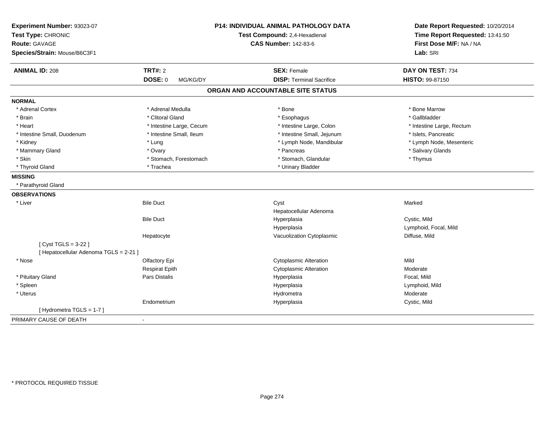| Experiment Number: 93023-07<br>Test Type: CHRONIC<br>Route: GAVAGE<br>Species/Strain: Mouse/B6C3F1 |                            | P14: INDIVIDUAL ANIMAL PATHOLOGY DATA<br>Test Compound: 2,4-Hexadienal<br><b>CAS Number: 142-83-6</b> | Date Report Requested: 10/20/2014<br>Time Report Requested: 13:41:50<br>First Dose M/F: NA / NA<br>Lab: SRI |
|----------------------------------------------------------------------------------------------------|----------------------------|-------------------------------------------------------------------------------------------------------|-------------------------------------------------------------------------------------------------------------|
| <b>ANIMAL ID: 208</b>                                                                              | <b>TRT#: 2</b>             | <b>SEX: Female</b>                                                                                    | DAY ON TEST: 734                                                                                            |
|                                                                                                    | <b>DOSE: 0</b><br>MG/KG/DY | <b>DISP: Terminal Sacrifice</b>                                                                       | HISTO: 99-87150                                                                                             |
|                                                                                                    |                            | ORGAN AND ACCOUNTABLE SITE STATUS                                                                     |                                                                                                             |
| <b>NORMAL</b>                                                                                      |                            |                                                                                                       |                                                                                                             |
| * Adrenal Cortex                                                                                   | * Adrenal Medulla          | * Bone                                                                                                | * Bone Marrow                                                                                               |
| * Brain                                                                                            | * Clitoral Gland           | * Esophagus                                                                                           | * Gallbladder                                                                                               |
| * Heart                                                                                            | * Intestine Large, Cecum   | * Intestine Large, Colon                                                                              | * Intestine Large, Rectum                                                                                   |
| * Intestine Small, Duodenum                                                                        | * Intestine Small, Ileum   | * Intestine Small, Jejunum                                                                            | * Islets, Pancreatic                                                                                        |
| * Kidney                                                                                           | * Lung                     | * Lymph Node, Mandibular                                                                              | * Lymph Node, Mesenteric                                                                                    |
| * Mammary Gland                                                                                    | * Ovary                    | * Pancreas                                                                                            | * Salivary Glands                                                                                           |
| * Skin                                                                                             | * Stomach, Forestomach     | * Stomach, Glandular                                                                                  | * Thymus                                                                                                    |
| * Thyroid Gland                                                                                    | * Trachea                  | * Urinary Bladder                                                                                     |                                                                                                             |
| <b>MISSING</b>                                                                                     |                            |                                                                                                       |                                                                                                             |
| * Parathyroid Gland                                                                                |                            |                                                                                                       |                                                                                                             |
| <b>OBSERVATIONS</b>                                                                                |                            |                                                                                                       |                                                                                                             |
| * Liver                                                                                            | <b>Bile Duct</b>           | Cyst                                                                                                  | Marked                                                                                                      |
|                                                                                                    |                            | Hepatocellular Adenoma                                                                                |                                                                                                             |
|                                                                                                    | <b>Bile Duct</b>           | Hyperplasia                                                                                           | Cystic, Mild                                                                                                |
|                                                                                                    |                            | Hyperplasia                                                                                           | Lymphoid, Focal, Mild                                                                                       |
|                                                                                                    | Hepatocyte                 | Vacuolization Cytoplasmic                                                                             | Diffuse, Mild                                                                                               |
| [ Cyst TGLS = 3-22 ]                                                                               |                            |                                                                                                       |                                                                                                             |
| [ Hepatocellular Adenoma TGLS = 2-21 ]                                                             |                            |                                                                                                       |                                                                                                             |
| * Nose                                                                                             | Olfactory Epi              | <b>Cytoplasmic Alteration</b>                                                                         | Mild                                                                                                        |
|                                                                                                    | <b>Respirat Epith</b>      | <b>Cytoplasmic Alteration</b>                                                                         | Moderate                                                                                                    |
| * Pituitary Gland                                                                                  | Pars Distalis              | Hyperplasia                                                                                           | Focal, Mild                                                                                                 |
| * Spleen                                                                                           |                            | Hyperplasia                                                                                           | Lymphoid, Mild                                                                                              |
| * Uterus                                                                                           |                            | Hydrometra                                                                                            | Moderate                                                                                                    |
|                                                                                                    | Endometrium                | Hyperplasia                                                                                           | Cystic, Mild                                                                                                |
| [Hydrometra TGLS = 1-7]                                                                            |                            |                                                                                                       |                                                                                                             |
| PRIMARY CAUSE OF DEATH                                                                             |                            |                                                                                                       |                                                                                                             |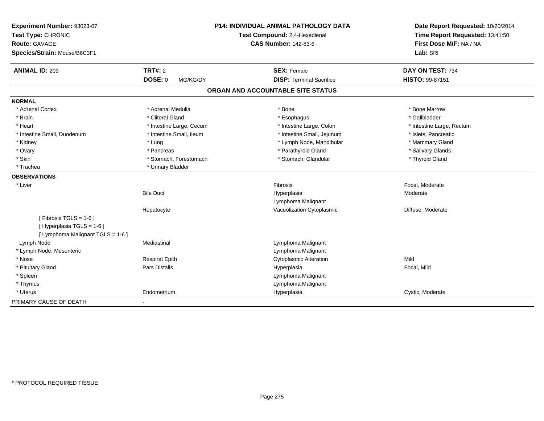| Experiment Number: 93023-07<br>Test Type: CHRONIC<br><b>Route: GAVAGE</b><br>Species/Strain: Mouse/B6C3F1 |                          | <b>P14: INDIVIDUAL ANIMAL PATHOLOGY DATA</b><br>Test Compound: 2,4-Hexadienal<br><b>CAS Number: 142-83-6</b> | Date Report Requested: 10/20/2014<br>Time Report Requested: 13:41:50<br>First Dose M/F: NA / NA<br>Lab: SRI |
|-----------------------------------------------------------------------------------------------------------|--------------------------|--------------------------------------------------------------------------------------------------------------|-------------------------------------------------------------------------------------------------------------|
| <b>ANIMAL ID: 209</b>                                                                                     | <b>TRT#: 2</b>           | <b>SEX: Female</b>                                                                                           | DAY ON TEST: 734                                                                                            |
|                                                                                                           | DOSE: 0<br>MG/KG/DY      | <b>DISP: Terminal Sacrifice</b>                                                                              | HISTO: 99-87151                                                                                             |
|                                                                                                           |                          | ORGAN AND ACCOUNTABLE SITE STATUS                                                                            |                                                                                                             |
| <b>NORMAL</b>                                                                                             |                          |                                                                                                              |                                                                                                             |
| * Adrenal Cortex                                                                                          | * Adrenal Medulla        | * Bone                                                                                                       | * Bone Marrow                                                                                               |
| * Brain                                                                                                   | * Clitoral Gland         | * Esophagus                                                                                                  | * Gallbladder                                                                                               |
| * Heart                                                                                                   | * Intestine Large, Cecum | * Intestine Large, Colon                                                                                     | * Intestine Large, Rectum                                                                                   |
| * Intestine Small, Duodenum                                                                               | * Intestine Small, Ileum | * Intestine Small, Jejunum                                                                                   | * Islets, Pancreatic                                                                                        |
| * Kidney                                                                                                  | * Lung                   | * Lymph Node, Mandibular                                                                                     | * Mammary Gland                                                                                             |
| * Ovary                                                                                                   | * Pancreas               | * Parathyroid Gland                                                                                          | * Salivary Glands                                                                                           |
| * Skin                                                                                                    | * Stomach, Forestomach   | * Stomach, Glandular                                                                                         | * Thyroid Gland                                                                                             |
| * Trachea                                                                                                 | * Urinary Bladder        |                                                                                                              |                                                                                                             |
| <b>OBSERVATIONS</b>                                                                                       |                          |                                                                                                              |                                                                                                             |
| * Liver                                                                                                   |                          | Fibrosis                                                                                                     | Focal, Moderate                                                                                             |
|                                                                                                           | <b>Bile Duct</b>         | Hyperplasia                                                                                                  | Moderate                                                                                                    |
|                                                                                                           |                          | Lymphoma Malignant                                                                                           |                                                                                                             |
|                                                                                                           | Hepatocyte               | Vacuolization Cytoplasmic                                                                                    | Diffuse, Moderate                                                                                           |
| [Fibrosis TGLS = $1-6$ ]<br>[ Hyperplasia TGLS = 1-6 ]<br>[ Lymphoma Malignant TGLS = 1-6 ]               |                          |                                                                                                              |                                                                                                             |
| Lymph Node                                                                                                | Mediastinal              | Lymphoma Malignant                                                                                           |                                                                                                             |
| * Lymph Node, Mesenteric                                                                                  |                          | Lymphoma Malignant                                                                                           |                                                                                                             |
| * Nose                                                                                                    | <b>Respirat Epith</b>    | <b>Cytoplasmic Alteration</b>                                                                                | Mild                                                                                                        |
| * Pituitary Gland                                                                                         | Pars Distalis            | Hyperplasia                                                                                                  | Focal, Mild                                                                                                 |
| * Spleen                                                                                                  |                          | Lymphoma Malignant                                                                                           |                                                                                                             |
| * Thymus                                                                                                  |                          | Lymphoma Malignant                                                                                           |                                                                                                             |
| * Uterus                                                                                                  | Endometrium              | Hyperplasia                                                                                                  | Cystic, Moderate                                                                                            |
| PRIMARY CAUSE OF DEATH                                                                                    | $\blacksquare$           |                                                                                                              |                                                                                                             |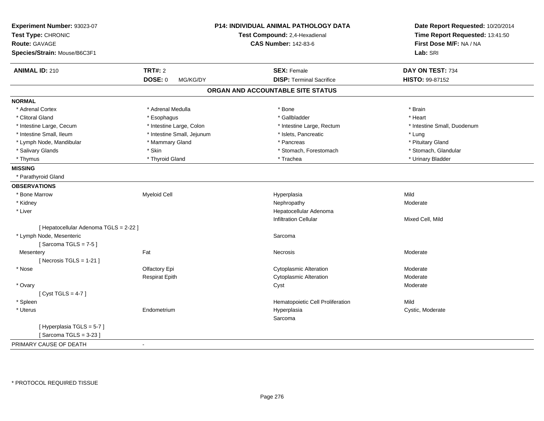| Experiment Number: 93023-07<br>Test Type: CHRONIC<br>Route: GAVAGE<br>Species/Strain: Mouse/B6C3F1 |                            | P14: INDIVIDUAL ANIMAL PATHOLOGY DATA<br>Test Compound: 2,4-Hexadienal<br><b>CAS Number: 142-83-6</b> | Date Report Requested: 10/20/2014<br>Time Report Requested: 13:41:50<br>First Dose M/F: NA / NA<br>Lab: SRI |
|----------------------------------------------------------------------------------------------------|----------------------------|-------------------------------------------------------------------------------------------------------|-------------------------------------------------------------------------------------------------------------|
| <b>ANIMAL ID: 210</b>                                                                              | <b>TRT#: 2</b>             | <b>SEX: Female</b>                                                                                    | DAY ON TEST: 734                                                                                            |
|                                                                                                    | <b>DOSE: 0</b><br>MG/KG/DY | <b>DISP: Terminal Sacrifice</b>                                                                       | HISTO: 99-87152                                                                                             |
|                                                                                                    |                            | ORGAN AND ACCOUNTABLE SITE STATUS                                                                     |                                                                                                             |
| <b>NORMAL</b>                                                                                      |                            |                                                                                                       |                                                                                                             |
| * Adrenal Cortex                                                                                   | * Adrenal Medulla          | * Bone                                                                                                | * Brain                                                                                                     |
| * Clitoral Gland                                                                                   | * Esophagus                | * Gallbladder                                                                                         | * Heart                                                                                                     |
| * Intestine Large, Cecum                                                                           | * Intestine Large, Colon   | * Intestine Large, Rectum                                                                             | * Intestine Small, Duodenum                                                                                 |
| * Intestine Small, Ileum                                                                           | * Intestine Small, Jejunum | * Islets, Pancreatic                                                                                  | * Lung                                                                                                      |
| * Lymph Node, Mandibular                                                                           | * Mammary Gland            | * Pancreas                                                                                            | * Pituitary Gland                                                                                           |
| * Salivary Glands                                                                                  | * Skin                     | * Stomach, Forestomach                                                                                | * Stomach, Glandular                                                                                        |
| * Thymus                                                                                           | * Thyroid Gland            | * Trachea                                                                                             | * Urinary Bladder                                                                                           |
| <b>MISSING</b>                                                                                     |                            |                                                                                                       |                                                                                                             |
| * Parathyroid Gland                                                                                |                            |                                                                                                       |                                                                                                             |
| <b>OBSERVATIONS</b>                                                                                |                            |                                                                                                       |                                                                                                             |
| * Bone Marrow                                                                                      | <b>Myeloid Cell</b>        | Hyperplasia                                                                                           | Mild                                                                                                        |
| * Kidney                                                                                           |                            | Nephropathy                                                                                           | Moderate                                                                                                    |
| * Liver                                                                                            |                            | Hepatocellular Adenoma                                                                                |                                                                                                             |
|                                                                                                    |                            | <b>Infiltration Cellular</b>                                                                          | Mixed Cell, Mild                                                                                            |
| [ Hepatocellular Adenoma TGLS = 2-22 ]                                                             |                            |                                                                                                       |                                                                                                             |
| * Lymph Node, Mesenteric                                                                           |                            | Sarcoma                                                                                               |                                                                                                             |
| [Sarcoma TGLS = $7-5$ ]                                                                            |                            |                                                                                                       |                                                                                                             |
| Mesentery                                                                                          | Fat                        | Necrosis                                                                                              | Moderate                                                                                                    |
| [Necrosis TGLS = $1-21$ ]                                                                          |                            |                                                                                                       |                                                                                                             |
| * Nose                                                                                             | Olfactory Epi              | <b>Cytoplasmic Alteration</b>                                                                         | Moderate                                                                                                    |
|                                                                                                    | <b>Respirat Epith</b>      | <b>Cytoplasmic Alteration</b>                                                                         | Moderate                                                                                                    |
| * Ovary                                                                                            |                            | Cyst                                                                                                  | Moderate                                                                                                    |
| [Cyst TGLS = $4-7$ ]                                                                               |                            |                                                                                                       |                                                                                                             |
| * Spleen                                                                                           |                            | Hematopoietic Cell Proliferation                                                                      | Mild                                                                                                        |
| * Uterus                                                                                           | Endometrium                | Hyperplasia                                                                                           | Cystic, Moderate                                                                                            |
|                                                                                                    |                            | Sarcoma                                                                                               |                                                                                                             |
| [Hyperplasia TGLS = 5-7]                                                                           |                            |                                                                                                       |                                                                                                             |
| [Sarcoma TGLS = $3-23$ ]                                                                           |                            |                                                                                                       |                                                                                                             |
| PRIMARY CAUSE OF DEATH                                                                             | $\sim$                     |                                                                                                       |                                                                                                             |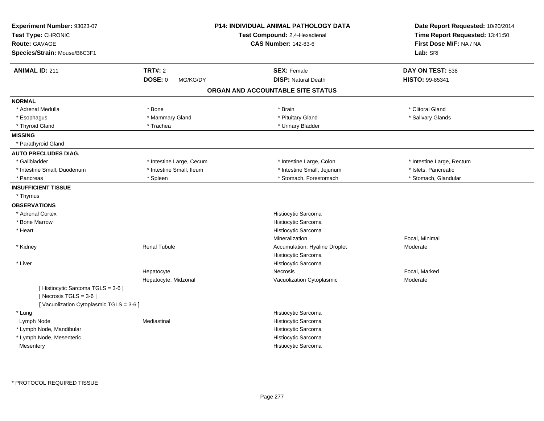| Experiment Number: 93023-07<br>Test Type: CHRONIC<br>Route: GAVAGE<br>Species/Strain: Mouse/B6C3F1       |                          | <b>P14: INDIVIDUAL ANIMAL PATHOLOGY DATA</b><br>Test Compound: 2,4-Hexadienal<br><b>CAS Number: 142-83-6</b> | Date Report Requested: 10/20/2014<br>Time Report Requested: 13:41:50<br>First Dose M/F: NA / NA<br>Lab: SRI |
|----------------------------------------------------------------------------------------------------------|--------------------------|--------------------------------------------------------------------------------------------------------------|-------------------------------------------------------------------------------------------------------------|
| <b>ANIMAL ID: 211</b>                                                                                    | <b>TRT#: 2</b>           | <b>SEX: Female</b>                                                                                           | DAY ON TEST: 538                                                                                            |
|                                                                                                          | DOSE: 0<br>MG/KG/DY      | <b>DISP: Natural Death</b>                                                                                   | HISTO: 99-85341                                                                                             |
|                                                                                                          |                          | ORGAN AND ACCOUNTABLE SITE STATUS                                                                            |                                                                                                             |
| <b>NORMAL</b>                                                                                            |                          |                                                                                                              |                                                                                                             |
| * Adrenal Medulla                                                                                        | * Bone                   | * Brain                                                                                                      | * Clitoral Gland                                                                                            |
| * Esophagus                                                                                              | * Mammary Gland          | * Pituitary Gland                                                                                            | * Salivary Glands                                                                                           |
| * Thyroid Gland                                                                                          | * Trachea                | * Urinary Bladder                                                                                            |                                                                                                             |
| <b>MISSING</b>                                                                                           |                          |                                                                                                              |                                                                                                             |
| * Parathyroid Gland                                                                                      |                          |                                                                                                              |                                                                                                             |
| <b>AUTO PRECLUDES DIAG.</b>                                                                              |                          |                                                                                                              |                                                                                                             |
| * Gallbladder                                                                                            | * Intestine Large, Cecum | * Intestine Large, Colon                                                                                     | * Intestine Large, Rectum                                                                                   |
| * Intestine Small, Duodenum                                                                              | * Intestine Small, Ileum | * Intestine Small, Jejunum                                                                                   | * Islets, Pancreatic                                                                                        |
| * Pancreas                                                                                               | * Spleen                 | * Stomach, Forestomach                                                                                       | * Stomach, Glandular                                                                                        |
| <b>INSUFFICIENT TISSUE</b>                                                                               |                          |                                                                                                              |                                                                                                             |
| * Thymus                                                                                                 |                          |                                                                                                              |                                                                                                             |
| <b>OBSERVATIONS</b>                                                                                      |                          |                                                                                                              |                                                                                                             |
| * Adrenal Cortex                                                                                         |                          | Histiocytic Sarcoma                                                                                          |                                                                                                             |
| * Bone Marrow                                                                                            |                          | Histiocytic Sarcoma                                                                                          |                                                                                                             |
| * Heart                                                                                                  |                          | Histiocytic Sarcoma                                                                                          |                                                                                                             |
|                                                                                                          |                          | Mineralization                                                                                               | Focal, Minimal                                                                                              |
| * Kidney                                                                                                 | <b>Renal Tubule</b>      | Accumulation, Hyaline Droplet                                                                                | Moderate                                                                                                    |
|                                                                                                          |                          | Histiocytic Sarcoma                                                                                          |                                                                                                             |
| * Liver                                                                                                  |                          | Histiocytic Sarcoma                                                                                          |                                                                                                             |
|                                                                                                          | Hepatocyte               | Necrosis                                                                                                     | Focal, Marked                                                                                               |
| [ Histiocytic Sarcoma TGLS = 3-6 ]<br>[Necrosis TGLS = $3-6$ ]<br>[Vacuolization Cytoplasmic TGLS = 3-6] | Hepatocyte, Midzonal     | Vacuolization Cytoplasmic                                                                                    | Moderate                                                                                                    |
| * Lung                                                                                                   |                          | Histiocytic Sarcoma                                                                                          |                                                                                                             |
| Lymph Node                                                                                               | Mediastinal              | Histiocytic Sarcoma                                                                                          |                                                                                                             |
| * Lymph Node, Mandibular                                                                                 |                          | Histiocytic Sarcoma                                                                                          |                                                                                                             |
| * Lymph Node, Mesenteric                                                                                 |                          | Histiocytic Sarcoma                                                                                          |                                                                                                             |
| Mesentery                                                                                                |                          | Histiocytic Sarcoma                                                                                          |                                                                                                             |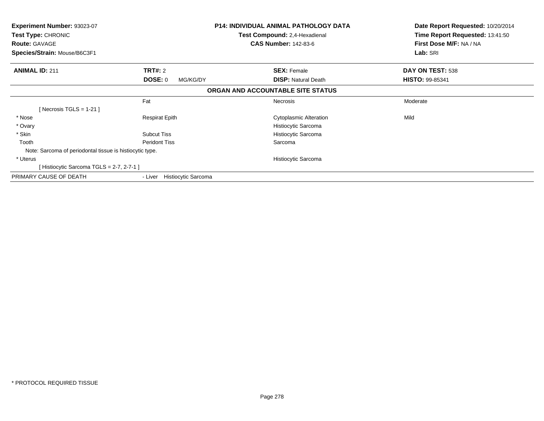| <b>Experiment Number: 93023-07</b><br><b>Test Type: CHRONIC</b><br><b>Route: GAVAGE</b><br>Species/Strain: Mouse/B6C3F1 |                                       | <b>P14: INDIVIDUAL ANIMAL PATHOLOGY DATA</b><br>Test Compound: 2,4-Hexadienal<br><b>CAS Number: 142-83-6</b> | Date Report Requested: 10/20/2014<br>Time Report Requested: 13:41:50<br>First Dose M/F: NA / NA<br>Lab: SRI |
|-------------------------------------------------------------------------------------------------------------------------|---------------------------------------|--------------------------------------------------------------------------------------------------------------|-------------------------------------------------------------------------------------------------------------|
| <b>ANIMAL ID: 211</b>                                                                                                   | <b>TRT#: 2</b>                        | <b>SEX: Female</b>                                                                                           | DAY ON TEST: 538                                                                                            |
|                                                                                                                         | DOSE: 0<br>MG/KG/DY                   | <b>DISP:</b> Natural Death                                                                                   | <b>HISTO: 99-85341</b>                                                                                      |
|                                                                                                                         |                                       | ORGAN AND ACCOUNTABLE SITE STATUS                                                                            |                                                                                                             |
|                                                                                                                         | Fat                                   | Necrosis                                                                                                     | Moderate                                                                                                    |
| Necrosis TGLS = 1-21 ]                                                                                                  |                                       |                                                                                                              |                                                                                                             |
| * Nose                                                                                                                  | <b>Respirat Epith</b>                 | <b>Cytoplasmic Alteration</b>                                                                                | Mild                                                                                                        |
| * Ovary                                                                                                                 |                                       | Histiocytic Sarcoma                                                                                          |                                                                                                             |
| * Skin                                                                                                                  | <b>Subcut Tiss</b>                    | Histiocytic Sarcoma                                                                                          |                                                                                                             |
| Tooth                                                                                                                   | <b>Peridont Tiss</b>                  | Sarcoma                                                                                                      |                                                                                                             |
| Note: Sarcoma of periodontal tissue is histiocytic type.                                                                |                                       |                                                                                                              |                                                                                                             |
| * Uterus                                                                                                                |                                       | Histiocytic Sarcoma                                                                                          |                                                                                                             |
| Histiocytic Sarcoma TGLS = 2-7, 2-7-1 ]                                                                                 |                                       |                                                                                                              |                                                                                                             |
| PRIMARY CAUSE OF DEATH                                                                                                  | <b>Histiocytic Sarcoma</b><br>- Liver |                                                                                                              |                                                                                                             |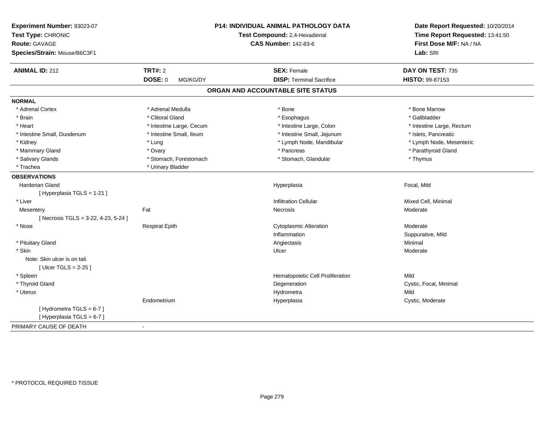| Experiment Number: 93023-07<br>Test Type: CHRONIC<br><b>Route: GAVAGE</b><br>Species/Strain: Mouse/B6C3F1 |                          | <b>P14: INDIVIDUAL ANIMAL PATHOLOGY DATA</b><br>Test Compound: 2,4-Hexadienal<br><b>CAS Number: 142-83-6</b> | Date Report Requested: 10/20/2014<br>Time Report Requested: 13:41:50<br>First Dose M/F: NA / NA<br>Lab: SRI |
|-----------------------------------------------------------------------------------------------------------|--------------------------|--------------------------------------------------------------------------------------------------------------|-------------------------------------------------------------------------------------------------------------|
| <b>ANIMAL ID: 212</b>                                                                                     | <b>TRT#: 2</b>           | <b>SEX: Female</b>                                                                                           | DAY ON TEST: 735                                                                                            |
|                                                                                                           | DOSE: 0<br>MG/KG/DY      | <b>DISP: Terminal Sacrifice</b>                                                                              | HISTO: 99-87153                                                                                             |
|                                                                                                           |                          | ORGAN AND ACCOUNTABLE SITE STATUS                                                                            |                                                                                                             |
| <b>NORMAL</b>                                                                                             |                          |                                                                                                              |                                                                                                             |
| * Adrenal Cortex                                                                                          | * Adrenal Medulla        | * Bone                                                                                                       | * Bone Marrow                                                                                               |
| * Brain                                                                                                   | * Clitoral Gland         | * Esophagus                                                                                                  | * Gallbladder                                                                                               |
| * Heart                                                                                                   | * Intestine Large, Cecum | * Intestine Large, Colon                                                                                     | * Intestine Large, Rectum                                                                                   |
| * Intestine Small, Duodenum                                                                               | * Intestine Small, Ileum | * Intestine Small, Jejunum                                                                                   | * Islets, Pancreatic                                                                                        |
| * Kidney                                                                                                  | * Lung                   | * Lymph Node, Mandibular                                                                                     | * Lymph Node, Mesenteric                                                                                    |
| * Mammary Gland                                                                                           | * Ovary                  | * Pancreas                                                                                                   | * Parathyroid Gland                                                                                         |
| * Salivary Glands                                                                                         | * Stomach, Forestomach   | * Stomach, Glandular                                                                                         | * Thymus                                                                                                    |
| * Trachea                                                                                                 | * Urinary Bladder        |                                                                                                              |                                                                                                             |
| <b>OBSERVATIONS</b>                                                                                       |                          |                                                                                                              |                                                                                                             |
| <b>Harderian Gland</b>                                                                                    |                          | Hyperplasia                                                                                                  | Focal, Mild                                                                                                 |
| [ Hyperplasia TGLS = 1-21 ]                                                                               |                          |                                                                                                              |                                                                                                             |
| * Liver                                                                                                   |                          | <b>Infiltration Cellular</b>                                                                                 | Mixed Cell, Minimal                                                                                         |
| Mesentery                                                                                                 | Fat                      | Necrosis                                                                                                     | Moderate                                                                                                    |
| [Necrosis TGLS = $3-22$ , 4-23, 5-24]                                                                     |                          |                                                                                                              |                                                                                                             |
| * Nose                                                                                                    | <b>Respirat Epith</b>    | <b>Cytoplasmic Alteration</b>                                                                                | Moderate                                                                                                    |
|                                                                                                           |                          | Inflammation                                                                                                 | Suppurative, Mild                                                                                           |
| * Pituitary Gland                                                                                         |                          | Angiectasis                                                                                                  | Minimal                                                                                                     |
| * Skin                                                                                                    |                          | Ulcer                                                                                                        | Moderate                                                                                                    |
| Note: Skin ulcer is on tail.                                                                              |                          |                                                                                                              |                                                                                                             |
| [Ulcer TGLS = $2-25$ ]                                                                                    |                          |                                                                                                              |                                                                                                             |
| * Spleen                                                                                                  |                          | Hematopoietic Cell Proliferation                                                                             | Mild                                                                                                        |
| * Thyroid Gland                                                                                           |                          | Degeneration                                                                                                 | Cystic, Focal, Minimal                                                                                      |
| * Uterus                                                                                                  |                          | Hydrometra                                                                                                   | Mild                                                                                                        |
|                                                                                                           | Endometrium              | Hyperplasia                                                                                                  | Cystic, Moderate                                                                                            |
| [Hydrometra TGLS = 6-7]<br>[Hyperplasia TGLS = 6-7]                                                       |                          |                                                                                                              |                                                                                                             |
| PRIMARY CAUSE OF DEATH                                                                                    | $\sim$                   |                                                                                                              |                                                                                                             |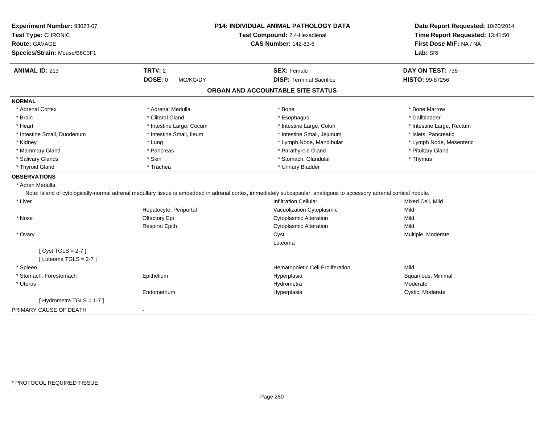| Experiment Number: 93023-07<br>Test Type: CHRONIC |                          | <b>P14: INDIVIDUAL ANIMAL PATHOLOGY DATA</b><br>Test Compound: 2,4-Hexadienal                                                                                         | Date Report Requested: 10/20/2014<br>Time Report Requested: 13:41:50 |
|---------------------------------------------------|--------------------------|-----------------------------------------------------------------------------------------------------------------------------------------------------------------------|----------------------------------------------------------------------|
| <b>Route: GAVAGE</b>                              |                          | <b>CAS Number: 142-83-6</b>                                                                                                                                           | First Dose M/F: NA / NA                                              |
| Species/Strain: Mouse/B6C3F1                      |                          |                                                                                                                                                                       | Lab: SRI                                                             |
|                                                   |                          |                                                                                                                                                                       |                                                                      |
| <b>ANIMAL ID: 213</b>                             | <b>TRT#: 2</b>           | <b>SEX: Female</b>                                                                                                                                                    | DAY ON TEST: 735                                                     |
|                                                   | DOSE: 0<br>MG/KG/DY      | <b>DISP: Terminal Sacrifice</b>                                                                                                                                       | HISTO: 99-87256                                                      |
|                                                   |                          | ORGAN AND ACCOUNTABLE SITE STATUS                                                                                                                                     |                                                                      |
| <b>NORMAL</b>                                     |                          |                                                                                                                                                                       |                                                                      |
| * Adrenal Cortex                                  | * Adrenal Medulla        | * Bone                                                                                                                                                                | * Bone Marrow                                                        |
| * Brain                                           | * Clitoral Gland         | * Esophagus                                                                                                                                                           | * Gallbladder                                                        |
| * Heart                                           | * Intestine Large, Cecum | * Intestine Large, Colon                                                                                                                                              | * Intestine Large, Rectum                                            |
| * Intestine Small, Duodenum                       | * Intestine Small, Ileum | * Intestine Small, Jejunum                                                                                                                                            | * Islets, Pancreatic                                                 |
| * Kidney                                          | * Lung                   | * Lymph Node, Mandibular                                                                                                                                              | * Lymph Node, Mesenteric                                             |
| * Mammary Gland                                   | * Pancreas               | * Parathyroid Gland                                                                                                                                                   | * Pituitary Gland                                                    |
| * Salivary Glands                                 | * Skin                   | * Stomach, Glandular                                                                                                                                                  | * Thymus                                                             |
| * Thyroid Gland                                   | * Trachea                | * Urinary Bladder                                                                                                                                                     |                                                                      |
| <b>OBSERVATIONS</b>                               |                          |                                                                                                                                                                       |                                                                      |
| * Adren Medulla                                   |                          |                                                                                                                                                                       |                                                                      |
|                                                   |                          | Note: Island of cytologically-normal adrenal medullary tissue is embedded in adrenal cortex, immediately subcapsular, analogous to accessory adrenal cortical nodule. |                                                                      |
| * Liver                                           |                          | <b>Infiltration Cellular</b>                                                                                                                                          | Mixed Cell, Mild                                                     |
|                                                   | Hepatocyte, Periportal   | Vacuolization Cytoplasmic                                                                                                                                             | Mild                                                                 |
| * Nose                                            | Olfactory Epi            | <b>Cytoplasmic Alteration</b>                                                                                                                                         | Mild                                                                 |
|                                                   | <b>Respirat Epith</b>    | <b>Cytoplasmic Alteration</b>                                                                                                                                         | Mild                                                                 |
| * Ovary                                           |                          | Cyst                                                                                                                                                                  | Multiple, Moderate                                                   |
|                                                   |                          | Luteoma                                                                                                                                                               |                                                                      |
| [Cyst TGLS = $2-7$ ]                              |                          |                                                                                                                                                                       |                                                                      |
| [ Luteoma TGLS = $2-7$ ]                          |                          |                                                                                                                                                                       |                                                                      |
| * Spleen                                          |                          | Hematopoietic Cell Proliferation                                                                                                                                      | Mild                                                                 |
| * Stomach, Forestomach                            | Epithelium               | Hyperplasia                                                                                                                                                           | Squamous, Minimal                                                    |
| * Uterus                                          |                          | Hydrometra                                                                                                                                                            | Moderate                                                             |
|                                                   | Endometrium              | Hyperplasia                                                                                                                                                           | Cystic, Moderate                                                     |
| [Hydrometra TGLS = 1-7]                           |                          |                                                                                                                                                                       |                                                                      |
| PRIMARY CAUSE OF DEATH                            | $\blacksquare$           |                                                                                                                                                                       |                                                                      |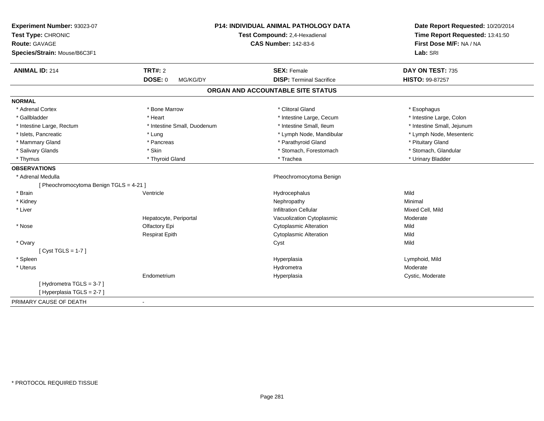| Experiment Number: 93023-07<br>Test Type: CHRONIC<br>Route: GAVAGE<br>Species/Strain: Mouse/B6C3F1 |                             | <b>P14: INDIVIDUAL ANIMAL PATHOLOGY DATA</b><br>Test Compound: 2,4-Hexadienal<br><b>CAS Number: 142-83-6</b> | Date Report Requested: 10/20/2014<br>Time Report Requested: 13:41:50<br>First Dose M/F: NA / NA<br>Lab: SRI |
|----------------------------------------------------------------------------------------------------|-----------------------------|--------------------------------------------------------------------------------------------------------------|-------------------------------------------------------------------------------------------------------------|
| <b>ANIMAL ID: 214</b>                                                                              | <b>TRT#: 2</b>              | <b>SEX: Female</b>                                                                                           | DAY ON TEST: 735                                                                                            |
|                                                                                                    | <b>DOSE: 0</b><br>MG/KG/DY  | <b>DISP: Terminal Sacrifice</b>                                                                              | HISTO: 99-87257                                                                                             |
|                                                                                                    |                             | ORGAN AND ACCOUNTABLE SITE STATUS                                                                            |                                                                                                             |
| <b>NORMAL</b>                                                                                      |                             |                                                                                                              |                                                                                                             |
| * Adrenal Cortex                                                                                   | * Bone Marrow               | * Clitoral Gland                                                                                             | * Esophagus                                                                                                 |
| * Gallbladder                                                                                      | * Heart                     | * Intestine Large, Cecum                                                                                     | * Intestine Large, Colon                                                                                    |
| * Intestine Large, Rectum                                                                          | * Intestine Small, Duodenum | * Intestine Small, Ileum                                                                                     | * Intestine Small, Jejunum                                                                                  |
| * Islets, Pancreatic                                                                               | * Lung                      | * Lymph Node, Mandibular                                                                                     | * Lymph Node, Mesenteric                                                                                    |
| * Mammary Gland                                                                                    | * Pancreas                  | * Parathyroid Gland                                                                                          | * Pituitary Gland                                                                                           |
| * Salivary Glands                                                                                  | * Skin                      | * Stomach, Forestomach                                                                                       | * Stomach, Glandular                                                                                        |
| * Thymus                                                                                           | * Thyroid Gland             | * Trachea                                                                                                    | * Urinary Bladder                                                                                           |
| <b>OBSERVATIONS</b>                                                                                |                             |                                                                                                              |                                                                                                             |
| * Adrenal Medulla                                                                                  |                             | Pheochromocytoma Benign                                                                                      |                                                                                                             |
| [ Pheochromocytoma Benign TGLS = 4-21 ]                                                            |                             |                                                                                                              |                                                                                                             |
| * Brain                                                                                            | Ventricle                   | Hydrocephalus                                                                                                | Mild                                                                                                        |
| * Kidney                                                                                           |                             | Nephropathy                                                                                                  | Minimal                                                                                                     |
| * Liver                                                                                            |                             | <b>Infiltration Cellular</b>                                                                                 | Mixed Cell, Mild                                                                                            |
|                                                                                                    | Hepatocyte, Periportal      | Vacuolization Cytoplasmic                                                                                    | Moderate                                                                                                    |
| * Nose                                                                                             | Olfactory Epi               | <b>Cytoplasmic Alteration</b>                                                                                | Mild                                                                                                        |
|                                                                                                    | <b>Respirat Epith</b>       | <b>Cytoplasmic Alteration</b>                                                                                | Mild                                                                                                        |
| * Ovary                                                                                            |                             | Cyst                                                                                                         | Mild                                                                                                        |
| [Cyst TGLS = $1-7$ ]                                                                               |                             |                                                                                                              |                                                                                                             |
| * Spleen                                                                                           |                             | Hyperplasia                                                                                                  | Lymphoid, Mild                                                                                              |
| * Uterus                                                                                           |                             | Hydrometra                                                                                                   | Moderate                                                                                                    |
|                                                                                                    | Endometrium                 | Hyperplasia                                                                                                  | Cystic, Moderate                                                                                            |
| [Hydrometra TGLS = 3-7]<br>[Hyperplasia TGLS = 2-7]                                                |                             |                                                                                                              |                                                                                                             |
| PRIMARY CAUSE OF DEATH                                                                             | $\blacksquare$              |                                                                                                              |                                                                                                             |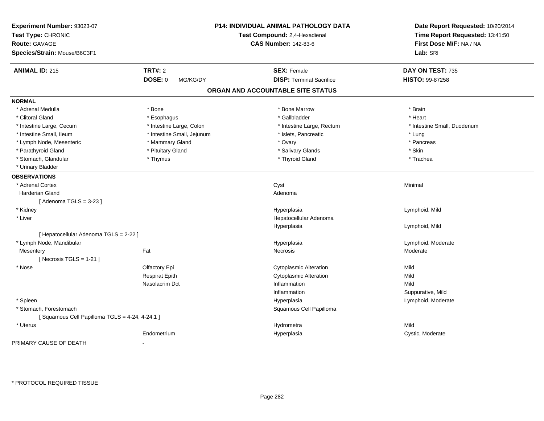| Experiment Number: 93023-07<br>Test Type: CHRONIC |                            | <b>P14: INDIVIDUAL ANIMAL PATHOLOGY DATA</b><br>Test Compound: 2,4-Hexadienal | Date Report Requested: 10/20/2014<br>Time Report Requested: 13:41:50 |
|---------------------------------------------------|----------------------------|-------------------------------------------------------------------------------|----------------------------------------------------------------------|
| <b>Route: GAVAGE</b>                              |                            | <b>CAS Number: 142-83-6</b>                                                   | First Dose M/F: NA / NA                                              |
| Species/Strain: Mouse/B6C3F1                      |                            |                                                                               | Lab: SRI                                                             |
| <b>ANIMAL ID: 215</b>                             | <b>TRT#: 2</b>             | <b>SEX: Female</b>                                                            | DAY ON TEST: 735                                                     |
|                                                   | <b>DOSE: 0</b><br>MG/KG/DY | <b>DISP: Terminal Sacrifice</b>                                               | <b>HISTO: 99-87258</b>                                               |
|                                                   |                            | ORGAN AND ACCOUNTABLE SITE STATUS                                             |                                                                      |
| <b>NORMAL</b>                                     |                            |                                                                               |                                                                      |
| * Adrenal Medulla                                 | * Bone                     | * Bone Marrow                                                                 | * Brain                                                              |
| * Clitoral Gland                                  | * Esophagus                | * Gallbladder                                                                 | * Heart                                                              |
| * Intestine Large, Cecum                          | * Intestine Large, Colon   | * Intestine Large, Rectum                                                     | * Intestine Small, Duodenum                                          |
| * Intestine Small, Ileum                          | * Intestine Small, Jejunum | * Islets, Pancreatic                                                          | * Lung                                                               |
| * Lymph Node, Mesenteric                          | * Mammary Gland            | * Ovary                                                                       | * Pancreas                                                           |
| * Parathyroid Gland                               | * Pituitary Gland          | * Salivary Glands                                                             | * Skin                                                               |
| * Stomach, Glandular                              | * Thymus                   | * Thyroid Gland                                                               | * Trachea                                                            |
| * Urinary Bladder                                 |                            |                                                                               |                                                                      |
| <b>OBSERVATIONS</b>                               |                            |                                                                               |                                                                      |
| * Adrenal Cortex                                  |                            | Cyst                                                                          | Minimal                                                              |
| Harderian Gland                                   |                            | Adenoma                                                                       |                                                                      |
| [Adenoma TGLS = $3-23$ ]                          |                            |                                                                               |                                                                      |
| * Kidney                                          |                            | Hyperplasia                                                                   | Lymphoid, Mild                                                       |
| * Liver                                           |                            | Hepatocellular Adenoma                                                        |                                                                      |
|                                                   |                            | Hyperplasia                                                                   | Lymphoid, Mild                                                       |
| [ Hepatocellular Adenoma TGLS = 2-22 ]            |                            |                                                                               |                                                                      |
| * Lymph Node, Mandibular                          |                            | Hyperplasia                                                                   | Lymphoid, Moderate                                                   |
| Mesentery                                         | Fat                        | Necrosis                                                                      | Moderate                                                             |
| [Necrosis $TGLS = 1-21$ ]                         |                            |                                                                               |                                                                      |
| * Nose                                            | Olfactory Epi              | <b>Cytoplasmic Alteration</b>                                                 | Mild                                                                 |
|                                                   | <b>Respirat Epith</b>      | <b>Cytoplasmic Alteration</b>                                                 | Mild                                                                 |
|                                                   | Nasolacrim Dct             | Inflammation                                                                  | Mild                                                                 |
|                                                   |                            | Inflammation                                                                  | Suppurative, Mild                                                    |
| * Spleen                                          |                            | Hyperplasia                                                                   | Lymphoid, Moderate                                                   |
| * Stomach, Forestomach                            |                            | Squamous Cell Papilloma                                                       |                                                                      |
| [Squamous Cell Papilloma TGLS = 4-24, 4-24.1]     |                            |                                                                               |                                                                      |
| * Uterus                                          |                            | Hydrometra                                                                    | Mild                                                                 |
|                                                   | Endometrium                | Hyperplasia                                                                   | Cystic, Moderate                                                     |
| PRIMARY CAUSE OF DEATH                            |                            |                                                                               |                                                                      |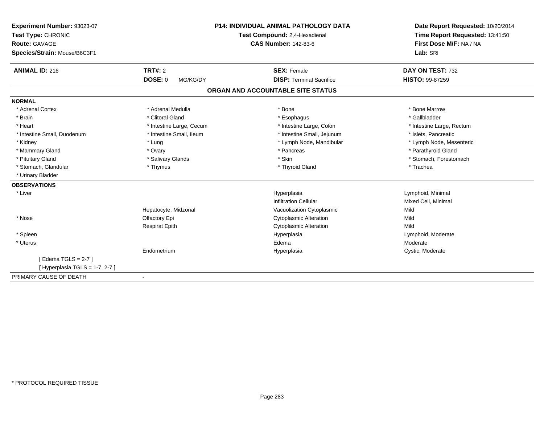| Experiment Number: 93023-07   |                            | <b>P14: INDIVIDUAL ANIMAL PATHOLOGY DATA</b> | Date Report Requested: 10/20/2014 |
|-------------------------------|----------------------------|----------------------------------------------|-----------------------------------|
| Test Type: CHRONIC            |                            | Test Compound: 2,4-Hexadienal                | Time Report Requested: 13:41:50   |
| <b>Route: GAVAGE</b>          |                            | <b>CAS Number: 142-83-6</b>                  | First Dose M/F: NA / NA           |
| Species/Strain: Mouse/B6C3F1  |                            |                                              | Lab: SRI                          |
| <b>ANIMAL ID: 216</b>         | <b>TRT#: 2</b>             | <b>SEX: Female</b>                           | DAY ON TEST: 732                  |
|                               | <b>DOSE: 0</b><br>MG/KG/DY | <b>DISP: Terminal Sacrifice</b>              | HISTO: 99-87259                   |
|                               |                            | ORGAN AND ACCOUNTABLE SITE STATUS            |                                   |
| <b>NORMAL</b>                 |                            |                                              |                                   |
| * Adrenal Cortex              | * Adrenal Medulla          | * Bone                                       | * Bone Marrow                     |
| * Brain                       | * Clitoral Gland           | * Esophagus                                  | * Gallbladder                     |
| * Heart                       | * Intestine Large, Cecum   | * Intestine Large, Colon                     | * Intestine Large, Rectum         |
| * Intestine Small, Duodenum   | * Intestine Small, Ileum   | * Intestine Small, Jejunum                   | * Islets, Pancreatic              |
| * Kidney                      | * Lung                     | * Lymph Node, Mandibular                     | * Lymph Node, Mesenteric          |
| * Mammary Gland               | * Ovary                    | * Pancreas                                   | * Parathyroid Gland               |
| * Pituitary Gland             | * Salivary Glands          | * Skin                                       | * Stomach, Forestomach            |
| * Stomach, Glandular          | * Thymus                   | * Thyroid Gland                              | * Trachea                         |
| * Urinary Bladder             |                            |                                              |                                   |
| <b>OBSERVATIONS</b>           |                            |                                              |                                   |
| * Liver                       |                            | Hyperplasia                                  | Lymphoid, Minimal                 |
|                               |                            | <b>Infiltration Cellular</b>                 | Mixed Cell, Minimal               |
|                               | Hepatocyte, Midzonal       | Vacuolization Cytoplasmic                    | Mild                              |
| * Nose                        | Olfactory Epi              | <b>Cytoplasmic Alteration</b>                | Mild                              |
|                               | <b>Respirat Epith</b>      | <b>Cytoplasmic Alteration</b>                | Mild                              |
| * Spleen                      |                            | Hyperplasia                                  | Lymphoid, Moderate                |
| * Uterus                      |                            | Edema                                        | Moderate                          |
|                               | Endometrium                | Hyperplasia                                  | Cystic, Moderate                  |
| [Edema TGLS = $2-7$ ]         |                            |                                              |                                   |
| [Hyperplasia TGLS = 1-7, 2-7] |                            |                                              |                                   |
| PRIMARY CAUSE OF DEATH        | $\blacksquare$             |                                              |                                   |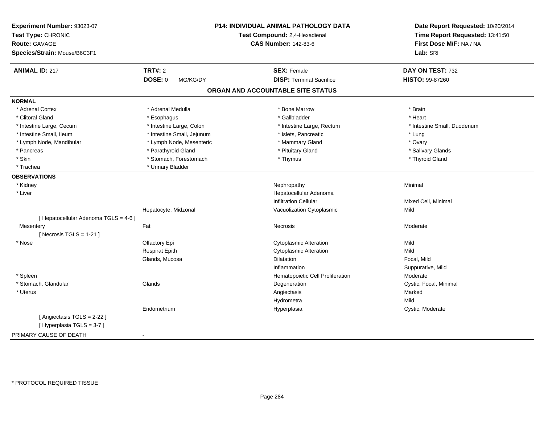| Experiment Number: 93023-07<br>Test Type: CHRONIC<br><b>Route: GAVAGE</b><br>Species/Strain: Mouse/B6C3F1 |                            | P14: INDIVIDUAL ANIMAL PATHOLOGY DATA<br>Test Compound: 2,4-Hexadienal<br><b>CAS Number: 142-83-6</b> | Date Report Requested: 10/20/2014<br>Time Report Requested: 13:41:50<br>First Dose M/F: NA / NA<br>Lab: SRI |
|-----------------------------------------------------------------------------------------------------------|----------------------------|-------------------------------------------------------------------------------------------------------|-------------------------------------------------------------------------------------------------------------|
| <b>ANIMAL ID: 217</b>                                                                                     | <b>TRT#: 2</b>             | <b>SEX: Female</b>                                                                                    | DAY ON TEST: 732                                                                                            |
|                                                                                                           | DOSE: 0<br>MG/KG/DY        | <b>DISP: Terminal Sacrifice</b>                                                                       | HISTO: 99-87260                                                                                             |
|                                                                                                           |                            | ORGAN AND ACCOUNTABLE SITE STATUS                                                                     |                                                                                                             |
| <b>NORMAL</b>                                                                                             |                            |                                                                                                       |                                                                                                             |
| * Adrenal Cortex                                                                                          | * Adrenal Medulla          | * Bone Marrow                                                                                         | * Brain                                                                                                     |
| * Clitoral Gland                                                                                          | * Esophagus                | * Gallbladder                                                                                         | * Heart                                                                                                     |
| * Intestine Large, Cecum                                                                                  | * Intestine Large, Colon   | * Intestine Large, Rectum                                                                             | * Intestine Small, Duodenum                                                                                 |
| * Intestine Small, Ileum                                                                                  | * Intestine Small, Jejunum | * Islets, Pancreatic                                                                                  | * Lung                                                                                                      |
| * Lymph Node, Mandibular                                                                                  | * Lymph Node, Mesenteric   | * Mammary Gland                                                                                       | * Ovary                                                                                                     |
| * Pancreas                                                                                                | * Parathyroid Gland        | * Pituitary Gland                                                                                     | * Salivary Glands                                                                                           |
| * Skin                                                                                                    | * Stomach, Forestomach     | * Thymus                                                                                              | * Thyroid Gland                                                                                             |
| * Trachea                                                                                                 | * Urinary Bladder          |                                                                                                       |                                                                                                             |
| <b>OBSERVATIONS</b>                                                                                       |                            |                                                                                                       |                                                                                                             |
| * Kidney                                                                                                  |                            | Nephropathy                                                                                           | Minimal                                                                                                     |
| * Liver                                                                                                   |                            | Hepatocellular Adenoma                                                                                |                                                                                                             |
|                                                                                                           |                            | <b>Infiltration Cellular</b>                                                                          | Mixed Cell, Minimal                                                                                         |
|                                                                                                           | Hepatocyte, Midzonal       | Vacuolization Cytoplasmic                                                                             | Mild                                                                                                        |
| [ Hepatocellular Adenoma TGLS = 4-6 ]                                                                     |                            |                                                                                                       |                                                                                                             |
| Mesentery                                                                                                 | Fat                        | Necrosis                                                                                              | Moderate                                                                                                    |
| [Necrosis TGLS = $1-21$ ]                                                                                 |                            |                                                                                                       |                                                                                                             |
| * Nose                                                                                                    | Olfactory Epi              | <b>Cytoplasmic Alteration</b>                                                                         | Mild                                                                                                        |
|                                                                                                           | <b>Respirat Epith</b>      | <b>Cytoplasmic Alteration</b>                                                                         | Mild                                                                                                        |
|                                                                                                           | Glands, Mucosa             | Dilatation                                                                                            | Focal, Mild                                                                                                 |
|                                                                                                           |                            | Inflammation                                                                                          | Suppurative, Mild                                                                                           |
| * Spleen                                                                                                  |                            | Hematopoietic Cell Proliferation                                                                      | Moderate                                                                                                    |
| * Stomach, Glandular                                                                                      | Glands                     | Degeneration                                                                                          | Cystic, Focal, Minimal                                                                                      |
| * Uterus                                                                                                  |                            | Angiectasis                                                                                           | Marked                                                                                                      |
|                                                                                                           |                            | Hydrometra                                                                                            | Mild                                                                                                        |
|                                                                                                           | Endometrium                | Hyperplasia                                                                                           | Cystic, Moderate                                                                                            |
| [ Angiectasis TGLS = 2-22 ]                                                                               |                            |                                                                                                       |                                                                                                             |
| [Hyperplasia TGLS = 3-7]                                                                                  |                            |                                                                                                       |                                                                                                             |
| PRIMARY CAUSE OF DEATH                                                                                    | $\overline{a}$             |                                                                                                       |                                                                                                             |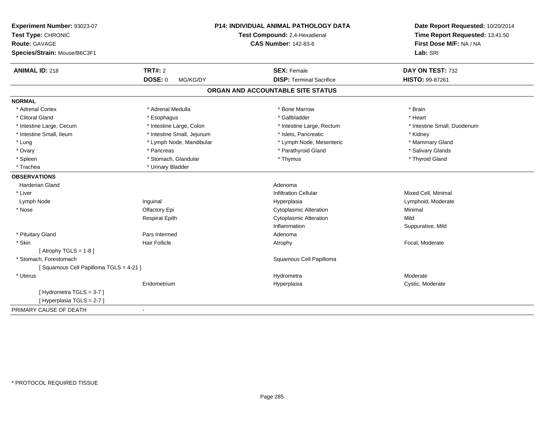| Experiment Number: 93023-07<br>Test Type: CHRONIC<br>Route: GAVAGE<br>Species/Strain: Mouse/B6C3F1 |                            | <b>P14: INDIVIDUAL ANIMAL PATHOLOGY DATA</b><br>Test Compound: 2,4-Hexadienal<br><b>CAS Number: 142-83-6</b> | Date Report Requested: 10/20/2014<br>Time Report Requested: 13:41:50<br>First Dose M/F: NA / NA<br>Lab: SRI |
|----------------------------------------------------------------------------------------------------|----------------------------|--------------------------------------------------------------------------------------------------------------|-------------------------------------------------------------------------------------------------------------|
| <b>ANIMAL ID: 218</b>                                                                              | <b>TRT#: 2</b>             | <b>SEX: Female</b>                                                                                           | DAY ON TEST: 732                                                                                            |
|                                                                                                    | <b>DOSE: 0</b><br>MG/KG/DY | <b>DISP: Terminal Sacrifice</b>                                                                              | HISTO: 99-87261                                                                                             |
|                                                                                                    |                            | ORGAN AND ACCOUNTABLE SITE STATUS                                                                            |                                                                                                             |
| <b>NORMAL</b>                                                                                      |                            |                                                                                                              |                                                                                                             |
| * Adrenal Cortex                                                                                   | * Adrenal Medulla          | * Bone Marrow                                                                                                | * Brain                                                                                                     |
| * Clitoral Gland                                                                                   | * Esophagus                | * Gallbladder                                                                                                | * Heart                                                                                                     |
| * Intestine Large, Cecum                                                                           | * Intestine Large, Colon   | * Intestine Large, Rectum                                                                                    | * Intestine Small, Duodenum                                                                                 |
| * Intestine Small, Ileum                                                                           | * Intestine Small, Jejunum | * Islets, Pancreatic                                                                                         | * Kidney                                                                                                    |
| * Lung                                                                                             | * Lymph Node, Mandibular   | * Lymph Node, Mesenteric                                                                                     | * Mammary Gland                                                                                             |
| * Ovary                                                                                            | * Pancreas                 | * Parathyroid Gland                                                                                          | * Salivary Glands                                                                                           |
| * Spleen                                                                                           | * Stomach, Glandular       | * Thymus                                                                                                     | * Thyroid Gland                                                                                             |
| * Trachea                                                                                          | * Urinary Bladder          |                                                                                                              |                                                                                                             |
| <b>OBSERVATIONS</b>                                                                                |                            |                                                                                                              |                                                                                                             |
| <b>Harderian Gland</b>                                                                             |                            | Adenoma                                                                                                      |                                                                                                             |
| * Liver                                                                                            |                            | <b>Infiltration Cellular</b>                                                                                 | Mixed Cell, Minimal                                                                                         |
| Lymph Node                                                                                         | Inguinal                   | Hyperplasia                                                                                                  | Lymphoid, Moderate                                                                                          |
| * Nose                                                                                             | Olfactory Epi              | <b>Cytoplasmic Alteration</b>                                                                                | Minimal                                                                                                     |
|                                                                                                    | <b>Respirat Epith</b>      | <b>Cytoplasmic Alteration</b>                                                                                | Mild                                                                                                        |
|                                                                                                    |                            | Inflammation                                                                                                 | Suppurative, Mild                                                                                           |
| * Pituitary Gland                                                                                  | Pars Intermed              | Adenoma                                                                                                      |                                                                                                             |
| * Skin                                                                                             | <b>Hair Follicle</b>       | Atrophy                                                                                                      | Focal, Moderate                                                                                             |
| [Atrophy TGLS = $1-8$ ]                                                                            |                            |                                                                                                              |                                                                                                             |
| * Stomach, Forestomach                                                                             |                            | Squamous Cell Papilloma                                                                                      |                                                                                                             |
| [Squamous Cell Papilloma TGLS = 4-21]                                                              |                            |                                                                                                              |                                                                                                             |
| * Uterus                                                                                           |                            | Hydrometra                                                                                                   | Moderate                                                                                                    |
|                                                                                                    | Endometrium                | Hyperplasia                                                                                                  | Cystic, Moderate                                                                                            |
| [Hydrometra TGLS = 3-7]<br>[ Hyperplasia TGLS = 2-7 ]                                              |                            |                                                                                                              |                                                                                                             |
| PRIMARY CAUSE OF DEATH                                                                             | $\overline{\phantom{a}}$   |                                                                                                              |                                                                                                             |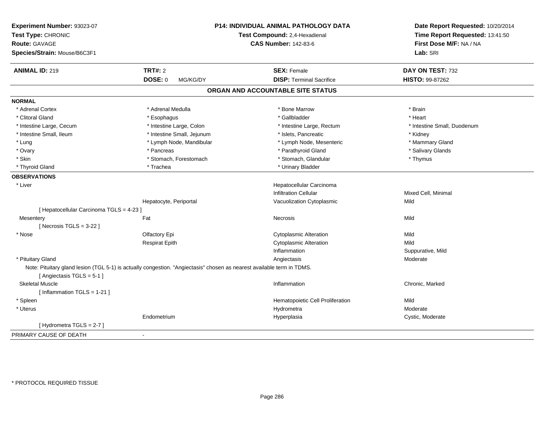| Experiment Number: 93023-07<br>Test Type: CHRONIC<br><b>Route: GAVAGE</b><br>Species/Strain: Mouse/B6C3F1 |                                                                                                                        | P14: INDIVIDUAL ANIMAL PATHOLOGY DATA<br>Test Compound: 2,4-Hexadienal<br><b>CAS Number: 142-83-6</b> | Date Report Requested: 10/20/2014<br>Time Report Requested: 13:41:50<br>First Dose M/F: NA / NA<br>Lab: SRI |
|-----------------------------------------------------------------------------------------------------------|------------------------------------------------------------------------------------------------------------------------|-------------------------------------------------------------------------------------------------------|-------------------------------------------------------------------------------------------------------------|
| <b>ANIMAL ID: 219</b>                                                                                     | <b>TRT#: 2</b>                                                                                                         | <b>SEX: Female</b>                                                                                    | DAY ON TEST: 732                                                                                            |
|                                                                                                           | <b>DOSE: 0</b><br>MG/KG/DY                                                                                             | <b>DISP: Terminal Sacrifice</b>                                                                       | HISTO: 99-87262                                                                                             |
|                                                                                                           |                                                                                                                        | ORGAN AND ACCOUNTABLE SITE STATUS                                                                     |                                                                                                             |
| <b>NORMAL</b>                                                                                             |                                                                                                                        |                                                                                                       |                                                                                                             |
| * Adrenal Cortex                                                                                          | * Adrenal Medulla                                                                                                      | * Bone Marrow                                                                                         | * Brain                                                                                                     |
| * Clitoral Gland                                                                                          | * Esophagus                                                                                                            | * Gallbladder                                                                                         | * Heart                                                                                                     |
| * Intestine Large, Cecum                                                                                  | * Intestine Large, Colon                                                                                               | * Intestine Large, Rectum                                                                             | * Intestine Small, Duodenum                                                                                 |
| * Intestine Small, Ileum                                                                                  | * Intestine Small, Jejunum                                                                                             | * Islets, Pancreatic                                                                                  | * Kidney                                                                                                    |
| * Lung                                                                                                    | * Lymph Node, Mandibular                                                                                               | * Lymph Node, Mesenteric                                                                              | * Mammary Gland                                                                                             |
| * Ovary                                                                                                   | * Pancreas                                                                                                             | * Parathyroid Gland                                                                                   | * Salivary Glands                                                                                           |
| * Skin                                                                                                    | * Stomach, Forestomach                                                                                                 | * Stomach, Glandular                                                                                  | * Thymus                                                                                                    |
| * Thyroid Gland                                                                                           | * Trachea                                                                                                              | * Urinary Bladder                                                                                     |                                                                                                             |
| <b>OBSERVATIONS</b>                                                                                       |                                                                                                                        |                                                                                                       |                                                                                                             |
| * Liver                                                                                                   |                                                                                                                        | Hepatocellular Carcinoma                                                                              |                                                                                                             |
|                                                                                                           |                                                                                                                        | <b>Infiltration Cellular</b>                                                                          | Mixed Cell, Minimal                                                                                         |
|                                                                                                           | Hepatocyte, Periportal                                                                                                 | Vacuolization Cytoplasmic                                                                             | Mild                                                                                                        |
| [ Hepatocellular Carcinoma TGLS = 4-23 ]                                                                  |                                                                                                                        |                                                                                                       |                                                                                                             |
| Mesentery                                                                                                 | Fat                                                                                                                    | Necrosis                                                                                              | Mild                                                                                                        |
| [Necrosis TGLS = $3-22$ ]                                                                                 |                                                                                                                        |                                                                                                       |                                                                                                             |
| * Nose                                                                                                    | Olfactory Epi                                                                                                          | <b>Cytoplasmic Alteration</b>                                                                         | Mild                                                                                                        |
|                                                                                                           | <b>Respirat Epith</b>                                                                                                  | <b>Cytoplasmic Alteration</b>                                                                         | Mild                                                                                                        |
|                                                                                                           |                                                                                                                        | Inflammation                                                                                          | Suppurative, Mild                                                                                           |
| * Pituitary Gland                                                                                         |                                                                                                                        | Angiectasis                                                                                           | Moderate                                                                                                    |
| [Angiectasis TGLS = 5-1]                                                                                  | Note: Pituitary gland lesion (TGL 5-1) is actually congestion. "Angiectasis" chosen as nearest available term in TDMS. |                                                                                                       |                                                                                                             |
| <b>Skeletal Muscle</b>                                                                                    |                                                                                                                        | Inflammation                                                                                          | Chronic, Marked                                                                                             |
| [Inflammation $TGLS = 1-21$ ]                                                                             |                                                                                                                        |                                                                                                       |                                                                                                             |
| * Spleen                                                                                                  |                                                                                                                        | Hematopoietic Cell Proliferation                                                                      | Mild                                                                                                        |
| * Uterus                                                                                                  |                                                                                                                        | Hydrometra                                                                                            | Moderate                                                                                                    |
|                                                                                                           | Endometrium                                                                                                            | Hyperplasia                                                                                           | Cystic, Moderate                                                                                            |
| [Hydrometra TGLS = 2-7]                                                                                   |                                                                                                                        |                                                                                                       |                                                                                                             |
| PRIMARY CAUSE OF DEATH                                                                                    | ÷,                                                                                                                     |                                                                                                       |                                                                                                             |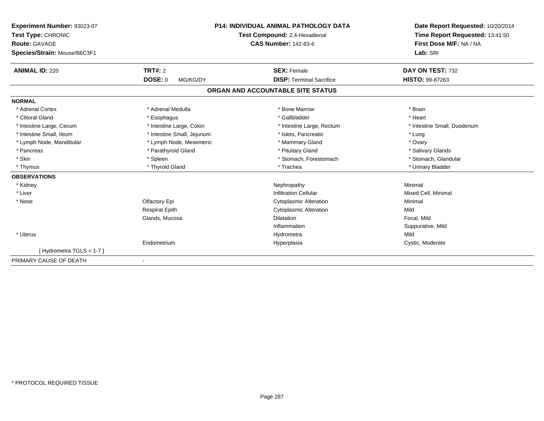| Experiment Number: 93023-07<br>Test Type: CHRONIC<br><b>Route: GAVAGE</b><br>Species/Strain: Mouse/B6C3F1 |                            | <b>P14: INDIVIDUAL ANIMAL PATHOLOGY DATA</b><br>Test Compound: 2,4-Hexadienal<br><b>CAS Number: 142-83-6</b> | Date Report Requested: 10/20/2014<br>Time Report Requested: 13:41:50<br>First Dose M/F: NA / NA<br>Lab: SRI |
|-----------------------------------------------------------------------------------------------------------|----------------------------|--------------------------------------------------------------------------------------------------------------|-------------------------------------------------------------------------------------------------------------|
| <b>ANIMAL ID: 220</b>                                                                                     | TRT#: 2                    | <b>SEX: Female</b>                                                                                           | DAY ON TEST: 732                                                                                            |
|                                                                                                           | <b>DOSE: 0</b><br>MG/KG/DY | <b>DISP: Terminal Sacrifice</b>                                                                              | HISTO: 99-87263                                                                                             |
|                                                                                                           |                            | ORGAN AND ACCOUNTABLE SITE STATUS                                                                            |                                                                                                             |
| <b>NORMAL</b>                                                                                             |                            |                                                                                                              |                                                                                                             |
| * Adrenal Cortex                                                                                          | * Adrenal Medulla          | * Bone Marrow                                                                                                | * Brain                                                                                                     |
| * Clitoral Gland                                                                                          | * Esophagus                | * Gallbladder                                                                                                | * Heart                                                                                                     |
| * Intestine Large, Cecum                                                                                  | * Intestine Large, Colon   | * Intestine Large, Rectum                                                                                    | * Intestine Small, Duodenum                                                                                 |
| * Intestine Small, Ileum                                                                                  | * Intestine Small, Jejunum | * Islets, Pancreatic                                                                                         | * Lung                                                                                                      |
| * Lymph Node, Mandibular                                                                                  | * Lymph Node, Mesenteric   | * Mammary Gland                                                                                              | * Ovary                                                                                                     |
| * Pancreas                                                                                                | * Parathyroid Gland        | * Pituitary Gland                                                                                            | * Salivary Glands                                                                                           |
| * Skin                                                                                                    | * Spleen                   | * Stomach, Forestomach                                                                                       | * Stomach, Glandular                                                                                        |
| * Thymus                                                                                                  | * Thyroid Gland            | * Trachea                                                                                                    | * Urinary Bladder                                                                                           |
| <b>OBSERVATIONS</b>                                                                                       |                            |                                                                                                              |                                                                                                             |
| * Kidney                                                                                                  |                            | Nephropathy                                                                                                  | Minimal                                                                                                     |
| * Liver                                                                                                   |                            | Infiltration Cellular                                                                                        | Mixed Cell, Minimal                                                                                         |
| * Nose                                                                                                    | Olfactory Epi              | <b>Cytoplasmic Alteration</b>                                                                                | Minimal                                                                                                     |
|                                                                                                           | <b>Respirat Epith</b>      | <b>Cytoplasmic Alteration</b>                                                                                | Mild                                                                                                        |
|                                                                                                           | Glands, Mucosa             | <b>Dilatation</b>                                                                                            | Focal, Mild                                                                                                 |
|                                                                                                           |                            | Inflammation                                                                                                 | Suppurative, Mild                                                                                           |
| * Uterus                                                                                                  |                            | Hydrometra                                                                                                   | Mild                                                                                                        |
|                                                                                                           | Endometrium                | Hyperplasia                                                                                                  | Cystic, Moderate                                                                                            |
| [Hydrometra TGLS = $1-7$ ]                                                                                |                            |                                                                                                              |                                                                                                             |
| PRIMARY CAUSE OF DEATH                                                                                    | $\blacksquare$             |                                                                                                              |                                                                                                             |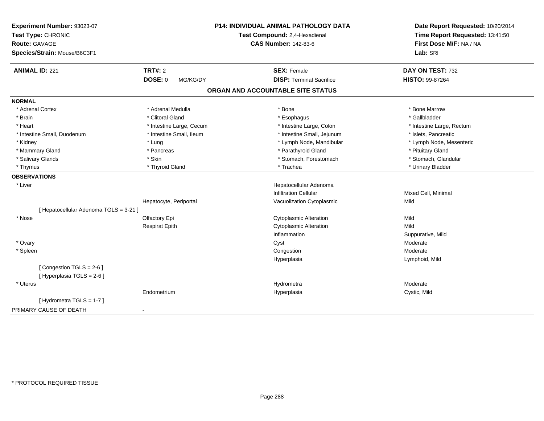| Lab: SRI<br>Species/Strain: Mouse/B6C3F1<br><b>ANIMAL ID: 221</b><br><b>TRT#: 2</b><br><b>SEX: Female</b><br>DAY ON TEST: 732<br><b>DOSE: 0</b><br><b>DISP: Terminal Sacrifice</b><br>HISTO: 99-87264<br>MG/KG/DY<br>ORGAN AND ACCOUNTABLE SITE STATUS<br><b>NORMAL</b><br>* Adrenal Cortex<br>* Adrenal Medulla<br>* Bone<br>* Bone Marrow<br>* Brain<br>* Clitoral Gland<br>* Gallbladder<br>* Esophagus<br>* Heart<br>* Intestine Large, Colon<br>* Intestine Large, Cecum<br>* Intestine Large, Rectum<br>* Intestine Small, Ileum<br>* Intestine Small, Jejunum<br>* Islets, Pancreatic<br>* Intestine Small, Duodenum<br>* Lymph Node, Mandibular<br>* Kidney<br>* Lymph Node, Mesenteric<br>* Lung<br>* Parathyroid Gland<br>* Mammary Gland<br>* Pituitary Gland<br>* Pancreas<br>* Salivary Glands<br>* Skin<br>* Stomach, Forestomach<br>* Stomach, Glandular<br>* Thyroid Gland<br>* Trachea<br>* Urinary Bladder<br>* Thymus<br><b>OBSERVATIONS</b> | Experiment Number: 93023-07<br>Test Type: CHRONIC<br>Route: GAVAGE | <b>P14: INDIVIDUAL ANIMAL PATHOLOGY DATA</b><br>Test Compound: 2,4-Hexadienal<br><b>CAS Number: 142-83-6</b> | Date Report Requested: 10/20/2014<br>Time Report Requested: 13:41:50<br>First Dose M/F: NA / NA |
|-----------------------------------------------------------------------------------------------------------------------------------------------------------------------------------------------------------------------------------------------------------------------------------------------------------------------------------------------------------------------------------------------------------------------------------------------------------------------------------------------------------------------------------------------------------------------------------------------------------------------------------------------------------------------------------------------------------------------------------------------------------------------------------------------------------------------------------------------------------------------------------------------------------------------------------------------------------------|--------------------------------------------------------------------|--------------------------------------------------------------------------------------------------------------|-------------------------------------------------------------------------------------------------|
|                                                                                                                                                                                                                                                                                                                                                                                                                                                                                                                                                                                                                                                                                                                                                                                                                                                                                                                                                                 |                                                                    |                                                                                                              |                                                                                                 |
|                                                                                                                                                                                                                                                                                                                                                                                                                                                                                                                                                                                                                                                                                                                                                                                                                                                                                                                                                                 |                                                                    |                                                                                                              |                                                                                                 |
|                                                                                                                                                                                                                                                                                                                                                                                                                                                                                                                                                                                                                                                                                                                                                                                                                                                                                                                                                                 |                                                                    |                                                                                                              |                                                                                                 |
|                                                                                                                                                                                                                                                                                                                                                                                                                                                                                                                                                                                                                                                                                                                                                                                                                                                                                                                                                                 |                                                                    |                                                                                                              |                                                                                                 |
|                                                                                                                                                                                                                                                                                                                                                                                                                                                                                                                                                                                                                                                                                                                                                                                                                                                                                                                                                                 |                                                                    |                                                                                                              |                                                                                                 |
|                                                                                                                                                                                                                                                                                                                                                                                                                                                                                                                                                                                                                                                                                                                                                                                                                                                                                                                                                                 |                                                                    |                                                                                                              |                                                                                                 |
|                                                                                                                                                                                                                                                                                                                                                                                                                                                                                                                                                                                                                                                                                                                                                                                                                                                                                                                                                                 |                                                                    |                                                                                                              |                                                                                                 |
|                                                                                                                                                                                                                                                                                                                                                                                                                                                                                                                                                                                                                                                                                                                                                                                                                                                                                                                                                                 |                                                                    |                                                                                                              |                                                                                                 |
|                                                                                                                                                                                                                                                                                                                                                                                                                                                                                                                                                                                                                                                                                                                                                                                                                                                                                                                                                                 |                                                                    |                                                                                                              |                                                                                                 |
|                                                                                                                                                                                                                                                                                                                                                                                                                                                                                                                                                                                                                                                                                                                                                                                                                                                                                                                                                                 |                                                                    |                                                                                                              |                                                                                                 |
|                                                                                                                                                                                                                                                                                                                                                                                                                                                                                                                                                                                                                                                                                                                                                                                                                                                                                                                                                                 |                                                                    |                                                                                                              |                                                                                                 |
|                                                                                                                                                                                                                                                                                                                                                                                                                                                                                                                                                                                                                                                                                                                                                                                                                                                                                                                                                                 |                                                                    |                                                                                                              |                                                                                                 |
|                                                                                                                                                                                                                                                                                                                                                                                                                                                                                                                                                                                                                                                                                                                                                                                                                                                                                                                                                                 |                                                                    |                                                                                                              |                                                                                                 |
|                                                                                                                                                                                                                                                                                                                                                                                                                                                                                                                                                                                                                                                                                                                                                                                                                                                                                                                                                                 |                                                                    |                                                                                                              |                                                                                                 |
| * Liver<br>Hepatocellular Adenoma                                                                                                                                                                                                                                                                                                                                                                                                                                                                                                                                                                                                                                                                                                                                                                                                                                                                                                                               |                                                                    |                                                                                                              |                                                                                                 |
| <b>Infiltration Cellular</b><br>Mixed Cell, Minimal                                                                                                                                                                                                                                                                                                                                                                                                                                                                                                                                                                                                                                                                                                                                                                                                                                                                                                             |                                                                    |                                                                                                              |                                                                                                 |
| Vacuolization Cytoplasmic<br>Mild<br>Hepatocyte, Periportal                                                                                                                                                                                                                                                                                                                                                                                                                                                                                                                                                                                                                                                                                                                                                                                                                                                                                                     |                                                                    |                                                                                                              |                                                                                                 |
| [ Hepatocellular Adenoma TGLS = 3-21 ]                                                                                                                                                                                                                                                                                                                                                                                                                                                                                                                                                                                                                                                                                                                                                                                                                                                                                                                          |                                                                    |                                                                                                              |                                                                                                 |
| Olfactory Epi<br><b>Cytoplasmic Alteration</b><br>Mild<br>* Nose                                                                                                                                                                                                                                                                                                                                                                                                                                                                                                                                                                                                                                                                                                                                                                                                                                                                                                |                                                                    |                                                                                                              |                                                                                                 |
| <b>Cytoplasmic Alteration</b><br>Mild<br><b>Respirat Epith</b>                                                                                                                                                                                                                                                                                                                                                                                                                                                                                                                                                                                                                                                                                                                                                                                                                                                                                                  |                                                                    |                                                                                                              |                                                                                                 |
| Inflammation<br>Suppurative, Mild                                                                                                                                                                                                                                                                                                                                                                                                                                                                                                                                                                                                                                                                                                                                                                                                                                                                                                                               |                                                                    |                                                                                                              |                                                                                                 |
| * Ovary<br>Moderate<br>Cyst                                                                                                                                                                                                                                                                                                                                                                                                                                                                                                                                                                                                                                                                                                                                                                                                                                                                                                                                     |                                                                    |                                                                                                              |                                                                                                 |
| Moderate<br>* Spleen<br>Congestion                                                                                                                                                                                                                                                                                                                                                                                                                                                                                                                                                                                                                                                                                                                                                                                                                                                                                                                              |                                                                    |                                                                                                              |                                                                                                 |
| Hyperplasia<br>Lymphoid, Mild                                                                                                                                                                                                                                                                                                                                                                                                                                                                                                                                                                                                                                                                                                                                                                                                                                                                                                                                   |                                                                    |                                                                                                              |                                                                                                 |
| [Congestion TGLS = 2-6]                                                                                                                                                                                                                                                                                                                                                                                                                                                                                                                                                                                                                                                                                                                                                                                                                                                                                                                                         |                                                                    |                                                                                                              |                                                                                                 |
| [ Hyperplasia TGLS = 2-6 ]                                                                                                                                                                                                                                                                                                                                                                                                                                                                                                                                                                                                                                                                                                                                                                                                                                                                                                                                      |                                                                    |                                                                                                              |                                                                                                 |
| Moderate<br>* Uterus<br>Hydrometra                                                                                                                                                                                                                                                                                                                                                                                                                                                                                                                                                                                                                                                                                                                                                                                                                                                                                                                              |                                                                    |                                                                                                              |                                                                                                 |
| Endometrium<br>Cystic, Mild<br>Hyperplasia                                                                                                                                                                                                                                                                                                                                                                                                                                                                                                                                                                                                                                                                                                                                                                                                                                                                                                                      |                                                                    |                                                                                                              |                                                                                                 |
| [Hydrometra TGLS = 1-7]                                                                                                                                                                                                                                                                                                                                                                                                                                                                                                                                                                                                                                                                                                                                                                                                                                                                                                                                         |                                                                    |                                                                                                              |                                                                                                 |
| PRIMARY CAUSE OF DEATH<br>$\blacksquare$                                                                                                                                                                                                                                                                                                                                                                                                                                                                                                                                                                                                                                                                                                                                                                                                                                                                                                                        |                                                                    |                                                                                                              |                                                                                                 |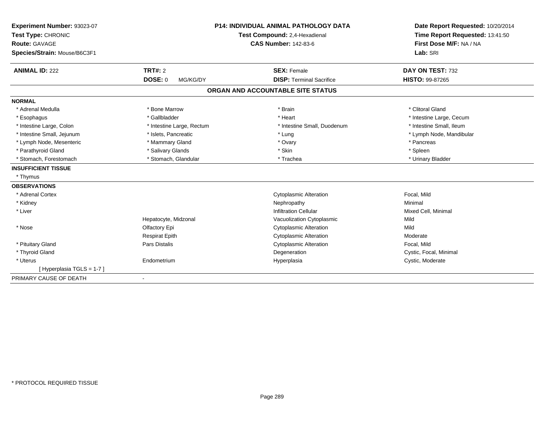| Experiment Number: 93023-07<br>Test Type: CHRONIC |                            | <b>P14: INDIVIDUAL ANIMAL PATHOLOGY DATA</b><br>Test Compound: 2,4-Hexadienal | Date Report Requested: 10/20/2014<br>Time Report Requested: 13:41:50 |
|---------------------------------------------------|----------------------------|-------------------------------------------------------------------------------|----------------------------------------------------------------------|
| <b>Route: GAVAGE</b>                              |                            | <b>CAS Number: 142-83-6</b>                                                   | First Dose M/F: NA / NA                                              |
| Species/Strain: Mouse/B6C3F1                      |                            |                                                                               | Lab: SRI                                                             |
| <b>ANIMAL ID: 222</b>                             | <b>TRT#: 2</b>             | <b>SEX: Female</b>                                                            | DAY ON TEST: 732                                                     |
|                                                   | <b>DOSE: 0</b><br>MG/KG/DY | <b>DISP: Terminal Sacrifice</b>                                               | <b>HISTO: 99-87265</b>                                               |
|                                                   |                            | ORGAN AND ACCOUNTABLE SITE STATUS                                             |                                                                      |
| <b>NORMAL</b>                                     |                            |                                                                               |                                                                      |
| * Adrenal Medulla                                 | * Bone Marrow              | * Brain                                                                       | * Clitoral Gland                                                     |
| * Esophagus                                       | * Gallbladder              | * Heart                                                                       | * Intestine Large, Cecum                                             |
| * Intestine Large, Colon                          | * Intestine Large, Rectum  | * Intestine Small, Duodenum                                                   | * Intestine Small, Ileum                                             |
| * Intestine Small, Jejunum                        | * Islets, Pancreatic       | * Lung                                                                        | * Lymph Node, Mandibular                                             |
| * Lymph Node, Mesenteric                          | * Mammary Gland            | * Ovary                                                                       | * Pancreas                                                           |
| * Parathyroid Gland                               | * Salivary Glands          | * Skin                                                                        | * Spleen                                                             |
| * Stomach, Forestomach                            | * Stomach, Glandular       | * Trachea                                                                     | * Urinary Bladder                                                    |
| <b>INSUFFICIENT TISSUE</b>                        |                            |                                                                               |                                                                      |
| * Thymus                                          |                            |                                                                               |                                                                      |
| <b>OBSERVATIONS</b>                               |                            |                                                                               |                                                                      |
| * Adrenal Cortex                                  |                            | <b>Cytoplasmic Alteration</b>                                                 | Focal, Mild                                                          |
| * Kidney                                          |                            | Nephropathy                                                                   | Minimal                                                              |
| * Liver                                           |                            | <b>Infiltration Cellular</b>                                                  | Mixed Cell, Minimal                                                  |
|                                                   | Hepatocyte, Midzonal       | Vacuolization Cytoplasmic                                                     | Mild                                                                 |
| * Nose                                            | Olfactory Epi              | <b>Cytoplasmic Alteration</b>                                                 | Mild                                                                 |
|                                                   | <b>Respirat Epith</b>      | <b>Cytoplasmic Alteration</b>                                                 | Moderate                                                             |
| * Pituitary Gland                                 | <b>Pars Distalis</b>       | <b>Cytoplasmic Alteration</b>                                                 | Focal, Mild                                                          |
| * Thyroid Gland                                   |                            | Degeneration                                                                  | Cystic, Focal, Minimal                                               |
| * Uterus                                          | Endometrium                | Hyperplasia                                                                   | Cystic, Moderate                                                     |
| [Hyperplasia TGLS = 1-7]                          |                            |                                                                               |                                                                      |
| PRIMARY CAUSE OF DEATH                            |                            |                                                                               |                                                                      |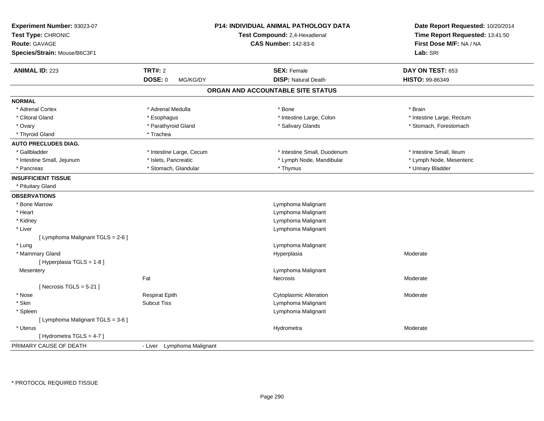| Experiment Number: 93023-07<br>Test Type: CHRONIC<br><b>Route: GAVAGE</b><br>Species/Strain: Mouse/B6C3F1 |                            | P14: INDIVIDUAL ANIMAL PATHOLOGY DATA<br>Test Compound: 2,4-Hexadienal<br><b>CAS Number: 142-83-6</b> | Date Report Requested: 10/20/2014<br>Time Report Requested: 13:41:50<br>First Dose M/F: NA / NA<br>Lab: SRI |
|-----------------------------------------------------------------------------------------------------------|----------------------------|-------------------------------------------------------------------------------------------------------|-------------------------------------------------------------------------------------------------------------|
| <b>ANIMAL ID: 223</b>                                                                                     | <b>TRT#: 2</b>             | <b>SEX: Female</b>                                                                                    | DAY ON TEST: 653                                                                                            |
|                                                                                                           | <b>DOSE: 0</b><br>MG/KG/DY | <b>DISP: Natural Death</b>                                                                            | HISTO: 99-86349                                                                                             |
|                                                                                                           |                            | ORGAN AND ACCOUNTABLE SITE STATUS                                                                     |                                                                                                             |
| <b>NORMAL</b>                                                                                             |                            |                                                                                                       |                                                                                                             |
| * Adrenal Cortex                                                                                          | * Adrenal Medulla          | * Bone                                                                                                | * Brain                                                                                                     |
| * Clitoral Gland                                                                                          | * Esophagus                | * Intestine Large, Colon                                                                              | * Intestine Large, Rectum                                                                                   |
| * Ovary                                                                                                   | * Parathyroid Gland        | * Salivary Glands                                                                                     | * Stomach, Forestomach                                                                                      |
| * Thyroid Gland                                                                                           | * Trachea                  |                                                                                                       |                                                                                                             |
| <b>AUTO PRECLUDES DIAG.</b>                                                                               |                            |                                                                                                       |                                                                                                             |
| * Gallbladder                                                                                             | * Intestine Large, Cecum   | * Intestine Small, Duodenum                                                                           | * Intestine Small, Ileum                                                                                    |
| * Intestine Small, Jejunum                                                                                | * Islets, Pancreatic       | * Lymph Node, Mandibular                                                                              | * Lymph Node, Mesenteric                                                                                    |
| * Pancreas                                                                                                | * Stomach, Glandular       | * Thymus                                                                                              | * Urinary Bladder                                                                                           |
| <b>INSUFFICIENT TISSUE</b>                                                                                |                            |                                                                                                       |                                                                                                             |
| * Pituitary Gland                                                                                         |                            |                                                                                                       |                                                                                                             |
| <b>OBSERVATIONS</b>                                                                                       |                            |                                                                                                       |                                                                                                             |
| * Bone Marrow                                                                                             |                            | Lymphoma Malignant                                                                                    |                                                                                                             |
| * Heart                                                                                                   |                            | Lymphoma Malignant                                                                                    |                                                                                                             |
| * Kidney                                                                                                  |                            | Lymphoma Malignant                                                                                    |                                                                                                             |
| * Liver                                                                                                   |                            | Lymphoma Malignant                                                                                    |                                                                                                             |
| [ Lymphoma Malignant TGLS = 2-6 ]                                                                         |                            |                                                                                                       |                                                                                                             |
| * Lung                                                                                                    |                            | Lymphoma Malignant                                                                                    |                                                                                                             |
| * Mammary Gland                                                                                           |                            | Hyperplasia                                                                                           | Moderate                                                                                                    |
| [ Hyperplasia TGLS = 1-8 ]                                                                                |                            |                                                                                                       |                                                                                                             |
| Mesentery                                                                                                 |                            | Lymphoma Malignant                                                                                    |                                                                                                             |
|                                                                                                           | Fat                        | Necrosis                                                                                              | Moderate                                                                                                    |
| [Necrosis $TGLS = 5-21$ ]                                                                                 |                            |                                                                                                       |                                                                                                             |
| * Nose                                                                                                    | <b>Respirat Epith</b>      | <b>Cytoplasmic Alteration</b>                                                                         | Moderate                                                                                                    |
| * Skin                                                                                                    | <b>Subcut Tiss</b>         | Lymphoma Malignant                                                                                    |                                                                                                             |
| * Spleen                                                                                                  |                            | Lymphoma Malignant                                                                                    |                                                                                                             |
| [ Lymphoma Malignant TGLS = 3-6 ]                                                                         |                            |                                                                                                       |                                                                                                             |
| * Uterus                                                                                                  |                            | Hydrometra                                                                                            | Moderate                                                                                                    |
| [Hydrometra TGLS = 4-7]                                                                                   |                            |                                                                                                       |                                                                                                             |
| PRIMARY CAUSE OF DEATH                                                                                    | - Liver Lymphoma Malignant |                                                                                                       |                                                                                                             |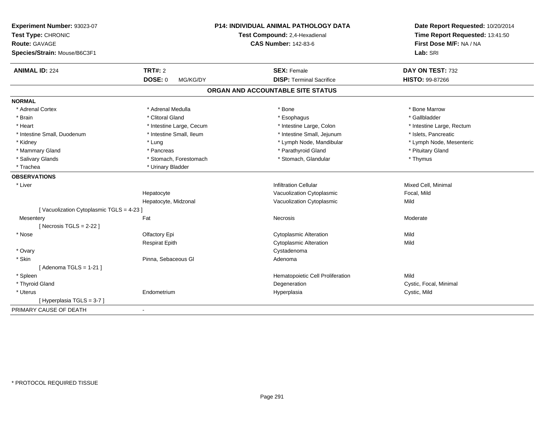| Experiment Number: 93023-07<br>Test Type: CHRONIC<br>Route: GAVAGE |                            | <b>P14: INDIVIDUAL ANIMAL PATHOLOGY DATA</b> | Date Report Requested: 10/20/2014                          |  |
|--------------------------------------------------------------------|----------------------------|----------------------------------------------|------------------------------------------------------------|--|
|                                                                    |                            | Test Compound: 2,4-Hexadienal                | Time Report Requested: 13:41:50<br>First Dose M/F: NA / NA |  |
|                                                                    |                            | <b>CAS Number: 142-83-6</b>                  |                                                            |  |
| Species/Strain: Mouse/B6C3F1                                       |                            |                                              | Lab: SRI                                                   |  |
| <b>ANIMAL ID: 224</b>                                              | <b>TRT#: 2</b>             | <b>SEX: Female</b>                           | DAY ON TEST: 732                                           |  |
|                                                                    | <b>DOSE: 0</b><br>MG/KG/DY | <b>DISP: Terminal Sacrifice</b>              | HISTO: 99-87266                                            |  |
|                                                                    |                            | ORGAN AND ACCOUNTABLE SITE STATUS            |                                                            |  |
| <b>NORMAL</b>                                                      |                            |                                              |                                                            |  |
| * Adrenal Cortex                                                   | * Adrenal Medulla          | * Bone                                       | * Bone Marrow                                              |  |
| * Brain                                                            | * Clitoral Gland           | * Esophagus                                  | * Gallbladder                                              |  |
| * Heart                                                            | * Intestine Large, Cecum   | * Intestine Large, Colon                     | * Intestine Large, Rectum                                  |  |
| * Intestine Small, Duodenum                                        | * Intestine Small, Ileum   | * Intestine Small, Jejunum                   | * Islets, Pancreatic                                       |  |
| * Kidney                                                           | * Lung                     | * Lymph Node, Mandibular                     | * Lymph Node, Mesenteric                                   |  |
| * Mammary Gland                                                    | * Pancreas                 | * Parathyroid Gland                          | * Pituitary Gland                                          |  |
| * Salivary Glands                                                  | * Stomach, Forestomach     | * Stomach, Glandular                         | * Thymus                                                   |  |
| * Trachea                                                          | * Urinary Bladder          |                                              |                                                            |  |
| <b>OBSERVATIONS</b>                                                |                            |                                              |                                                            |  |
| * Liver                                                            |                            | <b>Infiltration Cellular</b>                 | Mixed Cell, Minimal                                        |  |
|                                                                    | Hepatocyte                 | Vacuolization Cytoplasmic                    | Focal, Mild                                                |  |
|                                                                    | Hepatocyte, Midzonal       | Vacuolization Cytoplasmic                    | Mild                                                       |  |
| [Vacuolization Cytoplasmic TGLS = 4-23]                            |                            |                                              |                                                            |  |
| Mesentery                                                          | Fat                        | Necrosis                                     | Moderate                                                   |  |
| [Necrosis TGLS = $2-22$ ]                                          |                            |                                              |                                                            |  |
| * Nose                                                             | Olfactory Epi              | <b>Cytoplasmic Alteration</b>                | Mild                                                       |  |
|                                                                    | <b>Respirat Epith</b>      | <b>Cytoplasmic Alteration</b>                | Mild                                                       |  |
| * Ovary                                                            |                            | Cystadenoma                                  |                                                            |  |
| * Skin                                                             | Pinna, Sebaceous Gl        | Adenoma                                      |                                                            |  |
| [Adenoma TGLS = $1-21$ ]                                           |                            |                                              |                                                            |  |
| * Spleen                                                           |                            | Hematopoietic Cell Proliferation             | Mild                                                       |  |
| * Thyroid Gland                                                    |                            | Degeneration                                 | Cystic, Focal, Minimal                                     |  |
| * Uterus                                                           | Endometrium                | Hyperplasia                                  | Cystic, Mild                                               |  |
| [Hyperplasia TGLS = 3-7]                                           |                            |                                              |                                                            |  |
| PRIMARY CAUSE OF DEATH                                             | $\blacksquare$             |                                              |                                                            |  |
|                                                                    |                            |                                              |                                                            |  |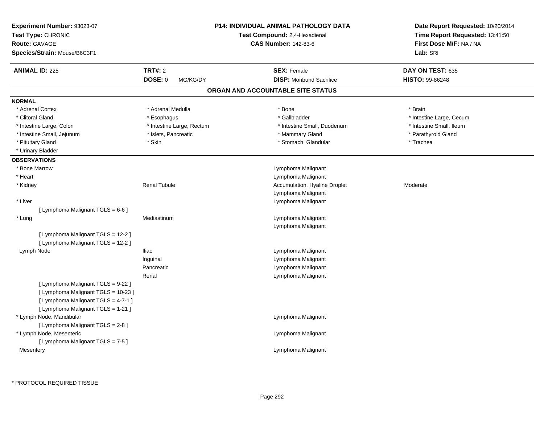| <b>Experiment Number: 93023-07</b><br>Test Type: CHRONIC<br><b>Route: GAVAGE</b><br>Species/Strain: Mouse/B6C3F1 |                                              | <b>P14: INDIVIDUAL ANIMAL PATHOLOGY DATA</b><br>Test Compound: 2,4-Hexadienal<br><b>CAS Number: 142-83-6</b> | Date Report Requested: 10/20/2014<br>Time Report Requested: 13:41:50<br>First Dose M/F: NA / NA<br>Lab: SRI |
|------------------------------------------------------------------------------------------------------------------|----------------------------------------------|--------------------------------------------------------------------------------------------------------------|-------------------------------------------------------------------------------------------------------------|
| <b>ANIMAL ID: 225</b>                                                                                            | <b>TRT#: 2</b><br><b>DOSE: 0</b><br>MG/KG/DY | <b>SEX: Female</b><br><b>DISP:</b> Moribund Sacrifice                                                        | DAY ON TEST: 635<br><b>HISTO: 99-86248</b>                                                                  |
|                                                                                                                  |                                              | ORGAN AND ACCOUNTABLE SITE STATUS                                                                            |                                                                                                             |
| <b>NORMAL</b>                                                                                                    |                                              |                                                                                                              |                                                                                                             |
| * Adrenal Cortex                                                                                                 | * Adrenal Medulla                            | * Bone                                                                                                       | * Brain                                                                                                     |
| * Clitoral Gland                                                                                                 | * Esophagus                                  | * Gallbladder                                                                                                | * Intestine Large, Cecum                                                                                    |
| * Intestine Large, Colon                                                                                         | * Intestine Large, Rectum                    | * Intestine Small, Duodenum                                                                                  | * Intestine Small, Ileum                                                                                    |
| * Intestine Small, Jejunum                                                                                       | * Islets, Pancreatic                         | * Mammary Gland                                                                                              | * Parathyroid Gland                                                                                         |
| * Pituitary Gland                                                                                                | * Skin                                       | * Stomach, Glandular                                                                                         | * Trachea                                                                                                   |
| * Urinary Bladder                                                                                                |                                              |                                                                                                              |                                                                                                             |
| <b>OBSERVATIONS</b>                                                                                              |                                              |                                                                                                              |                                                                                                             |
| * Bone Marrow                                                                                                    |                                              | Lymphoma Malignant                                                                                           |                                                                                                             |
| * Heart                                                                                                          |                                              | Lymphoma Malignant                                                                                           |                                                                                                             |
| * Kidney                                                                                                         | <b>Renal Tubule</b>                          | Accumulation, Hyaline Droplet                                                                                | Moderate                                                                                                    |
|                                                                                                                  |                                              | Lymphoma Malignant                                                                                           |                                                                                                             |
| * Liver                                                                                                          |                                              | Lymphoma Malignant                                                                                           |                                                                                                             |
| [ Lymphoma Malignant TGLS = 6-6 ]                                                                                |                                              |                                                                                                              |                                                                                                             |
| * Lung                                                                                                           | Mediastinum                                  | Lymphoma Malignant                                                                                           |                                                                                                             |
|                                                                                                                  |                                              | Lymphoma Malignant                                                                                           |                                                                                                             |
| [ Lymphoma Malignant TGLS = 12-2 ]                                                                               |                                              |                                                                                                              |                                                                                                             |
| [ Lymphoma Malignant TGLS = 12-2 ]                                                                               |                                              |                                                                                                              |                                                                                                             |
| Lymph Node                                                                                                       | Iliac                                        | Lymphoma Malignant                                                                                           |                                                                                                             |
|                                                                                                                  | Inguinal                                     | Lymphoma Malignant                                                                                           |                                                                                                             |
|                                                                                                                  | Pancreatic                                   | Lymphoma Malignant                                                                                           |                                                                                                             |
| [ Lymphoma Malignant TGLS = 9-22 ]<br>[ Lymphoma Malignant TGLS = 10-23 ]<br>[ Lymphoma Malignant TGLS = 4-7-1 ] | Renal                                        | Lymphoma Malignant                                                                                           |                                                                                                             |
| [ Lymphoma Malignant TGLS = 1-21 ]<br>* Lymph Node, Mandibular<br>[ Lymphoma Malignant TGLS = 2-8 ]              |                                              | Lymphoma Malignant                                                                                           |                                                                                                             |
| * Lymph Node, Mesenteric<br>[ Lymphoma Malignant TGLS = 7-5 ]                                                    |                                              | Lymphoma Malignant                                                                                           |                                                                                                             |
| Mesentery                                                                                                        |                                              | Lymphoma Malignant                                                                                           |                                                                                                             |
|                                                                                                                  |                                              |                                                                                                              |                                                                                                             |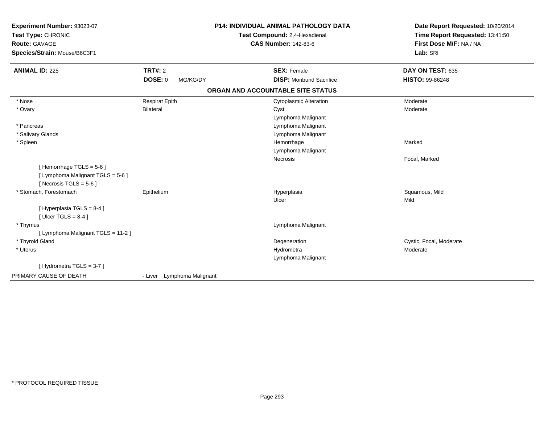| Experiment Number: 93023-07<br>Test Type: CHRONIC<br><b>Route: GAVAGE</b><br>Species/Strain: Mouse/B6C3F1 |                                       | P14: INDIVIDUAL ANIMAL PATHOLOGY DATA<br>Test Compound: 2,4-Hexadienal<br><b>CAS Number: 142-83-6</b> | Date Report Requested: 10/20/2014<br>Time Report Requested: 13:41:50<br>First Dose M/F: NA / NA<br>Lab: SRI |
|-----------------------------------------------------------------------------------------------------------|---------------------------------------|-------------------------------------------------------------------------------------------------------|-------------------------------------------------------------------------------------------------------------|
| <b>ANIMAL ID: 225</b>                                                                                     | TRT#: 2<br><b>DOSE: 0</b><br>MG/KG/DY | <b>SEX: Female</b><br><b>DISP:</b> Moribund Sacrifice                                                 | DAY ON TEST: 635<br><b>HISTO: 99-86248</b>                                                                  |
|                                                                                                           |                                       | ORGAN AND ACCOUNTABLE SITE STATUS                                                                     |                                                                                                             |
| * Nose                                                                                                    | <b>Respirat Epith</b>                 | <b>Cytoplasmic Alteration</b>                                                                         | Moderate                                                                                                    |
| * Ovary                                                                                                   | <b>Bilateral</b>                      | Cyst<br>Lymphoma Malignant                                                                            | Moderate                                                                                                    |
| * Pancreas                                                                                                |                                       | Lymphoma Malignant                                                                                    |                                                                                                             |
| * Salivary Glands                                                                                         |                                       | Lymphoma Malignant                                                                                    |                                                                                                             |
| * Spleen                                                                                                  |                                       | Hemorrhage<br>Lymphoma Malignant                                                                      | Marked                                                                                                      |
| [Hemorrhage TGLS = 5-6]<br>[ Lymphoma Malignant TGLS = 5-6 ]<br>[Necrosis TGLS = $5-6$ ]                  |                                       | Necrosis                                                                                              | Focal, Marked                                                                                               |
| * Stomach, Forestomach                                                                                    | Epithelium                            | Hyperplasia<br>Ulcer                                                                                  | Squamous, Mild<br>Mild                                                                                      |
| [Hyperplasia TGLS = 8-4]<br>[ Ulcer TGLS = $8-4$ ]                                                        |                                       |                                                                                                       |                                                                                                             |
| * Thymus                                                                                                  |                                       | Lymphoma Malignant                                                                                    |                                                                                                             |
| [ Lymphoma Malignant TGLS = 11-2 ]                                                                        |                                       |                                                                                                       |                                                                                                             |
| * Thyroid Gland                                                                                           |                                       | Degeneration                                                                                          | Cystic, Focal, Moderate                                                                                     |
| * Uterus                                                                                                  |                                       | Hydrometra<br>Lymphoma Malignant                                                                      | Moderate                                                                                                    |
| [Hydrometra TGLS = 3-7]                                                                                   |                                       |                                                                                                       |                                                                                                             |
| PRIMARY CAUSE OF DEATH                                                                                    | - Liver Lymphoma Malignant            |                                                                                                       |                                                                                                             |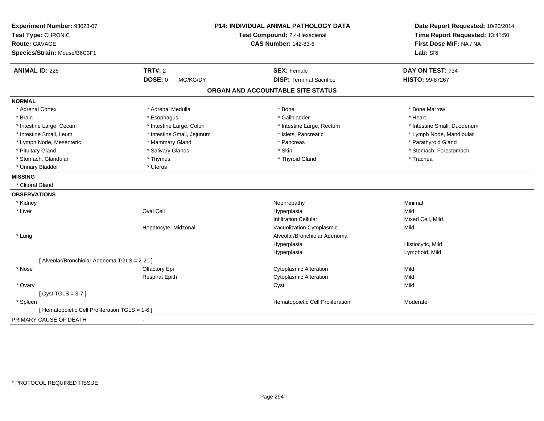| Experiment Number: 93023-07<br>Test Type: CHRONIC<br><b>Route: GAVAGE</b><br>Species/Strain: Mouse/B6C3F1 |                            | P14: INDIVIDUAL ANIMAL PATHOLOGY DATA<br>Test Compound: 2,4-Hexadienal<br><b>CAS Number: 142-83-6</b> | Date Report Requested: 10/20/2014<br>Time Report Requested: 13:41:50<br>First Dose M/F: NA / NA<br>Lab: SRI |
|-----------------------------------------------------------------------------------------------------------|----------------------------|-------------------------------------------------------------------------------------------------------|-------------------------------------------------------------------------------------------------------------|
| <b>ANIMAL ID: 226</b>                                                                                     | <b>TRT#: 2</b>             | <b>SEX: Female</b>                                                                                    | DAY ON TEST: 734                                                                                            |
|                                                                                                           | <b>DOSE: 0</b><br>MG/KG/DY | <b>DISP: Terminal Sacrifice</b>                                                                       | HISTO: 99-87267                                                                                             |
|                                                                                                           |                            | ORGAN AND ACCOUNTABLE SITE STATUS                                                                     |                                                                                                             |
| <b>NORMAL</b>                                                                                             |                            |                                                                                                       |                                                                                                             |
| * Adrenal Cortex                                                                                          | * Adrenal Medulla          | * Bone                                                                                                | * Bone Marrow                                                                                               |
| * Brain                                                                                                   | * Esophagus                | * Gallbladder                                                                                         | * Heart                                                                                                     |
| * Intestine Large, Cecum                                                                                  | * Intestine Large, Colon   | * Intestine Large, Rectum                                                                             | * Intestine Small, Duodenum                                                                                 |
| * Intestine Small, Ileum                                                                                  | * Intestine Small, Jejunum | * Islets, Pancreatic                                                                                  | * Lymph Node, Mandibular                                                                                    |
| * Lymph Node, Mesenteric                                                                                  | * Mammary Gland            | * Pancreas                                                                                            | * Parathyroid Gland                                                                                         |
| * Pituitary Gland                                                                                         | * Salivary Glands          | * Skin                                                                                                | * Stomach, Forestomach                                                                                      |
| * Stomach, Glandular                                                                                      | * Thymus                   | * Thyroid Gland                                                                                       | * Trachea                                                                                                   |
| * Urinary Bladder                                                                                         | * Uterus                   |                                                                                                       |                                                                                                             |
| <b>MISSING</b>                                                                                            |                            |                                                                                                       |                                                                                                             |
| * Clitoral Gland                                                                                          |                            |                                                                                                       |                                                                                                             |
| <b>OBSERVATIONS</b>                                                                                       |                            |                                                                                                       |                                                                                                             |
| * Kidney                                                                                                  |                            | Nephropathy                                                                                           | Minimal                                                                                                     |
| * Liver                                                                                                   | Oval Cell                  | Hyperplasia                                                                                           | Mild                                                                                                        |
|                                                                                                           |                            | <b>Infiltration Cellular</b>                                                                          | Mixed Cell, Mild                                                                                            |
|                                                                                                           | Hepatocyte, Midzonal       | Vacuolization Cytoplasmic                                                                             | Mild                                                                                                        |
| * Lung                                                                                                    |                            | Alveolar/Bronchiolar Adenoma                                                                          |                                                                                                             |
|                                                                                                           |                            | Hyperplasia                                                                                           | Histiocytic, Mild                                                                                           |
|                                                                                                           |                            | Hyperplasia                                                                                           | Lymphoid, Mild                                                                                              |
| [ Alveolar/Bronchiolar Adenoma TGLS = 2-21 ]                                                              |                            |                                                                                                       |                                                                                                             |
| * Nose                                                                                                    | Olfactory Epi              | <b>Cytoplasmic Alteration</b>                                                                         | Mild                                                                                                        |
|                                                                                                           | <b>Respirat Epith</b>      | <b>Cytoplasmic Alteration</b>                                                                         | Mild                                                                                                        |
| * Ovary                                                                                                   |                            | Cyst                                                                                                  | Mild                                                                                                        |
| [Cyst TGLS = $3-7$ ]                                                                                      |                            |                                                                                                       |                                                                                                             |
| * Spleen                                                                                                  |                            | Hematopoietic Cell Proliferation                                                                      | Moderate                                                                                                    |
| [ Hematopoietic Cell Proliferation TGLS = 1-6 ]                                                           |                            |                                                                                                       |                                                                                                             |
| PRIMARY CAUSE OF DEATH                                                                                    |                            |                                                                                                       |                                                                                                             |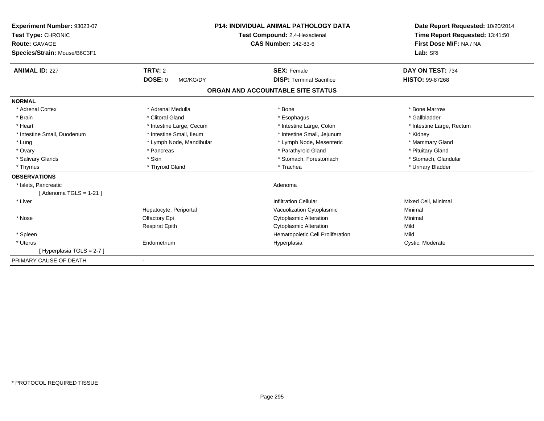| <b>Experiment Number: 93023-07</b><br>Test Type: CHRONIC |                            | <b>P14: INDIVIDUAL ANIMAL PATHOLOGY DATA</b><br>Test Compound: 2,4-Hexadienal | Date Report Requested: 10/20/2014<br>Time Report Requested: 13:41:50 |
|----------------------------------------------------------|----------------------------|-------------------------------------------------------------------------------|----------------------------------------------------------------------|
| Route: GAVAGE                                            |                            | <b>CAS Number: 142-83-6</b>                                                   | First Dose M/F: NA / NA                                              |
| Species/Strain: Mouse/B6C3F1                             |                            |                                                                               | Lab: SRI                                                             |
| <b>ANIMAL ID: 227</b>                                    | TRT#: 2                    | <b>SEX: Female</b>                                                            | DAY ON TEST: 734                                                     |
|                                                          | <b>DOSE: 0</b><br>MG/KG/DY | <b>DISP: Terminal Sacrifice</b>                                               | <b>HISTO: 99-87268</b>                                               |
|                                                          |                            | ORGAN AND ACCOUNTABLE SITE STATUS                                             |                                                                      |
| <b>NORMAL</b>                                            |                            |                                                                               |                                                                      |
| * Adrenal Cortex                                         | * Adrenal Medulla          | * Bone                                                                        | * Bone Marrow                                                        |
| * Brain                                                  | * Clitoral Gland           | * Esophagus                                                                   | * Gallbladder                                                        |
| * Heart                                                  | * Intestine Large, Cecum   | * Intestine Large, Colon                                                      | * Intestine Large, Rectum                                            |
| * Intestine Small, Duodenum                              | * Intestine Small, Ileum   | * Intestine Small, Jejunum                                                    | * Kidney                                                             |
| * Lung                                                   | * Lymph Node, Mandibular   | * Lymph Node, Mesenteric                                                      | * Mammary Gland                                                      |
| * Ovary                                                  | * Pancreas                 | * Parathyroid Gland                                                           | * Pituitary Gland                                                    |
| * Salivary Glands                                        | * Skin                     | * Stomach, Forestomach                                                        | * Stomach, Glandular                                                 |
| * Thymus                                                 | * Thyroid Gland            | * Trachea                                                                     | * Urinary Bladder                                                    |
| <b>OBSERVATIONS</b>                                      |                            |                                                                               |                                                                      |
| * Islets, Pancreatic                                     |                            | Adenoma                                                                       |                                                                      |
| [ Adenoma TGLS = 1-21 ]                                  |                            |                                                                               |                                                                      |
| * Liver                                                  |                            | <b>Infiltration Cellular</b>                                                  | Mixed Cell, Minimal                                                  |
|                                                          | Hepatocyte, Periportal     | Vacuolization Cytoplasmic                                                     | Minimal                                                              |
| * Nose                                                   | Olfactory Epi              | <b>Cytoplasmic Alteration</b>                                                 | Minimal                                                              |
|                                                          | <b>Respirat Epith</b>      | <b>Cytoplasmic Alteration</b>                                                 | Mild                                                                 |
| * Spleen                                                 |                            | Hematopoietic Cell Proliferation                                              | Mild                                                                 |
| * Uterus                                                 | Endometrium                | Hyperplasia                                                                   | Cystic, Moderate                                                     |
| [Hyperplasia TGLS = 2-7]                                 |                            |                                                                               |                                                                      |
| PRIMARY CAUSE OF DEATH                                   | $\overline{\phantom{0}}$   |                                                                               |                                                                      |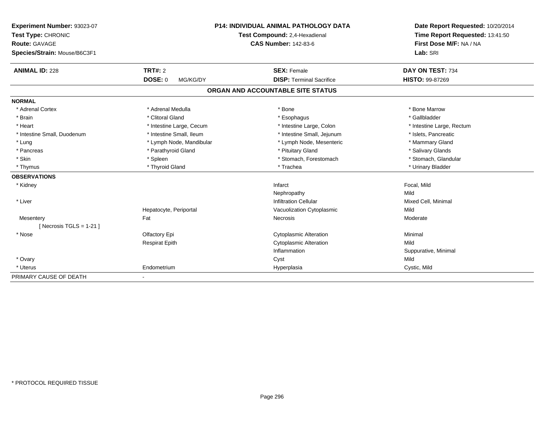| Experiment Number: 93023-07  |                               | <b>P14: INDIVIDUAL ANIMAL PATHOLOGY DATA</b> |                                 |
|------------------------------|-------------------------------|----------------------------------------------|---------------------------------|
| Test Type: CHRONIC           | Test Compound: 2,4-Hexadienal |                                              | Time Report Requested: 13:41:50 |
| <b>Route: GAVAGE</b>         |                               | <b>CAS Number: 142-83-6</b>                  | First Dose M/F: NA / NA         |
| Species/Strain: Mouse/B6C3F1 |                               |                                              | Lab: SRI                        |
| <b>ANIMAL ID: 228</b>        | <b>TRT#: 2</b>                | <b>SEX: Female</b>                           | DAY ON TEST: 734                |
|                              | <b>DOSE: 0</b><br>MG/KG/DY    | <b>DISP: Terminal Sacrifice</b>              | <b>HISTO: 99-87269</b>          |
|                              |                               | ORGAN AND ACCOUNTABLE SITE STATUS            |                                 |
| <b>NORMAL</b>                |                               |                                              |                                 |
| * Adrenal Cortex             | * Adrenal Medulla             | * Bone                                       | * Bone Marrow                   |
| * Brain                      | * Clitoral Gland              | * Esophagus                                  | * Gallbladder                   |
| * Heart                      | * Intestine Large, Cecum      | * Intestine Large, Colon                     | * Intestine Large, Rectum       |
| * Intestine Small, Duodenum  | * Intestine Small, Ileum      | * Intestine Small, Jejunum                   | * Islets, Pancreatic            |
| * Lung                       | * Lymph Node, Mandibular      | * Lymph Node, Mesenteric                     | * Mammary Gland                 |
| * Pancreas                   | * Parathyroid Gland           | * Pituitary Gland                            | * Salivary Glands               |
| * Skin                       | * Spleen                      | * Stomach, Forestomach                       | * Stomach, Glandular            |
| * Thymus                     | * Thyroid Gland               | * Trachea                                    | * Urinary Bladder               |
| <b>OBSERVATIONS</b>          |                               |                                              |                                 |
| * Kidney                     |                               | Infarct                                      | Focal, Mild                     |
|                              |                               | Nephropathy                                  | Mild                            |
| * Liver                      |                               | <b>Infiltration Cellular</b>                 | Mixed Cell, Minimal             |
|                              | Hepatocyte, Periportal        | Vacuolization Cytoplasmic                    | Mild                            |
| Mesentery                    | Fat                           | Necrosis                                     | Moderate                        |
| [Necrosis TGLS = $1-21$ ]    |                               |                                              |                                 |
| * Nose                       | Olfactory Epi                 | <b>Cytoplasmic Alteration</b>                | Minimal                         |
|                              | <b>Respirat Epith</b>         | <b>Cytoplasmic Alteration</b>                | Mild                            |
|                              |                               | Inflammation                                 | Suppurative, Minimal            |
| * Ovary                      |                               | Cyst                                         | Mild                            |
| * Uterus                     | Endometrium                   | Hyperplasia                                  | Cystic, Mild                    |
| PRIMARY CAUSE OF DEATH       | $\overline{\phantom{a}}$      |                                              |                                 |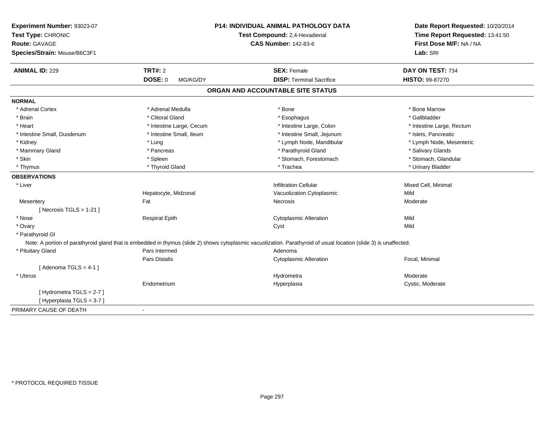| Experiment Number: 93023-07                         |                            | <b>P14: INDIVIDUAL ANIMAL PATHOLOGY DATA</b>                                                                                                                      | Date Report Requested: 10/20/2014 |
|-----------------------------------------------------|----------------------------|-------------------------------------------------------------------------------------------------------------------------------------------------------------------|-----------------------------------|
| Test Type: CHRONIC                                  |                            | Test Compound: 2,4-Hexadienal                                                                                                                                     | Time Report Requested: 13:41:50   |
| <b>Route: GAVAGE</b>                                |                            | <b>CAS Number: 142-83-6</b>                                                                                                                                       | First Dose M/F: NA / NA           |
| Species/Strain: Mouse/B6C3F1                        |                            |                                                                                                                                                                   | Lab: SRI                          |
| <b>ANIMAL ID: 229</b>                               | <b>TRT#: 2</b>             | <b>SEX: Female</b>                                                                                                                                                | DAY ON TEST: 734                  |
|                                                     | <b>DOSE: 0</b><br>MG/KG/DY | <b>DISP: Terminal Sacrifice</b>                                                                                                                                   | <b>HISTO: 99-87270</b>            |
|                                                     |                            | ORGAN AND ACCOUNTABLE SITE STATUS                                                                                                                                 |                                   |
| <b>NORMAL</b>                                       |                            |                                                                                                                                                                   |                                   |
| * Adrenal Cortex                                    | * Adrenal Medulla          | * Bone                                                                                                                                                            | * Bone Marrow                     |
| * Brain                                             | * Clitoral Gland           | * Esophagus                                                                                                                                                       | * Gallbladder                     |
| * Heart                                             | * Intestine Large, Cecum   | * Intestine Large, Colon                                                                                                                                          | * Intestine Large, Rectum         |
| * Intestine Small, Duodenum                         | * Intestine Small, Ileum   | * Intestine Small, Jejunum                                                                                                                                        | * Islets, Pancreatic              |
| * Kidney                                            | * Lung                     | * Lymph Node, Mandibular                                                                                                                                          | * Lymph Node, Mesenteric          |
| * Mammary Gland                                     | * Pancreas                 | * Parathyroid Gland                                                                                                                                               | * Salivary Glands                 |
| * Skin                                              | * Spleen                   | * Stomach, Forestomach                                                                                                                                            | * Stomach, Glandular              |
| * Thymus                                            | * Thyroid Gland            | * Trachea                                                                                                                                                         | * Urinary Bladder                 |
| <b>OBSERVATIONS</b>                                 |                            |                                                                                                                                                                   |                                   |
| * Liver                                             |                            | <b>Infiltration Cellular</b>                                                                                                                                      | Mixed Cell, Minimal               |
|                                                     | Hepatocyte, Midzonal       | Vacuolization Cytoplasmic                                                                                                                                         | Mild                              |
| Mesentery                                           | Fat                        | Necrosis                                                                                                                                                          | Moderate                          |
| [Necrosis TGLS = $1-21$ ]                           |                            |                                                                                                                                                                   |                                   |
| * Nose                                              | <b>Respirat Epith</b>      | <b>Cytoplasmic Alteration</b>                                                                                                                                     | Mild                              |
| * Ovary                                             |                            | Cyst                                                                                                                                                              | Mild                              |
| * Parathyroid Gl                                    |                            |                                                                                                                                                                   |                                   |
|                                                     |                            | Note: A portion of parathyroid gland that is embedded in thymus (slide 2) shows cytoplasmic vacuolization. Parathyroid of usual location (slide 3) is unaffected. |                                   |
| * Pituitary Gland                                   | Pars Intermed              | Adenoma                                                                                                                                                           |                                   |
|                                                     | Pars Distalis              | <b>Cytoplasmic Alteration</b>                                                                                                                                     | Focal, Minimal                    |
| [Adenoma TGLS = $4-1$ ]                             |                            |                                                                                                                                                                   |                                   |
| * Uterus                                            |                            | Hydrometra                                                                                                                                                        | Moderate                          |
|                                                     | Endometrium                | Hyperplasia                                                                                                                                                       | Cystic, Moderate                  |
| [Hydrometra TGLS = 2-7]<br>[Hyperplasia TGLS = 3-7] |                            |                                                                                                                                                                   |                                   |
| PRIMARY CAUSE OF DEATH                              |                            |                                                                                                                                                                   |                                   |
|                                                     |                            |                                                                                                                                                                   |                                   |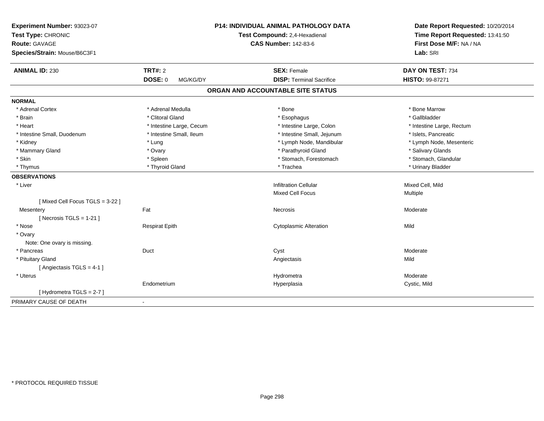| Experiment Number: 93023-07<br>Test Type: CHRONIC<br><b>Route: GAVAGE</b><br>Species/Strain: Mouse/B6C3F1 |                            | P14: INDIVIDUAL ANIMAL PATHOLOGY DATA<br>Test Compound: 2,4-Hexadienal<br><b>CAS Number: 142-83-6</b> | Date Report Requested: 10/20/2014<br>Time Report Requested: 13:41:50<br>First Dose M/F: NA / NA<br>Lab: SRI |
|-----------------------------------------------------------------------------------------------------------|----------------------------|-------------------------------------------------------------------------------------------------------|-------------------------------------------------------------------------------------------------------------|
| <b>ANIMAL ID: 230</b>                                                                                     | <b>TRT#: 2</b>             | <b>SEX: Female</b>                                                                                    | DAY ON TEST: 734                                                                                            |
|                                                                                                           | <b>DOSE: 0</b><br>MG/KG/DY | <b>DISP: Terminal Sacrifice</b>                                                                       | <b>HISTO: 99-87271</b>                                                                                      |
|                                                                                                           |                            | ORGAN AND ACCOUNTABLE SITE STATUS                                                                     |                                                                                                             |
| <b>NORMAL</b>                                                                                             |                            |                                                                                                       |                                                                                                             |
| * Adrenal Cortex                                                                                          | * Adrenal Medulla          | * Bone                                                                                                | * Bone Marrow                                                                                               |
| * Brain                                                                                                   | * Clitoral Gland           | * Esophagus                                                                                           | * Gallbladder                                                                                               |
| * Heart                                                                                                   | * Intestine Large, Cecum   | * Intestine Large, Colon                                                                              | * Intestine Large, Rectum                                                                                   |
| * Intestine Small, Duodenum                                                                               | * Intestine Small, Ileum   | * Intestine Small, Jejunum                                                                            | * Islets, Pancreatic                                                                                        |
| * Kidney                                                                                                  | * Lung                     | * Lymph Node, Mandibular                                                                              | * Lymph Node, Mesenteric                                                                                    |
| * Mammary Gland                                                                                           | * Ovary                    | * Parathyroid Gland                                                                                   | * Salivary Glands                                                                                           |
| * Skin                                                                                                    | * Spleen                   | * Stomach, Forestomach                                                                                | * Stomach, Glandular                                                                                        |
| * Thymus                                                                                                  | * Thyroid Gland            | * Trachea                                                                                             | * Urinary Bladder                                                                                           |
| <b>OBSERVATIONS</b>                                                                                       |                            |                                                                                                       |                                                                                                             |
| * Liver                                                                                                   |                            | <b>Infiltration Cellular</b>                                                                          | Mixed Cell, Mild                                                                                            |
|                                                                                                           |                            | <b>Mixed Cell Focus</b>                                                                               | Multiple                                                                                                    |
| [Mixed Cell Focus TGLS = 3-22]                                                                            |                            |                                                                                                       |                                                                                                             |
| Mesentery                                                                                                 | Fat                        | Necrosis                                                                                              | Moderate                                                                                                    |
| [ Necrosis $TGLS = 1-21$ ]                                                                                |                            |                                                                                                       |                                                                                                             |
| * Nose                                                                                                    | <b>Respirat Epith</b>      | <b>Cytoplasmic Alteration</b>                                                                         | Mild                                                                                                        |
| * Ovary                                                                                                   |                            |                                                                                                       |                                                                                                             |
| Note: One ovary is missing.                                                                               |                            |                                                                                                       |                                                                                                             |
| * Pancreas                                                                                                | Duct                       | Cyst                                                                                                  | Moderate                                                                                                    |
| * Pituitary Gland                                                                                         |                            | Angiectasis                                                                                           | Mild                                                                                                        |
| [Angiectasis TGLS = 4-1]                                                                                  |                            |                                                                                                       |                                                                                                             |
| * Uterus                                                                                                  |                            | Hydrometra                                                                                            | Moderate                                                                                                    |
|                                                                                                           | Endometrium                | Hyperplasia                                                                                           | Cystic, Mild                                                                                                |
| [Hydrometra TGLS = 2-7]                                                                                   |                            |                                                                                                       |                                                                                                             |
| PRIMARY CAUSE OF DEATH                                                                                    | $\blacksquare$             |                                                                                                       |                                                                                                             |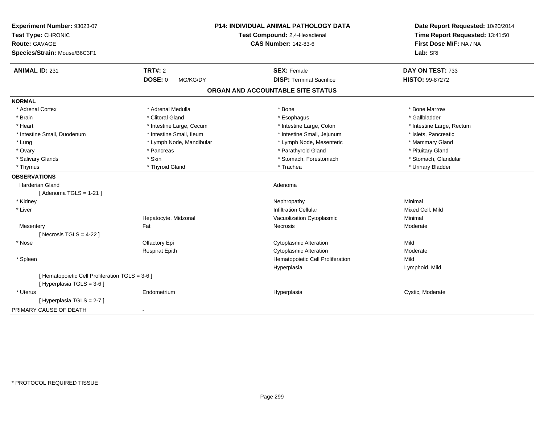| Experiment Number: 93023-07<br>Test Type: CHRONIC<br><b>Route: GAVAGE</b><br>Species/Strain: Mouse/B6C3F1 |                            | <b>P14: INDIVIDUAL ANIMAL PATHOLOGY DATA</b><br>Test Compound: 2,4-Hexadienal<br><b>CAS Number: 142-83-6</b> | Date Report Requested: 10/20/2014<br>Time Report Requested: 13:41:50<br>First Dose M/F: NA / NA<br>Lab: SRI |
|-----------------------------------------------------------------------------------------------------------|----------------------------|--------------------------------------------------------------------------------------------------------------|-------------------------------------------------------------------------------------------------------------|
| <b>ANIMAL ID: 231</b>                                                                                     | <b>TRT#: 2</b>             | <b>SEX: Female</b>                                                                                           | DAY ON TEST: 733                                                                                            |
|                                                                                                           | <b>DOSE: 0</b><br>MG/KG/DY | <b>DISP: Terminal Sacrifice</b>                                                                              | HISTO: 99-87272                                                                                             |
|                                                                                                           |                            | ORGAN AND ACCOUNTABLE SITE STATUS                                                                            |                                                                                                             |
| <b>NORMAL</b>                                                                                             |                            |                                                                                                              |                                                                                                             |
| * Adrenal Cortex                                                                                          | * Adrenal Medulla          | * Bone                                                                                                       | * Bone Marrow                                                                                               |
| * Brain                                                                                                   | * Clitoral Gland           | * Esophagus                                                                                                  | * Gallbladder                                                                                               |
| * Heart                                                                                                   | * Intestine Large, Cecum   | * Intestine Large, Colon                                                                                     | * Intestine Large, Rectum                                                                                   |
| * Intestine Small, Duodenum                                                                               | * Intestine Small, Ileum   | * Intestine Small, Jejunum                                                                                   | * Islets, Pancreatic                                                                                        |
| * Lung                                                                                                    | * Lymph Node, Mandibular   | * Lymph Node, Mesenteric                                                                                     | * Mammary Gland                                                                                             |
| * Ovary                                                                                                   | * Pancreas                 | * Parathyroid Gland                                                                                          | * Pituitary Gland                                                                                           |
| * Salivary Glands                                                                                         | * Skin                     | * Stomach, Forestomach                                                                                       | * Stomach, Glandular                                                                                        |
| * Thymus                                                                                                  | * Thyroid Gland            | * Trachea                                                                                                    | * Urinary Bladder                                                                                           |
| <b>OBSERVATIONS</b>                                                                                       |                            |                                                                                                              |                                                                                                             |
| Harderian Gland                                                                                           |                            | Adenoma                                                                                                      |                                                                                                             |
| [Adenoma TGLS = $1-21$ ]                                                                                  |                            |                                                                                                              |                                                                                                             |
| * Kidney                                                                                                  |                            | Nephropathy                                                                                                  | Minimal                                                                                                     |
| * Liver                                                                                                   |                            | <b>Infiltration Cellular</b>                                                                                 | Mixed Cell, Mild                                                                                            |
|                                                                                                           | Hepatocyte, Midzonal       | Vacuolization Cytoplasmic                                                                                    | Minimal                                                                                                     |
| Mesentery                                                                                                 | Fat                        | Necrosis                                                                                                     | Moderate                                                                                                    |
| [Necrosis TGLS = $4-22$ ]                                                                                 |                            |                                                                                                              |                                                                                                             |
| * Nose                                                                                                    | Olfactory Epi              | <b>Cytoplasmic Alteration</b>                                                                                | Mild                                                                                                        |
|                                                                                                           | <b>Respirat Epith</b>      | <b>Cytoplasmic Alteration</b>                                                                                | Moderate                                                                                                    |
| * Spleen                                                                                                  |                            | Hematopoietic Cell Proliferation                                                                             | Mild                                                                                                        |
|                                                                                                           |                            | Hyperplasia                                                                                                  | Lymphoid, Mild                                                                                              |
| [ Hematopoietic Cell Proliferation TGLS = 3-6 ]                                                           |                            |                                                                                                              |                                                                                                             |
| [ Hyperplasia TGLS = 3-6 ]                                                                                |                            |                                                                                                              |                                                                                                             |
| * Uterus                                                                                                  | Endometrium                | Hyperplasia                                                                                                  | Cystic, Moderate                                                                                            |
| [Hyperplasia TGLS = $2-7$ ]                                                                               |                            |                                                                                                              |                                                                                                             |
| PRIMARY CAUSE OF DEATH                                                                                    | $\sim$                     |                                                                                                              |                                                                                                             |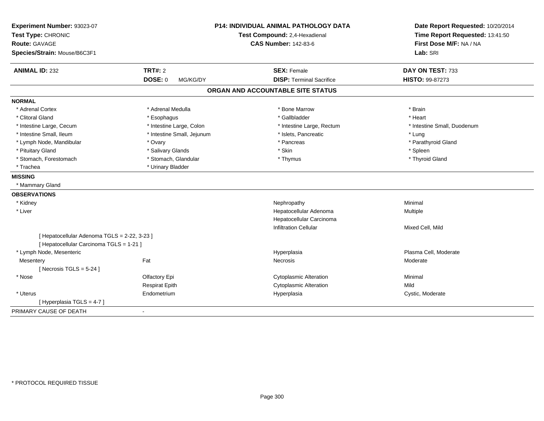| Experiment Number: 93023-07<br>Test Type: CHRONIC<br><b>Route: GAVAGE</b> |                            | <b>P14: INDIVIDUAL ANIMAL PATHOLOGY DATA</b><br>Test Compound: 2,4-Hexadienal<br><b>CAS Number: 142-83-6</b> | Date Report Requested: 10/20/2014<br>Time Report Requested: 13:41:50<br>First Dose M/F: NA / NA |
|---------------------------------------------------------------------------|----------------------------|--------------------------------------------------------------------------------------------------------------|-------------------------------------------------------------------------------------------------|
| Species/Strain: Mouse/B6C3F1                                              |                            |                                                                                                              | Lab: SRI                                                                                        |
| <b>ANIMAL ID: 232</b>                                                     | <b>TRT#: 2</b>             | <b>SEX: Female</b>                                                                                           | DAY ON TEST: 733                                                                                |
|                                                                           | <b>DOSE: 0</b><br>MG/KG/DY | <b>DISP: Terminal Sacrifice</b>                                                                              | HISTO: 99-87273                                                                                 |
|                                                                           |                            | ORGAN AND ACCOUNTABLE SITE STATUS                                                                            |                                                                                                 |
| <b>NORMAL</b>                                                             |                            |                                                                                                              |                                                                                                 |
| * Adrenal Cortex                                                          | * Adrenal Medulla          | * Bone Marrow                                                                                                | * Brain                                                                                         |
| * Clitoral Gland                                                          | * Esophagus                | * Gallbladder                                                                                                | * Heart                                                                                         |
| * Intestine Large, Cecum                                                  | * Intestine Large, Colon   | * Intestine Large, Rectum                                                                                    | * Intestine Small, Duodenum                                                                     |
| * Intestine Small, Ileum                                                  | * Intestine Small, Jejunum | * Islets, Pancreatic                                                                                         | * Lung                                                                                          |
| * Lymph Node, Mandibular                                                  | * Ovary                    | * Pancreas                                                                                                   | * Parathyroid Gland                                                                             |
| * Pituitary Gland                                                         | * Salivary Glands          | * Skin                                                                                                       | * Spleen                                                                                        |
| * Stomach, Forestomach                                                    | * Stomach, Glandular       | * Thymus                                                                                                     | * Thyroid Gland                                                                                 |
| * Trachea                                                                 | * Urinary Bladder          |                                                                                                              |                                                                                                 |
| <b>MISSING</b>                                                            |                            |                                                                                                              |                                                                                                 |
| * Mammary Gland                                                           |                            |                                                                                                              |                                                                                                 |
| <b>OBSERVATIONS</b>                                                       |                            |                                                                                                              |                                                                                                 |
| * Kidney                                                                  |                            | Nephropathy                                                                                                  | Minimal                                                                                         |
| * Liver                                                                   |                            | Hepatocellular Adenoma                                                                                       | <b>Multiple</b>                                                                                 |
|                                                                           |                            | Hepatocellular Carcinoma                                                                                     |                                                                                                 |
|                                                                           |                            | <b>Infiltration Cellular</b>                                                                                 | Mixed Cell, Mild                                                                                |
| [ Hepatocellular Adenoma TGLS = 2-22, 3-23 ]                              |                            |                                                                                                              |                                                                                                 |
| [ Hepatocellular Carcinoma TGLS = 1-21 ]                                  |                            |                                                                                                              |                                                                                                 |
| * Lymph Node, Mesenteric                                                  |                            | Hyperplasia                                                                                                  | Plasma Cell, Moderate                                                                           |
| Mesentery                                                                 | Fat                        | Necrosis                                                                                                     | Moderate                                                                                        |
| [ Necrosis TGLS = $5-24$ ]                                                |                            |                                                                                                              |                                                                                                 |
| * Nose                                                                    | Olfactory Epi              | <b>Cytoplasmic Alteration</b>                                                                                | Minimal                                                                                         |
|                                                                           | <b>Respirat Epith</b>      | <b>Cytoplasmic Alteration</b>                                                                                | Mild                                                                                            |
| * Uterus                                                                  | Endometrium                | Hyperplasia                                                                                                  | Cystic, Moderate                                                                                |
| [ Hyperplasia TGLS = 4-7 ]                                                |                            |                                                                                                              |                                                                                                 |
| PRIMARY CAUSE OF DEATH                                                    | $\blacksquare$             |                                                                                                              |                                                                                                 |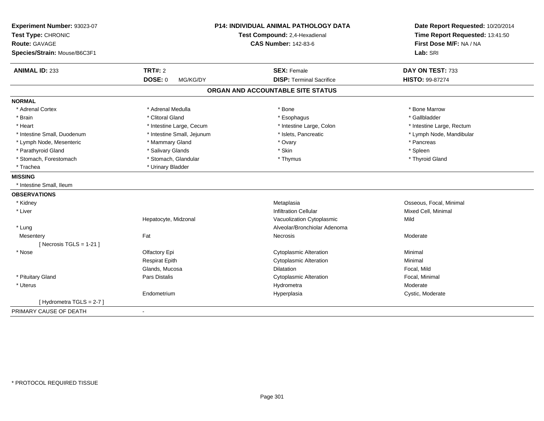| Experiment Number: 93023-07<br>Test Type: CHRONIC<br>Route: GAVAGE | <b>P14: INDIVIDUAL ANIMAL PATHOLOGY DATA</b><br>Test Compound: 2,4-Hexadienal<br><b>CAS Number: 142-83-6</b> |                                   | Date Report Requested: 10/20/2014<br>Time Report Requested: 13:41:50<br>First Dose M/F: NA / NA |  |
|--------------------------------------------------------------------|--------------------------------------------------------------------------------------------------------------|-----------------------------------|-------------------------------------------------------------------------------------------------|--|
| Species/Strain: Mouse/B6C3F1                                       |                                                                                                              |                                   | Lab: SRI                                                                                        |  |
| <b>ANIMAL ID: 233</b>                                              | <b>TRT#: 2</b>                                                                                               | <b>SEX: Female</b>                | DAY ON TEST: 733                                                                                |  |
|                                                                    | <b>DOSE: 0</b><br>MG/KG/DY                                                                                   | <b>DISP: Terminal Sacrifice</b>   | HISTO: 99-87274                                                                                 |  |
|                                                                    |                                                                                                              | ORGAN AND ACCOUNTABLE SITE STATUS |                                                                                                 |  |
| <b>NORMAL</b>                                                      |                                                                                                              |                                   |                                                                                                 |  |
| * Adrenal Cortex                                                   | * Adrenal Medulla                                                                                            | * Bone                            | * Bone Marrow                                                                                   |  |
| * Brain                                                            | * Clitoral Gland                                                                                             | * Esophagus                       | * Gallbladder                                                                                   |  |
| * Heart                                                            | * Intestine Large, Cecum                                                                                     | * Intestine Large, Colon          | * Intestine Large, Rectum                                                                       |  |
| * Intestine Small, Duodenum                                        | * Intestine Small, Jejunum                                                                                   | * Islets, Pancreatic              | * Lymph Node, Mandibular                                                                        |  |
| * Lymph Node, Mesenteric                                           | * Mammary Gland                                                                                              | * Ovary                           | * Pancreas                                                                                      |  |
| * Parathyroid Gland                                                | * Salivary Glands                                                                                            | * Skin                            | * Spleen                                                                                        |  |
| * Stomach, Forestomach                                             | * Stomach, Glandular                                                                                         | * Thymus                          | * Thyroid Gland                                                                                 |  |
| * Trachea                                                          | * Urinary Bladder                                                                                            |                                   |                                                                                                 |  |
| <b>MISSING</b>                                                     |                                                                                                              |                                   |                                                                                                 |  |
| * Intestine Small. Ileum                                           |                                                                                                              |                                   |                                                                                                 |  |
| <b>OBSERVATIONS</b>                                                |                                                                                                              |                                   |                                                                                                 |  |
| * Kidney                                                           |                                                                                                              | Metaplasia                        | Osseous, Focal, Minimal                                                                         |  |
| * Liver                                                            |                                                                                                              | <b>Infiltration Cellular</b>      | Mixed Cell, Minimal                                                                             |  |
|                                                                    | Hepatocyte, Midzonal                                                                                         | Vacuolization Cytoplasmic         | Mild                                                                                            |  |
| * Lung                                                             |                                                                                                              | Alveolar/Bronchiolar Adenoma      |                                                                                                 |  |
| Mesentery                                                          | Fat                                                                                                          | <b>Necrosis</b>                   | Moderate                                                                                        |  |
| [ Necrosis $TGLS = 1-21$ ]                                         |                                                                                                              |                                   |                                                                                                 |  |
| * Nose                                                             | Olfactory Epi                                                                                                | <b>Cytoplasmic Alteration</b>     | Minimal                                                                                         |  |
|                                                                    | <b>Respirat Epith</b>                                                                                        | <b>Cytoplasmic Alteration</b>     | Minimal                                                                                         |  |
|                                                                    | Glands, Mucosa                                                                                               | <b>Dilatation</b>                 | Focal, Mild                                                                                     |  |
| * Pituitary Gland                                                  | Pars Distalis                                                                                                | <b>Cytoplasmic Alteration</b>     | Focal, Minimal                                                                                  |  |
| * Uterus                                                           |                                                                                                              | Hydrometra                        | Moderate                                                                                        |  |
|                                                                    | Endometrium                                                                                                  | Hyperplasia                       | Cystic, Moderate                                                                                |  |
| [Hydrometra TGLS = 2-7]                                            |                                                                                                              |                                   |                                                                                                 |  |
| PRIMARY CAUSE OF DEATH                                             |                                                                                                              |                                   |                                                                                                 |  |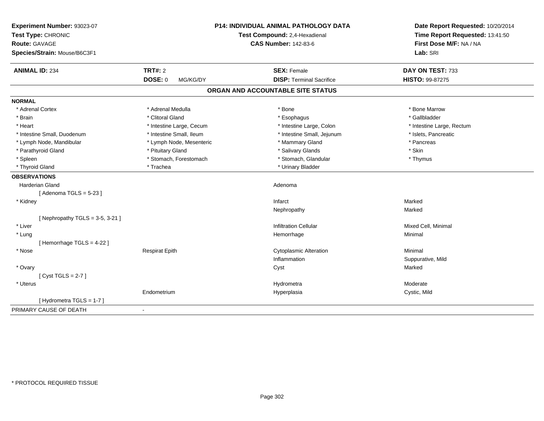| Experiment Number: 93023-07<br>Test Type: CHRONIC<br>Route: GAVAGE<br>Species/Strain: Mouse/B6C3F1 | <b>P14: INDIVIDUAL ANIMAL PATHOLOGY DATA</b><br>Test Compound: 2,4-Hexadienal<br><b>CAS Number: 142-83-6</b> |                                   | Date Report Requested: 10/20/2014<br>Time Report Requested: 13:41:50<br>First Dose M/F: NA / NA<br>Lab: SRI |
|----------------------------------------------------------------------------------------------------|--------------------------------------------------------------------------------------------------------------|-----------------------------------|-------------------------------------------------------------------------------------------------------------|
| <b>ANIMAL ID: 234</b>                                                                              | <b>TRT#: 2</b>                                                                                               | <b>SEX: Female</b>                | DAY ON TEST: 733                                                                                            |
|                                                                                                    | <b>DOSE: 0</b><br>MG/KG/DY                                                                                   | <b>DISP: Terminal Sacrifice</b>   | HISTO: 99-87275                                                                                             |
|                                                                                                    |                                                                                                              | ORGAN AND ACCOUNTABLE SITE STATUS |                                                                                                             |
| <b>NORMAL</b>                                                                                      |                                                                                                              |                                   |                                                                                                             |
| * Adrenal Cortex                                                                                   | * Adrenal Medulla                                                                                            | * Bone                            | * Bone Marrow                                                                                               |
| * Brain                                                                                            | * Clitoral Gland                                                                                             | * Esophagus                       | * Gallbladder                                                                                               |
| * Heart                                                                                            | * Intestine Large, Cecum                                                                                     | * Intestine Large, Colon          | * Intestine Large, Rectum                                                                                   |
| * Intestine Small, Duodenum                                                                        | * Intestine Small, Ileum                                                                                     | * Intestine Small, Jejunum        | * Islets, Pancreatic                                                                                        |
| * Lymph Node, Mandibular                                                                           | * Lymph Node, Mesenteric                                                                                     | * Mammary Gland                   | * Pancreas                                                                                                  |
| * Parathyroid Gland                                                                                | * Pituitary Gland                                                                                            | * Salivary Glands                 | * Skin                                                                                                      |
| * Spleen                                                                                           | * Stomach, Forestomach                                                                                       | * Stomach, Glandular              | * Thymus                                                                                                    |
| * Thyroid Gland                                                                                    | * Trachea                                                                                                    | * Urinary Bladder                 |                                                                                                             |
| <b>OBSERVATIONS</b>                                                                                |                                                                                                              |                                   |                                                                                                             |
| Harderian Gland                                                                                    |                                                                                                              | Adenoma                           |                                                                                                             |
| [Adenoma TGLS = $5-23$ ]                                                                           |                                                                                                              |                                   |                                                                                                             |
| * Kidney                                                                                           |                                                                                                              | Infarct                           | Marked                                                                                                      |
|                                                                                                    |                                                                                                              | Nephropathy                       | Marked                                                                                                      |
| [Nephropathy TGLS = $3-5$ , $3-21$ ]                                                               |                                                                                                              |                                   |                                                                                                             |
| * Liver                                                                                            |                                                                                                              | <b>Infiltration Cellular</b>      | Mixed Cell, Minimal                                                                                         |
| * Lung                                                                                             |                                                                                                              | Hemorrhage                        | Minimal                                                                                                     |
| [Hemorrhage TGLS = 4-22]                                                                           |                                                                                                              |                                   |                                                                                                             |
| * Nose                                                                                             | <b>Respirat Epith</b>                                                                                        | <b>Cytoplasmic Alteration</b>     | Minimal                                                                                                     |
|                                                                                                    |                                                                                                              | Inflammation                      | Suppurative, Mild                                                                                           |
| * Ovary                                                                                            |                                                                                                              | Cyst                              | Marked                                                                                                      |
| [Cyst TGLS = $2-7$ ]                                                                               |                                                                                                              |                                   |                                                                                                             |
| * Uterus                                                                                           |                                                                                                              | Hydrometra                        | Moderate                                                                                                    |
|                                                                                                    | Endometrium                                                                                                  | Hyperplasia                       | Cystic, Mild                                                                                                |
| [Hydrometra TGLS = 1-7]                                                                            |                                                                                                              |                                   |                                                                                                             |
| PRIMARY CAUSE OF DEATH                                                                             | $\mathbf{r}$                                                                                                 |                                   |                                                                                                             |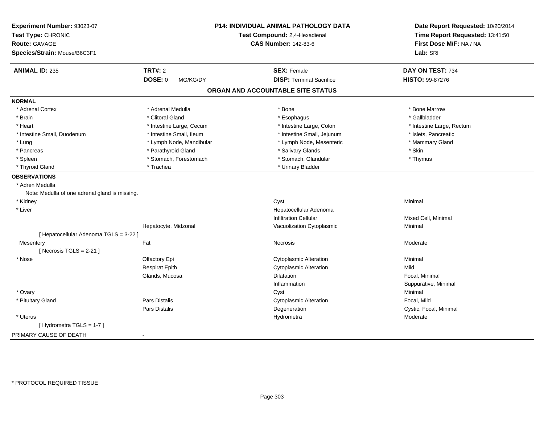| Experiment Number: 93023-07                    |                          | P14: INDIVIDUAL ANIMAL PATHOLOGY DATA | Date Report Requested: 10/20/2014 |
|------------------------------------------------|--------------------------|---------------------------------------|-----------------------------------|
| Test Type: CHRONIC                             |                          | Test Compound: 2,4-Hexadienal         | Time Report Requested: 13:41:50   |
| <b>Route: GAVAGE</b>                           |                          | <b>CAS Number: 142-83-6</b>           | First Dose M/F: NA / NA           |
| Species/Strain: Mouse/B6C3F1                   |                          |                                       | Lab: SRI                          |
| <b>ANIMAL ID: 235</b>                          | TRT#: 2                  | <b>SEX: Female</b>                    | DAY ON TEST: 734                  |
|                                                | DOSE: 0<br>MG/KG/DY      | <b>DISP: Terminal Sacrifice</b>       | HISTO: 99-87276                   |
|                                                |                          | ORGAN AND ACCOUNTABLE SITE STATUS     |                                   |
| <b>NORMAL</b>                                  |                          |                                       |                                   |
| * Adrenal Cortex                               | * Adrenal Medulla        | * Bone                                | * Bone Marrow                     |
| * Brain                                        | * Clitoral Gland         | * Esophagus                           | * Gallbladder                     |
| * Heart                                        | * Intestine Large, Cecum | * Intestine Large, Colon              | * Intestine Large, Rectum         |
| * Intestine Small, Duodenum                    | * Intestine Small, Ileum | * Intestine Small, Jejunum            | * Islets, Pancreatic              |
| * Lung                                         | * Lymph Node, Mandibular | * Lymph Node, Mesenteric              | * Mammary Gland                   |
| * Pancreas                                     | * Parathyroid Gland      | * Salivary Glands                     | * Skin                            |
| * Spleen                                       | * Stomach, Forestomach   | * Stomach, Glandular                  | * Thymus                          |
| * Thyroid Gland                                | * Trachea                | * Urinary Bladder                     |                                   |
| <b>OBSERVATIONS</b>                            |                          |                                       |                                   |
| * Adren Medulla                                |                          |                                       |                                   |
| Note: Medulla of one adrenal gland is missing. |                          |                                       |                                   |
| * Kidney                                       |                          | Cyst                                  | Minimal                           |
| * Liver                                        |                          | Hepatocellular Adenoma                |                                   |
|                                                |                          | <b>Infiltration Cellular</b>          | Mixed Cell, Minimal               |
|                                                | Hepatocyte, Midzonal     | Vacuolization Cytoplasmic             | Minimal                           |
| [ Hepatocellular Adenoma TGLS = 3-22 ]         |                          |                                       |                                   |
| Mesentery                                      | Fat                      | <b>Necrosis</b>                       | Moderate                          |
| [Necrosis TGLS = $2-21$ ]                      |                          |                                       |                                   |
| * Nose                                         | Olfactory Epi            | <b>Cytoplasmic Alteration</b>         | Minimal                           |
|                                                | <b>Respirat Epith</b>    | <b>Cytoplasmic Alteration</b>         | Mild                              |
|                                                | Glands, Mucosa           | <b>Dilatation</b>                     | Focal, Minimal                    |
|                                                |                          | Inflammation                          | Suppurative, Minimal              |
| * Ovary                                        |                          | Cyst                                  | Minimal                           |
| * Pituitary Gland                              | Pars Distalis            | <b>Cytoplasmic Alteration</b>         | Focal, Mild                       |
|                                                | Pars Distalis            | Degeneration                          | Cystic, Focal, Minimal            |
| * Uterus                                       |                          | Hydrometra                            | Moderate                          |
| [Hydrometra TGLS = 1-7]                        |                          |                                       |                                   |
| PRIMARY CAUSE OF DEATH                         | $\blacksquare$           |                                       |                                   |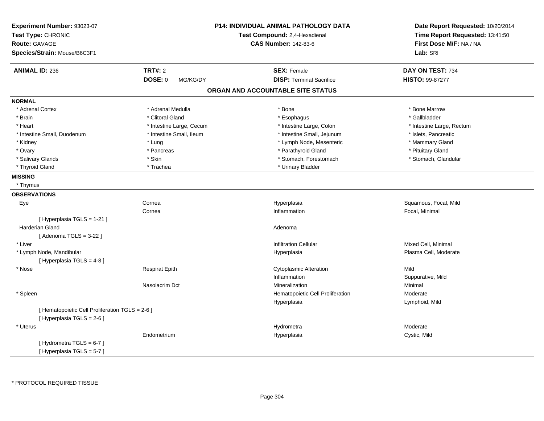| Experiment Number: 93023-07<br>Test Type: CHRONIC<br>Route: GAVAGE<br>Species/Strain: Mouse/B6C3F1 |                          | P14: INDIVIDUAL ANIMAL PATHOLOGY DATA<br>Test Compound: 2,4-Hexadienal<br><b>CAS Number: 142-83-6</b> | Date Report Requested: 10/20/2014<br>Time Report Requested: 13:41:50<br>First Dose M/F: NA / NA<br>Lab: SRI |
|----------------------------------------------------------------------------------------------------|--------------------------|-------------------------------------------------------------------------------------------------------|-------------------------------------------------------------------------------------------------------------|
| <b>ANIMAL ID: 236</b>                                                                              | <b>TRT#: 2</b>           | <b>SEX: Female</b>                                                                                    | DAY ON TEST: 734                                                                                            |
|                                                                                                    | DOSE: 0<br>MG/KG/DY      | <b>DISP: Terminal Sacrifice</b>                                                                       | HISTO: 99-87277                                                                                             |
|                                                                                                    |                          | ORGAN AND ACCOUNTABLE SITE STATUS                                                                     |                                                                                                             |
| <b>NORMAL</b>                                                                                      |                          |                                                                                                       |                                                                                                             |
| * Adrenal Cortex                                                                                   | * Adrenal Medulla        | * Bone                                                                                                | * Bone Marrow                                                                                               |
| * Brain                                                                                            | * Clitoral Gland         | * Esophagus                                                                                           | * Gallbladder                                                                                               |
| * Heart                                                                                            | * Intestine Large, Cecum | * Intestine Large, Colon                                                                              | * Intestine Large, Rectum                                                                                   |
| * Intestine Small, Duodenum                                                                        | * Intestine Small, Ileum | * Intestine Small, Jejunum                                                                            | * Islets, Pancreatic                                                                                        |
| * Kidney                                                                                           | * Lung                   | * Lymph Node, Mesenteric                                                                              | * Mammary Gland                                                                                             |
| * Ovary                                                                                            | * Pancreas               | * Parathyroid Gland                                                                                   | * Pituitary Gland                                                                                           |
| * Salivary Glands                                                                                  | * Skin                   | * Stomach, Forestomach                                                                                | * Stomach, Glandular                                                                                        |
| * Thyroid Gland                                                                                    | * Trachea                | * Urinary Bladder                                                                                     |                                                                                                             |
| <b>MISSING</b>                                                                                     |                          |                                                                                                       |                                                                                                             |
| * Thymus                                                                                           |                          |                                                                                                       |                                                                                                             |
| <b>OBSERVATIONS</b>                                                                                |                          |                                                                                                       |                                                                                                             |
| Eye                                                                                                | Cornea                   | Hyperplasia                                                                                           | Squamous, Focal, Mild                                                                                       |
|                                                                                                    | Cornea                   | Inflammation                                                                                          | Focal, Minimal                                                                                              |
| [Hyperplasia TGLS = 1-21]                                                                          |                          |                                                                                                       |                                                                                                             |
| Harderian Gland                                                                                    |                          | Adenoma                                                                                               |                                                                                                             |
| [ Adenoma TGLS = 3-22 ]                                                                            |                          |                                                                                                       |                                                                                                             |
| * Liver                                                                                            |                          | <b>Infiltration Cellular</b>                                                                          | Mixed Cell, Minimal                                                                                         |
| * Lymph Node, Mandibular                                                                           |                          | Hyperplasia                                                                                           | Plasma Cell, Moderate                                                                                       |
| [ Hyperplasia TGLS = 4-8]                                                                          |                          |                                                                                                       |                                                                                                             |
| * Nose                                                                                             | <b>Respirat Epith</b>    | <b>Cytoplasmic Alteration</b>                                                                         | Mild                                                                                                        |
|                                                                                                    |                          | Inflammation                                                                                          | Suppurative, Mild                                                                                           |
|                                                                                                    | Nasolacrim Dct           | Mineralization                                                                                        | Minimal                                                                                                     |
| * Spleen                                                                                           |                          | Hematopoietic Cell Proliferation                                                                      | Moderate                                                                                                    |
|                                                                                                    |                          | Hyperplasia                                                                                           | Lymphoid, Mild                                                                                              |
| [ Hematopoietic Cell Proliferation TGLS = 2-6 ]                                                    |                          |                                                                                                       |                                                                                                             |
| [Hyperplasia TGLS = $2-6$ ]                                                                        |                          |                                                                                                       |                                                                                                             |
| * Uterus                                                                                           |                          | Hydrometra                                                                                            | Moderate                                                                                                    |
|                                                                                                    | Endometrium              | Hyperplasia                                                                                           | Cystic, Mild                                                                                                |
| [Hydrometra TGLS = 6-7]<br>[Hyperplasia TGLS = 5-7]                                                |                          |                                                                                                       |                                                                                                             |
|                                                                                                    |                          |                                                                                                       |                                                                                                             |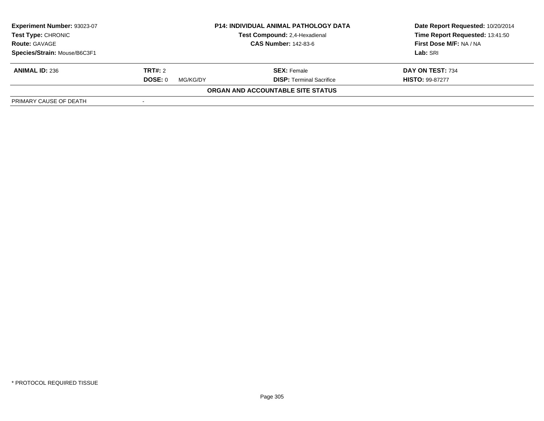| Experiment Number: 93023-07                        |                             | <b>P14: INDIVIDUAL ANIMAL PATHOLOGY DATA</b> | Date Report Requested: 10/20/2014 |  |
|----------------------------------------------------|-----------------------------|----------------------------------------------|-----------------------------------|--|
| <b>Test Type: CHRONIC</b>                          |                             | Test Compound: 2,4-Hexadienal                | Time Report Requested: 13:41:50   |  |
| <b>Route: GAVAGE</b>                               | <b>CAS Number: 142-83-6</b> |                                              | First Dose M/F: NA / NA           |  |
| Species/Strain: Mouse/B6C3F1                       |                             |                                              | Lab: SRI                          |  |
| <b>ANIMAL ID: 236</b>                              | <b>TRT#:</b> 2              | <b>SEX:</b> Female                           | DAY ON TEST: 734                  |  |
|                                                    | DOSE: 0<br>MG/KG/DY         | <b>DISP: Terminal Sacrifice</b>              | <b>HISTO: 99-87277</b>            |  |
|                                                    |                             | ORGAN AND ACCOUNTABLE SITE STATUS            |                                   |  |
| PRIMARY CAUSE OF DEATH<br>$\overline{\phantom{a}}$ |                             |                                              |                                   |  |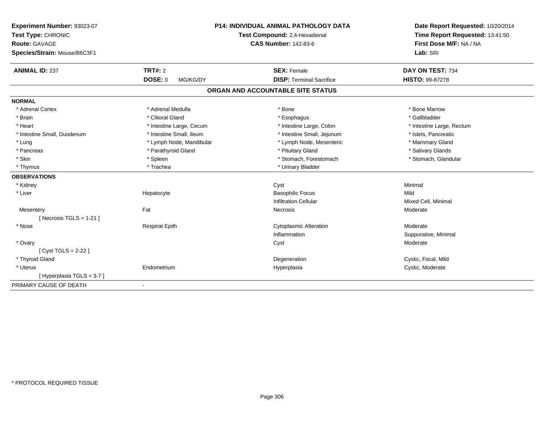| Experiment Number: 93023-07  |                               | P14: INDIVIDUAL ANIMAL PATHOLOGY DATA | Date Report Requested: 10/20/2014<br>Time Report Requested: 13:41:50 |
|------------------------------|-------------------------------|---------------------------------------|----------------------------------------------------------------------|
| Test Type: CHRONIC           | Test Compound: 2,4-Hexadienal |                                       |                                                                      |
| <b>Route: GAVAGE</b>         |                               | <b>CAS Number: 142-83-6</b>           | First Dose M/F: NA / NA                                              |
| Species/Strain: Mouse/B6C3F1 |                               |                                       | Lab: SRI                                                             |
| <b>ANIMAL ID: 237</b>        | <b>TRT#: 2</b>                | <b>SEX: Female</b>                    | DAY ON TEST: 734                                                     |
|                              | <b>DOSE: 0</b><br>MG/KG/DY    | <b>DISP: Terminal Sacrifice</b>       | HISTO: 99-87278                                                      |
|                              |                               | ORGAN AND ACCOUNTABLE SITE STATUS     |                                                                      |
| <b>NORMAL</b>                |                               |                                       |                                                                      |
| * Adrenal Cortex             | * Adrenal Medulla             | * Bone                                | * Bone Marrow                                                        |
| * Brain                      | * Clitoral Gland              | * Esophagus                           | * Gallbladder                                                        |
| * Heart                      | * Intestine Large, Cecum      | * Intestine Large, Colon              | * Intestine Large, Rectum                                            |
| * Intestine Small, Duodenum  | * Intestine Small, Ileum      | * Intestine Small, Jejunum            | * Islets, Pancreatic                                                 |
| * Lung                       | * Lymph Node, Mandibular      | * Lymph Node, Mesenteric              | * Mammary Gland                                                      |
| * Pancreas                   | * Parathyroid Gland           | * Pituitary Gland                     | * Salivary Glands                                                    |
| * Skin                       | * Spleen                      | * Stomach, Forestomach                | * Stomach, Glandular                                                 |
| * Thymus                     | * Trachea                     | * Urinary Bladder                     |                                                                      |
| <b>OBSERVATIONS</b>          |                               |                                       |                                                                      |
| * Kidney                     |                               | Cyst                                  | Minimal                                                              |
| * Liver                      | Hepatocyte                    | <b>Basophilic Focus</b>               | Mild                                                                 |
|                              |                               | <b>Infiltration Cellular</b>          | Mixed Cell, Minimal                                                  |
| Mesentery                    | Fat                           | Necrosis                              | Moderate                                                             |
| [Necrosis TGLS = $1-21$ ]    |                               |                                       |                                                                      |
| * Nose                       | <b>Respirat Epith</b>         | <b>Cytoplasmic Alteration</b>         | Moderate                                                             |
|                              |                               | Inflammation                          | Suppurative, Minimal                                                 |
| * Ovary                      |                               | Cyst                                  | Moderate                                                             |
| [Cyst TGLS = $2-22$ ]        |                               |                                       |                                                                      |
| * Thyroid Gland              |                               | Degeneration                          | Cystic, Focal, Mild                                                  |
| * Uterus                     | Endometrium                   | Hyperplasia                           | Cystic, Moderate                                                     |
| [Hyperplasia TGLS = 3-7]     |                               |                                       |                                                                      |
| PRIMARY CAUSE OF DEATH       | $\blacksquare$                |                                       |                                                                      |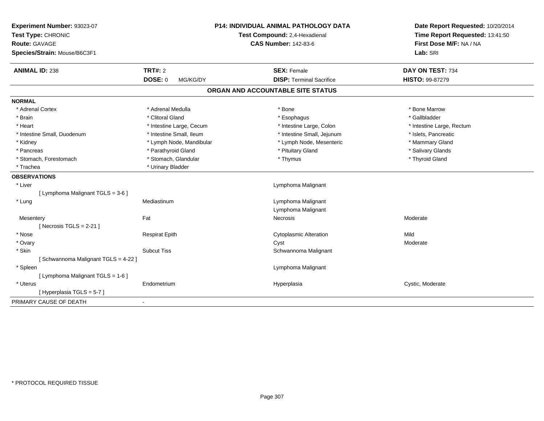| Experiment Number: 93023-07<br>Test Type: CHRONIC<br>Route: GAVAGE<br>Species/Strain: Mouse/B6C3F1 | P14: INDIVIDUAL ANIMAL PATHOLOGY DATA<br>Test Compound: 2,4-Hexadienal<br><b>CAS Number: 142-83-6</b> | Date Report Requested: 10/20/2014<br>Time Report Requested: 13:41:50<br>First Dose M/F: NA / NA<br>Lab: SRI |
|----------------------------------------------------------------------------------------------------|-------------------------------------------------------------------------------------------------------|-------------------------------------------------------------------------------------------------------------|
| <b>ANIMAL ID: 238</b><br><b>TRT#: 2</b>                                                            | <b>SEX: Female</b>                                                                                    | DAY ON TEST: 734                                                                                            |
| DOSE: 0                                                                                            | <b>DISP: Terminal Sacrifice</b><br>MG/KG/DY                                                           | HISTO: 99-87279                                                                                             |
|                                                                                                    | ORGAN AND ACCOUNTABLE SITE STATUS                                                                     |                                                                                                             |
| <b>NORMAL</b>                                                                                      |                                                                                                       |                                                                                                             |
| * Adrenal Medulla<br>* Adrenal Cortex                                                              | * Bone                                                                                                | * Bone Marrow                                                                                               |
| * Clitoral Gland<br>* Brain                                                                        | * Esophagus                                                                                           | * Gallbladder                                                                                               |
| * Intestine Large, Cecum<br>* Heart                                                                | * Intestine Large, Colon                                                                              | * Intestine Large, Rectum                                                                                   |
| * Intestine Small, Ileum<br>* Intestine Small, Duodenum                                            | * Intestine Small, Jejunum                                                                            | * Islets, Pancreatic                                                                                        |
| * Kidney                                                                                           | * Lymph Node, Mandibular<br>* Lymph Node, Mesenteric                                                  | * Mammary Gland                                                                                             |
| * Parathyroid Gland<br>* Pancreas                                                                  | * Pituitary Gland                                                                                     | * Salivary Glands                                                                                           |
| * Stomach, Glandular<br>* Stomach, Forestomach                                                     | * Thymus                                                                                              | * Thyroid Gland                                                                                             |
| * Urinary Bladder<br>* Trachea                                                                     |                                                                                                       |                                                                                                             |
| <b>OBSERVATIONS</b>                                                                                |                                                                                                       |                                                                                                             |
| * Liver                                                                                            | Lymphoma Malignant                                                                                    |                                                                                                             |
| [ Lymphoma Malignant TGLS = 3-6 ]                                                                  |                                                                                                       |                                                                                                             |
| * Lung<br>Mediastinum                                                                              | Lymphoma Malignant                                                                                    |                                                                                                             |
|                                                                                                    | Lymphoma Malignant                                                                                    |                                                                                                             |
| Fat<br>Mesentery                                                                                   | <b>Necrosis</b>                                                                                       | Moderate                                                                                                    |
| [Necrosis TGLS = $2-21$ ]                                                                          |                                                                                                       |                                                                                                             |
| * Nose<br><b>Respirat Epith</b>                                                                    | <b>Cytoplasmic Alteration</b>                                                                         | Mild                                                                                                        |
| * Ovary                                                                                            | Cyst                                                                                                  | Moderate                                                                                                    |
| * Skin<br><b>Subcut Tiss</b>                                                                       | Schwannoma Malignant                                                                                  |                                                                                                             |
| [Schwannoma Malignant TGLS = 4-22]                                                                 |                                                                                                       |                                                                                                             |
| * Spleen                                                                                           | Lymphoma Malignant                                                                                    |                                                                                                             |
| [ Lymphoma Malignant TGLS = 1-6 ]                                                                  |                                                                                                       |                                                                                                             |
| * Uterus<br>Endometrium                                                                            | Hyperplasia                                                                                           | Cystic, Moderate                                                                                            |
| [ Hyperplasia TGLS = 5-7 ]                                                                         |                                                                                                       |                                                                                                             |
| PRIMARY CAUSE OF DEATH<br>$\blacksquare$                                                           |                                                                                                       |                                                                                                             |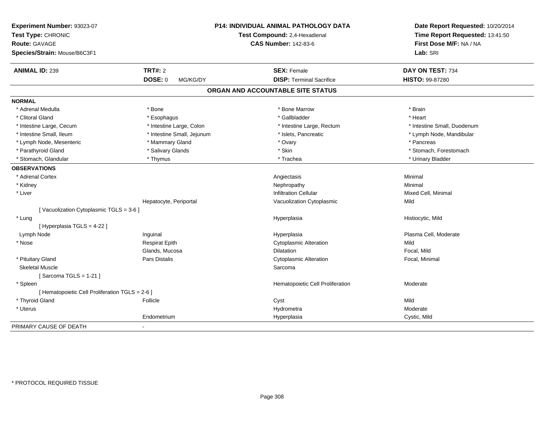| Experiment Number: 93023-07                     | <b>P14: INDIVIDUAL ANIMAL PATHOLOGY DATA</b> |                                   | Date Report Requested: 10/20/2014                          |
|-------------------------------------------------|----------------------------------------------|-----------------------------------|------------------------------------------------------------|
| Test Type: CHRONIC                              |                                              | Test Compound: 2,4-Hexadienal     | Time Report Requested: 13:41:50<br>First Dose M/F: NA / NA |
| Route: GAVAGE                                   |                                              | <b>CAS Number: 142-83-6</b>       |                                                            |
| Species/Strain: Mouse/B6C3F1                    |                                              |                                   | Lab: SRI                                                   |
| <b>ANIMAL ID: 239</b>                           | <b>TRT#: 2</b>                               | <b>SEX: Female</b>                | DAY ON TEST: 734                                           |
|                                                 | <b>DOSE: 0</b><br>MG/KG/DY                   | <b>DISP: Terminal Sacrifice</b>   | <b>HISTO: 99-87280</b>                                     |
|                                                 |                                              | ORGAN AND ACCOUNTABLE SITE STATUS |                                                            |
| <b>NORMAL</b>                                   |                                              |                                   |                                                            |
| * Adrenal Medulla                               | * Bone                                       | * Bone Marrow                     | * Brain                                                    |
| * Clitoral Gland                                | * Esophagus                                  | * Gallbladder                     | * Heart                                                    |
| * Intestine Large, Cecum                        | * Intestine Large, Colon                     | * Intestine Large, Rectum         | * Intestine Small, Duodenum                                |
| * Intestine Small, Ileum                        | * Intestine Small, Jejunum                   | * Islets, Pancreatic              | * Lymph Node, Mandibular                                   |
| * Lymph Node, Mesenteric                        | * Mammary Gland                              | * Ovary                           | * Pancreas                                                 |
| * Parathyroid Gland                             | * Salivary Glands                            | * Skin                            | * Stomach, Forestomach                                     |
| * Stomach, Glandular                            | * Thymus                                     | * Trachea                         | * Urinary Bladder                                          |
| <b>OBSERVATIONS</b>                             |                                              |                                   |                                                            |
| * Adrenal Cortex                                |                                              | Angiectasis                       | Minimal                                                    |
| * Kidney                                        |                                              | Nephropathy                       | Minimal                                                    |
| * Liver                                         |                                              | <b>Infiltration Cellular</b>      | Mixed Cell, Minimal                                        |
|                                                 | Hepatocyte, Periportal                       | Vacuolization Cytoplasmic         | Mild                                                       |
| [Vacuolization Cytoplasmic TGLS = 3-6]          |                                              |                                   |                                                            |
| * Lung                                          |                                              | Hyperplasia                       | Histiocytic, Mild                                          |
| [ Hyperplasia TGLS = 4-22 ]                     |                                              |                                   |                                                            |
| Lymph Node                                      | Inguinal                                     | Hyperplasia                       | Plasma Cell, Moderate                                      |
| * Nose                                          | <b>Respirat Epith</b>                        | Cytoplasmic Alteration            | Mild                                                       |
|                                                 | Glands, Mucosa                               | <b>Dilatation</b>                 | Focal, Mild                                                |
| * Pituitary Gland                               | <b>Pars Distalis</b>                         | <b>Cytoplasmic Alteration</b>     | Focal, Minimal                                             |
| <b>Skeletal Muscle</b>                          |                                              | Sarcoma                           |                                                            |
| [Sarcoma TGLS = $1-21$ ]                        |                                              |                                   |                                                            |
| * Spleen                                        |                                              | Hematopoietic Cell Proliferation  | Moderate                                                   |
| [ Hematopoietic Cell Proliferation TGLS = 2-6 ] |                                              |                                   |                                                            |
| * Thyroid Gland                                 | Follicle                                     | Cyst                              | Mild                                                       |
| * Uterus                                        |                                              | Hydrometra                        | Moderate                                                   |
|                                                 | Endometrium                                  | Hyperplasia                       | Cystic, Mild                                               |
| PRIMARY CAUSE OF DEATH                          | $\blacksquare$                               |                                   |                                                            |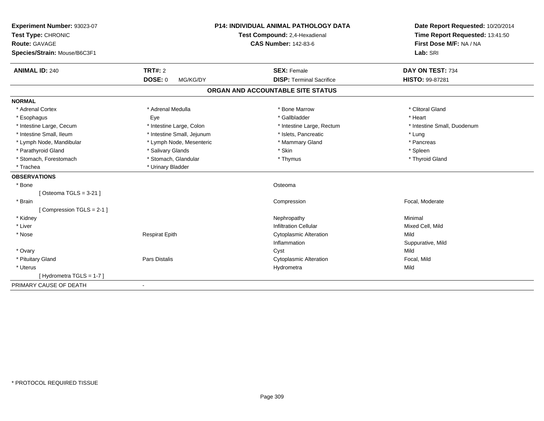| Experiment Number: 93023-07  |                            | <b>P14: INDIVIDUAL ANIMAL PATHOLOGY DATA</b> | Date Report Requested: 10/20/2014                          |
|------------------------------|----------------------------|----------------------------------------------|------------------------------------------------------------|
| Test Type: CHRONIC           |                            | Test Compound: 2,4-Hexadienal                | Time Report Requested: 13:41:50<br>First Dose M/F: NA / NA |
| <b>Route: GAVAGE</b>         |                            | <b>CAS Number: 142-83-6</b>                  |                                                            |
| Species/Strain: Mouse/B6C3F1 |                            |                                              | Lab: SRI                                                   |
| <b>ANIMAL ID: 240</b>        | TRT#: 2                    | <b>SEX: Female</b>                           | DAY ON TEST: 734                                           |
|                              | <b>DOSE: 0</b><br>MG/KG/DY | <b>DISP: Terminal Sacrifice</b>              | HISTO: 99-87281                                            |
|                              |                            | ORGAN AND ACCOUNTABLE SITE STATUS            |                                                            |
| <b>NORMAL</b>                |                            |                                              |                                                            |
| * Adrenal Cortex             | * Adrenal Medulla          | * Bone Marrow                                | * Clitoral Gland                                           |
| * Esophagus                  | Eye                        | * Gallbladder                                | * Heart                                                    |
| * Intestine Large, Cecum     | * Intestine Large, Colon   | * Intestine Large, Rectum                    | * Intestine Small, Duodenum                                |
| * Intestine Small, Ileum     | * Intestine Small, Jejunum | * Islets, Pancreatic                         | * Lung                                                     |
| * Lymph Node, Mandibular     | * Lymph Node, Mesenteric   | * Mammary Gland                              | * Pancreas                                                 |
| * Parathyroid Gland          | * Salivary Glands          | * Skin                                       | * Spleen                                                   |
| * Stomach, Forestomach       | * Stomach, Glandular       | * Thymus                                     | * Thyroid Gland                                            |
| * Trachea                    | * Urinary Bladder          |                                              |                                                            |
| <b>OBSERVATIONS</b>          |                            |                                              |                                                            |
| * Bone                       |                            | Osteoma                                      |                                                            |
| [Osteoma TGLS = $3-21$ ]     |                            |                                              |                                                            |
| * Brain                      |                            | Compression                                  | Focal, Moderate                                            |
| [Compression TGLS = 2-1]     |                            |                                              |                                                            |
| * Kidney                     |                            | Nephropathy                                  | Minimal                                                    |
| * Liver                      |                            | <b>Infiltration Cellular</b>                 | Mixed Cell, Mild                                           |
| * Nose                       | <b>Respirat Epith</b>      | <b>Cytoplasmic Alteration</b>                | Mild                                                       |
|                              |                            | Inflammation                                 | Suppurative, Mild                                          |
| * Ovary                      |                            | Cyst                                         | Mild                                                       |
| * Pituitary Gland            | <b>Pars Distalis</b>       | <b>Cytoplasmic Alteration</b>                | Focal, Mild                                                |
| * Uterus                     |                            | Hydrometra                                   | Mild                                                       |
| [Hydrometra TGLS = $1-7$ ]   |                            |                                              |                                                            |
| PRIMARY CAUSE OF DEATH       |                            |                                              |                                                            |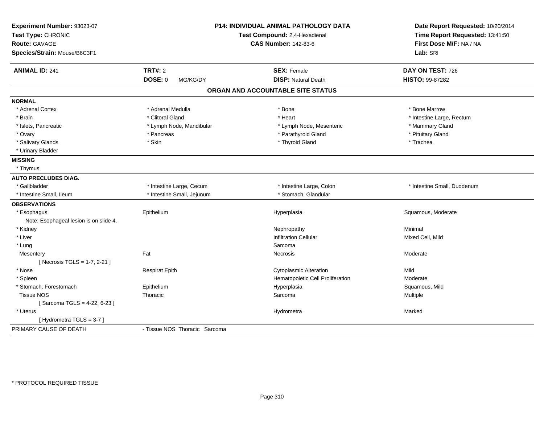| Experiment Number: 93023-07<br>Test Type: CHRONIC<br><b>Route: GAVAGE</b><br>Species/Strain: Mouse/B6C3F1 |                               | <b>P14: INDIVIDUAL ANIMAL PATHOLOGY DATA</b><br>Test Compound: 2,4-Hexadienal<br><b>CAS Number: 142-83-6</b> | Date Report Requested: 10/20/2014<br>Time Report Requested: 13:41:50<br>First Dose M/F: NA / NA<br>Lab: SRI |
|-----------------------------------------------------------------------------------------------------------|-------------------------------|--------------------------------------------------------------------------------------------------------------|-------------------------------------------------------------------------------------------------------------|
| <b>ANIMAL ID: 241</b>                                                                                     | <b>TRT#: 2</b>                | <b>SEX: Female</b>                                                                                           | DAY ON TEST: 726                                                                                            |
|                                                                                                           | DOSE: 0<br>MG/KG/DY           | <b>DISP: Natural Death</b>                                                                                   | HISTO: 99-87282                                                                                             |
|                                                                                                           |                               | ORGAN AND ACCOUNTABLE SITE STATUS                                                                            |                                                                                                             |
| <b>NORMAL</b>                                                                                             |                               |                                                                                                              |                                                                                                             |
| * Adrenal Cortex                                                                                          | * Adrenal Medulla             | * Bone                                                                                                       | * Bone Marrow                                                                                               |
| * Brain                                                                                                   | * Clitoral Gland              | * Heart                                                                                                      | * Intestine Large, Rectum                                                                                   |
| * Islets, Pancreatic                                                                                      | * Lymph Node, Mandibular      | * Lymph Node, Mesenteric                                                                                     | * Mammary Gland                                                                                             |
| * Ovary                                                                                                   | * Pancreas                    | * Parathyroid Gland                                                                                          | * Pituitary Gland                                                                                           |
| * Salivary Glands                                                                                         | * Skin                        | * Thyroid Gland                                                                                              | * Trachea                                                                                                   |
| * Urinary Bladder                                                                                         |                               |                                                                                                              |                                                                                                             |
| <b>MISSING</b>                                                                                            |                               |                                                                                                              |                                                                                                             |
| * Thymus                                                                                                  |                               |                                                                                                              |                                                                                                             |
| <b>AUTO PRECLUDES DIAG.</b>                                                                               |                               |                                                                                                              |                                                                                                             |
| * Gallbladder                                                                                             | * Intestine Large, Cecum      | * Intestine Large, Colon                                                                                     | * Intestine Small, Duodenum                                                                                 |
| * Intestine Small. Ileum                                                                                  | * Intestine Small, Jejunum    | * Stomach, Glandular                                                                                         |                                                                                                             |
| <b>OBSERVATIONS</b>                                                                                       |                               |                                                                                                              |                                                                                                             |
| * Esophagus                                                                                               | Epithelium                    | Hyperplasia                                                                                                  | Squamous, Moderate                                                                                          |
| Note: Esophageal lesion is on slide 4.                                                                    |                               |                                                                                                              |                                                                                                             |
| * Kidney                                                                                                  |                               | Nephropathy                                                                                                  | Minimal                                                                                                     |
| * Liver                                                                                                   |                               | <b>Infiltration Cellular</b>                                                                                 | Mixed Cell, Mild                                                                                            |
| * Lung                                                                                                    |                               | Sarcoma                                                                                                      |                                                                                                             |
| Mesentery                                                                                                 | Fat                           | <b>Necrosis</b>                                                                                              | Moderate                                                                                                    |
| [ Necrosis TGLS = 1-7, 2-21 ]                                                                             |                               |                                                                                                              |                                                                                                             |
| * Nose                                                                                                    | <b>Respirat Epith</b>         | <b>Cytoplasmic Alteration</b>                                                                                | Mild                                                                                                        |
| * Spleen                                                                                                  |                               | Hematopoietic Cell Proliferation                                                                             | Moderate                                                                                                    |
| * Stomach, Forestomach                                                                                    | Epithelium                    | Hyperplasia                                                                                                  | Squamous, Mild                                                                                              |
| <b>Tissue NOS</b>                                                                                         | Thoracic                      | Sarcoma                                                                                                      | Multiple                                                                                                    |
| [Sarcoma TGLS = 4-22, 6-23]                                                                               |                               |                                                                                                              |                                                                                                             |
| * Uterus                                                                                                  |                               | Hydrometra                                                                                                   | Marked                                                                                                      |
| [Hydrometra TGLS = 3-7]                                                                                   |                               |                                                                                                              |                                                                                                             |
| PRIMARY CAUSE OF DEATH                                                                                    | - Tissue NOS Thoracic Sarcoma |                                                                                                              |                                                                                                             |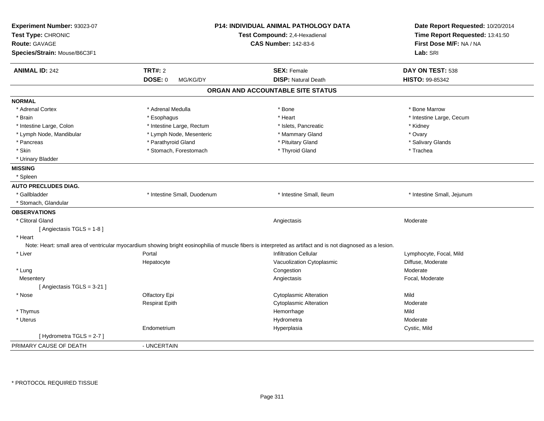| Experiment Number: 93023-07<br>Test Type: CHRONIC<br><b>Route: GAVAGE</b><br>Species/Strain: Mouse/B6C3F1 |                             | <b>P14: INDIVIDUAL ANIMAL PATHOLOGY DATA</b><br>Test Compound: 2,4-Hexadienal<br><b>CAS Number: 142-83-6</b>                                                |                            |
|-----------------------------------------------------------------------------------------------------------|-----------------------------|-------------------------------------------------------------------------------------------------------------------------------------------------------------|----------------------------|
| <b>ANIMAL ID: 242</b>                                                                                     | <b>TRT#: 2</b>              | <b>SEX: Female</b>                                                                                                                                          | DAY ON TEST: 538           |
|                                                                                                           | <b>DOSE: 0</b><br>MG/KG/DY  | <b>DISP: Natural Death</b>                                                                                                                                  | HISTO: 99-85342            |
|                                                                                                           |                             | ORGAN AND ACCOUNTABLE SITE STATUS                                                                                                                           |                            |
| <b>NORMAL</b>                                                                                             |                             |                                                                                                                                                             |                            |
| * Adrenal Cortex                                                                                          | * Adrenal Medulla           | * Bone                                                                                                                                                      | * Bone Marrow              |
| * Brain                                                                                                   | * Esophagus                 | * Heart                                                                                                                                                     | * Intestine Large, Cecum   |
| * Intestine Large, Colon                                                                                  | * Intestine Large, Rectum   | * Islets, Pancreatic                                                                                                                                        | * Kidney                   |
| * Lymph Node, Mandibular                                                                                  | * Lymph Node, Mesenteric    | * Mammary Gland                                                                                                                                             | * Ovary                    |
| * Pancreas                                                                                                | * Parathyroid Gland         | * Pituitary Gland                                                                                                                                           | * Salivary Glands          |
| * Skin                                                                                                    | * Stomach, Forestomach      | * Thyroid Gland                                                                                                                                             | * Trachea                  |
| * Urinary Bladder                                                                                         |                             |                                                                                                                                                             |                            |
| <b>MISSING</b>                                                                                            |                             |                                                                                                                                                             |                            |
| * Spleen                                                                                                  |                             |                                                                                                                                                             |                            |
| <b>AUTO PRECLUDES DIAG.</b>                                                                               |                             |                                                                                                                                                             |                            |
| * Gallbladder                                                                                             | * Intestine Small, Duodenum | * Intestine Small, Ileum                                                                                                                                    | * Intestine Small, Jejunum |
| * Stomach, Glandular                                                                                      |                             |                                                                                                                                                             |                            |
| <b>OBSERVATIONS</b>                                                                                       |                             |                                                                                                                                                             |                            |
| * Clitoral Gland                                                                                          |                             | Angiectasis                                                                                                                                                 | Moderate                   |
| [Angiectasis TGLS = 1-8]                                                                                  |                             |                                                                                                                                                             |                            |
| * Heart                                                                                                   |                             |                                                                                                                                                             |                            |
|                                                                                                           |                             | Note: Heart: small area of ventricular myocardium showing bright eosinophilia of muscle fibers is interpreted as artifact and is not diagnosed as a lesion. |                            |
| * Liver                                                                                                   | Portal                      | <b>Infiltration Cellular</b>                                                                                                                                | Lymphocyte, Focal, Mild    |
|                                                                                                           | Hepatocyte                  | Vacuolization Cytoplasmic                                                                                                                                   | Diffuse, Moderate          |
| * Lung                                                                                                    |                             | Congestion                                                                                                                                                  | Moderate                   |
| Mesentery                                                                                                 |                             | Angiectasis                                                                                                                                                 | Focal, Moderate            |
| [Angiectasis TGLS = 3-21]                                                                                 |                             |                                                                                                                                                             |                            |
| * Nose                                                                                                    | Olfactory Epi               | <b>Cytoplasmic Alteration</b>                                                                                                                               | Mild                       |
|                                                                                                           | <b>Respirat Epith</b>       | <b>Cytoplasmic Alteration</b>                                                                                                                               | Moderate                   |
| * Thymus                                                                                                  |                             | Hemorrhage                                                                                                                                                  | Mild                       |
| * Uterus                                                                                                  |                             | Hydrometra                                                                                                                                                  | Moderate                   |
|                                                                                                           | Endometrium                 | Hyperplasia                                                                                                                                                 | Cystic, Mild               |
| [Hydrometra TGLS = $2-7$ ]                                                                                |                             |                                                                                                                                                             |                            |
| PRIMARY CAUSE OF DEATH                                                                                    | - UNCERTAIN                 |                                                                                                                                                             |                            |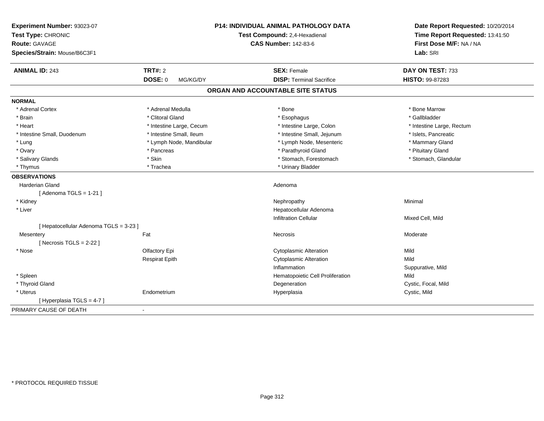| Experiment Number: 93023-07<br>Test Type: CHRONIC<br>Route: GAVAGE<br>Species/Strain: Mouse/B6C3F1 | <b>P14: INDIVIDUAL ANIMAL PATHOLOGY DATA</b><br>Test Compound: 2,4-Hexadienal<br><b>CAS Number: 142-83-6</b> |                                   | Date Report Requested: 10/20/2014<br>Time Report Requested: 13:41:50<br>First Dose M/F: NA / NA<br>Lab: SRI |
|----------------------------------------------------------------------------------------------------|--------------------------------------------------------------------------------------------------------------|-----------------------------------|-------------------------------------------------------------------------------------------------------------|
| <b>ANIMAL ID: 243</b>                                                                              | <b>TRT#: 2</b>                                                                                               | <b>SEX: Female</b>                | DAY ON TEST: 733                                                                                            |
|                                                                                                    | <b>DOSE: 0</b><br>MG/KG/DY                                                                                   | <b>DISP: Terminal Sacrifice</b>   | <b>HISTO: 99-87283</b>                                                                                      |
|                                                                                                    |                                                                                                              | ORGAN AND ACCOUNTABLE SITE STATUS |                                                                                                             |
| <b>NORMAL</b>                                                                                      |                                                                                                              |                                   |                                                                                                             |
| * Adrenal Cortex                                                                                   | * Adrenal Medulla                                                                                            | * Bone                            | * Bone Marrow                                                                                               |
| * Brain                                                                                            | * Clitoral Gland                                                                                             | * Esophagus                       | * Gallbladder                                                                                               |
| * Heart                                                                                            | * Intestine Large, Cecum                                                                                     | * Intestine Large, Colon          | * Intestine Large, Rectum                                                                                   |
| * Intestine Small, Duodenum                                                                        | * Intestine Small, Ileum                                                                                     | * Intestine Small, Jejunum        | * Islets, Pancreatic                                                                                        |
| * Lung                                                                                             | * Lymph Node, Mandibular                                                                                     | * Lymph Node, Mesenteric          | * Mammary Gland                                                                                             |
| * Ovary                                                                                            | * Pancreas                                                                                                   | * Parathyroid Gland               | * Pituitary Gland                                                                                           |
| * Salivary Glands                                                                                  | * Skin                                                                                                       | * Stomach, Forestomach            | * Stomach, Glandular                                                                                        |
| * Thymus                                                                                           | * Trachea                                                                                                    | * Urinary Bladder                 |                                                                                                             |
| <b>OBSERVATIONS</b>                                                                                |                                                                                                              |                                   |                                                                                                             |
| <b>Harderian Gland</b>                                                                             |                                                                                                              | Adenoma                           |                                                                                                             |
| [Adenoma TGLS = $1-21$ ]                                                                           |                                                                                                              |                                   |                                                                                                             |
| * Kidney                                                                                           |                                                                                                              | Nephropathy                       | Minimal                                                                                                     |
| * Liver                                                                                            |                                                                                                              | Hepatocellular Adenoma            |                                                                                                             |
|                                                                                                    |                                                                                                              | <b>Infiltration Cellular</b>      | Mixed Cell, Mild                                                                                            |
| [ Hepatocellular Adenoma TGLS = 3-23 ]                                                             |                                                                                                              |                                   |                                                                                                             |
| Mesentery                                                                                          | Fat                                                                                                          | Necrosis                          | Moderate                                                                                                    |
| [Necrosis TGLS = $2-22$ ]                                                                          |                                                                                                              |                                   |                                                                                                             |
| * Nose                                                                                             | Olfactory Epi                                                                                                | <b>Cytoplasmic Alteration</b>     | Mild                                                                                                        |
|                                                                                                    | <b>Respirat Epith</b>                                                                                        | <b>Cytoplasmic Alteration</b>     | Mild                                                                                                        |
|                                                                                                    |                                                                                                              | Inflammation                      | Suppurative, Mild                                                                                           |
| * Spleen                                                                                           |                                                                                                              | Hematopoietic Cell Proliferation  | Mild                                                                                                        |
| * Thyroid Gland                                                                                    |                                                                                                              | Degeneration                      | Cystic, Focal, Mild                                                                                         |
| * Uterus                                                                                           | Endometrium                                                                                                  | Hyperplasia                       | Cystic, Mild                                                                                                |
| [Hyperplasia TGLS = 4-7]                                                                           |                                                                                                              |                                   |                                                                                                             |
| PRIMARY CAUSE OF DEATH                                                                             | ÷.                                                                                                           |                                   |                                                                                                             |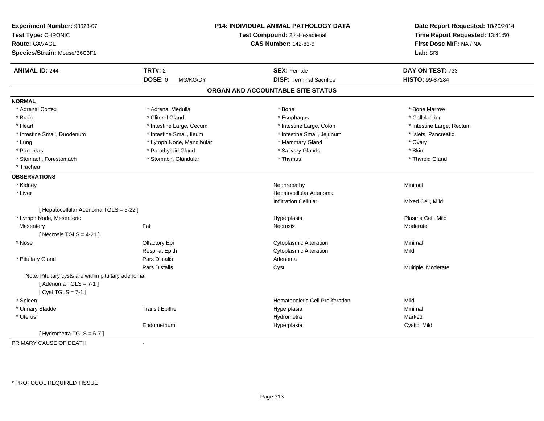| Experiment Number: 93023-07<br>Test Type: CHRONIC<br><b>Route: GAVAGE</b><br>Species/Strain: Mouse/B6C3F1 |                            | P14: INDIVIDUAL ANIMAL PATHOLOGY DATA<br>Test Compound: 2,4-Hexadienal<br><b>CAS Number: 142-83-6</b> | Date Report Requested: 10/20/2014<br>Time Report Requested: 13:41:50<br>First Dose M/F: NA / NA<br>Lab: SRI |
|-----------------------------------------------------------------------------------------------------------|----------------------------|-------------------------------------------------------------------------------------------------------|-------------------------------------------------------------------------------------------------------------|
| <b>ANIMAL ID: 244</b>                                                                                     | <b>TRT#: 2</b>             | <b>SEX: Female</b>                                                                                    | DAY ON TEST: 733                                                                                            |
|                                                                                                           | <b>DOSE: 0</b><br>MG/KG/DY | <b>DISP: Terminal Sacrifice</b>                                                                       | HISTO: 99-87284                                                                                             |
|                                                                                                           |                            | ORGAN AND ACCOUNTABLE SITE STATUS                                                                     |                                                                                                             |
| <b>NORMAL</b>                                                                                             |                            |                                                                                                       |                                                                                                             |
| * Adrenal Cortex                                                                                          | * Adrenal Medulla          | * Bone                                                                                                | * Bone Marrow                                                                                               |
| * Brain                                                                                                   | * Clitoral Gland           | * Esophagus                                                                                           | * Gallbladder                                                                                               |
| * Heart                                                                                                   | * Intestine Large, Cecum   | * Intestine Large, Colon                                                                              | * Intestine Large, Rectum                                                                                   |
| * Intestine Small, Duodenum                                                                               | * Intestine Small, Ileum   | * Intestine Small, Jejunum                                                                            | * Islets, Pancreatic                                                                                        |
| * Lung                                                                                                    | * Lymph Node, Mandibular   | * Mammary Gland                                                                                       | * Ovary                                                                                                     |
| * Pancreas                                                                                                | * Parathyroid Gland        | * Salivary Glands                                                                                     | * Skin                                                                                                      |
| * Stomach, Forestomach                                                                                    | * Stomach, Glandular       | * Thymus                                                                                              | * Thyroid Gland                                                                                             |
| * Trachea                                                                                                 |                            |                                                                                                       |                                                                                                             |
| <b>OBSERVATIONS</b>                                                                                       |                            |                                                                                                       |                                                                                                             |
| * Kidney                                                                                                  |                            | Nephropathy                                                                                           | Minimal                                                                                                     |
| * Liver                                                                                                   |                            | Hepatocellular Adenoma                                                                                |                                                                                                             |
|                                                                                                           |                            | <b>Infiltration Cellular</b>                                                                          | Mixed Cell, Mild                                                                                            |
| [ Hepatocellular Adenoma TGLS = 5-22 ]                                                                    |                            |                                                                                                       |                                                                                                             |
| * Lymph Node, Mesenteric                                                                                  |                            | Hyperplasia                                                                                           | Plasma Cell, Mild                                                                                           |
| Mesentery                                                                                                 | Fat                        | Necrosis                                                                                              | Moderate                                                                                                    |
| [Necrosis $TGLS = 4-21$ ]                                                                                 |                            |                                                                                                       |                                                                                                             |
| * Nose                                                                                                    | Olfactory Epi              | <b>Cytoplasmic Alteration</b>                                                                         | Minimal                                                                                                     |
|                                                                                                           | <b>Respirat Epith</b>      | <b>Cytoplasmic Alteration</b>                                                                         | Mild                                                                                                        |
| * Pituitary Gland                                                                                         | <b>Pars Distalis</b>       | Adenoma                                                                                               |                                                                                                             |
|                                                                                                           | <b>Pars Distalis</b>       | Cyst                                                                                                  | Multiple, Moderate                                                                                          |
| Note: Pituitary cysts are within pituitary adenoma.<br>[Adenoma TGLS = $7-1$ ]<br>[Cyst TGLS = $7-1$ ]    |                            |                                                                                                       |                                                                                                             |
| * Spleen                                                                                                  |                            | Hematopoietic Cell Proliferation                                                                      | Mild                                                                                                        |
| * Urinary Bladder                                                                                         | <b>Transit Epithe</b>      | Hyperplasia                                                                                           | Minimal                                                                                                     |
| * Uterus                                                                                                  |                            | Hydrometra                                                                                            | Marked                                                                                                      |
|                                                                                                           | Endometrium                | Hyperplasia                                                                                           | Cystic, Mild                                                                                                |
| [Hydrometra TGLS = $6-7$ ]                                                                                |                            |                                                                                                       |                                                                                                             |
| PRIMARY CAUSE OF DEATH                                                                                    |                            |                                                                                                       |                                                                                                             |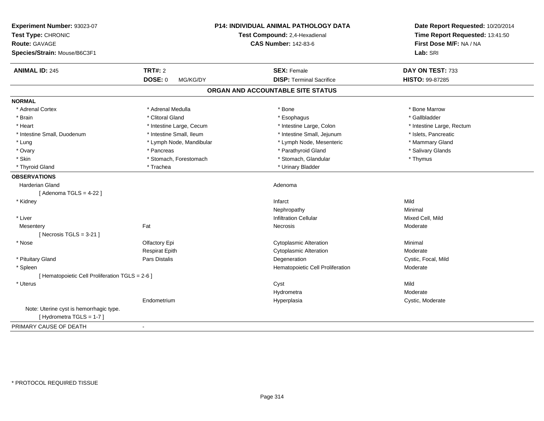| Experiment Number: 93023-07<br>Test Type: CHRONIC<br><b>Route: GAVAGE</b><br>Species/Strain: Mouse/B6C3F1 | <b>P14: INDIVIDUAL ANIMAL PATHOLOGY DATA</b><br>Test Compound: 2,4-Hexadienal<br><b>CAS Number: 142-83-6</b> |                                   | Date Report Requested: 10/20/2014<br>Time Report Requested: 13:41:50<br>First Dose M/F: NA / NA<br>Lab: SRI |
|-----------------------------------------------------------------------------------------------------------|--------------------------------------------------------------------------------------------------------------|-----------------------------------|-------------------------------------------------------------------------------------------------------------|
| <b>ANIMAL ID: 245</b>                                                                                     | <b>TRT#: 2</b>                                                                                               | <b>SEX: Female</b>                | DAY ON TEST: 733                                                                                            |
|                                                                                                           | <b>DOSE: 0</b><br>MG/KG/DY                                                                                   | <b>DISP: Terminal Sacrifice</b>   | <b>HISTO: 99-87285</b>                                                                                      |
|                                                                                                           |                                                                                                              | ORGAN AND ACCOUNTABLE SITE STATUS |                                                                                                             |
| <b>NORMAL</b>                                                                                             |                                                                                                              |                                   |                                                                                                             |
| * Adrenal Cortex                                                                                          | * Adrenal Medulla                                                                                            | * Bone                            | * Bone Marrow                                                                                               |
| * Brain                                                                                                   | * Clitoral Gland                                                                                             | * Esophagus                       | * Gallbladder                                                                                               |
| * Heart                                                                                                   | * Intestine Large, Cecum                                                                                     | * Intestine Large, Colon          | * Intestine Large, Rectum                                                                                   |
| * Intestine Small, Duodenum                                                                               | * Intestine Small, Ileum                                                                                     | * Intestine Small, Jejunum        | * Islets, Pancreatic                                                                                        |
| * Lung                                                                                                    | * Lymph Node, Mandibular                                                                                     | * Lymph Node, Mesenteric          | * Mammary Gland                                                                                             |
| * Ovary                                                                                                   | * Pancreas                                                                                                   | * Parathyroid Gland               | * Salivary Glands                                                                                           |
| * Skin                                                                                                    | * Stomach, Forestomach                                                                                       | * Stomach, Glandular              | * Thymus                                                                                                    |
| * Thyroid Gland                                                                                           | * Trachea                                                                                                    | * Urinary Bladder                 |                                                                                                             |
| <b>OBSERVATIONS</b>                                                                                       |                                                                                                              |                                   |                                                                                                             |
| <b>Harderian Gland</b>                                                                                    |                                                                                                              | Adenoma                           |                                                                                                             |
| [Adenoma TGLS = $4-22$ ]                                                                                  |                                                                                                              |                                   |                                                                                                             |
| * Kidney                                                                                                  |                                                                                                              | Infarct                           | Mild                                                                                                        |
|                                                                                                           |                                                                                                              | Nephropathy                       | Minimal                                                                                                     |
| * Liver                                                                                                   |                                                                                                              | <b>Infiltration Cellular</b>      | Mixed Cell, Mild                                                                                            |
| Mesentery                                                                                                 | Fat                                                                                                          | Necrosis                          | Moderate                                                                                                    |
| [Necrosis TGLS = $3-21$ ]                                                                                 |                                                                                                              |                                   |                                                                                                             |
| * Nose                                                                                                    | Olfactory Epi                                                                                                | <b>Cytoplasmic Alteration</b>     | Minimal                                                                                                     |
|                                                                                                           | <b>Respirat Epith</b>                                                                                        | <b>Cytoplasmic Alteration</b>     | Moderate                                                                                                    |
| * Pituitary Gland                                                                                         | <b>Pars Distalis</b>                                                                                         | Degeneration                      | Cystic, Focal, Mild                                                                                         |
| * Spleen                                                                                                  |                                                                                                              | Hematopoietic Cell Proliferation  | Moderate                                                                                                    |
| [ Hematopoietic Cell Proliferation TGLS = 2-6 ]                                                           |                                                                                                              |                                   |                                                                                                             |
| * Uterus                                                                                                  |                                                                                                              | Cyst                              | Mild                                                                                                        |
|                                                                                                           |                                                                                                              | Hydrometra                        | Moderate                                                                                                    |
|                                                                                                           | Endometrium                                                                                                  | Hyperplasia                       | Cystic, Moderate                                                                                            |
| Note: Uterine cyst is hemorrhagic type.                                                                   |                                                                                                              |                                   |                                                                                                             |
| [Hydrometra TGLS = 1-7]                                                                                   |                                                                                                              |                                   |                                                                                                             |
| PRIMARY CAUSE OF DEATH                                                                                    | $\blacksquare$                                                                                               |                                   |                                                                                                             |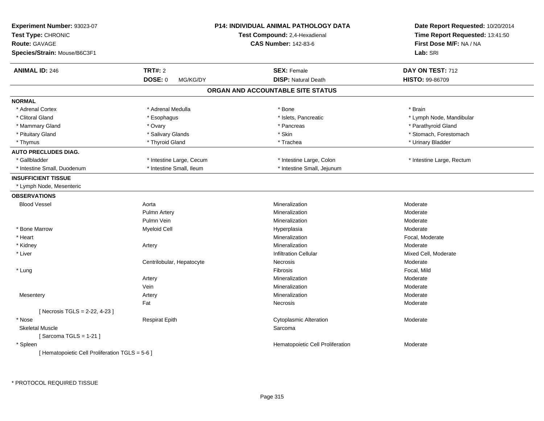| Experiment Number: 93023-07<br>Test Type: CHRONIC<br><b>Route: GAVAGE</b><br>Species/Strain: Mouse/B6C3F1 |                            | P14: INDIVIDUAL ANIMAL PATHOLOGY DATA<br>Test Compound: 2,4-Hexadienal<br><b>CAS Number: 142-83-6</b> | Date Report Requested: 10/20/2014<br>Time Report Requested: 13:41:50<br>First Dose M/F: NA / NA<br>Lab: SRI |
|-----------------------------------------------------------------------------------------------------------|----------------------------|-------------------------------------------------------------------------------------------------------|-------------------------------------------------------------------------------------------------------------|
| <b>ANIMAL ID: 246</b>                                                                                     | <b>TRT#: 2</b>             | <b>SEX: Female</b>                                                                                    | DAY ON TEST: 712                                                                                            |
|                                                                                                           | <b>DOSE: 0</b><br>MG/KG/DY | <b>DISP: Natural Death</b>                                                                            | HISTO: 99-86709                                                                                             |
|                                                                                                           |                            | ORGAN AND ACCOUNTABLE SITE STATUS                                                                     |                                                                                                             |
| <b>NORMAL</b>                                                                                             |                            |                                                                                                       |                                                                                                             |
| * Adrenal Cortex                                                                                          | * Adrenal Medulla          | * Bone                                                                                                | * Brain                                                                                                     |
| * Clitoral Gland                                                                                          | * Esophagus                | * Islets, Pancreatic                                                                                  | * Lymph Node, Mandibular                                                                                    |
| * Mammary Gland                                                                                           | * Ovary                    | * Pancreas                                                                                            | * Parathyroid Gland                                                                                         |
| * Pituitary Gland                                                                                         | * Salivary Glands          | * Skin                                                                                                | * Stomach, Forestomach                                                                                      |
| * Thymus                                                                                                  | * Thyroid Gland            | * Trachea                                                                                             | * Urinary Bladder                                                                                           |
| <b>AUTO PRECLUDES DIAG.</b>                                                                               |                            |                                                                                                       |                                                                                                             |
| * Gallbladder                                                                                             | * Intestine Large, Cecum   | * Intestine Large, Colon                                                                              | * Intestine Large, Rectum                                                                                   |
| * Intestine Small, Duodenum                                                                               | * Intestine Small, Ileum   | * Intestine Small, Jejunum                                                                            |                                                                                                             |
| <b>INSUFFICIENT TISSUE</b>                                                                                |                            |                                                                                                       |                                                                                                             |
| * Lymph Node, Mesenteric                                                                                  |                            |                                                                                                       |                                                                                                             |
| <b>OBSERVATIONS</b>                                                                                       |                            |                                                                                                       |                                                                                                             |
| <b>Blood Vessel</b>                                                                                       | Aorta                      | Mineralization                                                                                        | Moderate                                                                                                    |
|                                                                                                           | <b>Pulmn Artery</b>        | Mineralization                                                                                        | Moderate                                                                                                    |
|                                                                                                           | Pulmn Vein                 | Mineralization                                                                                        | Moderate                                                                                                    |
| * Bone Marrow                                                                                             | <b>Myeloid Cell</b>        | Hyperplasia                                                                                           | Moderate                                                                                                    |
| * Heart                                                                                                   |                            | Mineralization                                                                                        | Focal, Moderate                                                                                             |
| * Kidney                                                                                                  | Artery                     | Mineralization                                                                                        | Moderate                                                                                                    |
| * Liver                                                                                                   |                            | <b>Infiltration Cellular</b>                                                                          | Mixed Cell, Moderate                                                                                        |
|                                                                                                           | Centrilobular, Hepatocyte  | Necrosis                                                                                              | Moderate                                                                                                    |
| * Lung                                                                                                    |                            | Fibrosis                                                                                              | Focal, Mild                                                                                                 |
|                                                                                                           | Artery                     | Mineralization                                                                                        | Moderate                                                                                                    |
|                                                                                                           | Vein                       | Mineralization                                                                                        | Moderate                                                                                                    |
| Mesentery                                                                                                 | Artery                     | Mineralization                                                                                        | Moderate                                                                                                    |
|                                                                                                           | Fat                        | Necrosis                                                                                              | Moderate                                                                                                    |
| [ Necrosis TGLS = 2-22, 4-23 ]                                                                            |                            |                                                                                                       |                                                                                                             |
| * Nose                                                                                                    | <b>Respirat Epith</b>      | <b>Cytoplasmic Alteration</b>                                                                         | Moderate                                                                                                    |
| <b>Skeletal Muscle</b>                                                                                    |                            | Sarcoma                                                                                               |                                                                                                             |
| [Sarcoma TGLS = $1-21$ ]                                                                                  |                            |                                                                                                       |                                                                                                             |
| * Spleen                                                                                                  |                            | Hematopoietic Cell Proliferation                                                                      | Moderate                                                                                                    |
| [ Hematopoietic Cell Proliferation TGLS = 5-6 ]                                                           |                            |                                                                                                       |                                                                                                             |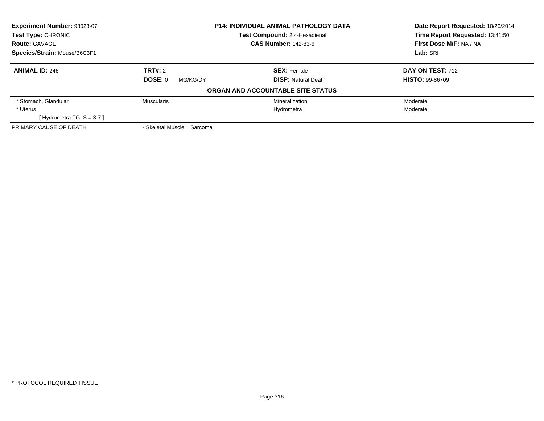| Experiment Number: 93023-07  | <b>P14: INDIVIDUAL ANIMAL PATHOLOGY DATA</b><br><b>Test Compound: 2.4-Hexadienal</b> |                                   | Date Report Requested: 10/20/2014 |
|------------------------------|--------------------------------------------------------------------------------------|-----------------------------------|-----------------------------------|
| <b>Test Type: CHRONIC</b>    |                                                                                      |                                   | Time Report Requested: 13:41:50   |
| <b>Route: GAVAGE</b>         |                                                                                      | <b>CAS Number: 142-83-6</b>       | First Dose M/F: NA / NA           |
| Species/Strain: Mouse/B6C3F1 |                                                                                      |                                   | Lab: SRI                          |
| <b>ANIMAL ID: 246</b>        | <b>TRT#: 2</b>                                                                       | <b>SEX: Female</b>                | DAY ON TEST: 712                  |
|                              | DOSE: 0<br>MG/KG/DY                                                                  | <b>DISP:</b> Natural Death        | <b>HISTO: 99-86709</b>            |
|                              |                                                                                      | ORGAN AND ACCOUNTABLE SITE STATUS |                                   |
| * Stomach, Glandular         | <b>Muscularis</b>                                                                    | Mineralization                    | Moderate                          |
| * Uterus                     |                                                                                      | Hydrometra                        | Moderate                          |
| [Hydrometra TGLS = 3-7]      |                                                                                      |                                   |                                   |
| PRIMARY CAUSE OF DEATH       | - Skeletal Muscle Sarcoma                                                            |                                   |                                   |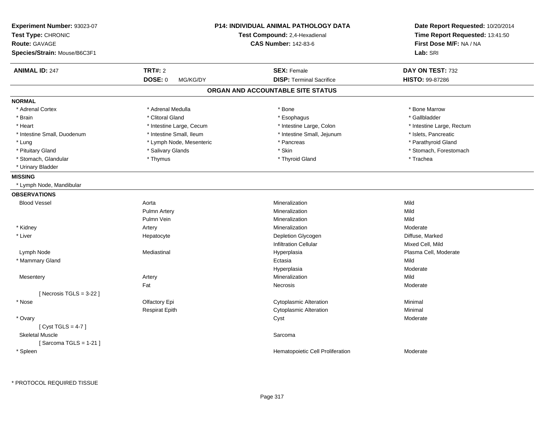| Experiment Number: 93023-07<br>Test Type: CHRONIC    |                            | <b>P14: INDIVIDUAL ANIMAL PATHOLOGY DATA</b><br>Test Compound: 2,4-Hexadienal |                                     |
|------------------------------------------------------|----------------------------|-------------------------------------------------------------------------------|-------------------------------------|
| <b>Route: GAVAGE</b><br>Species/Strain: Mouse/B6C3F1 |                            | <b>CAS Number: 142-83-6</b>                                                   | First Dose M/F: NA / NA<br>Lab: SRI |
|                                                      |                            |                                                                               |                                     |
| <b>ANIMAL ID: 247</b>                                | <b>TRT#: 2</b>             | <b>SEX: Female</b>                                                            | DAY ON TEST: 732                    |
|                                                      | <b>DOSE: 0</b><br>MG/KG/DY | <b>DISP: Terminal Sacrifice</b>                                               | HISTO: 99-87286                     |
|                                                      |                            | ORGAN AND ACCOUNTABLE SITE STATUS                                             |                                     |
| <b>NORMAL</b>                                        |                            |                                                                               |                                     |
| * Adrenal Cortex                                     | * Adrenal Medulla          | * Bone                                                                        | * Bone Marrow                       |
| * Brain                                              | * Clitoral Gland           | * Esophagus                                                                   | * Gallbladder                       |
| * Heart                                              | * Intestine Large, Cecum   | * Intestine Large, Colon                                                      | * Intestine Large, Rectum           |
| * Intestine Small, Duodenum                          | * Intestine Small, Ileum   | * Intestine Small, Jejunum                                                    | * Islets, Pancreatic                |
| * Lung                                               | * Lymph Node, Mesenteric   | * Pancreas                                                                    | * Parathyroid Gland                 |
| * Pituitary Gland                                    | * Salivary Glands          | * Skin                                                                        | * Stomach, Forestomach              |
| * Stomach, Glandular                                 | * Thymus                   | * Thyroid Gland                                                               | * Trachea                           |
| * Urinary Bladder                                    |                            |                                                                               |                                     |
| <b>MISSING</b>                                       |                            |                                                                               |                                     |
| * Lymph Node, Mandibular                             |                            |                                                                               |                                     |
| <b>OBSERVATIONS</b>                                  |                            |                                                                               |                                     |
| <b>Blood Vessel</b>                                  | Aorta                      | Mineralization                                                                | Mild                                |
|                                                      | Pulmn Artery               | Mineralization                                                                | Mild                                |
|                                                      | Pulmn Vein                 | Mineralization                                                                | Mild                                |
| * Kidney                                             | Artery                     | Mineralization                                                                | Moderate                            |
| * Liver                                              | Hepatocyte                 | Depletion Glycogen                                                            | Diffuse, Marked                     |
|                                                      |                            | <b>Infiltration Cellular</b>                                                  | Mixed Cell, Mild                    |
| Lymph Node                                           | Mediastinal                | Hyperplasia                                                                   | Plasma Cell, Moderate               |
| * Mammary Gland                                      |                            | Ectasia                                                                       | Mild                                |
|                                                      |                            | Hyperplasia                                                                   | Moderate                            |
| Mesentery                                            | Artery                     | Mineralization                                                                | Mild                                |
|                                                      | Fat                        | Necrosis                                                                      | Moderate                            |
| [Necrosis $TGLS = 3-22$ ]                            |                            |                                                                               |                                     |
| * Nose                                               | Olfactory Epi              | <b>Cytoplasmic Alteration</b>                                                 | Minimal                             |
|                                                      | <b>Respirat Epith</b>      | <b>Cytoplasmic Alteration</b>                                                 | Minimal                             |
| * Ovary                                              |                            | Cyst                                                                          | Moderate                            |
| [Cyst TGLS = $4-7$ ]                                 |                            |                                                                               |                                     |
| <b>Skeletal Muscle</b>                               |                            | Sarcoma                                                                       |                                     |
| [Sarcoma TGLS = $1-21$ ]                             |                            |                                                                               |                                     |
| * Spleen                                             |                            | Hematopoietic Cell Proliferation                                              | Moderate                            |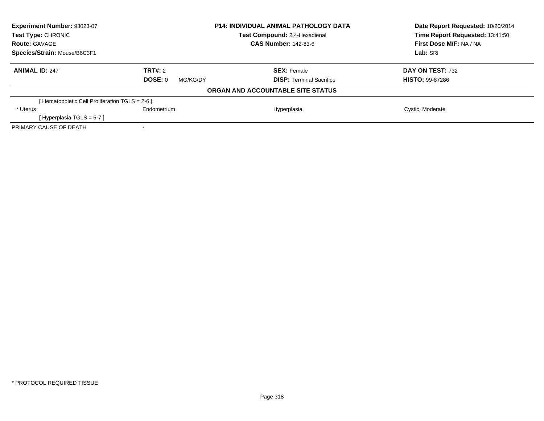| Experiment Number: 93023-07                     |                     | <b>P14: INDIVIDUAL ANIMAL PATHOLOGY DATA</b> | Date Report Requested: 10/20/2014 |
|-------------------------------------------------|---------------------|----------------------------------------------|-----------------------------------|
| Test Type: CHRONIC                              |                     | Test Compound: 2,4-Hexadienal                | Time Report Requested: 13:41:50   |
| <b>Route: GAVAGE</b>                            |                     | <b>CAS Number: 142-83-6</b>                  | First Dose M/F: NA / NA           |
| Species/Strain: Mouse/B6C3F1                    |                     |                                              | Lab: SRI                          |
| <b>ANIMAL ID: 247</b>                           | TRT#: 2             | <b>SEX: Female</b>                           | DAY ON TEST: 732                  |
|                                                 | DOSE: 0<br>MG/KG/DY | <b>DISP: Terminal Sacrifice</b>              | <b>HISTO: 99-87286</b>            |
|                                                 |                     | ORGAN AND ACCOUNTABLE SITE STATUS            |                                   |
| [ Hematopoietic Cell Proliferation TGLS = 2-6 ] |                     |                                              |                                   |
| * Uterus                                        | Endometrium         | Hyperplasia                                  | Cystic, Moderate                  |
| [Hyperplasia TGLS = $5-7$ ]                     |                     |                                              |                                   |
| PRIMARY CAUSE OF DEATH                          |                     |                                              |                                   |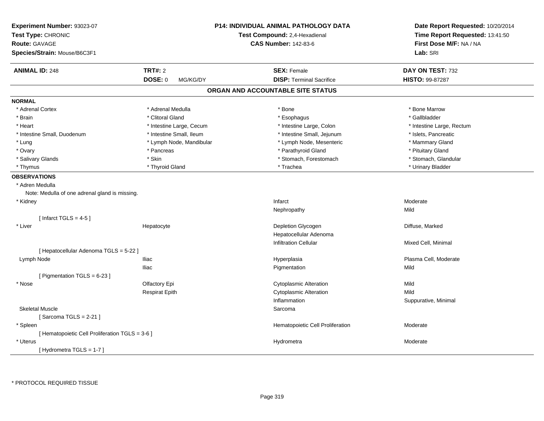| Experiment Number: 93023-07<br>Test Type: CHRONIC<br><b>Route: GAVAGE</b><br>Species/Strain: Mouse/B6C3F1 |                                       | <b>P14: INDIVIDUAL ANIMAL PATHOLOGY DATA</b><br>Test Compound: 2,4-Hexadienal<br><b>CAS Number: 142-83-6</b> | Date Report Requested: 10/20/2014<br>Time Report Requested: 13:41:50<br>First Dose M/F: NA / NA<br>Lab: SRI |
|-----------------------------------------------------------------------------------------------------------|---------------------------------------|--------------------------------------------------------------------------------------------------------------|-------------------------------------------------------------------------------------------------------------|
| <b>ANIMAL ID: 248</b>                                                                                     | <b>TRT#: 2</b><br>DOSE: 0<br>MG/KG/DY | <b>SEX: Female</b><br><b>DISP: Terminal Sacrifice</b>                                                        | DAY ON TEST: 732<br>HISTO: 99-87287                                                                         |
|                                                                                                           |                                       | ORGAN AND ACCOUNTABLE SITE STATUS                                                                            |                                                                                                             |
| <b>NORMAL</b>                                                                                             |                                       |                                                                                                              |                                                                                                             |
| * Adrenal Cortex                                                                                          | * Adrenal Medulla                     | * Bone                                                                                                       | * Bone Marrow                                                                                               |
| * Brain                                                                                                   | * Clitoral Gland                      | * Esophagus                                                                                                  | * Gallbladder                                                                                               |
| * Heart                                                                                                   | * Intestine Large, Cecum              | * Intestine Large, Colon                                                                                     | * Intestine Large, Rectum                                                                                   |
| * Intestine Small, Duodenum                                                                               | * Intestine Small, Ileum              | * Intestine Small, Jejunum                                                                                   | * Islets, Pancreatic                                                                                        |
| * Lung                                                                                                    | * Lymph Node, Mandibular              | * Lymph Node, Mesenteric                                                                                     | * Mammary Gland                                                                                             |
| * Ovary                                                                                                   | * Pancreas                            | * Parathyroid Gland                                                                                          | * Pituitary Gland                                                                                           |
| * Salivary Glands                                                                                         | * Skin                                | * Stomach, Forestomach                                                                                       | * Stomach, Glandular                                                                                        |
| * Thymus                                                                                                  | * Thyroid Gland                       | * Trachea                                                                                                    | * Urinary Bladder                                                                                           |
| <b>OBSERVATIONS</b>                                                                                       |                                       |                                                                                                              |                                                                                                             |
| * Adren Medulla                                                                                           |                                       |                                                                                                              |                                                                                                             |
| Note: Medulla of one adrenal gland is missing.                                                            |                                       |                                                                                                              |                                                                                                             |
| * Kidney                                                                                                  |                                       | Infarct                                                                                                      | Moderate                                                                                                    |
|                                                                                                           |                                       | Nephropathy                                                                                                  | Mild                                                                                                        |
| [Infarct TGLS = $4-5$ ]                                                                                   |                                       |                                                                                                              |                                                                                                             |
| * Liver                                                                                                   | Hepatocyte                            | Depletion Glycogen                                                                                           | Diffuse, Marked                                                                                             |
|                                                                                                           |                                       | Hepatocellular Adenoma                                                                                       |                                                                                                             |
|                                                                                                           |                                       | <b>Infiltration Cellular</b>                                                                                 | Mixed Cell, Minimal                                                                                         |
| [ Hepatocellular Adenoma TGLS = 5-22 ]                                                                    |                                       |                                                                                                              |                                                                                                             |
| Lymph Node                                                                                                | <b>Iliac</b>                          | Hyperplasia                                                                                                  | Plasma Cell, Moderate                                                                                       |
|                                                                                                           | Iliac                                 | Pigmentation                                                                                                 | Mild                                                                                                        |
| [ Pigmentation TGLS = 6-23 ]                                                                              |                                       |                                                                                                              |                                                                                                             |
| * Nose                                                                                                    | Olfactory Epi                         | <b>Cytoplasmic Alteration</b>                                                                                | Mild                                                                                                        |
|                                                                                                           | <b>Respirat Epith</b>                 | <b>Cytoplasmic Alteration</b>                                                                                | Mild                                                                                                        |
|                                                                                                           |                                       | Inflammation                                                                                                 | Suppurative, Minimal                                                                                        |
| <b>Skeletal Muscle</b>                                                                                    |                                       | Sarcoma                                                                                                      |                                                                                                             |
| [Sarcoma TGLS = $2-21$ ]                                                                                  |                                       |                                                                                                              |                                                                                                             |
| * Spleen                                                                                                  |                                       | Hematopoietic Cell Proliferation                                                                             | Moderate                                                                                                    |
| [ Hematopoietic Cell Proliferation TGLS = 3-6 ]                                                           |                                       |                                                                                                              |                                                                                                             |
| * Uterus                                                                                                  |                                       | Hydrometra                                                                                                   | Moderate                                                                                                    |
| [Hydrometra TGLS = $1-7$ ]                                                                                |                                       |                                                                                                              |                                                                                                             |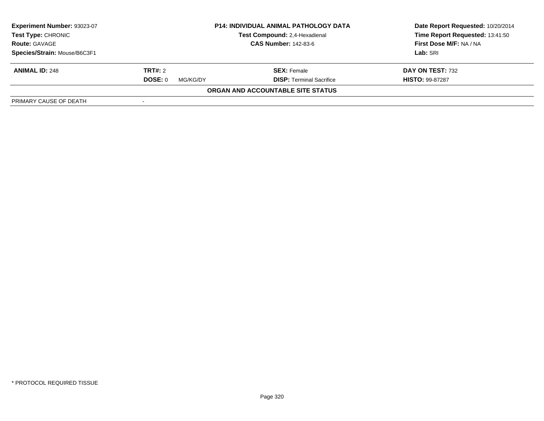| Experiment Number: 93023-07<br><b>Test Type: CHRONIC</b> | <b>P14: INDIVIDUAL ANIMAL PATHOLOGY DATA</b><br>Test Compound: 2,4-Hexadienal |                                   | Date Report Requested: 10/20/2014<br>Time Report Requested: 13:41:50 |
|----------------------------------------------------------|-------------------------------------------------------------------------------|-----------------------------------|----------------------------------------------------------------------|
| <b>Route: GAVAGE</b>                                     |                                                                               | <b>CAS Number: 142-83-6</b>       | First Dose M/F: NA / NA                                              |
| Species/Strain: Mouse/B6C3F1                             |                                                                               |                                   | Lab: SRI                                                             |
| <b>ANIMAL ID: 248</b>                                    | <b>TRT#:</b> 2                                                                | <b>SEX:</b> Female                | DAY ON TEST: 732                                                     |
|                                                          | DOSE: 0<br>MG/KG/DY                                                           | <b>DISP: Terminal Sacrifice</b>   | <b>HISTO: 99-87287</b>                                               |
|                                                          |                                                                               | ORGAN AND ACCOUNTABLE SITE STATUS |                                                                      |
| PRIMARY CAUSE OF DEATH                                   |                                                                               |                                   |                                                                      |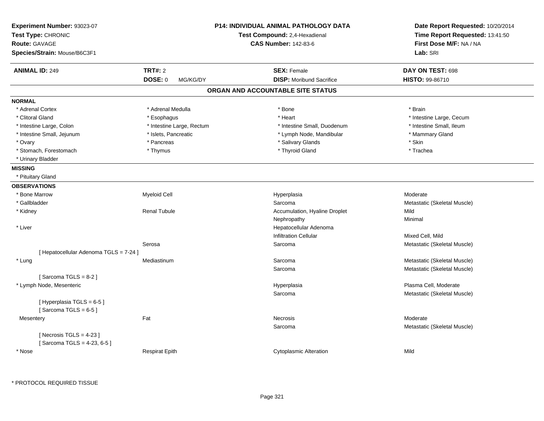| Experiment Number: 93023-07<br>Test Type: CHRONIC<br><b>Route: GAVAGE</b><br>Species/Strain: Mouse/B6C3F1 |                                | <b>P14: INDIVIDUAL ANIMAL PATHOLOGY DATA</b><br>Test Compound: 2,4-Hexadienal<br><b>CAS Number: 142-83-6</b> | Date Report Requested: 10/20/2014<br>Time Report Requested: 13:41:50<br>First Dose M/F: NA / NA<br>Lab: SRI |
|-----------------------------------------------------------------------------------------------------------|--------------------------------|--------------------------------------------------------------------------------------------------------------|-------------------------------------------------------------------------------------------------------------|
| <b>ANIMAL ID: 249</b>                                                                                     | TRT#: 2<br>DOSE: 0<br>MG/KG/DY | <b>SEX: Female</b><br><b>DISP:</b> Moribund Sacrifice                                                        | DAY ON TEST: 698<br><b>HISTO: 99-86710</b>                                                                  |
|                                                                                                           |                                | ORGAN AND ACCOUNTABLE SITE STATUS                                                                            |                                                                                                             |
| <b>NORMAL</b>                                                                                             |                                |                                                                                                              |                                                                                                             |
| * Adrenal Cortex                                                                                          | * Adrenal Medulla              | * Bone                                                                                                       | * Brain                                                                                                     |
| * Clitoral Gland                                                                                          | * Esophagus                    | * Heart                                                                                                      | * Intestine Large, Cecum                                                                                    |
| * Intestine Large, Colon                                                                                  | * Intestine Large, Rectum      | * Intestine Small, Duodenum                                                                                  | * Intestine Small, Ileum                                                                                    |
| * Intestine Small, Jejunum                                                                                | * Islets, Pancreatic           | * Lymph Node, Mandibular                                                                                     | * Mammary Gland                                                                                             |
| * Ovary                                                                                                   | * Pancreas                     | * Salivary Glands                                                                                            | * Skin                                                                                                      |
| * Stomach, Forestomach                                                                                    | * Thymus                       | * Thyroid Gland                                                                                              | * Trachea                                                                                                   |
| * Urinary Bladder                                                                                         |                                |                                                                                                              |                                                                                                             |
| <b>MISSING</b>                                                                                            |                                |                                                                                                              |                                                                                                             |
| * Pituitary Gland                                                                                         |                                |                                                                                                              |                                                                                                             |
| <b>OBSERVATIONS</b>                                                                                       |                                |                                                                                                              |                                                                                                             |
| * Bone Marrow                                                                                             | <b>Myeloid Cell</b>            | Hyperplasia                                                                                                  | Moderate                                                                                                    |
| * Gallbladder                                                                                             |                                | Sarcoma                                                                                                      | Metastatic (Skeletal Muscle)                                                                                |
| * Kidney                                                                                                  | <b>Renal Tubule</b>            | Accumulation, Hyaline Droplet                                                                                | Mild                                                                                                        |
|                                                                                                           |                                | Nephropathy                                                                                                  | Minimal                                                                                                     |
| * Liver                                                                                                   |                                | Hepatocellular Adenoma                                                                                       |                                                                                                             |
|                                                                                                           |                                | <b>Infiltration Cellular</b>                                                                                 | Mixed Cell, Mild                                                                                            |
|                                                                                                           | Serosa                         | Sarcoma                                                                                                      | Metastatic (Skeletal Muscle)                                                                                |
| [ Hepatocellular Adenoma TGLS = 7-24 ]                                                                    |                                |                                                                                                              |                                                                                                             |
| * Lung                                                                                                    | Mediastinum                    | Sarcoma                                                                                                      | Metastatic (Skeletal Muscle)                                                                                |
|                                                                                                           |                                | Sarcoma                                                                                                      | Metastatic (Skeletal Muscle)                                                                                |
| [Sarcoma TGLS = $8-2$ ]                                                                                   |                                |                                                                                                              |                                                                                                             |
| * Lymph Node, Mesenteric                                                                                  |                                | Hyperplasia                                                                                                  | Plasma Cell, Moderate                                                                                       |
|                                                                                                           |                                | Sarcoma                                                                                                      | Metastatic (Skeletal Muscle)                                                                                |
| [Hyperplasia TGLS = 6-5]                                                                                  |                                |                                                                                                              |                                                                                                             |
| [Sarcoma TGLS = $6-5$ ]                                                                                   |                                |                                                                                                              |                                                                                                             |
| Mesentery                                                                                                 | Fat                            | <b>Necrosis</b>                                                                                              | Moderate                                                                                                    |
| [Necrosis TGLS = $4-23$ ]<br>[Sarcoma TGLS = 4-23, 6-5]                                                   |                                | Sarcoma                                                                                                      | Metastatic (Skeletal Muscle)                                                                                |
| * Nose                                                                                                    | <b>Respirat Epith</b>          | <b>Cytoplasmic Alteration</b>                                                                                | Mild                                                                                                        |

\* PROTOCOL REQUIRED TISSUE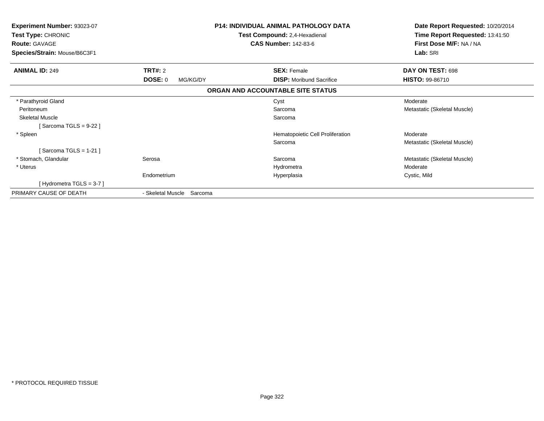| <b>Experiment Number: 93023-07</b><br><b>Test Type: CHRONIC</b> | <b>P14: INDIVIDUAL ANIMAL PATHOLOGY DATA</b><br>Test Compound: 2,4-Hexadienal |                                   | Date Report Requested: 10/20/2014<br>Time Report Requested: 13:41:50 |  |
|-----------------------------------------------------------------|-------------------------------------------------------------------------------|-----------------------------------|----------------------------------------------------------------------|--|
| <b>Route: GAVAGE</b><br>Species/Strain: Mouse/B6C3F1            |                                                                               | <b>CAS Number: 142-83-6</b>       | First Dose M/F: NA / NA<br>Lab: SRI                                  |  |
|                                                                 |                                                                               |                                   |                                                                      |  |
| <b>ANIMAL ID: 249</b>                                           | <b>TRT#: 2</b>                                                                | <b>SEX: Female</b>                | DAY ON TEST: 698                                                     |  |
|                                                                 | <b>DOSE: 0</b><br>MG/KG/DY                                                    | <b>DISP:</b> Moribund Sacrifice   | HISTO: 99-86710                                                      |  |
|                                                                 |                                                                               | ORGAN AND ACCOUNTABLE SITE STATUS |                                                                      |  |
| * Parathyroid Gland                                             |                                                                               | Cyst                              | Moderate                                                             |  |
| Peritoneum                                                      |                                                                               | Sarcoma                           | Metastatic (Skeletal Muscle)                                         |  |
| <b>Skeletal Muscle</b>                                          |                                                                               | Sarcoma                           |                                                                      |  |
| [Sarcoma TGLS = 9-22 ]                                          |                                                                               |                                   |                                                                      |  |
| * Spleen                                                        |                                                                               | Hematopoietic Cell Proliferation  | Moderate                                                             |  |
|                                                                 |                                                                               | Sarcoma                           | Metastatic (Skeletal Muscle)                                         |  |
| [Sarcoma TGLS = 1-21]                                           |                                                                               |                                   |                                                                      |  |
| * Stomach, Glandular                                            | Serosa                                                                        | Sarcoma                           | Metastatic (Skeletal Muscle)                                         |  |
| * Uterus                                                        |                                                                               | Hydrometra                        | Moderate                                                             |  |
|                                                                 | Endometrium                                                                   | Hyperplasia                       | Cystic, Mild                                                         |  |
| [Hydrometra TGLS = $3-7$ ]                                      |                                                                               |                                   |                                                                      |  |
| PRIMARY CAUSE OF DEATH                                          | - Skeletal Muscle<br>Sarcoma                                                  |                                   |                                                                      |  |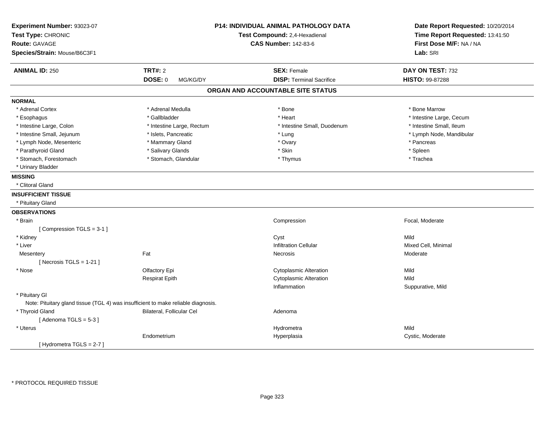| Experiment Number: 93023-07<br>Test Type: CHRONIC<br><b>Route: GAVAGE</b><br>Species/Strain: Mouse/B6C3F1 |                                                                                   | P14: INDIVIDUAL ANIMAL PATHOLOGY DATA<br>Test Compound: 2,4-Hexadienal<br><b>CAS Number: 142-83-6</b> | Date Report Requested: 10/20/2014<br>Time Report Requested: 13:41:50<br>First Dose M/F: NA / NA<br>Lab: SRI |
|-----------------------------------------------------------------------------------------------------------|-----------------------------------------------------------------------------------|-------------------------------------------------------------------------------------------------------|-------------------------------------------------------------------------------------------------------------|
| <b>ANIMAL ID: 250</b>                                                                                     | <b>TRT#: 2</b>                                                                    | <b>SEX: Female</b>                                                                                    | DAY ON TEST: 732                                                                                            |
|                                                                                                           | DOSE: 0<br>MG/KG/DY                                                               | <b>DISP: Terminal Sacrifice</b>                                                                       | HISTO: 99-87288                                                                                             |
|                                                                                                           |                                                                                   | ORGAN AND ACCOUNTABLE SITE STATUS                                                                     |                                                                                                             |
| <b>NORMAL</b>                                                                                             |                                                                                   |                                                                                                       |                                                                                                             |
| * Adrenal Cortex                                                                                          | * Adrenal Medulla                                                                 | * Bone                                                                                                | * Bone Marrow                                                                                               |
| * Esophagus                                                                                               | * Gallbladder                                                                     | * Heart                                                                                               | * Intestine Large, Cecum                                                                                    |
| * Intestine Large, Colon                                                                                  | * Intestine Large, Rectum                                                         | * Intestine Small, Duodenum                                                                           | * Intestine Small, Ileum                                                                                    |
| * Intestine Small, Jejunum                                                                                | * Islets, Pancreatic                                                              | * Lung                                                                                                | * Lymph Node, Mandibular                                                                                    |
| * Lymph Node, Mesenteric                                                                                  | * Mammary Gland                                                                   | * Ovary                                                                                               | * Pancreas                                                                                                  |
| * Parathyroid Gland                                                                                       | * Salivary Glands                                                                 | * Skin                                                                                                | * Spleen                                                                                                    |
| * Stomach, Forestomach                                                                                    | * Stomach, Glandular                                                              | * Thymus                                                                                              | * Trachea                                                                                                   |
| * Urinary Bladder                                                                                         |                                                                                   |                                                                                                       |                                                                                                             |
| <b>MISSING</b>                                                                                            |                                                                                   |                                                                                                       |                                                                                                             |
| * Clitoral Gland                                                                                          |                                                                                   |                                                                                                       |                                                                                                             |
| <b>INSUFFICIENT TISSUE</b>                                                                                |                                                                                   |                                                                                                       |                                                                                                             |
| * Pituitary Gland                                                                                         |                                                                                   |                                                                                                       |                                                                                                             |
| <b>OBSERVATIONS</b>                                                                                       |                                                                                   |                                                                                                       |                                                                                                             |
| * Brain                                                                                                   |                                                                                   | Compression                                                                                           | Focal, Moderate                                                                                             |
| [Compression TGLS = 3-1]                                                                                  |                                                                                   |                                                                                                       |                                                                                                             |
| * Kidney                                                                                                  |                                                                                   | Cyst                                                                                                  | Mild                                                                                                        |
| * Liver                                                                                                   |                                                                                   | <b>Infiltration Cellular</b>                                                                          | Mixed Cell, Minimal                                                                                         |
| Mesentery                                                                                                 | Fat                                                                               | Necrosis                                                                                              | Moderate                                                                                                    |
| [Necrosis TGLS = $1-21$ ]                                                                                 |                                                                                   |                                                                                                       |                                                                                                             |
| * Nose                                                                                                    | Olfactory Epi                                                                     | <b>Cytoplasmic Alteration</b>                                                                         | Mild                                                                                                        |
|                                                                                                           | <b>Respirat Epith</b>                                                             | <b>Cytoplasmic Alteration</b>                                                                         | Mild                                                                                                        |
|                                                                                                           |                                                                                   | Inflammation                                                                                          | Suppurative, Mild                                                                                           |
| * Pituitary Gl                                                                                            |                                                                                   |                                                                                                       |                                                                                                             |
|                                                                                                           | Note: Pituitary gland tissue (TGL 4) was insufficient to make reliable diagnosis. |                                                                                                       |                                                                                                             |
| * Thyroid Gland                                                                                           | Bilateral, Follicular Cel                                                         | Adenoma                                                                                               |                                                                                                             |
| [Adenoma TGLS = $5-3$ ]                                                                                   |                                                                                   |                                                                                                       |                                                                                                             |
| * Uterus                                                                                                  |                                                                                   | Hydrometra                                                                                            | Mild                                                                                                        |
|                                                                                                           | Endometrium                                                                       | Hyperplasia                                                                                           | Cystic, Moderate                                                                                            |
| [Hydrometra TGLS = $2-7$ ]                                                                                |                                                                                   |                                                                                                       |                                                                                                             |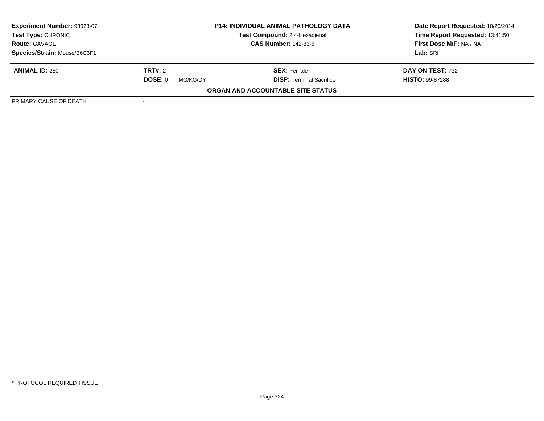| Experiment Number: 93023-07                        |                             | <b>P14: INDIVIDUAL ANIMAL PATHOLOGY DATA</b> | Date Report Requested: 10/20/2014 |
|----------------------------------------------------|-----------------------------|----------------------------------------------|-----------------------------------|
| <b>Test Type: CHRONIC</b>                          |                             | Test Compound: 2,4-Hexadienal                | Time Report Requested: 13:41:50   |
| <b>Route: GAVAGE</b>                               | <b>CAS Number: 142-83-6</b> |                                              | First Dose M/F: NA / NA           |
| Species/Strain: Mouse/B6C3F1                       |                             |                                              | Lab: SRI                          |
| <b>ANIMAL ID: 250</b>                              | <b>TRT#:</b> 2              | <b>SEX:</b> Female                           | DAY ON TEST: 732                  |
|                                                    | DOSE: 0<br>MG/KG/DY         | <b>DISP: Terminal Sacrifice</b>              | <b>HISTO: 99-87288</b>            |
|                                                    |                             | ORGAN AND ACCOUNTABLE SITE STATUS            |                                   |
| PRIMARY CAUSE OF DEATH<br>$\overline{\phantom{a}}$ |                             |                                              |                                   |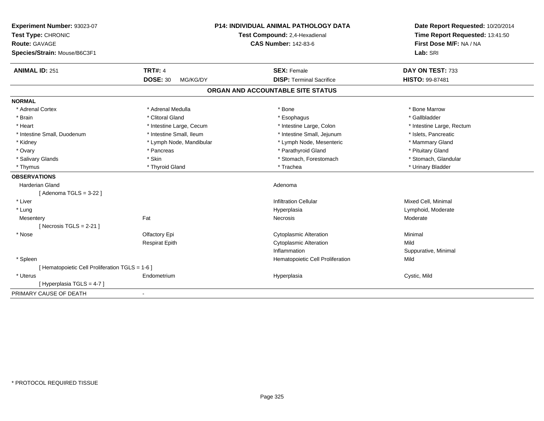| Experiment Number: 93023-07<br>Test Type: CHRONIC<br><b>Route: GAVAGE</b><br>Species/Strain: Mouse/B6C3F1 |                             | <b>P14: INDIVIDUAL ANIMAL PATHOLOGY DATA</b><br>Test Compound: 2,4-Hexadienal<br><b>CAS Number: 142-83-6</b> | Date Report Requested: 10/20/2014<br>Time Report Requested: 13:41:50<br>First Dose M/F: NA / NA<br>Lab: SRI |
|-----------------------------------------------------------------------------------------------------------|-----------------------------|--------------------------------------------------------------------------------------------------------------|-------------------------------------------------------------------------------------------------------------|
| <b>ANIMAL ID: 251</b>                                                                                     | <b>TRT#: 4</b>              | <b>SEX: Female</b>                                                                                           | DAY ON TEST: 733                                                                                            |
|                                                                                                           | <b>DOSE: 30</b><br>MG/KG/DY | <b>DISP: Terminal Sacrifice</b>                                                                              | HISTO: 99-87481                                                                                             |
|                                                                                                           |                             | ORGAN AND ACCOUNTABLE SITE STATUS                                                                            |                                                                                                             |
| <b>NORMAL</b>                                                                                             |                             |                                                                                                              |                                                                                                             |
| * Adrenal Cortex                                                                                          | * Adrenal Medulla           | * Bone                                                                                                       | * Bone Marrow                                                                                               |
| * Brain                                                                                                   | * Clitoral Gland            | * Esophagus                                                                                                  | * Gallbladder                                                                                               |
| * Heart                                                                                                   | * Intestine Large, Cecum    | * Intestine Large, Colon                                                                                     | * Intestine Large, Rectum                                                                                   |
| * Intestine Small, Duodenum                                                                               | * Intestine Small, Ileum    | * Intestine Small, Jejunum                                                                                   | * Islets, Pancreatic                                                                                        |
| * Kidney                                                                                                  | * Lymph Node, Mandibular    | * Lymph Node, Mesenteric                                                                                     | * Mammary Gland                                                                                             |
| * Ovary                                                                                                   | * Pancreas                  | * Parathyroid Gland                                                                                          | * Pituitary Gland                                                                                           |
| * Salivary Glands                                                                                         | * Skin                      | * Stomach, Forestomach                                                                                       | * Stomach, Glandular                                                                                        |
| * Thymus                                                                                                  | * Thyroid Gland             | * Trachea                                                                                                    | * Urinary Bladder                                                                                           |
| <b>OBSERVATIONS</b>                                                                                       |                             |                                                                                                              |                                                                                                             |
| <b>Harderian Gland</b>                                                                                    |                             | Adenoma                                                                                                      |                                                                                                             |
| [ Adenoma TGLS = 3-22 ]                                                                                   |                             |                                                                                                              |                                                                                                             |
| * Liver                                                                                                   |                             | <b>Infiltration Cellular</b>                                                                                 | Mixed Cell, Minimal                                                                                         |
| * Lung                                                                                                    |                             | Hyperplasia                                                                                                  | Lymphoid, Moderate                                                                                          |
| Mesentery                                                                                                 | Fat                         | Necrosis                                                                                                     | Moderate                                                                                                    |
| [Necrosis TGLS = $2-21$ ]                                                                                 |                             |                                                                                                              |                                                                                                             |
| * Nose                                                                                                    | Olfactory Epi               | <b>Cytoplasmic Alteration</b>                                                                                | Minimal                                                                                                     |
|                                                                                                           | <b>Respirat Epith</b>       | <b>Cytoplasmic Alteration</b>                                                                                | Mild                                                                                                        |
|                                                                                                           |                             | Inflammation                                                                                                 | Suppurative, Minimal                                                                                        |
| * Spleen                                                                                                  |                             | Hematopoietic Cell Proliferation                                                                             | Mild                                                                                                        |
| [Hematopoietic Cell Proliferation TGLS = 1-6]                                                             |                             |                                                                                                              |                                                                                                             |
| * Uterus                                                                                                  | Endometrium                 | Hyperplasia                                                                                                  | Cystic, Mild                                                                                                |
| [ Hyperplasia TGLS = 4-7 ]                                                                                |                             |                                                                                                              |                                                                                                             |
| PRIMARY CAUSE OF DEATH                                                                                    | $\blacksquare$              |                                                                                                              |                                                                                                             |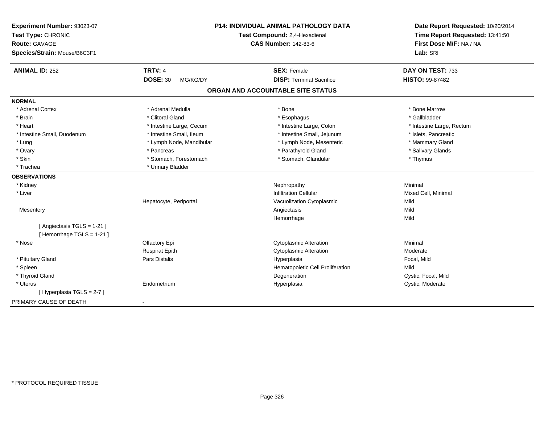| Experiment Number: 93023-07<br>Test Type: CHRONIC<br><b>Route: GAVAGE</b><br>Species/Strain: Mouse/B6C3F1 |                             | P14: INDIVIDUAL ANIMAL PATHOLOGY DATA<br>Test Compound: 2,4-Hexadienal<br><b>CAS Number: 142-83-6</b> | Date Report Requested: 10/20/2014<br>Time Report Requested: 13:41:50<br>First Dose M/F: NA / NA<br>Lab: SRI |
|-----------------------------------------------------------------------------------------------------------|-----------------------------|-------------------------------------------------------------------------------------------------------|-------------------------------------------------------------------------------------------------------------|
| <b>ANIMAL ID: 252</b>                                                                                     | <b>TRT#: 4</b>              | <b>SEX: Female</b>                                                                                    | DAY ON TEST: 733                                                                                            |
|                                                                                                           | <b>DOSE: 30</b><br>MG/KG/DY | <b>DISP: Terminal Sacrifice</b>                                                                       | <b>HISTO: 99-87482</b>                                                                                      |
|                                                                                                           |                             | ORGAN AND ACCOUNTABLE SITE STATUS                                                                     |                                                                                                             |
| <b>NORMAL</b>                                                                                             |                             |                                                                                                       |                                                                                                             |
| * Adrenal Cortex                                                                                          | * Adrenal Medulla           | * Bone                                                                                                | * Bone Marrow                                                                                               |
| * Brain                                                                                                   | * Clitoral Gland            | * Esophagus                                                                                           | * Gallbladder                                                                                               |
| * Heart                                                                                                   | * Intestine Large, Cecum    | * Intestine Large, Colon                                                                              | * Intestine Large, Rectum                                                                                   |
| * Intestine Small, Duodenum                                                                               | * Intestine Small, Ileum    | * Intestine Small, Jejunum                                                                            | * Islets, Pancreatic                                                                                        |
| * Lung                                                                                                    | * Lymph Node, Mandibular    | * Lymph Node, Mesenteric                                                                              | * Mammary Gland                                                                                             |
| * Ovary                                                                                                   | * Pancreas                  | * Parathyroid Gland                                                                                   | * Salivary Glands                                                                                           |
| * Skin                                                                                                    | * Stomach, Forestomach      | * Stomach, Glandular                                                                                  | * Thymus                                                                                                    |
| * Trachea                                                                                                 | * Urinary Bladder           |                                                                                                       |                                                                                                             |
| <b>OBSERVATIONS</b>                                                                                       |                             |                                                                                                       |                                                                                                             |
| * Kidney                                                                                                  |                             | Nephropathy                                                                                           | Minimal                                                                                                     |
| * Liver                                                                                                   |                             | <b>Infiltration Cellular</b>                                                                          | Mixed Cell, Minimal                                                                                         |
|                                                                                                           | Hepatocyte, Periportal      | Vacuolization Cytoplasmic                                                                             | Mild                                                                                                        |
| Mesentery                                                                                                 |                             | Angiectasis                                                                                           | Mild                                                                                                        |
|                                                                                                           |                             | Hemorrhage                                                                                            | Mild                                                                                                        |
| [ Angiectasis TGLS = 1-21 ]                                                                               |                             |                                                                                                       |                                                                                                             |
| [Hemorrhage TGLS = 1-21]                                                                                  |                             |                                                                                                       |                                                                                                             |
| * Nose                                                                                                    | Olfactory Epi               | <b>Cytoplasmic Alteration</b>                                                                         | Minimal                                                                                                     |
|                                                                                                           | <b>Respirat Epith</b>       | <b>Cytoplasmic Alteration</b>                                                                         | Moderate                                                                                                    |
| * Pituitary Gland                                                                                         | Pars Distalis               | Hyperplasia                                                                                           | Focal, Mild                                                                                                 |
| * Spleen                                                                                                  |                             | Hematopoietic Cell Proliferation                                                                      | Mild                                                                                                        |
| * Thyroid Gland                                                                                           |                             | Degeneration                                                                                          | Cystic, Focal, Mild                                                                                         |
| * Uterus                                                                                                  | Endometrium                 | Hyperplasia                                                                                           | Cystic, Moderate                                                                                            |
| [Hyperplasia TGLS = 2-7]                                                                                  |                             |                                                                                                       |                                                                                                             |
| PRIMARY CAUSE OF DEATH                                                                                    | $\blacksquare$              |                                                                                                       |                                                                                                             |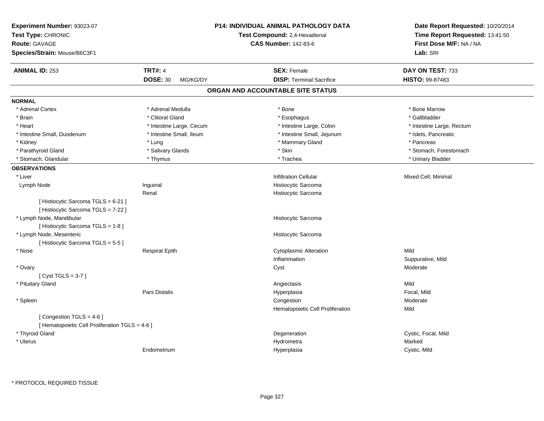| Experiment Number: 93023-07<br>Test Type: CHRONIC<br><b>Route: GAVAGE</b><br>Species/Strain: Mouse/B6C3F1 |                             | <b>P14: INDIVIDUAL ANIMAL PATHOLOGY DATA</b><br>Test Compound: 2,4-Hexadienal<br><b>CAS Number: 142-83-6</b> | Date Report Requested: 10/20/2014<br>Time Report Requested: 13:41:50<br>First Dose M/F: NA / NA<br>Lab: SRI |
|-----------------------------------------------------------------------------------------------------------|-----------------------------|--------------------------------------------------------------------------------------------------------------|-------------------------------------------------------------------------------------------------------------|
| <b>ANIMAL ID: 253</b>                                                                                     | <b>TRT#: 4</b>              | <b>SEX: Female</b>                                                                                           | DAY ON TEST: 733                                                                                            |
|                                                                                                           | <b>DOSE: 30</b><br>MG/KG/DY | <b>DISP: Terminal Sacrifice</b>                                                                              | HISTO: 99-87483                                                                                             |
|                                                                                                           |                             | ORGAN AND ACCOUNTABLE SITE STATUS                                                                            |                                                                                                             |
| <b>NORMAL</b>                                                                                             |                             |                                                                                                              |                                                                                                             |
| * Adrenal Cortex                                                                                          | * Adrenal Medulla           | * Bone                                                                                                       | * Bone Marrow                                                                                               |
| * Brain                                                                                                   | * Clitoral Gland            | * Esophagus                                                                                                  | * Gallbladder                                                                                               |
| * Heart                                                                                                   | * Intestine Large, Cecum    | * Intestine Large, Colon                                                                                     | * Intestine Large, Rectum                                                                                   |
| * Intestine Small, Duodenum                                                                               | * Intestine Small, Ileum    | * Intestine Small, Jejunum                                                                                   | * Islets, Pancreatic                                                                                        |
| * Kidney                                                                                                  | * Lung                      | * Mammary Gland                                                                                              | * Pancreas                                                                                                  |
| * Parathyroid Gland                                                                                       | * Salivary Glands           | * Skin                                                                                                       | * Stomach, Forestomach                                                                                      |
| * Stomach, Glandular                                                                                      | * Thymus                    | * Trachea                                                                                                    | * Urinary Bladder                                                                                           |
| <b>OBSERVATIONS</b>                                                                                       |                             |                                                                                                              |                                                                                                             |
| * Liver                                                                                                   |                             | <b>Infiltration Cellular</b>                                                                                 | Mixed Cell, Minimal                                                                                         |
| Lymph Node                                                                                                | Inguinal                    | Histiocytic Sarcoma                                                                                          |                                                                                                             |
|                                                                                                           | Renal                       | <b>Histiocytic Sarcoma</b>                                                                                   |                                                                                                             |
| [ Histiocytic Sarcoma TGLS = 6-21 ]<br>[ Histiocytic Sarcoma TGLS = 7-22 ]                                |                             |                                                                                                              |                                                                                                             |
| * Lymph Node, Mandibular                                                                                  |                             | Histiocytic Sarcoma                                                                                          |                                                                                                             |
| [Histiocytic Sarcoma TGLS = 1-8]                                                                          |                             |                                                                                                              |                                                                                                             |
| * Lymph Node, Mesenteric                                                                                  |                             | Histiocytic Sarcoma                                                                                          |                                                                                                             |
| [Histiocytic Sarcoma TGLS = 5-5]                                                                          |                             |                                                                                                              |                                                                                                             |
| * Nose                                                                                                    | <b>Respirat Epith</b>       | <b>Cytoplasmic Alteration</b>                                                                                | Mild                                                                                                        |
|                                                                                                           |                             | Inflammation                                                                                                 | Suppurative, Mild                                                                                           |
| * Ovary                                                                                                   |                             | Cyst                                                                                                         | Moderate                                                                                                    |
| [Cyst TGLS = $3-7$ ]                                                                                      |                             |                                                                                                              |                                                                                                             |
| * Pituitary Gland                                                                                         |                             | Angiectasis                                                                                                  | Mild                                                                                                        |
|                                                                                                           | Pars Distalis               | Hyperplasia                                                                                                  | Focal, Mild                                                                                                 |
| * Spleen                                                                                                  |                             | Congestion                                                                                                   | Moderate                                                                                                    |
|                                                                                                           |                             | Hematopoietic Cell Proliferation                                                                             | Mild                                                                                                        |
| [Congestion TGLS = 4-6]<br>[ Hematopoietic Cell Proliferation TGLS = 4-6 ]                                |                             |                                                                                                              |                                                                                                             |
| * Thyroid Gland                                                                                           |                             | Degeneration                                                                                                 | Cystic, Focal, Mild                                                                                         |
| * Uterus                                                                                                  |                             | Hydrometra                                                                                                   | Marked                                                                                                      |
|                                                                                                           | Endometrium                 | Hyperplasia                                                                                                  | Cystic, Mild                                                                                                |
|                                                                                                           |                             |                                                                                                              |                                                                                                             |

\* PROTOCOL REQUIRED TISSUE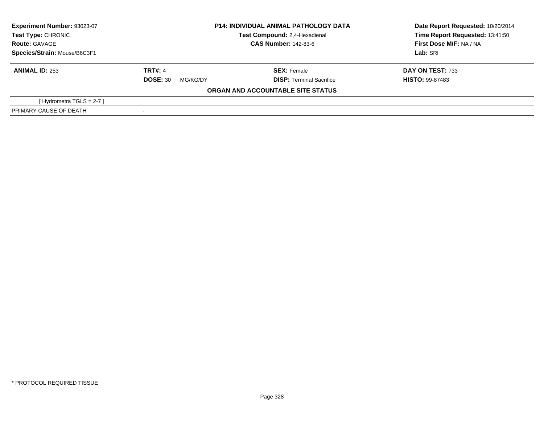| Experiment Number: 93023-07  | <b>P14: INDIVIDUAL ANIMAL PATHOLOGY DATA</b><br>Test Compound: 2,4-Hexadienal |                                   | Date Report Requested: 10/20/2014 |
|------------------------------|-------------------------------------------------------------------------------|-----------------------------------|-----------------------------------|
| Test Type: CHRONIC           |                                                                               |                                   | Time Report Requested: 13:41:50   |
| <b>Route: GAVAGE</b>         | <b>CAS Number: 142-83-6</b>                                                   |                                   | First Dose M/F: NA / NA           |
| Species/Strain: Mouse/B6C3F1 |                                                                               |                                   | Lab: SRI                          |
| <b>ANIMAL ID: 253</b>        | <b>TRT#: 4</b>                                                                | <b>SEX: Female</b>                | DAY ON TEST: 733                  |
|                              | <b>DOSE: 30</b><br>MG/KG/DY                                                   | <b>DISP: Terminal Sacrifice</b>   | <b>HISTO: 99-87483</b>            |
|                              |                                                                               | ORGAN AND ACCOUNTABLE SITE STATUS |                                   |
| [Hydrometra TGLS = $2-7$ ]   |                                                                               |                                   |                                   |
| PRIMARY CAUSE OF DEATH       |                                                                               |                                   |                                   |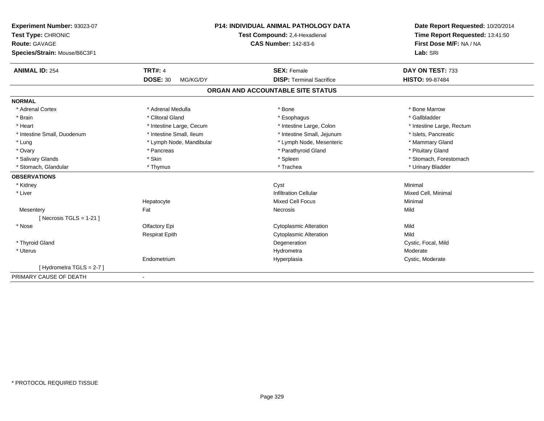| Experiment Number: 93023-07  | <b>P14: INDIVIDUAL ANIMAL PATHOLOGY DATA</b><br>Test Compound: 2,4-Hexadienal |                                   | Date Report Requested: 10/20/2014 |  |
|------------------------------|-------------------------------------------------------------------------------|-----------------------------------|-----------------------------------|--|
| Test Type: CHRONIC           |                                                                               |                                   | Time Report Requested: 13:41:50   |  |
| <b>Route: GAVAGE</b>         |                                                                               | <b>CAS Number: 142-83-6</b>       | First Dose M/F: NA / NA           |  |
| Species/Strain: Mouse/B6C3F1 |                                                                               |                                   | Lab: SRI                          |  |
| <b>ANIMAL ID: 254</b>        | <b>TRT#: 4</b>                                                                | <b>SEX: Female</b>                | DAY ON TEST: 733                  |  |
|                              | <b>DOSE: 30</b><br>MG/KG/DY                                                   | <b>DISP: Terminal Sacrifice</b>   | <b>HISTO: 99-87484</b>            |  |
|                              |                                                                               | ORGAN AND ACCOUNTABLE SITE STATUS |                                   |  |
| <b>NORMAL</b>                |                                                                               |                                   |                                   |  |
| * Adrenal Cortex             | * Adrenal Medulla                                                             | * Bone                            | * Bone Marrow                     |  |
| * Brain                      | * Clitoral Gland                                                              | * Esophagus                       | * Gallbladder                     |  |
| * Heart                      | * Intestine Large, Cecum                                                      | * Intestine Large, Colon          | * Intestine Large, Rectum         |  |
| * Intestine Small, Duodenum  | * Intestine Small, Ileum                                                      | * Intestine Small, Jejunum        | * Islets, Pancreatic              |  |
| * Lung                       | * Lymph Node, Mandibular                                                      | * Lymph Node, Mesenteric          | * Mammary Gland                   |  |
| * Ovary                      | * Pancreas                                                                    | * Parathyroid Gland               | * Pituitary Gland                 |  |
| * Salivary Glands            | * Skin                                                                        | * Spleen                          | * Stomach, Forestomach            |  |
| * Stomach, Glandular         | * Thymus                                                                      | * Trachea                         | * Urinary Bladder                 |  |
| <b>OBSERVATIONS</b>          |                                                                               |                                   |                                   |  |
| * Kidney                     |                                                                               | Cyst                              | Minimal                           |  |
| * Liver                      |                                                                               | <b>Infiltration Cellular</b>      | Mixed Cell, Minimal               |  |
|                              | Hepatocyte                                                                    | <b>Mixed Cell Focus</b>           | Minimal                           |  |
| Mesentery                    | Fat                                                                           | Necrosis                          | Mild                              |  |
| [Necrosis TGLS = $1-21$ ]    |                                                                               |                                   |                                   |  |
| * Nose                       | Olfactory Epi                                                                 | <b>Cytoplasmic Alteration</b>     | Mild                              |  |
|                              | <b>Respirat Epith</b>                                                         | <b>Cytoplasmic Alteration</b>     | Mild                              |  |
| * Thyroid Gland              |                                                                               | Degeneration                      | Cystic, Focal, Mild               |  |
| * Uterus                     |                                                                               | Hydrometra                        | Moderate                          |  |
|                              | Endometrium                                                                   | Hyperplasia                       | Cystic, Moderate                  |  |
| [Hydrometra TGLS = 2-7]      |                                                                               |                                   |                                   |  |
| PRIMARY CAUSE OF DEATH       | $\blacksquare$                                                                |                                   |                                   |  |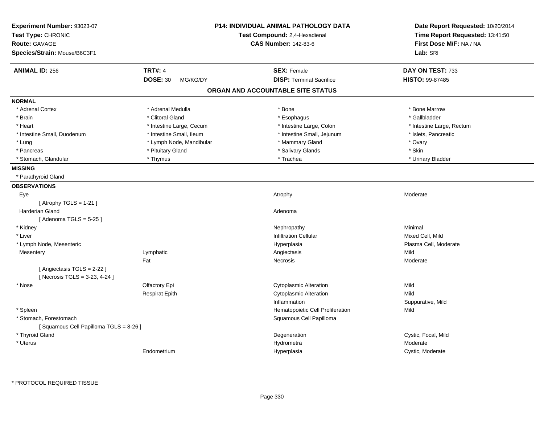| Experiment Number: 93023-07<br>Test Type: CHRONIC<br><b>Route: GAVAGE</b><br>Species/Strain: Mouse/B6C3F1 |                             | <b>P14: INDIVIDUAL ANIMAL PATHOLOGY DATA</b><br>Test Compound: 2,4-Hexadienal<br><b>CAS Number: 142-83-6</b> | Date Report Requested: 10/20/2014<br>Time Report Requested: 13:41:50<br>First Dose M/F: NA / NA<br>Lab: SRI |
|-----------------------------------------------------------------------------------------------------------|-----------------------------|--------------------------------------------------------------------------------------------------------------|-------------------------------------------------------------------------------------------------------------|
| <b>ANIMAL ID: 256</b>                                                                                     | <b>TRT#: 4</b>              | <b>SEX: Female</b>                                                                                           | DAY ON TEST: 733                                                                                            |
|                                                                                                           | <b>DOSE: 30</b><br>MG/KG/DY | <b>DISP: Terminal Sacrifice</b>                                                                              | <b>HISTO: 99-87485</b>                                                                                      |
|                                                                                                           |                             | ORGAN AND ACCOUNTABLE SITE STATUS                                                                            |                                                                                                             |
| <b>NORMAL</b>                                                                                             |                             |                                                                                                              |                                                                                                             |
| * Adrenal Cortex                                                                                          | * Adrenal Medulla           | * Bone                                                                                                       | * Bone Marrow                                                                                               |
| * Brain                                                                                                   | * Clitoral Gland            | * Esophagus                                                                                                  | * Gallbladder                                                                                               |
| * Heart                                                                                                   | * Intestine Large, Cecum    | * Intestine Large, Colon                                                                                     | * Intestine Large, Rectum                                                                                   |
| * Intestine Small, Duodenum                                                                               | * Intestine Small, Ileum    | * Intestine Small, Jejunum                                                                                   | * Islets, Pancreatic                                                                                        |
| * Lung                                                                                                    | * Lymph Node, Mandibular    | * Mammary Gland                                                                                              | * Ovary                                                                                                     |
| * Pancreas                                                                                                | * Pituitary Gland           | * Salivary Glands                                                                                            | * Skin                                                                                                      |
| * Stomach, Glandular                                                                                      | * Thymus                    | * Trachea                                                                                                    | * Urinary Bladder                                                                                           |
| <b>MISSING</b>                                                                                            |                             |                                                                                                              |                                                                                                             |
| * Parathyroid Gland                                                                                       |                             |                                                                                                              |                                                                                                             |
| <b>OBSERVATIONS</b>                                                                                       |                             |                                                                                                              |                                                                                                             |
| Eye                                                                                                       |                             | Atrophy                                                                                                      | Moderate                                                                                                    |
| [Atrophy TGLS = $1-21$ ]                                                                                  |                             |                                                                                                              |                                                                                                             |
| Harderian Gland                                                                                           |                             | Adenoma                                                                                                      |                                                                                                             |
| [Adenoma TGLS = $5-25$ ]                                                                                  |                             |                                                                                                              |                                                                                                             |
| * Kidney                                                                                                  |                             | Nephropathy                                                                                                  | Minimal                                                                                                     |
| * Liver                                                                                                   |                             | <b>Infiltration Cellular</b>                                                                                 | Mixed Cell, Mild                                                                                            |
| * Lymph Node, Mesenteric                                                                                  |                             | Hyperplasia                                                                                                  | Plasma Cell, Moderate                                                                                       |
| Mesentery                                                                                                 | Lymphatic                   | Angiectasis                                                                                                  | Mild                                                                                                        |
|                                                                                                           | Fat                         | Necrosis                                                                                                     | Moderate                                                                                                    |
| [Angiectasis TGLS = 2-22]<br>[Necrosis TGLS = 3-23, 4-24]                                                 |                             |                                                                                                              |                                                                                                             |
| * Nose                                                                                                    | Olfactory Epi               | <b>Cytoplasmic Alteration</b>                                                                                | Mild                                                                                                        |
|                                                                                                           | <b>Respirat Epith</b>       | Cytoplasmic Alteration                                                                                       | Mild                                                                                                        |
|                                                                                                           |                             | Inflammation                                                                                                 | Suppurative, Mild                                                                                           |
| * Spleen                                                                                                  |                             | Hematopoietic Cell Proliferation                                                                             | Mild                                                                                                        |
| * Stomach, Forestomach                                                                                    |                             | Squamous Cell Papilloma                                                                                      |                                                                                                             |
| [Squamous Cell Papilloma TGLS = 8-26]                                                                     |                             |                                                                                                              |                                                                                                             |
| * Thyroid Gland                                                                                           |                             | Degeneration                                                                                                 | Cystic, Focal, Mild                                                                                         |
| * Uterus                                                                                                  |                             | Hydrometra                                                                                                   | Moderate                                                                                                    |
|                                                                                                           | Endometrium                 | Hyperplasia                                                                                                  | Cystic, Moderate                                                                                            |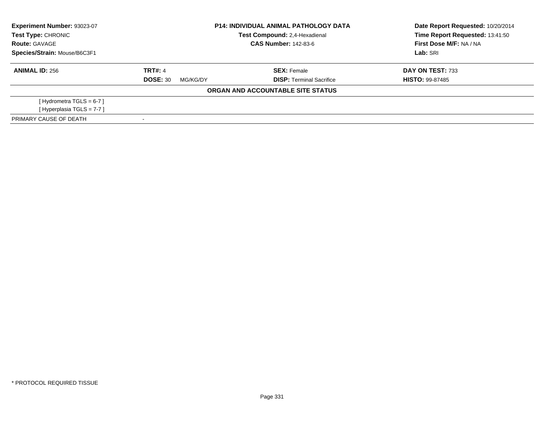| Experiment Number: 93023-07  | <b>P14: INDIVIDUAL ANIMAL PATHOLOGY DATA</b> |                                      | Date Report Requested: 10/20/2014 |  |
|------------------------------|----------------------------------------------|--------------------------------------|-----------------------------------|--|
| <b>Test Type: CHRONIC</b>    |                                              | <b>Test Compound: 2.4-Hexadienal</b> | Time Report Requested: 13:41:50   |  |
| <b>Route: GAVAGE</b>         |                                              | <b>CAS Number: 142-83-6</b>          | First Dose M/F: NA / NA           |  |
| Species/Strain: Mouse/B6C3F1 |                                              |                                      | Lab: SRI                          |  |
| <b>ANIMAL ID: 256</b>        | <b>TRT#: 4</b>                               | <b>SEX: Female</b>                   | DAY ON TEST: 733                  |  |
|                              | <b>DOSE: 30</b><br>MG/KG/DY                  | <b>DISP: Terminal Sacrifice</b>      | <b>HISTO: 99-87485</b>            |  |
|                              |                                              | ORGAN AND ACCOUNTABLE SITE STATUS    |                                   |  |
| [Hydrometra TGLS = $6-7$ ]   |                                              |                                      |                                   |  |
| [Hyperplasia TGLS = $7-7$ ]  |                                              |                                      |                                   |  |
| PRIMARY CAUSE OF DEATH       |                                              |                                      |                                   |  |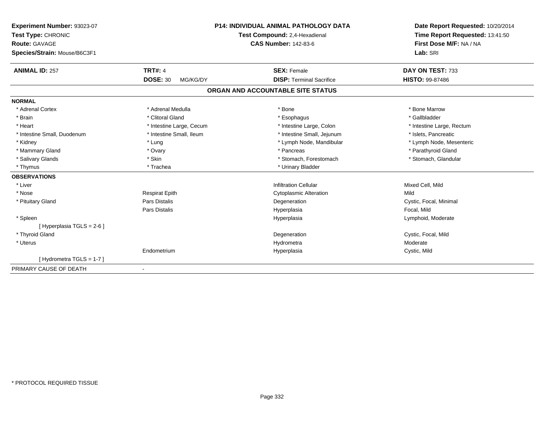| Experiment Number: 93023-07  | <b>P14: INDIVIDUAL ANIMAL PATHOLOGY DATA</b> |                                   | Date Report Requested: 10/20/2014 |
|------------------------------|----------------------------------------------|-----------------------------------|-----------------------------------|
| Test Type: CHRONIC           |                                              | Test Compound: 2,4-Hexadienal     | Time Report Requested: 13:41:50   |
| <b>Route: GAVAGE</b>         |                                              | <b>CAS Number: 142-83-6</b>       | First Dose M/F: NA / NA           |
| Species/Strain: Mouse/B6C3F1 |                                              |                                   | Lab: SRI                          |
| <b>ANIMAL ID: 257</b>        | <b>TRT#: 4</b>                               | <b>SEX: Female</b>                | DAY ON TEST: 733                  |
|                              | <b>DOSE: 30</b><br>MG/KG/DY                  | <b>DISP: Terminal Sacrifice</b>   | <b>HISTO: 99-87486</b>            |
|                              |                                              | ORGAN AND ACCOUNTABLE SITE STATUS |                                   |
| <b>NORMAL</b>                |                                              |                                   |                                   |
| * Adrenal Cortex             | * Adrenal Medulla                            | * Bone                            | * Bone Marrow                     |
| * Brain                      | * Clitoral Gland                             | * Esophagus                       | * Gallbladder                     |
| * Heart                      | * Intestine Large, Cecum                     | * Intestine Large, Colon          | * Intestine Large, Rectum         |
| * Intestine Small, Duodenum  | * Intestine Small, Ileum                     | * Intestine Small, Jejunum        | * Islets, Pancreatic              |
| * Kidney                     | * Lung                                       | * Lymph Node, Mandibular          | * Lymph Node, Mesenteric          |
| * Mammary Gland              | * Ovary                                      | * Pancreas                        | * Parathyroid Gland               |
| * Salivary Glands            | * Skin                                       | * Stomach, Forestomach            | * Stomach, Glandular              |
| * Thymus                     | * Trachea                                    | * Urinary Bladder                 |                                   |
| <b>OBSERVATIONS</b>          |                                              |                                   |                                   |
| * Liver                      |                                              | <b>Infiltration Cellular</b>      | Mixed Cell, Mild                  |
| * Nose                       | <b>Respirat Epith</b>                        | <b>Cytoplasmic Alteration</b>     | Mild                              |
| * Pituitary Gland            | Pars Distalis                                | Degeneration                      | Cystic, Focal, Minimal            |
|                              | Pars Distalis                                | Hyperplasia                       | Focal, Mild                       |
| * Spleen                     |                                              | Hyperplasia                       | Lymphoid, Moderate                |
| [ Hyperplasia TGLS = 2-6 ]   |                                              |                                   |                                   |
| * Thyroid Gland              |                                              | Degeneration                      | Cystic, Focal, Mild               |
| * Uterus                     |                                              | Hydrometra                        | Moderate                          |
|                              | Endometrium                                  | Hyperplasia                       | Cystic, Mild                      |
| [Hydrometra TGLS = $1-7$ ]   |                                              |                                   |                                   |
| PRIMARY CAUSE OF DEATH       | $\blacksquare$                               |                                   |                                   |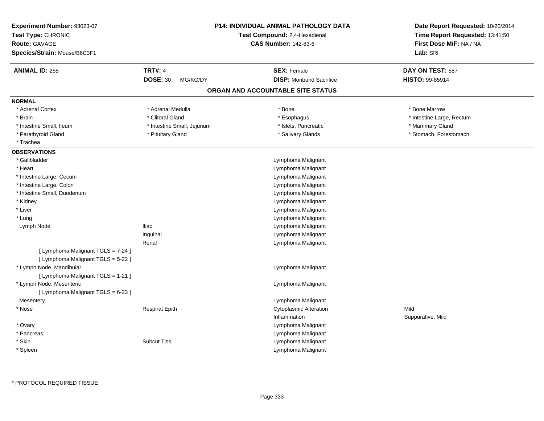| Experiment Number: 93023-07<br>Test Type: CHRONIC<br>Route: GAVAGE<br>Species/Strain: Mouse/B6C3F1 |                             | <b>P14: INDIVIDUAL ANIMAL PATHOLOGY DATA</b><br>Test Compound: 2,4-Hexadienal<br><b>CAS Number: 142-83-6</b> | Date Report Requested: 10/20/2014<br>Time Report Requested: 13:41:50<br>First Dose M/F: NA / NA<br>Lab: SRI |
|----------------------------------------------------------------------------------------------------|-----------------------------|--------------------------------------------------------------------------------------------------------------|-------------------------------------------------------------------------------------------------------------|
| <b>ANIMAL ID: 258</b>                                                                              | <b>TRT#: 4</b>              | <b>SEX: Female</b>                                                                                           | DAY ON TEST: 587                                                                                            |
|                                                                                                    | <b>DOSE: 30</b><br>MG/KG/DY | <b>DISP:</b> Moribund Sacrifice                                                                              | HISTO: 99-85914                                                                                             |
|                                                                                                    |                             | ORGAN AND ACCOUNTABLE SITE STATUS                                                                            |                                                                                                             |
| <b>NORMAL</b>                                                                                      |                             |                                                                                                              |                                                                                                             |
| * Adrenal Cortex                                                                                   | * Adrenal Medulla           | * Bone                                                                                                       | * Bone Marrow                                                                                               |
| * Brain                                                                                            | * Clitoral Gland            | * Esophagus                                                                                                  | * Intestine Large, Rectum                                                                                   |
| * Intestine Small, Ileum                                                                           | * Intestine Small, Jejunum  | * Islets, Pancreatic                                                                                         | * Mammary Gland                                                                                             |
| * Parathyroid Gland                                                                                | * Pituitary Gland           | * Salivary Glands                                                                                            | * Stomach, Forestomach                                                                                      |
| * Trachea                                                                                          |                             |                                                                                                              |                                                                                                             |
| <b>OBSERVATIONS</b>                                                                                |                             |                                                                                                              |                                                                                                             |
| * Gallbladder                                                                                      |                             | Lymphoma Malignant                                                                                           |                                                                                                             |
| * Heart                                                                                            |                             | Lymphoma Malignant                                                                                           |                                                                                                             |
| * Intestine Large, Cecum                                                                           |                             | Lymphoma Malignant                                                                                           |                                                                                                             |
| * Intestine Large, Colon                                                                           |                             | Lymphoma Malignant                                                                                           |                                                                                                             |
| * Intestine Small, Duodenum                                                                        |                             | Lymphoma Malignant                                                                                           |                                                                                                             |
| * Kidney                                                                                           |                             | Lymphoma Malignant                                                                                           |                                                                                                             |
| * Liver                                                                                            |                             | Lymphoma Malignant                                                                                           |                                                                                                             |
| * Lung                                                                                             |                             | Lymphoma Malignant                                                                                           |                                                                                                             |
| Lymph Node                                                                                         | <b>Iliac</b>                | Lymphoma Malignant                                                                                           |                                                                                                             |
|                                                                                                    | Inguinal                    | Lymphoma Malignant                                                                                           |                                                                                                             |
|                                                                                                    | Renal                       | Lymphoma Malignant                                                                                           |                                                                                                             |
| [ Lymphoma Malignant TGLS = 7-24 ]                                                                 |                             |                                                                                                              |                                                                                                             |
| [ Lymphoma Malignant TGLS = 5-22 ]                                                                 |                             |                                                                                                              |                                                                                                             |
| * Lymph Node, Mandibular                                                                           |                             | Lymphoma Malignant                                                                                           |                                                                                                             |
| [ Lymphoma Malignant TGLS = 1-21 ]                                                                 |                             |                                                                                                              |                                                                                                             |
| * Lymph Node, Mesenteric                                                                           |                             | Lymphoma Malignant                                                                                           |                                                                                                             |
| [ Lymphoma Malignant TGLS = 6-23 ]                                                                 |                             |                                                                                                              |                                                                                                             |
| Mesentery                                                                                          |                             | Lymphoma Malignant                                                                                           |                                                                                                             |
| * Nose                                                                                             | <b>Respirat Epith</b>       | <b>Cytoplasmic Alteration</b>                                                                                | Mild                                                                                                        |
|                                                                                                    |                             | Inflammation                                                                                                 | Suppurative, Mild                                                                                           |
| * Ovary                                                                                            |                             | Lymphoma Malignant                                                                                           |                                                                                                             |
| * Pancreas                                                                                         |                             | Lymphoma Malignant                                                                                           |                                                                                                             |
| * Skin                                                                                             | <b>Subcut Tiss</b>          | Lymphoma Malignant                                                                                           |                                                                                                             |
| * Spleen                                                                                           |                             | Lymphoma Malignant                                                                                           |                                                                                                             |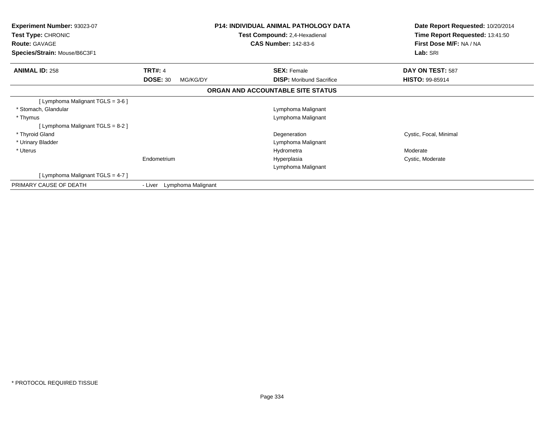| <b>Experiment Number: 93023-07</b><br>Test Type: CHRONIC<br><b>Route: GAVAGE</b><br>Species/Strain: Mouse/B6C3F1 |                               | <b>P14: INDIVIDUAL ANIMAL PATHOLOGY DATA</b><br>Test Compound: 2,4-Hexadienal<br><b>CAS Number: 142-83-6</b> | Date Report Requested: 10/20/2014<br>Time Report Requested: 13:41:50<br>First Dose M/F: NA / NA<br>Lab: SRI |
|------------------------------------------------------------------------------------------------------------------|-------------------------------|--------------------------------------------------------------------------------------------------------------|-------------------------------------------------------------------------------------------------------------|
| <b>ANIMAL ID: 258</b>                                                                                            | <b>TRT#: 4</b>                | <b>SEX: Female</b>                                                                                           | DAY ON TEST: 587                                                                                            |
|                                                                                                                  | <b>DOSE: 30</b><br>MG/KG/DY   | <b>DISP:</b> Moribund Sacrifice                                                                              | <b>HISTO: 99-85914</b>                                                                                      |
|                                                                                                                  |                               | ORGAN AND ACCOUNTABLE SITE STATUS                                                                            |                                                                                                             |
| [ Lymphoma Malignant TGLS = 3-6 ]                                                                                |                               |                                                                                                              |                                                                                                             |
| * Stomach, Glandular                                                                                             |                               | Lymphoma Malignant                                                                                           |                                                                                                             |
| * Thymus                                                                                                         |                               | Lymphoma Malignant                                                                                           |                                                                                                             |
| [ Lymphoma Malignant TGLS = 8-2 ]                                                                                |                               |                                                                                                              |                                                                                                             |
| * Thyroid Gland                                                                                                  |                               | Degeneration                                                                                                 | Cystic, Focal, Minimal                                                                                      |
| * Urinary Bladder                                                                                                |                               | Lymphoma Malignant                                                                                           |                                                                                                             |
| * Uterus                                                                                                         |                               | Hydrometra                                                                                                   | Moderate                                                                                                    |
|                                                                                                                  | Endometrium                   | Hyperplasia                                                                                                  | Cystic, Moderate                                                                                            |
|                                                                                                                  |                               | Lymphoma Malignant                                                                                           |                                                                                                             |
| [ Lymphoma Malignant TGLS = 4-7 ]                                                                                |                               |                                                                                                              |                                                                                                             |
| PRIMARY CAUSE OF DEATH                                                                                           | Lymphoma Malignant<br>- Liver |                                                                                                              |                                                                                                             |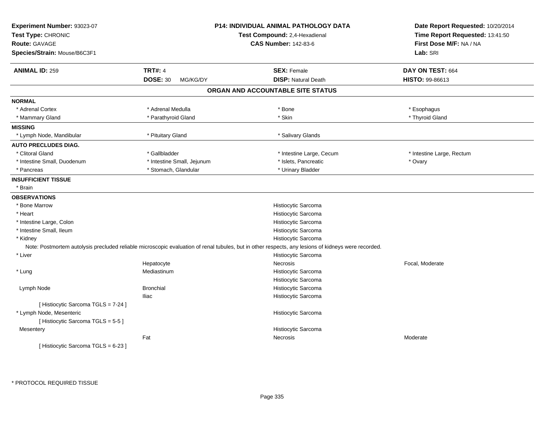| Experiment Number: 93023-07<br>Test Type: CHRONIC |                             | P14: INDIVIDUAL ANIMAL PATHOLOGY DATA<br>Test Compound: 2,4-Hexadienal                                                                              |                                                            |
|---------------------------------------------------|-----------------------------|-----------------------------------------------------------------------------------------------------------------------------------------------------|------------------------------------------------------------|
| <b>Route: GAVAGE</b>                              |                             | <b>CAS Number: 142-83-6</b>                                                                                                                         | Time Report Requested: 13:41:50<br>First Dose M/F: NA / NA |
| Species/Strain: Mouse/B6C3F1                      |                             |                                                                                                                                                     | Lab: SRI                                                   |
|                                                   |                             |                                                                                                                                                     |                                                            |
| <b>ANIMAL ID: 259</b>                             | <b>TRT#: 4</b>              | <b>SEX: Female</b>                                                                                                                                  | DAY ON TEST: 664                                           |
|                                                   | <b>DOSE: 30</b><br>MG/KG/DY | <b>DISP: Natural Death</b>                                                                                                                          | HISTO: 99-86613                                            |
|                                                   |                             | ORGAN AND ACCOUNTABLE SITE STATUS                                                                                                                   |                                                            |
| <b>NORMAL</b>                                     |                             |                                                                                                                                                     |                                                            |
| * Adrenal Cortex                                  | * Adrenal Medulla           | * Bone                                                                                                                                              | * Esophagus                                                |
| * Mammary Gland                                   | * Parathyroid Gland         | * Skin                                                                                                                                              | * Thyroid Gland                                            |
| <b>MISSING</b>                                    |                             |                                                                                                                                                     |                                                            |
| * Lymph Node, Mandibular                          | * Pituitary Gland           | * Salivary Glands                                                                                                                                   |                                                            |
| <b>AUTO PRECLUDES DIAG.</b>                       |                             |                                                                                                                                                     |                                                            |
| * Clitoral Gland                                  | * Gallbladder               | * Intestine Large, Cecum                                                                                                                            | * Intestine Large, Rectum                                  |
| * Intestine Small, Duodenum                       | * Intestine Small, Jejunum  | * Islets, Pancreatic                                                                                                                                | * Ovary                                                    |
| * Pancreas                                        | * Stomach, Glandular        | * Urinary Bladder                                                                                                                                   |                                                            |
| <b>INSUFFICIENT TISSUE</b>                        |                             |                                                                                                                                                     |                                                            |
| * Brain                                           |                             |                                                                                                                                                     |                                                            |
| <b>OBSERVATIONS</b>                               |                             |                                                                                                                                                     |                                                            |
| * Bone Marrow                                     |                             | Histiocytic Sarcoma                                                                                                                                 |                                                            |
| * Heart                                           |                             | Histiocytic Sarcoma                                                                                                                                 |                                                            |
| * Intestine Large, Colon                          |                             | Histiocytic Sarcoma                                                                                                                                 |                                                            |
| * Intestine Small, Ileum                          |                             | Histiocytic Sarcoma                                                                                                                                 |                                                            |
| * Kidney                                          |                             | Histiocytic Sarcoma                                                                                                                                 |                                                            |
|                                                   |                             | Note: Postmortem autolysis precluded reliable microscopic evaluation of renal tubules, but in other respects, any lesions of kidneys were recorded. |                                                            |
| * Liver                                           |                             | Histiocytic Sarcoma                                                                                                                                 |                                                            |
|                                                   | Hepatocyte                  | Necrosis                                                                                                                                            | Focal, Moderate                                            |
| * Lung                                            | Mediastinum                 | Histiocytic Sarcoma                                                                                                                                 |                                                            |
|                                                   |                             | Histiocytic Sarcoma                                                                                                                                 |                                                            |
| Lymph Node                                        | <b>Bronchial</b>            | Histiocytic Sarcoma                                                                                                                                 |                                                            |
|                                                   | <b>Iliac</b>                | Histiocytic Sarcoma                                                                                                                                 |                                                            |
| [ Histiocytic Sarcoma TGLS = 7-24 ]               |                             |                                                                                                                                                     |                                                            |
| * Lymph Node, Mesenteric                          |                             | Histiocytic Sarcoma                                                                                                                                 |                                                            |
| [Histiocytic Sarcoma TGLS = 5-5]                  |                             |                                                                                                                                                     |                                                            |
| Mesentery                                         |                             | Histiocytic Sarcoma                                                                                                                                 |                                                            |
|                                                   | Fat                         | Necrosis                                                                                                                                            | Moderate                                                   |
| [ Histiocytic Sarcoma TGLS = 6-23 ]               |                             |                                                                                                                                                     |                                                            |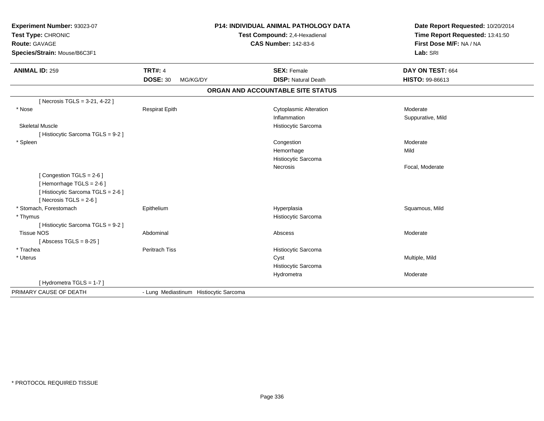| Experiment Number: 93023-07<br>Test Type: CHRONIC<br><b>Route: GAVAGE</b><br>Species/Strain: Mouse/B6C3F1            | <b>P14: INDIVIDUAL ANIMAL PATHOLOGY DATA</b><br>Test Compound: 2,4-Hexadienal<br><b>CAS Number: 142-83-6</b> |                                        | Date Report Requested: 10/20/2014<br>Time Report Requested: 13:41:50<br>First Dose M/F: NA / NA<br>Lab: SRI |
|----------------------------------------------------------------------------------------------------------------------|--------------------------------------------------------------------------------------------------------------|----------------------------------------|-------------------------------------------------------------------------------------------------------------|
| <b>ANIMAL ID: 259</b>                                                                                                | <b>TRT#: 4</b>                                                                                               | <b>SEX: Female</b>                     | DAY ON TEST: 664                                                                                            |
|                                                                                                                      | <b>DOSE: 30</b><br>MG/KG/DY                                                                                  | <b>DISP: Natural Death</b>             | HISTO: 99-86613                                                                                             |
|                                                                                                                      |                                                                                                              | ORGAN AND ACCOUNTABLE SITE STATUS      |                                                                                                             |
| [Necrosis TGLS = 3-21, 4-22]                                                                                         |                                                                                                              |                                        |                                                                                                             |
| * Nose                                                                                                               | Respirat Epith                                                                                               | <b>Cytoplasmic Alteration</b>          | Moderate                                                                                                    |
|                                                                                                                      |                                                                                                              | Inflammation                           | Suppurative, Mild                                                                                           |
| <b>Skeletal Muscle</b>                                                                                               |                                                                                                              | Histiocytic Sarcoma                    |                                                                                                             |
| [Histiocytic Sarcoma TGLS = 9-2]                                                                                     |                                                                                                              |                                        |                                                                                                             |
| * Spleen                                                                                                             |                                                                                                              | Congestion                             | Moderate                                                                                                    |
|                                                                                                                      |                                                                                                              | Hemorrhage                             | Mild                                                                                                        |
|                                                                                                                      |                                                                                                              | Histiocytic Sarcoma<br><b>Necrosis</b> | Focal, Moderate                                                                                             |
| [Congestion TGLS = 2-6]<br>[Hemorrhage TGLS = 2-6]<br>[ Histiocytic Sarcoma TGLS = 2-6 ]<br>[Necrosis TGLS = $2-6$ ] |                                                                                                              |                                        |                                                                                                             |
| * Stomach, Forestomach                                                                                               | Epithelium                                                                                                   | Hyperplasia                            | Squamous, Mild                                                                                              |
| * Thymus                                                                                                             |                                                                                                              | Histiocytic Sarcoma                    |                                                                                                             |
| [Histiocytic Sarcoma TGLS = 9-2]                                                                                     |                                                                                                              |                                        |                                                                                                             |
| <b>Tissue NOS</b>                                                                                                    | Abdominal                                                                                                    | Abscess                                | Moderate                                                                                                    |
| [Abscess TGLS = $8-25$ ]                                                                                             |                                                                                                              |                                        |                                                                                                             |
| * Trachea                                                                                                            | <b>Peritrach Tiss</b>                                                                                        | Histiocytic Sarcoma                    |                                                                                                             |
| * Uterus                                                                                                             |                                                                                                              | Cyst                                   | Multiple, Mild                                                                                              |
|                                                                                                                      |                                                                                                              | Histiocytic Sarcoma                    |                                                                                                             |
|                                                                                                                      |                                                                                                              | Hydrometra                             | Moderate                                                                                                    |
| [Hydrometra TGLS = 1-7]                                                                                              |                                                                                                              |                                        |                                                                                                             |
| PRIMARY CAUSE OF DEATH                                                                                               | - Lung Mediastinum Histiocytic Sarcoma                                                                       |                                        |                                                                                                             |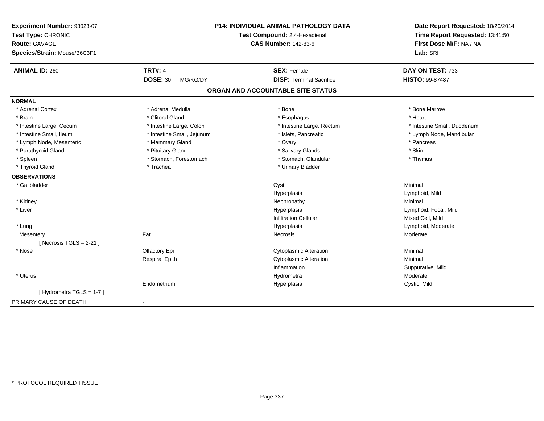| Experiment Number: 93023-07<br>Test Type: CHRONIC<br><b>Route: GAVAGE</b><br>Species/Strain: Mouse/B6C3F1 |                             | P14: INDIVIDUAL ANIMAL PATHOLOGY DATA<br>Test Compound: 2,4-Hexadienal<br><b>CAS Number: 142-83-6</b> | Date Report Requested: 10/20/2014<br>Time Report Requested: 13:41:50<br>First Dose M/F: NA / NA<br>Lab: SRI |
|-----------------------------------------------------------------------------------------------------------|-----------------------------|-------------------------------------------------------------------------------------------------------|-------------------------------------------------------------------------------------------------------------|
| <b>ANIMAL ID: 260</b>                                                                                     | <b>TRT#: 4</b>              | <b>SEX: Female</b>                                                                                    | DAY ON TEST: 733                                                                                            |
|                                                                                                           | <b>DOSE: 30</b><br>MG/KG/DY | <b>DISP: Terminal Sacrifice</b>                                                                       | <b>HISTO: 99-87487</b>                                                                                      |
|                                                                                                           |                             | ORGAN AND ACCOUNTABLE SITE STATUS                                                                     |                                                                                                             |
| <b>NORMAL</b>                                                                                             |                             |                                                                                                       |                                                                                                             |
| * Adrenal Cortex                                                                                          | * Adrenal Medulla           | * Bone                                                                                                | * Bone Marrow                                                                                               |
| * Brain                                                                                                   | * Clitoral Gland            | * Esophagus                                                                                           | * Heart                                                                                                     |
| * Intestine Large, Cecum                                                                                  | * Intestine Large, Colon    | * Intestine Large, Rectum                                                                             | * Intestine Small, Duodenum                                                                                 |
| * Intestine Small, Ileum                                                                                  | * Intestine Small, Jejunum  | * Islets, Pancreatic                                                                                  | * Lymph Node, Mandibular                                                                                    |
| * Lymph Node, Mesenteric                                                                                  | * Mammary Gland             | * Ovary                                                                                               | * Pancreas                                                                                                  |
| * Parathyroid Gland                                                                                       | * Pituitary Gland           | * Salivary Glands                                                                                     | * Skin                                                                                                      |
| * Spleen                                                                                                  | * Stomach, Forestomach      | * Stomach, Glandular                                                                                  | * Thymus                                                                                                    |
| * Thyroid Gland                                                                                           | * Trachea                   | * Urinary Bladder                                                                                     |                                                                                                             |
| <b>OBSERVATIONS</b>                                                                                       |                             |                                                                                                       |                                                                                                             |
| * Gallbladder                                                                                             |                             | Cyst                                                                                                  | Minimal                                                                                                     |
|                                                                                                           |                             | Hyperplasia                                                                                           | Lymphoid, Mild                                                                                              |
| * Kidney                                                                                                  |                             | Nephropathy                                                                                           | Minimal                                                                                                     |
| * Liver                                                                                                   |                             | Hyperplasia                                                                                           | Lymphoid, Focal, Mild                                                                                       |
|                                                                                                           |                             | <b>Infiltration Cellular</b>                                                                          | Mixed Cell, Mild                                                                                            |
| * Lung                                                                                                    |                             | Hyperplasia                                                                                           | Lymphoid, Moderate                                                                                          |
| Mesentery                                                                                                 | Fat                         | Necrosis                                                                                              | Moderate                                                                                                    |
| [Necrosis TGLS = $2-21$ ]                                                                                 |                             |                                                                                                       |                                                                                                             |
| * Nose                                                                                                    | Olfactory Epi               | <b>Cytoplasmic Alteration</b>                                                                         | Minimal                                                                                                     |
|                                                                                                           | <b>Respirat Epith</b>       | <b>Cytoplasmic Alteration</b>                                                                         | Minimal                                                                                                     |
|                                                                                                           |                             | Inflammation                                                                                          | Suppurative, Mild                                                                                           |
| * Uterus                                                                                                  |                             | Hydrometra                                                                                            | Moderate                                                                                                    |
|                                                                                                           | Endometrium                 | Hyperplasia                                                                                           | Cystic, Mild                                                                                                |
| [Hydrometra TGLS = 1-7]                                                                                   |                             |                                                                                                       |                                                                                                             |
| PRIMARY CAUSE OF DEATH                                                                                    | $\blacksquare$              |                                                                                                       |                                                                                                             |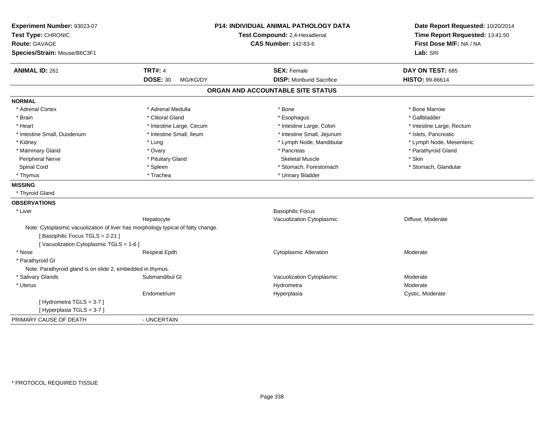| <b>Route: GAVAGE</b><br>Species/Strain: Mouse/B6C3F1                                                                                                         |                                   | First Dose M/F: NA / NA<br>Lab: SRI |
|--------------------------------------------------------------------------------------------------------------------------------------------------------------|-----------------------------------|-------------------------------------|
| <b>ANIMAL ID: 261</b><br><b>TRT#: 4</b>                                                                                                                      | <b>SEX: Female</b>                | DAY ON TEST: 685                    |
| <b>DOSE: 30</b><br>MG/KG/DY                                                                                                                                  | <b>DISP:</b> Moribund Sacrifice   | <b>HISTO: 99-86614</b>              |
|                                                                                                                                                              | ORGAN AND ACCOUNTABLE SITE STATUS |                                     |
| <b>NORMAL</b>                                                                                                                                                |                                   |                                     |
| * Adrenal Medulla<br>* Adrenal Cortex                                                                                                                        | * Bone                            | * Bone Marrow                       |
| * Brain<br>* Clitoral Gland                                                                                                                                  | * Esophagus                       | * Gallbladder                       |
| * Heart<br>* Intestine Large, Cecum                                                                                                                          | * Intestine Large, Colon          | * Intestine Large, Rectum           |
| * Intestine Small, Duodenum<br>* Intestine Small, Ileum                                                                                                      | * Intestine Small, Jejunum        | * Islets, Pancreatic                |
| * Kidney<br>* Lung                                                                                                                                           | * Lymph Node, Mandibular          | * Lymph Node, Mesenteric            |
| * Mammary Gland<br>* Ovary                                                                                                                                   | * Pancreas                        | * Parathyroid Gland                 |
| Peripheral Nerve<br>* Pituitary Gland                                                                                                                        | <b>Skeletal Muscle</b>            | * Skin                              |
| Spinal Cord<br>* Spleen                                                                                                                                      | * Stomach, Forestomach            | * Stomach, Glandular                |
| * Thymus<br>* Trachea                                                                                                                                        | * Urinary Bladder                 |                                     |
| <b>MISSING</b>                                                                                                                                               |                                   |                                     |
| * Thyroid Gland                                                                                                                                              |                                   |                                     |
| <b>OBSERVATIONS</b>                                                                                                                                          |                                   |                                     |
| * Liver                                                                                                                                                      | <b>Basophilic Focus</b>           |                                     |
| Hepatocyte                                                                                                                                                   | Vacuolization Cytoplasmic         | Diffuse, Moderate                   |
| Note: Cytoplasmic vacuolization of liver has morphology typical of fatty change.<br>[Basophilic Focus TGLS = 2-21]<br>[Vacuolization Cytoplasmic TGLS = 1-6] |                                   |                                     |
| * Nose<br><b>Respirat Epith</b>                                                                                                                              | <b>Cytoplasmic Alteration</b>     | Moderate                            |
| * Parathyroid GI                                                                                                                                             |                                   |                                     |
| Note: Parathyroid gland is on slide 2, embedded in thymus.                                                                                                   |                                   |                                     |
| * Salivary Glands<br>Submandibul GI                                                                                                                          | Vacuolization Cytoplasmic         | Moderate                            |
| * Uterus                                                                                                                                                     | Hydrometra                        | Moderate                            |
| Endometrium                                                                                                                                                  | Hyperplasia                       | Cystic, Moderate                    |
| [Hydrometra TGLS = 3-7]<br>[Hyperplasia TGLS = 3-7]                                                                                                          |                                   |                                     |
| PRIMARY CAUSE OF DEATH<br>- UNCERTAIN                                                                                                                        |                                   |                                     |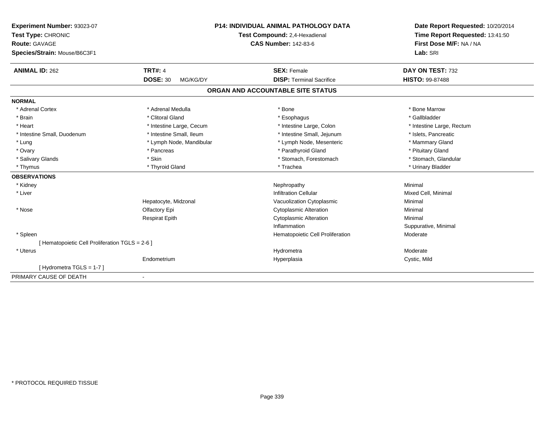| Experiment Number: 93023-07                     |                             | <b>P14: INDIVIDUAL ANIMAL PATHOLOGY DATA</b> | Date Report Requested: 10/20/2014 |
|-------------------------------------------------|-----------------------------|----------------------------------------------|-----------------------------------|
| Test Type: CHRONIC                              |                             | Test Compound: 2,4-Hexadienal                | Time Report Requested: 13:41:50   |
| <b>Route: GAVAGE</b>                            |                             | <b>CAS Number: 142-83-6</b>                  | First Dose M/F: NA / NA           |
| Species/Strain: Mouse/B6C3F1                    |                             |                                              | Lab: SRI                          |
| <b>ANIMAL ID: 262</b>                           | <b>TRT#: 4</b>              | <b>SEX: Female</b>                           | DAY ON TEST: 732                  |
|                                                 | <b>DOSE: 30</b><br>MG/KG/DY | <b>DISP: Terminal Sacrifice</b>              | HISTO: 99-87488                   |
|                                                 |                             | ORGAN AND ACCOUNTABLE SITE STATUS            |                                   |
| <b>NORMAL</b>                                   |                             |                                              |                                   |
| * Adrenal Cortex                                | * Adrenal Medulla           | * Bone                                       | * Bone Marrow                     |
| * Brain                                         | * Clitoral Gland            | * Esophagus                                  | * Gallbladder                     |
| * Heart                                         | * Intestine Large, Cecum    | * Intestine Large, Colon                     | * Intestine Large, Rectum         |
| * Intestine Small, Duodenum                     | * Intestine Small, Ileum    | * Intestine Small, Jejunum                   | * Islets, Pancreatic              |
| * Lung                                          | * Lymph Node, Mandibular    | * Lymph Node, Mesenteric                     | * Mammary Gland                   |
| * Ovary                                         | * Pancreas                  | * Parathyroid Gland                          | * Pituitary Gland                 |
| * Salivary Glands                               | * Skin                      | * Stomach, Forestomach                       | * Stomach, Glandular              |
| * Thymus                                        | * Thyroid Gland             | * Trachea                                    | * Urinary Bladder                 |
| <b>OBSERVATIONS</b>                             |                             |                                              |                                   |
| * Kidney                                        |                             | Nephropathy                                  | Minimal                           |
| * Liver                                         |                             | <b>Infiltration Cellular</b>                 | Mixed Cell, Minimal               |
|                                                 | Hepatocyte, Midzonal        | Vacuolization Cytoplasmic                    | Minimal                           |
| * Nose                                          | Olfactory Epi               | <b>Cytoplasmic Alteration</b>                | Minimal                           |
|                                                 | <b>Respirat Epith</b>       | <b>Cytoplasmic Alteration</b>                | Minimal                           |
|                                                 |                             | Inflammation                                 | Suppurative, Minimal              |
| * Spleen                                        |                             | Hematopoietic Cell Proliferation             | Moderate                          |
| [ Hematopoietic Cell Proliferation TGLS = 2-6 ] |                             |                                              |                                   |
| * Uterus                                        |                             | Hydrometra                                   | Moderate                          |
|                                                 | Endometrium                 | Hyperplasia                                  | Cystic, Mild                      |
| [Hydrometra TGLS = 1-7]                         |                             |                                              |                                   |
| PRIMARY CAUSE OF DEATH                          | ٠                           |                                              |                                   |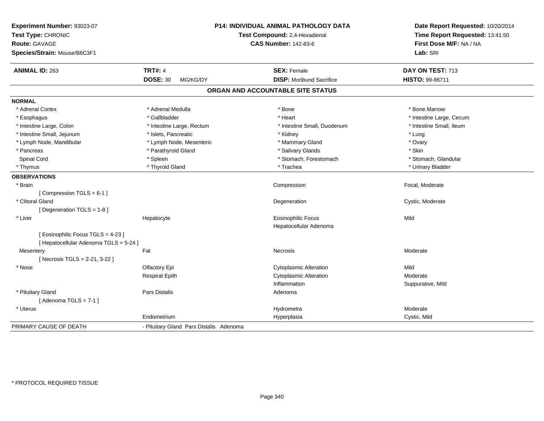| Experiment Number: 93023-07<br>Test Type: CHRONIC<br><b>Route: GAVAGE</b><br>Species/Strain: Mouse/B6C3F1 |                                         | <b>P14: INDIVIDUAL ANIMAL PATHOLOGY DATA</b><br>Test Compound: 2,4-Hexadienal<br><b>CAS Number: 142-83-6</b> | Date Report Requested: 10/20/2014<br>Time Report Requested: 13:41:50<br>First Dose M/F: NA / NA<br>Lab: SRI |
|-----------------------------------------------------------------------------------------------------------|-----------------------------------------|--------------------------------------------------------------------------------------------------------------|-------------------------------------------------------------------------------------------------------------|
| <b>ANIMAL ID: 263</b>                                                                                     | <b>TRT#: 4</b>                          | <b>SEX: Female</b>                                                                                           | DAY ON TEST: 713                                                                                            |
|                                                                                                           | <b>DOSE: 30</b><br>MG/KG/DY             | <b>DISP:</b> Moribund Sacrifice                                                                              | HISTO: 99-86711                                                                                             |
|                                                                                                           |                                         | ORGAN AND ACCOUNTABLE SITE STATUS                                                                            |                                                                                                             |
| <b>NORMAL</b>                                                                                             |                                         |                                                                                                              |                                                                                                             |
| * Adrenal Cortex                                                                                          | * Adrenal Medulla                       | * Bone                                                                                                       | * Bone Marrow                                                                                               |
| * Esophagus                                                                                               | * Gallbladder                           | * Heart                                                                                                      | * Intestine Large, Cecum                                                                                    |
| * Intestine Large, Colon                                                                                  | * Intestine Large, Rectum               | * Intestine Small, Duodenum                                                                                  | * Intestine Small, Ileum                                                                                    |
| * Intestine Small, Jejunum                                                                                | * Islets, Pancreatic                    | * Kidney                                                                                                     | * Lung                                                                                                      |
| * Lymph Node, Mandibular                                                                                  | * Lymph Node, Mesenteric                | * Mammary Gland                                                                                              | * Ovary                                                                                                     |
| * Pancreas                                                                                                | * Parathyroid Gland                     | * Salivary Glands                                                                                            | * Skin                                                                                                      |
| Spinal Cord                                                                                               | * Spleen                                | * Stomach, Forestomach                                                                                       | * Stomach, Glandular                                                                                        |
| * Thymus                                                                                                  | * Thyroid Gland                         | * Trachea                                                                                                    | * Urinary Bladder                                                                                           |
| <b>OBSERVATIONS</b>                                                                                       |                                         |                                                                                                              |                                                                                                             |
| * Brain                                                                                                   |                                         | Compression                                                                                                  | Focal, Moderate                                                                                             |
| [Compression TGLS = 6-1]                                                                                  |                                         |                                                                                                              |                                                                                                             |
| * Clitoral Gland                                                                                          |                                         | Degeneration                                                                                                 | Cystic, Moderate                                                                                            |
| [Degeneration TGLS = 1-8]                                                                                 |                                         |                                                                                                              |                                                                                                             |
| * Liver                                                                                                   | Hepatocyte                              | <b>Eosinophilic Focus</b>                                                                                    | Mild                                                                                                        |
|                                                                                                           |                                         | Hepatocellular Adenoma                                                                                       |                                                                                                             |
| [ Eosinophilic Focus TGLS = 4-23 ]<br>[ Hepatocellular Adenoma TGLS = 5-24 ]                              |                                         |                                                                                                              |                                                                                                             |
| Mesentery                                                                                                 | Fat                                     | Necrosis                                                                                                     | Moderate                                                                                                    |
| [ Necrosis TGLS = 2-21, 3-22 ]                                                                            |                                         |                                                                                                              |                                                                                                             |
| * Nose                                                                                                    | Olfactory Epi                           | <b>Cytoplasmic Alteration</b>                                                                                | Mild                                                                                                        |
|                                                                                                           | <b>Respirat Epith</b>                   | <b>Cytoplasmic Alteration</b>                                                                                | Moderate                                                                                                    |
|                                                                                                           |                                         | Inflammation                                                                                                 | Suppurative, Mild                                                                                           |
| * Pituitary Gland                                                                                         | Pars Distalis                           | Adenoma                                                                                                      |                                                                                                             |
| [Adenoma TGLS = $7-1$ ]                                                                                   |                                         |                                                                                                              |                                                                                                             |
| * Uterus                                                                                                  |                                         | Hydrometra                                                                                                   | Moderate                                                                                                    |
|                                                                                                           | Endometrium                             | Hyperplasia                                                                                                  | Cystic, Mild                                                                                                |
| PRIMARY CAUSE OF DEATH                                                                                    | - Pituitary Gland Pars Distalis Adenoma |                                                                                                              |                                                                                                             |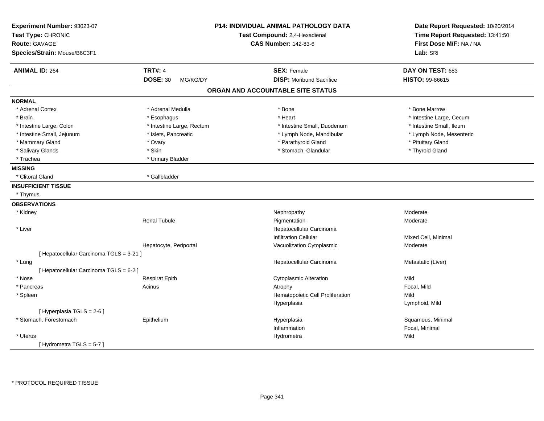| Experiment Number: 93023-07<br>Test Type: CHRONIC<br><b>Route: GAVAGE</b><br>Species/Strain: Mouse/B6C3F1 |                             | P14: INDIVIDUAL ANIMAL PATHOLOGY DATA<br>Test Compound: 2,4-Hexadienal<br><b>CAS Number: 142-83-6</b> | Date Report Requested: 10/20/2014<br>Time Report Requested: 13:41:50<br>First Dose M/F: NA / NA<br>Lab: SRI |
|-----------------------------------------------------------------------------------------------------------|-----------------------------|-------------------------------------------------------------------------------------------------------|-------------------------------------------------------------------------------------------------------------|
| <b>ANIMAL ID: 264</b>                                                                                     | <b>TRT#: 4</b>              | <b>SEX: Female</b>                                                                                    | DAY ON TEST: 683                                                                                            |
|                                                                                                           | <b>DOSE: 30</b><br>MG/KG/DY | <b>DISP:</b> Moribund Sacrifice                                                                       | HISTO: 99-86615                                                                                             |
|                                                                                                           |                             | ORGAN AND ACCOUNTABLE SITE STATUS                                                                     |                                                                                                             |
| <b>NORMAL</b>                                                                                             |                             |                                                                                                       |                                                                                                             |
| * Adrenal Cortex                                                                                          | * Adrenal Medulla           | * Bone                                                                                                | * Bone Marrow                                                                                               |
| * Brain                                                                                                   | * Esophagus                 | * Heart                                                                                               | * Intestine Large, Cecum                                                                                    |
| * Intestine Large, Colon                                                                                  | * Intestine Large, Rectum   | * Intestine Small, Duodenum                                                                           | * Intestine Small, Ileum                                                                                    |
| * Intestine Small, Jejunum                                                                                | * Islets, Pancreatic        | * Lymph Node, Mandibular                                                                              | * Lymph Node, Mesenteric                                                                                    |
| * Mammary Gland                                                                                           | * Ovary                     | * Parathyroid Gland                                                                                   | * Pituitary Gland                                                                                           |
| * Salivary Glands                                                                                         | * Skin                      | * Stomach, Glandular                                                                                  | * Thyroid Gland                                                                                             |
| * Trachea                                                                                                 | * Urinary Bladder           |                                                                                                       |                                                                                                             |
| <b>MISSING</b>                                                                                            |                             |                                                                                                       |                                                                                                             |
| * Clitoral Gland                                                                                          | * Gallbladder               |                                                                                                       |                                                                                                             |
| <b>INSUFFICIENT TISSUE</b>                                                                                |                             |                                                                                                       |                                                                                                             |
| * Thymus                                                                                                  |                             |                                                                                                       |                                                                                                             |
| <b>OBSERVATIONS</b>                                                                                       |                             |                                                                                                       |                                                                                                             |
| * Kidney                                                                                                  |                             | Nephropathy                                                                                           | Moderate                                                                                                    |
|                                                                                                           | <b>Renal Tubule</b>         | Pigmentation                                                                                          | Moderate                                                                                                    |
| * Liver                                                                                                   |                             | Hepatocellular Carcinoma                                                                              |                                                                                                             |
|                                                                                                           |                             | <b>Infiltration Cellular</b>                                                                          | Mixed Cell, Minimal                                                                                         |
|                                                                                                           | Hepatocyte, Periportal      | Vacuolization Cytoplasmic                                                                             | Moderate                                                                                                    |
| [ Hepatocellular Carcinoma TGLS = 3-21 ]                                                                  |                             |                                                                                                       |                                                                                                             |
| * Lung                                                                                                    |                             | Hepatocellular Carcinoma                                                                              | Metastatic (Liver)                                                                                          |
| [ Hepatocellular Carcinoma TGLS = 6-2 ]                                                                   |                             |                                                                                                       |                                                                                                             |
| * Nose                                                                                                    | <b>Respirat Epith</b>       | <b>Cytoplasmic Alteration</b>                                                                         | Mild                                                                                                        |
| * Pancreas                                                                                                | Acinus                      | Atrophy                                                                                               | Focal, Mild                                                                                                 |
| * Spleen                                                                                                  |                             | Hematopoietic Cell Proliferation                                                                      | Mild                                                                                                        |
|                                                                                                           |                             | Hyperplasia                                                                                           | Lymphoid, Mild                                                                                              |
| [ Hyperplasia TGLS = 2-6 ]                                                                                |                             |                                                                                                       |                                                                                                             |
| * Stomach, Forestomach                                                                                    | Epithelium                  | Hyperplasia                                                                                           | Squamous, Minimal                                                                                           |
|                                                                                                           |                             | Inflammation                                                                                          | Focal, Minimal                                                                                              |
| * Uterus                                                                                                  |                             | Hydrometra                                                                                            | Mild                                                                                                        |
| [Hydrometra TGLS = $5-7$ ]                                                                                |                             |                                                                                                       |                                                                                                             |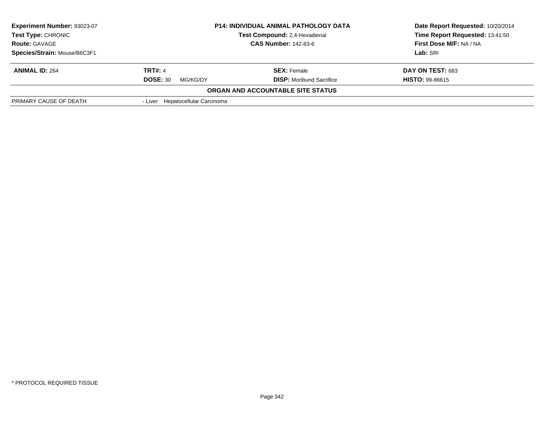| Experiment Number: 93023-07<br>Test Type: CHRONIC   |                                     | <b>P14: INDIVIDUAL ANIMAL PATHOLOGY DATA</b><br>Test Compound: 2,4-Hexadienal | Date Report Requested: 10/20/2014<br>Time Report Requested: 13:41:50 |
|-----------------------------------------------------|-------------------------------------|-------------------------------------------------------------------------------|----------------------------------------------------------------------|
| <b>CAS Number: 142-83-6</b><br><b>Route: GAVAGE</b> |                                     | First Dose M/F: NA / NA                                                       |                                                                      |
| Species/Strain: Mouse/B6C3F1                        |                                     |                                                                               | Lab: SRI                                                             |
| <b>ANIMAL ID: 264</b>                               | <b>TRT#: 4</b>                      | <b>SEX: Female</b>                                                            | DAY ON TEST: 683                                                     |
|                                                     | <b>DOSE: 30</b><br>MG/KG/DY         | <b>DISP:</b> Moribund Sacrifice                                               | <b>HISTO: 99-86615</b>                                               |
|                                                     |                                     | ORGAN AND ACCOUNTABLE SITE STATUS                                             |                                                                      |
| PRIMARY CAUSE OF DEATH                              | Hepatocellular Carcinoma<br>- Liver |                                                                               |                                                                      |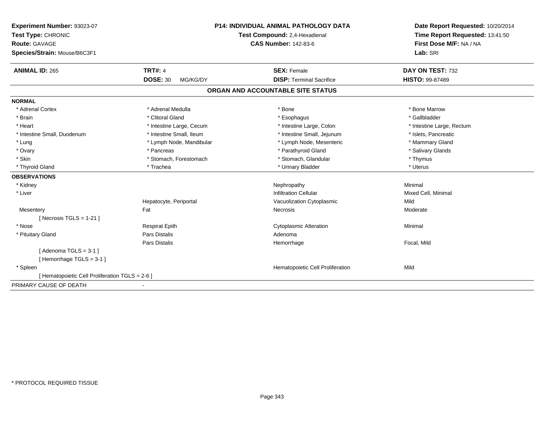| Experiment Number: 93023-07                     | P14: INDIVIDUAL ANIMAL PATHOLOGY DATA<br>Test Compound: 2,4-Hexadienal |                                   | Date Report Requested: 10/20/2014<br>Time Report Requested: 13:41:50 |
|-------------------------------------------------|------------------------------------------------------------------------|-----------------------------------|----------------------------------------------------------------------|
| Test Type: CHRONIC                              |                                                                        |                                   |                                                                      |
| <b>Route: GAVAGE</b>                            |                                                                        | <b>CAS Number: 142-83-6</b>       | First Dose M/F: NA / NA                                              |
| Species/Strain: Mouse/B6C3F1                    |                                                                        |                                   | Lab: SRI                                                             |
| <b>ANIMAL ID: 265</b>                           | <b>TRT#: 4</b>                                                         | <b>SEX: Female</b>                | DAY ON TEST: 732                                                     |
|                                                 | <b>DOSE: 30</b><br>MG/KG/DY                                            | <b>DISP: Terminal Sacrifice</b>   | HISTO: 99-87489                                                      |
|                                                 |                                                                        | ORGAN AND ACCOUNTABLE SITE STATUS |                                                                      |
| <b>NORMAL</b>                                   |                                                                        |                                   |                                                                      |
| * Adrenal Cortex                                | * Adrenal Medulla                                                      | * Bone                            | * Bone Marrow                                                        |
| * Brain                                         | * Clitoral Gland                                                       | * Esophagus                       | * Gallbladder                                                        |
| * Heart                                         | * Intestine Large, Cecum                                               | * Intestine Large, Colon          | * Intestine Large, Rectum                                            |
| * Intestine Small, Duodenum                     | * Intestine Small, Ileum                                               | * Intestine Small, Jejunum        | * Islets, Pancreatic                                                 |
| * Lung                                          | * Lymph Node, Mandibular                                               | * Lymph Node, Mesenteric          | * Mammary Gland                                                      |
| * Ovary                                         | * Pancreas                                                             | * Parathyroid Gland               | * Salivary Glands                                                    |
| * Skin                                          | * Stomach, Forestomach                                                 | * Stomach, Glandular              | * Thymus                                                             |
| * Thyroid Gland                                 | * Trachea                                                              | * Urinary Bladder                 | * Uterus                                                             |
| <b>OBSERVATIONS</b>                             |                                                                        |                                   |                                                                      |
| * Kidney                                        |                                                                        | Nephropathy                       | Minimal                                                              |
| * Liver                                         |                                                                        | <b>Infiltration Cellular</b>      | Mixed Cell, Minimal                                                  |
|                                                 | Hepatocyte, Periportal                                                 | Vacuolization Cytoplasmic         | Mild                                                                 |
| Mesentery                                       | Fat                                                                    | Necrosis                          | Moderate                                                             |
| [Necrosis TGLS = $1-21$ ]                       |                                                                        |                                   |                                                                      |
| * Nose                                          | <b>Respirat Epith</b>                                                  | <b>Cytoplasmic Alteration</b>     | Minimal                                                              |
| * Pituitary Gland                               | <b>Pars Distalis</b>                                                   | Adenoma                           |                                                                      |
|                                                 | Pars Distalis                                                          | Hemorrhage                        | Focal, Mild                                                          |
| [Adenoma TGLS = $3-1$ ]                         |                                                                        |                                   |                                                                      |
| [Hemorrhage TGLS = $3-1$ ]                      |                                                                        |                                   |                                                                      |
| * Spleen                                        |                                                                        | Hematopoietic Cell Proliferation  | Mild                                                                 |
| [ Hematopoietic Cell Proliferation TGLS = 2-6 ] |                                                                        |                                   |                                                                      |
| PRIMARY CAUSE OF DEATH                          |                                                                        |                                   |                                                                      |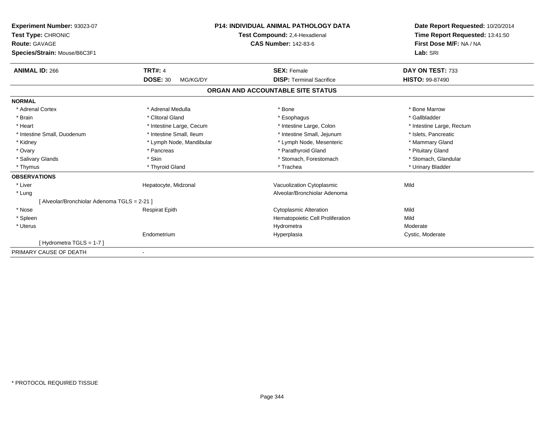| Experiment Number: 93023-07<br>Test Type: CHRONIC |                             | <b>P14: INDIVIDUAL ANIMAL PATHOLOGY DATA</b><br>Test Compound: 2,4-Hexadienal | Date Report Requested: 10/20/2014<br>Time Report Requested: 13:41:50<br>First Dose M/F: NA / NA |
|---------------------------------------------------|-----------------------------|-------------------------------------------------------------------------------|-------------------------------------------------------------------------------------------------|
| <b>Route: GAVAGE</b>                              |                             | <b>CAS Number: 142-83-6</b>                                                   |                                                                                                 |
| Species/Strain: Mouse/B6C3F1                      |                             |                                                                               | Lab: SRI                                                                                        |
| <b>ANIMAL ID: 266</b>                             | <b>TRT#: 4</b>              | <b>SEX: Female</b>                                                            | DAY ON TEST: 733                                                                                |
|                                                   | <b>DOSE: 30</b><br>MG/KG/DY | <b>DISP: Terminal Sacrifice</b>                                               | <b>HISTO: 99-87490</b>                                                                          |
|                                                   |                             | ORGAN AND ACCOUNTABLE SITE STATUS                                             |                                                                                                 |
| <b>NORMAL</b>                                     |                             |                                                                               |                                                                                                 |
| * Adrenal Cortex                                  | * Adrenal Medulla           | * Bone                                                                        | * Bone Marrow                                                                                   |
| * Brain                                           | * Clitoral Gland            | * Esophagus                                                                   | * Gallbladder                                                                                   |
| * Heart                                           | * Intestine Large, Cecum    | * Intestine Large, Colon                                                      | * Intestine Large, Rectum                                                                       |
| * Intestine Small, Duodenum                       | * Intestine Small, Ileum    | * Intestine Small, Jejunum                                                    | * Islets, Pancreatic                                                                            |
| * Kidney                                          | * Lymph Node, Mandibular    | * Lymph Node, Mesenteric                                                      | * Mammary Gland                                                                                 |
| * Ovary                                           | * Pancreas                  | * Parathyroid Gland                                                           | * Pituitary Gland                                                                               |
| * Salivary Glands                                 | * Skin                      | * Stomach, Forestomach                                                        | * Stomach, Glandular                                                                            |
| * Thymus                                          | * Thyroid Gland             | * Trachea                                                                     | * Urinary Bladder                                                                               |
| <b>OBSERVATIONS</b>                               |                             |                                                                               |                                                                                                 |
| * Liver                                           | Hepatocyte, Midzonal        | Vacuolization Cytoplasmic                                                     | Mild                                                                                            |
| * Lung                                            |                             | Alveolar/Bronchiolar Adenoma                                                  |                                                                                                 |
| [ Alveolar/Bronchiolar Adenoma TGLS = 2-21 ]      |                             |                                                                               |                                                                                                 |
| * Nose                                            | <b>Respirat Epith</b>       | <b>Cytoplasmic Alteration</b>                                                 | Mild                                                                                            |
| * Spleen                                          |                             | Hematopoietic Cell Proliferation                                              | Mild                                                                                            |
| * Uterus                                          |                             | Hydrometra                                                                    | Moderate                                                                                        |
|                                                   | Endometrium                 | Hyperplasia                                                                   | Cystic, Moderate                                                                                |
| [Hydrometra TGLS = 1-7]                           |                             |                                                                               |                                                                                                 |
| PRIMARY CAUSE OF DEATH                            |                             |                                                                               |                                                                                                 |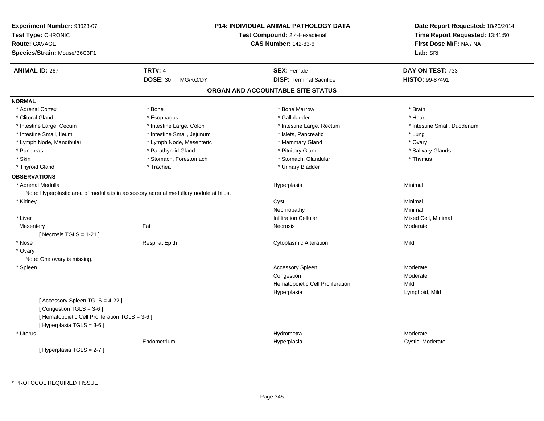| Experiment Number: 93023-07<br>Test Type: CHRONIC<br><b>Route: GAVAGE</b><br>Species/Strain: Mouse/B6C3F1 |                             | P14: INDIVIDUAL ANIMAL PATHOLOGY DATA<br>Test Compound: 2,4-Hexadienal<br><b>CAS Number: 142-83-6</b> | Date Report Requested: 10/20/2014<br>Time Report Requested: 13:41:50<br>First Dose M/F: NA / NA<br>Lab: SRI |
|-----------------------------------------------------------------------------------------------------------|-----------------------------|-------------------------------------------------------------------------------------------------------|-------------------------------------------------------------------------------------------------------------|
| <b>ANIMAL ID: 267</b>                                                                                     | <b>TRT#: 4</b>              | <b>SEX: Female</b>                                                                                    | DAY ON TEST: 733                                                                                            |
|                                                                                                           | <b>DOSE: 30</b><br>MG/KG/DY | <b>DISP: Terminal Sacrifice</b>                                                                       | HISTO: 99-87491                                                                                             |
|                                                                                                           |                             | ORGAN AND ACCOUNTABLE SITE STATUS                                                                     |                                                                                                             |
| <b>NORMAL</b>                                                                                             |                             |                                                                                                       |                                                                                                             |
| * Adrenal Cortex                                                                                          | * Bone                      | * Bone Marrow                                                                                         | * Brain                                                                                                     |
| * Clitoral Gland                                                                                          | * Esophagus                 | * Gallbladder                                                                                         | * Heart                                                                                                     |
| * Intestine Large, Cecum                                                                                  | * Intestine Large, Colon    | * Intestine Large, Rectum                                                                             | * Intestine Small, Duodenum                                                                                 |
| * Intestine Small, Ileum                                                                                  | * Intestine Small, Jejunum  | * Islets, Pancreatic                                                                                  | * Lung                                                                                                      |
| * Lymph Node, Mandibular                                                                                  | * Lymph Node, Mesenteric    | * Mammary Gland                                                                                       | * Ovary                                                                                                     |
| * Pancreas                                                                                                | * Parathyroid Gland         | * Pituitary Gland                                                                                     | * Salivary Glands                                                                                           |
| * Skin                                                                                                    | * Stomach, Forestomach      | * Stomach, Glandular                                                                                  | * Thymus                                                                                                    |
| * Thyroid Gland                                                                                           | * Trachea                   | * Urinary Bladder                                                                                     |                                                                                                             |
| <b>OBSERVATIONS</b>                                                                                       |                             |                                                                                                       |                                                                                                             |
| * Adrenal Medulla                                                                                         |                             | Hyperplasia                                                                                           | Minimal                                                                                                     |
| Note: Hyperplastic area of medulla is in accessory adrenal medullary nodule at hilus.                     |                             |                                                                                                       |                                                                                                             |
| * Kidney                                                                                                  |                             | Cyst                                                                                                  | Minimal                                                                                                     |
|                                                                                                           |                             | Nephropathy                                                                                           | Minimal                                                                                                     |
| * Liver                                                                                                   |                             | <b>Infiltration Cellular</b>                                                                          | Mixed Cell, Minimal                                                                                         |
| Mesentery                                                                                                 | Fat                         | Necrosis                                                                                              | Moderate                                                                                                    |
| [ Necrosis TGLS = $1-21$ ]                                                                                |                             |                                                                                                       |                                                                                                             |
| * Nose                                                                                                    | <b>Respirat Epith</b>       | <b>Cytoplasmic Alteration</b>                                                                         | Mild                                                                                                        |
| * Ovary                                                                                                   |                             |                                                                                                       |                                                                                                             |
| Note: One ovary is missing.                                                                               |                             |                                                                                                       |                                                                                                             |
| * Spleen                                                                                                  |                             | Accessory Spleen                                                                                      | Moderate                                                                                                    |
|                                                                                                           |                             | Congestion                                                                                            | Moderate                                                                                                    |
|                                                                                                           |                             | Hematopoietic Cell Proliferation                                                                      | Mild                                                                                                        |
|                                                                                                           |                             | Hyperplasia                                                                                           | Lymphoid, Mild                                                                                              |
| [Accessory Spleen TGLS = 4-22]                                                                            |                             |                                                                                                       |                                                                                                             |
| [Congestion TGLS = 3-6]                                                                                   |                             |                                                                                                       |                                                                                                             |
| [ Hematopoietic Cell Proliferation TGLS = 3-6 ]                                                           |                             |                                                                                                       |                                                                                                             |
| [ Hyperplasia TGLS = 3-6 ]                                                                                |                             |                                                                                                       |                                                                                                             |
| * Uterus                                                                                                  |                             | Hydrometra                                                                                            | Moderate                                                                                                    |
|                                                                                                           | Endometrium                 | Hyperplasia                                                                                           | Cystic, Moderate                                                                                            |
| [Hyperplasia TGLS = 2-7]                                                                                  |                             |                                                                                                       |                                                                                                             |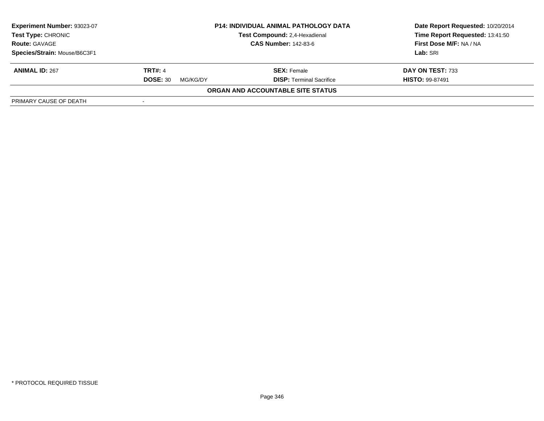| <b>Experiment Number: 93023-07</b><br>Test Type: CHRONIC<br><b>Route: GAVAGE</b> | <b>P14: INDIVIDUAL ANIMAL PATHOLOGY DATA</b><br>Test Compound: 2,4-Hexadienal<br><b>CAS Number: 142-83-6</b> |                                   | Date Report Requested: 10/20/2014<br>Time Report Requested: 13:41:50<br>First Dose M/F: NA / NA |
|----------------------------------------------------------------------------------|--------------------------------------------------------------------------------------------------------------|-----------------------------------|-------------------------------------------------------------------------------------------------|
| Species/Strain: Mouse/B6C3F1                                                     |                                                                                                              |                                   | Lab: SRI                                                                                        |
| <b>ANIMAL ID: 267</b>                                                            | <b>TRT#: 4</b>                                                                                               | <b>SEX: Female</b>                | DAY ON TEST: 733                                                                                |
|                                                                                  | <b>DOSE: 30</b><br>MG/KG/DY                                                                                  | <b>DISP: Terminal Sacrifice</b>   | <b>HISTO: 99-87491</b>                                                                          |
|                                                                                  |                                                                                                              | ORGAN AND ACCOUNTABLE SITE STATUS |                                                                                                 |
| PRIMARY CAUSE OF DEATH                                                           |                                                                                                              |                                   |                                                                                                 |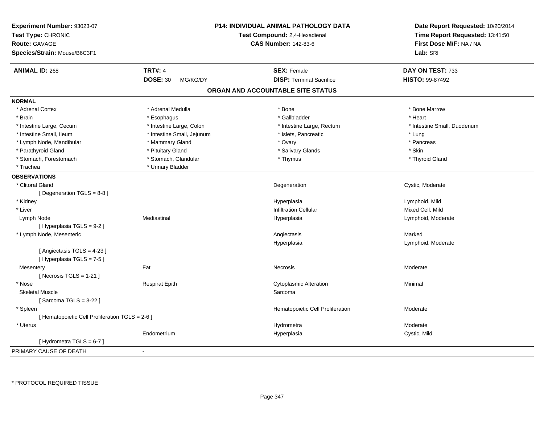| Experiment Number: 93023-07<br>Test Type: CHRONIC<br><b>Route: GAVAGE</b><br>Species/Strain: Mouse/B6C3F1 |                             | <b>P14: INDIVIDUAL ANIMAL PATHOLOGY DATA</b><br>Test Compound: 2,4-Hexadienal<br><b>CAS Number: 142-83-6</b> | Date Report Requested: 10/20/2014<br>Time Report Requested: 13:41:50<br>First Dose M/F: NA / NA<br>Lab: SRI |
|-----------------------------------------------------------------------------------------------------------|-----------------------------|--------------------------------------------------------------------------------------------------------------|-------------------------------------------------------------------------------------------------------------|
| <b>ANIMAL ID: 268</b>                                                                                     | <b>TRT#: 4</b>              | <b>SEX: Female</b>                                                                                           | DAY ON TEST: 733                                                                                            |
|                                                                                                           | <b>DOSE: 30</b><br>MG/KG/DY | <b>DISP: Terminal Sacrifice</b>                                                                              | HISTO: 99-87492                                                                                             |
|                                                                                                           |                             | ORGAN AND ACCOUNTABLE SITE STATUS                                                                            |                                                                                                             |
| <b>NORMAL</b>                                                                                             |                             |                                                                                                              |                                                                                                             |
| * Adrenal Cortex                                                                                          | * Adrenal Medulla           | * Bone                                                                                                       | * Bone Marrow                                                                                               |
| * Brain                                                                                                   | * Esophagus                 | * Gallbladder                                                                                                | * Heart                                                                                                     |
| * Intestine Large, Cecum                                                                                  | * Intestine Large, Colon    | * Intestine Large, Rectum                                                                                    | * Intestine Small, Duodenum                                                                                 |
| * Intestine Small, Ileum                                                                                  | * Intestine Small, Jejunum  | * Islets, Pancreatic                                                                                         | * Lung                                                                                                      |
| * Lymph Node, Mandibular                                                                                  | * Mammary Gland             | * Ovary                                                                                                      | * Pancreas                                                                                                  |
| * Parathyroid Gland                                                                                       | * Pituitary Gland           | * Salivary Glands                                                                                            | * Skin                                                                                                      |
| * Stomach, Forestomach                                                                                    | * Stomach, Glandular        | * Thymus                                                                                                     | * Thyroid Gland                                                                                             |
| * Trachea                                                                                                 | * Urinary Bladder           |                                                                                                              |                                                                                                             |
| <b>OBSERVATIONS</b>                                                                                       |                             |                                                                                                              |                                                                                                             |
| * Clitoral Gland                                                                                          |                             | Degeneration                                                                                                 | Cystic, Moderate                                                                                            |
| [ Degeneration TGLS = 8-8 ]                                                                               |                             |                                                                                                              |                                                                                                             |
| * Kidney                                                                                                  |                             | Hyperplasia                                                                                                  | Lymphoid, Mild                                                                                              |
| * Liver                                                                                                   |                             | <b>Infiltration Cellular</b>                                                                                 | Mixed Cell, Mild                                                                                            |
| Lymph Node                                                                                                | Mediastinal                 | Hyperplasia                                                                                                  | Lymphoid, Moderate                                                                                          |
| [ Hyperplasia TGLS = 9-2 ]                                                                                |                             |                                                                                                              |                                                                                                             |
| * Lymph Node, Mesenteric                                                                                  |                             | Angiectasis                                                                                                  | Marked                                                                                                      |
|                                                                                                           |                             | Hyperplasia                                                                                                  | Lymphoid, Moderate                                                                                          |
| [Angiectasis TGLS = 4-23]<br>[Hyperplasia TGLS = 7-5]                                                     |                             |                                                                                                              |                                                                                                             |
| Mesentery                                                                                                 | Fat                         | Necrosis                                                                                                     | Moderate                                                                                                    |
| [Necrosis TGLS = $1-21$ ]                                                                                 |                             |                                                                                                              |                                                                                                             |
| * Nose                                                                                                    | <b>Respirat Epith</b>       | <b>Cytoplasmic Alteration</b>                                                                                | Minimal                                                                                                     |
| <b>Skeletal Muscle</b>                                                                                    |                             | Sarcoma                                                                                                      |                                                                                                             |
| [Sarcoma TGLS = $3-22$ ]                                                                                  |                             |                                                                                                              |                                                                                                             |
| * Spleen                                                                                                  |                             | Hematopoietic Cell Proliferation                                                                             | Moderate                                                                                                    |
| [ Hematopoietic Cell Proliferation TGLS = 2-6 ]                                                           |                             |                                                                                                              |                                                                                                             |
| * Uterus                                                                                                  |                             | Hydrometra                                                                                                   | Moderate                                                                                                    |
|                                                                                                           | Endometrium                 | Hyperplasia                                                                                                  | Cystic, Mild                                                                                                |
| [Hydrometra TGLS = $6-7$ ]                                                                                |                             |                                                                                                              |                                                                                                             |
| PRIMARY CAUSE OF DEATH                                                                                    |                             |                                                                                                              |                                                                                                             |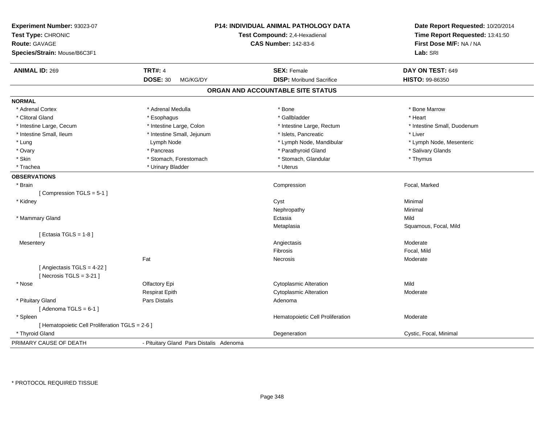| Experiment Number: 93023-07<br>Test Type: CHRONIC<br><b>Route: GAVAGE</b><br>Species/Strain: Mouse/B6C3F1 |                                         | P14: INDIVIDUAL ANIMAL PATHOLOGY DATA<br>Test Compound: 2,4-Hexadienal<br><b>CAS Number: 142-83-6</b> | Date Report Requested: 10/20/2014<br>Time Report Requested: 13:41:50<br>First Dose M/F: NA / NA<br>Lab: SRI |
|-----------------------------------------------------------------------------------------------------------|-----------------------------------------|-------------------------------------------------------------------------------------------------------|-------------------------------------------------------------------------------------------------------------|
| <b>ANIMAL ID: 269</b>                                                                                     | <b>TRT#: 4</b>                          | <b>SEX: Female</b>                                                                                    | DAY ON TEST: 649                                                                                            |
|                                                                                                           | <b>DOSE: 30</b><br>MG/KG/DY             | <b>DISP:</b> Moribund Sacrifice                                                                       | HISTO: 99-86350                                                                                             |
|                                                                                                           |                                         | ORGAN AND ACCOUNTABLE SITE STATUS                                                                     |                                                                                                             |
| <b>NORMAL</b>                                                                                             |                                         |                                                                                                       |                                                                                                             |
| * Adrenal Cortex                                                                                          | * Adrenal Medulla                       | * Bone                                                                                                | * Bone Marrow                                                                                               |
| * Clitoral Gland                                                                                          | * Esophagus                             | * Gallbladder                                                                                         | * Heart                                                                                                     |
| * Intestine Large, Cecum                                                                                  | * Intestine Large, Colon                | * Intestine Large, Rectum                                                                             | * Intestine Small, Duodenum                                                                                 |
| * Intestine Small, Ileum                                                                                  | * Intestine Small, Jejunum              | * Islets, Pancreatic                                                                                  | * Liver                                                                                                     |
| * Lung                                                                                                    | Lymph Node                              | * Lymph Node, Mandibular                                                                              | * Lymph Node, Mesenteric                                                                                    |
| * Ovary                                                                                                   | * Pancreas                              | * Parathyroid Gland                                                                                   | * Salivary Glands                                                                                           |
| * Skin                                                                                                    | * Stomach, Forestomach                  | * Stomach, Glandular                                                                                  | * Thymus                                                                                                    |
| * Trachea                                                                                                 | * Urinary Bladder                       | * Uterus                                                                                              |                                                                                                             |
| <b>OBSERVATIONS</b>                                                                                       |                                         |                                                                                                       |                                                                                                             |
| * Brain                                                                                                   |                                         | Compression                                                                                           | Focal, Marked                                                                                               |
| [Compression TGLS = 5-1]                                                                                  |                                         |                                                                                                       |                                                                                                             |
| * Kidney                                                                                                  |                                         | Cyst                                                                                                  | Minimal                                                                                                     |
|                                                                                                           |                                         | Nephropathy                                                                                           | Minimal                                                                                                     |
| * Mammary Gland                                                                                           |                                         | Ectasia                                                                                               | Mild                                                                                                        |
|                                                                                                           |                                         | Metaplasia                                                                                            | Squamous, Focal, Mild                                                                                       |
| [ Ectasia TGLS = $1-8$ ]                                                                                  |                                         |                                                                                                       |                                                                                                             |
| Mesentery                                                                                                 |                                         | Angiectasis                                                                                           | Moderate                                                                                                    |
|                                                                                                           |                                         | Fibrosis                                                                                              | Focal, Mild                                                                                                 |
|                                                                                                           | Fat                                     | Necrosis                                                                                              | Moderate                                                                                                    |
| [ Angiectasis TGLS = 4-22 ]                                                                               |                                         |                                                                                                       |                                                                                                             |
| [Necrosis $TGLS = 3-21$ ]                                                                                 |                                         |                                                                                                       |                                                                                                             |
| * Nose                                                                                                    | Olfactory Epi                           | <b>Cytoplasmic Alteration</b>                                                                         | Mild                                                                                                        |
|                                                                                                           | <b>Respirat Epith</b>                   | <b>Cytoplasmic Alteration</b>                                                                         | Moderate                                                                                                    |
| * Pituitary Gland                                                                                         | <b>Pars Distalis</b>                    | Adenoma                                                                                               |                                                                                                             |
| [Adenoma TGLS = $6-1$ ]                                                                                   |                                         |                                                                                                       |                                                                                                             |
| * Spleen                                                                                                  |                                         | Hematopoietic Cell Proliferation                                                                      | Moderate                                                                                                    |
| [ Hematopoietic Cell Proliferation TGLS = 2-6 ]                                                           |                                         |                                                                                                       |                                                                                                             |
| * Thyroid Gland                                                                                           |                                         | Degeneration                                                                                          | Cystic, Focal, Minimal                                                                                      |
| PRIMARY CAUSE OF DEATH                                                                                    | - Pituitary Gland Pars Distalis Adenoma |                                                                                                       |                                                                                                             |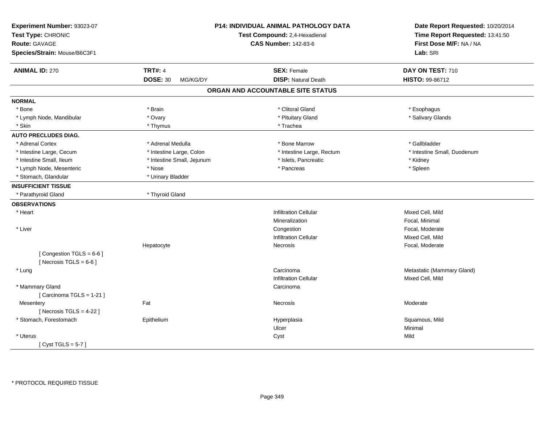| Experiment Number: 93023-07<br>Test Type: CHRONIC<br><b>Route: GAVAGE</b><br>Species/Strain: Mouse/B6C3F1 |                             | P14: INDIVIDUAL ANIMAL PATHOLOGY DATA<br>Test Compound: 2,4-Hexadienal<br><b>CAS Number: 142-83-6</b> | Date Report Requested: 10/20/2014<br>Time Report Requested: 13:41:50<br>First Dose M/F: NA / NA<br>Lab: SRI |
|-----------------------------------------------------------------------------------------------------------|-----------------------------|-------------------------------------------------------------------------------------------------------|-------------------------------------------------------------------------------------------------------------|
| <b>ANIMAL ID: 270</b>                                                                                     | <b>TRT#: 4</b>              | <b>SEX: Female</b>                                                                                    | DAY ON TEST: 710                                                                                            |
|                                                                                                           | <b>DOSE: 30</b><br>MG/KG/DY | <b>DISP: Natural Death</b>                                                                            | HISTO: 99-86712                                                                                             |
|                                                                                                           |                             | ORGAN AND ACCOUNTABLE SITE STATUS                                                                     |                                                                                                             |
| <b>NORMAL</b>                                                                                             |                             |                                                                                                       |                                                                                                             |
| * Bone                                                                                                    | * Brain                     | * Clitoral Gland                                                                                      | * Esophagus                                                                                                 |
| * Lymph Node, Mandibular                                                                                  | * Ovary                     | * Pituitary Gland                                                                                     | * Salivary Glands                                                                                           |
| * Skin                                                                                                    | * Thymus                    | * Trachea                                                                                             |                                                                                                             |
| <b>AUTO PRECLUDES DIAG.</b>                                                                               |                             |                                                                                                       |                                                                                                             |
| * Adrenal Cortex                                                                                          | * Adrenal Medulla           | * Bone Marrow                                                                                         | * Gallbladder                                                                                               |
| * Intestine Large, Cecum                                                                                  | * Intestine Large, Colon    | * Intestine Large, Rectum                                                                             | * Intestine Small, Duodenum                                                                                 |
| * Intestine Small, Ileum                                                                                  | * Intestine Small, Jejunum  | * Islets, Pancreatic                                                                                  | * Kidney                                                                                                    |
| * Lymph Node, Mesenteric                                                                                  | * Nose                      | * Pancreas                                                                                            | * Spleen                                                                                                    |
| * Stomach, Glandular                                                                                      | * Urinary Bladder           |                                                                                                       |                                                                                                             |
| <b>INSUFFICIENT TISSUE</b>                                                                                |                             |                                                                                                       |                                                                                                             |
| * Parathyroid Gland                                                                                       | * Thyroid Gland             |                                                                                                       |                                                                                                             |
| <b>OBSERVATIONS</b>                                                                                       |                             |                                                                                                       |                                                                                                             |
| * Heart                                                                                                   |                             | <b>Infiltration Cellular</b>                                                                          | Mixed Cell, Mild                                                                                            |
|                                                                                                           |                             | Mineralization                                                                                        | Focal, Minimal                                                                                              |
| * Liver                                                                                                   |                             | Congestion                                                                                            | Focal, Moderate                                                                                             |
|                                                                                                           |                             | <b>Infiltration Cellular</b>                                                                          | Mixed Cell, Mild                                                                                            |
|                                                                                                           | Hepatocyte                  | <b>Necrosis</b>                                                                                       | Focal, Moderate                                                                                             |
| [Congestion TGLS = 6-6]<br>[Necrosis TGLS = $6-6$ ]                                                       |                             |                                                                                                       |                                                                                                             |
| * Lung                                                                                                    |                             | Carcinoma                                                                                             | Metastatic (Mammary Gland)                                                                                  |
|                                                                                                           |                             | <b>Infiltration Cellular</b>                                                                          | Mixed Cell, Mild                                                                                            |
| * Mammary Gland<br>[Carcinoma TGLS = 1-21]                                                                |                             | Carcinoma                                                                                             |                                                                                                             |
| Mesentery<br>[Necrosis $TGLS = 4-22$ ]                                                                    | Fat                         | <b>Necrosis</b>                                                                                       | Moderate                                                                                                    |
| * Stomach, Forestomach                                                                                    | Epithelium                  | Hyperplasia                                                                                           | Squamous, Mild                                                                                              |
|                                                                                                           |                             | Ulcer                                                                                                 | Minimal                                                                                                     |
| * Uterus                                                                                                  |                             | Cyst                                                                                                  | Mild                                                                                                        |
| [Cyst TGLS = $5-7$ ]                                                                                      |                             |                                                                                                       |                                                                                                             |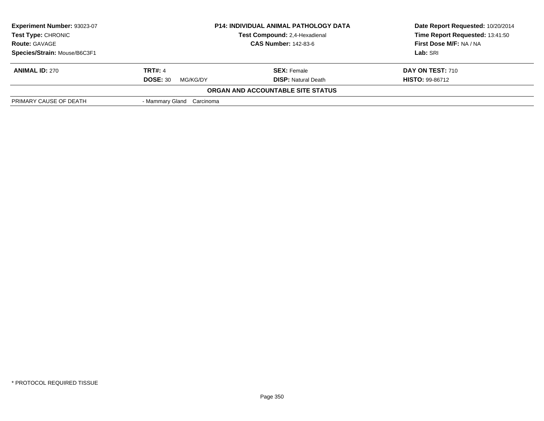| <b>Experiment Number: 93023-07</b><br><b>Test Type: CHRONIC</b><br><b>Route: GAVAGE</b> | <b>P14: INDIVIDUAL ANIMAL PATHOLOGY DATA</b><br>Test Compound: 2.4-Hexadienal<br><b>CAS Number: 142-83-6</b> |                                   | Date Report Requested: 10/20/2014<br>Time Report Requested: 13:41:50<br>First Dose M/F: NA / NA |
|-----------------------------------------------------------------------------------------|--------------------------------------------------------------------------------------------------------------|-----------------------------------|-------------------------------------------------------------------------------------------------|
|                                                                                         |                                                                                                              |                                   |                                                                                                 |
| Species/Strain: Mouse/B6C3F1                                                            |                                                                                                              |                                   | Lab: SRI                                                                                        |
| <b>ANIMAL ID: 270</b>                                                                   | <b>TRT#: 4</b>                                                                                               | <b>SEX: Female</b>                | <b>DAY ON TEST: 710</b>                                                                         |
|                                                                                         | <b>DOSE: 30</b><br>MG/KG/DY                                                                                  | <b>DISP:</b> Natural Death        | <b>HISTO: 99-86712</b>                                                                          |
|                                                                                         |                                                                                                              | ORGAN AND ACCOUNTABLE SITE STATUS |                                                                                                 |
| PRIMARY CAUSE OF DEATH                                                                  | - Mammary Gland Carcinoma                                                                                    |                                   |                                                                                                 |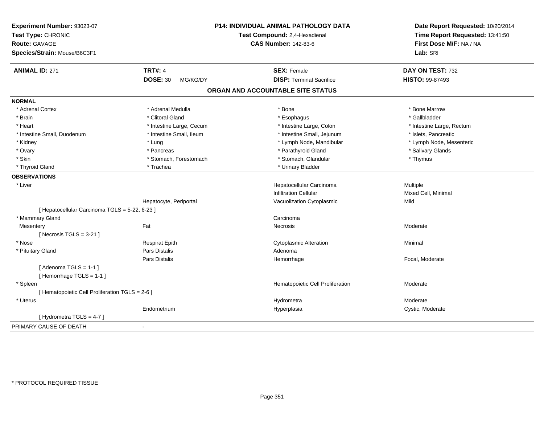| Experiment Number: 93023-07<br>Test Type: CHRONIC<br><b>Route: GAVAGE</b><br>Species/Strain: Mouse/B6C3F1 |                             | <b>P14: INDIVIDUAL ANIMAL PATHOLOGY DATA</b><br>Test Compound: 2,4-Hexadienal<br><b>CAS Number: 142-83-6</b> | Date Report Requested: 10/20/2014<br>Time Report Requested: 13:41:50<br>First Dose M/F: NA / NA<br>Lab: SRI |
|-----------------------------------------------------------------------------------------------------------|-----------------------------|--------------------------------------------------------------------------------------------------------------|-------------------------------------------------------------------------------------------------------------|
| <b>ANIMAL ID: 271</b>                                                                                     | <b>TRT#: 4</b>              | <b>SEX: Female</b>                                                                                           | DAY ON TEST: 732                                                                                            |
|                                                                                                           | <b>DOSE: 30</b><br>MG/KG/DY | <b>DISP: Terminal Sacrifice</b>                                                                              | <b>HISTO: 99-87493</b>                                                                                      |
|                                                                                                           |                             | ORGAN AND ACCOUNTABLE SITE STATUS                                                                            |                                                                                                             |
| <b>NORMAL</b>                                                                                             |                             |                                                                                                              |                                                                                                             |
| * Adrenal Cortex                                                                                          | * Adrenal Medulla           | * Bone                                                                                                       | * Bone Marrow                                                                                               |
| * Brain                                                                                                   | * Clitoral Gland            | * Esophagus                                                                                                  | * Gallbladder                                                                                               |
| * Heart                                                                                                   | * Intestine Large, Cecum    | * Intestine Large, Colon                                                                                     | * Intestine Large, Rectum                                                                                   |
| * Intestine Small, Duodenum                                                                               | * Intestine Small, Ileum    | * Intestine Small, Jejunum                                                                                   | * Islets, Pancreatic                                                                                        |
| * Kidney                                                                                                  | * Lung                      | * Lymph Node, Mandibular                                                                                     | * Lymph Node, Mesenteric                                                                                    |
| * Ovary                                                                                                   | * Pancreas                  | * Parathyroid Gland                                                                                          | * Salivary Glands                                                                                           |
| * Skin                                                                                                    | * Stomach, Forestomach      | * Stomach, Glandular                                                                                         | * Thymus                                                                                                    |
| * Thyroid Gland                                                                                           | * Trachea                   | * Urinary Bladder                                                                                            |                                                                                                             |
| <b>OBSERVATIONS</b>                                                                                       |                             |                                                                                                              |                                                                                                             |
| * Liver                                                                                                   |                             | Hepatocellular Carcinoma                                                                                     | Multiple                                                                                                    |
|                                                                                                           |                             | <b>Infiltration Cellular</b>                                                                                 | Mixed Cell, Minimal                                                                                         |
|                                                                                                           | Hepatocyte, Periportal      | Vacuolization Cytoplasmic                                                                                    | Mild                                                                                                        |
| [ Hepatocellular Carcinoma TGLS = 5-22, 6-23 ]                                                            |                             |                                                                                                              |                                                                                                             |
| * Mammary Gland                                                                                           |                             | Carcinoma                                                                                                    |                                                                                                             |
| Mesentery                                                                                                 | Fat                         | Necrosis                                                                                                     | Moderate                                                                                                    |
| [ Necrosis TGLS = $3-21$ ]                                                                                |                             |                                                                                                              |                                                                                                             |
| * Nose                                                                                                    | <b>Respirat Epith</b>       | <b>Cytoplasmic Alteration</b>                                                                                | Minimal                                                                                                     |
| * Pituitary Gland                                                                                         | Pars Distalis               | Adenoma                                                                                                      |                                                                                                             |
|                                                                                                           | <b>Pars Distalis</b>        | Hemorrhage                                                                                                   | Focal, Moderate                                                                                             |
| [Adenoma TGLS = $1-1$ ]                                                                                   |                             |                                                                                                              |                                                                                                             |
| [Hemorrhage TGLS = 1-1]                                                                                   |                             |                                                                                                              |                                                                                                             |
| * Spleen                                                                                                  |                             | Hematopoietic Cell Proliferation                                                                             | Moderate                                                                                                    |
| [ Hematopoietic Cell Proliferation TGLS = 2-6 ]                                                           |                             |                                                                                                              |                                                                                                             |
| * Uterus                                                                                                  |                             | Hydrometra                                                                                                   | Moderate                                                                                                    |
|                                                                                                           | Endometrium                 | Hyperplasia                                                                                                  | Cystic, Moderate                                                                                            |
| [Hydrometra TGLS = 4-7]                                                                                   |                             |                                                                                                              |                                                                                                             |
| PRIMARY CAUSE OF DEATH                                                                                    | $\blacksquare$              |                                                                                                              |                                                                                                             |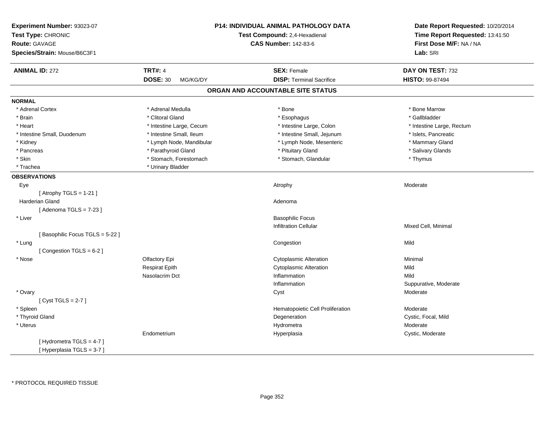| Experiment Number: 93023-07<br>Test Type: CHRONIC<br>Route: GAVAGE<br>Species/Strain: Mouse/B6C3F1 |                             | P14: INDIVIDUAL ANIMAL PATHOLOGY DATA<br>Test Compound: 2,4-Hexadienal<br><b>CAS Number: 142-83-6</b> | Date Report Requested: 10/20/2014<br>Time Report Requested: 13:41:50<br>First Dose M/F: NA / NA<br>Lab: SRI |
|----------------------------------------------------------------------------------------------------|-----------------------------|-------------------------------------------------------------------------------------------------------|-------------------------------------------------------------------------------------------------------------|
| <b>ANIMAL ID: 272</b>                                                                              | <b>TRT#: 4</b>              | <b>SEX: Female</b>                                                                                    | DAY ON TEST: 732                                                                                            |
|                                                                                                    | <b>DOSE: 30</b><br>MG/KG/DY | <b>DISP: Terminal Sacrifice</b>                                                                       | HISTO: 99-87494                                                                                             |
|                                                                                                    |                             | ORGAN AND ACCOUNTABLE SITE STATUS                                                                     |                                                                                                             |
| <b>NORMAL</b>                                                                                      |                             |                                                                                                       |                                                                                                             |
| * Adrenal Cortex                                                                                   | * Adrenal Medulla           | * Bone                                                                                                | * Bone Marrow                                                                                               |
| * Brain                                                                                            | * Clitoral Gland            | * Esophagus                                                                                           | * Gallbladder                                                                                               |
| * Heart                                                                                            | * Intestine Large, Cecum    | * Intestine Large, Colon                                                                              | * Intestine Large, Rectum                                                                                   |
| * Intestine Small, Duodenum                                                                        | * Intestine Small, Ileum    | * Intestine Small, Jejunum                                                                            | * Islets, Pancreatic                                                                                        |
| * Kidney                                                                                           | * Lymph Node, Mandibular    | * Lymph Node, Mesenteric                                                                              | * Mammary Gland                                                                                             |
| * Pancreas                                                                                         | * Parathyroid Gland         | * Pituitary Gland                                                                                     | * Salivary Glands                                                                                           |
| * Skin                                                                                             | * Stomach, Forestomach      | * Stomach, Glandular                                                                                  | * Thymus                                                                                                    |
| * Trachea                                                                                          | * Urinary Bladder           |                                                                                                       |                                                                                                             |
| <b>OBSERVATIONS</b>                                                                                |                             |                                                                                                       |                                                                                                             |
| Eye                                                                                                |                             | Atrophy                                                                                               | Moderate                                                                                                    |
| [Atrophy TGLS = $1-21$ ]                                                                           |                             |                                                                                                       |                                                                                                             |
| Harderian Gland                                                                                    |                             | Adenoma                                                                                               |                                                                                                             |
| [Adenoma TGLS = $7-23$ ]                                                                           |                             |                                                                                                       |                                                                                                             |
| * Liver                                                                                            |                             | <b>Basophilic Focus</b>                                                                               |                                                                                                             |
|                                                                                                    |                             | <b>Infiltration Cellular</b>                                                                          | Mixed Cell, Minimal                                                                                         |
| [Basophilic Focus TGLS = 5-22]                                                                     |                             |                                                                                                       |                                                                                                             |
| * Lung                                                                                             |                             | Congestion                                                                                            | Mild                                                                                                        |
| [Congestion TGLS = 6-2]                                                                            |                             |                                                                                                       |                                                                                                             |
| * Nose                                                                                             | Olfactory Epi               | <b>Cytoplasmic Alteration</b>                                                                         | Minimal                                                                                                     |
|                                                                                                    | <b>Respirat Epith</b>       | <b>Cytoplasmic Alteration</b>                                                                         | Mild                                                                                                        |
|                                                                                                    | Nasolacrim Dct              | Inflammation                                                                                          | Mild                                                                                                        |
|                                                                                                    |                             | Inflammation                                                                                          | Suppurative, Moderate                                                                                       |
| * Ovary                                                                                            |                             | Cyst                                                                                                  | Moderate                                                                                                    |
| [Cyst TGLS = $2-7$ ]                                                                               |                             |                                                                                                       |                                                                                                             |
| * Spleen                                                                                           |                             | Hematopoietic Cell Proliferation                                                                      | Moderate                                                                                                    |
| * Thyroid Gland                                                                                    |                             | Degeneration                                                                                          | Cystic, Focal, Mild                                                                                         |
| * Uterus                                                                                           |                             | Hydrometra                                                                                            | Moderate                                                                                                    |
|                                                                                                    | Endometrium                 | Hyperplasia                                                                                           | Cystic, Moderate                                                                                            |
| [Hydrometra TGLS = 4-7]                                                                            |                             |                                                                                                       |                                                                                                             |
| [Hyperplasia TGLS = 3-7]                                                                           |                             |                                                                                                       |                                                                                                             |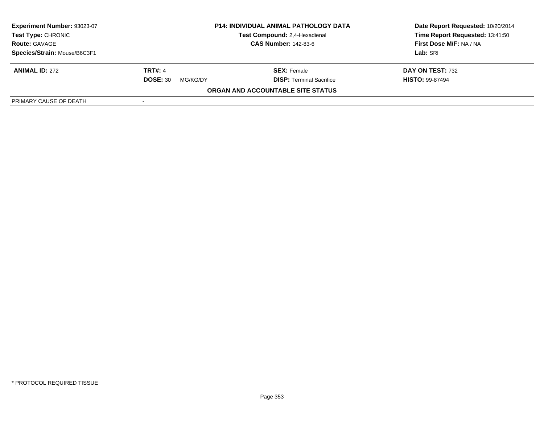| Experiment Number: 93023-07  | <b>P14: INDIVIDUAL ANIMAL PATHOLOGY DATA</b><br>Test Compound: 2,4-Hexadienal<br><b>CAS Number: 142-83-6</b> |                                   | Date Report Requested: 10/20/2014 |
|------------------------------|--------------------------------------------------------------------------------------------------------------|-----------------------------------|-----------------------------------|
| <b>Test Type: CHRONIC</b>    |                                                                                                              |                                   | Time Report Requested: 13:41:50   |
| <b>Route: GAVAGE</b>         |                                                                                                              |                                   | First Dose M/F: NA / NA           |
| Species/Strain: Mouse/B6C3F1 |                                                                                                              |                                   | Lab: SRI                          |
| <b>ANIMAL ID: 272</b>        | <b>TRT#: 4</b>                                                                                               | <b>SEX:</b> Female                | DAY ON TEST: 732                  |
|                              | <b>DOSE: 30</b><br>MG/KG/DY                                                                                  | <b>DISP: Terminal Sacrifice</b>   | <b>HISTO: 99-87494</b>            |
|                              |                                                                                                              | ORGAN AND ACCOUNTABLE SITE STATUS |                                   |
| PRIMARY CAUSE OF DEATH       | $\overline{\phantom{a}}$                                                                                     |                                   |                                   |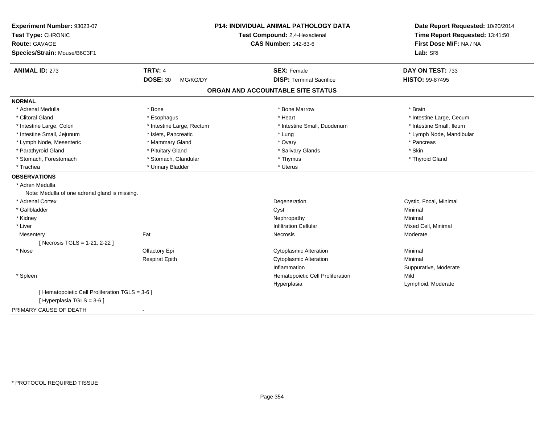| Experiment Number: 93023-07<br>Test Type: CHRONIC |                             | <b>P14: INDIVIDUAL ANIMAL PATHOLOGY DATA</b> | Date Report Requested: 10/20/2014<br>Time Report Requested: 13:41:50 |
|---------------------------------------------------|-----------------------------|----------------------------------------------|----------------------------------------------------------------------|
|                                                   |                             | Test Compound: 2,4-Hexadienal                |                                                                      |
| Route: GAVAGE                                     |                             | <b>CAS Number: 142-83-6</b>                  | First Dose M/F: NA / NA                                              |
| Species/Strain: Mouse/B6C3F1                      |                             |                                              | Lab: SRI                                                             |
| <b>ANIMAL ID: 273</b>                             | <b>TRT#: 4</b>              | <b>SEX: Female</b>                           | DAY ON TEST: 733                                                     |
|                                                   | <b>DOSE: 30</b><br>MG/KG/DY | <b>DISP: Terminal Sacrifice</b>              | HISTO: 99-87495                                                      |
|                                                   |                             | ORGAN AND ACCOUNTABLE SITE STATUS            |                                                                      |
| <b>NORMAL</b>                                     |                             |                                              |                                                                      |
| * Adrenal Medulla                                 | * Bone                      | * Bone Marrow                                | * Brain                                                              |
| * Clitoral Gland                                  | * Esophagus                 | * Heart                                      | * Intestine Large, Cecum                                             |
| * Intestine Large, Colon                          | * Intestine Large, Rectum   | * Intestine Small, Duodenum                  | * Intestine Small, Ileum                                             |
| * Intestine Small, Jejunum                        | * Islets, Pancreatic        | * Lung                                       | * Lymph Node, Mandibular                                             |
| * Lymph Node, Mesenteric                          | * Mammary Gland             | * Ovary                                      | * Pancreas                                                           |
| * Parathyroid Gland                               | * Pituitary Gland           | * Salivary Glands                            | * Skin                                                               |
| * Stomach, Forestomach                            | * Stomach, Glandular        | * Thymus                                     | * Thyroid Gland                                                      |
| * Trachea                                         | * Urinary Bladder           | * Uterus                                     |                                                                      |
| <b>OBSERVATIONS</b>                               |                             |                                              |                                                                      |
| * Adren Medulla                                   |                             |                                              |                                                                      |
| Note: Medulla of one adrenal gland is missing.    |                             |                                              |                                                                      |
| * Adrenal Cortex                                  |                             | Degeneration                                 | Cystic, Focal, Minimal                                               |
| * Gallbladder                                     |                             | Cyst                                         | Minimal                                                              |
| * Kidney                                          |                             | Nephropathy                                  | Minimal                                                              |
| * Liver                                           |                             | <b>Infiltration Cellular</b>                 | Mixed Cell, Minimal                                                  |
| Mesentery                                         | Fat                         | Necrosis                                     | Moderate                                                             |
| [ Necrosis TGLS = 1-21, 2-22 ]                    |                             |                                              |                                                                      |
| * Nose                                            | Olfactory Epi               | <b>Cytoplasmic Alteration</b>                | Minimal                                                              |
|                                                   | <b>Respirat Epith</b>       | Cytoplasmic Alteration                       | Minimal                                                              |
|                                                   |                             | Inflammation                                 | Suppurative, Moderate                                                |
| * Spleen                                          |                             | Hematopoietic Cell Proliferation             | Mild                                                                 |
|                                                   |                             | Hyperplasia                                  | Lymphoid, Moderate                                                   |
| [ Hematopoietic Cell Proliferation TGLS = 3-6 ]   |                             |                                              |                                                                      |
| [Hyperplasia TGLS = 3-6]                          |                             |                                              |                                                                      |
| PRIMARY CAUSE OF DEATH                            | $\blacksquare$              |                                              |                                                                      |
|                                                   |                             |                                              |                                                                      |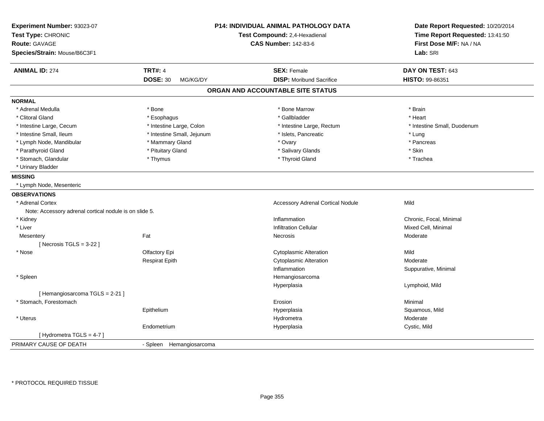| Experiment Number: 93023-07<br>Test Type: CHRONIC<br><b>Route: GAVAGE</b><br>Species/Strain: Mouse/B6C3F1 |                             | <b>P14: INDIVIDUAL ANIMAL PATHOLOGY DATA</b><br>Test Compound: 2,4-Hexadienal<br><b>CAS Number: 142-83-6</b> | Date Report Requested: 10/20/2014<br>Time Report Requested: 13:41:50<br>First Dose M/F: NA / NA<br>Lab: SRI |
|-----------------------------------------------------------------------------------------------------------|-----------------------------|--------------------------------------------------------------------------------------------------------------|-------------------------------------------------------------------------------------------------------------|
|                                                                                                           |                             |                                                                                                              |                                                                                                             |
| <b>ANIMAL ID: 274</b>                                                                                     | <b>TRT#: 4</b>              | <b>SEX: Female</b>                                                                                           | DAY ON TEST: 643                                                                                            |
|                                                                                                           | <b>DOSE: 30</b><br>MG/KG/DY | <b>DISP: Moribund Sacrifice</b>                                                                              | HISTO: 99-86351                                                                                             |
|                                                                                                           |                             | ORGAN AND ACCOUNTABLE SITE STATUS                                                                            |                                                                                                             |
| <b>NORMAL</b>                                                                                             |                             |                                                                                                              |                                                                                                             |
| * Adrenal Medulla                                                                                         | * Bone                      | * Bone Marrow                                                                                                | * Brain                                                                                                     |
| * Clitoral Gland                                                                                          | * Esophagus                 | * Gallbladder                                                                                                | * Heart                                                                                                     |
| * Intestine Large, Cecum                                                                                  | * Intestine Large, Colon    | * Intestine Large, Rectum                                                                                    | * Intestine Small, Duodenum                                                                                 |
| * Intestine Small, Ileum                                                                                  | * Intestine Small, Jejunum  | * Islets, Pancreatic                                                                                         | * Lung                                                                                                      |
| * Lymph Node, Mandibular                                                                                  | * Mammary Gland             | * Ovary                                                                                                      | * Pancreas                                                                                                  |
| * Parathyroid Gland                                                                                       | * Pituitary Gland           | * Salivary Glands                                                                                            | * Skin                                                                                                      |
| * Stomach, Glandular                                                                                      | * Thymus                    | * Thyroid Gland                                                                                              | * Trachea                                                                                                   |
| * Urinary Bladder                                                                                         |                             |                                                                                                              |                                                                                                             |
| <b>MISSING</b>                                                                                            |                             |                                                                                                              |                                                                                                             |
| * Lymph Node, Mesenteric                                                                                  |                             |                                                                                                              |                                                                                                             |
| <b>OBSERVATIONS</b>                                                                                       |                             |                                                                                                              |                                                                                                             |
| * Adrenal Cortex                                                                                          |                             | <b>Accessory Adrenal Cortical Nodule</b>                                                                     | Mild                                                                                                        |
| Note: Accessory adrenal cortical nodule is on slide 5.                                                    |                             |                                                                                                              |                                                                                                             |
| * Kidney                                                                                                  |                             | Inflammation                                                                                                 | Chronic, Focal, Minimal                                                                                     |
| * Liver                                                                                                   |                             | <b>Infiltration Cellular</b>                                                                                 | Mixed Cell, Minimal                                                                                         |
| Mesentery                                                                                                 | Fat                         | Necrosis                                                                                                     | Moderate                                                                                                    |
| [ Necrosis $TGLS = 3-22$ ]                                                                                |                             |                                                                                                              |                                                                                                             |
| * Nose                                                                                                    | Olfactory Epi               | Cytoplasmic Alteration                                                                                       | Mild                                                                                                        |
|                                                                                                           | <b>Respirat Epith</b>       | <b>Cytoplasmic Alteration</b>                                                                                | Moderate                                                                                                    |
|                                                                                                           |                             | Inflammation                                                                                                 | Suppurative, Minimal                                                                                        |
| * Spleen                                                                                                  |                             | Hemangiosarcoma                                                                                              |                                                                                                             |
|                                                                                                           |                             | Hyperplasia                                                                                                  | Lymphoid, Mild                                                                                              |
| [Hemangiosarcoma TGLS = 2-21]                                                                             |                             |                                                                                                              |                                                                                                             |
| * Stomach, Forestomach                                                                                    |                             | Erosion                                                                                                      | Minimal                                                                                                     |
|                                                                                                           | Epithelium                  | Hyperplasia                                                                                                  | Squamous, Mild                                                                                              |
| * Uterus                                                                                                  |                             | Hydrometra                                                                                                   | Moderate                                                                                                    |
|                                                                                                           | Endometrium                 | Hyperplasia                                                                                                  | Cystic, Mild                                                                                                |
| [ Hydrometra TGLS = 4-7 ]                                                                                 |                             |                                                                                                              |                                                                                                             |
| PRIMARY CAUSE OF DEATH                                                                                    | - Spleen Hemangiosarcoma    |                                                                                                              |                                                                                                             |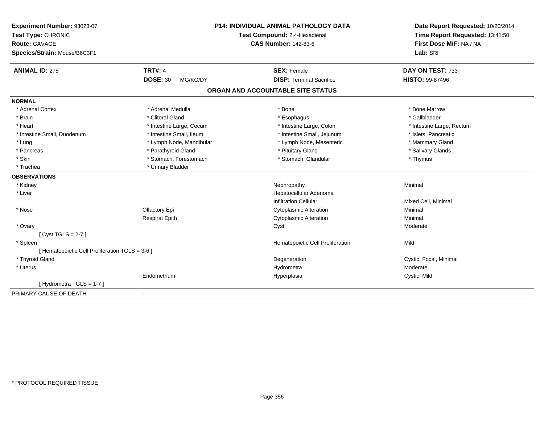| Experiment Number: 93023-07<br>Test Type: CHRONIC<br><b>Route: GAVAGE</b><br>Species/Strain: Mouse/B6C3F1 | <b>P14: INDIVIDUAL ANIMAL PATHOLOGY DATA</b><br>Test Compound: 2,4-Hexadienal<br><b>CAS Number: 142-83-6</b> |                                   | Date Report Requested: 10/20/2014<br>Time Report Requested: 13:41:50<br>First Dose M/F: NA / NA<br>Lab: SRI |
|-----------------------------------------------------------------------------------------------------------|--------------------------------------------------------------------------------------------------------------|-----------------------------------|-------------------------------------------------------------------------------------------------------------|
| <b>ANIMAL ID: 275</b>                                                                                     | <b>TRT#: 4</b>                                                                                               | <b>SEX: Female</b>                | DAY ON TEST: 733                                                                                            |
|                                                                                                           | <b>DOSE: 30</b><br>MG/KG/DY                                                                                  | <b>DISP: Terminal Sacrifice</b>   | <b>HISTO: 99-87496</b>                                                                                      |
|                                                                                                           |                                                                                                              | ORGAN AND ACCOUNTABLE SITE STATUS |                                                                                                             |
| <b>NORMAL</b>                                                                                             |                                                                                                              |                                   |                                                                                                             |
| * Adrenal Cortex                                                                                          | * Adrenal Medulla                                                                                            | * Bone                            | * Bone Marrow                                                                                               |
| * Brain                                                                                                   | * Clitoral Gland                                                                                             | * Esophagus                       | * Gallbladder                                                                                               |
| * Heart                                                                                                   | * Intestine Large, Cecum                                                                                     | * Intestine Large, Colon          | * Intestine Large, Rectum                                                                                   |
| * Intestine Small, Duodenum                                                                               | * Intestine Small, Ileum                                                                                     | * Intestine Small, Jejunum        | * Islets, Pancreatic                                                                                        |
| * Lung                                                                                                    | * Lymph Node, Mandibular                                                                                     | * Lymph Node, Mesenteric          | * Mammary Gland                                                                                             |
| * Pancreas                                                                                                | * Parathyroid Gland                                                                                          | * Pituitary Gland                 | * Salivary Glands                                                                                           |
| * Skin                                                                                                    | * Stomach, Forestomach                                                                                       | * Stomach, Glandular              | * Thymus                                                                                                    |
| * Trachea                                                                                                 | * Urinary Bladder                                                                                            |                                   |                                                                                                             |
| <b>OBSERVATIONS</b>                                                                                       |                                                                                                              |                                   |                                                                                                             |
| * Kidney                                                                                                  |                                                                                                              | Nephropathy                       | Minimal                                                                                                     |
| * Liver                                                                                                   |                                                                                                              | Hepatocellular Adenoma            |                                                                                                             |
|                                                                                                           |                                                                                                              | <b>Infiltration Cellular</b>      | Mixed Cell, Minimal                                                                                         |
| * Nose                                                                                                    | Olfactory Epi                                                                                                | <b>Cytoplasmic Alteration</b>     | Minimal                                                                                                     |
|                                                                                                           | <b>Respirat Epith</b>                                                                                        | <b>Cytoplasmic Alteration</b>     | Minimal                                                                                                     |
| * Ovary                                                                                                   |                                                                                                              | Cyst                              | Moderate                                                                                                    |
| [Cyst TGLS = $2-7$ ]                                                                                      |                                                                                                              |                                   |                                                                                                             |
| * Spleen                                                                                                  |                                                                                                              | Hematopoietic Cell Proliferation  | Mild                                                                                                        |
| [ Hematopoietic Cell Proliferation TGLS = 3-6 ]                                                           |                                                                                                              |                                   |                                                                                                             |
| * Thyroid Gland                                                                                           |                                                                                                              | Degeneration                      | Cystic, Focal, Minimal                                                                                      |
| * Uterus                                                                                                  |                                                                                                              | Hydrometra                        | Moderate                                                                                                    |
|                                                                                                           | Endometrium                                                                                                  | Hyperplasia                       | Cystic, Mild                                                                                                |
| [ Hydrometra TGLS = 1-7 ]                                                                                 |                                                                                                              |                                   |                                                                                                             |
| PRIMARY CAUSE OF DEATH                                                                                    | $\blacksquare$                                                                                               |                                   |                                                                                                             |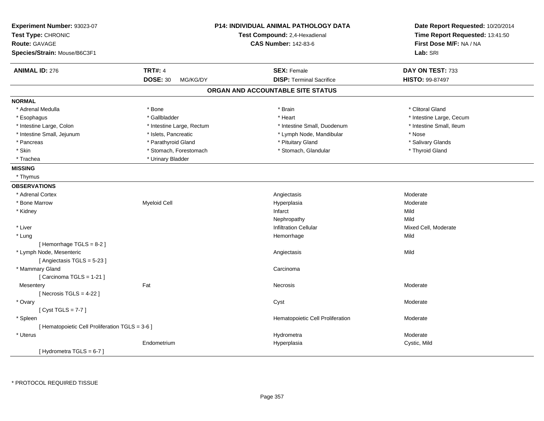| Experiment Number: 93023-07<br>Test Type: CHRONIC<br><b>Route: GAVAGE</b><br>Species/Strain: Mouse/B6C3F1 |                             | <b>P14: INDIVIDUAL ANIMAL PATHOLOGY DATA</b><br>Test Compound: 2,4-Hexadienal<br><b>CAS Number: 142-83-6</b> | Date Report Requested: 10/20/2014<br>Time Report Requested: 13:41:50<br>First Dose M/F: NA / NA<br>Lab: SRI |
|-----------------------------------------------------------------------------------------------------------|-----------------------------|--------------------------------------------------------------------------------------------------------------|-------------------------------------------------------------------------------------------------------------|
| <b>ANIMAL ID: 276</b>                                                                                     | <b>TRT#: 4</b>              | <b>SEX: Female</b>                                                                                           | DAY ON TEST: 733                                                                                            |
|                                                                                                           | <b>DOSE: 30</b><br>MG/KG/DY | <b>DISP: Terminal Sacrifice</b>                                                                              | HISTO: 99-87497                                                                                             |
|                                                                                                           |                             | ORGAN AND ACCOUNTABLE SITE STATUS                                                                            |                                                                                                             |
| <b>NORMAL</b>                                                                                             |                             |                                                                                                              |                                                                                                             |
| * Adrenal Medulla                                                                                         | * Bone                      | * Brain                                                                                                      | * Clitoral Gland                                                                                            |
| * Esophagus                                                                                               | * Gallbladder               | * Heart                                                                                                      | * Intestine Large, Cecum                                                                                    |
| * Intestine Large, Colon                                                                                  | * Intestine Large, Rectum   | * Intestine Small, Duodenum                                                                                  | * Intestine Small, Ileum                                                                                    |
| * Intestine Small, Jejunum                                                                                | * Islets, Pancreatic        | * Lymph Node, Mandibular                                                                                     | * Nose                                                                                                      |
| * Pancreas                                                                                                | * Parathyroid Gland         | * Pituitary Gland                                                                                            | * Salivary Glands                                                                                           |
| * Skin                                                                                                    | * Stomach, Forestomach      | * Stomach, Glandular                                                                                         | * Thyroid Gland                                                                                             |
| * Trachea                                                                                                 | * Urinary Bladder           |                                                                                                              |                                                                                                             |
| <b>MISSING</b>                                                                                            |                             |                                                                                                              |                                                                                                             |
| * Thymus                                                                                                  |                             |                                                                                                              |                                                                                                             |
| <b>OBSERVATIONS</b>                                                                                       |                             |                                                                                                              |                                                                                                             |
| * Adrenal Cortex                                                                                          |                             | Angiectasis                                                                                                  | Moderate                                                                                                    |
| * Bone Marrow                                                                                             | <b>Myeloid Cell</b>         | Hyperplasia                                                                                                  | Moderate                                                                                                    |
| * Kidney                                                                                                  |                             | Infarct                                                                                                      | Mild                                                                                                        |
|                                                                                                           |                             | Nephropathy                                                                                                  | Mild                                                                                                        |
| * Liver                                                                                                   |                             | <b>Infiltration Cellular</b>                                                                                 | Mixed Cell, Moderate                                                                                        |
| * Lung                                                                                                    |                             | Hemorrhage                                                                                                   | Mild                                                                                                        |
| [Hemorrhage TGLS = $8-2$ ]                                                                                |                             |                                                                                                              |                                                                                                             |
| * Lymph Node, Mesenteric                                                                                  |                             | Angiectasis                                                                                                  | Mild                                                                                                        |
| [Angiectasis TGLS = 5-23]                                                                                 |                             |                                                                                                              |                                                                                                             |
| * Mammary Gland                                                                                           |                             | Carcinoma                                                                                                    |                                                                                                             |
| [Carcinoma TGLS = 1-21]                                                                                   |                             |                                                                                                              |                                                                                                             |
| Mesentery                                                                                                 | Fat                         | Necrosis                                                                                                     | Moderate                                                                                                    |
| [Necrosis $TGLS = 4-22$ ]                                                                                 |                             |                                                                                                              |                                                                                                             |
| * Ovary                                                                                                   |                             | Cyst                                                                                                         | Moderate                                                                                                    |
| [Cyst TGLS = $7-7$ ]                                                                                      |                             |                                                                                                              |                                                                                                             |
| * Spleen                                                                                                  |                             | Hematopoietic Cell Proliferation                                                                             | Moderate                                                                                                    |
| [ Hematopoietic Cell Proliferation TGLS = 3-6 ]                                                           |                             |                                                                                                              |                                                                                                             |
| * Uterus                                                                                                  |                             | Hydrometra                                                                                                   | Moderate                                                                                                    |
|                                                                                                           | Endometrium                 | Hyperplasia                                                                                                  | Cystic, Mild                                                                                                |
| [Hydrometra TGLS = 6-7]                                                                                   |                             |                                                                                                              |                                                                                                             |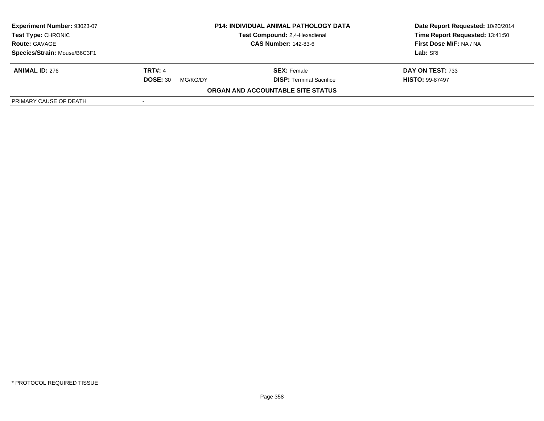| Experiment Number: 93023-07<br><b>Test Type: CHRONIC</b> |                             | <b>P14: INDIVIDUAL ANIMAL PATHOLOGY DATA</b><br>Test Compound: 2,4-Hexadienal | Date Report Requested: 10/20/2014<br>Time Report Requested: 13:41:50 |
|----------------------------------------------------------|-----------------------------|-------------------------------------------------------------------------------|----------------------------------------------------------------------|
| <b>Route: GAVAGE</b>                                     |                             | <b>CAS Number: 142-83-6</b>                                                   | First Dose M/F: NA / NA                                              |
| Species/Strain: Mouse/B6C3F1                             |                             |                                                                               | Lab: SRI                                                             |
| <b>ANIMAL ID: 276</b>                                    | <b>TRT#: 4</b>              | <b>SEX:</b> Female                                                            | DAY ON TEST: 733                                                     |
|                                                          | <b>DOSE: 30</b><br>MG/KG/DY | <b>DISP: Terminal Sacrifice</b>                                               | <b>HISTO: 99-87497</b>                                               |
|                                                          |                             | ORGAN AND ACCOUNTABLE SITE STATUS                                             |                                                                      |
| PRIMARY CAUSE OF DEATH                                   |                             |                                                                               |                                                                      |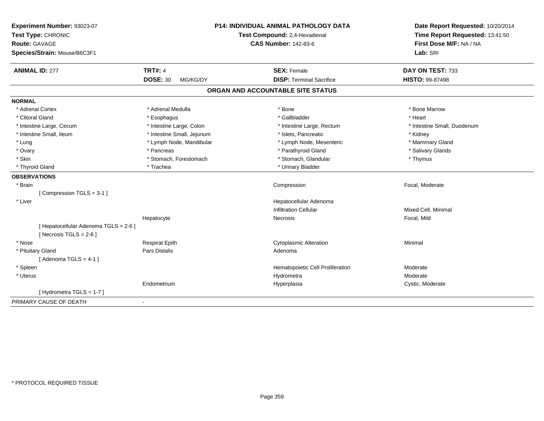| Experiment Number: 93023-07<br>Test Type: CHRONIC<br><b>Route: GAVAGE</b><br>Species/Strain: Mouse/B6C3F1 | <b>P14: INDIVIDUAL ANIMAL PATHOLOGY DATA</b><br>Test Compound: 2,4-Hexadienal<br><b>CAS Number: 142-83-6</b> |                                   | Date Report Requested: 10/20/2014<br>Time Report Requested: 13:41:50<br>First Dose M/F: NA / NA<br>Lab: SRI |
|-----------------------------------------------------------------------------------------------------------|--------------------------------------------------------------------------------------------------------------|-----------------------------------|-------------------------------------------------------------------------------------------------------------|
| <b>ANIMAL ID: 277</b>                                                                                     | <b>TRT#: 4</b>                                                                                               | <b>SEX: Female</b>                | DAY ON TEST: 733                                                                                            |
|                                                                                                           | <b>DOSE: 30</b><br>MG/KG/DY                                                                                  | <b>DISP: Terminal Sacrifice</b>   | <b>HISTO: 99-87498</b>                                                                                      |
|                                                                                                           |                                                                                                              | ORGAN AND ACCOUNTABLE SITE STATUS |                                                                                                             |
| <b>NORMAL</b>                                                                                             |                                                                                                              |                                   |                                                                                                             |
| * Adrenal Cortex                                                                                          | * Adrenal Medulla                                                                                            | * Bone                            | * Bone Marrow                                                                                               |
| * Clitoral Gland                                                                                          | * Esophagus                                                                                                  | * Gallbladder                     | * Heart                                                                                                     |
| * Intestine Large, Cecum                                                                                  | * Intestine Large, Colon                                                                                     | * Intestine Large, Rectum         | * Intestine Small, Duodenum                                                                                 |
| * Intestine Small, Ileum                                                                                  | * Intestine Small, Jejunum                                                                                   | * Islets, Pancreatic              | * Kidney                                                                                                    |
| * Lung                                                                                                    | * Lymph Node, Mandibular                                                                                     | * Lymph Node, Mesenteric          | * Mammary Gland                                                                                             |
| * Ovary                                                                                                   | * Pancreas                                                                                                   | * Parathyroid Gland               | * Salivary Glands                                                                                           |
| * Skin                                                                                                    | * Stomach, Forestomach                                                                                       | * Stomach, Glandular              | * Thymus                                                                                                    |
| * Thyroid Gland                                                                                           | * Trachea                                                                                                    | * Urinary Bladder                 |                                                                                                             |
| <b>OBSERVATIONS</b>                                                                                       |                                                                                                              |                                   |                                                                                                             |
| * Brain                                                                                                   |                                                                                                              | Compression                       | Focal, Moderate                                                                                             |
| [Compression TGLS = 3-1]                                                                                  |                                                                                                              |                                   |                                                                                                             |
| * Liver                                                                                                   |                                                                                                              | Hepatocellular Adenoma            |                                                                                                             |
|                                                                                                           |                                                                                                              | <b>Infiltration Cellular</b>      | Mixed Cell, Minimal                                                                                         |
|                                                                                                           | Hepatocyte                                                                                                   | <b>Necrosis</b>                   | Focal, Mild                                                                                                 |
| [ Hepatocellular Adenoma TGLS = 2-6 ]                                                                     |                                                                                                              |                                   |                                                                                                             |
| [Necrosis TGLS = $2-6$ ]                                                                                  |                                                                                                              |                                   |                                                                                                             |
| * Nose                                                                                                    | <b>Respirat Epith</b>                                                                                        | <b>Cytoplasmic Alteration</b>     | Minimal                                                                                                     |
| * Pituitary Gland                                                                                         | Pars Distalis                                                                                                | Adenoma                           |                                                                                                             |
| [Adenoma TGLS = $4-1$ ]                                                                                   |                                                                                                              |                                   |                                                                                                             |
| * Spleen                                                                                                  |                                                                                                              | Hematopoietic Cell Proliferation  | Moderate                                                                                                    |
| * Uterus                                                                                                  |                                                                                                              | Hydrometra                        | Moderate                                                                                                    |
|                                                                                                           | Endometrium                                                                                                  | Hyperplasia                       | Cystic, Moderate                                                                                            |
| [Hydrometra TGLS = $1-7$ ]                                                                                |                                                                                                              |                                   |                                                                                                             |
| PRIMARY CAUSE OF DEATH                                                                                    | $\blacksquare$                                                                                               |                                   |                                                                                                             |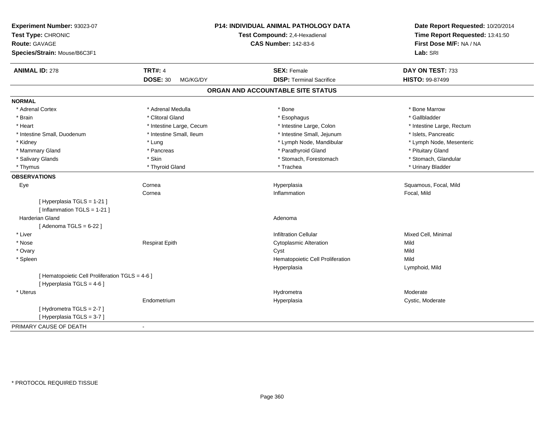| Experiment Number: 93023-07<br>Test Type: CHRONIC<br>Route: GAVAGE<br>Species/Strain: Mouse/B6C3F1 |                             | <b>P14: INDIVIDUAL ANIMAL PATHOLOGY DATA</b><br>Test Compound: 2,4-Hexadienal<br><b>CAS Number: 142-83-6</b> | Date Report Requested: 10/20/2014<br>Time Report Requested: 13:41:50<br>First Dose M/F: NA / NA<br>Lab: SRI |
|----------------------------------------------------------------------------------------------------|-----------------------------|--------------------------------------------------------------------------------------------------------------|-------------------------------------------------------------------------------------------------------------|
| <b>ANIMAL ID: 278</b>                                                                              | <b>TRT#: 4</b>              | <b>SEX: Female</b>                                                                                           | DAY ON TEST: 733                                                                                            |
|                                                                                                    | <b>DOSE: 30</b><br>MG/KG/DY | <b>DISP: Terminal Sacrifice</b>                                                                              | HISTO: 99-87499                                                                                             |
|                                                                                                    |                             | ORGAN AND ACCOUNTABLE SITE STATUS                                                                            |                                                                                                             |
| <b>NORMAL</b>                                                                                      |                             |                                                                                                              |                                                                                                             |
| * Adrenal Cortex                                                                                   | * Adrenal Medulla           | * Bone                                                                                                       | * Bone Marrow                                                                                               |
| * Brain                                                                                            | * Clitoral Gland            | * Esophagus                                                                                                  | * Gallbladder                                                                                               |
| * Heart                                                                                            | * Intestine Large, Cecum    | * Intestine Large, Colon                                                                                     | * Intestine Large, Rectum                                                                                   |
| * Intestine Small, Duodenum                                                                        | * Intestine Small, Ileum    | * Intestine Small, Jejunum                                                                                   | * Islets, Pancreatic                                                                                        |
| * Kidney                                                                                           | * Lung                      | * Lymph Node, Mandibular                                                                                     | * Lymph Node, Mesenteric                                                                                    |
| * Mammary Gland                                                                                    | * Pancreas                  | * Parathyroid Gland                                                                                          | * Pituitary Gland                                                                                           |
| * Salivary Glands                                                                                  | * Skin                      | * Stomach, Forestomach                                                                                       | * Stomach, Glandular                                                                                        |
| * Thymus                                                                                           | * Thyroid Gland             | * Trachea                                                                                                    | * Urinary Bladder                                                                                           |
| <b>OBSERVATIONS</b>                                                                                |                             |                                                                                                              |                                                                                                             |
| Eye                                                                                                | Cornea                      | Hyperplasia                                                                                                  | Squamous, Focal, Mild                                                                                       |
|                                                                                                    | Cornea                      | Inflammation                                                                                                 | Focal, Mild                                                                                                 |
| [ Hyperplasia TGLS = 1-21 ]                                                                        |                             |                                                                                                              |                                                                                                             |
| [Inflammation TGLS = $1-21$ ]                                                                      |                             |                                                                                                              |                                                                                                             |
| Harderian Gland                                                                                    |                             | Adenoma                                                                                                      |                                                                                                             |
| [Adenoma TGLS = $6-22$ ]                                                                           |                             |                                                                                                              |                                                                                                             |
| * Liver                                                                                            |                             | <b>Infiltration Cellular</b>                                                                                 | Mixed Cell, Minimal                                                                                         |
| * Nose                                                                                             | <b>Respirat Epith</b>       | <b>Cytoplasmic Alteration</b>                                                                                | Mild                                                                                                        |
| * Ovary                                                                                            |                             | Cyst                                                                                                         | Mild                                                                                                        |
| * Spleen                                                                                           |                             | Hematopoietic Cell Proliferation                                                                             | Mild                                                                                                        |
|                                                                                                    |                             | Hyperplasia                                                                                                  | Lymphoid, Mild                                                                                              |
| [ Hematopoietic Cell Proliferation TGLS = 4-6 ]                                                    |                             |                                                                                                              |                                                                                                             |
| [ Hyperplasia TGLS = 4-6 ]                                                                         |                             |                                                                                                              |                                                                                                             |
| * Uterus                                                                                           |                             | Hydrometra                                                                                                   | Moderate                                                                                                    |
|                                                                                                    | Endometrium                 | Hyperplasia                                                                                                  | Cystic, Moderate                                                                                            |
| [Hydrometra TGLS = 2-7]                                                                            |                             |                                                                                                              |                                                                                                             |
| [Hyperplasia TGLS = 3-7]                                                                           |                             |                                                                                                              |                                                                                                             |
| PRIMARY CAUSE OF DEATH                                                                             | $\blacksquare$              |                                                                                                              |                                                                                                             |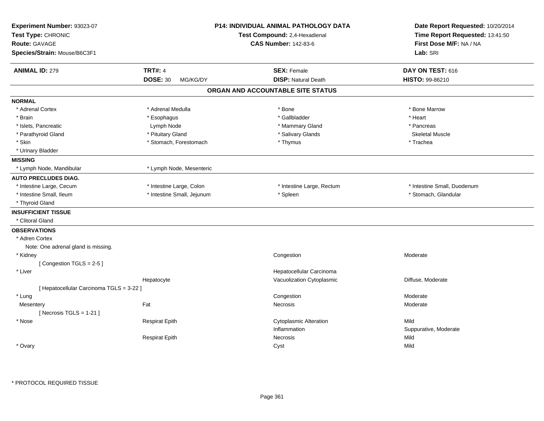| Experiment Number: 93023-07<br>Test Type: CHRONIC<br><b>Route: GAVAGE</b><br>Species/Strain: Mouse/B6C3F1 |                             | <b>P14: INDIVIDUAL ANIMAL PATHOLOGY DATA</b><br>Test Compound: 2,4-Hexadienal<br><b>CAS Number: 142-83-6</b> | Date Report Requested: 10/20/2014<br>Time Report Requested: 13:41:50<br>First Dose M/F: NA / NA<br>Lab: SRI |
|-----------------------------------------------------------------------------------------------------------|-----------------------------|--------------------------------------------------------------------------------------------------------------|-------------------------------------------------------------------------------------------------------------|
| <b>ANIMAL ID: 279</b>                                                                                     | <b>TRT#: 4</b>              | <b>SEX: Female</b>                                                                                           | DAY ON TEST: 616                                                                                            |
|                                                                                                           | <b>DOSE: 30</b><br>MG/KG/DY | <b>DISP: Natural Death</b>                                                                                   | <b>HISTO: 99-86210</b>                                                                                      |
|                                                                                                           |                             | ORGAN AND ACCOUNTABLE SITE STATUS                                                                            |                                                                                                             |
| <b>NORMAL</b>                                                                                             |                             |                                                                                                              |                                                                                                             |
| * Adrenal Cortex                                                                                          | * Adrenal Medulla           | * Bone                                                                                                       | * Bone Marrow                                                                                               |
| * Brain                                                                                                   | * Esophagus                 | * Gallbladder                                                                                                | * Heart                                                                                                     |
| * Islets, Pancreatic                                                                                      | Lymph Node                  | * Mammary Gland                                                                                              | * Pancreas                                                                                                  |
| * Parathyroid Gland                                                                                       | * Pituitary Gland           | * Salivary Glands                                                                                            | <b>Skeletal Muscle</b>                                                                                      |
| * Skin                                                                                                    | * Stomach, Forestomach      | * Thymus                                                                                                     | * Trachea                                                                                                   |
| * Urinary Bladder                                                                                         |                             |                                                                                                              |                                                                                                             |
| <b>MISSING</b>                                                                                            |                             |                                                                                                              |                                                                                                             |
| * Lymph Node, Mandibular                                                                                  | * Lymph Node, Mesenteric    |                                                                                                              |                                                                                                             |
| <b>AUTO PRECLUDES DIAG.</b>                                                                               |                             |                                                                                                              |                                                                                                             |
| * Intestine Large, Cecum                                                                                  | * Intestine Large, Colon    | * Intestine Large, Rectum                                                                                    | * Intestine Small, Duodenum                                                                                 |
| * Intestine Small, Ileum                                                                                  | * Intestine Small, Jejunum  | * Spleen                                                                                                     | * Stomach, Glandular                                                                                        |
| * Thyroid Gland                                                                                           |                             |                                                                                                              |                                                                                                             |
| <b>INSUFFICIENT TISSUE</b>                                                                                |                             |                                                                                                              |                                                                                                             |
| * Clitoral Gland                                                                                          |                             |                                                                                                              |                                                                                                             |
| <b>OBSERVATIONS</b>                                                                                       |                             |                                                                                                              |                                                                                                             |
| * Adren Cortex                                                                                            |                             |                                                                                                              |                                                                                                             |
| Note: One adrenal gland is missing.                                                                       |                             |                                                                                                              |                                                                                                             |
| * Kidney                                                                                                  |                             | Congestion                                                                                                   | Moderate                                                                                                    |
| [Congestion TGLS = 2-5]                                                                                   |                             |                                                                                                              |                                                                                                             |
| * Liver                                                                                                   |                             | Hepatocellular Carcinoma                                                                                     |                                                                                                             |
|                                                                                                           | Hepatocyte                  | Vacuolization Cytoplasmic                                                                                    | Diffuse, Moderate                                                                                           |
| [ Hepatocellular Carcinoma TGLS = 3-22 ]                                                                  |                             |                                                                                                              |                                                                                                             |
| * Lung                                                                                                    |                             | Congestion                                                                                                   | Moderate                                                                                                    |
| Mesentery                                                                                                 | Fat                         | Necrosis                                                                                                     | Moderate                                                                                                    |
| [Necrosis $TGLS = 1-21$ ]                                                                                 |                             |                                                                                                              |                                                                                                             |
| * Nose                                                                                                    | <b>Respirat Epith</b>       | <b>Cytoplasmic Alteration</b>                                                                                | Mild                                                                                                        |
|                                                                                                           |                             | Inflammation                                                                                                 | Suppurative, Moderate                                                                                       |
|                                                                                                           | <b>Respirat Epith</b>       | Necrosis                                                                                                     | Mild                                                                                                        |
| * Ovary                                                                                                   |                             | Cyst                                                                                                         | Mild                                                                                                        |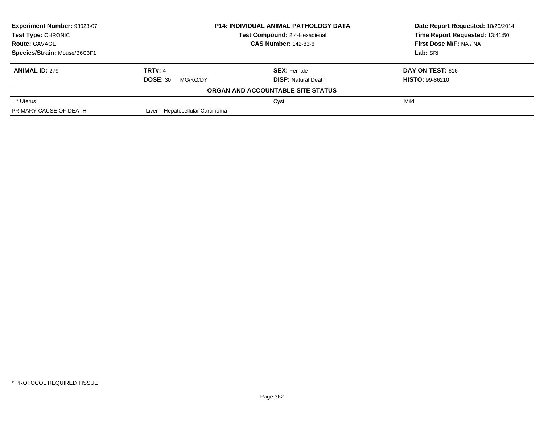| <b>Experiment Number: 93023-07</b><br><b>P14: INDIVIDUAL ANIMAL PATHOLOGY DATA</b><br>Test Type: CHRONIC<br>Test Compound: 2,4-Hexadienal<br><b>CAS Number: 142-83-6</b> |                            | Date Report Requested: 10/20/2014<br>Time Report Requested: 13:41:50 |
|--------------------------------------------------------------------------------------------------------------------------------------------------------------------------|----------------------------|----------------------------------------------------------------------|
|                                                                                                                                                                          |                            |                                                                      |
|                                                                                                                                                                          |                            |                                                                      |
| <b>TRT#: 4</b>                                                                                                                                                           | <b>SEX: Female</b>         | <b>DAY ON TEST: 616</b>                                              |
| <b>DOSE: 30</b><br>MG/KG/DY                                                                                                                                              | <b>DISP:</b> Natural Death | <b>HISTO: 99-86210</b>                                               |
|                                                                                                                                                                          |                            |                                                                      |
|                                                                                                                                                                          | Cyst                       | Mild                                                                 |
| - Liver Hepatocellular Carcinoma                                                                                                                                         |                            |                                                                      |
|                                                                                                                                                                          |                            | ORGAN AND ACCOUNTABLE SITE STATUS                                    |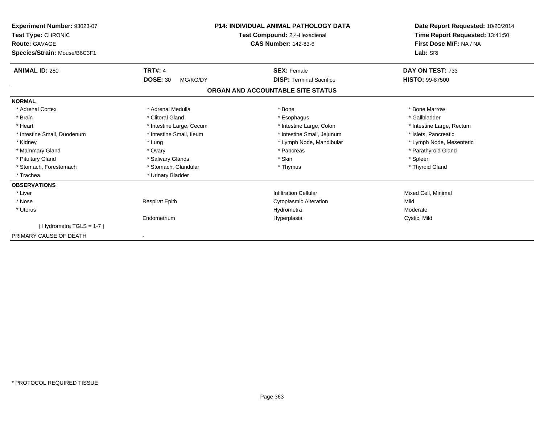| Experiment Number: 93023-07<br>Test Type: CHRONIC<br><b>Route: GAVAGE</b> |                             | <b>P14: INDIVIDUAL ANIMAL PATHOLOGY DATA</b><br>Test Compound: 2,4-Hexadienal<br><b>CAS Number: 142-83-6</b> | Date Report Requested: 10/20/2014<br>Time Report Requested: 13:41:50<br>First Dose M/F: NA / NA |
|---------------------------------------------------------------------------|-----------------------------|--------------------------------------------------------------------------------------------------------------|-------------------------------------------------------------------------------------------------|
| Species/Strain: Mouse/B6C3F1                                              |                             |                                                                                                              | Lab: SRI                                                                                        |
| <b>ANIMAL ID: 280</b>                                                     | <b>TRT#: 4</b>              | <b>SEX: Female</b>                                                                                           | DAY ON TEST: 733                                                                                |
|                                                                           | <b>DOSE: 30</b><br>MG/KG/DY | <b>DISP: Terminal Sacrifice</b>                                                                              | HISTO: 99-87500                                                                                 |
|                                                                           |                             | ORGAN AND ACCOUNTABLE SITE STATUS                                                                            |                                                                                                 |
| <b>NORMAL</b>                                                             |                             |                                                                                                              |                                                                                                 |
| * Adrenal Cortex                                                          | * Adrenal Medulla           | * Bone                                                                                                       | * Bone Marrow                                                                                   |
| * Brain                                                                   | * Clitoral Gland            | * Esophagus                                                                                                  | * Gallbladder                                                                                   |
| * Heart                                                                   | * Intestine Large, Cecum    | * Intestine Large, Colon                                                                                     | * Intestine Large, Rectum                                                                       |
| * Intestine Small, Duodenum                                               | * Intestine Small, Ileum    | * Intestine Small, Jejunum                                                                                   | * Islets, Pancreatic                                                                            |
| * Kidney                                                                  | * Lung                      | * Lymph Node, Mandibular                                                                                     | * Lymph Node, Mesenteric                                                                        |
| * Mammary Gland                                                           | * Ovary                     | * Pancreas                                                                                                   | * Parathyroid Gland                                                                             |
| * Pituitary Gland                                                         | * Salivary Glands           | * Skin                                                                                                       | * Spleen                                                                                        |
| * Stomach, Forestomach                                                    | * Stomach, Glandular        | * Thymus                                                                                                     | * Thyroid Gland                                                                                 |
| * Trachea                                                                 | * Urinary Bladder           |                                                                                                              |                                                                                                 |
| <b>OBSERVATIONS</b>                                                       |                             |                                                                                                              |                                                                                                 |
| * Liver                                                                   |                             | <b>Infiltration Cellular</b>                                                                                 | Mixed Cell, Minimal                                                                             |
| * Nose                                                                    | <b>Respirat Epith</b>       | <b>Cytoplasmic Alteration</b>                                                                                | Mild                                                                                            |
| * Uterus                                                                  |                             | Hydrometra                                                                                                   | Moderate                                                                                        |
|                                                                           | Endometrium                 | Hyperplasia                                                                                                  | Cystic, Mild                                                                                    |
| [Hydrometra TGLS = 1-7]                                                   |                             |                                                                                                              |                                                                                                 |
| PRIMARY CAUSE OF DEATH                                                    |                             |                                                                                                              |                                                                                                 |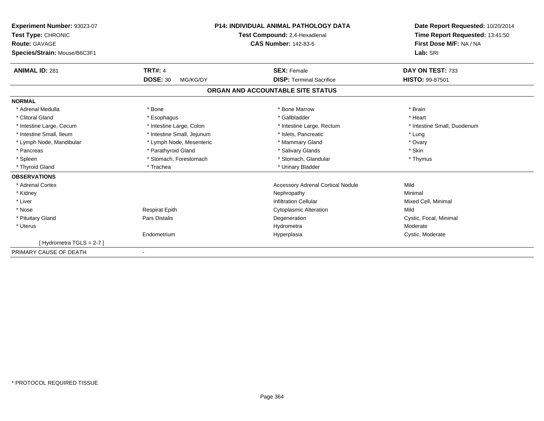| Experiment Number: 93023-07<br>Test Type: CHRONIC<br><b>Route: GAVAGE</b><br>Species/Strain: Mouse/B6C3F1 |                             | <b>P14: INDIVIDUAL ANIMAL PATHOLOGY DATA</b><br>Test Compound: 2,4-Hexadienal<br><b>CAS Number: 142-83-6</b> | Date Report Requested: 10/20/2014<br>Time Report Requested: 13:41:50<br>First Dose M/F: NA / NA<br>Lab: SRI |
|-----------------------------------------------------------------------------------------------------------|-----------------------------|--------------------------------------------------------------------------------------------------------------|-------------------------------------------------------------------------------------------------------------|
| <b>ANIMAL ID: 281</b>                                                                                     | <b>TRT#: 4</b>              | <b>SEX: Female</b>                                                                                           | DAY ON TEST: 733                                                                                            |
|                                                                                                           | <b>DOSE: 30</b><br>MG/KG/DY | <b>DISP: Terminal Sacrifice</b>                                                                              | <b>HISTO: 99-87501</b>                                                                                      |
|                                                                                                           |                             | ORGAN AND ACCOUNTABLE SITE STATUS                                                                            |                                                                                                             |
| <b>NORMAL</b>                                                                                             |                             |                                                                                                              |                                                                                                             |
| * Adrenal Medulla                                                                                         | * Bone                      | * Bone Marrow                                                                                                | * Brain                                                                                                     |
| * Clitoral Gland                                                                                          | * Esophagus                 | * Gallbladder                                                                                                | * Heart                                                                                                     |
| * Intestine Large, Cecum                                                                                  | * Intestine Large, Colon    | * Intestine Large, Rectum                                                                                    | * Intestine Small, Duodenum                                                                                 |
| * Intestine Small, Ileum                                                                                  | * Intestine Small, Jejunum  | * Islets, Pancreatic                                                                                         | * Lung                                                                                                      |
| * Lymph Node, Mandibular                                                                                  | * Lymph Node, Mesenteric    | * Mammary Gland                                                                                              | * Ovary                                                                                                     |
| * Pancreas                                                                                                | * Parathyroid Gland         | * Salivary Glands                                                                                            | * Skin                                                                                                      |
| * Spleen                                                                                                  | * Stomach, Forestomach      | * Stomach, Glandular                                                                                         | * Thymus                                                                                                    |
| * Thyroid Gland                                                                                           | * Trachea                   | * Urinary Bladder                                                                                            |                                                                                                             |
| <b>OBSERVATIONS</b>                                                                                       |                             |                                                                                                              |                                                                                                             |
| * Adrenal Cortex                                                                                          |                             | <b>Accessory Adrenal Cortical Nodule</b>                                                                     | Mild                                                                                                        |
| * Kidney                                                                                                  |                             | Nephropathy                                                                                                  | Minimal                                                                                                     |
| * Liver                                                                                                   |                             | <b>Infiltration Cellular</b>                                                                                 | Mixed Cell, Minimal                                                                                         |
| * Nose                                                                                                    | <b>Respirat Epith</b>       | <b>Cytoplasmic Alteration</b>                                                                                | Mild                                                                                                        |
| * Pituitary Gland                                                                                         | <b>Pars Distalis</b>        | Degeneration                                                                                                 | Cystic, Focal, Minimal                                                                                      |
| * Uterus                                                                                                  |                             | Hydrometra                                                                                                   | Moderate                                                                                                    |
|                                                                                                           | Endometrium                 | Hyperplasia                                                                                                  | Cystic, Moderate                                                                                            |
| [Hydrometra TGLS = $2-7$ ]                                                                                |                             |                                                                                                              |                                                                                                             |
| PRIMARY CAUSE OF DEATH                                                                                    |                             |                                                                                                              |                                                                                                             |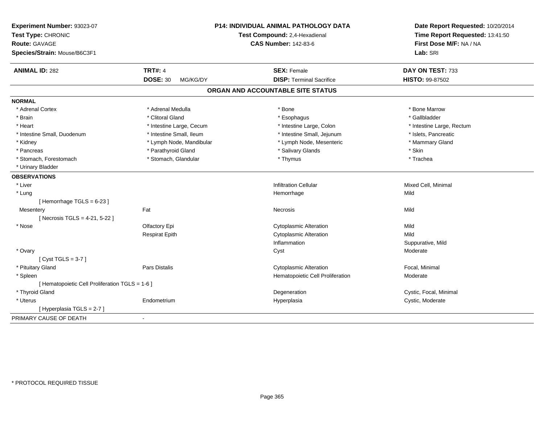| Experiment Number: 93023-07<br>Test Type: CHRONIC<br>Route: GAVAGE<br>Species/Strain: Mouse/B6C3F1 |                             | P14: INDIVIDUAL ANIMAL PATHOLOGY DATA<br>Test Compound: 2,4-Hexadienal<br><b>CAS Number: 142-83-6</b> | Date Report Requested: 10/20/2014<br>Time Report Requested: 13:41:50<br>First Dose M/F: NA / NA<br>Lab: SRI |
|----------------------------------------------------------------------------------------------------|-----------------------------|-------------------------------------------------------------------------------------------------------|-------------------------------------------------------------------------------------------------------------|
| <b>ANIMAL ID: 282</b>                                                                              | <b>TRT#: 4</b>              | <b>SEX: Female</b>                                                                                    | DAY ON TEST: 733                                                                                            |
|                                                                                                    | <b>DOSE: 30</b><br>MG/KG/DY | <b>DISP: Terminal Sacrifice</b>                                                                       | HISTO: 99-87502                                                                                             |
|                                                                                                    |                             | ORGAN AND ACCOUNTABLE SITE STATUS                                                                     |                                                                                                             |
| <b>NORMAL</b>                                                                                      |                             |                                                                                                       |                                                                                                             |
| * Adrenal Cortex                                                                                   | * Adrenal Medulla           | * Bone                                                                                                | * Bone Marrow                                                                                               |
| * Brain                                                                                            | * Clitoral Gland            | * Esophagus                                                                                           | * Gallbladder                                                                                               |
| * Heart                                                                                            | * Intestine Large, Cecum    | * Intestine Large, Colon                                                                              | * Intestine Large, Rectum                                                                                   |
| * Intestine Small, Duodenum                                                                        | * Intestine Small, Ileum    | * Intestine Small, Jejunum                                                                            | * Islets, Pancreatic                                                                                        |
| * Kidney                                                                                           | * Lymph Node, Mandibular    | * Lymph Node, Mesenteric                                                                              | * Mammary Gland                                                                                             |
| * Pancreas                                                                                         | * Parathyroid Gland         | * Salivary Glands                                                                                     | * Skin                                                                                                      |
| * Stomach, Forestomach                                                                             | * Stomach, Glandular        | * Thymus                                                                                              | * Trachea                                                                                                   |
| * Urinary Bladder                                                                                  |                             |                                                                                                       |                                                                                                             |
| <b>OBSERVATIONS</b>                                                                                |                             |                                                                                                       |                                                                                                             |
| * Liver                                                                                            |                             | <b>Infiltration Cellular</b>                                                                          | Mixed Cell, Minimal                                                                                         |
| * Lung                                                                                             |                             | Hemorrhage                                                                                            | Mild                                                                                                        |
| [Hemorrhage TGLS = 6-23]                                                                           |                             |                                                                                                       |                                                                                                             |
| Mesentery                                                                                          | Fat                         | Necrosis                                                                                              | Mild                                                                                                        |
| [Necrosis TGLS = 4-21, 5-22]                                                                       |                             |                                                                                                       |                                                                                                             |
| * Nose                                                                                             | Olfactory Epi               | <b>Cytoplasmic Alteration</b>                                                                         | Mild                                                                                                        |
|                                                                                                    | <b>Respirat Epith</b>       | <b>Cytoplasmic Alteration</b>                                                                         | Mild                                                                                                        |
|                                                                                                    |                             | Inflammation                                                                                          | Suppurative, Mild                                                                                           |
| * Ovary                                                                                            |                             | Cyst                                                                                                  | Moderate                                                                                                    |
| [Cyst TGLS = $3-7$ ]                                                                               |                             |                                                                                                       |                                                                                                             |
| * Pituitary Gland                                                                                  | Pars Distalis               | <b>Cytoplasmic Alteration</b>                                                                         | Focal, Minimal                                                                                              |
| * Spleen                                                                                           |                             | Hematopoietic Cell Proliferation                                                                      | Moderate                                                                                                    |
| [ Hematopoietic Cell Proliferation TGLS = 1-6 ]                                                    |                             |                                                                                                       |                                                                                                             |
| * Thyroid Gland                                                                                    |                             | Degeneration                                                                                          | Cystic, Focal, Minimal                                                                                      |
| * Uterus                                                                                           | Endometrium                 | Hyperplasia                                                                                           | Cystic, Moderate                                                                                            |
| [ Hyperplasia TGLS = 2-7 ]                                                                         |                             |                                                                                                       |                                                                                                             |
| PRIMARY CAUSE OF DEATH                                                                             | $\blacksquare$              |                                                                                                       |                                                                                                             |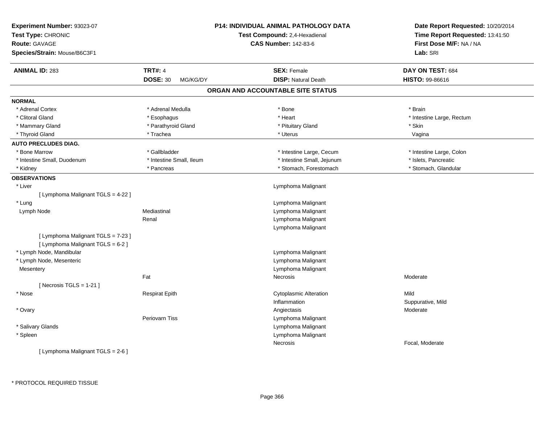| Experiment Number: 93023-07        |                             | <b>P14: INDIVIDUAL ANIMAL PATHOLOGY DATA</b> | Date Report Requested: 10/20/2014 |  |
|------------------------------------|-----------------------------|----------------------------------------------|-----------------------------------|--|
| Test Type: CHRONIC                 |                             | Test Compound: 2,4-Hexadienal                | Time Report Requested: 13:41:50   |  |
| Route: GAVAGE                      |                             | <b>CAS Number: 142-83-6</b>                  | First Dose M/F: NA / NA           |  |
| Species/Strain: Mouse/B6C3F1       |                             |                                              | Lab: SRI                          |  |
| <b>ANIMAL ID: 283</b>              | <b>TRT#: 4</b>              | <b>SEX: Female</b>                           | DAY ON TEST: 684                  |  |
|                                    | <b>DOSE: 30</b><br>MG/KG/DY | <b>DISP: Natural Death</b>                   | HISTO: 99-86616                   |  |
|                                    |                             | ORGAN AND ACCOUNTABLE SITE STATUS            |                                   |  |
| <b>NORMAL</b>                      |                             |                                              |                                   |  |
| * Adrenal Cortex                   | * Adrenal Medulla           | * Bone                                       | * Brain                           |  |
| * Clitoral Gland                   | * Esophagus                 | * Heart                                      | * Intestine Large, Rectum         |  |
| * Mammary Gland                    | * Parathyroid Gland         | * Pituitary Gland                            | * Skin                            |  |
| * Thyroid Gland                    | * Trachea                   | * Uterus                                     | Vagina                            |  |
| <b>AUTO PRECLUDES DIAG.</b>        |                             |                                              |                                   |  |
| * Bone Marrow                      | * Gallbladder               | * Intestine Large, Cecum                     | * Intestine Large, Colon          |  |
| * Intestine Small, Duodenum        | * Intestine Small, Ileum    | * Intestine Small, Jejunum                   | * Islets, Pancreatic              |  |
| * Kidney                           | * Pancreas                  | * Stomach, Forestomach                       | * Stomach, Glandular              |  |
| <b>OBSERVATIONS</b>                |                             |                                              |                                   |  |
| * Liver                            |                             | Lymphoma Malignant                           |                                   |  |
| [ Lymphoma Malignant TGLS = 4-22 ] |                             |                                              |                                   |  |
| * Lung                             |                             | Lymphoma Malignant                           |                                   |  |
| Lymph Node                         | Mediastinal                 | Lymphoma Malignant                           |                                   |  |
|                                    | Renal                       | Lymphoma Malignant                           |                                   |  |
|                                    |                             | Lymphoma Malignant                           |                                   |  |
| [ Lymphoma Malignant TGLS = 7-23 ] |                             |                                              |                                   |  |
| [ Lymphoma Malignant TGLS = 6-2 ]  |                             |                                              |                                   |  |
| * Lymph Node, Mandibular           |                             | Lymphoma Malignant                           |                                   |  |
| * Lymph Node, Mesenteric           |                             | Lymphoma Malignant                           |                                   |  |
| Mesentery                          |                             | Lymphoma Malignant                           |                                   |  |
|                                    | Fat                         | Necrosis                                     | Moderate                          |  |
| [ Necrosis TGLS = $1-21$ ]         |                             |                                              |                                   |  |
| * Nose                             | <b>Respirat Epith</b>       | <b>Cytoplasmic Alteration</b>                | Mild                              |  |
|                                    |                             | Inflammation                                 | Suppurative, Mild                 |  |
| * Ovary                            |                             | Angiectasis                                  | Moderate                          |  |
|                                    | Periovarn Tiss              | Lymphoma Malignant                           |                                   |  |
| * Salivary Glands                  |                             | Lymphoma Malignant                           |                                   |  |
| * Spleen                           |                             | Lymphoma Malignant                           |                                   |  |
|                                    |                             | <b>Necrosis</b>                              | Focal, Moderate                   |  |
| [ Lymphoma Malignant TGLS = 2-6 ]  |                             |                                              |                                   |  |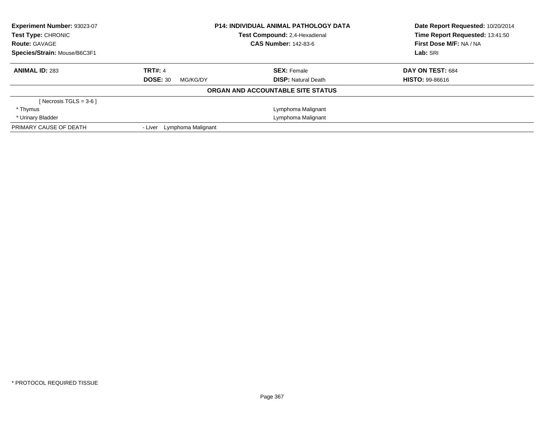| Experiment Number: 93023-07<br><b>Test Type: CHRONIC</b><br><b>Route: GAVAGE</b> | <b>P14: INDIVIDUAL ANIMAL PATHOLOGY DATA</b><br>Test Compound: 2.4-Hexadienal<br><b>CAS Number: 142-83-6</b> |                                   | Date Report Requested: 10/20/2014<br>Time Report Requested: 13:41:50<br>First Dose M/F: NA / NA |
|----------------------------------------------------------------------------------|--------------------------------------------------------------------------------------------------------------|-----------------------------------|-------------------------------------------------------------------------------------------------|
| Species/Strain: Mouse/B6C3F1                                                     |                                                                                                              |                                   | Lab: SRI                                                                                        |
| <b>ANIMAL ID: 283</b>                                                            | <b>TRT#: 4</b>                                                                                               | <b>SEX: Female</b>                | DAY ON TEST: 684                                                                                |
|                                                                                  | <b>DOSE: 30</b><br>MG/KG/DY                                                                                  | <b>DISP:</b> Natural Death        | <b>HISTO: 99-86616</b>                                                                          |
|                                                                                  |                                                                                                              | ORGAN AND ACCOUNTABLE SITE STATUS |                                                                                                 |
| [Necrosis TGLS = $3-6$ ]                                                         |                                                                                                              |                                   |                                                                                                 |
| * Thymus                                                                         |                                                                                                              | Lymphoma Malignant                |                                                                                                 |
| * Urinary Bladder                                                                |                                                                                                              | Lymphoma Malignant                |                                                                                                 |
| PRIMARY CAUSE OF DEATH                                                           | Lymphoma Malignant<br>- Liver                                                                                |                                   |                                                                                                 |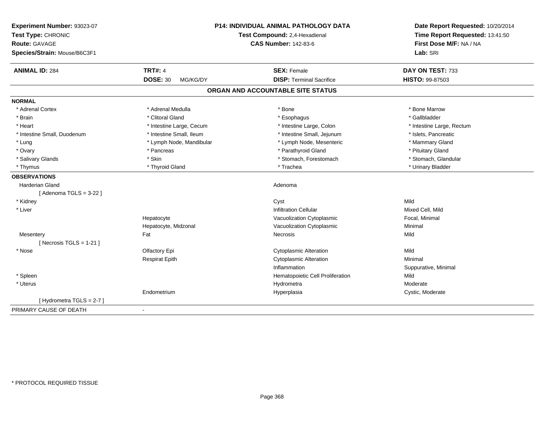| Experiment Number: 93023-07<br>Test Type: CHRONIC<br><b>Route: GAVAGE</b><br>Species/Strain: Mouse/B6C3F1 |                                               | <b>P14: INDIVIDUAL ANIMAL PATHOLOGY DATA</b><br>Test Compound: 2,4-Hexadienal<br><b>CAS Number: 142-83-6</b> | Date Report Requested: 10/20/2014<br>Time Report Requested: 13:41:50<br>First Dose M/F: NA / NA<br>Lab: SRI |
|-----------------------------------------------------------------------------------------------------------|-----------------------------------------------|--------------------------------------------------------------------------------------------------------------|-------------------------------------------------------------------------------------------------------------|
| <b>ANIMAL ID: 284</b>                                                                                     | <b>TRT#: 4</b><br><b>DOSE: 30</b><br>MG/KG/DY | <b>SEX: Female</b><br><b>DISP: Terminal Sacrifice</b>                                                        | DAY ON TEST: 733<br><b>HISTO: 99-87503</b>                                                                  |
|                                                                                                           |                                               |                                                                                                              |                                                                                                             |
|                                                                                                           |                                               | ORGAN AND ACCOUNTABLE SITE STATUS                                                                            |                                                                                                             |
| <b>NORMAL</b>                                                                                             |                                               |                                                                                                              |                                                                                                             |
| * Adrenal Cortex                                                                                          | * Adrenal Medulla                             | * Bone                                                                                                       | * Bone Marrow                                                                                               |
| * Brain                                                                                                   | * Clitoral Gland                              | * Esophagus                                                                                                  | * Gallbladder                                                                                               |
| * Heart                                                                                                   | * Intestine Large, Cecum                      | * Intestine Large, Colon                                                                                     | * Intestine Large, Rectum                                                                                   |
| * Intestine Small, Duodenum                                                                               | * Intestine Small, Ileum                      | * Intestine Small, Jejunum                                                                                   | * Islets, Pancreatic                                                                                        |
| * Lung                                                                                                    | * Lymph Node, Mandibular                      | * Lymph Node, Mesenteric                                                                                     | * Mammary Gland                                                                                             |
| * Ovary                                                                                                   | * Pancreas                                    | * Parathyroid Gland                                                                                          | * Pituitary Gland                                                                                           |
| * Salivary Glands                                                                                         | * Skin                                        | * Stomach, Forestomach                                                                                       | * Stomach, Glandular                                                                                        |
| * Thymus                                                                                                  | * Thyroid Gland                               | * Trachea                                                                                                    | * Urinary Bladder                                                                                           |
| <b>OBSERVATIONS</b>                                                                                       |                                               |                                                                                                              |                                                                                                             |
| <b>Harderian Gland</b>                                                                                    |                                               | Adenoma                                                                                                      |                                                                                                             |
| [Adenoma TGLS = $3-22$ ]                                                                                  |                                               |                                                                                                              |                                                                                                             |
| * Kidney                                                                                                  |                                               | Cyst                                                                                                         | Mild                                                                                                        |
| * Liver                                                                                                   |                                               | <b>Infiltration Cellular</b>                                                                                 | Mixed Cell, Mild                                                                                            |
|                                                                                                           | Hepatocyte                                    | Vacuolization Cytoplasmic                                                                                    | Focal, Minimal                                                                                              |
|                                                                                                           | Hepatocyte, Midzonal                          | Vacuolization Cytoplasmic                                                                                    | Minimal                                                                                                     |
| Mesentery                                                                                                 | Fat                                           | Necrosis                                                                                                     | Mild                                                                                                        |
| [Necrosis TGLS = $1-21$ ]                                                                                 |                                               |                                                                                                              |                                                                                                             |
| * Nose                                                                                                    | Olfactory Epi                                 | <b>Cytoplasmic Alteration</b>                                                                                | Mild                                                                                                        |
|                                                                                                           | <b>Respirat Epith</b>                         | <b>Cytoplasmic Alteration</b>                                                                                | Minimal                                                                                                     |
|                                                                                                           |                                               | Inflammation                                                                                                 | Suppurative, Minimal                                                                                        |
| * Spleen                                                                                                  |                                               | Hematopoietic Cell Proliferation                                                                             | Mild                                                                                                        |
| * Uterus                                                                                                  |                                               | Hydrometra                                                                                                   | Moderate                                                                                                    |
|                                                                                                           | Endometrium                                   | Hyperplasia                                                                                                  | Cystic, Moderate                                                                                            |
| [Hydrometra TGLS = 2-7]                                                                                   |                                               |                                                                                                              |                                                                                                             |
| PRIMARY CAUSE OF DEATH                                                                                    | $\blacksquare$                                |                                                                                                              |                                                                                                             |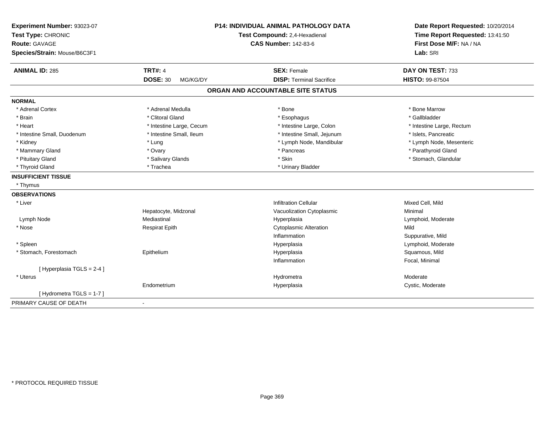| Experiment Number: 93023-07<br>Test Type: CHRONIC<br><b>Route: GAVAGE</b><br>Species/Strain: Mouse/B6C3F1 |                             | P14: INDIVIDUAL ANIMAL PATHOLOGY DATA<br>Test Compound: 2,4-Hexadienal<br><b>CAS Number: 142-83-6</b> | Date Report Requested: 10/20/2014<br>Time Report Requested: 13:41:50<br>First Dose M/F: NA / NA<br>Lab: SRI |
|-----------------------------------------------------------------------------------------------------------|-----------------------------|-------------------------------------------------------------------------------------------------------|-------------------------------------------------------------------------------------------------------------|
|                                                                                                           |                             |                                                                                                       |                                                                                                             |
| <b>ANIMAL ID: 285</b>                                                                                     | <b>TRT#: 4</b>              | <b>SEX: Female</b>                                                                                    | DAY ON TEST: 733                                                                                            |
|                                                                                                           | <b>DOSE: 30</b><br>MG/KG/DY | <b>DISP: Terminal Sacrifice</b>                                                                       | <b>HISTO: 99-87504</b>                                                                                      |
|                                                                                                           |                             | ORGAN AND ACCOUNTABLE SITE STATUS                                                                     |                                                                                                             |
| <b>NORMAL</b>                                                                                             |                             |                                                                                                       |                                                                                                             |
| * Adrenal Cortex                                                                                          | * Adrenal Medulla           | * Bone                                                                                                | * Bone Marrow                                                                                               |
| * Brain                                                                                                   | * Clitoral Gland            | * Esophagus                                                                                           | * Gallbladder                                                                                               |
| * Heart                                                                                                   | * Intestine Large, Cecum    | * Intestine Large, Colon                                                                              | * Intestine Large, Rectum                                                                                   |
| * Intestine Small, Duodenum                                                                               | * Intestine Small, Ileum    | * Intestine Small, Jejunum                                                                            | * Islets, Pancreatic                                                                                        |
| * Kidney                                                                                                  | * Lung                      | * Lymph Node, Mandibular                                                                              | * Lymph Node, Mesenteric                                                                                    |
| * Mammary Gland                                                                                           | * Ovary                     | * Pancreas                                                                                            | * Parathyroid Gland                                                                                         |
| * Pituitary Gland                                                                                         | * Salivary Glands           | * Skin                                                                                                | * Stomach, Glandular                                                                                        |
| * Thyroid Gland                                                                                           | * Trachea                   | * Urinary Bladder                                                                                     |                                                                                                             |
| <b>INSUFFICIENT TISSUE</b>                                                                                |                             |                                                                                                       |                                                                                                             |
| * Thymus                                                                                                  |                             |                                                                                                       |                                                                                                             |
| <b>OBSERVATIONS</b>                                                                                       |                             |                                                                                                       |                                                                                                             |
| * Liver                                                                                                   |                             | <b>Infiltration Cellular</b>                                                                          | Mixed Cell, Mild                                                                                            |
|                                                                                                           | Hepatocyte, Midzonal        | Vacuolization Cytoplasmic                                                                             | Minimal                                                                                                     |
| Lymph Node                                                                                                | Mediastinal                 | Hyperplasia                                                                                           | Lymphoid, Moderate                                                                                          |
| * Nose                                                                                                    | <b>Respirat Epith</b>       | <b>Cytoplasmic Alteration</b>                                                                         | Mild                                                                                                        |
|                                                                                                           |                             | Inflammation                                                                                          | Suppurative, Mild                                                                                           |
| * Spleen                                                                                                  |                             | Hyperplasia                                                                                           | Lymphoid, Moderate                                                                                          |
| * Stomach, Forestomach                                                                                    | Epithelium                  | Hyperplasia                                                                                           | Squamous, Mild                                                                                              |
|                                                                                                           |                             | Inflammation                                                                                          | Focal, Minimal                                                                                              |
| [ Hyperplasia TGLS = 2-4 ]                                                                                |                             |                                                                                                       |                                                                                                             |
| * Uterus                                                                                                  |                             | Hydrometra                                                                                            | Moderate                                                                                                    |
|                                                                                                           | Endometrium                 | Hyperplasia                                                                                           | Cystic, Moderate                                                                                            |
| [Hydrometra TGLS = $1-7$ ]                                                                                |                             |                                                                                                       |                                                                                                             |
| PRIMARY CAUSE OF DEATH                                                                                    | $\blacksquare$              |                                                                                                       |                                                                                                             |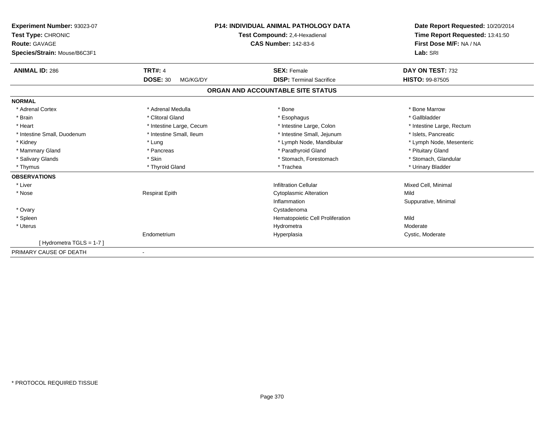| Experiment Number: 93023-07  | <b>P14: INDIVIDUAL ANIMAL PATHOLOGY DATA</b><br>Test Compound: 2,4-Hexadienal |                                   | Date Report Requested: 10/20/2014 |  |
|------------------------------|-------------------------------------------------------------------------------|-----------------------------------|-----------------------------------|--|
| Test Type: CHRONIC           |                                                                               |                                   | Time Report Requested: 13:41:50   |  |
| Route: GAVAGE                |                                                                               | <b>CAS Number: 142-83-6</b>       | First Dose M/F: NA / NA           |  |
| Species/Strain: Mouse/B6C3F1 |                                                                               |                                   | Lab: SRI                          |  |
| <b>ANIMAL ID: 286</b>        | <b>TRT#: 4</b>                                                                | <b>SEX: Female</b>                | DAY ON TEST: 732                  |  |
|                              | <b>DOSE: 30</b><br>MG/KG/DY                                                   | <b>DISP: Terminal Sacrifice</b>   | <b>HISTO: 99-87505</b>            |  |
|                              |                                                                               | ORGAN AND ACCOUNTABLE SITE STATUS |                                   |  |
| <b>NORMAL</b>                |                                                                               |                                   |                                   |  |
| * Adrenal Cortex             | * Adrenal Medulla                                                             | * Bone                            | * Bone Marrow                     |  |
| * Brain                      | * Clitoral Gland                                                              | * Esophagus                       | * Gallbladder                     |  |
| * Heart                      | * Intestine Large, Cecum                                                      | * Intestine Large, Colon          | * Intestine Large, Rectum         |  |
| * Intestine Small, Duodenum  | * Intestine Small, Ileum                                                      | * Intestine Small, Jejunum        | * Islets, Pancreatic              |  |
| * Kidney                     | * Lung                                                                        | * Lymph Node, Mandibular          | * Lymph Node, Mesenteric          |  |
| * Mammary Gland              | * Pancreas                                                                    | * Parathyroid Gland               | * Pituitary Gland                 |  |
| * Salivary Glands            | * Skin                                                                        | * Stomach, Forestomach            | * Stomach, Glandular              |  |
| * Thymus                     | * Thyroid Gland                                                               | * Trachea                         | * Urinary Bladder                 |  |
| <b>OBSERVATIONS</b>          |                                                                               |                                   |                                   |  |
| * Liver                      |                                                                               | <b>Infiltration Cellular</b>      | Mixed Cell, Minimal               |  |
| * Nose                       | <b>Respirat Epith</b>                                                         | <b>Cytoplasmic Alteration</b>     | Mild                              |  |
|                              |                                                                               | Inflammation                      | Suppurative, Minimal              |  |
| * Ovary                      |                                                                               | Cystadenoma                       |                                   |  |
| * Spleen                     |                                                                               | Hematopoietic Cell Proliferation  | Mild                              |  |
| * Uterus                     |                                                                               | Hydrometra                        | Moderate                          |  |
|                              | Endometrium                                                                   | Hyperplasia                       | Cystic, Moderate                  |  |
| [Hydrometra TGLS = 1-7]      |                                                                               |                                   |                                   |  |
| PRIMARY CAUSE OF DEATH       |                                                                               |                                   |                                   |  |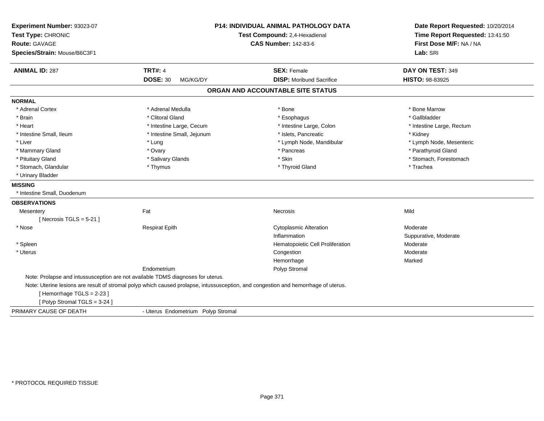| Experiment Number: 93023-07<br>Test Type: CHRONIC<br><b>Route: GAVAGE</b><br>Species/Strain: Mouse/B6C3F1 |                                                                                                                                    | <b>P14: INDIVIDUAL ANIMAL PATHOLOGY DATA</b><br>Test Compound: 2,4-Hexadienal<br><b>CAS Number: 142-83-6</b> | Date Report Requested: 10/20/2014<br>Time Report Requested: 13:41:50<br>First Dose M/F: NA / NA<br>Lab: SRI |
|-----------------------------------------------------------------------------------------------------------|------------------------------------------------------------------------------------------------------------------------------------|--------------------------------------------------------------------------------------------------------------|-------------------------------------------------------------------------------------------------------------|
| <b>ANIMAL ID: 287</b>                                                                                     | <b>TRT#: 4</b>                                                                                                                     | <b>SEX: Female</b>                                                                                           | DAY ON TEST: 349                                                                                            |
|                                                                                                           | <b>DOSE: 30</b><br>MG/KG/DY                                                                                                        | <b>DISP:</b> Moribund Sacrifice                                                                              | <b>HISTO: 98-83925</b>                                                                                      |
|                                                                                                           |                                                                                                                                    | ORGAN AND ACCOUNTABLE SITE STATUS                                                                            |                                                                                                             |
| <b>NORMAL</b>                                                                                             |                                                                                                                                    |                                                                                                              |                                                                                                             |
| * Adrenal Cortex                                                                                          | * Adrenal Medulla                                                                                                                  | * Bone                                                                                                       | * Bone Marrow                                                                                               |
| * Brain                                                                                                   | * Clitoral Gland                                                                                                                   | * Esophagus                                                                                                  | * Gallbladder                                                                                               |
| * Heart                                                                                                   | * Intestine Large, Cecum                                                                                                           | * Intestine Large, Colon                                                                                     | * Intestine Large, Rectum                                                                                   |
| * Intestine Small, Ileum                                                                                  | * Intestine Small, Jejunum                                                                                                         | * Islets, Pancreatic                                                                                         | * Kidney                                                                                                    |
| * Liver                                                                                                   | * Lung                                                                                                                             | * Lymph Node, Mandibular                                                                                     | * Lymph Node, Mesenteric                                                                                    |
| * Mammary Gland                                                                                           | * Ovary                                                                                                                            | * Pancreas                                                                                                   | * Parathyroid Gland                                                                                         |
| * Pituitary Gland                                                                                         | * Salivary Glands                                                                                                                  | * Skin                                                                                                       | * Stomach, Forestomach                                                                                      |
| * Stomach, Glandular                                                                                      | * Thymus                                                                                                                           | * Thyroid Gland                                                                                              | * Trachea                                                                                                   |
| * Urinary Bladder                                                                                         |                                                                                                                                    |                                                                                                              |                                                                                                             |
| <b>MISSING</b>                                                                                            |                                                                                                                                    |                                                                                                              |                                                                                                             |
| * Intestine Small, Duodenum                                                                               |                                                                                                                                    |                                                                                                              |                                                                                                             |
| <b>OBSERVATIONS</b>                                                                                       |                                                                                                                                    |                                                                                                              |                                                                                                             |
| Mesentery                                                                                                 | Fat                                                                                                                                | Necrosis                                                                                                     | Mild                                                                                                        |
| [Necrosis TGLS = $5-21$ ]                                                                                 |                                                                                                                                    |                                                                                                              |                                                                                                             |
| * Nose                                                                                                    | <b>Respirat Epith</b>                                                                                                              | <b>Cytoplasmic Alteration</b>                                                                                | Moderate                                                                                                    |
|                                                                                                           |                                                                                                                                    | Inflammation                                                                                                 | Suppurative, Moderate                                                                                       |
| * Spleen                                                                                                  |                                                                                                                                    | Hematopoietic Cell Proliferation                                                                             | Moderate                                                                                                    |
| * Uterus                                                                                                  |                                                                                                                                    | Congestion                                                                                                   | Moderate                                                                                                    |
|                                                                                                           |                                                                                                                                    | Hemorrhage                                                                                                   | Marked                                                                                                      |
|                                                                                                           | Endometrium                                                                                                                        | Polyp Stromal                                                                                                |                                                                                                             |
| Note: Prolapse and intussusception are not available TDMS diagnoses for uterus.                           |                                                                                                                                    |                                                                                                              |                                                                                                             |
|                                                                                                           | Note: Uterine lesions are result of stromal polyp which caused prolapse, intussusception, and congestion and hemorrhage of uterus. |                                                                                                              |                                                                                                             |
| [Hemorrhage TGLS = 2-23]                                                                                  |                                                                                                                                    |                                                                                                              |                                                                                                             |
| [Polyp Stromal TGLS = 3-24]                                                                               |                                                                                                                                    |                                                                                                              |                                                                                                             |
| PRIMARY CAUSE OF DEATH                                                                                    | - Uterus Endometrium Polyp Stromal                                                                                                 |                                                                                                              |                                                                                                             |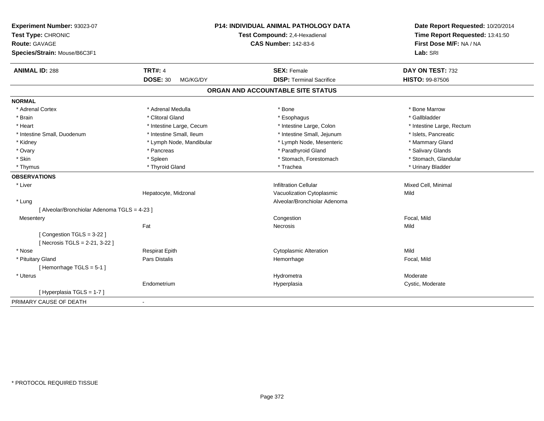| Experiment Number: 93023-07                             | P14: INDIVIDUAL ANIMAL PATHOLOGY DATA | Date Report Requested: 10/20/2014<br>Time Report Requested: 13:41:50<br>First Dose M/F: NA / NA |
|---------------------------------------------------------|---------------------------------------|-------------------------------------------------------------------------------------------------|
| Test Type: CHRONIC                                      | Test Compound: 2,4-Hexadienal         |                                                                                                 |
| Route: GAVAGE                                           | <b>CAS Number: 142-83-6</b>           |                                                                                                 |
| Species/Strain: Mouse/B6C3F1                            |                                       | Lab: SRI                                                                                        |
| <b>ANIMAL ID: 288</b><br><b>TRT#: 4</b>                 | <b>SEX: Female</b>                    | DAY ON TEST: 732                                                                                |
| <b>DOSE: 30</b><br>MG/KG/DY                             | <b>DISP: Terminal Sacrifice</b>       | <b>HISTO: 99-87506</b>                                                                          |
|                                                         | ORGAN AND ACCOUNTABLE SITE STATUS     |                                                                                                 |
| <b>NORMAL</b>                                           |                                       |                                                                                                 |
| * Adrenal Cortex<br>* Adrenal Medulla                   | * Bone                                | * Bone Marrow                                                                                   |
| * Clitoral Gland<br>* Brain                             | * Esophagus                           | * Gallbladder                                                                                   |
| * Intestine Large, Cecum<br>* Heart                     | * Intestine Large, Colon              | * Intestine Large, Rectum                                                                       |
| * Intestine Small, Ileum<br>* Intestine Small, Duodenum | * Intestine Small, Jejunum            | * Islets, Pancreatic                                                                            |
| * Lymph Node, Mandibular<br>* Kidney                    | * Lymph Node, Mesenteric              | * Mammary Gland                                                                                 |
| * Ovary<br>* Pancreas                                   | * Parathyroid Gland                   | * Salivary Glands                                                                               |
| * Skin<br>* Spleen                                      | * Stomach, Forestomach                | * Stomach, Glandular                                                                            |
| * Thyroid Gland<br>* Thymus                             | * Trachea                             | * Urinary Bladder                                                                               |
| <b>OBSERVATIONS</b>                                     |                                       |                                                                                                 |
| * Liver                                                 | <b>Infiltration Cellular</b>          | Mixed Cell, Minimal                                                                             |
| Hepatocyte, Midzonal                                    | Vacuolization Cytoplasmic             | Mild                                                                                            |
| * Lung                                                  | Alveolar/Bronchiolar Adenoma          |                                                                                                 |
| [ Alveolar/Bronchiolar Adenoma TGLS = 4-23 ]            |                                       |                                                                                                 |
| Mesentery                                               | Congestion                            | Focal, Mild                                                                                     |
| Fat                                                     | <b>Necrosis</b>                       | Mild                                                                                            |
| [Congestion TGLS = 3-22]                                |                                       |                                                                                                 |
| [ Necrosis TGLS = 2-21, 3-22 ]                          |                                       |                                                                                                 |
| * Nose<br><b>Respirat Epith</b>                         | <b>Cytoplasmic Alteration</b>         | Mild                                                                                            |
| * Pituitary Gland<br>Pars Distalis                      | Hemorrhage                            | Focal, Mild                                                                                     |
| [Hemorrhage TGLS = 5-1]                                 |                                       |                                                                                                 |
| * Uterus                                                | Hydrometra                            | Moderate                                                                                        |
| Endometrium                                             | Hyperplasia                           | Cystic, Moderate                                                                                |
| [Hyperplasia TGLS = 1-7]                                |                                       |                                                                                                 |
| PRIMARY CAUSE OF DEATH<br>$\blacksquare$                |                                       |                                                                                                 |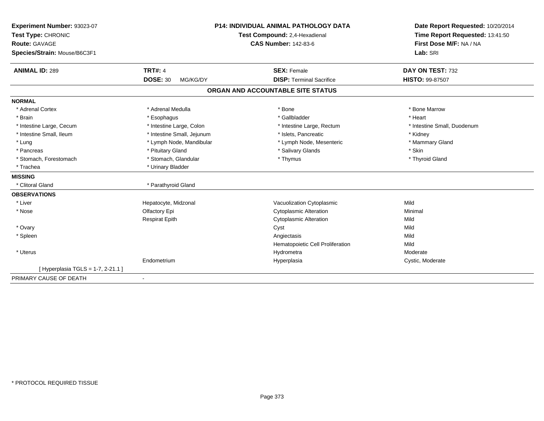| Experiment Number: 93023-07        | <b>P14: INDIVIDUAL ANIMAL PATHOLOGY DATA</b><br>Test Compound: 2,4-Hexadienal |                                   | Date Report Requested: 10/20/2014 |  |
|------------------------------------|-------------------------------------------------------------------------------|-----------------------------------|-----------------------------------|--|
| Test Type: CHRONIC                 |                                                                               |                                   | Time Report Requested: 13:41:50   |  |
| <b>Route: GAVAGE</b>               |                                                                               | <b>CAS Number: 142-83-6</b>       | First Dose M/F: NA / NA           |  |
| Species/Strain: Mouse/B6C3F1       |                                                                               |                                   | Lab: SRI                          |  |
|                                    |                                                                               |                                   |                                   |  |
| <b>ANIMAL ID: 289</b>              | <b>TRT#: 4</b>                                                                | <b>SEX: Female</b>                | DAY ON TEST: 732                  |  |
|                                    | <b>DOSE: 30</b><br>MG/KG/DY                                                   | <b>DISP: Terminal Sacrifice</b>   | HISTO: 99-87507                   |  |
|                                    |                                                                               | ORGAN AND ACCOUNTABLE SITE STATUS |                                   |  |
| <b>NORMAL</b>                      |                                                                               |                                   |                                   |  |
| * Adrenal Cortex                   | * Adrenal Medulla                                                             | * Bone                            | * Bone Marrow                     |  |
| * Brain                            | * Esophagus                                                                   | * Gallbladder                     | * Heart                           |  |
| * Intestine Large, Cecum           | * Intestine Large, Colon                                                      | * Intestine Large, Rectum         | * Intestine Small, Duodenum       |  |
| * Intestine Small, Ileum           | * Intestine Small, Jejunum                                                    | * Islets, Pancreatic              | * Kidney                          |  |
| * Lung                             | * Lymph Node, Mandibular                                                      | * Lymph Node, Mesenteric          | * Mammary Gland                   |  |
| * Pancreas                         | * Pituitary Gland                                                             | * Salivary Glands                 | * Skin                            |  |
| * Stomach, Forestomach             | * Stomach, Glandular                                                          | * Thymus                          | * Thyroid Gland                   |  |
| * Trachea                          | * Urinary Bladder                                                             |                                   |                                   |  |
| <b>MISSING</b>                     |                                                                               |                                   |                                   |  |
| * Clitoral Gland                   | * Parathyroid Gland                                                           |                                   |                                   |  |
| <b>OBSERVATIONS</b>                |                                                                               |                                   |                                   |  |
| * Liver                            | Hepatocyte, Midzonal                                                          | Vacuolization Cytoplasmic         | Mild                              |  |
| * Nose                             | Olfactory Epi                                                                 | <b>Cytoplasmic Alteration</b>     | Minimal                           |  |
|                                    | <b>Respirat Epith</b>                                                         | <b>Cytoplasmic Alteration</b>     | Mild                              |  |
| * Ovary                            |                                                                               | Cyst                              | Mild                              |  |
| * Spleen                           |                                                                               | Angiectasis                       | Mild                              |  |
|                                    |                                                                               | Hematopoietic Cell Proliferation  | Mild                              |  |
| * Uterus                           |                                                                               | Hydrometra                        | Moderate                          |  |
|                                    | Endometrium                                                                   | Hyperplasia                       | Cystic, Moderate                  |  |
| [ Hyperplasia TGLS = 1-7, 2-21.1 ] |                                                                               |                                   |                                   |  |
| PRIMARY CAUSE OF DEATH             | $\blacksquare$                                                                |                                   |                                   |  |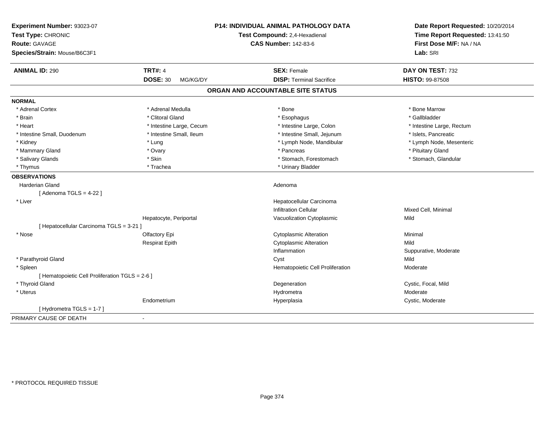| Experiment Number: 93023-07<br>Test Type: CHRONIC<br>Route: GAVAGE<br>Species/Strain: Mouse/B6C3F1 |                             | P14: INDIVIDUAL ANIMAL PATHOLOGY DATA<br>Test Compound: 2,4-Hexadienal<br><b>CAS Number: 142-83-6</b> | Date Report Requested: 10/20/2014<br>Time Report Requested: 13:41:50<br>First Dose M/F: NA / NA<br>Lab: SRI |
|----------------------------------------------------------------------------------------------------|-----------------------------|-------------------------------------------------------------------------------------------------------|-------------------------------------------------------------------------------------------------------------|
| <b>ANIMAL ID: 290</b>                                                                              | <b>TRT#: 4</b>              | <b>SEX: Female</b>                                                                                    | DAY ON TEST: 732                                                                                            |
|                                                                                                    | <b>DOSE: 30</b><br>MG/KG/DY | <b>DISP: Terminal Sacrifice</b>                                                                       | <b>HISTO: 99-87508</b>                                                                                      |
|                                                                                                    |                             | ORGAN AND ACCOUNTABLE SITE STATUS                                                                     |                                                                                                             |
| <b>NORMAL</b>                                                                                      |                             |                                                                                                       |                                                                                                             |
| * Adrenal Cortex                                                                                   | * Adrenal Medulla           | * Bone                                                                                                | * Bone Marrow                                                                                               |
| * Brain                                                                                            | * Clitoral Gland            | * Esophagus                                                                                           | * Gallbladder                                                                                               |
| * Heart                                                                                            | * Intestine Large, Cecum    | * Intestine Large, Colon                                                                              | * Intestine Large, Rectum                                                                                   |
| * Intestine Small, Duodenum                                                                        | * Intestine Small, Ileum    | * Intestine Small, Jejunum                                                                            | * Islets, Pancreatic                                                                                        |
| * Kidney                                                                                           | * Lung                      | * Lymph Node, Mandibular                                                                              | * Lymph Node, Mesenteric                                                                                    |
| * Mammary Gland                                                                                    | * Ovary                     | * Pancreas                                                                                            | * Pituitary Gland                                                                                           |
| * Salivary Glands                                                                                  | * Skin                      | * Stomach, Forestomach                                                                                | * Stomach, Glandular                                                                                        |
| * Thymus                                                                                           | * Trachea                   | * Urinary Bladder                                                                                     |                                                                                                             |
| <b>OBSERVATIONS</b>                                                                                |                             |                                                                                                       |                                                                                                             |
| <b>Harderian Gland</b>                                                                             |                             | Adenoma                                                                                               |                                                                                                             |
| [Adenoma TGLS = $4-22$ ]                                                                           |                             |                                                                                                       |                                                                                                             |
| * Liver                                                                                            |                             | Hepatocellular Carcinoma                                                                              |                                                                                                             |
|                                                                                                    |                             | <b>Infiltration Cellular</b>                                                                          | Mixed Cell, Minimal                                                                                         |
|                                                                                                    | Hepatocyte, Periportal      | Vacuolization Cytoplasmic                                                                             | Mild                                                                                                        |
| [ Hepatocellular Carcinoma TGLS = 3-21 ]                                                           |                             |                                                                                                       |                                                                                                             |
| * Nose                                                                                             | Olfactory Epi               | <b>Cytoplasmic Alteration</b>                                                                         | Minimal                                                                                                     |
|                                                                                                    | <b>Respirat Epith</b>       | <b>Cytoplasmic Alteration</b>                                                                         | Mild                                                                                                        |
|                                                                                                    |                             | Inflammation                                                                                          | Suppurative, Moderate                                                                                       |
| * Parathyroid Gland                                                                                |                             | Cyst                                                                                                  | Mild                                                                                                        |
| * Spleen                                                                                           |                             | Hematopoietic Cell Proliferation                                                                      | Moderate                                                                                                    |
| [ Hematopoietic Cell Proliferation TGLS = 2-6 ]                                                    |                             |                                                                                                       |                                                                                                             |
| * Thyroid Gland                                                                                    |                             | Degeneration                                                                                          | Cystic, Focal, Mild                                                                                         |
| * Uterus                                                                                           |                             | Hydrometra                                                                                            | Moderate                                                                                                    |
|                                                                                                    | Endometrium                 | Hyperplasia                                                                                           | Cystic, Moderate                                                                                            |
| [Hydrometra TGLS = 1-7]                                                                            |                             |                                                                                                       |                                                                                                             |
| PRIMARY CAUSE OF DEATH                                                                             | $\overline{\phantom{a}}$    |                                                                                                       |                                                                                                             |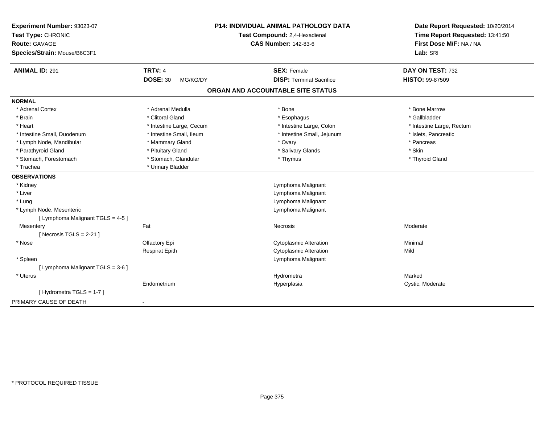| Experiment Number: 93023-07<br>Test Type: CHRONIC<br><b>Route: GAVAGE</b><br>Species/Strain: Mouse/B6C3F1 |                             | P14: INDIVIDUAL ANIMAL PATHOLOGY DATA<br>Test Compound: 2,4-Hexadienal<br><b>CAS Number: 142-83-6</b> | Date Report Requested: 10/20/2014<br>Time Report Requested: 13:41:50<br>First Dose M/F: NA / NA<br>Lab: SRI |
|-----------------------------------------------------------------------------------------------------------|-----------------------------|-------------------------------------------------------------------------------------------------------|-------------------------------------------------------------------------------------------------------------|
| <b>ANIMAL ID: 291</b>                                                                                     | <b>TRT#: 4</b>              | <b>SEX: Female</b>                                                                                    | DAY ON TEST: 732                                                                                            |
|                                                                                                           | <b>DOSE: 30</b><br>MG/KG/DY | <b>DISP: Terminal Sacrifice</b>                                                                       | HISTO: 99-87509                                                                                             |
|                                                                                                           |                             | ORGAN AND ACCOUNTABLE SITE STATUS                                                                     |                                                                                                             |
| <b>NORMAL</b>                                                                                             |                             |                                                                                                       |                                                                                                             |
| * Adrenal Cortex                                                                                          | * Adrenal Medulla           | * Bone                                                                                                | * Bone Marrow                                                                                               |
| * Brain                                                                                                   | * Clitoral Gland            | * Esophagus                                                                                           | * Gallbladder                                                                                               |
| * Heart                                                                                                   | * Intestine Large, Cecum    | * Intestine Large, Colon                                                                              | * Intestine Large, Rectum                                                                                   |
| * Intestine Small, Duodenum                                                                               | * Intestine Small, Ileum    | * Intestine Small, Jejunum                                                                            | * Islets, Pancreatic                                                                                        |
| * Lymph Node, Mandibular                                                                                  | * Mammary Gland             | * Ovary                                                                                               | * Pancreas                                                                                                  |
| * Parathyroid Gland                                                                                       | * Pituitary Gland           | * Salivary Glands                                                                                     | * Skin                                                                                                      |
| * Stomach, Forestomach                                                                                    | * Stomach, Glandular        | * Thymus                                                                                              | * Thyroid Gland                                                                                             |
| * Trachea                                                                                                 | * Urinary Bladder           |                                                                                                       |                                                                                                             |
| <b>OBSERVATIONS</b>                                                                                       |                             |                                                                                                       |                                                                                                             |
| * Kidney                                                                                                  |                             | Lymphoma Malignant                                                                                    |                                                                                                             |
| * Liver                                                                                                   |                             | Lymphoma Malignant                                                                                    |                                                                                                             |
| * Lung                                                                                                    |                             | Lymphoma Malignant                                                                                    |                                                                                                             |
| * Lymph Node, Mesenteric                                                                                  |                             | Lymphoma Malignant                                                                                    |                                                                                                             |
| [ Lymphoma Malignant TGLS = 4-5 ]                                                                         |                             |                                                                                                       |                                                                                                             |
| Mesentery                                                                                                 | Fat                         | Necrosis                                                                                              | Moderate                                                                                                    |
| [Necrosis $TGLS = 2-21$ ]                                                                                 |                             |                                                                                                       |                                                                                                             |
| * Nose                                                                                                    | Olfactory Epi               | <b>Cytoplasmic Alteration</b>                                                                         | Minimal                                                                                                     |
|                                                                                                           | <b>Respirat Epith</b>       | <b>Cytoplasmic Alteration</b>                                                                         | Mild                                                                                                        |
| * Spleen                                                                                                  |                             | Lymphoma Malignant                                                                                    |                                                                                                             |
| [ Lymphoma Malignant TGLS = 3-6 ]                                                                         |                             |                                                                                                       |                                                                                                             |
| * Uterus                                                                                                  |                             | Hydrometra                                                                                            | Marked                                                                                                      |
|                                                                                                           | Endometrium                 | Hyperplasia                                                                                           | Cystic, Moderate                                                                                            |
| [Hydrometra TGLS = 1-7]                                                                                   |                             |                                                                                                       |                                                                                                             |
| PRIMARY CAUSE OF DEATH                                                                                    |                             |                                                                                                       |                                                                                                             |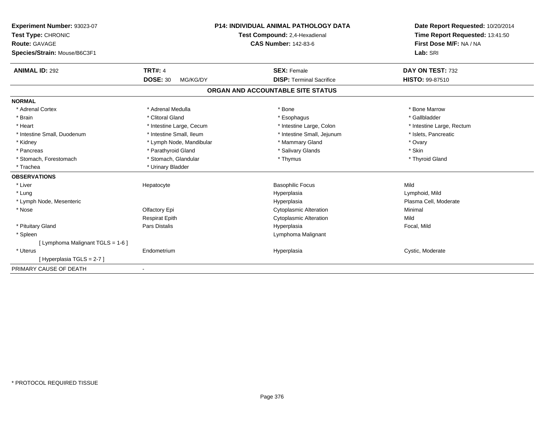| Experiment Number: 93023-07       |                             | <b>P14: INDIVIDUAL ANIMAL PATHOLOGY DATA</b> | Date Report Requested: 10/20/2014 |
|-----------------------------------|-----------------------------|----------------------------------------------|-----------------------------------|
| Test Type: CHRONIC                |                             | Test Compound: 2,4-Hexadienal                | Time Report Requested: 13:41:50   |
| <b>Route: GAVAGE</b>              |                             | <b>CAS Number: 142-83-6</b>                  | First Dose M/F: NA / NA           |
| Species/Strain: Mouse/B6C3F1      |                             |                                              | Lab: SRI                          |
| <b>ANIMAL ID: 292</b>             | <b>TRT#: 4</b>              | <b>SEX: Female</b>                           | DAY ON TEST: 732                  |
|                                   | <b>DOSE: 30</b><br>MG/KG/DY | <b>DISP: Terminal Sacrifice</b>              | <b>HISTO: 99-87510</b>            |
|                                   |                             | ORGAN AND ACCOUNTABLE SITE STATUS            |                                   |
| <b>NORMAL</b>                     |                             |                                              |                                   |
| * Adrenal Cortex                  | * Adrenal Medulla           | * Bone                                       | * Bone Marrow                     |
| * Brain                           | * Clitoral Gland            | * Esophagus                                  | * Gallbladder                     |
| * Heart                           | * Intestine Large, Cecum    | * Intestine Large, Colon                     | * Intestine Large, Rectum         |
| * Intestine Small, Duodenum       | * Intestine Small, Ileum    | * Intestine Small, Jejunum                   | * Islets. Pancreatic              |
| * Kidney                          | * Lymph Node, Mandibular    | * Mammary Gland                              | * Ovary                           |
| * Pancreas                        | * Parathyroid Gland         | * Salivary Glands                            | * Skin                            |
| * Stomach, Forestomach            | * Stomach, Glandular        | * Thymus                                     | * Thyroid Gland                   |
| * Trachea                         | * Urinary Bladder           |                                              |                                   |
| <b>OBSERVATIONS</b>               |                             |                                              |                                   |
| * Liver                           | Hepatocyte                  | <b>Basophilic Focus</b>                      | Mild                              |
| * Lung                            |                             | Hyperplasia                                  | Lymphoid, Mild                    |
| * Lymph Node, Mesenteric          |                             | Hyperplasia                                  | Plasma Cell, Moderate             |
| * Nose                            | Olfactory Epi               | Cytoplasmic Alteration                       | Minimal                           |
|                                   | <b>Respirat Epith</b>       | <b>Cytoplasmic Alteration</b>                | Mild                              |
| * Pituitary Gland                 | Pars Distalis               | Hyperplasia                                  | Focal, Mild                       |
| * Spleen                          |                             | Lymphoma Malignant                           |                                   |
| [ Lymphoma Malignant TGLS = 1-6 ] |                             |                                              |                                   |
| * Uterus                          | Endometrium                 | Hyperplasia                                  | Cystic, Moderate                  |
| [Hyperplasia TGLS = 2-7]          |                             |                                              |                                   |
| PRIMARY CAUSE OF DEATH            | $\blacksquare$              |                                              |                                   |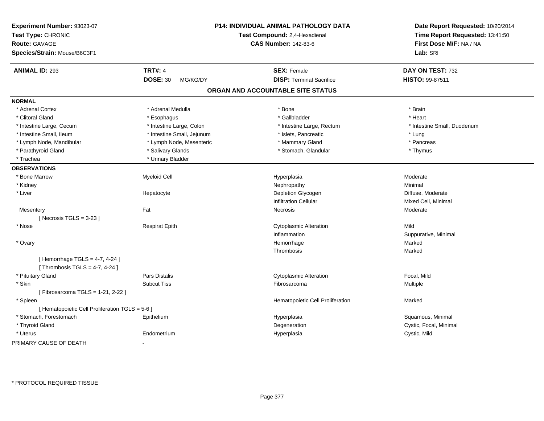| Experiment Number: 93023-07<br>Test Type: CHRONIC<br><b>Route: GAVAGE</b><br>Species/Strain: Mouse/B6C3F1 |                             | <b>P14: INDIVIDUAL ANIMAL PATHOLOGY DATA</b><br>Test Compound: 2,4-Hexadienal<br><b>CAS Number: 142-83-6</b> | Date Report Requested: 10/20/2014<br>Time Report Requested: 13:41:50<br>First Dose M/F: NA / NA<br>Lab: SRI |
|-----------------------------------------------------------------------------------------------------------|-----------------------------|--------------------------------------------------------------------------------------------------------------|-------------------------------------------------------------------------------------------------------------|
| <b>ANIMAL ID: 293</b>                                                                                     | <b>TRT#: 4</b>              | <b>SEX: Female</b>                                                                                           | DAY ON TEST: 732                                                                                            |
|                                                                                                           | <b>DOSE: 30</b><br>MG/KG/DY | <b>DISP: Terminal Sacrifice</b>                                                                              | HISTO: 99-87511                                                                                             |
|                                                                                                           |                             | ORGAN AND ACCOUNTABLE SITE STATUS                                                                            |                                                                                                             |
| <b>NORMAL</b>                                                                                             |                             |                                                                                                              |                                                                                                             |
| * Adrenal Cortex                                                                                          | * Adrenal Medulla           | * Bone                                                                                                       | * Brain                                                                                                     |
| * Clitoral Gland                                                                                          | * Esophagus                 | * Gallbladder                                                                                                | * Heart                                                                                                     |
| * Intestine Large, Cecum                                                                                  | * Intestine Large, Colon    | * Intestine Large, Rectum                                                                                    | * Intestine Small. Duodenum                                                                                 |
| * Intestine Small, Ileum                                                                                  | * Intestine Small, Jejunum  | * Islets, Pancreatic                                                                                         | * Lung                                                                                                      |
| * Lymph Node, Mandibular                                                                                  | * Lymph Node, Mesenteric    | * Mammary Gland                                                                                              | * Pancreas                                                                                                  |
| * Parathyroid Gland                                                                                       | * Salivary Glands           | * Stomach, Glandular                                                                                         | * Thymus                                                                                                    |
| * Trachea                                                                                                 | * Urinary Bladder           |                                                                                                              |                                                                                                             |
| <b>OBSERVATIONS</b>                                                                                       |                             |                                                                                                              |                                                                                                             |
| * Bone Marrow                                                                                             | <b>Myeloid Cell</b>         | Hyperplasia                                                                                                  | Moderate                                                                                                    |
| * Kidney                                                                                                  |                             | Nephropathy                                                                                                  | Minimal                                                                                                     |
| * Liver                                                                                                   | Hepatocyte                  | Depletion Glycogen                                                                                           | Diffuse, Moderate                                                                                           |
|                                                                                                           |                             | <b>Infiltration Cellular</b>                                                                                 | Mixed Cell, Minimal                                                                                         |
| Mesentery                                                                                                 | Fat                         | Necrosis                                                                                                     | Moderate                                                                                                    |
| [Necrosis TGLS = $3-23$ ]                                                                                 |                             |                                                                                                              |                                                                                                             |
| * Nose                                                                                                    | <b>Respirat Epith</b>       | <b>Cytoplasmic Alteration</b>                                                                                | Mild                                                                                                        |
|                                                                                                           |                             | Inflammation                                                                                                 | Suppurative, Minimal                                                                                        |
| * Ovary                                                                                                   |                             | Hemorrhage                                                                                                   | Marked                                                                                                      |
|                                                                                                           |                             | Thrombosis                                                                                                   | Marked                                                                                                      |
| [Hemorrhage TGLS = $4-7$ , $4-24$ ]                                                                       |                             |                                                                                                              |                                                                                                             |
| [Thrombosis TGLS = $4-7$ , $4-24$ ]                                                                       |                             |                                                                                                              |                                                                                                             |
| * Pituitary Gland                                                                                         | Pars Distalis               | <b>Cytoplasmic Alteration</b>                                                                                | Focal, Mild                                                                                                 |
| * Skin                                                                                                    | <b>Subcut Tiss</b>          | Fibrosarcoma                                                                                                 | Multiple                                                                                                    |
| [Fibrosarcoma TGLS = 1-21, 2-22]                                                                          |                             |                                                                                                              |                                                                                                             |
| * Spleen                                                                                                  |                             | Hematopoietic Cell Proliferation                                                                             | Marked                                                                                                      |
| [ Hematopoietic Cell Proliferation TGLS = 5-6 ]                                                           |                             |                                                                                                              |                                                                                                             |
| * Stomach, Forestomach                                                                                    | Epithelium                  | Hyperplasia                                                                                                  | Squamous, Minimal                                                                                           |
| * Thyroid Gland                                                                                           |                             | Degeneration                                                                                                 | Cystic, Focal, Minimal                                                                                      |
| * Uterus                                                                                                  | Endometrium                 | Hyperplasia                                                                                                  | Cystic, Mild                                                                                                |
| PRIMARY CAUSE OF DEATH                                                                                    |                             |                                                                                                              |                                                                                                             |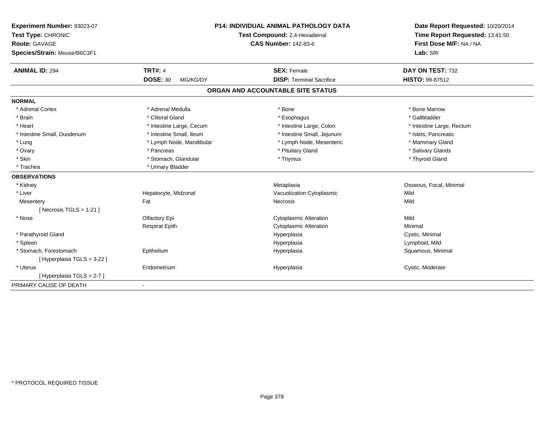| Experiment Number: 93023-07  |                             | <b>P14: INDIVIDUAL ANIMAL PATHOLOGY DATA</b> | Date Report Requested: 10/20/2014<br>Time Report Requested: 13:41:50<br>First Dose M/F: NA / NA |
|------------------------------|-----------------------------|----------------------------------------------|-------------------------------------------------------------------------------------------------|
| Test Type: CHRONIC           |                             | Test Compound: 2,4-Hexadienal                |                                                                                                 |
| <b>Route: GAVAGE</b>         |                             | <b>CAS Number: 142-83-6</b>                  |                                                                                                 |
| Species/Strain: Mouse/B6C3F1 |                             |                                              | Lab: SRI                                                                                        |
| <b>ANIMAL ID: 294</b>        | <b>TRT#: 4</b>              | <b>SEX: Female</b>                           | DAY ON TEST: 732                                                                                |
|                              | <b>DOSE: 30</b><br>MG/KG/DY | <b>DISP: Terminal Sacrifice</b>              | HISTO: 99-87512                                                                                 |
|                              |                             | ORGAN AND ACCOUNTABLE SITE STATUS            |                                                                                                 |
| <b>NORMAL</b>                |                             |                                              |                                                                                                 |
| * Adrenal Cortex             | * Adrenal Medulla           | * Bone                                       | * Bone Marrow                                                                                   |
| * Brain                      | * Clitoral Gland            | * Esophagus                                  | * Gallbladder                                                                                   |
| * Heart                      | * Intestine Large, Cecum    | * Intestine Large, Colon                     | * Intestine Large, Rectum                                                                       |
| * Intestine Small, Duodenum  | * Intestine Small, Ileum    | * Intestine Small, Jejunum                   | * Islets, Pancreatic                                                                            |
| * Lung                       | * Lymph Node, Mandibular    | * Lymph Node, Mesenteric                     | * Mammary Gland                                                                                 |
| * Ovary                      | * Pancreas                  | * Pituitary Gland                            | * Salivary Glands                                                                               |
| * Skin                       | * Stomach, Glandular        | * Thymus                                     | * Thyroid Gland                                                                                 |
| * Trachea                    | * Urinary Bladder           |                                              |                                                                                                 |
| <b>OBSERVATIONS</b>          |                             |                                              |                                                                                                 |
| * Kidney                     |                             | Metaplasia                                   | Osseous, Focal, Minimal                                                                         |
| * Liver                      | Hepatocyte, Midzonal        | Vacuolization Cytoplasmic                    | Mild                                                                                            |
| Mesentery                    | Fat                         | Necrosis                                     | Mild                                                                                            |
| [Necrosis TGLS = $1-21$ ]    |                             |                                              |                                                                                                 |
| * Nose                       | Olfactory Epi               | <b>Cytoplasmic Alteration</b>                | Mild                                                                                            |
|                              | <b>Respirat Epith</b>       | <b>Cytoplasmic Alteration</b>                | Minimal                                                                                         |
| * Parathyroid Gland          |                             | Hyperplasia                                  | Cystic, Minimal                                                                                 |
| * Spleen                     |                             | Hyperplasia                                  | Lymphoid, Mild                                                                                  |
| * Stomach, Forestomach       | Epithelium                  | Hyperplasia                                  | Squamous, Minimal                                                                               |
| [Hyperplasia TGLS = 3-22 ]   |                             |                                              |                                                                                                 |
| * Uterus                     | Endometrium                 | Hyperplasia                                  | Cystic, Moderate                                                                                |
| [Hyperplasia TGLS = 2-7]     |                             |                                              |                                                                                                 |
| PRIMARY CAUSE OF DEATH       | $\blacksquare$              |                                              |                                                                                                 |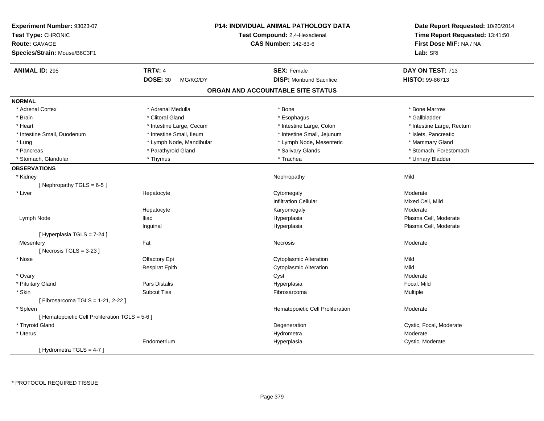| Experiment Number: 93023-07<br>Test Type: CHRONIC<br><b>Route: GAVAGE</b> |                             | P14: INDIVIDUAL ANIMAL PATHOLOGY DATA<br><b>Test Compound: 2,4-Hexadienal</b><br><b>CAS Number: 142-83-6</b> | Date Report Requested: 10/20/2014<br>Time Report Requested: 13:41:50<br>First Dose M/F: NA / NA |
|---------------------------------------------------------------------------|-----------------------------|--------------------------------------------------------------------------------------------------------------|-------------------------------------------------------------------------------------------------|
| Species/Strain: Mouse/B6C3F1                                              |                             |                                                                                                              | Lab: SRI                                                                                        |
| <b>ANIMAL ID: 295</b>                                                     | <b>TRT#: 4</b>              | <b>SEX: Female</b>                                                                                           | DAY ON TEST: 713                                                                                |
|                                                                           | <b>DOSE: 30</b><br>MG/KG/DY | <b>DISP:</b> Moribund Sacrifice                                                                              | HISTO: 99-86713                                                                                 |
|                                                                           |                             | ORGAN AND ACCOUNTABLE SITE STATUS                                                                            |                                                                                                 |
| <b>NORMAL</b>                                                             |                             |                                                                                                              |                                                                                                 |
| * Adrenal Cortex                                                          | * Adrenal Medulla           | * Bone                                                                                                       | * Bone Marrow                                                                                   |
| * Brain                                                                   | * Clitoral Gland            | * Esophagus                                                                                                  | * Gallbladder                                                                                   |
| * Heart                                                                   | * Intestine Large, Cecum    | * Intestine Large, Colon                                                                                     | * Intestine Large, Rectum                                                                       |
| * Intestine Small, Duodenum                                               | * Intestine Small, Ileum    | * Intestine Small, Jejunum                                                                                   | * Islets, Pancreatic                                                                            |
| * Lung                                                                    | * Lymph Node, Mandibular    | * Lymph Node, Mesenteric                                                                                     | * Mammary Gland                                                                                 |
| * Pancreas                                                                | * Parathyroid Gland         | * Salivary Glands                                                                                            | * Stomach, Forestomach                                                                          |
| * Stomach, Glandular                                                      | * Thymus                    | * Trachea                                                                                                    | * Urinary Bladder                                                                               |
| <b>OBSERVATIONS</b>                                                       |                             |                                                                                                              |                                                                                                 |
| * Kidney                                                                  |                             | Nephropathy                                                                                                  | Mild                                                                                            |
| [Nephropathy TGLS = 6-5]                                                  |                             |                                                                                                              |                                                                                                 |
| * Liver                                                                   | Hepatocyte                  | Cytomegaly                                                                                                   | Moderate                                                                                        |
|                                                                           |                             | <b>Infiltration Cellular</b>                                                                                 | Mixed Cell, Mild                                                                                |
|                                                                           | Hepatocyte                  | Karyomegaly                                                                                                  | Moderate                                                                                        |
| Lymph Node                                                                | <b>Iliac</b>                | Hyperplasia                                                                                                  | Plasma Cell, Moderate                                                                           |
|                                                                           | Inguinal                    | Hyperplasia                                                                                                  | Plasma Cell, Moderate                                                                           |
| [ Hyperplasia TGLS = 7-24 ]                                               |                             |                                                                                                              |                                                                                                 |
| Mesentery                                                                 | Fat                         | Necrosis                                                                                                     | Moderate                                                                                        |
| [Necrosis $TGLS = 3-23$ ]                                                 |                             |                                                                                                              |                                                                                                 |
| * Nose                                                                    | Olfactory Epi               | <b>Cytoplasmic Alteration</b>                                                                                | Mild                                                                                            |
|                                                                           | <b>Respirat Epith</b>       | <b>Cytoplasmic Alteration</b>                                                                                | Mild                                                                                            |
| * Ovary                                                                   |                             | Cyst                                                                                                         | Moderate                                                                                        |
| * Pituitary Gland                                                         | Pars Distalis               | Hyperplasia                                                                                                  | Focal, Mild                                                                                     |
| * Skin                                                                    | <b>Subcut Tiss</b>          | Fibrosarcoma                                                                                                 | Multiple                                                                                        |
| [Fibrosarcoma TGLS = 1-21, 2-22]                                          |                             |                                                                                                              |                                                                                                 |
| * Spleen                                                                  |                             | Hematopoietic Cell Proliferation                                                                             | Moderate                                                                                        |
| [ Hematopoietic Cell Proliferation TGLS = 5-6 ]                           |                             |                                                                                                              |                                                                                                 |
| * Thyroid Gland                                                           |                             | Degeneration                                                                                                 | Cystic, Focal, Moderate                                                                         |
| * Uterus                                                                  |                             | Hydrometra                                                                                                   | Moderate                                                                                        |
|                                                                           | Endometrium                 | Hyperplasia                                                                                                  | Cystic, Moderate                                                                                |
| [Hydrometra TGLS = 4-7]                                                   |                             |                                                                                                              |                                                                                                 |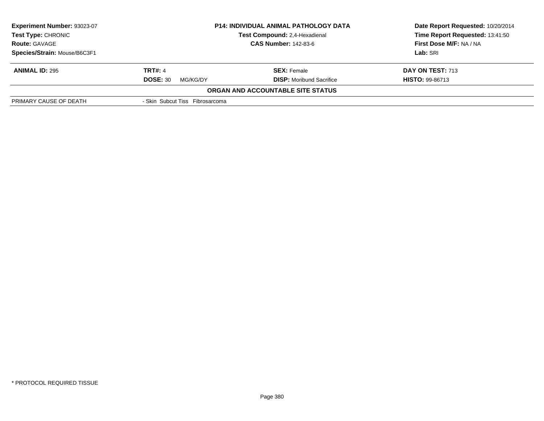| <b>P14: INDIVIDUAL ANIMAL PATHOLOGY DATA</b><br>Test Compound: 2,4-Hexadienal<br><b>CAS Number: 142-83-6</b> |                                 | Date Report Requested: 10/20/2014<br>Time Report Requested: 13:41:50 |
|--------------------------------------------------------------------------------------------------------------|---------------------------------|----------------------------------------------------------------------|
|                                                                                                              |                                 | First Dose M/F: NA / NA                                              |
|                                                                                                              |                                 | Lab: SRI                                                             |
| <b>TRT#: 4</b>                                                                                               | <b>SEX:</b> Female              | DAY ON TEST: 713                                                     |
| <b>DOSE: 30</b><br>MG/KG/DY                                                                                  | <b>DISP:</b> Moribund Sacrifice | <b>HISTO: 99-86713</b>                                               |
|                                                                                                              |                                 |                                                                      |
|                                                                                                              |                                 |                                                                      |
|                                                                                                              | - Skin Subcut Tiss Fibrosarcoma | <b>ORGAN AND ACCOUNTABLE SITE STATUS</b>                             |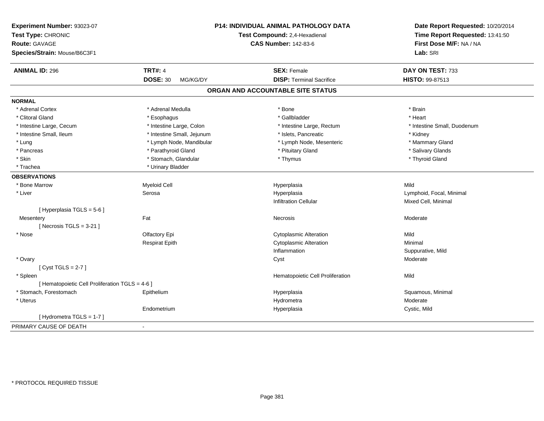| Experiment Number: 93023-07<br>Test Type: CHRONIC<br>Route: GAVAGE<br>Species/Strain: Mouse/B6C3F1 |                             | <b>P14: INDIVIDUAL ANIMAL PATHOLOGY DATA</b><br>Test Compound: 2,4-Hexadienal<br><b>CAS Number: 142-83-6</b> | Date Report Requested: 10/20/2014<br>Time Report Requested: 13:41:50<br>First Dose M/F: NA / NA<br>Lab: SRI |
|----------------------------------------------------------------------------------------------------|-----------------------------|--------------------------------------------------------------------------------------------------------------|-------------------------------------------------------------------------------------------------------------|
| <b>ANIMAL ID: 296</b>                                                                              | <b>TRT#: 4</b>              | <b>SEX: Female</b>                                                                                           | DAY ON TEST: 733                                                                                            |
|                                                                                                    | <b>DOSE: 30</b><br>MG/KG/DY | <b>DISP: Terminal Sacrifice</b>                                                                              | HISTO: 99-87513                                                                                             |
|                                                                                                    |                             | ORGAN AND ACCOUNTABLE SITE STATUS                                                                            |                                                                                                             |
| <b>NORMAL</b>                                                                                      |                             |                                                                                                              |                                                                                                             |
| * Adrenal Cortex                                                                                   | * Adrenal Medulla           | * Bone                                                                                                       | * Brain                                                                                                     |
| * Clitoral Gland                                                                                   | * Esophagus                 | * Gallbladder                                                                                                | * Heart                                                                                                     |
| * Intestine Large, Cecum                                                                           | * Intestine Large, Colon    | * Intestine Large, Rectum                                                                                    | * Intestine Small, Duodenum                                                                                 |
| * Intestine Small, Ileum                                                                           | * Intestine Small, Jejunum  | * Islets, Pancreatic                                                                                         | * Kidney                                                                                                    |
| * Lung                                                                                             | * Lymph Node, Mandibular    | * Lymph Node, Mesenteric                                                                                     | * Mammary Gland                                                                                             |
| * Pancreas                                                                                         | * Parathyroid Gland         | * Pituitary Gland                                                                                            | * Salivary Glands                                                                                           |
| * Skin                                                                                             | * Stomach, Glandular        | * Thymus                                                                                                     | * Thyroid Gland                                                                                             |
| * Trachea                                                                                          | * Urinary Bladder           |                                                                                                              |                                                                                                             |
| <b>OBSERVATIONS</b>                                                                                |                             |                                                                                                              |                                                                                                             |
| * Bone Marrow                                                                                      | Myeloid Cell                | Hyperplasia                                                                                                  | Mild                                                                                                        |
| * Liver                                                                                            | Serosa                      | Hyperplasia                                                                                                  | Lymphoid, Focal, Minimal                                                                                    |
|                                                                                                    |                             | <b>Infiltration Cellular</b>                                                                                 | Mixed Cell, Minimal                                                                                         |
| [ Hyperplasia TGLS = 5-6 ]                                                                         |                             |                                                                                                              |                                                                                                             |
| Mesentery                                                                                          | Fat                         | <b>Necrosis</b>                                                                                              | Moderate                                                                                                    |
| [Necrosis TGLS = $3-21$ ]                                                                          |                             |                                                                                                              |                                                                                                             |
| * Nose                                                                                             | Olfactory Epi               | <b>Cytoplasmic Alteration</b>                                                                                | Mild                                                                                                        |
|                                                                                                    | <b>Respirat Epith</b>       | Cytoplasmic Alteration                                                                                       | Minimal                                                                                                     |
|                                                                                                    |                             | Inflammation                                                                                                 | Suppurative, Mild                                                                                           |
| * Ovary                                                                                            |                             | Cyst                                                                                                         | Moderate                                                                                                    |
| [Cyst TGLS = $2-7$ ]                                                                               |                             |                                                                                                              |                                                                                                             |
| * Spleen                                                                                           |                             | Hematopoietic Cell Proliferation                                                                             | Mild                                                                                                        |
| [ Hematopoietic Cell Proliferation TGLS = 4-6 ]                                                    |                             |                                                                                                              |                                                                                                             |
| * Stomach. Forestomach                                                                             | Epithelium                  | Hyperplasia                                                                                                  | Squamous, Minimal                                                                                           |
| * Uterus                                                                                           |                             | Hydrometra                                                                                                   | Moderate                                                                                                    |
|                                                                                                    | Endometrium                 | Hyperplasia                                                                                                  | Cystic, Mild                                                                                                |
| [Hydrometra TGLS = 1-7]                                                                            |                             |                                                                                                              |                                                                                                             |
| PRIMARY CAUSE OF DEATH                                                                             | $\overline{a}$              |                                                                                                              |                                                                                                             |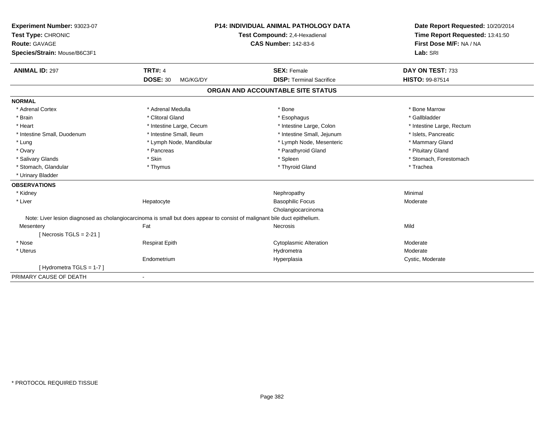| Experiment Number: 93023-07  |                             | <b>P14: INDIVIDUAL ANIMAL PATHOLOGY DATA</b>                                                                              | Date Report Requested: 10/20/2014 |
|------------------------------|-----------------------------|---------------------------------------------------------------------------------------------------------------------------|-----------------------------------|
| Test Type: CHRONIC           |                             | Test Compound: 2,4-Hexadienal                                                                                             | Time Report Requested: 13:41:50   |
| <b>Route: GAVAGE</b>         |                             | <b>CAS Number: 142-83-6</b>                                                                                               | First Dose M/F: NA / NA           |
| Species/Strain: Mouse/B6C3F1 |                             |                                                                                                                           | Lab: SRI                          |
| <b>ANIMAL ID: 297</b>        | <b>TRT#: 4</b>              | <b>SEX: Female</b>                                                                                                        | DAY ON TEST: 733                  |
|                              | <b>DOSE: 30</b><br>MG/KG/DY | <b>DISP: Terminal Sacrifice</b>                                                                                           | <b>HISTO: 99-87514</b>            |
|                              |                             | ORGAN AND ACCOUNTABLE SITE STATUS                                                                                         |                                   |
| <b>NORMAL</b>                |                             |                                                                                                                           |                                   |
| * Adrenal Cortex             | * Adrenal Medulla           | * Bone                                                                                                                    | * Bone Marrow                     |
| * Brain                      | * Clitoral Gland            | * Esophagus                                                                                                               | * Gallbladder                     |
| * Heart                      | * Intestine Large, Cecum    | * Intestine Large, Colon                                                                                                  | * Intestine Large, Rectum         |
| * Intestine Small, Duodenum  | * Intestine Small, Ileum    | * Intestine Small, Jejunum                                                                                                | * Islets, Pancreatic              |
| * Lung                       | * Lymph Node, Mandibular    | * Lymph Node, Mesenteric                                                                                                  | * Mammary Gland                   |
| * Ovary                      | * Pancreas                  | * Parathyroid Gland                                                                                                       | * Pituitary Gland                 |
| * Salivary Glands            | * Skin                      | * Spleen                                                                                                                  | * Stomach, Forestomach            |
| * Stomach, Glandular         | * Thymus                    | * Thyroid Gland                                                                                                           | * Trachea                         |
| * Urinary Bladder            |                             |                                                                                                                           |                                   |
| <b>OBSERVATIONS</b>          |                             |                                                                                                                           |                                   |
| * Kidney                     |                             | Nephropathy                                                                                                               | Minimal                           |
| * Liver                      | Hepatocyte                  | <b>Basophilic Focus</b>                                                                                                   | Moderate                          |
|                              |                             | Cholangiocarcinoma                                                                                                        |                                   |
|                              |                             | Note: Liver lesion diagnosed as cholangiocarcinoma is small but does appear to consist of malignant bile duct epithelium. |                                   |
| Mesentery                    | Fat                         | Necrosis                                                                                                                  | Mild                              |
| [Necrosis TGLS = $2-21$ ]    |                             |                                                                                                                           |                                   |
| * Nose                       | <b>Respirat Epith</b>       | <b>Cytoplasmic Alteration</b>                                                                                             | Moderate                          |
| * Uterus                     |                             | Hydrometra                                                                                                                | Moderate                          |
|                              | Endometrium                 | Hyperplasia                                                                                                               | Cystic, Moderate                  |
| [Hydrometra TGLS = 1-7]      |                             |                                                                                                                           |                                   |
| PRIMARY CAUSE OF DEATH       | $\blacksquare$              |                                                                                                                           |                                   |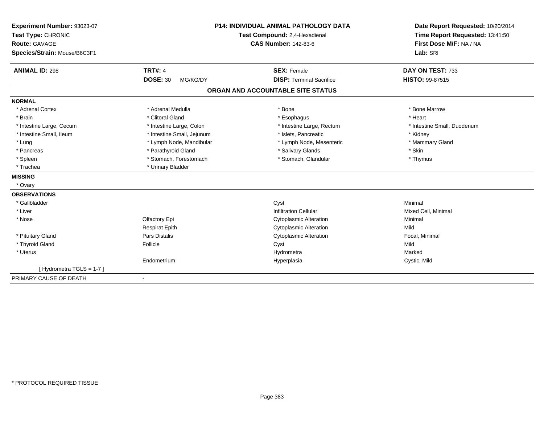| Experiment Number: 93023-07  | <b>P14: INDIVIDUAL ANIMAL PATHOLOGY DATA</b> |                                   | Date Report Requested: 10/20/2014                          |  |
|------------------------------|----------------------------------------------|-----------------------------------|------------------------------------------------------------|--|
| Test Type: CHRONIC           |                                              | Test Compound: 2,4-Hexadienal     | Time Report Requested: 13:41:50<br>First Dose M/F: NA / NA |  |
| <b>Route: GAVAGE</b>         |                                              | <b>CAS Number: 142-83-6</b>       |                                                            |  |
| Species/Strain: Mouse/B6C3F1 |                                              |                                   | Lab: SRI                                                   |  |
| <b>ANIMAL ID: 298</b>        | <b>TRT#: 4</b>                               | <b>SEX: Female</b>                | DAY ON TEST: 733                                           |  |
|                              | <b>DOSE: 30</b><br>MG/KG/DY                  | <b>DISP: Terminal Sacrifice</b>   | <b>HISTO: 99-87515</b>                                     |  |
|                              |                                              | ORGAN AND ACCOUNTABLE SITE STATUS |                                                            |  |
| <b>NORMAL</b>                |                                              |                                   |                                                            |  |
| * Adrenal Cortex             | * Adrenal Medulla                            | * Bone                            | * Bone Marrow                                              |  |
| * Brain                      | * Clitoral Gland                             | * Esophagus                       | * Heart                                                    |  |
| * Intestine Large, Cecum     | * Intestine Large, Colon                     | * Intestine Large, Rectum         | * Intestine Small, Duodenum                                |  |
| * Intestine Small, Ileum     | * Intestine Small, Jejunum                   | * Islets, Pancreatic              | * Kidney                                                   |  |
| * Lung                       | * Lymph Node, Mandibular                     | * Lymph Node, Mesenteric          | * Mammary Gland                                            |  |
| * Pancreas                   | * Parathyroid Gland                          | * Salivary Glands                 | * Skin                                                     |  |
| * Spleen                     | * Stomach, Forestomach                       | * Stomach, Glandular              | * Thymus                                                   |  |
| * Trachea                    | * Urinary Bladder                            |                                   |                                                            |  |
| <b>MISSING</b>               |                                              |                                   |                                                            |  |
| * Ovary                      |                                              |                                   |                                                            |  |
| <b>OBSERVATIONS</b>          |                                              |                                   |                                                            |  |
| * Gallbladder                |                                              | Cyst                              | Minimal                                                    |  |
| * Liver                      |                                              | <b>Infiltration Cellular</b>      | Mixed Cell, Minimal                                        |  |
| * Nose                       | Olfactory Epi                                | <b>Cytoplasmic Alteration</b>     | Minimal                                                    |  |
|                              | <b>Respirat Epith</b>                        | <b>Cytoplasmic Alteration</b>     | Mild                                                       |  |
| * Pituitary Gland            | <b>Pars Distalis</b>                         | <b>Cytoplasmic Alteration</b>     | Focal, Minimal                                             |  |
| * Thyroid Gland              | Follicle                                     | Cyst                              | Mild                                                       |  |
| * Uterus                     |                                              | Hydrometra                        | Marked                                                     |  |
|                              | Endometrium                                  | Hyperplasia                       | Cystic, Mild                                               |  |
| [Hydrometra TGLS = 1-7]      |                                              |                                   |                                                            |  |
| PRIMARY CAUSE OF DEATH       |                                              |                                   |                                                            |  |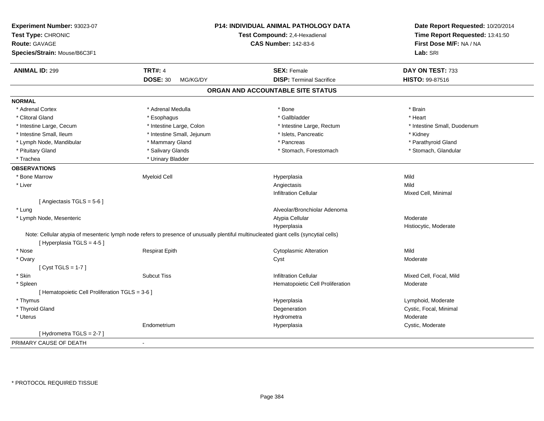| Experiment Number: 93023-07<br>Test Type: CHRONIC<br><b>Route: GAVAGE</b><br>Species/Strain: Mouse/B6C3F1 | P14: INDIVIDUAL ANIMAL PATHOLOGY DATA<br>Test Compound: 2,4-Hexadienal<br><b>CAS Number: 142-83-6</b>                                 |                                   | Date Report Requested: 10/20/2014<br>Time Report Requested: 13:41:50<br>First Dose M/F: NA / NA<br>Lab: SRI |
|-----------------------------------------------------------------------------------------------------------|---------------------------------------------------------------------------------------------------------------------------------------|-----------------------------------|-------------------------------------------------------------------------------------------------------------|
|                                                                                                           |                                                                                                                                       |                                   |                                                                                                             |
| <b>ANIMAL ID: 299</b>                                                                                     | <b>TRT#: 4</b>                                                                                                                        | <b>SEX: Female</b>                | DAY ON TEST: 733                                                                                            |
|                                                                                                           | <b>DOSE: 30</b><br>MG/KG/DY                                                                                                           | <b>DISP: Terminal Sacrifice</b>   | <b>HISTO: 99-87516</b>                                                                                      |
|                                                                                                           |                                                                                                                                       | ORGAN AND ACCOUNTABLE SITE STATUS |                                                                                                             |
| <b>NORMAL</b>                                                                                             |                                                                                                                                       |                                   |                                                                                                             |
| * Adrenal Cortex                                                                                          | * Adrenal Medulla                                                                                                                     | * Bone                            | * Brain                                                                                                     |
| * Clitoral Gland                                                                                          | * Esophagus                                                                                                                           | * Gallbladder                     | * Heart                                                                                                     |
| * Intestine Large, Cecum                                                                                  | * Intestine Large, Colon                                                                                                              | * Intestine Large, Rectum         | * Intestine Small, Duodenum                                                                                 |
| * Intestine Small, Ileum                                                                                  | * Intestine Small, Jejunum                                                                                                            | * Islets, Pancreatic              | * Kidney                                                                                                    |
| * Lymph Node, Mandibular                                                                                  | * Mammary Gland                                                                                                                       | * Pancreas                        | * Parathyroid Gland                                                                                         |
| * Pituitary Gland                                                                                         | * Salivary Glands                                                                                                                     | * Stomach, Forestomach            | * Stomach, Glandular                                                                                        |
| * Trachea                                                                                                 | * Urinary Bladder                                                                                                                     |                                   |                                                                                                             |
| <b>OBSERVATIONS</b>                                                                                       |                                                                                                                                       |                                   |                                                                                                             |
| * Bone Marrow                                                                                             | <b>Myeloid Cell</b>                                                                                                                   | Hyperplasia                       | Mild                                                                                                        |
| * Liver                                                                                                   |                                                                                                                                       | Angiectasis                       | Mild                                                                                                        |
|                                                                                                           |                                                                                                                                       | <b>Infiltration Cellular</b>      | Mixed Cell, Minimal                                                                                         |
| [Angiectasis TGLS = 5-6]                                                                                  |                                                                                                                                       |                                   |                                                                                                             |
| * Lung                                                                                                    |                                                                                                                                       | Alveolar/Bronchiolar Adenoma      |                                                                                                             |
| * Lymph Node, Mesenteric                                                                                  |                                                                                                                                       | Atypia Cellular                   | Moderate                                                                                                    |
|                                                                                                           |                                                                                                                                       | Hyperplasia                       | Histiocytic, Moderate                                                                                       |
| [Hyperplasia TGLS = 4-5]                                                                                  | Note: Cellular atypia of mesenteric lymph node refers to presence of unusually plentiful multinucleated giant cells (syncytial cells) |                                   |                                                                                                             |
| * Nose                                                                                                    | <b>Respirat Epith</b>                                                                                                                 | <b>Cytoplasmic Alteration</b>     | Mild                                                                                                        |
| * Ovary                                                                                                   |                                                                                                                                       | Cyst                              | Moderate                                                                                                    |
| [Cyst TGLS = $1-7$ ]                                                                                      |                                                                                                                                       |                                   |                                                                                                             |
| * Skin                                                                                                    | <b>Subcut Tiss</b>                                                                                                                    | <b>Infiltration Cellular</b>      | Mixed Cell, Focal, Mild                                                                                     |
| * Spleen                                                                                                  |                                                                                                                                       | Hematopoietic Cell Proliferation  | Moderate                                                                                                    |
| [ Hematopoietic Cell Proliferation TGLS = 3-6 ]                                                           |                                                                                                                                       |                                   |                                                                                                             |
| * Thymus                                                                                                  |                                                                                                                                       | Hyperplasia                       | Lymphoid, Moderate                                                                                          |
| * Thyroid Gland                                                                                           |                                                                                                                                       | Degeneration                      | Cystic, Focal, Minimal                                                                                      |
| * Uterus                                                                                                  |                                                                                                                                       | Hydrometra                        | Moderate                                                                                                    |
|                                                                                                           | Endometrium                                                                                                                           | Hyperplasia                       | Cystic, Moderate                                                                                            |
| [Hydrometra TGLS = $2-7$ ]                                                                                |                                                                                                                                       |                                   |                                                                                                             |
| PRIMARY CAUSE OF DEATH                                                                                    | ä,                                                                                                                                    |                                   |                                                                                                             |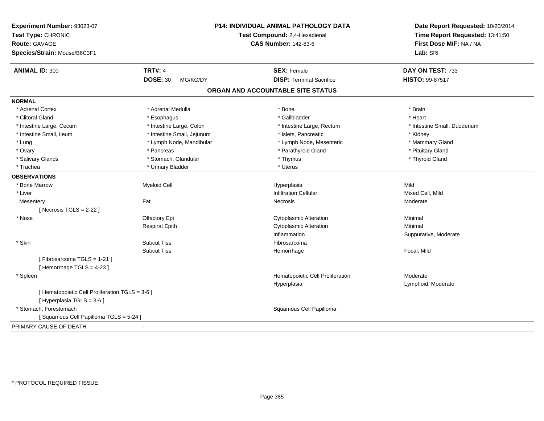| Experiment Number: 93023-07<br>Test Type: CHRONIC<br><b>Route: GAVAGE</b><br>Species/Strain: Mouse/B6C3F1 |                             | <b>P14: INDIVIDUAL ANIMAL PATHOLOGY DATA</b><br>Test Compound: 2,4-Hexadienal<br><b>CAS Number: 142-83-6</b> | Date Report Requested: 10/20/2014<br>Time Report Requested: 13:41:50<br>First Dose M/F: NA / NA<br>Lab: SRI |
|-----------------------------------------------------------------------------------------------------------|-----------------------------|--------------------------------------------------------------------------------------------------------------|-------------------------------------------------------------------------------------------------------------|
| <b>ANIMAL ID: 300</b>                                                                                     | <b>TRT#: 4</b>              | <b>SEX: Female</b>                                                                                           | DAY ON TEST: 733                                                                                            |
|                                                                                                           | <b>DOSE: 30</b><br>MG/KG/DY | <b>DISP: Terminal Sacrifice</b>                                                                              | HISTO: 99-87517                                                                                             |
|                                                                                                           |                             | ORGAN AND ACCOUNTABLE SITE STATUS                                                                            |                                                                                                             |
| <b>NORMAL</b>                                                                                             |                             |                                                                                                              |                                                                                                             |
| * Adrenal Cortex                                                                                          | * Adrenal Medulla           | * Bone                                                                                                       | * Brain                                                                                                     |
| * Clitoral Gland                                                                                          | * Esophagus                 | * Gallbladder                                                                                                | * Heart                                                                                                     |
| * Intestine Large, Cecum                                                                                  | * Intestine Large, Colon    | * Intestine Large, Rectum                                                                                    | * Intestine Small, Duodenum                                                                                 |
| * Intestine Small, Ileum                                                                                  | * Intestine Small, Jejunum  | * Islets, Pancreatic                                                                                         | * Kidney                                                                                                    |
| * Lung                                                                                                    | * Lymph Node, Mandibular    | * Lymph Node, Mesenteric                                                                                     | * Mammary Gland                                                                                             |
| * Ovary                                                                                                   | * Pancreas                  | * Parathyroid Gland                                                                                          | * Pituitary Gland                                                                                           |
| * Salivary Glands                                                                                         | * Stomach, Glandular        | * Thymus                                                                                                     | * Thyroid Gland                                                                                             |
| * Trachea                                                                                                 | * Urinary Bladder           | * Uterus                                                                                                     |                                                                                                             |
| <b>OBSERVATIONS</b>                                                                                       |                             |                                                                                                              |                                                                                                             |
| * Bone Marrow                                                                                             | Myeloid Cell                | Hyperplasia                                                                                                  | Mild                                                                                                        |
| * Liver                                                                                                   |                             | <b>Infiltration Cellular</b>                                                                                 | Mixed Cell, Mild                                                                                            |
| Mesentery                                                                                                 | Fat                         | Necrosis                                                                                                     | Moderate                                                                                                    |
| [ Necrosis $TGLS = 2-22$ ]                                                                                |                             |                                                                                                              |                                                                                                             |
| * Nose                                                                                                    | Olfactory Epi               | <b>Cytoplasmic Alteration</b>                                                                                | Minimal                                                                                                     |
|                                                                                                           | <b>Respirat Epith</b>       | <b>Cytoplasmic Alteration</b>                                                                                | Minimal                                                                                                     |
|                                                                                                           |                             | Inflammation                                                                                                 | Suppurative, Moderate                                                                                       |
| * Skin                                                                                                    | <b>Subcut Tiss</b>          | Fibrosarcoma                                                                                                 |                                                                                                             |
|                                                                                                           | <b>Subcut Tiss</b>          | Hemorrhage                                                                                                   | Focal, Mild                                                                                                 |
| [Fibrosarcoma TGLS = 1-21]<br>[Hemorrhage TGLS = 4-23]                                                    |                             |                                                                                                              |                                                                                                             |
| * Spleen                                                                                                  |                             | Hematopoietic Cell Proliferation                                                                             | Moderate                                                                                                    |
|                                                                                                           |                             | Hyperplasia                                                                                                  | Lymphoid, Moderate                                                                                          |
| [ Hematopoietic Cell Proliferation TGLS = 3-6 ]<br>[ Hyperplasia TGLS = 3-6 ]                             |                             |                                                                                                              |                                                                                                             |
| * Stomach, Forestomach                                                                                    |                             | Squamous Cell Papilloma                                                                                      |                                                                                                             |
| [Squamous Cell Papilloma TGLS = 5-24]                                                                     |                             |                                                                                                              |                                                                                                             |
| PRIMARY CAUSE OF DEATH                                                                                    | $\blacksquare$              |                                                                                                              |                                                                                                             |
|                                                                                                           |                             |                                                                                                              |                                                                                                             |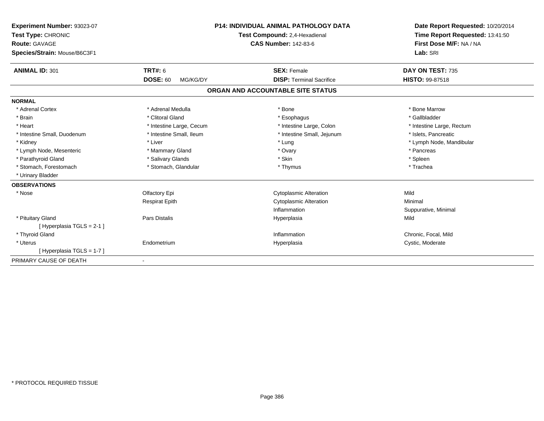| Experiment Number: 93023-07  |                             | <b>P14: INDIVIDUAL ANIMAL PATHOLOGY DATA</b> | Date Report Requested: 10/20/2014<br>Time Report Requested: 13:41:50 |
|------------------------------|-----------------------------|----------------------------------------------|----------------------------------------------------------------------|
| Test Type: CHRONIC           |                             | Test Compound: 2,4-Hexadienal                |                                                                      |
| Route: GAVAGE                |                             | <b>CAS Number: 142-83-6</b>                  | First Dose M/F: NA / NA                                              |
| Species/Strain: Mouse/B6C3F1 |                             |                                              | Lab: SRI                                                             |
| <b>ANIMAL ID: 301</b>        | <b>TRT#: 6</b>              | <b>SEX: Female</b>                           | DAY ON TEST: 735                                                     |
|                              | <b>DOSE: 60</b><br>MG/KG/DY | <b>DISP: Terminal Sacrifice</b>              | <b>HISTO: 99-87518</b>                                               |
|                              |                             | ORGAN AND ACCOUNTABLE SITE STATUS            |                                                                      |
| <b>NORMAL</b>                |                             |                                              |                                                                      |
| * Adrenal Cortex             | * Adrenal Medulla           | * Bone                                       | * Bone Marrow                                                        |
| * Brain                      | * Clitoral Gland            | * Esophagus                                  | * Gallbladder                                                        |
| * Heart                      | * Intestine Large, Cecum    | * Intestine Large, Colon                     | * Intestine Large, Rectum                                            |
| * Intestine Small, Duodenum  | * Intestine Small, Ileum    | * Intestine Small, Jejunum                   | * Islets, Pancreatic                                                 |
| * Kidney                     | * Liver                     | * Lung                                       | * Lymph Node, Mandibular                                             |
| * Lymph Node, Mesenteric     | * Mammary Gland             | * Ovary                                      | * Pancreas                                                           |
| * Parathyroid Gland          | * Salivary Glands           | * Skin                                       | * Spleen                                                             |
| * Stomach, Forestomach       | * Stomach, Glandular        | * Thymus                                     | * Trachea                                                            |
| * Urinary Bladder            |                             |                                              |                                                                      |
| <b>OBSERVATIONS</b>          |                             |                                              |                                                                      |
| * Nose                       | Olfactory Epi               | <b>Cytoplasmic Alteration</b>                | Mild                                                                 |
|                              | <b>Respirat Epith</b>       | <b>Cytoplasmic Alteration</b>                | Minimal                                                              |
|                              |                             | Inflammation                                 | Suppurative, Minimal                                                 |
| * Pituitary Gland            | Pars Distalis               | Hyperplasia                                  | Mild                                                                 |
| [Hyperplasia TGLS = 2-1]     |                             |                                              |                                                                      |
| * Thyroid Gland              |                             | Inflammation                                 | Chronic, Focal, Mild                                                 |
| * Uterus                     | Endometrium                 | Hyperplasia                                  | Cystic, Moderate                                                     |
| [Hyperplasia TGLS = 1-7]     |                             |                                              |                                                                      |
| PRIMARY CAUSE OF DEATH       | $\overline{\phantom{a}}$    |                                              |                                                                      |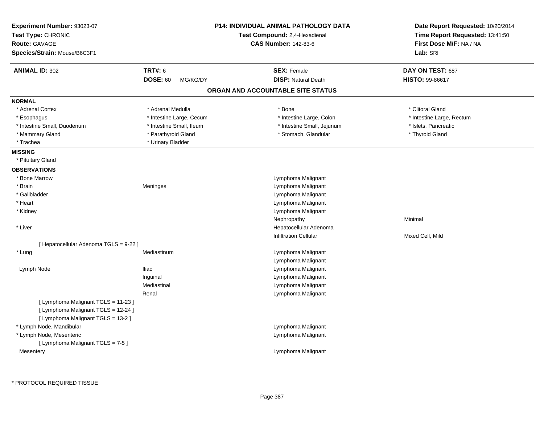| <b>Route: GAVAGE</b><br>Species/Strain: Mouse/B6C3F1                                                             |                             | Test Compound: 2,4-Hexadienal<br><b>CAS Number: 142-83-6</b> | Time Report Requested: 13:41:50<br>First Dose M/F: NA / NA<br>Lab: SRI |
|------------------------------------------------------------------------------------------------------------------|-----------------------------|--------------------------------------------------------------|------------------------------------------------------------------------|
| <b>ANIMAL ID: 302</b>                                                                                            | <b>TRT#: 6</b>              | <b>SEX: Female</b>                                           | DAY ON TEST: 687                                                       |
|                                                                                                                  | <b>DOSE: 60</b><br>MG/KG/DY | <b>DISP: Natural Death</b>                                   | HISTO: 99-86617                                                        |
|                                                                                                                  |                             | ORGAN AND ACCOUNTABLE SITE STATUS                            |                                                                        |
| <b>NORMAL</b>                                                                                                    |                             |                                                              |                                                                        |
| * Adrenal Cortex                                                                                                 | * Adrenal Medulla           | * Bone                                                       | * Clitoral Gland                                                       |
| * Esophagus                                                                                                      | * Intestine Large, Cecum    | * Intestine Large, Colon                                     | * Intestine Large, Rectum                                              |
| * Intestine Small, Duodenum                                                                                      | * Intestine Small, Ileum    | * Intestine Small, Jejunum                                   | * Islets, Pancreatic                                                   |
| * Mammary Gland                                                                                                  | * Parathyroid Gland         | * Stomach, Glandular                                         | * Thyroid Gland                                                        |
| * Trachea                                                                                                        | * Urinary Bladder           |                                                              |                                                                        |
| <b>MISSING</b>                                                                                                   |                             |                                                              |                                                                        |
| * Pituitary Gland                                                                                                |                             |                                                              |                                                                        |
| <b>OBSERVATIONS</b>                                                                                              |                             |                                                              |                                                                        |
| * Bone Marrow                                                                                                    |                             | Lymphoma Malignant                                           |                                                                        |
| * Brain                                                                                                          | Meninges                    | Lymphoma Malignant                                           |                                                                        |
| * Gallbladder                                                                                                    |                             | Lymphoma Malignant                                           |                                                                        |
| * Heart                                                                                                          |                             | Lymphoma Malignant                                           |                                                                        |
| * Kidney                                                                                                         |                             | Lymphoma Malignant                                           |                                                                        |
|                                                                                                                  |                             | Nephropathy                                                  | Minimal                                                                |
| * Liver                                                                                                          |                             | Hepatocellular Adenoma                                       |                                                                        |
|                                                                                                                  |                             | <b>Infiltration Cellular</b>                                 | Mixed Cell, Mild                                                       |
| [ Hepatocellular Adenoma TGLS = 9-22 ]                                                                           |                             |                                                              |                                                                        |
| * Lung                                                                                                           | Mediastinum                 | Lymphoma Malignant                                           |                                                                        |
|                                                                                                                  |                             | Lymphoma Malignant                                           |                                                                        |
| Lymph Node                                                                                                       | <b>Iliac</b>                | Lymphoma Malignant                                           |                                                                        |
|                                                                                                                  | Inguinal                    | Lymphoma Malignant                                           |                                                                        |
|                                                                                                                  | Mediastinal                 | Lymphoma Malignant                                           |                                                                        |
|                                                                                                                  | Renal                       | Lymphoma Malignant                                           |                                                                        |
| [ Lymphoma Malignant TGLS = 11-23 ]<br>[ Lymphoma Malignant TGLS = 12-24 ]<br>[ Lymphoma Malignant TGLS = 13-2 ] |                             |                                                              |                                                                        |
| * Lymph Node, Mandibular                                                                                         |                             | Lymphoma Malignant                                           |                                                                        |
| * Lymph Node, Mesenteric                                                                                         |                             | Lymphoma Malignant                                           |                                                                        |
| [ Lymphoma Malignant TGLS = 7-5 ]                                                                                |                             |                                                              |                                                                        |
| Mesentery                                                                                                        |                             | Lymphoma Malignant                                           |                                                                        |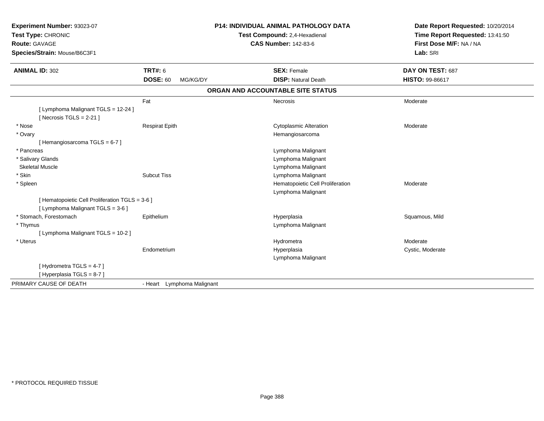| <b>Experiment Number: 93023-07</b><br>Test Type: CHRONIC<br><b>Route: GAVAGE</b><br>Species/Strain: Mouse/B6C3F1 |                             | <b>P14: INDIVIDUAL ANIMAL PATHOLOGY DATA</b><br>Test Compound: 2,4-Hexadienal<br><b>CAS Number: 142-83-6</b> | Date Report Requested: 10/20/2014<br>Time Report Requested: 13:41:50<br>First Dose M/F: NA / NA<br>Lab: SRI |
|------------------------------------------------------------------------------------------------------------------|-----------------------------|--------------------------------------------------------------------------------------------------------------|-------------------------------------------------------------------------------------------------------------|
| <b>ANIMAL ID: 302</b>                                                                                            | <b>TRT#: 6</b>              | <b>SEX: Female</b>                                                                                           | DAY ON TEST: 687                                                                                            |
|                                                                                                                  | <b>DOSE: 60</b><br>MG/KG/DY | <b>DISP: Natural Death</b>                                                                                   | <b>HISTO: 99-86617</b>                                                                                      |
|                                                                                                                  |                             | ORGAN AND ACCOUNTABLE SITE STATUS                                                                            |                                                                                                             |
|                                                                                                                  | Fat                         | Necrosis                                                                                                     | Moderate                                                                                                    |
| [ Lymphoma Malignant TGLS = 12-24 ]<br>[Necrosis TGLS = $2-21$ ]                                                 |                             |                                                                                                              |                                                                                                             |
| * Nose                                                                                                           | <b>Respirat Epith</b>       | <b>Cytoplasmic Alteration</b>                                                                                | Moderate                                                                                                    |
| * Ovary                                                                                                          |                             | Hemangiosarcoma                                                                                              |                                                                                                             |
| [Hemangiosarcoma TGLS = 6-7]                                                                                     |                             |                                                                                                              |                                                                                                             |
| * Pancreas                                                                                                       |                             | Lymphoma Malignant                                                                                           |                                                                                                             |
| * Salivary Glands                                                                                                |                             | Lymphoma Malignant                                                                                           |                                                                                                             |
| <b>Skeletal Muscle</b>                                                                                           |                             | Lymphoma Malignant                                                                                           |                                                                                                             |
| * Skin                                                                                                           | <b>Subcut Tiss</b>          | Lymphoma Malignant                                                                                           |                                                                                                             |
| * Spleen                                                                                                         |                             | Hematopoietic Cell Proliferation                                                                             | Moderate                                                                                                    |
|                                                                                                                  |                             | Lymphoma Malignant                                                                                           |                                                                                                             |
| [ Hematopoietic Cell Proliferation TGLS = 3-6 ]<br>[ Lymphoma Malignant TGLS = 3-6 ]                             |                             |                                                                                                              |                                                                                                             |
| * Stomach, Forestomach                                                                                           | Epithelium                  | Hyperplasia                                                                                                  | Squamous, Mild                                                                                              |
| * Thymus                                                                                                         |                             | Lymphoma Malignant                                                                                           |                                                                                                             |
| [ Lymphoma Malignant TGLS = 10-2 ]                                                                               |                             |                                                                                                              |                                                                                                             |
| * Uterus                                                                                                         |                             | Hydrometra                                                                                                   | Moderate                                                                                                    |
|                                                                                                                  | Endometrium                 | Hyperplasia                                                                                                  | Cystic, Moderate                                                                                            |
|                                                                                                                  |                             | Lymphoma Malignant                                                                                           |                                                                                                             |
| [Hydrometra TGLS = 4-7]                                                                                          |                             |                                                                                                              |                                                                                                             |
| [Hyperplasia TGLS = 8-7]                                                                                         |                             |                                                                                                              |                                                                                                             |
| PRIMARY CAUSE OF DEATH                                                                                           | - Heart Lymphoma Malignant  |                                                                                                              |                                                                                                             |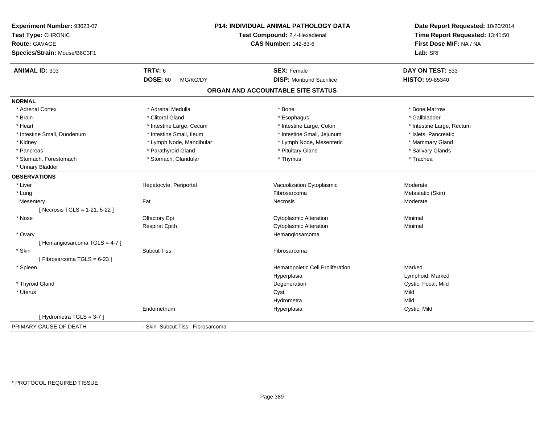| Experiment Number: 93023-07<br>Test Type: CHRONIC<br><b>Route: GAVAGE</b><br>Species/Strain: Mouse/B6C3F1 |                                 | P14: INDIVIDUAL ANIMAL PATHOLOGY DATA<br>Test Compound: 2,4-Hexadienal<br><b>CAS Number: 142-83-6</b> | Date Report Requested: 10/20/2014<br>Time Report Requested: 13:41:50<br>First Dose M/F: NA / NA<br>Lab: SRI |
|-----------------------------------------------------------------------------------------------------------|---------------------------------|-------------------------------------------------------------------------------------------------------|-------------------------------------------------------------------------------------------------------------|
| <b>ANIMAL ID: 303</b>                                                                                     | <b>TRT#: 6</b>                  | <b>SEX: Female</b>                                                                                    | DAY ON TEST: 533                                                                                            |
|                                                                                                           | <b>DOSE: 60</b><br>MG/KG/DY     | <b>DISP:</b> Moribund Sacrifice                                                                       | HISTO: 99-85340                                                                                             |
|                                                                                                           |                                 | ORGAN AND ACCOUNTABLE SITE STATUS                                                                     |                                                                                                             |
| <b>NORMAL</b>                                                                                             |                                 |                                                                                                       |                                                                                                             |
| * Adrenal Cortex                                                                                          | * Adrenal Medulla               | * Bone                                                                                                | * Bone Marrow                                                                                               |
| * Brain                                                                                                   | * Clitoral Gland                | * Esophagus                                                                                           | * Gallbladder                                                                                               |
| * Heart                                                                                                   | * Intestine Large, Cecum        | * Intestine Large, Colon                                                                              | * Intestine Large, Rectum                                                                                   |
| * Intestine Small, Duodenum                                                                               | * Intestine Small, Ileum        | * Intestine Small, Jejunum                                                                            | * Islets, Pancreatic                                                                                        |
| * Kidney                                                                                                  | * Lymph Node, Mandibular        | * Lymph Node, Mesenteric                                                                              | * Mammary Gland                                                                                             |
| * Pancreas                                                                                                | * Parathyroid Gland             | * Pituitary Gland                                                                                     | * Salivary Glands                                                                                           |
| * Stomach, Forestomach                                                                                    | * Stomach, Glandular            | * Thymus                                                                                              | * Trachea                                                                                                   |
| * Urinary Bladder                                                                                         |                                 |                                                                                                       |                                                                                                             |
| <b>OBSERVATIONS</b>                                                                                       |                                 |                                                                                                       |                                                                                                             |
| * Liver                                                                                                   | Hepatocyte, Periportal          | Vacuolization Cytoplasmic                                                                             | Moderate                                                                                                    |
| * Lung                                                                                                    |                                 | Fibrosarcoma                                                                                          | Metastatic (Skin)                                                                                           |
| Mesentery                                                                                                 | Fat                             | Necrosis                                                                                              | Moderate                                                                                                    |
| [ Necrosis TGLS = $1-21, 5-22$ ]                                                                          |                                 |                                                                                                       |                                                                                                             |
| * Nose                                                                                                    | Olfactory Epi                   | Cytoplasmic Alteration                                                                                | Minimal                                                                                                     |
|                                                                                                           | <b>Respirat Epith</b>           | <b>Cytoplasmic Alteration</b>                                                                         | Minimal                                                                                                     |
| * Ovary                                                                                                   |                                 | Hemangiosarcoma                                                                                       |                                                                                                             |
| [Hemangiosarcoma TGLS = 4-7]                                                                              |                                 |                                                                                                       |                                                                                                             |
| * Skin                                                                                                    | <b>Subcut Tiss</b>              | Fibrosarcoma                                                                                          |                                                                                                             |
| [Fibrosarcoma TGLS = 6-23]                                                                                |                                 |                                                                                                       |                                                                                                             |
| * Spleen                                                                                                  |                                 | Hematopoietic Cell Proliferation                                                                      | Marked                                                                                                      |
|                                                                                                           |                                 | Hyperplasia                                                                                           | Lymphoid, Marked                                                                                            |
| * Thyroid Gland                                                                                           |                                 | Degeneration                                                                                          | Cystic, Focal, Mild                                                                                         |
| * Uterus                                                                                                  |                                 | Cyst                                                                                                  | Mild                                                                                                        |
|                                                                                                           |                                 | Hydrometra                                                                                            | Mild                                                                                                        |
|                                                                                                           | Endometrium                     | Hyperplasia                                                                                           | Cystic, Mild                                                                                                |
| [Hydrometra TGLS = 3-7]                                                                                   |                                 |                                                                                                       |                                                                                                             |
| PRIMARY CAUSE OF DEATH                                                                                    | - Skin Subcut Tiss Fibrosarcoma |                                                                                                       |                                                                                                             |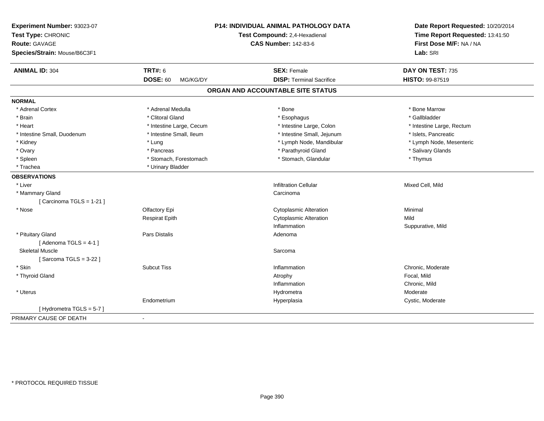| Experiment Number: 93023-07<br>Test Type: CHRONIC<br><b>Route: GAVAGE</b><br>Species/Strain: Mouse/B6C3F1 |                             | P14: INDIVIDUAL ANIMAL PATHOLOGY DATA<br>Test Compound: 2,4-Hexadienal<br><b>CAS Number: 142-83-6</b> | Date Report Requested: 10/20/2014<br>Time Report Requested: 13:41:50<br>First Dose M/F: NA / NA<br>Lab: SRI |
|-----------------------------------------------------------------------------------------------------------|-----------------------------|-------------------------------------------------------------------------------------------------------|-------------------------------------------------------------------------------------------------------------|
|                                                                                                           |                             |                                                                                                       |                                                                                                             |
| <b>ANIMAL ID: 304</b>                                                                                     | <b>TRT#: 6</b>              | <b>SEX: Female</b>                                                                                    | DAY ON TEST: 735                                                                                            |
|                                                                                                           | <b>DOSE: 60</b><br>MG/KG/DY | <b>DISP: Terminal Sacrifice</b>                                                                       | <b>HISTO: 99-87519</b>                                                                                      |
|                                                                                                           |                             | ORGAN AND ACCOUNTABLE SITE STATUS                                                                     |                                                                                                             |
| <b>NORMAL</b>                                                                                             |                             |                                                                                                       |                                                                                                             |
| * Adrenal Cortex                                                                                          | * Adrenal Medulla           | * Bone                                                                                                | * Bone Marrow                                                                                               |
| * Brain                                                                                                   | * Clitoral Gland            | * Esophagus                                                                                           | * Gallbladder                                                                                               |
| * Heart                                                                                                   | * Intestine Large, Cecum    | * Intestine Large, Colon                                                                              | * Intestine Large, Rectum                                                                                   |
| * Intestine Small, Duodenum                                                                               | * Intestine Small, Ileum    | * Intestine Small, Jejunum                                                                            | * Islets, Pancreatic                                                                                        |
| * Kidney                                                                                                  | * Lung                      | * Lymph Node, Mandibular                                                                              | * Lymph Node, Mesenteric                                                                                    |
| * Ovary                                                                                                   | * Pancreas                  | * Parathyroid Gland                                                                                   | * Salivary Glands                                                                                           |
| * Spleen                                                                                                  | * Stomach, Forestomach      | * Stomach, Glandular                                                                                  | * Thymus                                                                                                    |
| * Trachea                                                                                                 | * Urinary Bladder           |                                                                                                       |                                                                                                             |
| <b>OBSERVATIONS</b>                                                                                       |                             |                                                                                                       |                                                                                                             |
| * Liver                                                                                                   |                             | <b>Infiltration Cellular</b>                                                                          | Mixed Cell, Mild                                                                                            |
| * Mammary Gland                                                                                           |                             | Carcinoma                                                                                             |                                                                                                             |
| [ Carcinoma TGLS = $1-21$ ]                                                                               |                             |                                                                                                       |                                                                                                             |
| * Nose                                                                                                    | Olfactory Epi               | <b>Cytoplasmic Alteration</b>                                                                         | Minimal                                                                                                     |
|                                                                                                           | <b>Respirat Epith</b>       | <b>Cytoplasmic Alteration</b>                                                                         | Mild                                                                                                        |
|                                                                                                           |                             | Inflammation                                                                                          | Suppurative, Mild                                                                                           |
| * Pituitary Gland                                                                                         | Pars Distalis               | Adenoma                                                                                               |                                                                                                             |
| [Adenoma TGLS = $4-1$ ]                                                                                   |                             |                                                                                                       |                                                                                                             |
| <b>Skeletal Muscle</b>                                                                                    |                             | Sarcoma                                                                                               |                                                                                                             |
| [Sarcoma TGLS = $3-22$ ]                                                                                  |                             |                                                                                                       |                                                                                                             |
| * Skin                                                                                                    | <b>Subcut Tiss</b>          | Inflammation                                                                                          | Chronic, Moderate                                                                                           |
| * Thyroid Gland                                                                                           |                             | Atrophy                                                                                               | Focal, Mild                                                                                                 |
|                                                                                                           |                             | Inflammation                                                                                          | Chronic, Mild                                                                                               |
| * Uterus                                                                                                  |                             | Hydrometra                                                                                            | Moderate                                                                                                    |
|                                                                                                           | Endometrium                 | Hyperplasia                                                                                           | Cystic, Moderate                                                                                            |
| [Hydrometra TGLS = 5-7]                                                                                   |                             |                                                                                                       |                                                                                                             |
| PRIMARY CAUSE OF DEATH                                                                                    | $\blacksquare$              |                                                                                                       |                                                                                                             |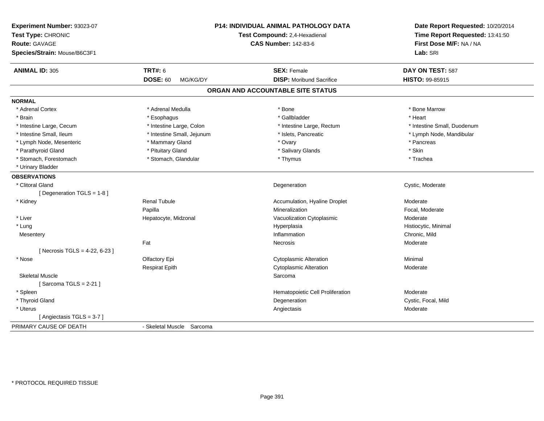| Experiment Number: 93023-07<br>Test Type: CHRONIC<br><b>Route: GAVAGE</b><br>Species/Strain: Mouse/B6C3F1 |                             | <b>P14: INDIVIDUAL ANIMAL PATHOLOGY DATA</b><br>Test Compound: 2,4-Hexadienal<br><b>CAS Number: 142-83-6</b> | Date Report Requested: 10/20/2014<br>Time Report Requested: 13:41:50<br>First Dose M/F: NA / NA<br>Lab: SRI |
|-----------------------------------------------------------------------------------------------------------|-----------------------------|--------------------------------------------------------------------------------------------------------------|-------------------------------------------------------------------------------------------------------------|
| <b>ANIMAL ID: 305</b>                                                                                     | TRT#: 6                     | <b>SEX: Female</b>                                                                                           | DAY ON TEST: 587                                                                                            |
|                                                                                                           | <b>DOSE: 60</b><br>MG/KG/DY | <b>DISP:</b> Moribund Sacrifice                                                                              | HISTO: 99-85915                                                                                             |
|                                                                                                           |                             | ORGAN AND ACCOUNTABLE SITE STATUS                                                                            |                                                                                                             |
| <b>NORMAL</b>                                                                                             |                             |                                                                                                              |                                                                                                             |
| * Adrenal Cortex                                                                                          | * Adrenal Medulla           | * Bone                                                                                                       | * Bone Marrow                                                                                               |
| * Brain                                                                                                   | * Esophagus                 | * Gallbladder                                                                                                | * Heart                                                                                                     |
| * Intestine Large, Cecum                                                                                  | * Intestine Large, Colon    | * Intestine Large, Rectum                                                                                    | * Intestine Small, Duodenum                                                                                 |
| * Intestine Small, Ileum                                                                                  | * Intestine Small, Jejunum  | * Islets, Pancreatic                                                                                         | * Lymph Node, Mandibular                                                                                    |
| * Lymph Node, Mesenteric                                                                                  | * Mammary Gland             | * Ovary                                                                                                      | * Pancreas                                                                                                  |
| * Parathyroid Gland                                                                                       | * Pituitary Gland           | * Salivary Glands                                                                                            | * Skin                                                                                                      |
| * Stomach, Forestomach                                                                                    | * Stomach, Glandular        | * Thymus                                                                                                     | * Trachea                                                                                                   |
| * Urinary Bladder                                                                                         |                             |                                                                                                              |                                                                                                             |
| <b>OBSERVATIONS</b>                                                                                       |                             |                                                                                                              |                                                                                                             |
| * Clitoral Gland                                                                                          |                             | Degeneration                                                                                                 | Cystic, Moderate                                                                                            |
| [Degeneration TGLS = 1-8]                                                                                 |                             |                                                                                                              |                                                                                                             |
| * Kidney                                                                                                  | <b>Renal Tubule</b>         | Accumulation, Hyaline Droplet                                                                                | Moderate                                                                                                    |
|                                                                                                           | Papilla                     | Mineralization                                                                                               | Focal, Moderate                                                                                             |
| * Liver                                                                                                   | Hepatocyte, Midzonal        | Vacuolization Cytoplasmic                                                                                    | Moderate                                                                                                    |
| * Lung                                                                                                    |                             | Hyperplasia                                                                                                  | Histiocytic, Minimal                                                                                        |
| Mesentery                                                                                                 |                             | Inflammation                                                                                                 | Chronic, Mild                                                                                               |
|                                                                                                           | Fat                         | Necrosis                                                                                                     | Moderate                                                                                                    |
| [Necrosis TGLS = 4-22, 6-23]                                                                              |                             |                                                                                                              |                                                                                                             |
| * Nose                                                                                                    | Olfactory Epi               | <b>Cytoplasmic Alteration</b>                                                                                | Minimal                                                                                                     |
|                                                                                                           | <b>Respirat Epith</b>       | <b>Cytoplasmic Alteration</b>                                                                                | Moderate                                                                                                    |
| <b>Skeletal Muscle</b>                                                                                    |                             | Sarcoma                                                                                                      |                                                                                                             |
| [Sarcoma TGLS = $2-21$ ]                                                                                  |                             |                                                                                                              |                                                                                                             |
| * Spleen                                                                                                  |                             | Hematopoietic Cell Proliferation                                                                             | Moderate                                                                                                    |
| * Thyroid Gland                                                                                           |                             | Degeneration                                                                                                 | Cystic, Focal, Mild                                                                                         |
| * Uterus                                                                                                  |                             | Angiectasis                                                                                                  | Moderate                                                                                                    |
| [Angiectasis TGLS = 3-7]                                                                                  |                             |                                                                                                              |                                                                                                             |
| PRIMARY CAUSE OF DEATH                                                                                    | - Skeletal Muscle Sarcoma   |                                                                                                              |                                                                                                             |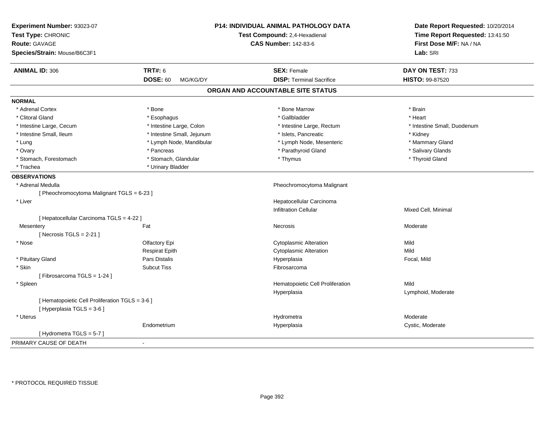| Experiment Number: 93023-07                     |                             | P14: INDIVIDUAL ANIMAL PATHOLOGY DATA | Date Report Requested: 10/20/2014 |
|-------------------------------------------------|-----------------------------|---------------------------------------|-----------------------------------|
| Test Type: CHRONIC                              |                             | Test Compound: 2,4-Hexadienal         | Time Report Requested: 13:41:50   |
| <b>Route: GAVAGE</b>                            |                             | <b>CAS Number: 142-83-6</b>           | First Dose M/F: NA / NA           |
| Species/Strain: Mouse/B6C3F1                    |                             |                                       | Lab: SRI                          |
| <b>ANIMAL ID: 306</b>                           | <b>TRT#: 6</b>              | <b>SEX: Female</b>                    | DAY ON TEST: 733                  |
|                                                 | <b>DOSE: 60</b><br>MG/KG/DY | <b>DISP: Terminal Sacrifice</b>       | HISTO: 99-87520                   |
|                                                 |                             | ORGAN AND ACCOUNTABLE SITE STATUS     |                                   |
| <b>NORMAL</b>                                   |                             |                                       |                                   |
| * Adrenal Cortex                                | * Bone                      | * Bone Marrow                         | * Brain                           |
| * Clitoral Gland                                | * Esophagus                 | * Gallbladder                         | * Heart                           |
| * Intestine Large, Cecum                        | * Intestine Large, Colon    | * Intestine Large, Rectum             | * Intestine Small, Duodenum       |
| * Intestine Small, Ileum                        | * Intestine Small, Jejunum  | * Islets, Pancreatic                  | * Kidney                          |
| * Lung                                          | * Lymph Node, Mandibular    | * Lymph Node, Mesenteric              | * Mammary Gland                   |
| * Ovary                                         | * Pancreas                  | * Parathyroid Gland                   | * Salivary Glands                 |
| * Stomach, Forestomach                          | * Stomach, Glandular        | * Thymus                              | * Thyroid Gland                   |
| * Trachea                                       | * Urinary Bladder           |                                       |                                   |
| <b>OBSERVATIONS</b>                             |                             |                                       |                                   |
| * Adrenal Medulla                               |                             | Pheochromocytoma Malignant            |                                   |
| [ Pheochromocytoma Malignant TGLS = 6-23 ]      |                             |                                       |                                   |
| * Liver                                         |                             | Hepatocellular Carcinoma              |                                   |
|                                                 |                             | <b>Infiltration Cellular</b>          | Mixed Cell, Minimal               |
| [ Hepatocellular Carcinoma TGLS = 4-22 ]        |                             |                                       |                                   |
| Mesentery                                       | Fat                         | Necrosis                              | Moderate                          |
| [Necrosis TGLS = $2-21$ ]                       |                             |                                       |                                   |
| * Nose                                          | Olfactory Epi               | <b>Cytoplasmic Alteration</b>         | Mild                              |
|                                                 | <b>Respirat Epith</b>       | <b>Cytoplasmic Alteration</b>         | Mild                              |
| * Pituitary Gland                               | Pars Distalis               | Hyperplasia                           | Focal, Mild                       |
| * Skin                                          | <b>Subcut Tiss</b>          | Fibrosarcoma                          |                                   |
| [Fibrosarcoma TGLS = 1-24]                      |                             |                                       |                                   |
| * Spleen                                        |                             | Hematopoietic Cell Proliferation      | Mild                              |
|                                                 |                             | Hyperplasia                           | Lymphoid, Moderate                |
| [ Hematopoietic Cell Proliferation TGLS = 3-6 ] |                             |                                       |                                   |
| [ Hyperplasia TGLS = 3-6 ]                      |                             |                                       |                                   |
| * Uterus                                        |                             | Hydrometra                            | Moderate                          |
|                                                 | Endometrium                 | Hyperplasia                           | Cystic, Moderate                  |
| [Hydrometra TGLS = $5-7$ ]                      |                             |                                       |                                   |
| PRIMARY CAUSE OF DEATH                          | $\blacksquare$              |                                       |                                   |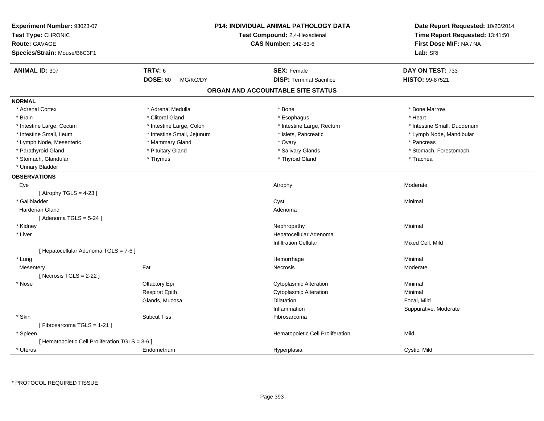| Experiment Number: 93023-07<br>Test Type: CHRONIC<br><b>Route: GAVAGE</b><br>Species/Strain: Mouse/B6C3F1 |                             | <b>P14: INDIVIDUAL ANIMAL PATHOLOGY DATA</b><br>Test Compound: 2,4-Hexadienal<br><b>CAS Number: 142-83-6</b> | Date Report Requested: 10/20/2014<br>Time Report Requested: 13:41:50<br>First Dose M/F: NA / NA<br>Lab: SRI |
|-----------------------------------------------------------------------------------------------------------|-----------------------------|--------------------------------------------------------------------------------------------------------------|-------------------------------------------------------------------------------------------------------------|
| <b>ANIMAL ID: 307</b>                                                                                     | <b>TRT#: 6</b>              | <b>SEX: Female</b>                                                                                           | DAY ON TEST: 733                                                                                            |
|                                                                                                           | <b>DOSE: 60</b><br>MG/KG/DY | <b>DISP: Terminal Sacrifice</b>                                                                              | HISTO: 99-87521                                                                                             |
|                                                                                                           |                             | ORGAN AND ACCOUNTABLE SITE STATUS                                                                            |                                                                                                             |
| <b>NORMAL</b>                                                                                             |                             |                                                                                                              |                                                                                                             |
| * Adrenal Cortex                                                                                          | * Adrenal Medulla           | * Bone                                                                                                       | * Bone Marrow                                                                                               |
| * Brain                                                                                                   | * Clitoral Gland            | * Esophagus                                                                                                  | * Heart                                                                                                     |
| * Intestine Large, Cecum                                                                                  | * Intestine Large, Colon    | * Intestine Large, Rectum                                                                                    | * Intestine Small, Duodenum                                                                                 |
| * Intestine Small, Ileum                                                                                  | * Intestine Small, Jejunum  | * Islets, Pancreatic                                                                                         | * Lymph Node, Mandibular                                                                                    |
| * Lymph Node, Mesenteric                                                                                  | * Mammary Gland             | * Ovary                                                                                                      | * Pancreas                                                                                                  |
| * Parathyroid Gland                                                                                       | * Pituitary Gland           | * Salivary Glands                                                                                            | * Stomach, Forestomach                                                                                      |
| * Stomach, Glandular                                                                                      | * Thymus                    | * Thyroid Gland                                                                                              | * Trachea                                                                                                   |
| * Urinary Bladder                                                                                         |                             |                                                                                                              |                                                                                                             |
| <b>OBSERVATIONS</b>                                                                                       |                             |                                                                                                              |                                                                                                             |
| Eye                                                                                                       |                             | Atrophy                                                                                                      | Moderate                                                                                                    |
| [Atrophy TGLS = $4-23$ ]                                                                                  |                             |                                                                                                              |                                                                                                             |
| * Gallbladder                                                                                             |                             | Cyst                                                                                                         | Minimal                                                                                                     |
| <b>Harderian Gland</b>                                                                                    |                             | Adenoma                                                                                                      |                                                                                                             |
| [Adenoma TGLS = $5-24$ ]                                                                                  |                             |                                                                                                              |                                                                                                             |
| * Kidney                                                                                                  |                             | Nephropathy                                                                                                  | Minimal                                                                                                     |
| * Liver                                                                                                   |                             | Hepatocellular Adenoma                                                                                       |                                                                                                             |
|                                                                                                           |                             | <b>Infiltration Cellular</b>                                                                                 | Mixed Cell, Mild                                                                                            |
| [ Hepatocellular Adenoma TGLS = 7-6 ]                                                                     |                             |                                                                                                              |                                                                                                             |
| * Lung                                                                                                    |                             | Hemorrhage                                                                                                   | Minimal                                                                                                     |
| Mesentery                                                                                                 | Fat                         | Necrosis                                                                                                     | Moderate                                                                                                    |
| [Necrosis $TGLS = 2-22$ ]                                                                                 |                             |                                                                                                              |                                                                                                             |
| * Nose                                                                                                    | Olfactory Epi               | <b>Cytoplasmic Alteration</b>                                                                                | Minimal                                                                                                     |
|                                                                                                           | <b>Respirat Epith</b>       | <b>Cytoplasmic Alteration</b>                                                                                | Minimal                                                                                                     |
|                                                                                                           | Glands, Mucosa              | Dilatation                                                                                                   | Focal, Mild                                                                                                 |
|                                                                                                           |                             | Inflammation                                                                                                 | Suppurative, Moderate                                                                                       |
| * Skin                                                                                                    | <b>Subcut Tiss</b>          | Fibrosarcoma                                                                                                 |                                                                                                             |
| [Fibrosarcoma TGLS = 1-21]                                                                                |                             |                                                                                                              |                                                                                                             |
| * Spleen                                                                                                  |                             | Hematopoietic Cell Proliferation                                                                             | Mild                                                                                                        |
| [ Hematopoietic Cell Proliferation TGLS = 3-6 ]                                                           |                             |                                                                                                              |                                                                                                             |
| * Uterus                                                                                                  | Endometrium                 | Hyperplasia                                                                                                  | Cystic, Mild                                                                                                |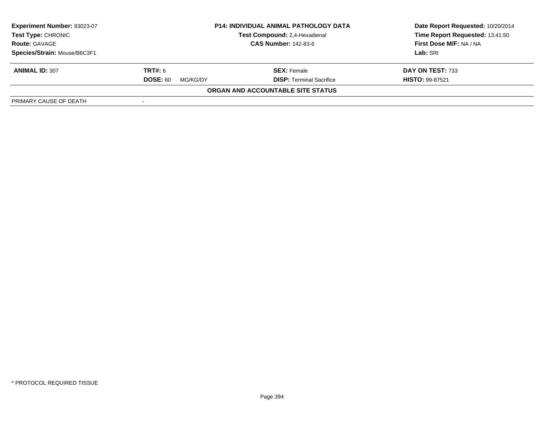| Experiment Number: 93023-07  | <b>P14: INDIVIDUAL ANIMAL PATHOLOGY DATA</b> |                                      | Date Report Requested: 10/20/2014 |
|------------------------------|----------------------------------------------|--------------------------------------|-----------------------------------|
| <b>Test Type: CHRONIC</b>    |                                              | <b>Test Compound: 2.4-Hexadienal</b> | Time Report Requested: 13:41:50   |
| <b>Route: GAVAGE</b>         |                                              | <b>CAS Number: 142-83-6</b>          | First Dose M/F: NA / NA           |
| Species/Strain: Mouse/B6C3F1 |                                              |                                      | Lab: SRI                          |
| <b>ANIMAL ID: 307</b>        | <b>TRT#:</b> 6                               | <b>SEX: Female</b>                   | DAY ON TEST: 733                  |
|                              | <b>DOSE: 60</b><br>MG/KG/DY                  | <b>DISP: Terminal Sacrifice</b>      | <b>HISTO: 99-87521</b>            |
|                              |                                              | ORGAN AND ACCOUNTABLE SITE STATUS    |                                   |
| PRIMARY CAUSE OF DEATH       | $\sim$                                       |                                      |                                   |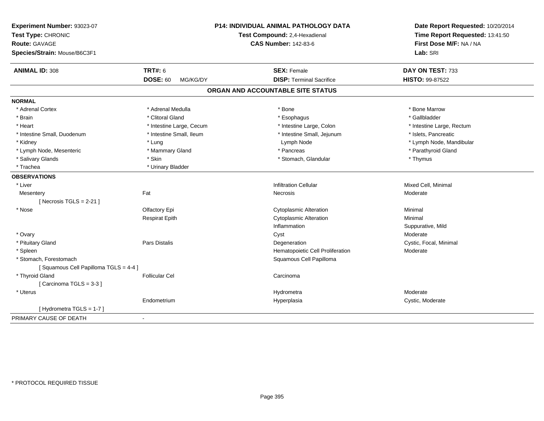| Experiment Number: 93023-07<br>Test Type: CHRONIC<br><b>Route: GAVAGE</b><br>Species/Strain: Mouse/B6C3F1 |                             | <b>P14: INDIVIDUAL ANIMAL PATHOLOGY DATA</b><br>Test Compound: 2,4-Hexadienal<br><b>CAS Number: 142-83-6</b> | Date Report Requested: 10/20/2014<br>Time Report Requested: 13:41:50<br>First Dose M/F: NA / NA<br>Lab: SRI |
|-----------------------------------------------------------------------------------------------------------|-----------------------------|--------------------------------------------------------------------------------------------------------------|-------------------------------------------------------------------------------------------------------------|
| <b>ANIMAL ID: 308</b>                                                                                     | <b>TRT#: 6</b>              | <b>SEX: Female</b>                                                                                           | DAY ON TEST: 733                                                                                            |
|                                                                                                           | <b>DOSE: 60</b><br>MG/KG/DY | <b>DISP: Terminal Sacrifice</b>                                                                              | HISTO: 99-87522                                                                                             |
|                                                                                                           |                             | ORGAN AND ACCOUNTABLE SITE STATUS                                                                            |                                                                                                             |
| <b>NORMAL</b>                                                                                             |                             |                                                                                                              |                                                                                                             |
| * Adrenal Cortex                                                                                          | * Adrenal Medulla           | * Bone                                                                                                       | * Bone Marrow                                                                                               |
| * Brain                                                                                                   | * Clitoral Gland            | * Esophagus                                                                                                  | * Gallbladder                                                                                               |
| * Heart                                                                                                   | * Intestine Large, Cecum    | * Intestine Large, Colon                                                                                     | * Intestine Large, Rectum                                                                                   |
| * Intestine Small, Duodenum                                                                               | * Intestine Small, Ileum    | * Intestine Small, Jejunum                                                                                   | * Islets, Pancreatic                                                                                        |
| * Kidney                                                                                                  | * Lung                      | Lymph Node                                                                                                   | * Lymph Node, Mandibular                                                                                    |
| * Lymph Node, Mesenteric                                                                                  | * Mammary Gland             | * Pancreas                                                                                                   | * Parathyroid Gland                                                                                         |
| * Salivary Glands                                                                                         | * Skin                      | * Stomach, Glandular                                                                                         | * Thymus                                                                                                    |
| * Trachea                                                                                                 | * Urinary Bladder           |                                                                                                              |                                                                                                             |
| <b>OBSERVATIONS</b>                                                                                       |                             |                                                                                                              |                                                                                                             |
| * Liver                                                                                                   |                             | <b>Infiltration Cellular</b>                                                                                 | Mixed Cell, Minimal                                                                                         |
| Mesentery                                                                                                 | Fat                         | Necrosis                                                                                                     | Moderate                                                                                                    |
| [Necrosis TGLS = $2-21$ ]                                                                                 |                             |                                                                                                              |                                                                                                             |
| * Nose                                                                                                    | Olfactory Epi               | <b>Cytoplasmic Alteration</b>                                                                                | Minimal                                                                                                     |
|                                                                                                           | <b>Respirat Epith</b>       | <b>Cytoplasmic Alteration</b>                                                                                | Minimal                                                                                                     |
|                                                                                                           |                             | Inflammation                                                                                                 | Suppurative, Mild                                                                                           |
| * Ovary                                                                                                   |                             | Cyst                                                                                                         | Moderate                                                                                                    |
| * Pituitary Gland                                                                                         | <b>Pars Distalis</b>        | Degeneration                                                                                                 | Cystic, Focal, Minimal                                                                                      |
| * Spleen                                                                                                  |                             | Hematopoietic Cell Proliferation                                                                             | Moderate                                                                                                    |
| * Stomach, Forestomach                                                                                    |                             | Squamous Cell Papilloma                                                                                      |                                                                                                             |
| [Squamous Cell Papilloma TGLS = 4-4]                                                                      |                             |                                                                                                              |                                                                                                             |
| * Thyroid Gland                                                                                           | <b>Follicular Cel</b>       | Carcinoma                                                                                                    |                                                                                                             |
| [Carcinoma TGLS = 3-3]                                                                                    |                             |                                                                                                              |                                                                                                             |
| * Uterus                                                                                                  |                             | Hydrometra                                                                                                   | Moderate                                                                                                    |
|                                                                                                           | Endometrium                 | Hyperplasia                                                                                                  | Cystic, Moderate                                                                                            |
| [Hydrometra TGLS = 1-7]                                                                                   |                             |                                                                                                              |                                                                                                             |
| PRIMARY CAUSE OF DEATH                                                                                    | $\overline{\phantom{0}}$    |                                                                                                              |                                                                                                             |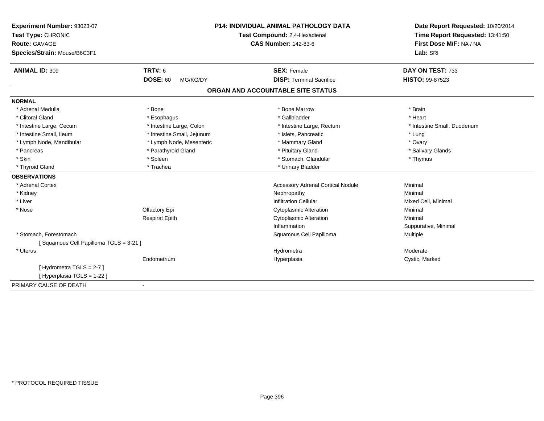| Experiment Number: 93023-07           |                               | <b>P14: INDIVIDUAL ANIMAL PATHOLOGY DATA</b> | Date Report Requested: 10/20/2014 |
|---------------------------------------|-------------------------------|----------------------------------------------|-----------------------------------|
| Test Type: CHRONIC                    | Test Compound: 2,4-Hexadienal |                                              | Time Report Requested: 13:41:50   |
| <b>Route: GAVAGE</b>                  |                               | <b>CAS Number: 142-83-6</b>                  | First Dose M/F: NA / NA           |
| Species/Strain: Mouse/B6C3F1          |                               |                                              | Lab: SRI                          |
| <b>ANIMAL ID: 309</b>                 | <b>TRT#: 6</b>                | <b>SEX: Female</b>                           | DAY ON TEST: 733                  |
|                                       | <b>DOSE: 60</b><br>MG/KG/DY   | <b>DISP: Terminal Sacrifice</b>              | HISTO: 99-87523                   |
|                                       |                               | ORGAN AND ACCOUNTABLE SITE STATUS            |                                   |
| <b>NORMAL</b>                         |                               |                                              |                                   |
| * Adrenal Medulla                     | * Bone                        | * Bone Marrow                                | * Brain                           |
| * Clitoral Gland                      | * Esophagus                   | * Gallbladder                                | * Heart                           |
| * Intestine Large, Cecum              | * Intestine Large, Colon      | * Intestine Large, Rectum                    | * Intestine Small, Duodenum       |
| * Intestine Small, Ileum              | * Intestine Small, Jejunum    | * Islets, Pancreatic                         | * Lung                            |
| * Lymph Node, Mandibular              | * Lymph Node, Mesenteric      | * Mammary Gland                              | * Ovary                           |
| * Pancreas                            | * Parathyroid Gland           | * Pituitary Gland                            | * Salivary Glands                 |
| * Skin                                | * Spleen                      | * Stomach, Glandular                         | * Thymus                          |
| * Thyroid Gland                       | * Trachea                     | * Urinary Bladder                            |                                   |
| <b>OBSERVATIONS</b>                   |                               |                                              |                                   |
| * Adrenal Cortex                      |                               | <b>Accessory Adrenal Cortical Nodule</b>     | Minimal                           |
| * Kidney                              |                               | Nephropathy                                  | Minimal                           |
| * Liver                               |                               | <b>Infiltration Cellular</b>                 | Mixed Cell, Minimal               |
| * Nose                                | Olfactory Epi                 | <b>Cytoplasmic Alteration</b>                | Minimal                           |
|                                       | <b>Respirat Epith</b>         | <b>Cytoplasmic Alteration</b>                | Minimal                           |
|                                       |                               | Inflammation                                 | Suppurative, Minimal              |
| * Stomach, Forestomach                |                               | Squamous Cell Papilloma                      | <b>Multiple</b>                   |
| [Squamous Cell Papilloma TGLS = 3-21] |                               |                                              |                                   |
| * Uterus                              |                               | Hydrometra                                   | Moderate                          |
|                                       | Endometrium                   | Hyperplasia                                  | Cystic, Marked                    |
| [Hydrometra TGLS = 2-7]               |                               |                                              |                                   |
| [ Hyperplasia TGLS = 1-22 ]           |                               |                                              |                                   |
| PRIMARY CAUSE OF DEATH                | $\blacksquare$                |                                              |                                   |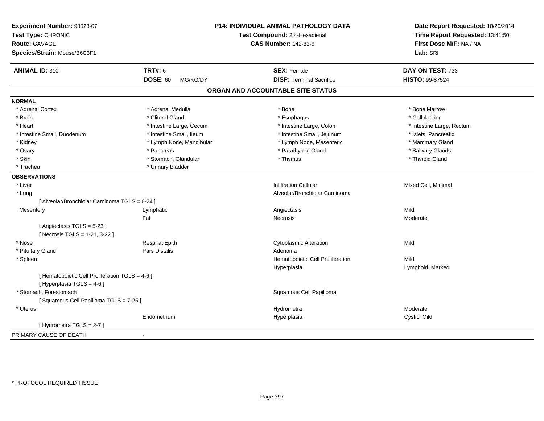| Experiment Number: 93023-07<br>Test Type: CHRONIC<br><b>Route: GAVAGE</b><br>Species/Strain: Mouse/B6C3F1 |                             | P14: INDIVIDUAL ANIMAL PATHOLOGY DATA<br>Test Compound: 2,4-Hexadienal<br><b>CAS Number: 142-83-6</b> | Date Report Requested: 10/20/2014<br>Time Report Requested: 13:41:50<br>First Dose M/F: NA / NA<br>Lab: SRI |
|-----------------------------------------------------------------------------------------------------------|-----------------------------|-------------------------------------------------------------------------------------------------------|-------------------------------------------------------------------------------------------------------------|
| <b>ANIMAL ID: 310</b>                                                                                     | <b>TRT#: 6</b>              | <b>SEX: Female</b>                                                                                    | DAY ON TEST: 733                                                                                            |
|                                                                                                           | <b>DOSE: 60</b><br>MG/KG/DY | <b>DISP: Terminal Sacrifice</b>                                                                       | HISTO: 99-87524                                                                                             |
|                                                                                                           |                             | ORGAN AND ACCOUNTABLE SITE STATUS                                                                     |                                                                                                             |
| <b>NORMAL</b>                                                                                             |                             |                                                                                                       |                                                                                                             |
| * Adrenal Cortex                                                                                          | * Adrenal Medulla           | * Bone                                                                                                | * Bone Marrow                                                                                               |
| * Brain                                                                                                   | * Clitoral Gland            | * Esophagus                                                                                           | * Gallbladder                                                                                               |
| * Heart                                                                                                   | * Intestine Large, Cecum    | * Intestine Large, Colon                                                                              | * Intestine Large, Rectum                                                                                   |
| * Intestine Small, Duodenum                                                                               | * Intestine Small, Ileum    | * Intestine Small, Jejunum                                                                            | * Islets, Pancreatic                                                                                        |
| * Kidney                                                                                                  | * Lymph Node, Mandibular    | * Lymph Node, Mesenteric                                                                              | * Mammary Gland                                                                                             |
| * Ovary                                                                                                   | * Pancreas                  | * Parathyroid Gland                                                                                   | * Salivary Glands                                                                                           |
| * Skin                                                                                                    | * Stomach, Glandular        | * Thymus                                                                                              | * Thyroid Gland                                                                                             |
| * Trachea                                                                                                 | * Urinary Bladder           |                                                                                                       |                                                                                                             |
| <b>OBSERVATIONS</b>                                                                                       |                             |                                                                                                       |                                                                                                             |
| * Liver                                                                                                   |                             | <b>Infiltration Cellular</b>                                                                          | Mixed Cell, Minimal                                                                                         |
| * Lung                                                                                                    |                             | Alveolar/Bronchiolar Carcinoma                                                                        |                                                                                                             |
| [ Alveolar/Bronchiolar Carcinoma TGLS = 6-24 ]                                                            |                             |                                                                                                       |                                                                                                             |
| Mesentery                                                                                                 | Lymphatic                   | Angiectasis                                                                                           | Mild                                                                                                        |
|                                                                                                           | Fat                         | Necrosis                                                                                              | Moderate                                                                                                    |
| [Angiectasis TGLS = 5-23]                                                                                 |                             |                                                                                                       |                                                                                                             |
| [ Necrosis TGLS = 1-21, 3-22 ]                                                                            |                             |                                                                                                       |                                                                                                             |
| * Nose                                                                                                    | <b>Respirat Epith</b>       | <b>Cytoplasmic Alteration</b>                                                                         | Mild                                                                                                        |
| * Pituitary Gland                                                                                         | Pars Distalis               | Adenoma                                                                                               |                                                                                                             |
| * Spleen                                                                                                  |                             | Hematopoietic Cell Proliferation                                                                      | Mild                                                                                                        |
|                                                                                                           |                             | Hyperplasia                                                                                           | Lymphoid, Marked                                                                                            |
| [ Hematopoietic Cell Proliferation TGLS = 4-6 ]                                                           |                             |                                                                                                       |                                                                                                             |
| [ Hyperplasia TGLS = 4-6 ]                                                                                |                             |                                                                                                       |                                                                                                             |
| * Stomach. Forestomach                                                                                    |                             | Squamous Cell Papilloma                                                                               |                                                                                                             |
| [Squamous Cell Papilloma TGLS = 7-25]                                                                     |                             |                                                                                                       |                                                                                                             |
| * Uterus                                                                                                  |                             | Hydrometra                                                                                            | Moderate                                                                                                    |
|                                                                                                           | Endometrium                 | Hyperplasia                                                                                           | Cystic, Mild                                                                                                |
| [Hydrometra TGLS = 2-7]                                                                                   |                             |                                                                                                       |                                                                                                             |
| PRIMARY CAUSE OF DEATH                                                                                    | $\blacksquare$              |                                                                                                       |                                                                                                             |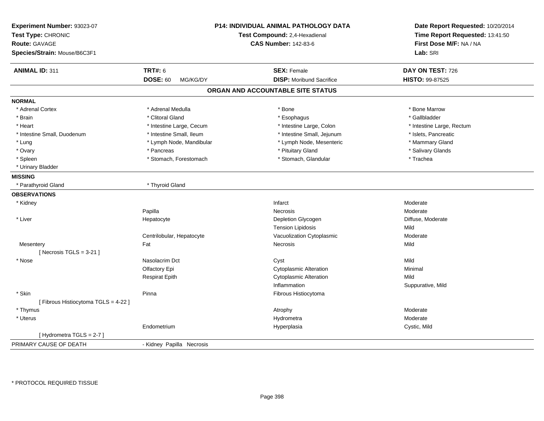| Experiment Number: 93023-07<br>Test Type: CHRONIC<br><b>Route: GAVAGE</b><br>Species/Strain: Mouse/B6C3F1 | <b>P14: INDIVIDUAL ANIMAL PATHOLOGY DATA</b><br>Test Compound: 2,4-Hexadienal<br><b>CAS Number: 142-83-6</b> |                                   | Date Report Requested: 10/20/2014<br>Time Report Requested: 13:41:50<br>First Dose M/F: NA / NA<br>Lab: SRI |
|-----------------------------------------------------------------------------------------------------------|--------------------------------------------------------------------------------------------------------------|-----------------------------------|-------------------------------------------------------------------------------------------------------------|
| <b>ANIMAL ID: 311</b>                                                                                     | <b>TRT#: 6</b>                                                                                               | <b>SEX: Female</b>                | DAY ON TEST: 726                                                                                            |
|                                                                                                           | <b>DOSE: 60</b><br>MG/KG/DY                                                                                  | <b>DISP:</b> Moribund Sacrifice   | HISTO: 99-87525                                                                                             |
|                                                                                                           |                                                                                                              | ORGAN AND ACCOUNTABLE SITE STATUS |                                                                                                             |
| <b>NORMAL</b>                                                                                             |                                                                                                              |                                   |                                                                                                             |
| * Adrenal Cortex                                                                                          | * Adrenal Medulla                                                                                            | * Bone                            | * Bone Marrow                                                                                               |
| * Brain                                                                                                   | * Clitoral Gland                                                                                             | * Esophagus                       | * Gallbladder                                                                                               |
| * Heart                                                                                                   | * Intestine Large, Cecum                                                                                     | * Intestine Large, Colon          | * Intestine Large, Rectum                                                                                   |
| * Intestine Small, Duodenum                                                                               | * Intestine Small, Ileum                                                                                     | * Intestine Small, Jejunum        | * Islets, Pancreatic                                                                                        |
| * Lung                                                                                                    | * Lymph Node, Mandibular                                                                                     | * Lymph Node, Mesenteric          | * Mammary Gland                                                                                             |
| * Ovary                                                                                                   | * Pancreas                                                                                                   | * Pituitary Gland                 | * Salivary Glands                                                                                           |
| * Spleen                                                                                                  | * Stomach, Forestomach                                                                                       | * Stomach, Glandular              | * Trachea                                                                                                   |
| * Urinary Bladder                                                                                         |                                                                                                              |                                   |                                                                                                             |
| <b>MISSING</b>                                                                                            |                                                                                                              |                                   |                                                                                                             |
| * Parathyroid Gland                                                                                       | * Thyroid Gland                                                                                              |                                   |                                                                                                             |
| <b>OBSERVATIONS</b>                                                                                       |                                                                                                              |                                   |                                                                                                             |
| * Kidney                                                                                                  |                                                                                                              | Infarct                           | Moderate                                                                                                    |
|                                                                                                           | Papilla                                                                                                      | Necrosis                          | Moderate                                                                                                    |
| * Liver                                                                                                   | Hepatocyte                                                                                                   | Depletion Glycogen                | Diffuse, Moderate                                                                                           |
|                                                                                                           |                                                                                                              | <b>Tension Lipidosis</b>          | Mild                                                                                                        |
|                                                                                                           | Centrilobular, Hepatocyte                                                                                    | Vacuolization Cytoplasmic         | Moderate                                                                                                    |
| Mesentery                                                                                                 | Fat                                                                                                          | Necrosis                          | Mild                                                                                                        |
| [Necrosis $TGLS = 3-21$ ]                                                                                 |                                                                                                              |                                   |                                                                                                             |
| * Nose                                                                                                    | Nasolacrim Dct                                                                                               | Cyst                              | Mild                                                                                                        |
|                                                                                                           | Olfactory Epi                                                                                                | <b>Cytoplasmic Alteration</b>     | Minimal                                                                                                     |
|                                                                                                           | <b>Respirat Epith</b>                                                                                        | <b>Cytoplasmic Alteration</b>     | Mild                                                                                                        |
|                                                                                                           |                                                                                                              | Inflammation                      | Suppurative, Mild                                                                                           |
| * Skin                                                                                                    | Pinna                                                                                                        | Fibrous Histiocytoma              |                                                                                                             |
| [ Fibrous Histiocytoma TGLS = 4-22 ]                                                                      |                                                                                                              |                                   |                                                                                                             |
| * Thymus                                                                                                  |                                                                                                              | Atrophy                           | Moderate                                                                                                    |
| * Uterus                                                                                                  |                                                                                                              | Hydrometra                        | Moderate                                                                                                    |
|                                                                                                           | Endometrium                                                                                                  | Hyperplasia                       | Cystic, Mild                                                                                                |
| [Hydrometra TGLS = 2-7]                                                                                   |                                                                                                              |                                   |                                                                                                             |
| PRIMARY CAUSE OF DEATH                                                                                    | - Kidney Papilla Necrosis                                                                                    |                                   |                                                                                                             |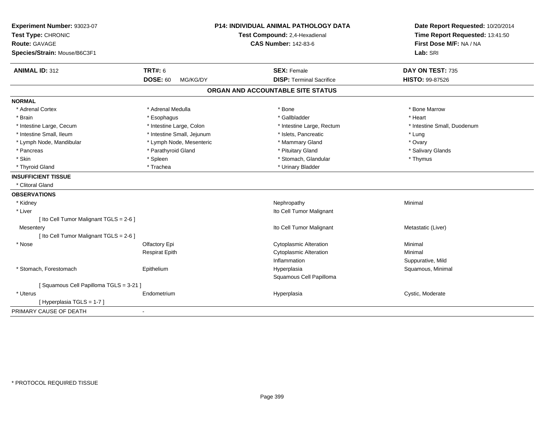| Experiment Number: 93023-07<br>Test Type: CHRONIC<br><b>Route: GAVAGE</b><br>Species/Strain: Mouse/B6C3F1 | <b>P14: INDIVIDUAL ANIMAL PATHOLOGY DATA</b><br>Test Compound: 2,4-Hexadienal<br><b>CAS Number: 142-83-6</b> |                                                       | Date Report Requested: 10/20/2014<br>Time Report Requested: 13:41:50<br>First Dose M/F: NA / NA<br>Lab: SRI |
|-----------------------------------------------------------------------------------------------------------|--------------------------------------------------------------------------------------------------------------|-------------------------------------------------------|-------------------------------------------------------------------------------------------------------------|
| <b>ANIMAL ID: 312</b>                                                                                     | <b>TRT#: 6</b><br><b>DOSE: 60</b><br>MG/KG/DY                                                                | <b>SEX: Female</b><br><b>DISP: Terminal Sacrifice</b> | DAY ON TEST: 735<br>HISTO: 99-87526                                                                         |
|                                                                                                           |                                                                                                              | ORGAN AND ACCOUNTABLE SITE STATUS                     |                                                                                                             |
|                                                                                                           |                                                                                                              |                                                       |                                                                                                             |
| <b>NORMAL</b>                                                                                             |                                                                                                              |                                                       |                                                                                                             |
| * Adrenal Cortex                                                                                          | * Adrenal Medulla                                                                                            | * Bone                                                | * Bone Marrow                                                                                               |
| * Brain                                                                                                   | * Esophagus                                                                                                  | * Gallbladder                                         | * Heart                                                                                                     |
| * Intestine Large, Cecum                                                                                  | * Intestine Large, Colon                                                                                     | * Intestine Large, Rectum                             | * Intestine Small, Duodenum                                                                                 |
| * Intestine Small, Ileum                                                                                  | * Intestine Small, Jejunum                                                                                   | * Islets, Pancreatic                                  | * Lung                                                                                                      |
| * Lymph Node, Mandibular                                                                                  | * Lymph Node, Mesenteric                                                                                     | * Mammary Gland                                       | * Ovary                                                                                                     |
| * Pancreas                                                                                                | * Parathyroid Gland                                                                                          | * Pituitary Gland                                     | * Salivary Glands                                                                                           |
| * Skin                                                                                                    | * Spleen                                                                                                     | * Stomach, Glandular                                  | * Thymus                                                                                                    |
| * Thyroid Gland                                                                                           | * Trachea                                                                                                    | * Urinary Bladder                                     |                                                                                                             |
| <b>INSUFFICIENT TISSUE</b>                                                                                |                                                                                                              |                                                       |                                                                                                             |
| * Clitoral Gland                                                                                          |                                                                                                              |                                                       |                                                                                                             |
| <b>OBSERVATIONS</b>                                                                                       |                                                                                                              |                                                       |                                                                                                             |
| * Kidney                                                                                                  |                                                                                                              | Nephropathy                                           | Minimal                                                                                                     |
| * Liver                                                                                                   |                                                                                                              | Ito Cell Tumor Malignant                              |                                                                                                             |
| [ Ito Cell Tumor Malignant TGLS = 2-6 ]                                                                   |                                                                                                              |                                                       |                                                                                                             |
| Mesentery                                                                                                 |                                                                                                              | Ito Cell Tumor Malignant                              | Metastatic (Liver)                                                                                          |
| [ Ito Cell Tumor Malignant TGLS = 2-6 ]                                                                   |                                                                                                              |                                                       |                                                                                                             |
| * Nose                                                                                                    | Olfactory Epi                                                                                                | <b>Cytoplasmic Alteration</b>                         | Minimal                                                                                                     |
|                                                                                                           | <b>Respirat Epith</b>                                                                                        | <b>Cytoplasmic Alteration</b>                         | Minimal                                                                                                     |
|                                                                                                           |                                                                                                              | Inflammation                                          | Suppurative, Mild                                                                                           |
| * Stomach, Forestomach                                                                                    | Epithelium                                                                                                   | Hyperplasia                                           | Squamous, Minimal                                                                                           |
|                                                                                                           |                                                                                                              | Squamous Cell Papilloma                               |                                                                                                             |
| [Squamous Cell Papilloma TGLS = 3-21]                                                                     |                                                                                                              |                                                       |                                                                                                             |
| * Uterus                                                                                                  | Endometrium                                                                                                  | Hyperplasia                                           | Cystic, Moderate                                                                                            |
| [Hyperplasia TGLS = 1-7]                                                                                  |                                                                                                              |                                                       |                                                                                                             |
| PRIMARY CAUSE OF DEATH                                                                                    | $\blacksquare$                                                                                               |                                                       |                                                                                                             |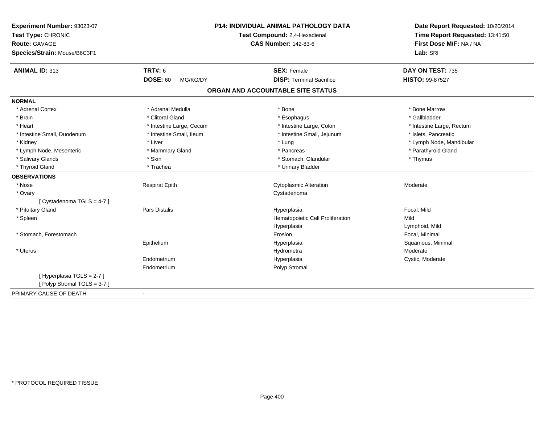| Experiment Number: 93023-07<br>Test Type: CHRONIC<br><b>Route: GAVAGE</b><br>Species/Strain: Mouse/B6C3F1 | <b>P14: INDIVIDUAL ANIMAL PATHOLOGY DATA</b><br>Test Compound: 2,4-Hexadienal<br><b>CAS Number: 142-83-6</b> |                                   | Date Report Requested: 10/20/2014<br>Time Report Requested: 13:41:50<br>First Dose M/F: NA / NA<br>Lab: SRI |  |
|-----------------------------------------------------------------------------------------------------------|--------------------------------------------------------------------------------------------------------------|-----------------------------------|-------------------------------------------------------------------------------------------------------------|--|
| <b>ANIMAL ID: 313</b>                                                                                     | <b>TRT#: 6</b>                                                                                               | <b>SEX: Female</b>                | DAY ON TEST: 735                                                                                            |  |
|                                                                                                           | <b>DOSE: 60</b><br>MG/KG/DY                                                                                  | <b>DISP: Terminal Sacrifice</b>   | HISTO: 99-87527                                                                                             |  |
|                                                                                                           |                                                                                                              | ORGAN AND ACCOUNTABLE SITE STATUS |                                                                                                             |  |
| <b>NORMAL</b>                                                                                             |                                                                                                              |                                   |                                                                                                             |  |
| * Adrenal Cortex                                                                                          | * Adrenal Medulla                                                                                            | * Bone                            | * Bone Marrow                                                                                               |  |
| * Brain                                                                                                   | * Clitoral Gland                                                                                             | * Esophagus                       | * Gallbladder                                                                                               |  |
| * Heart                                                                                                   | * Intestine Large, Cecum                                                                                     | * Intestine Large, Colon          | * Intestine Large, Rectum                                                                                   |  |
| * Intestine Small, Duodenum                                                                               | * Intestine Small, Ileum                                                                                     | * Intestine Small, Jejunum        | * Islets, Pancreatic                                                                                        |  |
| * Kidney                                                                                                  | * Liver                                                                                                      | * Lung                            | * Lymph Node, Mandibular                                                                                    |  |
| * Lymph Node, Mesenteric                                                                                  | * Mammary Gland                                                                                              | * Pancreas                        | * Parathyroid Gland                                                                                         |  |
| * Salivary Glands                                                                                         | * Skin                                                                                                       | * Stomach, Glandular              | * Thymus                                                                                                    |  |
| * Thyroid Gland                                                                                           | * Trachea                                                                                                    | * Urinary Bladder                 |                                                                                                             |  |
| <b>OBSERVATIONS</b>                                                                                       |                                                                                                              |                                   |                                                                                                             |  |
| * Nose                                                                                                    | <b>Respirat Epith</b>                                                                                        | <b>Cytoplasmic Alteration</b>     | Moderate                                                                                                    |  |
| * Ovary                                                                                                   |                                                                                                              | Cystadenoma                       |                                                                                                             |  |
| [Cystadenoma TGLS = 4-7]                                                                                  |                                                                                                              |                                   |                                                                                                             |  |
| * Pituitary Gland                                                                                         | Pars Distalis                                                                                                | Hyperplasia                       | Focal, Mild                                                                                                 |  |
| * Spleen                                                                                                  |                                                                                                              | Hematopoietic Cell Proliferation  | Mild                                                                                                        |  |
|                                                                                                           |                                                                                                              | Hyperplasia                       | Lymphoid, Mild                                                                                              |  |
| * Stomach, Forestomach                                                                                    |                                                                                                              | Erosion                           | Focal, Minimal                                                                                              |  |
|                                                                                                           | Epithelium                                                                                                   | Hyperplasia                       | Squamous, Minimal                                                                                           |  |
| * Uterus                                                                                                  |                                                                                                              | Hydrometra                        | Moderate                                                                                                    |  |
|                                                                                                           | Endometrium                                                                                                  | Hyperplasia                       | Cystic, Moderate                                                                                            |  |
|                                                                                                           | Endometrium                                                                                                  | Polyp Stromal                     |                                                                                                             |  |
| [Hyperplasia TGLS = 2-7]                                                                                  |                                                                                                              |                                   |                                                                                                             |  |
| [Polyp Stromal TGLS = 3-7]                                                                                |                                                                                                              |                                   |                                                                                                             |  |
| PRIMARY CAUSE OF DEATH                                                                                    | $\blacksquare$                                                                                               |                                   |                                                                                                             |  |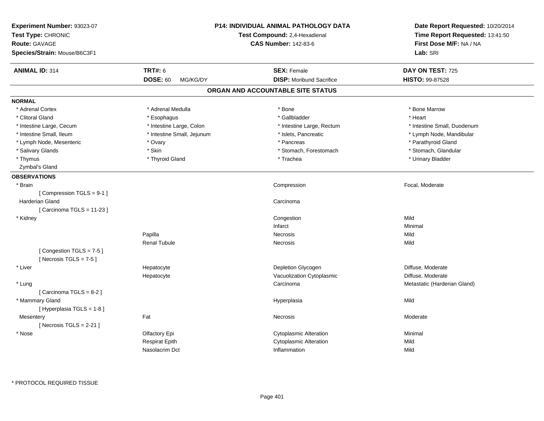| Experiment Number: 93023-07<br>Test Type: CHRONIC<br><b>Route: GAVAGE</b><br>Species/Strain: Mouse/B6C3F1 |                             | <b>P14: INDIVIDUAL ANIMAL PATHOLOGY DATA</b><br>Test Compound: 2,4-Hexadienal<br><b>CAS Number: 142-83-6</b> | Date Report Requested: 10/20/2014<br>Time Report Requested: 13:41:50<br>First Dose M/F: NA / NA<br>Lab: SRI |
|-----------------------------------------------------------------------------------------------------------|-----------------------------|--------------------------------------------------------------------------------------------------------------|-------------------------------------------------------------------------------------------------------------|
| <b>ANIMAL ID: 314</b>                                                                                     | <b>TRT#: 6</b>              | <b>SEX: Female</b>                                                                                           | DAY ON TEST: 725                                                                                            |
|                                                                                                           | <b>DOSE: 60</b><br>MG/KG/DY | <b>DISP:</b> Moribund Sacrifice                                                                              | <b>HISTO: 99-87528</b>                                                                                      |
|                                                                                                           |                             | ORGAN AND ACCOUNTABLE SITE STATUS                                                                            |                                                                                                             |
| <b>NORMAL</b>                                                                                             |                             |                                                                                                              |                                                                                                             |
| * Adrenal Cortex                                                                                          | * Adrenal Medulla           | * Bone                                                                                                       | * Bone Marrow                                                                                               |
| * Clitoral Gland                                                                                          | * Esophagus                 | * Gallbladder                                                                                                | * Heart                                                                                                     |
| * Intestine Large, Cecum                                                                                  | * Intestine Large, Colon    | * Intestine Large, Rectum                                                                                    | * Intestine Small, Duodenum                                                                                 |
| * Intestine Small, Ileum                                                                                  | * Intestine Small, Jejunum  | * Islets, Pancreatic                                                                                         | * Lymph Node, Mandibular                                                                                    |
| * Lymph Node, Mesenteric                                                                                  | * Ovary                     | * Pancreas                                                                                                   | * Parathyroid Gland                                                                                         |
| * Salivary Glands                                                                                         | * Skin                      | * Stomach, Forestomach                                                                                       | * Stomach, Glandular                                                                                        |
| * Thymus                                                                                                  | * Thyroid Gland             | * Trachea                                                                                                    | * Urinary Bladder                                                                                           |
| Zymbal's Gland                                                                                            |                             |                                                                                                              |                                                                                                             |
| <b>OBSERVATIONS</b>                                                                                       |                             |                                                                                                              |                                                                                                             |
| * Brain                                                                                                   |                             | Compression                                                                                                  | Focal, Moderate                                                                                             |
| [Compression TGLS = 9-1]                                                                                  |                             |                                                                                                              |                                                                                                             |
| <b>Harderian Gland</b>                                                                                    |                             | Carcinoma                                                                                                    |                                                                                                             |
| [Carcinoma TGLS = 11-23]                                                                                  |                             |                                                                                                              |                                                                                                             |
| * Kidney                                                                                                  |                             | Congestion                                                                                                   | Mild                                                                                                        |
|                                                                                                           |                             | Infarct                                                                                                      | Minimal                                                                                                     |
|                                                                                                           | Papilla                     | Necrosis                                                                                                     | Mild                                                                                                        |
|                                                                                                           | <b>Renal Tubule</b>         | Necrosis                                                                                                     | Mild                                                                                                        |
| [Congestion TGLS = 7-5]<br>[Necrosis TGLS = $7-5$ ]                                                       |                             |                                                                                                              |                                                                                                             |
| * Liver                                                                                                   | Hepatocyte                  | Depletion Glycogen                                                                                           | Diffuse, Moderate                                                                                           |
|                                                                                                           | Hepatocyte                  | Vacuolization Cytoplasmic                                                                                    | Diffuse, Moderate                                                                                           |
| * Lung                                                                                                    |                             | Carcinoma                                                                                                    | Metastatic (Harderian Gland)                                                                                |
| [Carcinoma TGLS = $8-2$ ]                                                                                 |                             |                                                                                                              |                                                                                                             |
| * Mammary Gland                                                                                           |                             | Hyperplasia                                                                                                  | Mild                                                                                                        |
| [Hyperplasia TGLS = $1-8$ ]                                                                               |                             |                                                                                                              |                                                                                                             |
| Mesentery                                                                                                 | Fat                         | Necrosis                                                                                                     | Moderate                                                                                                    |
| [Necrosis $TGLS = 2-21$ ]                                                                                 |                             |                                                                                                              |                                                                                                             |
| * Nose                                                                                                    | Olfactory Epi               | <b>Cytoplasmic Alteration</b>                                                                                | Minimal                                                                                                     |
|                                                                                                           | Respirat Epith              | <b>Cytoplasmic Alteration</b>                                                                                | Mild                                                                                                        |
|                                                                                                           | Nasolacrim Dct              | Inflammation                                                                                                 | Mild                                                                                                        |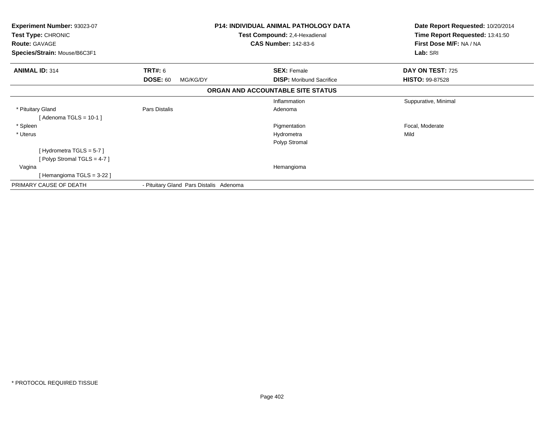| Experiment Number: 93023-07<br>Test Type: CHRONIC<br><b>Route: GAVAGE</b><br>Species/Strain: Mouse/B6C3F1 |                                         | <b>P14: INDIVIDUAL ANIMAL PATHOLOGY DATA</b><br>Test Compound: 2,4-Hexadienal<br><b>CAS Number: 142-83-6</b> | Date Report Requested: 10/20/2014<br>Time Report Requested: 13:41:50<br>First Dose M/F: NA / NA<br>Lab: SRI |
|-----------------------------------------------------------------------------------------------------------|-----------------------------------------|--------------------------------------------------------------------------------------------------------------|-------------------------------------------------------------------------------------------------------------|
| <b>ANIMAL ID: 314</b>                                                                                     | TRT#: 6                                 | <b>SEX: Female</b>                                                                                           | DAY ON TEST: 725                                                                                            |
|                                                                                                           | <b>DOSE: 60</b><br>MG/KG/DY             | <b>DISP:</b> Moribund Sacrifice                                                                              | <b>HISTO: 99-87528</b>                                                                                      |
|                                                                                                           |                                         | ORGAN AND ACCOUNTABLE SITE STATUS                                                                            |                                                                                                             |
|                                                                                                           |                                         | Inflammation                                                                                                 | Suppurative, Minimal                                                                                        |
| * Pituitary Gland                                                                                         | Pars Distalis                           | Adenoma                                                                                                      |                                                                                                             |
| [ Adenoma TGLS = 10-1 ]                                                                                   |                                         |                                                                                                              |                                                                                                             |
| * Spleen                                                                                                  |                                         | Pigmentation                                                                                                 | Focal, Moderate                                                                                             |
| * Uterus                                                                                                  |                                         | Hydrometra                                                                                                   | Mild                                                                                                        |
|                                                                                                           |                                         | Polyp Stromal                                                                                                |                                                                                                             |
| [Hydrometra TGLS = 5-7]                                                                                   |                                         |                                                                                                              |                                                                                                             |
| Polyp Stromal TGLS = 4-7 ]                                                                                |                                         |                                                                                                              |                                                                                                             |
| Vagina                                                                                                    |                                         | Hemangioma                                                                                                   |                                                                                                             |
| [Hemangioma TGLS = 3-22 ]                                                                                 |                                         |                                                                                                              |                                                                                                             |
| PRIMARY CAUSE OF DEATH                                                                                    | - Pituitary Gland Pars Distalis Adenoma |                                                                                                              |                                                                                                             |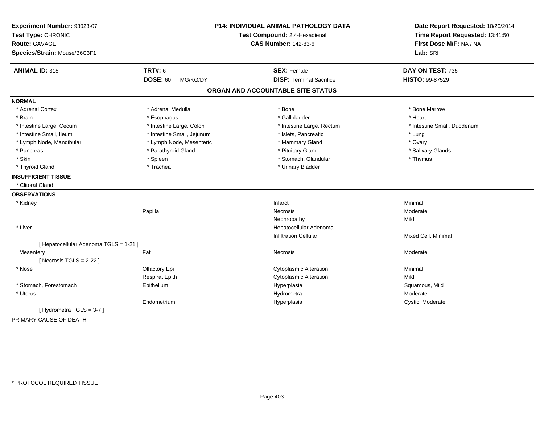| Experiment Number: 93023-07<br>Test Type: CHRONIC<br><b>Route: GAVAGE</b><br>Species/Strain: Mouse/B6C3F1 | P14: INDIVIDUAL ANIMAL PATHOLOGY DATA<br>Test Compound: 2,4-Hexadienal<br><b>CAS Number: 142-83-6</b> |                                   | Date Report Requested: 10/20/2014<br>Time Report Requested: 13:41:50<br>First Dose M/F: NA / NA<br>Lab: SRI |  |
|-----------------------------------------------------------------------------------------------------------|-------------------------------------------------------------------------------------------------------|-----------------------------------|-------------------------------------------------------------------------------------------------------------|--|
| <b>ANIMAL ID: 315</b>                                                                                     | <b>TRT#: 6</b>                                                                                        | <b>SEX: Female</b>                | DAY ON TEST: 735                                                                                            |  |
|                                                                                                           | <b>DOSE: 60</b><br>MG/KG/DY                                                                           | <b>DISP: Terminal Sacrifice</b>   | HISTO: 99-87529                                                                                             |  |
|                                                                                                           |                                                                                                       | ORGAN AND ACCOUNTABLE SITE STATUS |                                                                                                             |  |
| <b>NORMAL</b>                                                                                             |                                                                                                       |                                   |                                                                                                             |  |
| * Adrenal Cortex                                                                                          | * Adrenal Medulla                                                                                     | * Bone                            | * Bone Marrow                                                                                               |  |
| * Brain                                                                                                   | * Esophagus                                                                                           | * Gallbladder                     | * Heart                                                                                                     |  |
| * Intestine Large, Cecum                                                                                  | * Intestine Large, Colon                                                                              | * Intestine Large, Rectum         | * Intestine Small, Duodenum                                                                                 |  |
| * Intestine Small, Ileum                                                                                  | * Intestine Small, Jejunum                                                                            | * Islets, Pancreatic              | * Lung                                                                                                      |  |
| * Lymph Node, Mandibular                                                                                  | * Lymph Node, Mesenteric                                                                              | * Mammary Gland                   | * Ovary                                                                                                     |  |
| * Pancreas                                                                                                | * Parathyroid Gland                                                                                   | * Pituitary Gland                 | * Salivary Glands                                                                                           |  |
| * Skin                                                                                                    | * Spleen                                                                                              | * Stomach, Glandular              | * Thymus                                                                                                    |  |
| * Thyroid Gland                                                                                           | * Trachea                                                                                             | * Urinary Bladder                 |                                                                                                             |  |
| <b>INSUFFICIENT TISSUE</b>                                                                                |                                                                                                       |                                   |                                                                                                             |  |
| * Clitoral Gland                                                                                          |                                                                                                       |                                   |                                                                                                             |  |
| <b>OBSERVATIONS</b>                                                                                       |                                                                                                       |                                   |                                                                                                             |  |
| * Kidney                                                                                                  |                                                                                                       | Infarct                           | Minimal                                                                                                     |  |
|                                                                                                           | Papilla                                                                                               | Necrosis                          | Moderate                                                                                                    |  |
|                                                                                                           |                                                                                                       | Nephropathy                       | Mild                                                                                                        |  |
| * Liver                                                                                                   |                                                                                                       | Hepatocellular Adenoma            |                                                                                                             |  |
|                                                                                                           |                                                                                                       | <b>Infiltration Cellular</b>      | Mixed Cell, Minimal                                                                                         |  |
| [ Hepatocellular Adenoma TGLS = 1-21 ]                                                                    |                                                                                                       |                                   |                                                                                                             |  |
| Mesentery                                                                                                 | Fat                                                                                                   | Necrosis                          | Moderate                                                                                                    |  |
| [Necrosis $TGLS = 2-22$ ]                                                                                 |                                                                                                       |                                   |                                                                                                             |  |
| * Nose                                                                                                    | Olfactory Epi                                                                                         | <b>Cytoplasmic Alteration</b>     | Minimal                                                                                                     |  |
|                                                                                                           | <b>Respirat Epith</b>                                                                                 | <b>Cytoplasmic Alteration</b>     | Mild                                                                                                        |  |
| * Stomach, Forestomach                                                                                    | Epithelium                                                                                            | Hyperplasia                       | Squamous, Mild                                                                                              |  |
| * Uterus                                                                                                  |                                                                                                       | Hydrometra                        | Moderate                                                                                                    |  |
|                                                                                                           | Endometrium                                                                                           | Hyperplasia                       | Cystic, Moderate                                                                                            |  |
| [Hydrometra TGLS = 3-7]                                                                                   |                                                                                                       |                                   |                                                                                                             |  |
| PRIMARY CAUSE OF DEATH                                                                                    | $\blacksquare$                                                                                        |                                   |                                                                                                             |  |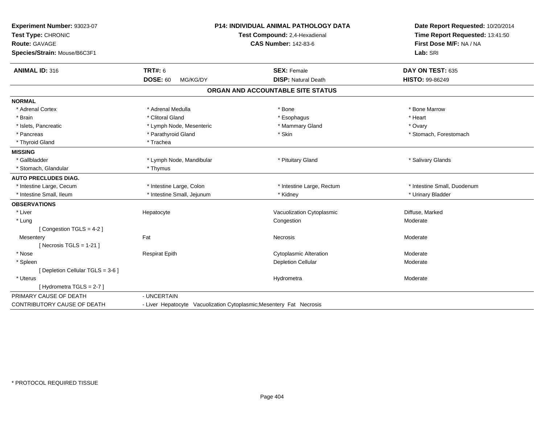| Experiment Number: 93023-07<br>Test Type: CHRONIC<br><b>Route: GAVAGE</b><br>Species/Strain: Mouse/B6C3F1 | <b>P14: INDIVIDUAL ANIMAL PATHOLOGY DATA</b><br>Test Compound: 2,4-Hexadienal<br><b>CAS Number: 142-83-6</b> |                                                                      | Date Report Requested: 10/20/2014<br>Time Report Requested: 13:41:50<br>First Dose M/F: NA / NA<br>Lab: SRI |  |
|-----------------------------------------------------------------------------------------------------------|--------------------------------------------------------------------------------------------------------------|----------------------------------------------------------------------|-------------------------------------------------------------------------------------------------------------|--|
| <b>ANIMAL ID: 316</b>                                                                                     | <b>TRT#: 6</b>                                                                                               | <b>SEX: Female</b>                                                   | DAY ON TEST: 635                                                                                            |  |
|                                                                                                           | <b>DOSE: 60</b><br>MG/KG/DY                                                                                  | <b>DISP: Natural Death</b>                                           | HISTO: 99-86249                                                                                             |  |
|                                                                                                           |                                                                                                              | ORGAN AND ACCOUNTABLE SITE STATUS                                    |                                                                                                             |  |
| <b>NORMAL</b>                                                                                             |                                                                                                              |                                                                      |                                                                                                             |  |
| * Adrenal Cortex                                                                                          | * Adrenal Medulla                                                                                            | * Bone                                                               | * Bone Marrow                                                                                               |  |
| * Brain                                                                                                   | * Clitoral Gland                                                                                             | * Esophagus                                                          | * Heart                                                                                                     |  |
| * Islets, Pancreatic                                                                                      | * Lymph Node, Mesenteric                                                                                     | * Mammary Gland                                                      | * Ovary                                                                                                     |  |
| * Pancreas                                                                                                | * Parathyroid Gland                                                                                          | * Skin                                                               | * Stomach, Forestomach                                                                                      |  |
| * Thyroid Gland                                                                                           | * Trachea                                                                                                    |                                                                      |                                                                                                             |  |
| <b>MISSING</b>                                                                                            |                                                                                                              |                                                                      |                                                                                                             |  |
| * Gallbladder                                                                                             | * Lymph Node, Mandibular                                                                                     | * Pituitary Gland                                                    | * Salivary Glands                                                                                           |  |
| * Stomach, Glandular                                                                                      | * Thymus                                                                                                     |                                                                      |                                                                                                             |  |
| <b>AUTO PRECLUDES DIAG.</b>                                                                               |                                                                                                              |                                                                      |                                                                                                             |  |
| * Intestine Large, Cecum                                                                                  | * Intestine Large, Colon                                                                                     | * Intestine Large, Rectum                                            | * Intestine Small, Duodenum                                                                                 |  |
| * Intestine Small, Ileum                                                                                  | * Intestine Small, Jejunum                                                                                   | * Kidney                                                             | * Urinary Bladder                                                                                           |  |
| <b>OBSERVATIONS</b>                                                                                       |                                                                                                              |                                                                      |                                                                                                             |  |
| * Liver                                                                                                   | Hepatocyte                                                                                                   | Vacuolization Cytoplasmic                                            | Diffuse, Marked                                                                                             |  |
| * Lung                                                                                                    |                                                                                                              | Congestion                                                           | Moderate                                                                                                    |  |
| [Congestion TGLS = $4-2$ ]                                                                                |                                                                                                              |                                                                      |                                                                                                             |  |
| Mesentery                                                                                                 | Fat                                                                                                          | Necrosis                                                             | Moderate                                                                                                    |  |
| [Necrosis TGLS = 1-21]                                                                                    |                                                                                                              |                                                                      |                                                                                                             |  |
| * Nose                                                                                                    | <b>Respirat Epith</b>                                                                                        | <b>Cytoplasmic Alteration</b>                                        | Moderate                                                                                                    |  |
| * Spleen                                                                                                  |                                                                                                              | Depletion Cellular                                                   | Moderate                                                                                                    |  |
| [ Depletion Cellular TGLS = 3-6 ]                                                                         |                                                                                                              |                                                                      |                                                                                                             |  |
| * Uterus                                                                                                  |                                                                                                              | Hydrometra                                                           | Moderate                                                                                                    |  |
| [Hydrometra TGLS = 2-7]                                                                                   |                                                                                                              |                                                                      |                                                                                                             |  |
| PRIMARY CAUSE OF DEATH                                                                                    | - UNCERTAIN                                                                                                  |                                                                      |                                                                                                             |  |
| CONTRIBUTORY CAUSE OF DEATH                                                                               |                                                                                                              | - Liver Hepatocyte Vacuolization Cytoplasmic; Mesentery Fat Necrosis |                                                                                                             |  |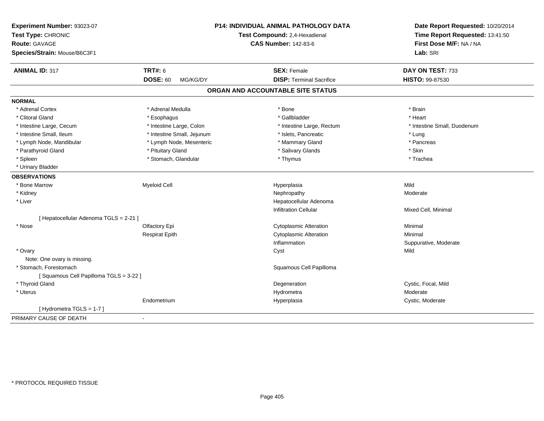| Experiment Number: 93023-07<br>Test Type: CHRONIC<br>Route: GAVAGE<br>Species/Strain: Mouse/B6C3F1 |                             | P14: INDIVIDUAL ANIMAL PATHOLOGY DATA<br>Test Compound: 2,4-Hexadienal<br><b>CAS Number: 142-83-6</b> | Date Report Requested: 10/20/2014<br>Time Report Requested: 13:41:50<br>First Dose M/F: NA / NA<br>Lab: SRI |
|----------------------------------------------------------------------------------------------------|-----------------------------|-------------------------------------------------------------------------------------------------------|-------------------------------------------------------------------------------------------------------------|
| <b>ANIMAL ID: 317</b>                                                                              | TRT#: 6                     | <b>SEX: Female</b>                                                                                    | DAY ON TEST: 733                                                                                            |
|                                                                                                    | <b>DOSE: 60</b><br>MG/KG/DY | <b>DISP: Terminal Sacrifice</b>                                                                       | <b>HISTO: 99-87530</b>                                                                                      |
|                                                                                                    |                             | ORGAN AND ACCOUNTABLE SITE STATUS                                                                     |                                                                                                             |
| <b>NORMAL</b>                                                                                      |                             |                                                                                                       |                                                                                                             |
| * Adrenal Cortex                                                                                   | * Adrenal Medulla           | * Bone                                                                                                | * Brain                                                                                                     |
| * Clitoral Gland                                                                                   | * Esophagus                 | * Gallbladder                                                                                         | * Heart                                                                                                     |
| * Intestine Large, Cecum                                                                           | * Intestine Large, Colon    | * Intestine Large, Rectum                                                                             | * Intestine Small, Duodenum                                                                                 |
| * Intestine Small, Ileum                                                                           | * Intestine Small, Jejunum  | * Islets, Pancreatic                                                                                  | * Lung                                                                                                      |
| * Lymph Node, Mandibular                                                                           | * Lymph Node, Mesenteric    | * Mammary Gland                                                                                       | * Pancreas                                                                                                  |
| * Parathyroid Gland                                                                                | * Pituitary Gland           | * Salivary Glands                                                                                     | * Skin                                                                                                      |
| * Spleen                                                                                           | * Stomach, Glandular        | * Thymus                                                                                              | * Trachea                                                                                                   |
| * Urinary Bladder                                                                                  |                             |                                                                                                       |                                                                                                             |
| <b>OBSERVATIONS</b>                                                                                |                             |                                                                                                       |                                                                                                             |
| * Bone Marrow                                                                                      | <b>Myeloid Cell</b>         | Hyperplasia                                                                                           | Mild                                                                                                        |
| * Kidney                                                                                           |                             | Nephropathy                                                                                           | Moderate                                                                                                    |
| * Liver                                                                                            |                             | Hepatocellular Adenoma                                                                                |                                                                                                             |
|                                                                                                    |                             | <b>Infiltration Cellular</b>                                                                          | Mixed Cell, Minimal                                                                                         |
| [ Hepatocellular Adenoma TGLS = 2-21 ]                                                             |                             |                                                                                                       |                                                                                                             |
| * Nose                                                                                             | Olfactory Epi               | <b>Cytoplasmic Alteration</b>                                                                         | Minimal                                                                                                     |
|                                                                                                    | <b>Respirat Epith</b>       | <b>Cytoplasmic Alteration</b>                                                                         | Minimal                                                                                                     |
|                                                                                                    |                             | Inflammation                                                                                          | Suppurative, Moderate                                                                                       |
| * Ovary                                                                                            |                             | Cyst                                                                                                  | Mild                                                                                                        |
| Note: One ovary is missing.                                                                        |                             |                                                                                                       |                                                                                                             |
| * Stomach, Forestomach                                                                             |                             | Squamous Cell Papilloma                                                                               |                                                                                                             |
| [Squamous Cell Papilloma TGLS = 3-22 ]                                                             |                             |                                                                                                       |                                                                                                             |
| * Thyroid Gland                                                                                    |                             | Degeneration                                                                                          | Cystic, Focal, Mild                                                                                         |
| * Uterus                                                                                           |                             | Hydrometra                                                                                            | Moderate                                                                                                    |
|                                                                                                    | Endometrium                 | Hyperplasia                                                                                           | Cystic, Moderate                                                                                            |
| [Hydrometra TGLS = 1-7]                                                                            |                             |                                                                                                       |                                                                                                             |
| PRIMARY CAUSE OF DEATH                                                                             | $\blacksquare$              |                                                                                                       |                                                                                                             |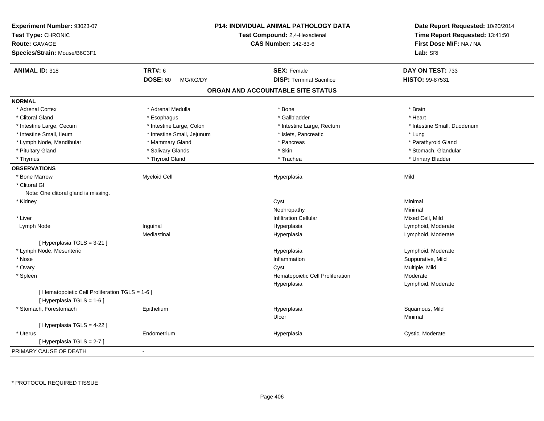| Experiment Number: 93023-07<br>Test Type: CHRONIC<br><b>Route: GAVAGE</b><br>Species/Strain: Mouse/B6C3F1 |                             | <b>P14: INDIVIDUAL ANIMAL PATHOLOGY DATA</b><br>Test Compound: 2,4-Hexadienal<br><b>CAS Number: 142-83-6</b> | Date Report Requested: 10/20/2014<br>Time Report Requested: 13:41:50<br>First Dose M/F: NA / NA<br>Lab: SRI |
|-----------------------------------------------------------------------------------------------------------|-----------------------------|--------------------------------------------------------------------------------------------------------------|-------------------------------------------------------------------------------------------------------------|
| <b>ANIMAL ID: 318</b>                                                                                     | <b>TRT#: 6</b>              | <b>SEX: Female</b>                                                                                           | DAY ON TEST: 733                                                                                            |
|                                                                                                           | <b>DOSE: 60</b><br>MG/KG/DY | <b>DISP: Terminal Sacrifice</b>                                                                              | HISTO: 99-87531                                                                                             |
|                                                                                                           |                             | ORGAN AND ACCOUNTABLE SITE STATUS                                                                            |                                                                                                             |
| <b>NORMAL</b>                                                                                             |                             |                                                                                                              |                                                                                                             |
| * Adrenal Cortex                                                                                          | * Adrenal Medulla           | * Bone                                                                                                       | * Brain                                                                                                     |
| * Clitoral Gland                                                                                          | * Esophagus                 | * Gallbladder                                                                                                | * Heart                                                                                                     |
| * Intestine Large, Cecum                                                                                  | * Intestine Large, Colon    | * Intestine Large, Rectum                                                                                    | * Intestine Small, Duodenum                                                                                 |
| * Intestine Small, Ileum                                                                                  | * Intestine Small, Jejunum  | * Islets, Pancreatic                                                                                         | * Lung                                                                                                      |
| * Lymph Node, Mandibular                                                                                  | * Mammary Gland             | * Pancreas                                                                                                   | * Parathyroid Gland                                                                                         |
| * Pituitary Gland                                                                                         | * Salivary Glands           | * Skin                                                                                                       | * Stomach, Glandular                                                                                        |
| * Thymus                                                                                                  | * Thyroid Gland             | * Trachea                                                                                                    | * Urinary Bladder                                                                                           |
| <b>OBSERVATIONS</b>                                                                                       |                             |                                                                                                              |                                                                                                             |
| * Bone Marrow                                                                                             | <b>Myeloid Cell</b>         | Hyperplasia                                                                                                  | Mild                                                                                                        |
| * Clitoral Gl                                                                                             |                             |                                                                                                              |                                                                                                             |
| Note: One clitoral gland is missing.                                                                      |                             |                                                                                                              |                                                                                                             |
| * Kidney                                                                                                  |                             | Cyst                                                                                                         | Minimal                                                                                                     |
|                                                                                                           |                             | Nephropathy                                                                                                  | Minimal                                                                                                     |
| * Liver                                                                                                   |                             | <b>Infiltration Cellular</b>                                                                                 | Mixed Cell, Mild                                                                                            |
| Lymph Node                                                                                                | Inguinal                    | Hyperplasia                                                                                                  | Lymphoid, Moderate                                                                                          |
|                                                                                                           | Mediastinal                 | Hyperplasia                                                                                                  | Lymphoid, Moderate                                                                                          |
| [ Hyperplasia TGLS = 3-21 ]                                                                               |                             |                                                                                                              |                                                                                                             |
| * Lymph Node, Mesenteric                                                                                  |                             | Hyperplasia                                                                                                  | Lymphoid, Moderate                                                                                          |
| * Nose                                                                                                    |                             | Inflammation                                                                                                 | Suppurative, Mild                                                                                           |
| * Ovary                                                                                                   |                             | Cyst                                                                                                         | Multiple, Mild                                                                                              |
| * Spleen                                                                                                  |                             | Hematopoietic Cell Proliferation                                                                             | Moderate                                                                                                    |
|                                                                                                           |                             | Hyperplasia                                                                                                  | Lymphoid, Moderate                                                                                          |
| [ Hematopoietic Cell Proliferation TGLS = 1-6 ]<br>[ Hyperplasia TGLS = 1-6 ]                             |                             |                                                                                                              |                                                                                                             |
| * Stomach, Forestomach                                                                                    | Epithelium                  | Hyperplasia                                                                                                  | Squamous, Mild                                                                                              |
|                                                                                                           |                             | Ulcer                                                                                                        | Minimal                                                                                                     |
| [ Hyperplasia TGLS = 4-22 ]                                                                               |                             |                                                                                                              |                                                                                                             |
| * Uterus                                                                                                  | Endometrium                 | Hyperplasia                                                                                                  | Cystic, Moderate                                                                                            |
| [Hyperplasia TGLS = 2-7]                                                                                  |                             |                                                                                                              |                                                                                                             |
| PRIMARY CAUSE OF DEATH                                                                                    |                             |                                                                                                              |                                                                                                             |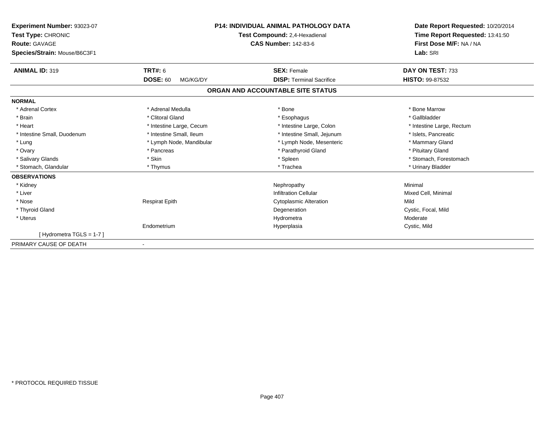| Experiment Number: 93023-07<br>Test Type: CHRONIC<br><b>Route: GAVAGE</b><br>Species/Strain: Mouse/B6C3F1 |                             | <b>P14: INDIVIDUAL ANIMAL PATHOLOGY DATA</b><br>Test Compound: 2,4-Hexadienal<br><b>CAS Number: 142-83-6</b> | Date Report Requested: 10/20/2014<br>Time Report Requested: 13:41:50<br>First Dose M/F: NA / NA<br>Lab: SRI |
|-----------------------------------------------------------------------------------------------------------|-----------------------------|--------------------------------------------------------------------------------------------------------------|-------------------------------------------------------------------------------------------------------------|
| <b>ANIMAL ID: 319</b>                                                                                     | <b>TRT#: 6</b>              | <b>SEX: Female</b>                                                                                           | DAY ON TEST: 733                                                                                            |
|                                                                                                           | <b>DOSE: 60</b><br>MG/KG/DY | <b>DISP: Terminal Sacrifice</b>                                                                              | <b>HISTO: 99-87532</b>                                                                                      |
|                                                                                                           |                             | ORGAN AND ACCOUNTABLE SITE STATUS                                                                            |                                                                                                             |
| <b>NORMAL</b>                                                                                             |                             |                                                                                                              |                                                                                                             |
| * Adrenal Cortex                                                                                          | * Adrenal Medulla           | * Bone                                                                                                       | * Bone Marrow                                                                                               |
| * Brain                                                                                                   | * Clitoral Gland            | * Esophagus                                                                                                  | * Gallbladder                                                                                               |
| * Heart                                                                                                   | * Intestine Large, Cecum    | * Intestine Large, Colon                                                                                     | * Intestine Large, Rectum                                                                                   |
| * Intestine Small, Duodenum                                                                               | * Intestine Small, Ileum    | * Intestine Small, Jejunum                                                                                   | * Islets. Pancreatic                                                                                        |
| * Lung                                                                                                    | * Lymph Node, Mandibular    | * Lymph Node, Mesenteric                                                                                     | * Mammary Gland                                                                                             |
| * Ovary                                                                                                   | * Pancreas                  | * Parathyroid Gland                                                                                          | * Pituitary Gland                                                                                           |
| * Salivary Glands                                                                                         | * Skin                      | * Spleen                                                                                                     | * Stomach, Forestomach                                                                                      |
| * Stomach, Glandular                                                                                      | * Thymus                    | * Trachea                                                                                                    | * Urinary Bladder                                                                                           |
| <b>OBSERVATIONS</b>                                                                                       |                             |                                                                                                              |                                                                                                             |
| * Kidney                                                                                                  |                             | Nephropathy                                                                                                  | Minimal                                                                                                     |
| * Liver                                                                                                   |                             | <b>Infiltration Cellular</b>                                                                                 | Mixed Cell, Minimal                                                                                         |
| * Nose                                                                                                    | <b>Respirat Epith</b>       | <b>Cytoplasmic Alteration</b>                                                                                | Mild                                                                                                        |
| * Thyroid Gland                                                                                           |                             | Degeneration                                                                                                 | Cystic, Focal, Mild                                                                                         |
| * Uterus                                                                                                  |                             | Hydrometra                                                                                                   | Moderate                                                                                                    |
|                                                                                                           | Endometrium                 | Hyperplasia                                                                                                  | Cystic, Mild                                                                                                |
| [Hydrometra TGLS = $1-7$ ]                                                                                |                             |                                                                                                              |                                                                                                             |
| PRIMARY CAUSE OF DEATH                                                                                    |                             |                                                                                                              |                                                                                                             |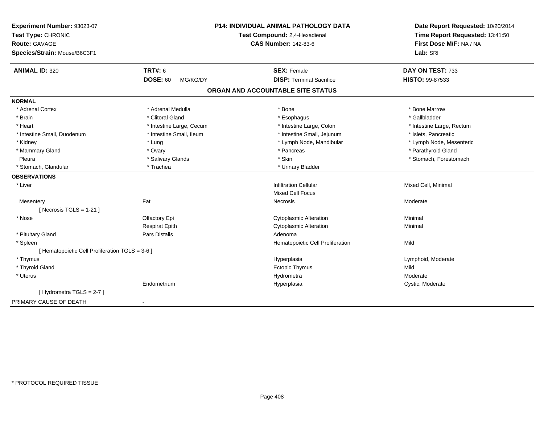| Experiment Number: 93023-07<br>Test Type: CHRONIC<br><b>Route: GAVAGE</b><br>Species/Strain: Mouse/B6C3F1 | P14: INDIVIDUAL ANIMAL PATHOLOGY DATA<br>Test Compound: 2,4-Hexadienal<br><b>CAS Number: 142-83-6</b> |                                   | Date Report Requested: 10/20/2014<br>Time Report Requested: 13:41:50<br>First Dose M/F: NA / NA<br>Lab: SRI |
|-----------------------------------------------------------------------------------------------------------|-------------------------------------------------------------------------------------------------------|-----------------------------------|-------------------------------------------------------------------------------------------------------------|
| <b>ANIMAL ID: 320</b>                                                                                     | <b>TRT#: 6</b>                                                                                        | <b>SEX: Female</b>                | DAY ON TEST: 733                                                                                            |
|                                                                                                           | <b>DOSE: 60</b><br>MG/KG/DY                                                                           | <b>DISP: Terminal Sacrifice</b>   | HISTO: 99-87533                                                                                             |
|                                                                                                           |                                                                                                       | ORGAN AND ACCOUNTABLE SITE STATUS |                                                                                                             |
| <b>NORMAL</b>                                                                                             |                                                                                                       |                                   |                                                                                                             |
| * Adrenal Cortex                                                                                          | * Adrenal Medulla                                                                                     | * Bone                            | * Bone Marrow                                                                                               |
| * Brain                                                                                                   | * Clitoral Gland                                                                                      | * Esophagus                       | * Gallbladder                                                                                               |
| * Heart                                                                                                   | * Intestine Large, Cecum                                                                              | * Intestine Large, Colon          | * Intestine Large, Rectum                                                                                   |
| * Intestine Small, Duodenum                                                                               | * Intestine Small, Ileum                                                                              | * Intestine Small, Jejunum        | * Islets, Pancreatic                                                                                        |
| * Kidney                                                                                                  | * Lung                                                                                                | * Lymph Node, Mandibular          | * Lymph Node, Mesenteric                                                                                    |
| * Mammary Gland                                                                                           | * Ovary                                                                                               | * Pancreas                        | * Parathyroid Gland                                                                                         |
| Pleura                                                                                                    | * Salivary Glands                                                                                     | * Skin                            | * Stomach, Forestomach                                                                                      |
| * Stomach, Glandular                                                                                      | * Trachea                                                                                             | * Urinary Bladder                 |                                                                                                             |
| <b>OBSERVATIONS</b>                                                                                       |                                                                                                       |                                   |                                                                                                             |
| * Liver                                                                                                   |                                                                                                       | <b>Infiltration Cellular</b>      | Mixed Cell, Minimal                                                                                         |
|                                                                                                           |                                                                                                       | <b>Mixed Cell Focus</b>           |                                                                                                             |
| Mesentery                                                                                                 | Fat                                                                                                   | <b>Necrosis</b>                   | Moderate                                                                                                    |
| [Necrosis TGLS = $1-21$ ]                                                                                 |                                                                                                       |                                   |                                                                                                             |
| * Nose                                                                                                    | Olfactory Epi                                                                                         | <b>Cytoplasmic Alteration</b>     | Minimal                                                                                                     |
|                                                                                                           | <b>Respirat Epith</b>                                                                                 | <b>Cytoplasmic Alteration</b>     | Minimal                                                                                                     |
| * Pituitary Gland                                                                                         | <b>Pars Distalis</b>                                                                                  | Adenoma                           |                                                                                                             |
| * Spleen                                                                                                  |                                                                                                       | Hematopoietic Cell Proliferation  | Mild                                                                                                        |
| [ Hematopoietic Cell Proliferation TGLS = 3-6 ]                                                           |                                                                                                       |                                   |                                                                                                             |
| * Thymus                                                                                                  |                                                                                                       | Hyperplasia                       | Lymphoid, Moderate                                                                                          |
| * Thyroid Gland                                                                                           |                                                                                                       | <b>Ectopic Thymus</b>             | Mild                                                                                                        |
| * Uterus                                                                                                  |                                                                                                       | Hydrometra                        | Moderate                                                                                                    |
|                                                                                                           | Endometrium                                                                                           | Hyperplasia                       | Cystic, Moderate                                                                                            |
| [Hydrometra TGLS = 2-7]                                                                                   |                                                                                                       |                                   |                                                                                                             |
| PRIMARY CAUSE OF DEATH                                                                                    | $\blacksquare$                                                                                        |                                   |                                                                                                             |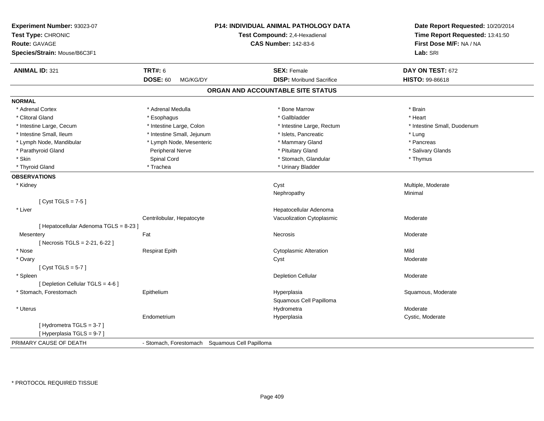| Experiment Number: 93023-07<br>Test Type: CHRONIC<br><b>Route: GAVAGE</b><br>Species/Strain: Mouse/B6C3F1 |                                                | <b>P14: INDIVIDUAL ANIMAL PATHOLOGY DATA</b><br>Test Compound: 2,4-Hexadienal<br><b>CAS Number: 142-83-6</b> | Date Report Requested: 10/20/2014<br>Time Report Requested: 13:41:50<br>First Dose M/F: NA / NA<br>Lab: SRI |
|-----------------------------------------------------------------------------------------------------------|------------------------------------------------|--------------------------------------------------------------------------------------------------------------|-------------------------------------------------------------------------------------------------------------|
| <b>ANIMAL ID: 321</b>                                                                                     | <b>TRT#: 6</b>                                 | <b>SEX: Female</b>                                                                                           | DAY ON TEST: 672                                                                                            |
|                                                                                                           | <b>DOSE: 60</b><br>MG/KG/DY                    | <b>DISP:</b> Moribund Sacrifice                                                                              | HISTO: 99-86618                                                                                             |
|                                                                                                           |                                                | ORGAN AND ACCOUNTABLE SITE STATUS                                                                            |                                                                                                             |
| <b>NORMAL</b>                                                                                             |                                                |                                                                                                              |                                                                                                             |
| * Adrenal Cortex                                                                                          | * Adrenal Medulla                              | * Bone Marrow                                                                                                | * Brain                                                                                                     |
| * Clitoral Gland                                                                                          | * Esophagus                                    | * Gallbladder                                                                                                | * Heart                                                                                                     |
| * Intestine Large, Cecum                                                                                  | * Intestine Large, Colon                       | * Intestine Large, Rectum                                                                                    | * Intestine Small, Duodenum                                                                                 |
| * Intestine Small, Ileum                                                                                  | * Intestine Small, Jejunum                     | * Islets, Pancreatic                                                                                         | * Lung                                                                                                      |
| * Lymph Node, Mandibular                                                                                  | * Lymph Node, Mesenteric                       | * Mammary Gland                                                                                              | * Pancreas                                                                                                  |
| * Parathyroid Gland                                                                                       | Peripheral Nerve                               | * Pituitary Gland                                                                                            | * Salivary Glands                                                                                           |
| * Skin                                                                                                    | Spinal Cord                                    | * Stomach, Glandular                                                                                         | * Thymus                                                                                                    |
| * Thyroid Gland                                                                                           | * Trachea                                      | * Urinary Bladder                                                                                            |                                                                                                             |
| <b>OBSERVATIONS</b>                                                                                       |                                                |                                                                                                              |                                                                                                             |
| * Kidney                                                                                                  |                                                | Cyst                                                                                                         | Multiple, Moderate                                                                                          |
|                                                                                                           |                                                | Nephropathy                                                                                                  | Minimal                                                                                                     |
| [Cyst TGLS = $7-5$ ]                                                                                      |                                                |                                                                                                              |                                                                                                             |
| * Liver                                                                                                   |                                                | Hepatocellular Adenoma                                                                                       |                                                                                                             |
|                                                                                                           | Centrilobular, Hepatocyte                      | Vacuolization Cytoplasmic                                                                                    | Moderate                                                                                                    |
| [ Hepatocellular Adenoma TGLS = 8-23 ]                                                                    |                                                |                                                                                                              |                                                                                                             |
| Mesentery                                                                                                 | Fat                                            | Necrosis                                                                                                     | Moderate                                                                                                    |
| [Necrosis TGLS = 2-21, 6-22]                                                                              |                                                |                                                                                                              |                                                                                                             |
| * Nose                                                                                                    | <b>Respirat Epith</b>                          | <b>Cytoplasmic Alteration</b>                                                                                | Mild                                                                                                        |
| * Ovary                                                                                                   |                                                | Cyst                                                                                                         | Moderate                                                                                                    |
| [Cyst TGLS = $5-7$ ]                                                                                      |                                                |                                                                                                              |                                                                                                             |
| * Spleen                                                                                                  |                                                | <b>Depletion Cellular</b>                                                                                    | Moderate                                                                                                    |
| [ Depletion Cellular TGLS = 4-6 ]                                                                         |                                                |                                                                                                              |                                                                                                             |
| * Stomach, Forestomach                                                                                    | Epithelium                                     | Hyperplasia                                                                                                  | Squamous, Moderate                                                                                          |
|                                                                                                           |                                                | Squamous Cell Papilloma                                                                                      |                                                                                                             |
| * Uterus                                                                                                  |                                                | Hydrometra                                                                                                   | Moderate                                                                                                    |
|                                                                                                           | Endometrium                                    | Hyperplasia                                                                                                  | Cystic, Moderate                                                                                            |
| [Hydrometra TGLS = 3-7]                                                                                   |                                                |                                                                                                              |                                                                                                             |
| [Hyperplasia TGLS = 9-7]                                                                                  |                                                |                                                                                                              |                                                                                                             |
| PRIMARY CAUSE OF DEATH                                                                                    | - Stomach, Forestomach Squamous Cell Papilloma |                                                                                                              |                                                                                                             |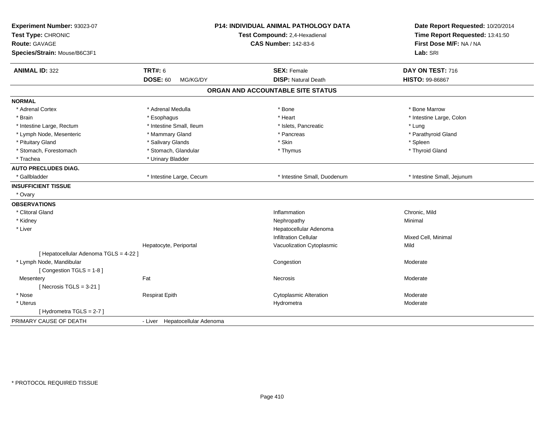| Experiment Number: 93023-07<br>Test Type: CHRONIC<br><b>Route: GAVAGE</b><br>Species/Strain: Mouse/B6C3F1 |                                               | <b>P14: INDIVIDUAL ANIMAL PATHOLOGY DATA</b><br>Test Compound: 2,4-Hexadienal<br><b>CAS Number: 142-83-6</b> |                               | Date Report Requested: 10/20/2014<br>Time Report Requested: 13:41:50<br>First Dose M/F: NA / NA<br>Lab: SRI |
|-----------------------------------------------------------------------------------------------------------|-----------------------------------------------|--------------------------------------------------------------------------------------------------------------|-------------------------------|-------------------------------------------------------------------------------------------------------------|
| <b>ANIMAL ID: 322</b>                                                                                     | <b>TRT#: 6</b><br><b>DOSE: 60</b><br>MG/KG/DY | <b>SEX: Female</b>                                                                                           | <b>DISP: Natural Death</b>    | DAY ON TEST: 716<br>HISTO: 99-86867                                                                         |
|                                                                                                           |                                               | ORGAN AND ACCOUNTABLE SITE STATUS                                                                            |                               |                                                                                                             |
|                                                                                                           |                                               |                                                                                                              |                               |                                                                                                             |
| <b>NORMAL</b>                                                                                             |                                               |                                                                                                              |                               |                                                                                                             |
| * Adrenal Cortex                                                                                          | * Adrenal Medulla                             | * Bone                                                                                                       |                               | * Bone Marrow                                                                                               |
| * Brain                                                                                                   | * Esophagus                                   | * Heart                                                                                                      |                               | * Intestine Large, Colon                                                                                    |
| * Intestine Large, Rectum                                                                                 | * Intestine Small, Ileum                      |                                                                                                              | * Islets, Pancreatic          | * Lung                                                                                                      |
| * Lymph Node, Mesenteric                                                                                  | * Mammary Gland                               | * Pancreas                                                                                                   |                               | * Parathyroid Gland                                                                                         |
| * Pituitary Gland                                                                                         | * Salivary Glands                             | * Skin                                                                                                       |                               | * Spleen                                                                                                    |
| * Stomach, Forestomach                                                                                    | * Stomach, Glandular                          | * Thymus                                                                                                     |                               | * Thyroid Gland                                                                                             |
| * Trachea                                                                                                 | * Urinary Bladder                             |                                                                                                              |                               |                                                                                                             |
| <b>AUTO PRECLUDES DIAG.</b>                                                                               |                                               |                                                                                                              |                               |                                                                                                             |
| * Gallbladder                                                                                             | * Intestine Large, Cecum                      |                                                                                                              | * Intestine Small, Duodenum   | * Intestine Small, Jejunum                                                                                  |
| <b>INSUFFICIENT TISSUE</b>                                                                                |                                               |                                                                                                              |                               |                                                                                                             |
| * Ovary                                                                                                   |                                               |                                                                                                              |                               |                                                                                                             |
| <b>OBSERVATIONS</b>                                                                                       |                                               |                                                                                                              |                               |                                                                                                             |
| * Clitoral Gland                                                                                          |                                               | Inflammation                                                                                                 |                               | Chronic, Mild                                                                                               |
| * Kidney                                                                                                  |                                               | Nephropathy                                                                                                  |                               | Minimal                                                                                                     |
| * Liver                                                                                                   |                                               |                                                                                                              | Hepatocellular Adenoma        |                                                                                                             |
|                                                                                                           |                                               |                                                                                                              | <b>Infiltration Cellular</b>  | Mixed Cell, Minimal                                                                                         |
|                                                                                                           | Hepatocyte, Periportal                        |                                                                                                              | Vacuolization Cytoplasmic     | Mild                                                                                                        |
| [ Hepatocellular Adenoma TGLS = 4-22 ]                                                                    |                                               |                                                                                                              |                               |                                                                                                             |
| * Lymph Node, Mandibular                                                                                  |                                               | Congestion                                                                                                   |                               | Moderate                                                                                                    |
| [Congestion TGLS = 1-8]                                                                                   |                                               |                                                                                                              |                               |                                                                                                             |
| Mesentery                                                                                                 | Fat                                           | <b>Necrosis</b>                                                                                              |                               | Moderate                                                                                                    |
| [Necrosis $TGLS = 3-21$ ]                                                                                 |                                               |                                                                                                              |                               |                                                                                                             |
| * Nose                                                                                                    | <b>Respirat Epith</b>                         |                                                                                                              | <b>Cytoplasmic Alteration</b> | Moderate                                                                                                    |
| * Uterus                                                                                                  |                                               | Hydrometra                                                                                                   |                               | Moderate                                                                                                    |
| [Hydrometra TGLS = 2-7]                                                                                   |                                               |                                                                                                              |                               |                                                                                                             |
| PRIMARY CAUSE OF DEATH                                                                                    | - Liver Hepatocellular Adenoma                |                                                                                                              |                               |                                                                                                             |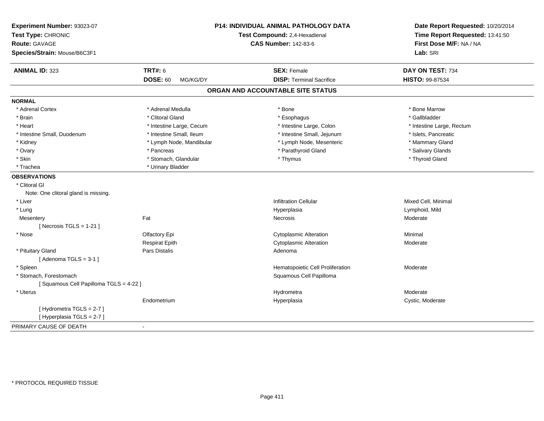| Experiment Number: 93023-07<br>Test Type: CHRONIC<br>Route: GAVAGE<br>Species/Strain: Mouse/B6C3F1 |                             | <b>P14: INDIVIDUAL ANIMAL PATHOLOGY DATA</b><br>Test Compound: 2,4-Hexadienal<br><b>CAS Number: 142-83-6</b> | Date Report Requested: 10/20/2014<br>Time Report Requested: 13:41:50<br>First Dose M/F: NA / NA<br>Lab: SRI |
|----------------------------------------------------------------------------------------------------|-----------------------------|--------------------------------------------------------------------------------------------------------------|-------------------------------------------------------------------------------------------------------------|
| <b>ANIMAL ID: 323</b>                                                                              | <b>TRT#: 6</b>              | <b>SEX: Female</b>                                                                                           | DAY ON TEST: 734                                                                                            |
|                                                                                                    | <b>DOSE: 60</b><br>MG/KG/DY | <b>DISP: Terminal Sacrifice</b>                                                                              | HISTO: 99-87534                                                                                             |
|                                                                                                    |                             | ORGAN AND ACCOUNTABLE SITE STATUS                                                                            |                                                                                                             |
| <b>NORMAL</b>                                                                                      |                             |                                                                                                              |                                                                                                             |
| * Adrenal Cortex                                                                                   | * Adrenal Medulla           | * Bone                                                                                                       | * Bone Marrow                                                                                               |
| * Brain                                                                                            | * Clitoral Gland            | * Esophagus                                                                                                  | * Gallbladder                                                                                               |
| * Heart                                                                                            | * Intestine Large, Cecum    | * Intestine Large, Colon                                                                                     | * Intestine Large, Rectum                                                                                   |
| * Intestine Small, Duodenum                                                                        | * Intestine Small, Ileum    | * Intestine Small, Jejunum                                                                                   | * Islets, Pancreatic                                                                                        |
| * Kidney                                                                                           | * Lymph Node, Mandibular    | * Lymph Node, Mesenteric                                                                                     | * Mammary Gland                                                                                             |
| * Ovary                                                                                            | * Pancreas                  | * Parathyroid Gland                                                                                          | * Salivary Glands                                                                                           |
| * Skin                                                                                             | * Stomach, Glandular        | * Thymus                                                                                                     | * Thyroid Gland                                                                                             |
| * Trachea                                                                                          | * Urinary Bladder           |                                                                                                              |                                                                                                             |
| <b>OBSERVATIONS</b>                                                                                |                             |                                                                                                              |                                                                                                             |
| * Clitoral Gl                                                                                      |                             |                                                                                                              |                                                                                                             |
| Note: One clitoral gland is missing.                                                               |                             |                                                                                                              |                                                                                                             |
| * Liver                                                                                            |                             | <b>Infiltration Cellular</b>                                                                                 | Mixed Cell, Minimal                                                                                         |
| * Lung                                                                                             |                             | Hyperplasia                                                                                                  | Lymphoid, Mild                                                                                              |
| Mesentery                                                                                          | Fat                         | <b>Necrosis</b>                                                                                              | Moderate                                                                                                    |
| [ Necrosis TGLS = $1-21$ ]                                                                         |                             |                                                                                                              |                                                                                                             |
| * Nose                                                                                             | Olfactory Epi               | <b>Cytoplasmic Alteration</b>                                                                                | Minimal                                                                                                     |
|                                                                                                    | <b>Respirat Epith</b>       | <b>Cytoplasmic Alteration</b>                                                                                | Moderate                                                                                                    |
| * Pituitary Gland                                                                                  | Pars Distalis               | Adenoma                                                                                                      |                                                                                                             |
| [Adenoma TGLS = $3-1$ ]                                                                            |                             |                                                                                                              |                                                                                                             |
| * Spleen                                                                                           |                             | Hematopoietic Cell Proliferation                                                                             | Moderate                                                                                                    |
| * Stomach, Forestomach                                                                             |                             | Squamous Cell Papilloma                                                                                      |                                                                                                             |
| [Squamous Cell Papilloma TGLS = 4-22]                                                              |                             |                                                                                                              |                                                                                                             |
| * Uterus                                                                                           |                             | Hydrometra                                                                                                   | Moderate                                                                                                    |
|                                                                                                    | Endometrium                 | Hyperplasia                                                                                                  | Cystic, Moderate                                                                                            |
| [Hydrometra TGLS = 2-7]                                                                            |                             |                                                                                                              |                                                                                                             |
| [Hyperplasia TGLS = 2-7]                                                                           |                             |                                                                                                              |                                                                                                             |
| PRIMARY CAUSE OF DEATH                                                                             | $\blacksquare$              |                                                                                                              |                                                                                                             |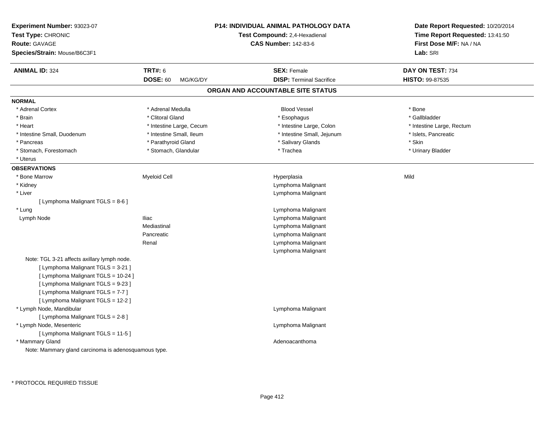| Experiment Number: 93023-07<br>Test Type: CHRONIC<br><b>Route: GAVAGE</b><br>Species/Strain: Mouse/B6C3F1                |                                                 | <b>P14: INDIVIDUAL ANIMAL PATHOLOGY DATA</b><br>Test Compound: 2,4-Hexadienal<br><b>CAS Number: 142-83-6</b> | Date Report Requested: 10/20/2014<br>Time Report Requested: 13:41:50<br>First Dose M/F: NA / NA<br>Lab: SRI |
|--------------------------------------------------------------------------------------------------------------------------|-------------------------------------------------|--------------------------------------------------------------------------------------------------------------|-------------------------------------------------------------------------------------------------------------|
| <b>ANIMAL ID: 324</b>                                                                                                    | <b>TRT#: 6</b>                                  | <b>SEX: Female</b>                                                                                           | DAY ON TEST: 734                                                                                            |
|                                                                                                                          | <b>DOSE: 60</b><br>MG/KG/DY                     | <b>DISP: Terminal Sacrifice</b>                                                                              | HISTO: 99-87535                                                                                             |
|                                                                                                                          |                                                 | ORGAN AND ACCOUNTABLE SITE STATUS                                                                            |                                                                                                             |
| <b>NORMAL</b>                                                                                                            |                                                 |                                                                                                              |                                                                                                             |
| * Adrenal Cortex                                                                                                         | * Adrenal Medulla                               | <b>Blood Vessel</b>                                                                                          | * Bone                                                                                                      |
| * Brain                                                                                                                  | * Clitoral Gland                                | * Esophagus                                                                                                  | * Gallbladder                                                                                               |
| * Heart                                                                                                                  | * Intestine Large, Cecum                        | * Intestine Large, Colon                                                                                     | * Intestine Large, Rectum                                                                                   |
| * Intestine Small, Duodenum<br>* Pancreas                                                                                | * Intestine Small, Ileum<br>* Parathyroid Gland | * Intestine Small, Jejunum<br>* Salivary Glands                                                              | * Islets, Pancreatic<br>* Skin                                                                              |
| * Stomach, Forestomach                                                                                                   | * Stomach, Glandular                            | * Trachea                                                                                                    | * Urinary Bladder                                                                                           |
| * Uterus                                                                                                                 |                                                 |                                                                                                              |                                                                                                             |
| <b>OBSERVATIONS</b>                                                                                                      |                                                 |                                                                                                              |                                                                                                             |
| * Bone Marrow                                                                                                            | Myeloid Cell                                    | Hyperplasia                                                                                                  | Mild                                                                                                        |
| * Kidney                                                                                                                 |                                                 | Lymphoma Malignant                                                                                           |                                                                                                             |
| * Liver                                                                                                                  |                                                 | Lymphoma Malignant                                                                                           |                                                                                                             |
| [ Lymphoma Malignant TGLS = 8-6 ]                                                                                        |                                                 |                                                                                                              |                                                                                                             |
| * Lung                                                                                                                   |                                                 | Lymphoma Malignant                                                                                           |                                                                                                             |
| Lymph Node                                                                                                               | <b>Iliac</b>                                    | Lymphoma Malignant                                                                                           |                                                                                                             |
|                                                                                                                          | Mediastinal                                     | Lymphoma Malignant                                                                                           |                                                                                                             |
|                                                                                                                          | Pancreatic                                      | Lymphoma Malignant                                                                                           |                                                                                                             |
|                                                                                                                          | Renal                                           | Lymphoma Malignant                                                                                           |                                                                                                             |
|                                                                                                                          |                                                 | Lymphoma Malignant                                                                                           |                                                                                                             |
| Note: TGL 3-21 affects axillary lymph node.<br>[ Lymphoma Malignant TGLS = 3-21 ]<br>[ Lymphoma Malignant TGLS = 10-24 ] |                                                 |                                                                                                              |                                                                                                             |
| [ Lymphoma Malignant TGLS = 9-23 ]<br>[ Lymphoma Malignant TGLS = 7-7 ]<br>[ Lymphoma Malignant TGLS = 12-2 ]            |                                                 |                                                                                                              |                                                                                                             |
| * Lymph Node, Mandibular<br>[ Lymphoma Malignant TGLS = 2-8 ]                                                            |                                                 | Lymphoma Malignant                                                                                           |                                                                                                             |
| * Lymph Node, Mesenteric<br>[ Lymphoma Malignant TGLS = 11-5 ]                                                           |                                                 | Lymphoma Malignant                                                                                           |                                                                                                             |
| * Mammary Gland<br>Note: Mammary gland carcinoma is adenosquamous type.                                                  |                                                 | Adenoacanthoma                                                                                               |                                                                                                             |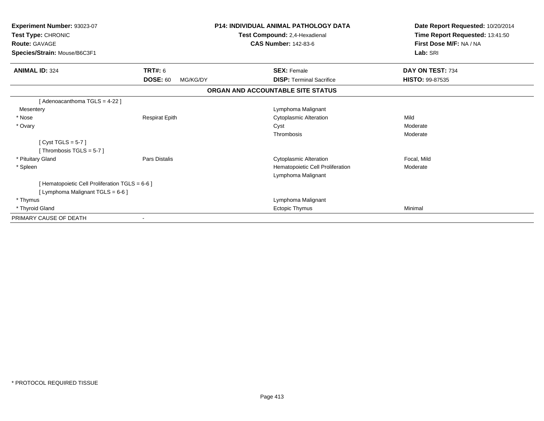| Experiment Number: 93023-07<br>Test Type: CHRONIC<br><b>Route: GAVAGE</b><br>Species/Strain: Mouse/B6C3F1 |                             | <b>P14: INDIVIDUAL ANIMAL PATHOLOGY DATA</b><br>Test Compound: 2,4-Hexadienal<br><b>CAS Number: 142-83-6</b> | Date Report Requested: 10/20/2014<br>Time Report Requested: 13:41:50<br>First Dose M/F: NA / NA<br>Lab: SRI |
|-----------------------------------------------------------------------------------------------------------|-----------------------------|--------------------------------------------------------------------------------------------------------------|-------------------------------------------------------------------------------------------------------------|
| <b>ANIMAL ID: 324</b>                                                                                     | <b>TRT#: 6</b>              | <b>SEX: Female</b>                                                                                           | DAY ON TEST: 734                                                                                            |
|                                                                                                           | <b>DOSE: 60</b><br>MG/KG/DY | <b>DISP: Terminal Sacrifice</b>                                                                              | <b>HISTO: 99-87535</b>                                                                                      |
|                                                                                                           |                             | ORGAN AND ACCOUNTABLE SITE STATUS                                                                            |                                                                                                             |
| [ Adenoacanthoma TGLS = 4-22 ]                                                                            |                             |                                                                                                              |                                                                                                             |
| Mesentery                                                                                                 |                             | Lymphoma Malignant                                                                                           |                                                                                                             |
| * Nose                                                                                                    | <b>Respirat Epith</b>       | <b>Cytoplasmic Alteration</b>                                                                                | Mild                                                                                                        |
| * Ovary                                                                                                   |                             | Cyst                                                                                                         | Moderate                                                                                                    |
|                                                                                                           |                             | Thrombosis                                                                                                   | Moderate                                                                                                    |
| [Cyst TGLS = $5-7$ ]                                                                                      |                             |                                                                                                              |                                                                                                             |
| [Thrombosis TGLS = $5-7$ ]                                                                                |                             |                                                                                                              |                                                                                                             |
| * Pituitary Gland                                                                                         | <b>Pars Distalis</b>        | <b>Cytoplasmic Alteration</b>                                                                                | Focal, Mild                                                                                                 |
| * Spleen                                                                                                  |                             | Hematopoietic Cell Proliferation                                                                             | Moderate                                                                                                    |
|                                                                                                           |                             | Lymphoma Malignant                                                                                           |                                                                                                             |
| [ Hematopoietic Cell Proliferation TGLS = 6-6 ]                                                           |                             |                                                                                                              |                                                                                                             |
| [ Lymphoma Malignant TGLS = 6-6 ]                                                                         |                             |                                                                                                              |                                                                                                             |
| * Thymus                                                                                                  |                             | Lymphoma Malignant                                                                                           |                                                                                                             |
| * Thyroid Gland                                                                                           |                             | Ectopic Thymus                                                                                               | Minimal                                                                                                     |
| PRIMARY CAUSE OF DEATH                                                                                    |                             |                                                                                                              |                                                                                                             |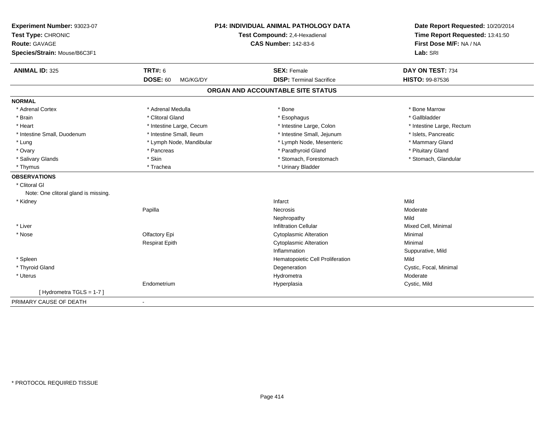| Experiment Number: 93023-07<br>Test Type: CHRONIC<br><b>Route: GAVAGE</b><br>Species/Strain: Mouse/B6C3F1 |                             | P14: INDIVIDUAL ANIMAL PATHOLOGY DATA<br>Test Compound: 2,4-Hexadienal<br><b>CAS Number: 142-83-6</b> | Date Report Requested: 10/20/2014<br>Time Report Requested: 13:41:50<br>First Dose M/F: NA / NA<br>Lab: SRI |
|-----------------------------------------------------------------------------------------------------------|-----------------------------|-------------------------------------------------------------------------------------------------------|-------------------------------------------------------------------------------------------------------------|
| <b>ANIMAL ID: 325</b>                                                                                     | <b>TRT#: 6</b>              | <b>SEX: Female</b>                                                                                    | DAY ON TEST: 734                                                                                            |
|                                                                                                           | <b>DOSE: 60</b><br>MG/KG/DY | <b>DISP: Terminal Sacrifice</b>                                                                       | HISTO: 99-87536                                                                                             |
|                                                                                                           |                             | ORGAN AND ACCOUNTABLE SITE STATUS                                                                     |                                                                                                             |
| <b>NORMAL</b>                                                                                             |                             |                                                                                                       |                                                                                                             |
| * Adrenal Cortex                                                                                          | * Adrenal Medulla           | * Bone                                                                                                | * Bone Marrow                                                                                               |
| * Brain                                                                                                   | * Clitoral Gland            | * Esophagus                                                                                           | * Gallbladder                                                                                               |
| * Heart                                                                                                   | * Intestine Large, Cecum    | * Intestine Large, Colon                                                                              | * Intestine Large, Rectum                                                                                   |
| * Intestine Small, Duodenum                                                                               | * Intestine Small, Ileum    | * Intestine Small, Jejunum                                                                            | * Islets, Pancreatic                                                                                        |
| * Lung                                                                                                    | * Lymph Node, Mandibular    | * Lymph Node, Mesenteric                                                                              | * Mammary Gland                                                                                             |
| * Ovary                                                                                                   | * Pancreas                  | * Parathyroid Gland                                                                                   | * Pituitary Gland                                                                                           |
| * Salivary Glands                                                                                         | * Skin                      | * Stomach, Forestomach                                                                                | * Stomach, Glandular                                                                                        |
| * Thymus                                                                                                  | * Trachea                   | * Urinary Bladder                                                                                     |                                                                                                             |
| <b>OBSERVATIONS</b>                                                                                       |                             |                                                                                                       |                                                                                                             |
| * Clitoral GI                                                                                             |                             |                                                                                                       |                                                                                                             |
| Note: One clitoral gland is missing.                                                                      |                             |                                                                                                       |                                                                                                             |
| * Kidney                                                                                                  |                             | Infarct                                                                                               | Mild                                                                                                        |
|                                                                                                           | Papilla                     | <b>Necrosis</b>                                                                                       | Moderate                                                                                                    |
|                                                                                                           |                             | Nephropathy                                                                                           | Mild                                                                                                        |
| * Liver                                                                                                   |                             | <b>Infiltration Cellular</b>                                                                          | Mixed Cell, Minimal                                                                                         |
| * Nose                                                                                                    | Olfactory Epi               | <b>Cytoplasmic Alteration</b>                                                                         | Minimal                                                                                                     |
|                                                                                                           | <b>Respirat Epith</b>       | <b>Cytoplasmic Alteration</b>                                                                         | Minimal                                                                                                     |
|                                                                                                           |                             | Inflammation                                                                                          | Suppurative, Mild                                                                                           |
| * Spleen                                                                                                  |                             | Hematopoietic Cell Proliferation                                                                      | Mild                                                                                                        |
| * Thyroid Gland                                                                                           |                             | Degeneration                                                                                          | Cystic, Focal, Minimal                                                                                      |
| * Uterus                                                                                                  |                             | Hydrometra                                                                                            | Moderate                                                                                                    |
|                                                                                                           | Endometrium                 | Hyperplasia                                                                                           | Cystic, Mild                                                                                                |
| [Hydrometra TGLS = 1-7]                                                                                   |                             |                                                                                                       |                                                                                                             |
| PRIMARY CAUSE OF DEATH                                                                                    | $\blacksquare$              |                                                                                                       |                                                                                                             |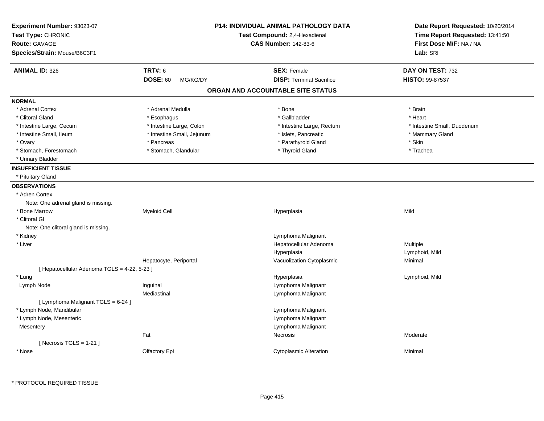| Experiment Number: 93023-07<br>Test Type: CHRONIC<br>Route: GAVAGE<br>Species/Strain: Mouse/B6C3F1 |                                               | <b>P14: INDIVIDUAL ANIMAL PATHOLOGY DATA</b><br>Test Compound: 2,4-Hexadienal<br><b>CAS Number: 142-83-6</b> | Date Report Requested: 10/20/2014<br>Time Report Requested: 13:41:50<br>First Dose M/F: NA / NA<br>Lab: SRI |
|----------------------------------------------------------------------------------------------------|-----------------------------------------------|--------------------------------------------------------------------------------------------------------------|-------------------------------------------------------------------------------------------------------------|
| <b>ANIMAL ID: 326</b>                                                                              | <b>TRT#: 6</b><br><b>DOSE: 60</b><br>MG/KG/DY | <b>SEX: Female</b><br><b>DISP: Terminal Sacrifice</b>                                                        | DAY ON TEST: 732<br><b>HISTO: 99-87537</b>                                                                  |
|                                                                                                    |                                               | ORGAN AND ACCOUNTABLE SITE STATUS                                                                            |                                                                                                             |
| <b>NORMAL</b>                                                                                      |                                               |                                                                                                              |                                                                                                             |
| * Adrenal Cortex                                                                                   | * Adrenal Medulla                             | * Bone                                                                                                       | * Brain                                                                                                     |
| * Clitoral Gland                                                                                   | * Esophagus                                   | * Gallbladder                                                                                                | * Heart                                                                                                     |
| * Intestine Large, Cecum                                                                           | * Intestine Large, Colon                      | * Intestine Large, Rectum                                                                                    | * Intestine Small, Duodenum                                                                                 |
| * Intestine Small, Ileum                                                                           | * Intestine Small, Jejunum                    | * Islets, Pancreatic                                                                                         | * Mammary Gland                                                                                             |
| * Ovary                                                                                            | * Pancreas                                    | * Parathyroid Gland                                                                                          | * Skin                                                                                                      |
| * Stomach, Forestomach                                                                             | * Stomach, Glandular                          | * Thyroid Gland                                                                                              | * Trachea                                                                                                   |
| * Urinary Bladder                                                                                  |                                               |                                                                                                              |                                                                                                             |
| <b>INSUFFICIENT TISSUE</b>                                                                         |                                               |                                                                                                              |                                                                                                             |
| * Pituitary Gland                                                                                  |                                               |                                                                                                              |                                                                                                             |
| <b>OBSERVATIONS</b>                                                                                |                                               |                                                                                                              |                                                                                                             |
| * Adren Cortex                                                                                     |                                               |                                                                                                              |                                                                                                             |
| Note: One adrenal gland is missing.                                                                |                                               |                                                                                                              |                                                                                                             |
| * Bone Marrow                                                                                      | <b>Myeloid Cell</b>                           | Hyperplasia                                                                                                  | Mild                                                                                                        |
| * Clitoral GI                                                                                      |                                               |                                                                                                              |                                                                                                             |
| Note: One clitoral gland is missing.                                                               |                                               |                                                                                                              |                                                                                                             |
| * Kidney                                                                                           |                                               | Lymphoma Malignant                                                                                           |                                                                                                             |
| * Liver                                                                                            |                                               | Hepatocellular Adenoma                                                                                       | Multiple                                                                                                    |
|                                                                                                    |                                               | Hyperplasia                                                                                                  | Lymphoid, Mild                                                                                              |
|                                                                                                    | Hepatocyte, Periportal                        | Vacuolization Cytoplasmic                                                                                    | Minimal                                                                                                     |
| [ Hepatocellular Adenoma TGLS = 4-22, 5-23 ]                                                       |                                               |                                                                                                              |                                                                                                             |
| * Lung                                                                                             |                                               | Hyperplasia                                                                                                  | Lymphoid, Mild                                                                                              |
| Lymph Node                                                                                         | Inguinal                                      | Lymphoma Malignant                                                                                           |                                                                                                             |
|                                                                                                    | Mediastinal                                   | Lymphoma Malignant                                                                                           |                                                                                                             |
| [ Lymphoma Malignant TGLS = 6-24 ]                                                                 |                                               |                                                                                                              |                                                                                                             |
| * Lymph Node, Mandibular                                                                           |                                               | Lymphoma Malignant                                                                                           |                                                                                                             |
| * Lymph Node, Mesenteric                                                                           |                                               | Lymphoma Malignant                                                                                           |                                                                                                             |
| Mesentery                                                                                          |                                               | Lymphoma Malignant                                                                                           |                                                                                                             |
|                                                                                                    | Fat                                           | Necrosis                                                                                                     | Moderate                                                                                                    |
| [ Necrosis TGLS = $1-21$ ]                                                                         |                                               |                                                                                                              |                                                                                                             |
| * Nose                                                                                             | Olfactory Epi                                 | <b>Cytoplasmic Alteration</b>                                                                                | Minimal                                                                                                     |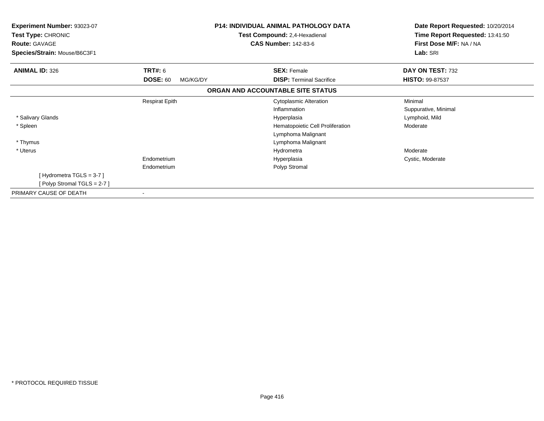| <b>Experiment Number: 93023-07</b><br>Test Type: CHRONIC |                             | P14: INDIVIDUAL ANIMAL PATHOLOGY DATA<br>Test Compound: 2,4-Hexadienal | Date Report Requested: 10/20/2014<br>Time Report Requested: 13:41:50 |
|----------------------------------------------------------|-----------------------------|------------------------------------------------------------------------|----------------------------------------------------------------------|
| <b>Route: GAVAGE</b>                                     |                             | <b>CAS Number: 142-83-6</b>                                            | First Dose M/F: NA / NA<br>Lab: SRI                                  |
| Species/Strain: Mouse/B6C3F1                             |                             |                                                                        |                                                                      |
| <b>ANIMAL ID: 326</b>                                    | <b>TRT#:</b> 6              | <b>SEX: Female</b>                                                     | DAY ON TEST: 732                                                     |
|                                                          | <b>DOSE: 60</b><br>MG/KG/DY | <b>DISP:</b> Terminal Sacrifice                                        | <b>HISTO: 99-87537</b>                                               |
|                                                          |                             | ORGAN AND ACCOUNTABLE SITE STATUS                                      |                                                                      |
|                                                          | <b>Respirat Epith</b>       | <b>Cytoplasmic Alteration</b>                                          | Minimal                                                              |
|                                                          |                             | Inflammation                                                           | Suppurative, Minimal                                                 |
| * Salivary Glands                                        |                             | Hyperplasia                                                            | Lymphoid, Mild                                                       |
| * Spleen                                                 |                             | Hematopoietic Cell Proliferation                                       | Moderate                                                             |
|                                                          |                             | Lymphoma Malignant                                                     |                                                                      |
| * Thymus                                                 |                             | Lymphoma Malignant                                                     |                                                                      |
| * Uterus                                                 |                             | Hydrometra                                                             | Moderate                                                             |
|                                                          | Endometrium                 | Hyperplasia                                                            | Cystic, Moderate                                                     |
|                                                          | Endometrium                 | Polyp Stromal                                                          |                                                                      |
| [Hydrometra TGLS = $3-7$ ]                               |                             |                                                                        |                                                                      |
| [Polyp Stromal TGLS = $2-7$ ]                            |                             |                                                                        |                                                                      |
| PRIMARY CAUSE OF DEATH                                   |                             |                                                                        |                                                                      |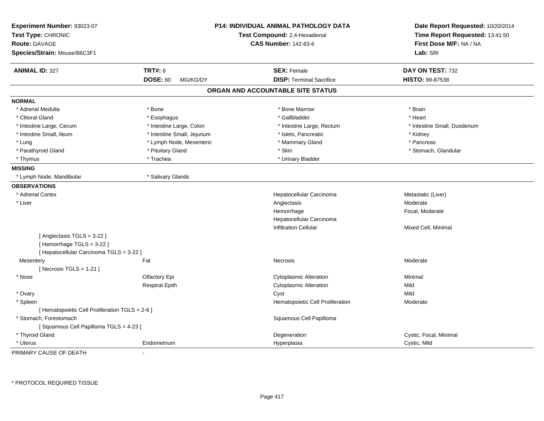| Experiment Number: 93023-07<br>Test Type: CHRONIC<br><b>Route: GAVAGE</b><br>Species/Strain: Mouse/B6C3F1 |                             | P14: INDIVIDUAL ANIMAL PATHOLOGY DATA<br>Test Compound: 2,4-Hexadienal<br><b>CAS Number: 142-83-6</b> | Date Report Requested: 10/20/2014<br>Time Report Requested: 13:41:50<br>First Dose M/F: NA / NA<br>Lab: SRI |
|-----------------------------------------------------------------------------------------------------------|-----------------------------|-------------------------------------------------------------------------------------------------------|-------------------------------------------------------------------------------------------------------------|
| <b>ANIMAL ID: 327</b>                                                                                     | <b>TRT#: 6</b>              | <b>SEX: Female</b>                                                                                    | DAY ON TEST: 732                                                                                            |
|                                                                                                           | <b>DOSE: 60</b><br>MG/KG/DY | <b>DISP: Terminal Sacrifice</b>                                                                       | HISTO: 99-87538                                                                                             |
|                                                                                                           |                             | ORGAN AND ACCOUNTABLE SITE STATUS                                                                     |                                                                                                             |
| <b>NORMAL</b>                                                                                             |                             |                                                                                                       |                                                                                                             |
| * Adrenal Medulla                                                                                         | * Bone                      | * Bone Marrow                                                                                         | * Brain                                                                                                     |
| * Clitoral Gland                                                                                          | * Esophagus                 | * Gallbladder                                                                                         | * Heart                                                                                                     |
| * Intestine Large, Cecum                                                                                  | * Intestine Large, Colon    | * Intestine Large, Rectum                                                                             | * Intestine Small, Duodenum                                                                                 |
| * Intestine Small, Ileum                                                                                  | * Intestine Small, Jejunum  | * Islets, Pancreatic                                                                                  | * Kidney                                                                                                    |
| * Lung                                                                                                    | * Lymph Node, Mesenteric    | * Mammary Gland                                                                                       | * Pancreas                                                                                                  |
| * Parathyroid Gland                                                                                       | * Pituitary Gland           | * Skin                                                                                                | * Stomach, Glandular                                                                                        |
| * Thymus                                                                                                  | * Trachea                   | * Urinary Bladder                                                                                     |                                                                                                             |
| <b>MISSING</b>                                                                                            |                             |                                                                                                       |                                                                                                             |
| * Lymph Node, Mandibular                                                                                  | * Salivary Glands           |                                                                                                       |                                                                                                             |
| <b>OBSERVATIONS</b>                                                                                       |                             |                                                                                                       |                                                                                                             |
| * Adrenal Cortex                                                                                          |                             | Hepatocellular Carcinoma                                                                              | Metastatic (Liver)                                                                                          |
| * Liver                                                                                                   |                             | Angiectasis                                                                                           | Moderate                                                                                                    |
|                                                                                                           |                             | Hemorrhage                                                                                            | Focal, Moderate                                                                                             |
|                                                                                                           |                             | Hepatocellular Carcinoma                                                                              |                                                                                                             |
|                                                                                                           |                             | <b>Infiltration Cellular</b>                                                                          | Mixed Cell, Minimal                                                                                         |
| [Angiectasis TGLS = 3-22]<br>[Hemorrhage TGLS = 3-22]<br>[ Hepatocellular Carcinoma TGLS = 3-22 ]         |                             |                                                                                                       |                                                                                                             |
| Mesentery                                                                                                 | Fat                         | Necrosis                                                                                              | Moderate                                                                                                    |
| [ Necrosis $TGLS = 1-21$ ]                                                                                |                             |                                                                                                       |                                                                                                             |
| * Nose                                                                                                    | Olfactory Epi               | <b>Cytoplasmic Alteration</b>                                                                         | Minimal                                                                                                     |
|                                                                                                           | <b>Respirat Epith</b>       | <b>Cytoplasmic Alteration</b>                                                                         | Mild                                                                                                        |
| * Ovary                                                                                                   |                             | Cyst                                                                                                  | Mild                                                                                                        |
| * Spleen                                                                                                  |                             | Hematopoietic Cell Proliferation                                                                      | Moderate                                                                                                    |
| [ Hematopoietic Cell Proliferation TGLS = 2-6 ]                                                           |                             |                                                                                                       |                                                                                                             |
| * Stomach, Forestomach                                                                                    |                             | Squamous Cell Papilloma                                                                               |                                                                                                             |
| [Squamous Cell Papilloma TGLS = 4-23]                                                                     |                             |                                                                                                       |                                                                                                             |
| * Thyroid Gland                                                                                           |                             | Degeneration                                                                                          | Cystic, Focal, Minimal                                                                                      |
| * Uterus                                                                                                  | Endometrium                 | Hyperplasia                                                                                           | Cystic, Mild                                                                                                |

PRIMARY CAUSE OF DEATH-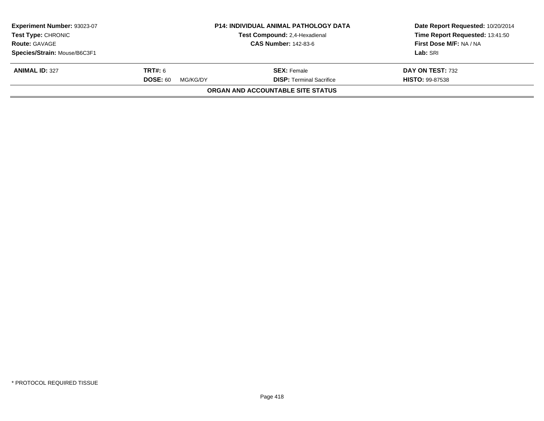| Experiment Number: 93023-07<br><b>Test Type: CHRONIC</b> |                             | <b>P14: INDIVIDUAL ANIMAL PATHOLOGY DATA</b><br>Test Compound: 2,4-Hexadienal | Date Report Requested: 10/20/2014<br>Time Report Requested: 13:41:50 |
|----------------------------------------------------------|-----------------------------|-------------------------------------------------------------------------------|----------------------------------------------------------------------|
| <b>Route: GAVAGE</b>                                     |                             | <b>CAS Number: 142-83-6</b>                                                   | First Dose M/F: NA / NA                                              |
| Species/Strain: Mouse/B6C3F1                             |                             |                                                                               | Lab: SRI                                                             |
| <b>ANIMAL ID: 327</b>                                    | <b>TRT#:</b> 6              | <b>SEX:</b> Female                                                            | DAY ON TEST: 732                                                     |
|                                                          | <b>DOSE: 60</b><br>MG/KG/DY | <b>DISP: Terminal Sacrifice</b>                                               | <b>HISTO: 99-87538</b>                                               |
|                                                          |                             | <b>ORGAN AND ACCOUNTABLE SITE STATUS</b>                                      |                                                                      |
|                                                          |                             |                                                                               |                                                                      |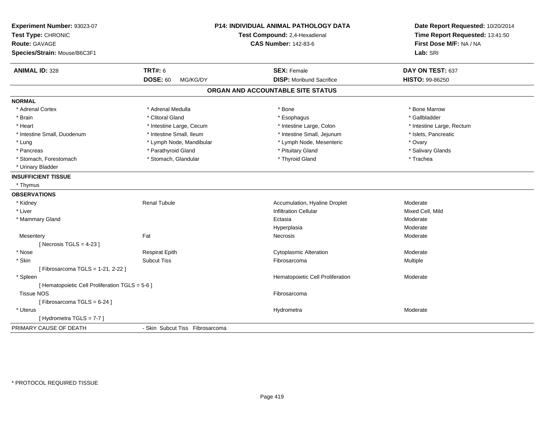| Experiment Number: 93023-07<br>Test Type: CHRONIC<br><b>Route: GAVAGE</b><br>Species/Strain: Mouse/B6C3F1 |                                 | P14: INDIVIDUAL ANIMAL PATHOLOGY DATA<br>Test Compound: 2,4-Hexadienal<br><b>CAS Number: 142-83-6</b> | Date Report Requested: 10/20/2014<br>Time Report Requested: 13:41:50<br>First Dose M/F: NA / NA<br>Lab: SRI |
|-----------------------------------------------------------------------------------------------------------|---------------------------------|-------------------------------------------------------------------------------------------------------|-------------------------------------------------------------------------------------------------------------|
| <b>ANIMAL ID: 328</b>                                                                                     | <b>TRT#: 6</b>                  | <b>SEX: Female</b>                                                                                    | DAY ON TEST: 637                                                                                            |
|                                                                                                           | <b>DOSE: 60</b><br>MG/KG/DY     | <b>DISP:</b> Moribund Sacrifice                                                                       | HISTO: 99-86250                                                                                             |
|                                                                                                           |                                 | ORGAN AND ACCOUNTABLE SITE STATUS                                                                     |                                                                                                             |
| <b>NORMAL</b>                                                                                             |                                 |                                                                                                       |                                                                                                             |
| * Adrenal Cortex                                                                                          | * Adrenal Medulla               | * Bone                                                                                                | * Bone Marrow                                                                                               |
| * Brain                                                                                                   | * Clitoral Gland                | * Esophagus                                                                                           | * Gallbladder                                                                                               |
| * Heart                                                                                                   | * Intestine Large, Cecum        | * Intestine Large, Colon                                                                              | * Intestine Large, Rectum                                                                                   |
| * Intestine Small, Duodenum                                                                               | * Intestine Small, Ileum        | * Intestine Small, Jejunum                                                                            | * Islets, Pancreatic                                                                                        |
| * Lung                                                                                                    | * Lymph Node, Mandibular        | * Lymph Node, Mesenteric                                                                              | * Ovary                                                                                                     |
| * Pancreas                                                                                                | * Parathyroid Gland             | * Pituitary Gland                                                                                     | * Salivary Glands                                                                                           |
| * Stomach, Forestomach                                                                                    | * Stomach, Glandular            | * Thyroid Gland                                                                                       | * Trachea                                                                                                   |
| * Urinary Bladder                                                                                         |                                 |                                                                                                       |                                                                                                             |
| <b>INSUFFICIENT TISSUE</b>                                                                                |                                 |                                                                                                       |                                                                                                             |
| * Thymus                                                                                                  |                                 |                                                                                                       |                                                                                                             |
| <b>OBSERVATIONS</b>                                                                                       |                                 |                                                                                                       |                                                                                                             |
| * Kidney                                                                                                  | <b>Renal Tubule</b>             | Accumulation, Hyaline Droplet                                                                         | Moderate                                                                                                    |
| * Liver                                                                                                   |                                 | <b>Infiltration Cellular</b>                                                                          | Mixed Cell, Mild                                                                                            |
| * Mammary Gland                                                                                           |                                 | Ectasia                                                                                               | Moderate                                                                                                    |
|                                                                                                           |                                 | Hyperplasia                                                                                           | Moderate                                                                                                    |
| Mesentery                                                                                                 | Fat                             | Necrosis                                                                                              | Moderate                                                                                                    |
| [Necrosis TGLS = $4-23$ ]                                                                                 |                                 |                                                                                                       |                                                                                                             |
| * Nose                                                                                                    | <b>Respirat Epith</b>           | <b>Cytoplasmic Alteration</b>                                                                         | Moderate                                                                                                    |
| * Skin                                                                                                    | <b>Subcut Tiss</b>              | Fibrosarcoma                                                                                          | Multiple                                                                                                    |
| [Fibrosarcoma TGLS = 1-21, 2-22]                                                                          |                                 |                                                                                                       |                                                                                                             |
| * Spleen                                                                                                  |                                 | Hematopoietic Cell Proliferation                                                                      | Moderate                                                                                                    |
| [ Hematopoietic Cell Proliferation TGLS = 5-6 ]                                                           |                                 |                                                                                                       |                                                                                                             |
| <b>Tissue NOS</b>                                                                                         |                                 | Fibrosarcoma                                                                                          |                                                                                                             |
| [Fibrosarcoma TGLS = 6-24]                                                                                |                                 |                                                                                                       |                                                                                                             |
| * Uterus                                                                                                  |                                 | Hydrometra                                                                                            | Moderate                                                                                                    |
| [Hydrometra TGLS = 7-7]                                                                                   |                                 |                                                                                                       |                                                                                                             |
| PRIMARY CAUSE OF DEATH                                                                                    | - Skin Subcut Tiss Fibrosarcoma |                                                                                                       |                                                                                                             |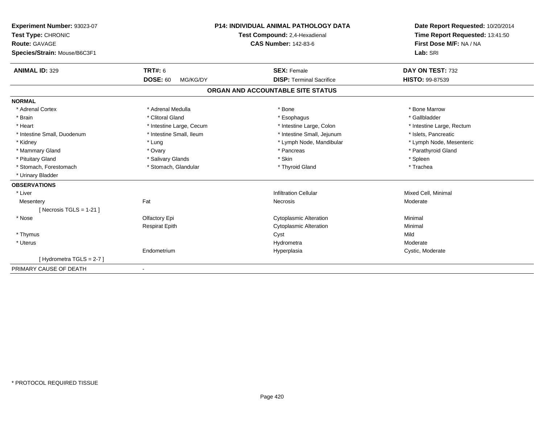| Experiment Number: 93023-07  |                             | <b>P14: INDIVIDUAL ANIMAL PATHOLOGY DATA</b> | Date Report Requested: 10/20/2014 |
|------------------------------|-----------------------------|----------------------------------------------|-----------------------------------|
| Test Type: CHRONIC           |                             | Test Compound: 2,4-Hexadienal                | Time Report Requested: 13:41:50   |
| <b>Route: GAVAGE</b>         |                             | <b>CAS Number: 142-83-6</b>                  | First Dose M/F: NA / NA           |
| Species/Strain: Mouse/B6C3F1 |                             |                                              | Lab: SRI                          |
| <b>ANIMAL ID: 329</b>        | <b>TRT#: 6</b>              | <b>SEX: Female</b>                           | DAY ON TEST: 732                  |
|                              | <b>DOSE: 60</b><br>MG/KG/DY | <b>DISP: Terminal Sacrifice</b>              | HISTO: 99-87539                   |
|                              |                             | ORGAN AND ACCOUNTABLE SITE STATUS            |                                   |
| <b>NORMAL</b>                |                             |                                              |                                   |
| * Adrenal Cortex             | * Adrenal Medulla           | * Bone                                       | * Bone Marrow                     |
| * Brain                      | * Clitoral Gland            | * Esophagus                                  | * Gallbladder                     |
| * Heart                      | * Intestine Large, Cecum    | * Intestine Large, Colon                     | * Intestine Large, Rectum         |
| * Intestine Small, Duodenum  | * Intestine Small, Ileum    | * Intestine Small, Jejunum                   | * Islets, Pancreatic              |
| * Kidney                     | * Lung                      | * Lymph Node, Mandibular                     | * Lymph Node, Mesenteric          |
| * Mammary Gland              | * Ovary                     | * Pancreas                                   | * Parathyroid Gland               |
| * Pituitary Gland            | * Salivary Glands           | * Skin                                       | * Spleen                          |
| * Stomach, Forestomach       | * Stomach, Glandular        | * Thyroid Gland                              | * Trachea                         |
| * Urinary Bladder            |                             |                                              |                                   |
| <b>OBSERVATIONS</b>          |                             |                                              |                                   |
| * Liver                      |                             | <b>Infiltration Cellular</b>                 | Mixed Cell, Minimal               |
| Mesentery                    | Fat                         | Necrosis                                     | Moderate                          |
| [ Necrosis TGLS = $1-21$ ]   |                             |                                              |                                   |
| * Nose                       | Olfactory Epi               | <b>Cytoplasmic Alteration</b>                | Minimal                           |
|                              | <b>Respirat Epith</b>       | <b>Cytoplasmic Alteration</b>                | Minimal                           |
| * Thymus                     |                             | Cyst                                         | Mild                              |
| * Uterus                     |                             | Hydrometra                                   | Moderate                          |
|                              | Endometrium                 | Hyperplasia                                  | Cystic, Moderate                  |
| [Hydrometra TGLS = 2-7]      |                             |                                              |                                   |
| PRIMARY CAUSE OF DEATH       | $\blacksquare$              |                                              |                                   |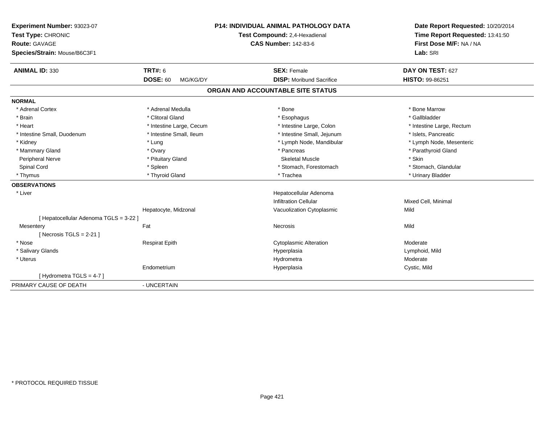| Experiment Number: 93023-07<br>Test Type: CHRONIC<br>Route: GAVAGE<br>Species/Strain: Mouse/B6C3F1 |                             | P14: INDIVIDUAL ANIMAL PATHOLOGY DATA<br>Test Compound: 2,4-Hexadienal<br><b>CAS Number: 142-83-6</b> | Date Report Requested: 10/20/2014<br>Time Report Requested: 13:41:50<br>First Dose M/F: NA / NA<br>Lab: SRI |
|----------------------------------------------------------------------------------------------------|-----------------------------|-------------------------------------------------------------------------------------------------------|-------------------------------------------------------------------------------------------------------------|
| <b>ANIMAL ID: 330</b>                                                                              | <b>TRT#: 6</b>              | <b>SEX: Female</b>                                                                                    | DAY ON TEST: 627                                                                                            |
|                                                                                                    | <b>DOSE: 60</b><br>MG/KG/DY | <b>DISP:</b> Moribund Sacrifice                                                                       | <b>HISTO: 99-86251</b>                                                                                      |
|                                                                                                    |                             | ORGAN AND ACCOUNTABLE SITE STATUS                                                                     |                                                                                                             |
| <b>NORMAL</b>                                                                                      |                             |                                                                                                       |                                                                                                             |
| * Adrenal Cortex                                                                                   | * Adrenal Medulla           | * Bone                                                                                                | * Bone Marrow                                                                                               |
| * Brain                                                                                            | * Clitoral Gland            | * Esophagus                                                                                           | * Gallbladder                                                                                               |
| * Heart                                                                                            | * Intestine Large, Cecum    | * Intestine Large, Colon                                                                              | * Intestine Large, Rectum                                                                                   |
| * Intestine Small, Duodenum                                                                        | * Intestine Small, Ileum    | * Intestine Small, Jejunum                                                                            | * Islets, Pancreatic                                                                                        |
| * Kidney                                                                                           | * Lung                      | * Lymph Node, Mandibular                                                                              | * Lymph Node, Mesenteric                                                                                    |
| * Mammary Gland                                                                                    | * Ovary                     | * Pancreas                                                                                            | * Parathyroid Gland                                                                                         |
| Peripheral Nerve                                                                                   | * Pituitary Gland           | <b>Skeletal Muscle</b>                                                                                | * Skin                                                                                                      |
| Spinal Cord                                                                                        | * Spleen                    | * Stomach, Forestomach                                                                                | * Stomach, Glandular                                                                                        |
| * Thymus                                                                                           | * Thyroid Gland             | * Trachea                                                                                             | * Urinary Bladder                                                                                           |
| <b>OBSERVATIONS</b>                                                                                |                             |                                                                                                       |                                                                                                             |
| * Liver                                                                                            |                             | Hepatocellular Adenoma                                                                                |                                                                                                             |
|                                                                                                    |                             | <b>Infiltration Cellular</b>                                                                          | Mixed Cell, Minimal                                                                                         |
|                                                                                                    | Hepatocyte, Midzonal        | Vacuolization Cytoplasmic                                                                             | Mild                                                                                                        |
| [ Hepatocellular Adenoma TGLS = 3-22 ]                                                             |                             |                                                                                                       |                                                                                                             |
| Mesentery                                                                                          | Fat                         | Necrosis                                                                                              | Mild                                                                                                        |
| [Necrosis TGLS = $2-21$ ]                                                                          |                             |                                                                                                       |                                                                                                             |
| * Nose                                                                                             | <b>Respirat Epith</b>       | <b>Cytoplasmic Alteration</b>                                                                         | Moderate                                                                                                    |
| * Salivary Glands                                                                                  |                             | Hyperplasia                                                                                           | Lymphoid, Mild                                                                                              |
| * Uterus                                                                                           |                             | Hydrometra                                                                                            | Moderate                                                                                                    |
|                                                                                                    | Endometrium                 | Hyperplasia                                                                                           | Cystic, Mild                                                                                                |
| [Hydrometra TGLS = 4-7]                                                                            |                             |                                                                                                       |                                                                                                             |
| PRIMARY CAUSE OF DEATH                                                                             | - UNCERTAIN                 |                                                                                                       |                                                                                                             |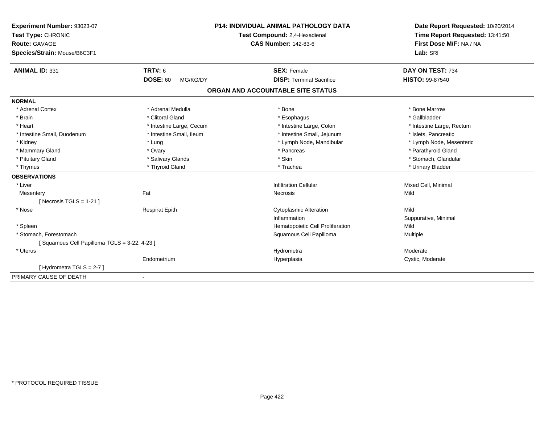| Experiment Number: 93023-07                 | <b>P14: INDIVIDUAL ANIMAL PATHOLOGY DATA</b> |                                   | Date Report Requested: 10/20/2014                          |
|---------------------------------------------|----------------------------------------------|-----------------------------------|------------------------------------------------------------|
| Test Type: CHRONIC                          |                                              | Test Compound: 2,4-Hexadienal     |                                                            |
| <b>Route: GAVAGE</b>                        |                                              | <b>CAS Number: 142-83-6</b>       | Time Report Requested: 13:41:50<br>First Dose M/F: NA / NA |
| Species/Strain: Mouse/B6C3F1                |                                              |                                   | Lab: SRI                                                   |
| <b>ANIMAL ID: 331</b>                       | <b>TRT#: 6</b>                               | <b>SEX: Female</b>                | DAY ON TEST: 734                                           |
|                                             | <b>DOSE: 60</b><br>MG/KG/DY                  | <b>DISP: Terminal Sacrifice</b>   | HISTO: 99-87540                                            |
|                                             |                                              | ORGAN AND ACCOUNTABLE SITE STATUS |                                                            |
| <b>NORMAL</b>                               |                                              |                                   |                                                            |
| * Adrenal Cortex                            | * Adrenal Medulla                            | * Bone                            | * Bone Marrow                                              |
| * Brain                                     | * Clitoral Gland                             | * Esophagus                       | * Gallbladder                                              |
| * Heart                                     | * Intestine Large, Cecum                     | * Intestine Large, Colon          | * Intestine Large, Rectum                                  |
| * Intestine Small, Duodenum                 | * Intestine Small, Ileum                     | * Intestine Small, Jejunum        | * Islets, Pancreatic                                       |
| * Kidney                                    | * Lung                                       | * Lymph Node, Mandibular          | * Lymph Node, Mesenteric                                   |
| * Mammary Gland                             | * Ovary                                      | * Pancreas                        | * Parathyroid Gland                                        |
| * Pituitary Gland                           | * Salivary Glands                            | * Skin                            | * Stomach, Glandular                                       |
| * Thymus                                    | * Thyroid Gland                              | * Trachea                         | * Urinary Bladder                                          |
| <b>OBSERVATIONS</b>                         |                                              |                                   |                                                            |
| * Liver                                     |                                              | <b>Infiltration Cellular</b>      | Mixed Cell, Minimal                                        |
| Mesentery                                   | Fat                                          | Necrosis                          | Mild                                                       |
| [ Necrosis TGLS = $1-21$ ]                  |                                              |                                   |                                                            |
| * Nose                                      | <b>Respirat Epith</b>                        | <b>Cytoplasmic Alteration</b>     | Mild                                                       |
|                                             |                                              | Inflammation                      | Suppurative, Minimal                                       |
| * Spleen                                    |                                              | Hematopoietic Cell Proliferation  | Mild                                                       |
| * Stomach, Forestomach                      |                                              | Squamous Cell Papilloma           | Multiple                                                   |
| [Squamous Cell Papilloma TGLS = 3-22, 4-23] |                                              |                                   |                                                            |
| * Uterus                                    |                                              | Hydrometra                        | Moderate                                                   |
|                                             | Endometrium                                  | Hyperplasia                       | Cystic, Moderate                                           |
| [Hydrometra TGLS = $2-7$ ]                  |                                              |                                   |                                                            |
| PRIMARY CAUSE OF DEATH                      | ٠                                            |                                   |                                                            |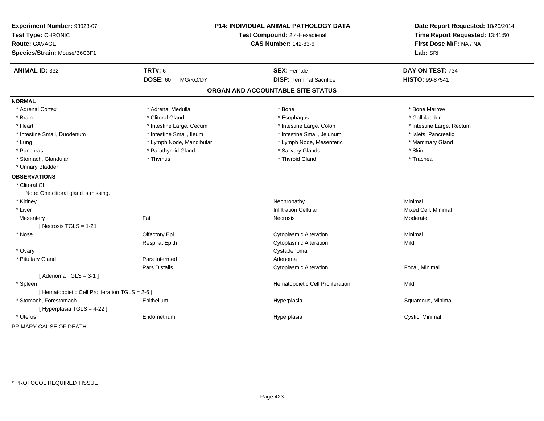| Experiment Number: 93023-07<br>Test Type: CHRONIC<br><b>Route: GAVAGE</b><br>Species/Strain: Mouse/B6C3F1 |                             | P14: INDIVIDUAL ANIMAL PATHOLOGY DATA<br>Test Compound: 2,4-Hexadienal<br><b>CAS Number: 142-83-6</b> | Date Report Requested: 10/20/2014<br>Time Report Requested: 13:41:50<br>First Dose M/F: NA / NA<br>Lab: SRI |
|-----------------------------------------------------------------------------------------------------------|-----------------------------|-------------------------------------------------------------------------------------------------------|-------------------------------------------------------------------------------------------------------------|
| <b>ANIMAL ID: 332</b>                                                                                     | <b>TRT#: 6</b>              | <b>SEX: Female</b>                                                                                    | DAY ON TEST: 734                                                                                            |
|                                                                                                           | <b>DOSE: 60</b><br>MG/KG/DY | <b>DISP: Terminal Sacrifice</b>                                                                       | HISTO: 99-87541                                                                                             |
|                                                                                                           |                             | ORGAN AND ACCOUNTABLE SITE STATUS                                                                     |                                                                                                             |
| <b>NORMAL</b>                                                                                             |                             |                                                                                                       |                                                                                                             |
| * Adrenal Cortex                                                                                          | * Adrenal Medulla           | * Bone                                                                                                | * Bone Marrow                                                                                               |
| * Brain                                                                                                   | * Clitoral Gland            | * Esophagus                                                                                           | * Gallbladder                                                                                               |
| * Heart                                                                                                   | * Intestine Large, Cecum    | * Intestine Large, Colon                                                                              | * Intestine Large, Rectum                                                                                   |
| * Intestine Small, Duodenum                                                                               | * Intestine Small, Ileum    | * Intestine Small, Jejunum                                                                            | * Islets, Pancreatic                                                                                        |
| * Lung                                                                                                    | * Lymph Node, Mandibular    | * Lymph Node, Mesenteric                                                                              | * Mammary Gland                                                                                             |
| * Pancreas                                                                                                | * Parathyroid Gland         | * Salivary Glands                                                                                     | * Skin                                                                                                      |
| * Stomach, Glandular                                                                                      | * Thymus                    | * Thyroid Gland                                                                                       | * Trachea                                                                                                   |
| * Urinary Bladder                                                                                         |                             |                                                                                                       |                                                                                                             |
| <b>OBSERVATIONS</b>                                                                                       |                             |                                                                                                       |                                                                                                             |
| * Clitoral GI                                                                                             |                             |                                                                                                       |                                                                                                             |
| Note: One clitoral gland is missing.                                                                      |                             |                                                                                                       |                                                                                                             |
| * Kidney                                                                                                  |                             | Nephropathy                                                                                           | Minimal                                                                                                     |
| * Liver                                                                                                   |                             | <b>Infiltration Cellular</b>                                                                          | Mixed Cell, Minimal                                                                                         |
| Mesentery                                                                                                 | Fat                         | <b>Necrosis</b>                                                                                       | Moderate                                                                                                    |
| [ Necrosis $TGLS = 1-21$ ]                                                                                |                             |                                                                                                       |                                                                                                             |
| * Nose                                                                                                    | Olfactory Epi               | <b>Cytoplasmic Alteration</b>                                                                         | Minimal                                                                                                     |
|                                                                                                           | <b>Respirat Epith</b>       | Cytoplasmic Alteration                                                                                | Mild                                                                                                        |
| * Ovary                                                                                                   |                             | Cystadenoma                                                                                           |                                                                                                             |
| * Pituitary Gland                                                                                         | Pars Intermed               | Adenoma                                                                                               |                                                                                                             |
|                                                                                                           | Pars Distalis               | <b>Cytoplasmic Alteration</b>                                                                         | Focal, Minimal                                                                                              |
| [Adenoma TGLS = $3-1$ ]                                                                                   |                             |                                                                                                       |                                                                                                             |
| * Spleen                                                                                                  |                             | Hematopoietic Cell Proliferation                                                                      | Mild                                                                                                        |
| [ Hematopoietic Cell Proliferation TGLS = 2-6 ]                                                           |                             |                                                                                                       |                                                                                                             |
| * Stomach, Forestomach                                                                                    | Epithelium                  | Hyperplasia                                                                                           | Squamous, Minimal                                                                                           |
| [ Hyperplasia TGLS = 4-22 ]                                                                               |                             |                                                                                                       |                                                                                                             |
| * Uterus                                                                                                  | Endometrium                 | Hyperplasia                                                                                           | Cystic, Minimal                                                                                             |
| PRIMARY CAUSE OF DEATH                                                                                    | $\mathbf{r}$                |                                                                                                       |                                                                                                             |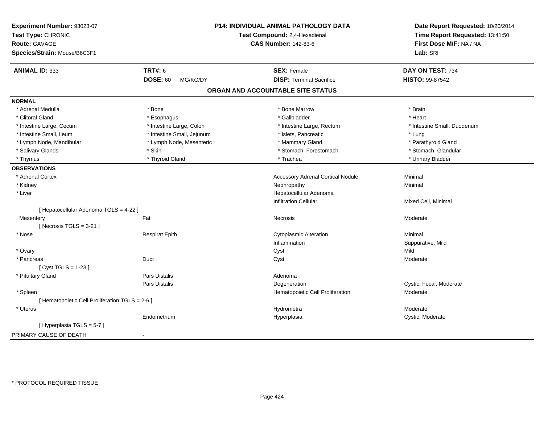| Experiment Number: 93023-07<br>Test Type: CHRONIC<br><b>Route: GAVAGE</b><br>Species/Strain: Mouse/B6C3F1 |                             | P14: INDIVIDUAL ANIMAL PATHOLOGY DATA<br>Test Compound: 2,4-Hexadienal<br><b>CAS Number: 142-83-6</b> | Date Report Requested: 10/20/2014<br>Time Report Requested: 13:41:50<br>First Dose M/F: NA / NA<br>Lab: SRI |
|-----------------------------------------------------------------------------------------------------------|-----------------------------|-------------------------------------------------------------------------------------------------------|-------------------------------------------------------------------------------------------------------------|
|                                                                                                           |                             |                                                                                                       |                                                                                                             |
| <b>ANIMAL ID: 333</b>                                                                                     | <b>TRT#: 6</b>              | <b>SEX: Female</b>                                                                                    | DAY ON TEST: 734                                                                                            |
|                                                                                                           | <b>DOSE: 60</b><br>MG/KG/DY | <b>DISP: Terminal Sacrifice</b>                                                                       | HISTO: 99-87542                                                                                             |
|                                                                                                           |                             | ORGAN AND ACCOUNTABLE SITE STATUS                                                                     |                                                                                                             |
| <b>NORMAL</b>                                                                                             |                             |                                                                                                       |                                                                                                             |
| * Adrenal Medulla                                                                                         | * Bone                      | * Bone Marrow                                                                                         | * Brain                                                                                                     |
| * Clitoral Gland                                                                                          | * Esophagus                 | * Gallbladder                                                                                         | * Heart                                                                                                     |
| * Intestine Large, Cecum                                                                                  | * Intestine Large, Colon    | * Intestine Large, Rectum                                                                             | * Intestine Small, Duodenum                                                                                 |
| * Intestine Small, Ileum                                                                                  | * Intestine Small, Jejunum  | * Islets, Pancreatic                                                                                  | * Lung                                                                                                      |
| * Lymph Node, Mandibular                                                                                  | * Lymph Node, Mesenteric    | * Mammary Gland                                                                                       | * Parathyroid Gland                                                                                         |
| * Salivary Glands                                                                                         | * Skin                      | * Stomach, Forestomach                                                                                | * Stomach, Glandular                                                                                        |
| * Thymus                                                                                                  | * Thyroid Gland             | * Trachea                                                                                             | * Urinary Bladder                                                                                           |
| <b>OBSERVATIONS</b>                                                                                       |                             |                                                                                                       |                                                                                                             |
| * Adrenal Cortex                                                                                          |                             | <b>Accessory Adrenal Cortical Nodule</b>                                                              | Minimal                                                                                                     |
| * Kidney                                                                                                  |                             | Nephropathy                                                                                           | Minimal                                                                                                     |
| * Liver                                                                                                   |                             | Hepatocellular Adenoma                                                                                |                                                                                                             |
|                                                                                                           |                             | <b>Infiltration Cellular</b>                                                                          | Mixed Cell, Minimal                                                                                         |
| [ Hepatocellular Adenoma TGLS = 4-22 ]                                                                    |                             |                                                                                                       |                                                                                                             |
| Mesentery                                                                                                 | Fat                         | Necrosis                                                                                              | Moderate                                                                                                    |
| [Necrosis $TGLS = 3-21$ ]                                                                                 |                             |                                                                                                       |                                                                                                             |
| * Nose                                                                                                    | <b>Respirat Epith</b>       | <b>Cytoplasmic Alteration</b>                                                                         | Minimal                                                                                                     |
|                                                                                                           |                             | Inflammation                                                                                          | Suppurative, Mild                                                                                           |
| * Ovary                                                                                                   |                             | Cyst                                                                                                  | Mild                                                                                                        |
| * Pancreas                                                                                                | Duct                        | Cyst                                                                                                  | Moderate                                                                                                    |
| [ Cyst TGLS = $1-23$ ]                                                                                    |                             |                                                                                                       |                                                                                                             |
| * Pituitary Gland                                                                                         | <b>Pars Distalis</b>        | Adenoma                                                                                               |                                                                                                             |
|                                                                                                           | Pars Distalis               | Degeneration                                                                                          | Cystic, Focal, Moderate                                                                                     |
| * Spleen                                                                                                  |                             | Hematopoietic Cell Proliferation                                                                      | Moderate                                                                                                    |
| [ Hematopoietic Cell Proliferation TGLS = 2-6 ]                                                           |                             |                                                                                                       |                                                                                                             |
| * Uterus                                                                                                  |                             | Hydrometra                                                                                            | Moderate                                                                                                    |
|                                                                                                           | Endometrium                 | Hyperplasia                                                                                           | Cystic, Moderate                                                                                            |
| [Hyperplasia TGLS = $5-7$ ]                                                                               |                             |                                                                                                       |                                                                                                             |
| PRIMARY CAUSE OF DEATH                                                                                    | $\sim$                      |                                                                                                       |                                                                                                             |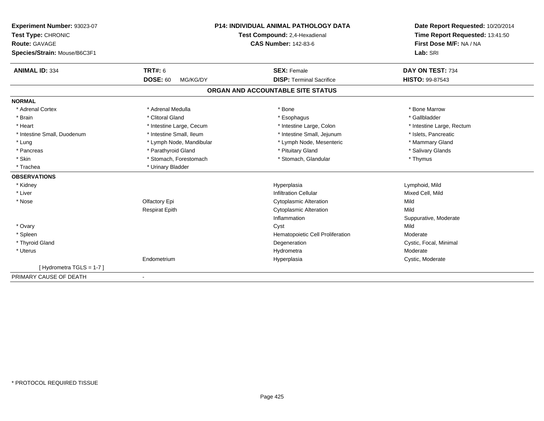| Experiment Number: 93023-07  | <b>P14: INDIVIDUAL ANIMAL PATHOLOGY DATA</b> |                                   | Date Report Requested: 10/20/2014                          |
|------------------------------|----------------------------------------------|-----------------------------------|------------------------------------------------------------|
| Test Type: CHRONIC           |                                              | Test Compound: 2,4-Hexadienal     | Time Report Requested: 13:41:50<br>First Dose M/F: NA / NA |
| <b>Route: GAVAGE</b>         |                                              | <b>CAS Number: 142-83-6</b>       |                                                            |
| Species/Strain: Mouse/B6C3F1 |                                              |                                   | Lab: SRI                                                   |
| <b>ANIMAL ID: 334</b>        | <b>TRT#: 6</b>                               | <b>SEX: Female</b>                | DAY ON TEST: 734                                           |
|                              | <b>DOSE: 60</b><br>MG/KG/DY                  | <b>DISP: Terminal Sacrifice</b>   | HISTO: 99-87543                                            |
|                              |                                              | ORGAN AND ACCOUNTABLE SITE STATUS |                                                            |
| <b>NORMAL</b>                |                                              |                                   |                                                            |
| * Adrenal Cortex             | * Adrenal Medulla                            | * Bone                            | * Bone Marrow                                              |
| * Brain                      | * Clitoral Gland                             | * Esophagus                       | * Gallbladder                                              |
| * Heart                      | * Intestine Large, Cecum                     | * Intestine Large, Colon          | * Intestine Large, Rectum                                  |
| * Intestine Small, Duodenum  | * Intestine Small, Ileum                     | * Intestine Small, Jejunum        | * Islets, Pancreatic                                       |
| * Lung                       | * Lymph Node, Mandibular                     | * Lymph Node, Mesenteric          | * Mammary Gland                                            |
| * Pancreas                   | * Parathyroid Gland                          | * Pituitary Gland                 | * Salivary Glands                                          |
| * Skin                       | * Stomach, Forestomach                       | * Stomach, Glandular              | * Thymus                                                   |
| * Trachea                    | * Urinary Bladder                            |                                   |                                                            |
| <b>OBSERVATIONS</b>          |                                              |                                   |                                                            |
| * Kidney                     |                                              | Hyperplasia                       | Lymphoid, Mild                                             |
| * Liver                      |                                              | <b>Infiltration Cellular</b>      | Mixed Cell, Mild                                           |
| * Nose                       | Olfactory Epi                                | <b>Cytoplasmic Alteration</b>     | Mild                                                       |
|                              | <b>Respirat Epith</b>                        | <b>Cytoplasmic Alteration</b>     | Mild                                                       |
|                              |                                              | Inflammation                      | Suppurative, Moderate                                      |
| * Ovary                      |                                              | Cyst                              | Mild                                                       |
| * Spleen                     |                                              | Hematopoietic Cell Proliferation  | Moderate                                                   |
| * Thyroid Gland              |                                              | Degeneration                      | Cystic, Focal, Minimal                                     |
| * Uterus                     |                                              | Hydrometra                        | Moderate                                                   |
|                              | Endometrium                                  | Hyperplasia                       | Cystic, Moderate                                           |
| [Hydrometra TGLS = 1-7]      |                                              |                                   |                                                            |
| PRIMARY CAUSE OF DEATH       | $\overline{\phantom{a}}$                     |                                   |                                                            |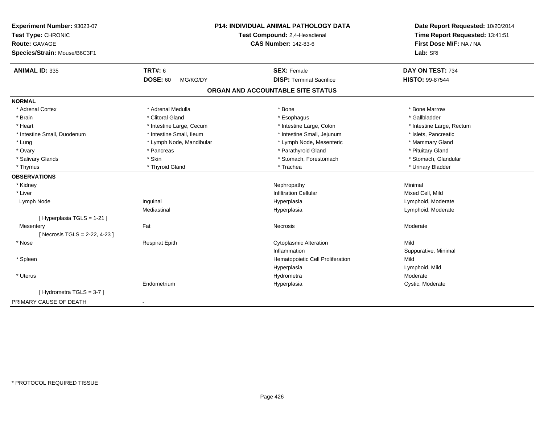| Experiment Number: 93023-07<br>Test Type: CHRONIC |                             | P14: INDIVIDUAL ANIMAL PATHOLOGY DATA<br>Test Compound: 2,4-Hexadienal | Date Report Requested: 10/20/2014<br>Time Report Requested: 13:41:51 |
|---------------------------------------------------|-----------------------------|------------------------------------------------------------------------|----------------------------------------------------------------------|
| Route: GAVAGE                                     |                             | <b>CAS Number: 142-83-6</b>                                            | First Dose M/F: NA / NA                                              |
| Species/Strain: Mouse/B6C3F1                      |                             |                                                                        | Lab: SRI                                                             |
| <b>ANIMAL ID: 335</b>                             | TRT#: 6                     | <b>SEX: Female</b>                                                     | DAY ON TEST: 734                                                     |
|                                                   | <b>DOSE: 60</b><br>MG/KG/DY | <b>DISP: Terminal Sacrifice</b>                                        | HISTO: 99-87544                                                      |
|                                                   |                             | ORGAN AND ACCOUNTABLE SITE STATUS                                      |                                                                      |
| <b>NORMAL</b>                                     |                             |                                                                        |                                                                      |
| * Adrenal Cortex                                  | * Adrenal Medulla           | * Bone                                                                 | * Bone Marrow                                                        |
| * Brain                                           | * Clitoral Gland            | * Esophagus                                                            | * Gallbladder                                                        |
| * Heart                                           | * Intestine Large, Cecum    | * Intestine Large, Colon                                               | * Intestine Large, Rectum                                            |
| * Intestine Small, Duodenum                       | * Intestine Small, Ileum    | * Intestine Small, Jejunum                                             | * Islets, Pancreatic                                                 |
| * Lung                                            | * Lymph Node, Mandibular    | * Lymph Node, Mesenteric                                               | * Mammary Gland                                                      |
| * Ovary                                           | * Pancreas                  | * Parathyroid Gland                                                    | * Pituitary Gland                                                    |
| * Salivary Glands                                 | * Skin                      | * Stomach, Forestomach                                                 | * Stomach, Glandular                                                 |
| * Thymus                                          | * Thyroid Gland             | * Trachea                                                              | * Urinary Bladder                                                    |
| <b>OBSERVATIONS</b>                               |                             |                                                                        |                                                                      |
| * Kidney                                          |                             | Nephropathy                                                            | Minimal                                                              |
| * Liver                                           |                             | <b>Infiltration Cellular</b>                                           | Mixed Cell, Mild                                                     |
| Lymph Node                                        | Inguinal                    | Hyperplasia                                                            | Lymphoid, Moderate                                                   |
|                                                   | Mediastinal                 | Hyperplasia                                                            | Lymphoid, Moderate                                                   |
| [ Hyperplasia TGLS = 1-21 ]                       |                             |                                                                        |                                                                      |
| Mesentery                                         | Fat                         | Necrosis                                                               | Moderate                                                             |
| [Necrosis TGLS = 2-22, 4-23]                      |                             |                                                                        |                                                                      |
| * Nose                                            | <b>Respirat Epith</b>       | <b>Cytoplasmic Alteration</b>                                          | Mild                                                                 |
|                                                   |                             | Inflammation                                                           | Suppurative, Minimal                                                 |
| * Spleen                                          |                             | Hematopoietic Cell Proliferation                                       | Mild                                                                 |
|                                                   |                             | Hyperplasia                                                            | Lymphoid, Mild                                                       |
| * Uterus                                          |                             | Hydrometra                                                             | Moderate                                                             |
|                                                   | Endometrium                 | Hyperplasia                                                            | Cystic, Moderate                                                     |
| [Hydrometra TGLS = 3-7]                           |                             |                                                                        |                                                                      |
| PRIMARY CAUSE OF DEATH                            | $\blacksquare$              |                                                                        |                                                                      |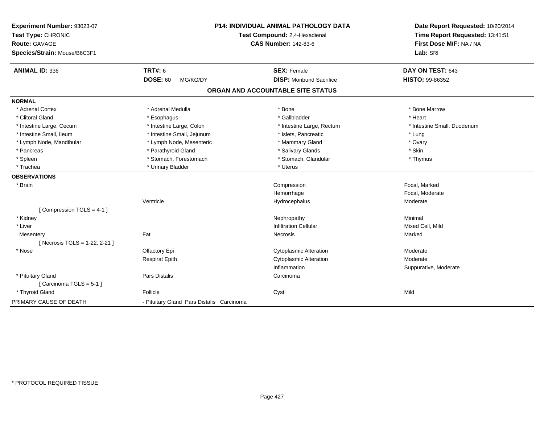| Experiment Number: 93023-07<br>Test Type: CHRONIC<br><b>Route: GAVAGE</b><br>Species/Strain: Mouse/B6C3F1 |                                           | P14: INDIVIDUAL ANIMAL PATHOLOGY DATA<br>Test Compound: 2,4-Hexadienal<br><b>CAS Number: 142-83-6</b> | Date Report Requested: 10/20/2014<br>Time Report Requested: 13:41:51<br>First Dose M/F: NA / NA<br>Lab: SRI |
|-----------------------------------------------------------------------------------------------------------|-------------------------------------------|-------------------------------------------------------------------------------------------------------|-------------------------------------------------------------------------------------------------------------|
| <b>ANIMAL ID: 336</b>                                                                                     | <b>TRT#: 6</b>                            | <b>SEX: Female</b>                                                                                    | DAY ON TEST: 643                                                                                            |
|                                                                                                           | <b>DOSE: 60</b><br>MG/KG/DY               | <b>DISP:</b> Moribund Sacrifice                                                                       | HISTO: 99-86352                                                                                             |
|                                                                                                           |                                           | ORGAN AND ACCOUNTABLE SITE STATUS                                                                     |                                                                                                             |
| <b>NORMAL</b>                                                                                             |                                           |                                                                                                       |                                                                                                             |
| * Adrenal Cortex                                                                                          | * Adrenal Medulla                         | * Bone                                                                                                | * Bone Marrow                                                                                               |
| * Clitoral Gland                                                                                          | * Esophagus                               | * Gallbladder                                                                                         | * Heart                                                                                                     |
| * Intestine Large, Cecum                                                                                  | * Intestine Large, Colon                  | * Intestine Large, Rectum                                                                             | * Intestine Small, Duodenum                                                                                 |
| * Intestine Small, Ileum                                                                                  | * Intestine Small, Jejunum                | * Islets, Pancreatic                                                                                  | * Lung                                                                                                      |
| * Lymph Node, Mandibular                                                                                  | * Lymph Node, Mesenteric                  | * Mammary Gland                                                                                       | * Ovary                                                                                                     |
| * Pancreas                                                                                                | * Parathyroid Gland                       | * Salivary Glands                                                                                     | * Skin                                                                                                      |
| * Spleen                                                                                                  | * Stomach, Forestomach                    | * Stomach, Glandular                                                                                  | * Thymus                                                                                                    |
| * Trachea                                                                                                 | * Urinary Bladder                         | * Uterus                                                                                              |                                                                                                             |
| <b>OBSERVATIONS</b>                                                                                       |                                           |                                                                                                       |                                                                                                             |
| * Brain                                                                                                   |                                           | Compression                                                                                           | Focal, Marked                                                                                               |
|                                                                                                           |                                           | Hemorrhage                                                                                            | Focal, Moderate                                                                                             |
|                                                                                                           | Ventricle                                 | Hydrocephalus                                                                                         | Moderate                                                                                                    |
| [Compression TGLS = 4-1]                                                                                  |                                           |                                                                                                       |                                                                                                             |
| * Kidney                                                                                                  |                                           | Nephropathy                                                                                           | Minimal                                                                                                     |
| * Liver                                                                                                   |                                           | <b>Infiltration Cellular</b>                                                                          | Mixed Cell, Mild                                                                                            |
| Mesentery                                                                                                 | Fat                                       | Necrosis                                                                                              | Marked                                                                                                      |
| [Necrosis TGLS = 1-22, 2-21]                                                                              |                                           |                                                                                                       |                                                                                                             |
| * Nose                                                                                                    | Olfactory Epi                             | <b>Cytoplasmic Alteration</b>                                                                         | Moderate                                                                                                    |
|                                                                                                           | <b>Respirat Epith</b>                     | <b>Cytoplasmic Alteration</b>                                                                         | Moderate                                                                                                    |
|                                                                                                           |                                           | Inflammation                                                                                          | Suppurative, Moderate                                                                                       |
| * Pituitary Gland                                                                                         | Pars Distalis                             | Carcinoma                                                                                             |                                                                                                             |
| [Carcinoma TGLS = 5-1]                                                                                    |                                           |                                                                                                       |                                                                                                             |
| * Thyroid Gland                                                                                           | Follicle                                  | Cyst                                                                                                  | Mild                                                                                                        |
| PRIMARY CAUSE OF DEATH                                                                                    | - Pituitary Gland Pars Distalis Carcinoma |                                                                                                       |                                                                                                             |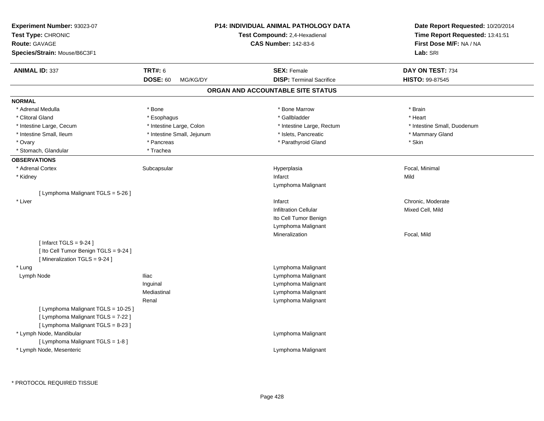| <b>Experiment Number: 93023-07</b><br>Test Type: CHRONIC<br><b>Route: GAVAGE</b><br>Species/Strain: Mouse/B6C3F1 |                                               | <b>P14: INDIVIDUAL ANIMAL PATHOLOGY DATA</b><br>Test Compound: 2,4-Hexadienal<br><b>CAS Number: 142-83-6</b> | Date Report Requested: 10/20/2014<br>Time Report Requested: 13:41:51<br>First Dose M/F: NA / NA<br>Lab: SRI |
|------------------------------------------------------------------------------------------------------------------|-----------------------------------------------|--------------------------------------------------------------------------------------------------------------|-------------------------------------------------------------------------------------------------------------|
| <b>ANIMAL ID: 337</b>                                                                                            | <b>TRT#: 6</b><br><b>DOSE: 60</b><br>MG/KG/DY | <b>SEX: Female</b><br><b>DISP: Terminal Sacrifice</b>                                                        | DAY ON TEST: 734<br>HISTO: 99-87545                                                                         |
|                                                                                                                  |                                               | ORGAN AND ACCOUNTABLE SITE STATUS                                                                            |                                                                                                             |
| <b>NORMAL</b>                                                                                                    |                                               |                                                                                                              |                                                                                                             |
| * Adrenal Medulla                                                                                                | * Bone                                        | * Bone Marrow                                                                                                | * Brain                                                                                                     |
| * Clitoral Gland                                                                                                 | * Esophagus                                   | * Gallbladder                                                                                                | * Heart                                                                                                     |
| * Intestine Large, Cecum                                                                                         | * Intestine Large, Colon                      | * Intestine Large, Rectum                                                                                    | * Intestine Small, Duodenum                                                                                 |
| * Intestine Small, Ileum                                                                                         | * Intestine Small, Jejunum                    | * Islets, Pancreatic                                                                                         | * Mammary Gland                                                                                             |
| * Ovary                                                                                                          | * Pancreas                                    | * Parathyroid Gland                                                                                          | * Skin                                                                                                      |
| * Stomach, Glandular                                                                                             | * Trachea                                     |                                                                                                              |                                                                                                             |
| <b>OBSERVATIONS</b>                                                                                              |                                               |                                                                                                              |                                                                                                             |
| * Adrenal Cortex                                                                                                 | Subcapsular                                   | Hyperplasia                                                                                                  | Focal, Minimal                                                                                              |
| * Kidney                                                                                                         |                                               | Infarct                                                                                                      | Mild                                                                                                        |
|                                                                                                                  |                                               | Lymphoma Malignant                                                                                           |                                                                                                             |
| [ Lymphoma Malignant TGLS = 5-26 ]<br>* Liver                                                                    |                                               | Infarct                                                                                                      | Chronic, Moderate                                                                                           |
|                                                                                                                  |                                               | Infiltration Cellular                                                                                        | Mixed Cell, Mild                                                                                            |
|                                                                                                                  |                                               | Ito Cell Tumor Benign                                                                                        |                                                                                                             |
|                                                                                                                  |                                               | Lymphoma Malignant                                                                                           |                                                                                                             |
|                                                                                                                  |                                               | Mineralization                                                                                               | Focal, Mild                                                                                                 |
| [Infarct TGLS = $9-24$ ]                                                                                         |                                               |                                                                                                              |                                                                                                             |
| [ Ito Cell Tumor Benign TGLS = 9-24 ]                                                                            |                                               |                                                                                                              |                                                                                                             |
| [Mineralization TGLS = 9-24]                                                                                     |                                               |                                                                                                              |                                                                                                             |
| * Lung                                                                                                           |                                               | Lymphoma Malignant                                                                                           |                                                                                                             |
| Lymph Node                                                                                                       | <b>Iliac</b>                                  | Lymphoma Malignant                                                                                           |                                                                                                             |
|                                                                                                                  | Inguinal                                      | Lymphoma Malignant                                                                                           |                                                                                                             |
|                                                                                                                  | Mediastinal                                   | Lymphoma Malignant                                                                                           |                                                                                                             |
|                                                                                                                  | Renal                                         | Lymphoma Malignant                                                                                           |                                                                                                             |
| [ Lymphoma Malignant TGLS = 10-25 ]<br>[ Lymphoma Malignant TGLS = 7-22 ]<br>[ Lymphoma Malignant TGLS = 8-23 ]  |                                               |                                                                                                              |                                                                                                             |
| * Lymph Node, Mandibular<br>[ Lymphoma Malignant TGLS = 1-8 ]                                                    |                                               | Lymphoma Malignant                                                                                           |                                                                                                             |
| * Lymph Node, Mesenteric                                                                                         |                                               | Lymphoma Malignant                                                                                           |                                                                                                             |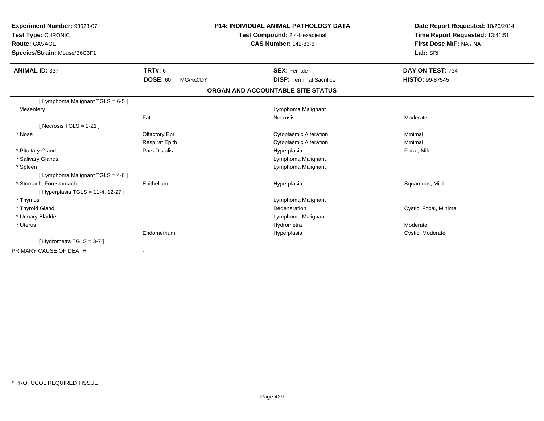| Experiment Number: 93023-07<br>Test Type: CHRONIC<br><b>Route: GAVAGE</b><br>Species/Strain: Mouse/B6C3F1 |                             | <b>P14: INDIVIDUAL ANIMAL PATHOLOGY DATA</b><br>Test Compound: 2,4-Hexadienal<br><b>CAS Number: 142-83-6</b> | Date Report Requested: 10/20/2014<br>Time Report Requested: 13:41:51<br>First Dose M/F: NA / NA<br>Lab: SRI |
|-----------------------------------------------------------------------------------------------------------|-----------------------------|--------------------------------------------------------------------------------------------------------------|-------------------------------------------------------------------------------------------------------------|
| <b>ANIMAL ID: 337</b>                                                                                     | <b>TRT#: 6</b>              | <b>SEX: Female</b>                                                                                           | DAY ON TEST: 734                                                                                            |
|                                                                                                           | <b>DOSE: 60</b><br>MG/KG/DY | <b>DISP: Terminal Sacrifice</b>                                                                              | <b>HISTO: 99-87545</b>                                                                                      |
|                                                                                                           |                             | ORGAN AND ACCOUNTABLE SITE STATUS                                                                            |                                                                                                             |
| [ Lymphoma Malignant TGLS = 6-5 ]                                                                         |                             |                                                                                                              |                                                                                                             |
| Mesentery                                                                                                 |                             | Lymphoma Malignant                                                                                           |                                                                                                             |
|                                                                                                           | Fat                         | Necrosis                                                                                                     | Moderate                                                                                                    |
| [Necrosis TGLS = $2-21$ ]                                                                                 |                             |                                                                                                              |                                                                                                             |
| * Nose                                                                                                    | Olfactory Epi               | <b>Cytoplasmic Alteration</b>                                                                                | Minimal                                                                                                     |
|                                                                                                           | <b>Respirat Epith</b>       | <b>Cytoplasmic Alteration</b>                                                                                | Minimal                                                                                                     |
| * Pituitary Gland                                                                                         | <b>Pars Distalis</b>        | Hyperplasia                                                                                                  | Focal, Mild                                                                                                 |
| * Salivary Glands                                                                                         |                             | Lymphoma Malignant                                                                                           |                                                                                                             |
| * Spleen                                                                                                  |                             | Lymphoma Malignant                                                                                           |                                                                                                             |
| [ Lymphoma Malignant TGLS = 4-6 ]                                                                         |                             |                                                                                                              |                                                                                                             |
| * Stomach, Forestomach<br>[ Hyperplasia TGLS = 11-4, 12-27 ]                                              | Epithelium                  | Hyperplasia                                                                                                  | Squamous, Mild                                                                                              |
| * Thymus                                                                                                  |                             | Lymphoma Malignant                                                                                           |                                                                                                             |
| * Thyroid Gland                                                                                           |                             | Degeneration                                                                                                 | Cystic, Focal, Minimal                                                                                      |
| * Urinary Bladder                                                                                         |                             | Lymphoma Malignant                                                                                           |                                                                                                             |
| * Uterus                                                                                                  |                             | Hydrometra                                                                                                   | Moderate                                                                                                    |
|                                                                                                           | Endometrium                 | Hyperplasia                                                                                                  | Cystic, Moderate                                                                                            |
| [Hydrometra TGLS = 3-7]                                                                                   |                             |                                                                                                              |                                                                                                             |
| PRIMARY CAUSE OF DEATH                                                                                    | $\blacksquare$              |                                                                                                              |                                                                                                             |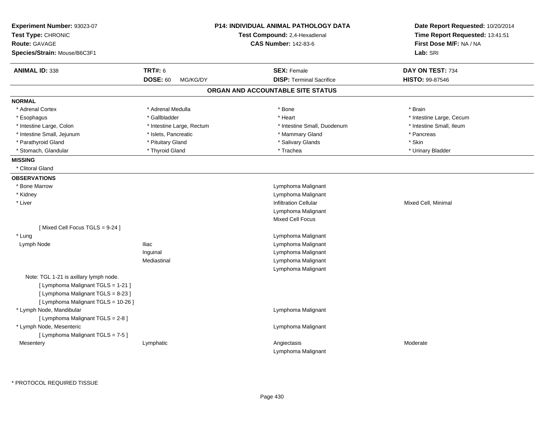| Experiment Number: 93023-07<br>Test Type: CHRONIC<br><b>Route: GAVAGE</b><br>Species/Strain: Mouse/B6C3F1 |                             | <b>P14: INDIVIDUAL ANIMAL PATHOLOGY DATA</b><br>Test Compound: 2,4-Hexadienal<br><b>CAS Number: 142-83-6</b> | Date Report Requested: 10/20/2014<br>Time Report Requested: 13:41:51<br>First Dose M/F: NA / NA<br>Lab: SRI |
|-----------------------------------------------------------------------------------------------------------|-----------------------------|--------------------------------------------------------------------------------------------------------------|-------------------------------------------------------------------------------------------------------------|
| <b>ANIMAL ID: 338</b>                                                                                     | <b>TRT#: 6</b>              | <b>SEX: Female</b>                                                                                           | DAY ON TEST: 734                                                                                            |
|                                                                                                           | <b>DOSE: 60</b><br>MG/KG/DY | <b>DISP: Terminal Sacrifice</b>                                                                              | HISTO: 99-87546                                                                                             |
|                                                                                                           |                             | ORGAN AND ACCOUNTABLE SITE STATUS                                                                            |                                                                                                             |
| <b>NORMAL</b>                                                                                             |                             |                                                                                                              |                                                                                                             |
| * Adrenal Cortex                                                                                          | * Adrenal Medulla           | * Bone                                                                                                       | * Brain                                                                                                     |
| * Esophagus                                                                                               | * Gallbladder               | * Heart                                                                                                      | * Intestine Large, Cecum                                                                                    |
| * Intestine Large, Colon                                                                                  | * Intestine Large, Rectum   | * Intestine Small, Duodenum                                                                                  | * Intestine Small, Ileum                                                                                    |
| * Intestine Small, Jejunum                                                                                | * Islets, Pancreatic        | * Mammary Gland                                                                                              | * Pancreas                                                                                                  |
| * Parathyroid Gland                                                                                       | * Pituitary Gland           | * Salivary Glands                                                                                            | * Skin                                                                                                      |
| * Stomach, Glandular                                                                                      | * Thyroid Gland             | * Trachea                                                                                                    | * Urinary Bladder                                                                                           |
| <b>MISSING</b>                                                                                            |                             |                                                                                                              |                                                                                                             |
| * Clitoral Gland                                                                                          |                             |                                                                                                              |                                                                                                             |
| <b>OBSERVATIONS</b>                                                                                       |                             |                                                                                                              |                                                                                                             |
| * Bone Marrow                                                                                             |                             | Lymphoma Malignant                                                                                           |                                                                                                             |
| * Kidney                                                                                                  |                             | Lymphoma Malignant                                                                                           |                                                                                                             |
| * Liver                                                                                                   |                             | Infiltration Cellular                                                                                        | Mixed Cell, Minimal                                                                                         |
|                                                                                                           |                             | Lymphoma Malignant                                                                                           |                                                                                                             |
|                                                                                                           |                             | <b>Mixed Cell Focus</b>                                                                                      |                                                                                                             |
| [Mixed Cell Focus TGLS = 9-24]                                                                            |                             |                                                                                                              |                                                                                                             |
| * Lung                                                                                                    |                             | Lymphoma Malignant                                                                                           |                                                                                                             |
| Lymph Node                                                                                                | <b>Iliac</b>                | Lymphoma Malignant                                                                                           |                                                                                                             |
|                                                                                                           | Inguinal                    | Lymphoma Malignant                                                                                           |                                                                                                             |
|                                                                                                           | Mediastinal                 | Lymphoma Malignant                                                                                           |                                                                                                             |
|                                                                                                           |                             | Lymphoma Malignant                                                                                           |                                                                                                             |
| Note: TGL 1-21 is axillary lymph node.                                                                    |                             |                                                                                                              |                                                                                                             |
| [ Lymphoma Malignant TGLS = 1-21 ]                                                                        |                             |                                                                                                              |                                                                                                             |
| [ Lymphoma Malignant TGLS = 8-23 ]                                                                        |                             |                                                                                                              |                                                                                                             |
| [ Lymphoma Malignant TGLS = 10-26 ]                                                                       |                             |                                                                                                              |                                                                                                             |
| * Lymph Node, Mandibular                                                                                  |                             | Lymphoma Malignant                                                                                           |                                                                                                             |
| [ Lymphoma Malignant TGLS = 2-8 ]                                                                         |                             |                                                                                                              |                                                                                                             |
| * Lymph Node, Mesenteric                                                                                  |                             | Lymphoma Malignant                                                                                           |                                                                                                             |
| [ Lymphoma Malignant TGLS = 7-5 ]                                                                         |                             |                                                                                                              |                                                                                                             |
| Mesentery                                                                                                 | Lymphatic                   | Angiectasis                                                                                                  | Moderate                                                                                                    |
|                                                                                                           |                             | Lymphoma Malignant                                                                                           |                                                                                                             |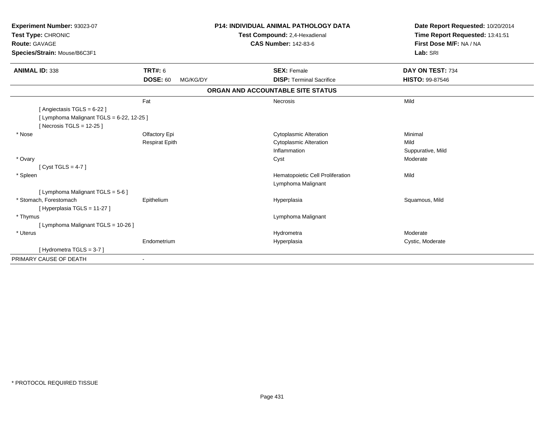| Experiment Number: 93023-07<br>Test Type: CHRONIC<br><b>Route: GAVAGE</b><br>Species/Strain: Mouse/B6C3F1 |                             | <b>P14: INDIVIDUAL ANIMAL PATHOLOGY DATA</b><br>Test Compound: 2,4-Hexadienal<br><b>CAS Number: 142-83-6</b> | Date Report Requested: 10/20/2014<br>Time Report Requested: 13:41:51<br>First Dose M/F: NA / NA<br>Lab: SRI |
|-----------------------------------------------------------------------------------------------------------|-----------------------------|--------------------------------------------------------------------------------------------------------------|-------------------------------------------------------------------------------------------------------------|
| <b>ANIMAL ID: 338</b>                                                                                     | <b>TRT#: 6</b>              | <b>SEX: Female</b>                                                                                           | DAY ON TEST: 734                                                                                            |
|                                                                                                           | <b>DOSE: 60</b><br>MG/KG/DY | <b>DISP: Terminal Sacrifice</b>                                                                              | HISTO: 99-87546                                                                                             |
|                                                                                                           |                             | ORGAN AND ACCOUNTABLE SITE STATUS                                                                            |                                                                                                             |
|                                                                                                           | Fat                         | <b>Necrosis</b>                                                                                              | Mild                                                                                                        |
| [ Angiectasis TGLS = 6-22 ]                                                                               |                             |                                                                                                              |                                                                                                             |
| [ Lymphoma Malignant TGLS = 6-22, 12-25 ]                                                                 |                             |                                                                                                              |                                                                                                             |
| [Necrosis TGLS = $12-25$ ]                                                                                |                             |                                                                                                              |                                                                                                             |
| * Nose                                                                                                    | Olfactory Epi               | <b>Cytoplasmic Alteration</b>                                                                                | Minimal                                                                                                     |
|                                                                                                           | <b>Respirat Epith</b>       | <b>Cytoplasmic Alteration</b>                                                                                | Mild                                                                                                        |
|                                                                                                           |                             | Inflammation                                                                                                 | Suppurative, Mild                                                                                           |
| * Ovary                                                                                                   |                             | Cyst                                                                                                         | Moderate                                                                                                    |
| [Cyst TGLS = $4-7$ ]                                                                                      |                             |                                                                                                              |                                                                                                             |
| * Spleen                                                                                                  |                             | Hematopoietic Cell Proliferation                                                                             | Mild                                                                                                        |
|                                                                                                           |                             | Lymphoma Malignant                                                                                           |                                                                                                             |
| [ Lymphoma Malignant TGLS = 5-6 ]                                                                         |                             |                                                                                                              |                                                                                                             |
| * Stomach. Forestomach                                                                                    | Epithelium                  | Hyperplasia                                                                                                  | Squamous, Mild                                                                                              |
| [Hyperplasia TGLS = 11-27]                                                                                |                             |                                                                                                              |                                                                                                             |
| * Thymus                                                                                                  |                             | Lymphoma Malignant                                                                                           |                                                                                                             |
| [ Lymphoma Malignant TGLS = 10-26 ]                                                                       |                             |                                                                                                              |                                                                                                             |
| * Uterus                                                                                                  |                             | Hydrometra                                                                                                   | Moderate                                                                                                    |
|                                                                                                           | Endometrium                 | Hyperplasia                                                                                                  | Cystic, Moderate                                                                                            |
| [Hydrometra TGLS = 3-7]                                                                                   |                             |                                                                                                              |                                                                                                             |
| PRIMARY CAUSE OF DEATH                                                                                    | $\blacksquare$              |                                                                                                              |                                                                                                             |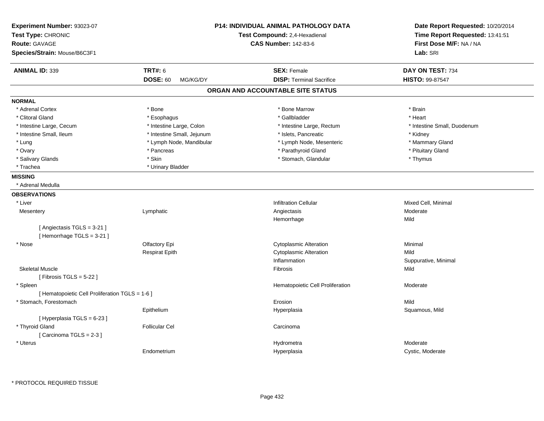| Experiment Number: 93023-07<br>Test Type: CHRONIC<br><b>Route: GAVAGE</b><br>Species/Strain: Mouse/B6C3F1 |                             | <b>P14: INDIVIDUAL ANIMAL PATHOLOGY DATA</b><br>Test Compound: 2,4-Hexadienal<br><b>CAS Number: 142-83-6</b> | Date Report Requested: 10/20/2014<br>Time Report Requested: 13:41:51<br>First Dose M/F: NA / NA<br>Lab: SRI |
|-----------------------------------------------------------------------------------------------------------|-----------------------------|--------------------------------------------------------------------------------------------------------------|-------------------------------------------------------------------------------------------------------------|
| <b>ANIMAL ID: 339</b>                                                                                     | <b>TRT#: 6</b>              | <b>SEX: Female</b>                                                                                           | DAY ON TEST: 734                                                                                            |
|                                                                                                           | <b>DOSE: 60</b><br>MG/KG/DY | <b>DISP: Terminal Sacrifice</b>                                                                              | <b>HISTO: 99-87547</b>                                                                                      |
|                                                                                                           |                             | ORGAN AND ACCOUNTABLE SITE STATUS                                                                            |                                                                                                             |
| <b>NORMAL</b>                                                                                             |                             |                                                                                                              |                                                                                                             |
| * Adrenal Cortex                                                                                          | * Bone                      | * Bone Marrow                                                                                                | * Brain                                                                                                     |
| * Clitoral Gland                                                                                          | * Esophagus                 | * Gallbladder                                                                                                | * Heart                                                                                                     |
| * Intestine Large, Cecum                                                                                  | * Intestine Large, Colon    | * Intestine Large, Rectum                                                                                    | * Intestine Small, Duodenum                                                                                 |
| * Intestine Small, Ileum                                                                                  | * Intestine Small, Jejunum  | * Islets, Pancreatic                                                                                         | * Kidney                                                                                                    |
| * Lung                                                                                                    | * Lymph Node, Mandibular    | * Lymph Node, Mesenteric                                                                                     | * Mammary Gland                                                                                             |
| * Ovary                                                                                                   | * Pancreas                  | * Parathyroid Gland                                                                                          | * Pituitary Gland                                                                                           |
| * Salivary Glands                                                                                         | * Skin                      | * Stomach, Glandular                                                                                         | * Thymus                                                                                                    |
| * Trachea                                                                                                 | * Urinary Bladder           |                                                                                                              |                                                                                                             |
| <b>MISSING</b>                                                                                            |                             |                                                                                                              |                                                                                                             |
| * Adrenal Medulla                                                                                         |                             |                                                                                                              |                                                                                                             |
| <b>OBSERVATIONS</b>                                                                                       |                             |                                                                                                              |                                                                                                             |
| * Liver                                                                                                   |                             | <b>Infiltration Cellular</b>                                                                                 | Mixed Cell, Minimal                                                                                         |
| Mesentery                                                                                                 | Lymphatic                   | Angiectasis                                                                                                  | Moderate                                                                                                    |
|                                                                                                           |                             | Hemorrhage                                                                                                   | Mild                                                                                                        |
| [Angiectasis TGLS = 3-21]                                                                                 |                             |                                                                                                              |                                                                                                             |
| [Hemorrhage TGLS = 3-21]                                                                                  |                             |                                                                                                              |                                                                                                             |
| * Nose                                                                                                    | Olfactory Epi               | <b>Cytoplasmic Alteration</b>                                                                                | Minimal                                                                                                     |
|                                                                                                           | <b>Respirat Epith</b>       | <b>Cytoplasmic Alteration</b>                                                                                | Mild                                                                                                        |
|                                                                                                           |                             | Inflammation                                                                                                 | Suppurative, Minimal                                                                                        |
| <b>Skeletal Muscle</b>                                                                                    |                             | Fibrosis                                                                                                     | Mild                                                                                                        |
| [Fibrosis TGLS = $5-22$ ]                                                                                 |                             |                                                                                                              |                                                                                                             |
| * Spleen                                                                                                  |                             | Hematopoietic Cell Proliferation                                                                             | Moderate                                                                                                    |
| [ Hematopoietic Cell Proliferation TGLS = 1-6 ]<br>* Stomach, Forestomach                                 |                             | Erosion                                                                                                      | Mild                                                                                                        |
|                                                                                                           | Epithelium                  |                                                                                                              | Squamous, Mild                                                                                              |
| [Hyperplasia TGLS = 6-23]                                                                                 |                             | Hyperplasia                                                                                                  |                                                                                                             |
| * Thyroid Gland                                                                                           | <b>Follicular Cel</b>       | Carcinoma                                                                                                    |                                                                                                             |
| [Carcinoma TGLS = 2-3]                                                                                    |                             |                                                                                                              |                                                                                                             |
| * Uterus                                                                                                  |                             | Hydrometra                                                                                                   | Moderate                                                                                                    |
|                                                                                                           | Endometrium                 | Hyperplasia                                                                                                  | Cystic, Moderate                                                                                            |
|                                                                                                           |                             |                                                                                                              |                                                                                                             |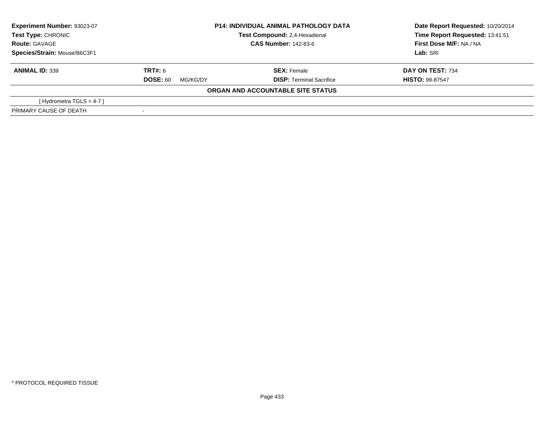| Experiment Number: 93023-07  | <b>P14: INDIVIDUAL ANIMAL PATHOLOGY DATA</b><br>Test Compound: 2,4-Hexadienal |                                   | Date Report Requested: 10/20/2014 |
|------------------------------|-------------------------------------------------------------------------------|-----------------------------------|-----------------------------------|
| <b>Test Type: CHRONIC</b>    |                                                                               |                                   | Time Report Requested: 13:41:51   |
| <b>Route: GAVAGE</b>         |                                                                               | <b>CAS Number: 142-83-6</b>       | First Dose M/F: NA / NA           |
| Species/Strain: Mouse/B6C3F1 |                                                                               |                                   | Lab: SRI                          |
| <b>ANIMAL ID: 339</b>        | <b>TRT#:</b> 6                                                                | <b>SEX: Female</b>                | DAY ON TEST: 734                  |
|                              | <b>DOSE: 60</b><br>MG/KG/DY                                                   | <b>DISP: Terminal Sacrifice</b>   | <b>HISTO: 99-87547</b>            |
|                              |                                                                               | ORGAN AND ACCOUNTABLE SITE STATUS |                                   |
| [Hydrometra TGLS = 4-7]      |                                                                               |                                   |                                   |
| PRIMARY CAUSE OF DEATH       |                                                                               |                                   |                                   |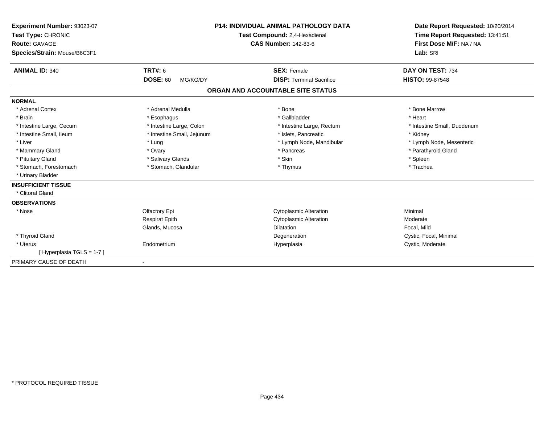| Experiment Number: 93023-07<br>Test Type: CHRONIC<br>Route: GAVAGE<br>Species/Strain: Mouse/B6C3F1 |                             | <b>P14: INDIVIDUAL ANIMAL PATHOLOGY DATA</b><br>Test Compound: 2,4-Hexadienal<br><b>CAS Number: 142-83-6</b> | Date Report Requested: 10/20/2014<br>Time Report Requested: 13:41:51<br>First Dose M/F: NA / NA<br>Lab: SRI |
|----------------------------------------------------------------------------------------------------|-----------------------------|--------------------------------------------------------------------------------------------------------------|-------------------------------------------------------------------------------------------------------------|
| <b>ANIMAL ID: 340</b>                                                                              | <b>TRT#: 6</b>              | <b>SEX: Female</b>                                                                                           | DAY ON TEST: 734                                                                                            |
|                                                                                                    | <b>DOSE: 60</b><br>MG/KG/DY | <b>DISP: Terminal Sacrifice</b>                                                                              | <b>HISTO: 99-87548</b>                                                                                      |
|                                                                                                    |                             | ORGAN AND ACCOUNTABLE SITE STATUS                                                                            |                                                                                                             |
| <b>NORMAL</b>                                                                                      |                             |                                                                                                              |                                                                                                             |
| * Adrenal Cortex                                                                                   | * Adrenal Medulla           | * Bone                                                                                                       | * Bone Marrow                                                                                               |
| * Brain                                                                                            | * Esophagus                 | * Gallbladder                                                                                                | * Heart                                                                                                     |
| * Intestine Large, Cecum                                                                           | * Intestine Large, Colon    | * Intestine Large, Rectum                                                                                    | * Intestine Small, Duodenum                                                                                 |
| * Intestine Small, Ileum                                                                           | * Intestine Small, Jejunum  | * Islets, Pancreatic                                                                                         | * Kidney                                                                                                    |
| * Liver                                                                                            | * Lung                      | * Lymph Node, Mandibular                                                                                     | * Lymph Node, Mesenteric                                                                                    |
| * Mammary Gland                                                                                    | * Ovary                     | * Pancreas                                                                                                   | * Parathyroid Gland                                                                                         |
| * Pituitary Gland                                                                                  | * Salivary Glands           | * Skin                                                                                                       | * Spleen                                                                                                    |
| * Stomach, Forestomach                                                                             | * Stomach, Glandular        | * Thymus                                                                                                     | * Trachea                                                                                                   |
| * Urinary Bladder                                                                                  |                             |                                                                                                              |                                                                                                             |
| <b>INSUFFICIENT TISSUE</b>                                                                         |                             |                                                                                                              |                                                                                                             |
| * Clitoral Gland                                                                                   |                             |                                                                                                              |                                                                                                             |
| <b>OBSERVATIONS</b>                                                                                |                             |                                                                                                              |                                                                                                             |
| * Nose                                                                                             | Olfactory Epi               | <b>Cytoplasmic Alteration</b>                                                                                | Minimal                                                                                                     |
|                                                                                                    | <b>Respirat Epith</b>       | <b>Cytoplasmic Alteration</b>                                                                                | Moderate                                                                                                    |
|                                                                                                    | Glands, Mucosa              | <b>Dilatation</b>                                                                                            | Focal, Mild                                                                                                 |
| * Thyroid Gland                                                                                    |                             | Degeneration                                                                                                 | Cystic, Focal, Minimal                                                                                      |
| * Uterus                                                                                           | Endometrium                 | Hyperplasia                                                                                                  | Cystic, Moderate                                                                                            |
| [Hyperplasia TGLS = 1-7]                                                                           |                             |                                                                                                              |                                                                                                             |
| PRIMARY CAUSE OF DEATH                                                                             |                             |                                                                                                              |                                                                                                             |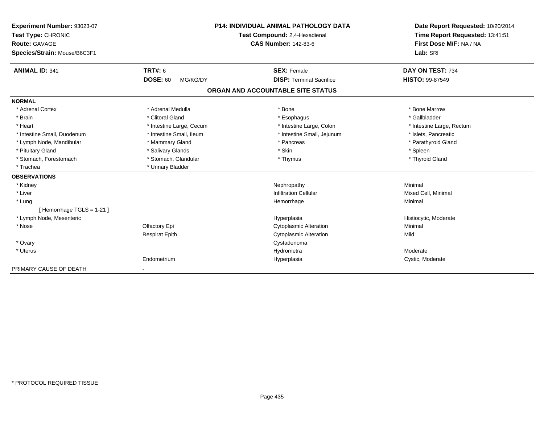| Experiment Number: 93023-07<br>Test Type: CHRONIC |                             | <b>P14: INDIVIDUAL ANIMAL PATHOLOGY DATA</b> | Date Report Requested: 10/20/2014<br>Time Report Requested: 13:41:51 |
|---------------------------------------------------|-----------------------------|----------------------------------------------|----------------------------------------------------------------------|
|                                                   |                             | Test Compound: 2,4-Hexadienal                |                                                                      |
| <b>Route: GAVAGE</b>                              |                             | <b>CAS Number: 142-83-6</b>                  | First Dose M/F: NA / NA                                              |
| Species/Strain: Mouse/B6C3F1                      |                             |                                              | Lab: SRI                                                             |
| <b>ANIMAL ID: 341</b>                             | <b>TRT#: 6</b>              | <b>SEX: Female</b>                           | DAY ON TEST: 734                                                     |
|                                                   | <b>DOSE: 60</b><br>MG/KG/DY | <b>DISP: Terminal Sacrifice</b>              | <b>HISTO: 99-87549</b>                                               |
|                                                   |                             | ORGAN AND ACCOUNTABLE SITE STATUS            |                                                                      |
| <b>NORMAL</b>                                     |                             |                                              |                                                                      |
| * Adrenal Cortex                                  | * Adrenal Medulla           | * Bone                                       | * Bone Marrow                                                        |
| * Brain                                           | * Clitoral Gland            | * Esophagus                                  | * Gallbladder                                                        |
| * Heart                                           | * Intestine Large, Cecum    | * Intestine Large, Colon                     | * Intestine Large, Rectum                                            |
| * Intestine Small, Duodenum                       | * Intestine Small, Ileum    | * Intestine Small, Jejunum                   | * Islets. Pancreatic                                                 |
| * Lymph Node, Mandibular                          | * Mammary Gland             | * Pancreas                                   | * Parathyroid Gland                                                  |
| * Pituitary Gland                                 | * Salivary Glands           | * Skin                                       | * Spleen                                                             |
| * Stomach, Forestomach                            | * Stomach, Glandular        | * Thymus                                     | * Thyroid Gland                                                      |
| * Trachea                                         | * Urinary Bladder           |                                              |                                                                      |
| <b>OBSERVATIONS</b>                               |                             |                                              |                                                                      |
| * Kidney                                          |                             | Nephropathy                                  | Minimal                                                              |
| * Liver                                           |                             | <b>Infiltration Cellular</b>                 | Mixed Cell, Minimal                                                  |
| * Lung                                            |                             | Hemorrhage                                   | Minimal                                                              |
| [Hemorrhage TGLS = 1-21]                          |                             |                                              |                                                                      |
| * Lymph Node, Mesenteric                          |                             | Hyperplasia                                  | Histiocytic, Moderate                                                |
| * Nose                                            | Olfactory Epi               | <b>Cytoplasmic Alteration</b>                | Minimal                                                              |
|                                                   | <b>Respirat Epith</b>       | <b>Cytoplasmic Alteration</b>                | Mild                                                                 |
| * Ovary                                           |                             | Cystadenoma                                  |                                                                      |
| * Uterus                                          |                             | Hydrometra                                   | Moderate                                                             |
|                                                   | Endometrium                 | Hyperplasia                                  | Cystic, Moderate                                                     |
| PRIMARY CAUSE OF DEATH                            |                             |                                              |                                                                      |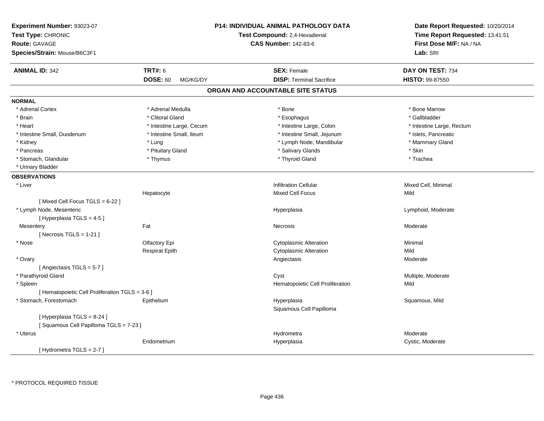| Experiment Number: 93023-07<br>Test Type: CHRONIC<br><b>Route: GAVAGE</b><br>Species/Strain: Mouse/B6C3F1 |                             | P14: INDIVIDUAL ANIMAL PATHOLOGY DATA<br>Test Compound: 2,4-Hexadienal<br><b>CAS Number: 142-83-6</b> | Date Report Requested: 10/20/2014<br>Time Report Requested: 13:41:51<br>First Dose M/F: NA / NA<br>Lab: SRI |
|-----------------------------------------------------------------------------------------------------------|-----------------------------|-------------------------------------------------------------------------------------------------------|-------------------------------------------------------------------------------------------------------------|
| <b>ANIMAL ID: 342</b>                                                                                     | <b>TRT#: 6</b>              | <b>SEX: Female</b>                                                                                    | DAY ON TEST: 734                                                                                            |
|                                                                                                           | <b>DOSE: 60</b><br>MG/KG/DY | <b>DISP: Terminal Sacrifice</b>                                                                       | <b>HISTO: 99-87550</b>                                                                                      |
|                                                                                                           |                             | ORGAN AND ACCOUNTABLE SITE STATUS                                                                     |                                                                                                             |
| <b>NORMAL</b>                                                                                             |                             |                                                                                                       |                                                                                                             |
| * Adrenal Cortex                                                                                          | * Adrenal Medulla           | * Bone                                                                                                | * Bone Marrow                                                                                               |
| * Brain                                                                                                   | * Clitoral Gland            | * Esophagus                                                                                           | * Gallbladder                                                                                               |
| * Heart                                                                                                   | * Intestine Large, Cecum    | * Intestine Large, Colon                                                                              | * Intestine Large, Rectum                                                                                   |
| * Intestine Small, Duodenum                                                                               | * Intestine Small, Ileum    | * Intestine Small, Jejunum                                                                            | * Islets, Pancreatic                                                                                        |
| * Kidney                                                                                                  | * Lung                      | * Lymph Node, Mandibular                                                                              | * Mammary Gland                                                                                             |
| * Pancreas                                                                                                | * Pituitary Gland           | * Salivary Glands                                                                                     | * Skin                                                                                                      |
| * Stomach, Glandular                                                                                      | * Thymus                    | * Thyroid Gland                                                                                       | * Trachea                                                                                                   |
| * Urinary Bladder                                                                                         |                             |                                                                                                       |                                                                                                             |
| <b>OBSERVATIONS</b>                                                                                       |                             |                                                                                                       |                                                                                                             |
| * Liver                                                                                                   |                             | <b>Infiltration Cellular</b>                                                                          | Mixed Cell, Minimal                                                                                         |
|                                                                                                           | Hepatocyte                  | <b>Mixed Cell Focus</b>                                                                               | Mild                                                                                                        |
| [Mixed Cell Focus TGLS = 6-22]                                                                            |                             |                                                                                                       |                                                                                                             |
| * Lymph Node, Mesenteric                                                                                  |                             | Hyperplasia                                                                                           | Lymphoid, Moderate                                                                                          |
| [ Hyperplasia TGLS = 4-5 ]                                                                                |                             |                                                                                                       |                                                                                                             |
| Mesentery                                                                                                 | Fat                         | Necrosis                                                                                              | Moderate                                                                                                    |
| [ Necrosis TGLS = $1-21$ ]                                                                                |                             |                                                                                                       |                                                                                                             |
| * Nose                                                                                                    | Olfactory Epi               | <b>Cytoplasmic Alteration</b>                                                                         | Minimal                                                                                                     |
|                                                                                                           | <b>Respirat Epith</b>       | <b>Cytoplasmic Alteration</b>                                                                         | Mild                                                                                                        |
| * Ovary                                                                                                   |                             | Angiectasis                                                                                           | Moderate                                                                                                    |
| [Angiectasis TGLS = 5-7]                                                                                  |                             |                                                                                                       |                                                                                                             |
| * Parathyroid Gland                                                                                       |                             | Cyst                                                                                                  | Multiple, Moderate                                                                                          |
| * Spleen                                                                                                  |                             | Hematopoietic Cell Proliferation                                                                      | Mild                                                                                                        |
| [ Hematopoietic Cell Proliferation TGLS = 3-6 ]                                                           |                             |                                                                                                       |                                                                                                             |
| * Stomach, Forestomach                                                                                    | Epithelium                  | Hyperplasia                                                                                           | Squamous, Mild                                                                                              |
|                                                                                                           |                             | Squamous Cell Papilloma                                                                               |                                                                                                             |
| [ Hyperplasia TGLS = 8-24 ]                                                                               |                             |                                                                                                       |                                                                                                             |
| [Squamous Cell Papilloma TGLS = 7-23]                                                                     |                             |                                                                                                       |                                                                                                             |
| * Uterus                                                                                                  |                             | Hydrometra                                                                                            | Moderate                                                                                                    |
|                                                                                                           | Endometrium                 | Hyperplasia                                                                                           | Cystic, Moderate                                                                                            |
| [Hydrometra TGLS = $2-7$ ]                                                                                |                             |                                                                                                       |                                                                                                             |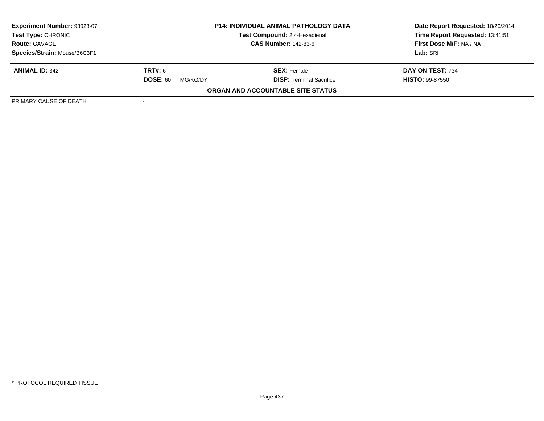| <b>Experiment Number: 93023-07</b><br>Test Type: CHRONIC<br><b>Route: GAVAGE</b><br>Species/Strain: Mouse/B6C3F1 |                                               | <b>P14: INDIVIDUAL ANIMAL PATHOLOGY DATA</b><br>Test Compound: 2,4-Hexadienal<br><b>CAS Number: 142-83-6</b> | Date Report Requested: 10/20/2014<br>Time Report Requested: 13:41:51<br>First Dose M/F: NA / NA<br>Lab: SRI |
|------------------------------------------------------------------------------------------------------------------|-----------------------------------------------|--------------------------------------------------------------------------------------------------------------|-------------------------------------------------------------------------------------------------------------|
| <b>ANIMAL ID: 342</b>                                                                                            | <b>TRT#: 6</b><br><b>DOSE: 60</b><br>MG/KG/DY | <b>SEX: Female</b><br><b>DISP: Terminal Sacrifice</b>                                                        | DAY ON TEST: 734<br><b>HISTO: 99-87550</b>                                                                  |
|                                                                                                                  |                                               | <b>ORGAN AND ACCOUNTABLE SITE STATUS</b>                                                                     |                                                                                                             |
| PRIMARY CAUSE OF DEATH                                                                                           | $\overline{\phantom{0}}$                      |                                                                                                              |                                                                                                             |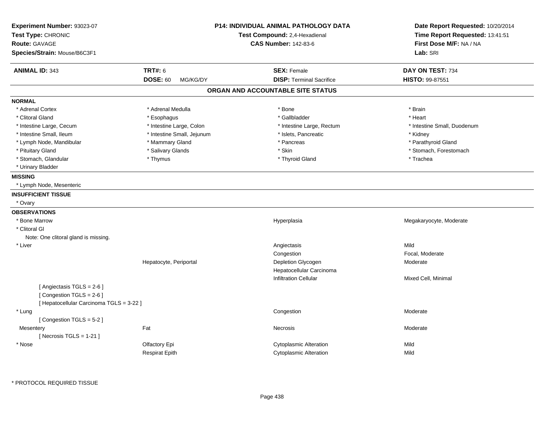| Experiment Number: 93023-07<br>Test Type: CHRONIC<br><b>Route: GAVAGE</b><br>Species/Strain: Mouse/B6C3F1 |                                               | <b>P14: INDIVIDUAL ANIMAL PATHOLOGY DATA</b><br>Test Compound: 2,4-Hexadienal<br><b>CAS Number: 142-83-6</b> | Date Report Requested: 10/20/2014<br>Time Report Requested: 13:41:51<br>First Dose M/F: NA / NA<br>Lab: SRI |
|-----------------------------------------------------------------------------------------------------------|-----------------------------------------------|--------------------------------------------------------------------------------------------------------------|-------------------------------------------------------------------------------------------------------------|
| <b>ANIMAL ID: 343</b>                                                                                     | <b>TRT#: 6</b><br><b>DOSE: 60</b><br>MG/KG/DY | <b>SEX: Female</b><br><b>DISP: Terminal Sacrifice</b>                                                        | DAY ON TEST: 734<br>HISTO: 99-87551                                                                         |
|                                                                                                           |                                               | ORGAN AND ACCOUNTABLE SITE STATUS                                                                            |                                                                                                             |
| <b>NORMAL</b>                                                                                             |                                               |                                                                                                              |                                                                                                             |
| * Adrenal Cortex                                                                                          | * Adrenal Medulla                             | * Bone                                                                                                       | * Brain                                                                                                     |
| * Clitoral Gland                                                                                          | * Esophagus                                   | * Gallbladder                                                                                                | * Heart                                                                                                     |
| * Intestine Large, Cecum                                                                                  | * Intestine Large, Colon                      | * Intestine Large, Rectum                                                                                    | * Intestine Small, Duodenum                                                                                 |
| * Intestine Small, Ileum                                                                                  | * Intestine Small, Jejunum                    | * Islets, Pancreatic                                                                                         | * Kidney                                                                                                    |
| * Lymph Node, Mandibular                                                                                  | * Mammary Gland                               | * Pancreas                                                                                                   | * Parathyroid Gland                                                                                         |
| * Pituitary Gland                                                                                         | * Salivary Glands                             | * Skin                                                                                                       | * Stomach, Forestomach                                                                                      |
| * Stomach, Glandular                                                                                      | * Thymus                                      | * Thyroid Gland                                                                                              | * Trachea                                                                                                   |
| * Urinary Bladder                                                                                         |                                               |                                                                                                              |                                                                                                             |
| <b>MISSING</b>                                                                                            |                                               |                                                                                                              |                                                                                                             |
| * Lymph Node, Mesenteric                                                                                  |                                               |                                                                                                              |                                                                                                             |
| <b>INSUFFICIENT TISSUE</b>                                                                                |                                               |                                                                                                              |                                                                                                             |
| * Ovary                                                                                                   |                                               |                                                                                                              |                                                                                                             |
| <b>OBSERVATIONS</b>                                                                                       |                                               |                                                                                                              |                                                                                                             |
| * Bone Marrow                                                                                             |                                               | Hyperplasia                                                                                                  | Megakaryocyte, Moderate                                                                                     |
| * Clitoral GI                                                                                             |                                               |                                                                                                              |                                                                                                             |
| Note: One clitoral gland is missing.                                                                      |                                               |                                                                                                              |                                                                                                             |
| * Liver                                                                                                   |                                               | Angiectasis                                                                                                  | Mild                                                                                                        |
|                                                                                                           |                                               | Congestion                                                                                                   | Focal, Moderate                                                                                             |
|                                                                                                           | Hepatocyte, Periportal                        | Depletion Glycogen                                                                                           | Moderate                                                                                                    |
|                                                                                                           |                                               | Hepatocellular Carcinoma                                                                                     |                                                                                                             |
|                                                                                                           |                                               | <b>Infiltration Cellular</b>                                                                                 | Mixed Cell, Minimal                                                                                         |
| [Angiectasis TGLS = 2-6]                                                                                  |                                               |                                                                                                              |                                                                                                             |
| [Congestion TGLS = 2-6]                                                                                   |                                               |                                                                                                              |                                                                                                             |
| [ Hepatocellular Carcinoma TGLS = 3-22 ]                                                                  |                                               |                                                                                                              |                                                                                                             |
| * Lung                                                                                                    |                                               | Congestion                                                                                                   | Moderate                                                                                                    |
| [Congestion TGLS = 5-2]                                                                                   |                                               |                                                                                                              |                                                                                                             |
| Mesentery                                                                                                 | Fat                                           | Necrosis                                                                                                     | Moderate                                                                                                    |
| [Necrosis $TGLS = 1-21$ ]                                                                                 |                                               |                                                                                                              |                                                                                                             |
| * Nose                                                                                                    | Olfactory Epi                                 | Cytoplasmic Alteration                                                                                       | Mild                                                                                                        |
|                                                                                                           |                                               |                                                                                                              |                                                                                                             |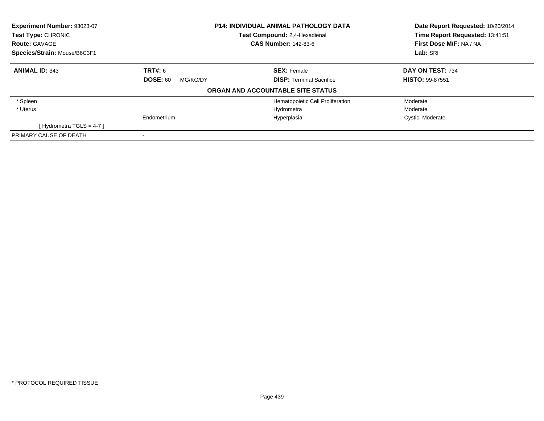| Experiment Number: 93023-07  |                             | <b>P14: INDIVIDUAL ANIMAL PATHOLOGY DATA</b> | Date Report Requested: 10/20/2014 |
|------------------------------|-----------------------------|----------------------------------------------|-----------------------------------|
| Test Type: CHRONIC           |                             | Test Compound: 2.4-Hexadienal                | Time Report Requested: 13:41:51   |
| <b>Route: GAVAGE</b>         |                             | <b>CAS Number: 142-83-6</b>                  | First Dose M/F: NA / NA           |
| Species/Strain: Mouse/B6C3F1 |                             |                                              | Lab: SRI                          |
| <b>ANIMAL ID: 343</b>        | <b>TRT#: 6</b>              | <b>SEX: Female</b>                           | DAY ON TEST: 734                  |
|                              | <b>DOSE: 60</b><br>MG/KG/DY | <b>DISP:</b> Terminal Sacrifice              | <b>HISTO: 99-87551</b>            |
|                              |                             | ORGAN AND ACCOUNTABLE SITE STATUS            |                                   |
| * Spleen                     |                             | Hematopoietic Cell Proliferation             | Moderate                          |
| * Uterus                     |                             | Hydrometra                                   | Moderate                          |
|                              | Endometrium                 | Hyperplasia                                  | Cystic, Moderate                  |
| [Hydrometra TGLS = $4-7$ ]   |                             |                                              |                                   |
| PRIMARY CAUSE OF DEATH       |                             |                                              |                                   |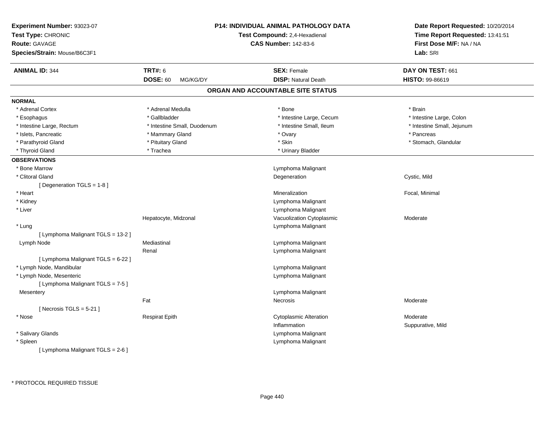| Experiment Number: 93023-07<br>Test Type: CHRONIC<br><b>Route: GAVAGE</b><br>Species/Strain: Mouse/B6C3F1 |                             | <b>P14: INDIVIDUAL ANIMAL PATHOLOGY DATA</b><br>Test Compound: 2,4-Hexadienal<br><b>CAS Number: 142-83-6</b> | Date Report Requested: 10/20/2014<br>Time Report Requested: 13:41:51<br>First Dose M/F: NA / NA<br>Lab: SRI |
|-----------------------------------------------------------------------------------------------------------|-----------------------------|--------------------------------------------------------------------------------------------------------------|-------------------------------------------------------------------------------------------------------------|
| <b>ANIMAL ID: 344</b>                                                                                     | <b>TRT#: 6</b>              | <b>SEX: Female</b>                                                                                           | DAY ON TEST: 661                                                                                            |
|                                                                                                           | <b>DOSE: 60</b><br>MG/KG/DY | <b>DISP: Natural Death</b>                                                                                   | HISTO: 99-86619                                                                                             |
|                                                                                                           |                             | ORGAN AND ACCOUNTABLE SITE STATUS                                                                            |                                                                                                             |
| <b>NORMAL</b>                                                                                             |                             |                                                                                                              |                                                                                                             |
| * Adrenal Cortex                                                                                          | * Adrenal Medulla           | * Bone                                                                                                       | * Brain                                                                                                     |
| * Esophagus                                                                                               | * Gallbladder               | * Intestine Large, Cecum                                                                                     | * Intestine Large, Colon                                                                                    |
| * Intestine Large, Rectum                                                                                 | * Intestine Small, Duodenum | * Intestine Small, Ileum                                                                                     | * Intestine Small, Jejunum                                                                                  |
| * Islets, Pancreatic                                                                                      | * Mammary Gland             | $^*$ Ovary                                                                                                   | * Pancreas                                                                                                  |
| * Parathyroid Gland                                                                                       | * Pituitary Gland           | * Skin                                                                                                       | * Stomach, Glandular                                                                                        |
| * Thyroid Gland                                                                                           | * Trachea                   | * Urinary Bladder                                                                                            |                                                                                                             |
| <b>OBSERVATIONS</b>                                                                                       |                             |                                                                                                              |                                                                                                             |
| * Bone Marrow                                                                                             |                             | Lymphoma Malignant                                                                                           |                                                                                                             |
| * Clitoral Gland                                                                                          |                             | Degeneration                                                                                                 | Cystic, Mild                                                                                                |
| [ Degeneration TGLS = 1-8 ]                                                                               |                             |                                                                                                              |                                                                                                             |
| * Heart                                                                                                   |                             | Mineralization                                                                                               | Focal, Minimal                                                                                              |
| * Kidney                                                                                                  |                             | Lymphoma Malignant                                                                                           |                                                                                                             |
| * Liver                                                                                                   |                             | Lymphoma Malignant                                                                                           |                                                                                                             |
|                                                                                                           | Hepatocyte, Midzonal        | Vacuolization Cytoplasmic                                                                                    | Moderate                                                                                                    |
| * Lung                                                                                                    |                             | Lymphoma Malignant                                                                                           |                                                                                                             |
| [ Lymphoma Malignant TGLS = 13-2 ]                                                                        |                             |                                                                                                              |                                                                                                             |
| Lymph Node                                                                                                | Mediastinal                 | Lymphoma Malignant                                                                                           |                                                                                                             |
|                                                                                                           | Renal                       | Lymphoma Malignant                                                                                           |                                                                                                             |
| [ Lymphoma Malignant TGLS = 6-22 ]                                                                        |                             |                                                                                                              |                                                                                                             |
| * Lymph Node, Mandibular                                                                                  |                             | Lymphoma Malignant                                                                                           |                                                                                                             |
| * Lymph Node, Mesenteric                                                                                  |                             | Lymphoma Malignant                                                                                           |                                                                                                             |
| [ Lymphoma Malignant TGLS = 7-5 ]                                                                         |                             |                                                                                                              |                                                                                                             |
| Mesentery                                                                                                 |                             | Lymphoma Malignant                                                                                           |                                                                                                             |
|                                                                                                           | Fat                         | Necrosis                                                                                                     | Moderate                                                                                                    |
| [Necrosis TGLS = $5-21$ ]                                                                                 |                             |                                                                                                              |                                                                                                             |
| * Nose                                                                                                    | <b>Respirat Epith</b>       | <b>Cytoplasmic Alteration</b>                                                                                | Moderate                                                                                                    |
|                                                                                                           |                             | Inflammation                                                                                                 | Suppurative, Mild                                                                                           |
| * Salivary Glands                                                                                         |                             | Lymphoma Malignant                                                                                           |                                                                                                             |
| * Spleen                                                                                                  |                             | Lymphoma Malignant                                                                                           |                                                                                                             |
| [ Lymphoma Malignant TGLS = 2-6 ]                                                                         |                             |                                                                                                              |                                                                                                             |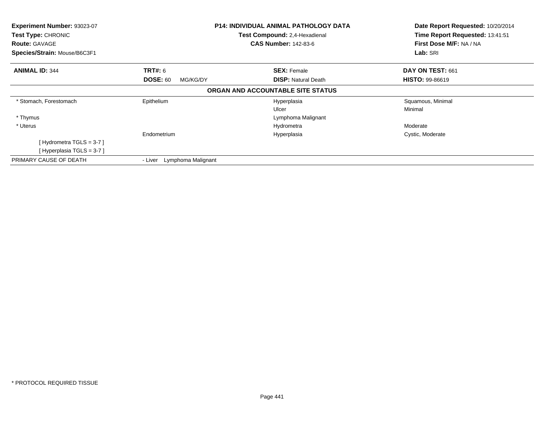| Experiment Number: 93023-07<br>Test Type: CHRONIC<br><b>Route: GAVAGE</b><br>Species/Strain: Mouse/B6C3F1 |                               | <b>P14: INDIVIDUAL ANIMAL PATHOLOGY DATA</b><br>Test Compound: 2,4-Hexadienal<br><b>CAS Number: 142-83-6</b> | Date Report Requested: 10/20/2014<br>Time Report Requested: 13:41:51<br>First Dose M/F: NA / NA<br>Lab: SRI |
|-----------------------------------------------------------------------------------------------------------|-------------------------------|--------------------------------------------------------------------------------------------------------------|-------------------------------------------------------------------------------------------------------------|
| <b>ANIMAL ID: 344</b>                                                                                     | TRT#: 6                       | <b>SEX: Female</b>                                                                                           | DAY ON TEST: 661                                                                                            |
|                                                                                                           | <b>DOSE: 60</b><br>MG/KG/DY   | <b>DISP:</b> Natural Death                                                                                   | <b>HISTO: 99-86619</b>                                                                                      |
|                                                                                                           |                               | ORGAN AND ACCOUNTABLE SITE STATUS                                                                            |                                                                                                             |
| * Stomach, Forestomach                                                                                    | Epithelium                    | Hyperplasia                                                                                                  | Squamous, Minimal                                                                                           |
|                                                                                                           |                               | Ulcer                                                                                                        | Minimal                                                                                                     |
| * Thymus                                                                                                  |                               | Lymphoma Malignant                                                                                           |                                                                                                             |
| * Uterus                                                                                                  |                               | Hydrometra                                                                                                   | Moderate                                                                                                    |
|                                                                                                           | Endometrium                   | Hyperplasia                                                                                                  | Cystic, Moderate                                                                                            |
| [Hydrometra TGLS = $3-7$ ]                                                                                |                               |                                                                                                              |                                                                                                             |
| [Hyperplasia TGLS = 3-7]                                                                                  |                               |                                                                                                              |                                                                                                             |
| PRIMARY CAUSE OF DEATH                                                                                    | Lymphoma Malignant<br>- Liver |                                                                                                              |                                                                                                             |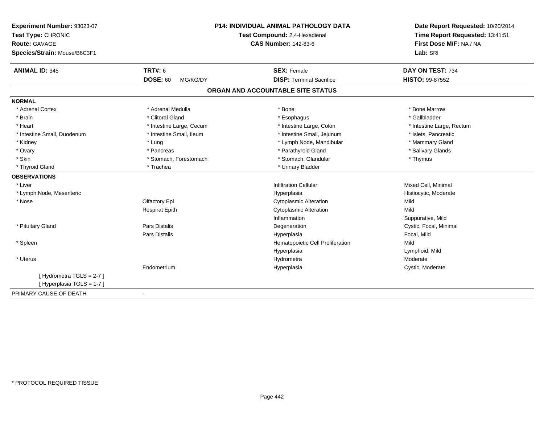| Experiment Number: 93023-07  |                             | P14: INDIVIDUAL ANIMAL PATHOLOGY DATA | Date Report Requested: 10/20/2014 |
|------------------------------|-----------------------------|---------------------------------------|-----------------------------------|
| Test Type: CHRONIC           |                             | Test Compound: 2,4-Hexadienal         | Time Report Requested: 13:41:51   |
| <b>Route: GAVAGE</b>         |                             | <b>CAS Number: 142-83-6</b>           | First Dose M/F: NA / NA           |
| Species/Strain: Mouse/B6C3F1 |                             |                                       | Lab: SRI                          |
| <b>ANIMAL ID: 345</b>        | <b>TRT#: 6</b>              | <b>SEX: Female</b>                    | DAY ON TEST: 734                  |
|                              | <b>DOSE: 60</b><br>MG/KG/DY | <b>DISP: Terminal Sacrifice</b>       | <b>HISTO: 99-87552</b>            |
|                              |                             | ORGAN AND ACCOUNTABLE SITE STATUS     |                                   |
| <b>NORMAL</b>                |                             |                                       |                                   |
| * Adrenal Cortex             | * Adrenal Medulla           | * Bone                                | * Bone Marrow                     |
| * Brain                      | * Clitoral Gland            | * Esophagus                           | * Gallbladder                     |
| * Heart                      | * Intestine Large, Cecum    | * Intestine Large, Colon              | * Intestine Large, Rectum         |
| * Intestine Small, Duodenum  | * Intestine Small, Ileum    | * Intestine Small, Jejunum            | * Islets, Pancreatic              |
| * Kidney                     | * Lung                      | * Lymph Node, Mandibular              | * Mammary Gland                   |
| * Ovary                      | * Pancreas                  | * Parathyroid Gland                   | * Salivary Glands                 |
| * Skin                       | * Stomach, Forestomach      | * Stomach, Glandular                  | * Thymus                          |
| * Thyroid Gland              | * Trachea                   | * Urinary Bladder                     |                                   |
| <b>OBSERVATIONS</b>          |                             |                                       |                                   |
| * Liver                      |                             | <b>Infiltration Cellular</b>          | Mixed Cell, Minimal               |
| * Lymph Node, Mesenteric     |                             | Hyperplasia                           | Histiocytic, Moderate             |
| * Nose                       | Olfactory Epi               | <b>Cytoplasmic Alteration</b>         | Mild                              |
|                              | <b>Respirat Epith</b>       | <b>Cytoplasmic Alteration</b>         | Mild                              |
|                              |                             | Inflammation                          | Suppurative, Mild                 |
| * Pituitary Gland            | Pars Distalis               | Degeneration                          | Cystic, Focal, Minimal            |
|                              | Pars Distalis               | Hyperplasia                           | Focal, Mild                       |
| * Spleen                     |                             | Hematopoietic Cell Proliferation      | Mild                              |
|                              |                             | Hyperplasia                           | Lymphoid, Mild                    |
| * Uterus                     |                             | Hydrometra                            | Moderate                          |
|                              | Endometrium                 | Hyperplasia                           | Cystic, Moderate                  |
| [Hydrometra TGLS = 2-7]      |                             |                                       |                                   |
| [Hyperplasia TGLS = 1-7]     |                             |                                       |                                   |
| PRIMARY CAUSE OF DEATH       | $\blacksquare$              |                                       |                                   |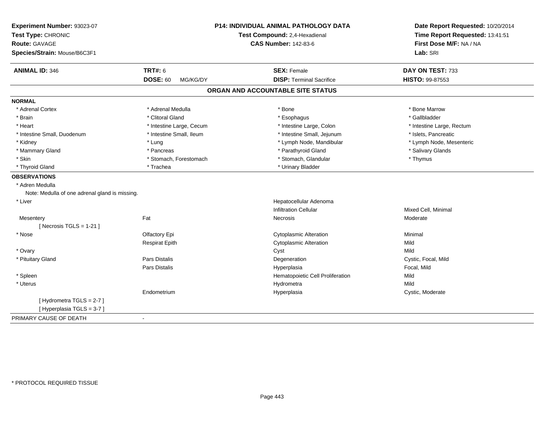| Experiment Number: 93023-07<br>Test Type: CHRONIC       | P14: INDIVIDUAL ANIMAL PATHOLOGY DATA<br>Test Compound: 2,4-Hexadienal | Date Report Requested: 10/20/2014<br>Time Report Requested: 13:41:51 |
|---------------------------------------------------------|------------------------------------------------------------------------|----------------------------------------------------------------------|
| <b>Route: GAVAGE</b>                                    | <b>CAS Number: 142-83-6</b>                                            | First Dose M/F: NA / NA                                              |
|                                                         |                                                                        |                                                                      |
| Species/Strain: Mouse/B6C3F1                            |                                                                        | Lab: SRI                                                             |
| <b>ANIMAL ID: 346</b><br><b>TRT#: 6</b>                 | <b>SEX: Female</b>                                                     | DAY ON TEST: 733                                                     |
| <b>DOSE: 60</b>                                         | <b>DISP: Terminal Sacrifice</b><br>MG/KG/DY                            | HISTO: 99-87553                                                      |
|                                                         | ORGAN AND ACCOUNTABLE SITE STATUS                                      |                                                                      |
| <b>NORMAL</b>                                           |                                                                        |                                                                      |
| * Adrenal Cortex<br>* Adrenal Medulla                   | * Bone                                                                 | * Bone Marrow                                                        |
| * Clitoral Gland<br>* Brain                             | * Esophagus                                                            | * Gallbladder                                                        |
| * Heart<br>* Intestine Large, Cecum                     | * Intestine Large, Colon                                               | * Intestine Large, Rectum                                            |
| * Intestine Small, Duodenum<br>* Intestine Small, Ileum | * Intestine Small, Jejunum                                             | * Islets, Pancreatic                                                 |
| * Kidney<br>* Lung                                      | * Lymph Node, Mandibular                                               | * Lymph Node, Mesenteric                                             |
| * Mammary Gland<br>* Pancreas                           | * Parathyroid Gland                                                    | * Salivary Glands                                                    |
| * Skin<br>* Stomach, Forestomach                        | * Stomach, Glandular                                                   | * Thymus                                                             |
| * Thyroid Gland<br>* Trachea                            | * Urinary Bladder                                                      |                                                                      |
| <b>OBSERVATIONS</b>                                     |                                                                        |                                                                      |
| * Adren Medulla                                         |                                                                        |                                                                      |
| Note: Medulla of one adrenal gland is missing.          |                                                                        |                                                                      |
| * Liver                                                 | Hepatocellular Adenoma                                                 |                                                                      |
|                                                         | <b>Infiltration Cellular</b>                                           | Mixed Cell, Minimal                                                  |
| Fat<br>Mesentery                                        | Necrosis                                                               | Moderate                                                             |
| [Necrosis TGLS = $1-21$ ]                               |                                                                        |                                                                      |
| * Nose<br>Olfactory Epi                                 | <b>Cytoplasmic Alteration</b>                                          | Minimal                                                              |
| <b>Respirat Epith</b>                                   | <b>Cytoplasmic Alteration</b>                                          | Mild                                                                 |
| * Ovary                                                 | Cyst                                                                   | Mild                                                                 |
| Pars Distalis<br>* Pituitary Gland                      | Degeneration                                                           | Cystic, Focal, Mild                                                  |
| <b>Pars Distalis</b>                                    | Hyperplasia                                                            | Focal, Mild                                                          |
| * Spleen                                                | Hematopoietic Cell Proliferation                                       | Mild                                                                 |
| * Uterus                                                | Hydrometra                                                             | Mild                                                                 |
| Endometrium                                             | Hyperplasia                                                            | Cystic, Moderate                                                     |
| [Hydrometra TGLS = 2-7]                                 |                                                                        |                                                                      |
| [Hyperplasia TGLS = 3-7]                                |                                                                        |                                                                      |
| PRIMARY CAUSE OF DEATH<br>$\blacksquare$                |                                                                        |                                                                      |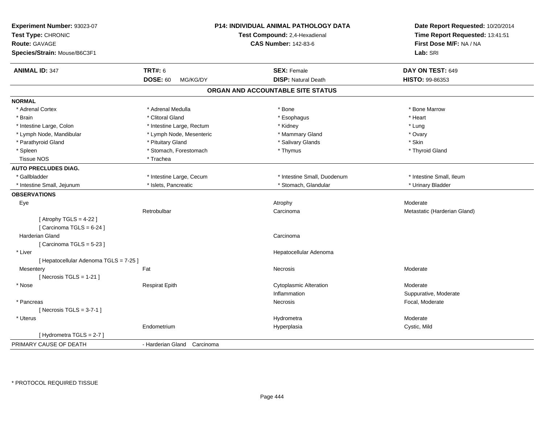| Experiment Number: 93023-07<br>Test Type: CHRONIC<br><b>Route: GAVAGE</b><br>Species/Strain: Mouse/B6C3F1 |                             | P14: INDIVIDUAL ANIMAL PATHOLOGY DATA<br>Test Compound: 2,4-Hexadienal<br><b>CAS Number: 142-83-6</b> | Date Report Requested: 10/20/2014<br>Time Report Requested: 13:41:51<br>First Dose M/F: NA / NA<br>Lab: SRI |
|-----------------------------------------------------------------------------------------------------------|-----------------------------|-------------------------------------------------------------------------------------------------------|-------------------------------------------------------------------------------------------------------------|
| <b>ANIMAL ID: 347</b>                                                                                     | <b>TRT#: 6</b>              | <b>SEX: Female</b>                                                                                    | DAY ON TEST: 649                                                                                            |
|                                                                                                           | <b>DOSE: 60</b><br>MG/KG/DY | <b>DISP: Natural Death</b>                                                                            | <b>HISTO: 99-86353</b>                                                                                      |
|                                                                                                           |                             | ORGAN AND ACCOUNTABLE SITE STATUS                                                                     |                                                                                                             |
| <b>NORMAL</b>                                                                                             |                             |                                                                                                       |                                                                                                             |
| * Adrenal Cortex                                                                                          | * Adrenal Medulla           | * Bone                                                                                                | * Bone Marrow                                                                                               |
| * Brain                                                                                                   | * Clitoral Gland            | * Esophagus                                                                                           | * Heart                                                                                                     |
| * Intestine Large, Colon                                                                                  | * Intestine Large, Rectum   | * Kidney                                                                                              | * Lung                                                                                                      |
| * Lymph Node, Mandibular                                                                                  | * Lymph Node, Mesenteric    | * Mammary Gland                                                                                       | * Ovary                                                                                                     |
| * Parathyroid Gland                                                                                       | * Pituitary Gland           | * Salivary Glands                                                                                     | * Skin                                                                                                      |
| * Spleen                                                                                                  | * Stomach, Forestomach      | * Thymus                                                                                              | * Thyroid Gland                                                                                             |
| <b>Tissue NOS</b>                                                                                         | * Trachea                   |                                                                                                       |                                                                                                             |
| <b>AUTO PRECLUDES DIAG.</b>                                                                               |                             |                                                                                                       |                                                                                                             |
| * Gallbladder                                                                                             | * Intestine Large, Cecum    | * Intestine Small, Duodenum                                                                           | * Intestine Small, Ileum                                                                                    |
| * Intestine Small, Jejunum                                                                                | * Islets, Pancreatic        | * Stomach, Glandular                                                                                  | * Urinary Bladder                                                                                           |
| <b>OBSERVATIONS</b>                                                                                       |                             |                                                                                                       |                                                                                                             |
| Eye                                                                                                       |                             | Atrophy                                                                                               | Moderate                                                                                                    |
|                                                                                                           | Retrobulbar                 | Carcinoma                                                                                             | Metastatic (Harderian Gland)                                                                                |
| [Atrophy TGLS = $4-22$ ]<br>[Carcinoma TGLS = 6-24]                                                       |                             |                                                                                                       |                                                                                                             |
| Harderian Gland<br>[Carcinoma TGLS = 5-23]                                                                |                             | Carcinoma                                                                                             |                                                                                                             |
| * Liver                                                                                                   |                             | Hepatocellular Adenoma                                                                                |                                                                                                             |
| [ Hepatocellular Adenoma TGLS = 7-25 ]                                                                    |                             |                                                                                                       |                                                                                                             |
| Mesentery                                                                                                 | Fat                         | Necrosis                                                                                              | Moderate                                                                                                    |
| [Necrosis TGLS = $1-21$ ]                                                                                 |                             |                                                                                                       |                                                                                                             |
| * Nose                                                                                                    | <b>Respirat Epith</b>       | <b>Cytoplasmic Alteration</b>                                                                         | Moderate                                                                                                    |
|                                                                                                           |                             | Inflammation                                                                                          | Suppurative, Moderate                                                                                       |
| * Pancreas                                                                                                |                             | Necrosis                                                                                              | Focal, Moderate                                                                                             |
| [Necrosis $TGLS = 3-7-1$ ]                                                                                |                             |                                                                                                       |                                                                                                             |
| * Uterus                                                                                                  |                             | Hydrometra                                                                                            | Moderate                                                                                                    |
|                                                                                                           | Endometrium                 | Hyperplasia                                                                                           | Cystic, Mild                                                                                                |
| [Hydrometra TGLS = 2-7]                                                                                   |                             |                                                                                                       |                                                                                                             |
| PRIMARY CAUSE OF DEATH                                                                                    | - Harderian Gland Carcinoma |                                                                                                       |                                                                                                             |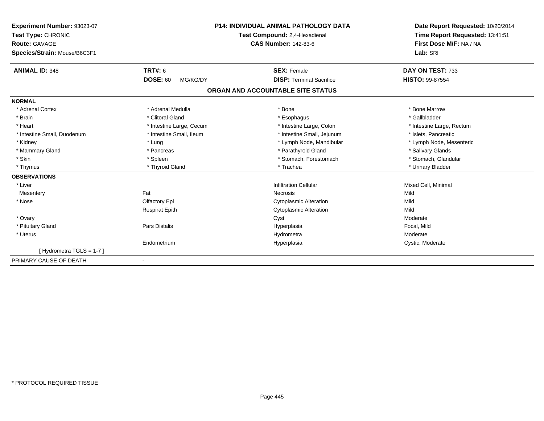| Experiment Number: 93023-07<br>Test Type: CHRONIC<br>Route: GAVAGE<br>Species/Strain: Mouse/B6C3F1 |                             | <b>P14: INDIVIDUAL ANIMAL PATHOLOGY DATA</b><br>Test Compound: 2,4-Hexadienal<br><b>CAS Number: 142-83-6</b> | Date Report Requested: 10/20/2014<br>Time Report Requested: 13:41:51<br>First Dose M/F: NA / NA<br>Lab: SRI |
|----------------------------------------------------------------------------------------------------|-----------------------------|--------------------------------------------------------------------------------------------------------------|-------------------------------------------------------------------------------------------------------------|
| <b>ANIMAL ID: 348</b>                                                                              | <b>TRT#: 6</b>              | <b>SEX: Female</b>                                                                                           | DAY ON TEST: 733                                                                                            |
|                                                                                                    | <b>DOSE: 60</b><br>MG/KG/DY | <b>DISP: Terminal Sacrifice</b>                                                                              | <b>HISTO: 99-87554</b>                                                                                      |
|                                                                                                    |                             | ORGAN AND ACCOUNTABLE SITE STATUS                                                                            |                                                                                                             |
| <b>NORMAL</b>                                                                                      |                             |                                                                                                              |                                                                                                             |
| * Adrenal Cortex                                                                                   | * Adrenal Medulla           | * Bone                                                                                                       | * Bone Marrow                                                                                               |
| * Brain                                                                                            | * Clitoral Gland            | * Esophagus                                                                                                  | * Gallbladder                                                                                               |
| * Heart                                                                                            | * Intestine Large, Cecum    | * Intestine Large, Colon                                                                                     | * Intestine Large, Rectum                                                                                   |
| * Intestine Small, Duodenum                                                                        | * Intestine Small, Ileum    | * Intestine Small, Jejunum                                                                                   | * Islets, Pancreatic                                                                                        |
| * Kidney                                                                                           | * Lung                      | * Lymph Node, Mandibular                                                                                     | * Lymph Node, Mesenteric                                                                                    |
| * Mammary Gland                                                                                    | * Pancreas                  | * Parathyroid Gland                                                                                          | * Salivary Glands                                                                                           |
| * Skin                                                                                             | * Spleen                    | * Stomach, Forestomach                                                                                       | * Stomach, Glandular                                                                                        |
| * Thymus                                                                                           | * Thyroid Gland             | * Trachea                                                                                                    | * Urinary Bladder                                                                                           |
| <b>OBSERVATIONS</b>                                                                                |                             |                                                                                                              |                                                                                                             |
| * Liver                                                                                            |                             | <b>Infiltration Cellular</b>                                                                                 | Mixed Cell, Minimal                                                                                         |
| Mesentery                                                                                          | Fat                         | Necrosis                                                                                                     | Mild                                                                                                        |
| * Nose                                                                                             | Olfactory Epi               | <b>Cytoplasmic Alteration</b>                                                                                | Mild                                                                                                        |
|                                                                                                    | <b>Respirat Epith</b>       | <b>Cytoplasmic Alteration</b>                                                                                | Mild                                                                                                        |
| * Ovary                                                                                            |                             | Cyst                                                                                                         | Moderate                                                                                                    |
| * Pituitary Gland                                                                                  | <b>Pars Distalis</b>        | Hyperplasia                                                                                                  | Focal, Mild                                                                                                 |
| * Uterus                                                                                           |                             | Hydrometra                                                                                                   | Moderate                                                                                                    |
|                                                                                                    | Endometrium                 | Hyperplasia                                                                                                  | Cystic, Moderate                                                                                            |
| [Hydrometra TGLS = $1-7$ ]                                                                         |                             |                                                                                                              |                                                                                                             |
| PRIMARY CAUSE OF DEATH                                                                             |                             |                                                                                                              |                                                                                                             |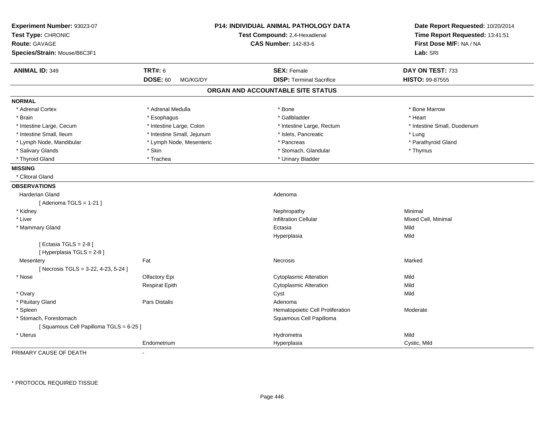| Experiment Number: 93023-07<br>Test Type: CHRONIC<br><b>Route: GAVAGE</b><br>Species/Strain: Mouse/B6C3F1 | <b>P14: INDIVIDUAL ANIMAL PATHOLOGY DATA</b><br>Test Compound: 2,4-Hexadienal<br><b>CAS Number: 142-83-6</b> |                                   | Date Report Requested: 10/20/2014<br>Time Report Requested: 13:41:51<br>First Dose M/F: NA / NA<br>Lab: SRI |
|-----------------------------------------------------------------------------------------------------------|--------------------------------------------------------------------------------------------------------------|-----------------------------------|-------------------------------------------------------------------------------------------------------------|
| <b>ANIMAL ID: 349</b>                                                                                     | <b>TRT#: 6</b>                                                                                               | <b>SEX: Female</b>                | DAY ON TEST: 733                                                                                            |
|                                                                                                           | <b>DOSE: 60</b><br>MG/KG/DY                                                                                  | <b>DISP: Terminal Sacrifice</b>   | HISTO: 99-87555                                                                                             |
|                                                                                                           |                                                                                                              | ORGAN AND ACCOUNTABLE SITE STATUS |                                                                                                             |
| <b>NORMAL</b>                                                                                             |                                                                                                              |                                   |                                                                                                             |
| * Adrenal Cortex                                                                                          | * Adrenal Medulla                                                                                            | * Bone                            | * Bone Marrow                                                                                               |
| * Brain                                                                                                   | * Esophagus                                                                                                  | * Gallbladder                     | * Heart                                                                                                     |
| * Intestine Large, Cecum                                                                                  | * Intestine Large, Colon                                                                                     | * Intestine Large, Rectum         | * Intestine Small, Duodenum                                                                                 |
| * Intestine Small, Ileum                                                                                  | * Intestine Small, Jejunum                                                                                   | * Islets, Pancreatic              | * Lung                                                                                                      |
| * Lymph Node, Mandibular                                                                                  | * Lymph Node, Mesenteric                                                                                     | * Pancreas                        | * Parathyroid Gland                                                                                         |
| * Salivary Glands                                                                                         | * Skin                                                                                                       | * Stomach, Glandular              | * Thymus                                                                                                    |
| * Thyroid Gland                                                                                           | * Trachea                                                                                                    | * Urinary Bladder                 |                                                                                                             |
| <b>MISSING</b>                                                                                            |                                                                                                              |                                   |                                                                                                             |
| * Clitoral Gland                                                                                          |                                                                                                              |                                   |                                                                                                             |
| <b>OBSERVATIONS</b>                                                                                       |                                                                                                              |                                   |                                                                                                             |
| <b>Harderian Gland</b>                                                                                    |                                                                                                              | Adenoma                           |                                                                                                             |
| [Adenoma TGLS = $1-21$ ]                                                                                  |                                                                                                              |                                   |                                                                                                             |
| * Kidney                                                                                                  |                                                                                                              | Nephropathy                       | Minimal                                                                                                     |
| * Liver                                                                                                   |                                                                                                              | <b>Infiltration Cellular</b>      | Mixed Cell, Minimal                                                                                         |
| * Mammary Gland                                                                                           |                                                                                                              | Ectasia                           | Mild                                                                                                        |
|                                                                                                           |                                                                                                              | Hyperplasia                       | Mild                                                                                                        |
| [ Ectasia TGLS = $2-8$ ]<br>[ Hyperplasia TGLS = 2-8 ]                                                    |                                                                                                              |                                   |                                                                                                             |
| Mesentery<br>[Necrosis TGLS = 3-22, 4-23, 5-24]                                                           | Fat                                                                                                          | Necrosis                          | Marked                                                                                                      |
| * Nose                                                                                                    | Olfactory Epi                                                                                                | <b>Cytoplasmic Alteration</b>     | Mild                                                                                                        |
|                                                                                                           | <b>Respirat Epith</b>                                                                                        | <b>Cytoplasmic Alteration</b>     | Mild                                                                                                        |
| * Ovary                                                                                                   |                                                                                                              | Cyst                              | Mild                                                                                                        |
| * Pituitary Gland                                                                                         | Pars Distalis                                                                                                | Adenoma                           |                                                                                                             |
| * Spleen                                                                                                  |                                                                                                              | Hematopoietic Cell Proliferation  | Moderate                                                                                                    |
| * Stomach, Forestomach                                                                                    |                                                                                                              | Squamous Cell Papilloma           |                                                                                                             |
| [Squamous Cell Papilloma TGLS = 6-25]                                                                     |                                                                                                              |                                   |                                                                                                             |
| * Uterus                                                                                                  |                                                                                                              | Hydrometra                        | Mild                                                                                                        |
|                                                                                                           | Endometrium                                                                                                  | Hyperplasia                       | Cystic, Mild                                                                                                |

PRIMARY CAUSE OF DEATH-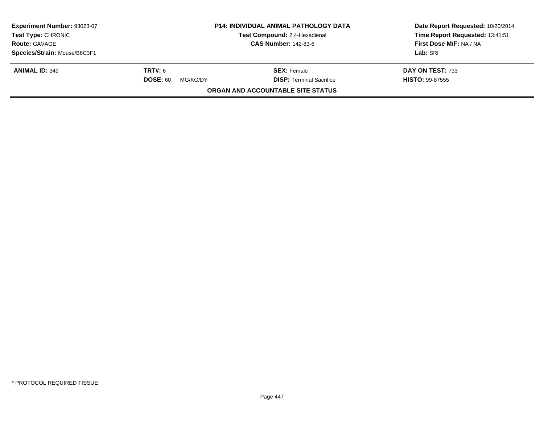| Experiment Number: 93023-07<br><b>Test Type: CHRONIC</b> |                             | <b>P14: INDIVIDUAL ANIMAL PATHOLOGY DATA</b><br>Test Compound: 2,4-Hexadienal | Date Report Requested: 10/20/2014<br>Time Report Requested: 13:41:51 |
|----------------------------------------------------------|-----------------------------|-------------------------------------------------------------------------------|----------------------------------------------------------------------|
| <b>Route: GAVAGE</b>                                     |                             | <b>CAS Number: 142-83-6</b>                                                   | First Dose M/F: NA / NA                                              |
| Species/Strain: Mouse/B6C3F1                             |                             |                                                                               | Lab: SRI                                                             |
| <b>ANIMAL ID: 349</b>                                    | <b>TRT#:</b> 6              | <b>SEX:</b> Female                                                            | DAY ON TEST: 733                                                     |
|                                                          | <b>DOSE: 60</b><br>MG/KG/DY | <b>DISP: Terminal Sacrifice</b>                                               | <b>HISTO: 99-87555</b>                                               |
|                                                          |                             | <b>ORGAN AND ACCOUNTABLE SITE STATUS</b>                                      |                                                                      |
|                                                          |                             |                                                                               |                                                                      |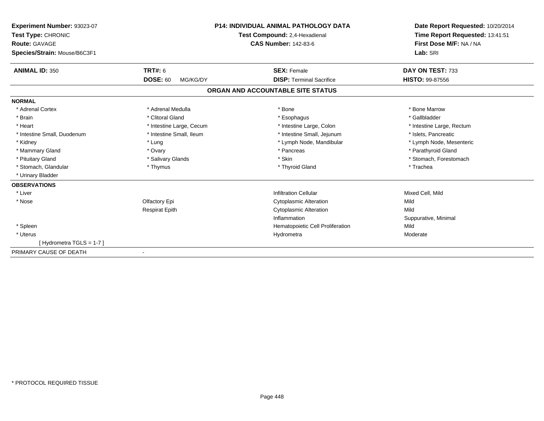| Experiment Number: 93023-07  | <b>P14: INDIVIDUAL ANIMAL PATHOLOGY DATA</b> |                                   | Date Report Requested: 10/20/2014 |
|------------------------------|----------------------------------------------|-----------------------------------|-----------------------------------|
| Test Type: CHRONIC           |                                              | Test Compound: 2,4-Hexadienal     | Time Report Requested: 13:41:51   |
| Route: GAVAGE                |                                              | <b>CAS Number: 142-83-6</b>       | First Dose M/F: NA / NA           |
| Species/Strain: Mouse/B6C3F1 |                                              |                                   | Lab: SRI                          |
| <b>ANIMAL ID: 350</b>        | <b>TRT#: 6</b>                               | <b>SEX: Female</b>                | DAY ON TEST: 733                  |
|                              | <b>DOSE: 60</b><br>MG/KG/DY                  | <b>DISP: Terminal Sacrifice</b>   | <b>HISTO: 99-87556</b>            |
|                              |                                              | ORGAN AND ACCOUNTABLE SITE STATUS |                                   |
| <b>NORMAL</b>                |                                              |                                   |                                   |
| * Adrenal Cortex             | * Adrenal Medulla                            | * Bone                            | * Bone Marrow                     |
| * Brain                      | * Clitoral Gland                             | * Esophagus                       | * Gallbladder                     |
| * Heart                      | * Intestine Large, Cecum                     | * Intestine Large, Colon          | * Intestine Large, Rectum         |
| * Intestine Small, Duodenum  | * Intestine Small. Ileum                     | * Intestine Small, Jejunum        | * Islets, Pancreatic              |
| * Kidney                     | * Lung                                       | * Lymph Node, Mandibular          | * Lymph Node, Mesenteric          |
| * Mammary Gland              | * Ovary                                      | * Pancreas                        | * Parathyroid Gland               |
| * Pituitary Gland            | * Salivary Glands                            | * Skin                            | * Stomach, Forestomach            |
| * Stomach, Glandular         | * Thymus                                     | * Thyroid Gland                   | * Trachea                         |
| * Urinary Bladder            |                                              |                                   |                                   |
| <b>OBSERVATIONS</b>          |                                              |                                   |                                   |
| * Liver                      |                                              | <b>Infiltration Cellular</b>      | Mixed Cell, Mild                  |
| * Nose                       | Olfactory Epi                                | <b>Cytoplasmic Alteration</b>     | Mild                              |
|                              | <b>Respirat Epith</b>                        | <b>Cytoplasmic Alteration</b>     | Mild                              |
|                              |                                              | Inflammation                      | Suppurative, Minimal              |
| * Spleen                     |                                              | Hematopoietic Cell Proliferation  | Mild                              |
| * Uterus                     |                                              | Hydrometra                        | Moderate                          |
| [Hydrometra TGLS = 1-7]      |                                              |                                   |                                   |
| PRIMARY CAUSE OF DEATH       |                                              |                                   |                                   |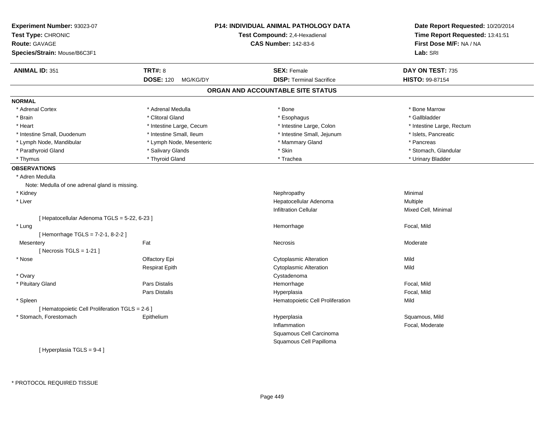| Experiment Number: 93023-07<br>Test Type: CHRONIC<br><b>Route: GAVAGE</b> |                              | <b>P14: INDIVIDUAL ANIMAL PATHOLOGY DATA</b><br>Test Compound: 2,4-Hexadienal<br><b>CAS Number: 142-83-6</b> | Date Report Requested: 10/20/2014<br>Time Report Requested: 13:41:51<br>First Dose M/F: NA / NA |
|---------------------------------------------------------------------------|------------------------------|--------------------------------------------------------------------------------------------------------------|-------------------------------------------------------------------------------------------------|
| Species/Strain: Mouse/B6C3F1                                              |                              |                                                                                                              | Lab: SRI                                                                                        |
| <b>ANIMAL ID: 351</b>                                                     | <b>TRT#: 8</b>               | <b>SEX: Female</b>                                                                                           | DAY ON TEST: 735                                                                                |
|                                                                           | <b>DOSE: 120</b><br>MG/KG/DY | <b>DISP: Terminal Sacrifice</b>                                                                              | HISTO: 99-87154                                                                                 |
|                                                                           |                              | ORGAN AND ACCOUNTABLE SITE STATUS                                                                            |                                                                                                 |
| <b>NORMAL</b>                                                             |                              |                                                                                                              |                                                                                                 |
| * Adrenal Cortex                                                          | * Adrenal Medulla            | * Bone                                                                                                       | * Bone Marrow                                                                                   |
| * Brain                                                                   | * Clitoral Gland             | * Esophagus                                                                                                  | * Gallbladder                                                                                   |
| * Heart                                                                   | * Intestine Large, Cecum     | * Intestine Large, Colon                                                                                     | * Intestine Large, Rectum                                                                       |
| * Intestine Small, Duodenum                                               | * Intestine Small, Ileum     | * Intestine Small, Jejunum                                                                                   | * Islets, Pancreatic                                                                            |
| * Lymph Node, Mandibular                                                  | * Lymph Node, Mesenteric     | * Mammary Gland                                                                                              | * Pancreas                                                                                      |
| * Parathyroid Gland                                                       | * Salivary Glands            | * Skin                                                                                                       | * Stomach, Glandular                                                                            |
| * Thymus                                                                  | * Thyroid Gland              | * Trachea                                                                                                    | * Urinary Bladder                                                                               |
| <b>OBSERVATIONS</b>                                                       |                              |                                                                                                              |                                                                                                 |
| * Adren Medulla                                                           |                              |                                                                                                              |                                                                                                 |
| Note: Medulla of one adrenal gland is missing.                            |                              |                                                                                                              |                                                                                                 |
| * Kidney                                                                  |                              | Nephropathy                                                                                                  | Minimal                                                                                         |
| * Liver                                                                   |                              | Hepatocellular Adenoma                                                                                       | Multiple                                                                                        |
|                                                                           |                              | <b>Infiltration Cellular</b>                                                                                 | Mixed Cell, Minimal                                                                             |
| [ Hepatocellular Adenoma TGLS = 5-22, 6-23 ]                              |                              |                                                                                                              |                                                                                                 |
|                                                                           |                              |                                                                                                              |                                                                                                 |
| * Lung                                                                    |                              | Hemorrhage                                                                                                   | Focal, Mild                                                                                     |
| [Hemorrhage TGLS = 7-2-1, 8-2-2]                                          |                              |                                                                                                              |                                                                                                 |
| Mesentery                                                                 | Fat                          | Necrosis                                                                                                     | Moderate                                                                                        |
| [ Necrosis $TGLS = 1-21$ ]                                                |                              |                                                                                                              |                                                                                                 |
| * Nose                                                                    | Olfactory Epi                | Cytoplasmic Alteration                                                                                       | Mild                                                                                            |
|                                                                           | <b>Respirat Epith</b>        | <b>Cytoplasmic Alteration</b>                                                                                | Mild                                                                                            |
| * Ovary                                                                   |                              | Cystadenoma                                                                                                  |                                                                                                 |
| * Pituitary Gland                                                         | Pars Distalis                | Hemorrhage                                                                                                   | Focal, Mild                                                                                     |
|                                                                           | Pars Distalis                | Hyperplasia                                                                                                  | Focal, Mild                                                                                     |
| * Spleen                                                                  |                              | Hematopoietic Cell Proliferation                                                                             | Mild                                                                                            |
| [ Hematopoietic Cell Proliferation TGLS = 2-6 ]                           |                              |                                                                                                              |                                                                                                 |
| * Stomach, Forestomach                                                    | Epithelium                   | Hyperplasia                                                                                                  | Squamous, Mild                                                                                  |
|                                                                           |                              | Inflammation                                                                                                 | Focal, Moderate                                                                                 |
|                                                                           |                              | Squamous Cell Carcinoma                                                                                      |                                                                                                 |
|                                                                           |                              | Squamous Cell Papilloma                                                                                      |                                                                                                 |
| [Hyperplasia TGLS = $9-4$ ]                                               |                              |                                                                                                              |                                                                                                 |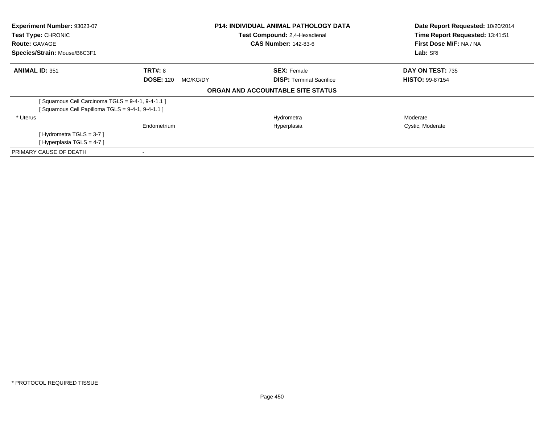| <b>Experiment Number: 93023-07</b>              |                              | <b>P14: INDIVIDUAL ANIMAL PATHOLOGY DATA</b> | Date Report Requested: 10/20/2014 |  |
|-------------------------------------------------|------------------------------|----------------------------------------------|-----------------------------------|--|
| Test Type: CHRONIC                              |                              | Test Compound: 2,4-Hexadienal                | Time Report Requested: 13:41:51   |  |
| <b>Route: GAVAGE</b>                            |                              | <b>CAS Number: 142-83-6</b>                  | First Dose M/F: NA / NA           |  |
| Species/Strain: Mouse/B6C3F1                    |                              |                                              | Lab: SRI                          |  |
| <b>ANIMAL ID: 351</b>                           | <b>TRT#: 8</b>               | <b>SEX: Female</b>                           | DAY ON TEST: 735                  |  |
|                                                 | <b>DOSE: 120</b><br>MG/KG/DY | <b>DISP:</b> Terminal Sacrifice              | <b>HISTO: 99-87154</b>            |  |
|                                                 |                              | ORGAN AND ACCOUNTABLE SITE STATUS            |                                   |  |
| [Squamous Cell Carcinoma TGLS = 9-4-1, 9-4-1.1] |                              |                                              |                                   |  |
| Squamous Cell Papilloma $TGLS = 9-4-1, 9-4-1.1$ |                              |                                              |                                   |  |
| * Uterus                                        |                              | Hydrometra                                   | Moderate                          |  |
|                                                 | Endometrium                  | Hyperplasia                                  | Cystic, Moderate                  |  |
| [Hydrometra TGLS = $3-7$ ]                      |                              |                                              |                                   |  |
| [Hyperplasia TGLS = $4-7$ ]                     |                              |                                              |                                   |  |
| PRIMARY CAUSE OF DEATH                          |                              |                                              |                                   |  |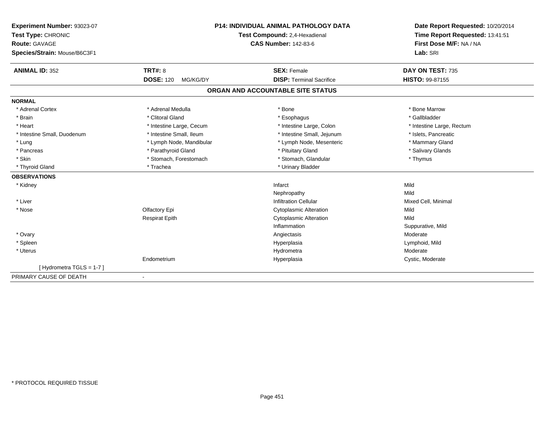| Experiment Number: 93023-07  | <b>P14: INDIVIDUAL ANIMAL PATHOLOGY DATA</b><br>Test Compound: 2,4-Hexadienal |                                   | Date Report Requested: 10/20/2014 |
|------------------------------|-------------------------------------------------------------------------------|-----------------------------------|-----------------------------------|
| Test Type: CHRONIC           |                                                                               |                                   | Time Report Requested: 13:41:51   |
| <b>Route: GAVAGE</b>         |                                                                               | <b>CAS Number: 142-83-6</b>       | First Dose M/F: NA / NA           |
| Species/Strain: Mouse/B6C3F1 |                                                                               |                                   | Lab: SRI                          |
| <b>ANIMAL ID: 352</b>        | <b>TRT#: 8</b>                                                                | <b>SEX: Female</b>                | DAY ON TEST: 735                  |
|                              | <b>DOSE: 120</b><br>MG/KG/DY                                                  | <b>DISP: Terminal Sacrifice</b>   | <b>HISTO: 99-87155</b>            |
|                              |                                                                               | ORGAN AND ACCOUNTABLE SITE STATUS |                                   |
| <b>NORMAL</b>                |                                                                               |                                   |                                   |
| * Adrenal Cortex             | * Adrenal Medulla                                                             | * Bone                            | * Bone Marrow                     |
| * Brain                      | * Clitoral Gland                                                              | * Esophagus                       | * Gallbladder                     |
| * Heart                      | * Intestine Large, Cecum                                                      | * Intestine Large, Colon          | * Intestine Large, Rectum         |
| * Intestine Small, Duodenum  | * Intestine Small, Ileum                                                      | * Intestine Small, Jejunum        | * Islets, Pancreatic              |
| * Lung                       | * Lymph Node, Mandibular                                                      | * Lymph Node, Mesenteric          | * Mammary Gland                   |
| * Pancreas                   | * Parathyroid Gland                                                           | * Pituitary Gland                 | * Salivary Glands                 |
| * Skin                       | * Stomach, Forestomach                                                        | * Stomach, Glandular              | * Thymus                          |
| * Thyroid Gland              | * Trachea                                                                     | * Urinary Bladder                 |                                   |
| <b>OBSERVATIONS</b>          |                                                                               |                                   |                                   |
| * Kidney                     |                                                                               | Infarct                           | Mild                              |
|                              |                                                                               | Nephropathy                       | Mild                              |
| * Liver                      |                                                                               | <b>Infiltration Cellular</b>      | Mixed Cell, Minimal               |
| * Nose                       | Olfactory Epi                                                                 | <b>Cytoplasmic Alteration</b>     | Mild                              |
|                              | <b>Respirat Epith</b>                                                         | <b>Cytoplasmic Alteration</b>     | Mild                              |
|                              |                                                                               | Inflammation                      | Suppurative, Mild                 |
| * Ovary                      |                                                                               | Angiectasis                       | Moderate                          |
| * Spleen                     |                                                                               | Hyperplasia                       | Lymphoid, Mild                    |
| * Uterus                     |                                                                               | Hydrometra                        | Moderate                          |
|                              | Endometrium                                                                   | Hyperplasia                       | Cystic, Moderate                  |
| [Hydrometra TGLS = 1-7]      |                                                                               |                                   |                                   |
| PRIMARY CAUSE OF DEATH       | $\blacksquare$                                                                |                                   |                                   |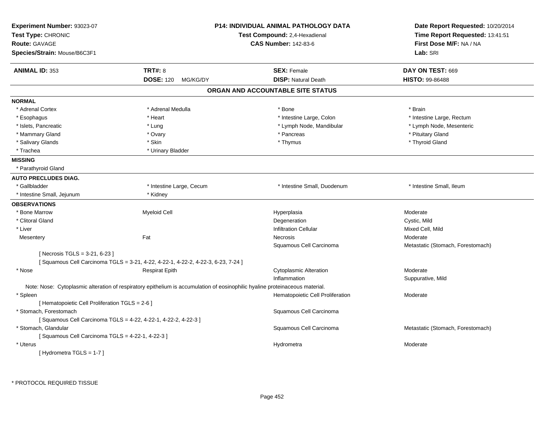| Experiment Number: 93023-07<br>Test Type: CHRONIC<br><b>Route: GAVAGE</b><br>Species/Strain: Mouse/B6C3F1 |                                                                                 | <b>P14: INDIVIDUAL ANIMAL PATHOLOGY DATA</b><br>Test Compound: 2,4-Hexadienal<br><b>CAS Number: 142-83-6</b>                 | Date Report Requested: 10/20/2014<br>Time Report Requested: 13:41:51<br>First Dose M/F: NA / NA<br>Lab: SRI |
|-----------------------------------------------------------------------------------------------------------|---------------------------------------------------------------------------------|------------------------------------------------------------------------------------------------------------------------------|-------------------------------------------------------------------------------------------------------------|
| <b>ANIMAL ID: 353</b>                                                                                     | <b>TRT#: 8</b>                                                                  | <b>SEX: Female</b>                                                                                                           | DAY ON TEST: 669                                                                                            |
|                                                                                                           | <b>DOSE: 120</b><br>MG/KG/DY                                                    | <b>DISP: Natural Death</b>                                                                                                   | <b>HISTO: 99-86488</b>                                                                                      |
|                                                                                                           |                                                                                 | ORGAN AND ACCOUNTABLE SITE STATUS                                                                                            |                                                                                                             |
| <b>NORMAL</b>                                                                                             |                                                                                 |                                                                                                                              |                                                                                                             |
| * Adrenal Cortex                                                                                          | * Adrenal Medulla                                                               | * Bone                                                                                                                       | * Brain                                                                                                     |
| * Esophagus                                                                                               | * Heart                                                                         | * Intestine Large, Colon                                                                                                     | * Intestine Large, Rectum                                                                                   |
| * Islets, Pancreatic                                                                                      | * Lung                                                                          | * Lymph Node, Mandibular                                                                                                     | * Lymph Node, Mesenteric                                                                                    |
| * Mammary Gland                                                                                           | * Ovary                                                                         | * Pancreas                                                                                                                   | * Pituitary Gland                                                                                           |
| * Salivary Glands                                                                                         | * Skin                                                                          | * Thymus                                                                                                                     | * Thyroid Gland                                                                                             |
| * Trachea                                                                                                 | * Urinary Bladder                                                               |                                                                                                                              |                                                                                                             |
| <b>MISSING</b>                                                                                            |                                                                                 |                                                                                                                              |                                                                                                             |
| * Parathyroid Gland                                                                                       |                                                                                 |                                                                                                                              |                                                                                                             |
| <b>AUTO PRECLUDES DIAG.</b>                                                                               |                                                                                 |                                                                                                                              |                                                                                                             |
| * Gallbladder                                                                                             | * Intestine Large, Cecum                                                        | * Intestine Small, Duodenum                                                                                                  | * Intestine Small, Ileum                                                                                    |
| * Intestine Small, Jejunum                                                                                | * Kidney                                                                        |                                                                                                                              |                                                                                                             |
| <b>OBSERVATIONS</b>                                                                                       |                                                                                 |                                                                                                                              |                                                                                                             |
| * Bone Marrow                                                                                             | <b>Myeloid Cell</b>                                                             | Hyperplasia                                                                                                                  | Moderate                                                                                                    |
| * Clitoral Gland                                                                                          |                                                                                 | Degeneration                                                                                                                 | Cystic, Mild                                                                                                |
| * Liver                                                                                                   |                                                                                 | <b>Infiltration Cellular</b>                                                                                                 | Mixed Cell, Mild                                                                                            |
| Mesentery                                                                                                 | Fat                                                                             | Necrosis                                                                                                                     | Moderate                                                                                                    |
|                                                                                                           |                                                                                 | Squamous Cell Carcinoma                                                                                                      | Metastatic (Stomach, Forestomach)                                                                           |
| [Necrosis TGLS = 3-21, 6-23]                                                                              |                                                                                 |                                                                                                                              |                                                                                                             |
|                                                                                                           | [Squamous Cell Carcinoma TGLS = 3-21, 4-22, 4-22-1, 4-22-2, 4-22-3, 6-23, 7-24] |                                                                                                                              |                                                                                                             |
| * Nose                                                                                                    | <b>Respirat Epith</b>                                                           | <b>Cytoplasmic Alteration</b>                                                                                                | Moderate                                                                                                    |
|                                                                                                           |                                                                                 | Inflammation                                                                                                                 | Suppurative, Mild                                                                                           |
|                                                                                                           |                                                                                 | Note: Nose: Cytoplasmic alteration of respiratory epithelium is accumulation of eosinophilic hyaline proteinaceous material. |                                                                                                             |
| * Spleen                                                                                                  |                                                                                 | Hematopoietic Cell Proliferation                                                                                             | Moderate                                                                                                    |
| [ Hematopoietic Cell Proliferation TGLS = 2-6 ]                                                           |                                                                                 |                                                                                                                              |                                                                                                             |
| * Stomach, Forestomach                                                                                    |                                                                                 | Squamous Cell Carcinoma                                                                                                      |                                                                                                             |
|                                                                                                           | [Squamous Cell Carcinoma TGLS = 4-22, 4-22-1, 4-22-2, 4-22-3]                   |                                                                                                                              |                                                                                                             |
| * Stomach, Glandular                                                                                      |                                                                                 | Squamous Cell Carcinoma                                                                                                      | Metastatic (Stomach, Forestomach)                                                                           |
| [Squamous Cell Carcinoma TGLS = 4-22-1, 4-22-3]                                                           |                                                                                 |                                                                                                                              |                                                                                                             |
| * Uterus                                                                                                  |                                                                                 | Hydrometra                                                                                                                   | Moderate                                                                                                    |
| [Hydrometra TGLS = 1-7]                                                                                   |                                                                                 |                                                                                                                              |                                                                                                             |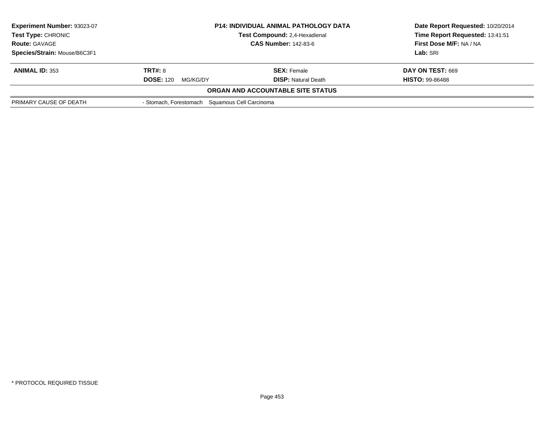| Experiment Number: 93023-07<br><b>Test Type: CHRONIC</b> | <b>P14: INDIVIDUAL ANIMAL PATHOLOGY DATA</b><br>Test Compound: 2,4-Hexadienal<br><b>CAS Number: 142-83-6</b> |                                          | Date Report Requested: 10/20/2014<br>Time Report Requested: 13:41:51 |
|----------------------------------------------------------|--------------------------------------------------------------------------------------------------------------|------------------------------------------|----------------------------------------------------------------------|
| <b>Route: GAVAGE</b>                                     |                                                                                                              |                                          | First Dose M/F: NA / NA                                              |
| Species/Strain: Mouse/B6C3F1                             |                                                                                                              |                                          | <b>Lab:</b> SRI                                                      |
| <b>ANIMAL ID: 353</b>                                    | <b>TRT#: 8</b>                                                                                               | <b>SEX:</b> Female                       | DAY ON TEST: 669                                                     |
|                                                          | <b>DOSE: 120</b><br>MG/KG/DY                                                                                 | <b>DISP:</b> Natural Death               | <b>HISTO: 99-86488</b>                                               |
|                                                          |                                                                                                              | <b>ORGAN AND ACCOUNTABLE SITE STATUS</b> |                                                                      |
| PRIMARY CAUSE OF DEATH                                   | - Stomach, Forestomach Squamous Cell Carcinoma                                                               |                                          |                                                                      |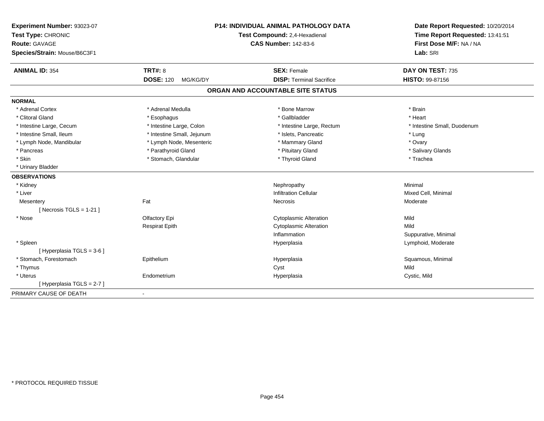| Experiment Number: 93023-07<br>Test Type: CHRONIC<br><b>Route: GAVAGE</b><br>Species/Strain: Mouse/B6C3F1 | <b>P14: INDIVIDUAL ANIMAL PATHOLOGY DATA</b><br>Test Compound: 2,4-Hexadienal<br><b>CAS Number: 142-83-6</b> |                                   | Date Report Requested: 10/20/2014<br>Time Report Requested: 13:41:51<br>First Dose M/F: NA / NA<br>Lab: SRI |
|-----------------------------------------------------------------------------------------------------------|--------------------------------------------------------------------------------------------------------------|-----------------------------------|-------------------------------------------------------------------------------------------------------------|
| <b>ANIMAL ID: 354</b>                                                                                     | TRT#: 8                                                                                                      | <b>SEX: Female</b>                | DAY ON TEST: 735                                                                                            |
|                                                                                                           | <b>DOSE: 120</b><br>MG/KG/DY                                                                                 | <b>DISP: Terminal Sacrifice</b>   | HISTO: 99-87156                                                                                             |
|                                                                                                           |                                                                                                              | ORGAN AND ACCOUNTABLE SITE STATUS |                                                                                                             |
| <b>NORMAL</b>                                                                                             |                                                                                                              |                                   |                                                                                                             |
| * Adrenal Cortex                                                                                          | * Adrenal Medulla                                                                                            | * Bone Marrow                     | * Brain                                                                                                     |
| * Clitoral Gland                                                                                          | * Esophagus                                                                                                  | * Gallbladder                     | * Heart                                                                                                     |
| * Intestine Large, Cecum                                                                                  | * Intestine Large, Colon                                                                                     | * Intestine Large, Rectum         | * Intestine Small, Duodenum                                                                                 |
| * Intestine Small, Ileum                                                                                  | * Intestine Small, Jejunum                                                                                   | * Islets, Pancreatic              | * Lung                                                                                                      |
| * Lymph Node, Mandibular                                                                                  | * Lymph Node, Mesenteric                                                                                     | * Mammary Gland                   | * Ovary                                                                                                     |
| * Pancreas                                                                                                | * Parathyroid Gland                                                                                          | * Pituitary Gland                 | * Salivary Glands                                                                                           |
| * Skin                                                                                                    | * Stomach, Glandular                                                                                         | * Thyroid Gland                   | * Trachea                                                                                                   |
| * Urinary Bladder                                                                                         |                                                                                                              |                                   |                                                                                                             |
| <b>OBSERVATIONS</b>                                                                                       |                                                                                                              |                                   |                                                                                                             |
| * Kidney                                                                                                  |                                                                                                              | Nephropathy                       | Minimal                                                                                                     |
| * Liver                                                                                                   |                                                                                                              | <b>Infiltration Cellular</b>      | Mixed Cell, Minimal                                                                                         |
| Mesentery<br>[Necrosis TGLS = $1-21$ ]                                                                    | Fat                                                                                                          | Necrosis                          | Moderate                                                                                                    |
| * Nose                                                                                                    | Olfactory Epi                                                                                                | <b>Cytoplasmic Alteration</b>     | Mild                                                                                                        |
|                                                                                                           | <b>Respirat Epith</b>                                                                                        | <b>Cytoplasmic Alteration</b>     | Mild                                                                                                        |
|                                                                                                           |                                                                                                              | Inflammation                      | Suppurative, Minimal                                                                                        |
| * Spleen                                                                                                  |                                                                                                              | Hyperplasia                       | Lymphoid, Moderate                                                                                          |
| [ Hyperplasia TGLS = 3-6 ]                                                                                |                                                                                                              |                                   |                                                                                                             |
| * Stomach, Forestomach                                                                                    | Epithelium                                                                                                   | Hyperplasia                       | Squamous, Minimal                                                                                           |
| * Thymus                                                                                                  |                                                                                                              | Cyst                              | Mild                                                                                                        |
| * Uterus                                                                                                  | Endometrium                                                                                                  | Hyperplasia                       | Cystic, Mild                                                                                                |
| [ Hyperplasia TGLS = 2-7 ]                                                                                |                                                                                                              |                                   |                                                                                                             |
| PRIMARY CAUSE OF DEATH                                                                                    | $\blacksquare$                                                                                               |                                   |                                                                                                             |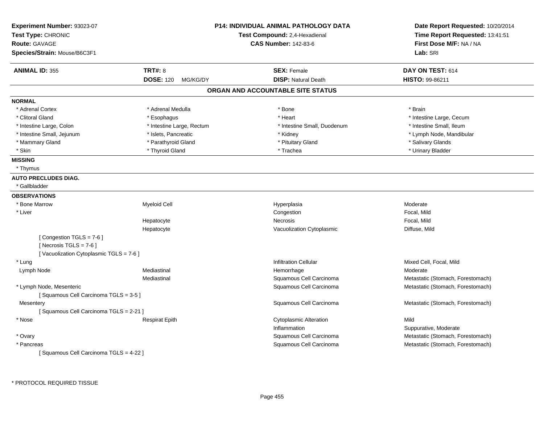| Experiment Number: 93023-07<br>Test Type: CHRONIC |                              | <b>P14: INDIVIDUAL ANIMAL PATHOLOGY DATA</b><br>Test Compound: 2,4-Hexadienal | Date Report Requested: 10/20/2014<br>Time Report Requested: 13:41:51 |  |
|---------------------------------------------------|------------------------------|-------------------------------------------------------------------------------|----------------------------------------------------------------------|--|
| <b>Route: GAVAGE</b>                              |                              | <b>CAS Number: 142-83-6</b>                                                   | First Dose M/F: NA / NA                                              |  |
| Species/Strain: Mouse/B6C3F1                      |                              |                                                                               | Lab: SRI                                                             |  |
| <b>ANIMAL ID: 355</b>                             | <b>TRT#: 8</b>               | <b>SEX: Female</b>                                                            | DAY ON TEST: 614                                                     |  |
|                                                   | <b>DOSE: 120</b><br>MG/KG/DY | <b>DISP: Natural Death</b>                                                    | <b>HISTO: 99-86211</b>                                               |  |
|                                                   |                              | ORGAN AND ACCOUNTABLE SITE STATUS                                             |                                                                      |  |
| <b>NORMAL</b>                                     |                              |                                                                               |                                                                      |  |
| * Adrenal Cortex                                  | * Adrenal Medulla            | $*$ Bone                                                                      | * Brain                                                              |  |
| * Clitoral Gland                                  | * Esophagus                  | * Heart                                                                       | * Intestine Large, Cecum                                             |  |
| * Intestine Large, Colon                          | * Intestine Large, Rectum    | * Intestine Small, Duodenum                                                   | * Intestine Small, Ileum                                             |  |
| * Intestine Small, Jejunum                        | * Islets, Pancreatic         | * Kidney                                                                      | * Lymph Node, Mandibular                                             |  |
| * Mammary Gland                                   | * Parathyroid Gland          | * Pituitary Gland                                                             | * Salivary Glands                                                    |  |
| * Skin                                            | * Thyroid Gland              | * Trachea                                                                     | * Urinary Bladder                                                    |  |
| <b>MISSING</b>                                    |                              |                                                                               |                                                                      |  |
| * Thymus                                          |                              |                                                                               |                                                                      |  |
| <b>AUTO PRECLUDES DIAG.</b>                       |                              |                                                                               |                                                                      |  |
| * Gallbladder                                     |                              |                                                                               |                                                                      |  |
| <b>OBSERVATIONS</b>                               |                              |                                                                               |                                                                      |  |
| * Bone Marrow                                     | <b>Myeloid Cell</b>          | Hyperplasia                                                                   | Moderate                                                             |  |
| * Liver                                           |                              | Congestion                                                                    | Focal, Mild                                                          |  |
|                                                   | Hepatocyte                   | Necrosis                                                                      | Focal, Mild                                                          |  |
|                                                   | Hepatocyte                   | Vacuolization Cytoplasmic                                                     | Diffuse, Mild                                                        |  |
| [Congestion TGLS = 7-6]                           |                              |                                                                               |                                                                      |  |
| [Necrosis TGLS = $7-6$ ]                          |                              |                                                                               |                                                                      |  |
| [Vacuolization Cytoplasmic TGLS = 7-6]            |                              |                                                                               |                                                                      |  |
| * Lung                                            |                              | <b>Infiltration Cellular</b>                                                  | Mixed Cell, Focal, Mild                                              |  |
| Lymph Node                                        | Mediastinal                  | Hemorrhage                                                                    | Moderate                                                             |  |
|                                                   | Mediastinal                  | Squamous Cell Carcinoma                                                       | Metastatic (Stomach, Forestomach)                                    |  |
| * Lymph Node, Mesenteric                          |                              | Squamous Cell Carcinoma                                                       | Metastatic (Stomach, Forestomach)                                    |  |
| [Squamous Cell Carcinoma TGLS = 3-5]              |                              |                                                                               |                                                                      |  |
| Mesentery                                         |                              | Squamous Cell Carcinoma                                                       | Metastatic (Stomach, Forestomach)                                    |  |
| [Squamous Cell Carcinoma TGLS = 2-21]             |                              |                                                                               |                                                                      |  |
| * Nose                                            | <b>Respirat Epith</b>        | <b>Cytoplasmic Alteration</b>                                                 | Mild                                                                 |  |
|                                                   |                              | Inflammation                                                                  | Suppurative, Moderate                                                |  |
| * Ovary                                           |                              | Squamous Cell Carcinoma                                                       | Metastatic (Stomach, Forestomach)                                    |  |
| * Pancreas                                        |                              | Squamous Cell Carcinoma                                                       | Metastatic (Stomach, Forestomach)                                    |  |
| [Squamous Cell Carcinoma TGLS = 4-22 ]            |                              |                                                                               |                                                                      |  |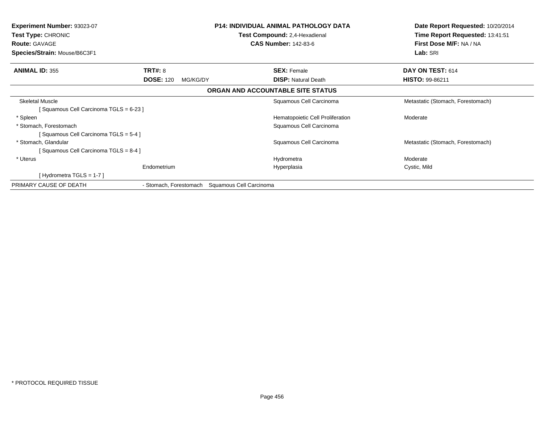| <b>Experiment Number: 93023-07</b><br>Test Type: CHRONIC<br><b>Route: GAVAGE</b><br>Species/Strain: Mouse/B6C3F1 |                                                | <b>P14: INDIVIDUAL ANIMAL PATHOLOGY DATA</b><br>Test Compound: 2,4-Hexadienal<br><b>CAS Number: 142-83-6</b> | Date Report Requested: 10/20/2014<br>Time Report Requested: 13:41:51<br>First Dose M/F: NA / NA<br>Lab: SRI |
|------------------------------------------------------------------------------------------------------------------|------------------------------------------------|--------------------------------------------------------------------------------------------------------------|-------------------------------------------------------------------------------------------------------------|
| <b>ANIMAL ID: 355</b>                                                                                            | TRT#: 8                                        | <b>SEX: Female</b>                                                                                           | DAY ON TEST: 614                                                                                            |
|                                                                                                                  | <b>DOSE: 120</b><br>MG/KG/DY                   | <b>DISP:</b> Natural Death                                                                                   | HISTO: 99-86211                                                                                             |
|                                                                                                                  |                                                | ORGAN AND ACCOUNTABLE SITE STATUS                                                                            |                                                                                                             |
| <b>Skeletal Muscle</b><br>[Squamous Cell Carcinoma TGLS = 6-23 ]                                                 |                                                | Squamous Cell Carcinoma                                                                                      | Metastatic (Stomach, Forestomach)                                                                           |
| * Spleen                                                                                                         |                                                | Hematopoietic Cell Proliferation                                                                             | Moderate                                                                                                    |
| * Stomach, Forestomach                                                                                           |                                                | Squamous Cell Carcinoma                                                                                      |                                                                                                             |
| [Squamous Cell Carcinoma TGLS = 5-4]                                                                             |                                                |                                                                                                              |                                                                                                             |
| * Stomach, Glandular                                                                                             |                                                | Squamous Cell Carcinoma                                                                                      | Metastatic (Stomach, Forestomach)                                                                           |
| Squamous Cell Carcinoma TGLS = 8-4 ]                                                                             |                                                |                                                                                                              |                                                                                                             |
| * Uterus                                                                                                         |                                                | Hydrometra                                                                                                   | Moderate                                                                                                    |
|                                                                                                                  | Endometrium                                    | Hyperplasia                                                                                                  | Cystic, Mild                                                                                                |
| [Hydrometra TGLS = $1-7$ ]                                                                                       |                                                |                                                                                                              |                                                                                                             |
| PRIMARY CAUSE OF DEATH                                                                                           | - Stomach, Forestomach Squamous Cell Carcinoma |                                                                                                              |                                                                                                             |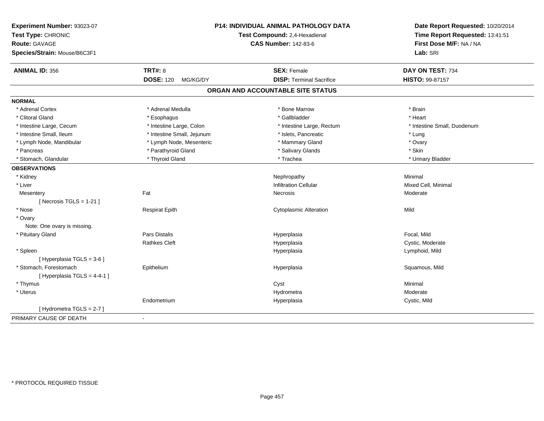| Experiment Number: 93023-07  | P14: INDIVIDUAL ANIMAL PATHOLOGY DATA<br>Test Compound: 2,4-Hexadienal |                                   | Date Report Requested: 10/20/2014<br>Time Report Requested: 13:41:51 |
|------------------------------|------------------------------------------------------------------------|-----------------------------------|----------------------------------------------------------------------|
| Test Type: CHRONIC           |                                                                        |                                   |                                                                      |
| <b>Route: GAVAGE</b>         |                                                                        | <b>CAS Number: 142-83-6</b>       | First Dose M/F: NA / NA                                              |
| Species/Strain: Mouse/B6C3F1 |                                                                        |                                   | Lab: SRI                                                             |
| <b>ANIMAL ID: 356</b>        | <b>TRT#: 8</b>                                                         | <b>SEX: Female</b>                | DAY ON TEST: 734                                                     |
|                              | <b>DOSE: 120</b><br>MG/KG/DY                                           | <b>DISP: Terminal Sacrifice</b>   | <b>HISTO: 99-87157</b>                                               |
|                              |                                                                        | ORGAN AND ACCOUNTABLE SITE STATUS |                                                                      |
| <b>NORMAL</b>                |                                                                        |                                   |                                                                      |
| * Adrenal Cortex             | * Adrenal Medulla                                                      | * Bone Marrow                     | * Brain                                                              |
| * Clitoral Gland             | * Esophagus                                                            | * Gallbladder                     | * Heart                                                              |
| * Intestine Large, Cecum     | * Intestine Large, Colon                                               | * Intestine Large, Rectum         | * Intestine Small, Duodenum                                          |
| * Intestine Small, Ileum     | * Intestine Small, Jejunum                                             | * Islets, Pancreatic              | * Lung                                                               |
| * Lymph Node, Mandibular     | * Lymph Node, Mesenteric                                               | * Mammary Gland                   | * Ovary                                                              |
| * Pancreas                   | * Parathyroid Gland                                                    | * Salivary Glands                 | * Skin                                                               |
| * Stomach, Glandular         | * Thyroid Gland                                                        | * Trachea                         | * Urinary Bladder                                                    |
| <b>OBSERVATIONS</b>          |                                                                        |                                   |                                                                      |
| * Kidney                     |                                                                        | Nephropathy                       | Minimal                                                              |
| * Liver                      |                                                                        | <b>Infiltration Cellular</b>      | Mixed Cell, Minimal                                                  |
| Mesentery                    | Fat                                                                    | Necrosis                          | Moderate                                                             |
| [ Necrosis TGLS = $1-21$ ]   |                                                                        |                                   |                                                                      |
| * Nose                       | <b>Respirat Epith</b>                                                  | <b>Cytoplasmic Alteration</b>     | Mild                                                                 |
| * Ovary                      |                                                                        |                                   |                                                                      |
| Note: One ovary is missing.  |                                                                        |                                   |                                                                      |
| * Pituitary Gland            | <b>Pars Distalis</b>                                                   | Hyperplasia                       | Focal, Mild                                                          |
|                              | <b>Rathkes Cleft</b>                                                   | Hyperplasia                       | Cystic, Moderate                                                     |
| * Spleen                     |                                                                        | Hyperplasia                       | Lymphoid, Mild                                                       |
| [ Hyperplasia TGLS = 3-6 ]   |                                                                        |                                   |                                                                      |
| * Stomach, Forestomach       | Epithelium                                                             | Hyperplasia                       | Squamous, Mild                                                       |
| [ Hyperplasia TGLS = 4-4-1 ] |                                                                        |                                   |                                                                      |
| * Thymus                     |                                                                        | Cyst                              | Minimal                                                              |
| * Uterus                     |                                                                        | Hydrometra                        | Moderate                                                             |
|                              | Endometrium                                                            | Hyperplasia                       | Cystic, Mild                                                         |
| [Hydrometra TGLS = 2-7]      |                                                                        |                                   |                                                                      |
| PRIMARY CAUSE OF DEATH       | $\blacksquare$                                                         |                                   |                                                                      |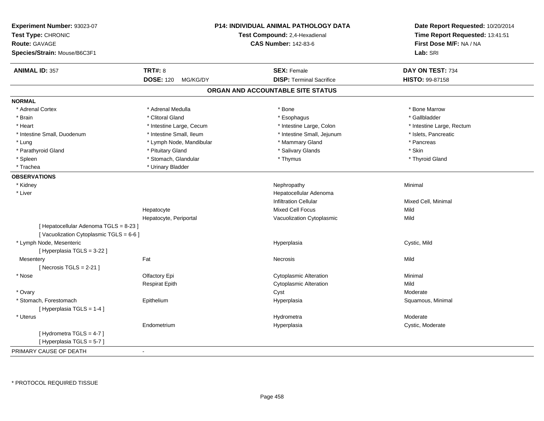| Experiment Number: 93023-07<br>Test Type: CHRONIC<br><b>Route: GAVAGE</b><br>Species/Strain: Mouse/B6C3F1 |                              | P14: INDIVIDUAL ANIMAL PATHOLOGY DATA<br>Test Compound: 2,4-Hexadienal<br><b>CAS Number: 142-83-6</b> | Date Report Requested: 10/20/2014<br>Time Report Requested: 13:41:51<br>First Dose M/F: NA / NA<br>Lab: SRI |
|-----------------------------------------------------------------------------------------------------------|------------------------------|-------------------------------------------------------------------------------------------------------|-------------------------------------------------------------------------------------------------------------|
| <b>ANIMAL ID: 357</b>                                                                                     | <b>TRT#: 8</b>               | <b>SEX: Female</b>                                                                                    | DAY ON TEST: 734                                                                                            |
|                                                                                                           | <b>DOSE: 120</b><br>MG/KG/DY | <b>DISP: Terminal Sacrifice</b>                                                                       | <b>HISTO: 99-87158</b>                                                                                      |
|                                                                                                           |                              | ORGAN AND ACCOUNTABLE SITE STATUS                                                                     |                                                                                                             |
| <b>NORMAL</b>                                                                                             |                              |                                                                                                       |                                                                                                             |
| * Adrenal Cortex                                                                                          | * Adrenal Medulla            | * Bone                                                                                                | * Bone Marrow                                                                                               |
| * Brain                                                                                                   | * Clitoral Gland             | * Esophagus                                                                                           | * Gallbladder                                                                                               |
| * Heart                                                                                                   | * Intestine Large, Cecum     | * Intestine Large, Colon                                                                              | * Intestine Large, Rectum                                                                                   |
| * Intestine Small, Duodenum                                                                               | * Intestine Small, Ileum     | * Intestine Small, Jejunum                                                                            | * Islets, Pancreatic                                                                                        |
| * Lung                                                                                                    | * Lymph Node, Mandibular     | * Mammary Gland                                                                                       | * Pancreas                                                                                                  |
| * Parathyroid Gland                                                                                       | * Pituitary Gland            | * Salivary Glands                                                                                     | * Skin                                                                                                      |
| * Spleen                                                                                                  | * Stomach, Glandular         | * Thymus                                                                                              | * Thyroid Gland                                                                                             |
| * Trachea                                                                                                 | * Urinary Bladder            |                                                                                                       |                                                                                                             |
| <b>OBSERVATIONS</b>                                                                                       |                              |                                                                                                       |                                                                                                             |
| * Kidney                                                                                                  |                              | Nephropathy                                                                                           | Minimal                                                                                                     |
| * Liver                                                                                                   |                              | Hepatocellular Adenoma                                                                                |                                                                                                             |
|                                                                                                           |                              | <b>Infiltration Cellular</b>                                                                          | Mixed Cell, Minimal                                                                                         |
|                                                                                                           | Hepatocyte                   | <b>Mixed Cell Focus</b>                                                                               | Mild                                                                                                        |
|                                                                                                           | Hepatocyte, Periportal       | Vacuolization Cytoplasmic                                                                             | Mild                                                                                                        |
| [ Hepatocellular Adenoma TGLS = 8-23 ]<br>[Vacuolization Cytoplasmic TGLS = 6-6]                          |                              |                                                                                                       |                                                                                                             |
| * Lymph Node, Mesenteric                                                                                  |                              | Hyperplasia                                                                                           | Cystic, Mild                                                                                                |
| [ Hyperplasia TGLS = 3-22 ]                                                                               |                              |                                                                                                       |                                                                                                             |
| Mesentery                                                                                                 | Fat                          | Necrosis                                                                                              | Mild                                                                                                        |
| [Necrosis TGLS = $2-21$ ]                                                                                 |                              |                                                                                                       |                                                                                                             |
| * Nose                                                                                                    | Olfactory Epi                | <b>Cytoplasmic Alteration</b>                                                                         | Minimal                                                                                                     |
|                                                                                                           | <b>Respirat Epith</b>        | <b>Cytoplasmic Alteration</b>                                                                         | Mild                                                                                                        |
| * Ovary                                                                                                   |                              | Cyst                                                                                                  | Moderate                                                                                                    |
| * Stomach, Forestomach                                                                                    | Epithelium                   | Hyperplasia                                                                                           | Squamous, Minimal                                                                                           |
| [Hyperplasia TGLS = 1-4]                                                                                  |                              |                                                                                                       |                                                                                                             |
| * Uterus                                                                                                  |                              | Hydrometra                                                                                            | Moderate                                                                                                    |
|                                                                                                           | Endometrium                  | Hyperplasia                                                                                           | Cystic, Moderate                                                                                            |
| [Hydrometra TGLS = 4-7]                                                                                   |                              |                                                                                                       |                                                                                                             |
| [Hyperplasia TGLS = 5-7]                                                                                  |                              |                                                                                                       |                                                                                                             |
| PRIMARY CAUSE OF DEATH                                                                                    |                              |                                                                                                       |                                                                                                             |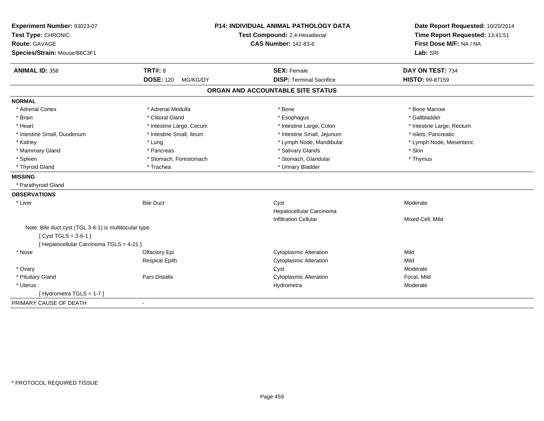| Experiment Number: 93023-07<br>Test Type: CHRONIC<br><b>Route: GAVAGE</b><br>Species/Strain: Mouse/B6C3F1 |                              | <b>P14: INDIVIDUAL ANIMAL PATHOLOGY DATA</b><br>Test Compound: 2,4-Hexadienal<br><b>CAS Number: 142-83-6</b> | Date Report Requested: 10/20/2014<br>Time Report Requested: 13:41:51<br>First Dose M/F: NA / NA<br>Lab: SRI |
|-----------------------------------------------------------------------------------------------------------|------------------------------|--------------------------------------------------------------------------------------------------------------|-------------------------------------------------------------------------------------------------------------|
| <b>ANIMAL ID: 358</b>                                                                                     | <b>TRT#: 8</b>               | <b>SEX: Female</b>                                                                                           | DAY ON TEST: 734                                                                                            |
|                                                                                                           | <b>DOSE: 120</b><br>MG/KG/DY | <b>DISP: Terminal Sacrifice</b>                                                                              | HISTO: 99-87159                                                                                             |
|                                                                                                           |                              | ORGAN AND ACCOUNTABLE SITE STATUS                                                                            |                                                                                                             |
| <b>NORMAL</b>                                                                                             |                              |                                                                                                              |                                                                                                             |
| * Adrenal Cortex                                                                                          | * Adrenal Medulla            | * Bone                                                                                                       | * Bone Marrow                                                                                               |
| * Brain                                                                                                   | * Clitoral Gland             | * Esophagus                                                                                                  | * Gallbladder                                                                                               |
| * Heart                                                                                                   | * Intestine Large, Cecum     | * Intestine Large, Colon                                                                                     | * Intestine Large, Rectum                                                                                   |
| * Intestine Small, Duodenum                                                                               | * Intestine Small, Ileum     | * Intestine Small, Jejunum                                                                                   | * Islets, Pancreatic                                                                                        |
| * Kidney                                                                                                  | * Lung                       | * Lymph Node, Mandibular                                                                                     | * Lymph Node, Mesenteric                                                                                    |
| * Mammary Gland                                                                                           | * Pancreas                   | * Salivary Glands                                                                                            | * Skin                                                                                                      |
| * Spleen                                                                                                  | * Stomach, Forestomach       | * Stomach, Glandular                                                                                         | * Thymus                                                                                                    |
| * Thyroid Gland                                                                                           | * Trachea                    | * Urinary Bladder                                                                                            |                                                                                                             |
| <b>MISSING</b>                                                                                            |                              |                                                                                                              |                                                                                                             |
| * Parathyroid Gland                                                                                       |                              |                                                                                                              |                                                                                                             |
| <b>OBSERVATIONS</b>                                                                                       |                              |                                                                                                              |                                                                                                             |
| * Liver                                                                                                   | <b>Bile Duct</b>             | Cyst                                                                                                         | Moderate                                                                                                    |
|                                                                                                           |                              | Hepatocellular Carcinoma                                                                                     |                                                                                                             |
|                                                                                                           |                              | <b>Infiltration Cellular</b>                                                                                 | Mixed Cell, Mild                                                                                            |
| Note: Bile duct cyst (TGL 3-6-1) is multilocular type.                                                    |                              |                                                                                                              |                                                                                                             |
| [ $Cyst TGLS = 3-6-1$ ]                                                                                   |                              |                                                                                                              |                                                                                                             |
| [ Hepatocellular Carcinoma TGLS = 4-21 ]                                                                  |                              |                                                                                                              |                                                                                                             |
| * Nose                                                                                                    | Olfactory Epi                | <b>Cytoplasmic Alteration</b>                                                                                | Mild                                                                                                        |
|                                                                                                           | <b>Respirat Epith</b>        | <b>Cytoplasmic Alteration</b>                                                                                | Mild                                                                                                        |
| * Ovary                                                                                                   |                              | Cyst                                                                                                         | Moderate                                                                                                    |
| * Pituitary Gland                                                                                         | Pars Distalis                | <b>Cytoplasmic Alteration</b>                                                                                | Focal, Mild                                                                                                 |
| * Uterus                                                                                                  |                              | Hydrometra                                                                                                   | Moderate                                                                                                    |
| [Hydrometra TGLS = $1-7$ ]                                                                                |                              |                                                                                                              |                                                                                                             |
| PRIMARY CAUSE OF DEATH                                                                                    | $\blacksquare$               |                                                                                                              |                                                                                                             |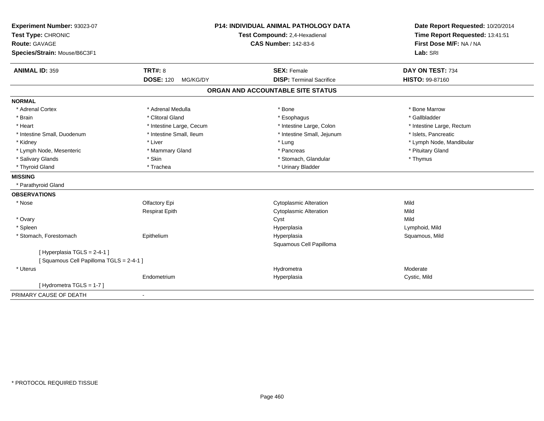| Experiment Number: 93023-07<br>Test Type: CHRONIC<br><b>Route: GAVAGE</b><br>Species/Strain: Mouse/B6C3F1 |                              | <b>P14: INDIVIDUAL ANIMAL PATHOLOGY DATA</b><br>Test Compound: 2,4-Hexadienal<br><b>CAS Number: 142-83-6</b> | Date Report Requested: 10/20/2014<br>Time Report Requested: 13:41:51<br>First Dose M/F: NA / NA<br>Lab: SRI |
|-----------------------------------------------------------------------------------------------------------|------------------------------|--------------------------------------------------------------------------------------------------------------|-------------------------------------------------------------------------------------------------------------|
| <b>ANIMAL ID: 359</b>                                                                                     | <b>TRT#: 8</b>               | <b>SEX: Female</b>                                                                                           | DAY ON TEST: 734                                                                                            |
|                                                                                                           | <b>DOSE: 120</b><br>MG/KG/DY | <b>DISP: Terminal Sacrifice</b>                                                                              | HISTO: 99-87160                                                                                             |
|                                                                                                           |                              | ORGAN AND ACCOUNTABLE SITE STATUS                                                                            |                                                                                                             |
| <b>NORMAL</b>                                                                                             |                              |                                                                                                              |                                                                                                             |
| * Adrenal Cortex                                                                                          | * Adrenal Medulla            | * Bone                                                                                                       | * Bone Marrow                                                                                               |
| * Brain                                                                                                   | * Clitoral Gland             | * Esophagus                                                                                                  | * Gallbladder                                                                                               |
| * Heart                                                                                                   | * Intestine Large, Cecum     | * Intestine Large, Colon                                                                                     | * Intestine Large, Rectum                                                                                   |
| * Intestine Small, Duodenum                                                                               | * Intestine Small, Ileum     | * Intestine Small, Jejunum                                                                                   | * Islets, Pancreatic                                                                                        |
| * Kidney                                                                                                  | * Liver                      | * Lung                                                                                                       | * Lymph Node, Mandibular                                                                                    |
| * Lymph Node, Mesenteric                                                                                  | * Mammary Gland              | * Pancreas                                                                                                   | * Pituitary Gland                                                                                           |
| * Salivary Glands                                                                                         | * Skin                       | * Stomach, Glandular                                                                                         | * Thymus                                                                                                    |
| * Thyroid Gland                                                                                           | * Trachea                    | * Urinary Bladder                                                                                            |                                                                                                             |
| <b>MISSING</b>                                                                                            |                              |                                                                                                              |                                                                                                             |
| * Parathyroid Gland                                                                                       |                              |                                                                                                              |                                                                                                             |
| <b>OBSERVATIONS</b>                                                                                       |                              |                                                                                                              |                                                                                                             |
| * Nose                                                                                                    | Olfactory Epi                | <b>Cytoplasmic Alteration</b>                                                                                | Mild                                                                                                        |
|                                                                                                           | <b>Respirat Epith</b>        | <b>Cytoplasmic Alteration</b>                                                                                | Mild                                                                                                        |
| * Ovary                                                                                                   |                              | Cyst                                                                                                         | Mild                                                                                                        |
| * Spleen                                                                                                  |                              | Hyperplasia                                                                                                  | Lymphoid, Mild                                                                                              |
| * Stomach, Forestomach                                                                                    | Epithelium                   | Hyperplasia                                                                                                  | Squamous, Mild                                                                                              |
|                                                                                                           |                              | Squamous Cell Papilloma                                                                                      |                                                                                                             |
| [Hyperplasia TGLS = 2-4-1]                                                                                |                              |                                                                                                              |                                                                                                             |
| [Squamous Cell Papilloma TGLS = 2-4-1]                                                                    |                              |                                                                                                              |                                                                                                             |
| * Uterus                                                                                                  |                              | Hydrometra                                                                                                   | Moderate                                                                                                    |
|                                                                                                           | Endometrium                  | Hyperplasia                                                                                                  | Cystic, Mild                                                                                                |
| [ Hydrometra TGLS = 1-7 ]                                                                                 |                              |                                                                                                              |                                                                                                             |
| PRIMARY CAUSE OF DEATH                                                                                    | $\blacksquare$               |                                                                                                              |                                                                                                             |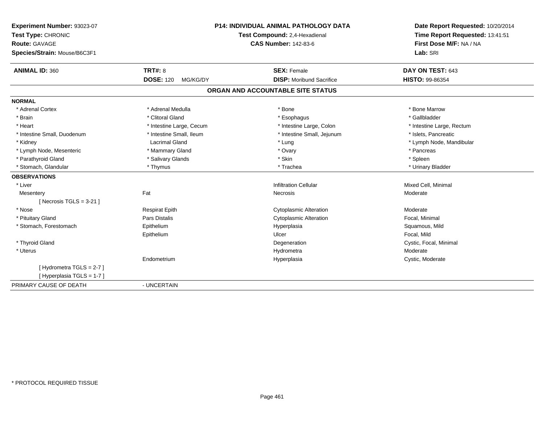| Experiment Number: 93023-07  |                              | <b>P14: INDIVIDUAL ANIMAL PATHOLOGY DATA</b> | Date Report Requested: 10/20/2014<br>Time Report Requested: 13:41:51 |
|------------------------------|------------------------------|----------------------------------------------|----------------------------------------------------------------------|
| Test Type: CHRONIC           |                              | Test Compound: 2,4-Hexadienal                |                                                                      |
| <b>Route: GAVAGE</b>         |                              | <b>CAS Number: 142-83-6</b>                  | First Dose M/F: NA / NA                                              |
| Species/Strain: Mouse/B6C3F1 |                              |                                              | Lab: SRI                                                             |
| <b>ANIMAL ID: 360</b>        | <b>TRT#: 8</b>               | <b>SEX: Female</b>                           | DAY ON TEST: 643                                                     |
|                              | <b>DOSE: 120</b><br>MG/KG/DY | <b>DISP:</b> Moribund Sacrifice              | <b>HISTO: 99-86354</b>                                               |
|                              |                              | ORGAN AND ACCOUNTABLE SITE STATUS            |                                                                      |
| <b>NORMAL</b>                |                              |                                              |                                                                      |
| * Adrenal Cortex             | * Adrenal Medulla            | * Bone                                       | * Bone Marrow                                                        |
| * Brain                      | * Clitoral Gland             | * Esophagus                                  | * Gallbladder                                                        |
| * Heart                      | * Intestine Large, Cecum     | * Intestine Large, Colon                     | * Intestine Large, Rectum                                            |
| * Intestine Small, Duodenum  | * Intestine Small, Ileum     | * Intestine Small, Jejunum                   | * Islets. Pancreatic                                                 |
| * Kidney                     | Lacrimal Gland               | * Lung                                       | * Lymph Node, Mandibular                                             |
| * Lymph Node, Mesenteric     | * Mammary Gland              | * Ovary                                      | * Pancreas                                                           |
| * Parathyroid Gland          | * Salivary Glands            | * Skin                                       | * Spleen                                                             |
| * Stomach, Glandular         | * Thymus                     | * Trachea                                    | * Urinary Bladder                                                    |
| <b>OBSERVATIONS</b>          |                              |                                              |                                                                      |
| * Liver                      |                              | <b>Infiltration Cellular</b>                 | Mixed Cell, Minimal                                                  |
| Mesentery                    | Fat                          | Necrosis                                     | Moderate                                                             |
| [Necrosis TGLS = $3-21$ ]    |                              |                                              |                                                                      |
| * Nose                       | <b>Respirat Epith</b>        | <b>Cytoplasmic Alteration</b>                | Moderate                                                             |
| * Pituitary Gland            | Pars Distalis                | <b>Cytoplasmic Alteration</b>                | Focal, Minimal                                                       |
| * Stomach, Forestomach       | Epithelium                   | Hyperplasia                                  | Squamous, Mild                                                       |
|                              | Epithelium                   | Ulcer                                        | Focal, Mild                                                          |
| * Thyroid Gland              |                              | Degeneration                                 | Cystic, Focal, Minimal                                               |
| * Uterus                     |                              | Hydrometra                                   | Moderate                                                             |
|                              | Endometrium                  | Hyperplasia                                  | Cystic, Moderate                                                     |
| [Hydrometra TGLS = 2-7]      |                              |                                              |                                                                      |
| [Hyperplasia TGLS = 1-7]     |                              |                                              |                                                                      |
| PRIMARY CAUSE OF DEATH       | - UNCERTAIN                  |                                              |                                                                      |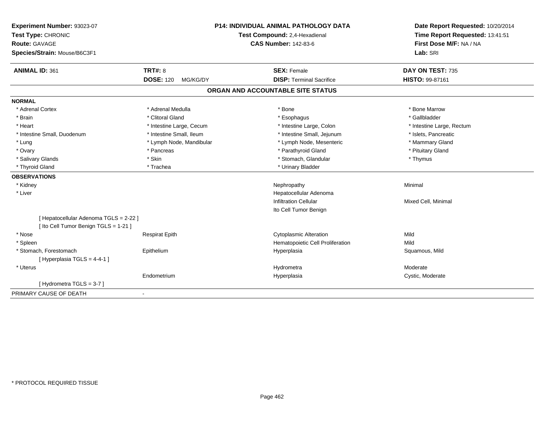| Experiment Number: 93023-07<br>Test Type: CHRONIC<br><b>Route: GAVAGE</b><br>Species/Strain: Mouse/B6C3F1 |                              | <b>P14: INDIVIDUAL ANIMAL PATHOLOGY DATA</b><br>Test Compound: 2,4-Hexadienal<br><b>CAS Number: 142-83-6</b> | Date Report Requested: 10/20/2014<br>Time Report Requested: 13:41:51<br>First Dose M/F: NA / NA<br>Lab: SRI |
|-----------------------------------------------------------------------------------------------------------|------------------------------|--------------------------------------------------------------------------------------------------------------|-------------------------------------------------------------------------------------------------------------|
| <b>ANIMAL ID: 361</b>                                                                                     | <b>TRT#: 8</b>               | <b>SEX: Female</b>                                                                                           | DAY ON TEST: 735                                                                                            |
|                                                                                                           | <b>DOSE: 120</b><br>MG/KG/DY | <b>DISP: Terminal Sacrifice</b>                                                                              | HISTO: 99-87161                                                                                             |
|                                                                                                           |                              | ORGAN AND ACCOUNTABLE SITE STATUS                                                                            |                                                                                                             |
| <b>NORMAL</b>                                                                                             |                              |                                                                                                              |                                                                                                             |
| * Adrenal Cortex                                                                                          | * Adrenal Medulla            | * Bone                                                                                                       | * Bone Marrow                                                                                               |
| * Brain                                                                                                   | * Clitoral Gland             | * Esophagus                                                                                                  | * Gallbladder                                                                                               |
| * Heart                                                                                                   | * Intestine Large, Cecum     | * Intestine Large, Colon                                                                                     | * Intestine Large, Rectum                                                                                   |
| * Intestine Small, Duodenum                                                                               | * Intestine Small, Ileum     | * Intestine Small, Jejunum                                                                                   | * Islets, Pancreatic                                                                                        |
| * Lung                                                                                                    | * Lymph Node, Mandibular     | * Lymph Node, Mesenteric                                                                                     | * Mammary Gland                                                                                             |
| * Ovary                                                                                                   | * Pancreas                   | * Parathyroid Gland                                                                                          | * Pituitary Gland                                                                                           |
| * Salivary Glands                                                                                         | * Skin                       | * Stomach, Glandular                                                                                         | * Thymus                                                                                                    |
| * Thyroid Gland                                                                                           | * Trachea                    | * Urinary Bladder                                                                                            |                                                                                                             |
| <b>OBSERVATIONS</b>                                                                                       |                              |                                                                                                              |                                                                                                             |
| * Kidney                                                                                                  |                              | Nephropathy                                                                                                  | Minimal                                                                                                     |
| * Liver                                                                                                   |                              | Hepatocellular Adenoma                                                                                       |                                                                                                             |
|                                                                                                           |                              | <b>Infiltration Cellular</b>                                                                                 | Mixed Cell, Minimal                                                                                         |
|                                                                                                           |                              | Ito Cell Tumor Benign                                                                                        |                                                                                                             |
| [ Hepatocellular Adenoma TGLS = 2-22 ]<br>[ Ito Cell Tumor Benign TGLS = 1-21 ]                           |                              |                                                                                                              |                                                                                                             |
| * Nose                                                                                                    | <b>Respirat Epith</b>        | <b>Cytoplasmic Alteration</b>                                                                                | Mild                                                                                                        |
| * Spleen                                                                                                  |                              | Hematopoietic Cell Proliferation                                                                             | Mild                                                                                                        |
| * Stomach, Forestomach                                                                                    | Epithelium                   | Hyperplasia                                                                                                  | Squamous, Mild                                                                                              |
| [Hyperplasia TGLS = 4-4-1]                                                                                |                              |                                                                                                              |                                                                                                             |
| * Uterus                                                                                                  |                              | Hydrometra                                                                                                   | Moderate                                                                                                    |
|                                                                                                           | Endometrium                  | Hyperplasia                                                                                                  | Cystic, Moderate                                                                                            |
| [Hydrometra TGLS = 3-7]                                                                                   |                              |                                                                                                              |                                                                                                             |
| PRIMARY CAUSE OF DEATH                                                                                    | $\overline{\phantom{a}}$     |                                                                                                              |                                                                                                             |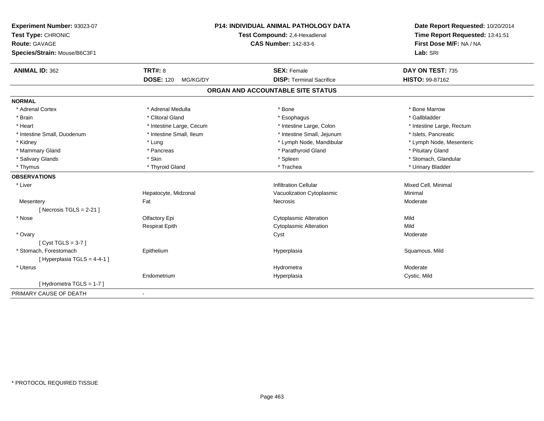| Experiment Number: 93023-07                             | P14: INDIVIDUAL ANIMAL PATHOLOGY DATA | Date Report Requested: 10/20/2014<br>Time Report Requested: 13:41:51<br>First Dose M/F: NA / NA |
|---------------------------------------------------------|---------------------------------------|-------------------------------------------------------------------------------------------------|
| Test Type: CHRONIC                                      | Test Compound: 2,4-Hexadienal         |                                                                                                 |
| <b>Route: GAVAGE</b>                                    | <b>CAS Number: 142-83-6</b>           |                                                                                                 |
| Species/Strain: Mouse/B6C3F1                            |                                       | Lab: SRI                                                                                        |
| <b>TRT#: 8</b><br><b>ANIMAL ID: 362</b>                 | <b>SEX: Female</b>                    | DAY ON TEST: 735                                                                                |
| <b>DOSE: 120</b><br>MG/KG/DY                            | <b>DISP: Terminal Sacrifice</b>       | <b>HISTO: 99-87162</b>                                                                          |
|                                                         | ORGAN AND ACCOUNTABLE SITE STATUS     |                                                                                                 |
| <b>NORMAL</b>                                           |                                       |                                                                                                 |
| * Adrenal Medulla<br>* Adrenal Cortex                   | * Bone                                | * Bone Marrow                                                                                   |
| * Clitoral Gland<br>* Brain                             | * Esophagus                           | * Gallbladder                                                                                   |
| * Heart<br>* Intestine Large, Cecum                     | * Intestine Large, Colon              | * Intestine Large, Rectum                                                                       |
| * Intestine Small, Duodenum<br>* Intestine Small, Ileum | * Intestine Small, Jejunum            | * Islets, Pancreatic                                                                            |
| * Kidney<br>* Lung                                      | * Lymph Node, Mandibular              | * Lymph Node, Mesenteric                                                                        |
| * Mammary Gland<br>* Pancreas                           | * Parathyroid Gland                   | * Pituitary Gland                                                                               |
| * Skin<br>* Salivary Glands                             | * Spleen                              | * Stomach, Glandular                                                                            |
| * Thyroid Gland<br>* Thymus                             | * Trachea                             | * Urinary Bladder                                                                               |
| <b>OBSERVATIONS</b>                                     |                                       |                                                                                                 |
| * Liver                                                 | <b>Infiltration Cellular</b>          | Mixed Cell, Minimal                                                                             |
| Hepatocyte, Midzonal                                    | Vacuolization Cytoplasmic             | Minimal                                                                                         |
| Fat<br>Mesentery                                        | Necrosis                              | Moderate                                                                                        |
| [Necrosis TGLS = $2-21$ ]                               |                                       |                                                                                                 |
| * Nose<br>Olfactory Epi                                 | <b>Cytoplasmic Alteration</b>         | Mild                                                                                            |
| <b>Respirat Epith</b>                                   | <b>Cytoplasmic Alteration</b>         | Mild                                                                                            |
| * Ovary                                                 | Cyst                                  | Moderate                                                                                        |
| [Cyst TGLS = $3-7$ ]                                    |                                       |                                                                                                 |
| * Stomach, Forestomach<br>Epithelium                    | Hyperplasia                           | Squamous, Mild                                                                                  |
| [Hyperplasia TGLS = 4-4-1]                              |                                       |                                                                                                 |
| * Uterus                                                | Hydrometra                            | Moderate                                                                                        |
| Endometrium                                             | Hyperplasia                           | Cystic, Mild                                                                                    |
| [Hydrometra TGLS = 1-7]                                 |                                       |                                                                                                 |
| PRIMARY CAUSE OF DEATH<br>$\blacksquare$                |                                       |                                                                                                 |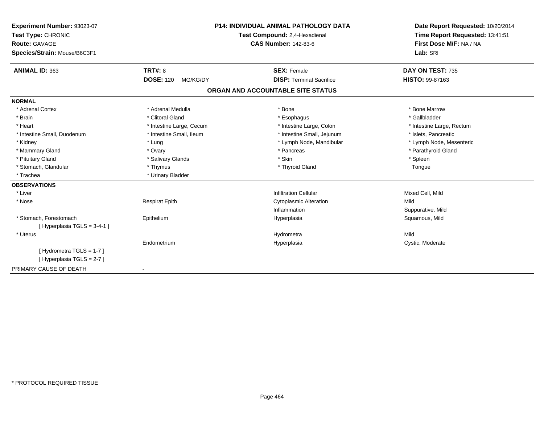| Experiment Number: 93023-07  | <b>P14: INDIVIDUAL ANIMAL PATHOLOGY DATA</b> |                                   | Date Report Requested: 10/20/2014 |
|------------------------------|----------------------------------------------|-----------------------------------|-----------------------------------|
| Test Type: CHRONIC           |                                              | Test Compound: 2,4-Hexadienal     | Time Report Requested: 13:41:51   |
| <b>Route: GAVAGE</b>         |                                              | <b>CAS Number: 142-83-6</b>       | First Dose M/F: NA / NA           |
| Species/Strain: Mouse/B6C3F1 |                                              |                                   | Lab: SRI                          |
| <b>ANIMAL ID: 363</b>        | <b>TRT#: 8</b>                               | <b>SEX: Female</b>                | DAY ON TEST: 735                  |
|                              | <b>DOSE: 120</b><br>MG/KG/DY                 | <b>DISP: Terminal Sacrifice</b>   | HISTO: 99-87163                   |
|                              |                                              | ORGAN AND ACCOUNTABLE SITE STATUS |                                   |
| <b>NORMAL</b>                |                                              |                                   |                                   |
| * Adrenal Cortex             | * Adrenal Medulla                            | * Bone                            | * Bone Marrow                     |
| * Brain                      | * Clitoral Gland                             | * Esophagus                       | * Gallbladder                     |
| * Heart                      | * Intestine Large, Cecum                     | * Intestine Large, Colon          | * Intestine Large, Rectum         |
| * Intestine Small, Duodenum  | * Intestine Small, Ileum                     | * Intestine Small, Jejunum        | * Islets. Pancreatic              |
| * Kidney                     | * Lung                                       | * Lymph Node, Mandibular          | * Lymph Node, Mesenteric          |
| * Mammary Gland              | * Ovary                                      | * Pancreas                        | * Parathyroid Gland               |
| * Pituitary Gland            | * Salivary Glands                            | * Skin                            | * Spleen                          |
| * Stomach, Glandular         | * Thymus                                     | * Thyroid Gland                   | Tongue                            |
| * Trachea                    | * Urinary Bladder                            |                                   |                                   |
| <b>OBSERVATIONS</b>          |                                              |                                   |                                   |
| * Liver                      |                                              | <b>Infiltration Cellular</b>      | Mixed Cell, Mild                  |
| * Nose                       | <b>Respirat Epith</b>                        | <b>Cytoplasmic Alteration</b>     | Mild                              |
|                              |                                              | Inflammation                      | Suppurative, Mild                 |
| * Stomach. Forestomach       | Epithelium                                   | Hyperplasia                       | Squamous, Mild                    |
| [Hyperplasia TGLS = 3-4-1]   |                                              |                                   |                                   |
| * Uterus                     |                                              | Hydrometra                        | Mild                              |
|                              | Endometrium                                  | Hyperplasia                       | Cystic, Moderate                  |
| [Hydrometra TGLS = 1-7]      |                                              |                                   |                                   |
| [Hyperplasia TGLS = 2-7]     |                                              |                                   |                                   |
| PRIMARY CAUSE OF DEATH       | $\blacksquare$                               |                                   |                                   |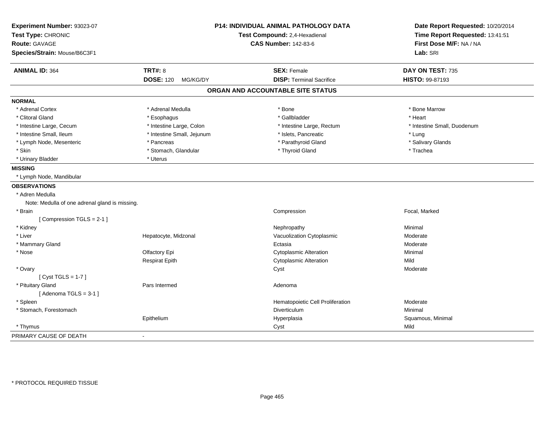| Experiment Number: 93023-07<br>Test Type: CHRONIC<br><b>Route: GAVAGE</b><br>Species/Strain: Mouse/B6C3F1 |                            | P14: INDIVIDUAL ANIMAL PATHOLOGY DATA<br>Test Compound: 2,4-Hexadienal<br><b>CAS Number: 142-83-6</b> | Date Report Requested: 10/20/2014<br>Time Report Requested: 13:41:51<br>First Dose M/F: NA / NA<br>Lab: SRI |
|-----------------------------------------------------------------------------------------------------------|----------------------------|-------------------------------------------------------------------------------------------------------|-------------------------------------------------------------------------------------------------------------|
| <b>ANIMAL ID: 364</b>                                                                                     | <b>TRT#: 8</b>             | <b>SEX: Female</b>                                                                                    | DAY ON TEST: 735                                                                                            |
|                                                                                                           | <b>DOSE: 120 MG/KG/DY</b>  | <b>DISP: Terminal Sacrifice</b>                                                                       | HISTO: 99-87193                                                                                             |
|                                                                                                           |                            | ORGAN AND ACCOUNTABLE SITE STATUS                                                                     |                                                                                                             |
| <b>NORMAL</b>                                                                                             |                            |                                                                                                       |                                                                                                             |
| * Adrenal Cortex                                                                                          | * Adrenal Medulla          | * Bone                                                                                                | * Bone Marrow                                                                                               |
| * Clitoral Gland                                                                                          | * Esophagus                | * Gallbladder                                                                                         | * Heart                                                                                                     |
| * Intestine Large, Cecum                                                                                  | * Intestine Large, Colon   | * Intestine Large, Rectum                                                                             | * Intestine Small, Duodenum                                                                                 |
| * Intestine Small, Ileum                                                                                  | * Intestine Small, Jejunum | * Islets, Pancreatic                                                                                  | * Lung                                                                                                      |
| * Lymph Node, Mesenteric                                                                                  | * Pancreas                 | * Parathyroid Gland                                                                                   | * Salivary Glands                                                                                           |
| * Skin                                                                                                    | * Stomach, Glandular       | * Thyroid Gland                                                                                       | * Trachea                                                                                                   |
| * Urinary Bladder                                                                                         | * Uterus                   |                                                                                                       |                                                                                                             |
| <b>MISSING</b>                                                                                            |                            |                                                                                                       |                                                                                                             |
| * Lymph Node, Mandibular                                                                                  |                            |                                                                                                       |                                                                                                             |
| <b>OBSERVATIONS</b>                                                                                       |                            |                                                                                                       |                                                                                                             |
| * Adren Medulla                                                                                           |                            |                                                                                                       |                                                                                                             |
| Note: Medulla of one adrenal gland is missing.                                                            |                            |                                                                                                       |                                                                                                             |
| * Brain                                                                                                   |                            | Compression                                                                                           | Focal, Marked                                                                                               |
| [Compression TGLS = 2-1]                                                                                  |                            |                                                                                                       |                                                                                                             |
| * Kidney                                                                                                  |                            | Nephropathy                                                                                           | Minimal                                                                                                     |
| * Liver                                                                                                   | Hepatocyte, Midzonal       | Vacuolization Cytoplasmic                                                                             | Moderate                                                                                                    |
| * Mammary Gland                                                                                           |                            | Ectasia                                                                                               | Moderate                                                                                                    |
| * Nose                                                                                                    | Olfactory Epi              | <b>Cytoplasmic Alteration</b>                                                                         | Minimal                                                                                                     |
|                                                                                                           | <b>Respirat Epith</b>      | <b>Cytoplasmic Alteration</b>                                                                         | Mild                                                                                                        |
| * Ovary                                                                                                   |                            | Cyst                                                                                                  | Moderate                                                                                                    |
| [Cyst TGLS = $1-7$ ]                                                                                      |                            |                                                                                                       |                                                                                                             |
| * Pituitary Gland                                                                                         | Pars Intermed              | Adenoma                                                                                               |                                                                                                             |
| [Adenoma TGLS = $3-1$ ]                                                                                   |                            |                                                                                                       |                                                                                                             |
| * Spleen                                                                                                  |                            | Hematopoietic Cell Proliferation                                                                      | Moderate                                                                                                    |
| * Stomach, Forestomach                                                                                    |                            | Diverticulum                                                                                          | Minimal                                                                                                     |
|                                                                                                           | Epithelium                 | Hyperplasia                                                                                           | Squamous, Minimal                                                                                           |
| * Thymus                                                                                                  |                            | Cyst                                                                                                  | Mild                                                                                                        |
| PRIMARY CAUSE OF DEATH                                                                                    | $\mathbf{r}$               |                                                                                                       |                                                                                                             |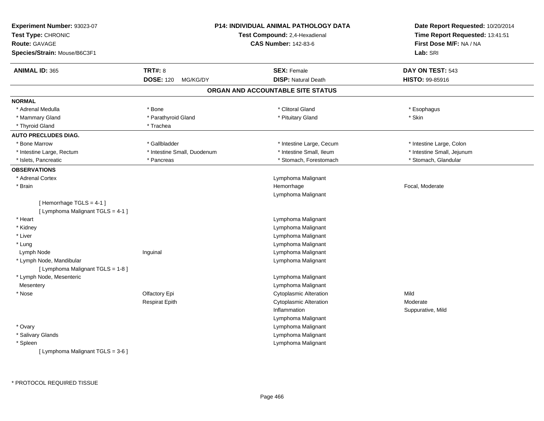| Experiment Number: 93023-07<br>Test Type: CHRONIC<br>Route: GAVAGE<br>Species/Strain: Mouse/B6C3F1 |                              | P14: INDIVIDUAL ANIMAL PATHOLOGY DATA<br>Test Compound: 2,4-Hexadienal<br><b>CAS Number: 142-83-6</b> | Date Report Requested: 10/20/2014<br>Time Report Requested: 13:41:51<br>First Dose M/F: NA / NA<br>Lab: SRI |
|----------------------------------------------------------------------------------------------------|------------------------------|-------------------------------------------------------------------------------------------------------|-------------------------------------------------------------------------------------------------------------|
| <b>ANIMAL ID: 365</b>                                                                              | <b>TRT#: 8</b>               | <b>SEX: Female</b>                                                                                    | DAY ON TEST: 543                                                                                            |
|                                                                                                    | <b>DOSE: 120</b><br>MG/KG/DY | <b>DISP: Natural Death</b>                                                                            | <b>HISTO: 99-85916</b>                                                                                      |
|                                                                                                    |                              | ORGAN AND ACCOUNTABLE SITE STATUS                                                                     |                                                                                                             |
| <b>NORMAL</b>                                                                                      |                              |                                                                                                       |                                                                                                             |
| * Adrenal Medulla                                                                                  | * Bone                       | * Clitoral Gland                                                                                      | * Esophagus                                                                                                 |
| * Mammary Gland                                                                                    | * Parathyroid Gland          | * Pituitary Gland                                                                                     | * Skin                                                                                                      |
| * Thyroid Gland                                                                                    | * Trachea                    |                                                                                                       |                                                                                                             |
| <b>AUTO PRECLUDES DIAG.</b>                                                                        |                              |                                                                                                       |                                                                                                             |
| * Bone Marrow                                                                                      | * Gallbladder                | * Intestine Large, Cecum                                                                              | * Intestine Large, Colon                                                                                    |
| * Intestine Large, Rectum                                                                          | * Intestine Small, Duodenum  | * Intestine Small, Ileum                                                                              | * Intestine Small, Jejunum                                                                                  |
| * Islets, Pancreatic                                                                               | * Pancreas                   | * Stomach, Forestomach                                                                                | * Stomach, Glandular                                                                                        |
| <b>OBSERVATIONS</b>                                                                                |                              |                                                                                                       |                                                                                                             |
| * Adrenal Cortex                                                                                   |                              | Lymphoma Malignant                                                                                    |                                                                                                             |
| * Brain                                                                                            |                              | Hemorrhage                                                                                            | Focal, Moderate                                                                                             |
|                                                                                                    |                              | Lymphoma Malignant                                                                                    |                                                                                                             |
| [Hemorrhage TGLS = 4-1]                                                                            |                              |                                                                                                       |                                                                                                             |
| [ Lymphoma Malignant TGLS = 4-1 ]                                                                  |                              |                                                                                                       |                                                                                                             |
| * Heart                                                                                            |                              | Lymphoma Malignant                                                                                    |                                                                                                             |
| * Kidney                                                                                           |                              | Lymphoma Malignant                                                                                    |                                                                                                             |
| * Liver                                                                                            |                              | Lymphoma Malignant                                                                                    |                                                                                                             |
| * Lung                                                                                             |                              | Lymphoma Malignant                                                                                    |                                                                                                             |
| Lymph Node                                                                                         | Inguinal                     | Lymphoma Malignant                                                                                    |                                                                                                             |
| * Lymph Node, Mandibular                                                                           |                              | Lymphoma Malignant                                                                                    |                                                                                                             |
| [ Lymphoma Malignant TGLS = 1-8 ]                                                                  |                              |                                                                                                       |                                                                                                             |
| * Lymph Node, Mesenteric                                                                           |                              | Lymphoma Malignant                                                                                    |                                                                                                             |
| Mesentery                                                                                          |                              | Lymphoma Malignant                                                                                    | Mild                                                                                                        |
| * Nose                                                                                             | Olfactory Epi                | <b>Cytoplasmic Alteration</b>                                                                         |                                                                                                             |
|                                                                                                    | <b>Respirat Epith</b>        | <b>Cytoplasmic Alteration</b>                                                                         | Moderate                                                                                                    |
|                                                                                                    |                              | Inflammation                                                                                          | Suppurative, Mild                                                                                           |
|                                                                                                    |                              | Lymphoma Malignant                                                                                    |                                                                                                             |
| * Ovary                                                                                            |                              | Lymphoma Malignant                                                                                    |                                                                                                             |
| * Salivary Glands                                                                                  |                              | Lymphoma Malignant                                                                                    |                                                                                                             |
| * Spleen<br>[ Lymphoma Malignant TGLS = 3-6 ]                                                      |                              | Lymphoma Malignant                                                                                    |                                                                                                             |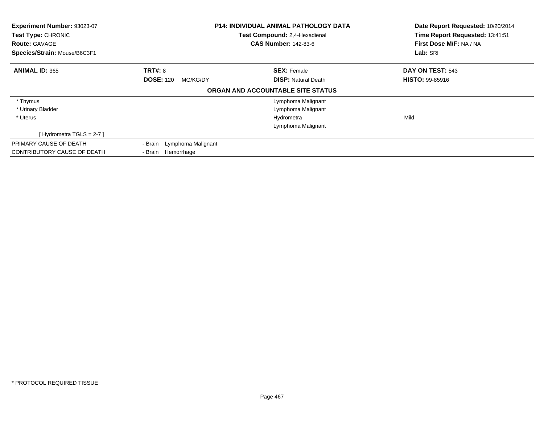| Experiment Number: 93023-07<br>Test Type: CHRONIC<br><b>Route: GAVAGE</b><br>Species/Strain: Mouse/B6C3F1 |                              | <b>P14: INDIVIDUAL ANIMAL PATHOLOGY DATA</b><br>Test Compound: 2,4-Hexadienal<br><b>CAS Number: 142-83-6</b> | Date Report Requested: 10/20/2014<br>Time Report Requested: 13:41:51<br>First Dose M/F: NA / NA<br>Lab: SRI |
|-----------------------------------------------------------------------------------------------------------|------------------------------|--------------------------------------------------------------------------------------------------------------|-------------------------------------------------------------------------------------------------------------|
| <b>ANIMAL ID: 365</b>                                                                                     | <b>TRT#: 8</b>               | <b>SEX: Female</b>                                                                                           | DAY ON TEST: 543                                                                                            |
|                                                                                                           | <b>DOSE: 120</b><br>MG/KG/DY | <b>DISP: Natural Death</b>                                                                                   | <b>HISTO: 99-85916</b>                                                                                      |
|                                                                                                           |                              | ORGAN AND ACCOUNTABLE SITE STATUS                                                                            |                                                                                                             |
| * Thymus                                                                                                  |                              | Lymphoma Malignant                                                                                           |                                                                                                             |
| * Urinary Bladder                                                                                         |                              | Lymphoma Malignant                                                                                           |                                                                                                             |
| * Uterus                                                                                                  |                              | Hydrometra                                                                                                   | Mild                                                                                                        |
|                                                                                                           |                              | Lymphoma Malignant                                                                                           |                                                                                                             |
| [Hydrometra TGLS = 2-7]                                                                                   |                              |                                                                                                              |                                                                                                             |
| PRIMARY CAUSE OF DEATH                                                                                    | - Brain Lymphoma Malignant   |                                                                                                              |                                                                                                             |
| CONTRIBUTORY CAUSE OF DEATH                                                                               | - Brain Hemorrhage           |                                                                                                              |                                                                                                             |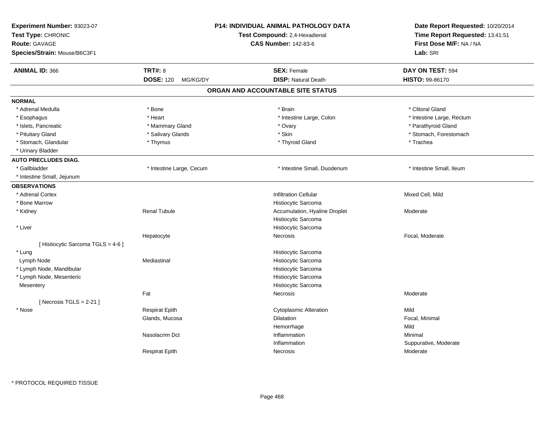| Experiment Number: 93023-07<br>Test Type: CHRONIC<br>Route: GAVAGE<br>Species/Strain: Mouse/B6C3F1 |                              | <b>P14: INDIVIDUAL ANIMAL PATHOLOGY DATA</b><br>Test Compound: 2,4-Hexadienal<br><b>CAS Number: 142-83-6</b> | Date Report Requested: 10/20/2014<br>Time Report Requested: 13:41:51<br>First Dose M/F: NA / NA<br>Lab: SRI |
|----------------------------------------------------------------------------------------------------|------------------------------|--------------------------------------------------------------------------------------------------------------|-------------------------------------------------------------------------------------------------------------|
| <b>ANIMAL ID: 366</b>                                                                              | <b>TRT#: 8</b>               | <b>SEX: Female</b>                                                                                           | DAY ON TEST: 594                                                                                            |
|                                                                                                    | <b>DOSE: 120</b><br>MG/KG/DY | <b>DISP: Natural Death</b>                                                                                   | HISTO: 99-86170                                                                                             |
|                                                                                                    |                              | ORGAN AND ACCOUNTABLE SITE STATUS                                                                            |                                                                                                             |
| <b>NORMAL</b>                                                                                      |                              |                                                                                                              |                                                                                                             |
| * Adrenal Medulla                                                                                  | * Bone                       | * Brain                                                                                                      | * Clitoral Gland                                                                                            |
| * Esophagus                                                                                        | * Heart                      | * Intestine Large, Colon                                                                                     | * Intestine Large, Rectum                                                                                   |
| * Islets, Pancreatic                                                                               | * Mammary Gland              | * Ovary                                                                                                      | * Parathyroid Gland                                                                                         |
| * Pituitary Gland                                                                                  | * Salivary Glands            | * Skin                                                                                                       | * Stomach, Forestomach                                                                                      |
| * Stomach, Glandular                                                                               | * Thymus                     | * Thyroid Gland                                                                                              | * Trachea                                                                                                   |
| * Urinary Bladder                                                                                  |                              |                                                                                                              |                                                                                                             |
| <b>AUTO PRECLUDES DIAG.</b>                                                                        |                              |                                                                                                              |                                                                                                             |
| * Gallbladder                                                                                      | * Intestine Large, Cecum     | * Intestine Small, Duodenum                                                                                  | * Intestine Small, Ileum                                                                                    |
| * Intestine Small, Jejunum                                                                         |                              |                                                                                                              |                                                                                                             |
| <b>OBSERVATIONS</b>                                                                                |                              |                                                                                                              |                                                                                                             |
| * Adrenal Cortex                                                                                   |                              | <b>Infiltration Cellular</b>                                                                                 | Mixed Cell, Mild                                                                                            |
| * Bone Marrow                                                                                      |                              | Histiocytic Sarcoma                                                                                          |                                                                                                             |
| * Kidney                                                                                           | <b>Renal Tubule</b>          | Accumulation, Hyaline Droplet                                                                                | Moderate                                                                                                    |
|                                                                                                    |                              | Histiocytic Sarcoma                                                                                          |                                                                                                             |
| * Liver                                                                                            |                              | Histiocytic Sarcoma                                                                                          |                                                                                                             |
|                                                                                                    | Hepatocyte                   | <b>Necrosis</b>                                                                                              | Focal, Moderate                                                                                             |
| [Histiocytic Sarcoma TGLS = $4-6$ ]                                                                |                              |                                                                                                              |                                                                                                             |
| * Lung                                                                                             |                              | Histiocytic Sarcoma                                                                                          |                                                                                                             |
| Lymph Node                                                                                         | Mediastinal                  | Histiocytic Sarcoma                                                                                          |                                                                                                             |
| * Lymph Node, Mandibular                                                                           |                              | Histiocytic Sarcoma                                                                                          |                                                                                                             |
| * Lymph Node, Mesenteric                                                                           |                              | Histiocytic Sarcoma                                                                                          |                                                                                                             |
| Mesentery                                                                                          |                              | Histiocytic Sarcoma                                                                                          |                                                                                                             |
|                                                                                                    | Fat                          | Necrosis                                                                                                     | Moderate                                                                                                    |
| [Necrosis $TGLS = 2-21$ ]                                                                          |                              |                                                                                                              |                                                                                                             |
| * Nose                                                                                             | <b>Respirat Epith</b>        | <b>Cytoplasmic Alteration</b>                                                                                | Mild                                                                                                        |
|                                                                                                    | Glands, Mucosa               | <b>Dilatation</b>                                                                                            | Focal, Minimal                                                                                              |
|                                                                                                    |                              | Hemorrhage                                                                                                   | Mild                                                                                                        |
|                                                                                                    | Nasolacrim Dct               | Inflammation                                                                                                 | Minimal                                                                                                     |
|                                                                                                    |                              | Inflammation                                                                                                 | Suppurative, Moderate                                                                                       |
|                                                                                                    | <b>Respirat Epith</b>        | Necrosis                                                                                                     | Moderate                                                                                                    |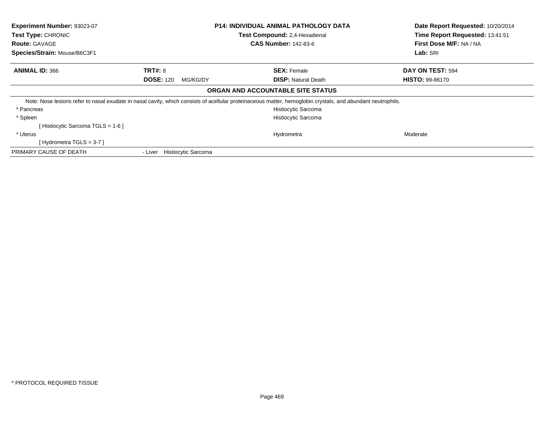| Experiment Number: 93023-07<br>Test Type: CHRONIC | <b>P14: INDIVIDUAL ANIMAL PATHOLOGY DATA</b><br>Test Compound: 2,4-Hexadienal |                                                                                                                                                             | Date Report Requested: 10/20/2014<br>Time Report Requested: 13:41:51 |
|---------------------------------------------------|-------------------------------------------------------------------------------|-------------------------------------------------------------------------------------------------------------------------------------------------------------|----------------------------------------------------------------------|
| <b>Route: GAVAGE</b>                              |                                                                               | <b>CAS Number: 142-83-6</b>                                                                                                                                 | First Dose M/F: NA / NA                                              |
| Species/Strain: Mouse/B6C3F1                      |                                                                               |                                                                                                                                                             | Lab: SRI                                                             |
| <b>ANIMAL ID: 366</b>                             | <b>TRT#: 8</b>                                                                | <b>SEX: Female</b>                                                                                                                                          | DAY ON TEST: 594                                                     |
|                                                   | <b>DOSE: 120</b><br>MG/KG/DY                                                  | <b>DISP:</b> Natural Death                                                                                                                                  | <b>HISTO: 99-86170</b>                                               |
|                                                   |                                                                               | ORGAN AND ACCOUNTABLE SITE STATUS                                                                                                                           |                                                                      |
|                                                   |                                                                               | Note: Nose lesions refer to nasal exudate in nasal cavity, which consists of acellular proteinaceous matter, hemoglobin crystals, and abundant neutrophils. |                                                                      |
| * Pancreas                                        |                                                                               | Histiocytic Sarcoma                                                                                                                                         |                                                                      |
| * Spleen                                          |                                                                               | <b>Histiocytic Sarcoma</b>                                                                                                                                  |                                                                      |
| [Histiocytic Sarcoma TGLS = 1-6 ]                 |                                                                               |                                                                                                                                                             |                                                                      |
| * Uterus                                          |                                                                               | Hydrometra                                                                                                                                                  | Moderate                                                             |
| [Hydrometra TGLS = $3-7$ ]                        |                                                                               |                                                                                                                                                             |                                                                      |
| PRIMARY CAUSE OF DEATH                            | <b>Histiocytic Sarcoma</b><br>- Liver                                         |                                                                                                                                                             |                                                                      |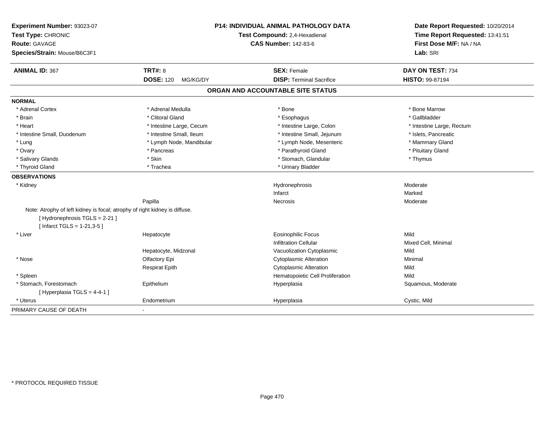| Experiment Number: 93023-07<br>Test Type: CHRONIC                          |                              | <b>P14: INDIVIDUAL ANIMAL PATHOLOGY DATA</b> | Date Report Requested: 10/20/2014<br>Time Report Requested: 13:41:51 |
|----------------------------------------------------------------------------|------------------------------|----------------------------------------------|----------------------------------------------------------------------|
|                                                                            |                              | Test Compound: 2,4-Hexadienal                |                                                                      |
| <b>Route: GAVAGE</b>                                                       |                              | <b>CAS Number: 142-83-6</b>                  | First Dose M/F: NA / NA                                              |
| Species/Strain: Mouse/B6C3F1                                               |                              |                                              | Lab: SRI                                                             |
| <b>ANIMAL ID: 367</b>                                                      | <b>TRT#: 8</b>               | <b>SEX: Female</b>                           | DAY ON TEST: 734                                                     |
|                                                                            | <b>DOSE: 120</b><br>MG/KG/DY | <b>DISP: Terminal Sacrifice</b>              | HISTO: 99-87194                                                      |
|                                                                            |                              | ORGAN AND ACCOUNTABLE SITE STATUS            |                                                                      |
| <b>NORMAL</b>                                                              |                              |                                              |                                                                      |
| * Adrenal Cortex                                                           | * Adrenal Medulla            | * Bone                                       | * Bone Marrow                                                        |
| * Brain                                                                    | * Clitoral Gland             | * Esophagus                                  | * Gallbladder                                                        |
| * Heart                                                                    | * Intestine Large, Cecum     | * Intestine Large, Colon                     | * Intestine Large, Rectum                                            |
| * Intestine Small, Duodenum                                                | * Intestine Small, Ileum     | * Intestine Small, Jejunum                   | * Islets, Pancreatic                                                 |
| * Lung                                                                     | * Lymph Node, Mandibular     | * Lymph Node, Mesenteric                     | * Mammary Gland                                                      |
| * Ovary                                                                    | * Pancreas                   | * Parathyroid Gland                          | * Pituitary Gland                                                    |
| * Salivary Glands                                                          | * Skin                       | * Stomach, Glandular                         | * Thymus                                                             |
| * Thyroid Gland                                                            | * Trachea                    | * Urinary Bladder                            |                                                                      |
| <b>OBSERVATIONS</b>                                                        |                              |                                              |                                                                      |
| * Kidney                                                                   |                              | Hydronephrosis                               | Moderate                                                             |
|                                                                            |                              | Infarct                                      | Marked                                                               |
|                                                                            | Papilla                      | <b>Necrosis</b>                              | Moderate                                                             |
| Note: Atrophy of left kidney is focal; atrophy of right kidney is diffuse. |                              |                                              |                                                                      |
| [Hydronephrosis TGLS = 2-21]                                               |                              |                                              |                                                                      |
| [Infarct TGLS = $1-21,3-5$ ]                                               |                              |                                              |                                                                      |
| * Liver                                                                    | Hepatocyte                   | <b>Eosinophilic Focus</b>                    | Mild                                                                 |
|                                                                            |                              | <b>Infiltration Cellular</b>                 | Mixed Cell, Minimal                                                  |
|                                                                            | Hepatocyte, Midzonal         | Vacuolization Cytoplasmic                    | Mild                                                                 |
| * Nose                                                                     | Olfactory Epi                | <b>Cytoplasmic Alteration</b>                | Minimal                                                              |
|                                                                            | <b>Respirat Epith</b>        | <b>Cytoplasmic Alteration</b>                | Mild                                                                 |
| * Spleen                                                                   |                              | Hematopoietic Cell Proliferation             | Mild                                                                 |
| * Stomach, Forestomach                                                     | Epithelium                   | Hyperplasia                                  | Squamous, Moderate                                                   |
| [Hyperplasia TGLS = 4-4-1]                                                 |                              |                                              |                                                                      |
| * Uterus                                                                   | Endometrium                  | Hyperplasia                                  | Cystic, Mild                                                         |
| PRIMARY CAUSE OF DEATH                                                     | $\blacksquare$               |                                              |                                                                      |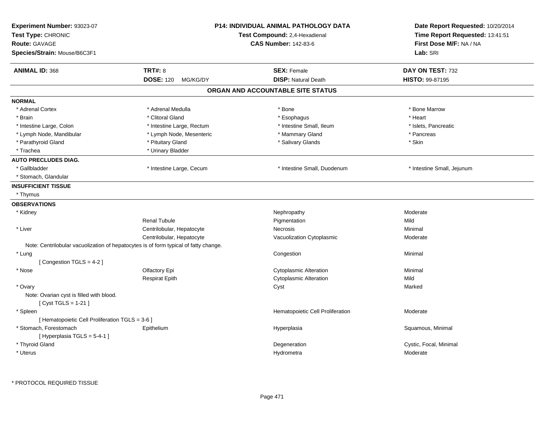| Experiment Number: 93023-07<br>Test Type: CHRONIC<br><b>Route: GAVAGE</b><br>Species/Strain: Mouse/B6C3F1 |                                                                                      | P14: INDIVIDUAL ANIMAL PATHOLOGY DATA<br>Test Compound: 2,4-Hexadienal<br><b>CAS Number: 142-83-6</b> | Date Report Requested: 10/20/2014<br>Time Report Requested: 13:41:51<br>First Dose M/F: NA / NA<br>Lab: SRI |
|-----------------------------------------------------------------------------------------------------------|--------------------------------------------------------------------------------------|-------------------------------------------------------------------------------------------------------|-------------------------------------------------------------------------------------------------------------|
| <b>ANIMAL ID: 368</b>                                                                                     | <b>TRT#: 8</b><br><b>DOSE: 120</b><br>MG/KG/DY                                       | <b>SEX: Female</b><br><b>DISP: Natural Death</b>                                                      | DAY ON TEST: 732<br>HISTO: 99-87195                                                                         |
|                                                                                                           |                                                                                      | ORGAN AND ACCOUNTABLE SITE STATUS                                                                     |                                                                                                             |
| <b>NORMAL</b>                                                                                             |                                                                                      |                                                                                                       |                                                                                                             |
| * Adrenal Cortex                                                                                          | * Adrenal Medulla                                                                    | * Bone                                                                                                | * Bone Marrow                                                                                               |
| * Brain                                                                                                   | * Clitoral Gland                                                                     | * Esophagus                                                                                           | * Heart                                                                                                     |
| * Intestine Large, Colon                                                                                  | * Intestine Large, Rectum                                                            | * Intestine Small, Ileum                                                                              | * Islets, Pancreatic                                                                                        |
| * Lymph Node, Mandibular                                                                                  | * Lymph Node, Mesenteric                                                             | * Mammary Gland                                                                                       | * Pancreas                                                                                                  |
| * Parathyroid Gland                                                                                       | * Pituitary Gland                                                                    | * Salivary Glands                                                                                     | * Skin                                                                                                      |
| * Trachea                                                                                                 | * Urinary Bladder                                                                    |                                                                                                       |                                                                                                             |
| <b>AUTO PRECLUDES DIAG.</b>                                                                               |                                                                                      |                                                                                                       |                                                                                                             |
| * Gallbladder                                                                                             | * Intestine Large, Cecum                                                             | * Intestine Small, Duodenum                                                                           | * Intestine Small, Jejunum                                                                                  |
| * Stomach, Glandular                                                                                      |                                                                                      |                                                                                                       |                                                                                                             |
| <b>INSUFFICIENT TISSUE</b>                                                                                |                                                                                      |                                                                                                       |                                                                                                             |
| * Thymus                                                                                                  |                                                                                      |                                                                                                       |                                                                                                             |
| <b>OBSERVATIONS</b>                                                                                       |                                                                                      |                                                                                                       |                                                                                                             |
| * Kidney                                                                                                  |                                                                                      | Nephropathy                                                                                           | Moderate                                                                                                    |
|                                                                                                           | <b>Renal Tubule</b>                                                                  | Pigmentation                                                                                          | Mild                                                                                                        |
| * Liver                                                                                                   | Centrilobular, Hepatocyte                                                            | Necrosis                                                                                              | Minimal                                                                                                     |
|                                                                                                           | Centrilobular, Hepatocyte                                                            | Vacuolization Cytoplasmic                                                                             | Moderate                                                                                                    |
|                                                                                                           | Note: Centrilobular vacuolization of hepatocytes is of form typical of fatty change. |                                                                                                       |                                                                                                             |
| * Lung                                                                                                    |                                                                                      | Congestion                                                                                            | Minimal                                                                                                     |
| [Congestion TGLS = 4-2]                                                                                   |                                                                                      |                                                                                                       |                                                                                                             |
| * Nose                                                                                                    | Olfactory Epi                                                                        | <b>Cytoplasmic Alteration</b>                                                                         | Minimal                                                                                                     |
|                                                                                                           | <b>Respirat Epith</b>                                                                | <b>Cytoplasmic Alteration</b>                                                                         | Mild                                                                                                        |
| * Ovary                                                                                                   |                                                                                      | Cyst                                                                                                  | Marked                                                                                                      |
| Note: Ovarian cyst is filled with blood.                                                                  |                                                                                      |                                                                                                       |                                                                                                             |
| [ Cyst TGLS = 1-21 ]                                                                                      |                                                                                      |                                                                                                       |                                                                                                             |
| * Spleen                                                                                                  |                                                                                      | Hematopoietic Cell Proliferation                                                                      | Moderate                                                                                                    |
| [ Hematopoietic Cell Proliferation TGLS = 3-6 ]                                                           |                                                                                      |                                                                                                       |                                                                                                             |
| * Stomach, Forestomach                                                                                    | Epithelium                                                                           | Hyperplasia                                                                                           | Squamous, Minimal                                                                                           |
| [Hyperplasia TGLS = 5-4-1]                                                                                |                                                                                      |                                                                                                       |                                                                                                             |
| * Thyroid Gland                                                                                           |                                                                                      | Degeneration                                                                                          | Cystic, Focal, Minimal                                                                                      |
| * Uterus                                                                                                  |                                                                                      | Hydrometra                                                                                            | Moderate                                                                                                    |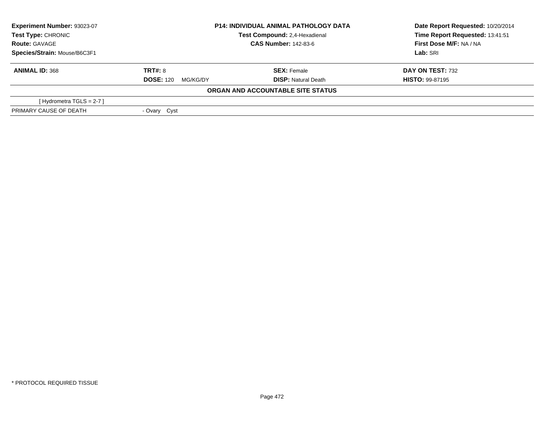| Experiment Number: 93023-07  | <b>P14: INDIVIDUAL ANIMAL PATHOLOGY DATA</b><br>Test Compound: 2,4-Hexadienal<br><b>CAS Number: 142-83-6</b> |                                   | Date Report Requested: 10/20/2014 |  |
|------------------------------|--------------------------------------------------------------------------------------------------------------|-----------------------------------|-----------------------------------|--|
| <b>Test Type: CHRONIC</b>    |                                                                                                              |                                   | Time Report Requested: 13:41:51   |  |
| <b>Route: GAVAGE</b>         |                                                                                                              |                                   | First Dose M/F: NA / NA           |  |
| Species/Strain: Mouse/B6C3F1 |                                                                                                              |                                   | Lab: SRI                          |  |
| <b>ANIMAL ID: 368</b>        | <b>TRT#: 8</b>                                                                                               | <b>SEX: Female</b>                | <b>DAY ON TEST: 732</b>           |  |
|                              | <b>DOSE: 120</b><br>MG/KG/DY                                                                                 | <b>DISP:</b> Natural Death        | <b>HISTO: 99-87195</b>            |  |
|                              |                                                                                                              | ORGAN AND ACCOUNTABLE SITE STATUS |                                   |  |
| [Hydrometra TGLS = $2-7$ ]   |                                                                                                              |                                   |                                   |  |
| PRIMARY CAUSE OF DEATH       | - Ovary Cyst                                                                                                 |                                   |                                   |  |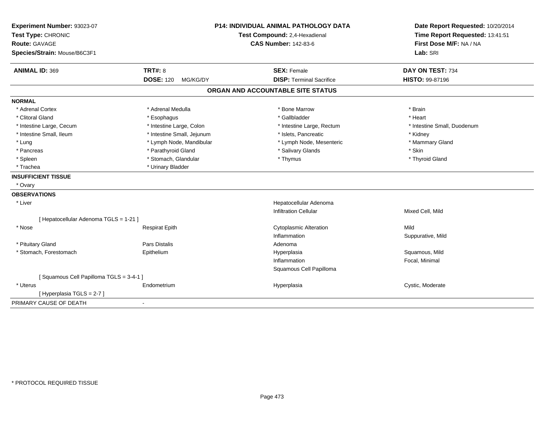| Experiment Number: 93023-07<br>Test Type: CHRONIC<br><b>Route: GAVAGE</b><br>Species/Strain: Mouse/B6C3F1 |                              | <b>P14: INDIVIDUAL ANIMAL PATHOLOGY DATA</b><br>Test Compound: 2,4-Hexadienal<br><b>CAS Number: 142-83-6</b> | Date Report Requested: 10/20/2014<br>Time Report Requested: 13:41:51<br>First Dose M/F: NA / NA<br>Lab: SRI |
|-----------------------------------------------------------------------------------------------------------|------------------------------|--------------------------------------------------------------------------------------------------------------|-------------------------------------------------------------------------------------------------------------|
| <b>ANIMAL ID: 369</b>                                                                                     | <b>TRT#: 8</b>               | <b>SEX: Female</b>                                                                                           | DAY ON TEST: 734                                                                                            |
|                                                                                                           | <b>DOSE: 120</b><br>MG/KG/DY | <b>DISP: Terminal Sacrifice</b>                                                                              | HISTO: 99-87196                                                                                             |
|                                                                                                           |                              | ORGAN AND ACCOUNTABLE SITE STATUS                                                                            |                                                                                                             |
| <b>NORMAL</b>                                                                                             |                              |                                                                                                              |                                                                                                             |
| * Adrenal Cortex                                                                                          | * Adrenal Medulla            | * Bone Marrow                                                                                                | * Brain                                                                                                     |
| * Clitoral Gland                                                                                          | * Esophagus                  | * Gallbladder                                                                                                | * Heart                                                                                                     |
| * Intestine Large, Cecum                                                                                  | * Intestine Large, Colon     | * Intestine Large, Rectum                                                                                    | * Intestine Small, Duodenum                                                                                 |
| * Intestine Small, Ileum                                                                                  | * Intestine Small, Jejunum   | * Islets, Pancreatic                                                                                         | * Kidney                                                                                                    |
| * Lung                                                                                                    | * Lymph Node, Mandibular     | * Lymph Node, Mesenteric                                                                                     | * Mammary Gland                                                                                             |
| * Pancreas                                                                                                | * Parathyroid Gland          | * Salivary Glands                                                                                            | * Skin                                                                                                      |
| * Spleen                                                                                                  | * Stomach, Glandular         | * Thymus                                                                                                     | * Thyroid Gland                                                                                             |
| * Trachea                                                                                                 | * Urinary Bladder            |                                                                                                              |                                                                                                             |
| <b>INSUFFICIENT TISSUE</b>                                                                                |                              |                                                                                                              |                                                                                                             |
| * Ovary                                                                                                   |                              |                                                                                                              |                                                                                                             |
| <b>OBSERVATIONS</b>                                                                                       |                              |                                                                                                              |                                                                                                             |
| * Liver                                                                                                   |                              | Hepatocellular Adenoma                                                                                       |                                                                                                             |
|                                                                                                           |                              | <b>Infiltration Cellular</b>                                                                                 | Mixed Cell, Mild                                                                                            |
| [ Hepatocellular Adenoma TGLS = 1-21 ]                                                                    |                              |                                                                                                              |                                                                                                             |
| * Nose                                                                                                    | <b>Respirat Epith</b>        | <b>Cytoplasmic Alteration</b>                                                                                | Mild                                                                                                        |
|                                                                                                           |                              | Inflammation                                                                                                 | Suppurative, Mild                                                                                           |
| * Pituitary Gland                                                                                         | <b>Pars Distalis</b>         | Adenoma                                                                                                      |                                                                                                             |
| * Stomach, Forestomach                                                                                    | Epithelium                   | Hyperplasia                                                                                                  | Squamous, Mild                                                                                              |
|                                                                                                           |                              | Inflammation                                                                                                 | Focal, Minimal                                                                                              |
|                                                                                                           |                              | Squamous Cell Papilloma                                                                                      |                                                                                                             |
| [Squamous Cell Papilloma TGLS = 3-4-1]                                                                    |                              |                                                                                                              |                                                                                                             |
| * Uterus                                                                                                  | Endometrium                  | Hyperplasia                                                                                                  | Cystic, Moderate                                                                                            |
| [Hyperplasia TGLS = 2-7]                                                                                  |                              |                                                                                                              |                                                                                                             |
| PRIMARY CAUSE OF DEATH                                                                                    | $\blacksquare$               |                                                                                                              |                                                                                                             |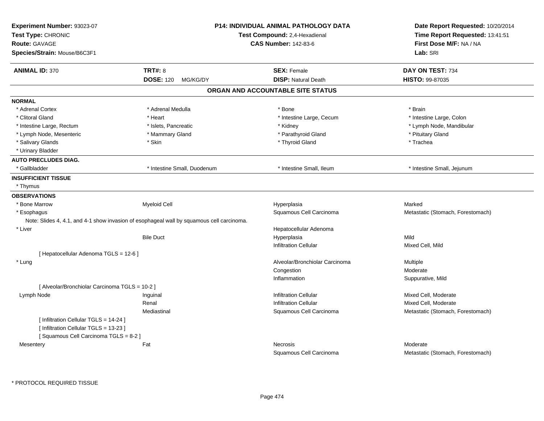| Experiment Number: 93023-07<br>Test Type: CHRONIC<br><b>Route: GAVAGE</b><br>Species/Strain: Mouse/B6C3F1 |                                                                                           | <b>P14: INDIVIDUAL ANIMAL PATHOLOGY DATA</b><br>Test Compound: 2,4-Hexadienal<br><b>CAS Number: 142-83-6</b> | Date Report Requested: 10/20/2014<br>Time Report Requested: 13:41:51<br>First Dose M/F: NA / NA<br>Lab: SRI |
|-----------------------------------------------------------------------------------------------------------|-------------------------------------------------------------------------------------------|--------------------------------------------------------------------------------------------------------------|-------------------------------------------------------------------------------------------------------------|
| <b>ANIMAL ID: 370</b>                                                                                     | <b>TRT#: 8</b>                                                                            | <b>SEX: Female</b>                                                                                           | DAY ON TEST: 734                                                                                            |
|                                                                                                           | <b>DOSE: 120</b><br>MG/KG/DY                                                              | <b>DISP: Natural Death</b>                                                                                   | HISTO: 99-87035                                                                                             |
|                                                                                                           |                                                                                           | ORGAN AND ACCOUNTABLE SITE STATUS                                                                            |                                                                                                             |
| <b>NORMAL</b>                                                                                             |                                                                                           |                                                                                                              |                                                                                                             |
| * Adrenal Cortex                                                                                          | * Adrenal Medulla                                                                         | * Bone                                                                                                       | * Brain                                                                                                     |
| * Clitoral Gland                                                                                          | * Heart                                                                                   | * Intestine Large, Cecum                                                                                     | * Intestine Large, Colon                                                                                    |
| * Intestine Large, Rectum                                                                                 | * Islets, Pancreatic                                                                      | * Kidney                                                                                                     | * Lymph Node, Mandibular                                                                                    |
| * Lymph Node, Mesenteric                                                                                  | * Mammary Gland                                                                           | * Parathyroid Gland                                                                                          | * Pituitary Gland                                                                                           |
| * Salivary Glands                                                                                         | * Skin                                                                                    | * Thyroid Gland                                                                                              | * Trachea                                                                                                   |
| * Urinary Bladder                                                                                         |                                                                                           |                                                                                                              |                                                                                                             |
| <b>AUTO PRECLUDES DIAG.</b>                                                                               |                                                                                           |                                                                                                              |                                                                                                             |
| * Gallbladder                                                                                             | * Intestine Small, Duodenum                                                               | * Intestine Small, Ileum                                                                                     | * Intestine Small, Jejunum                                                                                  |
| <b>INSUFFICIENT TISSUE</b>                                                                                |                                                                                           |                                                                                                              |                                                                                                             |
| * Thymus                                                                                                  |                                                                                           |                                                                                                              |                                                                                                             |
| <b>OBSERVATIONS</b>                                                                                       |                                                                                           |                                                                                                              |                                                                                                             |
| * Bone Marrow                                                                                             | <b>Myeloid Cell</b>                                                                       | Hyperplasia                                                                                                  | Marked                                                                                                      |
| * Esophagus                                                                                               |                                                                                           | Squamous Cell Carcinoma                                                                                      | Metastatic (Stomach, Forestomach)                                                                           |
|                                                                                                           | Note: Slides 4, 4.1, and 4-1 show invasion of esophageal wall by squamous cell carcinoma. |                                                                                                              |                                                                                                             |
| * Liver                                                                                                   |                                                                                           | Hepatocellular Adenoma                                                                                       |                                                                                                             |
|                                                                                                           | <b>Bile Duct</b>                                                                          | Hyperplasia                                                                                                  | Mild                                                                                                        |
|                                                                                                           |                                                                                           | <b>Infiltration Cellular</b>                                                                                 | Mixed Cell, Mild                                                                                            |
| [ Hepatocellular Adenoma TGLS = 12-6 ]                                                                    |                                                                                           |                                                                                                              |                                                                                                             |
| * Lung                                                                                                    |                                                                                           | Alveolar/Bronchiolar Carcinoma                                                                               | Multiple                                                                                                    |
|                                                                                                           |                                                                                           | Congestion                                                                                                   | Moderate                                                                                                    |
|                                                                                                           |                                                                                           | Inflammation                                                                                                 | Suppurative, Mild                                                                                           |
| [ Alveolar/Bronchiolar Carcinoma TGLS = 10-2 ]                                                            |                                                                                           |                                                                                                              |                                                                                                             |
| Lymph Node                                                                                                | Inguinal                                                                                  | <b>Infiltration Cellular</b>                                                                                 | Mixed Cell, Moderate                                                                                        |
|                                                                                                           | Renal                                                                                     | <b>Infiltration Cellular</b>                                                                                 | Mixed Cell, Moderate                                                                                        |
|                                                                                                           | Mediastinal                                                                               | Squamous Cell Carcinoma                                                                                      | Metastatic (Stomach, Forestomach)                                                                           |
| [ Infiltration Cellular TGLS = 14-24 ]<br>[ Infiltration Cellular TGLS = 13-23 ]                          |                                                                                           |                                                                                                              |                                                                                                             |
| [Squamous Cell Carcinoma TGLS = 8-2]                                                                      |                                                                                           |                                                                                                              |                                                                                                             |
| Mesentery                                                                                                 | Fat                                                                                       | <b>Necrosis</b>                                                                                              | Moderate                                                                                                    |
|                                                                                                           |                                                                                           | Squamous Cell Carcinoma                                                                                      | Metastatic (Stomach, Forestomach)                                                                           |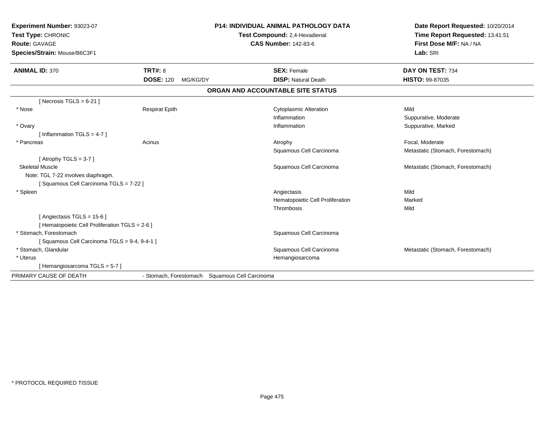| Experiment Number: 93023-07<br>Test Type: CHRONIC<br><b>Route: GAVAGE</b><br>Species/Strain: Mouse/B6C3F1<br><b>ANIMAL ID: 370</b> | <b>TRT#: 8</b>                                 | <b>P14: INDIVIDUAL ANIMAL PATHOLOGY DATA</b><br>Test Compound: 2,4-Hexadienal<br><b>CAS Number: 142-83-6</b><br><b>SEX: Female</b> | Date Report Requested: 10/20/2014<br>Time Report Requested: 13:41:51<br>First Dose M/F: NA / NA<br>Lab: SRI<br>DAY ON TEST: 734 |
|------------------------------------------------------------------------------------------------------------------------------------|------------------------------------------------|------------------------------------------------------------------------------------------------------------------------------------|---------------------------------------------------------------------------------------------------------------------------------|
|                                                                                                                                    | <b>DOSE: 120</b><br>MG/KG/DY                   | <b>DISP: Natural Death</b>                                                                                                         | HISTO: 99-87035                                                                                                                 |
|                                                                                                                                    |                                                | ORGAN AND ACCOUNTABLE SITE STATUS                                                                                                  |                                                                                                                                 |
| [Necrosis TGLS = $6-21$ ]                                                                                                          |                                                |                                                                                                                                    |                                                                                                                                 |
| * Nose                                                                                                                             | <b>Respirat Epith</b>                          | <b>Cytoplasmic Alteration</b>                                                                                                      | Mild                                                                                                                            |
|                                                                                                                                    |                                                | Inflammation                                                                                                                       | Suppurative, Moderate                                                                                                           |
| * Ovary                                                                                                                            |                                                | Inflammation                                                                                                                       | Suppurative, Marked                                                                                                             |
| [Inflammation TGLS = $4-7$ ]                                                                                                       |                                                |                                                                                                                                    |                                                                                                                                 |
| * Pancreas                                                                                                                         | Acinus                                         | Atrophy                                                                                                                            | Focal, Moderate                                                                                                                 |
|                                                                                                                                    |                                                | Squamous Cell Carcinoma                                                                                                            | Metastatic (Stomach, Forestomach)                                                                                               |
| [Atrophy TGLS = $3-7$ ]                                                                                                            |                                                |                                                                                                                                    |                                                                                                                                 |
| <b>Skeletal Muscle</b>                                                                                                             |                                                | Squamous Cell Carcinoma                                                                                                            | Metastatic (Stomach, Forestomach)                                                                                               |
| Note: TGL 7-22 involves diaphragm.                                                                                                 |                                                |                                                                                                                                    |                                                                                                                                 |
| [Squamous Cell Carcinoma TGLS = 7-22]                                                                                              |                                                |                                                                                                                                    |                                                                                                                                 |
| * Spleen                                                                                                                           |                                                | Angiectasis                                                                                                                        | Mild                                                                                                                            |
|                                                                                                                                    |                                                | Hematopoietic Cell Proliferation                                                                                                   | Marked                                                                                                                          |
|                                                                                                                                    |                                                | Thrombosis                                                                                                                         | Mild                                                                                                                            |
| [Angiectasis TGLS = 15-6]                                                                                                          |                                                |                                                                                                                                    |                                                                                                                                 |
| [ Hematopoietic Cell Proliferation TGLS = 2-6 ]                                                                                    |                                                |                                                                                                                                    |                                                                                                                                 |
| * Stomach, Forestomach                                                                                                             |                                                | Squamous Cell Carcinoma                                                                                                            |                                                                                                                                 |
| [Squamous Cell Carcinoma TGLS = 9-4, 9-4-1]                                                                                        |                                                |                                                                                                                                    |                                                                                                                                 |
| * Stomach, Glandular                                                                                                               |                                                | Squamous Cell Carcinoma                                                                                                            | Metastatic (Stomach, Forestomach)                                                                                               |
| * Uterus                                                                                                                           |                                                | Hemangiosarcoma                                                                                                                    |                                                                                                                                 |
| [Hemangiosarcoma TGLS = 5-7]                                                                                                       |                                                |                                                                                                                                    |                                                                                                                                 |
| PRIMARY CAUSE OF DEATH                                                                                                             | - Stomach, Forestomach Squamous Cell Carcinoma |                                                                                                                                    |                                                                                                                                 |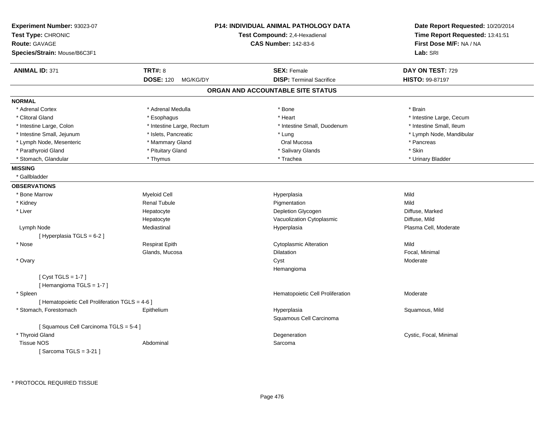| Experiment Number: 93023-07<br>Test Type: CHRONIC<br>Route: GAVAGE<br>Species/Strain: Mouse/B6C3F1 |                              | <b>P14: INDIVIDUAL ANIMAL PATHOLOGY DATA</b><br>Test Compound: 2,4-Hexadienal<br><b>CAS Number: 142-83-6</b> | Date Report Requested: 10/20/2014<br>Time Report Requested: 13:41:51<br>First Dose M/F: NA / NA<br>Lab: SRI |
|----------------------------------------------------------------------------------------------------|------------------------------|--------------------------------------------------------------------------------------------------------------|-------------------------------------------------------------------------------------------------------------|
| <b>ANIMAL ID: 371</b>                                                                              | <b>TRT#: 8</b>               | <b>SEX: Female</b>                                                                                           | DAY ON TEST: 729                                                                                            |
|                                                                                                    | <b>DOSE: 120</b><br>MG/KG/DY | <b>DISP: Terminal Sacrifice</b>                                                                              | <b>HISTO: 99-87197</b>                                                                                      |
|                                                                                                    |                              | ORGAN AND ACCOUNTABLE SITE STATUS                                                                            |                                                                                                             |
| <b>NORMAL</b>                                                                                      |                              |                                                                                                              |                                                                                                             |
| * Adrenal Cortex                                                                                   | * Adrenal Medulla            | * Bone                                                                                                       | * Brain                                                                                                     |
| * Clitoral Gland                                                                                   | * Esophagus                  | * Heart                                                                                                      | * Intestine Large, Cecum                                                                                    |
| * Intestine Large, Colon                                                                           | * Intestine Large, Rectum    | * Intestine Small, Duodenum                                                                                  | * Intestine Small, Ileum                                                                                    |
| * Intestine Small, Jejunum                                                                         | * Islets, Pancreatic         | * Lung                                                                                                       | * Lymph Node, Mandibular                                                                                    |
| * Lymph Node, Mesenteric                                                                           | * Mammary Gland              | Oral Mucosa                                                                                                  | * Pancreas                                                                                                  |
| * Parathyroid Gland                                                                                | * Pituitary Gland            | * Salivary Glands                                                                                            | * Skin                                                                                                      |
| * Stomach, Glandular                                                                               | * Thymus                     | * Trachea                                                                                                    | * Urinary Bladder                                                                                           |
| <b>MISSING</b>                                                                                     |                              |                                                                                                              |                                                                                                             |
| * Gallbladder                                                                                      |                              |                                                                                                              |                                                                                                             |
| <b>OBSERVATIONS</b>                                                                                |                              |                                                                                                              |                                                                                                             |
| * Bone Marrow                                                                                      | Myeloid Cell                 | Hyperplasia                                                                                                  | Mild                                                                                                        |
| * Kidney                                                                                           | <b>Renal Tubule</b>          | Pigmentation                                                                                                 | Mild                                                                                                        |
| * Liver                                                                                            | Hepatocyte                   | Depletion Glycogen                                                                                           | Diffuse, Marked                                                                                             |
|                                                                                                    | Hepatocyte                   | Vacuolization Cytoplasmic                                                                                    | Diffuse, Mild                                                                                               |
| Lymph Node                                                                                         | Mediastinal                  | Hyperplasia                                                                                                  | Plasma Cell, Moderate                                                                                       |
| [ Hyperplasia TGLS = 6-2 ]                                                                         |                              |                                                                                                              |                                                                                                             |
| * Nose                                                                                             | <b>Respirat Epith</b>        | <b>Cytoplasmic Alteration</b>                                                                                | Mild                                                                                                        |
|                                                                                                    | Glands, Mucosa               | <b>Dilatation</b>                                                                                            | Focal, Minimal                                                                                              |
| * Ovary                                                                                            |                              | Cyst                                                                                                         | Moderate                                                                                                    |
|                                                                                                    |                              | Hemangioma                                                                                                   |                                                                                                             |
| [Cyst TGLS = $1-7$ ]<br>[Hemangioma TGLS = 1-7]                                                    |                              |                                                                                                              |                                                                                                             |
| * Spleen                                                                                           |                              | Hematopoietic Cell Proliferation                                                                             | Moderate                                                                                                    |
| [ Hematopoietic Cell Proliferation TGLS = 4-6 ]                                                    |                              |                                                                                                              |                                                                                                             |
| * Stomach, Forestomach                                                                             | Epithelium                   | Hyperplasia                                                                                                  | Squamous, Mild                                                                                              |
|                                                                                                    |                              | Squamous Cell Carcinoma                                                                                      |                                                                                                             |
| [Squamous Cell Carcinoma TGLS = 5-4]                                                               |                              |                                                                                                              |                                                                                                             |
| * Thyroid Gland                                                                                    |                              | Degeneration                                                                                                 | Cystic, Focal, Minimal                                                                                      |
| Tissue NOS                                                                                         | Abdominal                    | Sarcoma                                                                                                      |                                                                                                             |
| [Sarcoma TGLS = $3-21$ ]                                                                           |                              |                                                                                                              |                                                                                                             |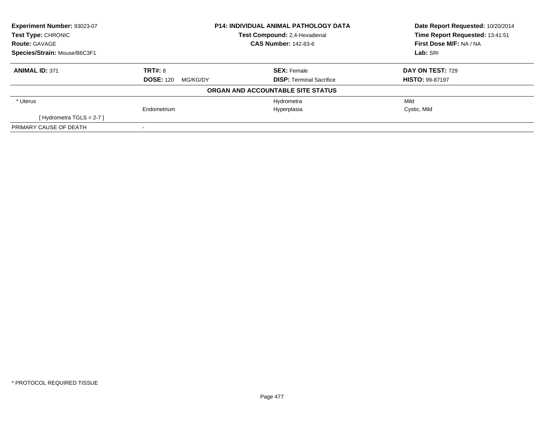| Experiment Number: 93023-07  | <b>P14: INDIVIDUAL ANIMAL PATHOLOGY DATA</b><br>Test Compound: 2,4-Hexadienal |                                   | Date Report Requested: 10/20/2014 |
|------------------------------|-------------------------------------------------------------------------------|-----------------------------------|-----------------------------------|
| <b>Test Type: CHRONIC</b>    |                                                                               |                                   | Time Report Requested: 13:41:51   |
| <b>Route: GAVAGE</b>         |                                                                               | <b>CAS Number: 142-83-6</b>       |                                   |
| Species/Strain: Mouse/B6C3F1 |                                                                               |                                   | Lab: SRI                          |
| <b>ANIMAL ID: 371</b>        | <b>TRT#: 8</b>                                                                | <b>SEX: Female</b>                | DAY ON TEST: 729                  |
|                              | <b>DOSE: 120</b><br>MG/KG/DY                                                  | <b>DISP:</b> Terminal Sacrifice   | <b>HISTO: 99-87197</b>            |
|                              |                                                                               | ORGAN AND ACCOUNTABLE SITE STATUS |                                   |
| * Uterus                     |                                                                               | Hydrometra                        | Mild                              |
|                              | Endometrium                                                                   | Hyperplasia                       | Cystic, Mild                      |
| [Hydrometra TGLS = $2-7$ ]   |                                                                               |                                   |                                   |
| PRIMARY CAUSE OF DEATH       |                                                                               |                                   |                                   |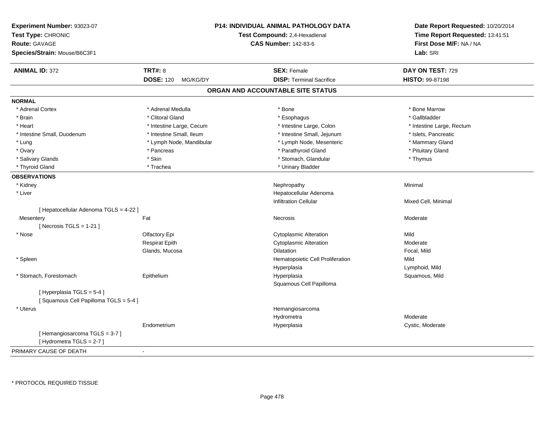| Experiment Number: 93023-07<br>Test Type: CHRONIC<br><b>Route: GAVAGE</b><br>Species/Strain: Mouse/B6C3F1 |                              | <b>P14: INDIVIDUAL ANIMAL PATHOLOGY DATA</b><br>Test Compound: 2,4-Hexadienal<br><b>CAS Number: 142-83-6</b> | Date Report Requested: 10/20/2014<br>Time Report Requested: 13:41:51<br>First Dose M/F: NA / NA<br>Lab: SRI |
|-----------------------------------------------------------------------------------------------------------|------------------------------|--------------------------------------------------------------------------------------------------------------|-------------------------------------------------------------------------------------------------------------|
| <b>ANIMAL ID: 372</b>                                                                                     | <b>TRT#: 8</b>               | <b>SEX: Female</b>                                                                                           | DAY ON TEST: 729                                                                                            |
|                                                                                                           | <b>DOSE: 120</b><br>MG/KG/DY | <b>DISP: Terminal Sacrifice</b>                                                                              | HISTO: 99-87198                                                                                             |
|                                                                                                           |                              | ORGAN AND ACCOUNTABLE SITE STATUS                                                                            |                                                                                                             |
| <b>NORMAL</b>                                                                                             |                              |                                                                                                              |                                                                                                             |
| * Adrenal Cortex                                                                                          | * Adrenal Medulla            | * Bone                                                                                                       | * Bone Marrow                                                                                               |
| * Brain                                                                                                   | * Clitoral Gland             | * Esophagus                                                                                                  | * Gallbladder                                                                                               |
| * Heart                                                                                                   | * Intestine Large, Cecum     | * Intestine Large, Colon                                                                                     | * Intestine Large, Rectum                                                                                   |
| * Intestine Small, Duodenum                                                                               | * Intestine Small, Ileum     | * Intestine Small, Jejunum                                                                                   | * Islets, Pancreatic                                                                                        |
| * Lung                                                                                                    | * Lymph Node, Mandibular     | * Lymph Node, Mesenteric                                                                                     | * Mammary Gland                                                                                             |
| * Ovary                                                                                                   | * Pancreas                   | * Parathyroid Gland                                                                                          | * Pituitary Gland                                                                                           |
| * Salivary Glands                                                                                         | * Skin                       | * Stomach, Glandular                                                                                         | * Thymus                                                                                                    |
| * Thyroid Gland                                                                                           | * Trachea                    | * Urinary Bladder                                                                                            |                                                                                                             |
| <b>OBSERVATIONS</b>                                                                                       |                              |                                                                                                              |                                                                                                             |
| * Kidney                                                                                                  |                              | Nephropathy                                                                                                  | Minimal                                                                                                     |
| * Liver                                                                                                   |                              | Hepatocellular Adenoma                                                                                       |                                                                                                             |
|                                                                                                           |                              | <b>Infiltration Cellular</b>                                                                                 | Mixed Cell, Minimal                                                                                         |
| [ Hepatocellular Adenoma TGLS = 4-22 ]                                                                    |                              |                                                                                                              |                                                                                                             |
| Mesentery                                                                                                 | Fat                          | Necrosis                                                                                                     | Moderate                                                                                                    |
| [Necrosis TGLS = $1-21$ ]                                                                                 |                              |                                                                                                              |                                                                                                             |
| * Nose                                                                                                    | Olfactory Epi                | <b>Cytoplasmic Alteration</b>                                                                                | Mild                                                                                                        |
|                                                                                                           | <b>Respirat Epith</b>        | <b>Cytoplasmic Alteration</b>                                                                                | Moderate                                                                                                    |
|                                                                                                           | Glands, Mucosa               | <b>Dilatation</b>                                                                                            | Focal, Mild                                                                                                 |
| * Spleen                                                                                                  |                              | Hematopoietic Cell Proliferation                                                                             | Mild                                                                                                        |
|                                                                                                           |                              | Hyperplasia                                                                                                  | Lymphoid, Mild                                                                                              |
| * Stomach, Forestomach                                                                                    | Epithelium                   | Hyperplasia                                                                                                  | Squamous, Mild                                                                                              |
|                                                                                                           |                              | Squamous Cell Papilloma                                                                                      |                                                                                                             |
| [Hyperplasia TGLS = 5-4]<br>[Squamous Cell Papilloma TGLS = 5-4]                                          |                              |                                                                                                              |                                                                                                             |
| * Uterus                                                                                                  |                              | Hemangiosarcoma                                                                                              |                                                                                                             |
|                                                                                                           |                              | Hydrometra                                                                                                   | Moderate                                                                                                    |
|                                                                                                           | Endometrium                  | Hyperplasia                                                                                                  | Cystic, Moderate                                                                                            |
| [Hemangiosarcoma TGLS = 3-7]<br>[ Hydrometra TGLS = 2-7 ]                                                 |                              |                                                                                                              |                                                                                                             |
| PRIMARY CAUSE OF DEATH                                                                                    | ÷,                           |                                                                                                              |                                                                                                             |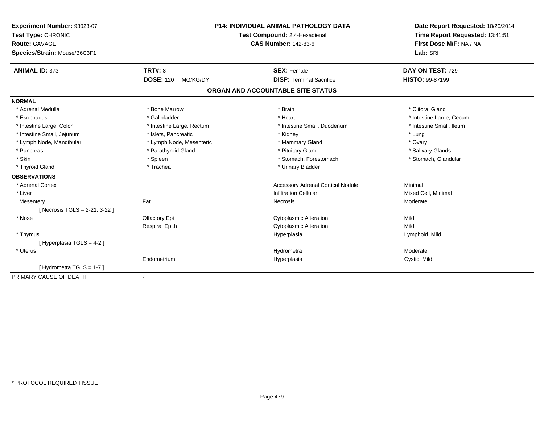| Experiment Number: 93023-07  | <b>P14: INDIVIDUAL ANIMAL PATHOLOGY DATA</b><br>Test Compound: 2,4-Hexadienal |                                          | Date Report Requested: 10/20/2014 |
|------------------------------|-------------------------------------------------------------------------------|------------------------------------------|-----------------------------------|
| Test Type: CHRONIC           |                                                                               |                                          | Time Report Requested: 13:41:51   |
| <b>Route: GAVAGE</b>         |                                                                               | <b>CAS Number: 142-83-6</b>              | First Dose M/F: NA / NA           |
| Species/Strain: Mouse/B6C3F1 |                                                                               |                                          | Lab: SRI                          |
| <b>ANIMAL ID: 373</b>        | <b>TRT#: 8</b>                                                                | <b>SEX: Female</b>                       | DAY ON TEST: 729                  |
|                              | <b>DOSE: 120</b><br>MG/KG/DY                                                  | <b>DISP: Terminal Sacrifice</b>          | <b>HISTO: 99-87199</b>            |
|                              |                                                                               | ORGAN AND ACCOUNTABLE SITE STATUS        |                                   |
| <b>NORMAL</b>                |                                                                               |                                          |                                   |
| * Adrenal Medulla            | * Bone Marrow                                                                 | * Brain                                  | * Clitoral Gland                  |
| * Esophagus                  | * Gallbladder                                                                 | * Heart                                  | * Intestine Large, Cecum          |
| * Intestine Large, Colon     | * Intestine Large, Rectum                                                     | * Intestine Small, Duodenum              | * Intestine Small, Ileum          |
| * Intestine Small, Jejunum   | * Islets, Pancreatic                                                          | * Kidney                                 | * Lung                            |
| * Lymph Node, Mandibular     | * Lymph Node, Mesenteric                                                      | * Mammary Gland                          | * Ovary                           |
| * Pancreas                   | * Parathyroid Gland                                                           | * Pituitary Gland                        | * Salivary Glands                 |
| * Skin                       | * Spleen                                                                      | * Stomach, Forestomach                   | * Stomach, Glandular              |
| * Thyroid Gland              | * Trachea                                                                     | * Urinary Bladder                        |                                   |
| <b>OBSERVATIONS</b>          |                                                                               |                                          |                                   |
| * Adrenal Cortex             |                                                                               | <b>Accessory Adrenal Cortical Nodule</b> | Minimal                           |
| * Liver                      |                                                                               | <b>Infiltration Cellular</b>             | Mixed Cell, Minimal               |
| Mesentery                    | Fat                                                                           | Necrosis                                 | Moderate                          |
| [Necrosis TGLS = 2-21, 3-22] |                                                                               |                                          |                                   |
| * Nose                       | Olfactory Epi                                                                 | <b>Cytoplasmic Alteration</b>            | Mild                              |
|                              | <b>Respirat Epith</b>                                                         | <b>Cytoplasmic Alteration</b>            | Mild                              |
| * Thymus                     |                                                                               | Hyperplasia                              | Lymphoid, Mild                    |
| [ Hyperplasia TGLS = 4-2 ]   |                                                                               |                                          |                                   |
| * Uterus                     |                                                                               | Hydrometra                               | Moderate                          |
|                              | Endometrium                                                                   | Hyperplasia                              | Cystic, Mild                      |
| [Hydrometra TGLS = 1-7]      |                                                                               |                                          |                                   |
| PRIMARY CAUSE OF DEATH       | $\blacksquare$                                                                |                                          |                                   |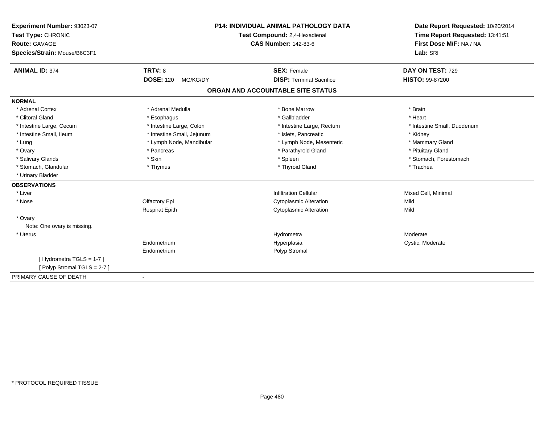| Experiment Number: 93023-07  | <b>P14: INDIVIDUAL ANIMAL PATHOLOGY DATA</b><br>Test Compound: 2,4-Hexadienal |                                   | Date Report Requested: 10/20/2014 |
|------------------------------|-------------------------------------------------------------------------------|-----------------------------------|-----------------------------------|
| Test Type: CHRONIC           |                                                                               |                                   | Time Report Requested: 13:41:51   |
| Route: GAVAGE                |                                                                               | <b>CAS Number: 142-83-6</b>       | First Dose M/F: NA / NA           |
| Species/Strain: Mouse/B6C3F1 |                                                                               |                                   | Lab: SRI                          |
| <b>ANIMAL ID: 374</b>        | <b>TRT#: 8</b>                                                                | <b>SEX: Female</b>                | DAY ON TEST: 729                  |
|                              | <b>DOSE: 120</b><br>MG/KG/DY                                                  | <b>DISP: Terminal Sacrifice</b>   | <b>HISTO: 99-87200</b>            |
|                              |                                                                               | ORGAN AND ACCOUNTABLE SITE STATUS |                                   |
| <b>NORMAL</b>                |                                                                               |                                   |                                   |
| * Adrenal Cortex             | * Adrenal Medulla                                                             | * Bone Marrow                     | * Brain                           |
| * Clitoral Gland             | * Esophagus                                                                   | * Gallbladder                     | * Heart                           |
| * Intestine Large, Cecum     | * Intestine Large, Colon                                                      | * Intestine Large, Rectum         | * Intestine Small, Duodenum       |
| * Intestine Small, Ileum     | * Intestine Small, Jejunum                                                    | * Islets, Pancreatic              | * Kidney                          |
| * Lung                       | * Lymph Node, Mandibular                                                      | * Lymph Node, Mesenteric          | * Mammary Gland                   |
| * Ovary                      | * Pancreas                                                                    | * Parathyroid Gland               | * Pituitary Gland                 |
| * Salivary Glands            | * Skin                                                                        | * Spleen                          | * Stomach, Forestomach            |
| * Stomach, Glandular         | * Thymus                                                                      | * Thyroid Gland                   | * Trachea                         |
| * Urinary Bladder            |                                                                               |                                   |                                   |
| <b>OBSERVATIONS</b>          |                                                                               |                                   |                                   |
| * Liver                      |                                                                               | <b>Infiltration Cellular</b>      | Mixed Cell, Minimal               |
| * Nose                       | Olfactory Epi                                                                 | <b>Cytoplasmic Alteration</b>     | Mild                              |
|                              | <b>Respirat Epith</b>                                                         | <b>Cytoplasmic Alteration</b>     | Mild                              |
| * Ovary                      |                                                                               |                                   |                                   |
| Note: One ovary is missing.  |                                                                               |                                   |                                   |
| * Uterus                     |                                                                               | Hydrometra                        | Moderate                          |
|                              | Endometrium                                                                   | Hyperplasia                       | Cystic, Moderate                  |
|                              | Endometrium                                                                   | Polyp Stromal                     |                                   |
| [Hydrometra TGLS = 1-7]      |                                                                               |                                   |                                   |
| [Polyp Stromal TGLS = 2-7]   |                                                                               |                                   |                                   |
| PRIMARY CAUSE OF DEATH       | $\overline{\phantom{a}}$                                                      |                                   |                                   |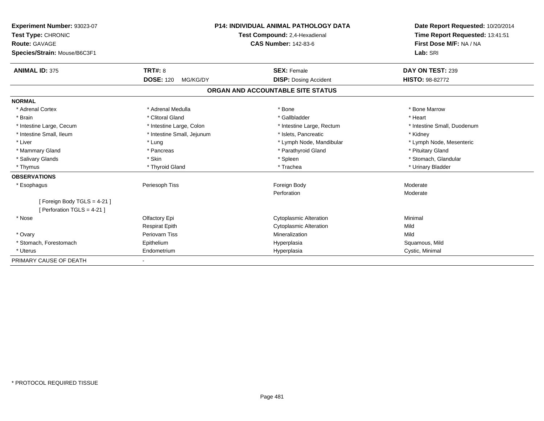| Experiment Number: 93023-07  |                                                              | <b>P14: INDIVIDUAL ANIMAL PATHOLOGY DATA</b> |  | Date Report Requested: 10/20/2014 |
|------------------------------|--------------------------------------------------------------|----------------------------------------------|--|-----------------------------------|
| Test Type: CHRONIC           | Test Compound: 2,4-Hexadienal<br><b>CAS Number: 142-83-6</b> |                                              |  | Time Report Requested: 13:41:51   |
| <b>Route: GAVAGE</b>         |                                                              |                                              |  | First Dose M/F: NA / NA           |
| Species/Strain: Mouse/B6C3F1 |                                                              |                                              |  | Lab: SRI                          |
| <b>ANIMAL ID: 375</b>        | <b>TRT#: 8</b>                                               | <b>SEX: Female</b>                           |  | DAY ON TEST: 239                  |
|                              | <b>DOSE: 120</b><br>MG/KG/DY                                 | <b>DISP: Dosing Accident</b>                 |  | <b>HISTO: 98-82772</b>            |
|                              |                                                              | ORGAN AND ACCOUNTABLE SITE STATUS            |  |                                   |
| <b>NORMAL</b>                |                                                              |                                              |  |                                   |
| * Adrenal Cortex             | * Adrenal Medulla                                            | * Bone                                       |  | * Bone Marrow                     |
| * Brain                      | * Clitoral Gland                                             | * Gallbladder                                |  | * Heart                           |
| * Intestine Large, Cecum     | * Intestine Large, Colon                                     | * Intestine Large, Rectum                    |  | * Intestine Small. Duodenum       |
| * Intestine Small, Ileum     | * Intestine Small, Jejunum                                   | * Islets. Pancreatic                         |  | * Kidney                          |
| * Liver                      | * Lung                                                       | * Lymph Node, Mandibular                     |  | * Lymph Node, Mesenteric          |
| * Mammary Gland              | * Pancreas                                                   | * Parathyroid Gland                          |  | * Pituitary Gland                 |
| * Salivary Glands            | * Skin                                                       | * Spleen                                     |  | * Stomach, Glandular              |
| * Thymus                     | * Thyroid Gland                                              | * Trachea                                    |  | * Urinary Bladder                 |
| <b>OBSERVATIONS</b>          |                                                              |                                              |  |                                   |
| * Esophagus                  | Periesoph Tiss                                               | Foreign Body                                 |  | Moderate                          |
|                              |                                                              | Perforation                                  |  | Moderate                          |
| [Foreign Body TGLS = 4-21]   |                                                              |                                              |  |                                   |
| [ Perforation TGLS = 4-21 ]  |                                                              |                                              |  |                                   |
| * Nose                       | Olfactory Epi                                                | <b>Cytoplasmic Alteration</b>                |  | Minimal                           |
|                              | <b>Respirat Epith</b>                                        | <b>Cytoplasmic Alteration</b>                |  | Mild                              |
| * Ovary                      | <b>Periovarn Tiss</b>                                        | Mineralization                               |  | Mild                              |
| * Stomach, Forestomach       | Epithelium                                                   | Hyperplasia                                  |  | Squamous, Mild                    |
| * Uterus                     | Endometrium                                                  | Hyperplasia                                  |  | Cystic, Minimal                   |
| PRIMARY CAUSE OF DEATH       |                                                              |                                              |  |                                   |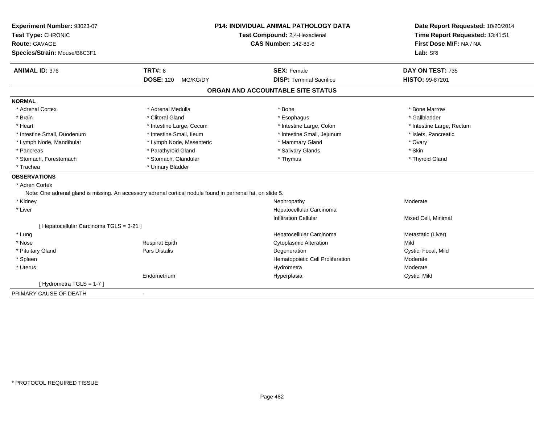| Experiment Number: 93023-07<br>Test Type: CHRONIC<br><b>Route: GAVAGE</b><br>Species/Strain: Mouse/B6C3F1 |                                                                                                              | <b>P14: INDIVIDUAL ANIMAL PATHOLOGY DATA</b><br>Test Compound: 2,4-Hexadienal<br><b>CAS Number: 142-83-6</b> | Date Report Requested: 10/20/2014<br>Time Report Requested: 13:41:51<br>First Dose M/F: NA / NA<br>Lab: SRI |  |
|-----------------------------------------------------------------------------------------------------------|--------------------------------------------------------------------------------------------------------------|--------------------------------------------------------------------------------------------------------------|-------------------------------------------------------------------------------------------------------------|--|
| <b>ANIMAL ID: 376</b>                                                                                     | <b>TRT#: 8</b>                                                                                               | <b>SEX: Female</b>                                                                                           | DAY ON TEST: 735                                                                                            |  |
|                                                                                                           | <b>DOSE: 120</b><br>MG/KG/DY                                                                                 | <b>DISP: Terminal Sacrifice</b>                                                                              | HISTO: 99-87201                                                                                             |  |
|                                                                                                           |                                                                                                              | ORGAN AND ACCOUNTABLE SITE STATUS                                                                            |                                                                                                             |  |
| <b>NORMAL</b>                                                                                             |                                                                                                              |                                                                                                              |                                                                                                             |  |
| * Adrenal Cortex                                                                                          | * Adrenal Medulla                                                                                            | * Bone                                                                                                       | * Bone Marrow                                                                                               |  |
| * Brain                                                                                                   | * Clitoral Gland                                                                                             | * Esophagus                                                                                                  | * Gallbladder                                                                                               |  |
| * Heart                                                                                                   | * Intestine Large, Cecum                                                                                     | * Intestine Large, Colon                                                                                     | * Intestine Large, Rectum                                                                                   |  |
| * Intestine Small, Duodenum                                                                               | * Intestine Small, Ileum                                                                                     | * Intestine Small, Jejunum                                                                                   | * Islets, Pancreatic                                                                                        |  |
| * Lymph Node, Mandibular                                                                                  | * Lymph Node, Mesenteric                                                                                     | * Mammary Gland                                                                                              | * Ovary                                                                                                     |  |
| * Pancreas                                                                                                | * Parathyroid Gland                                                                                          | * Salivary Glands                                                                                            | * Skin                                                                                                      |  |
| * Stomach, Forestomach                                                                                    | * Stomach, Glandular                                                                                         | * Thymus                                                                                                     | * Thyroid Gland                                                                                             |  |
| * Trachea                                                                                                 | * Urinary Bladder                                                                                            |                                                                                                              |                                                                                                             |  |
| <b>OBSERVATIONS</b>                                                                                       |                                                                                                              |                                                                                                              |                                                                                                             |  |
| * Adren Cortex                                                                                            |                                                                                                              |                                                                                                              |                                                                                                             |  |
|                                                                                                           | Note: One adrenal gland is missing. An accessory adrenal cortical nodule found in perirenal fat, on slide 5. |                                                                                                              |                                                                                                             |  |
| * Kidney                                                                                                  |                                                                                                              | Nephropathy                                                                                                  | Moderate                                                                                                    |  |
| * Liver                                                                                                   |                                                                                                              | Hepatocellular Carcinoma                                                                                     |                                                                                                             |  |
|                                                                                                           |                                                                                                              | <b>Infiltration Cellular</b>                                                                                 | Mixed Cell, Minimal                                                                                         |  |
| [ Hepatocellular Carcinoma TGLS = 3-21 ]                                                                  |                                                                                                              |                                                                                                              |                                                                                                             |  |
| * Lung                                                                                                    |                                                                                                              | Hepatocellular Carcinoma                                                                                     | Metastatic (Liver)                                                                                          |  |
| * Nose                                                                                                    | <b>Respirat Epith</b>                                                                                        | <b>Cytoplasmic Alteration</b>                                                                                | Mild                                                                                                        |  |
| * Pituitary Gland                                                                                         | Pars Distalis                                                                                                | Degeneration                                                                                                 | Cystic, Focal, Mild                                                                                         |  |
| * Spleen                                                                                                  |                                                                                                              | Hematopoietic Cell Proliferation                                                                             | Moderate                                                                                                    |  |
| * Uterus                                                                                                  |                                                                                                              | Hydrometra                                                                                                   | Moderate                                                                                                    |  |
|                                                                                                           | Endometrium                                                                                                  | Hyperplasia                                                                                                  | Cystic, Mild                                                                                                |  |
| [Hydrometra TGLS = 1-7]                                                                                   |                                                                                                              |                                                                                                              |                                                                                                             |  |
| PRIMARY CAUSE OF DEATH                                                                                    |                                                                                                              |                                                                                                              |                                                                                                             |  |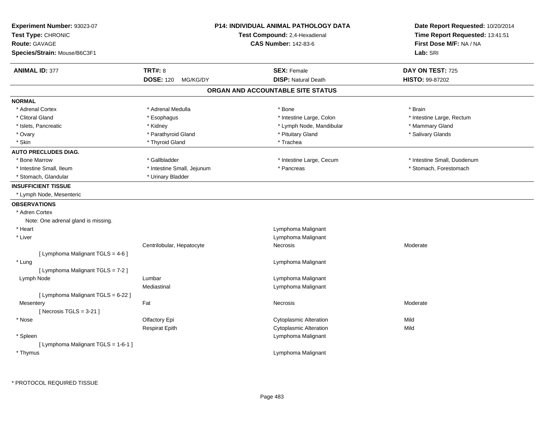| Experiment Number: 93023-07<br>Test Type: CHRONIC<br><b>Route: GAVAGE</b><br>Species/Strain: Mouse/B6C3F1 | <b>P14: INDIVIDUAL ANIMAL PATHOLOGY DATA</b><br>Test Compound: 2,4-Hexadienal<br><b>CAS Number: 142-83-6</b> |                                                  | Date Report Requested: 10/20/2014<br>Time Report Requested: 13:41:51<br>First Dose M/F: NA / NA<br>Lab: SRI |
|-----------------------------------------------------------------------------------------------------------|--------------------------------------------------------------------------------------------------------------|--------------------------------------------------|-------------------------------------------------------------------------------------------------------------|
| <b>ANIMAL ID: 377</b>                                                                                     | <b>TRT#: 8</b><br><b>DOSE: 120</b><br>MG/KG/DY                                                               | <b>SEX: Female</b><br><b>DISP: Natural Death</b> | DAY ON TEST: 725<br><b>HISTO: 99-87202</b>                                                                  |
|                                                                                                           |                                                                                                              | ORGAN AND ACCOUNTABLE SITE STATUS                |                                                                                                             |
| <b>NORMAL</b>                                                                                             |                                                                                                              |                                                  |                                                                                                             |
| * Adrenal Cortex                                                                                          | * Adrenal Medulla                                                                                            | * Bone                                           | * Brain                                                                                                     |
| * Clitoral Gland                                                                                          | * Esophagus                                                                                                  | * Intestine Large, Colon                         | * Intestine Large, Rectum                                                                                   |
| * Islets, Pancreatic                                                                                      | * Kidney                                                                                                     | * Lymph Node, Mandibular                         | * Mammary Gland                                                                                             |
| * Ovary                                                                                                   | * Parathyroid Gland                                                                                          | * Pituitary Gland                                | * Salivary Glands                                                                                           |
| * Skin                                                                                                    | * Thyroid Gland                                                                                              | * Trachea                                        |                                                                                                             |
| <b>AUTO PRECLUDES DIAG.</b>                                                                               |                                                                                                              |                                                  |                                                                                                             |
| * Bone Marrow                                                                                             | * Gallbladder                                                                                                | * Intestine Large, Cecum                         | * Intestine Small, Duodenum                                                                                 |
| * Intestine Small, Ileum                                                                                  | * Intestine Small, Jejunum                                                                                   | * Pancreas                                       | * Stomach, Forestomach                                                                                      |
| * Stomach, Glandular                                                                                      | * Urinary Bladder                                                                                            |                                                  |                                                                                                             |
| <b>INSUFFICIENT TISSUE</b>                                                                                |                                                                                                              |                                                  |                                                                                                             |
| * Lymph Node, Mesenteric                                                                                  |                                                                                                              |                                                  |                                                                                                             |
| <b>OBSERVATIONS</b>                                                                                       |                                                                                                              |                                                  |                                                                                                             |
| * Adren Cortex                                                                                            |                                                                                                              |                                                  |                                                                                                             |
| Note: One adrenal gland is missing.                                                                       |                                                                                                              |                                                  |                                                                                                             |
| * Heart                                                                                                   |                                                                                                              | Lymphoma Malignant                               |                                                                                                             |
| * Liver                                                                                                   |                                                                                                              | Lymphoma Malignant                               |                                                                                                             |
|                                                                                                           | Centrilobular, Hepatocyte                                                                                    | Necrosis                                         | Moderate                                                                                                    |
| [ Lymphoma Malignant TGLS = 4-6 ]                                                                         |                                                                                                              |                                                  |                                                                                                             |
| * Lung                                                                                                    |                                                                                                              | Lymphoma Malignant                               |                                                                                                             |
| [ Lymphoma Malignant TGLS = 7-2 ]                                                                         |                                                                                                              |                                                  |                                                                                                             |
| Lymph Node                                                                                                | Lumbar                                                                                                       | Lymphoma Malignant                               |                                                                                                             |
|                                                                                                           | Mediastinal                                                                                                  | Lymphoma Malignant                               |                                                                                                             |
| [ Lymphoma Malignant TGLS = 6-22 ]                                                                        |                                                                                                              |                                                  |                                                                                                             |
| Mesentery                                                                                                 | Fat                                                                                                          | Necrosis                                         | Moderate                                                                                                    |
| [ Necrosis TGLS = $3-21$ ]                                                                                |                                                                                                              |                                                  |                                                                                                             |
| * Nose                                                                                                    | Olfactory Epi                                                                                                | <b>Cytoplasmic Alteration</b>                    | Mild                                                                                                        |
|                                                                                                           | <b>Respirat Epith</b>                                                                                        | <b>Cytoplasmic Alteration</b>                    | Mild                                                                                                        |
| * Spleen                                                                                                  |                                                                                                              | Lymphoma Malignant                               |                                                                                                             |
| [ Lymphoma Malignant TGLS = 1-6-1 ]                                                                       |                                                                                                              |                                                  |                                                                                                             |
| * Thymus                                                                                                  |                                                                                                              | Lymphoma Malignant                               |                                                                                                             |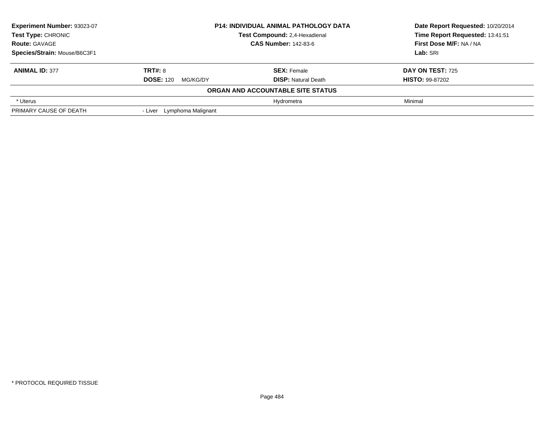| Experiment Number: 93023-07  | <b>P14: INDIVIDUAL ANIMAL PATHOLOGY DATA</b>                 | Date Report Requested: 10/20/2014 |                                 |
|------------------------------|--------------------------------------------------------------|-----------------------------------|---------------------------------|
| <b>Test Type: CHRONIC</b>    | Test Compound: 2,4-Hexadienal<br><b>CAS Number: 142-83-6</b> |                                   | Time Report Requested: 13:41:51 |
| <b>Route: GAVAGE</b>         |                                                              |                                   | First Dose M/F: NA / NA         |
| Species/Strain: Mouse/B6C3F1 |                                                              | Lab: SRI                          |                                 |
| <b>ANIMAL ID: 377</b>        | <b>TRT#: 8</b>                                               | <b>SEX: Female</b>                | <b>DAY ON TEST: 725</b>         |
|                              | <b>DOSE: 120</b><br>MG/KG/DY                                 | <b>DISP:</b> Natural Death        | <b>HISTO: 99-87202</b>          |
|                              |                                                              | ORGAN AND ACCOUNTABLE SITE STATUS |                                 |
| * Uterus                     |                                                              | Hydrometra                        | Minimal                         |
| PRIMARY CAUSE OF DEATH       | - Liver Lymphoma Malignant                                   |                                   |                                 |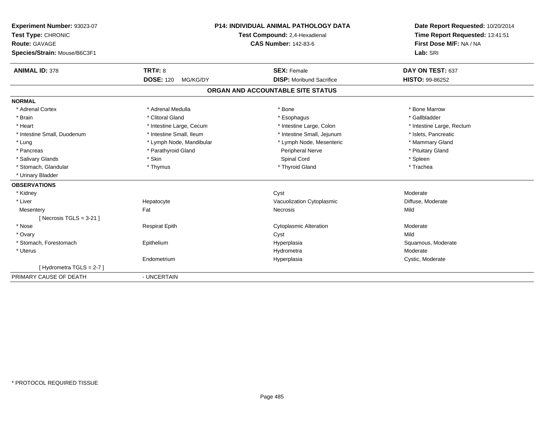| Experiment Number: 93023-07  | <b>P14: INDIVIDUAL ANIMAL PATHOLOGY DATA</b> |                                   | Date Report Requested: 10/20/2014 |  |
|------------------------------|----------------------------------------------|-----------------------------------|-----------------------------------|--|
| Test Type: CHRONIC           |                                              | Test Compound: 2,4-Hexadienal     | Time Report Requested: 13:41:51   |  |
| <b>Route: GAVAGE</b>         |                                              | <b>CAS Number: 142-83-6</b>       | First Dose M/F: NA / NA           |  |
| Species/Strain: Mouse/B6C3F1 |                                              |                                   | Lab: SRI                          |  |
| <b>ANIMAL ID: 378</b>        | TRT#: 8                                      | <b>SEX: Female</b>                | DAY ON TEST: 637                  |  |
|                              | <b>DOSE: 120</b><br>MG/KG/DY                 | <b>DISP:</b> Moribund Sacrifice   | <b>HISTO: 99-86252</b>            |  |
|                              |                                              | ORGAN AND ACCOUNTABLE SITE STATUS |                                   |  |
| <b>NORMAL</b>                |                                              |                                   |                                   |  |
| * Adrenal Cortex             | * Adrenal Medulla                            | * Bone                            | * Bone Marrow                     |  |
| * Brain                      | * Clitoral Gland                             | * Esophagus                       | * Gallbladder                     |  |
| * Heart                      | * Intestine Large, Cecum                     | * Intestine Large, Colon          | * Intestine Large, Rectum         |  |
| * Intestine Small, Duodenum  | * Intestine Small, Ileum                     | * Intestine Small, Jejunum        | * Islets, Pancreatic              |  |
| * Lung                       | * Lymph Node, Mandibular                     | * Lymph Node, Mesenteric          | * Mammary Gland                   |  |
| * Pancreas                   | * Parathyroid Gland                          | <b>Peripheral Nerve</b>           | * Pituitary Gland                 |  |
| * Salivary Glands            | * Skin                                       | Spinal Cord                       | * Spleen                          |  |
| * Stomach, Glandular         | * Thymus                                     | * Thyroid Gland                   | * Trachea                         |  |
| * Urinary Bladder            |                                              |                                   |                                   |  |
| <b>OBSERVATIONS</b>          |                                              |                                   |                                   |  |
| * Kidney                     |                                              | Cyst                              | Moderate                          |  |
| * Liver                      | Hepatocyte                                   | Vacuolization Cytoplasmic         | Diffuse, Moderate                 |  |
| Mesentery                    | Fat                                          | Necrosis                          | Mild                              |  |
| [Necrosis TGLS = $3-21$ ]    |                                              |                                   |                                   |  |
| * Nose                       | <b>Respirat Epith</b>                        | <b>Cytoplasmic Alteration</b>     | Moderate                          |  |
| * Ovary                      |                                              | Cyst                              | Mild                              |  |
| * Stomach, Forestomach       | Epithelium                                   | Hyperplasia                       | Squamous, Moderate                |  |
| * Uterus                     |                                              | Hydrometra                        | Moderate                          |  |
|                              | Endometrium                                  | Hyperplasia                       | Cystic, Moderate                  |  |
| [Hydrometra TGLS = $2-7$ ]   |                                              |                                   |                                   |  |
| PRIMARY CAUSE OF DEATH       | - UNCERTAIN                                  |                                   |                                   |  |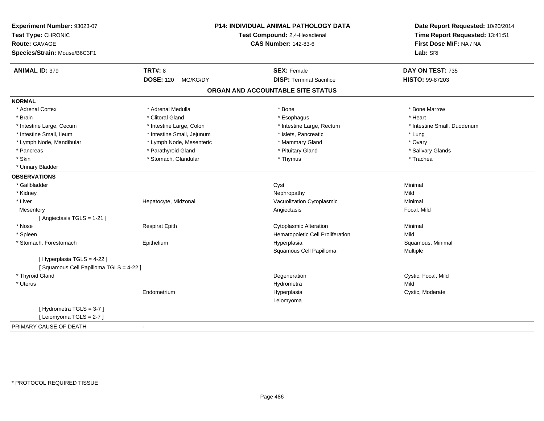| <b>Route: GAVAGE</b><br>Species/Strain: Mouse/B6C3F1                 |                              | <b>P14: INDIVIDUAL ANIMAL PATHOLOGY DATA</b><br>Test Compound: 2,4-Hexadienal<br><b>CAS Number: 142-83-6</b> |                             |
|----------------------------------------------------------------------|------------------------------|--------------------------------------------------------------------------------------------------------------|-----------------------------|
| <b>ANIMAL ID: 379</b>                                                | <b>TRT#: 8</b>               | <b>SEX: Female</b>                                                                                           | DAY ON TEST: 735            |
|                                                                      | <b>DOSE: 120</b><br>MG/KG/DY | <b>DISP: Terminal Sacrifice</b>                                                                              | HISTO: 99-87203             |
|                                                                      |                              | ORGAN AND ACCOUNTABLE SITE STATUS                                                                            |                             |
| <b>NORMAL</b>                                                        |                              |                                                                                                              |                             |
| * Adrenal Cortex                                                     | * Adrenal Medulla            | * Bone                                                                                                       | * Bone Marrow               |
| * Brain                                                              | * Clitoral Gland             | * Esophagus                                                                                                  | * Heart                     |
| * Intestine Large, Cecum                                             | * Intestine Large, Colon     | * Intestine Large, Rectum                                                                                    | * Intestine Small, Duodenum |
| * Intestine Small, Ileum                                             | * Intestine Small, Jejunum   | * Islets, Pancreatic                                                                                         | * Lung                      |
| * Lymph Node, Mandibular                                             | * Lymph Node, Mesenteric     | * Mammary Gland                                                                                              | * Ovary                     |
| * Pancreas                                                           | * Parathyroid Gland          | * Pituitary Gland                                                                                            | * Salivary Glands           |
| * Skin                                                               | * Stomach, Glandular         | * Thymus                                                                                                     | * Trachea                   |
| * Urinary Bladder                                                    |                              |                                                                                                              |                             |
| <b>OBSERVATIONS</b>                                                  |                              |                                                                                                              |                             |
| * Gallbladder                                                        |                              | Cyst                                                                                                         | Minimal                     |
| * Kidney                                                             |                              | Nephropathy                                                                                                  | Mild                        |
| * Liver                                                              | Hepatocyte, Midzonal         | Vacuolization Cytoplasmic                                                                                    | Minimal                     |
| Mesentery                                                            |                              | Angiectasis                                                                                                  | Focal, Mild                 |
| [ Angiectasis TGLS = 1-21 ]                                          |                              |                                                                                                              |                             |
| * Nose                                                               | <b>Respirat Epith</b>        | <b>Cytoplasmic Alteration</b>                                                                                | Minimal                     |
| * Spleen                                                             |                              | Hematopoietic Cell Proliferation                                                                             | Mild                        |
| * Stomach, Forestomach                                               | Epithelium                   | Hyperplasia                                                                                                  | Squamous, Minimal           |
|                                                                      |                              | Squamous Cell Papilloma                                                                                      | Multiple                    |
| [ Hyperplasia TGLS = 4-22 ]<br>[Squamous Cell Papilloma TGLS = 4-22] |                              |                                                                                                              |                             |
| * Thyroid Gland                                                      |                              | Degeneration                                                                                                 | Cystic, Focal, Mild         |
| * Uterus                                                             |                              | Hydrometra                                                                                                   | Mild                        |
|                                                                      | Endometrium                  | Hyperplasia                                                                                                  | Cystic, Moderate            |
|                                                                      |                              | Leiomyoma                                                                                                    |                             |
| [Hydrometra TGLS = 3-7]<br>[Leiomyoma TGLS = 2-7]                    |                              |                                                                                                              |                             |
| PRIMARY CAUSE OF DEATH                                               | $\blacksquare$               |                                                                                                              |                             |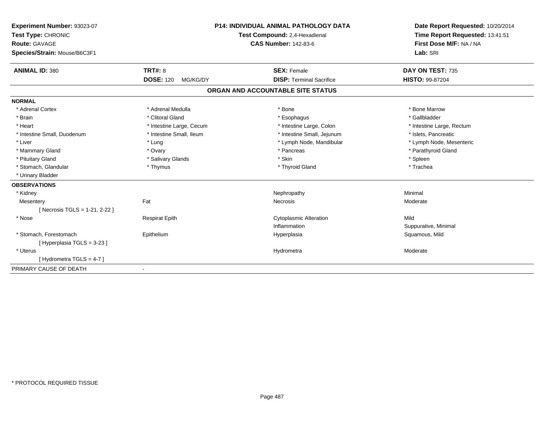| Experiment Number: 93023-07<br>Test Type: CHRONIC<br>Route: GAVAGE<br>Species/Strain: Mouse/B6C3F1 |                              | <b>P14: INDIVIDUAL ANIMAL PATHOLOGY DATA</b><br>Test Compound: 2,4-Hexadienal<br><b>CAS Number: 142-83-6</b> | Date Report Requested: 10/20/2014<br>Time Report Requested: 13:41:51<br>First Dose M/F: NA / NA<br>Lab: SRI |  |
|----------------------------------------------------------------------------------------------------|------------------------------|--------------------------------------------------------------------------------------------------------------|-------------------------------------------------------------------------------------------------------------|--|
| <b>ANIMAL ID: 380</b>                                                                              | <b>TRT#: 8</b>               | <b>SEX: Female</b>                                                                                           | DAY ON TEST: 735                                                                                            |  |
|                                                                                                    | <b>DOSE: 120</b><br>MG/KG/DY | <b>DISP: Terminal Sacrifice</b>                                                                              | <b>HISTO: 99-87204</b>                                                                                      |  |
|                                                                                                    |                              | ORGAN AND ACCOUNTABLE SITE STATUS                                                                            |                                                                                                             |  |
| <b>NORMAL</b>                                                                                      |                              |                                                                                                              |                                                                                                             |  |
| * Adrenal Cortex                                                                                   | * Adrenal Medulla            | * Bone                                                                                                       | * Bone Marrow                                                                                               |  |
| * Brain                                                                                            | * Clitoral Gland             | * Esophagus                                                                                                  | * Gallbladder                                                                                               |  |
| * Heart                                                                                            | * Intestine Large, Cecum     | * Intestine Large, Colon                                                                                     | * Intestine Large, Rectum                                                                                   |  |
| * Intestine Small, Duodenum                                                                        | * Intestine Small, Ileum     | * Intestine Small, Jejunum                                                                                   | * Islets, Pancreatic                                                                                        |  |
| * Liver                                                                                            | * Lung                       | * Lymph Node, Mandibular                                                                                     | * Lymph Node, Mesenteric                                                                                    |  |
| * Mammary Gland                                                                                    | * Ovary                      | * Pancreas                                                                                                   | * Parathyroid Gland                                                                                         |  |
| * Pituitary Gland                                                                                  | * Salivary Glands            | * Skin                                                                                                       | * Spleen                                                                                                    |  |
| * Stomach, Glandular                                                                               | * Thymus                     | * Thyroid Gland                                                                                              | * Trachea                                                                                                   |  |
| * Urinary Bladder                                                                                  |                              |                                                                                                              |                                                                                                             |  |
| <b>OBSERVATIONS</b>                                                                                |                              |                                                                                                              |                                                                                                             |  |
| * Kidney                                                                                           |                              | Nephropathy                                                                                                  | Minimal                                                                                                     |  |
| Mesentery                                                                                          | Fat                          | Necrosis                                                                                                     | Moderate                                                                                                    |  |
| [Necrosis TGLS = 1-21, 2-22]                                                                       |                              |                                                                                                              |                                                                                                             |  |
| * Nose                                                                                             | <b>Respirat Epith</b>        | <b>Cytoplasmic Alteration</b>                                                                                | Mild                                                                                                        |  |
|                                                                                                    |                              | Inflammation                                                                                                 | Suppurative, Minimal                                                                                        |  |
| * Stomach, Forestomach                                                                             | Epithelium                   | Hyperplasia                                                                                                  | Squamous, Mild                                                                                              |  |
| [Hyperplasia TGLS = 3-23]                                                                          |                              |                                                                                                              |                                                                                                             |  |
| * Uterus                                                                                           |                              | Hydrometra                                                                                                   | Moderate                                                                                                    |  |
| [Hydrometra TGLS = 4-7]                                                                            |                              |                                                                                                              |                                                                                                             |  |
| PRIMARY CAUSE OF DEATH                                                                             | $\blacksquare$               |                                                                                                              |                                                                                                             |  |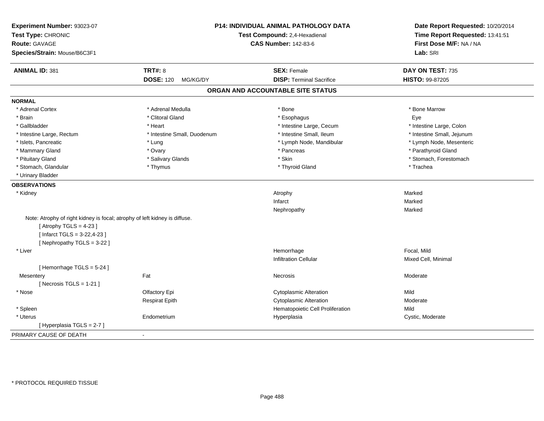| Experiment Number: 93023-07<br>Test Type: CHRONIC<br><b>Route: GAVAGE</b><br>Species/Strain: Mouse/B6C3F1 | P14: INDIVIDUAL ANIMAL PATHOLOGY DATA<br>Test Compound: 2,4-Hexadienal<br><b>CAS Number: 142-83-6</b> |                                   | Date Report Requested: 10/20/2014<br>Time Report Requested: 13:41:51<br>First Dose M/F: NA / NA<br>Lab: SRI |
|-----------------------------------------------------------------------------------------------------------|-------------------------------------------------------------------------------------------------------|-----------------------------------|-------------------------------------------------------------------------------------------------------------|
| <b>ANIMAL ID: 381</b>                                                                                     | <b>TRT#: 8</b>                                                                                        | <b>SEX: Female</b>                | DAY ON TEST: 735                                                                                            |
|                                                                                                           | <b>DOSE: 120</b><br>MG/KG/DY                                                                          | <b>DISP: Terminal Sacrifice</b>   | HISTO: 99-87205                                                                                             |
|                                                                                                           |                                                                                                       | ORGAN AND ACCOUNTABLE SITE STATUS |                                                                                                             |
| <b>NORMAL</b>                                                                                             |                                                                                                       |                                   |                                                                                                             |
| * Adrenal Cortex                                                                                          | * Adrenal Medulla                                                                                     | * Bone                            | * Bone Marrow                                                                                               |
| * Brain                                                                                                   | * Clitoral Gland                                                                                      | * Esophagus                       | Eye                                                                                                         |
| * Gallbladder                                                                                             | * Heart                                                                                               | * Intestine Large, Cecum          | * Intestine Large, Colon                                                                                    |
| * Intestine Large, Rectum                                                                                 | * Intestine Small, Duodenum                                                                           | * Intestine Small, Ileum          | * Intestine Small, Jejunum                                                                                  |
| * Islets, Pancreatic                                                                                      | * Lung                                                                                                | * Lymph Node, Mandibular          | * Lymph Node, Mesenteric                                                                                    |
| * Mammary Gland                                                                                           | * Ovary                                                                                               | * Pancreas                        | * Parathyroid Gland                                                                                         |
| * Pituitary Gland                                                                                         | * Salivary Glands                                                                                     | * Skin                            | * Stomach, Forestomach                                                                                      |
| * Stomach, Glandular                                                                                      | * Thymus                                                                                              | * Thyroid Gland                   | * Trachea                                                                                                   |
| * Urinary Bladder                                                                                         |                                                                                                       |                                   |                                                                                                             |
| <b>OBSERVATIONS</b>                                                                                       |                                                                                                       |                                   |                                                                                                             |
| * Kidney                                                                                                  |                                                                                                       | Atrophy                           | Marked                                                                                                      |
|                                                                                                           |                                                                                                       | Infarct                           | Marked                                                                                                      |
|                                                                                                           |                                                                                                       | Nephropathy                       | Marked                                                                                                      |
| Note: Atrophy of right kidney is focal; atrophy of left kidney is diffuse.                                |                                                                                                       |                                   |                                                                                                             |
| [Atrophy TGLS = $4-23$ ]                                                                                  |                                                                                                       |                                   |                                                                                                             |
| [Infarct TGLS = $3-22,4-23$ ]                                                                             |                                                                                                       |                                   |                                                                                                             |
| [Nephropathy TGLS = 3-22]                                                                                 |                                                                                                       |                                   |                                                                                                             |
| * Liver                                                                                                   |                                                                                                       | Hemorrhage                        | Focal, Mild                                                                                                 |
|                                                                                                           |                                                                                                       | <b>Infiltration Cellular</b>      | Mixed Cell, Minimal                                                                                         |
| [Hemorrhage TGLS = 5-24]                                                                                  |                                                                                                       |                                   |                                                                                                             |
| Mesentery                                                                                                 | Fat                                                                                                   | Necrosis                          | Moderate                                                                                                    |
| [ Necrosis $TGLS = 1-21$ ]                                                                                |                                                                                                       |                                   |                                                                                                             |
| * Nose                                                                                                    | Olfactory Epi                                                                                         | <b>Cytoplasmic Alteration</b>     | Mild                                                                                                        |
|                                                                                                           | <b>Respirat Epith</b>                                                                                 | <b>Cytoplasmic Alteration</b>     | Moderate                                                                                                    |
| * Spleen                                                                                                  |                                                                                                       | Hematopoietic Cell Proliferation  | Mild                                                                                                        |
| * Uterus                                                                                                  | Endometrium                                                                                           | Hyperplasia                       | Cystic, Moderate                                                                                            |
| [Hyperplasia TGLS = 2-7]                                                                                  |                                                                                                       |                                   |                                                                                                             |
| PRIMARY CAUSE OF DEATH                                                                                    | $\blacksquare$                                                                                        |                                   |                                                                                                             |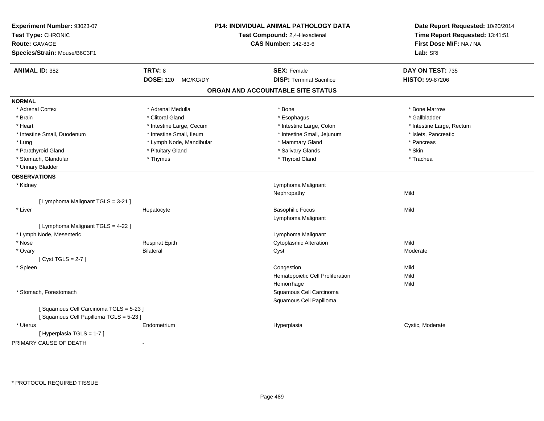| Experiment Number: 93023-07<br>Test Type: CHRONIC<br><b>Route: GAVAGE</b><br>Species/Strain: Mouse/B6C3F1 |                              | P14: INDIVIDUAL ANIMAL PATHOLOGY DATA<br>Test Compound: 2,4-Hexadienal<br><b>CAS Number: 142-83-6</b> | Date Report Requested: 10/20/2014<br>Time Report Requested: 13:41:51<br>First Dose M/F: NA / NA<br>Lab: SRI |
|-----------------------------------------------------------------------------------------------------------|------------------------------|-------------------------------------------------------------------------------------------------------|-------------------------------------------------------------------------------------------------------------|
| <b>ANIMAL ID: 382</b>                                                                                     | <b>TRT#: 8</b>               | <b>SEX: Female</b>                                                                                    | DAY ON TEST: 735                                                                                            |
|                                                                                                           | <b>DOSE: 120</b><br>MG/KG/DY | <b>DISP: Terminal Sacrifice</b>                                                                       | HISTO: 99-87206                                                                                             |
|                                                                                                           |                              | ORGAN AND ACCOUNTABLE SITE STATUS                                                                     |                                                                                                             |
| <b>NORMAL</b>                                                                                             |                              |                                                                                                       |                                                                                                             |
| * Adrenal Cortex                                                                                          | * Adrenal Medulla            | * Bone                                                                                                | * Bone Marrow                                                                                               |
| * Brain                                                                                                   | * Clitoral Gland             | * Esophagus                                                                                           | * Gallbladder                                                                                               |
| * Heart                                                                                                   | * Intestine Large, Cecum     | * Intestine Large, Colon                                                                              | * Intestine Large, Rectum                                                                                   |
| * Intestine Small, Duodenum                                                                               | * Intestine Small, Ileum     | * Intestine Small, Jejunum                                                                            | * Islets, Pancreatic                                                                                        |
| * Lung                                                                                                    | * Lymph Node, Mandibular     | * Mammary Gland                                                                                       | * Pancreas                                                                                                  |
| * Parathyroid Gland                                                                                       | * Pituitary Gland            | * Salivary Glands                                                                                     | * Skin                                                                                                      |
| * Stomach, Glandular                                                                                      | * Thymus                     | * Thyroid Gland                                                                                       | * Trachea                                                                                                   |
| * Urinary Bladder                                                                                         |                              |                                                                                                       |                                                                                                             |
| <b>OBSERVATIONS</b>                                                                                       |                              |                                                                                                       |                                                                                                             |
| * Kidney                                                                                                  |                              | Lymphoma Malignant                                                                                    |                                                                                                             |
|                                                                                                           |                              | Nephropathy                                                                                           | Mild                                                                                                        |
| [ Lymphoma Malignant TGLS = 3-21 ]                                                                        |                              |                                                                                                       |                                                                                                             |
| * Liver                                                                                                   | Hepatocyte                   | <b>Basophilic Focus</b>                                                                               | Mild                                                                                                        |
|                                                                                                           |                              | Lymphoma Malignant                                                                                    |                                                                                                             |
| [ Lymphoma Malignant TGLS = 4-22 ]                                                                        |                              |                                                                                                       |                                                                                                             |
| * Lymph Node, Mesenteric                                                                                  |                              | Lymphoma Malignant                                                                                    |                                                                                                             |
| * Nose                                                                                                    | <b>Respirat Epith</b>        | <b>Cytoplasmic Alteration</b>                                                                         | Mild                                                                                                        |
| * Ovary                                                                                                   | <b>Bilateral</b>             | Cyst                                                                                                  | Moderate                                                                                                    |
| [Cyst TGLS = $2-7$ ]                                                                                      |                              |                                                                                                       |                                                                                                             |
| * Spleen                                                                                                  |                              | Congestion                                                                                            | Mild                                                                                                        |
|                                                                                                           |                              | Hematopoietic Cell Proliferation                                                                      | Mild                                                                                                        |
|                                                                                                           |                              | Hemorrhage                                                                                            | Mild                                                                                                        |
| * Stomach, Forestomach                                                                                    |                              | Squamous Cell Carcinoma                                                                               |                                                                                                             |
|                                                                                                           |                              | Squamous Cell Papilloma                                                                               |                                                                                                             |
| [Squamous Cell Carcinoma TGLS = 5-23]<br>[Squamous Cell Papilloma TGLS = 5-23]                            |                              |                                                                                                       |                                                                                                             |
| * Uterus                                                                                                  | Endometrium                  | Hyperplasia                                                                                           | Cystic, Moderate                                                                                            |
| [Hyperplasia TGLS = 1-7]                                                                                  |                              |                                                                                                       |                                                                                                             |
| PRIMARY CAUSE OF DEATH                                                                                    |                              |                                                                                                       |                                                                                                             |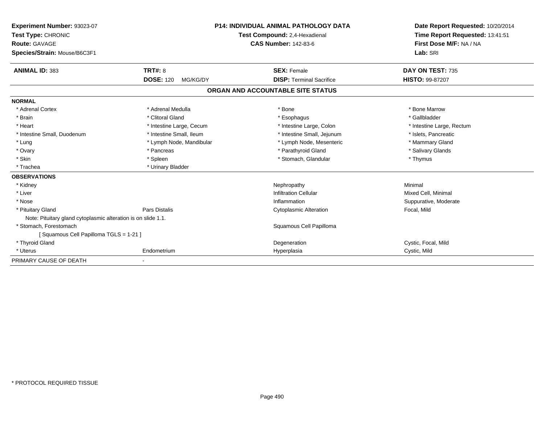| Experiment Number: 93023-07<br>Test Type: CHRONIC<br><b>Route: GAVAGE</b> |                              | <b>P14: INDIVIDUAL ANIMAL PATHOLOGY DATA</b><br>Test Compound: 2,4-Hexadienal<br><b>CAS Number: 142-83-6</b> | Date Report Requested: 10/20/2014<br>Time Report Requested: 13:41:51<br>First Dose M/F: NA / NA |
|---------------------------------------------------------------------------|------------------------------|--------------------------------------------------------------------------------------------------------------|-------------------------------------------------------------------------------------------------|
| Species/Strain: Mouse/B6C3F1                                              |                              |                                                                                                              | Lab: SRI                                                                                        |
| <b>ANIMAL ID: 383</b>                                                     | <b>TRT#: 8</b>               | <b>SEX: Female</b>                                                                                           | DAY ON TEST: 735                                                                                |
|                                                                           | <b>DOSE: 120</b><br>MG/KG/DY | <b>DISP: Terminal Sacrifice</b>                                                                              | HISTO: 99-87207                                                                                 |
|                                                                           |                              | ORGAN AND ACCOUNTABLE SITE STATUS                                                                            |                                                                                                 |
| <b>NORMAL</b>                                                             |                              |                                                                                                              |                                                                                                 |
| * Adrenal Cortex                                                          | * Adrenal Medulla            | * Bone                                                                                                       | * Bone Marrow                                                                                   |
| * Brain                                                                   | * Clitoral Gland             | * Esophagus                                                                                                  | * Gallbladder                                                                                   |
| * Heart                                                                   | * Intestine Large, Cecum     | * Intestine Large, Colon                                                                                     | * Intestine Large, Rectum                                                                       |
| * Intestine Small, Duodenum                                               | * Intestine Small, Ileum     | * Intestine Small, Jejunum                                                                                   | * Islets, Pancreatic                                                                            |
| * Lung                                                                    | * Lymph Node, Mandibular     | * Lymph Node, Mesenteric                                                                                     | * Mammary Gland                                                                                 |
| * Ovary                                                                   | * Pancreas                   | * Parathyroid Gland                                                                                          | * Salivary Glands                                                                               |
| * Skin                                                                    | * Spleen                     | * Stomach, Glandular                                                                                         | * Thymus                                                                                        |
| * Trachea                                                                 | * Urinary Bladder            |                                                                                                              |                                                                                                 |
| <b>OBSERVATIONS</b>                                                       |                              |                                                                                                              |                                                                                                 |
| * Kidney                                                                  |                              | Nephropathy                                                                                                  | Minimal                                                                                         |
| * Liver                                                                   |                              | <b>Infiltration Cellular</b>                                                                                 | Mixed Cell, Minimal                                                                             |
| * Nose                                                                    |                              | Inflammation                                                                                                 | Suppurative, Moderate                                                                           |
| * Pituitary Gland                                                         | <b>Pars Distalis</b>         | <b>Cytoplasmic Alteration</b>                                                                                | Focal, Mild                                                                                     |
| Note: Pituitary gland cytoplasmic alteration is on slide 1.1.             |                              |                                                                                                              |                                                                                                 |
| * Stomach, Forestomach                                                    |                              | Squamous Cell Papilloma                                                                                      |                                                                                                 |
| [Squamous Cell Papilloma TGLS = 1-21]                                     |                              |                                                                                                              |                                                                                                 |
| * Thyroid Gland                                                           |                              | Degeneration                                                                                                 | Cystic, Focal, Mild                                                                             |
| * Uterus                                                                  | Endometrium                  | Hyperplasia                                                                                                  | Cystic, Mild                                                                                    |
| PRIMARY CAUSE OF DEATH                                                    |                              |                                                                                                              |                                                                                                 |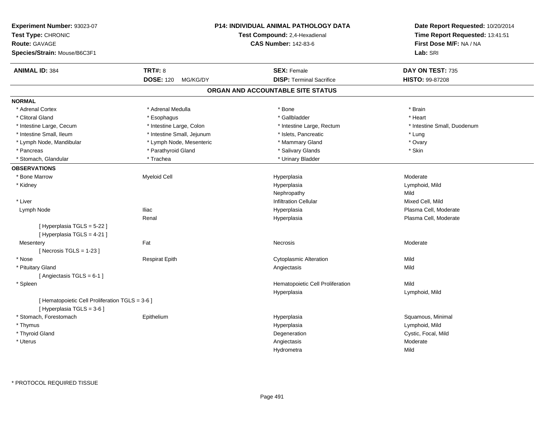| Experiment Number: 93023-07<br>Test Type: CHRONIC<br><b>Route: GAVAGE</b><br>Species/Strain: Mouse/B6C3F1 |                              | <b>P14: INDIVIDUAL ANIMAL PATHOLOGY DATA</b><br>Test Compound: 2,4-Hexadienal<br><b>CAS Number: 142-83-6</b> | Date Report Requested: 10/20/2014<br>Time Report Requested: 13:41:51<br>First Dose M/F: NA / NA<br>Lab: SRI |
|-----------------------------------------------------------------------------------------------------------|------------------------------|--------------------------------------------------------------------------------------------------------------|-------------------------------------------------------------------------------------------------------------|
| <b>ANIMAL ID: 384</b>                                                                                     | <b>TRT#: 8</b>               | <b>SEX: Female</b>                                                                                           | DAY ON TEST: 735                                                                                            |
|                                                                                                           | <b>DOSE: 120</b><br>MG/KG/DY | <b>DISP: Terminal Sacrifice</b>                                                                              | HISTO: 99-87208                                                                                             |
|                                                                                                           |                              | ORGAN AND ACCOUNTABLE SITE STATUS                                                                            |                                                                                                             |
| <b>NORMAL</b>                                                                                             |                              |                                                                                                              |                                                                                                             |
| * Adrenal Cortex                                                                                          | * Adrenal Medulla            | * Bone                                                                                                       | * Brain                                                                                                     |
| * Clitoral Gland                                                                                          | * Esophagus                  | * Gallbladder                                                                                                | * Heart                                                                                                     |
| * Intestine Large, Cecum                                                                                  | * Intestine Large, Colon     | * Intestine Large, Rectum                                                                                    | * Intestine Small, Duodenum                                                                                 |
| * Intestine Small, Ileum                                                                                  | * Intestine Small, Jejunum   | * Islets, Pancreatic                                                                                         | * Lung                                                                                                      |
| * Lymph Node, Mandibular                                                                                  | * Lymph Node, Mesenteric     | * Mammary Gland                                                                                              | * Ovary                                                                                                     |
| * Pancreas                                                                                                | * Parathyroid Gland          | * Salivary Glands                                                                                            | * Skin                                                                                                      |
| * Stomach, Glandular                                                                                      | * Trachea                    | * Urinary Bladder                                                                                            |                                                                                                             |
| <b>OBSERVATIONS</b>                                                                                       |                              |                                                                                                              |                                                                                                             |
| * Bone Marrow                                                                                             | <b>Myeloid Cell</b>          | Hyperplasia                                                                                                  | Moderate                                                                                                    |
| * Kidney                                                                                                  |                              | Hyperplasia                                                                                                  | Lymphoid, Mild                                                                                              |
|                                                                                                           |                              | Nephropathy                                                                                                  | Mild                                                                                                        |
| * Liver                                                                                                   |                              | <b>Infiltration Cellular</b>                                                                                 | Mixed Cell, Mild                                                                                            |
| Lymph Node                                                                                                | <b>Iliac</b>                 | Hyperplasia                                                                                                  | Plasma Cell, Moderate                                                                                       |
|                                                                                                           | Renal                        | Hyperplasia                                                                                                  | Plasma Cell, Moderate                                                                                       |
| [ Hyperplasia TGLS = 5-22 ]<br>[Hyperplasia TGLS = 4-21]                                                  |                              |                                                                                                              |                                                                                                             |
| Mesentery                                                                                                 | Fat                          | Necrosis                                                                                                     | Moderate                                                                                                    |
| [Necrosis $TGLS = 1-23$ ]                                                                                 |                              |                                                                                                              |                                                                                                             |
| * Nose                                                                                                    | <b>Respirat Epith</b>        | <b>Cytoplasmic Alteration</b>                                                                                | Mild                                                                                                        |
| * Pituitary Gland                                                                                         |                              | Angiectasis                                                                                                  | Mild                                                                                                        |
| [ Angiectasis $TGLS = 6-1$ ]                                                                              |                              |                                                                                                              |                                                                                                             |
| * Spleen                                                                                                  |                              | Hematopoietic Cell Proliferation                                                                             | Mild                                                                                                        |
|                                                                                                           |                              | Hyperplasia                                                                                                  | Lymphoid, Mild                                                                                              |
| [ Hematopoietic Cell Proliferation TGLS = 3-6 ]<br>[ Hyperplasia TGLS = 3-6 ]                             |                              |                                                                                                              |                                                                                                             |
| * Stomach, Forestomach                                                                                    | Epithelium                   | Hyperplasia                                                                                                  | Squamous, Minimal                                                                                           |
| * Thymus                                                                                                  |                              | Hyperplasia                                                                                                  | Lymphoid, Mild                                                                                              |
| * Thyroid Gland                                                                                           |                              | Degeneration                                                                                                 | Cystic, Focal, Mild                                                                                         |
| * Uterus                                                                                                  |                              | Angiectasis                                                                                                  | Moderate                                                                                                    |
|                                                                                                           |                              | Hydrometra                                                                                                   | Mild                                                                                                        |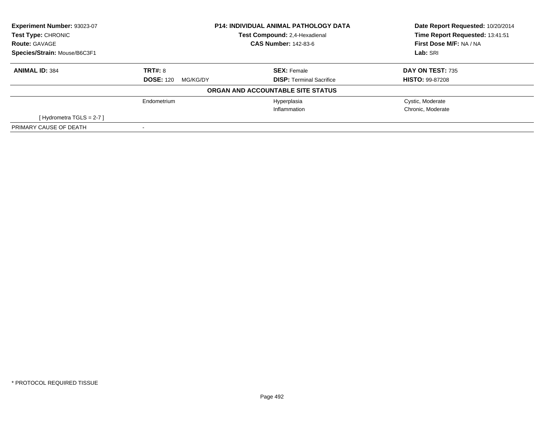| Experiment Number: 93023-07  | <b>P14: INDIVIDUAL ANIMAL PATHOLOGY DATA</b> |                                   | Date Report Requested: 10/20/2014 |
|------------------------------|----------------------------------------------|-----------------------------------|-----------------------------------|
| Test Type: CHRONIC           |                                              | Test Compound: 2,4-Hexadienal     | Time Report Requested: 13:41:51   |
| <b>Route: GAVAGE</b>         | <b>CAS Number: 142-83-6</b>                  |                                   | First Dose M/F: NA / NA           |
| Species/Strain: Mouse/B6C3F1 |                                              |                                   | Lab: SRI                          |
| <b>ANIMAL ID: 384</b>        | <b>TRT#: 8</b>                               | <b>SEX: Female</b>                | <b>DAY ON TEST: 735</b>           |
|                              | <b>DOSE: 120</b><br>MG/KG/DY                 | <b>DISP:</b> Terminal Sacrifice   | <b>HISTO: 99-87208</b>            |
|                              |                                              | ORGAN AND ACCOUNTABLE SITE STATUS |                                   |
|                              | Endometrium                                  | Hyperplasia                       | Cystic, Moderate                  |
|                              |                                              | Inflammation                      | Chronic, Moderate                 |
| [Hydrometra TGLS = $2-7$ ]   |                                              |                                   |                                   |
| PRIMARY CAUSE OF DEATH       |                                              |                                   |                                   |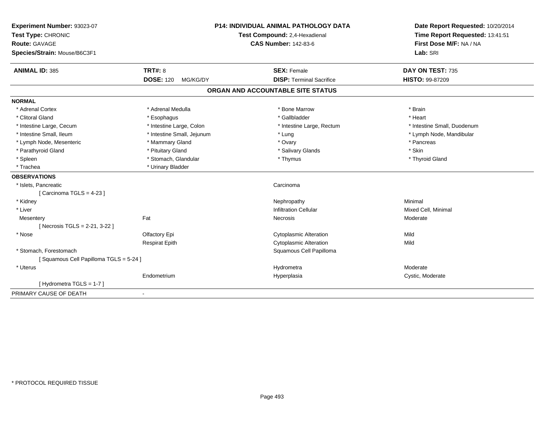| Experiment Number: 93023-07<br>Test Type: CHRONIC<br><b>Route: GAVAGE</b><br>Species/Strain: Mouse/B6C3F1 |                              | <b>P14: INDIVIDUAL ANIMAL PATHOLOGY DATA</b><br>Test Compound: 2,4-Hexadienal<br><b>CAS Number: 142-83-6</b> | Date Report Requested: 10/20/2014<br>Time Report Requested: 13:41:51<br>First Dose M/F: NA / NA<br>Lab: SRI |
|-----------------------------------------------------------------------------------------------------------|------------------------------|--------------------------------------------------------------------------------------------------------------|-------------------------------------------------------------------------------------------------------------|
| <b>ANIMAL ID: 385</b>                                                                                     | <b>TRT#: 8</b>               | <b>SEX: Female</b>                                                                                           | DAY ON TEST: 735                                                                                            |
|                                                                                                           | <b>DOSE: 120</b><br>MG/KG/DY | <b>DISP: Terminal Sacrifice</b>                                                                              | <b>HISTO: 99-87209</b>                                                                                      |
|                                                                                                           |                              | ORGAN AND ACCOUNTABLE SITE STATUS                                                                            |                                                                                                             |
| <b>NORMAL</b>                                                                                             |                              |                                                                                                              |                                                                                                             |
| * Adrenal Cortex                                                                                          | * Adrenal Medulla            | * Bone Marrow                                                                                                | * Brain                                                                                                     |
| * Clitoral Gland                                                                                          | * Esophagus                  | * Gallbladder                                                                                                | * Heart                                                                                                     |
| * Intestine Large, Cecum                                                                                  | * Intestine Large, Colon     | * Intestine Large, Rectum                                                                                    | * Intestine Small, Duodenum                                                                                 |
| * Intestine Small, Ileum                                                                                  | * Intestine Small, Jejunum   | * Lung                                                                                                       | * Lymph Node, Mandibular                                                                                    |
| * Lymph Node, Mesenteric                                                                                  | * Mammary Gland              | * Ovary                                                                                                      | * Pancreas                                                                                                  |
| * Parathyroid Gland                                                                                       | * Pituitary Gland            | * Salivary Glands                                                                                            | * Skin                                                                                                      |
| * Spleen                                                                                                  | * Stomach, Glandular         | * Thymus                                                                                                     | * Thyroid Gland                                                                                             |
| * Trachea                                                                                                 | * Urinary Bladder            |                                                                                                              |                                                                                                             |
| <b>OBSERVATIONS</b>                                                                                       |                              |                                                                                                              |                                                                                                             |
| * Islets, Pancreatic                                                                                      |                              | Carcinoma                                                                                                    |                                                                                                             |
| [Carcinoma TGLS = 4-23]                                                                                   |                              |                                                                                                              |                                                                                                             |
| * Kidney                                                                                                  |                              | Nephropathy                                                                                                  | Minimal                                                                                                     |
| * Liver                                                                                                   |                              | <b>Infiltration Cellular</b>                                                                                 | Mixed Cell, Minimal                                                                                         |
| Mesentery                                                                                                 | Fat                          | Necrosis                                                                                                     | Moderate                                                                                                    |
| [Necrosis TGLS = 2-21, 3-22]                                                                              |                              |                                                                                                              |                                                                                                             |
| * Nose                                                                                                    | Olfactory Epi                | <b>Cytoplasmic Alteration</b>                                                                                | Mild                                                                                                        |
|                                                                                                           | <b>Respirat Epith</b>        | <b>Cytoplasmic Alteration</b>                                                                                | Mild                                                                                                        |
| * Stomach, Forestomach                                                                                    |                              | Squamous Cell Papilloma                                                                                      |                                                                                                             |
| [Squamous Cell Papilloma TGLS = 5-24]                                                                     |                              |                                                                                                              |                                                                                                             |
| * Uterus                                                                                                  |                              | Hydrometra                                                                                                   | Moderate                                                                                                    |
|                                                                                                           | Endometrium                  | Hyperplasia                                                                                                  | Cystic, Moderate                                                                                            |
| [Hydrometra TGLS = 1-7]                                                                                   |                              |                                                                                                              |                                                                                                             |
| PRIMARY CAUSE OF DEATH                                                                                    | $\sim$                       |                                                                                                              |                                                                                                             |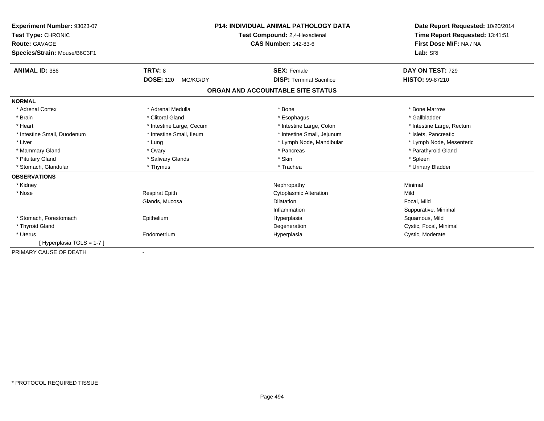| Experiment Number: 93023-07<br>Test Type: CHRONIC<br><b>Route: GAVAGE</b> |                              | <b>P14: INDIVIDUAL ANIMAL PATHOLOGY DATA</b><br>Test Compound: 2,4-Hexadienal<br><b>CAS Number: 142-83-6</b> | Date Report Requested: 10/20/2014<br>Time Report Requested: 13:41:51<br>First Dose M/F: NA / NA |
|---------------------------------------------------------------------------|------------------------------|--------------------------------------------------------------------------------------------------------------|-------------------------------------------------------------------------------------------------|
| Species/Strain: Mouse/B6C3F1                                              |                              |                                                                                                              | Lab: SRI                                                                                        |
| <b>ANIMAL ID: 386</b>                                                     | TRT#: 8                      | <b>SEX: Female</b>                                                                                           | DAY ON TEST: 729                                                                                |
|                                                                           | <b>DOSE: 120</b><br>MG/KG/DY | <b>DISP: Terminal Sacrifice</b>                                                                              | HISTO: 99-87210                                                                                 |
|                                                                           |                              | ORGAN AND ACCOUNTABLE SITE STATUS                                                                            |                                                                                                 |
| <b>NORMAL</b>                                                             |                              |                                                                                                              |                                                                                                 |
| * Adrenal Cortex                                                          | * Adrenal Medulla            | * Bone                                                                                                       | * Bone Marrow                                                                                   |
| * Brain                                                                   | * Clitoral Gland             | * Esophagus                                                                                                  | * Gallbladder                                                                                   |
| * Heart                                                                   | * Intestine Large, Cecum     | * Intestine Large, Colon                                                                                     | * Intestine Large, Rectum                                                                       |
| * Intestine Small, Duodenum                                               | * Intestine Small, Ileum     | * Intestine Small, Jejunum                                                                                   | * Islets. Pancreatic                                                                            |
| * Liver                                                                   | * Lung                       | * Lymph Node, Mandibular                                                                                     | * Lymph Node, Mesenteric                                                                        |
| * Mammary Gland                                                           | * Ovary                      | * Pancreas                                                                                                   | * Parathyroid Gland                                                                             |
| * Pituitary Gland                                                         | * Salivary Glands            | * Skin                                                                                                       | * Spleen                                                                                        |
| * Stomach, Glandular                                                      | * Thymus                     | * Trachea                                                                                                    | * Urinary Bladder                                                                               |
| <b>OBSERVATIONS</b>                                                       |                              |                                                                                                              |                                                                                                 |
| * Kidney                                                                  |                              | Nephropathy                                                                                                  | Minimal                                                                                         |
| * Nose                                                                    | <b>Respirat Epith</b>        | <b>Cytoplasmic Alteration</b>                                                                                | Mild                                                                                            |
|                                                                           | Glands, Mucosa               | <b>Dilatation</b>                                                                                            | Focal, Mild                                                                                     |
|                                                                           |                              | Inflammation                                                                                                 | Suppurative, Minimal                                                                            |
| * Stomach, Forestomach                                                    | Epithelium                   | Hyperplasia                                                                                                  | Squamous, Mild                                                                                  |
| * Thyroid Gland                                                           |                              | Degeneration                                                                                                 | Cystic, Focal, Minimal                                                                          |
| * Uterus                                                                  | Endometrium                  | Hyperplasia                                                                                                  | Cystic, Moderate                                                                                |
| [Hyperplasia TGLS = 1-7]                                                  |                              |                                                                                                              |                                                                                                 |
| PRIMARY CAUSE OF DEATH                                                    |                              |                                                                                                              |                                                                                                 |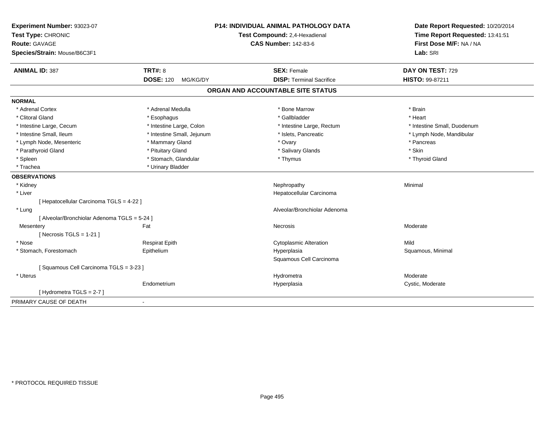| Experiment Number: 93023-07<br>Test Type: CHRONIC<br><b>Route: GAVAGE</b><br>Species/Strain: Mouse/B6C3F1 |                              | <b>P14: INDIVIDUAL ANIMAL PATHOLOGY DATA</b><br>Test Compound: 2,4-Hexadienal<br><b>CAS Number: 142-83-6</b> | Date Report Requested: 10/20/2014<br>Time Report Requested: 13:41:51<br>First Dose M/F: NA / NA<br>Lab: SRI |
|-----------------------------------------------------------------------------------------------------------|------------------------------|--------------------------------------------------------------------------------------------------------------|-------------------------------------------------------------------------------------------------------------|
| <b>ANIMAL ID: 387</b>                                                                                     | <b>TRT#: 8</b>               | <b>SEX: Female</b>                                                                                           | DAY ON TEST: 729                                                                                            |
|                                                                                                           | <b>DOSE: 120</b><br>MG/KG/DY | <b>DISP: Terminal Sacrifice</b>                                                                              | HISTO: 99-87211                                                                                             |
|                                                                                                           |                              | ORGAN AND ACCOUNTABLE SITE STATUS                                                                            |                                                                                                             |
| <b>NORMAL</b>                                                                                             |                              |                                                                                                              |                                                                                                             |
| * Adrenal Cortex                                                                                          | * Adrenal Medulla            | * Bone Marrow                                                                                                | * Brain                                                                                                     |
| * Clitoral Gland                                                                                          | * Esophagus                  | * Gallbladder                                                                                                | * Heart                                                                                                     |
| * Intestine Large, Cecum                                                                                  | * Intestine Large, Colon     | * Intestine Large, Rectum                                                                                    | * Intestine Small, Duodenum                                                                                 |
| * Intestine Small. Ileum                                                                                  | * Intestine Small, Jejunum   | * Islets, Pancreatic                                                                                         | * Lymph Node, Mandibular                                                                                    |
| * Lymph Node, Mesenteric                                                                                  | * Mammary Gland              | * Ovary                                                                                                      | * Pancreas                                                                                                  |
| * Parathyroid Gland                                                                                       | * Pituitary Gland            | * Salivary Glands                                                                                            | * Skin                                                                                                      |
| * Spleen                                                                                                  | * Stomach, Glandular         | * Thymus                                                                                                     | * Thyroid Gland                                                                                             |
| * Trachea                                                                                                 | * Urinary Bladder            |                                                                                                              |                                                                                                             |
| <b>OBSERVATIONS</b>                                                                                       |                              |                                                                                                              |                                                                                                             |
| * Kidney                                                                                                  |                              | Nephropathy                                                                                                  | Minimal                                                                                                     |
| * Liver                                                                                                   |                              | Hepatocellular Carcinoma                                                                                     |                                                                                                             |
| [ Hepatocellular Carcinoma TGLS = 4-22 ]                                                                  |                              |                                                                                                              |                                                                                                             |
| * Lung                                                                                                    |                              | Alveolar/Bronchiolar Adenoma                                                                                 |                                                                                                             |
| [ Alveolar/Bronchiolar Adenoma TGLS = 5-24 ]                                                              |                              |                                                                                                              |                                                                                                             |
| Mesentery                                                                                                 | Fat                          | <b>Necrosis</b>                                                                                              | Moderate                                                                                                    |
| [Necrosis $TGLS = 1-21$ ]                                                                                 |                              |                                                                                                              |                                                                                                             |
| * Nose                                                                                                    | <b>Respirat Epith</b>        | <b>Cytoplasmic Alteration</b>                                                                                | Mild                                                                                                        |
| * Stomach, Forestomach                                                                                    | Epithelium                   | Hyperplasia                                                                                                  | Squamous, Minimal                                                                                           |
|                                                                                                           |                              | Squamous Cell Carcinoma                                                                                      |                                                                                                             |
| [Squamous Cell Carcinoma TGLS = 3-23]                                                                     |                              |                                                                                                              |                                                                                                             |
| * Uterus                                                                                                  |                              | Hydrometra                                                                                                   | Moderate                                                                                                    |
|                                                                                                           | Endometrium                  | Hyperplasia                                                                                                  | Cystic, Moderate                                                                                            |
| [ Hydrometra TGLS = 2-7 ]                                                                                 |                              |                                                                                                              |                                                                                                             |
| PRIMARY CAUSE OF DEATH                                                                                    | $\blacksquare$               |                                                                                                              |                                                                                                             |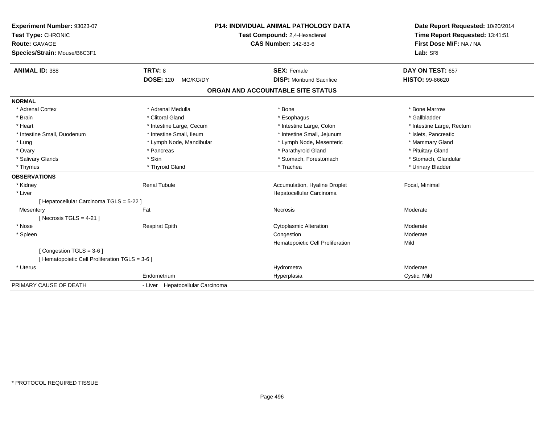| Experiment Number: 93023-07<br>Test Type: CHRONIC<br>Route: GAVAGE<br>Species/Strain: Mouse/B6C3F1 |                                  | P14: INDIVIDUAL ANIMAL PATHOLOGY DATA<br>Test Compound: 2,4-Hexadienal<br><b>CAS Number: 142-83-6</b> | Date Report Requested: 10/20/2014<br>Time Report Requested: 13:41:51<br>First Dose M/F: NA / NA<br>Lab: SRI |
|----------------------------------------------------------------------------------------------------|----------------------------------|-------------------------------------------------------------------------------------------------------|-------------------------------------------------------------------------------------------------------------|
| <b>ANIMAL ID: 388</b>                                                                              | <b>TRT#: 8</b>                   | <b>SEX: Female</b>                                                                                    | DAY ON TEST: 657                                                                                            |
|                                                                                                    | <b>DOSE: 120</b><br>MG/KG/DY     | <b>DISP:</b> Moribund Sacrifice                                                                       | HISTO: 99-86620                                                                                             |
|                                                                                                    |                                  | ORGAN AND ACCOUNTABLE SITE STATUS                                                                     |                                                                                                             |
| <b>NORMAL</b>                                                                                      |                                  |                                                                                                       |                                                                                                             |
| * Adrenal Cortex                                                                                   | * Adrenal Medulla                | * Bone                                                                                                | * Bone Marrow                                                                                               |
| * Brain                                                                                            | * Clitoral Gland                 | * Esophagus                                                                                           | * Gallbladder                                                                                               |
| * Heart                                                                                            | * Intestine Large, Cecum         | * Intestine Large, Colon                                                                              | * Intestine Large, Rectum                                                                                   |
| * Intestine Small, Duodenum                                                                        | * Intestine Small, Ileum         | * Intestine Small, Jejunum                                                                            | * Islets, Pancreatic                                                                                        |
| * Lung                                                                                             | * Lymph Node, Mandibular         | * Lymph Node, Mesenteric                                                                              | * Mammary Gland                                                                                             |
| * Ovary                                                                                            | * Pancreas                       | * Parathyroid Gland                                                                                   | * Pituitary Gland                                                                                           |
| * Salivary Glands                                                                                  | * Skin                           | * Stomach, Forestomach                                                                                | * Stomach, Glandular                                                                                        |
| * Thymus                                                                                           | * Thyroid Gland                  | * Trachea                                                                                             | * Urinary Bladder                                                                                           |
| <b>OBSERVATIONS</b>                                                                                |                                  |                                                                                                       |                                                                                                             |
| * Kidney                                                                                           | <b>Renal Tubule</b>              | Accumulation, Hyaline Droplet                                                                         | Focal, Minimal                                                                                              |
| * Liver                                                                                            |                                  | Hepatocellular Carcinoma                                                                              |                                                                                                             |
| [ Hepatocellular Carcinoma TGLS = 5-22 ]                                                           |                                  |                                                                                                       |                                                                                                             |
| Mesentery                                                                                          | Fat                              | Necrosis                                                                                              | Moderate                                                                                                    |
| [ Necrosis TGLS = $4-21$ ]                                                                         |                                  |                                                                                                       |                                                                                                             |
| * Nose                                                                                             | <b>Respirat Epith</b>            | <b>Cytoplasmic Alteration</b>                                                                         | Moderate                                                                                                    |
| * Spleen                                                                                           |                                  | Congestion                                                                                            | Moderate                                                                                                    |
|                                                                                                    |                                  | Hematopoietic Cell Proliferation                                                                      | Mild                                                                                                        |
| [Congestion TGLS = 3-6]                                                                            |                                  |                                                                                                       |                                                                                                             |
| [ Hematopoietic Cell Proliferation TGLS = 3-6 ]                                                    |                                  |                                                                                                       |                                                                                                             |
| * Uterus                                                                                           |                                  | Hydrometra                                                                                            | Moderate                                                                                                    |
|                                                                                                    | Endometrium                      | Hyperplasia                                                                                           | Cystic, Mild                                                                                                |
| PRIMARY CAUSE OF DEATH                                                                             | - Liver Hepatocellular Carcinoma |                                                                                                       |                                                                                                             |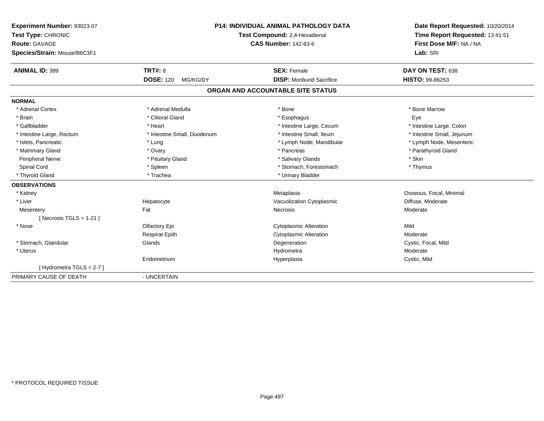| Experiment Number: 93023-07  | P14: INDIVIDUAL ANIMAL PATHOLOGY DATA<br>Test Compound: 2,4-Hexadienal |                                   | Date Report Requested: 10/20/2014<br>Time Report Requested: 13:41:51 |
|------------------------------|------------------------------------------------------------------------|-----------------------------------|----------------------------------------------------------------------|
| Test Type: CHRONIC           |                                                                        |                                   |                                                                      |
| <b>Route: GAVAGE</b>         |                                                                        | <b>CAS Number: 142-83-6</b>       | First Dose M/F: NA / NA                                              |
| Species/Strain: Mouse/B6C3F1 |                                                                        |                                   | Lab: SRI                                                             |
| <b>ANIMAL ID: 389</b>        | TRT#: 8                                                                | <b>SEX: Female</b>                | DAY ON TEST: 638                                                     |
|                              | <b>DOSE: 120</b><br>MG/KG/DY                                           | <b>DISP:</b> Moribund Sacrifice   | <b>HISTO: 99-86253</b>                                               |
|                              |                                                                        | ORGAN AND ACCOUNTABLE SITE STATUS |                                                                      |
| <b>NORMAL</b>                |                                                                        |                                   |                                                                      |
| * Adrenal Cortex             | * Adrenal Medulla                                                      | * Bone                            | * Bone Marrow                                                        |
| * Brain                      | * Clitoral Gland                                                       | * Esophagus                       | Eye                                                                  |
| * Gallbladder                | * Heart                                                                | * Intestine Large, Cecum          | * Intestine Large, Colon                                             |
| * Intestine Large, Rectum    | * Intestine Small, Duodenum                                            | * Intestine Small, Ileum          | * Intestine Small, Jejunum                                           |
| * Islets, Pancreatic         | * Lung                                                                 | * Lymph Node, Mandibular          | * Lymph Node, Mesenteric                                             |
| * Mammary Gland              | * Ovary                                                                | * Pancreas                        | * Parathyroid Gland                                                  |
| <b>Peripheral Nerve</b>      | * Pituitary Gland                                                      | * Salivary Glands                 | * Skin                                                               |
| Spinal Cord                  | * Spleen                                                               | * Stomach, Forestomach            | * Thymus                                                             |
| * Thyroid Gland              | * Trachea                                                              | * Urinary Bladder                 |                                                                      |
| <b>OBSERVATIONS</b>          |                                                                        |                                   |                                                                      |
| * Kidney                     |                                                                        | Metaplasia                        | Osseous, Focal, Minimal                                              |
| * Liver                      | Hepatocyte                                                             | Vacuolization Cytoplasmic         | Diffuse, Moderate                                                    |
| Mesentery                    | Fat                                                                    | Necrosis                          | Moderate                                                             |
| [Necrosis TGLS = $1-21$ ]    |                                                                        |                                   |                                                                      |
| * Nose                       | Olfactory Epi                                                          | <b>Cytoplasmic Alteration</b>     | Mild                                                                 |
|                              | <b>Respirat Epith</b>                                                  | <b>Cytoplasmic Alteration</b>     | Moderate                                                             |
| * Stomach, Glandular         | Glands                                                                 | Degeneration                      | Cystic, Focal, Mild                                                  |
| * Uterus                     |                                                                        | Hydrometra                        | Moderate                                                             |
|                              | Endometrium                                                            | Hyperplasia                       | Cystic, Mild                                                         |
| [Hydrometra TGLS = $2-7$ ]   |                                                                        |                                   |                                                                      |
| PRIMARY CAUSE OF DEATH       | - UNCERTAIN                                                            |                                   |                                                                      |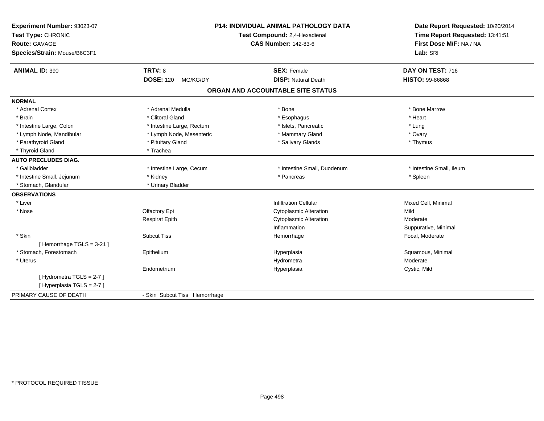| Experiment Number: 93023-07<br>Test Type: CHRONIC<br><b>Route: GAVAGE</b><br>Species/Strain: Mouse/B6C3F1 |                               | <b>P14: INDIVIDUAL ANIMAL PATHOLOGY DATA</b><br>Test Compound: 2,4-Hexadienal<br><b>CAS Number: 142-83-6</b> | Date Report Requested: 10/20/2014<br>Time Report Requested: 13:41:51<br>First Dose M/F: NA / NA<br>Lab: SRI |
|-----------------------------------------------------------------------------------------------------------|-------------------------------|--------------------------------------------------------------------------------------------------------------|-------------------------------------------------------------------------------------------------------------|
| <b>ANIMAL ID: 390</b>                                                                                     | <b>TRT#: 8</b>                | <b>SEX: Female</b>                                                                                           | DAY ON TEST: 716                                                                                            |
|                                                                                                           | <b>DOSE: 120</b><br>MG/KG/DY  | <b>DISP: Natural Death</b>                                                                                   | <b>HISTO: 99-86868</b>                                                                                      |
|                                                                                                           |                               | ORGAN AND ACCOUNTABLE SITE STATUS                                                                            |                                                                                                             |
| <b>NORMAL</b>                                                                                             |                               |                                                                                                              |                                                                                                             |
| * Adrenal Cortex                                                                                          | * Adrenal Medulla             | * Bone                                                                                                       | * Bone Marrow                                                                                               |
| * Brain                                                                                                   | * Clitoral Gland              | * Esophagus                                                                                                  | * Heart                                                                                                     |
| * Intestine Large, Colon                                                                                  | * Intestine Large, Rectum     | * Islets, Pancreatic                                                                                         | * Lung                                                                                                      |
| * Lymph Node, Mandibular                                                                                  | * Lymph Node, Mesenteric      | * Mammary Gland                                                                                              | * Ovary                                                                                                     |
| * Parathyroid Gland                                                                                       | * Pituitary Gland             | * Salivary Glands                                                                                            | * Thymus                                                                                                    |
| * Thyroid Gland                                                                                           | * Trachea                     |                                                                                                              |                                                                                                             |
| <b>AUTO PRECLUDES DIAG.</b>                                                                               |                               |                                                                                                              |                                                                                                             |
| * Gallbladder                                                                                             | * Intestine Large, Cecum      | * Intestine Small, Duodenum                                                                                  | * Intestine Small, Ileum                                                                                    |
| * Intestine Small, Jejunum                                                                                | * Kidney                      | * Pancreas                                                                                                   | * Spleen                                                                                                    |
| * Stomach, Glandular                                                                                      | * Urinary Bladder             |                                                                                                              |                                                                                                             |
| <b>OBSERVATIONS</b>                                                                                       |                               |                                                                                                              |                                                                                                             |
| * Liver                                                                                                   |                               | <b>Infiltration Cellular</b>                                                                                 | Mixed Cell, Minimal                                                                                         |
| * Nose                                                                                                    | Olfactory Epi                 | <b>Cytoplasmic Alteration</b>                                                                                | Mild                                                                                                        |
|                                                                                                           | <b>Respirat Epith</b>         | <b>Cytoplasmic Alteration</b>                                                                                | Moderate                                                                                                    |
|                                                                                                           |                               | Inflammation                                                                                                 | Suppurative, Minimal                                                                                        |
| * Skin                                                                                                    | <b>Subcut Tiss</b>            | Hemorrhage                                                                                                   | Focal, Moderate                                                                                             |
| [Hemorrhage TGLS = $3-21$ ]                                                                               |                               |                                                                                                              |                                                                                                             |
| * Stomach, Forestomach                                                                                    | Epithelium                    | Hyperplasia                                                                                                  | Squamous, Minimal                                                                                           |
| * Uterus                                                                                                  |                               | Hydrometra                                                                                                   | Moderate                                                                                                    |
|                                                                                                           | Endometrium                   | Hyperplasia                                                                                                  | Cystic, Mild                                                                                                |
| [Hydrometra TGLS = 2-7]                                                                                   |                               |                                                                                                              |                                                                                                             |
| [Hyperplasia TGLS = 2-7]                                                                                  |                               |                                                                                                              |                                                                                                             |
| PRIMARY CAUSE OF DEATH                                                                                    | - Skin Subcut Tiss Hemorrhage |                                                                                                              |                                                                                                             |
|                                                                                                           |                               |                                                                                                              |                                                                                                             |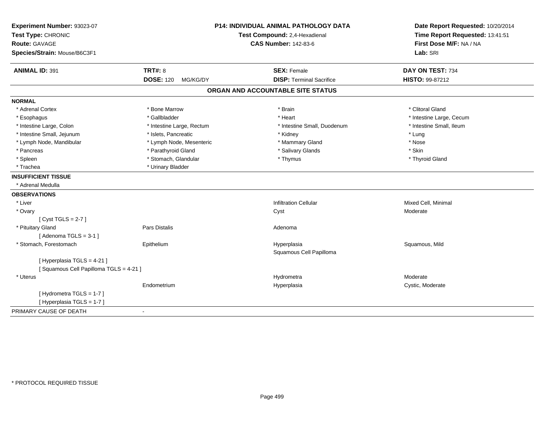| Route: GAVAGE<br><b>CAS Number: 142-83-6</b><br>Species/Strain: Mouse/B6C3F1<br><b>TRT#: 8</b><br><b>ANIMAL ID: 391</b><br><b>SEX: Female</b><br><b>DOSE: 120</b><br><b>DISP: Terminal Sacrifice</b><br>MG/KG/DY<br>ORGAN AND ACCOUNTABLE SITE STATUS<br><b>NORMAL</b><br>* Adrenal Cortex<br>* Bone Marrow<br>* Brain<br>* Gallbladder<br>* Heart<br>* Esophagus<br>* Intestine Small, Duodenum<br>* Intestine Large, Colon<br>* Intestine Large, Rectum<br>* Intestine Small, Jejunum<br>* Islets, Pancreatic<br>* Kidney<br>* Lymph Node, Mandibular<br>* Lymph Node, Mesenteric<br>* Mammary Gland<br>* Parathyroid Gland<br>* Salivary Glands<br>* Pancreas<br>* Stomach, Glandular<br>* Spleen<br>* Thymus<br>* Urinary Bladder<br>* Trachea<br><b>INSUFFICIENT TISSUE</b><br>* Adrenal Medulla<br><b>OBSERVATIONS</b><br>* Liver<br><b>Infiltration Cellular</b><br>* Ovary<br>Cyst<br>[Cyst TGLS = $2-7$ ] | First Dose M/F: NA / NA<br>Lab: SRI<br>DAY ON TEST: 734<br><b>HISTO: 99-87212</b><br>* Clitoral Gland<br>* Intestine Large, Cecum<br>* Intestine Small, Ileum<br>* Lung<br>* Nose<br>* Skin<br>* Thyroid Gland |
|--------------------------------------------------------------------------------------------------------------------------------------------------------------------------------------------------------------------------------------------------------------------------------------------------------------------------------------------------------------------------------------------------------------------------------------------------------------------------------------------------------------------------------------------------------------------------------------------------------------------------------------------------------------------------------------------------------------------------------------------------------------------------------------------------------------------------------------------------------------------------------------------------------------------|----------------------------------------------------------------------------------------------------------------------------------------------------------------------------------------------------------------|
|                                                                                                                                                                                                                                                                                                                                                                                                                                                                                                                                                                                                                                                                                                                                                                                                                                                                                                                    |                                                                                                                                                                                                                |
|                                                                                                                                                                                                                                                                                                                                                                                                                                                                                                                                                                                                                                                                                                                                                                                                                                                                                                                    |                                                                                                                                                                                                                |
|                                                                                                                                                                                                                                                                                                                                                                                                                                                                                                                                                                                                                                                                                                                                                                                                                                                                                                                    |                                                                                                                                                                                                                |
|                                                                                                                                                                                                                                                                                                                                                                                                                                                                                                                                                                                                                                                                                                                                                                                                                                                                                                                    |                                                                                                                                                                                                                |
|                                                                                                                                                                                                                                                                                                                                                                                                                                                                                                                                                                                                                                                                                                                                                                                                                                                                                                                    |                                                                                                                                                                                                                |
|                                                                                                                                                                                                                                                                                                                                                                                                                                                                                                                                                                                                                                                                                                                                                                                                                                                                                                                    |                                                                                                                                                                                                                |
|                                                                                                                                                                                                                                                                                                                                                                                                                                                                                                                                                                                                                                                                                                                                                                                                                                                                                                                    |                                                                                                                                                                                                                |
|                                                                                                                                                                                                                                                                                                                                                                                                                                                                                                                                                                                                                                                                                                                                                                                                                                                                                                                    |                                                                                                                                                                                                                |
|                                                                                                                                                                                                                                                                                                                                                                                                                                                                                                                                                                                                                                                                                                                                                                                                                                                                                                                    |                                                                                                                                                                                                                |
|                                                                                                                                                                                                                                                                                                                                                                                                                                                                                                                                                                                                                                                                                                                                                                                                                                                                                                                    |                                                                                                                                                                                                                |
|                                                                                                                                                                                                                                                                                                                                                                                                                                                                                                                                                                                                                                                                                                                                                                                                                                                                                                                    |                                                                                                                                                                                                                |
|                                                                                                                                                                                                                                                                                                                                                                                                                                                                                                                                                                                                                                                                                                                                                                                                                                                                                                                    |                                                                                                                                                                                                                |
|                                                                                                                                                                                                                                                                                                                                                                                                                                                                                                                                                                                                                                                                                                                                                                                                                                                                                                                    |                                                                                                                                                                                                                |
|                                                                                                                                                                                                                                                                                                                                                                                                                                                                                                                                                                                                                                                                                                                                                                                                                                                                                                                    |                                                                                                                                                                                                                |
|                                                                                                                                                                                                                                                                                                                                                                                                                                                                                                                                                                                                                                                                                                                                                                                                                                                                                                                    |                                                                                                                                                                                                                |
|                                                                                                                                                                                                                                                                                                                                                                                                                                                                                                                                                                                                                                                                                                                                                                                                                                                                                                                    |                                                                                                                                                                                                                |
|                                                                                                                                                                                                                                                                                                                                                                                                                                                                                                                                                                                                                                                                                                                                                                                                                                                                                                                    |                                                                                                                                                                                                                |
|                                                                                                                                                                                                                                                                                                                                                                                                                                                                                                                                                                                                                                                                                                                                                                                                                                                                                                                    | Mixed Cell, Minimal                                                                                                                                                                                            |
|                                                                                                                                                                                                                                                                                                                                                                                                                                                                                                                                                                                                                                                                                                                                                                                                                                                                                                                    | Moderate                                                                                                                                                                                                       |
|                                                                                                                                                                                                                                                                                                                                                                                                                                                                                                                                                                                                                                                                                                                                                                                                                                                                                                                    |                                                                                                                                                                                                                |
| * Pituitary Gland<br>Pars Distalis<br>Adenoma                                                                                                                                                                                                                                                                                                                                                                                                                                                                                                                                                                                                                                                                                                                                                                                                                                                                      |                                                                                                                                                                                                                |
| [Adenoma TGLS = $3-1$ ]                                                                                                                                                                                                                                                                                                                                                                                                                                                                                                                                                                                                                                                                                                                                                                                                                                                                                            |                                                                                                                                                                                                                |
| * Stomach, Forestomach<br>Epithelium<br>Hyperplasia                                                                                                                                                                                                                                                                                                                                                                                                                                                                                                                                                                                                                                                                                                                                                                                                                                                                | Squamous, Mild                                                                                                                                                                                                 |
| Squamous Cell Papilloma                                                                                                                                                                                                                                                                                                                                                                                                                                                                                                                                                                                                                                                                                                                                                                                                                                                                                            |                                                                                                                                                                                                                |
| [Hyperplasia TGLS = 4-21]                                                                                                                                                                                                                                                                                                                                                                                                                                                                                                                                                                                                                                                                                                                                                                                                                                                                                          |                                                                                                                                                                                                                |
| [Squamous Cell Papilloma TGLS = 4-21]                                                                                                                                                                                                                                                                                                                                                                                                                                                                                                                                                                                                                                                                                                                                                                                                                                                                              |                                                                                                                                                                                                                |
| * Uterus<br>Hydrometra                                                                                                                                                                                                                                                                                                                                                                                                                                                                                                                                                                                                                                                                                                                                                                                                                                                                                             | Moderate                                                                                                                                                                                                       |
| Endometrium<br>Hyperplasia                                                                                                                                                                                                                                                                                                                                                                                                                                                                                                                                                                                                                                                                                                                                                                                                                                                                                         | Cystic, Moderate                                                                                                                                                                                               |
| [Hydrometra TGLS = 1-7]                                                                                                                                                                                                                                                                                                                                                                                                                                                                                                                                                                                                                                                                                                                                                                                                                                                                                            |                                                                                                                                                                                                                |
| [Hyperplasia TGLS = 1-7]                                                                                                                                                                                                                                                                                                                                                                                                                                                                                                                                                                                                                                                                                                                                                                                                                                                                                           |                                                                                                                                                                                                                |
| PRIMARY CAUSE OF DEATH<br>$\blacksquare$                                                                                                                                                                                                                                                                                                                                                                                                                                                                                                                                                                                                                                                                                                                                                                                                                                                                           |                                                                                                                                                                                                                |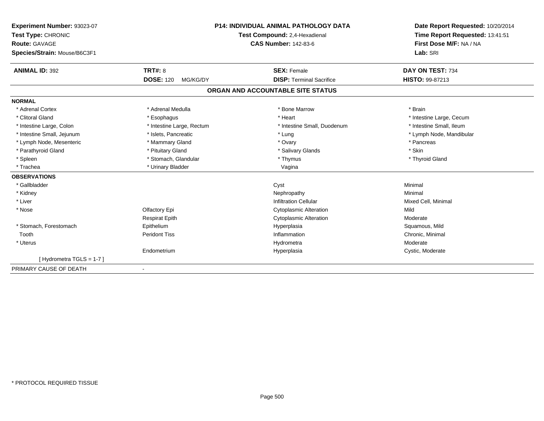| Experiment Number: 93023-07  |                               | <b>P14: INDIVIDUAL ANIMAL PATHOLOGY DATA</b> | Date Report Requested: 10/20/2014 |
|------------------------------|-------------------------------|----------------------------------------------|-----------------------------------|
| Test Type: CHRONIC           | Test Compound: 2,4-Hexadienal |                                              | Time Report Requested: 13:41:51   |
| <b>Route: GAVAGE</b>         |                               | <b>CAS Number: 142-83-6</b>                  | First Dose M/F: NA / NA           |
| Species/Strain: Mouse/B6C3F1 |                               |                                              | Lab: SRI                          |
| <b>ANIMAL ID: 392</b>        | <b>TRT#: 8</b>                | <b>SEX: Female</b>                           | DAY ON TEST: 734                  |
|                              | <b>DOSE: 120</b><br>MG/KG/DY  | <b>DISP: Terminal Sacrifice</b>              | <b>HISTO: 99-87213</b>            |
|                              |                               | ORGAN AND ACCOUNTABLE SITE STATUS            |                                   |
| <b>NORMAL</b>                |                               |                                              |                                   |
| * Adrenal Cortex             | * Adrenal Medulla             | * Bone Marrow                                | * Brain                           |
| * Clitoral Gland             | * Esophagus                   | * Heart                                      | * Intestine Large, Cecum          |
| * Intestine Large, Colon     | * Intestine Large, Rectum     | * Intestine Small, Duodenum                  | * Intestine Small, Ileum          |
| * Intestine Small, Jejunum   | * Islets, Pancreatic          | * Lung                                       | * Lymph Node, Mandibular          |
| * Lymph Node, Mesenteric     | * Mammary Gland               | * Ovary                                      | * Pancreas                        |
| * Parathyroid Gland          | * Pituitary Gland             | * Salivary Glands                            | * Skin                            |
| * Spleen                     | * Stomach, Glandular          | * Thymus                                     | * Thyroid Gland                   |
| * Trachea                    | * Urinary Bladder             | Vagina                                       |                                   |
| <b>OBSERVATIONS</b>          |                               |                                              |                                   |
| * Gallbladder                |                               | Cyst                                         | Minimal                           |
| * Kidney                     |                               | Nephropathy                                  | Minimal                           |
| * Liver                      |                               | <b>Infiltration Cellular</b>                 | Mixed Cell, Minimal               |
| * Nose                       | Olfactory Epi                 | <b>Cytoplasmic Alteration</b>                | Mild                              |
|                              | <b>Respirat Epith</b>         | <b>Cytoplasmic Alteration</b>                | Moderate                          |
| * Stomach, Forestomach       | Epithelium                    | Hyperplasia                                  | Squamous, Mild                    |
| Tooth                        | <b>Peridont Tiss</b>          | Inflammation                                 | Chronic, Minimal                  |
| * Uterus                     |                               | Hydrometra                                   | Moderate                          |
|                              | Endometrium                   | Hyperplasia                                  | Cystic, Moderate                  |
| [Hydrometra TGLS = 1-7]      |                               |                                              |                                   |
| PRIMARY CAUSE OF DEATH       |                               |                                              |                                   |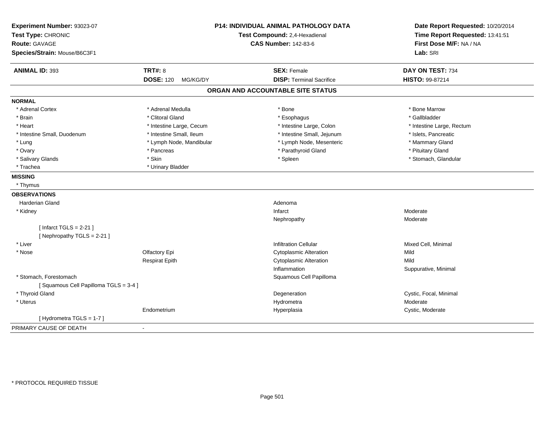| Experiment Number: 93023-07<br>Test Type: CHRONIC<br><b>Route: GAVAGE</b><br>Species/Strain: Mouse/B6C3F1 |                              | P14: INDIVIDUAL ANIMAL PATHOLOGY DATA<br>Test Compound: 2,4-Hexadienal<br><b>CAS Number: 142-83-6</b> | Date Report Requested: 10/20/2014<br>Time Report Requested: 13:41:51<br>First Dose M/F: NA / NA<br>Lab: SRI |
|-----------------------------------------------------------------------------------------------------------|------------------------------|-------------------------------------------------------------------------------------------------------|-------------------------------------------------------------------------------------------------------------|
| <b>ANIMAL ID: 393</b>                                                                                     | <b>TRT#: 8</b>               | <b>SEX: Female</b>                                                                                    | DAY ON TEST: 734                                                                                            |
|                                                                                                           | <b>DOSE: 120</b><br>MG/KG/DY | <b>DISP: Terminal Sacrifice</b>                                                                       | HISTO: 99-87214                                                                                             |
|                                                                                                           |                              | ORGAN AND ACCOUNTABLE SITE STATUS                                                                     |                                                                                                             |
| <b>NORMAL</b>                                                                                             |                              |                                                                                                       |                                                                                                             |
| * Adrenal Cortex                                                                                          | * Adrenal Medulla            | * Bone                                                                                                | * Bone Marrow                                                                                               |
| * Brain                                                                                                   | * Clitoral Gland             | * Esophagus                                                                                           | * Gallbladder                                                                                               |
| * Heart                                                                                                   | * Intestine Large, Cecum     | * Intestine Large, Colon                                                                              | * Intestine Large, Rectum                                                                                   |
| * Intestine Small, Duodenum                                                                               | * Intestine Small, Ileum     | * Intestine Small, Jejunum                                                                            | * Islets, Pancreatic                                                                                        |
| * Lung                                                                                                    | * Lymph Node, Mandibular     | * Lymph Node, Mesenteric                                                                              | * Mammary Gland                                                                                             |
| * Ovary                                                                                                   | * Pancreas                   | * Parathyroid Gland                                                                                   | * Pituitary Gland                                                                                           |
| * Salivary Glands                                                                                         | * Skin                       | * Spleen                                                                                              | * Stomach, Glandular                                                                                        |
| * Trachea                                                                                                 | * Urinary Bladder            |                                                                                                       |                                                                                                             |
| <b>MISSING</b>                                                                                            |                              |                                                                                                       |                                                                                                             |
| * Thymus                                                                                                  |                              |                                                                                                       |                                                                                                             |
| <b>OBSERVATIONS</b>                                                                                       |                              |                                                                                                       |                                                                                                             |
| <b>Harderian Gland</b>                                                                                    |                              | Adenoma                                                                                               |                                                                                                             |
| * Kidney                                                                                                  |                              | Infarct                                                                                               | Moderate                                                                                                    |
|                                                                                                           |                              | Nephropathy                                                                                           | Moderate                                                                                                    |
| [ Infarct TGLS = $2-21$ ]                                                                                 |                              |                                                                                                       |                                                                                                             |
| [Nephropathy TGLS = 2-21]                                                                                 |                              |                                                                                                       |                                                                                                             |
| * Liver                                                                                                   |                              | <b>Infiltration Cellular</b>                                                                          | Mixed Cell, Minimal                                                                                         |
| * Nose                                                                                                    | Olfactory Epi                | <b>Cytoplasmic Alteration</b>                                                                         | Mild                                                                                                        |
|                                                                                                           | <b>Respirat Epith</b>        | <b>Cytoplasmic Alteration</b>                                                                         | Mild                                                                                                        |
|                                                                                                           |                              | Inflammation                                                                                          | Suppurative, Minimal                                                                                        |
| * Stomach, Forestomach                                                                                    |                              | Squamous Cell Papilloma                                                                               |                                                                                                             |
| [Squamous Cell Papilloma TGLS = 3-4]                                                                      |                              |                                                                                                       |                                                                                                             |
| * Thyroid Gland                                                                                           |                              | Degeneration                                                                                          | Cystic, Focal, Minimal                                                                                      |
| * Uterus                                                                                                  |                              | Hydrometra                                                                                            | Moderate                                                                                                    |
|                                                                                                           | Endometrium                  | Hyperplasia                                                                                           | Cystic, Moderate                                                                                            |
| [Hydrometra TGLS = 1-7]                                                                                   |                              |                                                                                                       |                                                                                                             |
| PRIMARY CAUSE OF DEATH                                                                                    | $\blacksquare$               |                                                                                                       |                                                                                                             |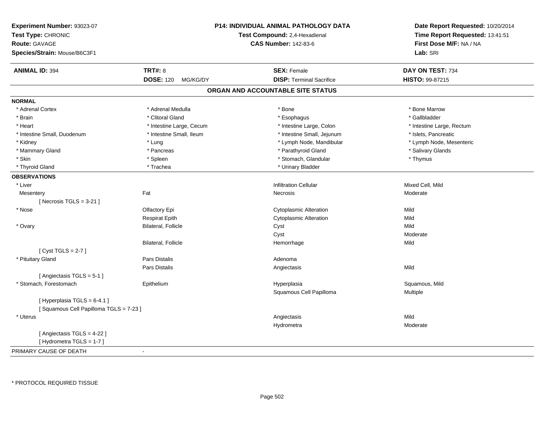| Experiment Number: 93023-07<br>Test Type: CHRONIC<br>Route: GAVAGE<br>Species/Strain: Mouse/B6C3F1 |                              | P14: INDIVIDUAL ANIMAL PATHOLOGY DATA<br>Test Compound: 2,4-Hexadienal<br><b>CAS Number: 142-83-6</b> | Date Report Requested: 10/20/2014<br>Time Report Requested: 13:41:51<br>First Dose M/F: NA / NA<br>Lab: SRI |
|----------------------------------------------------------------------------------------------------|------------------------------|-------------------------------------------------------------------------------------------------------|-------------------------------------------------------------------------------------------------------------|
| <b>ANIMAL ID: 394</b>                                                                              | <b>TRT#: 8</b>               | <b>SEX: Female</b>                                                                                    | DAY ON TEST: 734                                                                                            |
|                                                                                                    | <b>DOSE: 120</b><br>MG/KG/DY | <b>DISP: Terminal Sacrifice</b>                                                                       | <b>HISTO: 99-87215</b>                                                                                      |
|                                                                                                    |                              | ORGAN AND ACCOUNTABLE SITE STATUS                                                                     |                                                                                                             |
| <b>NORMAL</b>                                                                                      |                              |                                                                                                       |                                                                                                             |
| * Adrenal Cortex                                                                                   | * Adrenal Medulla            | * Bone                                                                                                | * Bone Marrow                                                                                               |
| * Brain                                                                                            | * Clitoral Gland             | * Esophagus                                                                                           | * Gallbladder                                                                                               |
| * Heart                                                                                            | * Intestine Large, Cecum     | * Intestine Large, Colon                                                                              | * Intestine Large, Rectum                                                                                   |
| * Intestine Small, Duodenum                                                                        | * Intestine Small, Ileum     | * Intestine Small, Jejunum                                                                            | * Islets, Pancreatic                                                                                        |
| * Kidney                                                                                           | * Lung                       | * Lymph Node, Mandibular                                                                              | * Lymph Node, Mesenteric                                                                                    |
| * Mammary Gland                                                                                    | * Pancreas                   | * Parathyroid Gland                                                                                   | * Salivary Glands                                                                                           |
| * Skin                                                                                             | * Spleen                     | * Stomach, Glandular                                                                                  | * Thymus                                                                                                    |
| * Thyroid Gland                                                                                    | * Trachea                    | * Urinary Bladder                                                                                     |                                                                                                             |
| <b>OBSERVATIONS</b>                                                                                |                              |                                                                                                       |                                                                                                             |
| * Liver                                                                                            |                              | <b>Infiltration Cellular</b>                                                                          | Mixed Cell, Mild                                                                                            |
| Mesentery                                                                                          | Fat                          | Necrosis                                                                                              | Moderate                                                                                                    |
| [Necrosis TGLS = $3-21$ ]                                                                          |                              |                                                                                                       |                                                                                                             |
| * Nose                                                                                             | Olfactory Epi                | <b>Cytoplasmic Alteration</b>                                                                         | Mild                                                                                                        |
|                                                                                                    | <b>Respirat Epith</b>        | <b>Cytoplasmic Alteration</b>                                                                         | Mild                                                                                                        |
| * Ovary                                                                                            | Bilateral, Follicle          | Cyst                                                                                                  | Mild                                                                                                        |
|                                                                                                    |                              | Cyst                                                                                                  | Moderate                                                                                                    |
|                                                                                                    | <b>Bilateral, Follicle</b>   | Hemorrhage                                                                                            | Mild                                                                                                        |
| [Cyst TGLS = $2-7$ ]                                                                               |                              |                                                                                                       |                                                                                                             |
| * Pituitary Gland                                                                                  | Pars Distalis                | Adenoma                                                                                               |                                                                                                             |
|                                                                                                    | <b>Pars Distalis</b>         | Angiectasis                                                                                           | Mild                                                                                                        |
| [Angiectasis TGLS = 5-1]                                                                           |                              |                                                                                                       |                                                                                                             |
| * Stomach, Forestomach                                                                             | Epithelium                   | Hyperplasia                                                                                           | Squamous, Mild                                                                                              |
|                                                                                                    |                              | Squamous Cell Papilloma                                                                               | Multiple                                                                                                    |
| [Hyperplasia TGLS = 6-4.1]                                                                         |                              |                                                                                                       |                                                                                                             |
| [Squamous Cell Papilloma TGLS = 7-23]                                                              |                              |                                                                                                       |                                                                                                             |
| * Uterus                                                                                           |                              | Angiectasis                                                                                           | Mild                                                                                                        |
|                                                                                                    |                              | Hydrometra                                                                                            | Moderate                                                                                                    |
| [ Angiectasis TGLS = 4-22 ]                                                                        |                              |                                                                                                       |                                                                                                             |
| [Hydrometra TGLS = 1-7]                                                                            |                              |                                                                                                       |                                                                                                             |
| PRIMARY CAUSE OF DEATH                                                                             |                              |                                                                                                       |                                                                                                             |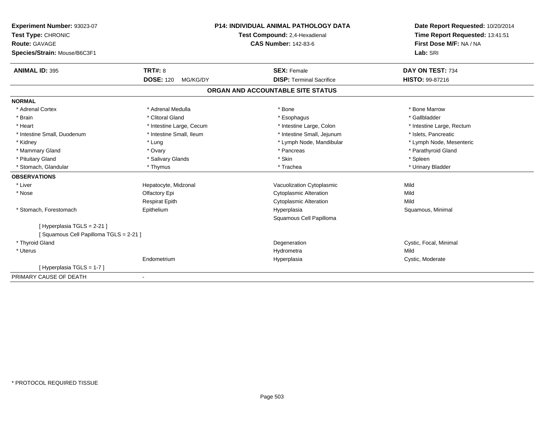| Experiment Number: 93023-07           |                               | <b>P14: INDIVIDUAL ANIMAL PATHOLOGY DATA</b> | Date Report Requested: 10/20/2014 |
|---------------------------------------|-------------------------------|----------------------------------------------|-----------------------------------|
| Test Type: CHRONIC                    | Test Compound: 2,4-Hexadienal |                                              | Time Report Requested: 13:41:51   |
| <b>Route: GAVAGE</b>                  |                               | <b>CAS Number: 142-83-6</b>                  | First Dose M/F: NA / NA           |
| Species/Strain: Mouse/B6C3F1          |                               |                                              | Lab: SRI                          |
| <b>ANIMAL ID: 395</b>                 | <b>TRT#: 8</b>                | <b>SEX: Female</b>                           | DAY ON TEST: 734                  |
|                                       | <b>DOSE: 120</b><br>MG/KG/DY  | <b>DISP: Terminal Sacrifice</b>              | <b>HISTO: 99-87216</b>            |
|                                       |                               | ORGAN AND ACCOUNTABLE SITE STATUS            |                                   |
| <b>NORMAL</b>                         |                               |                                              |                                   |
| * Adrenal Cortex                      | * Adrenal Medulla             | * Bone                                       | * Bone Marrow                     |
| * Brain                               | * Clitoral Gland              | * Esophagus                                  | * Gallbladder                     |
| * Heart                               | * Intestine Large, Cecum      | * Intestine Large, Colon                     | * Intestine Large, Rectum         |
| * Intestine Small, Duodenum           | * Intestine Small, Ileum      | * Intestine Small, Jejunum                   | * Islets, Pancreatic              |
| * Kidney                              | * Lung                        | * Lymph Node, Mandibular                     | * Lymph Node, Mesenteric          |
| * Mammary Gland                       | * Ovary                       | * Pancreas                                   | * Parathyroid Gland               |
| * Pituitary Gland                     | * Salivary Glands             | * Skin                                       | * Spleen                          |
| * Stomach, Glandular                  | * Thymus                      | * Trachea                                    | * Urinary Bladder                 |
| <b>OBSERVATIONS</b>                   |                               |                                              |                                   |
| * Liver                               | Hepatocyte, Midzonal          | Vacuolization Cytoplasmic                    | Mild                              |
| * Nose                                | Olfactory Epi                 | <b>Cytoplasmic Alteration</b>                | Mild                              |
|                                       | <b>Respirat Epith</b>         | <b>Cytoplasmic Alteration</b>                | Mild                              |
| * Stomach, Forestomach                | Epithelium                    | Hyperplasia                                  | Squamous, Minimal                 |
|                                       |                               | Squamous Cell Papilloma                      |                                   |
| [ Hyperplasia TGLS = 2-21 ]           |                               |                                              |                                   |
| [Squamous Cell Papilloma TGLS = 2-21] |                               |                                              |                                   |
| * Thyroid Gland                       |                               | Degeneration                                 | Cystic, Focal, Minimal            |
| * Uterus                              |                               | Hydrometra                                   | Mild                              |
|                                       | Endometrium                   | Hyperplasia                                  | Cystic, Moderate                  |
| [Hyperplasia TGLS = 1-7]              |                               |                                              |                                   |
| PRIMARY CAUSE OF DEATH                |                               |                                              |                                   |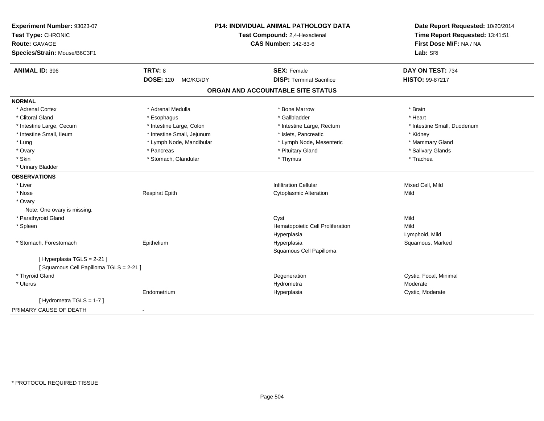| Experiment Number: 93023-07<br>Test Type: CHRONIC<br>Route: GAVAGE<br>Species/Strain: Mouse/B6C3F1 |                              | P14: INDIVIDUAL ANIMAL PATHOLOGY DATA<br>Test Compound: 2,4-Hexadienal<br><b>CAS Number: 142-83-6</b> | Date Report Requested: 10/20/2014<br>Time Report Requested: 13:41:51<br>First Dose M/F: NA / NA<br>Lab: SRI |
|----------------------------------------------------------------------------------------------------|------------------------------|-------------------------------------------------------------------------------------------------------|-------------------------------------------------------------------------------------------------------------|
| <b>ANIMAL ID: 396</b>                                                                              | <b>TRT#: 8</b>               | <b>SEX: Female</b>                                                                                    | DAY ON TEST: 734                                                                                            |
|                                                                                                    | <b>DOSE: 120</b><br>MG/KG/DY | <b>DISP: Terminal Sacrifice</b>                                                                       | HISTO: 99-87217                                                                                             |
|                                                                                                    |                              | ORGAN AND ACCOUNTABLE SITE STATUS                                                                     |                                                                                                             |
| <b>NORMAL</b>                                                                                      |                              |                                                                                                       |                                                                                                             |
| * Adrenal Cortex                                                                                   | * Adrenal Medulla            | * Bone Marrow                                                                                         | * Brain                                                                                                     |
| * Clitoral Gland                                                                                   | * Esophagus                  | * Gallbladder                                                                                         | * Heart                                                                                                     |
| * Intestine Large, Cecum                                                                           | * Intestine Large, Colon     | * Intestine Large, Rectum                                                                             | * Intestine Small, Duodenum                                                                                 |
| * Intestine Small, Ileum                                                                           | * Intestine Small, Jejunum   | * Islets, Pancreatic                                                                                  | * Kidney                                                                                                    |
| * Lung                                                                                             | * Lymph Node, Mandibular     | * Lymph Node, Mesenteric                                                                              | * Mammary Gland                                                                                             |
| * Ovary                                                                                            | * Pancreas                   | * Pituitary Gland                                                                                     | * Salivary Glands                                                                                           |
| * Skin                                                                                             | * Stomach, Glandular         | * Thymus                                                                                              | * Trachea                                                                                                   |
| * Urinary Bladder                                                                                  |                              |                                                                                                       |                                                                                                             |
| <b>OBSERVATIONS</b>                                                                                |                              |                                                                                                       |                                                                                                             |
| * Liver                                                                                            |                              | <b>Infiltration Cellular</b>                                                                          | Mixed Cell, Mild                                                                                            |
| * Nose                                                                                             | <b>Respirat Epith</b>        | <b>Cytoplasmic Alteration</b>                                                                         | Mild                                                                                                        |
| * Ovary                                                                                            |                              |                                                                                                       |                                                                                                             |
| Note: One ovary is missing.                                                                        |                              |                                                                                                       |                                                                                                             |
| * Parathyroid Gland                                                                                |                              | Cyst                                                                                                  | Mild                                                                                                        |
| * Spleen                                                                                           |                              | Hematopoietic Cell Proliferation                                                                      | Mild                                                                                                        |
|                                                                                                    |                              | Hyperplasia                                                                                           | Lymphoid, Mild                                                                                              |
| * Stomach, Forestomach                                                                             | Epithelium                   | Hyperplasia                                                                                           | Squamous, Marked                                                                                            |
|                                                                                                    |                              | Squamous Cell Papilloma                                                                               |                                                                                                             |
| [Hyperplasia TGLS = 2-21]                                                                          |                              |                                                                                                       |                                                                                                             |
| [Squamous Cell Papilloma TGLS = 2-21]                                                              |                              |                                                                                                       |                                                                                                             |
| * Thyroid Gland                                                                                    |                              | Degeneration                                                                                          | Cystic, Focal, Minimal                                                                                      |
| * Uterus                                                                                           |                              | Hydrometra                                                                                            | Moderate                                                                                                    |
|                                                                                                    | Endometrium                  | Hyperplasia                                                                                           | Cystic, Moderate                                                                                            |
| [Hydrometra TGLS = 1-7]                                                                            |                              |                                                                                                       |                                                                                                             |
| PRIMARY CAUSE OF DEATH                                                                             | $\blacksquare$               |                                                                                                       |                                                                                                             |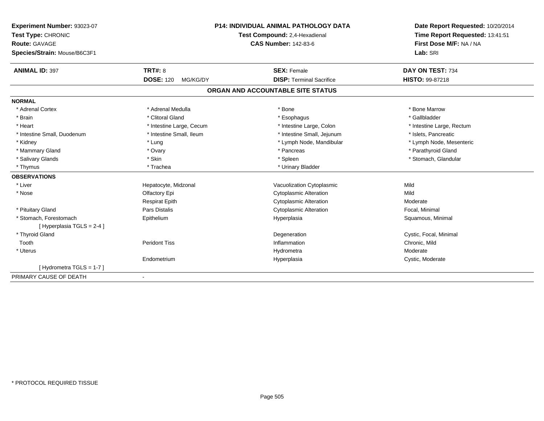| Experiment Number: 93023-07                        | <b>P14: INDIVIDUAL ANIMAL PATHOLOGY DATA</b><br>Test Compound: 2,4-Hexadienal |                                   | Date Report Requested: 10/20/2014<br>Time Report Requested: 13:41:51 |  |
|----------------------------------------------------|-------------------------------------------------------------------------------|-----------------------------------|----------------------------------------------------------------------|--|
| Test Type: CHRONIC                                 |                                                                               |                                   |                                                                      |  |
| Route: GAVAGE                                      |                                                                               | <b>CAS Number: 142-83-6</b>       | First Dose M/F: NA / NA                                              |  |
| Species/Strain: Mouse/B6C3F1                       |                                                                               |                                   |                                                                      |  |
| <b>ANIMAL ID: 397</b>                              | TRT#: 8                                                                       | <b>SEX: Female</b>                | DAY ON TEST: 734                                                     |  |
|                                                    | <b>DOSE: 120</b><br>MG/KG/DY                                                  | <b>DISP: Terminal Sacrifice</b>   | <b>HISTO: 99-87218</b>                                               |  |
|                                                    |                                                                               | ORGAN AND ACCOUNTABLE SITE STATUS |                                                                      |  |
| <b>NORMAL</b>                                      |                                                                               |                                   |                                                                      |  |
| * Adrenal Cortex                                   | * Adrenal Medulla                                                             | * Bone                            | * Bone Marrow                                                        |  |
| * Brain                                            | * Clitoral Gland                                                              | * Esophagus                       | * Gallbladder                                                        |  |
| * Heart                                            | * Intestine Large, Cecum                                                      | * Intestine Large, Colon          | * Intestine Large, Rectum                                            |  |
| * Intestine Small, Duodenum                        | * Intestine Small, Ileum                                                      | * Intestine Small, Jejunum        | * Islets, Pancreatic                                                 |  |
| * Kidney                                           | * Lung                                                                        | * Lymph Node, Mandibular          | * Lymph Node, Mesenteric                                             |  |
| * Mammary Gland                                    | * Ovary                                                                       | * Pancreas                        | * Parathyroid Gland                                                  |  |
| * Salivary Glands                                  | * Skin                                                                        | * Spleen                          | * Stomach, Glandular                                                 |  |
| * Thymus                                           | * Trachea                                                                     | * Urinary Bladder                 |                                                                      |  |
| <b>OBSERVATIONS</b>                                |                                                                               |                                   |                                                                      |  |
| * Liver                                            | Hepatocyte, Midzonal                                                          | Vacuolization Cytoplasmic         | Mild                                                                 |  |
| * Nose                                             | Olfactory Epi                                                                 | <b>Cytoplasmic Alteration</b>     | Mild                                                                 |  |
|                                                    | <b>Respirat Epith</b>                                                         | <b>Cytoplasmic Alteration</b>     | Moderate                                                             |  |
| * Pituitary Gland                                  | Pars Distalis                                                                 | <b>Cytoplasmic Alteration</b>     | Focal, Minimal                                                       |  |
| * Stomach. Forestomach<br>[Hyperplasia TGLS = 2-4] | Epithelium                                                                    | Hyperplasia                       | Squamous, Minimal                                                    |  |
| * Thyroid Gland                                    |                                                                               | Degeneration                      | Cystic, Focal, Minimal                                               |  |
| Tooth                                              | <b>Peridont Tiss</b>                                                          | Inflammation                      | Chronic, Mild                                                        |  |
| * Uterus                                           |                                                                               | Hydrometra                        | Moderate                                                             |  |
|                                                    | Endometrium                                                                   | Hyperplasia                       | Cystic, Moderate                                                     |  |
| [Hydrometra TGLS = 1-7]                            |                                                                               |                                   |                                                                      |  |
| PRIMARY CAUSE OF DEATH                             |                                                                               |                                   |                                                                      |  |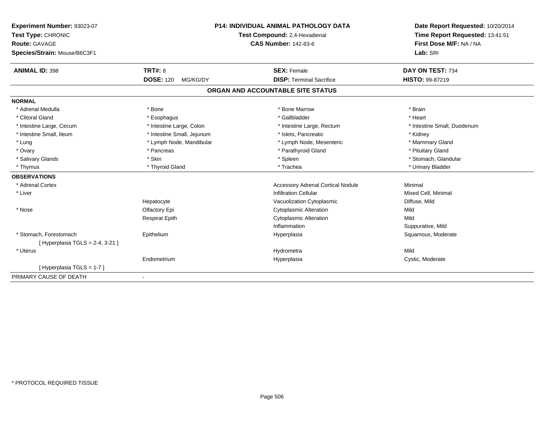| Experiment Number: 93023-07    | <b>P14: INDIVIDUAL ANIMAL PATHOLOGY DATA</b><br>Test Compound: 2,4-Hexadienal |                                          | Date Report Requested: 10/20/2014<br>Time Report Requested: 13:41:51 |
|--------------------------------|-------------------------------------------------------------------------------|------------------------------------------|----------------------------------------------------------------------|
| Test Type: CHRONIC             |                                                                               |                                          |                                                                      |
| <b>Route: GAVAGE</b>           |                                                                               | <b>CAS Number: 142-83-6</b>              | First Dose M/F: NA / NA                                              |
| Species/Strain: Mouse/B6C3F1   |                                                                               | Lab: SRI                                 |                                                                      |
| <b>ANIMAL ID: 398</b>          | <b>TRT#: 8</b>                                                                | <b>SEX: Female</b>                       | DAY ON TEST: 734                                                     |
|                                | <b>DOSE: 120</b><br>MG/KG/DY                                                  | <b>DISP: Terminal Sacrifice</b>          | <b>HISTO: 99-87219</b>                                               |
|                                |                                                                               | ORGAN AND ACCOUNTABLE SITE STATUS        |                                                                      |
| <b>NORMAL</b>                  |                                                                               |                                          |                                                                      |
| * Adrenal Medulla              | * Bone                                                                        | * Bone Marrow                            | * Brain                                                              |
| * Clitoral Gland               | * Esophagus                                                                   | * Gallbladder                            | * Heart                                                              |
| * Intestine Large, Cecum       | * Intestine Large, Colon                                                      | * Intestine Large, Rectum                | * Intestine Small, Duodenum                                          |
| * Intestine Small, Ileum       | * Intestine Small, Jejunum                                                    | * Islets, Pancreatic                     | * Kidney                                                             |
| * Lung                         | * Lymph Node, Mandibular                                                      | * Lymph Node, Mesenteric                 | * Mammary Gland                                                      |
| * Ovary                        | * Pancreas                                                                    | * Parathyroid Gland                      | * Pituitary Gland                                                    |
| * Salivary Glands              | * Skin                                                                        | * Spleen                                 | * Stomach, Glandular                                                 |
| * Thymus                       | * Thyroid Gland                                                               | * Trachea                                | * Urinary Bladder                                                    |
| <b>OBSERVATIONS</b>            |                                                                               |                                          |                                                                      |
| * Adrenal Cortex               |                                                                               | <b>Accessory Adrenal Cortical Nodule</b> | Minimal                                                              |
| * Liver                        |                                                                               | <b>Infiltration Cellular</b>             | Mixed Cell, Minimal                                                  |
|                                | Hepatocyte                                                                    | Vacuolization Cytoplasmic                | Diffuse, Mild                                                        |
| * Nose                         | Olfactory Epi                                                                 | <b>Cytoplasmic Alteration</b>            | Mild                                                                 |
|                                | <b>Respirat Epith</b>                                                         | <b>Cytoplasmic Alteration</b>            | Mild                                                                 |
|                                |                                                                               | Inflammation                             | Suppurative, Mild                                                    |
| * Stomach. Forestomach         | Epithelium                                                                    | Hyperplasia                              | Squamous, Moderate                                                   |
| [Hyperplasia TGLS = 2-4, 3-21] |                                                                               |                                          |                                                                      |
| * Uterus                       |                                                                               | Hydrometra                               | Mild                                                                 |
|                                | Endometrium                                                                   | Hyperplasia                              | Cystic, Moderate                                                     |
| [Hyperplasia TGLS = 1-7]       |                                                                               |                                          |                                                                      |
| PRIMARY CAUSE OF DEATH         | $\blacksquare$                                                                |                                          |                                                                      |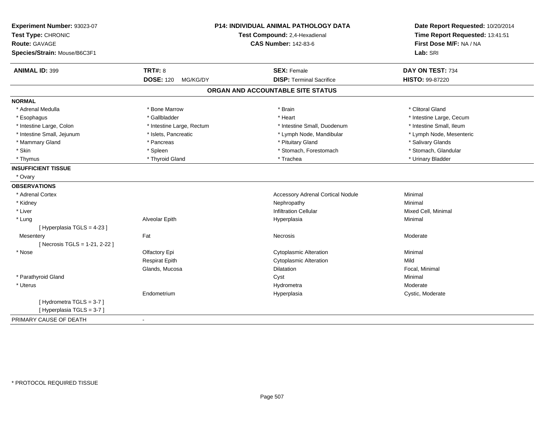| Experiment Number: 93023-07<br>Test Type: CHRONIC<br>Route: GAVAGE<br>Species/Strain: Mouse/B6C3F1 | <b>P14: INDIVIDUAL ANIMAL PATHOLOGY DATA</b><br>Test Compound: 2,4-Hexadienal<br><b>CAS Number: 142-83-6</b> |                                          | Date Report Requested: 10/20/2014<br>Time Report Requested: 13:41:51<br>First Dose M/F: NA / NA<br>Lab: SRI |
|----------------------------------------------------------------------------------------------------|--------------------------------------------------------------------------------------------------------------|------------------------------------------|-------------------------------------------------------------------------------------------------------------|
| <b>ANIMAL ID: 399</b>                                                                              | <b>TRT#: 8</b>                                                                                               | <b>SEX: Female</b>                       | DAY ON TEST: 734                                                                                            |
|                                                                                                    | <b>DOSE: 120</b><br>MG/KG/DY                                                                                 | <b>DISP: Terminal Sacrifice</b>          | <b>HISTO: 99-87220</b>                                                                                      |
|                                                                                                    |                                                                                                              | ORGAN AND ACCOUNTABLE SITE STATUS        |                                                                                                             |
| <b>NORMAL</b>                                                                                      |                                                                                                              |                                          |                                                                                                             |
| * Adrenal Medulla                                                                                  | * Bone Marrow                                                                                                | * Brain                                  | * Clitoral Gland                                                                                            |
| * Esophagus                                                                                        | * Gallbladder                                                                                                | * Heart                                  | * Intestine Large, Cecum                                                                                    |
| * Intestine Large, Colon                                                                           | * Intestine Large, Rectum                                                                                    | * Intestine Small, Duodenum              | * Intestine Small, Ileum                                                                                    |
| * Intestine Small, Jejunum                                                                         | * Islets, Pancreatic                                                                                         | * Lymph Node, Mandibular                 | * Lymph Node, Mesenteric                                                                                    |
| * Mammary Gland                                                                                    | * Pancreas                                                                                                   | * Pituitary Gland                        | * Salivary Glands                                                                                           |
| * Skin                                                                                             | * Spleen                                                                                                     | * Stomach, Forestomach                   | * Stomach, Glandular                                                                                        |
| * Thymus                                                                                           | * Thyroid Gland                                                                                              | * Trachea                                | * Urinary Bladder                                                                                           |
| <b>INSUFFICIENT TISSUE</b>                                                                         |                                                                                                              |                                          |                                                                                                             |
| * Ovary                                                                                            |                                                                                                              |                                          |                                                                                                             |
| <b>OBSERVATIONS</b>                                                                                |                                                                                                              |                                          |                                                                                                             |
| * Adrenal Cortex                                                                                   |                                                                                                              | <b>Accessory Adrenal Cortical Nodule</b> | Minimal                                                                                                     |
| * Kidney                                                                                           |                                                                                                              | Nephropathy                              | Minimal                                                                                                     |
| * Liver                                                                                            |                                                                                                              | <b>Infiltration Cellular</b>             | Mixed Cell, Minimal                                                                                         |
| * Lung                                                                                             | Alveolar Epith                                                                                               | Hyperplasia                              | Minimal                                                                                                     |
| [ Hyperplasia TGLS = 4-23 ]                                                                        |                                                                                                              |                                          |                                                                                                             |
| Mesentery                                                                                          | Fat                                                                                                          | <b>Necrosis</b>                          | Moderate                                                                                                    |
| [ Necrosis TGLS = 1-21, 2-22 ]                                                                     |                                                                                                              |                                          |                                                                                                             |
| * Nose                                                                                             | Olfactory Epi                                                                                                | <b>Cytoplasmic Alteration</b>            | Minimal                                                                                                     |
|                                                                                                    | <b>Respirat Epith</b>                                                                                        | <b>Cytoplasmic Alteration</b>            | Mild                                                                                                        |
|                                                                                                    | Glands, Mucosa                                                                                               | Dilatation                               | Focal, Minimal                                                                                              |
| * Parathyroid Gland                                                                                |                                                                                                              | Cyst                                     | Minimal                                                                                                     |
| * Uterus                                                                                           |                                                                                                              | Hydrometra                               | Moderate                                                                                                    |
|                                                                                                    | Endometrium                                                                                                  | Hyperplasia                              | Cystic, Moderate                                                                                            |
| [Hydrometra TGLS = 3-7]                                                                            |                                                                                                              |                                          |                                                                                                             |
| [Hyperplasia TGLS = 3-7]                                                                           |                                                                                                              |                                          |                                                                                                             |
| PRIMARY CAUSE OF DEATH                                                                             | $\blacksquare$                                                                                               |                                          |                                                                                                             |